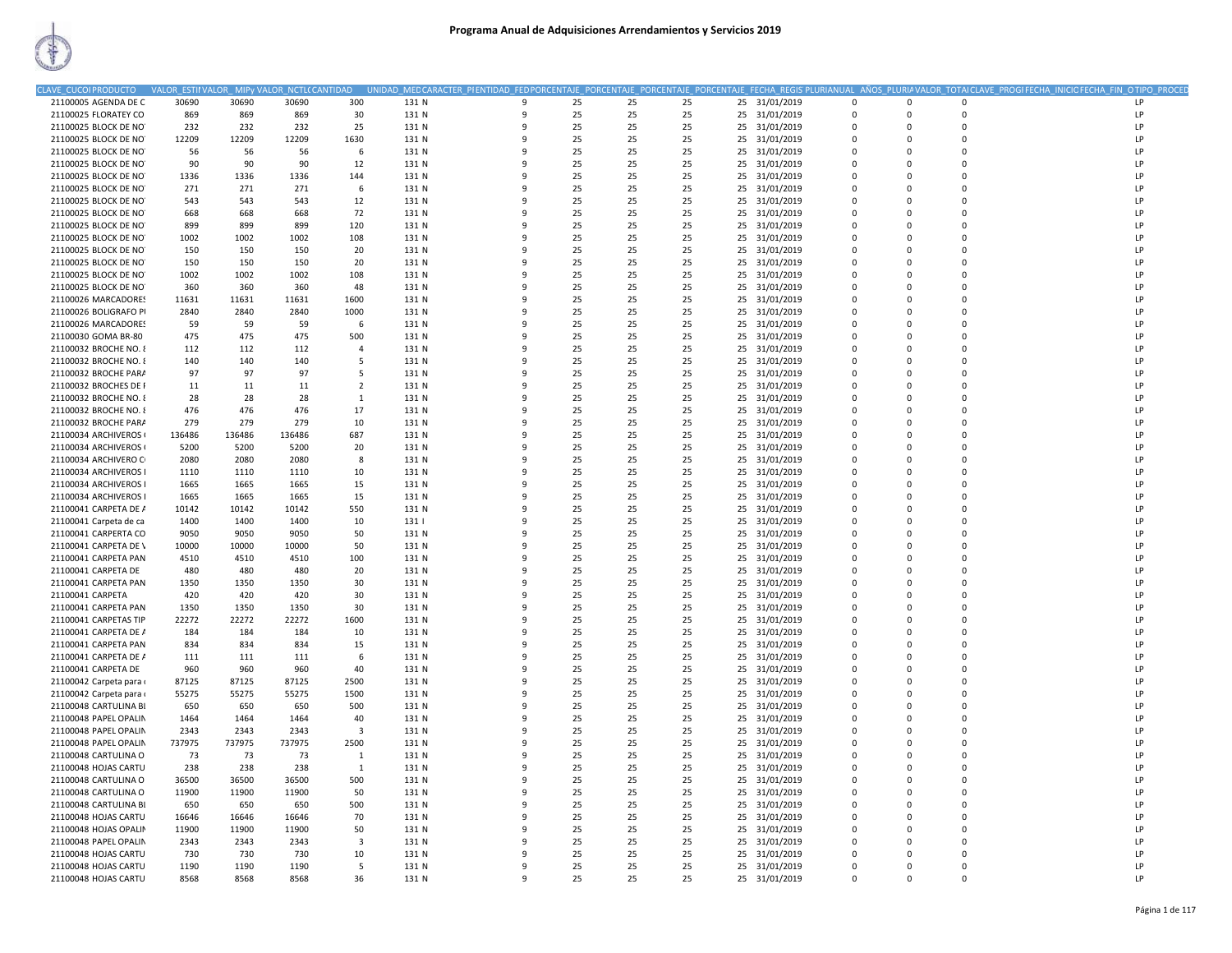| LAVE CUCOIPRODUCTO     | <b>VALOR ESTII VALOR</b> |        | VALOR_NCTL(CANTIDAD |                | MED CARACTER_PIENTIDAD_FED PORCENTAJE_ PORCENTAJE_ PORCENTAJE_ PORCENTAJE |              |    |     |    |                  |             |              |             | FECHA_REGIS PLURIANUAL_AÑOS_PLURIA VALOR_TOTAI CLAVE_PROGI FECHA_INICIO FECHA_FIN_O TIPO_PROCED |  |
|------------------------|--------------------------|--------|---------------------|----------------|---------------------------------------------------------------------------|--------------|----|-----|----|------------------|-------------|--------------|-------------|-------------------------------------------------------------------------------------------------|--|
| 21100005 AGENDA DE C   | 30690                    | 30690  | 30690               | 300            | 131 N                                                                     | 9            | 25 | -25 | 25 | 25 31/01/2019    | 0           | $\mathbf 0$  | $\Omega$    | LP                                                                                              |  |
| 21100025 FLORATEY CO   | 869                      | 869    | 869                 | 30             | 131 N                                                                     | 9            | 25 | 25  | 25 | 25 31/01/2019    | $\Omega$    | $\Omega$     | $\Omega$    | LP                                                                                              |  |
| 21100025 BLOCK DE NO   | 232                      | 232    | 232                 | 25             | 131 N                                                                     | 9            | 25 | 25  | 25 | 31/01/2019<br>25 | 0           | $\mathbf{0}$ | 0           | LP                                                                                              |  |
| 21100025 BLOCK DE NO   | 12209                    | 12209  | 12209               | 1630           | 131 N                                                                     | 9            | 25 | 25  | 25 | 25<br>31/01/2019 | $\mathbf 0$ | $\mathbf 0$  | $\Omega$    | LP                                                                                              |  |
| 21100025 BLOCK DE NO   | 56                       | 56     | 56                  | 6              | 131 N                                                                     | 9            | 25 | 25  | 25 | 25<br>31/01/2019 | $\Omega$    | $\Omega$     | $\Omega$    | LP                                                                                              |  |
| 21100025 BLOCK DE NO   | 90                       | 90     | 90                  | 12             | 131 N                                                                     | 9            | 25 | 25  | 25 | 25 31/01/2019    | $\Omega$    | $\Omega$     | $\Omega$    | LP                                                                                              |  |
| 21100025 BLOCK DE NO   | 1336                     | 1336   | 1336                | 144            | 131 N                                                                     | 9            | 25 | 25  | 25 | 31/01/2019<br>25 | $\mathbf 0$ | $\Omega$     | $\Omega$    | LP                                                                                              |  |
| 21100025 BLOCK DE NO   | 271                      | 271    | 271                 | 6              | 131 N                                                                     | 9            | 25 | 25  | 25 | 25<br>31/01/2019 | 0           | $\Omega$     | $\mathbf 0$ | LP                                                                                              |  |
| 21100025 BLOCK DE NO   | 543                      | 543    | 543                 | 12             | 131 N                                                                     | 9            | 25 | 25  | 25 | 31/01/2019<br>25 | $\Omega$    | $\Omega$     | $\Omega$    | LP                                                                                              |  |
| 21100025 BLOCK DE NO   | 668                      | 668    | 668                 | 72             | 131 N                                                                     | 9            | 25 | 25  | 25 | 25<br>31/01/2019 | $\mathbf 0$ | $\mathbf 0$  | 0           | LP                                                                                              |  |
| 21100025 BLOCK DE NO   | 899                      | 899    | 899                 | 120            | 131 N                                                                     | $\mathbf{q}$ | 25 | 25  | 25 | 31/01/2019<br>25 | $\Omega$    | $\Omega$     | $\Omega$    | LP                                                                                              |  |
| 21100025 BLOCK DE NO   | 1002                     | 1002   | 1002                | 108            | 131 N                                                                     | 9            | 25 | 25  | 25 | 31/01/2019<br>25 | $\Omega$    | $\Omega$     | $\Omega$    | LP                                                                                              |  |
|                        |                          | 150    | 150                 | 20             | 131 N                                                                     | 9            | 25 | 25  | 25 | 31/01/2019       | 0           | 0            | $\Omega$    | LP                                                                                              |  |
| 21100025 BLOCK DE NO   | 150                      |        |                     |                |                                                                           | 9            |    |     |    | 25               | $\mathbf 0$ | $\mathbf 0$  | $\Omega$    |                                                                                                 |  |
| 21100025 BLOCK DE NO   | 150                      | 150    | 150                 | 20             | 131 N                                                                     |              | 25 | 25  | 25 | 25<br>31/01/2019 |             |              |             | LP                                                                                              |  |
| 21100025 BLOCK DE NO   | 1002                     | 1002   | 1002                | 108            | 131 N                                                                     | 9            | 25 | 25  | 25 | 25<br>31/01/2019 | $\Omega$    | $\Omega$     | $\Omega$    | LP                                                                                              |  |
| 21100025 BLOCK DE NO   | 360                      | 360    | 360                 | 48             | 131 N                                                                     | 9            | 25 | 25  | 25 | 31/01/2019<br>25 | 0           | $\mathbf{0}$ | 0           | LP                                                                                              |  |
| 21100026 MARCADORES    | 11631                    | 11631  | 11631               | 1600           | 131 N                                                                     | 9            | 25 | 25  | 25 | 25<br>31/01/2019 | $\mathbf 0$ | $\mathbf 0$  | $\Omega$    | LP                                                                                              |  |
| 21100026 BOLIGRAFO PI  | 2840                     | 2840   | 2840                | 1000           | 131 N                                                                     | 9            | 25 | 25  | 25 | 25<br>31/01/2019 | $\Omega$    | $\Omega$     | $\Omega$    | LP                                                                                              |  |
| 21100026 MARCADORES    | 59                       | 59     | 59                  | 6              | 131 N                                                                     | 9            | 25 | 25  | 25 | 25 31/01/2019    | $\Omega$    | $\Omega$     | $\Omega$    | LP                                                                                              |  |
| 21100030 GOMA BR-80    | 475                      | 475    | 475                 | 500            | 131 N                                                                     | 9            | 25 | 25  | 25 | 25<br>31/01/2019 | 0           | $\mathbf{0}$ | 0           | LP                                                                                              |  |
| 21100032 BROCHE NO. 8  | 112                      | 112    | 112                 | $\Delta$       | 131 N                                                                     | $\mathbf{q}$ | 25 | 25  | 25 | 31/01/2019<br>25 | $\Omega$    | $\Omega$     | $\Omega$    | LP                                                                                              |  |
| 21100032 BROCHE NO. 8  | 140                      | 140    | 140                 | .5             | 131 N                                                                     | 9            | 25 | 25  | 25 | 31/01/2019<br>25 | $\Omega$    | $\Omega$     | $\Omega$    | LP                                                                                              |  |
| 21100032 BROCHE PARA   | 97                       | 97     | 97                  | 5              | 131 N                                                                     | 9            | 25 | 25  | 25 | 31/01/2019<br>25 | 0           | $\mathbf{0}$ | $\mathbf 0$ | LP                                                                                              |  |
| 21100032 BROCHES DE F  | 11                       | 11     | 11                  | $\overline{2}$ | 131 N                                                                     | 9            | 25 | 25  | 25 | 25<br>31/01/2019 | $\Omega$    | $\Omega$     | $\Omega$    | LP                                                                                              |  |
| 21100032 BROCHE NO. 8  | 28                       | 28     | 28                  | 1              | 131 N                                                                     | 9            | 25 | 25  | 25 | 25<br>31/01/2019 | $\Omega$    | $\Omega$     | $\Omega$    | LP                                                                                              |  |
| 21100032 BROCHE NO. 8  | 476                      | 476    | 476                 | 17             | 131 N                                                                     | 9            | 25 | 25  | 25 | 31/01/2019<br>25 | 0           | $\mathbf{0}$ | $\mathbf 0$ | LP                                                                                              |  |
| 21100032 BROCHE PARA   | 279                      | 279    | 279                 | 10             | 131 N                                                                     | 9            | 25 | 25  | 25 | 25<br>31/01/2019 | $\Omega$    | $\Omega$     | $\Omega$    | LP                                                                                              |  |
| 21100034 ARCHIVEROS (  | 136486                   | 136486 | 136486              | 687            | 131 N                                                                     | 9            | 25 | 25  | 25 | 25<br>31/01/2019 | $\Omega$    | $\Omega$     | $\Omega$    | LP                                                                                              |  |
| 21100034 ARCHIVEROS (  | 5200                     | 5200   | 5200                | 20             | 131 N                                                                     | 9            | 25 | 25  | 25 | 31/01/2019<br>25 | 0           | $\mathbf{0}$ | $\Omega$    | LP                                                                                              |  |
| 21100034 ARCHIVERO O   | 2080                     | 2080   | 2080                | 8              | 131 N                                                                     | 9            | 25 | 25  | 25 | 31/01/2019<br>25 | $\Omega$    | $\Omega$     | $\Omega$    | LP                                                                                              |  |
| 21100034 ARCHIVEROS I  | 1110                     | 1110   | 1110                | 10             | 131 N                                                                     | 9            | 25 | 25  | 25 | 31/01/2019<br>25 | $\Omega$    | $\Omega$     | $\Omega$    | LP                                                                                              |  |
| 21100034 ARCHIVEROS I  | 1665                     | 1665   | 1665                | 15             | 131 N                                                                     | 9            | 25 | 25  | 25 | 31/01/2019<br>25 | $\Omega$    | $\Omega$     | $\Omega$    | LP                                                                                              |  |
| 21100034 ARCHIVEROS I  | 1665                     | 1665   | 1665                | 15             | 131 N                                                                     | 9            | 25 | 25  | 25 | 25<br>31/01/2019 | $\Omega$    | $\Omega$     | $\Omega$    | LP                                                                                              |  |
| 21100041 CARPETA DE A  | 10142                    | 10142  | 10142               | 550            | 131 N                                                                     | 9            | 25 | 25  | 25 | 25<br>31/01/2019 | $\Omega$    | $\Omega$     | $\Omega$    | LP                                                                                              |  |
| 21100041 Carpeta de ca | 1400                     | 1400   | 1400                | 10             | 131                                                                       | 9            | 25 | 25  | 25 | 25<br>31/01/2019 | $\mathbf 0$ | $\mathbf{0}$ | $\Omega$    | LP                                                                                              |  |
| 21100041 CARPERTA CO   | 9050                     | 9050   | 9050                | 50             | 131 N                                                                     | 9            | 25 | 25  | 25 | 25<br>31/01/2019 | 0           | $\Omega$     | $\Omega$    | LP                                                                                              |  |
| 21100041 CARPETA DE \  | 10000                    | 10000  | 10000               | 50             | 131 N                                                                     | 9            | 25 | 25  | 25 | 31/01/2019<br>25 | $\Omega$    | $\Omega$     | $\Omega$    | LP                                                                                              |  |
| 21100041 CARPETA PAN   | 4510                     | 4510   | 4510                | 100            | 131 N                                                                     | 9            | 25 | 25  | 25 | 25<br>31/01/2019 | 0           | $\mathbf{0}$ | 0           | LP                                                                                              |  |
| 21100041 CARPETA DE    | 480                      | 480    | 480                 | 20             | 131 N                                                                     | $\mathbf{q}$ | 25 | 25  | 25 | 31/01/2019<br>25 | $\Omega$    | $\Omega$     | $\Omega$    | LP                                                                                              |  |
| 21100041 CARPETA PAN   | 1350                     | 1350   | 1350                | 30             | 131 N                                                                     | 9            | 25 | 25  | 25 | 25<br>31/01/2019 | $\Omega$    | $\Omega$     | $\Omega$    | LP                                                                                              |  |
| 21100041 CARPETA       | 420                      | 420    | 420                 | 30             | 131 N                                                                     | 9            | 25 | 25  | 25 | 25               | $\mathbf 0$ | $\mathbf{0}$ | $\Omega$    | LP                                                                                              |  |
|                        |                          |        |                     |                |                                                                           | $\mathbf{q}$ |    |     |    | 31/01/2019<br>25 | $\Omega$    | $\Omega$     | $\Omega$    | LP                                                                                              |  |
| 21100041 CARPETA PAN   | 1350                     | 1350   | 1350                | 30             | 131 N                                                                     |              | 25 | 25  | 25 | 31/01/2019       |             |              |             |                                                                                                 |  |
| 21100041 CARPETAS TIP  | 22272                    | 22272  | 22272               | 1600           | 131 N                                                                     | 9            | 25 | 25  | 25 | 31/01/2019<br>25 | $\Omega$    | $\Omega$     | $\Omega$    | LP                                                                                              |  |
| 21100041 CARPETA DE A  | 184                      | 184    | 184                 | 10             | 131 N                                                                     | 9            | 25 | 25  | 25 | 31/01/2019<br>25 | 0           | $\Omega$     | $\Omega$    | LP                                                                                              |  |
| 21100041 CARPETA PAN   | 834                      | 834    | 834                 | 15             | 131 N                                                                     | 9            | 25 | 25  | 25 | 25<br>31/01/2019 | $\Omega$    | $\Omega$     | $\Omega$    | LP                                                                                              |  |
| 21100041 CARPETA DE A  | 111                      | 111    | 111                 | 6              | 131 N                                                                     | 9            | 25 | 25  | 25 | 25<br>31/01/2019 | 0           | $\Omega$     | $\Omega$    | LP                                                                                              |  |
| 21100041 CARPETA DE    | 960                      | 960    | 960                 | 40             | 131 N                                                                     | 9            | 25 | 25  | 25 | 25<br>31/01/2019 | $\Omega$    | $\Omega$     | $\Omega$    | LP                                                                                              |  |
| 21100042 Carpeta para  | 87125                    | 87125  | 87125               | 2500           | 131 N                                                                     | 9            | 25 | 25  | 25 | 31/01/2019<br>25 | $\Omega$    | $\Omega$     | $\Omega$    | LP                                                                                              |  |
| 21100042 Carpeta para  | 55275                    | 55275  | 55275               | 1500           | 131 N                                                                     | 9            | 25 | 25  | 25 | 31/01/2019<br>25 | 0           | $\mathbf{0}$ | $\mathbf 0$ | LP                                                                                              |  |
| 21100048 CARTULINA BI  | 650                      | 650    | 650                 | 500            | 131 N                                                                     | 9            | 25 | 25  | 25 | 31/01/2019<br>25 | $\Omega$    | $\Omega$     | $\Omega$    | LP                                                                                              |  |
| 21100048 PAPEL OPALIN  | 1464                     | 1464   | 1464                | 40             | 131 N                                                                     | 9            | 25 | 25  | 25 | 25<br>31/01/2019 | $\mathbf 0$ | $\mathbf{0}$ | 0           | LP                                                                                              |  |
| 21100048 PAPEL OPALIN  | 2343                     | 2343   | 2343                | 3              | 131 N                                                                     | 9            | 25 | 25  | 25 | 31/01/2019<br>25 | 0           | $\Omega$     | $\Omega$    | LP                                                                                              |  |
| 21100048 PAPEL OPALIN  | 737975                   | 737975 | 737975              | 2500           | 131 N                                                                     | 9            | 25 | 25  | 25 | 25<br>31/01/2019 | $\Omega$    | $\Omega$     | $\Omega$    | LP                                                                                              |  |
| 21100048 CARTULINA O   | 73                       | 73     | 73                  | 1              | 131 N                                                                     | 9            | 25 | 25  | 25 | 25<br>31/01/2019 | 0           | $\mathbf{0}$ | $\mathbf 0$ | LP                                                                                              |  |
| 21100048 HOJAS CARTU   | 238                      | 238    | 238                 | $\overline{1}$ | 131 N                                                                     | 9            | 25 | 25  | 25 | 31/01/2019<br>25 | $\Omega$    | $\Omega$     | $\Omega$    | LP                                                                                              |  |
| 21100048 CARTULINA O   | 36500                    | 36500  | 36500               | 500            | 131 N                                                                     | 9            | 25 | 25  | 25 | 25<br>31/01/2019 | $\mathbf 0$ | $\mathbf{0}$ | 0           | LP                                                                                              |  |
| 21100048 CARTULINA O   | 11900                    | 11900  | 11900               | 50             | 131 N                                                                     | 9            | 25 | 25  | 25 | 31/01/2019<br>25 | 0           | $\mathbf{0}$ | $\Omega$    | LP                                                                                              |  |
| 21100048 CARTULINA BI  | 650                      | 650    | 650                 | 500            | 131 N                                                                     | 9            | 25 | 25  | 25 | 25 31/01/2019    | $\Omega$    | $\Omega$     | $\Omega$    | LP                                                                                              |  |
| 21100048 HOJAS CARTU   | 16646                    | 16646  | 16646               | 70             | 131 N                                                                     | 9            | 25 | 25  | 25 | 25<br>31/01/2019 | 0           | $\mathbf{0}$ | 0           | LP                                                                                              |  |
| 21100048 HOJAS OPALIN  | 11900                    | 11900  | 11900               | 50             | 131 N                                                                     | $\mathbf{q}$ | 25 | 25  | 25 | 25<br>31/01/2019 | $\Omega$    | $\Omega$     | $\Omega$    | LP                                                                                              |  |
| 21100048 PAPEL OPALIN  | 2343                     | 2343   | 2343                | $\mathbf{3}$   | 131 N                                                                     | 9            | 25 | 25  | 25 | 31/01/2019<br>25 | $\Omega$    | $\Omega$     | $\Omega$    | LP                                                                                              |  |
| 21100048 HOJAS CARTU   | 730                      | 730    | 730                 | 10             | 131 N                                                                     | 9            | 25 | 25  | 25 | 31/01/2019<br>25 | 0           | 0            | $\Omega$    | LP                                                                                              |  |
| 21100048 HOJAS CARTU   | 1190                     | 1190   | 1190                | 5              | 131 N                                                                     | 9            | 25 | 25  | 25 | 25<br>31/01/2019 | $\mathbf 0$ | $\mathbf{0}$ | $\Omega$    | LP                                                                                              |  |
| 21100048 HOJAS CARTU   | 8568                     | 8568   | 8568                | 36             | 131 N                                                                     | 9            | 25 | 25  | 25 | 25 31/01/2019    | $\Omega$    | $\Omega$     | ŋ           | LP                                                                                              |  |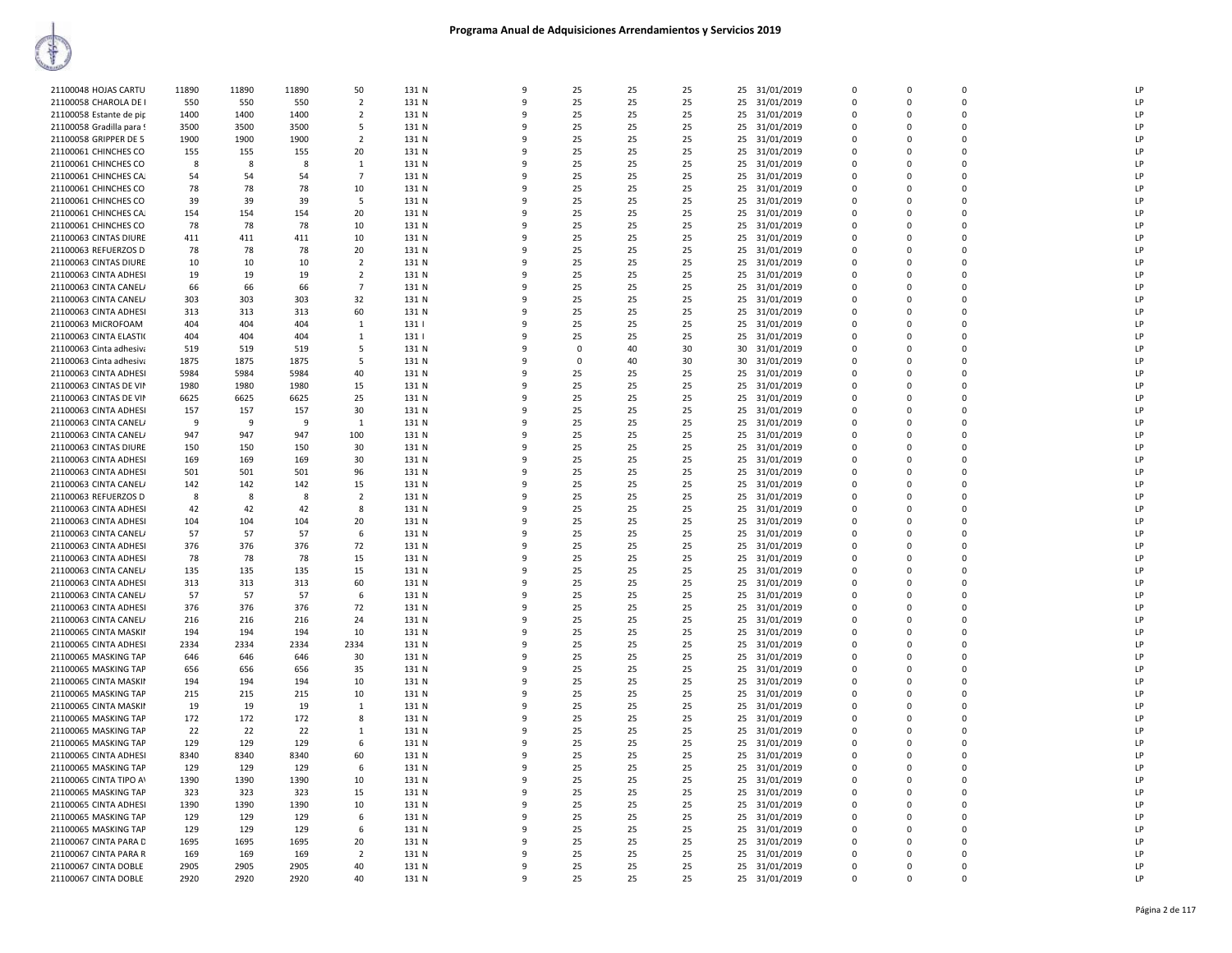| 21100048 HOJAS CARTU                           | 11890 | 11890 | 11890      | 50             | 131 N          | $\mathbf{q}$ | 25          | 25       | 25       |    | 25 31/01/2019 | $\Omega$       | $\mathbf 0$ | $\Omega$    | I <sub>P</sub> |
|------------------------------------------------|-------|-------|------------|----------------|----------------|--------------|-------------|----------|----------|----|---------------|----------------|-------------|-------------|----------------|
| 21100058 CHAROLA DE I                          | 550   | 550   | 550        | 2              | 131 N          | 9            | 25          | 25       | 25       | 25 | 31/01/2019    | $\overline{0}$ | $\Omega$    | $\Omega$    | LP             |
| 21100058 Estante de pip                        | 1400  | 1400  | 1400       | $\overline{2}$ | 131 N          | $\mathsf{q}$ | 25          | 25       | 25       | 25 | 31/01/2019    | $\mathbf 0$    | $\Omega$    | $\Omega$    | LP             |
| 21100058 Gradilla para!                        | 3500  | 3500  | 3500       | -5             | 131 N          | q            | 25          | 25       | 25       | 25 | 31/01/2019    | $\overline{0}$ | $\Omega$    | $\mathbf 0$ | LP             |
| 21100058 GRIPPER DE 5                          | 1900  | 1900  | 1900       | $\overline{2}$ | 131 N          | q            | 25          | 25       | 25       | 25 | 31/01/2019    | $\mathbf 0$    | $\Omega$    | $\Omega$    | LP             |
| 21100061 CHINCHES CO                           | 155   | 155   | 155        | 20             | 131 N          |              | 25          | 25       | 25       | 25 | 31/01/2019    | $\mathbf 0$    | $\Omega$    | $\mathbf 0$ | LP             |
| 21100061 CHINCHES CO                           | 8     | -8    | -8         | -1             | 131 N          | q            | 25          | 25       | 25       |    | 25 31/01/2019 | $\Omega$       | $\Omega$    | $\Omega$    | LP             |
| 21100061 CHINCHES CA.                          | 54    | 54    | 54         | $\overline{7}$ | 131 N          | $\mathsf{q}$ | 25          | 25       | 25       |    | 25 31/01/2019 | $\Omega$       | $\Omega$    | $\Omega$    | LP             |
| 21100061 CHINCHES CO                           | 78    | 78    | 78         | 10             | 131 N          | 9            | 25          | 25       | 25       | 25 | 31/01/2019    | $\overline{0}$ | $\Omega$    | $\Omega$    | LP             |
| 21100061 CHINCHES CO                           | 39    | 39    | 39         | -5             | 131 N          | q            | 25          | 25       | 25       | 25 | 31/01/2019    | $\mathbf 0$    | $\Omega$    | $\Omega$    | LP             |
| 21100061 CHINCHES CA.                          | 154   | 154   | 154        | 20             | 131 N          | q            | 25          | 25       | 25       | 25 | 31/01/2019    | $\Omega$       | $\Omega$    | $\Omega$    | LP             |
| 21100061 CHINCHES CO                           | 78    | 78    | 78         | 10             | 131 N          | $\mathbf{q}$ | 25          | 25       | 25       | 25 | 31/01/2019    | $\Omega$       | $\Omega$    | $\Omega$    | LP             |
| 21100063 CINTAS DIURE                          | 411   | 411   | 411        | 10             | 131 N          |              | 25          | 25       | 25       | 25 | 31/01/2019    | $\mathbf 0$    | $\Omega$    | $\mathbf 0$ | LP             |
| 21100063 REFUERZOS D                           | 78    | 78    | 78         | 20             | 131 N          | $\mathsf{Q}$ | 25          | 25       | 25       |    | 25 31/01/2019 | $\Omega$       | $\Omega$    | $\Omega$    | LP             |
| 21100063 CINTAS DIURE                          | 10    | 10    | 10         | $\overline{2}$ | 131 N          | q            | 25          | 25       | 25       | 25 | 31/01/2019    | $\mathbf 0$    | $\mathbf 0$ | $\mathbf 0$ | LP             |
| 21100063 CINTA ADHESI                          | 19    | 19    | 19         | $\overline{2}$ | 131 N          | q            | 25          | 25       | 25       | 25 | 31/01/2019    | $\overline{0}$ | $\Omega$    | $\Omega$    | LP             |
|                                                |       |       |            | $\overline{7}$ |                | $\mathbf{q}$ |             |          |          |    |               |                | $\Omega$    | $\Omega$    | LP             |
| 21100063 CINTA CANEL/                          | 66    | 66    | 66         |                | 131 N          |              | 25          | 25       | 25       | 25 | 31/01/2019    | $\mathbf 0$    | $\Omega$    |             |                |
| 21100063 CINTA CANEL/                          | 303   | 303   | 303        | 32             | 131 N          |              | 25          | 25       | 25       |    | 25 31/01/2019 | $\Omega$       |             | $\Omega$    | LP             |
| 21100063 CINTA ADHESI                          | 313   | 313   | 313        | 60             | 131 N          | q            | 25          | 25       | 25       |    | 25 31/01/2019 | $\Omega$       | $\Omega$    | $\Omega$    | LP             |
| 21100063 MICROFOAM                             | 404   | 404   | 404        | 1              | 131            |              | 25          | 25       | 25       | 25 | 31/01/2019    | 0              | $\Omega$    | $\mathbf 0$ | LP             |
| 21100063 CINTA ELASTIO                         | 404   | 404   | 404        | -1             | 131            | $\mathbf{q}$ | 25          | 25       | 25       | 25 | 31/01/2019    | $\Omega$       | $\Omega$    | $\Omega$    | LP             |
| 21100063 Cinta adhesiva                        | 519   | 519   | 519        | -5             | 131 N          | 9            | $\mathbf 0$ | 40       | 30       | 30 | 31/01/2019    | $\mathbf 0$    | $\Omega$    | $\mathbf 0$ | LP             |
| 21100063 Cinta adhesiva                        | 1875  | 1875  | 1875       | -5             | 131 N          | 9            | $\Omega$    | 40       | 30       | 30 | 31/01/2019    | $\overline{0}$ | $\Omega$    | $\Omega$    | LP             |
| 21100063 CINTA ADHESI                          | 5984  | 5984  | 5984       | 40             | 131 N          | 9            | 25          | 25       | 25       | 25 | 31/01/2019    | $\overline{0}$ | $\mathbf 0$ | $\mathbf 0$ | LP             |
| 21100063 CINTAS DE VII                         | 1980  | 1980  | 1980       | 15             | 131 N          | $\Omega$     | 25          | 25       | 25       | 25 | 31/01/2019    | $\overline{0}$ | $\Omega$    | $\mathbf 0$ | LP             |
| 21100063 CINTAS DE VII                         | 6625  | 6625  | 6625       | 25             | 131 N          |              | 25          | 25       | 25       | 25 | 31/01/2019    | $\Omega$       | $\Omega$    | $\Omega$    | LP             |
| 21100063 CINTA ADHESI                          | 157   | 157   | 157        | 30             | 131 N          |              | 25          | 25       | 25       | 25 | 31/01/2019    | $\overline{0}$ | $\Omega$    | $\mathbf 0$ | LP             |
| 21100063 CINTA CANEL/                          | 9     | -9    | 9          | 1              | 131 N          | q            | 25          | 25       | 25       |    | 25 31/01/2019 | $\Omega$       | $\Omega$    | $\Omega$    | LP             |
| 21100063 CINTA CANEL/                          | 947   | 947   | 947        | 100            | 131 N          | ٩            | 25          | 25       | 25       |    | 25 31/01/2019 | $\Omega$       | $\Omega$    | $\Omega$    | LP             |
| 21100063 CINTAS DIURE                          | 150   | 150   | 150        | 30             | 131 N          | 9            | 25          | 25       | 25       | 25 | 31/01/2019    | $\overline{0}$ | $\Omega$    | $\Omega$    | LP             |
| 21100063 CINTA ADHESI                          | 169   | 169   | 169        | 30             | 131 N          | 9            | 25          | 25       | 25       | 25 | 31/01/2019    | $\overline{0}$ | $\mathbf 0$ | $\mathbf 0$ | LP             |
| 21100063 CINTA ADHESI                          | 501   | 501   | 501        | 96             | 131 N          | $\Omega$     | 25          | 25       | 25       | 25 | 31/01/2019    | $\overline{0}$ | $\Omega$    | $\Omega$    | LP             |
| 21100063 CINTA CANEL/                          | 142   | 142   | 142        | 15             | 131 N          |              | 25          | 25       | 25       |    | 25 31/01/2019 | $\overline{0}$ | $\Omega$    | $\mathbf 0$ | LP             |
| 21100063 REFUERZOS D                           | 8     | -8    | 8          | $\overline{2}$ | 131 N          | ۰Q           | 25          | 25       | 25       | 25 | 31/01/2019    | $\overline{0}$ | $\Omega$    | $\mathbf 0$ | LP             |
| 21100063 CINTA ADHESI                          | 42    | 42    | 42         | 8              | 131 N          | q            | 25          | 25       | 25       |    | 25 31/01/2019 | $\Omega$       | $\Omega$    | $\Omega$    | LP             |
| 21100063 CINTA ADHESI                          | 104   | 104   | 104        | 20             | 131 N          | ۰Q           | 25          | 25       | 25       | 25 | 31/01/2019    | $\Omega$       | $\Omega$    | $\Omega$    | LP             |
| 21100063 CINTA CANEL/                          | 57    | 57    | 57         | -6             | 131 N          | q            | 25          | 25       | 25       | 25 | 31/01/2019    | $\Omega$       | $\Omega$    | $\Omega$    | LP             |
| 21100063 CINTA ADHESI                          | 376   | 376   | 376        | 72             | 131 N          | 9            | 25          | 25       | 25       | 25 | 31/01/2019    | $\overline{0}$ | $\Omega$    | $\mathbf 0$ | LP             |
| 21100063 CINTA ADHESI                          | 78    | 78    | 78         | 15             | 131 N          | $\mathbf{q}$ | 25          | 25       | 25       | 25 | 31/01/2019    | $\Omega$       | $\Omega$    | $\Omega$    | LP             |
| 21100063 CINTA CANEL/                          | 135   | 135   | 135        | 15             | 131 N          |              | 25          | 25       | 25       | 25 | 31/01/2019    | $\mathbf 0$    | $\Omega$    | $\mathbf 0$ | LP             |
| 21100063 CINTA ADHESI                          | 313   | 313   | 313        | 60             | 131 N          | q            | 25          | 25       | 25       | 25 | 31/01/2019    | $\overline{0}$ | $\Omega$    | $\Omega$    | LP             |
| 21100063 CINTA CANEL/                          | 57    | 57    | 57         | 6              | 131 N          | $\mathsf{q}$ | 25          | 25       | 25       | 25 | 31/01/2019    | $\overline{0}$ | $\Omega$    | $\mathbf 0$ | IP             |
|                                                |       |       |            |                |                | $\Omega$     |             |          |          |    |               | $\Omega$       | $\Omega$    | $\Omega$    | LP             |
| 21100063 CINTA ADHESI<br>21100063 CINTA CANEL/ | 376   | 376   | 376<br>216 | 72<br>24       | 131 N<br>131 N | q            | 25<br>25    | 25<br>25 | 25<br>25 | 25 | 31/01/2019    | $\Omega$       | $\Omega$    | $\Omega$    | LP             |
|                                                | 216   | 216   |            |                |                |              |             |          |          |    | 25 31/01/2019 |                |             |             |                |
| 21100065 CINTA MASKII                          | 194   | 194   | 194        | 10             | 131 N          | 9            | 25          | 25       | 25       | 25 | 31/01/2019    | $\overline{0}$ | $\Omega$    | $\Omega$    | LP             |
| 21100065 CINTA ADHESI                          | 2334  | 2334  | 2334       | 2334           | 131 N          | q            | 25          | 25       | 25       | 25 | 31/01/2019    | $\Omega$       | $\Omega$    | $\Omega$    | LP             |
| 21100065 MASKING TAP                           | 646   | 646   | 646        | 30             | 131 N          |              | 25          | 25       | 25       | 25 | 31/01/2019    | $\overline{0}$ | $\Omega$    | $\mathbf 0$ | LP             |
| 21100065 MASKING TAP                           | 656   | 656   | 656        | 35             | 131 N          | q            | 25          | 25       | 25       | 25 | 31/01/2019    | $\Omega$       | $\Omega$    | $\Omega$    | LP             |
| 21100065 CINTA MASKII                          | 194   | 194   | 194        | 10             | 131 N          | 9            | 25          | 25       | 25       | 25 | 31/01/2019    | $\mathbf 0$    | $\Omega$    | $\mathbf 0$ | LP             |
| 21100065 MASKING TAP                           | 215   | 215   | 215        | 10             | 131 N          | $\Omega$     | 25          | 25       | 25       |    | 25 31/01/2019 | $\Omega$       | $\Omega$    | $\Omega$    | LP             |
| 21100065 CINTA MASKII                          | 19    | 19    | 19         | 1              | 131 N          | $\mathsf{q}$ | 25          | 25       | 25       |    | 25 31/01/2019 | $\overline{0}$ | $\Omega$    | $\mathbf 0$ | IP             |
| 21100065 MASKING TAP                           | 172   | 172   | 172        | 8              | 131 N          | q            | 25          | 25       | 25       | 25 | 31/01/2019    | $\overline{0}$ | $\Omega$    | $\Omega$    | LP             |
| 21100065 MASKING TAP                           | 22    | 22    | 22         | -1             | 131 N          | q            | 25          | 25       | 25       | 25 | 31/01/2019    | $\mathbf 0$    | $\Omega$    | $\Omega$    | LP             |
| 21100065 MASKING TAP                           | 129   | 129   | 129        | -6             | 131 N          |              | 25          | 25       | 25       |    | 25 31/01/2019 | $\Omega$       | $\Omega$    | $\Omega$    | LP             |
| 21100065 CINTA ADHESI                          | 8340  | 8340  | 8340       | 60             | 131 N          | q            | 25          | 25       | 25       |    | 25 31/01/2019 | $\Omega$       | $\Omega$    | $\Omega$    | LP             |
| 21100065 MASKING TAP                           | 129   | 129   | 129        | -6             | 131 N          | 9            | 25          | 25       | 25       | 25 | 31/01/2019    | 0              | $\Omega$    | $\mathbf 0$ | LP             |
| 21100065 CINTA TIPO AV                         | 1390  | 1390  | 1390       | 10             | 131 N          | 9            | 25          | 25       | 25       |    | 25 31/01/2019 | $\Omega$       | $\Omega$    | $\Omega$    | LP             |
| 21100065 MASKING TAP                           | 323   | 323   | 323        | 15             | 131 N          | 9            | 25          | 25       | 25       |    | 25 31/01/2019 | $\overline{0}$ | $\Omega$    | $\Omega$    | LP             |
| 21100065 CINTA ADHESI                          | 1390  | 1390  | 1390       | 10             | 131 N          | -9           | 25          | 25       | 25       | 25 | 31/01/2019    | $\overline{0}$ | $\Omega$    | $\mathbf 0$ | LP             |
| 21100065 MASKING TAP                           | 129   | 129   | 129        | 6              | 131 N          | $\mathsf{q}$ | 25          | 25       | 25       | 25 | 31/01/2019    | $\mathbf 0$    | $\Omega$    | $\Omega$    | IP             |
| 21100065 MASKING TAP                           | 129   | 129   | 129        | -6             | 131 N          | ۰Q           | 25          | 25       | 25       |    | 25 31/01/2019 | $\Omega$       | $\Omega$    | $\Omega$    | LP             |
| 21100067 CINTA PARA D                          | 1695  | 1695  | 1695       | 20             | 131 N          |              | 25          | 25       | 25       | 25 | 31/01/2019    | $\Omega$       | $\Omega$    | $\Omega$    | LP             |
| 21100067 CINTA PARA R                          | 169   | 169   | 169        | $\overline{2}$ | 131 N          |              | 25          | 25       | 25       | 25 | 31/01/2019    | $\mathbf 0$    | $\Omega$    | $\mathbf 0$ | LP             |
| 21100067 CINTA DOBLE                           | 2905  | 2905  | 2905       | 40             | 131 N          | q            | 25          | 25       | 25       |    | 25 31/01/2019 | $\Omega$       | $\Omega$    | $\Omega$    | LP             |
| 21100067 CINTA DOBLE                           | 2920  | 2920  | 2920       | 40             | 131 N          | 9            | 25          | 25       | 25       |    | 25 31/01/2019 | $\Omega$       | $\Omega$    | $\Omega$    | LP             |
|                                                |       |       |            |                |                |              |             |          |          |    |               |                |             |             |                |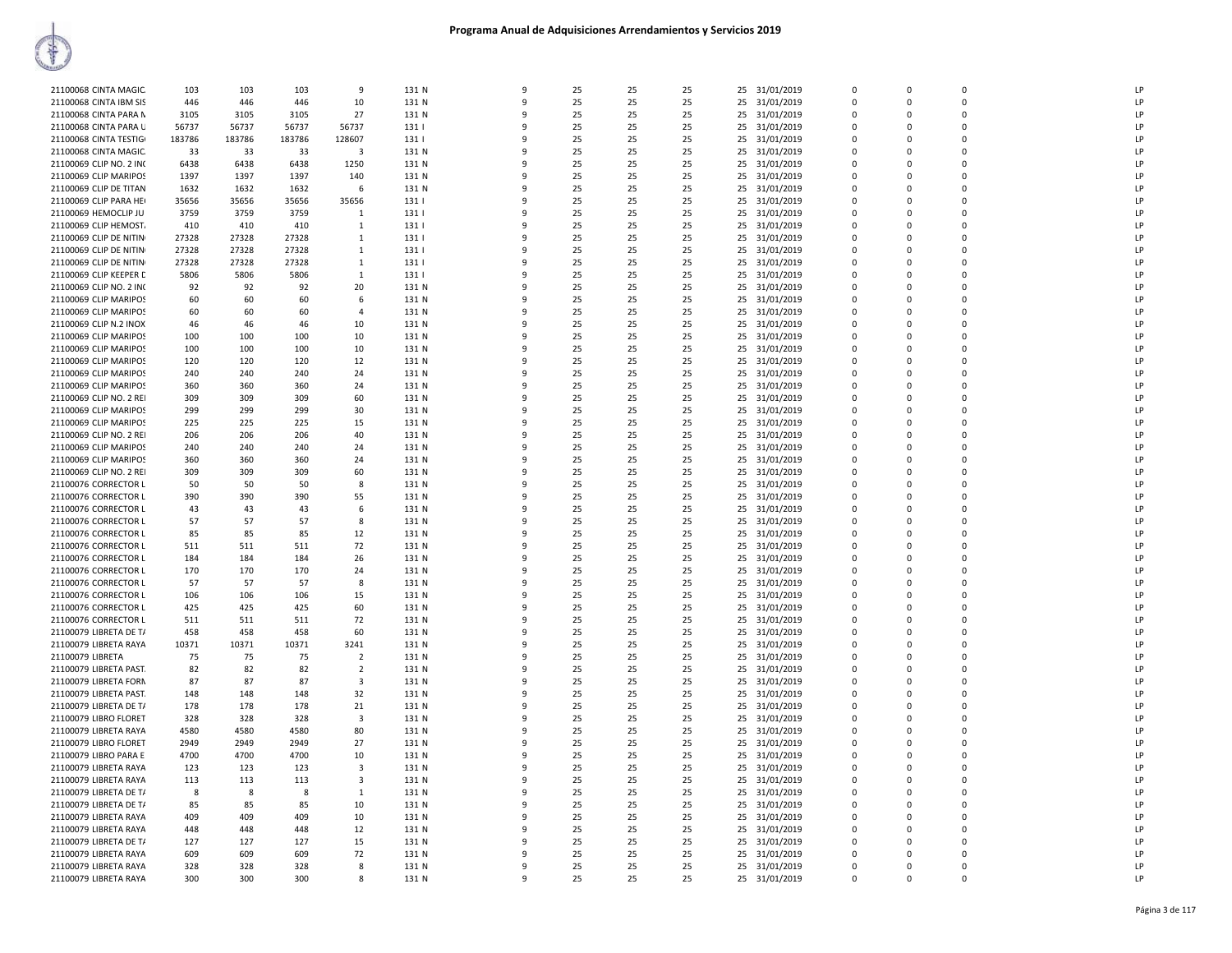| 21100068 CINTA MAGIC                           | 103        | 103        | 103        | 9              | 131 N          | 9      | 25       | 25       | 25       |    | 25 31/01/2019                  | $\Omega$             | $\Omega$                | $\Omega$                | LP             |
|------------------------------------------------|------------|------------|------------|----------------|----------------|--------|----------|----------|----------|----|--------------------------------|----------------------|-------------------------|-------------------------|----------------|
| 21100068 CINTA IBM SIS                         | 446        | 446        | 446        | 10             | 131 N          | 9      | 25       | 25       | 25       | 25 | 31/01/2019                     | 0                    | $\Omega$                | 0                       | LP             |
| 21100068 CINTA PARA N                          | 3105       | 3105       | 3105       | 27             | 131 N          | q      | 25       | 25       | 25       |    | 25 31/01/2019                  | $\Omega$             | $\Omega$                | $\Omega$                | LP             |
| 21100068 CINTA PARA U                          | 56737      | 56737      | 56737      | 56737          | 131            |        | 25       | 25       | 25       |    | 25 31/01/2019                  | 0                    | $\mathbf 0$             | $\mathbf 0$             | LP             |
| 21100068 CINTA TESTIG                          | 183786     | 183786     | 183786     | 128607         | 131            | ٩      | 25       | 25       | 25       | 25 | 31/01/2019                     | $\Omega$             | $\Omega$                | $\Omega$                | LP             |
| 21100068 CINTA MAGIC.                          | 33         | 33         | 33         | 3              | 131 N          |        | 25       | 25       | 25       | 25 | 31/01/2019                     | $\Omega$             | $\Omega$                | $\Omega$                | LP             |
| 21100069 CLIP NO. 2 INC                        | 6438       | 6438       | 6438       | 1250           | 131 N          | q      | 25       | 25       | 25       | 25 | 31/01/2019                     | $\Omega$             | $\Omega$                | $\Omega$                | LP             |
| 21100069 CLIP MARIPOS                          | 1397       | 1397       | 1397       | 140            | 131 N          | q      | 25       | 25       | 25       |    | 25 31/01/2019                  | $\Omega$             | $\Omega$                | $\Omega$                | LP             |
| 21100069 CLIP DE TITAN                         | 1632       | 1632       | 1632       | 6              | 131 N          | 9      | 25       | 25       | 25       | 25 | 31/01/2019                     | 0                    | $\mathbf 0$             | $\mathbf 0$             | LP             |
| 21100069 CLIP PARA HEI                         | 35656      | 35656      | 35656      | 35656          | 131            | q      | 25       | 25       | 25       | 25 | 31/01/2019                     | $\Omega$             | $\Omega$                | $\Omega$                | LP             |
| 21100069 HEMOCLIP JU                           | 3759       | 3759       | 3759       | $\mathbf{1}$   | 131            |        | 25       | 25       | 25       | 25 | 31/01/2019                     | $\Omega$             | $\Omega$                | $\Omega$                | LP             |
| 21100069 CLIP HEMOST.                          | 410        | 410        | 410        | 1              | 131            |        | 25       | 25       | 25       | 25 | 31/01/2019                     | $\Omega$             | $\Omega$                | $\Omega$                | I <sub>P</sub> |
| 21100069 CLIP DE NITIN                         | 27328      | 27328      | 27328      | $\mathbf{1}$   | 131            |        | 25       | 25       | 25       | 25 | 31/01/2019                     | $\Omega$             | $\Omega$                | $\Omega$                | LP             |
| 21100069 CLIP DE NITIN                         | 27328      | 27328      | 27328      | $\mathbf{1}$   | 131            | q      | 25       | 25       | 25       | 25 | 31/01/2019                     | $\Omega$             | $\Omega$                | $\Omega$                | LP             |
| 21100069 CLIP DE NITIN                         | 27328      | 27328      | 27328      | $\mathbf{1}$   | 131            | q      | 25       | 25       | 25       |    | 25 31/01/2019                  | 0                    | $\Omega$                | $\mathbf 0$             | LP             |
| 21100069 CLIP KEEPER D                         | 5806       | 5806       | 5806       | 1              | 131            | 9      | 25       | 25       | 25       | 25 | 31/01/2019                     | $\Omega$             | $\Omega$                | $\Omega$                | LP             |
| 21100069 CLIP NO. 2 INC                        | 92         | 92         | 92         | 20             | 131 N          | c      | 25       | 25       | 25       | 25 | 31/01/2019                     | $\Omega$             | $\Omega$                | $\Omega$                | LP             |
| 21100069 CLIP MARIPOS                          | 60         | 60         | 60         | 6              | 131 N          |        | 25       | 25       | 25       | 25 | 31/01/2019                     | $\Omega$             | $\Omega$                | $\Omega$                | LP             |
| 21100069 CLIP MARIPOS                          | 60         | 60         | 60         | $\overline{a}$ | 131 N          |        | 25       | 25       | 25       | 25 | 31/01/2019                     | 0                    | $\Omega$                | $\mathbf 0$             | LP             |
| 21100069 CLIP N.2 INOX                         | 46         | 46         | 46         | 10             | 131 N          |        | 25       | 25       | 25       |    | 25 31/01/2019                  | $\Omega$             | $\Omega$                | $\mathbf 0$             | LP             |
| 21100069 CLIP MARIPOS                          | 100        | 100        | 100        | 10             | 131 N          | ٩      | 25       | 25       | 25       | 25 | 31/01/2019                     | 0                    | $\Omega$                | $\mathbf 0$             | LP             |
| 21100069 CLIP MARIPOS                          | 100        | 100        | 100        | 10             | 131 N          | q      | 25       | 25       | 25       |    | 25 31/01/2019                  | $\Omega$             | $\Omega$                | $\Omega$                | LP             |
| 21100069 CLIP MARIPOS                          | 120        | 120        | 120        | 12             | 131 N          | 9      | 25       | 25       | 25       | 25 | 31/01/2019                     | 0                    | $\Omega$                | 0                       | LP             |
| 21100069 CLIP MARIPOS                          | 240        | 240        | 240        | 24             | 131 N          | q      | 25       | 25       | 25       | 25 | 31/01/2019                     | $\Omega$             | $\Omega$                | $\Omega$                | LP             |
| 21100069 CLIP MARIPOS                          | 360        | 360        | 360        | 24             | 131 N          |        | 25       | 25       | 25       |    | 25 31/01/2019                  | $\Omega$             | $\Omega$                | $\Omega$                | LP             |
| 21100069 CLIP NO. 2 REI                        | 309        | 309        | 309        | 60             | 131 N          | ٩      | 25       | 25       | 25       | 25 | 31/01/2019                     | 0                    | $\Omega$                | $\mathbf 0$             | LP             |
| 21100069 CLIP MARIPOS                          | 299        | 299        | 299        | 30             | 131 N          | c      | 25       | 25       | 25       |    | 25 31/01/2019                  | 0                    | $\Omega$                | $\mathbf 0$             | IP             |
| 21100069 CLIP MARIPOS                          | 225        | 225        | 225        | 15             | 131 N          | q      | 25       | 25       | 25       | 25 | 31/01/2019                     | $\Omega$             | $\Omega$                | $\Omega$                | LP             |
| 21100069 CLIP NO. 2 REI                        | 206        | 206        | 206        | 40             | 131 N          | q      | 25       | 25       | 25       | 25 | 31/01/2019                     | $\Omega$             | $\Omega$                | $\Omega$                | LP             |
| 21100069 CLIP MARIPOS                          | 240        | 240        | 240        | 24             | 131 N<br>131 N | 9<br>c | 25<br>25 | 25       | 25       | 25 | 31/01/2019                     | 0<br>$\Omega$        | $\Omega$                | $\mathbf 0$<br>$\Omega$ | LP<br>LP       |
| 21100069 CLIP MARIPOS                          | 360        | 360        | 360        | 24             |                |        |          | 25       | 25       | 25 | 31/01/2019                     |                      | $\Omega$                | $\mathbf 0$             |                |
| 21100069 CLIP NO. 2 REI                        | 309        | 309        | 309        | 60             | 131 N          |        | 25       | 25       | 25       |    | 25 31/01/2019                  | 0<br>$\Omega$        | $\mathbf 0$<br>$\Omega$ | $\Omega$                | LP<br>LP       |
| 21100076 CORRECTOR L<br>21100076 CORRECTOR L   | 50<br>390  | 50<br>390  | 50<br>390  | 8<br>55        | 131 N<br>131 N | q      | 25<br>25 | 25<br>25 | 25<br>25 | 25 | 31/01/2019<br>25 31/01/2019    | $\Omega$             | $\Omega$                | $\Omega$                | LP             |
| 21100076 CORRECTOR L                           | 43         | 43         | 43         | 6              | 131 N          | 9      | 25       | 25       | 25       |    | 25 31/01/2019                  | 0                    | $\Omega$                | $\Omega$                | LP             |
| 21100076 CORRECTOR L                           | 57         | 57         | 57         | 8              | 131 N          | 9      | 25       | 25       | 25       |    | 25 31/01/2019                  | $\Omega$             | $\Omega$                | $\Omega$                | LP             |
| 21100076 CORRECTOR L                           | 85         | 85         | 85         | 12             | 131 N          | 9      | 25       | 25       | 25       | 25 | 31/01/2019                     | 0                    | $\mathbf 0$             | $\mathbf 0$             | LP             |
| 21100076 CORRECTOR L                           | 511        | 511        | 511        | 72             | 131 N          | ٩      | 25       | 25       | 25       | 25 | 31/01/2019                     | $\Omega$             | $\Omega$                | $\Omega$                | LP             |
| 21100076 CORRECTOR L                           | 184        | 184        | 184        | 26             | 131 N          |        | 25       | 25       | 25       |    | 25 31/01/2019                  | $\Omega$             | $\Omega$                | $\Omega$                | LP             |
| 21100076 CORRECTOR L                           | 170        | 170        | 170        | 24             | 131 N          |        | 25       | 25       | 25       | 25 | 31/01/2019                     | $\Omega$             | $\Omega$                | 0                       | I <sub>P</sub> |
| 21100076 CORRECTOR L                           | 57         | 57         | 57         | 8              | 131 N          |        | 25       | 25       | 25       |    | 25 31/01/2019                  | $\Omega$             | $\Omega$                | $\Omega$                | LP             |
| 21100076 CORRECTOR L                           | 106        | 106        | 106        | 15             | 131 N          |        | 25       | 25       | 25       | 25 | 31/01/2019                     | 0                    | $\Omega$                | $\mathbf 0$             | LP             |
| 21100076 CORRECTOR L                           | 425        | 425        | 425        | 60             | 131 N          | 9      | 25       | 25       | 25       | 25 | 31/01/2019                     | $\Omega$             | $\Omega$                | $\mathbf 0$             | LP             |
| 21100076 CORRECTOR L                           | 511        | 511        | 511        | 72             | 131 N          | 9      | 25       | 25       | 25       | 25 | 31/01/2019                     | $\Omega$             | $\Omega$                | $\Omega$                | LP             |
| 21100079 LIBRETA DE T/                         | 458        | 458        | 458        | 60             | 131 N          | c      | 25       | 25       | 25       | 25 | 31/01/2019                     | $\Omega$             | $\Omega$                | $\Omega$                | LP             |
| 21100079 LIBRETA RAYA                          | 10371      | 10371      | 10371      | 3241           | 131 N          |        | 25       | 25       | 25       | 25 | 31/01/2019                     | $\Omega$             | $\Omega$                | $\Omega$                | LP             |
| 21100079 LIBRETA                               | 75         | 75         | 75         | 2              | 131 N          |        | 25       | 25       | 25       | 25 | 31/01/2019                     | 0                    | $\Omega$                | $\mathbf 0$             | LP             |
| 21100079 LIBRETA PAST.                         | 82         | 82         | 82         | $\overline{2}$ | 131 N          |        | 25       | 25       | 25       |    | 25 31/01/2019                  | $\Omega$             | $\Omega$                | $\mathbf 0$             | LP             |
| 21100079 LIBRETA FORN                          | 87         | 87         | 87         | 3              | 131 N          | ۰      | 25       | 25       | 25       | 25 | 31/01/2019                     | $\Omega$             | $\Omega$                | $\Omega$                | LP             |
| 21100079 LIBRETA PAST.                         | 148        | 148        | 148        | 32             | 131 N          | q      | 25       | 25       | 25       | 25 | 31/01/2019                     | $\Omega$             | $\Omega$                | $\Omega$                | LP             |
| 21100079 LIBRETA DE T/                         | 178        | 178        | 178        | 21             | 131 N          | 9      | 25       | 25       | 25       | 25 | 31/01/2019                     | $\Omega$             | $\Omega$                | $\Omega$                | LP             |
| 21100079 LIBRO FLORET                          | 328        | 328        | 328        | 3              | 131 N          | ٩      | 25       | 25       | 25       | 25 | 31/01/2019                     | $\Omega$             | $\Omega$                | $\Omega$                | LP             |
| 21100079 LIBRETA RAYA                          | 4580       | 4580       | 4580       | 80             | 131 N          |        | 25       | 25       | 25       | 25 | 31/01/2019                     | $\Omega$             | $\Omega$                | $\mathbf 0$             | LP             |
| 21100079 LIBRO FLORET                          | 2949       | 2949       | 2949       | 27             | 131 N          | ٩      | 25       | 25       | 25       | 25 | 31/01/2019                     | 0                    | $\Omega$                | $\mathbf 0$             | LP             |
| 21100079 LIBRO PARA E                          | 4700       | 4700       | 4700       | 10             | 131 N          | q      | 25       | 25       | 25       |    | 25 31/01/2019                  | $\Omega$             | $\Omega$                | $\Omega$                | LP             |
| 21100079 LIBRETA RAYA                          | 123        | 123        | 123        | 3              | 131 N          | q      | 25       | 25       | 25       |    | 25 31/01/2019                  | $\Omega$             | $\Omega$                | $\Omega$                | LP             |
| 21100079 LIBRETA RAYA                          | 113        | 113        | 113        | 3              | 131 N          | 9      | 25       | 25       | 25       | 25 | 31/01/2019                     | $\Omega$             | $\Omega$                | $\Omega$                | LP             |
| 21100079 LIBRETA DE T/                         | 8          | 8          | 8          | 1              | 131 N          | 9      | 25       | 25       | 25       | 25 | 31/01/2019                     | $\Omega$             | $\Omega$                | $\Omega$                | LP             |
| 21100079 LIBRETA DE T/                         | 85         | 85         | 85         | 10             | 131 N          | q      | 25       | 25       | 25       | 25 | 31/01/2019                     | 0                    | $\Omega$                | $\Omega$                | LP             |
| 21100079 LIBRETA RAYA                          | 409        | 409        | 409        | 10             | 131 N          |        | 25       | 25       | 25       |    | 25 31/01/2019                  | $\mathbf 0$          | $\Omega$                | $\Omega$                | IP             |
| 21100079 LIBRETA RAYA                          | 448        | 448        | 448        | 12             | 131 N          |        | 25       | 25       | 25       | 25 | 31/01/2019                     | $\Omega$             | $\Omega$                | $\Omega$                | LP             |
| 21100079 LIBRETA DE T/                         | 127        | 127        | 127        | 15             | 131 N          | q      | 25       | 25       | 25       |    | 25 31/01/2019                  | $\Omega$             | $\Omega$                | $\Omega$                | LP             |
| 21100079 LIBRETA RAYA<br>21100079 LIBRETA RAYA | 609<br>328 | 609<br>328 | 609<br>328 | 72<br>8        | 131 N<br>131 N | 9      | 25<br>25 | 25<br>25 | 25<br>25 | 25 | 31/01/2019                     | $\Omega$<br>$\Omega$ | $\Omega$<br>$\Omega$    | $\Omega$<br>$\Omega$    | LP<br>LP       |
| 21100079 LIBRETA RAYA                          | 300        | 300        | 300        | 8              | 131 N          | 9      | 25       | 25       | 25       |    | 25 31/01/2019<br>25 31/01/2019 | 0                    | $\Omega$                | $\mathbf 0$             | LP             |
|                                                |            |            |            |                |                |        |          |          |          |    |                                |                      |                         |                         |                |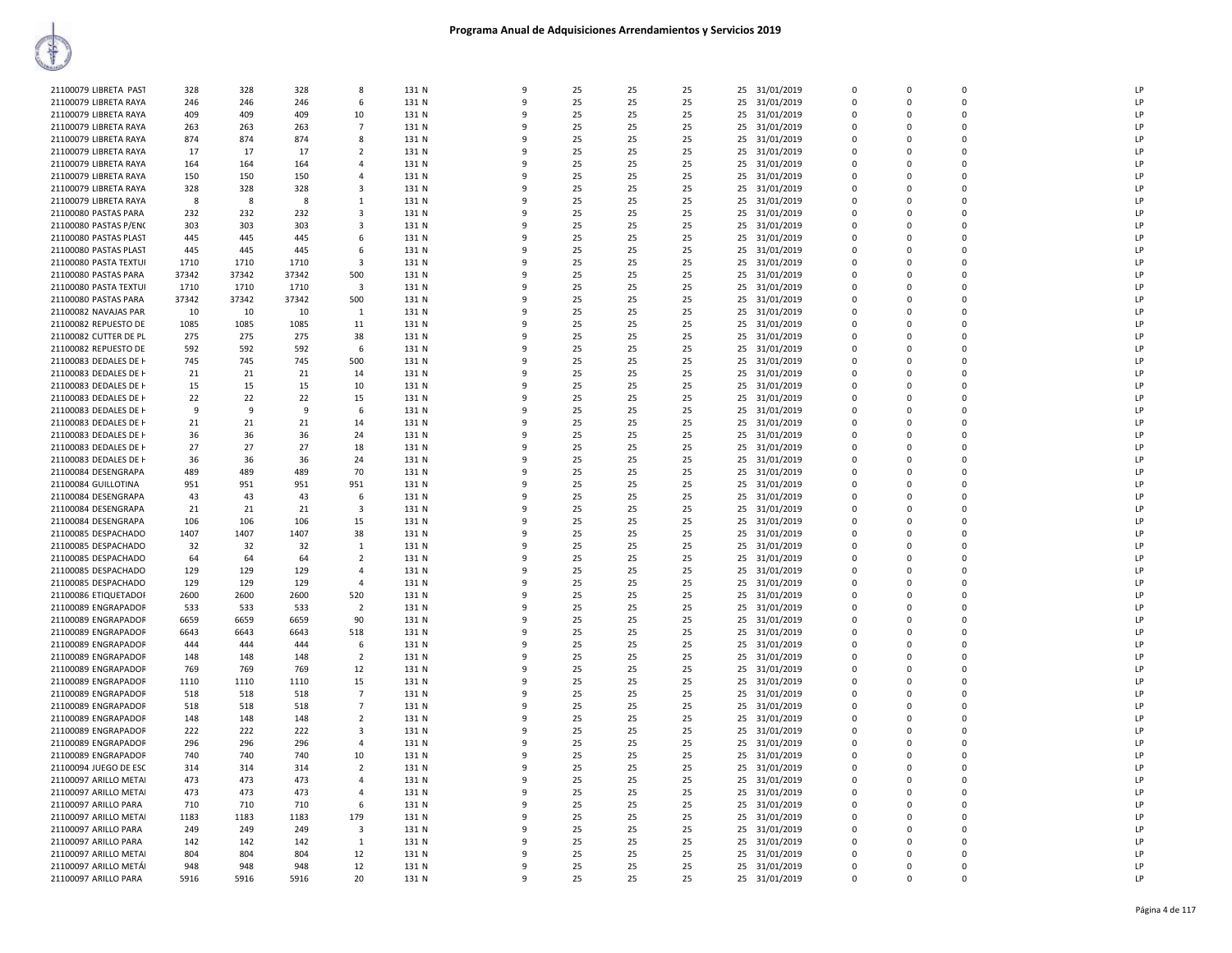| 21100079 LIBRETA PAST | 328   | 328   | 328   | 8                                | 131 N | 9            | 25 | 25 | 25 |    | 25 31/01/2019 | $\Omega$ | $\Omega$                | $\Omega$      | 1P        |
|-----------------------|-------|-------|-------|----------------------------------|-------|--------------|----|----|----|----|---------------|----------|-------------------------|---------------|-----------|
| 21100079 LIBRETA RAYA | 246   | 246   | 246   | 6                                | 131 N | 9            | 25 | 25 | 25 |    | 25 31/01/2019 | $\Omega$ | $\Omega$                | $\Omega$      | LP        |
| 21100079 LIBRETA RAYA | 409   | 409   | 409   | 10                               | 131 N | q            | 25 | 25 | 25 |    | 25 31/01/2019 | 0        | $\Omega$                | $\Omega$      | LP        |
| 21100079 LIBRETA RAYA | 263   | 263   | 263   | $\overline{7}$                   | 131 N | 9            | 25 | 25 | 25 |    | 25 31/01/2019 | $\Omega$ | $\Omega$                | $\Omega$      | LP        |
| 21100079 LIBRETA RAYA | 874   | 874   | 874   | 8                                | 131 N | q            | 25 | 25 | 25 |    | 25 31/01/2019 | 0        | $\Omega$                | $\mathbf 0$   | LP        |
| 21100079 LIBRETA RAYA | 17    | 17    | 17    | $\overline{2}$                   | 131 N | $\mathbf{q}$ | 25 | 25 | 25 |    | 25 31/01/2019 | $\Omega$ | $\Omega$                | $\Omega$      | LP        |
| 21100079 LIBRETA RAYA | 164   | 164   | 164   | $\overline{4}$                   | 131 N | q            | 25 | 25 | 25 |    | 25 31/01/2019 | $\Omega$ | $\Omega$                | $\Omega$      | LP        |
| 21100079 LIBRETA RAYA | 150   | 150   | 150   | $\overline{4}$                   | 131 N | 9            | 25 | 25 | 25 |    | 25 31/01/2019 | $\Omega$ | $\Omega$                | $\Omega$      | LP        |
| 21100079 LIBRETA RAYA | 328   | 328   | 328   | 3                                | 131 N | q            | 25 | 25 | 25 |    | 25 31/01/2019 | $\Omega$ | $\Omega$                | $\Omega$      | LP        |
| 21100079 LIBRETA RAYA | 8     | 8     | 8     | 1                                | 131 N | $\mathbf{q}$ | 25 | 25 | 25 |    | 25 31/01/2019 | 0        | $\Omega$                | $\Omega$      | <b>IP</b> |
| 21100080 PASTAS PARA  | 232   | 232   | 232   | $\overline{\mathbf{3}}$          | 131 N | q            | 25 | 25 | 25 |    | 25 31/01/2019 | 0        | $\Omega$                | $\Omega$      | LP        |
| 21100080 PASTAS P/ENO | 303   | 303   | 303   | 3                                | 131 N | q            | 25 | 25 | 25 |    | 25 31/01/2019 | 0        | 0                       | $\mathbf 0$   | LP        |
| 21100080 PASTAS PLAST | 445   | 445   | 445   | 6                                | 131 N | $\mathbf{q}$ | 25 | 25 | 25 |    | 25 31/01/2019 | $\Omega$ | $\Omega$                | $\Omega$      | LP        |
| 21100080 PASTAS PLAST | 445   | 445   | 445   | 6                                | 131 N | q            | 25 | 25 | 25 |    | 25 31/01/2019 | $\Omega$ | $\Omega$                | $\Omega$      | LP        |
| 21100080 PASTA TEXTUI | 1710  | 1710  | 1710  | $\overline{\mathbf{3}}$          | 131 N | q            | 25 | 25 | 25 |    | 25 31/01/2019 | $\Omega$ | $\Omega$                | $\Omega$      | LP        |
| 21100080 PASTAS PARA  | 37342 | 37342 | 37342 | 500                              | 131 N | 9            | 25 | 25 | 25 | 25 | 31/01/2019    | 0        | $\mathbf 0$             | $\Omega$      | LP        |
|                       |       |       |       |                                  |       | $\mathbf{q}$ |    |    |    |    |               |          | $\Omega$                |               | LP        |
| 21100080 PASTA TEXTUI | 1710  | 1710  | 1710  | $\overline{\mathbf{3}}$          | 131 N |              | 25 | 25 | 25 |    | 25 31/01/2019 | 0        |                         | n             |           |
| 21100080 PASTAS PARA  | 37342 | 37342 | 37342 | 500                              | 131 N | q            | 25 | 25 | 25 |    | 25 31/01/2019 | 0        | $\Omega$                | $\Omega$      | LP        |
| 21100082 NAVAJAS PAR  | 10    | 10    | 10    | $\mathbf{1}$                     | 131 N | q            | 25 | 25 | 25 |    | 25 31/01/2019 | 0        | 0                       | $\mathbf 0$   | LP        |
| 21100082 REPUESTO DE  | 1085  | 1085  | 1085  | 11                               | 131 N | $\mathbf{q}$ | 25 | 25 | 25 |    | 25 31/01/2019 | $\Omega$ | $\Omega$                | $\Omega$      | LP        |
| 21100082 CUTTER DE PL | 275   | 275   | 275   | 38                               | 131 N | q            | 25 | 25 | 25 |    | 25 31/01/2019 | $\Omega$ | $\Omega$                | $\Omega$      | LP        |
| 21100082 REPUESTO DE  | 592   | 592   | 592   | 6                                | 131 N | q            | 25 | 25 | 25 |    | 25 31/01/2019 | $\Omega$ | $\Omega$                | $\Omega$      | LP        |
| 21100083 DEDALES DE H | 745   | 745   | 745   | 500                              | 131 N | 9            | 25 | 25 | 25 | 25 | 31/01/2019    | 0        | $\mathbf 0$             | $\Omega$      | LP        |
| 21100083 DEDALES DE H | 21    | 21    | 21    | 14                               | 131 N | 9            | 25 | 25 | 25 |    | 25 31/01/2019 | $\Omega$ | $\Omega$                | $\Omega$      | LP        |
| 21100083 DEDALES DE H | 15    | 15    | 15    | 10                               | 131 N | q            | 25 | 25 | 25 |    | 25 31/01/2019 | 0        | $\Omega$                | $\Omega$      | LP        |
| 21100083 DEDALES DE H | 22    | 22    | 22    | 15                               | 131 N | q            | 25 | 25 | 25 |    | 25 31/01/2019 | 0        | 0                       | $\mathbf 0$   | P         |
| 21100083 DEDALES DE H | 9     | -9    | 9     | 6                                | 131 N | $\mathbf{q}$ | 25 | 25 | 25 |    | 25 31/01/2019 | $\Omega$ | $\Omega$                | $\Omega$      | LP        |
| 21100083 DEDALES DE H | 21    | 21    | 21    | 14                               | 131 N | q            | 25 | 25 | 25 |    | 25 31/01/2019 | $\Omega$ | $\Omega$                | $\Omega$      | LP        |
| 21100083 DEDALES DE H | 36    | 36    | 36    | 24                               | 131 N | q            | 25 | 25 | 25 |    | 25 31/01/2019 | $\Omega$ | $\Omega$                | $\Omega$      | LP        |
| 21100083 DEDALES DE H | 27    | 27    | 27    | 18                               | 131 N | 9            | 25 | 25 | 25 | 25 | 31/01/2019    | 0        | $\mathbf 0$             | $\Omega$      | LP        |
| 21100083 DEDALES DE H | 36    | 36    | 36    | 24                               | 131 N | 9            | 25 | 25 | 25 |    | 25 31/01/2019 | $\Omega$ | $\Omega$                | $\mathbf{0}$  | LP        |
| 21100084 DESENGRAPA   | 489   | 489   | 489   | 70                               | 131 N | q            | 25 | 25 | 25 |    | 25 31/01/2019 | 0        | 0                       | 0             | LP        |
| 21100084 GUILLOTINA   | 951   | 951   | 951   | 951                              | 131 N | q            | 25 | 25 | 25 |    | 25 31/01/2019 | $\Omega$ | $\Omega$                | $\Omega$      | LP        |
| 21100084 DESENGRAPA   | 43    | 43    | 43    | 6                                | 131 N | $\mathbf{q}$ | 25 | 25 | 25 |    | 25 31/01/2019 | $\Omega$ | $\Omega$                | $\Omega$      | LP        |
| 21100084 DESENGRAPA   | 21    | 21    | 21    | 3                                | 131 N | q            | 25 | 25 | 25 |    | 25 31/01/2019 | $\Omega$ | $\Omega$                | $\Omega$      | LP        |
| 21100084 DESENGRAPA   | 106   | 106   | 106   | 15                               | 131 N | 9            | 25 | 25 | 25 |    | 25 31/01/2019 | $\Omega$ | $\Omega$                | $\Omega$      | LP        |
| 21100085 DESPACHADO   | 1407  | 1407  | 1407  | 38                               | 131 N | 9            | 25 | 25 | 25 | 25 | 31/01/2019    | 0        | $\mathbf 0$             | $\Omega$      | LP        |
| 21100085 DESPACHADO   | 32    | 32    | 32    | 1                                | 131 N | $\mathbf{q}$ | 25 | 25 | 25 |    | 25 31/01/2019 | 0        | $\Omega$                | $\Omega$      | LP        |
| 21100085 DESPACHADO   | 64    | 64    | 64    | $\overline{2}$                   | 131 N | q            | 25 | 25 | 25 |    | 25 31/01/2019 | 0        | $\Omega$                | $\Omega$      | LP        |
| 21100085 DESPACHADO   | 129   | 129   | 129   | $\overline{4}$                   | 131 N | q            | 25 | 25 | 25 |    | 25 31/01/2019 | $\Omega$ | $\Omega$                | $\Omega$      | LP        |
| 21100085 DESPACHADO   | 129   | 129   | 129   | $\overline{4}$                   | 131 N | q            | 25 | 25 | 25 |    | 25 31/01/2019 | $\Omega$ | $\Omega$                | $\Omega$      | LP        |
| 21100086 ETIQUETADOR  | 2600  | 2600  | 2600  | 520                              | 131 N | q            | 25 | 25 | 25 |    | 25 31/01/2019 | $\Omega$ | $\Omega$                | $\Omega$      | LP        |
| 21100089 ENGRAPADOR   | 533   | 533   | 533   | $\overline{2}$                   | 131 N | 9            | 25 | 25 | 25 |    | 25 31/01/2019 | $\Omega$ | $\Omega$                | $\Omega$      | LP        |
| 21100089 ENGRAPADOR   | 6659  | 6659  | 6659  | 90                               | 131 N | 9            | 25 | 25 | 25 | 25 | 31/01/2019    | 0        | 0                       | $\Omega$      | LP        |
| 21100089 ENGRAPADOR   | 6643  | 6643  | 6643  | 518                              | 131 N | $\mathbf{q}$ | 25 | 25 | 25 |    | 25 31/01/2019 | 0        | $\Omega$                | $\Omega$      | LP        |
| 21100089 ENGRAPADOR   | 444   | 444   | 444   | 6                                | 131 N | q            | 25 | 25 | 25 |    | 25 31/01/2019 | 0        | $\Omega$                | $\Omega$      | LP        |
| 21100089 ENGRAPADOR   | 148   | 148   | 148   | $\overline{2}$                   | 131 N | q            | 25 | 25 | 25 |    | 25 31/01/2019 | $\Omega$ | $\Omega$                | $\Omega$      | LP        |
| 21100089 ENGRAPADOR   | 769   | 769   | 769   | 12                               | 131 N | q            | 25 | 25 | 25 |    | 25 31/01/2019 | $\Omega$ | $\Omega$                | $\Omega$      | LP        |
| 21100089 ENGRAPADOR   | 1110  | 1110  | 1110  | 15                               | 131 N | q            | 25 | 25 | 25 |    | 25 31/01/2019 | 0        | $\Omega$                | n             | LP        |
| 21100089 ENGRAPADOR   | 518   | 518   | 518   | $\overline{7}$                   | 131 N | 9            | 25 | 25 | 25 |    | 25 31/01/2019 | $\Omega$ | $\Omega$                | $\Omega$      | LP        |
| 21100089 ENGRAPADOR   | 518   | 518   | 518   | $\overline{7}$                   | 131 N | 9            | 25 | 25 | 25 | 25 | 31/01/2019    | 0        | 0                       | $\Omega$      | LP        |
| 21100089 ENGRAPADOR   | 148   | 148   | 148   | $\overline{2}$                   | 131 N | $\mathbf{q}$ | 25 | 25 | 25 |    | 25 31/01/2019 | 0        | $\Omega$                | $\Omega$      | LP        |
| 21100089 ENGRAPADOR   | 222   | 222   | 222   | $\overline{\mathbf{3}}$          | 131 N | q            | 25 | 25 | 25 |    | 25 31/01/2019 | 0        | $\Omega$                | $\Omega$      | LP        |
|                       |       | 296   | 296   | $\overline{4}$                   | 131 N | q            | 25 | 25 | 25 |    |               | 0        | $\Omega$                | $\Omega$      | LP        |
| 21100089 ENGRAPADOR   | 296   |       |       |                                  |       | q            | 25 |    | 25 |    | 25 31/01/2019 | $\Omega$ | $\Omega$                | $\Omega$      | LP        |
| 21100089 ENGRAPADOR   | 740   | 740   | 740   | 10                               | 131 N | $\mathbf{q}$ |    | 25 |    |    | 25 31/01/2019 |          |                         |               | LP        |
| 21100094 JUEGO DE ESC | 314   | 314   | 314   | $\overline{2}$<br>$\overline{4}$ | 131 N | 9            | 25 | 25 | 25 |    | 25 31/01/2019 | 0<br>0   | $\Omega$<br>$\mathbf 0$ | n<br>$\Omega$ | LP        |
| 21100097 ARILLO METAI | 473   | 473   | 473   |                                  | 131 N |              | 25 | 25 | 25 |    | 25 31/01/2019 |          |                         |               |           |
| 21100097 ARILLO METAI | 473   | 473   | 473   | $\overline{4}$                   | 131 N | 9            | 25 | 25 | 25 | 25 | 31/01/2019    | 0        | $\mathbf 0$             | $\Omega$      | LP        |
| 21100097 ARILLO PARA  | 710   | 710   | 710   | 6                                | 131 N | $\mathbf{q}$ | 25 | 25 | 25 |    | 25 31/01/2019 | 0        | $\Omega$                | $\Omega$      | LP        |
| 21100097 ARILLO METAI | 1183  | 1183  | 1183  | 179                              | 131 N | q            | 25 | 25 | 25 |    | 25 31/01/2019 | $\Omega$ | $\Omega$                | $\Omega$      | LP        |
| 21100097 ARILLO PARA  | 249   | 249   | 249   | 3                                | 131 N | q            | 25 | 25 | 25 |    | 25 31/01/2019 | 0        | $\Omega$                | $\Omega$      | LP        |
| 21100097 ARILLO PARA  | 142   | 142   | 142   | 1                                | 131 N | q            | 25 | 25 | 25 |    | 25 31/01/2019 | $\Omega$ | $\Omega$                | $\Omega$      | LP        |
| 21100097 ARILLO METAI | 804   | 804   | 804   | 12                               | 131 N | q            | 25 | 25 | 25 |    | 25 31/01/2019 | $\Omega$ | $\Omega$                | $\Omega$      | LP        |
| 21100097 ARILLO METÁI | 948   | 948   | 948   | 12                               | 131 N | 9            | 25 | 25 | 25 |    | 25 31/01/2019 | 0        | $\Omega$                | $\Omega$      | LP        |
| 21100097 ARILLO PARA  | 5916  | 5916  | 5916  | 20                               | 131 N | 9            | 25 | 25 | 25 |    | 25 31/01/2019 | $\Omega$ | $\Omega$                | $\Omega$      | LP        |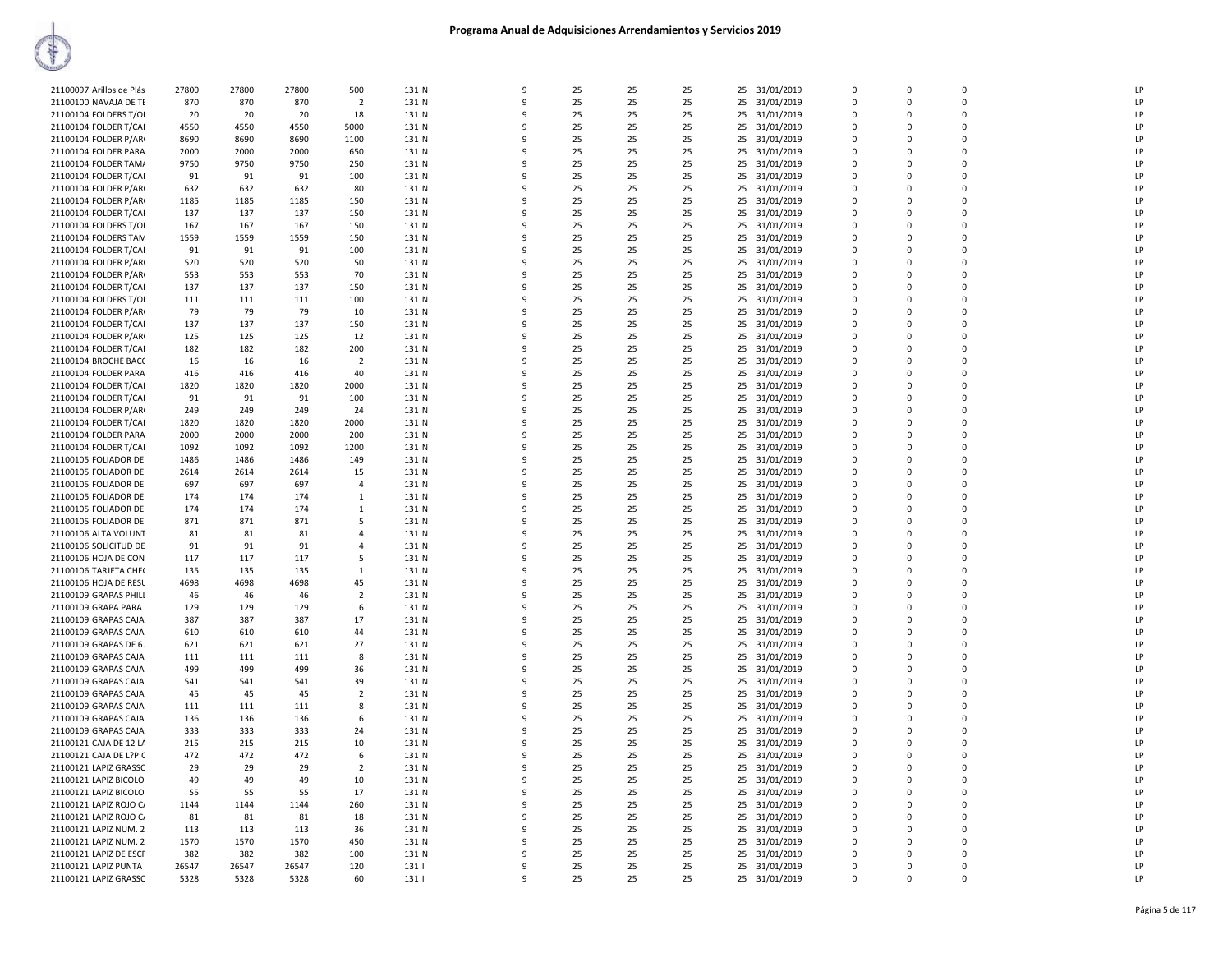| 21100097 Arillos de Plás | 27800 | 27800 | 27800 | 500            | 131 N | 9 | 25 | 25 | 25 |    | 25 31/01/2019 | $\Omega$    | $\Omega$    | $\Omega$    | LP |
|--------------------------|-------|-------|-------|----------------|-------|---|----|----|----|----|---------------|-------------|-------------|-------------|----|
| 21100100 NAVAJA DE TE    | 870   | 870   | 870   | $\overline{2}$ | 131 N | 9 | 25 | 25 | 25 | 25 | 31/01/2019    | 0           | $\Omega$    | $\Omega$    | LP |
| 21100104 FOLDERS T/OI    | 20    | 20    | 20    | 18             | 131 N | 9 | 25 | 25 | 25 | 25 | 31/01/2019    | $\mathbf 0$ | $\Omega$    | $\Omega$    | LP |
| 21100104 FOLDER T/CAI    | 4550  | 4550  | 4550  | 5000           | 131 N | q | 25 | 25 | 25 | 25 | 31/01/2019    | $\Omega$    | $\Omega$    | $\Omega$    | LP |
| 21100104 FOLDER P/AR0    | 8690  | 8690  | 8690  | 1100           | 131 N |   | 25 | 25 | 25 | 25 | 31/01/2019    | $\Omega$    | $\Omega$    | $\Omega$    | LP |
| 21100104 FOLDER PARA     | 2000  | 2000  | 2000  | 650            | 131 N |   | 25 | 25 | 25 | 25 | 31/01/2019    | $\mathbf 0$ | $\Omega$    | $\mathbf 0$ | LP |
| 21100104 FOLDER TAM/     | 9750  | 9750  | 9750  | 250            | 131 N | q | 25 | 25 | 25 | 25 | 31/01/2019    | $\Omega$    | $\Omega$    | $\Omega$    | LP |
| 21100104 FOLDER T/CAF    | 91    | 91    | 91    | 100            | 131 N |   | 25 | 25 | 25 | 25 | 31/01/2019    | $\mathbf 0$ | $\Omega$    | $\mathbf 0$ | LP |
| 21100104 FOLDER P/AR0    | 632   | 632   | 632   | 80             | 131 N | q | 25 | 25 | 25 | 25 | 31/01/2019    | $\mathbf 0$ | $\Omega$    | $\mathbf 0$ | LP |
| 21100104 FOLDER P/AR0    | 1185  | 1185  | 1185  | 150            | 131 N | q | 25 | 25 | 25 | 25 | 31/01/2019    | $\Omega$    | $\Omega$    | $\Omega$    | LP |
| 21100104 FOLDER T/CAI    | 137   | 137   | 137   | 150            | 131 N |   | 25 | 25 | 25 | 25 | 31/01/2019    | $\Omega$    | $\Omega$    | $\Omega$    | LP |
| 21100104 FOLDERS T/OF    | 167   | 167   | 167   | 150            | 131 N |   | 25 | 25 | 25 | 25 | 31/01/2019    | $\Omega$    | $\Omega$    | $\Omega$    | LP |
| 21100104 FOLDERS TAM     | 1559  | 1559  | 1559  | 150            | 131 N |   | 25 | 25 | 25 | 25 | 31/01/2019    | $\mathbf 0$ | $\Omega$    | $\mathbf 0$ | LP |
| 21100104 FOLDER T/CAF    | 91    | 91    | 91    | 100            | 131 N | q | 25 | 25 | 25 | 25 | 31/01/2019    | $\Omega$    | $\Omega$    | $\Omega$    | LP |
| 21100104 FOLDER P/AR     | 520   | 520   | 520   | 50             | 131 N |   | 25 | 25 | 25 |    | 31/01/2019    | $\Omega$    | $\Omega$    | $\Omega$    | LP |
|                          |       |       |       |                |       | q |    |    |    | 25 |               | $\mathbf 0$ | $\Omega$    | $\Omega$    | LP |
| 21100104 FOLDER P/AR     | 553   | 553   | 553   | 70             | 131 N |   | 25 | 25 | 25 | 25 | 31/01/2019    |             |             |             |    |
| 21100104 FOLDER T/CAF    | 137   | 137   | 137   | 150            | 131 N | q | 25 | 25 | 25 | 25 | 31/01/2019    | $\Omega$    | $\Omega$    | $\Omega$    | LP |
| 21100104 FOLDERS T/OI    | 111   | 111   | 111   | 100            | 131 N |   | 25 | 25 | 25 | 25 | 31/01/2019    | $\Omega$    | $\Omega$    | $\Omega$    | LP |
| 21100104 FOLDER P/AR0    | 79    | 79    | 79    | 10             | 131 N |   | 25 | 25 | 25 | 25 | 31/01/2019    | $\mathbf 0$ | $\Omega$    | $\Omega$    | LP |
| 21100104 FOLDER T/CAF    | 137   | 137   | 137   | 150            | 131 N |   | 25 | 25 | 25 | 25 | 31/01/2019    | $\mathbf 0$ | $\Omega$    | $\mathbf 0$ | LP |
| 21100104 FOLDER P/AR     | 125   | 125   | 125   | 12             | 131 N | q | 25 | 25 | 25 | 25 | 31/01/2019    | $\Omega$    | $\Omega$    | $\Omega$    | LP |
| 21100104 FOLDER T/CAF    | 182   | 182   | 182   | 200            | 131 N |   | 25 | 25 | 25 | 25 | 31/01/2019    | $\Omega$    | $\Omega$    | $\Omega$    | LP |
| 21100104 BROCHE BACC     | 16    | 16    | 16    | $\overline{2}$ | 131 N | 9 | 25 | 25 | 25 | 25 | 31/01/2019    | 0           | $\Omega$    | $\Omega$    | LP |
| 21100104 FOLDER PARA     | 416   | 416   | 416   | 40             | 131 N | 9 | 25 | 25 | 25 | 25 | 31/01/2019    | $\mathbf 0$ | $\Omega$    | $\Omega$    | LP |
| 21100104 FOLDER T/CAF    | 1820  | 1820  | 1820  | 2000           | 131 N |   | 25 | 25 | 25 | 25 | 31/01/2019    | $\mathbf 0$ | $\Omega$    | $\mathbf 0$ | LP |
| 21100104 FOLDER T/CAF    | 91    | 91    | 91    | 100            | 131 N |   | 25 | 25 | 25 | 25 | 31/01/2019    | $\mathbf 0$ | $\Omega$    | $\Omega$    | LP |
| 21100104 FOLDER P/AR0    | 249   | 249   | 249   | 24             | 131 N |   | 25 | 25 | 25 | 25 | 31/01/2019    | $\Omega$    |             | $\Omega$    | LP |
| 21100104 FOLDER T/CAF    | 1820  | 1820  | 1820  | 2000           | 131 N | q | 25 | 25 | 25 | 25 | 31/01/2019    | $\Omega$    | $\Omega$    | $\Omega$    | LP |
| 21100104 FOLDER PARA     | 2000  | 2000  | 2000  | 200            | 131 N |   | 25 | 25 | 25 | 25 | 31/01/2019    | $\Omega$    | $\Omega$    | $\Omega$    | LP |
| 21100104 FOLDER T/CAF    | 1092  | 1092  | 1092  | 1200           | 131 N | 9 | 25 | 25 | 25 | 25 | 31/01/2019    | $\mathbf 0$ | $\Omega$    | $\mathbf 0$ | LP |
| 21100105 FOLIADOR DE     | 1486  | 1486  | 1486  | 149            | 131 N | q | 25 | 25 | 25 | 25 | 31/01/2019    | $\mathbf 0$ | $\Omega$    | $\Omega$    | LP |
| 21100105 FOLIADOR DE     | 2614  | 2614  | 2614  | 15             | 131 N | q | 25 | 25 | 25 | 25 | 31/01/2019    | $\Omega$    | n           | $\Omega$    | LP |
| 21100105 FOLIADOR DE     | 697   | 697   | 697   | $\overline{4}$ | 131 N | q | 25 | 25 | 25 | 25 | 31/01/2019    | $\Omega$    | $\Omega$    | $\Omega$    | LP |
| 21100105 FOLIADOR DE     | 174   | 174   | 174   | 1              | 131 N |   | 25 | 25 | 25 | 25 | 31/01/2019    | $\Omega$    | $\Omega$    | $\Omega$    | LP |
| 21100105 FOLIADOR DE     | 174   | 174   | 174   | -1             | 131 N | q | 25 | 25 | 25 | 25 | 31/01/2019    | $\Omega$    | $\Omega$    | $\Omega$    | LP |
| 21100105 FOLIADOR DE     | 871   | 871   | 871   | 5              | 131 N | 9 | 25 | 25 | 25 | 25 | 31/01/2019    | $\mathbf 0$ | $\Omega$    | $\mathbf 0$ | LP |
| 21100106 ALTA VOLUNT     | 81    | 81    | 81    | $\overline{4}$ | 131 N | 9 | 25 | 25 | 25 | 25 | 31/01/2019    | $\mathbf 0$ | $\mathbf 0$ | $\mathbf 0$ | LP |
| 21100106 SOLICITUD DE    | 91    | 91    | 91    | $\overline{a}$ | 131 N | q | 25 | 25 | 25 | 25 | 31/01/2019    | $\Omega$    | $\Omega$    | $\Omega$    | LP |
| 21100106 HOJA DE CON     | 117   | 117   | 117   | 5              | 131 N |   | 25 | 25 | 25 | 25 | 31/01/2019    | $\Omega$    | $\Omega$    | $\Omega$    | LP |
| 21100106 TARJETA CHE(    | 135   | 135   | 135   | -1             | 131 N |   | 25 | 25 | 25 | 25 | 31/01/2019    | $\Omega$    | $\Omega$    | $\Omega$    | LP |
| 21100106 HOJA DE RESL    | 4698  | 4698  | 4698  | 45             | 131 N |   | 25 | 25 | 25 | 25 | 31/01/2019    | $\mathbf 0$ | $\Omega$    | $\mathbf 0$ | LP |
| 21100109 GRAPAS PHILL    | 46    | 46    | 46    | $\overline{2}$ | 131 N | q | 25 | 25 | 25 | 25 | 31/01/2019    | $\Omega$    | $\Omega$    | $\Omega$    | LP |
| 21100109 GRAPA PARA      | 129   | 129   | 129   | 6              | 131 N | q | 25 | 25 | 25 | 25 | 31/01/2019    | $\mathbf 0$ | $\Omega$    | $\mathbf 0$ | LP |
| 21100109 GRAPAS CAJA     | 387   | 387   | 387   | 17             | 131 N | 9 | 25 | 25 | 25 | 25 | 31/01/2019    | $\mathbf 0$ | $\Omega$    | $\Omega$    | LP |
| 21100109 GRAPAS CAJA     | 610   | 610   | 610   | 44             | 131 N | q | 25 | 25 | 25 | 25 | 31/01/2019    | $\Omega$    | $\Omega$    | $\Omega$    | LP |
| 21100109 GRAPAS DE 6.    | 621   | 621   | 621   | 27             | 131 N |   | 25 | 25 | 25 | 25 | 31/01/2019    | $\mathbf 0$ | $\Omega$    | $\Omega$    | LP |
| 21100109 GRAPAS CAJA     | 111   | 111   | 111   | 8              | 131 N |   | 25 | 25 | 25 | 25 | 31/01/2019    | $\mathbf 0$ | $\Omega$    | $\Omega$    | LP |
|                          | 499   | 499   | 499   | 36             | 131 N |   | 25 | 25 | 25 | 25 | 31/01/2019    | $\mathbf 0$ | $\Omega$    | $\mathbf 0$ | LP |
| 21100109 GRAPAS CAJA     | 541   |       | 541   | 39             | 131 N | q | 25 | 25 | 25 |    |               | $\Omega$    | $\Omega$    | $\Omega$    | LP |
| 21100109 GRAPAS CAJA     |       | 541   |       |                |       |   |    |    |    | 25 | 31/01/2019    |             |             |             |    |
| 21100109 GRAPAS CAJA     | 45    | 45    | 45    | $\overline{2}$ | 131 N | q | 25 | 25 | 25 | 25 | 31/01/2019    | $\Omega$    | $\Omega$    | $\Omega$    | LP |
| 21100109 GRAPAS CAJA     | 111   | 111   | 111   | 8              | 131 N | 9 | 25 | 25 | 25 | 25 | 31/01/2019    | $\mathbf 0$ | $\Omega$    | $\Omega$    | LP |
| 21100109 GRAPAS CAJA     | 136   | 136   | 136   | 6              | 131 N | q | 25 | 25 | 25 | 25 | 31/01/2019    | $\Omega$    | $\Omega$    | $\Omega$    | LP |
| 21100109 GRAPAS CAJA     | 333   | 333   | 333   | 24             | 131 N |   | 25 | 25 | 25 | 25 | 31/01/2019    | $\mathbf 0$ | $\Omega$    | $\mathbf 0$ | LP |
| 21100121 CAJA DE 12 LA   | 215   | 215   | 215   | 10             | 131 N |   | 25 | 25 | 25 | 25 | 31/01/2019    | $\mathbf 0$ | $\Omega$    | $\Omega$    | LP |
| 21100121 CAJA DE L?PIC   | 472   | 472   | 472   | 6              | 131 N |   | 25 | 25 | 25 | 25 | 31/01/2019    | $\Omega$    |             | $\Omega$    | LP |
| 21100121 LAPIZ GRASSC    | 29    | 29    | 29    | $\overline{2}$ | 131 N | q | 25 | 25 | 25 | 25 | 31/01/2019    | $\Omega$    | $\Omega$    | $\Omega$    | LP |
| 21100121 LAPIZ BICOLO    | 49    | 49    | 49    | 10             | 131 N | 9 | 25 | 25 | 25 | 25 | 31/01/2019    | $\mathbf 0$ | $\Omega$    | $\Omega$    | LP |
| 21100121 LAPIZ BICOLO    | 55    | 55    | 55    | 17             | 131 N | 9 | 25 | 25 | 25 | 25 | 31/01/2019    | $\mathbf 0$ | 0           | $\mathbf 0$ | LP |
| 21100121 LAPIZ ROJO C/   | 1144  | 1144  | 1144  | 260            | 131 N | q | 25 | 25 | 25 | 25 | 31/01/2019    | $\Omega$    | $\Omega$    | $\Omega$    | LP |
| 21100121 LAPIZ ROJO C/   | 81    | 81    | 81    | 18             | 131 N |   | 25 | 25 | 25 | 25 | 31/01/2019    | $\Omega$    | $\Omega$    | $\Omega$    | LP |
| 21100121 LAPIZ NUM. 2    | 113   | 113   | 113   | 36             | 131 N | q | 25 | 25 | 25 | 25 | 31/01/2019    | $\Omega$    | n           | $\Omega$    | LP |
| 21100121 LAPIZ NUM. 2    | 1570  | 1570  | 1570  | 450            | 131 N |   | 25 | 25 | 25 | 25 | 31/01/2019    | $\Omega$    |             | $\Omega$    | LP |
| 21100121 LAPIZ DE ESCF   | 382   | 382   | 382   | 100            | 131 N | q | 25 | 25 | 25 | 25 | 31/01/2019    | $\Omega$    | n           | $\Omega$    | LP |
| 21100121 LAPIZ PUNTA     | 26547 | 26547 | 26547 | 120            | 131   | 9 | 25 | 25 | 25 | 25 | 31/01/2019    | $\mathbf 0$ | $\Omega$    | $\Omega$    | LP |
| 21100121 LAPIZ GRASSC    | 5328  | 5328  | 5328  | 60             | 131   | 9 | 25 | 25 | 25 | 25 | 31/01/2019    | $\Omega$    | $\Omega$    | $\Omega$    | LP |
|                          |       |       |       |                |       |   |    |    |    |    |               |             |             |             |    |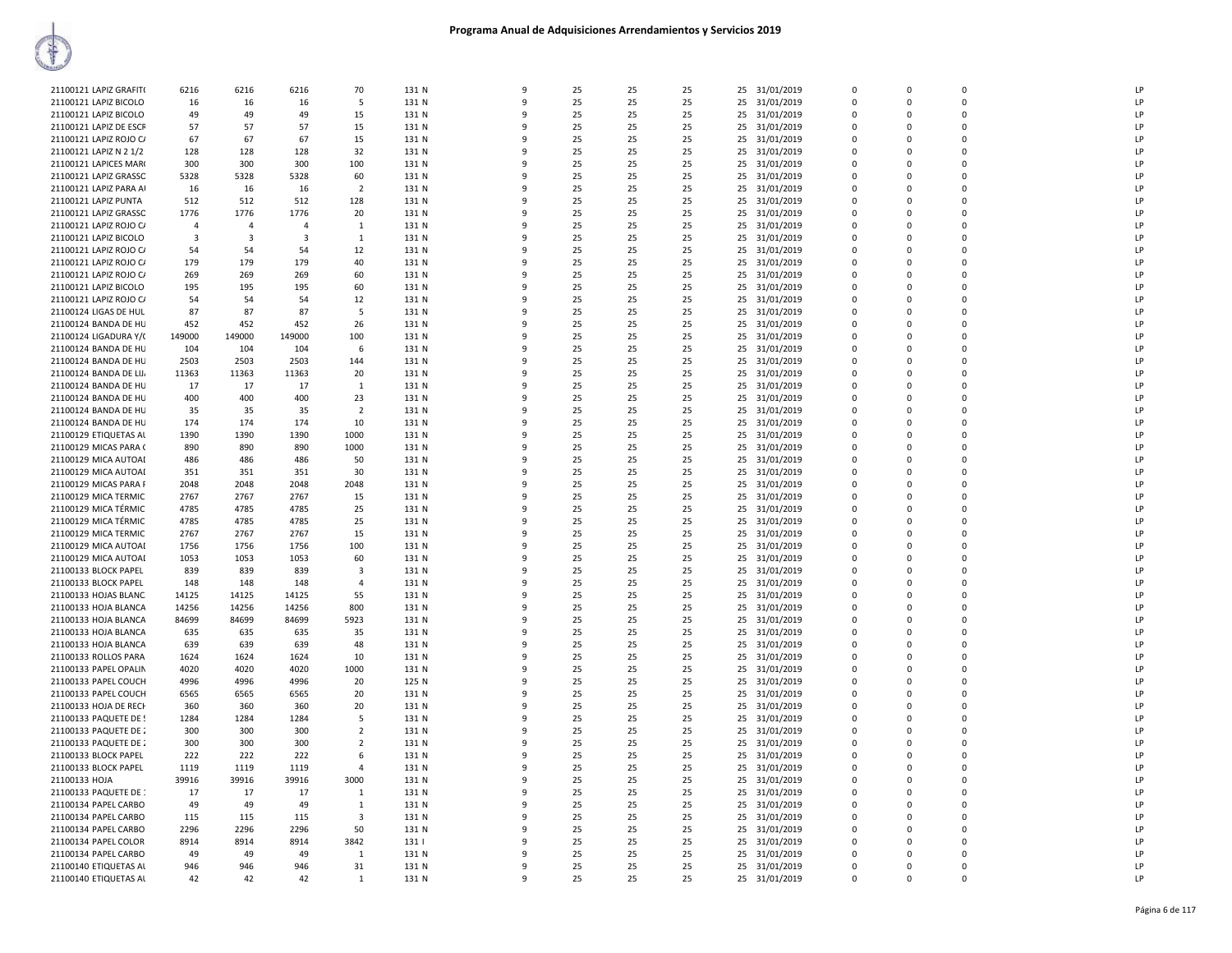| 21100121 LAPIZ GRAFIT( | 6216           | 6216         | 6216                    | 70                      | 131 N | 9            | 25 | 25 | 25 |    | 25 31/01/2019 | $\Omega$    | $\Omega$    | $\Omega$    | LP             |
|------------------------|----------------|--------------|-------------------------|-------------------------|-------|--------------|----|----|----|----|---------------|-------------|-------------|-------------|----------------|
| 21100121 LAPIZ BICOLO  | 16             | 16           | 16                      | -5                      | 131 N | 9            | 25 | 25 | 25 | 25 | 31/01/2019    | $\mathbf 0$ | $\mathbf 0$ | 0           | LP             |
| 21100121 LAPIZ BICOLO  | 49             | 49           | 49                      | 15                      | 131 N | 9            | 25 | 25 | 25 | 25 | 31/01/2019    | $\mathbf 0$ | $\Omega$    | $\Omega$    | LP             |
| 21100121 LAPIZ DE ESCR | 57             | 57           | 57                      | 15                      | 131 N | 9            | 25 | 25 | 25 | 25 | 31/01/2019    | $\mathbf 0$ | 0           | $\mathbf 0$ | LP             |
| 21100121 LAPIZ ROJO C/ | 67             | 67           | 67                      | 15                      | 131 N | q            | 25 | 25 | 25 | 25 | 31/01/2019    | $\mathbf 0$ | $\Omega$    | $\mathbf 0$ | LP             |
|                        | 128            | 128          | 128                     | 32                      | 131 N | q            | 25 | 25 | 25 | 25 | 31/01/2019    | $\Omega$    | $\Omega$    | $\Omega$    | LP             |
| 21100121 LAPIZ N 2 1/2 |                |              |                         |                         |       | q            |    |    |    |    |               | $\Omega$    | $\Omega$    | $\Omega$    | I <sub>P</sub> |
| 21100121 LAPICES MAR(  | 300            | 300          | 300                     | 100                     | 131 N |              | 25 | 25 | 25 | 25 | 31/01/2019    |             |             |             |                |
| 21100121 LAPIZ GRASSC  | 5328           | 5328         | 5328                    | 60                      | 131 N | $\mathsf{q}$ | 25 | 25 | 25 |    | 25 31/01/2019 | $\Omega$    | $\Omega$    | $\Omega$    | LP             |
| 21100121 LAPIZ PARA AI | 16             | 16           | 16                      | $\overline{2}$          | 131 N | 9            | 25 | 25 | 25 | 25 | 31/01/2019    | $\mathbf 0$ | $\Omega$    | 0           | LP             |
| 21100121 LAPIZ PUNTA   | 512            | 512          | 512                     | 128                     | 131 N | 9            | 25 | 25 | 25 | 25 | 31/01/2019    | $\Omega$    | $\Omega$    | $\Omega$    | LP             |
| 21100121 LAPIZ GRASSO  | 1776           | 1776         | 1776                    | 20                      | 131 N | 9            | 25 | 25 | 25 | 25 | 31/01/2019    | $\mathbf 0$ | 0           | $\mathbf 0$ | LP             |
| 21100121 LAPIZ ROJO C/ | $\overline{4}$ | $\Delta$     | $\overline{a}$          | 1                       | 131 N | q            | 25 | 25 | 25 | 25 | 31/01/2019    | $\mathbf 0$ | $\Omega$    | $\mathbf 0$ | LP             |
| 21100121 LAPIZ BICOLO  | $\overline{3}$ | $\mathbf{3}$ | $\overline{\mathbf{3}}$ | $\mathbf{1}$            | 131 N | q            | 25 | 25 | 25 | 25 | 31/01/2019    | $\Omega$    | $\Omega$    | $\Omega$    | LP             |
| 21100121 LAPIZ ROJO C/ | 54             | -54          | 54                      | 12                      | 131 N | q            | 25 | 25 | 25 | 25 | 31/01/2019    | $\Omega$    | $\Omega$    | $\Omega$    | I <sub>P</sub> |
| 21100121 LAPIZ ROJO C/ | 179            | 179          | 179                     | 40                      | 131 N | q            | 25 | 25 | 25 | 25 | 31/01/2019    | $\Omega$    | $\Omega$    | $\Omega$    | LP             |
| 21100121 LAPIZ ROJO C/ | 269            | 269          | 269                     | 60                      | 131 N | 9            | 25 | 25 | 25 | 25 | 31/01/2019    | 0           | $\Omega$    | 0           | LP             |
| 21100121 LAPIZ BICOLO  | 195            | 195          | 195                     | 60                      | 131 N | q            | 25 | 25 | 25 | 25 | 31/01/2019    | $\mathbf 0$ | $\Omega$    | $\Omega$    | LP             |
| 21100121 LAPIZ ROJO CA | 54             | 54           | 54                      | 12                      | 131 N | 9            | 25 | 25 | 25 | 25 | 31/01/2019    | $\mathbf 0$ | $\mathbf 0$ | $\mathbf 0$ | LP             |
| 21100124 LIGAS DE HUL  | 87             | 87           | 87                      | -5                      | 131 N | q            | 25 | 25 | 25 | 25 | 31/01/2019    | $\mathbf 0$ | $\Omega$    | $\Omega$    | LP             |
| 21100124 BANDA DE HU   | 452            | 452          | 452                     | 26                      | 131 N | q            | 25 | 25 | 25 | 25 | 31/01/2019    | $\mathbf 0$ | 0           | $\mathbf 0$ | LP             |
| 21100124 LIGADURA Y/(  | 149000         | 149000       | 149000                  | 100                     | 131 N | q            | 25 | 25 | 25 | 25 | 31/01/2019    | $\Omega$    | $\Omega$    | $\Omega$    | I <sub>P</sub> |
| 21100124 BANDA DE HU   | 104            | 104          | 104                     | 6                       | 131 N | 9            | 25 | 25 | 25 | 25 | 31/01/2019    | $\Omega$    | $\Omega$    | $\Omega$    | LP             |
|                        |                |              |                         |                         |       |              |    |    |    |    |               |             |             |             | LP             |
| 21100124 BANDA DE HU   | 2503           | 2503         | 2503                    | 144                     | 131 N | -9           | 25 | 25 | 25 | 25 | 31/01/2019    | 0           | $\Omega$    | 0           |                |
| 21100124 BANDA DE LIJ, | 11363          | 11363        | 11363                   | 20                      | 131 N | 9            | 25 | 25 | 25 | 25 | 31/01/2019    | $\mathbf 0$ | $\Omega$    | $\Omega$    | LP             |
| 21100124 BANDA DE HU   | 17             | 17           | 17                      | -1                      | 131 N | q            | 25 | 25 | 25 | 25 | 31/01/2019    | $\mathbf 0$ | $\Omega$    | $\Omega$    | LP             |
| 21100124 BANDA DE HU   | 400            | 400          | 400                     | 23                      | 131 N | $\mathbf{Q}$ | 25 | 25 | 25 | 25 | 31/01/2019    | $\mathbf 0$ | $\Omega$    | $\Omega$    | LP             |
| 21100124 BANDA DE HU   | 35             | 35           | 35                      | $\overline{2}$          | 131 N | q            | 25 | 25 | 25 | 25 | 31/01/2019    | $\mathbf 0$ | 0           | $\mathbf 0$ | LP             |
| 21100124 BANDA DE HU   | 174            | 174          | 174                     | 10                      | 131 N | q            | 25 | 25 | 25 | 25 | 31/01/2019    | $\Omega$    | $\Omega$    | $\Omega$    | I <sub>P</sub> |
| 21100129 ETIQUETAS AL  | 1390           | 1390         | 1390                    | 1000                    | 131 N | q            | 25 | 25 | 25 | 25 | 31/01/2019    | $\Omega$    | $\Omega$    | $\Omega$    | LP             |
| 21100129 MICAS PARA (  | 890            | 890          | 890                     | 1000                    | 131 N | 9            | 25 | 25 | 25 | 25 | 31/01/2019    | $\mathbf 0$ | $\Omega$    | $\mathbf 0$ | LP             |
| 21100129 MICA AUTOAI   | 486            | 486          | 486                     | 50                      | 131 N | 9            | 25 | 25 | 25 | 25 | 31/01/2019    | $\mathbf 0$ | $\Omega$    | $\Omega$    | LP             |
| 21100129 MICA AUTOAI   | 351            | 351          | 351                     | 30                      | 131 N | q            | 25 | 25 | 25 | 25 | 31/01/2019    | $\mathbf 0$ | $\Omega$    | $\Omega$    | LP             |
| 21100129 MICAS PARA F  | 2048           | 2048         | 2048                    | 2048                    | 131 N | $\mathsf{q}$ | 25 | 25 | 25 | 25 | 31/01/2019    | $\mathbf 0$ | $\Omega$    | $\Omega$    | LP             |
| 21100129 MICA TERMIC   | 2767           | 2767         | 2767                    | 15                      | 131 N | q            | 25 | 25 | 25 | 25 | 31/01/2019    | $\mathbf 0$ | 0           | $\mathbf 0$ | LP             |
| 21100129 MICA TÉRMIC   | 4785           | 4785         | 4785                    | 25                      | 131 N | q            | 25 | 25 | 25 | 25 | 31/01/2019    | $\Omega$    | $\Omega$    | $\Omega$    | LP             |
| 21100129 MICA TÉRMIC   | 4785           | 4785         | 4785                    | 25                      | 131 N | q            | 25 | 25 | 25 | 25 | 31/01/2019    | $\Omega$    | $\Omega$    | $\Omega$    | LP             |
| 21100129 MICA TERMIC   | 2767           | 2767         | 2767                    | 15                      | 131 N | 9            | 25 | 25 | 25 | 25 | 31/01/2019    | $\mathbf 0$ | $\Omega$    | $\Omega$    | LP             |
| 21100129 MICA AUTOAI   | 1756           | 1756         | 1756                    | 100                     | 131 N | 9            | 25 | 25 | 25 | 25 | 31/01/2019    | $\mathbf 0$ | $\Omega$    | $\Omega$    | LP             |
| 21100129 MICA AUTOAI   | 1053           | 1053         | 1053                    | 60                      | 131 N | q            | 25 | 25 | 25 | 25 | 31/01/2019    | $\Omega$    | $\Omega$    | $\Omega$    | LP             |
|                        |                |              |                         | $\overline{\mathbf{3}}$ |       | 9            |    |    |    |    |               | $\mathbf 0$ | $\Omega$    | $\mathbf 0$ | LP             |
| 21100133 BLOCK PAPEL   | 839            | 839          | 839                     |                         | 131 N |              | 25 | 25 | 25 | 25 | 31/01/2019    |             |             |             | IP             |
| 21100133 BLOCK PAPEL   | 148            | 148          | 148                     | $\overline{4}$          | 131 N | ۹            | 25 | 25 | 25 | 25 | 31/01/2019    | $\mathbf 0$ | $\Omega$    | 0           |                |
| 21100133 HOJAS BLANC   | 14125          | 14125        | 14125                   | 55                      | 131 N | $\mathbf{q}$ | 25 | 25 | 25 |    | 25 31/01/2019 | $\mathbf 0$ | $\Omega$    | $\Omega$    | LP             |
| 21100133 HOJA BLANCA   | 14256          | 14256        | 14256                   | 800                     | 131 N | q            | 25 | 25 | 25 | 25 | 31/01/2019    | $\Omega$    | $\Omega$    | $\Omega$    | LP             |
| 21100133 HOJA BLANCA   | 84699          | 84699        | 84699                   | 5923                    | 131 N | ٩            | 25 | 25 | 25 | 25 | 31/01/2019    | $\mathbf 0$ | $\Omega$    | $\Omega$    | LP             |
| 21100133 HOJA BLANCA   | 635            | 635          | 635                     | 35                      | 131 N | 9            | 25 | 25 | 25 | 25 | 31/01/2019    | $\mathbf 0$ | $\Omega$    | $\Omega$    | LP             |
| 21100133 HOJA BLANCA   | 639            | 639          | 639                     | 48                      | 131 N | ٩            | 25 | 25 | 25 | 25 | 31/01/2019    | $\Omega$    | $\Omega$    | $\Omega$    | LP             |
| 21100133 ROLLOS PARA   | 1624           | 1624         | 1624                    | 10                      | 131 N | 9            | 25 | 25 | 25 | 25 | 31/01/2019    | $\mathbf 0$ | $\Omega$    | $\mathbf 0$ | LP             |
| 21100133 PAPEL OPALIN  | 4020           | 4020         | 4020                    | 1000                    | 131 N | ۹            | 25 | 25 | 25 | 25 | 31/01/2019    | $\mathbf 0$ | $\Omega$    | 0           | IP             |
| 21100133 PAPEL COUCH   | 4996           | 4996         | 4996                    | 20                      | 125 N | $\mathbf{q}$ | 25 | 25 | 25 |    | 25 31/01/2019 | $\Omega$    | $\Omega$    | $\Omega$    | LP             |
| 21100133 PAPEL COUCH   | 6565           | 6565         | 6565                    | 20                      | 131 N | q            | 25 | 25 | 25 | 25 | 31/01/2019    | $\Omega$    | $\Omega$    | $\Omega$    | LP             |
| 21100133 HOJA DE RECH  | 360            | 360          | 360                     | 20                      | 131 N | q            | 25 | 25 | 25 | 25 | 31/01/2019    | $\mathbf 0$ | $\Omega$    | $\Omega$    | LP             |
| 21100133 PAQUETE DE !  | 1284           | 1284         | 1284                    | -5                      | 131 N | 9            | 25 | 25 | 25 | 25 | 31/01/2019    | $\mathbf 0$ | $\Omega$    | $\Omega$    | LP             |
| 21100133 PAQUETE DE 2  | 300            | 300          | 300                     | $\overline{2}$          | 131 N | ٩            | 25 | 25 | 25 | 25 | 31/01/2019    | $\Omega$    | $\Omega$    | $\Omega$    | LP             |
| 21100133 PAQUETE DE 2  | 300            | 300          | 300                     | $\overline{2}$          | 131 N | 9            | 25 | 25 | 25 | 25 | 31/01/2019    | $\mathbf 0$ | $\Omega$    | $\mathbf 0$ | LP             |
| 21100133 BLOCK PAPEL   | 222            | 222          | 222                     | 6                       | 131 N | ۹            | 25 | 25 | 25 | 25 | 31/01/2019    | $\mathbf 0$ | $\Omega$    | 0           | IP             |
| 21100133 BLOCK PAPEL   | 1119           | 1119         | 1119                    | $\overline{4}$          | 131 N | $\mathbf{q}$ | 25 | 25 | 25 |    | 25 31/01/2019 | $\Omega$    | $\Omega$    | $\Omega$    | LP             |
| 21100133 HOJA          | 39916          | 39916        | 39916                   | 3000                    | 131 N | q            | 25 | 25 | 25 |    |               | $\Omega$    | $\Omega$    | $\Omega$    | LP             |
|                        |                |              |                         |                         |       | 9            |    |    |    |    | 25 31/01/2019 |             | $\Omega$    | $\Omega$    | LP             |
| 21100133 PAQUETE DE 1  | 17             | 17           | 17                      | 1                       | 131 N |              | 25 | 25 | 25 | 25 | 31/01/2019    | $\mathbf 0$ |             |             |                |
| 21100134 PAPEL CARBO   | 49             | 49           | 49                      | 1                       | 131 N | 9            | 25 | 25 | 25 | 25 | 31/01/2019    | $\mathbf 0$ | $\Omega$    | $\Omega$    | LP             |
| 21100134 PAPEL CARBO   | 115            | 115          | 115                     | 3                       | 131 N | ٩            | 25 | 25 | 25 | 25 | 31/01/2019    | $\Omega$    | $\Omega$    | $\Omega$    | LP             |
| 21100134 PAPEL CARBO   | 2296           | 2296         | 2296                    | 50                      | 131 N | 9            | 25 | 25 | 25 | 25 | 31/01/2019    | $\mathbf 0$ | $\Omega$    | $\Omega$    | LP             |
| 21100134 PAPEL COLOR   | 8914           | 8914         | 8914                    | 3842                    | 131   | ۹            | 25 | 25 | 25 | 25 | 31/01/2019    | $\mathbf 0$ | 0           | 0           | LP             |
| 21100134 PAPEL CARBO   | 49             | 49           | 49                      | 1                       | 131 N | $\mathbf{q}$ | 25 | 25 | 25 | 25 | 31/01/2019    | $\mathbf 0$ | $\Omega$    | $\Omega$    | LP             |
| 21100140 ETIQUETAS AL  | 946            | 946          | 946                     | 31                      | 131 N | q            | 25 | 25 | 25 | 25 | 31/01/2019    | $\Omega$    | $\Omega$    | $\Omega$    | LP             |
| 21100140 ETIQUETAS AL  | 42             | 42           | 42                      | $\mathbf{1}$            | 131 N | 9            | 25 | 25 | 25 |    | 25 31/01/2019 | $\Omega$    | $\Omega$    | $\Omega$    | LP             |
|                        |                |              |                         |                         |       |              |    |    |    |    |               |             |             |             |                |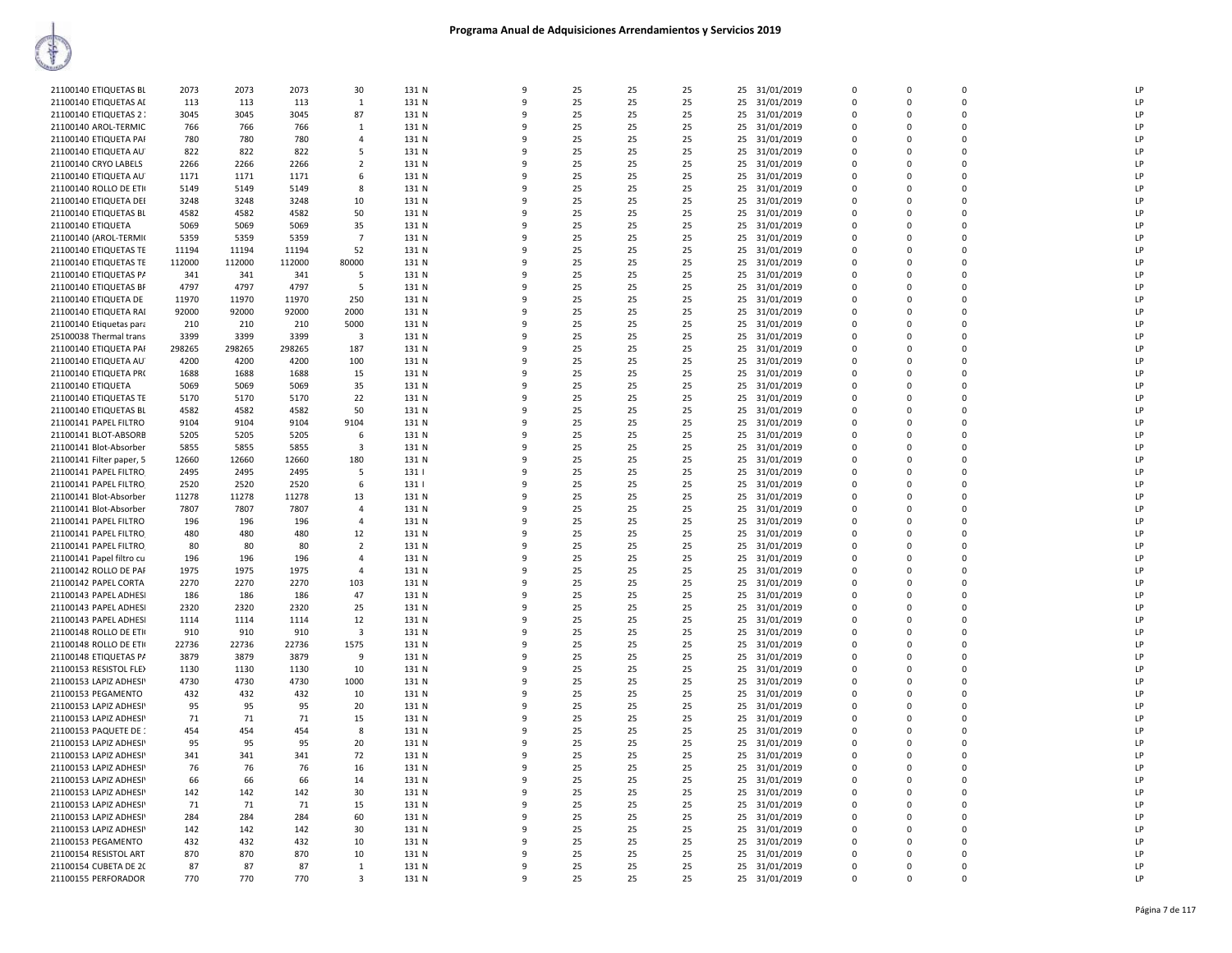| 21100140 ETIQUETAS BL    | 2073   | 2073   | 2073   | 30                      | 131 N | 9            | 25 | 25 | 25 |    | 25 31/01/2019 | $\mathbf 0$ | $\Omega$    | $\Omega$    | <b>LP</b>      |
|--------------------------|--------|--------|--------|-------------------------|-------|--------------|----|----|----|----|---------------|-------------|-------------|-------------|----------------|
| 21100140 ETIQUETAS AD    | 113    | 113    | 113    | 1                       | 131 N | 9            | 25 | 25 | 25 | 25 | 31/01/2019    | $\Omega$    | $\Omega$    | $\Omega$    | LP             |
|                          |        |        |        |                         |       |              |    |    |    |    |               |             |             |             | LP             |
| 21100140 ETIQUETAS 2     | 3045   | 3045   | 3045   | 87                      | 131 N | q            | 25 | 25 | 25 |    | 25 31/01/2019 | $\Omega$    | $\Omega$    | $\Omega$    |                |
| 21100140 AROL-TERMIC     | 766    | 766    | 766    | 1                       | 131 N | 9            | 25 | 25 | 25 |    | 25 31/01/2019 | 0           | $\Omega$    | $\Omega$    | LP             |
| 21100140 ETIQUETA PAI    | 780    | 780    | 780    | $\overline{4}$          | 131 N | 9            | 25 | 25 | 25 |    | 25 31/01/2019 | 0           | $\Omega$    | $\mathbf 0$ | LP             |
| 21100140 ETIQUETA AU     | 822    | 822    | 822    | 5                       | 131 N | 9            | 25 | 25 | 25 |    | 25 31/01/2019 | 0           | $\Omega$    | $\mathbf 0$ | LP             |
| 21100140 CRYO LABELS     | 2266   | 2266   | 2266   | $\overline{2}$          | 131 N | 9            | 25 | 25 | 25 |    | 25 31/01/2019 | 0           | $\Omega$    | $\mathbf 0$ | LP             |
| 21100140 ETIQUETA AU     | 1171   | 1171   | 1171   | 6                       | 131 N | 9            | 25 | 25 | 25 |    | 25 31/01/2019 | $\Omega$    | $\Omega$    | $\Omega$    | LP             |
| 21100140 ROLLO DE ETI    | 5149   | 5149   | 5149   | 8                       | 131 N | 9            | 25 | 25 | 25 | 25 | 31/01/2019    | $\Omega$    | $\Omega$    | $\Omega$    | LP             |
| 21100140 ETIQUETA DEI    | 3248   | 3248   | 3248   | 10                      | 131 N | q            | 25 | 25 | 25 |    | 25 31/01/2019 | $\Omega$    | $\Omega$    | $\Omega$    | LP             |
| 21100140 ETIQUETAS BL    | 4582   | 4582   | 4582   | 50                      | 131 N | 9            | 25 | 25 | 25 |    | 25 31/01/2019 | 0           | $\Omega$    | $\Omega$    | LP             |
| 21100140 ETIQUETA        | 5069   | 5069   | 5069   | 35                      | 131 N | 9            | 25 | 25 | 25 |    | 25 31/01/2019 | 0           | $\Omega$    | $\mathbf 0$ | LP             |
| 21100140 (AROL-TERMI     | 5359   | 5359   | 5359   | $\overline{7}$          | 131 N | 9            | 25 | 25 | 25 |    |               | 0           | $\Omega$    | $\Omega$    | LP             |
|                          |        |        |        |                         |       |              |    |    |    |    | 25 31/01/2019 |             |             |             |                |
| 21100140 ETIQUETAS TE    | 11194  | 11194  | 11194  | 52                      | 131 N | 9            | 25 | 25 | 25 |    | 25 31/01/2019 | 0           | $\Omega$    | $\mathbf 0$ | LP             |
| 21100140 ETIQUETAS TE    | 112000 | 112000 | 112000 | 80000                   | 131 N | 9            | 25 | 25 | 25 |    | 25 31/01/2019 | $\Omega$    | $\Omega$    | $\Omega$    | $\overline{P}$ |
| 21100140 ETIQUETAS PA    | 341    | 341    | 341    | -5                      | 131 N | 9            | 25 | 25 | 25 | 25 | 31/01/2019    | 0           | $\Omega$    | $\Omega$    | LP             |
| 21100140 ETIQUETAS BR    | 4797   | 4797   | 4797   | 5                       | 131 N | q            | 25 | 25 | 25 |    | 25 31/01/2019 | $\Omega$    | $\Omega$    | $\Omega$    | LP             |
| 21100140 ETIQUETA DE     | 11970  | 11970  | 11970  | 250                     | 131 N | 9            | 25 | 25 | 25 |    | 25 31/01/2019 | $\Omega$    | $\Omega$    | $\Omega$    | LP             |
| 21100140 ETIQUETA RAI    | 92000  | 92000  | 92000  | 2000                    | 131 N | 9            | 25 | 25 | 25 |    | 25 31/01/2019 | $\Omega$    | $\Omega$    | 0           | LP             |
| 21100140 Etiquetas para  | 210    | 210    | 210    | 5000                    | 131 N | 9            | 25 | 25 | 25 |    | 25 31/01/2019 | 0           | $\Omega$    | $\Omega$    | LP             |
| 25100038 Thermal trans   | 3399   | 3399   | 3399   | 3                       | 131 N | 9            | 25 | 25 | 25 | 25 | 31/01/2019    | 0           | $\Omega$    | $\mathbf 0$ | LP             |
| 21100140 ETIQUETA PAI    | 298265 | 298265 | 298265 | 187                     | 131 N | 9            | 25 | 25 | 25 |    | 25 31/01/2019 | 0           | $\Omega$    | $\Omega$    | LP             |
| 21100140 ETIQUETA AU     | 4200   | 4200   | 4200   | 100                     | 131 N | 9            | 25 | 25 | 25 | 25 | 31/01/2019    | 0           | $\Omega$    | $\Omega$    | LP             |
| 21100140 ETIQUETA PR(    |        |        | 1688   | 15                      | 131 N | q            | 25 | 25 | 25 |    |               | $\Omega$    | $\Omega$    | $\Omega$    | LP             |
|                          | 1688   | 1688   |        |                         |       |              |    |    |    |    | 25 31/01/2019 |             |             |             |                |
| 21100140 ETIQUETA        | 5069   | 5069   | 5069   | 35                      | 131 N | ç            | 25 | 25 | 25 |    | 25 31/01/2019 | $\Omega$    | $\Omega$    | $\Omega$    | LP             |
| 21100140 ETIQUETAS TE    | 5170   | 5170   | 5170   | 22                      | 131 N | 9            | 25 | 25 | 25 |    | 25 31/01/2019 | $\Omega$    | $\Omega$    | 0           | LP             |
| 21100140 ETIQUETAS BL    | 4582   | 4582   | 4582   | 50                      | 131 N | 9            | 25 | 25 | 25 |    | 25 31/01/2019 | $\Omega$    | $\Omega$    | $\Omega$    | LP             |
| 21100141 PAPEL FILTRO    | 9104   | 9104   | 9104   | 9104                    | 131 N | q            | 25 | 25 | 25 |    | 25 31/01/2019 | $\Omega$    | $\Omega$    | $\Omega$    | LP             |
| 21100141 BLOT-ABSORB     | 5205   | 5205   | 5205   | 6                       | 131 N | 9            | 25 | 25 | 25 |    | 25 31/01/2019 | 0           | $\Omega$    | $\Omega$    | LP             |
| 21100141 Blot-Absorber   | 5855   | 5855   | 5855   | 3                       | 131 N | 9            | 25 | 25 | 25 | 25 | 31/01/2019    | 0           | $\mathbf 0$ | 0           | LP             |
| 21100141 Filter paper, 5 | 12660  | 12660  | 12660  | 180                     | 131 N | $\mathbf{q}$ | 25 | 25 | 25 |    | 25 31/01/2019 | $\Omega$    | $\Omega$    | $\Omega$    | LP             |
| 21100141 PAPEL FILTRO    | 2495   | 2495   | 2495   | -5                      | 131   | 9            | 25 | 25 | 25 |    | 25 31/01/2019 | 0           | $\Omega$    | $\Omega$    | LP             |
| 21100141 PAPEL FILTRO    | 2520   | 2520   | 2520   | 6                       | 1311  | q            | 25 | 25 | 25 |    | 25 31/01/2019 | $\Omega$    | $\Omega$    | $\Omega$    | LP             |
| 21100141 Blot-Absorber   | 11278  | 11278  | 11278  | 13                      | 131 N | 9            | 25 | 25 | 25 |    | 25 31/01/2019 | $\Omega$    | $\Omega$    | $\Omega$    | LP             |
|                          |        |        |        |                         |       |              |    |    | 25 |    |               |             |             |             | LP             |
| 21100141 Blot-Absorber   | 7807   | 7807   | 7807   | $\overline{4}$          | 131 N | q            | 25 | 25 |    |    | 25 31/01/2019 | $\Omega$    | $\Omega$    | $\Omega$    |                |
| 21100141 PAPEL FILTRO    | 196    | 196    | 196    | $\overline{4}$          | 131 N | 9            | 25 | 25 | 25 |    | 25 31/01/2019 | 0           | $\Omega$    | $\Omega$    | LP             |
| 21100141 PAPEL FILTRO    | 480    | 480    | 480    | 12                      | 131 N | 9            | 25 | 25 | 25 | 25 | 31/01/2019    | 0           | $\Omega$    | 0           | LP             |
| 21100141 PAPEL FILTRO    | 80     | 80     | 80     | $\overline{2}$          | 131 N | $\mathbf{q}$ | 25 | 25 | 25 |    | 25 31/01/2019 | 0           | $\Omega$    | $\Omega$    | LP             |
| 21100141 Papel filtro cu | 196    | 196    | 196    | $\overline{a}$          | 131 N | q            | 25 | 25 | 25 |    | 25 31/01/2019 | $\Omega$    | $\Omega$    | $\Omega$    | LP             |
| 21100142 ROLLO DE PAF    | 1975   | 1975   | 1975   | $\overline{4}$          | 131 N | q            | 25 | 25 | 25 |    | 25 31/01/2019 | $\Omega$    | $\Omega$    | $\Omega$    | LP             |
| 21100142 PAPEL CORTA     | 2270   | 2270   | 2270   | 103                     | 131 N | 9            | 25 | 25 | 25 |    | 25 31/01/2019 | 0           | 0           | 0           | LP             |
| 21100143 PAPEL ADHESI    | 186    | 186    | 186    | 47                      | 131 N | q            | 25 | 25 | 25 |    | 25 31/01/2019 | $\Omega$    | $\Omega$    | $\Omega$    | LP             |
| 21100143 PAPEL ADHESI    | 2320   | 2320   | 2320   | 25                      | 131 N | 9            | 25 | 25 | 25 |    | 25 31/01/2019 | $\Omega$    | $\Omega$    | $\Omega$    | LP             |
| 21100143 PAPEL ADHESI    | 1114   | 1114   | 1114   | 12                      | 131 N | 9            | 25 | 25 | 25 | 25 | 31/01/2019    | 0           | $\Omega$    | $\mathbf 0$ | LP             |
| 21100148 ROLLO DE ETI    | 910    | 910    | 910    | $\overline{\mathbf{3}}$ | 131 N | 9            | 25 | 25 | 25 |    | 25 31/01/2019 | 0           | $\Omega$    | $\Omega$    | LP             |
| 21100148 ROLLO DE ETI    | 22736  | 22736  | 22736  | 1575                    | 131 N | q            | 25 | 25 | 25 |    | 25 31/01/2019 | 0           | $\Omega$    | $\mathbf 0$ | LP             |
|                          |        |        |        | 9                       |       | q            |    |    |    |    |               | $\Omega$    | $\Omega$    | $\Omega$    | P              |
| 21100148 ETIQUETAS PA    | 3879   | 3879   | 3879   |                         | 131 N |              | 25 | 25 | 25 |    | 25 31/01/2019 |             |             |             |                |
| 21100153 RESISTOL FLEX   | 1130   | 1130   | 1130   | 10                      | 131 N | 9            | 25 | 25 | 25 |    | 25 31/01/2019 | 0           | 0           | 0           | LP             |
| 21100153 LAPIZ ADHESI    | 4730   | 4730   | 4730   | 1000                    | 131 N | 9            | 25 | 25 | 25 |    | 25 31/01/2019 | $\Omega$    | $\Omega$    | $\Omega$    | LP             |
| 21100153 PEGAMENTO       | 432    | 432    | 432    | 10                      | 131 N | 9            | 25 | 25 | 25 |    | 25 31/01/2019 | $\Omega$    | $\Omega$    | $\Omega$    | LP             |
| 21100153 LAPIZ ADHESI    | 95     | 95     | 95     | 20                      | 131 N | 9            | 25 | 25 | 25 | 25 | 31/01/2019    | 0           | $\Omega$    | 0           | LP             |
| 21100153 LAPIZ ADHESI    | 71     | 71     | 71     | 15                      | 131 N | 9            | 25 | 25 | 25 | 25 | 31/01/2019    | 0           | $\Omega$    | $\Omega$    | LP             |
| 21100153 PAQUETE DE 1    | 454    | 454    | 454    | 8                       | 131 N | 9            | 25 | 25 | 25 |    | 25 31/01/2019 | 0           | $\Omega$    | $\Omega$    | LP             |
| 21100153 LAPIZ ADHESI    | 95     | 95     | 95     | 20                      | 131 N | C            | 25 | 25 | 25 |    | 25 31/01/2019 | 0           | $\Omega$    | $\Omega$    | P              |
| 21100153 LAPIZ ADHESI    | 341    | 341    | 341    | 72                      | 131 N | 9            | 25 | 25 | 25 |    | 25 31/01/2019 | $\Omega$    | $\Omega$    | 0           | LP             |
| 21100153 LAPIZ ADHESI    | 76     | 76     | 76     | 16                      | 131 N | q            | 25 | 25 | 25 |    | 25 31/01/2019 | $\Omega$    | $\Omega$    | $\Omega$    | LP             |
| 21100153 LAPIZ ADHESI    | 66     | 66     | 66     | 14                      | 131 N | 9            | 25 | 25 | 25 |    |               | 0           | O           | 0           | LP             |
|                          |        |        |        |                         |       |              |    |    |    |    | 25 31/01/2019 |             |             |             |                |
| 21100153 LAPIZ ADHESI    | 142    | 142    | 142    | 30                      | 131 N | 9            | 25 | 25 | 25 |    | 25 31/01/2019 | 0           | $\Omega$    | $\Omega$    | LP             |
| 21100153 LAPIZ ADHESI    | 71     | 71     | 71     | 15                      | 131 N | 9            | 25 | 25 | 25 |    | 25 31/01/2019 | 0           | $\Omega$    | $\Omega$    | LP             |
| 21100153 LAPIZ ADHESI    | 284    | 284    | 284    | 60                      | 131 N | 9            | 25 | 25 | 25 |    | 25 31/01/2019 | 0           | $\Omega$    | $\Omega$    | LP             |
| 21100153 LAPIZ ADHESI    | 142    | 142    | 142    | 30                      | 131 N | 9            | 25 | 25 | 25 |    | 25 31/01/2019 | 0           | $\Omega$    | $\Omega$    | LP             |
| 21100153 PEGAMENTO       | 432    | 432    | 432    | 10                      | 131 N | 9            | 25 | 25 | 25 |    | 25 31/01/2019 | 0           | n           | 0           | $\overline{P}$ |
| 21100154 RESISTOL ART    | 870    | 870    | 870    | 10                      | 131 N | $\mathbf{q}$ | 25 | 25 | 25 |    | 25 31/01/2019 | $\Omega$    | $\Omega$    | $\Omega$    | P              |
| 21100154 CUBETA DE 20    | 87     | 87     | 87     | 1                       | 131 N | 9            | 25 | 25 | 25 |    | 25 31/01/2019 | 0           | n           | ŋ           | LP             |
| 21100155 PERFORADOR      | 770    | 770    | 770    | $\overline{3}$          | 131 N | 9            | 25 | 25 | 25 |    | 25 31/01/2019 | $\Omega$    | $\Omega$    | $\Omega$    | LP             |
|                          |        |        |        |                         |       |              |    |    |    |    |               |             |             |             |                |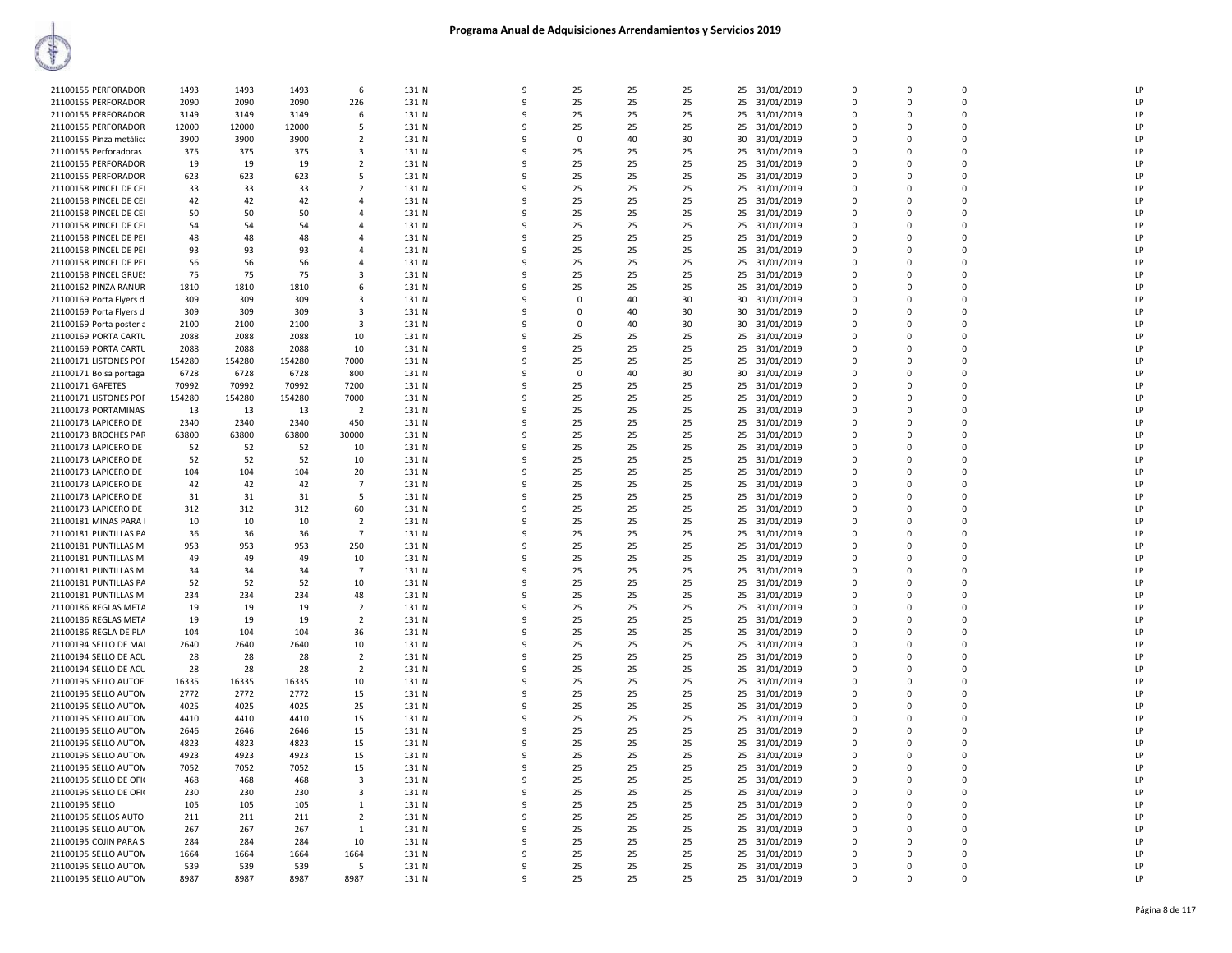| 21100155 PERFORADOR     | 1493   | 1493   | 1493   | 6                       | 131 N | $\mathbf{q}$ | 25          | 25 | 25 | 25 | 31/01/2019    | $\Omega$     | $\Omega$ | $\Omega$    | I <sub>P</sub> |
|-------------------------|--------|--------|--------|-------------------------|-------|--------------|-------------|----|----|----|---------------|--------------|----------|-------------|----------------|
| 21100155 PERFORADOR     | 2090   | 2090   | 2090   | 226                     | 131 N | 9            | 25          | 25 | 25 | 25 | 31/01/2019    | $\Omega$     | $\Omega$ | $\Omega$    | LP             |
| 21100155 PERFORADOR     | 3149   |        | 3149   | 6                       | 131 N | q            | 25          | 25 | 25 | 25 | 31/01/2019    | $\Omega$     | $\Omega$ | $\Omega$    | LP             |
|                         |        | 3149   |        | 5                       |       |              |             |    |    |    |               | $\Omega$     | $\Omega$ | $\Omega$    | LP             |
| 21100155 PERFORADOR     | 12000  | 12000  | 12000  |                         | 131 N |              | 25          | 25 | 25 | 25 | 31/01/2019    |              |          |             |                |
| 21100155 Pinza metálica | 3900   | 3900   | 3900   | $\overline{2}$          | 131 N | q            | $\mathbf 0$ | 40 | 30 | 30 | 31/01/2019    | $\Omega$     | $\Omega$ | $\mathbf 0$ | LP             |
| 21100155 Perforadoras   | 375    | 375    | 375    | 3                       | 131 N | q            | 25          | 25 | 25 | 25 | 31/01/2019    | $\mathbf 0$  | $\Omega$ | $\mathbf 0$ | LP             |
| 21100155 PERFORADOR     | 19     | 19     | 19     | $\overline{2}$          | 131 N | $\Omega$     | 25          | 25 | 25 | 25 | 31/01/2019    | $\Omega$     | $\Omega$ | $\mathbf 0$ | LP             |
| 21100155 PERFORADOR     | 623    | 623    | 623    | 5                       | 131 N | ٩            | 25          | 25 | 25 | 25 | 31/01/2019    | $\Omega$     | $\Omega$ | $\Omega$    | LP             |
| 21100158 PINCEL DE CEI  | 33     | 33     | 33     | $\overline{2}$          | 131 N | q            | 25          | 25 | 25 | 25 | 31/01/2019    | $\Omega$     | $\Omega$ | $\Omega$    | LP             |
| 21100158 PINCEL DE CEI  | 42     | 42     | 42     | Δ                       | 131 N | q            | 25          | 25 | 25 | 25 | 31/01/2019    | $\Omega$     | $\Omega$ | $\Omega$    | LP             |
| 21100158 PINCEL DE CEI  | 50     | 50     | 50     | 4                       | 131 N |              | 25          | 25 | 25 | 25 | 31/01/2019    | $\Omega$     | $\Omega$ | $\Omega$    | LP             |
| 21100158 PINCEL DE CEI  | 54     | 54     | 54     | 4                       | 131 N | q            | 25          | 25 | 25 | 25 | 31/01/2019    | $\Omega$     | $\Omega$ | $\mathbf 0$ | LP             |
| 21100158 PINCEL DE PEI  | 48     | 48     | 48     | $\overline{4}$          | 131 N |              | 25          | 25 | 25 | 25 | 31/01/2019    | $\Omega$     | $\Omega$ | $\Omega$    | LP             |
| 21100158 PINCEL DE PEI  | 93     | 93     | 93     | $\overline{4}$          | 131 N | $\Omega$     | 25          | 25 | 25 | 25 | 31/01/2019    | $\Omega$     | $\Omega$ | $\mathbf 0$ | LP             |
| 21100158 PINCEL DE PEI  | 56     | 56     | 56     | 4                       | 131 N | q            | 25          | 25 | 25 | 25 | 31/01/2019    | $\Omega$     | $\Omega$ | $\Omega$    | LP             |
| 21100158 PINCEL GRUES   | 75     | 75     | 75     | 3                       | 131 N | 9            | 25          | 25 | 25 | 25 | 31/01/2019    | $\Omega$     | $\Omega$ | $\Omega$    | LP             |
| 21100162 PINZA RANUR    | 1810   | 1810   | 1810   | 6                       | 131 N | q            | 25          | 25 | 25 | 25 | 31/01/2019    | $\Omega$     | $\Omega$ | $\Omega$    | LP             |
| 21100169 Porta Flyers d | 309    | 309    | 309    | 3                       | 131 N |              | $\Omega$    | 40 | 30 | 30 | 31/01/2019    | $\Omega$     | $\Omega$ | $\Omega$    | LP             |
|                         |        |        |        |                         |       |              |             |    |    |    |               |              |          |             | LP             |
| 21100169 Porta Flyers d | 309    | 309    | 309    | 3                       | 131 N |              | 0           | 40 | 30 | 30 | 31/01/2019    | $\Omega$     | $\Omega$ | 0           |                |
| 21100169 Porta poster a | 2100   | 2100   | 2100   | $\overline{\mathbf{3}}$ | 131 N |              | $\Omega$    | 40 | 30 | 30 | 31/01/2019    | $\Omega$     | $\Omega$ | $\mathbf 0$ | LP             |
| 21100169 PORTA CARTU    | 2088   | 2088   | 2088   | 10                      | 131 N | q            | 25          | 25 | 25 | 25 | 31/01/2019    | $\Omega$     | $\Omega$ | $\Omega$    | LP             |
| 21100169 PORTA CARTU    | 2088   | 2088   | 2088   | 10                      | 131 N |              | 25          | 25 | 25 | 25 | 31/01/2019    | $\mathbf 0$  | $\Omega$ | $\mathbf 0$ | LP             |
| 21100171 LISTONES POF   | 154280 | 154280 | 154280 | 7000                    | 131 N | 9            | 25          | 25 | 25 | 25 | 31/01/2019    | $\Omega$     | $\Omega$ | $\Omega$    | LP             |
| 21100171 Bolsa portaga  | 6728   | 6728   | 6728   | 800                     | 131 N | q            | $\Omega$    | 40 | 30 | 30 | 31/01/2019    | $\Omega$     | $\Omega$ | $\Omega$    | LP             |
| 21100171 GAFETES        | 70992  | 70992  | 70992  | 7200                    | 131 N |              | 25          | 25 | 25 | 25 | 31/01/2019    | $\Omega$     | $\Omega$ | $\Omega$    | LP             |
| 21100171 LISTONES POF   | 154280 | 154280 | 154280 | 7000                    | 131 N |              | 25          | 25 | 25 | 25 | 31/01/2019    | $\Omega$     | $\Omega$ | $\Omega$    | LP             |
| 21100173 PORTAMINAS     | 13     | 13     | 13     | $\overline{2}$          | 131 N |              | 25          | 25 | 25 | 25 | 31/01/2019    | $\Omega$     | $\Omega$ | $\Omega$    | LP             |
| 21100173 LAPICERO DE    | 2340   | 2340   | 2340   | 450                     | 131 N | q            | 25          | 25 | 25 | 25 | 31/01/2019    | $\Omega$     | $\Omega$ | $\Omega$    | LP             |
| 21100173 BROCHES PAR    | 63800  | 63800  | 63800  | 30000                   | 131 N | q            | 25          | 25 | 25 | 25 | 31/01/2019    | $\mathbf 0$  | $\Omega$ | $\mathbf 0$ | LP             |
| 21100173 LAPICERO DE    | 52     | 52     | 52     | 10                      | 131 N | 9            | 25          | 25 | 25 | 25 | 31/01/2019    | $\mathbf{0}$ | $\Omega$ | $\mathbf 0$ | LP             |
| 21100173 LAPICERO DE    | 52     | 52     | 52     | 10                      | 131 N | q            | 25          | 25 | 25 | 25 | 31/01/2019    | $\Omega$     | $\Omega$ | $\Omega$    | LP             |
| 21100173 LAPICERO DE    | 104    | 104    | 104    | 20                      | 131 N |              | 25          | 25 | 25 | 25 | 31/01/2019    | $\Omega$     | $\Omega$ | $\Omega$    | LP             |
|                         | 42     |        |        | $\overline{7}$          | 131 N |              |             |    |    |    |               | $\Omega$     | $\Omega$ | $\Omega$    | LP             |
| 21100173 LAPICERO DE    |        | 42     | 42     |                         |       |              | 25          | 25 | 25 | 25 | 31/01/2019    |              |          |             |                |
| 21100173 LAPICERO DE    | 31     | 31     | 31     | 5                       | 131 N |              | 25          | 25 | 25 | 25 | 31/01/2019    | $\Omega$     | 0        | $\Omega$    | LP             |
| 21100173 LAPICERO DE    | 312    | 312    | 312    | 60                      | 131 N | ٩            | 25          | 25 | 25 | 25 | 31/01/2019    | $\Omega$     | $\Omega$ | $\Omega$    | LP             |
| 21100181 MINAS PARA I   | 10     | 10     | 10     | $\overline{2}$          | 131 N |              | 25          | 25 | 25 | 25 | 31/01/2019    | $\Omega$     | $\Omega$ | $\Omega$    | LP             |
| 21100181 PUNTILLAS PA   | 36     | 36     | 36     | $\overline{7}$          | 131 N | 9            | 25          | 25 | 25 | 25 | 31/01/2019    | $\mathbf{0}$ | $\Omega$ | $\mathbf 0$ | LP             |
| 21100181 PUNTILLAS MI   | 953    | 953    | 953    | 250                     | 131 N | q            | 25          | 25 | 25 | 25 | 31/01/2019    | $\mathbf 0$  | $\Omega$ | $\mathbf 0$ | LP             |
| 21100181 PUNTILLAS MI   | 49     | 49     | 49     | 10                      | 131 N | q            | 25          | 25 | 25 | 25 | 31/01/2019    | $\Omega$     | $\Omega$ | $\Omega$    | LP             |
| 21100181 PUNTILLAS MI   | 34     | 34     | 34     | $\overline{7}$          | 131 N |              | 25          | 25 | 25 | 25 | 31/01/2019    | $\Omega$     | $\Omega$ | $\Omega$    | LP             |
| 21100181 PUNTILLAS PA   | 52     | 52     | 52     | 10                      | 131 N |              | 25          | 25 | 25 | 25 | 31/01/2019    | $\Omega$     | $\Omega$ | 0           | LP             |
| 21100181 PUNTILLAS MI   | 234    | 234    | 234    | 48                      | 131 N | q            | 25          | 25 | 25 | 25 | 31/01/2019    | $\Omega$     | $\Omega$ | $\Omega$    | LP             |
| 21100186 REGLAS META    | 19     | 19     | 19     | $\overline{2}$          | 131 N |              | 25          | 25 | 25 | 25 | 31/01/2019    | $\Omega$     | $\Omega$ | $\Omega$    | LP             |
| 21100186 REGLAS META    | 19     | 19     | 19     | $\overline{2}$          | 131 N | 9            | 25          | 25 | 25 | 25 | 31/01/2019    | $\Omega$     | $\Omega$ | $\mathbf 0$ | LP             |
| 21100186 REGLA DE PLA   | 104    | 104    | 104    | 36                      | 131 N | 9            | 25          | 25 | 25 | 25 | 31/01/2019    | $\mathbf 0$  | $\Omega$ | $\Omega$    | LP             |
| 21100194 SELLO DE MAI   | 2640   | 2640   | 2640   | 10                      | 131 N | q            | 25          | 25 | 25 | 25 | 31/01/2019    | $\Omega$     | $\Omega$ | $\mathbf 0$ | LP             |
| 21100194 SELLO DE ACU   | 28     | 28     | 28     | $\overline{2}$          | 131 N |              | 25          | 25 | 25 | 25 | 31/01/2019    | $\Omega$     | $\Omega$ | $\Omega$    | LP             |
| 21100194 SELLO DE ACU   | 28     | 28     | 28     | $\overline{2}$          | 131 N |              | 25          | 25 | 25 | 25 | 31/01/2019    | $\Omega$     | $\Omega$ | 0           | LP             |
| 21100195 SELLO AUTOE    | 16335  | 16335  | 16335  | 10                      | 131 N | q            | 25          | 25 | 25 | 25 |               | $\Omega$     | $\Omega$ | $\Omega$    | LP             |
|                         |        |        |        |                         |       |              |             |    |    |    | 31/01/2019    |              |          |             |                |
| 21100195 SELLO AUTON    | 2772   | 2772   | 2772   | 15                      | 131 N |              | 25          | 25 | 25 | 25 | 31/01/2019    | $\Omega$     | $\Omega$ | $\Omega$    | LP             |
| 21100195 SELLO AUTON    | 4025   | 4025   | 4025   | 25                      | 131 N | ٩            | 25          | 25 | 25 | 25 | 31/01/2019    | $\Omega$     | $\Omega$ | $\Omega$    | LP             |
| 21100195 SELLO AUTON    | 4410   | 4410   | 4410   | 15                      | 131 N | 9            | 25          | 25 | 25 | 25 | 31/01/2019    | $\Omega$     | $\Omega$ | $\Omega$    | LP             |
| 21100195 SELLO AUTON    | 2646   | 2646   | 2646   | 15                      | 131 N | q            | 25          | 25 | 25 | 25 | 31/01/2019    | $\Omega$     | $\Omega$ | $\Omega$    | LP             |
| 21100195 SELLO AUTON    | 4823   | 4823   | 4823   | 15                      | 131 N |              | 25          | 25 | 25 | 25 | 31/01/2019    | $\mathbf 0$  | $\Omega$ | $\mathbf 0$ | LP             |
| 21100195 SELLO AUTON    | 4923   | 4923   | 4923   | 15                      | 131 N | q            | 25          | 25 | 25 | 25 | 31/01/2019    | $\Omega$     | $\Omega$ | $\Omega$    | LP             |
| 21100195 SELLO AUTON    | 7052   | 7052   | 7052   | 15                      | 131 N | q            | 25          | 25 | 25 | 25 | 31/01/2019    | $\Omega$     | $\Omega$ | $\Omega$    | LP             |
| 21100195 SELLO DE OFI(  | 468    | 468    | 468    | 3                       | 131 N | 9            | 25          | 25 | 25 | 25 | 31/01/2019    | $\Omega$     | $\Omega$ | $\Omega$    | LP             |
| 21100195 SELLO DE OFI(  | 230    | 230    | 230    | 3                       | 131 N | 9            | 25          | 25 | 25 | 25 | 31/01/2019    | $\Omega$     | $\Omega$ | $\Omega$    | LP             |
| 21100195 SELLO          | 105    | 105    | 105    | 1                       | 131 N | q            | 25          | 25 | 25 | 25 | 31/01/2019    | $\Omega$     | $\Omega$ | $\Omega$    | LP             |
| 21100195 SELLOS AUTOI   | 211    | 211    | 211    | $\overline{2}$          | 131 N | q            | 25          | 25 | 25 | 25 | 31/01/2019    | $\Omega$     | $\Omega$ | $\Omega$    | LP             |
| 21100195 SELLO AUTON    | 267    | 267    | 267    | 1                       | 131 N |              | 25          | 25 | 25 | 25 | 31/01/2019    | $\Omega$     | $\Omega$ | $\mathbf 0$ | LP             |
| 21100195 COJIN PARA S   | 284    | 284    | 284    | 10                      | 131 N | q            | 25          | 25 | 25 | 25 | 31/01/2019    | $\Omega$     | $\Omega$ | 0           | LP             |
| 21100195 SELLO AUTON    | 1664   | 1664   | 1664   | 1664                    | 131 N | q            | 25          | 25 | 25 | 25 | 31/01/2019    | $\Omega$     | $\Omega$ | $\Omega$    | LP             |
| 21100195 SELLO AUTON    | 539    | 539    | 539    | 5                       | 131 N | q            | 25          | 25 | 25 | 25 | 31/01/2019    | $\Omega$     | $\Omega$ | $\Omega$    | LP             |
| 21100195 SELLO AUTON    | 8987   | 8987   | 8987   | 8987                    | 131 N | 9            | 25          | 25 | 25 |    |               | $\Omega$     | $\Omega$ | $\Omega$    | LP             |
|                         |        |        |        |                         |       |              |             |    |    |    | 25 31/01/2019 |              |          |             |                |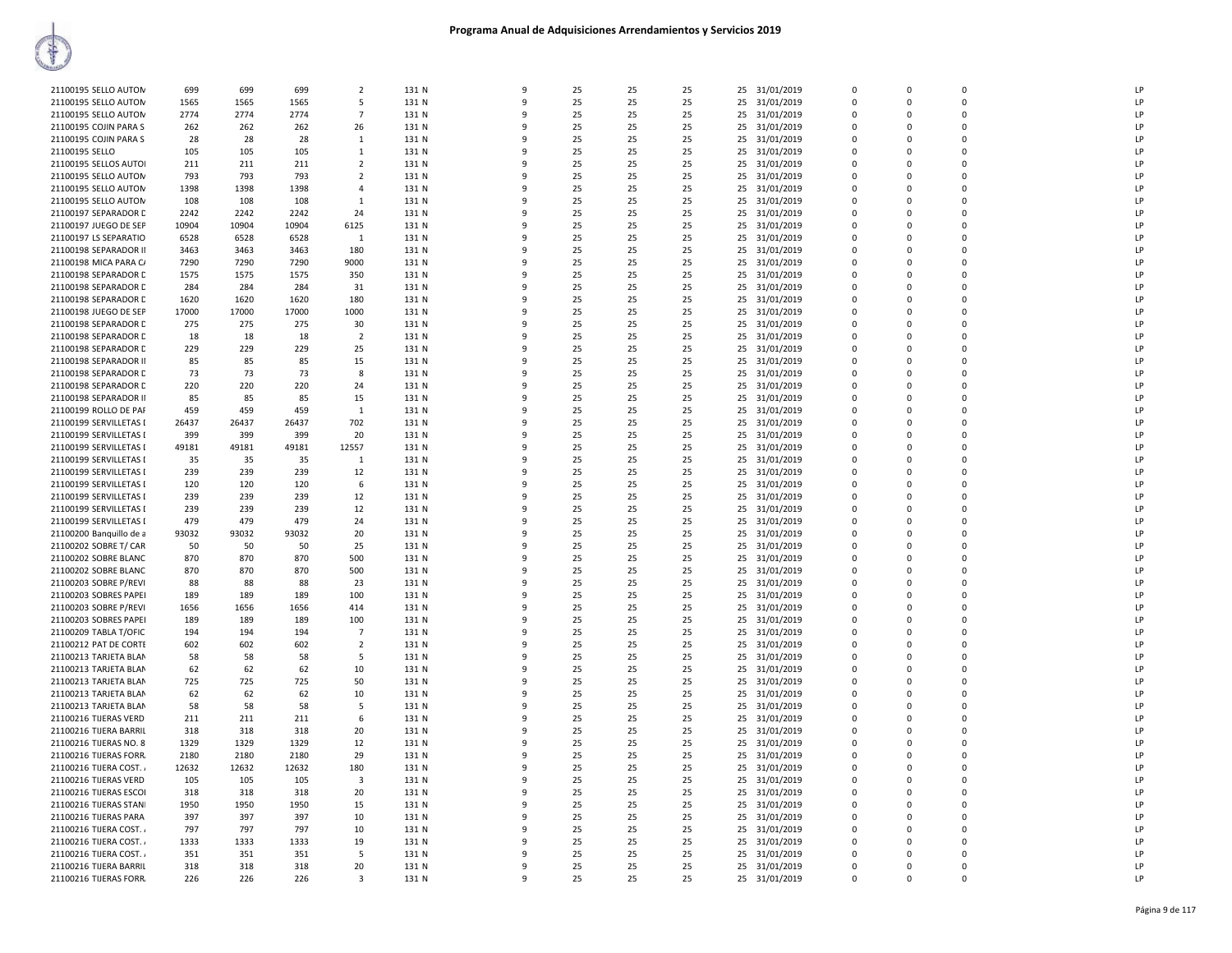| 21100195 SELLO AUTON    | 699   | 699   | 699   | $\overline{2}$ | 131 N |              | 9 | 25 | 25 | 25 |    | 25 31/01/2019 | $\Omega$    | $\Omega$    | $\Omega$    | LP             |
|-------------------------|-------|-------|-------|----------------|-------|--------------|---|----|----|----|----|---------------|-------------|-------------|-------------|----------------|
| 21100195 SELLO AUTON    | 1565  | 1565  | 1565  | 5              | 131 N |              | 9 | 25 | 25 | 25 | 25 | 31/01/2019    | 0           | $\mathbf 0$ | 0           | LP             |
| 21100195 SELLO AUTON    | 2774  | 2774  | 2774  | $\overline{7}$ | 131 N | q            |   | 25 | 25 | 25 |    | 25 31/01/2019 | $\Omega$    | $\Omega$    | $\Omega$    | LP             |
| 21100195 COJIN PARA S   | 262   | 262   | 262   | 26             | 131 N |              |   | 25 | 25 | 25 |    | 25 31/01/2019 | $\mathbf 0$ | $\mathbf 0$ | 0           | LP             |
| 21100195 COJIN PARA S   | 28    | 28    | 28    | 1              | 131 N | q            |   | 25 | 25 | 25 | 25 | 31/01/2019    | 0           | $\Omega$    | $\mathbf 0$ | LP             |
| 21100195 SELLO          | 105   | 105   | 105   | $\mathbf{1}$   | 131 N |              |   | 25 | 25 | 25 | 25 | 31/01/2019    | $\Omega$    | $\Omega$    | 0           | LP             |
| 21100195 SELLOS AUTOI   | 211   | 211   | 211   | $\overline{2}$ | 131 N |              | q | 25 | 25 | 25 | 25 | 31/01/2019    | $\Omega$    | $\Omega$    | 0           | LP             |
| 21100195 SELLO AUTON    | 793   | 793   | 793   | $\overline{2}$ | 131 N |              | q | 25 | 25 | 25 |    | 25 31/01/2019 | $\Omega$    | $\Omega$    | 0           | LP             |
| 21100195 SELLO AUTON    | 1398  | 1398  | 1398  | $\overline{4}$ | 131 N |              | 9 | 25 | 25 | 25 | 25 | 31/01/2019    | 0           | 0           | 0           | LP             |
| 21100195 SELLO AUTON    | 108   | 108   | 108   | $\overline{1}$ | 131 N | $\mathbf{q}$ |   | 25 | 25 | 25 |    | 25 31/01/2019 | $\Omega$    | $\Omega$    | $\Omega$    | LP             |
| 21100197 SEPARADOR C    | 2242  | 2242  | 2242  | 24             | 131 N |              |   | 25 | 25 | 25 | 25 | 31/01/2019    | $\mathbf 0$ | $\mathbf 0$ | 0           | LP             |
| 21100197 JUEGO DE SEP   | 10904 | 10904 | 10904 | 6125           | 131 N |              |   | 25 | 25 | 25 | 25 | 31/01/2019    | $\mathbf 0$ | $\Omega$    | $\mathbf 0$ | LP             |
| 21100197 LS SEPARATIO   | 6528  | 6528  | 6528  | 1              | 131 N |              |   | 25 | 25 | 25 | 25 | 31/01/2019    | $\Omega$    | $\Omega$    | 0           | LP             |
| 21100198 SEPARADOR II   | 3463  | 3463  | 3463  | 180            | 131 N |              | ٩ | 25 | 25 | 25 | 25 | 31/01/2019    | $\Omega$    | $\Omega$    | $\Omega$    | P              |
| 21100198 MICA PARA C/   | 7290  | 7290  | 7290  | 9000           | 131 N |              |   | 25 | 25 | 25 | 25 | 31/01/2019    | $\mathbf 0$ | $\Omega$    | 0           | LP             |
| 21100198 SEPARADOR C    | 1575  | 1575  | 1575  | 350            | 131 N |              | 9 | 25 | 25 | 25 | 25 | 31/01/2019    | 0           | 0           | 0           | LP             |
| 21100198 SEPARADOR C    | 284   | 284   | 284   | 31             | 131 N | q            |   | 25 | 25 | 25 |    | 25 31/01/2019 | $\Omega$    | $\Omega$    | $\Omega$    | LP             |
| 21100198 SEPARADOR C    | 1620  | 1620  | 1620  | 180            | 131 N |              |   | 25 | 25 | 25 | 25 | 31/01/2019    | $\mathbf 0$ | $\mathbf 0$ | 0           | LP             |
| 21100198 JUEGO DE SEP   | 17000 | 17000 | 17000 | 1000           | 131 N |              |   | 25 | 25 | 25 |    | 25 31/01/2019 | $\mathbf 0$ | $\Omega$    | $\Omega$    | LP             |
| 21100198 SEPARADOR D    | 275   | 275   | 275   | 30             | 131 N |              |   | 25 | 25 | 25 | 25 | 31/01/2019    | 0           | 0           | 0           | LP             |
|                         |       |       |       |                |       |              | q |    |    |    |    |               | $\Omega$    | $\Omega$    | $\Omega$    | P              |
| 21100198 SEPARADOR C    | 18    | 18    | 18    | $\overline{2}$ | 131 N |              |   | 25 | 25 | 25 | 25 | 31/01/2019    | $\Omega$    | $\Omega$    | 0           | LP             |
| 21100198 SEPARADOR D    | 229   | 229   | 229   | 25             | 131 N |              |   | 25 | 25 | 25 | 25 | 31/01/2019    |             |             |             |                |
| 21100198 SEPARADOR II   | 85    | 85    | 85    | 15             | 131 N |              | 9 | 25 | 25 | 25 | 25 | 31/01/2019    | 0           | $\Omega$    | 0           | LP             |
| 21100198 SEPARADOR C    | 73    | 73    | 73    | 8              | 131 N |              | 9 | 25 | 25 | 25 |    | 25 31/01/2019 | $\mathbf 0$ | $\Omega$    | 0           | LP             |
| 21100198 SEPARADOR C    | 220   | 220   | 220   | 24             | 131 N |              |   | 25 | 25 | 25 |    | 25 31/01/2019 | $\mathbf 0$ | 0           | 0           | LP             |
| 21100198 SEPARADOR II   | 85    | 85    | 85    | 15             | 131 N |              |   | 25 | 25 | 25 |    | 25 31/01/2019 | $\Omega$    | $\Omega$    | $\Omega$    | LP             |
| 21100199 ROLLO DE PAF   | 459   | 459   | 459   | 1              | 131 N |              |   | 25 | 25 | 25 | 25 | 31/01/2019    | 0           | 0           | 0           | LP             |
| 21100199 SERVILLETAS I  | 26437 | 26437 | 26437 | 702            | 131 N |              | q | 25 | 25 | 25 | 25 | 31/01/2019    | $\Omega$    | $\Omega$    | $\Omega$    | P              |
| 21100199 SERVILLETAS I  | 399   | 399   | 399   | 20             | 131 N |              |   | 25 | 25 | 25 | 25 | 31/01/2019    | $\Omega$    | $\Omega$    | 0           | LP             |
| 21100199 SERVILLETAS I  | 49181 | 49181 | 49181 | 12557          | 131 N |              | 9 | 25 | 25 | 25 | 25 | 31/01/2019    | 0           | $\Omega$    | 0           | LP             |
| 21100199 SERVILLETAS I  | 35    | 35    | 35    | 1              | 131 N |              | 9 | 25 | 25 | 25 | 25 | 31/01/2019    | $\mathbf 0$ | $\Omega$    | 0           | LP             |
| 21100199 SERVILLETAS I  | 239   | 239   | 239   | 12             | 131 N |              | q | 25 | 25 | 25 | 25 | 31/01/2019    | $\mathbf 0$ | $\Omega$    | 0           | LP             |
| 21100199 SERVILLETAS I  | 120   | 120   | 120   | 6              | 131 N |              |   | 25 | 25 | 25 |    | 25 31/01/2019 | $\mathbf 0$ | $\Omega$    | $\Omega$    | LP             |
| 21100199 SERVILLETAS I  | 239   | 239   | 239   | 12             | 131 N |              |   | 25 | 25 | 25 | 25 | 31/01/2019    | 0           | $\mathbf 0$ | 0           | LP             |
| 21100199 SERVILLETAS I  | 239   | 239   | 239   | 12             | 131 N |              | ٩ | 25 | 25 | 25 |    | 25 31/01/2019 | $\Omega$    | $\Omega$    | $\Omega$    | LP             |
| 21100199 SERVILLETAS I  | 479   | 479   | 479   | 24             | 131 N |              |   | 25 | 25 | 25 | 25 | 31/01/2019    | $\Omega$    | $\Omega$    | 0           | LP             |
| 21100200 Banquillo de a | 93032 | 93032 | 93032 | 20             | 131 N |              | 9 | 25 | 25 | 25 | 25 | 31/01/2019    | 0           | $\Omega$    | 0           | LP             |
| 21100202 SOBRE T/ CAR   | 50    | 50    | 50    | 25             | 131 N |              | 9 | 25 | 25 | 25 | 25 | 31/01/2019    | 0           | $\Omega$    | 0           | LP             |
| 21100202 SOBRE BLANC    | 870   | 870   | 870   | 500            | 131 N |              | q | 25 | 25 | 25 | 25 | 31/01/2019    | $\mathbf 0$ | $\Omega$    | 0           | LP             |
| 21100202 SOBRE BLANC    | 870   | 870   | 870   | 500            | 131 N |              |   | 25 | 25 | 25 |    | 25 31/01/2019 | $\mathbf 0$ | $\Omega$    | 0           | LP             |
| 21100203 SOBRE P/REVI   | 88    | 88    | 88    | 23             | 131 N |              |   | 25 | 25 | 25 | 25 | 31/01/2019    | 0           | $\mathbf 0$ | 0           | LP             |
| 21100203 SOBRES PAPEI   | 189   | 189   | 189   | 100            | 131 N |              | ٩ | 25 | 25 | 25 |    | 25 31/01/2019 | $\mathbf 0$ | $\Omega$    | $\Omega$    | LP             |
| 21100203 SOBRE P/REVI   | 1656  | 1656  | 1656  | 414            | 131 N |              |   | 25 | 25 | 25 | 25 | 31/01/2019    | $\Omega$    | $\Omega$    | 0           | LP             |
| 21100203 SOBRES PAPEI   | 189   | 189   | 189   | 100            | 131 N |              | 9 | 25 | 25 | 25 | 25 | 31/01/2019    | 0           | $\Omega$    | 0           | LP             |
| 21100209 TABLA T/OFIC   | 194   | 194   | 194   | $\overline{7}$ | 131 N |              | 9 | 25 | 25 | 25 | 25 | 31/01/2019    | 0           | $\Omega$    | 0           | LP             |
| 21100212 PAT DE CORTE   | 602   | 602   | 602   | $\overline{2}$ | 131 N |              | q | 25 | 25 | 25 | 25 | 31/01/2019    | $\mathbf 0$ | $\Omega$    | 0           | LP             |
| 21100213 TARJETA BLAN   | 58    | 58    | 58    | 5              | 131 N |              |   | 25 | 25 | 25 |    | 25 31/01/2019 | $\mathbf 0$ | $\Omega$    | 0           | LP             |
| 21100213 TARJETA BLAN   | 62    | 62    | 62    | 10             | 131 N |              |   | 25 | 25 | 25 | 25 | 31/01/2019    | 0           | $\mathbf 0$ | 0           | LP             |
| 21100213 TARJETA BLAN   | 725   | 725   | 725   | 50             | 131 N |              | q | 25 | 25 | 25 |    | 25 31/01/2019 | $\Omega$    | $\Omega$    | 0           | LP             |
| 21100213 TARJETA BLAN   | 62    | 62    | 62    | 10             | 131 N |              |   | 25 | 25 | 25 | 25 | 31/01/2019    | $\Omega$    | $\Omega$    | 0           | LP             |
| 21100213 TARJETA BLAN   | 58    | 58    | 58    | 5              | 131 N |              | 9 | 25 | 25 | 25 | 25 | 31/01/2019    | 0           | $\Omega$    | 0           | LP             |
| 21100216 TIJERAS VERD   | 211   | 211   | 211   | 6              | 131 N |              | 9 | 25 | 25 | 25 | 25 | 31/01/2019    | 0           | $\Omega$    | 0           | LP             |
| 21100216 TIJERA BARRIL  | 318   | 318   | 318   | 20             | 131 N |              | q | 25 | 25 | 25 | 25 | 31/01/2019    | $\mathbf 0$ | $\Omega$    | $\Omega$    | $\overline{P}$ |
| 21100216 TIJERAS NO. 8  | 1329  | 1329  | 1329  | 12             | 131 N |              |   | 25 | 25 | 25 |    | 25 31/01/2019 | $\mathbf 0$ | $\Omega$    | 0           | LP             |
| 21100216 TIJERAS FORR.  | 2180  | 2180  | 2180  | 29             | 131 N |              | ٩ | 25 | 25 | 25 | 25 | 31/01/2019    | 0           | $\mathbf 0$ | 0           | LP             |
| 21100216 TIJERA COST.   | 12632 | 12632 | 12632 | 180            | 131 N |              | q | 25 | 25 | 25 |    | 25 31/01/2019 | $\Omega$    | $\Omega$    | $\Omega$    | P              |
| 21100216 TIJERAS VERD   | 105   | 105   | 105   | 3              | 131 N |              | q | 25 | 25 | 25 |    | 25 31/01/2019 | 0           | $\Omega$    | 0           | LP             |
| 21100216 TIJERAS ESCOI  | 318   | 318   | 318   | 20             | 131 N |              | 9 | 25 | 25 | 25 |    | 25 31/01/2019 | $\mathbf 0$ | $\Omega$    | 0           | LP             |
| 21100216 TIJERAS STANI  | 1950  | 1950  | 1950  | 15             | 131 N |              | 9 | 25 | 25 | 25 | 25 | 31/01/2019    | 0           | $\Omega$    | 0           | LP             |
| 21100216 TIJERAS PARA   | 397   | 397   | 397   | 10             | 131 N |              | q | 25 | 25 | 25 | 25 | 31/01/2019    | $\mathbf 0$ | $\Omega$    | $\Omega$    | 1P             |
| 21100216 TIJERA COST.   | 797   | 797   | 797   | 10             | 131 N |              |   | 25 | 25 | 25 |    | 25 31/01/2019 | $\mathbf 0$ | $\Omega$    | $\Omega$    | LP             |
| 21100216 TIJERA COST.   | 1333  | 1333  | 1333  | 19             | 131 N |              | ٩ | 25 | 25 | 25 | 25 | 31/01/2019    | 0           | $\Omega$    | 0           | LP             |
| 21100216 TIJERA COST.   | 351   | 351   | 351   | 5              | 131 N | q            |   | 25 | 25 | 25 |    | 25 31/01/2019 | $\mathbf 0$ | $\Omega$    | $\Omega$    | P              |
| 21100216 TIJERA BARRIL  | 318   | 318   | 318   | 20             | 131 N |              | q | 25 | 25 | 25 | 25 | 31/01/2019    | $\Omega$    | $\Omega$    | O           | LP             |
| 21100216 TIJERAS FORR   | 226   | 226   | 226   | $\mathbf{3}$   | 131 N |              | 9 | 25 | 25 | 25 |    | 25 31/01/2019 | $\Omega$    | $\Omega$    | 0           | LP             |
|                         |       |       |       |                |       |              |   |    |    |    |    |               |             |             |             |                |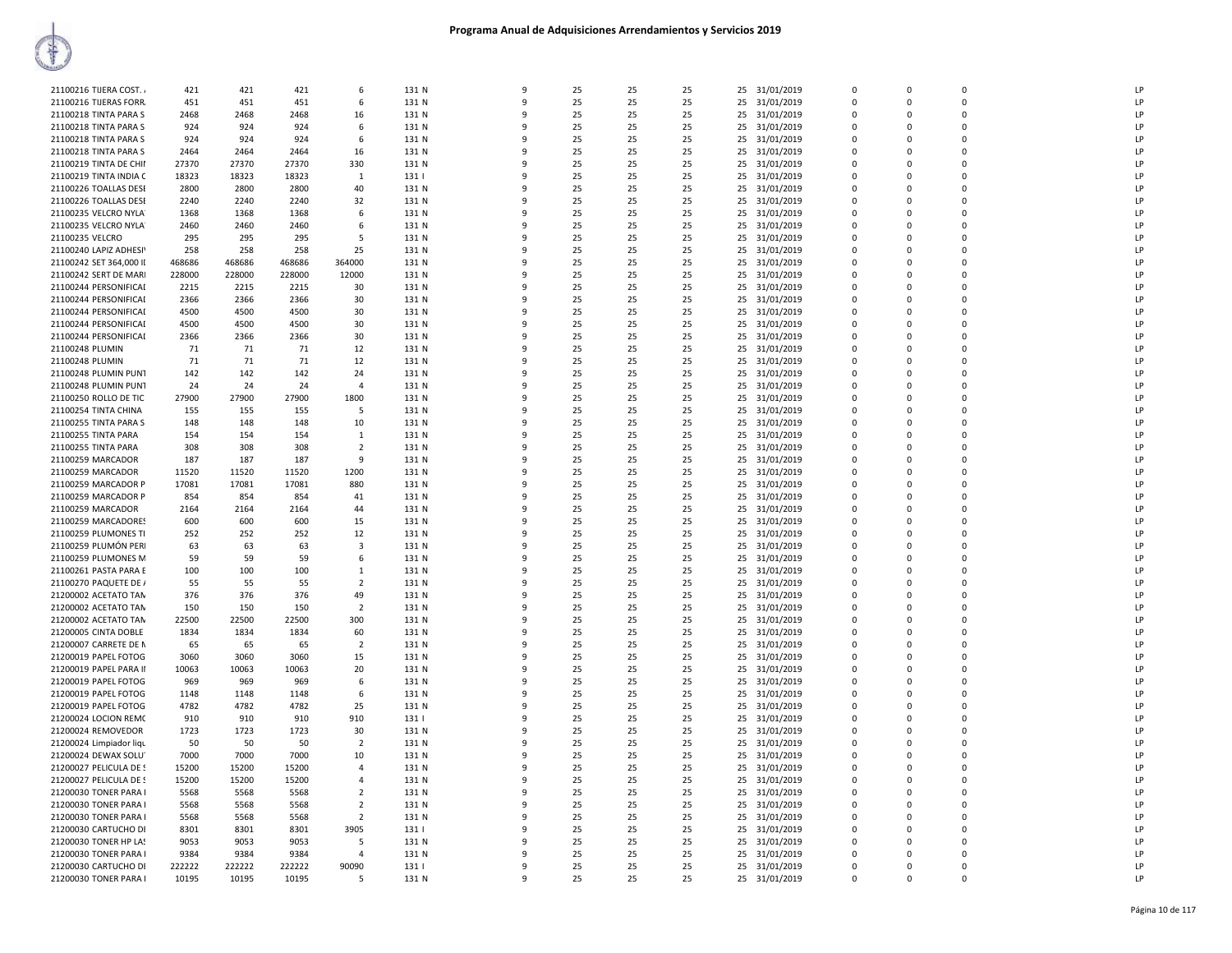| 21100216 TIJERA COST.   | 421    | 421    | 421    | 6              | 131 N | 9            | 25 | 25 | 25 | 25 | 31/01/2019    | $\Omega$       | <sup>0</sup> | $\Omega$    | LP |
|-------------------------|--------|--------|--------|----------------|-------|--------------|----|----|----|----|---------------|----------------|--------------|-------------|----|
| 21100216 TIJERAS FORR.  | 451    | 451    | 451    | 6              | 131 N | 9            | 25 | 25 | 25 | 25 | 31/01/2019    | $\Omega$       | $\Omega$     | $\Omega$    | LP |
|                         |        |        |        |                |       |              |    |    |    |    |               |                |              |             |    |
| 21100218 TINTA PARA S   | 2468   | 2468   | 2468   | 16             | 131 N | 9            | 25 | 25 | 25 | 25 | 31/01/2019    | $\Omega$       | 0            | $\Omega$    | LP |
| 21100218 TINTA PARA S   | 924    | 924    | 924    | 6              | 131 N | 9            | 25 | 25 | 25 | 25 | 31/01/2019    | $\Omega$       | $\Omega$     | $\Omega$    | LP |
|                         |        |        |        |                |       |              |    |    |    |    |               |                |              |             |    |
| 21100218 TINTA PARA S   | 924    | 924    | 924    | 6              | 131 N | 9            | 25 | 25 | 25 | 25 | 31/01/2019    | 0              | 0            | 0           | LP |
| 21100218 TINTA PARA S   | 2464   | 2464   | 2464   | 16             | 131 N | 9            | 25 | 25 | 25 |    | 25 31/01/2019 | $\Omega$       | $\Omega$     | $\Omega$    | LP |
|                         |        |        |        |                |       |              |    |    |    |    |               |                |              |             |    |
| 21100219 TINTA DE CHII  | 27370  | 27370  | 27370  | 330            | 131 N | 9            | 25 | 25 | 25 | 25 | 31/01/2019    | 0              | 0            | 0           | LP |
| 21100219 TINTA INDIA C  | 18323  | 18323  | 18323  | 1              | 131   | 9            | 25 | 25 | 25 | 25 | 31/01/2019    | 0              | 0            | 0           | LP |
|                         |        |        |        |                |       | 9            |    |    |    |    |               |                |              | $\Omega$    |    |
| 21100226 TOALLAS DESE   | 2800   | 2800   | 2800   | 40             | 131 N |              | 25 | 25 | 25 | 25 | 31/01/2019    | $\Omega$       | $\Omega$     |             | LP |
| 21100226 TOALLAS DESI   | 2240   | 2240   | 2240   | 32             | 131 N | q            | 25 | 25 | 25 | 25 | 31/01/2019    | $\Omega$       | $\Omega$     | $\Omega$    | LP |
| 21100235 VELCRO NYLA    | 1368   | 1368   | 1368   |                | 131 N | q            | 25 | 25 | 25 | 25 |               |                | $\Omega$     | $\Omega$    | LP |
|                         |        |        |        | 6              |       |              |    |    |    |    | 31/01/2019    | $\Omega$       |              |             |    |
| 21100235 VELCRO NYLA    | 2460   | 2460   | 2460   | 6              | 131 N | 9            | 25 | 25 | 25 | 25 | 31/01/2019    | 0              | 0            | 0           | LP |
| 21100235 VELCRO         | 295    | 295    | 295    | -5             | 131 N | 9            | 25 | 25 | 25 |    | 25 31/01/2019 | $\Omega$       | $\Omega$     | $\Omega$    | LP |
|                         |        |        |        |                |       |              |    |    |    |    |               |                |              |             |    |
| 21100240 LAPIZ ADHESIY  | 258    | 258    | 258    | 25             | 131 N | 9            | 25 | 25 | 25 | 25 | 31/01/2019    | 0              | 0            | 0           | LP |
| 21100242 SET 364,000 II | 468686 | 468686 | 468686 | 364000         | 131 N | 9            | 25 | 25 | 25 | 25 | 31/01/2019    | $\Omega$       | $\Omega$     | $\Omega$    | LP |
|                         |        |        |        |                |       |              |    |    |    |    |               |                |              |             |    |
| 21100242 SERT DE MARI   | 228000 | 228000 | 228000 | 12000          | 131 N | 9            | 25 | 25 | 25 | 25 | 31/01/2019    | $\Omega$       | $\Omega$     | $\Omega$    | LP |
| 21100244 PERSONIFICAI   | 2215   | 2215   | 2215   | 30             | 131 N | 9            | 25 | 25 | 25 | 25 | 31/01/2019    | $\Omega$       | $\Omega$     | $\Omega$    | LP |
|                         |        |        |        |                |       |              |    |    |    |    |               |                |              |             |    |
| 21100244 PERSONIFICAL   | 2366   | 2366   | 2366   | 30             | 131 N | q            | 25 | 25 | 25 | 25 | 31/01/2019    | $\Omega$       | $\Omega$     | $\Omega$    | LP |
| 21100244 PERSONIFICAL   | 4500   | 4500   | 4500   | 30             | 131 N | 9            | 25 | 25 | 25 | 25 | 31/01/2019    | 0              | 0            | 0           | LP |
|                         |        |        |        |                |       |              |    |    |    |    |               |                |              |             |    |
| 21100244 PERSONIFICAI   | 4500   | 4500   | 4500   | 30             | 131 N | 9            | 25 | 25 | 25 |    | 25 31/01/2019 | $\Omega$       | $\Omega$     | $\Omega$    | LP |
| 21100244 PERSONIFICAI   | 2366   | 2366   | 2366   | 30             | 131 N | 9            | 25 | 25 | 25 | 25 | 31/01/2019    | 0              | 0            | 0           | LP |
|                         |        |        |        |                |       |              |    |    |    |    |               |                |              |             |    |
| 21100248 PLUMIN         | 71     | 71     | 71     | 12             | 131 N | 9            | 25 | 25 | 25 | 25 | 31/01/2019    | $\Omega$       | <sup>0</sup> | $\Omega$    | LP |
| 21100248 PLUMIN         | 71     | 71     | 71     | 12             | 131 N | 9            | 25 | 25 | 25 | 25 | 31/01/2019    | $\Omega$       | $\Omega$     | $\Omega$    | LP |
|                         |        |        |        |                |       |              |    |    |    |    |               |                |              |             |    |
| 21100248 PLUMIN PUNT    | 142    | 142    | 142    | 24             | 131 N | q            | 25 | 25 | 25 | 25 | 31/01/2019    | $\Omega$       | $\Omega$     | $\Omega$    | LP |
| 21100248 PLUMIN PUN1    | 24     | 24     | 24     | $\overline{a}$ | 131 N | q            | 25 | 25 | 25 | 25 | 31/01/2019    | $\Omega$       | $\Omega$     | $\Omega$    | LP |
|                         |        |        |        |                |       |              |    |    |    |    |               |                |              |             |    |
| 21100250 ROLLO DE TIC   | 27900  | 27900  | 27900  | 1800           | 131 N | 9            | 25 | 25 | 25 | 25 | 31/01/2019    | 0              | 0            | 0           | LP |
| 21100254 TINTA CHINA    | 155    | 155    | 155    | -5             | 131 N | 9            | 25 | 25 | 25 |    | 25 31/01/2019 | $\Omega$       | $\Omega$     | $\Omega$    | LP |
|                         |        |        |        |                |       |              |    |    |    |    |               |                |              |             |    |
| 21100255 TINTA PARA S   | 148    | 148    | 148    | 10             | 131 N | 9            | 25 | 25 | 25 | 25 | 31/01/2019    | 0              | 0            | 0           | LP |
| 21100255 TINTA PARA     | 154    | 154    | 154    | 1              | 131 N | 9            | 25 | 25 | 25 | 25 | 31/01/2019    | $\mathbf 0$    | <sup>0</sup> | 0           | LP |
|                         |        |        |        |                |       |              |    |    |    |    |               |                |              |             |    |
| 21100255 TINTA PARA     | 308    | 308    | 308    | $\overline{2}$ | 131 N | 9            | 25 | 25 | 25 | 25 | 31/01/2019    | $\Omega$       | $\Omega$     | $\Omega$    | LP |
| 21100259 MARCADOR       | 187    | 187    | 187    | $\mathbf{q}$   | 131 N | q            | 25 | 25 | 25 | 25 | 31/01/2019    | $\Omega$       | <sup>0</sup> | $\Omega$    | LP |
|                         |        | 11520  | 11520  | 1200           |       | q            | 25 | 25 | 25 |    |               | $\Omega$       | $\Omega$     | $\Omega$    | LP |
| 21100259 MARCADOR       | 11520  |        |        |                | 131 N |              |    |    |    | 25 | 31/01/2019    |                |              |             |    |
| 21100259 MARCADOR P     | 17081  | 17081  | 17081  | 880            | 131 N | 9            | 25 | 25 | 25 | 25 | 31/01/2019    | 0              | 0            | $\Omega$    | LP |
|                         |        |        | 854    | 41             | 131 N | 9            | 25 | 25 | 25 |    |               |                |              | $\Omega$    | LP |
| 21100259 MARCADOR P     | 854    | 854    |        |                |       |              |    |    |    |    | 25 31/01/2019 | $\Omega$       | O            |             |    |
| 21100259 MARCADOR       | 2164   | 2164   | 2164   | 44             | 131 N | 9            | 25 | 25 | 25 | 25 | 31/01/2019    | 0              | 0            | 0           | LP |
| 21100259 MARCADORES     | 600    | 600    | 600    | 15             | 131 N | q            | 25 | 25 | 25 | 25 | 31/01/2019    | $\mathbf 0$    | <sup>0</sup> | $\Omega$    | LP |
|                         |        |        |        |                |       |              |    |    |    |    |               |                |              |             |    |
| 21100259 PLUMONES TI    | 252    | 252    | 252    | 12             | 131 N | 9            | 25 | 25 | 25 | 25 | 31/01/2019    | $\Omega$       | $\Omega$     | $\Omega$    | LP |
| 21100259 PLUMÓN PER     | 63     | 63     | 63     | 3              | 131 N | q            | 25 | 25 | 25 | 25 | 31/01/2019    | $\Omega$       | <sup>0</sup> | $\Omega$    | LP |
|                         |        |        |        |                |       |              |    |    |    |    |               |                |              |             |    |
| 21100259 PLUMONES M     | 59     | -59    | 59     | 6              | 131 N | q            | 25 | 25 | 25 | 25 | 31/01/2019    | $\Omega$       | $\Omega$     | $\Omega$    | LP |
| 21100261 PASTA PARA E   | 100    | 100    | 100    | $\mathbf{1}$   | 131 N | 9            | 25 | 25 | 25 | 25 | 31/01/2019    | 0              | 0            | $\Omega$    | LP |
|                         |        |        |        |                |       |              |    |    |    |    |               |                |              |             |    |
| 21100270 PAQUETE DE /   | 55     | 55     | 55     | $\overline{2}$ | 131 N | 9            | 25 | 25 | 25 | 25 | 31/01/2019    | $\overline{0}$ | $\Omega$     | $\Omega$    | LP |
| 21200002 ACETATO TAN    | 376    | 376    | 376    | 49             | 131 N | q            | 25 | 25 | 25 | 25 | 31/01/2019    | 0              | 0            | $\mathbf 0$ | LP |
|                         |        |        |        |                |       |              |    |    |    |    |               |                |              |             |    |
| 21200002 ACETATO TAN    | 150    | 150    | 150    | $\overline{2}$ | 131 N | 9            | 25 | 25 | 25 | 25 | 31/01/2019    | $\mathbf 0$    | <sup>0</sup> | 0           | LP |
| 21200002 ACETATO TAN    | 22500  | 22500  | 22500  | 300            | 131 N | 9            | 25 | 25 | 25 | 25 | 31/01/2019    | $\Omega$       | $\Omega$     | $\Omega$    | LP |
|                         |        |        |        |                |       | q            |    |    |    |    |               |                | <sup>0</sup> | $\Omega$    | LP |
| 21200005 CINTA DOBLE    | 1834   | 1834   | 1834   | 60             | 131 N |              | 25 | 25 | 25 | 25 | 31/01/2019    | $\Omega$       |              |             |    |
| 21200007 CARRETE DE N   | 65     | 65     | 65     | $\overline{2}$ | 131 N | q            | 25 | 25 | 25 | 25 | 31/01/2019    | $\Omega$       | $\Omega$     | $\Omega$    | LP |
| 21200019 PAPEL FOTOG    | 3060   | 3060   | 3060   |                | 131 N | 9            | 25 | 25 | 25 | 25 | 31/01/2019    | 0              | 0            | $\Omega$    | LP |
|                         |        |        |        | 15             |       |              |    |    |    |    |               |                |              |             |    |
| 21200019 PAPEL PARA II  | 10063  | 10063  | 10063  | 20             | 131 N | 9            | 25 | 25 | 25 | 25 | 31/01/2019    | $\Omega$       | $\Omega$     | $\Omega$    | LP |
| 21200019 PAPEL FOTOG    | 969    | 969    | 969    | 6              | 131 N | 9            | 25 | 25 | 25 | 25 | 31/01/2019    | $\Omega$       | $\Omega$     | $\Omega$    | LP |
|                         |        |        |        |                |       |              |    |    |    |    |               |                |              |             |    |
| 21200019 PAPEL FOTOG    | 1148   | 1148   | 1148   | 6              | 131 N | 9            | 25 | 25 | 25 | 25 | 31/01/2019    | $\Omega$       | $\Omega$     | $\Omega$    | LP |
| 21200019 PAPEL FOTOG    | 4782   | 4782   | 4782   | 25             | 131 N | 9            | 25 | 25 | 25 | 25 | 31/01/2019    | $\mathbf 0$    | 0            | 0           | LP |
|                         |        |        |        |                |       |              |    |    |    |    |               |                |              |             |    |
| 21200024 LOCION REMC    | 910    | 910    | 910    | 910            | 131   | q            | 25 | 25 | 25 | 25 | 31/01/2019    | $\Omega$       | <sup>0</sup> | $\Omega$    | LP |
| 21200024 REMOVEDOR      | 1723   | 1723   | 1723   | 30             | 131 N | 9            | 25 | 25 | 25 | 25 | 31/01/2019    | $\Omega$       | $\Omega$     | $\Omega$    | LP |
|                         |        |        |        |                |       |              |    |    |    |    |               |                |              |             |    |
| 21200024 Limpiador liqu | 50     | 50     | 50     | -2             | 131 N | 9            | 25 | 25 | 25 | 25 | 31/01/2019    | $\Omega$       | 0            | $\Omega$    | LP |
| 21200024 DEWAX SOLU     | 7000   | 7000   | 7000   | 10             | 131 N | 9            | 25 | 25 | 25 | 25 | 31/01/2019    | $\Omega$       | $\Omega$     | $\Omega$    | LP |
|                         |        |        |        |                |       | 9            |    |    |    |    |               | $\Omega$       | $\Omega$     | $\Omega$    | LP |
| 21200027 PELICULA DE S  | 15200  | 15200  | 15200  | $\overline{4}$ | 131 N |              | 25 | 25 | 25 | 25 | 31/01/2019    |                |              |             |    |
| 21200027 PELICULA DE S  | 15200  | 15200  | 15200  | $\overline{4}$ | 131 N | $\mathbf{q}$ | 25 | 25 | 25 |    | 25 31/01/2019 | $\mathbf 0$    | 0            | $\mathbf 0$ | LP |
|                         |        |        |        |                |       |              |    |    |    |    |               |                |              |             | LP |
| 21200030 TONER PARA I   | 5568   | 5568   | 5568   | $\overline{2}$ | 131 N | 9            | 25 | 25 | 25 | 25 | 31/01/2019    | $\mathbf 0$    | 0            | 0           |    |
| 21200030 TONER PARA I   | 5568   | 5568   | 5568   | $\overline{2}$ | 131 N | q            | 25 | 25 | 25 | 25 | 31/01/2019    | $\Omega$       | <sup>0</sup> | $\Omega$    | LP |
| 21200030 TONER PARA I   | 5568   |        |        | $\overline{2}$ |       | q            | 25 | 25 | 25 |    | 31/01/2019    | $\Omega$       | $\Omega$     | $\Omega$    | LP |
|                         |        | 5568   | 5568   |                | 131 N |              |    |    |    | 25 |               |                |              |             |    |
| 21200030 CARTUCHO DI    | 8301   | 8301   | 8301   | 3905           | 131   | 9            | 25 | 25 | 25 | 25 | 31/01/2019    | $\Omega$       | 0            | $\Omega$    | LP |
| 21200030 TONER HP LA!   | 9053   | 9053   | 9053   | 5              | 131 N | q            | 25 | 25 | 25 | 25 | 31/01/2019    | $\Omega$       | $\Omega$     | $\Omega$    | LP |
|                         |        |        |        |                |       |              |    |    |    |    |               |                |              |             |    |
| 21200030 TONER PARA I   | 9384   | 9384   | 9384   | $\overline{4}$ | 131 N | q            | 25 | 25 | 25 | 25 | 31/01/2019    | $\Omega$       | $\Omega$     | $\Omega$    | LP |
| 21200030 CARTUCHO DI    | 222222 | 222222 | 222222 | 90090          | 131   | $\mathbf{q}$ | 25 | 25 | 25 |    | 25 31/01/2019 | 0              | 0            | $\Omega$    | LP |
|                         |        |        |        |                |       |              |    |    |    |    |               |                |              |             |    |
| 21200030 TONER PARA I   | 10195  | 10195  | 10195  | -5             | 131 N | 9            | 25 | 25 | 25 | 25 | 31/01/2019    | $\Omega$       | 0            | $\Omega$    | LP |
|                         |        |        |        |                |       |              |    |    |    |    |               |                |              |             |    |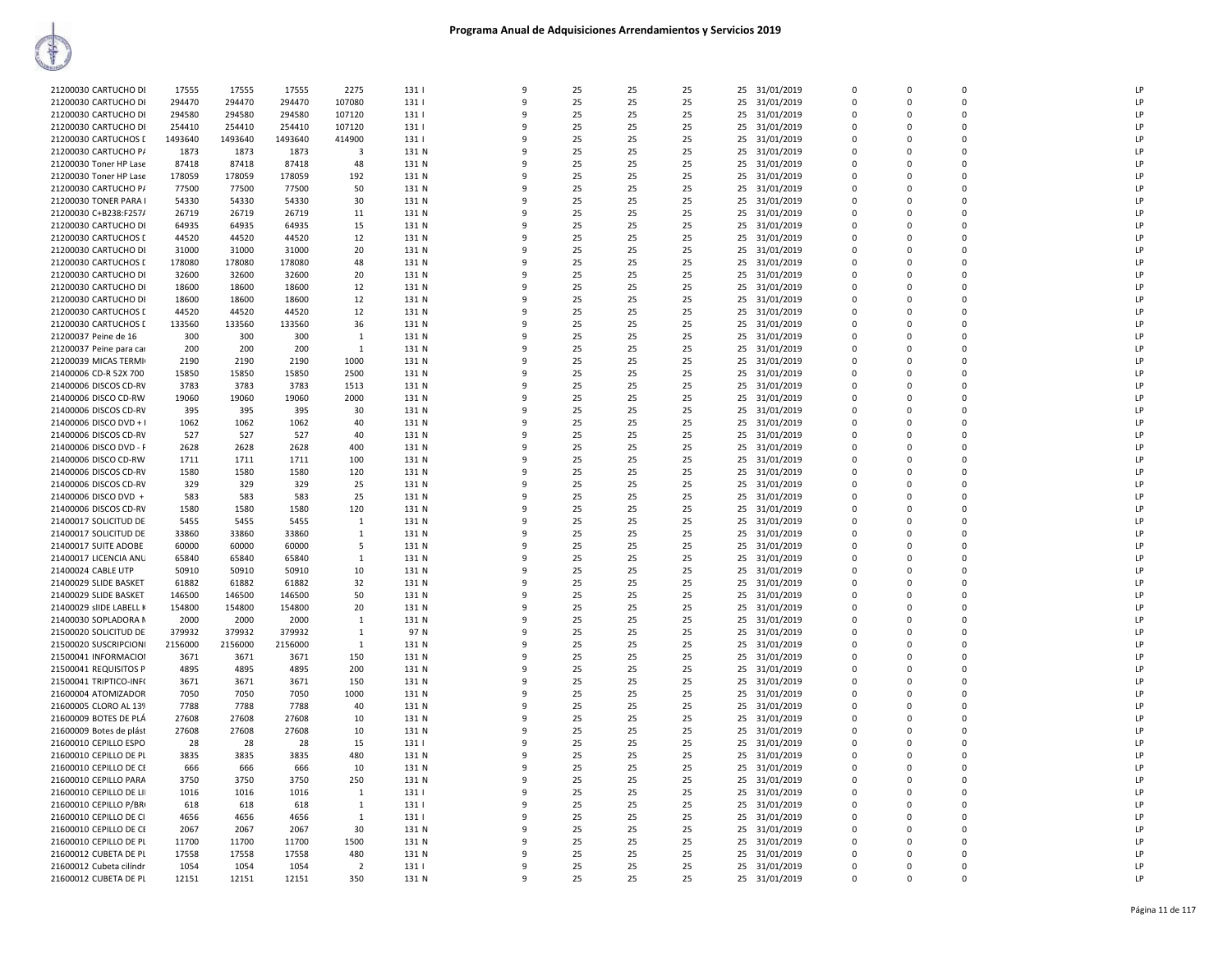| 21200030 CARTUCHO DI    | 17555   | 17555   | 17555   | 2275           | 1311  | q            | 25 | 25 | 25 | 31/01/2019<br>25 | $\Omega$       | $\Omega$ | $\Omega$    | LP |
|-------------------------|---------|---------|---------|----------------|-------|--------------|----|----|----|------------------|----------------|----------|-------------|----|
| 21200030 CARTUCHO DI    | 294470  | 294470  | 294470  | 107080         | 131   | 9            | 25 | 25 | 25 | 25<br>31/01/2019 | $\Omega$       | $\Omega$ | $\Omega$    | LP |
| 21200030 CARTUCHO DI    | 294580  | 294580  | 294580  | 107120         | 131   | ٩            | 25 | 25 | 25 | 31/01/2019<br>25 | $\Omega$       | $\Omega$ | $\Omega$    | LP |
|                         |         |         |         |                |       |              |    |    |    |                  | $\Omega$       | $\Omega$ | $\Omega$    | LP |
| 21200030 CARTUCHO DI    | 254410  | 254410  | 254410  | 107120         | 131   |              | 25 | 25 | 25 | 25<br>31/01/2019 |                |          |             |    |
| 21200030 CARTUCHOS I    | 1493640 | 1493640 | 1493640 | 414900         | 131   | q            | 25 | 25 | 25 | 31/01/2019<br>25 | $\mathbf 0$    | $\Omega$ | $\mathbf 0$ | LP |
| 21200030 CARTUCHO P/    | 1873    | 1873    | 1873    | $\overline{3}$ | 131 N | 9            | 25 | 25 | 25 | 25<br>31/01/2019 | $\mathbf 0$    | $\Omega$ | $\Omega$    | LP |
| 21200030 Toner HP Lase  | 87418   | 87418   | 87418   | 48             | 131 N | ۰Q           | 25 | 25 | 25 | 25<br>31/01/2019 | $\Omega$       | $\Omega$ | $\Omega$    | LP |
| 21200030 Toner HP Lase  | 178059  | 178059  | 178059  | 192            | 131 N | ٩            | 25 | 25 | 25 | 31/01/2019<br>25 | $\Omega$       | $\Omega$ | $\Omega$    | LP |
| 21200030 CARTUCHO P/    | 77500   | 77500   | 77500   | 50             | 131 N | 9            | 25 | 25 | 25 | 25<br>31/01/2019 | $\Omega$       | $\Omega$ | $\Omega$    | LP |
| 21200030 TONER PARA I   | 54330   | 54330   | 54330   | 30             | 131 N |              | 25 | 25 | 25 | 25<br>31/01/2019 | $\Omega$       | $\Omega$ | $\Omega$    | LP |
| 21200030 C+B238:F257/   | 26719   | 26719   | 26719   | 11             | 131 N |              | 25 | 25 | 25 | 25<br>31/01/2019 | $\Omega$       | $\Omega$ | $\Omega$    | LP |
| 21200030 CARTUCHO DI    | 64935   | 64935   | 64935   | 15             | 131 N | q            | 25 | 25 | 25 | 25<br>31/01/2019 | 0              | $\Omega$ | $\Omega$    | LP |
| 21200030 CARTUCHOS I    | 44520   | 44520   | 44520   | 12             | 131 N |              | 25 | 25 | 25 | 25<br>31/01/2019 | $\mathbf 0$    | $\Omega$ | $\Omega$    | LP |
| 21200030 CARTUCHO DI    | 31000   | 31000   | 31000   | 20             | 131 N | ۰Q           | 25 | 25 | 25 | 25<br>31/01/2019 | $\Omega$       | $\Omega$ | $\Omega$    | LP |
| 21200030 CARTUCHOS I    | 178080  | 178080  | 178080  | 48             | 131 N | q            | 25 | 25 | 25 | 25<br>31/01/2019 | $\Omega$       | $\Omega$ | $\Omega$    | LP |
| 21200030 CARTUCHO DI    | 32600   | 32600   | 32600   | 20             | 131 N | 9            | 25 | 25 | 25 | 25<br>31/01/2019 | $\mathbf 0$    | $\Omega$ | $\Omega$    | LP |
|                         |         |         |         |                | 131 N | ۰Q           | 25 | 25 |    |                  | $\Omega$       | $\Omega$ | $\Omega$    | LP |
| 21200030 CARTUCHO DI    | 18600   | 18600   | 18600   | 12             |       |              |    |    | 25 | 25<br>31/01/2019 |                |          |             |    |
| 21200030 CARTUCHO DI    | 18600   | 18600   | 18600   | 12             | 131 N |              | 25 | 25 | 25 | 25<br>31/01/2019 | $\Omega$       | $\Omega$ | $\Omega$    | LP |
| 21200030 CARTUCHOS I    | 44520   | 44520   | 44520   | 12             | 131 N |              | 25 | 25 | 25 | 25<br>31/01/2019 | $\Omega$       | $\Omega$ | $\Omega$    | LP |
| 21200030 CARTUCHOS I    | 133560  | 133560  | 133560  | 36             | 131 N |              | 25 | 25 | 25 | 25<br>31/01/2019 | $\Omega$       |          | $\Omega$    | LP |
| 21200037 Peine de 16    | 300     | 300     | 300     | 1              | 131 N | q            | 25 | 25 | 25 | 31/01/2019<br>25 | $\Omega$       | $\Omega$ | $\Omega$    | LP |
| 21200037 Peine para car | 200     | 200     | 200     | $\mathbf{1}$   | 131 N | 9            | 25 | 25 | 25 | 25<br>31/01/2019 | $\mathbf 0$    | $\Omega$ | $\Omega$    | LP |
| 21200039 MICAS TERMI    | 2190    | 2190    | 2190    | 1000           | 131 N | ٩            | 25 | 25 | 25 | 25<br>31/01/2019 | 0              | $\Omega$ | $\Omega$    | LP |
| 21400006 CD-R 52X 700   | 15850   | 15850   | 15850   | 2500           | 131 N | q            | 25 | 25 | 25 | 25<br>31/01/2019 | $\Omega$       | $\Omega$ | $\Omega$    | LP |
| 21400006 DISCOS CD-RV   | 3783    | 3783    | 3783    | 1513           | 131 N |              | 25 | 25 | 25 | 25<br>31/01/2019 | $\Omega$       | $\Omega$ | $\Omega$    | LP |
| 21400006 DISCO CD-RW    | 19060   | 19060   | 19060   | 2000           | 131 N |              | 25 | 25 | 25 | 31/01/2019<br>25 | $\Omega$       | $\Omega$ | $\Omega$    | LP |
| 21400006 DISCOS CD-RV   | 395     | 395     | 395     | 30             | 131 N |              | 25 | 25 | 25 | 25<br>31/01/2019 | $\Omega$       |          | $\Omega$    | LP |
| 21400006 DISCO DVD + I  | 1062    | 1062    | 1062    | 40             | 131 N | ٩            | 25 | 25 | 25 | 25<br>31/01/2019 | $\Omega$       | $\Omega$ | $\Omega$    | LP |
| 21400006 DISCOS CD-RV   | 527     | 527     | 527     | 40             | 131 N | 9            | 25 | 25 | 25 | 25<br>31/01/2019 | $\mathbf 0$    | $\Omega$ | $\Omega$    | LP |
| 21400006 DISCO DVD - F  | 2628    | 2628    | 2628    | 400            | 131 N | q            | 25 | 25 | 25 | 25<br>31/01/2019 | $\mathbf 0$    | $\Omega$ | $\mathbf 0$ | LP |
| 21400006 DISCO CD-RW    | 1711    | 1711    | 1711    | 100            | 131 N | q            | 25 | 25 | 25 | 25               | $\Omega$       | $\Omega$ | $\Omega$    | LP |
|                         |         |         |         |                |       |              |    |    |    | 31/01/2019       |                |          |             |    |
| 21400006 DISCOS CD-RV   | 1580    | 1580    | 1580    | 120            | 131 N |              | 25 | 25 | 25 | 25<br>31/01/2019 | $\Omega$       | $\Omega$ | $\Omega$    | LP |
| 21400006 DISCOS CD-RV   | 329     | 329     | 329     | 25             | 131 N |              | 25 | 25 | 25 | 25<br>31/01/2019 | $\Omega$       | $\Omega$ | $\Omega$    | LP |
| 21400006 DISCO DVD +    | 583     | 583     | 583     | 25             | 131 N |              | 25 | 25 | 25 | 25<br>31/01/2019 | $\Omega$       |          | $\Omega$    | LP |
| 21400006 DISCOS CD-RV   | 1580    | 1580    | 1580    | 120            | 131 N | ٩            | 25 | 25 | 25 | 25<br>31/01/2019 | $\Omega$       | $\Omega$ | $\Omega$    | LP |
| 21400017 SOLICITUD DE   | 5455    | 5455    | 5455    | $\mathbf{1}$   | 131 N |              | 25 | 25 | 25 | 25<br>31/01/2019 | $\mathbf 0$    | $\Omega$ | $\Omega$    | LP |
| 21400017 SOLICITUD DE   | 33860   | 33860   | 33860   | $\mathbf{1}$   | 131 N | $\Omega$     | 25 | 25 | 25 | 31/01/2019<br>25 | $\mathbf 0$    | $\Omega$ | $\mathbf 0$ | LP |
| 21400017 SUITE ADOBE    | 60000   | 60000   | 60000   | 5              | 131 N | q            | 25 | 25 | 25 | 25<br>31/01/2019 | $\mathbf 0$    | $\Omega$ | $\Omega$    | LP |
| 21400017 LICENCIA ANL   | 65840   | 65840   | 65840   | $\mathbf{1}$   | 131 N | ۰Q           | 25 | 25 | 25 | 25<br>31/01/2019 | $\Omega$       | $\Omega$ | $\Omega$    | LP |
| 21400024 CABLE UTP      | 50910   | 50910   | 50910   | 10             | 131 N |              | 25 | 25 | 25 | 25<br>31/01/2019 | $\Omega$       | $\Omega$ | $\Omega$    | LP |
| 21400029 SLIDE BASKET   | 61882   | 61882   | 61882   | 32             | 131 N |              | 25 | 25 | 25 | 25<br>31/01/2019 | $\Omega$       | $\Omega$ | 0           | LP |
| 21400029 SLIDE BASKET   | 146500  | 146500  | 146500  | 50             | 131 N |              | 25 | 25 | 25 | 25<br>31/01/2019 | $\Omega$       | $\Omega$ | $\Omega$    | LP |
| 21400029 sliDE LABELL K | 154800  | 154800  | 154800  | 20             | 131 N |              | 25 | 25 | 25 | 25<br>31/01/2019 | $\Omega$       |          | $\Omega$    | LP |
| 21400030 SOPLADORA M    | 2000    | 2000    | 2000    | 1              | 131 N | ٩            | 25 | 25 | 25 | 31/01/2019<br>25 | 0              | $\Omega$ | $\Omega$    | LP |
| 21500020 SOLICITUD DE   | 379932  | 379932  | 379932  | $\mathbf{1}$   | 97 N  | 9            | 25 | 25 | 25 | 25<br>31/01/2019 | $\mathbf 0$    | $\Omega$ | $\Omega$    | LP |
|                         | 2156000 | 2156000 | 2156000 | 1              | 131 N | ۰Q           | 25 | 25 | 25 |                  | $\Omega$       | $\Omega$ | $\Omega$    | LP |
| 21500020 SUSCRIPCIONI   |         |         |         |                |       |              |    |    |    | 25<br>31/01/2019 | $\Omega$       | $\Omega$ | $\Omega$    |    |
| 21500041 INFORMACIOI    | 3671    | 3671    | 3671    | 150            | 131 N |              | 25 | 25 | 25 | 25<br>31/01/2019 |                |          |             | LP |
| 21500041 REQUISITOS P   | 4895    | 4895    | 4895    | 200            | 131 N |              | 25 | 25 | 25 | 25<br>31/01/2019 | $\Omega$       | $\Omega$ | $\Omega$    | LP |
| 21500041 TRIPTICO-INF(  | 3671    | 3671    | 3671    | 150            | 131 N | ٩            | 25 | 25 | 25 | 25<br>31/01/2019 | $\Omega$       | $\Omega$ | $\Omega$    | LP |
| 21600004 ATOMIZADOR     | 7050    | 7050    | 7050    | 1000           | 131 N |              | 25 | 25 | 25 | 31/01/2019<br>25 | $\Omega$       | $\Omega$ | $\Omega$    | LP |
| 21600005 CLORO AL 139   | 7788    | 7788    | 7788    | 40             | 131 N | ٩            | 25 | 25 | 25 | 25<br>31/01/2019 | $\mathbf 0$    | $\Omega$ | $\Omega$    | LP |
| 21600009 BOTES DE PLÁ   | 27608   | 27608   | 27608   | 10             | 131 N | 9            | 25 | 25 | 25 | 25<br>31/01/2019 | $\mathbf 0$    | $\Omega$ | $\Omega$    | LP |
| 21600009 Botes de plást | 27608   | 27608   | 27608   | 10             | 131 N | ٠Q           | 25 | 25 | 25 | 25<br>31/01/2019 | $\Omega$       | $\Omega$ | $\Omega$    | LP |
| 21600010 CEPILLO ESPO   | 28      | 28      | 28      | 15             | 131   |              | 25 | 25 | 25 | 25<br>31/01/2019 | $\overline{0}$ | $\Omega$ | $\Omega$    | LP |
| 21600010 CEPILLO DE PL  | 3835    | 3835    | 3835    | 480            | 131 N |              | 25 | 25 | 25 | 25<br>31/01/2019 | $\Omega$       | $\Omega$ | $\Omega$    | LP |
| 21600010 CEPILLO DE CE  | 666     | 666     | 666     | 10             | 131 N | ٩            | 25 | 25 | 25 | 25<br>31/01/2019 | $\Omega$       | $\Omega$ | $\Omega$    | LP |
| 21600010 CEPILLO PARA   | 3750    | 3750    | 3750    | 250            | 131 N | ٩            | 25 | 25 | 25 | 25<br>31/01/2019 | $\Omega$       | $\Omega$ | $\Omega$    | LP |
| 21600010 CEPILLO DE LII | 1016    | 1016    | 1016    | 1              | 131   | 9            | 25 | 25 | 25 | 31/01/2019<br>25 | $\mathbf 0$    | $\Omega$ | $\Omega$    | LP |
| 21600010 CEPILLO P/BR   | 618     | 618     | 618     | <sup>1</sup>   | 131   | 9            | 25 | 25 | 25 | 25<br>31/01/2019 | $\mathbf 0$    | $\Omega$ | $\Omega$    | LP |
|                         | 4656    | 4656    | 4656    |                | 131   | ٩            | 25 | 25 | 25 | 25               | $\Omega$       | $\Omega$ | $\Omega$    | LP |
| 21600010 CEPILLO DE CI  |         |         |         | 1              |       |              |    |    |    | 31/01/2019       |                |          |             |    |
| 21600010 CEPILLO DE CE  | 2067    | 2067    | 2067    | 30             | 131 N |              | 25 | 25 | 25 | 25<br>31/01/2019 | $\overline{0}$ | $\Omega$ | $\Omega$    | LP |
| 21600010 CEPILLO DE PL  | 11700   | 11700   | 11700   | 1500           | 131 N |              | 25 | 25 | 25 | 25<br>31/01/2019 | $\mathbf 0$    | $\Omega$ | $\mathbf 0$ | LP |
| 21600012 CUBETA DE PL   | 17558   | 17558   | 17558   | 480            | 131 N | q            | 25 | 25 | 25 | 25<br>31/01/2019 | $\Omega$       | $\Omega$ | $\Omega$    | LP |
| 21600012 Cubeta cilíndr | 1054    | 1054    | 1054    | $\overline{2}$ | 131   | ۰Q           | 25 | 25 | 25 | 25<br>31/01/2019 | $\Omega$       | $\Omega$ | $\Omega$    | LP |
| 21600012 CUBETA DE PL   | 12151   | 12151   | 12151   | 350            | 131 N | $\mathbf{q}$ | 25 | 25 | 25 | 25 31/01/2019    | $\Omega$       | $\Omega$ | $\Omega$    | LP |
|                         |         |         |         |                |       |              |    |    |    |                  |                |          |             |    |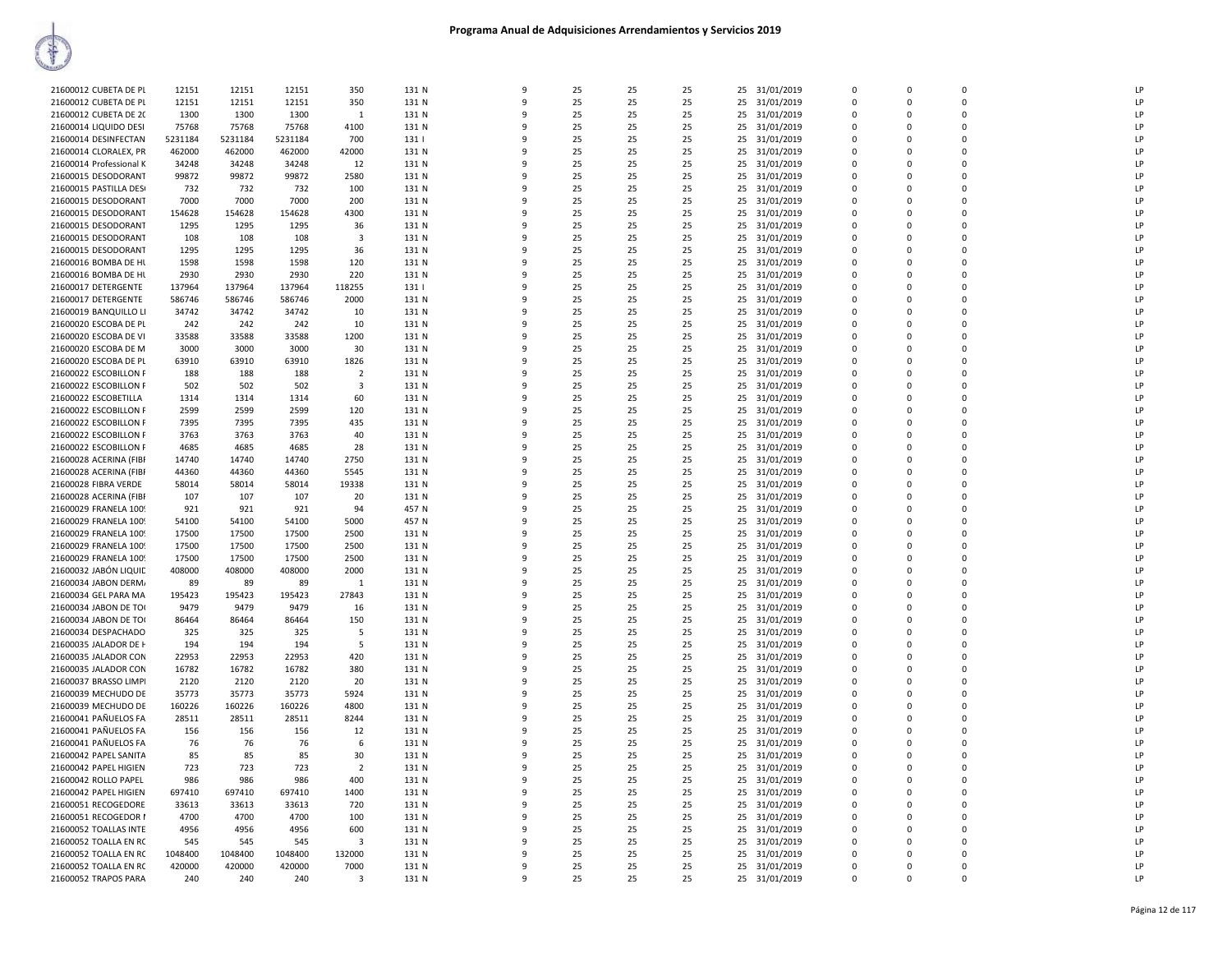| 21600012 CUBETA DE PL   | 12151   | 12151   | 12151   | 350            | 131 N | 9            | 25 | 25 | 25 |    | 25 31/01/2019 | $\Omega$    | $\Omega$    | $\Omega$    | LP            |
|-------------------------|---------|---------|---------|----------------|-------|--------------|----|----|----|----|---------------|-------------|-------------|-------------|---------------|
| 21600012 CUBETA DE PL   | 12151   | 12151   | 12151   | 350            | 131 N | 9            | 25 | 25 | 25 | 25 | 31/01/2019    | 0           | 0           | $\mathbf 0$ | LP            |
| 21600012 CUBETA DE 20   | 1300    | 1300    | 1300    | $\mathbf{1}$   | 131 N | 9            | 25 | 25 | 25 | 25 | 31/01/2019    | $\mathbf 0$ | 0           | $\mathbf 0$ | LP            |
| 21600014 LIQUIDO DESI   | 75768   | 75768   | 75768   | 4100           | 131 N | q            | 25 | 25 | 25 | 25 | 31/01/2019    | $\mathbf 0$ | 0           | $\Omega$    | LP            |
| 21600014 DESINFECTAN    | 5231184 | 5231184 | 5231184 | 700            | 131   | $\mathbf{q}$ | 25 | 25 | 25 | 25 | 31/01/2019    | $\Omega$    | $\Omega$    | $\Omega$    | LP            |
| 21600014 CLORALEX, PR   | 462000  | 462000  | 462000  | 42000          | 131 N | 9            | 25 | 25 | 25 | 25 |               | $\mathbf 0$ | 0           | $\mathbf 0$ | LP            |
|                         | 34248   | 34248   | 34248   |                | 131 N | 9            | 25 | 25 | 25 |    | 31/01/2019    | $\Omega$    | $\Omega$    | $\Omega$    | LP            |
| 21600014 Professional K |         |         |         | 12             |       |              |    |    |    |    | 25 31/01/2019 |             |             |             |               |
| 21600015 DESODORANT     | 99872   | 99872   | 99872   | 2580           | 131 N | 9            | 25 | 25 | 25 | 25 | 31/01/2019    | $\Omega$    | $\Omega$    | $\mathbf 0$ | LP            |
| 21600015 PASTILLA DESI  | 732     | 732     | 732     | 100            | 131 N | 9            | 25 | 25 | 25 | 25 | 31/01/2019    | 0           | 0           | $\mathbf 0$ | $\mathsf{LP}$ |
| 21600015 DESODORANT     | 7000    | 7000    | 7000    | 200            | 131 N | 9            | 25 | 25 | 25 | 25 | 31/01/2019    | $\mathbf 0$ | $\mathbf 0$ | $\mathbf 0$ | LP            |
| 21600015 DESODORANT     | 154628  | 154628  | 154628  | 4300           | 131 N | q            | 25 | 25 | 25 | 25 | 31/01/2019    | $\mathbf 0$ | 0           | $\Omega$    | LP            |
| 21600015 DESODORANT     | 1295    | 1295    | 1295    | 36             | 131 N | $\mathbf{q}$ | 25 | 25 | 25 | 25 | 31/01/2019    | $\Omega$    | $\Omega$    | $\Omega$    | LP            |
| 21600015 DESODORANT     | 108     | 108     | 108     | 3              | 131 N | 9            | 25 | 25 | 25 | 25 | 31/01/2019    | 0           | 0           | $\Omega$    | LP            |
| 21600015 DESODORANT     | 1295    | 1295    | 1295    | 36             | 131 N | 9            | 25 | 25 | 25 | 25 | 31/01/2019    | $\Omega$    | $\Omega$    | $\Omega$    | LP            |
| 21600016 BOMBA DE HL    | 1598    | 1598    | 1598    | 120            | 131 N | 9            | 25 | 25 | 25 | 25 | 31/01/2019    | $\mathbf 0$ | 0           | $\mathbf 0$ | LP            |
| 21600016 BOMBA DE HL    | 2930    | 2930    | 2930    | 220            | 131 N | 9            | 25 | 25 | 25 | 25 | 31/01/2019    | 0           | 0           | $\mathbf 0$ | LP            |
| 21600017 DETERGENTE     | 137964  | 137964  | 137964  | 118255         | 131   | $\mathbf{q}$ | 25 | 25 | 25 | 25 | 31/01/2019    | $\mathbf 0$ | $\mathbf 0$ | $\mathbf 0$ | LP            |
| 21600017 DETERGENTE     | 586746  | 586746  | 586746  | 2000           | 131 N | 9            | 25 | 25 | 25 | 25 | 31/01/2019    | $\Omega$    | $\Omega$    | $\Omega$    | LP            |
| 21600019 BANQUILLO LI   | 34742   | 34742   | 34742   | 10             | 131 N | $\mathbf{q}$ | 25 | 25 | 25 | 25 | 31/01/2019    | $\Omega$    | $\Omega$    | $\Omega$    | LP            |
|                         |         |         |         |                |       | 9            |    |    |    |    |               |             | 0           | $\Omega$    | LP            |
| 21600020 ESCOBA DE PL   | 242     | 242     | 242     | 10             | 131 N |              | 25 | 25 | 25 | 25 | 31/01/2019    | 0           |             |             |               |
| 21600020 ESCOBA DE VI   | 33588   | 33588   | 33588   | 1200           | 131 N | 9            | 25 | 25 | 25 | 25 | 31/01/2019    | $\Omega$    | $\Omega$    | $\Omega$    | LP            |
| 21600020 ESCOBA DE M    | 3000    | 3000    | 3000    | 30             | 131 N | 9            | 25 | 25 | 25 | 25 | 31/01/2019    | 0           | 0           | $\mathbf 0$ | LP            |
| 21600020 ESCOBA DE PL   | 63910   | 63910   | 63910   | 1826           | 131 N | 9            | 25 | 25 | 25 | 25 | 31/01/2019    | $\mathbf 0$ | $\Omega$    | $\mathbf 0$ | LP            |
| 21600022 ESCOBILLON F   | 188     | 188     | 188     | $\overline{2}$ | 131 N | 9            | 25 | 25 | 25 | 25 | 31/01/2019    | $\Omega$    | $\Omega$    | $\Omega$    | LP            |
| 21600022 ESCOBILLON F   | 502     | 502     | 502     | 3              | 131 N | q            | 25 | 25 | 25 | 25 | 31/01/2019    | $\Omega$    | $\Omega$    | $\Omega$    | LP            |
| 21600022 ESCOBETILLA    | 1314    | 1314    | 1314    | 60             | 131 N | 9            | 25 | 25 | 25 | 25 | 31/01/2019    | $\Omega$    | $\Omega$    | $\Omega$    | LP            |
| 21600022 ESCOBILLON F   | 2599    | 2599    | 2599    | 120            | 131 N | 9            | 25 | 25 | 25 | 25 | 31/01/2019    | 0           | 0           | $\mathbf 0$ | LP            |
| 21600022 ESCOBILLON F   | 7395    | 7395    | 7395    | 435            | 131 N | 9            | 25 | 25 | 25 | 25 | 31/01/2019    | $\Omega$    | $\Omega$    | $\Omega$    | LP            |
| 21600022 ESCOBILLON F   | 3763    | 3763    | 3763    | 40             | 131 N | 9            | 25 | 25 | 25 | 25 | 31/01/2019    | $\mathbf 0$ | 0           | $\mathbf 0$ | LP            |
| 21600022 ESCOBILLON F   | 4685    | 4685    | 4685    | 28             | 131 N | 9            | 25 | 25 | 25 | 25 | 31/01/2019    | 0           | $\Omega$    | $\mathbf 0$ | LP            |
| 21600028 ACERINA (FIBF  | 14740   | 14740   | 14740   | 2750           | 131 N | 9            | 25 | 25 | 25 | 25 | 31/01/2019    | $\Omega$    | $\Omega$    | $\Omega$    | LP            |
|                         |         | 44360   | 44360   | 5545           | 131 N | q            | 25 | 25 | 25 |    |               | $\Omega$    | $\Omega$    | $\Omega$    | LP            |
| 21600028 ACERINA (FIBI  | 44360   |         |         |                |       |              |    |    |    | 25 | 31/01/2019    |             |             |             |               |
| 21600028 FIBRA VERDE    | 58014   | 58014   | 58014   | 19338          | 131 N | $\mathbf{q}$ | 25 | 25 | 25 | 25 | 31/01/2019    | $\Omega$    | $\mathsf 0$ | $\Omega$    | LP            |
| 21600028 ACERINA (FIBR  | 107     | 107     | 107     | 20             | 131 N | 9            | 25 | 25 | 25 | 25 | 31/01/2019    | 0           | 0           | $\mathbf 0$ | LP            |
| 21600029 FRANELA 1009   | 921     | 921     | 921     | 94             | 457 N | 9            | 25 | 25 | 25 | 25 | 31/01/2019    | $\Omega$    | $\Omega$    | $\Omega$    | LP            |
| 21600029 FRANELA 1009   | 54100   | 54100   | 54100   | 5000           | 457 N | 9            | 25 | 25 | 25 | 25 | 31/01/2019    | $\mathbf 0$ | 0           | $\mathbf 0$ | LP            |
| 21600029 FRANELA 1009   | 17500   | 17500   | 17500   | 2500           | 131 N | 9            | 25 | 25 | 25 | 25 | 31/01/2019    | 0           | 0           | $\mathbf 0$ | LP            |
| 21600029 FRANELA 1009   | 17500   | 17500   | 17500   | 2500           | 131 N | 9            | 25 | 25 | 25 | 25 | 31/01/2019    | $\Omega$    | $\Omega$    | $\Omega$    | LP            |
| 21600029 FRANELA 1009   | 17500   | 17500   | 17500   | 2500           | 131 N | q            | 25 | 25 | 25 | 25 | 31/01/2019    | $\Omega$    | $\Omega$    | $\Omega$    | LP            |
| 21600032 JABÓN LIQUID   | 408000  | 408000  | 408000  | 2000           | 131 N | 9            | 25 | 25 | 25 | 25 | 31/01/2019    | $\Omega$    | $\Omega$    | $\Omega$    | LP            |
| 21600034 JABON DERM/    | 89      | 89      | 89      | -1             | 131 N | 9            | 25 | 25 | 25 | 25 | 31/01/2019    | 0           | 0           | 0           | LP            |
| 21600034 GEL PARA MA    | 195423  | 195423  | 195423  | 27843          | 131 N | 9            | 25 | 25 | 25 | 25 | 31/01/2019    | $\Omega$    | $\Omega$    | $\Omega$    | LP            |
| 21600034 JABON DE TO(   | 9479    | 9479    | 9479    | 16             | 131 N | 9            | 25 | 25 | 25 | 25 | 31/01/2019    | 0           | 0           | $\mathbf 0$ | LP            |
| 21600034 JABON DE TO(   | 86464   | 86464   | 86464   | 150            | 131 N | 9            | 25 | 25 | 25 | 25 | 31/01/2019    | $\Omega$    | $\Omega$    | $\Omega$    | LP            |
| 21600034 DESPACHADO     | 325     | 325     | 325     | -5             | 131 N | 9            | 25 | 25 | 25 | 25 | 31/01/2019    | $\Omega$    | $\Omega$    | $\Omega$    | LP            |
| 21600035 JALADOR DE H   | 194     | 194     | 194     | -5             | 131 N | 9            | 25 | 25 | 25 | 25 |               | $\Omega$    | $\Omega$    | $\Omega$    | LP            |
|                         |         |         | 22953   |                |       | 9            |    |    |    |    | 31/01/2019    | $\Omega$    | $\Omega$    | $\Omega$    | LP            |
| 21600035 JALADOR CON    | 22953   | 22953   |         | 420            | 131 N |              | 25 | 25 | 25 | 25 | 31/01/2019    |             |             |             |               |
| 21600035 JALADOR CON    | 16782   | 16782   | 16782   | 380            | 131 N | 9            | 25 | 25 | 25 | 25 | 31/01/2019    | $\mathbf 0$ | 0           | $\mathbf 0$ | LP            |
| 21600037 BRASSO LIMPI   | 2120    | 2120    | 2120    | 20             | 131 N | 9            | 25 | 25 | 25 | 25 | 31/01/2019    | $\mathbf 0$ | $\Omega$    | $\mathbf 0$ | LP            |
| 21600039 MECHUDO DE     | 35773   | 35773   | 35773   | 5924           | 131 N | 9            | 25 | 25 | 25 | 25 | 31/01/2019    | 0           | 0           | $\mathbf 0$ | LP            |
| 21600039 MECHUDO DE     | 160226  | 160226  | 160226  | 4800           | 131 N | 9            | 25 | 25 | 25 | 25 | 31/01/2019    | $\Omega$    | $\Omega$    | $\Omega$    | LP            |
| 21600041 PAÑUELOS FA    | 28511   | 28511   | 28511   | 8244           | 131 N | 9            | 25 | 25 | 25 | 25 | 31/01/2019    | $\Omega$    | $\Omega$    | $\Omega$    | LP            |
| 21600041 PAÑUELOS FA    | 156     | 156     | 156     | 12             | 131 N | q            | 25 | 25 | 25 | 25 | 31/01/2019    | $\Omega$    | $\Omega$    | $\Omega$    | LP            |
| 21600041 PAÑUELOS FA    | 76      | 76      | 76      | 6              | 131 N | 9            | 25 | 25 | 25 | 25 | 31/01/2019    | $\Omega$    | $\Omega$    | $\Omega$    | LP            |
| 21600042 PAPEL SANITA   | 85      | 85      | 85      | 30             | 131 N | 9            | 25 | 25 | 25 | 25 | 31/01/2019    | 0           | 0           | $\mathbf 0$ | LP            |
| 21600042 PAPEL HIGIEN   | 723     | 723     | 723     | $\overline{2}$ | 131 N | $\mathsf{q}$ | 25 | 25 | 25 | 25 | 31/01/2019    | 0           | 0           | $\mathbf 0$ | LP            |
| 21600042 ROLLO PAPEL    | 986     | 986     | 986     | 400            | 131 N | 9            | 25 | 25 | 25 | 25 | 31/01/2019    | $\Omega$    | $\Omega$    | $\Omega$    | LP            |
| 21600042 PAPEL HIGIEN   | 697410  | 697410  | 697410  | 1400           | 131 N | 9            | 25 | 25 | 25 | 25 | 31/01/2019    | $\Omega$    | $\Omega$    | $\mathbf 0$ | LP            |
| 21600051 RECOGEDORE     | 33613   | 33613   | 33613   | 720            | 131 N | 9            | 25 | 25 | 25 | 25 | 31/01/2019    | $\Omega$    | $\Omega$    | $\Omega$    | LP            |
|                         | 4700    | 4700    | 4700    | 100            |       | q            | 25 | 25 | 25 |    |               |             | $\Omega$    | $\Omega$    | LP            |
| 21600051 RECOGEDOR I    |         |         |         |                | 131 N |              |    |    |    | 25 | 31/01/2019    | $\Omega$    |             |             |               |
| 21600052 TOALLAS INTE   | 4956    | 4956    | 4956    | 600            | 131 N | 9            | 25 | 25 | 25 | 25 | 31/01/2019    | $\Omega$    | $\Omega$    | $\Omega$    | LP            |
| 21600052 TOALLA EN RC   | 545     | 545     | 545     | 3              | 131 N | 9            | 25 | 25 | 25 | 25 | 31/01/2019    | 0           | 0           | $\mathbf 0$ | LP            |
| 21600052 TOALLA EN RC   | 1048400 | 1048400 | 1048400 | 132000         | 131 N | 9            | 25 | 25 | 25 | 25 | 31/01/2019    | 0           | 0           | $\mathbf 0$ | LP            |
| 21600052 TOALLA EN RC   | 420000  | 420000  | 420000  | 7000           | 131 N | q            | 25 | 25 | 25 | 25 | 31/01/2019    | $\Omega$    | $\Omega$    | $\Omega$    | LP            |
| 21600052 TRAPOS PARA    | 240     | 240     | 240     | $\mathbf{3}$   | 131 N | 9            | 25 | 25 | 25 |    | 25 31/01/2019 | $\Omega$    | $\Omega$    | $\Omega$    | LP            |
|                         |         |         |         |                |       |              |    |    |    |    |               |             |             |             |               |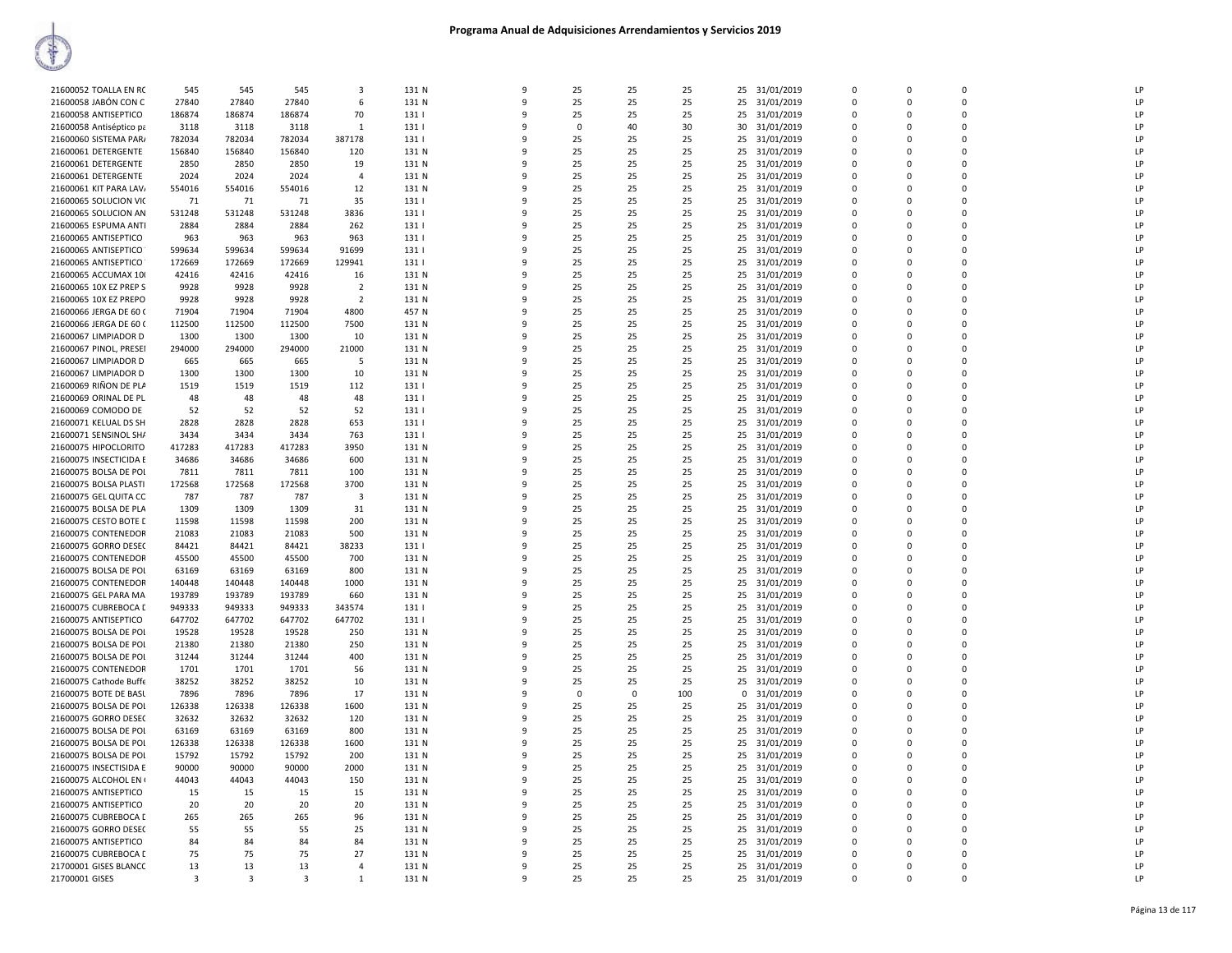| 21600052 TOALLA EN RC   | 545            | 545          | 545                     | 3              | 131 N | 9 | 25       | 25       | 25  | 25       | 31/01/2019    | $\Omega$    | $\Omega$      | $\Omega$       | LP            |
|-------------------------|----------------|--------------|-------------------------|----------------|-------|---|----------|----------|-----|----------|---------------|-------------|---------------|----------------|---------------|
| 21600058 JABÓN CON C    | 27840          | 27840        | 27840                   | 6              | 131 N | 9 | 25       | 25       | 25  | 25       | 31/01/2019    | $\Omega$    | 0             | $\Omega$       | LP            |
| 21600058 ANTISEPTICO    | 186874         | 186874       | 186874                  | 70             | 131   | q | 25       | 25       | 25  | 25       | 31/01/2019    | $\Omega$    | 0             | $\Omega$       | LP            |
| 21600058 Antiséptico pa | 3118           | 3118         | 3118                    | $\mathbf{1}$   | 131   | 9 | $\Omega$ | 40       | 30  | 30       | 31/01/2019    | $\Omega$    | $\Omega$      | $\Omega$       | LP            |
| 21600060 SISTEMA PAR/   | 782034         | 782034       | 782034                  | 387178         | 131   | 9 | 25       | 25       | 25  | 25       | 31/01/2019    | 0           | 0             | $\overline{0}$ | LP            |
| 21600061 DETERGENTE     | 156840         | 156840       | 156840                  | 120            | 131 N | 9 | 25       | 25       | 25  | 25       | 31/01/2019    | 0           | 0             | 0              | LP            |
| 21600061 DETERGENTE     | 2850           | 2850         | 2850                    | 19             | 131 N | q | 25       | 25       | 25  | 25       | 31/01/2019    | $\Omega$    | 0             | $\mathbf 0$    | LP            |
| 21600061 DETERGENTE     | 2024           | 2024         | 2024                    | $\mathbf{A}$   | 131 N | q | 25       | 25       | 25  | 25       | 31/01/2019    | $\Omega$    | $\Omega$      | $\Omega$       | LP            |
|                         |                |              |                         |                | 131 N | 9 |          |          |     |          |               | $\Omega$    | $\Omega$      | $\Omega$       | LP            |
| 21600061 KIT PARA LAV   | 554016         | 554016       | 554016                  | 12             |       |   | 25       | 25       | 25  | 25       | 31/01/2019    |             |               |                |               |
| 21600065 SOLUCION VIC   | 71             | 71           | 71                      | 35             | 131   | q | 25       | 25       | 25  | 25       | 31/01/2019    | $\Omega$    | $\Omega$      | $\Omega$       | LP            |
| 21600065 SOLUCION AN    | 531248         | 531248       | 531248                  | 3836           | 131   | 9 | 25       | 25       | 25  | 25       | 31/01/2019    | $\Omega$    | $\Omega$      | $\Omega$       | LP            |
| 21600065 ESPUMA ANTI    | 2884           | 2884         | 2884                    | 262            | 131   | 9 | 25       | 25       | 25  | 25       | 31/01/2019    | $\Omega$    | 0             | $\overline{0}$ | LP            |
| 21600065 ANTISEPTICO    | 963            | 963          | 963                     | 963            | 131   | 9 | 25       | 25       | 25  | 25       | 31/01/2019    | $\Omega$    | $\Omega$      | $\Omega$       | LP            |
| 21600065 ANTISEPTICO    | 599634         | 599634       | 599634                  | 91699          | 131   | q | 25       | 25       | 25  | 25       | 31/01/2019    | $\Omega$    | 0             | $\Omega$       | LP            |
| 21600065 ANTISEPTICO    | 172669         | 172669       | 172669                  | 129941         | 131   | q | 25       | 25       | 25  | 25       | 31/01/2019    | $\Omega$    | $\Omega$      | $\Omega$       | LP            |
| 21600065 ACCUMAX 10     | 42416          | 42416        | 42416                   | 16             | 131 N | 9 | 25       | 25       | 25  | 25       | 31/01/2019    | $\mathbf 0$ | 0             | $\Omega$       | LP            |
| 21600065 10X EZ PREP S  | 9928           | 9928         | 9928                    | $\overline{2}$ | 131 N | q | 25       | 25       | 25  | 25       | 31/01/2019    | $\Omega$    | $\Omega$      | $\Omega$       | LP            |
| 21600065 10X EZ PREPO   | 9928           | 9928         | 9928                    | $\overline{2}$ | 131 N | 9 | 25       | 25       | 25  | 25       | 31/01/2019    | $\Omega$    | $\Omega$      | $\Omega$       | LP            |
| 21600066 JERGA DE 60 (  | 71904          | 71904        | 71904                   | 4800           | 457 N | q | 25       | 25       | 25  | 25       | 31/01/2019    | $\Omega$    | 0             | $\Omega$       | LP            |
| 21600066 JERGA DE 60 (  | 112500         | 112500       | 112500                  | 7500           | 131 N | 9 | 25       | 25       | 25  | 25       | 31/01/2019    | $\Omega$    | $\Omega$      | $\Omega$       | LP            |
| 21600067 LIMPIADOR D    | 1300           | 1300         | 1300                    | 10             | 131 N | q | 25       | 25       | 25  | 25       | 31/01/2019    | $\Omega$    | 0             | $\Omega$       | LP            |
| 21600067 PINOL, PRESEI  | 294000         | 294000       | 294000                  | 21000          | 131 N | 9 | 25       | 25       | 25  |          | 25 31/01/2019 | $\Omega$    | $\Omega$      | $\mathbf 0$    | LP            |
| 21600067 LIMPIADOR D    | 665            | 665          | 665                     | -5             | 131 N | 9 | 25       | 25       | 25  | 25       | 31/01/2019    | 0           | 0             | $\Omega$       | LP            |
| 21600067 LIMPIADOR D    | 1300           | 1300         | 1300                    | 10             | 131 N | q | 25       | 25       | 25  | 25       | 31/01/2019    | $\Omega$    | $\Omega$      | $\Omega$       | LP            |
|                         |                |              |                         |                | 1311  | 9 |          |          |     |          |               | $\Omega$    | 0             | $\Omega$       | LP            |
| 21600069 RIÑON DE PLA   | 1519           | 1519         | 1519                    | 112            |       |   | 25       | 25       | 25  | 25       | 31/01/2019    |             |               |                | LP            |
| 21600069 ORINAL DE PL   | 48             | 48           | 48                      | 48             | 131   | q | 25       | 25       | 25  | 25       | 31/01/2019    | $\Omega$    | $\Omega$      | $\Omega$       |               |
| 21600069 COMODO DE      | 52             | 52           | 52                      | 52             | 131   | 9 | 25       | 25       | 25  | 25       | 31/01/2019    | $\Omega$    | $\Omega$      | $\Omega$       | LP            |
| 21600071 KELUAL DS SH   | 2828           | 2828         | 2828                    | 653            | 131   | q | 25       | 25       | 25  | 25       | 31/01/2019    | $\Omega$    | 0             | $\Omega$       | LP            |
| 21600071 SENSINOL SH/   | 3434           | 3434         | 3434                    | 763            | 131   | 9 | 25       | 25       | 25  | 25       | 31/01/2019    | $\Omega$    | $\Omega$      | $\mathbf 0$    | LP            |
| 21600075 HIPOCLORITO    | 417283         | 417283       | 417283                  | 3950           | 131 N | 9 | 25       | 25       | 25  | 25       | 31/01/2019    | $\mathbf 0$ | 0             | $\mathbf 0$    | LP            |
| 21600075 INSECTICIDA E  | 34686          | 34686        | 34686                   | 600            | 131 N | q | 25       | 25       | 25  | 25       | 31/01/2019    | $\Omega$    | $\Omega$      | $\Omega$       | LP            |
| 21600075 BOLSA DE POI   | 7811           | 7811         | 7811                    | 100            | 131 N | q | 25       | 25       | 25  | 25       | 31/01/2019    | 0           | $\Omega$      | $\Omega$       | LP            |
| 21600075 BOLSA PLASTI   | 172568         | 172568       | 172568                  | 3700           | 131 N | q | 25       | 25       | 25  | 25       | 31/01/2019    | $\Omega$    | $\Omega$      | $\Omega$       | LP            |
| 21600075 GEL QUITA CC   | 787            | 787          | 787                     | $\mathbf{3}$   | 131 N | ٩ | 25       | 25       | 25  | 25       | 31/01/2019    | $\Omega$    | O             | $\Omega$       | LP            |
| 21600075 BOLSA DE PLA   | 1309           | 1309         | 1309                    | 31             | 131 N | q | 25       | 25       | 25  | 25       | 31/01/2019    | $\Omega$    | 0             | $\Omega$       | LP            |
| 21600075 CESTO BOTE L   | 11598          | 11598        | 11598                   | 200            | 131 N | 9 | 25       | 25       | 25  |          | 25 31/01/2019 | $\Omega$    | $\Omega$      | $\mathbf 0$    | LP            |
| 21600075 CONTENEDOR     | 21083          | 21083        | 21083                   | 500            | 131 N | 9 | 25       | 25       | 25  | 25       | 31/01/2019    | $\mathbf 0$ | 0             | $\mathbf 0$    | LP            |
| 21600075 GORRO DESE(    | 84421          | 84421        | 84421                   | 38233          | 131   | q | 25       | 25       | 25  | 25       | 31/01/2019    | $\mathbf 0$ | $\mathbf 0$   | $\mathbf 0$    | LP            |
| 21600075 CONTENEDOR     | 45500          | 45500        | 45500                   | 700            | 131 N | q | 25       | 25       | 25  | 25       | 31/01/2019    | $\Omega$    | $\Omega$      | $\Omega$       | LP            |
| 21600075 BOLSA DE POI   | 63169          | 63169        | 63169                   | 800            | 131 N | q | 25       | 25       | 25  | 25       | 31/01/2019    | $\Omega$    | $\Omega$      | $\Omega$       | LP            |
| 21600075 CONTENEDOR     | 140448         | 140448       | 140448                  | 1000           | 131 N | 9 | 25       | 25       | 25  | 25       | 31/01/2019    | 0           | 0             | $\Omega$       | LP            |
| 21600075 GEL PARA MA    | 193789         | 193789       | 193789                  | 660            | 131 N | q | 25       | 25       | 25  | 25       | 31/01/2019    | $\Omega$    | $\Omega$      | $\mathfrak o$  | LP            |
|                         | 949333         | 949333       |                         |                |       | 9 |          |          |     |          |               | $\Omega$    | $\Omega$      | 0              | LP            |
| 21600075 CUBREBOCA [    |                |              | 949333                  | 343574         | 131   |   | 25       | 25       | 25  | 25       | 31/01/2019    |             |               |                | LP            |
| 21600075 ANTISEPTICO    | 647702         | 647702       | 647702                  | 647702         | 131   | 9 | 25       | 25       | 25  | 25       | 31/01/2019    | 0           | 0             | $\mathbf 0$    |               |
| 21600075 BOLSA DE POL   | 19528          | 19528        | 19528                   | 250            | 131 N | 9 | 25       | 25       | 25  | 25       | 31/01/2019    | $\Omega$    | $\mathbf 0$   | $\Omega$       | LP            |
| 21600075 BOLSA DE POI   | 21380          | 21380        | 21380                   | 250            | 131 N | q | 25       | 25       | 25  | 25       | 31/01/2019    | $\Omega$    | 0             | $\Omega$       | LP            |
| 21600075 BOLSA DE POL   | 31244          | 31244        | 31244                   | 400            | 131 N | q | 25       | 25       | 25  | 25       | 31/01/2019    | $\Omega$    | $\Omega$      | $\Omega$       | LP            |
| 21600075 CONTENEDOR     | 1701           | 1701         | 1701                    | 56             | 131 N | 9 | 25       | 25       | 25  | 25       | 31/01/2019    | 0           | 0             | $\Omega$       | LP            |
| 21600075 Cathode Buffe  | 38252          | 38252        | 38252                   | 10             | 131 N | q | 25       | 25       | 25  | 25       | 31/01/2019    | $\Omega$    | $\Omega$      | $\Omega$       | LP            |
| 21600075 BOTE DE BASL   | 7896           | 7896         | 7896                    | 17             | 131 N | 9 | $\Omega$ | $\Omega$ | 100 | $\Omega$ | 31/01/2019    | $\Omega$    | $\Omega$      | $\Omega$       | LP            |
| 21600075 BOLSA DE POI   | 126338         | 126338       | 126338                  | 1600           | 131 N | 9 | 25       | 25       | 25  | 25       | 31/01/2019    | $\Omega$    | 0             | $\mathbf 0$    | $\mathsf{LP}$ |
| 21600075 GORRO DESE(    | 32632          | 32632        | 32632                   | 120            | 131 N | 9 | 25       | 25       | 25  | 25       | 31/01/2019    | $\Omega$    | $\mathbf 0$   | $\Omega$       | LP            |
| 21600075 BOLSA DE POI   | 63169          | 63169        | 63169                   | 800            | 131 N | q | 25       | 25       | 25  | 25       | 31/01/2019    | $\Omega$    | 0             | $\Omega$       | LP            |
| 21600075 BOLSA DE POL   | 126338         | 126338       | 126338                  | 1600           | 131 N | q | 25       | 25       | 25  | 25       | 31/01/2019    | O           | $\mathbf 0$   | $\mathbf 0$    | LP            |
| 21600075 BOLSA DE POI   | 15792          | 15792        | 15792                   | 200            | 131 N | 9 | 25       | 25       | 25  | 25       | 31/01/2019    | $\Omega$    | $\Omega$      | $\Omega$       | LP            |
| 21600075 INSECTISIDA E  | 90000          | 90000        | 90000                   | 2000           | 131 N | q | 25       | 25       | 25  | 25       | 31/01/2019    | $\Omega$    | $\Omega$      | $\Omega$       | LP            |
| 21600075 ALCOHOL EN (   | 44043          | 44043        | 44043                   | 150            | 131 N | 9 | 25       | 25       | 25  | 25       | 31/01/2019    | 0           | $\Omega$      | $\Omega$       | LP            |
| 21600075 ANTISEPTICO    | 15             | 15           | 15                      | 15             | 131 N | 9 | 25       | 25       | 25  | 25       | 31/01/2019    | $\Omega$    | 0             | $\mathbf 0$    | LP            |
| 21600075 ANTISEPTICO    | 20             | 20           | 20                      | 20             | 131 N | 9 | 25       | 25       | 25  | 25       | 31/01/2019    | $\Omega$    | 0             | $\Omega$       | LP            |
|                         | 265            | 265          | 265                     | 96             | 131 N | q | 25       | 25       | 25  | 25       |               | $\Omega$    |               | $\Omega$       | LP            |
| 21600075 CUBREBOCA [    |                |              |                         |                |       | 9 |          |          |     |          | 31/01/2019    |             | 0<br>$\Omega$ | $\Omega$       | LP            |
| 21600075 GORRO DESE(    | 55             | 55           | 55                      | 25             | 131 N |   | 25       | 25       | 25  | 25       | 31/01/2019    | $\Omega$    |               |                |               |
| 21600075 ANTISEPTICO    | 84             | 84           | 84                      | 84             | 131 N | q | 25       | 25       | 25  | 25       | 31/01/2019    | 0           | 0             | $\mathbf 0$    | LP            |
| 21600075 CUBREBOCA [    | 75             | 75           | 75                      | 27             | 131 N | q | 25       | 25       | 25  | 25       | 31/01/2019    | $\Omega$    | $\Omega$      | $\Omega$       | LP            |
| 21700001 GISES BLANCC   | 13             | 13           | 13                      | $\overline{4}$ | 131 N | q | 25       | 25       | 25  | 25       | 31/01/2019    | $\Omega$    | $\Omega$      | $\Omega$       | LP            |
| 21700001 GISES          | $\overline{3}$ | $\mathbf{3}$ | $\overline{\mathbf{3}}$ | 1              | 131 N | 9 | 25       | 25       | 25  |          | 25 31/01/2019 | $\Omega$    | $\Omega$      | $\Omega$       | LP            |
|                         |                |              |                         |                |       |   |          |          |     |          |               |             |               |                |               |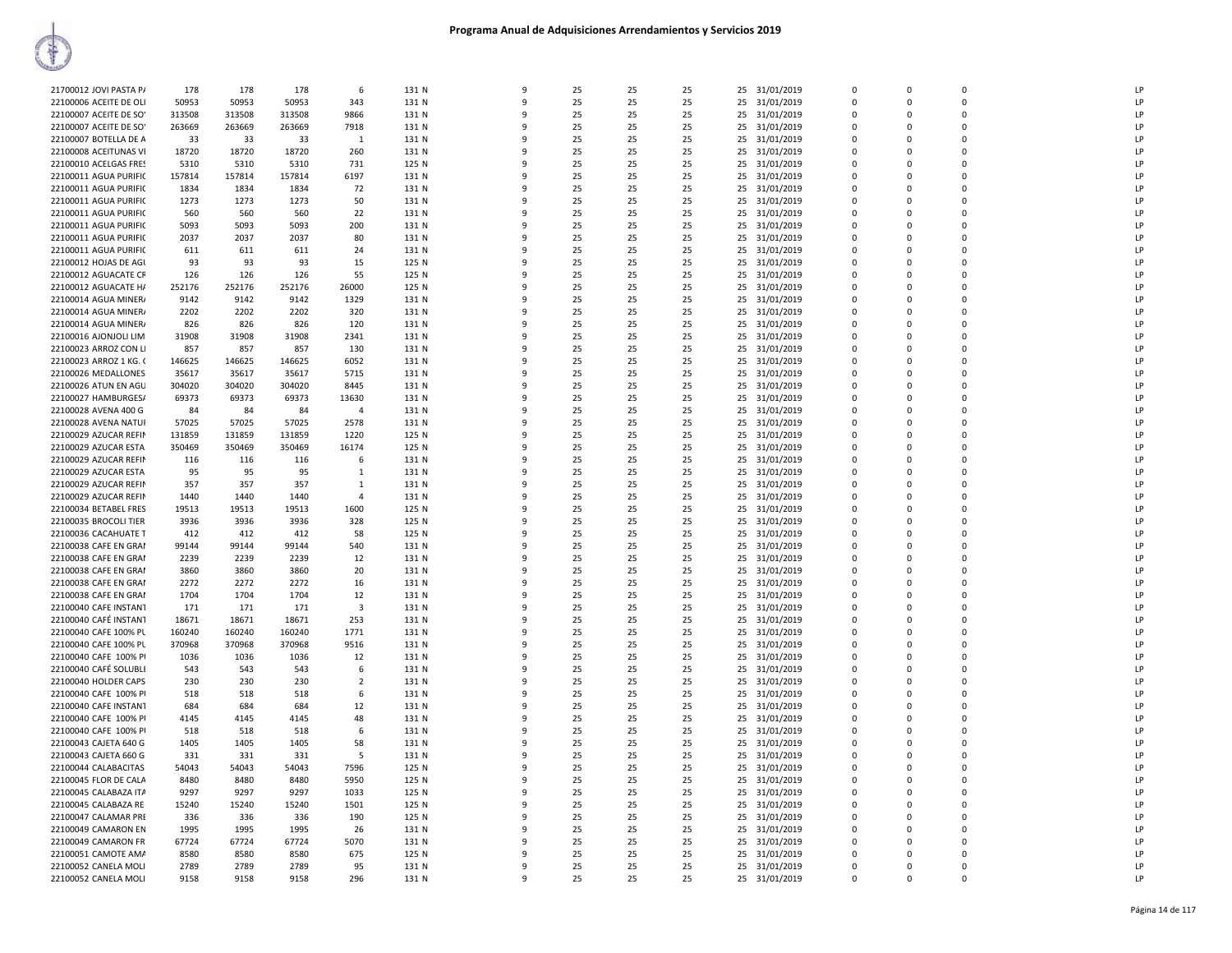| 21700012 JOVI PASTA P/ | 178    | 178    | 178    | 6              | 131 N | 9            | 25 | 25 | 25 |    | 25 31/01/2019 | $\Omega$       | $\Omega$    | $\Omega$       | LP |
|------------------------|--------|--------|--------|----------------|-------|--------------|----|----|----|----|---------------|----------------|-------------|----------------|----|
| 22100006 ACEITE DE OLI | 50953  | 50953  | 50953  | 343            | 131 N | 9            | 25 | 25 | 25 | 25 | 31/01/2019    | $\Omega$       | $\mathbf 0$ | $\Omega$       | LP |
| 22100007 ACEITE DE SO' | 313508 | 313508 | 313508 | 9866           | 131 N | 9            | 25 | 25 | 25 | 25 |               | $\Omega$       | $\Omega$    | $\Omega$       | LP |
|                        |        |        |        |                |       |              | 25 |    |    |    | 31/01/2019    |                |             |                | LP |
| 22100007 ACEITE DE SO' | 263669 | 263669 | 263669 | 7918           | 131 N | 9            |    | 25 | 25 |    | 25 31/01/2019 | $\Omega$       | $\Omega$    | $\Omega$       |    |
| 22100007 BOTELLA DE A  | 33     | 33     | 33     | -1             | 131 N | 9            | 25 | 25 | 25 | 25 | 31/01/2019    | 0              | O           | $\mathbf 0$    | LP |
| 22100008 ACEITUNAS VI  | 18720  | 18720  | 18720  | 260            | 131 N | 9            | 25 | 25 | 25 |    | 25 31/01/2019 | $\mathbf 0$    | $\Omega$    | $\mathbf 0$    | LP |
| 22100010 ACELGAS FRES  | 5310   | 5310   | 5310   | 731            | 125 N | 9            | 25 | 25 | 25 | 25 | 31/01/2019    | $\mathbf 0$    | $\Omega$    | $\Omega$       | LP |
| 22100011 AGUA PURIFIC  | 157814 | 157814 | 157814 | 6197           | 131 N | 9            | 25 | 25 | 25 | 25 | 31/01/2019    | $\mathbf 0$    | 0           | $\overline{0}$ | LP |
| 22100011 AGUA PURIFIC  | 1834   | 1834   | 1834   | 72             | 131 N | 9            | 25 | 25 | 25 | 25 | 31/01/2019    | 0              | 0           | $\mathbf 0$    | LP |
| 22100011 AGUA PURIFIC  | 1273   | 1273   | 1273   | 50             | 131 N | $\mathbf{q}$ | 25 | 25 | 25 | 25 | 31/01/2019    | $\Omega$       | $\Omega$    | $\Omega$       | LP |
| 22100011 AGUA PURIFIO  | 560    | 560    | 560    | 22             | 131 N | 9            | 25 | 25 | 25 | 25 | 31/01/2019    | $\Omega$       | $\Omega$    | $\Omega$       | LP |
| 22100011 AGUA PURIFIC  | 5093   | 5093   | 5093   | 200            | 131 N | 9            | 25 | 25 | 25 | 25 | 31/01/2019    | 0              | $\Omega$    | $\Omega$       | LP |
| 22100011 AGUA PURIFIC  | 2037   | 2037   | 2037   | 80             | 131 N | 9            | 25 | 25 | 25 | 25 | 31/01/2019    | $\Omega$       | $\Omega$    | $\Omega$       | LP |
| 22100011 AGUA PURIFIO  | 611    | 611    | 611    | 24             | 131 N | 9            | 25 | 25 | 25 | 25 | 31/01/2019    | $\Omega$       | $\Omega$    | $\Omega$       | LP |
| 22100012 HOJAS DE AGU  | 93     | 93     | 93     | 15             | 125 N | 9            | 25 | 25 | 25 |    | 25 31/01/2019 | $\mathbf 0$    | $\Omega$    | $\mathbf 0$    | LP |
| 22100012 AGUACATE CF   | 126    | 126    | 126    | 55             | 125 N | 9            | 25 | 25 | 25 | 25 | 31/01/2019    | 0              | 0           | $\mathbf 0$    | LP |
| 22100012 AGUACATE H/   | 252176 | 252176 | 252176 | 26000          | 125 N | 9            | 25 | 25 | 25 | 25 | 31/01/2019    | $\Omega$       | $\Omega$    | $\Omega$       | LP |
| 22100014 AGUA MINER/   | 9142   | 9142   | 9142   | 1329           | 131 N | 9            | 25 | 25 | 25 | 25 | 31/01/2019    | 0              | 0           | $\mathbf 0$    | LP |
| 22100014 AGUA MINER/   | 2202   | 2202   | 2202   | 320            | 131 N | 9            | 25 | 25 | 25 | 25 | 31/01/2019    | $\mathbf 0$    | 0           | $\mathbf 0$    | LP |
| 22100014 AGUA MINER/   | 826    | 826    | 826    | 120            | 131 N | 9            | 25 | 25 | 25 | 25 | 31/01/2019    | $\Omega$       | $\Omega$    | $\Omega$       | LP |
|                        | 31908  | 31908  | 31908  | 2341           | 131 N | $\mathbf{q}$ | 25 | 25 | 25 | 25 |               | $\Omega$       | $\Omega$    | $\Omega$       | LP |
| 22100016 AJONJOLI LIM  |        |        |        |                |       |              |    |    |    |    | 31/01/2019    |                |             | $\Omega$       |    |
| 22100023 ARROZ CON LI  | 857    | 857    | 857    | 130            | 131 N | 9            | 25 | 25 | 25 |    | 25 31/01/2019 | $\Omega$       | $\Omega$    |                | LP |
| 22100023 ARROZ 1 KG. 0 | 146625 | 146625 | 146625 | 6052           | 131 N | 9            | 25 | 25 | 25 | 25 | 31/01/2019    | 0              | 0           | $\mathbf 0$    | LP |
| 22100026 MEDALLONES    | 35617  | 35617  | 35617  | 5715           | 131 N | 9            | 25 | 25 | 25 | 25 | 31/01/2019    | $\mathbf 0$    | 0           | $\Omega$       | LP |
| 22100026 ATUN EN AGU   | 304020 | 304020 | 304020 | 8445           | 131 N | 9            | 25 | 25 | 25 | 25 | 31/01/2019    | $\mathbf 0$    | 0           | $\Omega$       | LP |
| 22100027 HAMBURGESA    | 69373  | 69373  | 69373  | 13630          | 131 N | 9            | 25 | 25 | 25 | 25 | 31/01/2019    | $\Omega$       | $\Omega$    | $\Omega$       | LP |
| 22100028 AVENA 400 G   | 84     | 84     | 84     | $\overline{4}$ | 131 N | 9            | 25 | 25 | 25 | 25 | 31/01/2019    | 0              | 0           | $\mathbf 0$    | LP |
| 22100028 AVENA NATUI   | 57025  | 57025  | 57025  | 2578           | 131 N | 9            | 25 | 25 | 25 |    | 25 31/01/2019 | $\Omega$       | $\Omega$    | $\Omega$       | LP |
| 22100029 AZUCAR REFIN  | 131859 | 131859 | 131859 | 1220           | 125 N | 9            | 25 | 25 | 25 | 25 | 31/01/2019    | 0              | 0           | $\mathbf 0$    | LP |
| 22100029 AZUCAR ESTA   | 350469 | 350469 | 350469 | 16174          | 125 N | 9            | 25 | 25 | 25 | 25 | 31/01/2019    | 0              | $\Omega$    | $\Omega$       | LP |
| 22100029 AZUCAR REFIN  | 116    | 116    | 116    | 6              | 131 N | 9            | 25 | 25 | 25 | 25 | 31/01/2019    | $\Omega$       | $\Omega$    | $\Omega$       | LP |
| 22100029 AZUCAR ESTA   | 95     | 95     | 95     | 1              | 131 N | 9            | 25 | 25 | 25 | 25 | 31/01/2019    | $\Omega$       | $\Omega$    | $\Omega$       | LP |
| 22100029 AZUCAR REFIN  | 357    | 357    | 357    | 1              | 131 N | 9            | 25 | 25 | 25 | 25 | 31/01/2019    | $\Omega$       | $\Omega$    | $\Omega$       | LP |
| 22100029 AZUCAR REFIN  | 1440   | 1440   | 1440   | $\overline{4}$ | 131 N | 9            | 25 | 25 | 25 | 25 | 31/01/2019    | 0              | O           | $\mathbf 0$    | LP |
| 22100034 BETABEL FRES  | 19513  | 19513  | 19513  | 1600           | 125 N | 9            | 25 | 25 | 25 | 25 | 31/01/2019    | $\Omega$       | $\Omega$    | $\Omega$       | LP |
| 22100035 BROCOLI TIER  | 3936   | 3936   | 3936   | 328            | 125 N | 9            | 25 | 25 | 25 | 25 | 31/01/2019    | 0              | 0           | $\mathbf 0$    | LP |
| 22100036 CACAHUATE T   | 412    | 412    | 412    | 58             | 125 N | 9            | 25 | 25 | 25 | 25 | 31/01/2019    | $\mathbf 0$    | $\Omega$    | $\mathbf 0$    | LP |
| 22100038 CAFE EN GRAI  | 99144  | 99144  | 99144  | 540            | 131 N | 9            | 25 | 25 | 25 | 25 | 31/01/2019    | 0              | 0           | $\mathbf 0$    | LP |
|                        |        |        |        |                |       | $\mathbf{q}$ |    |    |    |    |               |                | $\Omega$    | $\Omega$       | LP |
| 22100038 CAFE EN GRAI  | 2239   | 2239   | 2239   | 12             | 131 N |              | 25 | 25 | 25 | 25 | 31/01/2019    | $\mathbf 0$    |             |                |    |
| 22100038 CAFE EN GRAI  | 3860   | 3860   | 3860   | 20             | 131 N | 9            | 25 | 25 | 25 | 25 | 31/01/2019    | $\Omega$       | $\Omega$    | $\Omega$       | LP |
| 22100038 CAFE EN GRAI  | 2272   | 2272   | 2272   | 16             | 131 N | 9            | 25 | 25 | 25 | 25 | 31/01/2019    | $\mathbf 0$    | $\Omega$    | $\Omega$       | LP |
| 22100038 CAFE EN GRAI  | 1704   | 1704   | 1704   | 12             | 131 N | 9            | 25 | 25 | 25 |    | 25 31/01/2019 | $\Omega$       | $\Omega$    | $\Omega$       | LP |
| 22100040 CAFE INSTANT  | 171    | 171    | 171    | 3              | 131 N | 9            | 25 | 25 | 25 |    | 25 31/01/2019 | $\Omega$       | $\Omega$    | $\Omega$       | LP |
| 22100040 CAFÉ INSTANT  | 18671  | 18671  | 18671  | 253            | 131 N | 9            | 25 | 25 | 25 |    | 25 31/01/2019 | $\Omega$       | $\Omega$    | $\Omega$       | LP |
| 22100040 CAFE 100% PL  | 160240 | 160240 | 160240 | 1771           | 131 N | 9            | 25 | 25 | 25 | 25 | 31/01/2019    | $\overline{0}$ | 0           | $\mathbf 0$    | LP |
| 22100040 CAFE 100% PL  | 370968 | 370968 | 370968 | 9516           | 131 N | 9            | 25 | 25 | 25 | 25 | 31/01/2019    | $\Omega$       | $\Omega$    | $\Omega$       | LP |
| 22100040 CAFE 100% PI  | 1036   | 1036   | 1036   | 12             | 131 N | 9            | 25 | 25 | 25 | 25 | 31/01/2019    | 0              | 0           | $\mathbf 0$    | LP |
| 22100040 CAFÉ SOLUBLI  | 543    | 543    | 543    | 6              | 131 N | q            | 25 | 25 | 25 | 25 | 31/01/2019    | $\mathbf 0$    | $\Omega$    | $\mathbf 0$    | LP |
| 22100040 HOLDER CAPS   | 230    | 230    | 230    | $\overline{2}$ | 131 N | 9            | 25 | 25 | 25 | 25 | 31/01/2019    | $\Omega$       | $\Omega$    | $\Omega$       | LP |
| 22100040 CAFE 100% PI  | 518    | 518    | 518    | 6              | 131 N | q            | 25 | 25 | 25 |    | 25 31/01/2019 | $\mathbf 0$    | $\Omega$    | $\Omega$       | LP |
| 22100040 CAFE INSTANT  | 684    | 684    | 684    | 12             | 131 N | 9            | 25 | 25 | 25 |    | 25 31/01/2019 | $\Omega$       | $\Omega$    | $\Omega$       | LP |
| 22100040 CAFE 100% PI  | 4145   | 4145   | 4145   | 48             | 131 N | 9            | 25 | 25 | 25 | 25 | 31/01/2019    | $\mathbf 0$    | 0           | $\Omega$       | LP |
| 22100040 CAFE 100% PI  | 518    | 518    | 518    | -6             | 131 N | 9            | 25 | 25 | 25 | 25 | 31/01/2019    | $\Omega$       | $\Omega$    | $\Omega$       | LP |
| 22100043 CAJETA 640 G  | 1405   | 1405   | 1405   | 58             | 131 N | 9            | 25 | 25 | 25 | 25 | 31/01/2019    | 0              | $\Omega$    | $\Omega$       | LP |
| 22100043 CAJETA 660 G  | 331    | 331    | 331    | 5              | 131 N | 9            | 25 | 25 | 25 | 25 | 31/01/2019    | $\Omega$       | $\Omega$    | $\Omega$       | LP |
| 22100044 CALABACITAS   | 54043  | 54043  | 54043  | 7596           | 125 N | 9            | 25 | 25 | 25 | 25 | 31/01/2019    | 0              | 0           | $\mathbf 0$    | LP |
| 22100045 FLOR DE CALA  | 8480   | 8480   | 8480   | 5950           | 125 N | 9            | 25 | 25 | 25 |    | 25 31/01/2019 | $\Omega$       | $\Omega$    | $\Omega$       | LP |
| 22100045 CALABAZA ITA  | 9297   | 9297   | 9297   | 1033           | 125 N | 9            | 25 | 25 | 25 |    | 25 31/01/2019 | $\overline{0}$ | 0           | $\mathbf 0$    | LP |
|                        | 15240  | 15240  | 15240  |                | 125 N | 9            |    | 25 | 25 |    | 31/01/2019    | 0              | $\mathbf 0$ | $\mathbf 0$    | LP |
| 22100045 CALABAZA RE   |        |        |        | 1501           |       | 9            | 25 | 25 |    | 25 |               | $\Omega$       | $\Omega$    | $\Omega$       |    |
| 22100047 CALAMAR PRE   | 336    | 336    | 336    | 190            | 125 N |              | 25 |    | 25 | 25 | 31/01/2019    |                |             |                | LP |
| 22100049 CAMARON EN    | 1995   | 1995   | 1995   | 26             | 131 N | 9            | 25 | 25 | 25 |    | 25 31/01/2019 | $\Omega$       | $\Omega$    | $\Omega$       | LP |
| 22100049 CAMARON FR    | 67724  | 67724  | 67724  | 5070           | 131 N | 9            | 25 | 25 | 25 | 25 | 31/01/2019    | $\Omega$       | $\Omega$    | $\Omega$       | LP |
| 22100051 CAMOTE AMA    | 8580   | 8580   | 8580   | 675            | 125 N | 9            | 25 | 25 | 25 | 25 | 31/01/2019    | 0              | O           | $\mathbf 0$    | LP |
| 22100052 CANELA MOLI   | 2789   | 2789   | 2789   | 95             | 131 N | 9            | 25 | 25 | 25 |    | 25 31/01/2019 | $\Omega$       | $\Omega$    | $\Omega$       | LP |
| 22100052 CANELA MOLI   | 9158   | 9158   | 9158   | 296            | 131 N | 9            | 25 | 25 | 25 |    | 25 31/01/2019 | $\Omega$       | $\Omega$    | $\Omega$       | LP |
|                        |        |        |        |                |       |              |    |    |    |    |               |                |             |                |    |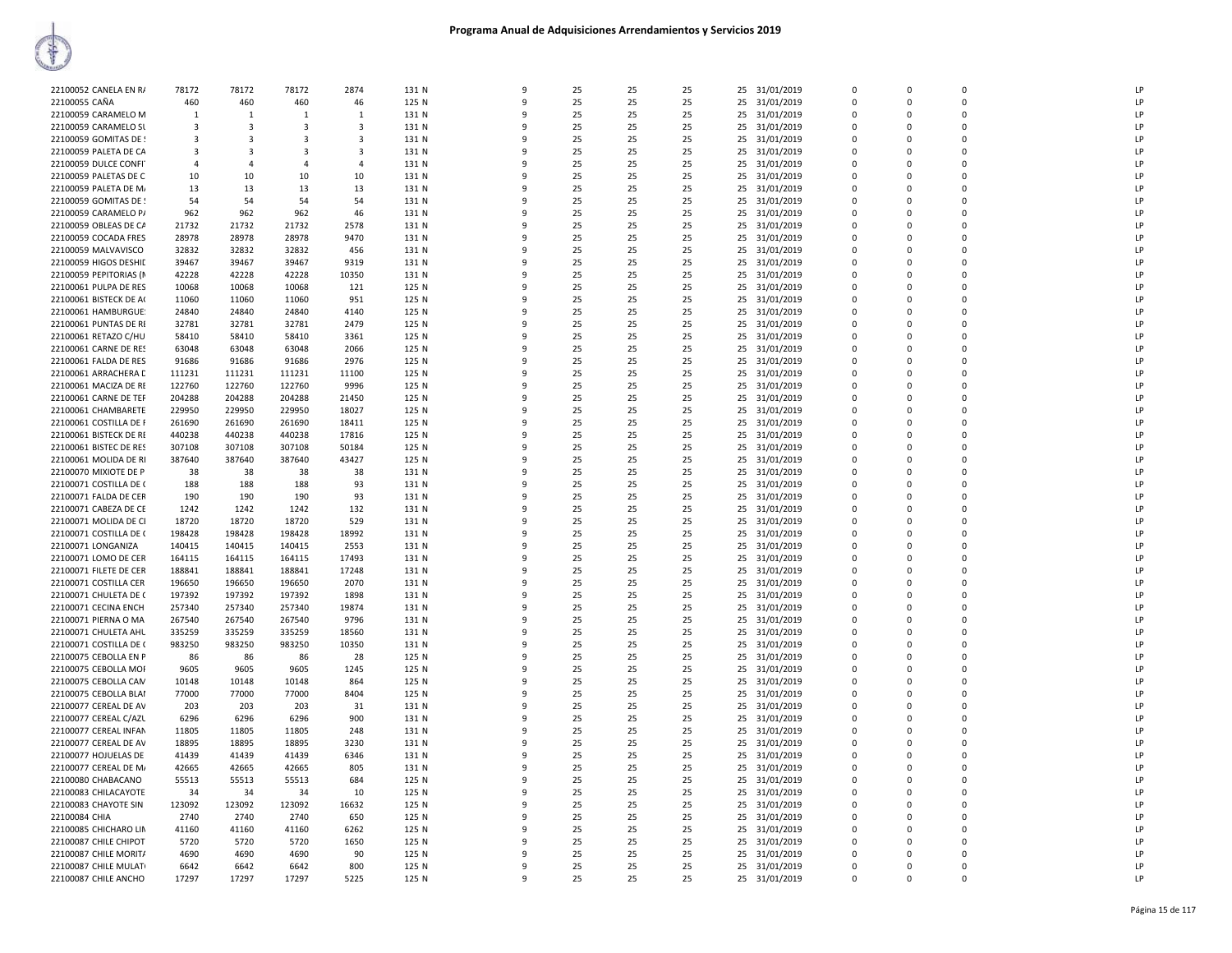

| 22100052 CANELA EN RA  | 78172           | 78172                   | 78172                   | 2874                    | 131 N          | $\mathbf{q}$ | 25       | 25       | 25       |    | 25 31/01/2019 | $\Omega$         | n                    | $\Omega$    | I <sub>P</sub>       |
|------------------------|-----------------|-------------------------|-------------------------|-------------------------|----------------|--------------|----------|----------|----------|----|---------------|------------------|----------------------|-------------|----------------------|
| 22100055 CAÑA          | 460             | 460                     | 460                     | 46                      | 125 N          | q            | 25       | 25       | 25       |    | 25 31/01/2019 | $\Omega$         | $\Omega$             | $\Omega$    | LP                   |
| 22100059 CARAMELO M    | $\mathbf{1}$    | $\overline{1}$          | $\mathbf{1}$            | $\mathbf{1}$            | 131 N          | q            | 25       | 25       | 25       |    | 25 31/01/2019 | $\Omega$         | $\Omega$             | $\Omega$    | LP                   |
| 22100059 CARAMELO SL   | 3               | $\overline{\mathbf{3}}$ | $\overline{\mathbf{3}}$ | $\overline{\mathbf{3}}$ | 131 N          | 9            | 25       | 25       | 25       | 25 | 31/01/2019    | $\mathbf 0$      | 0                    | 0           | LP                   |
| 22100059 GOMITAS DE !  | 3               | $\overline{\mathbf{3}}$ | 3                       | $\overline{\mathbf{3}}$ | 131 N          | $\mathbf{q}$ | 25       | 25       | 25       |    | 25 31/01/2019 | $\Omega$         | $\Omega$             | $\Omega$    | LP                   |
| 22100059 PALETA DE CA  | 3               | $\overline{3}$          | $\mathbf{3}$            | $\mathbf{3}$            | 131 N          |              | 25       | 25       | 25       |    | 25 31/01/2019 | $\Omega$         | $\Omega$             | $\Omega$    | LP                   |
| 22100059 DULCE CONFI   | 4               | $\mathbf{A}$            | 4                       | $\overline{4}$          | 131 N          | q            | 25       | 25       | 25       |    | 25 31/01/2019 | $\Omega$         | n                    | 0           | LP                   |
| 22100059 PALETAS DE C  | 10              | 10                      | 10                      | 10                      | 131 N          | q            | 25       | 25       | 25       |    | 25 31/01/2019 | $\Omega$         | $\Omega$             | $\Omega$    | LP                   |
| 22100059 PALETA DE M.  | 13              | 13                      | 13                      | 13                      | 131 N          |              | 25       | 25       | 25       | 25 | 31/01/2019    | $\mathbf 0$      | $\Omega$             | 0           | LP                   |
| 22100059 GOMITAS DE !  | 54              | 54                      | 54                      | 54                      | 131 N          | q            | 25       | 25       | 25       |    | 25 31/01/2019 | 0                | $\Omega$             | 0           | LP                   |
| 22100059 CARAMELO P/   | 962             | 962                     | 962                     | 46                      | 131 N          | 9            | 25       | 25       | 25       |    | 25 31/01/2019 | $\Omega$         | $\Omega$             | $\Omega$    | LP                   |
| 22100059 OBLEAS DE CA  | 21732           | 21732                   | 21732                   | 2578                    | 131 N          | q            | 25       | 25       | 25       |    | 25 31/01/2019 | $\Omega$         | n                    | $\Omega$    | I <sub>P</sub>       |
| 22100059 COCADA FRES   | 28978           | 28978                   | 28978                   | 9470                    | 131 N          |              | 25       | 25       | 25       |    | 25 31/01/2019 | 0                | $\Omega$             | $\Omega$    | LP                   |
| 22100059 MALVAVISCO    | 32832           | 32832                   | 32832                   | 456                     | 131 N          | q            | 25       | 25       | 25       |    | 25 31/01/2019 | 0                | $\Omega$             | $\mathbf 0$ | LP                   |
| 22100059 HIGOS DESHIL  | 39467           | 39467                   | 39467                   | 9319                    | 131 N          | q            | 25       | 25       | 25       |    | 25 31/01/2019 | $\mathbf 0$      | $\Omega$             | $\mathbf 0$ | IP                   |
| 22100059 PEPITORIAS (M | 42228           | 42228                   | 42228                   | 10350                   | 131 N          | q            | 25       | 25       | 25       |    | 25 31/01/2019 | $\Omega$         | $\Omega$             | $\Omega$    | LP                   |
| 22100061 PULPA DE RES  | 10068           | 10068                   | 10068                   | 121                     | 125 N          | q            | 25       | 25       | 25       |    | 25 31/01/2019 | 0                | $\Omega$             | 0           | LP                   |
| 22100061 BISTECK DE A( | 11060           | 11060                   | 11060                   | 951                     | 125 N          | 9            | 25       | 25       | 25       |    | 25 31/01/2019 | 0                | $\Omega$             | $\Omega$    | LP                   |
| 22100061 HAMBURGUE:    | 24840           | 24840                   | 24840                   | 4140                    | 125 N          | $\mathbf{q}$ | 25       | 25       | 25       |    | 25 31/01/2019 | $\mathbf 0$      | $\Omega$             | $\Omega$    | LP                   |
| 22100061 PUNTAS DE RI  | 32781           | 32781                   | 32781                   | 2479                    | 125 N          |              | 25       | 25       | 25       |    | 25 31/01/2019 | $\mathbf 0$      | $\Omega$             | $\mathbf 0$ | IP                   |
| 22100061 RETAZO C/HU   | 58410           | 58410                   | 58410                   | 3361                    | 125 N          | q            | 25       | 25       | 25       |    | 25 31/01/2019 | 0                | $\Omega$             | 0           | LP                   |
| 22100061 CARNE DE RES  | 63048           | 63048                   | 63048                   | 2066                    | 125 N          | q            | 25       | 25       | 25       |    | 25 31/01/2019 | $\Omega$         | $\Omega$             | $\Omega$    | LP                   |
| 22100061 FALDA DE RES  | 91686           | 91686                   | 91686                   | 2976                    | 125 N          |              | 25       | 25       | 25       |    | 25 31/01/2019 | $\mathbf 0$      | $\Omega$             | 0           | LP                   |
| 22100061 ARRACHERA D   | 111231          | 111231                  | 111231                  | 11100                   | 125 N          | 9            | 25       | 25       | 25       |    | 25 31/01/2019 | 0                | $\Omega$             | 0           | LP                   |
| 22100061 MACIZA DE RE  | 122760          | 122760                  | 122760                  | 9996                    | 125 N          | q            | 25       | 25       | 25       |    | 25 31/01/2019 | $\mathbf 0$      | $\Omega$             | $\mathbf 0$ | LP                   |
| 22100061 CARNE DE TEF  | 204288          | 204288                  | 204288                  | 21450                   | 125 N          | q            | 25       | 25       | 25       |    | 25 31/01/2019 | 0                | $\Omega$             | $\Omega$    | LP                   |
| 22100061 CHAMBARETE    | 229950          | 229950                  | 229950                  | 18027                   | 125 N          |              | 25       | 25       | 25       |    | 25 31/01/2019 | $\Omega$         | $\Omega$             | $\Omega$    | LP                   |
| 22100061 COSTILLA DE F | 261690          | 261690                  | 261690                  | 18411                   | 125 N          |              | 25       | 25       | 25       | 25 | 31/01/2019    | $\mathbf 0$      | $\Omega$             | 0           | LP                   |
| 22100061 BISTECK DE RE | 440238          | 440238                  | 440238                  | 17816                   | 125 N          | q            | 25       | 25       | 25       |    | 25 31/01/2019 | $\Omega$         | $\Omega$             | $\Omega$    | LP                   |
| 22100061 BISTEC DE RES | 307108          | 307108                  | 307108                  | 50184                   | 125 N          |              | 25       | 25       | 25       | 25 | 31/01/2019    | $\Omega$         | $\Omega$             | $\Omega$    | LP                   |
| 22100061 MOLIDA DE RI  | 387640          | 387640                  | 387640                  | 43427                   | 125 N          | q            | 25       | 25       | 25       | 25 | 31/01/2019    | $\Omega$         | $\Omega$             | $\Omega$    | LP                   |
| 22100070 MIXIOTE DE P  | 38              | 38                      | 38                      | 38                      | 131 N          | 9            | 25       | 25       | 25       |    | 25 31/01/2019 | $\mathbf 0$      | $\Omega$             | $\Omega$    | LP                   |
| 22100071 COSTILLA DE ( | 188             | 188                     | 188                     | 93                      | 131 N          |              | 25       | 25       | 25       |    | 25 31/01/2019 | $\mathbf 0$      | $\Omega$             | $\mathbf 0$ | LP                   |
| 22100071 FALDA DE CER  |                 |                         | 190                     | 93                      | 131 N          |              |          | 25       | 25       |    |               | $\Omega$         | $\Omega$             | 0           | LP                   |
|                        | 190             | 190                     |                         |                         |                |              | 25       |          |          |    | 25 31/01/2019 | $\Omega$         | $\Omega$             | $\Omega$    |                      |
| 22100071 CABEZA DE CE  | 1242            | 1242                    | 1242                    | 132                     | 131 N<br>131 N | q            | 25<br>25 | 25<br>25 | 25<br>25 |    | 25 31/01/2019 | $\Omega$         | n                    | $\Omega$    | LP<br>I <sub>P</sub> |
| 22100071 MOLIDA DE CI  | 18720<br>198428 | 18720                   | 18720                   | 529                     |                |              |          | 25       | 25       |    | 25 31/01/2019 | $\Omega$         | $\Omega$             | $\Omega$    | LP                   |
| 22100071 COSTILLA DE ( |                 | 198428                  | 198428                  | 18992                   | 131 N          |              | 25       |          |          | 25 | 31/01/2019    |                  |                      | 0           | LP                   |
| 22100071 LONGANIZA     | 140415          | 140415                  | 140415                  | 2553                    | 131 N          | -9<br>q      | 25<br>25 | 25<br>25 | 25<br>25 | 25 | 31/01/2019    | 0<br>$\mathbf 0$ | $\Omega$<br>$\Omega$ | $\Omega$    | LP                   |
| 22100071 LOMO DE CER   | 164115          | 164115                  | 164115                  | 17493                   | 131 N          | q            |          |          |          |    | 25 31/01/2019 | $\Omega$         | $\Omega$             | $\Omega$    |                      |
| 22100071 FILETE DE CER | 188841          | 188841                  | 188841                  | 17248                   | 131 N<br>131 N |              | 25       | 25<br>25 | 25       |    | 25 31/01/2019 | $\Omega$         | $\Omega$             | $\Omega$    | LP<br>LP             |
| 22100071 COSTILLA CER  | 196650          | 196650                  | 196650                  | 2070                    |                |              | 25       |          | 25       |    | 25 31/01/2019 |                  |                      |             |                      |
| 22100071 CHULETA DE (  | 197392          | 197392                  | 197392                  | 1898                    | 131 N          | 9            | 25       | 25       | 25       |    | 25 31/01/2019 | $\Omega$         | $\Omega$             | $\Omega$    | LP                   |
| 22100071 CECINA ENCH   | 257340          | 257340                  | 257340                  | 19874                   | 131 N          | ٩            | 25       | 25       | 25       |    | 25 31/01/2019 | $\Omega$         | n                    | $\Omega$    | LP                   |
| 22100071 PIERNA O MA   | 267540          | 267540                  | 267540                  | 9796                    | 131 N          |              | 25       | 25       | 25       |    | 25 31/01/2019 | $\mathbf 0$      | $\Omega$             | $\Omega$    | LP                   |
| 22100071 CHULETA AHL   | 335259          | 335259                  | 335259                  | 18560                   | 131 N          | 9            | 25       | 25       | 25       | 25 | 31/01/2019    | 0                | $\Omega$             | $\Omega$    | LP                   |
| 22100071 COSTILLA DE ( | 983250          | 983250                  | 983250                  | 10350                   | 131 N          | q            | 25       | 25       | 25       |    | 25 31/01/2019 | $\Omega$         | $\Omega$             | $\Omega$    | LP                   |
| 22100075 CEBOLLA EN P  | 86              | 86                      | 86                      | 28                      | 125 N          | q            | 25       | 25       | 25       |    | 25 31/01/2019 | 0                | $\Omega$             | 0           | LP                   |
| 22100075 CEBOLLA MOF   | 9605            | 9605                    | 9605                    | 1245                    | 125 N          | q            | 25       | 25       | 25       |    | 25 31/01/2019 | $\Omega$         | $\Omega$             | $\Omega$    | LP                   |
| 22100075 CEBOLLA CAN   | 10148           | 10148                   | 10148                   | 864                     | 125 N          |              | 25       | 25       | 25       |    | 25 31/01/2019 | $\mathbf 0$      | 0                    | 0           | LP                   |
| 22100075 CEBOLLA BLAI  | 77000           | 77000                   | 77000                   | 8404                    | 125 N          | q            | 25       | 25       | 25       |    | 25 31/01/2019 | $\Omega$         | $\Omega$             | $\Omega$    | LP                   |
| 22100077 CEREAL DE AV  | 203             | 203                     | 203                     | 31                      | 131 N          | q            | 25       | 25       | 25       |    | 25 31/01/2019 | $\Omega$         | $\Omega$             | $\Omega$    | LP                   |
| 22100077 CEREAL C/AZL  | 6296            | 6296                    | 6296                    | 900                     | 131 N          | 9            | 25       | 25       | 25       | 25 | 31/01/2019    | 0                | 0                    | 0           | LP                   |
| 22100077 CEREAL INFAN  | 11805           | 11805                   | 11805                   | 248                     | 131 N          | $\mathbf{q}$ | 25       | 25       | 25       |    | 25 31/01/2019 | $\Omega$         | $\Omega$             | $\Omega$    | LP                   |
| 22100077 CEREAL DE AV  | 18895           | 18895                   | 18895                   | 3230                    | 131 N          |              | 25       | 25       | 25       |    | 25 31/01/2019 | $\mathbf 0$      | 0                    | $\mathbf 0$ | LP                   |
| 22100077 HOJUELAS DE   | 41439           | 41439                   | 41439                   | 6346                    | 131 N          | q            | 25       | 25       | 25       |    | 25 31/01/2019 | $\Omega$         | n                    | $\Omega$    | LP                   |
| 22100077 CEREAL DE M/  | 42665           | 42665                   | 42665                   | 805                     | 131 N          |              | 25       | 25       | 25       |    | 25 31/01/2019 | $\Omega$         | $\Omega$             | $\Omega$    | LP                   |
| 22100080 CHABACANO     | 55513           | 55513                   | 55513                   | 684                     | 125 N          | $\mathbf{q}$ | 25       | 25       | 25       |    | 25 31/01/2019 | $\Omega$         | $\Omega$             | $\Omega$    | LP                   |
| 22100083 CHILACAYOTE   | 34              | 34                      | 34                      | 10                      | 125 N          | 9            | 25       | 25       | 25       |    | 25 31/01/2019 | $\Omega$         | $\Omega$             | $\Omega$    | LP                   |
| 22100083 CHAYOTE SIN   | 123092          | 123092                  | 123092                  | 16632                   | 125 N          | 9            | 25       | 25       | 25       | 25 | 31/01/2019    | 0                | 0                    | 0           | LP                   |
| 22100084 CHIA          | 2740            | 2740                    | 2740                    | 650                     | 125 N          | $\mathbf{q}$ | 25       | 25       | 25       |    | 25 31/01/2019 | $\Omega$         | $\Omega$             | $\Omega$    | LP                   |
| 22100085 CHICHARO LIN  | 41160           | 41160                   | 41160                   | 6262                    | 125 N          | q            | 25       | 25       | 25       |    | 25 31/01/2019 | $\Omega$         | $\Omega$             | $\Omega$    | LP                   |
| 22100087 CHILE CHIPOT  | 5720            | 5720                    | 5720                    | 1650                    | 125 N          | q            | 25       | 25       | 25       |    | 25 31/01/2019 | $\Omega$         | n                    | 0           | LP                   |
| 22100087 CHILE MORIT/  | 4690            | 4690                    | 4690                    | 90                      | 125 N          | 9            | 25       | 25       | 25       |    | 25 31/01/2019 | $\Omega$         | $\Omega$             | $\mathbf 0$ | LP                   |
| 22100087 CHILE MULATI  | 6642            | 6642                    | 6642                    | 800                     | 125 N          | q            | 25       | 25       | 25       |    | 25 31/01/2019 | $\Omega$         | $\Omega$             | $\Omega$    | LP                   |
| 22100087 CHILE ANCHO   | 17297           | 17297                   | 17297                   | 5225                    | 125 N          | $\mathbf{q}$ | 25       | 25       | 25       |    | 25 31/01/2019 | $\Omega$         | $\Omega$             | $\Omega$    | LP                   |
|                        |                 |                         |                         |                         |                |              |          |          |          |    |               |                  |                      |             |                      |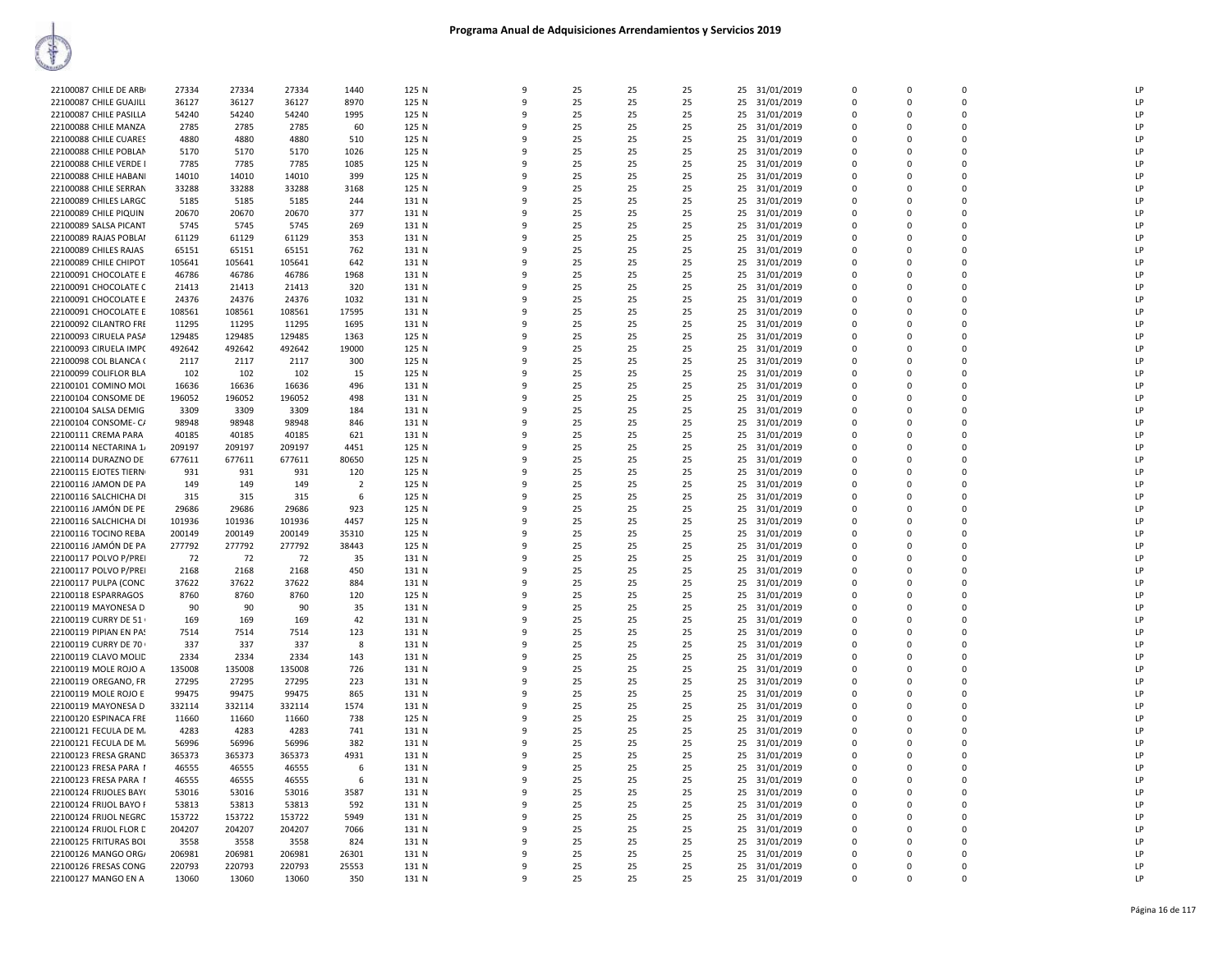| 22100087 CHILE DE ARB  | 27334  | 27334  | 27334  | 1440           | 125 N | 9 | 25 | 25 | 25 | 25 31/01/2019    | $\mathbf 0$ | $\mathbf 0$  | $\Omega$      | LP             |
|------------------------|--------|--------|--------|----------------|-------|---|----|----|----|------------------|-------------|--------------|---------------|----------------|
| 22100087 CHILE GUAJILI | 36127  | 36127  | 36127  | 8970           | 125 N | 9 | 25 | 25 | 25 | 25 31/01/2019    | $\Omega$    | $\Omega$     | $\Omega$      | LP             |
| 22100087 CHILE PASILLA | 54240  | 54240  | 54240  | 1995           | 125 N | 9 | 25 | 25 | 25 | 25<br>31/01/2019 | 0           | 0            | 0             | LP             |
| 22100088 CHILE MANZA   | 2785   | 2785   | 2785   | 60             | 125 N | q | 25 | 25 | 25 | 25 31/01/2019    | $\Omega$    | $\Omega$     | $\Omega$      | LP             |
| 22100088 CHILE CUARES  | 4880   | 4880   | 4880   | 510            | 125 N | 9 | 25 | 25 | 25 | 25 31/01/2019    | $\Omega$    | $\Omega$     | $\Omega$      | LP             |
| 22100088 CHILE POBLAN  | 5170   | 5170   | 5170   | 1026           | 125 N | q | 25 | 25 | 25 | 25<br>31/01/2019 | 0           | $\Omega$     | $\mathbf 0$   | LP             |
| 22100088 CHILE VERDE I | 7785   | 7785   | 7785   | 1085           | 125 N | 9 | 25 | 25 | 25 | 25 31/01/2019    | $\mathbf 0$ | $\Omega$     | $\Omega$      | LP             |
| 22100088 CHILE HABAN   | 14010  | 14010  | 14010  | 399            | 125 N |   | 25 | 25 | 25 | 25<br>31/01/2019 | $\mathbf 0$ | 0            | 0             | LP             |
| 22100088 CHILE SERRAN  | 33288  | 33288  | 33288  | 3168           | 125 N | q | 25 | 25 | 25 | 31/01/2019<br>25 | $\Omega$    | $\Omega$     | $\Omega$      | LP             |
| 22100089 CHILES LARGC  | 5185   | 5185   | 5185   | 244            | 131 N | 9 | 25 | 25 | 25 | 31/01/2019<br>25 | 0           | $\Omega$     | 0             | LP             |
| 22100089 CHILE PIQUIN  | 20670  | 20670  | 20670  | 377            | 131 N | q | 25 | 25 | 25 | 31/01/2019<br>25 | 0           | $\Omega$     | $\Omega$      | LP             |
| 22100089 SALSA PICANT  | 5745   | 5745   | 5745   | 269            | 131 N | 9 | 25 | 25 | 25 | 25<br>31/01/2019 | $\mathbf 0$ | $\Omega$     | $\Omega$      | LP             |
| 22100089 RAJAS POBLAI  | 61129  | 61129  | 61129  | 353            | 131 N | q | 25 | 25 | 25 | 31/01/2019<br>25 | 0           | $\Omega$     | 0             | LP             |
| 22100089 CHILES RAJAS  | 65151  | 65151  | 65151  | 762            | 131 N | q | 25 | 25 | 25 | 25 31/01/2019    | $\mathbf 0$ | $\Omega$     | 0             | P              |
| 22100089 CHILE CHIPOT  | 105641 | 105641 | 105641 | 642            | 131 N | q | 25 | 25 | 25 | 25<br>31/01/2019 | $\Omega$    | $\Omega$     | $\Omega$      | LP             |
| 22100091 CHOCOLATE E   | 46786  | 46786  | 46786  | 1968           | 131 N | 9 | 25 | 25 | 25 | 25 31/01/2019    | $\Omega$    | $\Omega$     | $\Omega$      | LP             |
| 22100091 CHOCOLATE C   | 21413  | 21413  | 21413  | 320            | 131 N | 9 | 25 | 25 | 25 | 25<br>31/01/2019 | 0           | $\Omega$     | $\Omega$      | LP             |
| 22100091 CHOCOLATE E   | 24376  | 24376  | 24376  | 1032           | 131 N | q | 25 | 25 | 25 | 25 31/01/2019    | $\mathbf 0$ | $\Omega$     | $\Omega$      | LP             |
| 22100091 CHOCOLATE E   | 108561 | 108561 | 108561 | 17595          | 131 N |   | 25 | 25 | 25 | 25 31/01/2019    | $\mathbf 0$ | $\Omega$     | $\Omega$      | LP             |
| 22100092 CILANTRO FRE  | 11295  | 11295  | 11295  | 1695           | 131 N | q | 25 | 25 | 25 | 25<br>31/01/2019 | $\Omega$    | $\mathbf{0}$ | 0             | LP             |
| 22100093 CIRUELA PASA  | 129485 | 129485 | 129485 | 1363           | 125 N | q | 25 | 25 | 25 | 25 31/01/2019    | $\Omega$    | $\Omega$     | $\Omega$      | LP             |
| 22100093 CIRUELA IMPO  | 492642 | 492642 | 492642 | 19000          | 125 N | q | 25 | 25 | 25 | 25<br>31/01/2019 | 0           | O            | 0             | LP             |
| 22100098 COL BLANCA (  | 2117   | 2117   | 2117   | 300            | 125 N | q | 25 | 25 | 25 | 25 31/01/2019    | $\Omega$    | $\Omega$     | $\Omega$      | LP             |
|                        |        |        |        |                |       |   |    |    |    |                  |             |              |               |                |
| 22100099 COLIFLOR BLA  | 102    | 102    | 102    | 15             | 125 N | 9 | 25 | 25 | 25 | 25<br>31/01/2019 | $\mathbf 0$ | $\mathbf 0$  | 0             | LP             |
| 22100101 COMINO MOI    | 16636  | 16636  | 16636  | 496            | 131 N | q | 25 | 25 | 25 | 25 31/01/2019    | $\mathbf 0$ | $\Omega$     | $\Omega$      | LP             |
| 22100104 CONSOME DE    | 196052 | 196052 | 196052 | 498            | 131 N |   | 25 | 25 | 25 | 25 31/01/2019    | $\Omega$    | $\Omega$     | $\Omega$      | P              |
| 22100104 SALSA DEMIG   | 3309   | 3309   | 3309   | 184            | 131 N | q | 25 | 25 | 25 | 25<br>31/01/2019 | 0           | $\Omega$     | 0             | LP             |
| 22100104 CONSOME- C/   | 98948  | 98948  | 98948  | 846            | 131 N | q | 25 | 25 | 25 | 25 31/01/2019    | $\Omega$    | $\Omega$     | $\Omega$      | LP             |
| 22100111 CREMA PARA    | 40185  | 40185  | 40185  | 621            | 131 N | q | 25 | 25 | 25 | 25 31/01/2019    | $\mathbf 0$ | 0            | 0             | LP             |
| 22100114 NECTARINA 1/  | 209197 | 209197 | 209197 | 4451           | 125 N | 9 | 25 | 25 | 25 | 25 31/01/2019    | $\mathbf 0$ | $\Omega$     | $\Omega$      | LP             |
| 22100114 DURAZNO DE    | 677611 | 677611 | 677611 | 80650          | 125 N | 9 | 25 | 25 | 25 | 25<br>31/01/2019 | $\Omega$    | $\Omega$     | $\Omega$      | LP             |
| 22100115 EJOTES TIERN  | 931    | 931    | 931    | 120            | 125 N | q | 25 | 25 | 25 | 25 31/01/2019    | $\Omega$    | $\Omega$     | $\Omega$      | LP             |
| 22100116 JAMON DE PA   | 149    | 149    | 149    | $\overline{2}$ | 125 N | q | 25 | 25 | 25 | 25 31/01/2019    | $\Omega$    | $\Omega$     | $\Omega$      | LP             |
| 22100116 SALCHICHA DI  | 315    | 315    | 315    | 6              | 125 N | q | 25 | 25 | 25 | 25<br>31/01/2019 | 0           | 0            | 0             | LP             |
| 22100116 JAMÓN DE PE   | 29686  | 29686  | 29686  | 923            | 125 N | q | 25 | 25 | 25 | 25 31/01/2019    | $\Omega$    | $\Omega$     | $\Omega$      | LP             |
| 22100116 SALCHICHA DI  | 101936 | 101936 | 101936 | 4457           | 125 N | q | 25 | 25 | 25 | 25<br>31/01/2019 | $\mathbf 0$ | 0            | 0             | $\mathsf{I}$   |
| 22100116 TOCINO REBA   | 200149 | 200149 | 200149 | 35310          | 125 N | ٩ | 25 | 25 | 25 | 31/01/2019<br>25 | $\Omega$    | $\Omega$     | $\Omega$      | LP             |
| 22100116 JAMÓN DE PA   | 277792 | 277792 | 277792 | 38443          | 125 N | 9 | 25 | 25 | 25 | 25<br>31/01/2019 | 0           | $\Omega$     | 0             | LP             |
| 22100117 POLVO P/PREI  | 72     | 72     | 72     | 35             | 131 N | q | 25 | 25 | 25 | 25 31/01/2019    | 0           | $\Omega$     | $\Omega$      | LP             |
| 22100117 POLVO P/PREI  | 2168   | 2168   | 2168   | 450            | 131 N |   | 25 | 25 | 25 | 25<br>31/01/2019 | $\mathbf 0$ | $\Omega$     | $\Omega$      | LP             |
| 22100117 PULPA (CONC   | 37622  | 37622  | 37622  | 884            | 131 N | q | 25 | 25 | 25 | 25<br>31/01/2019 | 0           | $\Omega$     | 0             | LP             |
| 22100118 ESPARRAGOS    | 8760   | 8760   | 8760   | 120            | 125 N | q | 25 | 25 | 25 | 25 31/01/2019    | $\Omega$    | $\Omega$     | $\Omega$      | LP             |
| 22100119 MAYONESA D    | 90     | 90     | 90     | 35             | 131 N | 9 | 25 | 25 | 25 | 31/01/2019<br>25 | $\Omega$    | $\Omega$     | 0             | LP             |
| 22100119 CURRY DE 51   | 169    | 169    | 169    | 42             | 131 N | 9 | 25 | 25 | 25 | 31/01/2019<br>25 | 0           | $\Omega$     | $\Omega$      | LP             |
| 22100119 PIPIAN EN PA! | 7514   | 7514   | 7514   | 123            | 131 N | 9 | 25 | 25 | 25 | 25<br>31/01/2019 | 0           | $\Omega$     | $\Omega$      | LP             |
| 22100119 CURRY DE 70   | 337    | 337    | 337    | 8              | 131 N | q | 25 | 25 | 25 | 31/01/2019<br>25 | $\mathbf 0$ | $\Omega$     | $\Omega$      | LP             |
| 22100119 CLAVO MOLID   | 2334   | 2334   | 2334   | 143            | 131 N | C | 25 | 25 | 25 | 25 31/01/2019    | $\mathbf 0$ | $\Omega$     | 0             | P              |
| 22100119 MOLE ROJO A   | 135008 | 135008 | 135008 | 726            | 131 N | q | 25 | 25 | 25 | 25<br>31/01/2019 | 0           | $\Omega$     | 0             | LP             |
| 22100119 OREGANO, FR   | 27295  | 27295  | 27295  | 223            | 131 N | q | 25 | 25 | 25 | 25 31/01/2019    | $\Omega$    | $\Omega$     | $\Omega$      | LP             |
| 22100119 MOLE ROJO E   | 99475  | 99475  | 99475  | 865            | 131 N | 9 | 25 | 25 | 25 | 31/01/2019<br>25 | $\Omega$    | $\Omega$     | $\Omega$      | LP             |
| 22100119 MAYONESA D    | 332114 | 332114 | 332114 | 1574           | 131 N | 9 | 25 | 25 | 25 | 31/01/2019<br>25 | 0           | $\Omega$     | 0             | LP             |
| 22100120 ESPINACA FRE  | 11660  | 11660  | 11660  | 738            | 125 N | 9 | 25 | 25 | 25 | 25<br>31/01/2019 | $\mathbf 0$ | $\Omega$     | $\Omega$      | LP             |
| 22100121 FECULA DE M.  | 4283   | 4283   | 4283   | 741            | 131 N | q | 25 | 25 | 25 | 25<br>31/01/2019 | 0           | $\Omega$     | 0             | LP             |
| 22100121 FECULA DE M.  | 56996  | 56996  | 56996  | 382            | 131 N | C | 25 | 25 | 25 | 25 31/01/2019    | $\Omega$    | $\Omega$     | 0             | P              |
| 22100123 FRESA GRAND   | 365373 | 365373 | 365373 | 4931           | 131 N | q | 25 | 25 | 25 | 25<br>31/01/2019 | 0           | $\Omega$     | 0             | LP             |
| 22100123 FRESA PARA 1  | 46555  | 46555  | 46555  | 6              | 131 N | q | 25 | 25 | 25 | 25 31/01/2019    | $\Omega$    | $\Omega$     | $\Omega$      | LP             |
| 22100123 FRESA PARA 1  | 46555  | 46555  | 46555  | 6              | 131 N | 9 | 25 | 25 | 25 | 25<br>31/01/2019 | $\mathbf 0$ | 0            | 0             | LP             |
|                        |        |        |        |                |       | 9 |    |    |    |                  |             |              |               | LP             |
| 22100124 FRIJOLES BAY( | 53016  | 53016  | 53016  | 3587           | 131 N | q | 25 | 25 | 25 | 31/01/2019<br>25 | 0           | $\mathbf 0$  | 0<br>$\Omega$ | P              |
| 22100124 FRIJOL BAYO F | 53813  | 53813  | 53813  | 592            | 131 N |   | 25 | 25 | 25 | 25 31/01/2019    | $\mathbf 0$ | 0            |               |                |
| 22100124 FRIJOL NEGRC  | 153722 | 153722 | 153722 | 5949           | 131 N | q | 25 | 25 | 25 | 25 31/01/2019    | 0           | $\Omega$     | $\Omega$      | LP             |
| 22100124 FRIJOL FLOR D | 204207 | 204207 | 204207 | 7066           | 131 N | q | 25 | 25 | 25 | 25 31/01/2019    | $\Omega$    | $\Omega$     | 0             | $\overline{P}$ |
| 22100125 FRITURAS BOI  | 3558   | 3558   | 3558   | 824            | 131 N | q | 25 | 25 | 25 | 25<br>31/01/2019 | $\mathbf 0$ | 0            | 0             | LP             |
| 22100126 MANGO ORG/    | 206981 | 206981 | 206981 | 26301          | 131 N | q | 25 | 25 | 25 | 25 31/01/2019    | $\Omega$    | $\Omega$     | $\Omega$      | LP             |
| 22100126 FRESAS CONG   | 220793 | 220793 | 220793 | 25553          | 131 N |   | 25 | 25 | 25 | 31/01/2019<br>25 | $\mathbf 0$ | 0            | O             | LP             |
| 22100127 MANGO EN A    | 13060  | 13060  | 13060  | 350            | 131 N | q | 25 | 25 | 25 | 25 31/01/2019    | $\Omega$    | $\Omega$     | $\Omega$      | LP             |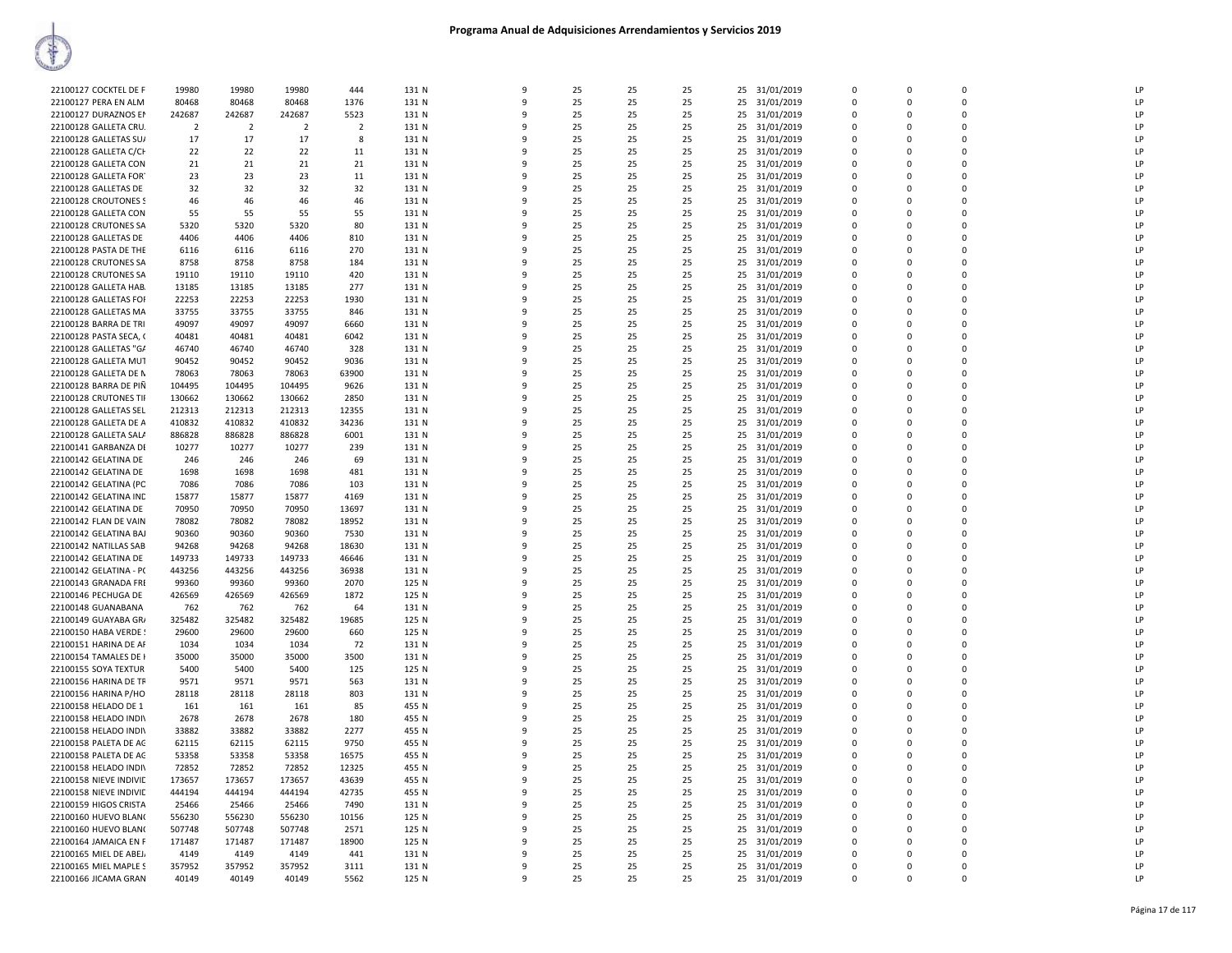| 22100127 COCKTEL DE F  | 19980          | 19980          | 19980          | 444            | 131 N | 9                 | 25 | 25 | 25 |    | 25 31/01/2019 | $\Omega$    | $\Omega$    | $\Omega$       | LP |
|------------------------|----------------|----------------|----------------|----------------|-------|-------------------|----|----|----|----|---------------|-------------|-------------|----------------|----|
| 22100127 PERA EN ALM   | 80468          | 80468          | 80468          | 1376           | 131 N | 9                 | 25 | 25 | 25 | 25 | 31/01/2019    | 0           | $\mathbf 0$ | $\mathbf 0$    | LP |
| 22100127 DURAZNOS EM   | 242687         | 242687         | 242687         | 5523           | 131 N | 9                 | 25 | 25 | 25 | 25 | 31/01/2019    | $\mathbf 0$ | $\mathbf 0$ | $\mathbf 0$    | LP |
| 22100128 GALLETA CRU.  | $\overline{2}$ | $\overline{2}$ | $\overline{2}$ | $\overline{2}$ | 131 N | q                 | 25 | 25 | 25 | 25 | 31/01/2019    | 0           | 0           | $\Omega$       | LP |
| 22100128 GALLETAS SU/  | 17             | 17             | 17             | 8              | 131 N | q                 | 25 | 25 | 25 | 25 | 31/01/2019    | $\Omega$    | $\Omega$    | $\Omega$       | LP |
| 22100128 GALLETA C/CH  | 22             | 22             | 22             | 11             | 131 N | ٩                 | 25 | 25 | 25 | 25 | 31/01/2019    | 0           | 0           | $\mathbf 0$    | LP |
| 22100128 GALLETA CON   | 21             | 21             | 21             | 21             | 131 N | 9                 | 25 | 25 | 25 |    | 25 31/01/2019 | $\Omega$    | $\Omega$    | $\Omega$       | LP |
| 22100128 GALLETA FOR   | 23             | 23             | 23             | 11             | 131 N | 9                 | 25 | 25 | 25 |    | 25 31/01/2019 | $\Omega$    | $\Omega$    | $\mathbf 0$    | LP |
| 22100128 GALLETAS DE   | 32             | 32             | 32             | 32             | 131 N | 9                 | 25 | 25 | 25 | 25 | 31/01/2019    | $\mathbf 0$ | 0           | $\mathbf 0$    | LP |
| 22100128 CROUTONES S   | 46             | 46             | 46             | 46             | 131 N | q                 | 25 | 25 | 25 | 25 | 31/01/2019    | $\mathbf 0$ | 0           | $\mathbf 0$    | LP |
| 22100128 GALLETA CON   | 55             | 55             | 55             | 55             | 131 N | q                 | 25 | 25 | 25 | 25 | 31/01/2019    | $\Omega$    | $\Omega$    | $\Omega$       | LP |
| 22100128 CRUTONES SA   | 5320           | 5320           | 5320           | 80             | 131 N | q                 | 25 | 25 | 25 | 25 | 31/01/2019    | $\Omega$    | $\Omega$    | $\Omega$       | LP |
| 22100128 GALLETAS DE   | 4406           | 4406           | 4406           | 810            | 131 N | ٩                 | 25 | 25 | 25 | 25 | 31/01/2019    | 0           | 0           | $\mathbf 0$    | LP |
| 22100128 PASTA DE THE  | 6116           | 6116           | 6116           | 270            | 131 N | q                 | 25 | 25 | 25 | 25 | 31/01/2019    | $\Omega$    | $\Omega$    | $\Omega$       | LP |
| 22100128 CRUTONES SA   | 8758           | 8758           | 8758           | 184            | 131 N | 9                 | 25 | 25 | 25 | 25 | 31/01/2019    | 0           | 0           | $\mathbf 0$    | LP |
| 22100128 CRUTONES SA   | 19110          | 19110          | 19110          | 420            | 131 N | $\mathbf{q}$      | 25 | 25 | 25 | 25 | 31/01/2019    | $\Omega$    | $\Omega$    | $\mathbf 0$    | LP |
| 22100128 GALLETA HAB.  | 13185          | 13185          | 13185          | 277            | 131 N | $\mathbf{q}$      | 25 | 25 | 25 | 25 | 31/01/2019    | $\Omega$    | $\Omega$    | $\Omega$       | LP |
| 22100128 GALLETAS FOI  | 22253          | 22253          | 22253          | 1930           | 131 N | q                 | 25 | 25 | 25 | 25 | 31/01/2019    | $\Omega$    | $\Omega$    | $\Omega$       | LP |
| 22100128 GALLETAS MA   | 33755          | 33755          | 33755          | 846            | 131 N | q                 | 25 | 25 | 25 | 25 | 31/01/2019    | $\Omega$    | $\Omega$    | $\Omega$       | LP |
|                        | 49097          | 49097          | 49097          | 6660           | 131 N | ٩                 | 25 |    | 25 | 25 |               |             |             | $\mathbf 0$    | LP |
| 22100128 BARRA DE TRI  |                |                |                |                |       | 9                 |    | 25 |    |    | 31/01/2019    | 0           | 0           | $\Omega$       | LP |
| 22100128 PASTA SECA, ( | 40481          | 40481          | 40481          | 6042           | 131 N |                   | 25 | 25 | 25 | 25 | 31/01/2019    | $\Omega$    | $\Omega$    |                |    |
| 22100128 GALLETAS "G/  | 46740          | 46740          | 46740          | 328            | 131 N | q                 | 25 | 25 | 25 | 25 | 31/01/2019    | 0           | 0           | $\mathbf 0$    | LP |
| 22100128 GALLETA MUT   | 90452          | 90452          | 90452          | 9036           | 131 N | 9                 | 25 | 25 | 25 | 25 | 31/01/2019    | $\Omega$    | $\Omega$    | $\mathbf 0$    | LP |
| 22100128 GALLETA DE N  | 78063          | 78063          | 78063          | 63900          | 131 N | 9                 | 25 | 25 | 25 | 25 | 31/01/2019    | $\Omega$    | 0           | $\Omega$       | LP |
| 22100128 BARRA DE PIÑ  | 104495         | 104495         | 104495         | 9626           | 131 N | q                 | 25 | 25 | 25 | 25 | 31/01/2019    | $\Omega$    | $\Omega$    | $\Omega$       | LP |
| 22100128 CRUTONES TII  | 130662         | 130662         | 130662         | 2850           | 131 N | 9                 | 25 | 25 | 25 | 25 | 31/01/2019    | $\Omega$    | $\Omega$    | $\Omega$       | LP |
| 22100128 GALLETAS SEL  | 212313         | 212313         | 212313         | 12355          | 131 N | 9                 | 25 | 25 | 25 | 25 | 31/01/2019    | 0           | 0           | $\overline{0}$ | LP |
| 22100128 GALLETA DE A  | 410832         | 410832         | 410832         | 34236          | 131 N | q                 | 25 | 25 | 25 | 25 | 31/01/2019    | $\Omega$    | $\Omega$    | $\Omega$       | LP |
| 22100128 GALLETA SALA  | 886828         | 886828         | 886828         | 6001           | 131 N | q                 | 25 | 25 | 25 |    | 25 31/01/2019 | $\Omega$    | $\Omega$    | $\Omega$       | LP |
| 22100141 GARBANZA DI   | 10277          | 10277          | 10277          | 239            | 131 N | 9                 | 25 | 25 | 25 | 25 | 31/01/2019    | 0           | 0           | $\mathbf 0$    | LP |
| 22100142 GELATINA DE   | 246            | 246            | 246            | 69             | 131 N | 9                 | 25 | 25 | 25 | 25 | 31/01/2019    | $\Omega$    | 0           | $\Omega$       | LP |
| 22100142 GELATINA DE   | 1698           | 1698           | 1698           | 481            | 131 N | q                 | 25 | 25 | 25 | 25 | 31/01/2019    | $\Omega$    | 0           | $\Omega$       | LP |
| 22100142 GELATINA (PC  | 7086           | 7086           | 7086           | 103            | 131 N | 9                 | 25 | 25 | 25 | 25 | 31/01/2019    | $\Omega$    | $\Omega$    | $\mathbf 0$    | LP |
| 22100142 GELATINA INC  | 15877          | 15877          | 15877          | 4169           | 131 N | q                 | 25 | 25 | 25 | 25 | 31/01/2019    | 0           | 0           | $\mathbf 0$    | LP |
| 22100142 GELATINA DE   | 70950          | 70950          | 70950          | 13697          | 131 N | q                 | 25 | 25 | 25 | 25 | 31/01/2019    | $\Omega$    | $\Omega$    | $\Omega$       | LP |
| 22100142 FLAN DE VAIN  | 78082          | 78082          | 78082          | 18952          | 131 N | q                 | 25 | 25 | 25 | 25 | 31/01/2019    | $\Omega$    | $\Omega$    | $\Omega$       | LP |
| 22100142 GELATINA BAJ  | 90360          | 90360          | 90360          | 7530           | 131 N | 9                 | 25 | 25 | 25 | 25 | 31/01/2019    | 0           | 0           | $\overline{0}$ | LP |
| 22100142 NATILLAS SAB  | 94268          | 94268          | 94268          | 18630          | 131 N | 9                 | 25 | 25 | 25 | 25 | 31/01/2019    | $\mathbf 0$ | 0           | $\Omega$       | LP |
| 22100142 GELATINA DE   | 149733         | 149733         | 149733         | 46646          | 131 N | q                 | 25 | 25 | 25 | 25 | 31/01/2019    | 0           | 0           | $\Omega$       | LP |
| 22100142 GELATINA - P( | 443256         | 443256         | 443256         | 36938          | 131 N | q                 | 25 | 25 | 25 | 25 | 31/01/2019    | $\Omega$    | $\Omega$    | $\Omega$       | LP |
| 22100143 GRANADA FRI   | 99360          | 99360          | 99360          | 2070           | 125 N | 9                 | 25 | 25 | 25 | 25 | 31/01/2019    | $\mathbf 0$ | $\Omega$    | $\Omega$       | LP |
| 22100146 PECHUGA DE    | 426569         | 426569         | 426569         | 1872           | 125 N | $\mathbf{q}$      | 25 | 25 | 25 |    | 25 31/01/2019 | $\Omega$    | $\Omega$    | $\Omega$       | LP |
| 22100148 GUANABANA     | 762            | 762            | 762            | 64             | 131 N | 9                 | 25 | 25 | 25 | 25 | 31/01/2019    | $\Omega$    | $\Omega$    | $\Omega$       | LP |
| 22100149 GUAYABA GR/   | 325482         | 325482         | 325482         | 19685          | 125 N | 9                 | 25 | 25 | 25 | 25 | 31/01/2019    | 0           | 0           | $\mathbf 0$    | LP |
| 22100150 HABA VERDE !  | 29600          | 29600          | 29600          | 660            | 125 N | 9                 | 25 | 25 | 25 | 25 | 31/01/2019    | $\mathbf 0$ | 0           | $\mathbf 0$    | LP |
| 22100151 HARINA DE AF  | 1034           | 1034           | 1034           | 72             | 131 N | q                 | 25 | 25 | 25 | 25 | 31/01/2019    | 0           | 0           | $\Omega$       | LP |
| 22100154 TAMALES DE I  | 35000          | 35000          | 35000          | 3500           | 131 N | q                 | 25 | 25 | 25 | 25 | 31/01/2019    | $\Omega$    | $\Omega$    | $\Omega$       | LP |
| 22100155 SOYA TEXTUR   | 5400           | 5400           | 5400           | 125            | 125 N | ٩                 | 25 | 25 | 25 | 25 | 31/01/2019    | 0           | 0           | $\mathbf 0$    | LP |
| 22100156 HARINA DE TR  | 9571           | 9571           | 9571           | 563            | 131 N | 9                 | 25 | 25 | 25 |    | 25 31/01/2019 | $\Omega$    | $\Omega$    | $\Omega$       | LP |
| 22100156 HARINA P/HO   | 28118          | 28118          | 28118          | 803            | 131 N | 9                 | 25 | 25 | 25 | 25 | 31/01/2019    | $\Omega$    | $\Omega$    | $\mathbf 0$    | LP |
| 22100158 HELADO DE 1   | 161            | 161            | 161            | 85             | 455 N | 9                 | 25 | 25 | 25 | 25 | 31/01/2019    | $\mathbf 0$ | 0           | $\mathbf 0$    | LP |
| 22100158 HELADO INDI\  | 2678           | 2678           | 2678           | 180            | 455 N | q                 | 25 | 25 | 25 | 25 | 31/01/2019    | $\mathbf 0$ | 0           | $\mathbf 0$    | LP |
| 22100158 HELADO INDI\  | 33882          | 33882          | 33882          | 2277           | 455 N | q                 | 25 | 25 | 25 | 25 | 31/01/2019    | $\Omega$    | $\Omega$    | $\Omega$       | LP |
| 22100158 PALETA DE AC  | 62115          | 62115          | 62115          | 9750           | 455 N | q                 | 25 | 25 | 25 | 25 | 31/01/2019    | $\Omega$    | $\Omega$    | $\Omega$       | LP |
| 22100158 PALETA DE AC  | 53358          | 53358          | 53358          | 16575          | 455 N | ٩                 | 25 | 25 | 25 | 25 | 31/01/2019    | 0           | 0           | $\mathbf 0$    | LP |
| 22100158 HELADO INDIV  | 72852          | 72852          | 72852          | 12325          | 455 N | 9                 | 25 | 25 | 25 |    | 25 31/01/2019 | $\Omega$    | $\Omega$    | $\Omega$       | LP |
| 22100158 NIEVE INDIVIE | 173657         | 173657         | 173657         | 43639          | 455 N | 9                 | 25 | 25 | 25 |    | 25 31/01/2019 | 0           | 0           | $\mathbf 0$    | LP |
|                        |                |                |                |                |       |                   |    |    |    |    |               |             |             | $\mathbf 0$    | LP |
| 22100158 NIEVE INDIVIE | 444194         | 444194         | 444194         | 42735          | 455 N | 9<br>$\mathbf{q}$ | 25 | 25 | 25 | 25 | 31/01/2019    | 0           | 0           |                |    |
| 22100159 HIGOS CRISTA  | 25466          | 25466          | 25466          | 7490           | 131 N |                   | 25 | 25 | 25 | 25 | 31/01/2019    | $\Omega$    | $\Omega$    | $\Omega$       | LP |
| 22100160 HUEVO BLAN(   | 556230         | 556230         | 556230         | 10156          | 125 N | q                 | 25 | 25 | 25 | 25 | 31/01/2019    | $\Omega$    | $\Omega$    | $\Omega$       | LP |
| 22100160 HUEVO BLAN(   | 507748         | 507748         | 507748         | 2571           | 125 N | q                 | 25 | 25 | 25 | 25 | 31/01/2019    | $\Omega$    | $\Omega$    | $\Omega$       | LP |
| 22100164 JAMAICA EN F  | 171487         | 171487         | 171487         | 18900          | 125 N | ٩                 | 25 | 25 | 25 | 25 | 31/01/2019    | 0           | 0           | $\mathbf 0$    | LP |
| 22100165 MIEL DE ABEJ, | 4149           | 4149           | 4149           | 441            | 131 N | 9                 | 25 | 25 | 25 | 25 | 31/01/2019    | $\Omega$    | $\Omega$    | $\Omega$       | LP |
| 22100165 MIEL MAPLE S  | 357952         | 357952         | 357952         | 3111           | 131 N | q                 | 25 | 25 | 25 |    | 25 31/01/2019 | 0           | 0           |                | LP |
| 22100166 JICAMA GRAN   | 40149          | 40149          | 40149          | 5562           | 125 N | $\mathbf{q}$      | 25 | 25 | 25 |    | 25 31/01/2019 | $\Omega$    | $\Omega$    | $\Omega$       | LP |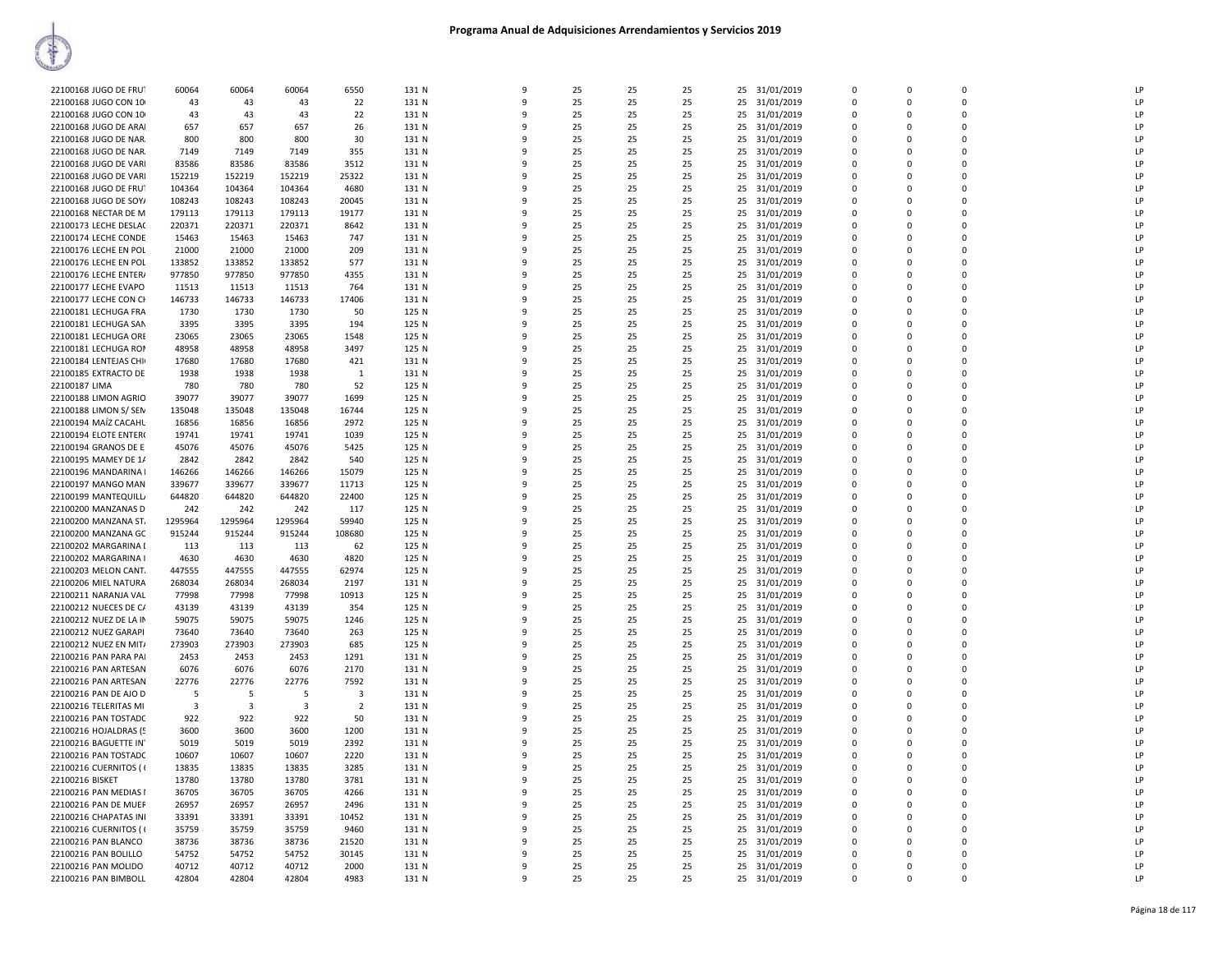| 22100168 JUGO DE FRU   | 60064   | 60064   | 60064   | 6550                    | 131 N | 9            | 25 | 25 | 25 | 25 31/01/2019    | $\Omega$       | $\mathbf 0$  | $\Omega$    | LP |
|------------------------|---------|---------|---------|-------------------------|-------|--------------|----|----|----|------------------|----------------|--------------|-------------|----|
| 22100168 JUGO CON 10   | 43      | 43      | 43      | 22                      | 131 N | 9            | 25 | 25 | 25 | 25<br>31/01/2019 | $\mathbf 0$    | 0            | $\Omega$    | LP |
| 22100168 JUGO CON 10   | 43      | 43      | 43      | 22                      | 131 N | 9            | 25 | 25 | 25 | 31/01/2019<br>25 | $\Omega$       | $\Omega$     | $\Omega$    | LP |
| 22100168 JUGO DE ARAI  | 657     | 657     | 657     | 26                      | 131 N | 9            | 25 | 25 | 25 | 25<br>31/01/2019 | 0              | $\mathbf 0$  | $\mathbf 0$ | LP |
| 22100168 JUGO DE NAR.  | 800     | 800     | 800     | 30                      | 131 N | q            | 25 | 25 | 25 | 31/01/2019<br>25 | $\mathbf 0$    | $\Omega$     | $\mathbf 0$ | LP |
|                        |         |         |         |                         |       | 9            |    |    |    |                  | $\Omega$       | $\Omega$     | $\Omega$    | LP |
| 22100168 JUGO DE NAR.  | 7149    | 7149    | 7149    | 355                     | 131 N |              | 25 | 25 | 25 | 25<br>31/01/2019 |                |              |             |    |
| 22100168 JUGO DE VARI  | 83586   | 83586   | 83586   | 3512                    | 131 N | q            | 25 | 25 | 25 | 31/01/2019<br>25 | $\Omega$       | $\Omega$     | $\Omega$    | LP |
| 22100168 JUGO DE VARI  | 152219  | 152219  | 152219  | 25322                   | 131 N | q            | 25 | 25 | 25 | 25 31/01/2019    | $\Omega$       | $\Omega$     | $\Omega$    | LP |
| 22100168 JUGO DE FRUT  | 104364  | 104364  | 104364  | 4680                    | 131 N | 9            | 25 | 25 | 25 | 25<br>31/01/2019 | $\overline{0}$ | $\mathbf 0$  | $\mathbf 0$ | LP |
| 22100168 JUGO DE SOY/  | 108243  | 108243  | 108243  | 20045                   | 131 N | 9            | 25 | 25 | 25 | 25<br>31/01/2019 | $\Omega$       | $\Omega$     | $\Omega$    | LP |
| 22100168 NECTAR DE M   | 179113  | 179113  | 179113  | 19177                   | 131 N | 9            | 25 | 25 | 25 | 25<br>31/01/2019 | 0              | 0            | $\mathbf 0$ | LP |
| 22100173 LECHE DESLA(  | 220371  | 220371  | 220371  | 8642                    | 131 N | q            | 25 | 25 | 25 | 25<br>31/01/2019 | $\Omega$       | $\Omega$     | $\Omega$    | LP |
| 22100174 LECHE CONDE   | 15463   | 15463   | 15463   | 747                     | 131 N | 9            | 25 | 25 | 25 | 25<br>31/01/2019 | $\Omega$       | $\Omega$     | $\Omega$    | LP |
| 22100176 LECHE EN POL  | 21000   | 21000   | 21000   | 209                     | 131 N | q            | 25 | 25 | 25 | 25<br>31/01/2019 | $\Omega$       | $\Omega$     | $\Omega$    | LP |
| 22100176 LECHE EN POL  | 133852  | 133852  | 133852  | 577                     | 131 N | 9            | 25 | 25 | 25 | 25<br>31/01/2019 | $\overline{0}$ | $\Omega$     | $\Omega$    | LP |
| 22100176 LECHE ENTER/  | 977850  | 977850  | 977850  | 4355                    | 131 N | 9            | 25 | 25 | 25 | 31/01/2019<br>25 | $\mathbf 0$    | $\mathbf{0}$ | $\mathbf 0$ | LP |
| 22100177 LECHE EVAPO   | 11513   | 11513   | 11513   | 764                     | 131 N | 9            | 25 | 25 | 25 | 31/01/2019<br>25 | $\Omega$       | $\Omega$     | $\Omega$    | LP |
|                        |         |         |         |                         |       | q            |    |    |    |                  |                |              |             |    |
| 22100177 LECHE CON CH  | 146733  | 146733  | 146733  | 17406                   | 131 N |              | 25 | 25 | 25 | 25<br>31/01/2019 | 0              | 0            | $\mathbf 0$ | LP |
| 22100181 LECHUGA FRA   | 1730    | 1730    | 1730    | 50                      | 125 N | q            | 25 | 25 | 25 | 25<br>31/01/2019 | $\Omega$       | $\Omega$     | $\Omega$    | LP |
| 22100181 LECHUGA SAN   | 3395    | 3395    | 3395    | 194                     | 125 N | 9            | 25 | 25 | 25 | 25<br>31/01/2019 | $\Omega$       | $\Omega$     | $\Omega$    | LP |
| 22100181 LECHUGA ORE   | 23065   | 23065   | 23065   | 1548                    | 125 N | q            | 25 | 25 | 25 | 25<br>31/01/2019 | $\Omega$       | $\Omega$     | $\Omega$    | LP |
| 22100181 LECHUGA ROM   | 48958   | 48958   | 48958   | 3497                    | 125 N | 9            | 25 | 25 | 25 | 25<br>31/01/2019 | $\overline{0}$ | $\Omega$     | $\Omega$    | LP |
| 22100184 LENTEJAS CHI  | 17680   | 17680   | 17680   | 421                     | 131 N | 9            | 25 | 25 | 25 | 31/01/2019<br>25 | $\mathbf 0$    | $\mathbf{0}$ | $\mathbf 0$ | LP |
| 22100185 EXTRACTO DE   | 1938    | 1938    | 1938    | 1                       | 131 N | $\mathbf{q}$ | 25 | 25 | 25 | 25<br>31/01/2019 | $\mathbf 0$    | $\Omega$     | $\Omega$    | LP |
| 22100187 LIMA          | 780     | 780     | 780     | 52                      | 125 N | q            | 25 | 25 | 25 | 25<br>31/01/2019 | 0              | 0            | $\mathbf 0$ | LP |
| 22100188 LIMON AGRIO   | 39077   | 39077   | 39077   | 1699                    | 125 N | q            | 25 | 25 | 25 | 31/01/2019<br>25 | $\Omega$       | $\Omega$     | $\Omega$    | LP |
| 22100188 LIMON S/ SEN  | 135048  | 135048  | 135048  | 16744                   | 125 N | 9            | 25 | 25 | 25 | 25<br>31/01/2019 | $\Omega$       | $\Omega$     | $\Omega$    | LP |
| 22100194 MAIZ CACAHL   | 16856   | 16856   | 16856   | 2972                    | 125 N | q            | 25 | 25 | 25 | 25<br>31/01/2019 | $\Omega$       | $\Omega$     | $\Omega$    | LP |
| 22100194 ELOTE ENTER(  | 19741   | 19741   | 19741   | 1039                    | 125 N | 9            | 25 | 25 | 25 | 25<br>31/01/2019 | $\mathbf 0$    | $\Omega$     | $\Omega$    | LP |
|                        |         |         |         |                         |       |              |    |    |    |                  |                |              |             |    |
| 22100194 GRANOS DE E   | 45076   | 45076   | 45076   | 5425                    | 125 N | 9            | 25 | 25 | 25 | 31/01/2019<br>25 | $\mathbf 0$    | $\mathbf{0}$ | $\mathbf 0$ | LP |
| 22100195 MAMEY DE 1/   | 2842    | 2842    | 2842    | 540                     | 125 N | $\mathbf{q}$ | 25 | 25 | 25 | 25<br>31/01/2019 | $\mathbf 0$    | $\Omega$     | $\Omega$    | LP |
| 22100196 MANDARINA     | 146266  | 146266  | 146266  | 15079                   | 125 N | q            | 25 | 25 | 25 | 25<br>31/01/2019 | $\Omega$       | $\Omega$     | $\Omega$    | LP |
| 22100197 MANGO MAN     | 339677  | 339677  | 339677  | 11713                   | 125 N | q            | 25 | 25 | 25 | 31/01/2019<br>25 | $\mathbf 0$    | $\Omega$     | $\Omega$    | LP |
| 22100199 MANTEQUILL    | 644820  | 644820  | 644820  | 22400                   | 125 N | 9            | 25 | 25 | 25 | 25<br>31/01/2019 | $\Omega$       | $\Omega$     | $\Omega$    | LP |
| 22100200 MANZANAS D    | 242     | 242     | 242     | 117                     | 125 N | q            | 25 | 25 | 25 | 25<br>31/01/2019 | $\Omega$       | $\Omega$     | $\Omega$    | LP |
| 22100200 MANZANA ST.   | 1295964 | 1295964 | 1295964 | 59940                   | 125 N | 9            | 25 | 25 | 25 | 25<br>31/01/2019 | $\mathbf 0$    | $\Omega$     | $\Omega$    | LP |
| 22100200 MANZANA GC    | 915244  | 915244  | 915244  | 108680                  | 125 N | 9            | 25 | 25 | 25 | 31/01/2019<br>25 | 0              | $\mathbf{0}$ | $\mathbf 0$ | LP |
| 22100202 MARGARINA I   | 113     | 113     | 113     | 62                      | 125 N | $\mathbf{q}$ | 25 | 25 | 25 | 25<br>31/01/2019 | $\Omega$       | $\Omega$     | $\Omega$    | LP |
| 22100202 MARGARINA I   | 4630    | 4630    | 4630    | 4820                    | 125 N | q            | 25 | 25 | 25 | 25<br>31/01/2019 | $\Omega$       | $\Omega$     | $\Omega$    | LP |
| 22100203 MELON CANT.   | 447555  | 447555  | 447555  | 62974                   | 125 N | q            | 25 | 25 | 25 | 25<br>31/01/2019 | $\Omega$       | $\Omega$     | $\Omega$    | LP |
| 22100206 MIEL NATURA   | 268034  | 268034  | 268034  | 2197                    | 131 N | ٩            | 25 | 25 | 25 | 25<br>31/01/2019 | 0              | $\Omega$     | $\mathbf 0$ | LP |
|                        | 77998   |         | 77998   |                         | 125 N | $\mathbf{q}$ | 25 | 25 | 25 | 25               | $\Omega$       | $\Omega$     | $\Omega$    | LP |
| 22100211 NARANJA VAL   |         | 77998   |         | 10913                   |       |              |    |    |    | 31/01/2019       |                |              |             |    |
| 22100212 NUECES DE C/  | 43139   | 43139   | 43139   | 354                     | 125 N | 9            | 25 | 25 | 25 | 25<br>31/01/2019 | $\overline{0}$ | $\Omega$     | $\Omega$    | LP |
| 22100212 NUEZ DE LA IN | 59075   | 59075   | 59075   | 1246                    | 125 N | q            | 25 | 25 | 25 | 31/01/2019<br>25 | 0              | $\mathbf{0}$ | $\mathbf 0$ | LP |
| 22100212 NUEZ GARAPI   | 73640   | 73640   | 73640   | 263                     | 125 N | $\mathbf{q}$ | 25 | 25 | 25 | 25<br>31/01/2019 | $\Omega$       | $\Omega$     | $\Omega$    | LP |
| 22100212 NUEZ EN MIT/  | 273903  | 273903  | 273903  | 685                     | 125 N | q            | 25 | 25 | 25 | 25<br>31/01/2019 | $\Omega$       | $\Omega$     | $\Omega$    | LP |
| 22100216 PAN PARA PAI  | 2453    | 2453    | 2453    | 1291                    | 131 N | q            | 25 | 25 | 25 | 31/01/2019<br>25 | $\Omega$       | $\Omega$     | $\Omega$    | LP |
| 22100216 PAN ARTESAN   | 6076    | 6076    | 6076    | 2170                    | 131 N | ٩            | 25 | 25 | 25 | 25<br>31/01/2019 | 0              | $\Omega$     | $\mathbf 0$ | LP |
| 22100216 PAN ARTESAN   | 22776   | 22776   | 22776   | 7592                    | 131 N | 9            | 25 | 25 | 25 | 25<br>31/01/2019 | $\Omega$       | $\Omega$     | $\Omega$    | LP |
| 22100216 PAN DE AJO D  | 5       | 5       | 5       | $\overline{\mathbf{3}}$ | 131 N | 9            | 25 | 25 | 25 | 25 31/01/2019    | $\overline{0}$ | $\Omega$     | $\Omega$    | LP |
| 22100216 TELERITAS MI  | 3       | 3       | 3       | $\overline{2}$          | 131 N | q            | 25 | 25 | 25 | 31/01/2019<br>25 | 0              | $\mathbf{0}$ | $\mathbf 0$ | LP |
| 22100216 PAN TOSTADC   | 922     | 922     | 922     | 50                      | 131 N | $\mathbf{q}$ | 25 | 25 | 25 | 25<br>31/01/2019 | $\Omega$       | $\Omega$     | $\Omega$    | LP |
| 22100216 HOJALDRAS (5  | 3600    | 3600    | 3600    | 1200                    | 131 N | q            | 25 | 25 | 25 | 25<br>31/01/2019 | $\Omega$       | $\Omega$     | $\Omega$    | LP |
| 22100216 BAGUETTE IN   | 5019    | 5019    | 5019    | 2392                    | 131 N | q            | 25 | 25 | 25 | 31/01/2019<br>25 | $\Omega$       | $\Omega$     | $\Omega$    | LP |
|                        | 10607   | 10607   | 10607   | 2220                    | 131 N | ٩            | 25 | 25 | 25 | 25               |                | $\Omega$     | $\mathbf 0$ | LP |
| 22100216 PAN TOSTADC   |         |         |         |                         |       | 9            |    |    |    | 31/01/2019       | 0<br>$\Omega$  |              | $\Omega$    | LP |
| 22100216 CUERNITOS ( { | 13835   | 13835   | 13835   | 3285                    | 131 N |              | 25 | 25 | 25 | 25<br>31/01/2019 |                | $\Omega$     |             |    |
| 22100216 BISKET        | 13780   | 13780   | 13780   | 3781                    | 131 N | q            | 25 | 25 | 25 | 31/01/2019<br>25 | 0              | $\mathbf 0$  | $\mathbf 0$ | LP |
| 22100216 PAN MEDIAS I  | 36705   | 36705   | 36705   | 4266                    | 131 N | 9            | 25 | 25 | 25 | 31/01/2019<br>25 | 0              | $\mathbf{0}$ | $\mathbf 0$ | LP |
| 22100216 PAN DE MUEF   | 26957   | 26957   | 26957   | 2496                    | 131 N | $\mathbf{q}$ | 25 | 25 | 25 | 25<br>31/01/2019 | $\Omega$       | $\Omega$     | $\Omega$    | LP |
| 22100216 CHAPATAS INI  | 33391   | 33391   | 33391   | 10452                   | 131 N | q            | 25 | 25 | 25 | 25<br>31/01/2019 | $\Omega$       | $\Omega$     | $\Omega$    | LP |
| 22100216 CUERNITOS ( { | 35759   | 35759   | 35759   | 9460                    | 131 N | q            | 25 | 25 | 25 | 25 31/01/2019    | $\Omega$       | $\Omega$     | $\Omega$    | LP |
| 22100216 PAN BLANCO    | 38736   | 38736   | 38736   | 21520                   | 131 N | ٩            | 25 | 25 | 25 | 25<br>31/01/2019 | 0              | O            | $\mathbf 0$ | LP |
| 22100216 PAN BOLILLO   | 54752   | 54752   | 54752   | 30145                   | 131 N | 9            | 25 | 25 | 25 | 25<br>31/01/2019 | $\Omega$       | $\Omega$     | $\Omega$    | LP |
| 22100216 PAN MOLIDO    | 40712   | 40712   | 40712   | 2000                    | 131 N | q            | 25 | 25 | 25 | 31/01/2019<br>25 | 0              | $\mathbf 0$  | 0           | LP |
| 22100216 PAN BIMBOLL   | 42804   | 42804   | 42804   | 4983                    | 131 N | 9            | 25 | 25 | 25 | 25 31/01/2019    | $\Omega$       | $\Omega$     | $\Omega$    | LP |
|                        |         |         |         |                         |       |              |    |    |    |                  |                |              |             |    |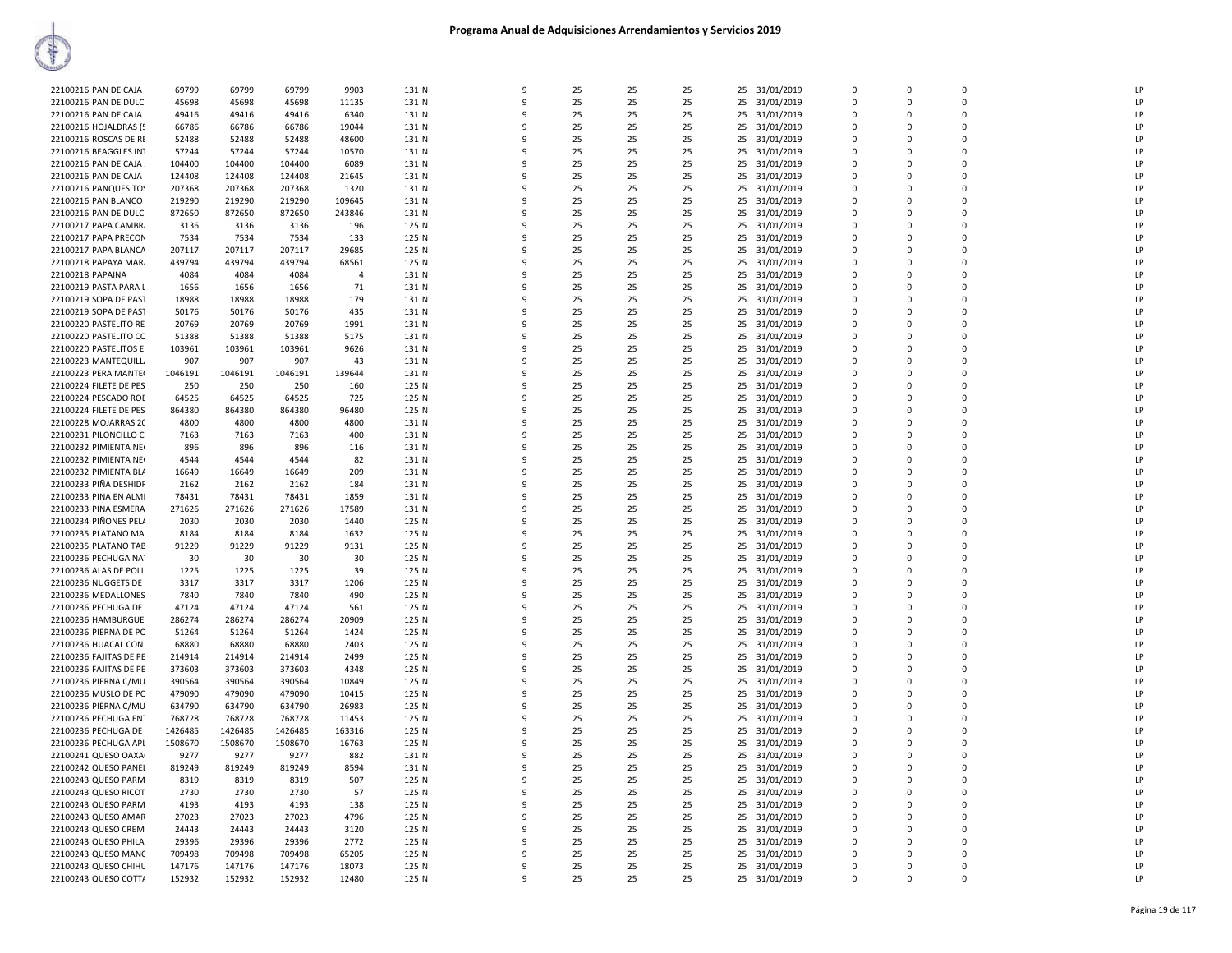| 22100216 PAN DE CAJA   | 69799   | 69799   | 69799   | 9903           | 131 N | 9            | 25 | 25 | 25 | 31/01/2019<br>25 | $\mathbf{0}$ | $\Omega$    | $\Omega$     | LP |
|------------------------|---------|---------|---------|----------------|-------|--------------|----|----|----|------------------|--------------|-------------|--------------|----|
| 22100216 PAN DE DULCI  | 45698   | 45698   | 45698   | 11135          | 131 N | 9            | 25 | 25 | 25 | 25<br>31/01/2019 | $\mathbf{0}$ | $\Omega$    | $\Omega$     | LP |
| 22100216 PAN DE CAJA   | 49416   | 49416   | 49416   | 6340           | 131 N | 9            | 25 | 25 | 25 | 31/01/2019<br>25 | $\Omega$     | $\Omega$    | $\Omega$     | LP |
|                        |         |         |         |                |       | 9            |    |    |    |                  |              | $\Omega$    | $\Omega$     | LP |
| 22100216 HOJALDRAS (5  | 66786   | 66786   | 66786   | 19044          | 131 N |              | 25 | 25 | 25 | 25<br>31/01/2019 | $\mathbf 0$  |             |              |    |
| 22100216 ROSCAS DE RE  | 52488   | 52488   | 52488   | 48600          | 131 N | 9            | 25 | 25 | 25 | 25<br>31/01/2019 | $\mathbf{0}$ | $\Omega$    | $\mathbf 0$  | LP |
| 22100216 BEAGGLES INT  | 57244   | 57244   | 57244   | 10570          | 131 N | $\mathbf{q}$ | 25 | 25 | 25 | 25<br>31/01/2019 | $\mathbf 0$  | $\Omega$    | $\Omega$     | LP |
| 22100216 PAN DE CAJA   | 104400  | 104400  | 104400  | 6089           | 131 N | q            | 25 | 25 | 25 | 25<br>31/01/2019 | $\Omega$     | $\Omega$    | $\Omega$     | LP |
| 22100216 PAN DE CAJA   | 124408  | 124408  | 124408  | 21645          | 131 N | 9            | 25 | 25 | 25 | 31/01/2019<br>25 | 0            | $\Omega$    | $\Omega$     | LP |
| 22100216 PANQUESITOS   | 207368  | 207368  | 207368  | 1320           | 131 N | 9            | 25 | 25 | 25 | 31/01/2019<br>25 | $\mathbf{0}$ | $\Omega$    | $\Omega$     | LP |
| 22100216 PAN BLANCO    | 219290  | 219290  | 219290  | 109645         | 131 N | q            | 25 | 25 | 25 | 25<br>31/01/2019 | $\Omega$     | $\Omega$    | $\Omega$     | LP |
| 22100216 PAN DE DULCI  | 872650  | 872650  | 872650  | 243846         | 131 N | 9            | 25 | 25 | 25 | 25<br>31/01/2019 | $\Omega$     | $\Omega$    | $\Omega$     | LP |
| 22100217 PAPA CAMBR/   | 3136    | 3136    | 3136    | 196            | 125 N | 9            | 25 | 25 | 25 | 25<br>31/01/2019 | $\mathbf{0}$ | $\Omega$    | $\mathbf{0}$ | LP |
| 22100217 PAPA PRECON   | 7534    | 7534    | 7534    | 133            | 125 N | $\mathbf{q}$ | 25 | 25 | 25 | 25<br>31/01/2019 | $\mathbf 0$  | $\Omega$    | $\Omega$     | LP |
|                        |         |         |         |                |       | q            | 25 | 25 |    |                  | $\Omega$     | $\Omega$    | $\Omega$     | LP |
| 22100217 PAPA BLANCA   | 207117  | 207117  | 207117  | 29685          | 125 N | $\mathbf{q}$ |    |    | 25 | 25<br>31/01/2019 |              |             | $\Omega$     |    |
| 22100218 PAPAYA MAR/   | 439794  | 439794  | 439794  | 68561          | 125 N |              | 25 | 25 | 25 | 25 31/01/2019    | $\Omega$     | $\Omega$    |              | LP |
| 22100218 PAPAINA       | 4084    | 4084    | 4084    | $\overline{4}$ | 131 N | 9            | 25 | 25 | 25 | 25<br>31/01/2019 | $\mathbf{0}$ | $\Omega$    | $\Omega$     | LP |
| 22100219 PASTA PARA L  | 1656    | 1656    | 1656    | 71             | 131 N | $\mathbf{q}$ | 25 | 25 | 25 | 25<br>31/01/2019 | $\Omega$     | $\Omega$    | $\Omega$     | LP |
| 22100219 SOPA DE PAST  | 18988   | 18988   | 18988   | 179            | 131 N | q            | 25 | 25 | 25 | 25<br>31/01/2019 | $\Omega$     | $\Omega$    | $\Omega$     | LP |
| 22100219 SOPA DE PAST  | 50176   | 50176   | 50176   | 435            | 131 N | 9            | 25 | 25 | 25 | 25<br>31/01/2019 | $\mathbf{0}$ | $\Omega$    | $\mathbf 0$  | LP |
| 22100220 PASTELITO RE  | 20769   | 20769   | 20769   | 1991           | 131 N | 9            | 25 | 25 | 25 | 25<br>31/01/2019 | $\mathbf 0$  | $\Omega$    | $\Omega$     | LP |
| 22100220 PASTELITO CO  | 51388   | 51388   | 51388   | 5175           | 131 N | q            | 25 | 25 | 25 | 25<br>31/01/2019 | $\mathbf{0}$ | $\Omega$    | $\Omega$     | LP |
| 22100220 PASTELITOS EI | 103961  | 103961  | 103961  | 9626           | 131 N | $\mathbf{q}$ | 25 | 25 | 25 | 25 31/01/2019    | $\Omega$     | $\Omega$    | $\Omega$     | LP |
| 22100223 MANTEQUILL    | 907     | 907     | 907     | 43             | 131 N | 9            | 25 | 25 | 25 | 25<br>31/01/2019 | $\mathbf{0}$ | $\Omega$    | $\Omega$     | LP |
| 22100223 PERA MANTE(   | 1046191 | 1046191 | 1046191 | 139644         | 131 N | 9            | 25 | 25 | 25 | 25<br>31/01/2019 | $\Omega$     | $\Omega$    | $\Omega$     | LP |
|                        |         |         |         |                |       |              |    |    |    |                  |              |             |              | LP |
| 22100224 FILETE DE PES | 250     | 250     | 250     | 160            | 125 N | q            | 25 | 25 | 25 | 31/01/2019<br>25 | $\Omega$     | $\Omega$    | $\Omega$     |    |
| 22100224 PESCADO ROE   | 64525   | 64525   | 64525   | 725            | 125 N | 9            | 25 | 25 | 25 | 25<br>31/01/2019 | 0            | $\Omega$    | $\mathbf{0}$ | LP |
| 22100224 FILETE DE PES | 864380  | 864380  | 864380  | 96480          | 125 N | 9            | 25 | 25 | 25 | 25<br>31/01/2019 | $\mathbf 0$  | $\Omega$    | $\Omega$     | LP |
| 22100228 MOJARRAS 20   | 4800    | 4800    | 4800    | 4800           | 131 N | q            | 25 | 25 | 25 | 25<br>31/01/2019 | $\Omega$     | $\Omega$    | $\Omega$     | LP |
| 22100231 PILONCILLO C  | 7163    | 7163    | 7163    | 400            | 131 N | $\mathsf{q}$ | 25 | 25 | 25 | 25 31/01/2019    | $\Omega$     | $\Omega$    | $\Omega$     | LP |
| 22100232 PIMIENTA NE   | 896     | 896     | 896     | 116            | 131 N | 9            | 25 | 25 | 25 | 25<br>31/01/2019 | $\mathbf{0}$ | $\Omega$    | $\Omega$     | LP |
| 22100232 PIMIENTA NE   | 4544    | 4544    | 4544    | 82             | 131 N | 9            | 25 | 25 | 25 | 25<br>31/01/2019 | $\Omega$     | $\Omega$    | $\Omega$     | LP |
| 22100232 PIMIENTA BLA  | 16649   | 16649   | 16649   | 209            | 131 N | q            | 25 | 25 | 25 | 25<br>31/01/2019 | $\mathbf 0$  | $\Omega$    | $\Omega$     | LP |
| 22100233 PIÑA DESHIDR  | 2162    | 2162    | 2162    | 184            | 131 N | 9            | 25 | 25 | 25 | 25<br>31/01/2019 | 0            | $\Omega$    | $\mathbf{0}$ | LP |
| 22100233 PINA EN ALMI  | 78431   | 78431   | 78431   | 1859           | 131 N | 9            | 25 | 25 | 25 | 25<br>31/01/2019 | $\mathbf 0$  | $\Omega$    | $\Omega$     | LP |
| 22100233 PINA ESMERA   | 271626  | 271626  | 271626  | 17589          | 131 N | q            | 25 | 25 | 25 | 31/01/2019<br>25 | $\Omega$     | $\Omega$    | $\Omega$     | LP |
| 22100234 PIÑONES PELA  | 2030    | 2030    | 2030    | 1440           | 125 N | $\mathsf{q}$ | 25 | 25 | 25 |                  | $\Omega$     | $\Omega$    | $\Omega$     | LP |
|                        |         |         |         |                |       |              |    |    |    | 25 31/01/2019    |              |             |              |    |
| 22100235 PLATANO MA    | 8184    | 8184    | 8184    | 1632           | 125 N | 9            | 25 | 25 | 25 | 25<br>31/01/2019 | $\mathbf{0}$ | $\Omega$    | $\Omega$     | LP |
| 22100235 PLATANO TAB   | 91229   | 91229   | 91229   | 9131           | 125 N | 9            | 25 | 25 | 25 | 25<br>31/01/2019 | $\Omega$     | $\Omega$    | $\Omega$     | LP |
| 22100236 PECHUGA NA    | 30      | 30      | 30      | 30             | 125 N | q            | 25 | 25 | 25 | 25<br>31/01/2019 | $\mathbf 0$  | $\Omega$    | $\Omega$     | LP |
| 22100236 ALAS DE POLL  | 1225    | 1225    | 1225    | 39             | 125 N | 9            | 25 | 25 | 25 | 31/01/2019<br>25 | $\Omega$     | $\Omega$    | $\Omega$     | LP |
| 22100236 NUGGETS DE    | 3317    | 3317    | 3317    | 1206           | 125 N | 9            | 25 | 25 | 25 | 25<br>31/01/2019 | $\mathbf 0$  | 0           | $\mathbf{0}$ | LP |
| 22100236 MEDALLONES    | 7840    | 7840    | 7840    | 490            | 125 N | $\mathbf{Q}$ | 25 | 25 | 25 | 25<br>31/01/2019 | $\Omega$     | $\Omega$    | $\Omega$     | LP |
| 22100236 PECHUGA DE    | 47124   | 47124   | 47124   | 561            | 125 N | $\mathsf{q}$ | 25 | 25 | 25 | 25<br>31/01/2019 | $\Omega$     | $\mathsf 0$ | $\Omega$     | LP |
| 22100236 HAMBURGUE:    | 286274  | 286274  | 286274  | 20909          | 125 N | 9            | 25 | 25 | 25 | 25<br>31/01/2019 | $\mathbf{0}$ | $\Omega$    | $\Omega$     | LP |
| 22100236 PIERNA DE PO  | 51264   | 51264   | 51264   | 1424           | 125 N | 9            | 25 | 25 | 25 | 25<br>31/01/2019 | $\Omega$     | $\Omega$    | $\Omega$     | LP |
| 22100236 HUACAL CON    | 68880   | 68880   | 68880   | 2403           | 125 N | 9            | 25 | 25 | 25 | 25<br>31/01/2019 | $\Omega$     | $\Omega$    | $\Omega$     | LP |
| 22100236 FAJITAS DE PE | 214914  | 214914  | 214914  | 2499           | 125 N | 9            | 25 | 25 | 25 | 31/01/2019<br>25 | $\Omega$     | $\Omega$    | $\Omega$     | LP |
| 22100236 FAJITAS DE PE | 373603  | 373603  | 373603  | 4348           | 125 N | 9            | 25 | 25 | 25 | 25<br>31/01/2019 | $\mathbf{0}$ | 0           | $\mathbf 0$  | LP |
|                        |         |         |         |                |       | $\mathsf{q}$ |    |    |    |                  | $\mathbf 0$  | $\Omega$    | $\Omega$     | LP |
| 22100236 PIERNA C/MU   | 390564  | 390564  | 390564  | 10849          | 125 N |              | 25 | 25 | 25 | 25<br>31/01/2019 |              |             |              |    |
| 22100236 MUSLO DE PO   | 479090  | 479090  | 479090  | 10415          | 125 N | $\mathsf{q}$ | 25 | 25 | 25 | 25<br>31/01/2019 | $\mathbf 0$  | $\mathbf 0$ | $\mathbf 0$  | LP |
| 22100236 PIERNA C/MU   | 634790  | 634790  | 634790  | 26983          | 125 N | 9            | 25 | 25 | 25 | 25<br>31/01/2019 | $\mathbf 0$  | $\Omega$    | $\Omega$     | LP |
| 22100236 PECHUGA EN1   | 768728  | 768728  | 768728  | 11453          | 125 N | 9            | 25 | 25 | 25 | 25<br>31/01/2019 | $\Omega$     | $\Omega$    | $\Omega$     | LP |
| 22100236 PECHUGA DE    | 1426485 | 1426485 | 1426485 | 163316         | 125 N | 9            | 25 | 25 | 25 | 25<br>31/01/2019 | $\Omega$     | $\Omega$    | $\Omega$     | LP |
| 22100236 PECHUGA APL   | 1508670 | 1508670 | 1508670 | 16763          | 125 N | 9            | 25 | 25 | 25 | 31/01/2019<br>25 | $\Omega$     | $\Omega$    | $\Omega$     | LP |
| 22100241 QUESO OAXA    | 9277    | 9277    | 9277    | 882            | 131 N | 9            | 25 | 25 | 25 | 25<br>31/01/2019 | $\mathbf{0}$ | 0           | $\mathbf 0$  | LP |
| 22100242 QUESO PANEL   | 819249  | 819249  | 819249  | 8594           | 131 N | $\mathsf{q}$ | 25 | 25 | 25 | 25<br>31/01/2019 | $\Omega$     | $\Omega$    | $\Omega$     | LP |
| 22100243 QUESO PARM    | 8319    | 8319    | 8319    | 507            | 125 N | 9            | 25 | 25 | 25 | 25 31/01/2019    | $\Omega$     | $\Omega$    | $\Omega$     | LP |
| 22100243 QUESO RICOT   | 2730    | 2730    | 2730    | 57             | 125 N | 9            | 25 | 25 | 25 | 31/01/2019<br>25 | $\mathbf 0$  | $\Omega$    | $\Omega$     | LP |
| 22100243 QUESO PARM    | 4193    | 4193    | 4193    | 138            | 125 N | 9            | 25 | 25 | 25 | 25<br>31/01/2019 | $\Omega$     | $\Omega$    | $\Omega$     | LP |
|                        |         |         |         |                |       |              |    |    |    |                  |              |             | $\Omega$     | LP |
| 22100243 QUESO AMAR    | 27023   | 27023   | 27023   | 4796           | 125 N | 9            | 25 | 25 | 25 | 25<br>31/01/2019 | $\Omega$     | $\Omega$    |              |    |
| 22100243 QUESO CREM.   | 24443   | 24443   | 24443   | 3120           | 125 N | 9            | 25 | 25 | 25 | 31/01/2019<br>25 | $\Omega$     | $\Omega$    | $\Omega$     | LP |
| 22100243 QUESO PHILA   | 29396   | 29396   | 29396   | 2772           | 125 N | 9            | 25 | 25 | 25 | 25<br>31/01/2019 | $\mathbf 0$  | $\Omega$    | $\mathbf 0$  | LP |
| 22100243 QUESO MANC    | 709498  | 709498  | 709498  | 65205          | 125 N | 9            | 25 | 25 | 25 | 25<br>31/01/2019 | $\Omega$     | $\Omega$    | $\Omega$     | LP |
| 22100243 QUESO CHIHU   | 147176  | 147176  | 147176  | 18073          | 125 N | 9            | 25 | 25 | 25 | 25 31/01/2019    | $\Omega$     | $\Omega$    | $\Omega$     | LP |
| 22100243 QUESO COTT/   | 152932  | 152932  | 152932  | 12480          | 125 N | 9            | 25 | 25 | 25 | 25 31/01/2019    | $\Omega$     | $\Omega$    | $\Omega$     | LP |
|                        |         |         |         |                |       |              |    |    |    |                  |              |             |              |    |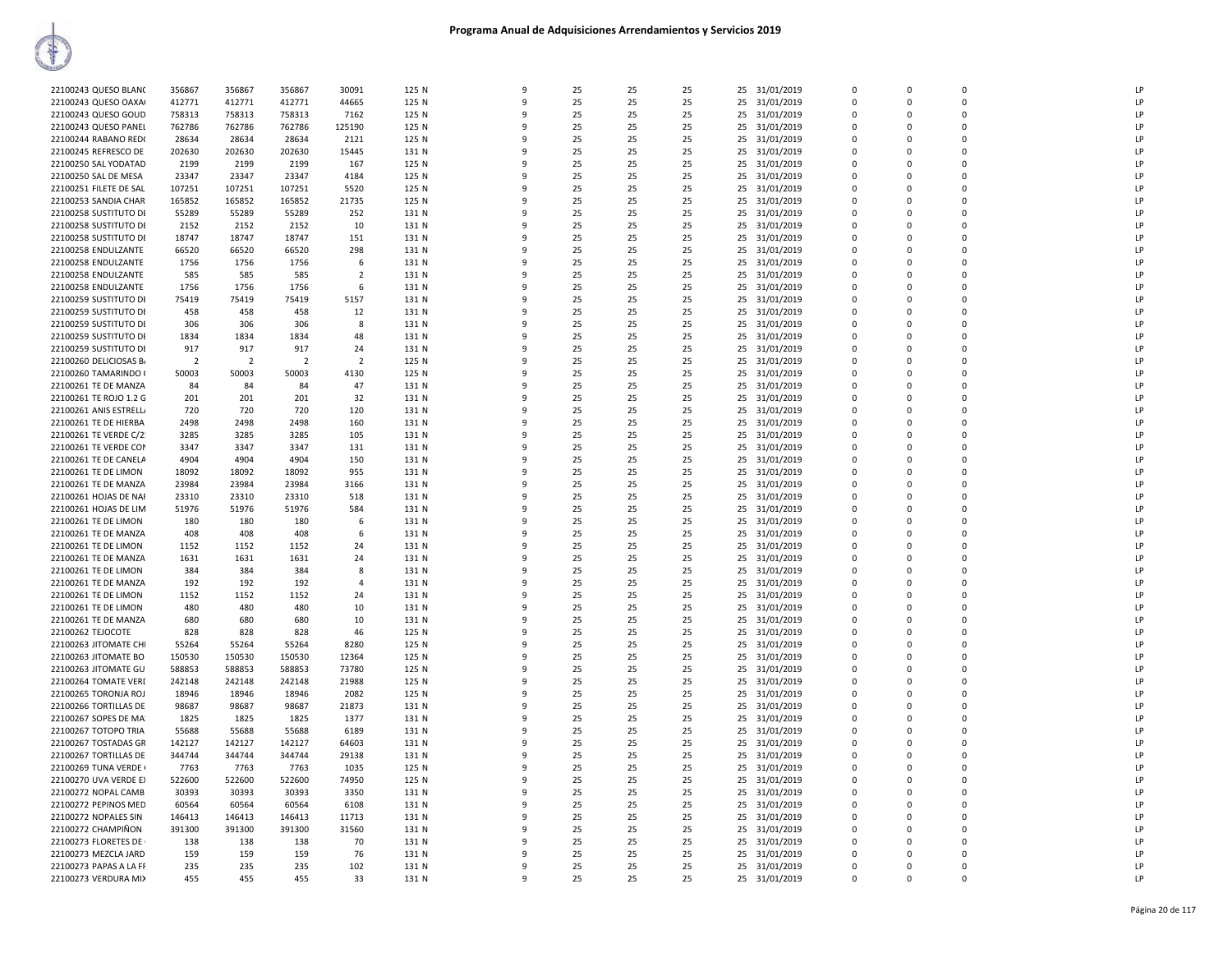| 22100243 QUESO BLANO   | 356867         | 356867         | 356867         | 30091          | 125 N          | q            | 25       | 25       | 25       | 25 31/01/2019          | $\Omega$    | $\Omega$    | $\Omega$    | LP       |
|------------------------|----------------|----------------|----------------|----------------|----------------|--------------|----------|----------|----------|------------------------|-------------|-------------|-------------|----------|
| 22100243 QUESO OAXA    | 412771         | 412771         | 412771         | 44665          | 125 N          | q            | 25       | 25       | 25       | 25 31/01/2019          | $\Omega$    | $\Omega$    | $\Omega$    | LP       |
| 22100243 QUESO GOUD    | 758313         | 758313         | 758313         | 7162           | 125 N          | q            | 25       | 25       | 25       | 25 31/01/2019          | $\Omega$    | $\Omega$    | $\Omega$    | LP       |
| 22100243 QUESO PANEL   | 762786         | 762786         | 762786         | 125190         | 125 N          | 9            | 25       | 25       | 25       | 25<br>31/01/2019       | $\mathbf 0$ | $\mathbf 0$ | $\mathbf 0$ | LP       |
| 22100244 RABANO RED    | 28634          | 28634          | 28634          | 2121           | 125 N          | q            | 25       | 25       | 25       | 31/01/2019<br>25       | $\mathbf 0$ | $\Omega$    | $\Omega$    | LP       |
| 22100245 REFRESCO DE   | 202630         | 202630         | 202630         | 15445          | 131 N          |              | 25       | 25       | 25       | 25<br>31/01/2019       | $\Omega$    | $\Omega$    | $\Omega$    | LP       |
| 22100250 SAL YODATAD   | 2199           | 2199           | 2199           | 167            | 125 N          | q            | 25       | 25       | 25       | 31/01/2019<br>25       | $\Omega$    | $\Omega$    | $\mathbf 0$ | LP       |
| 22100250 SAL DE MESA   | 23347          | 23347          | 23347          | 4184           | 125 N          | q            | 25       | 25       | 25       | 25 31/01/2019          | $\Omega$    | $\Omega$    | $\Omega$    | LP       |
| 22100251 FILETE DE SAL | 107251         | 107251         | 107251         | 5520           | 125 N          |              | 25       | 25       | 25       | 25<br>31/01/2019       | $\mathbf 0$ | $\Omega$    | $\mathbf 0$ | LP       |
| 22100253 SANDIA CHAR   | 165852         | 165852         | 165852         | 21735          | 125 N          | q            | 25       | 25       | 25       | 31/01/2019<br>25       | $\mathbf 0$ | $\Omega$    | $\mathbf 0$ | LP       |
| 22100258 SUSTITUTO DI  | 55289          | 55289          | 55289          | 252            | 131 N          | 9            | 25       | 25       | 25       | 31/01/2019<br>25       | $\Omega$    | $\Omega$    | $\Omega$    | LP       |
| 22100258 SUSTITUTO DI  | 2152           | 2152           | 2152           | 10             | 131 N          | q            | 25       | 25       | 25       | 31/01/2019<br>25       | $\Omega$    | $\Omega$    | $\Omega$    | LP       |
| 22100258 SUSTITUTO DI  | 18747          | 18747          | 18747          | 151            | 131 N          |              | 25       | 25       | 25       | 25<br>31/01/2019       | $\Omega$    | $\Omega$    | 0           | LP       |
| 22100258 ENDULZANTE    | 66520          | 66520          | 66520          | 298            | 131 N          | q            | 25       | 25       | 25       | 31/01/2019<br>25       | $\mathbf 0$ | $\Omega$    | $\mathbf 0$ | LP       |
| 22100258 ENDULZANTE    | 1756           | 1756           | 1756           | 6              | 131 N          | q            | 25       | 25       | 25       | 25 31/01/2019          | $\mathbf 0$ | $\Omega$    | $\mathbf 0$ | LP       |
| 22100258 ENDULZANTE    | 585            | 585            | 585            | $\overline{2}$ | 131 N          | q            | 25       | 25       | 25       | 25 31/01/2019          | $\Omega$    | $\Omega$    | $\Omega$    | LP       |
| 22100258 ENDULZANTE    | 1756           | 1756           | 1756           | 6              | 131 N          | q            | 25       | 25       | 25       | 31/01/2019<br>25       | $\Omega$    | $\Omega$    | $\Omega$    | LP       |
| 22100259 SUSTITUTO DI  | 75419          | 75419          | 75419          | 5157           | 131 N          | q            | 25       | 25       | 25       | 25<br>31/01/2019       | $\mathbf 0$ | $\Omega$    | $\Omega$    | LP       |
| 22100259 SUSTITUTO DI  | 458            | 458            | 458            | 12             | 131 N          | q            | 25       | 25       | 25       | 31/01/2019<br>25       | $\mathbf 0$ | $\Omega$    | $\mathbf 0$ | LP       |
| 22100259 SUSTITUTO DI  | 306            | 306            | 306            | 8              | 131 N          |              | 25       | 25       | 25       | 25 31/01/2019          | $\mathbf 0$ | $\Omega$    | $\mathbf 0$ | LP       |
| 22100259 SUSTITUTO DI  | 1834           | 1834           | 1834           | 48             | 131 N          | q            | 25       | 25       | 25       | 25<br>31/01/2019       | $\mathbf 0$ | $\Omega$    | 0           | LP       |
| 22100259 SUSTITUTO DI  | 917            | 917            | 917            | 24             | 131 N          | q            | 25       | 25       | 25       | 25 31/01/2019          | $\Omega$    | $\Omega$    | $\Omega$    | LP       |
|                        |                |                | $\overline{2}$ | $\overline{2}$ |                |              |          |          |          |                        | $\mathbf 0$ |             | $\mathbf 0$ |          |
| 22100260 DELICIOSAS B/ | $\overline{2}$ | $\overline{2}$ |                |                | 125 N          |              | 25       | 25       | 25       | 25<br>31/01/2019       |             | $\Omega$    |             | LP       |
| 22100260 TAMARINDO (   | 50003          | 50003          | 50003          | 4130           | 125 N          | 9            | 25       | 25       | 25       | 31/01/2019<br>25       | $\mathbf 0$ | $\Omega$    | $\mathbf 0$ | LP       |
| 22100261 TE DE MANZA   | 84             | 84             | 84             | 47             | 131 N          | $\mathbf{q}$ | 25       | 25       | 25       | 25<br>31/01/2019       | $\mathbf 0$ | $\Omega$    | $\mathbf 0$ | LP       |
| 22100261 TE ROJO 1.2 G | 201            | 201            | 201            | 32             | 131 N          | q            | 25       | 25       | 25       | 25 31/01/2019          | $\mathbf 0$ | $\Omega$    | $\Omega$    | LP       |
| 22100261 ANIS ESTRELL  | 720            | 720            | 720            | 120            | 131 N          |              | 25       | 25       | 25       | 25 31/01/2019          | $\Omega$    | $\Omega$    | $\Omega$    | LP       |
| 22100261 TE DE HIERBA  | 2498           | 2498           | 2498           | 160            | 131 N          |              | 25       | 25       | 25       | 25<br>31/01/2019       | 0           | $\Omega$    | $\mathbf 0$ | LP       |
| 22100261 TE VERDE C/2  | 3285           | 3285           | 3285           | 105            | 131 N          | q            | 25       | 25       | 25       | 25<br>31/01/2019       | $\Omega$    | $\Omega$    | $\Omega$    | LP       |
| 22100261 TE VERDE COM  | 3347           | 3347           | 3347           | 131            | 131 N          |              | 25       | 25       | 25       | 25<br>31/01/2019       | $\Omega$    | $\Omega$    | $\Omega$    | LP       |
| 22100261 TE DE CANELA  | 4904           | 4904           | 4904           | 150            | 131 N          | q            | 25       | 25       | 25       | 31/01/2019<br>25       | $\Omega$    | $\Omega$    | $\mathbf 0$ | LP       |
| 22100261 TE DE LIMON   | 18092          | 18092          | 18092          | 955            | 131 N          | q            | 25       | 25       | 25       | 25<br>31/01/2019       | $\mathbf 0$ | $\Omega$    | 0           | LP       |
| 22100261 TE DE MANZA   | 23984          | 23984          | 23984          | 3166           | 131 N          |              | 25       | 25       | 25       | 25<br>31/01/2019       | $\mathbf 0$ | $\Omega$    | $\mathbf 0$ | LP       |
| 22100261 HOJAS DE NAI  | 23310          | 23310          | 23310          | 518            | 131 N          | q            | 25       | 25       | 25       | 31/01/2019<br>25       | $\Omega$    | $\Omega$    | $\mathbf 0$ | LP       |
| 22100261 HOJAS DE LIM  | 51976          | 51976          | 51976          | 584            | 131 N          |              | 25       | 25       | 25       | 25<br>31/01/2019       | $\Omega$    | $\Omega$    | $\Omega$    | LP       |
| 22100261 TE DE LIMON   | 180            | 180            | 180            | 6              | 131 N          | q            | 25       | 25       | 25       | 31/01/2019<br>25       | $\Omega$    | $\Omega$    | $\Omega$    | LP       |
| 22100261 TE DE MANZA   | 408            | 408            | 408            | 6              | 131 N          |              | 25       | 25       | 25       | 31/01/2019<br>25       | $\Omega$    | $\Omega$    | $\Omega$    | LP       |
| 22100261 TE DE LIMON   | 1152           | 1152           | 1152           | 24             | 131 N          | 9            | 25       | 25       | 25       | 31/01/2019<br>25       | 0           | $\Omega$    | $\mathbf 0$ | LP       |
| 22100261 TE DE MANZA   | 1631           | 1631           | 1631           | 24             | 131 N          | $\mathbf{q}$ | 25       | 25       | 25       | 25<br>31/01/2019       | $\mathbf 0$ | $\Omega$    | $\mathbf 0$ | LP       |
| 22100261 TE DE LIMON   | 384            | 384            | 384            | 8              | 131 N          | q            | 25       | 25       | 25       | 25 31/01/2019          | $\Omega$    | $\Omega$    | $\Omega$    | LP       |
| 22100261 TE DE MANZA   | 192            | 192            | 192            | $\overline{4}$ | 131 N          |              | 25       | 25       | 25       | 25 31/01/2019          | $\Omega$    | $\Omega$    | $\Omega$    | LP       |
| 22100261 TE DE LIMON   | 1152           | 1152           | 1152           | 24             | 131 N          |              | 25       | 25       | 25       | 25<br>31/01/2019       | $\Omega$    | $\Omega$    | $\Omega$    | LP       |
| 22100261 TE DE LIMON   | 480            | 480            | 480            | 10             | 131 N          | q            | 25       | 25       | 25       | 31/01/2019<br>25       | 0           | $\Omega$    | $\mathbf 0$ | LP       |
| 22100261 TE DE MANZA   | 680            | 680            | 680            | 10             | 131 N          | q            | 25       | 25       | 25       | 25 31/01/2019          | $\mathbf 0$ | $\Omega$    | $\mathbf 0$ | LP       |
| 22100262 TEJOCOTE      | 828            | 828            | 828            | 46             | 125 N          | 9            | 25       | 25       | 25       | 25<br>31/01/2019       | 0           | $\Omega$    | 0           | LP       |
| 22100263 JITOMATE CHI  | 55264          | 55264          | 55264          | 8280           | 125 N          | q            | 25       | 25       | 25       | 31/01/2019<br>25       | $\Omega$    | $\Omega$    | $\Omega$    | LP       |
| 22100263 JITOMATE BO   | 150530         | 150530         | 150530         | 12364          | 125 N          |              | 25       | 25       | 25       | 25<br>31/01/2019       | $\mathbf 0$ | $\Omega$    | 0           | LP       |
| 22100263 JITOMATE GU   | 588853         | 588853         | 588853         | 73780          | 125 N          |              | 25       | 25       | 25       | 25<br>31/01/2019       | $\Omega$    | $\Omega$    | $\mathbf 0$ | LP       |
| 22100264 TOMATE VERI   | 242148         | 242148         | 242148         | 21988          | 125 N          |              | 25       | 25       | 25       | 25<br>31/01/2019       | $\mathbf 0$ | 0           | $\mathbf 0$ | LP       |
| 22100265 TORONJA ROJ   | 18946          | 18946          | 18946          | 2082           | 125 N          | q            | 25       | 25       | 25       | 25 31/01/2019          | $\Omega$    | $\Omega$    | $\Omega$    | LP       |
| 22100266 TORTILLAS DE  | 98687          | 98687          | 98687          | 21873          | 131 N          | q            | 25       | 25       | 25       | 25 31/01/2019          | $\Omega$    | $\Omega$    | $\Omega$    | LP       |
|                        |                |                |                |                |                |              |          |          |          |                        | $\mathbf 0$ | $\Omega$    | 0           | LP       |
| 22100267 SOPES DE MA   | 1825<br>55688  | 1825<br>55688  | 1825<br>55688  | 1377           | 131 N<br>131 N | 9<br>q       | 25<br>25 | 25<br>25 | 25<br>25 | 25<br>31/01/2019<br>25 | $\Omega$    | $\Omega$    | $\Omega$    | LP       |
| 22100267 TOTOPO TRIA   |                |                |                | 6189           |                |              |          |          |          | 31/01/2019             | $\mathbf 0$ |             | $\mathbf 0$ |          |
| 22100267 TOSTADAS GR   | 142127         | 142127         | 142127         | 64603          | 131 N          |              | 25       | 25       | 25       | 25<br>31/01/2019       |             | $\mathbf 0$ |             | LP<br>LP |
| 22100267 TORTILLAS DE  | 344744         | 344744         | 344744         | 29138          | 131 N          | q            | 25       | 25       | 25       | 31/01/2019<br>25       | $\Omega$    | $\Omega$    | $\mathbf 0$ |          |
| 22100269 TUNA VERDE (  | 7763           | 7763           | 7763           | 1035           | 125 N          |              | 25       | 25       | 25       | 25<br>31/01/2019       | $\Omega$    | $\Omega$    | $\Omega$    | LP       |
| 22100270 UVA VERDE EX  | 522600         | 522600         | 522600         | 74950          | 125 N          | q            | 25       | 25       | 25       | 31/01/2019<br>25       | 0           | $\Omega$    | $\mathbf 0$ | LP       |
| 22100272 NOPAL CAMB    | 30393          | 30393          | 30393          | 3350           | 131 N          | 9            | 25       | 25       | 25       | 31/01/2019<br>25       | $\Omega$    | $\Omega$    | $\mathbf 0$ | LP       |
| 22100272 PEPINOS MED   | 60564          | 60564          | 60564          | 6108           | 131 N          | 9            | 25       | 25       | 25       | 25<br>31/01/2019       | $\mathbf 0$ | $\mathbf 0$ | $\mathbf 0$ | LP       |
| 22100272 NOPALES SIN   | 146413         | 146413         | 146413         | 11713          | 131 N          | q            | 25       | 25       | 25       | 31/01/2019<br>25       | $\Omega$    | $\Omega$    | $\Omega$    | LP       |
| 22100272 CHAMPIÑON     | 391300         | 391300         | 391300         | 31560          | 131 N          |              | 25       | 25       | 25       | 31/01/2019<br>25       | $\Omega$    | $\Omega$    | $\Omega$    | LP       |
| 22100273 FLORETES DE   | 138            | 138            | 138            | 70             | 131 N          | q            | 25       | 25       | 25       | 31/01/2019<br>25       | 0           | $\Omega$    | $\mathbf 0$ | LP       |
| 22100273 MEZCLA JARD   | 159            | 159            | 159            | 76             | 131 N          | 9            | 25       | 25       | 25       | 25 31/01/2019          | $\mathbf 0$ | $\Omega$    | $\Omega$    | LP       |
| 22100273 PAPAS A LA FF | 235            | 235            | 235            | 102            | 131 N          | ۹            | 25       | 25       | 25       | 25 31/01/2019          | $\Omega$    | $\Omega$    | $\Omega$    | LP       |
| 22100273 VERDURA MIX   | 455            | 455            | 455            | 33             | 131 N          | 9            | 25       | 25       | 25       | 25 31/01/2019          | $\Omega$    | $\Omega$    | $\Omega$    | LP       |
|                        |                |                |                |                |                |              |          |          |          |                        |             |             |             |          |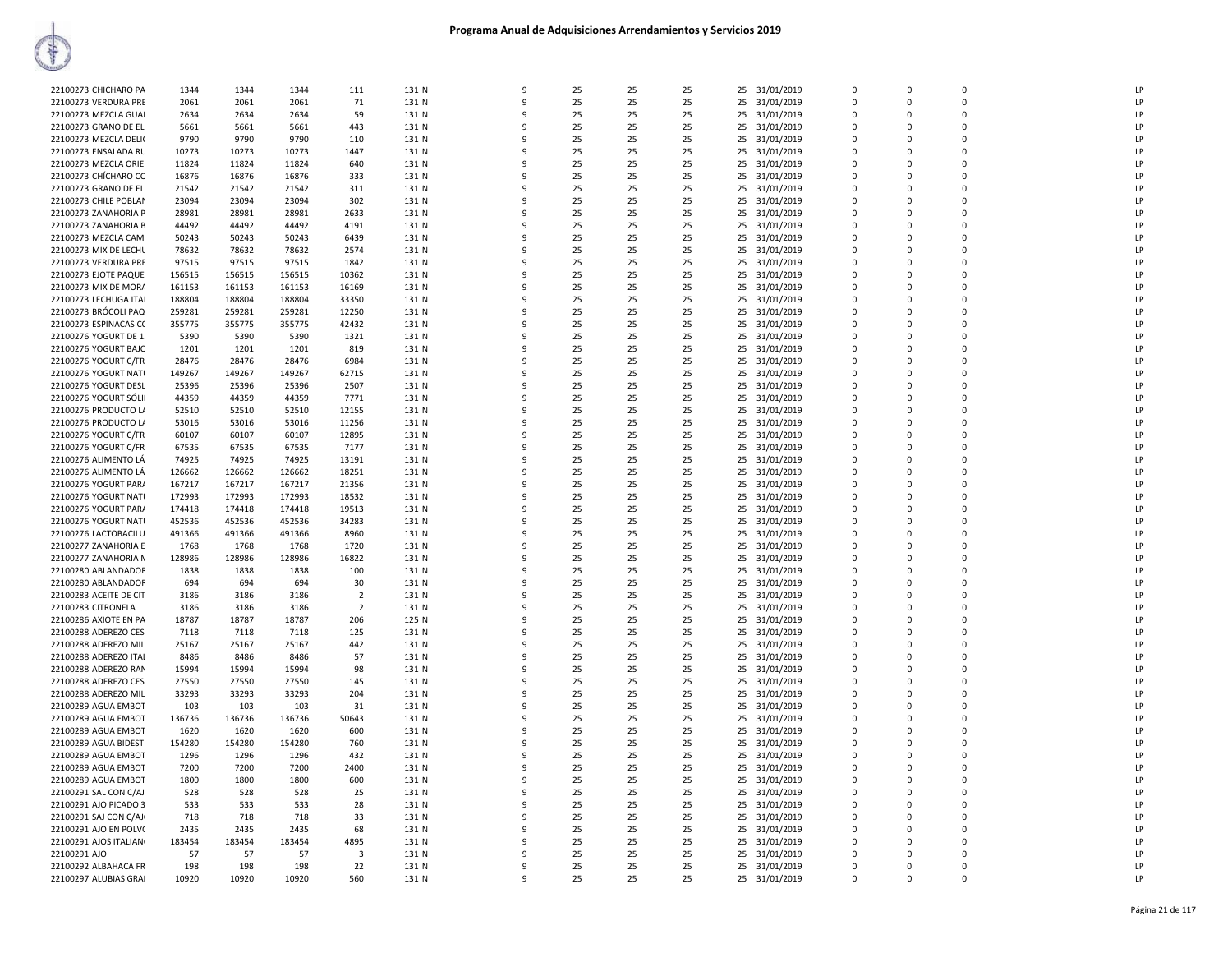| 22100273 CHICHARO PA   | 1344   | 1344   | 1344   | 111                     | 131 N | $\mathsf{q}$ | 25 | 25 | 25 |    | 25 31/01/2019 | $\Omega$    | $\Omega$    | $\Omega$ | LP           |
|------------------------|--------|--------|--------|-------------------------|-------|--------------|----|----|----|----|---------------|-------------|-------------|----------|--------------|
| 22100273 VERDURA PRE   | 2061   | 2061   | 2061   | 71                      | 131 N | 9            | 25 | 25 | 25 |    | 25 31/01/2019 | 0           | $\Omega$    | $\Omega$ | LP           |
|                        |        |        |        |                         |       |              |    |    |    |    |               |             |             |          |              |
| 22100273 MEZCLA GUAI   | 2634   | 2634   | 2634   | 59                      | 131 N | ٩            | 25 | 25 | 25 |    | 25 31/01/2019 | $\Omega$    | $\Omega$    |          | LP           |
| 22100273 GRANO DE EL   | 5661   | 5661   | 5661   | 443                     | 131 N | 9            | 25 | 25 | 25 |    | 25 31/01/2019 | $\Omega$    | $\Omega$    | $\Omega$ | LP           |
| 22100273 MEZCLA DELI(  | 9790   | 9790   | 9790   | 110                     | 131 N | q            | 25 | 25 | 25 |    | 25 31/01/2019 | 0           | $\Omega$    | $\Omega$ | LP           |
| 22100273 ENSALADA RU   | 10273  | 10273  | 10273  | 1447                    | 131 N | q            | 25 | 25 | 25 |    | 25 31/01/2019 | 0           | $\Omega$    | $\Omega$ | LP           |
| 22100273 MEZCLA ORIEI  | 11824  | 11824  | 11824  | 640                     | 131 N | ٠Q           | 25 | 25 | 25 |    | 25 31/01/2019 | 0           | $\Omega$    | $\Omega$ | LP           |
| 22100273 CHÍCHARO CO   | 16876  | 16876  | 16876  | 333                     | 131 N | ٩            | 25 | 25 | 25 |    | 25 31/01/2019 | $\Omega$    | $\Omega$    | $\Omega$ | LP           |
| 22100273 GRANO DE EL   | 21542  | 21542  | 21542  |                         | 131 N | 9            | 25 | 25 | 25 |    |               | $\Omega$    | $\Omega$    | $\Omega$ | LP           |
|                        |        |        |        | 311                     |       |              |    |    |    |    | 25 31/01/2019 |             |             |          |              |
| 22100273 CHILE POBLAN  | 23094  | 23094  | 23094  | 302                     | 131 N | ٩            | 25 | 25 | 25 |    | 25 31/01/2019 | $\Omega$    | $\Omega$    |          | LP           |
| 22100273 ZANAHORIA P   | 28981  | 28981  | 28981  | 2633                    | 131 N |              | 25 | 25 | 25 |    | 25 31/01/2019 | $\Omega$    | $\Omega$    |          | LP           |
| 22100273 ZANAHORIA B   | 44492  | 44492  | 44492  | 4191                    | 131 N | ٠Q           | 25 | 25 | 25 |    | 25 31/01/2019 | 0           | $\Omega$    | $\Omega$ | LP           |
| 22100273 MEZCLA CAM    | 50243  | 50243  | 50243  | 6439                    | 131 N |              | 25 | 25 | 25 |    | 25 31/01/2019 | $\Omega$    | $\Omega$    | $\Omega$ | $\mathsf{I}$ |
| 22100273 MIX DE LECHL  | 78632  | 78632  | 78632  | 2574                    | 131 N | ٠Q           | 25 | 25 | 25 |    | 25 31/01/2019 | $\Omega$    | $\Omega$    | $\Omega$ | LP           |
| 22100273 VERDURA PRE   | 97515  | 97515  | 97515  | 1842                    | 131 N | q            | 25 | 25 | 25 |    | 25 31/01/2019 | $\Omega$    | $\Omega$    | $\Omega$ | LP           |
| 22100273 EJOTE PAQUE   | 156515 | 156515 | 156515 | 10362                   | 131 N | 9            | 25 | 25 | 25 | 25 | 31/01/2019    | 0           | $\Omega$    | n        | LP           |
|                        |        |        |        |                         |       |              |    |    |    |    |               |             |             |          |              |
| 22100273 MIX DE MORA   | 161153 | 161153 | 161153 | 16169                   | 131 N | ٩            | 25 | 25 | 25 |    | 25 31/01/2019 | $\Omega$    | $\Omega$    |          | LP           |
| 22100273 LECHUGA ITAI  | 188804 | 188804 | 188804 | 33350                   | 131 N |              | 25 | 25 | 25 |    | 25 31/01/2019 | $\Omega$    | $\Omega$    |          | LP           |
| 22100273 BRÓCOLI PAQ   | 259281 | 259281 | 259281 | 12250                   | 131 N | ٩            | 25 | 25 | 25 |    | 25 31/01/2019 | 0           | $\Omega$    | $\Omega$ | LP           |
| 22100273 ESPINACAS CC  | 355775 | 355775 | 355775 | 42432                   | 131 N |              | 25 | 25 | 25 |    | 25 31/01/2019 | $\Omega$    | $\Omega$    | $\Omega$ | LP           |
| 22100276 YOGURT DE 1!  | 5390   | 5390   | 5390   | 1321                    | 131 N | q            | 25 | 25 | 25 |    | 25 31/01/2019 | 0           | $\Omega$    | $\Omega$ | LP           |
| 22100276 YOGURT BAJO   | 1201   | 1201   | 1201   | 819                     | 131 N | q            | 25 | 25 | 25 |    | 25 31/01/2019 | $\Omega$    | $\Omega$    | $\Omega$ | LP           |
|                        | 28476  |        |        |                         |       | 9            |    |    |    |    |               | 0           | $\Omega$    | n        | LP           |
| 22100276 YOGURT C/FR   |        | 28476  | 28476  | 6984                    | 131 N |              | 25 | 25 | 25 | 25 | 31/01/2019    |             |             |          |              |
| 22100276 YOGURT NATL   | 149267 | 149267 | 149267 | 62715                   | 131 N | q            | 25 | 25 | 25 |    | 25 31/01/2019 | $\Omega$    | $\Omega$    | $\Omega$ | LP           |
| 22100276 YOGURT DESL   | 25396  | 25396  | 25396  | 2507                    | 131 N |              | 25 | 25 | 25 |    | 25 31/01/2019 | 0           | $\Omega$    |          | LP           |
| 22100276 YOGURT SÓLII  | 44359  | 44359  | 44359  | 7771                    | 131 N | ٩            | 25 | 25 | 25 |    | 25 31/01/2019 | 0           | $\Omega$    | $\Omega$ | LP           |
| 22100276 PRODUCTO L/   | 52510  | 52510  | 52510  | 12155                   | 131 N |              | 25 | 25 | 25 |    | 25 31/01/2019 | $\Omega$    | $\Omega$    | $\Omega$ | LP           |
| 22100276 PRODUCTO L/   | 53016  | 53016  | 53016  | 11256                   | 131 N | q            | 25 | 25 | 25 |    | 25 31/01/2019 | 0           | $\Omega$    | $\Omega$ | LP           |
| 22100276 YOGURT C/FR   | 60107  | 60107  | 60107  | 12895                   | 131 N | q            | 25 | 25 | 25 |    | 25 31/01/2019 | $\Omega$    | $\Omega$    |          | LP           |
|                        |        |        |        |                         |       | 9            |    |    |    |    |               | 0           | $\Omega$    | n        | LP           |
| 22100276 YOGURT C/FR   | 67535  | 67535  | 67535  | 7177                    | 131 N |              | 25 | 25 | 25 | 25 | 31/01/2019    |             |             |          |              |
| 22100276 ALIMENTO LÁ   | 74925  | 74925  | 74925  | 13191                   | 131 N | c            | 25 | 25 | 25 |    | 25 31/01/2019 | $\Omega$    | $\Omega$    | $\Omega$ | LP           |
| 22100276 ALIMENTO LÁ   | 126662 | 126662 | 126662 | 18251                   | 131 N | c            | 25 | 25 | 25 |    | 25 31/01/2019 | 0           | $\Omega$    | n        | LP           |
| 22100276 YOGURT PAR/   | 167217 | 167217 | 167217 | 21356                   | 131 N | ٩            | 25 | 25 | 25 |    | 25 31/01/2019 | $\mathbf 0$ | $\Omega$    | $\Omega$ | LP           |
| 22100276 YOGURT NATI   | 172993 | 172993 | 172993 | 18532                   | 131 N | c            | 25 | 25 | 25 |    | 25 31/01/2019 | $\Omega$    | $\Omega$    | $\Omega$ | LP           |
| 22100276 YOGURT PAR/   | 174418 | 174418 | 174418 | 19513                   | 131 N | q            | 25 | 25 | 25 |    | 25 31/01/2019 | 0           | $\Omega$    | $\Omega$ | LP           |
| 22100276 YOGURT NATI   | 452536 | 452536 | 452536 | 34283                   | 131 N | q            | 25 | 25 | 25 |    | 25 31/01/2019 | $\Omega$    | $\Omega$    |          | LP           |
|                        |        |        |        |                         |       |              |    |    |    |    |               |             | $\Omega$    | n        | LP           |
| 22100276 LACTOBACILU   | 491366 | 491366 | 491366 | 8960                    | 131 N | 9            | 25 | 25 | 25 |    | 25 31/01/2019 | 0           |             |          |              |
| 22100277 ZANAHORIA E   | 1768   | 1768   | 1768   | 1720                    | 131 N | c            | 25 | 25 | 25 |    | 25 31/01/2019 | $\Omega$    | $\Omega$    | $\Omega$ | LP           |
| 22100277 ZANAHORIA N   | 128986 | 128986 | 128986 | 16822                   | 131 N | c            | 25 | 25 | 25 |    | 25 31/01/2019 | 0           | $\Omega$    | n        | LP           |
| 22100280 ABLANDADOR    | 1838   | 1838   | 1838   | 100                     | 131 N |              | 25 | 25 | 25 |    | 25 31/01/2019 | $\Omega$    | $\Omega$    | $\Omega$ | LP           |
| 22100280 ABLANDADOR    | 694    | 694    | 694    | 30                      | 131 N |              | 25 | 25 | 25 |    | 25 31/01/2019 | 0           | $\mathbf 0$ | $\Omega$ | LP           |
| 22100283 ACEITE DE CIT | 3186   | 3186   | 3186   | $\overline{2}$          | 131 N | $\Omega$     | 25 | 25 | 25 |    | 25 31/01/2019 | 0           | $\Omega$    | $\Omega$ | LP           |
| 22100283 CITRONELA     | 3186   | 3186   | 3186   | $\overline{2}$          | 131 N | q            | 25 | 25 | 25 |    | 25 31/01/2019 | $\Omega$    | $\Omega$    | $\Omega$ | LP           |
|                        |        |        |        |                         |       | 9            |    |    |    |    |               | 0           | $\Omega$    | $\Omega$ | LP           |
| 22100286 AXIOTE EN PA  | 18787  | 18787  | 18787  | 206                     | 125 N |              | 25 | 25 | 25 |    | 25 31/01/2019 |             |             |          |              |
| 22100288 ADEREZO CES   | 7118   | 7118   | 7118   | 125                     | 131 N | c            | 25 | 25 | 25 |    | 25 31/01/2019 | $\mathsf 0$ | $\Omega$    | $\Omega$ | LP           |
| 22100288 ADEREZO MIL   | 25167  | 25167  | 25167  | 442                     | 131 N | c            | 25 | 25 | 25 |    | 25 31/01/2019 | 0           | $\Omega$    | n        | LP           |
| 22100288 ADEREZO ITAL  | 8486   | 8486   | 8486   | 57                      | 131 N |              | 25 | 25 | 25 |    | 25 31/01/2019 | $\Omega$    | $\Omega$    | $\Omega$ | LP           |
| 22100288 ADEREZO RAN   | 15994  | 15994  | 15994  | 98                      | 131 N |              | 25 | 25 | 25 |    | 25 31/01/2019 | 0           | $\mathbf 0$ | $\Omega$ | LP           |
| 22100288 ADEREZO CES.  | 27550  | 27550  | 27550  | 145                     | 131 N | q            | 25 | 25 | 25 |    | 25 31/01/2019 | $\Omega$    | $\Omega$    | $\Omega$ | LP           |
| 22100288 ADEREZO MIL   | 33293  | 33293  | 33293  | 204                     | 131 N | q            | 25 | 25 | 25 |    | 25 31/01/2019 | $\mathbf 0$ | $\mathbf 0$ |          | LP           |
| 22100289 AGUA EMBOT    | 103    | 103    | 103    | 31                      | 131 N | 9            | 25 | 25 | 25 |    | 25 31/01/2019 | 0           | $\Omega$    | $\Omega$ | LP           |
|                        |        |        |        |                         |       | c            |    |    |    |    |               | $\Omega$    | $\Omega$    | $\Omega$ |              |
| 22100289 AGUA EMBOT    | 136736 | 136736 | 136736 | 50643                   | 131 N |              | 25 | 25 | 25 |    | 25 31/01/2019 |             |             |          | LP           |
| 22100289 AGUA EMBOT    | 1620   | 1620   | 1620   | 600                     | 131 N | c            | 25 | 25 | 25 |    | 25 31/01/2019 | 0           | $\Omega$    | n        | LP           |
| 22100289 AGUA BIDESTI  | 154280 | 154280 | 154280 | 760                     | 131 N |              | 25 | 25 | 25 |    | 25 31/01/2019 | $\Omega$    | $\Omega$    | $\Omega$ | LP           |
| 22100289 AGUA EMBOT    | 1296   | 1296   | 1296   | 432                     | 131 N |              | 25 | 25 | 25 |    | 25 31/01/2019 | 0           | $\mathbf 0$ | $\Omega$ | LP           |
| 22100289 AGUA EMBOT    | 7200   | 7200   | 7200   | 2400                    | 131 N | q            | 25 | 25 | 25 |    | 25 31/01/2019 | $\Omega$    | $\Omega$    | $\Omega$ | LP           |
| 22100289 AGUA EMBOT    | 1800   | 1800   | 1800   | 600                     | 131 N | q            | 25 | 25 | 25 |    | 25 31/01/2019 | 0           | $\Omega$    | $\Omega$ | LP           |
| 22100291 SAL CON C/AJ  | 528    | 528    | 528    | 25                      | 131 N | 9            | 25 | 25 | 25 |    | 25 31/01/2019 | 0           | $\Omega$    | $\Omega$ | LP           |
| 22100291 AJO PICADO 3  | 533    | 533    | 533    | 28                      | 131 N | q            | 25 | 25 | 25 |    |               | $\Omega$    | $\Omega$    | $\Omega$ | LP           |
|                        |        |        |        |                         |       |              |    |    |    |    | 25 31/01/2019 |             |             |          |              |
| 22100291 SAJ CON C/AJ( | 718    | 718    | 718    | 33                      | 131 N | ٩            | 25 | 25 | 25 |    | 25 31/01/2019 | 0           | $\Omega$    | $\Omega$ | LP           |
| 22100291 AJO EN POLVO  | 2435   | 2435   | 2435   | 68                      | 131 N |              | 25 | 25 | 25 |    | 25 31/01/2019 | $\Omega$    | $\Omega$    | $\Omega$ | LP           |
| 22100291 AJOS ITALIAN  | 183454 | 183454 | 183454 | 4895                    | 131 N |              | 25 | 25 | 25 |    | 25 31/01/2019 | 0           | $\mathbf 0$ | $\Omega$ | LP           |
| 22100291 AJO           | 57     | 57     | 57     | $\overline{\mathbf{3}}$ | 131 N | q            | 25 | 25 | 25 |    | 25 31/01/2019 | $\Omega$    | $\Omega$    | $\Omega$ | LP           |
| 22100292 ALBAHACA FR   | 198    | 198    | 198    | 22                      | 131 N |              | 25 | 25 | 25 |    | 25 31/01/2019 | 0           | $\Omega$    |          | LP           |
| 22100297 ALUBIAS GRAI  | 10920  | 10920  | 10920  | 560                     | 131 N | q            | 25 | 25 | 25 |    | 25 31/01/2019 | $\mathbf 0$ | $\Omega$    |          | LP           |
|                        |        |        |        |                         |       |              |    |    |    |    |               |             |             |          |              |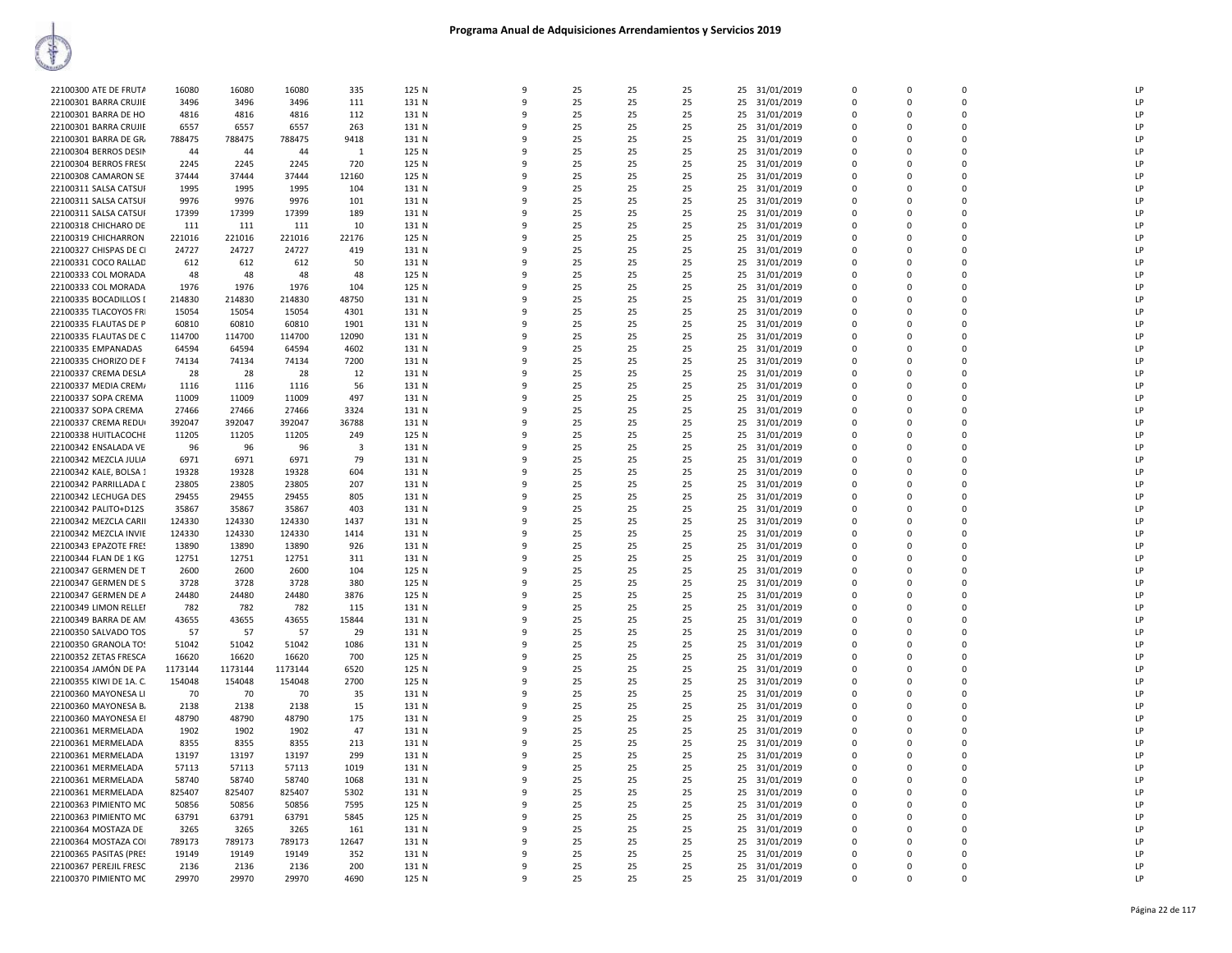| 22100300 ATE DE FRUTA   | 16080   | 16080   | 16080   | 335          | 125 N | 9            | 25       | 25 | 25 |    | 25 31/01/2019 | $\mathbf 0$    | $\mathbf 0$ | $\Omega$       | LP       |
|-------------------------|---------|---------|---------|--------------|-------|--------------|----------|----|----|----|---------------|----------------|-------------|----------------|----------|
| 22100301 BARRA CRUJIE   | 3496    | 3496    | 3496    | 111          | 131 N | q            | 25       | 25 | 25 | 25 | 31/01/2019    | $\mathbf 0$    | 0           | $\mathbf 0$    | LP       |
| 22100301 BARRA DE HO    | 4816    | 4816    | 4816    | 112          | 131 N | 9            | 25       | 25 | 25 | 25 | 31/01/2019    | 0              | 0           | $\Omega$       | LP       |
| 22100301 BARRA CRUJIE   | 6557    | 6557    | 6557    | 263          | 131 N | 9            | 25       | 25 | 25 | 25 | 31/01/2019    | $\Omega$       | $\Omega$    | $\Omega$       | LP       |
| 22100301 BARRA DE GR.   | 788475  | 788475  | 788475  | 9418         | 131 N | 9            | 25       | 25 | 25 | 25 | 31/01/2019    | 0              | 0           | $\Omega$       | LP       |
| 22100304 BERROS DESIN   | 44      | 44      | 44      | $\mathbf{1}$ | 125 N | 9            | 25       | 25 | 25 | 25 | 31/01/2019    | $\Omega$       | $\Omega$    | $\mathbf 0$    | LP       |
| 22100304 BERROS FRESO   | 2245    | 2245    | 2245    | 720          | 125 N | 9            | 25       | 25 | 25 | 25 | 31/01/2019    | 0              | 0           | $\overline{0}$ | LP       |
| 22100308 CAMARON SE     | 37444   | 37444   | 37444   | 12160        | 125 N | q            | 25       | 25 | 25 | 25 | 31/01/2019    | $\mathbf 0$    | $\Omega$    | $\Omega$       | LP       |
| 22100311 SALSA CATSUI   | 1995    | 1995    | 1995    | 104          | 131 N | q            | 25       | 25 | 25 | 25 | 31/01/2019    | $\Omega$       | $\Omega$    | $\Omega$       | LP       |
| 22100311 SALSA CATSUI   | 9976    | 9976    | 9976    | 101          | 131 N | 9            | 25       | 25 | 25 | 25 | 31/01/2019    | $\mathbf 0$    | $\mathbf 0$ | $\mathbf{0}$   | LP       |
| 22100311 SALSA CATSUI   | 17399   | 17399   | 17399   | 189          | 131 N | 9            | 25       | 25 | 25 | 25 | 31/01/2019    | $\Omega$       | $\Omega$    | $\Omega$       | LP       |
| 22100318 CHICHARO DE    | 111     | 111     | 111     | 10           | 131 N | 9            | 25       | 25 | 25 | 25 | 31/01/2019    | 0              | 0           | $\Omega$       | LP       |
| 22100319 CHICHARRON     | 221016  | 221016  | 221016  | 22176        | 125 N | q            | 25       | 25 | 25 | 25 |               | $\mathbf 0$    | 0           | $\mathbf{0}$   | LP       |
|                         |         |         |         |              |       | 9            |          |    |    |    | 31/01/2019    | $\Omega$       | $\Omega$    | $\Omega$       |          |
| 22100327 CHISPAS DE CI  | 24727   | 24727   | 24727   | 419          | 131 N | q            | 25       | 25 | 25 | 25 | 31/01/2019    |                |             | $\Omega$       | LP<br>LP |
| 22100331 COCO RALLAD    | 612     | 612     | 612     | 50           | 131 N |              | 25       | 25 | 25 | 25 | 31/01/2019    | $\Omega$       | $\Omega$    |                |          |
| 22100333 COL MORADA     | 48      | 48      | 48      | 48           | 125 N | 9            | 25       | 25 | 25 |    | 25 31/01/2019 | $\mathbf 0$    | $\Omega$    | $\mathbf 0$    | LP       |
| 22100333 COL MORADA     | 1976    | 1976    | 1976    | 104          | 125 N | 9            | 25       | 25 | 25 | 25 | 31/01/2019    | $\mathbf 0$    | 0           | $\overline{0}$ | LP       |
| 22100335 BOCADILLOS I   | 214830  | 214830  | 214830  | 48750        | 131 N | 9            | 25       | 25 | 25 | 25 | 31/01/2019    | $\Omega$       | $\Omega$    | $\Omega$       | LP       |
| 22100335 TLACOYOS FRI   | 15054   | 15054   | 15054   | 4301         | 131 N | q            | 25       | 25 | 25 | 25 | 31/01/2019    | 0              | 0           | $\mathbf 0$    | LP       |
| 22100335 FLAUTAS DE P   | 60810   | 60810   | 60810   | 1901         | 131 N | q            | 25       | 25 | 25 | 25 | 31/01/2019    | $\mathbf 0$    | $\Omega$    | $\Omega$       | LP       |
| 22100335 FLAUTAS DE C   | 114700  | 114700  | 114700  | 12090        | 131 N | 9            | 25       | 25 | 25 | 25 | 31/01/2019    | $\Omega$       | $\Omega$    | $\Omega$       | LP       |
| 22100335 EMPANADAS      | 64594   | 64594   | 64594   | 4602         | 131 N | q            | 25       | 25 | 25 | 25 | 31/01/2019    | 0              | O           | $\Omega$       | LP       |
| 22100335 CHORIZO DE F   | 74134   | 74134   | 74134   | 7200         | 131 N | 9            | 25       | 25 | 25 | 25 | 31/01/2019    | $\mathbf 0$    | 0           | $\mathbf 0$    | LP       |
| 22100337 CREMA DESLA    | 28      | 28      | 28      | 12           | 131 N | 9            | 25       | 25 | 25 | 25 | 31/01/2019    | 0              | 0           | $\overline{0}$ | LP       |
| 22100337 MEDIA CREM/    | 1116    | 1116    | 1116    | 56           | 131 N | $\mathbf{q}$ | 25       | 25 | 25 | 25 | 31/01/2019    | $\Omega$       | $\Omega$    | $\Omega$       | LP       |
| 22100337 SOPA CREMA     | 11009   | 11009   | 11009   | 497          | 131 N | 9            | 25       | 25 | 25 | 25 | 31/01/2019    | $\Omega$       | $\Omega$    | $\Omega$       | LP       |
| 22100337 SOPA CREMA     | 27466   | 27466   | 27466   | 3324         | 131 N | ٩            | 25       | 25 | 25 | 25 | 31/01/2019    | 0              | O           | $\mathbf{0}$   | LP       |
| 22100337 CREMA REDU     | 392047  | 392047  | 392047  | 36788        | 131 N | 9            | 25       | 25 | 25 | 25 | 31/01/2019    | $\Omega$       | $\Omega$    | $\Omega$       | LP       |
| 22100338 HUITLACOCHE    | 11205   | 11205   | 11205   | 249          | 125 N | q            | 25       | 25 | 25 | 25 | 31/01/2019    | $\mathbf 0$    | $\Omega$    | $\Omega$       | LP       |
| 22100342 ENSALADA VE    | 96      | 96      | 96      | 3            | 131 N | q            | 25       | 25 | 25 |    | 25 31/01/2019 | $\mathbf 0$    | 0           | $\mathbf 0$    | LP       |
|                         |         |         |         |              |       | 9            |          |    |    |    |               | $\mathbf 0$    | $\mathbf 0$ | $\Omega$       | LP       |
| 22100342 MEZCLA JULIA   | 6971    | 6971    | 6971    | 79<br>604    | 131 N | 9            | 25<br>25 | 25 | 25 | 25 | 31/01/2019    | $\Omega$       | $\Omega$    | $\Omega$       | LP       |
| 22100342 KALE, BOLSA 1  | 19328   | 19328   | 19328   |              | 131 N |              |          | 25 | 25 | 25 | 31/01/2019    |                |             |                |          |
| 22100342 PARRILLADA [   | 23805   | 23805   | 23805   | 207          | 131 N | ٩            | 25       | 25 | 25 | 25 | 31/01/2019    | $\Omega$       | $\Omega$    | $\Omega$       | LP       |
| 22100342 LECHUGA DES    | 29455   | 29455   | 29455   | 805          | 131 N | ٩            | 25       | 25 | 25 | 25 | 31/01/2019    | 0              | 0           | $\overline{0}$ | LP       |
| 22100342 PALITO+D12S    | 35867   | 35867   | 35867   | 403          | 131 N | 9            | 25       | 25 | 25 | 25 | 31/01/2019    | $\mathbf 0$    | $\Omega$    | $\mathbf{0}$   | LP       |
| 22100342 MEZCLA CARII   | 124330  | 124330  | 124330  | 1437         | 131 N | q            | 25       | 25 | 25 | 25 | 31/01/2019    | $\Omega$       | $\Omega$    | $\Omega$       | LP       |
| 22100342 MEZCLA INVIE   | 124330  | 124330  | 124330  | 1414         | 131 N | 9            | 25       | 25 | 25 | 25 | 31/01/2019    | $\Omega$       | $\Omega$    | $\Omega$       | LP       |
| 22100343 EPAZOTE FRES   | 13890   | 13890   | 13890   | 926          | 131 N | 9            | 25       | 25 | 25 | 25 | 31/01/2019    | $\mathbf 0$    | $\mathbf 0$ | $\mathbf{0}$   | LP       |
| 22100344 FLAN DE 1 KG   | 12751   | 12751   | 12751   | 311          | 131 N | 9            | 25       | 25 | 25 | 25 | 31/01/2019    | $\Omega$       | $\Omega$    | $\Omega$       | LP       |
| 22100347 GERMEN DE T    | 2600    | 2600    | 2600    | 104          | 125 N | 9            | 25       | 25 | 25 | 25 | 31/01/2019    | 0              | 0           | $\mathbf 0$    | LP       |
| 22100347 GERMEN DE S    | 3728    | 3728    | 3728    | 380          | 125 N | q            | 25       | 25 | 25 | 25 | 31/01/2019    | $\mathbf 0$    | 0           | $\overline{0}$ | LP       |
| 22100347 GERMEN DE A    | 24480   | 24480   | 24480   | 3876         | 125 N | q            | 25       | 25 | 25 | 25 | 31/01/2019    | $\Omega$       | $\Omega$    | $\Omega$       | LP       |
| 22100349 LIMON RELLEI   | 782     | 782     | 782     | 115          | 131 N | q            | 25       | 25 | 25 | 25 | 31/01/2019    | $\Omega$       | $\Omega$    | $\Omega$       | LP       |
| 22100349 BARRA DE AM    | 43655   | 43655   | 43655   | 15844        | 131 N | 9            | 25       | 25 | 25 | 25 | 31/01/2019    | $\Omega$       | $\Omega$    | $\Omega$       | LP       |
| 22100350 SALVADO TOS    | 57      | 57      | 57      | 29           | 131 N | 9            | 25       | 25 | 25 | 25 | 31/01/2019    | $\overline{0}$ | 0           | $\overline{0}$ | LP       |
| 22100350 GRANOLA TO:    | 51042   | 51042   | 51042   | 1086         | 131 N | 9            | 25       | 25 | 25 | 25 | 31/01/2019    | $\Omega$       | $\Omega$    | $\Omega$       | LP       |
| 22100352 ZETAS FRESCA   | 16620   | 16620   | 16620   | 700          | 125 N | 9            | 25       | 25 | 25 | 25 | 31/01/2019    | $\Omega$       | $\Omega$    | $\Omega$       | LP       |
| 22100354 JAMÓN DE PA    | 1173144 | 1173144 | 1173144 | 6520         | 125 N | q            | 25       | 25 | 25 | 25 | 31/01/2019    | $\mathbf 0$    | $\Omega$    | $\Omega$       | LP       |
| 22100355 KIWI DE 1A. C. | 154048  | 154048  | 154048  | 2700         | 125 N | 9            | 25       | 25 | 25 | 25 | 31/01/2019    | $\Omega$       | $\Omega$    | $\Omega$       | LP       |
| 22100360 MAYONESA LI    | 70      | 70      | 70      | 35           | 131 N | 9            | 25       | 25 | 25 | 25 | 31/01/2019    | $\Omega$       | $\Omega$    | $\Omega$       | LP       |
| 22100360 MAYONESA B     | 2138    | 2138    | 2138    | 15           | 131 N | 9            | 25       | 25 | 25 | 25 | 31/01/2019    | $\overline{0}$ | $\Omega$    | $\overline{0}$ | LP       |
| 22100360 MAYONESA EI    | 48790   | 48790   | 48790   | 175          | 131 N | 9            | 25       | 25 | 25 | 25 | 31/01/2019    | $\mathbf 0$    | 0           | $\overline{0}$ | LP       |
| 22100361 MERMELADA      | 1902    | 1902    | 1902    | 47           | 131 N | q            | 25       | 25 | 25 | 25 | 31/01/2019    | $\Omega$       | $\Omega$    | $\Omega$       | LP       |
| 22100361 MERMELADA      | 8355    | 8355    | 8355    | 213          | 131 N | 9            | 25       | 25 | 25 | 25 | 31/01/2019    | $\Omega$       | $\Omega$    | $\Omega$       | LP       |
| 22100361 MERMELADA      | 13197   | 13197   | 13197   | 299          | 131 N | ٩            | 25       | 25 | 25 | 25 | 31/01/2019    | 0              | O           | $\mathbf{0}$   | LP       |
| 22100361 MERMELADA      | 57113   | 57113   | 57113   | 1019         | 131 N | 9            | 25       | 25 | 25 | 25 | 31/01/2019    | $\mathbf 0$    | $\Omega$    | $\mathbf 0$    | LP       |
|                         |         |         |         |              |       | 9            | 25       |    |    |    |               | $\mathbf 0$    | 0           | $\Omega$       | LP       |
| 22100361 MERMELADA      | 58740   | 58740   | 58740   | 1068         | 131 N |              |          | 25 | 25 | 25 | 31/01/2019    |                |             |                |          |
| 22100361 MERMELADA      | 825407  | 825407  | 825407  | 5302         | 131 N | $\mathbf{q}$ | 25       | 25 | 25 | 25 | 31/01/2019    | 0              | $\mathbf 0$ | $\mathbf 0$    | LP       |
| 22100363 PIMIENTO MC    | 50856   | 50856   | 50856   | 7595         | 125 N | 9            | 25       | 25 | 25 | 25 | 31/01/2019    | $\Omega$       | $\Omega$    | $\Omega$       | LP       |
| 22100363 PIMIENTO MC    | 63791   | 63791   | 63791   | 5845         | 125 N | q            | 25       | 25 | 25 | 25 | 31/01/2019    | $\Omega$       | $\Omega$    | $\Omega$       | LP       |
| 22100364 MOSTAZA DE     | 3265    | 3265    | 3265    | 161          | 131 N | 9            | 25       | 25 | 25 | 25 | 31/01/2019    | $\Omega$       | $\Omega$    | $\Omega$       | LP       |
| 22100364 MOSTAZA COI    | 789173  | 789173  | 789173  | 12647        | 131 N | 9            | 25       | 25 | 25 | 25 | 31/01/2019    | $\mathbf 0$    | 0           | $\mathbf 0$    | LP       |
| 22100365 PASITAS (PRES  | 19149   | 19149   | 19149   | 352          | 131 N | q            | 25       | 25 | 25 | 25 | 31/01/2019    | $\mathbf 0$    | $\Omega$    | $\Omega$       | LP       |
| 22100367 PEREJIL FRESC  | 2136    | 2136    | 2136    | 200          | 131 N | q            | 25       | 25 | 25 | 25 | 31/01/2019    | $\Omega$       | $\Omega$    | $\Omega$       | LP       |
| 22100370 PIMIENTO MC    | 29970   | 29970   | 29970   | 4690         | 125 N | 9            | 25       | 25 | 25 |    | 25 31/01/2019 | $\Omega$       | $\Omega$    | $\Omega$       | LP       |
|                         |         |         |         |              |       |              |          |    |    |    |               |                |             |                |          |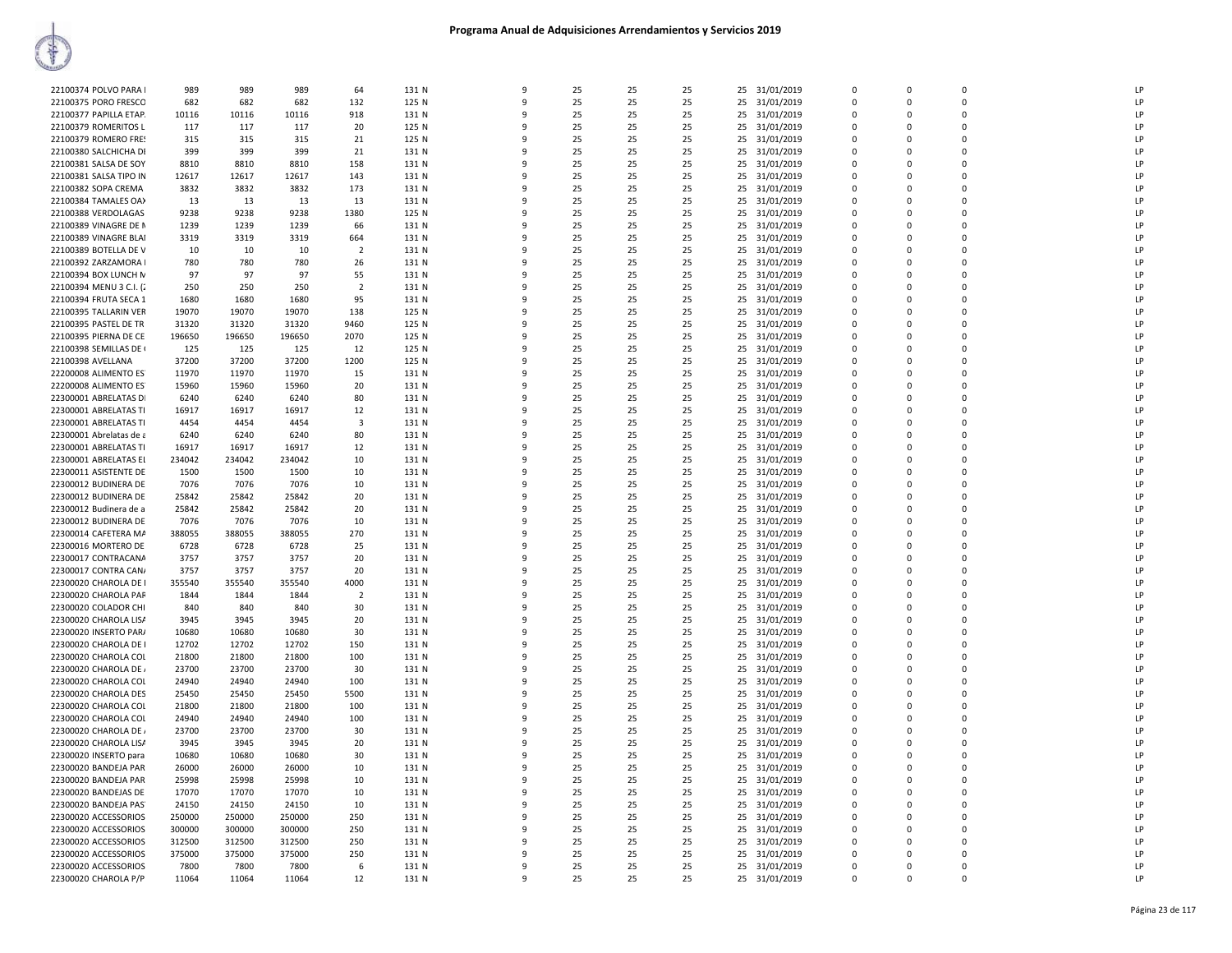| 22100374 POLVO PARA     | 989    | 989    | 989    | 64                      | 131 N | 9  | 25 | 25 | 25 | 25 |               | $\mathbf{0}$ | $\mathbf 0$  | $\mathbf 0$ | LP |
|-------------------------|--------|--------|--------|-------------------------|-------|----|----|----|----|----|---------------|--------------|--------------|-------------|----|
|                         |        |        |        |                         |       |    |    |    |    |    | 31/01/2019    |              |              |             |    |
| 22100375 PORO FRESCO    | 682    | 682    | 682    | 132                     | 125 N | q  | 25 | 25 | 25 | 25 | 31/01/2019    | $\Omega$     | $\Omega$     | $\Omega$    | LP |
| 22100377 PAPILLA ETAP   | 10116  | 10116  | 10116  | 918                     | 131 N |    | 25 | 25 | 25 | 25 | 31/01/2019    | $\Omega$     | $\Omega$     | $\Omega$    | LP |
| 22100379 ROMERITOS L    | 117    | 117    | 117    | 20                      | 125 N | q  | 25 | 25 | 25 | 25 | 31/01/2019    | $\Omega$     | $\Omega$     | $\Omega$    | LP |
| 22100379 ROMERO FRES    | 315    | 315    | 315    | 21                      | 125 N | q  | 25 | 25 | 25 | 25 | 31/01/2019    | $\Omega$     | $\Omega$     | $\Omega$    | LP |
|                         |        |        |        |                         |       |    |    |    |    |    |               |              |              |             |    |
| 22100380 SALCHICHA DI   | 399    | 399    | 399    | 21                      | 131 N | ٩  | 25 | 25 | 25 | 25 | 31/01/2019    | $\Omega$     | $\Omega$     | $\Omega$    | LP |
| 22100381 SALSA DE SOY   | 8810   | 8810   | 8810   | 158                     | 131 N |    | 25 | 25 | 25 | 25 | 31/01/2019    | $\Omega$     | $\Omega$     | $\Omega$    | LP |
| 22100381 SALSA TIPO IN  | 12617  | 12617  | 12617  | 143                     | 131 N | 9  | 25 | 25 | 25 | 25 | 31/01/2019    | $\mathbf 0$  | $\Omega$     | $\mathbf 0$ | LP |
| 22100382 SOPA CREMA     | 3832   | 3832   | 3832   | 173                     | 131 N | q  | 25 | 25 | 25 | 25 | 31/01/2019    | $\Omega$     | $\Omega$     | $\Omega$    | LP |
|                         |        |        |        |                         |       |    |    |    |    |    |               |              |              |             |    |
| 22100384 TAMALES OA)    | 13     | 13     | 13     | 13                      | 131 N |    | 25 | 25 | 25 | 25 | 31/01/2019    | $\mathbf 0$  | $\mathbf{0}$ | $\mathbf 0$ | LP |
| 22100388 VERDOLAGAS     | 9238   | 9238   | 9238   | 1380                    | 125 N |    | 25 | 25 | 25 | 25 | 31/01/2019    | $\Omega$     | $\Omega$     | $\mathbf 0$ | LP |
| 22100389 VINAGRE DE N   | 1239   | 1239   | 1239   | 66                      | 131 N |    | 25 | 25 | 25 | 25 | 31/01/2019    | $\mathbf{0}$ | 0            | $\mathbf 0$ | LP |
| 22100389 VINAGRE BLAI   | 3319   | 3319   | 3319   | 664                     | 131 N | q  | 25 | 25 | 25 | 25 | 31/01/2019    | $\Omega$     | $\Omega$     | $\Omega$    | LP |
|                         |        |        |        |                         |       |    |    |    |    |    |               |              |              |             |    |
| 22100389 BOTELLA DE V   | 10     | 10     | 10     | $\overline{2}$          | 131 N |    | 25 | 25 | 25 | 25 | 31/01/2019    | $\Omega$     | $\Omega$     | $\Omega$    | LP |
| 22100392 ZARZAMORA I    | 780    | 780    | 780    | 26                      | 131 N | ٩  | 25 | 25 | 25 | 25 | 31/01/2019    | $\Omega$     | $\Omega$     | $\Omega$    | LP |
| 22100394 BOX LUNCH N    | 97     | 97     | 97     | 55                      | 131 N | q  | 25 | 25 | 25 | 25 | 31/01/2019    | $\Omega$     | $\Omega$     | $\Omega$    | LP |
| 22100394 MENU 3 C.I. (2 | 250    | 250    | 250    | $\overline{2}$          | 131 N |    | 25 | 25 | 25 | 25 | 31/01/2019    | $\Omega$     | $\Omega$     | $\Omega$    | LP |
| 22100394 FRUTA SECA 1   | 1680   | 1680   | 1680   | 95                      | 131 N |    | 25 | 25 | 25 | 25 | 31/01/2019    | $\Omega$     | $\Omega$     | $\Omega$    | LP |
|                         |        |        |        |                         |       |    |    |    |    |    |               |              |              |             |    |
| 22100395 TALLARIN VER   | 19070  | 19070  | 19070  | 138                     | 125 N |    | 25 | 25 | 25 | 25 | 31/01/2019    | $\mathbf{0}$ | $\Omega$     | $\mathbf 0$ | LP |
| 22100395 PASTEL DE TR   | 31320  | 31320  | 31320  | 9460                    | 125 N | q  | 25 | 25 | 25 | 25 | 31/01/2019    | $\Omega$     | $\Omega$     | $\Omega$    | LP |
| 22100395 PIERNA DE CE   | 196650 | 196650 | 196650 | 2070                    | 125 N |    | 25 | 25 | 25 | 25 | 31/01/2019    | $\mathbf{0}$ | $\mathbf 0$  | $\mathbf 0$ | LP |
| 22100398 SEMILLAS DE    | 125    | 125    | 125    | 12                      | 125 N | ٩  | 25 | 25 | 25 | 25 | 31/01/2019    | $\Omega$     | $\Omega$     | $\Omega$    | LP |
|                         |        |        |        |                         |       |    |    |    |    |    |               |              |              |             |    |
| 22100398 AVELLANA       | 37200  | 37200  | 37200  | 1200                    | 125 N | q  | 25 | 25 | 25 | 25 | 31/01/2019    | $\Omega$     | $\Omega$     | $\Omega$    | LP |
| 22200008 ALIMENTO ES    | 11970  | 11970  | 11970  | 15                      | 131 N | q  | 25 | 25 | 25 | 25 | 31/01/2019    | $\Omega$     | $\Omega$     | $\Omega$    | LP |
| 22200008 ALIMENTO ES    | 15960  | 15960  | 15960  | 20                      | 131 N |    | 25 | 25 | 25 | 25 | 31/01/2019    | $\Omega$     | $\Omega$     | $\Omega$    | LP |
| 22300001 ABRELATAS DI   | 6240   | 6240   | 6240   | 80                      | 131 N | q  | 25 | 25 | 25 | 25 | 31/01/2019    | $\Omega$     | $\Omega$     | 0           | LP |
|                         |        |        |        |                         |       |    |    |    |    |    |               |              |              |             |    |
| 22300001 ABRELATAS TI   | 16917  | 16917  | 16917  | 12                      | 131 N | q  | 25 | 25 | 25 | 25 | 31/01/2019    | $\Omega$     | $\Omega$     | $\Omega$    | LP |
| 22300001 ABRELATAS TI   | 4454   | 4454   | 4454   | $\overline{\mathbf{3}}$ | 131 N |    | 25 | 25 | 25 | 25 | 31/01/2019    | $\Omega$     | $\Omega$     | $\mathbf 0$ | LP |
| 22300001 Abrelatas de a | 6240   | 6240   | 6240   | 80                      | 131 N | 9  | 25 | 25 | 25 | 25 | 31/01/2019    | $\Omega$     | $\Omega$     | $\Omega$    | LP |
| 22300001 ABRELATAS TI   | 16917  | 16917  | 16917  | 12                      | 131 N | 9  | 25 | 25 | 25 | 25 | 31/01/2019    | $\mathbf{0}$ | $\mathbf 0$  | $\mathbf 0$ | LP |
|                         |        |        |        |                         |       |    |    |    |    |    |               |              |              | $\Omega$    |    |
| 22300001 ABRELATAS EL   | 234042 | 234042 | 234042 | 10                      | 131 N | c  | 25 | 25 | 25 | 25 | 31/01/2019    | $\Omega$     | $\Omega$     |             | LP |
| 22300011 ASISTENTE DE   | 1500   | 1500   | 1500   | 10                      | 131 N |    | 25 | 25 | 25 | 25 | 31/01/2019    | $\Omega$     | $\Omega$     | $\Omega$    | LP |
| 22300012 BUDINERA DE    | 7076   | 7076   | 7076   | 10                      | 131 N |    | 25 | 25 | 25 | 25 | 31/01/2019    | $\Omega$     | $\Omega$     | $\Omega$    | LP |
| 22300012 BUDINERA DE    | 25842  | 25842  | 25842  | 20                      | 131 N | q  | 25 | 25 | 25 | 25 | 31/01/2019    | $\Omega$     | $\Omega$     | $\Omega$    | LP |
|                         |        |        |        |                         |       |    |    |    |    |    |               |              |              |             |    |
| 22300012 Budinera de a  | 25842  | 25842  | 25842  | 20                      | 131 N | q  | 25 | 25 | 25 | 25 | 31/01/2019    | $\Omega$     | $\Omega$     | $\Omega$    | LP |
| 22300012 BUDINERA DE    | 7076   | 7076   | 7076   | 10                      | 131 N | ٩  | 25 | 25 | 25 | 25 | 31/01/2019    | $\Omega$     | $\Omega$     | $\Omega$    | LP |
| 22300014 CAFETERA MA    | 388055 | 388055 | 388055 | 270                     | 131 N | -9 | 25 | 25 | 25 | 25 | 31/01/2019    | $\mathbf{0}$ | $\Omega$     | 0           | LP |
| 22300016 MORTERO DE     | 6728   | 6728   | 6728   | 25                      | 131 N | q  | 25 | 25 | 25 | 25 | 31/01/2019    | $\Omega$     | $\Omega$     | $\Omega$    | LP |
| 22300017 CONTRACANA     | 3757   | 3757   | 3757   | 20                      | 131 N |    | 25 | 25 | 25 | 25 |               | $\Omega$     | $\Omega$     | $\mathbf 0$ | LP |
|                         |        |        |        |                         |       |    |    |    |    |    | 31/01/2019    |              |              |             |    |
| 22300017 CONTRA CAN/    | 3757   | 3757   | 3757   | 20                      | 131 N |    | 25 | 25 | 25 | 25 | 31/01/2019    | $\Omega$     | $\Omega$     | $\Omega$    | LP |
| 22300020 CHAROLA DE I   | 355540 | 355540 | 355540 | 4000                    | 131 N |    | 25 | 25 | 25 | 25 | 31/01/2019    | $\mathbf{0}$ | 0            | $\mathbf 0$ | LP |
| 22300020 CHAROLA PAR    | 1844   | 1844   | 1844   | $\overline{2}$          | 131 N | q  | 25 | 25 | 25 | 25 | 31/01/2019    | $\Omega$     | $\Omega$     | $\mathbf 0$ | LP |
| 22300020 COLADOR CHI    | 840    | 840    | 840    | 30                      | 131 N | q  | 25 | 25 | 25 | 25 | 31/01/2019    | $\Omega$     | $\Omega$     | $\Omega$    | LP |
|                         |        |        |        |                         |       |    |    |    |    |    |               |              |              |             |    |
| 22300020 CHAROLA LISA   | 3945   | 3945   | 3945   | 20                      | 131 N | 9  | 25 | 25 | 25 | 25 | 31/01/2019    | $\Omega$     | $\Omega$     | $\Omega$    | LP |
| 22300020 INSERTO PAR/   | 10680  | 10680  | 10680  | 30                      | 131 N | q  | 25 | 25 | 25 | 25 | 31/01/2019    | $\Omega$     | $\Omega$     | $\Omega$    | LP |
| 22300020 CHAROLA DE I   | 12702  | 12702  | 12702  | 150                     | 131 N |    | 25 | 25 | 25 | 25 | 31/01/2019    | $\Omega$     | $\Omega$     | $\Omega$    | LP |
| 22300020 CHAROLA COI    | 21800  | 21800  | 21800  | 100                     | 131 N |    | 25 | 25 | 25 | 25 | 31/01/2019    | $\Omega$     | $\Omega$     | $\Omega$    | LP |
|                         |        |        |        |                         |       |    |    |    |    |    |               |              | $\Omega$     | $\mathbf 0$ |    |
| 22300020 CHAROLA DE     | 23700  | 23700  | 23700  | 30                      | 131 N |    | 25 | 25 | 25 | 25 | 31/01/2019    | $\mathbf{0}$ |              |             | LP |
| 22300020 CHAROLA COL    | 24940  | 24940  | 24940  | 100                     | 131 N | q  | 25 | 25 | 25 | 25 | 31/01/2019    | $\Omega$     | $\Omega$     | $\Omega$    | LP |
| 22300020 CHAROLA DES    | 25450  | 25450  | 25450  | 5500                    | 131 N | 9  | 25 | 25 | 25 | 25 | 31/01/2019    | $\Omega$     | $\Omega$     | $\Omega$    | LP |
| 22300020 CHAROLA COL    | 21800  | 21800  | 21800  | 100                     | 131 N | 9  | 25 | 25 | 25 | 25 | 31/01/2019    | $\mathbf{0}$ | $\Omega$     | $\mathbf 0$ | LP |
| 22300020 CHAROLA COL    | 24940  | 24940  | 24940  | 100                     | 131 N | q  | 25 | 25 | 25 | 25 |               | $\mathbf 0$  | $\Omega$     | $\mathbf 0$ | LP |
|                         |        |        |        |                         |       |    |    |    |    |    | 31/01/2019    |              |              |             |    |
| 22300020 CHAROLA DE     | 23700  | 23700  | 23700  | 30                      | 131 N | q  | 25 | 25 | 25 | 25 | 31/01/2019    | $\Omega$     | $\Omega$     | $\Omega$    | LP |
| 22300020 CHAROLA LISA   | 3945   | 3945   | 3945   | 20                      | 131 N |    | 25 | 25 | 25 | 25 | 31/01/2019    | $\Omega$     | $\Omega$     | $\Omega$    | LP |
| 22300020 INSERTO para   | 10680  | 10680  | 10680  | 30                      | 131 N |    | 25 | 25 | 25 | 25 | 31/01/2019    | $\Omega$     | $\Omega$     | 0           | LP |
| 22300020 BANDEJA PAR    | 26000  | 26000  | 26000  | 10                      | 131 N | q  | 25 | 25 | 25 | 25 | 31/01/2019    | $\Omega$     | $\Omega$     | $\Omega$    | LP |
|                         |        |        |        |                         |       |    |    |    |    |    |               |              |              |             |    |
| 22300020 BANDEJA PAR    | 25998  | 25998  | 25998  | 10                      | 131 N | -9 | 25 | 25 | 25 | 25 | 31/01/2019    | $\Omega$     | $\Omega$     | $\Omega$    | LP |
| 22300020 BANDEJAS DE    | 17070  | 17070  | 17070  | 10                      | 131 N | 9  | 25 | 25 | 25 | 25 | 31/01/2019    | $\Omega$     | $\Omega$     | $\mathbf 0$ | LP |
| 22300020 BANDEJA PAS    | 24150  | 24150  | 24150  | 10                      | 131 N | 9  | 25 | 25 | 25 | 25 | 31/01/2019    | $\Omega$     | $\Omega$     | $\Omega$    | LP |
| 22300020 ACCESSORIOS    | 250000 | 250000 | 250000 | 250                     | 131 N | q  | 25 | 25 | 25 | 25 | 31/01/2019    | $\Omega$     | $\Omega$     | $\Omega$    | LP |
|                         |        |        |        |                         |       |    |    |    |    |    |               | $\Omega$     |              |             | IP |
| 22300020 ACCESSORIOS    | 300000 | 300000 | 300000 | 250                     | 131 N |    | 25 | 25 | 25 | 25 | 31/01/2019    |              | $\Omega$     | $\mathbf 0$ |    |
| 22300020 ACCESSORIOS    | 312500 | 312500 | 312500 | 250                     | 131 N | q  | 25 | 25 | 25 | 25 | 31/01/2019    | $\mathbf{0}$ | $\Omega$     | 0           | LP |
| 22300020 ACCESSORIOS    | 375000 | 375000 | 375000 | 250                     | 131 N | q  | 25 | 25 | 25 | 25 | 31/01/2019    | $\Omega$     | $\Omega$     | $\Omega$    | LP |
| 22300020 ACCESSORIOS    | 7800   | 7800   | 7800   | 6                       | 131 N | ٩  | 25 | 25 | 25 | 25 | 31/01/2019    | $\Omega$     | $\Omega$     | $\Omega$    | LP |
| 22300020 CHAROLA P/P    | 11064  | 11064  | 11064  | 12                      | 131 N | q  | 25 | 25 | 25 |    | 25 31/01/2019 | $\Omega$     | $\Omega$     | $\Omega$    | LP |
|                         |        |        |        |                         |       |    |    |    |    |    |               |              |              |             |    |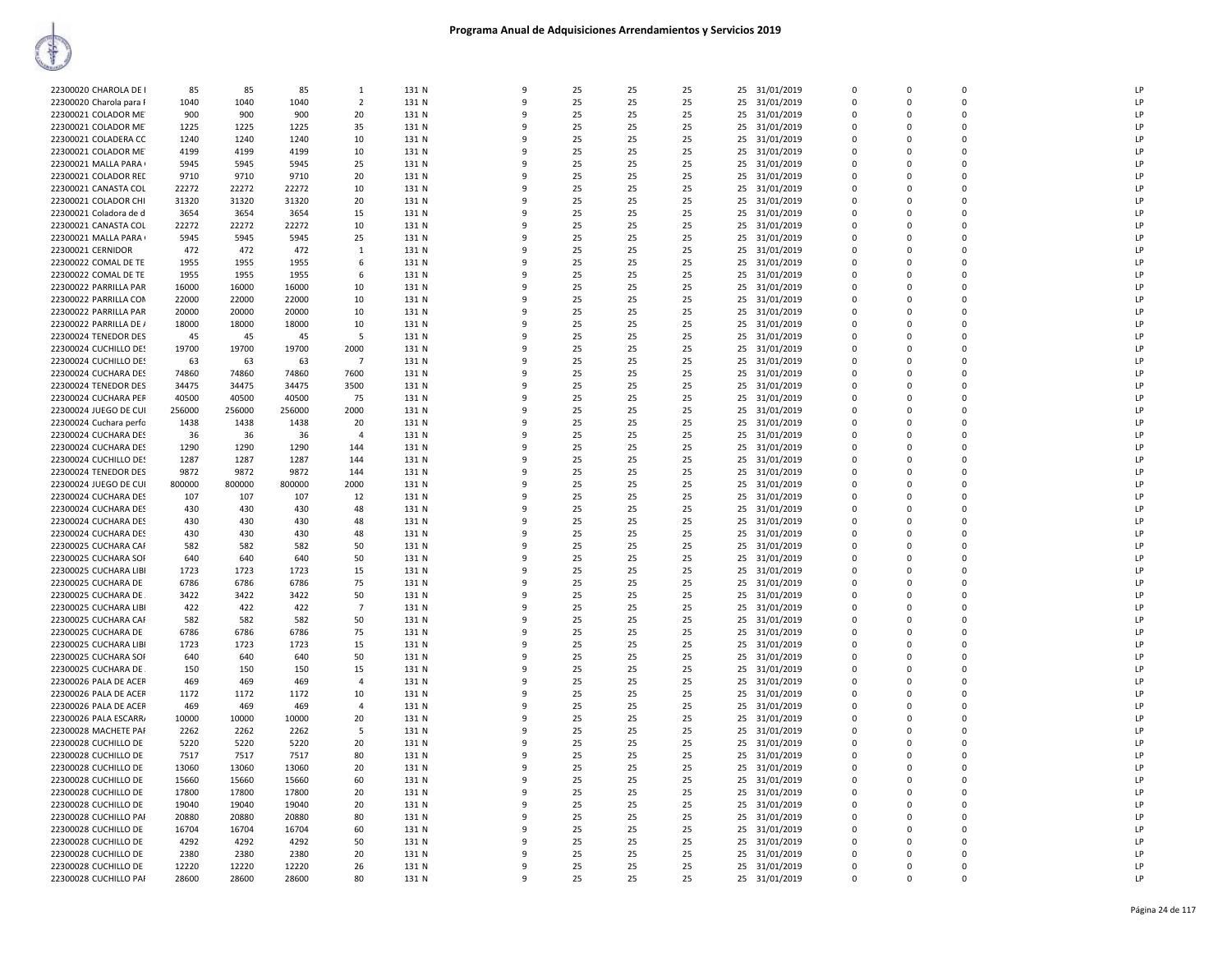| 22300020 CHAROLA DE I   | 85     | 85     | 85     | 1              | 131 N | 9            | 25 | 25 | 25 | 25 | 31/01/2019    | 0           | $\mathbf 0$ | $\mathbf 0$ | LP |
|-------------------------|--------|--------|--------|----------------|-------|--------------|----|----|----|----|---------------|-------------|-------------|-------------|----|
| 22300020 Charola para F | 1040   | 1040   | 1040   | $\overline{2}$ | 131 N | $\mathbf{q}$ | 25 | 25 | 25 | 25 | 31/01/2019    | $\mathbf 0$ | $\Omega$    | $\Omega$    | LP |
|                         |        |        |        |                |       |              | q  |    |    |    |               |             |             | $\Omega$    |    |
| 22300021 COLADOR ME     | 900    | 900    | 900    | 20             | 131 N |              | 25 | 25 | 25 | 25 | 31/01/2019    | $\Omega$    | $\Omega$    |             | LP |
| 22300021 COLADOR ME     | 1225   | 1225   | 1225   | 35             | 131 N |              | 25 | 25 | 25 | 25 | 31/01/2019    | $\Omega$    | n           | 0           | LP |
| 22300021 COLADERA CC    | 1240   | 1240   | 1240   | 10             | 131 N |              | 25 | 25 | 25 | 25 | 31/01/2019    | $\Omega$    | $\Omega$    | $\Omega$    | LP |
| 22300021 COLADOR ME     | 4199   | 4199   | 4199   | 10             | 131 N | ٩            | 25 | 25 | 25 | 25 | 31/01/2019    | $\Omega$    | n           | $\Omega$    | LP |
| 22300021 MALLA PARA     | 5945   | 5945   | 5945   | 25             | 131 N |              | 25 | 25 | 25 |    | 25 31/01/2019 | $\mathbf 0$ | $\Omega$    | 0           | LP |
| 22300021 COLADOR RED    | 9710   | 9710   | 9710   | 20             | 131 N | 9            | 25 | 25 | 25 | 25 | 31/01/2019    | $\mathbf 0$ | 0           | 0           | LP |
| 22300021 CANASTA COL    | 22272  | 22272  | 22272  | 10             | 131 N | $\mathsf{Q}$ | 25 | 25 | 25 | 25 | 31/01/2019    | $\Omega$    | $\Omega$    | $\Omega$    | LP |
| 22300021 COLADOR CHI    | 31320  | 31320  | 31320  | 20             | 131 N |              | 25 | 25 | 25 | 25 | 31/01/2019    | 0           | $\Omega$    | 0           | P  |
| 22300021 Coladora de d  | 3654   | 3654   | 3654   | 15             | 131 N |              | 25 | 25 | 25 | 25 | 31/01/2019    | $\Omega$    | n           | $\Omega$    | LP |
| 22300021 CANASTA COL    | 22272  | 22272  | 22272  | 10             | 131 N |              | 25 | 25 | 25 | 25 | 31/01/2019    | $\Omega$    |             | $\Omega$    | LP |
| 22300021 MALLA PARA     | 5945   | 5945   | 5945   | 25             | 131 N | ۰Q           | 25 | 25 | 25 | 25 |               | $\Omega$    | n           | $\Omega$    | P  |
|                         |        |        |        |                |       |              | 25 | 25 |    |    | 31/01/2019    | $\Omega$    | $\Omega$    | $\Omega$    | LP |
| 22300021 CERNIDOR       | 472    | 472    | 472    | 1              | 131 N |              |    |    | 25 | 25 | 31/01/2019    |             |             |             |    |
| 22300022 COMAL DE TE    | 1955   | 1955   | 1955   | 6              | 131 N | ٩            | 25 | 25 | 25 | 25 | 31/01/2019    | 0           | $\Omega$    | $\mathbf 0$ | LP |
| 22300022 COMAL DE TE    | 1955   | 1955   | 1955   | 6              | 131 N | 9            | 25 | 25 | 25 | 25 | 31/01/2019    | $\mathbf 0$ | $\Omega$    | 0           | LP |
| 22300022 PARRILLA PAR   | 16000  | 16000  | 16000  | 10             | 131 N |              | 25 | 25 | 25 | 25 | 31/01/2019    | $\mathbf 0$ | $\Omega$    | 0           | LP |
| 22300022 PARRILLA COM   | 22000  | 22000  | 22000  | 10             | 131 N |              | 25 | 25 | 25 | 25 | 31/01/2019    | $\Omega$    | $\Omega$    | 0           | LP |
| 22300022 PARRILLA PAR   | 20000  | 20000  | 20000  | 10             | 131 N |              | 25 | 25 | 25 | 25 | 31/01/2019    | 0           | $\Omega$    | 0           | LP |
| 22300022 PARRILLA DE /  | 18000  | 18000  | 18000  | 10             | 131 N | $\Omega$     | 25 | 25 | 25 | 25 | 31/01/2019    | $\Omega$    | n           | $\Omega$    | LP |
| 22300024 TENEDOR DES    | 45     | 45     | 45     | -5             | 131 N |              | 25 | 25 | 25 | 25 | 31/01/2019    | $\Omega$    | $\Omega$    | $\Omega$    | LP |
| 22300024 CUCHILLO DES   | 19700  | 19700  | 19700  | 2000           | 131 N | ٩            | 25 | 25 | 25 | 25 | 31/01/2019    | $\Omega$    | $\Omega$    | $\Omega$    | LP |
| 22300024 CUCHILLO DES   | 63     | 63     | 63     | $\overline{7}$ | 131 N | 9            | 25 | 25 | 25 | 25 | 31/01/2019    | $\Omega$    | $\Omega$    | $\Omega$    | LP |
| 22300024 CUCHARA DES    | 74860  | 74860  | 74860  | 7600           | 131 N |              | 25 | 25 | 25 |    | 31/01/2019    | $\Omega$    | n           | $\Omega$    | LP |
|                         |        |        |        |                |       |              |    |    |    | 25 |               |             |             |             |    |
| 22300024 TENEDOR DES    | 34475  | 34475  | 34475  | 3500           | 131 N |              | 25 | 25 | 25 | 25 | 31/01/2019    | $\Omega$    | n           | $\Omega$    | LP |
| 22300024 CUCHARA PER    | 40500  | 40500  | 40500  | 75             | 131 N |              | 25 | 25 | 25 | 25 | 31/01/2019    | 0           | $\Omega$    | 0           | LP |
| 22300024 JUEGO DE CUI   | 256000 | 256000 | 256000 | 2000           | 131 N | $\Omega$     | 25 | 25 | 25 | 25 | 31/01/2019    | $\Omega$    | $\Omega$    | $\Omega$    | LP |
| 22300024 Cuchara perfo  | 1438   | 1438   | 1438   | 20             | 131 N |              | 25 | 25 | 25 | 25 | 31/01/2019    | 0           | $\mathbf 0$ | 0           | LP |
| 22300024 CUCHARA DES    | 36     | 36     | 36     | $\mathbf{A}$   | 131 N | q            | 25 | 25 | 25 | 25 | 31/01/2019    | $\Omega$    | n           | $\Omega$    | LP |
| 22300024 CUCHARA DES    | 1290   | 1290   | 1290   | 144            | 131 N | 9            | 25 | 25 | 25 | 25 | 31/01/2019    | $\Omega$    | $\Omega$    | $\Omega$    | LP |
| 22300024 CUCHILLO DES   | 1287   | 1287   | 1287   | 144            | 131 N |              | 25 | 25 | 25 | 25 | 31/01/2019    | $\Omega$    | n           | $\Omega$    | LP |
| 22300024 TENEDOR DES    | 9872   | 9872   | 9872   | 144            | 131 N |              | 25 | 25 | 25 | 25 | 31/01/2019    | $\Omega$    | $\Omega$    | $\Omega$    | LP |
| 22300024 JUEGO DE CUI   | 800000 | 800000 | 800000 | 2000           | 131 N |              | 25 | 25 | 25 | 25 | 31/01/2019    | 0           | $\Omega$    | 0           | LP |
| 22300024 CUCHARA DES    | 107    | 107    | 107    | 12             | 131 N | $\mathbf{q}$ | 25 | 25 | 25 | 25 | 31/01/2019    | $\Omega$    | n           | $\Omega$    | LP |
| 22300024 CUCHARA DES    | 430    | 430    | 430    | 48             | 131 N | 9            | 25 | 25 | 25 | 25 |               | $\mathbf 0$ | $\Omega$    | 0           | LP |
|                         |        |        |        |                |       |              |    |    |    |    | 31/01/2019    |             |             |             |    |
| 22300024 CUCHARA DES    | 430    | 430    | 430    | 48             | 131 N | 9            | 25 | 25 | 25 | 25 | 31/01/2019    | $\Omega$    | $\Omega$    | 0           | LP |
| 22300024 CUCHARA DES    | 430    | 430    | 430    | 48             | 131 N | 9            | 25 | 25 | 25 | 25 | 31/01/2019    | 0           | $\mathbf 0$ | 0           | LP |
| 22300025 CUCHARA CAF    | 582    | 582    | 582    | 50             | 131 N | $\Omega$     | 25 | 25 | 25 | 25 | 31/01/2019    | $\Omega$    | n           | $\Omega$    | LP |
| 22300025 CUCHARA SOF    | 640    | 640    | 640    | 50             | 131 N |              | 25 | 25 | 25 | 25 | 31/01/2019    | $\Omega$    | $\Omega$    | $\Omega$    | LP |
| 22300025 CUCHARA LIBI   | 1723   | 1723   | 1723   | 15             | 131 N |              | 25 | 25 | 25 | 25 | 31/01/2019    | $\Omega$    | n           | 0           | LP |
| 22300025 CUCHARA DE     | 6786   | 6786   | 6786   | 75             | 131 N |              | 25 | 25 | 25 | 25 | 31/01/2019    | $\Omega$    |             | $\Omega$    | LP |
| 22300025 CUCHARA DE     | 3422   | 3422   | 3422   | 50             | 131 N |              | 25 | 25 | 25 | 25 | 31/01/2019    | 0           | $\Omega$    | $\Omega$    | LP |
| 22300025 CUCHARA LIBI   | 422    | 422    | 422    | $\overline{7}$ | 131 N | 9            | 25 | 25 | 25 | 25 | 31/01/2019    | $\Omega$    | $\Omega$    | $\Omega$    | LP |
| 22300025 CUCHARA CAF    | 582    | 582    | 582    | 50             | 131 N | 9            | 25 | 25 | 25 | 25 | 31/01/2019    | 0           | $\mathbf 0$ | 0           | LP |
| 22300025 CUCHARA DE     | 6786   | 6786   | 6786   | 75             | 131 N | $\Omega$     | 25 | 25 | 25 | 25 | 31/01/2019    | $\Omega$    | $\Omega$    | $\Omega$    | LP |
| 22300025 CUCHARA LIBI   | 1723   | 1723   | 1723   | 15             | 131 N |              | 25 | 25 | 25 | 25 | 31/01/2019    | 0           | $\mathbf 0$ | 0           | P  |
|                         | 640    | 640    | 640    | 50             | 131 N |              | 25 | 25 | 25 |    |               | $\Omega$    | n           | $\Omega$    | LP |
| 22300025 CUCHARA SOF    |        |        |        |                |       |              |    |    |    | 25 | 31/01/2019    |             |             |             |    |
| 22300025 CUCHARA DE.    | 150    | 150    | 150    | 15             | 131 N |              | 25 | 25 | 25 | 25 | 31/01/2019    | $\Omega$    |             | $\Omega$    | LP |
| 22300026 PALA DE ACER   | 469    | 469    | 469    | $\overline{4}$ | 131 N | ٩            | 25 | 25 | 25 | 25 | 31/01/2019    | $\Omega$    | n           | $\Omega$    | LP |
| 22300026 PALA DE ACER   | 1172   | 1172   | 1172   | 10             | 131 N | q            | 25 | 25 | 25 | 25 | 31/01/2019    | $\Omega$    | $\Omega$    | $\Omega$    | LP |
| 22300026 PALA DE ACER   | 469    | 469    | 469    | 4              | 131 N | 9            | 25 | 25 | 25 | 25 | 31/01/2019    | $\mathbf 0$ | $\Omega$    | 0           | LP |
| 22300026 PALA ESCARR    | 10000  | 10000  | 10000  | 20             | 131 N | $\mathsf{q}$ | 25 | 25 | 25 | 25 | 31/01/2019    | $\Omega$    | $\Omega$    | $\Omega$    | LP |
| 22300028 MACHETE PAF    | 2262   | 2262   | 2262   | -5             | 131 N |              | 25 | 25 | 25 | 25 | 31/01/2019    | $\mathbf 0$ | $\Omega$    | 0           | LP |
| 22300028 CUCHILLO DE    | 5220   | 5220   | 5220   | 20             | 131 N |              | 25 | 25 | 25 | 25 | 31/01/2019    | $\Omega$    | n           | $\mathbf 0$ | LP |
| 22300028 CUCHILLO DE    | 7517   | 7517   | 7517   | 80             | 131 N |              | 25 | 25 | 25 | 25 | 31/01/2019    | $\Omega$    |             | $\Omega$    | LP |
| 22300028 CUCHILLO DE    | 13060  | 13060  | 13060  | 20             | 131 N | q            | 25 | 25 | 25 | 25 | 31/01/2019    | $\Omega$    | n           | $\Omega$    | LP |
| 22300028 CUCHILLO DE    | 15660  | 15660  | 15660  | 60             | 131 N | 9            | 25 | 25 | 25 |    | 25 31/01/2019 | $\Omega$    | $\Omega$    | $\Omega$    | LP |
|                         |        |        |        |                |       | 9            |    |    |    |    |               | 0           | $\Omega$    | 0           | LP |
| 22300028 CUCHILLO DE    | 17800  | 17800  | 17800  | 20             | 131 N |              | 25 | 25 | 25 | 25 | 31/01/2019    |             |             |             |    |
| 22300028 CUCHILLO DE    | 19040  | 19040  | 19040  | 20             | 131 N | q            | 25 | 25 | 25 | 25 | 31/01/2019    | $\Omega$    | $\Omega$    | $\Omega$    | LP |
| 22300028 CUCHILLO PAR   | 20880  | 20880  | 20880  | 80             | 131 N | ٩            | 25 | 25 | 25 | 25 | 31/01/2019    | $\mathbf 0$ | $\Omega$    | 0           | LP |
| 22300028 CUCHILLO DE    | 16704  | 16704  | 16704  | 60             | 131 N | q            | 25 | 25 | 25 | 25 | 31/01/2019    | $\Omega$    | 0           | $\Omega$    | LP |
| 22300028 CUCHILLO DE    | 4292   | 4292   | 4292   | 50             | 131 N |              | 25 | 25 | 25 | 25 | 31/01/2019    | 0           |             | 0           | LP |
| 22300028 CUCHILLO DE    | 2380   | 2380   | 2380   | 20             | 131 N | $\Omega$     | 25 | 25 | 25 | 25 | 31/01/2019    | $\Omega$    | n           | $\Omega$    | P  |
| 22300028 CUCHILLO DE    | 12220  | 12220  | 12220  | 26             | 131 N |              | 25 | 25 | 25 | 25 | 31/01/2019    | $\Omega$    | $\Omega$    | $\Omega$    | LP |
| 22300028 CUCHILLO PAF   | 28600  | 28600  | 28600  | 80             | 131 N | q            | 25 | 25 | 25 | 25 | 31/01/2019    | $\Omega$    | $\Omega$    | $\Omega$    | LP |
|                         |        |        |        |                |       |              |    |    |    |    |               |             |             |             |    |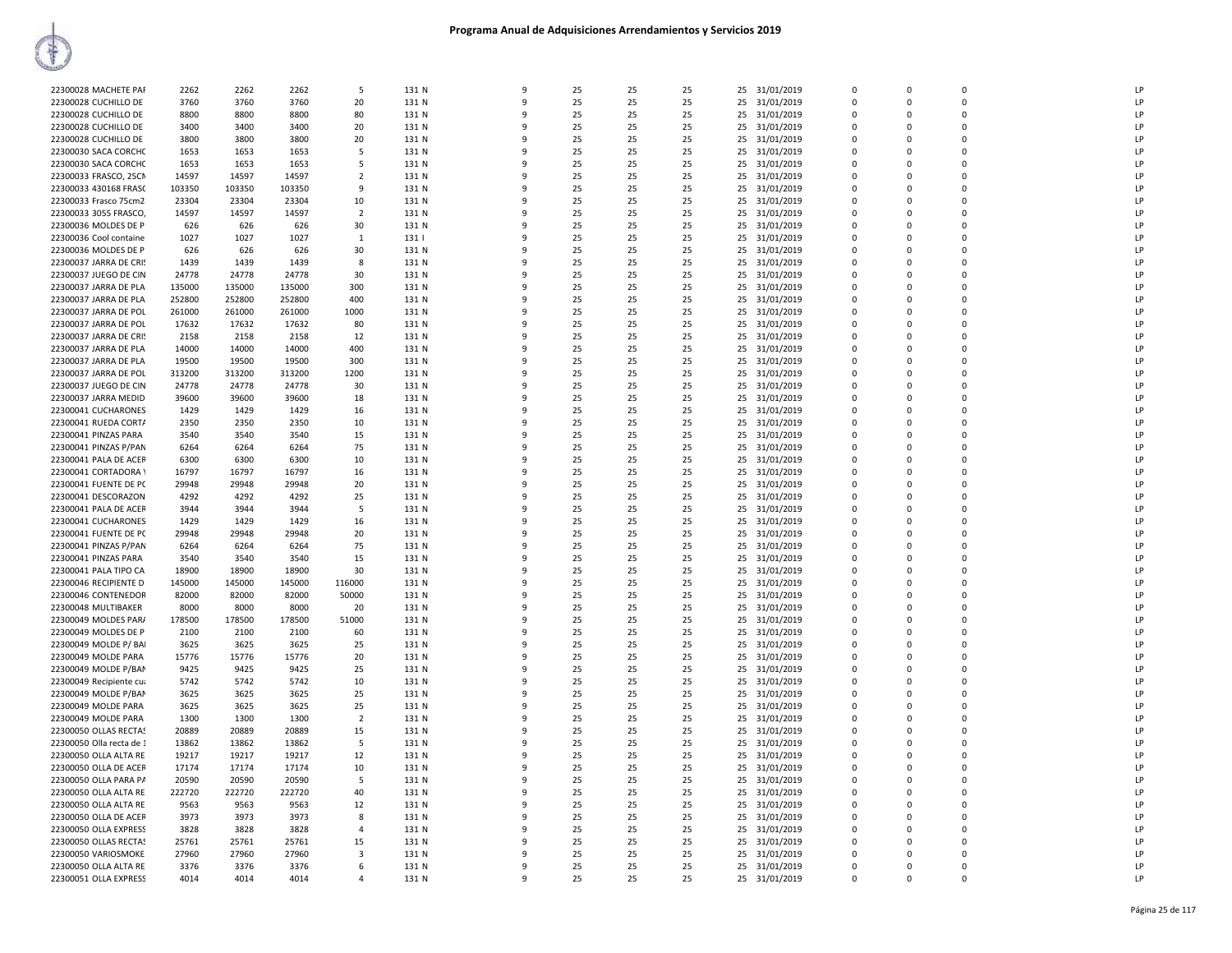|                          |        |        |        |                |       |              |    |    |    |                  |              |             |             | LP             |
|--------------------------|--------|--------|--------|----------------|-------|--------------|----|----|----|------------------|--------------|-------------|-------------|----------------|
| 22300028 MACHETE PAF     | 2262   | 2262   | 2262   | 5              | 131 N | 9            | 25 | 25 | 25 | 25<br>31/01/2019 | $\mathbf{0}$ | 0           | $\mathbf 0$ |                |
| 22300028 CUCHILLO DE     | 3760   | 3760   | 3760   | 20             | 131 N | $\mathbf{q}$ | 25 | 25 | 25 | 25<br>31/01/2019 | $\Omega$     | $\Omega$    | $\Omega$    | LP             |
| 22300028 CUCHILLO DE     | 8800   | 8800   | 8800   | 80             | 131 N |              | 25 | 25 | 25 | 25<br>31/01/2019 | $\mathbf 0$  | 0           | $\mathbf 0$ | LP             |
| 22300028 CUCHILLO DE     | 3400   | 3400   | 3400   | 20             | 131 N |              | 25 | 25 | 25 | 31/01/2019<br>25 | $\Omega$     | $\Omega$    | $\pmb{0}$   | LP             |
| 22300028 CUCHILLO DE     | 3800   | 3800   | 3800   | 20             | 131 N |              | 25 | 25 | 25 | 25<br>31/01/2019 | $\Omega$     | $\Omega$    | $\Omega$    | LP             |
|                          |        |        |        |                |       |              |    |    |    |                  | $\Omega$     |             | $\Omega$    |                |
| 22300030 SACA CORCHO     | 1653   | 1653   | 1653   | -5             | 131 N | ٩            | 25 | 25 | 25 | 31/01/2019<br>25 |              | $\Omega$    |             | LP             |
| 22300030 SACA CORCHO     | 1653   | 1653   | 1653   | 5              | 131 N |              | 25 | 25 | 25 | 31/01/2019<br>25 | $\Omega$     | $\Omega$    | $\Omega$    | LP             |
| 22300033 FRASCO, 25CM    | 14597  | 14597  | 14597  | $\overline{2}$ | 131 N | 9            | 25 | 25 | 25 | 25<br>31/01/2019 | $\mathbf{0}$ | $\Omega$    | $\mathbf 0$ | LP             |
| 22300033 430168 FRASC    | 103350 | 103350 | 103350 | 9              | 131 N | ٩            | 25 | 25 | 25 | 25<br>31/01/2019 | $\Omega$     | $\Omega$    | $\Omega$    | LP             |
| 22300033 Frasco 75cm2    | 23304  | 23304  | 23304  | 10             | 131 N |              | 25 | 25 | 25 | 25<br>31/01/2019 | $\Omega$     | $\Omega$    | $\mathbf 0$ | LP             |
|                          |        |        |        |                |       |              |    |    |    |                  | $\Omega$     |             | $\Omega$    | LP             |
| 22300033 3055 FRASCO,    | 14597  | 14597  | 14597  | $\overline{2}$ | 131 N |              | 25 | 25 | 25 | 31/01/2019<br>25 |              | $\Omega$    |             |                |
| 22300036 MOLDES DE P     | 626    | 626    | 626    | 30             | 131 N |              | 25 | 25 | 25 | 25<br>31/01/2019 | $\mathbf{0}$ | $\Omega$    | $\mathbf 0$ | LP             |
| 22300036 Cool containe   | 1027   | 1027   | 1027   | $\mathbf{1}$   | 131   | $\Omega$     | 25 | 25 | 25 | 25<br>31/01/2019 | $\Omega$     | $\Omega$    | $\Omega$    | LP             |
| 22300036 MOLDES DE P     | 626    | 626    | 626    | 30             | 131 N |              | 25 | 25 | 25 | 25<br>31/01/2019 | $\mathbf{0}$ | 0           | $\mathbf 0$ | LP             |
| 22300037 JARRA DE CRIS   | 1439   | 1439   | 1439   | 8              | 131 N | ٩            | 25 | 25 | 25 | 31/01/2019<br>25 | $\mathbf{0}$ | $\Omega$    | $\mathbf 0$ | LP             |
|                          |        |        |        |                |       | 9            |    |    |    |                  | $\Omega$     | $\Omega$    | $\Omega$    |                |
| 22300037 JUEGO DE CIN    | 24778  | 24778  | 24778  | 30             | 131 N |              | 25 | 25 | 25 | 31/01/2019<br>25 |              |             |             | LP             |
| 22300037 JARRA DE PLA    | 135000 | 135000 | 135000 | 300            | 131 N | ۰Q           | 25 | 25 | 25 | 25<br>31/01/2019 | $\Omega$     | $\Omega$    | $\mathbf 0$ | LP             |
| 22300037 JARRA DE PLA    | 252800 | 252800 | 252800 | 400            | 131 N |              | 25 | 25 | 25 | 25<br>31/01/2019 | $\Omega$     | $\Omega$    | $\Omega$    | LP             |
| 22300037 JARRA DE POL    | 261000 | 261000 | 261000 | 1000           | 131 N |              | 25 | 25 | 25 | 25<br>31/01/2019 | $\Omega$     | $\Omega$    | 0           | LP             |
| 22300037 JARRA DE POL    | 17632  | 17632  | 17632  | 80             | 131 N | $\mathbf{q}$ | 25 | 25 | 25 | 25<br>31/01/2019 | $\Omega$     | $\Omega$    | $\Omega$    | LP             |
|                          |        |        |        |                |       |              |    |    |    |                  | $\Omega$     | $\Omega$    | $\Omega$    | LP             |
| 22300037 JARRA DE CRIS   | 2158   | 2158   | 2158   | 12             | 131 N |              | 25 | 25 | 25 | 25<br>31/01/2019 |              |             |             |                |
| 22300037 JARRA DE PLA    | 14000  | 14000  | 14000  | 400            | 131 N | ٩            | 25 | 25 | 25 | 31/01/2019<br>25 | $\Omega$     | $\Omega$    | $\Omega$    | LP             |
| 22300037 JARRA DE PLA    | 19500  | 19500  | 19500  | 300            | 131 N | 9            | 25 | 25 | 25 | 25<br>31/01/2019 | $\mathbf 0$  | $\Omega$    | $\mathbf 0$ | LP             |
| 22300037 JARRA DE POL    | 313200 | 313200 | 313200 | 1200           | 131 N | $\mathbf{q}$ | 25 | 25 | 25 | 25<br>31/01/2019 | $\Omega$     | $\Omega$    | $\Omega$    | LP             |
| 22300037 JUEGO DE CIN    | 24778  | 24778  | 24778  | 30             | 131 N |              | 25 | 25 | 25 | 25<br>31/01/2019 | $\Omega$     | $\Omega$    | $\Omega$    | LP             |
|                          |        |        |        |                |       |              |    |    |    |                  | $\Omega$     | $\Omega$    | $\mathbf 0$ | LP             |
| 22300037 JARRA MEDID     | 39600  | 39600  | 39600  | 18             | 131 N |              | 25 | 25 | 25 | 31/01/2019<br>25 |              |             |             |                |
| 22300041 CUCHARONES      | 1429   | 1429   | 1429   | 16             | 131 N | 9            | 25 | 25 | 25 | 25<br>31/01/2019 | $\Omega$     | $\Omega$    | $\mathbf 0$ | LP             |
| 22300041 RUEDA CORT/     | 2350   | 2350   | 2350   | 10             | 131 N | ۰Q           | 25 | 25 | 25 | 31/01/2019<br>25 | $\Omega$     | $\Omega$    | $\mathbf 0$ | LP             |
| 22300041 PINZAS PARA     | 3540   | 3540   | 3540   | 15             | 131 N | $\mathbf{q}$ | 25 | 25 | 25 | 25<br>31/01/2019 | $\mathbf 0$  | $\Omega$    | $\mathbf 0$ | LP             |
| 22300041 PINZAS P/PAN    | 6264   | 6264   | 6264   | 75             | 131 N | ٩            | 25 | 25 | 25 | 25<br>31/01/2019 | $\Omega$     | $\Omega$    | $\Omega$    | LP             |
| 22300041 PALA DE ACER    | 6300   | 6300   | 6300   | 10             | 131 N | $\mathbf{q}$ | 25 | 25 | 25 | 25<br>31/01/2019 | $\Omega$     | $\Omega$    | $\Omega$    | LP             |
| 22300041 CORTADORA \     | 16797  | 16797  | 16797  | 16             | 131 N | ۰Q           | 25 | 25 | 25 | 25<br>31/01/2019 | $\Omega$     | $\Omega$    | $\Omega$    | LP             |
|                          |        |        |        |                |       |              |    |    |    |                  |              |             |             |                |
| 22300041 FUENTE DE PC    | 29948  | 29948  | 29948  | 20             | 131 N |              | 25 | 25 | 25 | 31/01/2019<br>25 | $\Omega$     | $\Omega$    | $\Omega$    | LP             |
| 22300041 DESCORAZON      | 4292   | 4292   | 4292   | 25             | 131 N |              | 25 | 25 | 25 | 25<br>31/01/2019 | $\Omega$     | $\Omega$    | $\Omega$    | LP             |
| 22300041 PALA DE ACER    | 3944   | 3944   | 3944   | 5              | 131 N |              | 25 | 25 | 25 | 31/01/2019<br>25 | $\Omega$     | $\Omega$    | $\Omega$    | I <sub>P</sub> |
| 22300041 CUCHARONES      | 1429   | 1429   | 1429   | 16             | 131 N |              | 25 | 25 | 25 | 25<br>31/01/2019 | $\Omega$     | $\Omega$    | $\Omega$    | LP             |
| 22300041 FUENTE DE PC    | 29948  | 29948  | 29948  | 20             | 131 N | ٩            | 25 | 25 | 25 | 31/01/2019<br>25 | $\Omega$     | $\Omega$    | $\mathbf 0$ | LP             |
| 22300041 PINZAS P/PAN    | 6264   | 6264   | 6264   | 75             | 131 N | 9            | 25 | 25 | 25 | 25<br>31/01/2019 | $\Omega$     | $\Omega$    | $\Omega$    | LP             |
|                          |        |        |        |                |       |              |    |    |    |                  |              |             | $\Omega$    |                |
| 22300041 PINZAS PARA     | 3540   | 3540   | 3540   | 15             | 131 N | ٩            | 25 | 25 | 25 | 25<br>31/01/2019 | $\Omega$     | $\Omega$    |             | LP             |
| 22300041 PALA TIPO CA    | 18900  | 18900  | 18900  | 30             | 131 N |              | 25 | 25 | 25 | 25<br>31/01/2019 | $\Omega$     | $\Omega$    | $\mathbf 0$ | LP             |
| 22300046 RECIPIENTE D    | 145000 | 145000 | 145000 | 116000         | 131 N |              | 25 | 25 | 25 | 25<br>31/01/2019 | $\Omega$     | $\Omega$    | 0           | LP             |
| 22300046 CONTENEDOR      | 82000  | 82000  | 82000  | 50000          | 131 N | $\alpha$     | 25 | 25 | 25 | 25<br>31/01/2019 | $\Omega$     | $\Omega$    | $\Omega$    | LP             |
| 22300048 MULTIBAKER      | 8000   | 8000   | 8000   | 20             | 131 N |              | 25 | 25 | 25 | 25<br>31/01/2019 | $\mathbf{0}$ | 0           | $\mathbf 0$ | LP             |
| 22300049 MOLDES PAR/     | 178500 | 178500 | 178500 | 51000          | 131 N | ٩            | 25 | 25 | 25 | 31/01/2019<br>25 | $\Omega$     | $\Omega$    | $\Omega$    | LP             |
|                          |        |        |        |                |       |              |    |    |    |                  |              |             |             |                |
| 22300049 MOLDES DE P     | 2100   | 2100   | 2100   | 60             | 131 N | 9            | 25 | 25 | 25 | 25<br>31/01/2019 | $\Omega$     | $\Omega$    | $\Omega$    | LP             |
| 22300049 MOLDE P/ BAI    | 3625   | 3625   | 3625   | 25             | 131 N |              | 25 | 25 | 25 | 25<br>31/01/2019 | $\Omega$     | $\Omega$    | $\Omega$    | LP             |
| 22300049 MOLDE PARA      | 15776  | 15776  | 15776  | 20             | 131 N |              | 25 | 25 | 25 | 25<br>31/01/2019 | $\Omega$     | $\Omega$    | $\Omega$    | LP             |
| 22300049 MOLDE P/BAN     | 9425   | 9425   | 9425   | 25             | 131 N |              | 25 | 25 | 25 | 25<br>31/01/2019 | $\Omega$     | $\Omega$    | 0           | I <sub>P</sub> |
| 22300049 Recipiente cua  | 5742   | 5742   | 5742   | 10             | 131 N |              | 25 | 25 | 25 | 25<br>31/01/2019 | $\Omega$     | $\Omega$    | $\Omega$    | LP             |
|                          |        |        |        |                |       |              | 25 | 25 |    |                  | $\Omega$     |             | $\Omega$    | LP             |
| 22300049 MOLDE P/BAN     | 3625   | 3625   | 3625   | 25             | 131 N |              |    |    | 25 | 25<br>31/01/2019 |              | $\Omega$    |             |                |
| 22300049 MOLDE PARA      | 3625   | 3625   | 3625   | 25             | 131 N | 9            | 25 | 25 | 25 | 31/01/2019<br>25 | $\Omega$     | $\Omega$    | $\Omega$    | LP             |
| 22300049 MOLDE PARA      | 1300   | 1300   | 1300   | $\overline{2}$ | 131 N | 9            | 25 | 25 | 25 | 25<br>31/01/2019 | $\mathbf 0$  | 0           | $\mathbf 0$ | LP             |
| 22300050 OLLAS RECTAS    | 20889  | 20889  | 20889  | 15             | 131 N | $\mathbf{q}$ | 25 | 25 | 25 | 25<br>31/01/2019 | $\Omega$     | $\Omega$    | $\Omega$    | LP             |
| 22300050 Olla recta de 1 | 13862  | 13862  | 13862  | -5             | 131 N |              | 25 | 25 | 25 | 25<br>31/01/2019 | $\Omega$     | $\Omega$    | $\mathbf 0$ | LP             |
| 22300050 OLLA ALTA RE    | 19217  | 19217  | 19217  | 12             | 131 N |              | 25 | 25 | 25 | 25<br>31/01/2019 | $\Omega$     | $\Omega$    | $\mathbf 0$ | LP             |
|                          |        |        | 17174  |                |       |              |    |    |    |                  | $\mathbf{0}$ | $\mathbf 0$ | $\mathbf 0$ | LP             |
| 22300050 OLLA DE ACER    | 17174  | 17174  |        | 10             | 131 N |              | 25 | 25 | 25 | 25<br>31/01/2019 |              |             |             |                |
| 22300050 OLLA PARA PA    | 20590  | 20590  | 20590  | -5             | 131 N | ٩            | 25 | 25 | 25 | 31/01/2019<br>25 | $\Omega$     | $\Omega$    | $\Omega$    | I <sub>P</sub> |
| 22300050 OLLA ALTA RE    | 222720 | 222720 | 222720 | 40             | 131 N | $\mathbf{q}$ | 25 | 25 | 25 | 25<br>31/01/2019 | $\mathbf 0$  | $\Omega$    | 0           | LP             |
| 22300050 OLLA ALTA RE    | 9563   | 9563   | 9563   | 12             | 131 N | 9            | 25 | 25 | 25 | 25<br>31/01/2019 | $\Omega$     | $\Omega$    | 0           | LP             |
| 22300050 OLLA DE ACER    | 3973   | 3973   | 3973   | 8              | 131 N | $\mathbf{q}$ | 25 | 25 | 25 | 25<br>31/01/2019 | $\Omega$     | $\Omega$    | $\Omega$    | LP             |
| 22300050 OLLA EXPRESS    | 3828   | 3828   | 3828   | 4              | 131 N |              | 25 | 25 | 25 | 25<br>31/01/2019 | $\Omega$     | $\Omega$    | $\Omega$    | LP             |
| 22300050 OLLAS RECTAS    | 25761  | 25761  | 25761  | 15             | 131 N |              | 25 | 25 | 25 | 31/01/2019<br>25 | $\Omega$     | $\Omega$    | $\Omega$    | LP             |
|                          |        |        |        |                |       |              |    |    |    |                  |              |             |             |                |
| 22300050 VARIOSMOKE      | 27960  | 27960  | 27960  | 3              | 131 N |              | 25 | 25 | 25 | 25<br>31/01/2019 | $\Omega$     | $\Omega$    | 0           | LP             |
| 22300050 OLLA ALTA RE    | 3376   | 3376   | 3376   | -6             | 131 N | ٩            | 25 | 25 | 25 | 25<br>31/01/2019 | $\Omega$     | $\Omega$    | $\Omega$    | LP             |
| 22300051 OLLA EXPRESS    | 4014   | 4014   | 4014   | 4              | 131 N | 9            | 25 | 25 | 25 | 25 31/01/2019    | $\Omega$     | $\Omega$    | $\Omega$    | LP             |
|                          |        |        |        |                |       |              |    |    |    |                  |              |             |             |                |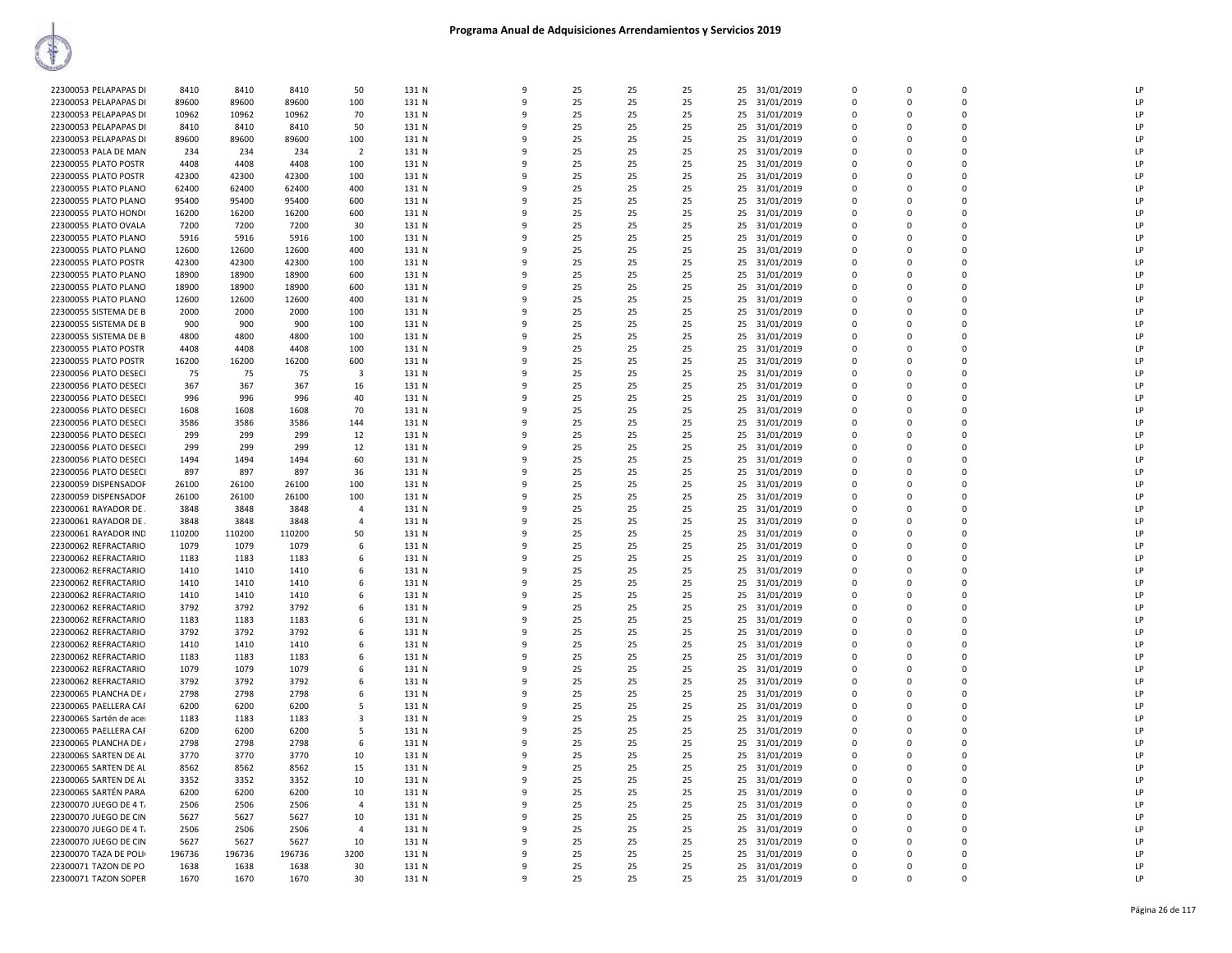| 22300053 PELAPAPAS DI<br>22300053 PELAPAPAS DI<br>22300053 PELAPAPAS DI |              |              |        |                |                |              |    |          |    |                                   |                |             |              |    |
|-------------------------------------------------------------------------|--------------|--------------|--------|----------------|----------------|--------------|----|----------|----|-----------------------------------|----------------|-------------|--------------|----|
|                                                                         | 8410         | 8410         | 8410   | 50             | 131 N          | $\mathbf{q}$ | 25 | 25       | 25 | 25 31/01/2019                     | $\Omega$       | $\Omega$    | $\Omega$     | LP |
|                                                                         | 89600        | 89600        | 89600  | 100            | 131 N          | 9            | 25 | 25       | 25 | 25<br>31/01/2019                  | $\mathbf 0$    | $\Omega$    | $\Omega$     | LP |
|                                                                         |              |              |        |                |                |              |    |          |    |                                   |                |             |              |    |
|                                                                         | 10962        | 10962        | 10962  | 70             | 131 N          | q            | 25 | 25       | 25 | 31/01/2019<br>25                  | $\Omega$       | $\Omega$    | $\Omega$     | LP |
| 22300053 PELAPAPAS DI                                                   | 8410         | 8410         | 8410   | 50             | 131 N          |              | 25 | 25       | 25 | 25<br>31/01/2019                  | $\Omega$       | $\Omega$    | $\Omega$     | LP |
|                                                                         |              |              |        |                |                | Q            |    |          | 25 |                                   | $\mathbf 0$    | $\Omega$    | $\mathbf{0}$ | LP |
| 22300053 PELAPAPAS DI                                                   | 89600        | 89600        | 89600  | 100            | 131 N          |              | 25 | 25       |    | 31/01/2019<br>25                  |                |             |              |    |
| 22300053 PALA DE MAN                                                    | 234          | 234          | 234    | $\overline{2}$ | 131 N          | $\mathbf{q}$ | 25 | 25       | 25 | 25 31/01/2019                     | $\overline{0}$ | $\Omega$    | $\Omega$     | LP |
| 22300055 PLATO POSTR                                                    | 4408         | 4408         | 4408   | 100            | 131 N          | ۹            | 25 | 25       | 25 | 25 31/01/2019                     | $\Omega$       | $\Omega$    | $\Omega$     | LP |
|                                                                         |              |              |        |                |                |              |    |          |    |                                   |                |             |              |    |
| 22300055 PLATO POSTR                                                    | 42300        | 42300        | 42300  | 100            | 131 N          | q            | 25 | 25       | 25 | 31/01/2019<br>25                  | 0              | $\Omega$    | $\Omega$     | LP |
| 22300055 PLATO PLANO                                                    | 62400        | 62400        | 62400  | 400            | 131 N          | 9            | 25 | 25       | 25 | 31/01/2019<br>25                  | $\Omega$       | $\Omega$    | $\Omega$     | LP |
|                                                                         |              |              |        |                |                |              |    |          |    |                                   |                |             |              |    |
| 22300055 PLATO PLANO                                                    | 95400        | 95400        | 95400  | 600            | 131 N          | q            | 25 | 25       | 25 | 25<br>31/01/2019                  | $\Omega$       | $\Omega$    | $\Omega$     | LP |
| 22300055 PLATO HOND(                                                    | 16200        | 16200        | 16200  | 600            | 131 N          |              | 25 | 25       | 25 | 25<br>31/01/2019                  | $\Omega$       | $\Omega$    | $\Omega$     | LP |
|                                                                         |              |              |        |                |                |              |    |          |    |                                   |                | $\Omega$    | $\Omega$     | LP |
| 22300055 PLATO OVALA                                                    | 7200         | 7200         | 7200   | 30             | 131 N          |              | 25 | 25       | 25 | 31/01/2019<br>25                  | $\mathbf 0$    |             |              |    |
| 22300055 PLATO PLANO                                                    | 5916         | 5916         | 5916   | 100            | 131 N          | $\mathbf{q}$ | 25 | 25       | 25 | 25<br>31/01/2019                  | $\overline{0}$ | $\Omega$    | $\Omega$     | LP |
| 22300055 PLATO PLANO                                                    | 12600        | 12600        | 12600  | 400            | 131 N          | ۹            | 25 | 25       | 25 | 25<br>31/01/2019                  | $\Omega$       | $\Omega$    | $\Omega$     | LP |
|                                                                         |              |              |        |                |                |              |    |          |    |                                   |                |             |              |    |
| 22300055 PLATO POSTR                                                    | 42300        | 42300        | 42300  | 100            | 131 N          | $\mathbf{q}$ | 25 | 25       | 25 | 31/01/2019<br>25                  | $\Omega$       | $\Omega$    | $\Omega$     | LP |
| 22300055 PLATO PLANO                                                    | 18900        | 18900        | 18900  | 600            | 131 N          | -9           | 25 | 25       | 25 | 25<br>31/01/2019                  | $\overline{0}$ | $\Omega$    | $\Omega$     | LP |
|                                                                         |              |              |        |                |                |              |    |          |    |                                   |                |             |              |    |
| 22300055 PLATO PLANO                                                    | 18900        | 18900        | 18900  | 600            | 131 N          | q            | 25 | 25       | 25 | 25<br>31/01/2019                  | $\Omega$       | $\Omega$    | $\Omega$     | LP |
| 22300055 PLATO PLANO                                                    | 12600        | 12600        | 12600  | 400            | 131 N          |              | 25 | 25       | 25 | 25<br>31/01/2019                  | $\Omega$       | $\Omega$    | $\Omega$     | LP |
|                                                                         |              |              |        |                | 131 N          |              | 25 |          | 25 |                                   | $\mathbf 0$    | $\Omega$    | $\Omega$     | LP |
| 22300055 SISTEMA DE B                                                   | 2000         | 2000         | 2000   | 100            |                |              |    | 25       |    | 25<br>31/01/2019                  |                |             |              |    |
| 22300055 SISTEMA DE B                                                   | 900          | 900          | 900    | 100            | 131 N          | 9            | 25 | 25       | 25 | 25<br>31/01/2019                  | $\overline{0}$ | $\Omega$    | $\Omega$     | LP |
| 22300055 SISTEMA DE B                                                   | 4800         | 4800         | 4800   | 100            | 131 N          | ۹            | 25 | 25       | 25 | 25<br>31/01/2019                  | $\Omega$       | $\Omega$    | $\Omega$     | LP |
|                                                                         |              |              |        |                |                |              |    |          |    |                                   |                |             |              |    |
| 22300055 PLATO POSTR                                                    | 4408         | 4408         | 4408   | 100            | 131 N          | $\mathbf{q}$ | 25 | 25       | 25 | 25 31/01/2019                     | $\Omega$       | $\Omega$    | $\Omega$     | LP |
| 22300055 PLATO POSTR                                                    | 16200        | 16200        | 16200  | 600            | 131 N          | -9           | 25 | 25       | 25 | 25<br>31/01/2019                  | $\mathbf 0$    | $\Omega$    | $\Omega$     | LP |
|                                                                         |              |              |        |                |                | $\mathbf{q}$ |    |          |    |                                   | $\Omega$       |             | $\Omega$     | LP |
| 22300056 PLATO DESECI                                                   | 75           | 75           | 75     | $\mathbf{3}$   | 131 N          |              | 25 | 25       | 25 | 31/01/2019<br>25                  |                | $\Omega$    |              |    |
| 22300056 PLATO DESECI                                                   | 367          | 367          | 367    | 16             | 131 N          |              | 25 | 25       | 25 | 25<br>31/01/2019                  | $\Omega$       | $\Omega$    | $\Omega$     | LP |
| 22300056 PLATO DESECI                                                   | 996          | 996          | 996    | 40             | 131 N          |              | 25 | 25       | 25 | 25<br>31/01/2019                  | 0              | $\Omega$    | $\Omega$     | LP |
|                                                                         |              |              |        |                |                |              |    |          |    |                                   |                |             |              |    |
| 22300056 PLATO DESECI                                                   | 1608         | 1608         | 1608   | 70             | 131 N          | 9            | 25 | 25       | 25 | 25<br>31/01/2019                  | $\overline{0}$ | $\Omega$    | $\Omega$     | LP |
| 22300056 PLATO DESECI                                                   | 3586         | 3586         | 3586   | 144            | 131 N          | ۹            | 25 | 25       | 25 | 31/01/2019<br>25                  | $\Omega$       | $\Omega$    | $\Omega$     | LP |
| 22300056 PLATO DESECI                                                   | 299          | 299          | 299    | 12             | 131 N          | $\mathbf{q}$ | 25 | 25       | 25 | 25<br>31/01/2019                  | $\Omega$       | $\Omega$    | $\Omega$     | LP |
|                                                                         |              |              |        |                |                |              |    |          |    |                                   |                |             |              |    |
| 22300056 PLATO DESECI                                                   | 299          | 299          | 299    | 12             | 131 N          | -9           | 25 | 25       | 25 | 25<br>31/01/2019                  | $\mathbf 0$    | $\Omega$    | $\Omega$     | LP |
| 22300056 PLATO DESECI                                                   | 1494         | 1494         | 1494   | 60             | 131 N          | $\mathbf{q}$ | 25 | 25       | 25 | 25<br>31/01/2019                  | $\Omega$       | $\Omega$    | $\Omega$     | LP |
| 22300056 PLATO DESECI                                                   | 897          | 897          | 897    | 36             | 131 N          |              | 25 | 25       | 25 | 25 31/01/2019                     | $\Omega$       | $\Omega$    | $\Omega$     | LP |
|                                                                         |              |              |        |                |                |              |    |          |    |                                   |                |             |              |    |
| 22300059 DISPENSADOF                                                    | 26100        | 26100        | 26100  | 100            | 131 N          | q            | 25 | 25       | 25 | 25<br>31/01/2019                  | $\overline{0}$ | $\Omega$    | $\Omega$     | LP |
| 22300059 DISPENSADOF                                                    | 26100        | 26100        | 26100  | 100            | 131 N          | 9            | 25 | 25       | 25 | 25<br>31/01/2019                  | $\overline{0}$ | $\Omega$    | $\Omega$     | LP |
|                                                                         |              |              |        | $\mathbf{A}$   |                | ۹            | 25 | 25       |    |                                   | $\Omega$       | $\Omega$    | $\Omega$     | LP |
| 22300061 RAYADOR DE                                                     | 3848         | 3848         | 3848   |                | 131 N          |              |    |          | 25 | 25<br>31/01/2019                  |                |             |              |    |
| 22300061 RAYADOR DE                                                     | 3848         | 3848         | 3848   | $\Delta$       | 131 N          | $\mathbf{q}$ | 25 | 25       | 25 | 25 31/01/2019                     | $\Omega$       | $\Omega$    | $\Omega$     | LP |
|                                                                         |              |              |        |                |                |              | 25 | 25       | 25 | 25<br>31/01/2019                  | $\mathbf 0$    | $\Omega$    | $\Omega$     | LP |
|                                                                         |              |              |        |                |                |              |    |          |    |                                   |                |             |              | LP |
| 22300061 RAYADOR IND                                                    | 110200       | 110200       | 110200 | 50             | 131 N          | -9           |    |          |    |                                   |                |             |              |    |
| 22300062 REFRACTARIO                                                    | 1079         | 1079         | 1079   | 6              | 131 N          | $\mathbf{q}$ | 25 | 25       | 25 | 25<br>31/01/2019                  | $\Omega$       | $\Omega$    | $\Omega$     |    |
| 22300062 REFRACTARIO                                                    | 1183         | 1183         | 1183   | 6              | 131 N          | q            | 25 | 25       | 25 | 25<br>31/01/2019                  | $\Omega$       | $\Omega$    | $\Omega$     | LP |
|                                                                         |              |              |        |                |                |              |    |          |    |                                   |                |             |              |    |
| 22300062 REFRACTARIO                                                    | 1410         | 1410         | 1410   | 6              | 131 N          | q            | 25 | 25       | 25 | 25<br>31/01/2019                  | $\Omega$       | $\Omega$    | $\Omega$     | LP |
| 22300062 REFRACTARIO                                                    | 1410         | 1410         | 1410   | 6              | 131 N          |              | 25 | 25       | 25 | 25<br>31/01/2019                  | $\mathbf 0$    | 0           | $\Omega$     | LP |
|                                                                         |              |              |        | 6              |                | $\mathbf{Q}$ | 25 |          | 25 |                                   | $\Omega$       | $\Omega$    | $\Omega$     | LP |
| 22300062 REFRACTARIO                                                    | 1410         | 1410         | 1410   |                | 131 N          |              |    | 25       |    | 25 31/01/2019                     |                |             |              |    |
| 22300062 REFRACTARIO                                                    | 3792         | 3792         | 3792   | 6              | 131 N          | $\mathbf{q}$ | 25 | 25       | 25 | 25<br>31/01/2019                  | $\Omega$       | $\Omega$    | $\Omega$     | LP |
| 22300062 REFRACTARIO                                                    | 1183         | 1183         | 1183   | 6              | 131 N          | -9           | 25 | 25       | 25 | 25<br>31/01/2019                  | $\mathbf 0$    | $\Omega$    | $\Omega$     | LP |
|                                                                         | 3792         |              | 3792   | 6              | 131 N          | $\mathbf{q}$ | 25 |          | 25 |                                   | $\Omega$       | $\Omega$    | $\Omega$     | LP |
| 22300062 REFRACTARIO                                                    |              | 3792         |        |                |                |              |    | 25       |    | 25<br>31/01/2019                  |                |             |              |    |
| 22300062 REFRACTARIO                                                    | 1410         | 1410         | 1410   | 6              | 131 N          | q            | 25 | 25       | 25 | 25<br>31/01/2019                  | $\Omega$       | $\Omega$    | $\Omega$     | LP |
| 22300062 REFRACTARIO                                                    | 1183         | 1183         | 1183   | 6              | 131 N          | q            | 25 | 25       | 25 | 31/01/2019<br>25                  | $\Omega$       | $\Omega$    | $\Omega$     | LP |
|                                                                         |              |              |        |                |                |              |    |          |    |                                   |                |             |              |    |
| 22300062 REFRACTARIO                                                    | 1079         | 1079         | 1079   | 6              | 131 N          |              | 25 | 25       | 25 | 25<br>31/01/2019                  | $\mathbf 0$    | 0           | $\mathbf{0}$ | LP |
| 22300062 REFRACTARIO                                                    | 3792         | 3792         | 3792   | 6              | 131 N          | $\mathbf{q}$ | 25 | 25       | 25 | 25<br>31/01/2019                  | $\Omega$       | $\Omega$    | $\Omega$     | LP |
|                                                                         |              |              |        |                |                |              |    |          |    |                                   |                |             |              |    |
| 22300065 PLANCHA DE /                                                   | 2798         | 2798         | 2798   | 6              | 131 N          | $\mathbf{q}$ | 25 | 25       | 25 | 25 31/01/2019                     | $\overline{0}$ | $\mathbf 0$ | $\mathbf{0}$ | LP |
| 22300065 PAELLERA CAF                                                   | 6200         | 6200         | 6200   | 5              | 131 N          | -9           | 25 | 25       | 25 | 25<br>31/01/2019                  | 0              | $\Omega$    | $\Omega$     | LP |
| 22300065 Sartén de ace                                                  | 1183         | 1183         | 1183   | $\overline{3}$ | 131 N          | $\mathbf{q}$ | 25 | 25       | 25 | 25<br>31/01/2019                  | $\Omega$       | $\Omega$    | $\Omega$     | LP |
|                                                                         |              |              |        |                |                |              |    |          |    |                                   |                |             |              |    |
| 22300065 PAELLERA CAF                                                   | 6200         | 6200         | 6200   | 5              | 131 N          |              | 25 | 25       | 25 | 25<br>31/01/2019                  | $\Omega$       | $\Omega$    | $\Omega$     | LP |
| 22300065 PLANCHA DE /                                                   | 2798         | 2798         | 2798   | 6              | 131 N          |              | 25 | 25       | 25 | 31/01/2019<br>25                  | $\Omega$       | $\Omega$    | $\Omega$     | LP |
|                                                                         | 3770         | 3770         | 3770   |                | 131 N          |              | 25 |          | 25 |                                   | $\mathbf 0$    | $\mathbf 0$ | $\Omega$     | LP |
| 22300065 SARTEN DE AL                                                   |              |              |        | 10             |                |              |    | 25       |    | 25<br>31/01/2019                  |                |             |              |    |
| 22300065 SARTEN DE AL                                                   | 8562         | 8562         | 8562   | 15             | 131 N          | $\mathbf{Q}$ | 25 | 25       | 25 | 25 31/01/2019                     | $\Omega$       | $\Omega$    | $\Omega$     | LP |
| 22300065 SARTEN DE AL                                                   | 3352         | 3352         | 3352   | 10             | 131 N          | q            | 25 | 25       | 25 | 25 31/01/2019                     | $\Omega$       | $\Omega$    | $\Omega$     | LP |
|                                                                         |              |              |        |                |                | $\mathbf{q}$ |    |          |    |                                   |                | $\Omega$    | $\Omega$     |    |
| 22300065 SARTÉN PARA                                                    | 6200         | 6200         | 6200   | 10             | 131 N          |              | 25 | 25       | 25 | 31/01/2019<br>25                  | 0              |             |              | LP |
| 22300070 JUEGO DE 4 T                                                   | 2506         | 2506         | 2506   | $\overline{4}$ | 131 N          | $\mathbf{q}$ | 25 | 25       | 25 | 25<br>31/01/2019                  | $\Omega$       | $\Omega$    | $\Omega$     | LP |
| 22300070 JUEGO DE CIN                                                   | 5627         | 5627         | 5627   | 10             | 131 N          | q            | 25 | 25       | 25 | 25<br>31/01/2019                  | $\Omega$       | $\Omega$    | $\Omega$     | LP |
|                                                                         |              | 2506         | 2506   | $\overline{4}$ | 131 N          | q            | 25 |          | 25 |                                   | $\Omega$       | $\Omega$    | $\Omega$     | LP |
| 22300070 JUEGO DE 4 T                                                   | 2506         |              |        |                |                |              |    | 25       |    | 25 31/01/2019                     |                |             |              |    |
| 22300070 JUEGO DE CIN                                                   | 5627         | 5627         | 5627   | 10             | 131 N          |              | 25 | 25       | 25 | 25<br>31/01/2019                  | $\mathbf 0$    | $\Omega$    | $\Omega$     | LP |
| 22300070 TAZA DE POLI                                                   | 196736       | 196736       | 196736 | 3200           | 131 N          | $\Omega$     | 25 | 25       | 25 | 25<br>31/01/2019                  | $\Omega$       | $\Omega$    | $\Omega$     | LP |
|                                                                         |              |              | 1638   | 30             |                |              | 25 |          | 25 |                                   | $\Omega$       | $\Omega$    | $\Omega$     | LP |
| 22300071 TAZON DE PO<br>22300071 TAZON SOPER                            | 1638<br>1670 | 1638<br>1670 | 1670   | 30             | 131 N<br>131 N | $\mathbf{q}$ | 25 | 25<br>25 | 25 | 31/01/2019<br>25<br>25 31/01/2019 | $\Omega$       | $\Omega$    | $\Omega$     | LP |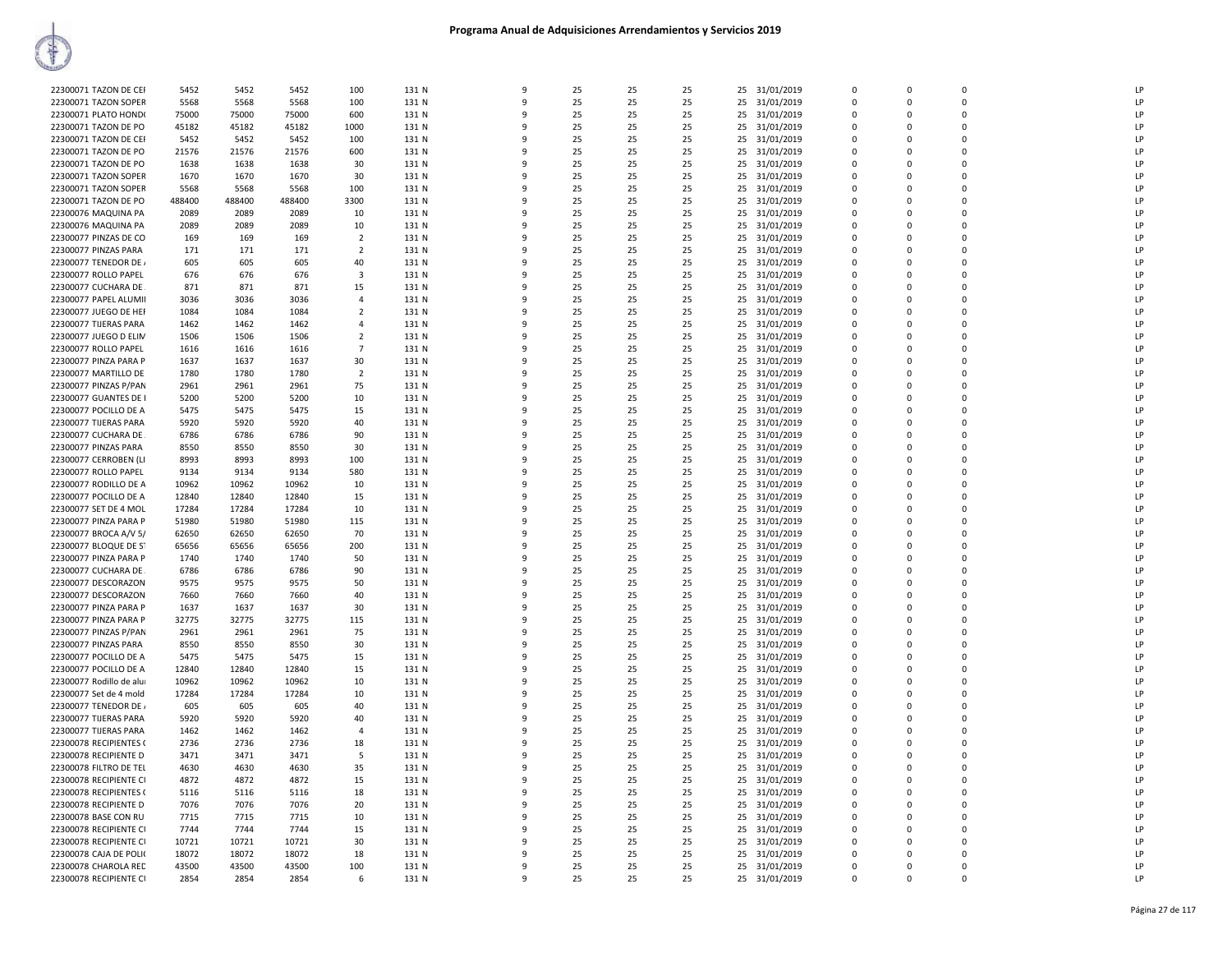|                         |        |        |        |                |       | q            |    |    |    |    |               | $\mathbf 0$  |              | $\Omega$    | LP |
|-------------------------|--------|--------|--------|----------------|-------|--------------|----|----|----|----|---------------|--------------|--------------|-------------|----|
| 22300071 TAZON DE CEI   | 5452   | 5452   | 5452   | 100            | 131 N |              | 25 | 25 | 25 | 25 | 31/01/2019    |              | $\mathbf{0}$ |             |    |
| 22300071 TAZON SOPER    | 5568   | 5568   | 5568   | 100            | 131 N | $\mathbf{q}$ | 25 | 25 | 25 | 25 | 31/01/2019    | $\Omega$     | $\Omega$     | $\Omega$    | LP |
| 22300071 PLATO HOND(    | 75000  | 75000  | 75000  | 600            | 131 N | q            | 25 | 25 | 25 | 25 | 31/01/2019    | $\Omega$     | $\Omega$     | $\Omega$    | LP |
| 22300071 TAZON DE PO    | 45182  | 45182  | 45182  | 1000           | 131 N | q            | 25 | 25 | 25 | 25 | 31/01/2019    | $\Omega$     | $\Omega$     | $\Omega$    | LP |
|                         |        |        |        |                |       |              |    |    |    |    |               | $\mathbf 0$  |              | $\Omega$    | LP |
| 22300071 TAZON DE CEI   | 5452   | 5452   | 5452   | 100            | 131 N | ٩            | 25 | 25 | 25 | 25 | 31/01/2019    |              | 0            |             |    |
| 22300071 TAZON DE PO    | 21576  | 21576  | 21576  | 600            | 131 N | $\mathbf{q}$ | 25 | 25 | 25 |    | 25 31/01/2019 | $\Omega$     | $\Omega$     | $\Omega$    | LP |
| 22300071 TAZON DE PO    | 1638   | 1638   | 1638   | 30             | 131 N | 9            | 25 | 25 | 25 |    | 25 31/01/2019 | $\mathbf 0$  | 0            | $\Omega$    | LP |
| 22300071 TAZON SOPER    | 1670   | 1670   | 1670   | 30             | 131 N | 9            | 25 | 25 | 25 | 25 | 31/01/2019    | $\mathbf{0}$ | $\mathbf{0}$ | $\mathbf 0$ | LP |
|                         |        |        |        |                |       |              |    |    |    |    |               |              |              |             |    |
| 22300071 TAZON SOPER    | 5568   | 5568   | 5568   | 100            | 131 N | $\mathbf{q}$ | 25 | 25 | 25 | 25 | 31/01/2019    | $\mathbf 0$  | $\mathbf 0$  | $\Omega$    | LP |
| 22300071 TAZON DE PO    | 488400 | 488400 | 488400 | 3300           | 131 N | q            | 25 | 25 | 25 | 25 | 31/01/2019    | $\Omega$     | $\Omega$     | $\Omega$    | LP |
| 22300076 MAQUINA PA     | 2089   | 2089   | 2089   | 10             | 131 N | q            | 25 | 25 | 25 | 25 | 31/01/2019    | $\Omega$     | $\Omega$     | $\Omega$    | LP |
| 22300076 MAQUINA PA     | 2089   | 2089   | 2089   | 10             | 131 N | ٩            | 25 | 25 | 25 | 25 | 31/01/2019    | $\mathbf{0}$ | $\Omega$     | $\Omega$    | LP |
|                         |        |        |        |                |       |              |    |    |    |    |               |              |              | $\Omega$    |    |
| 22300077 PINZAS DE CO   | 169    | 169    | 169    | $\overline{2}$ | 131 N | q            | 25 | 25 | 25 | 25 | 31/01/2019    | $\Omega$     | $\Omega$     |             | LP |
| 22300077 PINZAS PARA    | 171    | 171    | 171    | $\overline{2}$ | 131 N | ٩            | 25 | 25 | 25 | 25 | 31/01/2019    | $\Omega$     | 0            | $\Omega$    | LP |
| 22300077 TENEDOR DE     | 605    | 605    | 605    | 40             | 131 N | 9            | 25 | 25 | 25 |    | 25 31/01/2019 | $\mathbf 0$  | $\Omega$     | $\Omega$    | LP |
| 22300077 ROLLO PAPEL    | 676    | 676    | 676    | 3              | 131 N | 9            | 25 | 25 | 25 | 25 | 31/01/2019    | $\mathbf 0$  | 0            | $\mathbf 0$ | LP |
|                         |        |        |        |                |       |              |    |    |    |    |               |              |              |             |    |
| 22300077 CUCHARA DE     | 871    | 871    | 871    | 15             | 131 N | q            | 25 | 25 | 25 | 25 | 31/01/2019    | $\mathbf 0$  | $\Omega$     | $\Omega$    | LP |
| 22300077 PAPEL ALUMII   | 3036   | 3036   | 3036   | $\mathbf{A}$   | 131 N |              | 25 | 25 | 25 | 25 | 31/01/2019    | $\mathbf 0$  | $\mathbf 0$  | $\mathbf 0$ | LP |
| 22300077 JUEGO DE HEF   | 1084   | 1084   | 1084   | $\overline{2}$ | 131 N | q            | 25 | 25 | 25 | 25 | 31/01/2019    | $\Omega$     | $\Omega$     | $\Omega$    | LP |
| 22300077 TIJERAS PARA   | 1462   | 1462   | 1462   | $\overline{a}$ | 131 N | q            | 25 | 25 | 25 |    | 25 31/01/2019 | $\Omega$     | $\Omega$     | $\Omega$    | LP |
|                         |        |        |        |                |       |              |    |    |    |    |               |              |              |             |    |
| 22300077 JUEGO D ELIN   | 1506   | 1506   | 1506   | 2              | 131 N | ٩            | 25 | 25 | 25 | 25 | 31/01/2019    | $\Omega$     | $\Omega$     | $\Omega$    | LP |
| 22300077 ROLLO PAPEL    | 1616   | 1616   | 1616   | $\overline{7}$ | 131 N | 9            | 25 | 25 | 25 | 25 | 31/01/2019    | $\mathbf{0}$ | $\Omega$     | $\Omega$    | LP |
| 22300077 PINZA PARA P   | 1637   | 1637   | 1637   | 30             | 131 N | 9            | 25 | 25 | 25 | 25 | 31/01/2019    | $\mathbf 0$  | $\mathbf 0$  | $\Omega$    | LP |
| 22300077 MARTILLO DE    | 1780   | 1780   | 1780   | $\overline{2}$ | 131 N | $\mathbf{q}$ | 25 | 25 | 25 | 25 | 31/01/2019    | $\Omega$     | $\Omega$     | $\Omega$    | LP |
|                         |        |        |        |                |       |              |    |    |    |    |               |              |              |             |    |
| 22300077 PINZAS P/PAN   | 2961   | 2961   | 2961   | 75             | 131 N | 9            | 25 | 25 | 25 | 25 | 31/01/2019    | $\mathbf 0$  | $\Omega$     | $\Omega$    | LP |
| 22300077 GUANTES DE I   | 5200   | 5200   | 5200   | 10             | 131 N | q            | 25 | 25 | 25 | 25 | 31/01/2019    | $\mathbf{0}$ | $\Omega$     | $\Omega$    | LP |
| 22300077 POCILLO DE A   | 5475   | 5475   | 5475   | 15             | 131 N | $\mathbf{q}$ | 25 | 25 | 25 | 25 | 31/01/2019    | $\mathbf 0$  | $\Omega$     | $\Omega$    | LP |
|                         |        |        |        |                |       | q            | 25 |    |    |    |               | $\Omega$     | $\Omega$     | $\Omega$    | LP |
| 22300077 TIJERAS PARA   | 5920   | 5920   | 5920   | 40             | 131 N |              |    | 25 | 25 | 25 | 31/01/2019    |              |              |             |    |
| 22300077 CUCHARA DE     | 6786   | 6786   | 6786   | 90             | 131 N | q            | 25 | 25 | 25 |    | 25 31/01/2019 | $\Omega$     | $\Omega$     | $\Omega$    | LP |
| 22300077 PINZAS PARA    | 8550   | 8550   | 8550   | 30             | 131 N | 9            | 25 | 25 | 25 | 25 | 31/01/2019    | $\mathbf{0}$ | $\mathbf{0}$ | $\Omega$    | LP |
| 22300077 CERROBEN (LI   | 8993   | 8993   | 8993   | 100            | 131 N | q            | 25 | 25 | 25 | 25 | 31/01/2019    | $\Omega$     | $\Omega$     | $\Omega$    | LP |
|                         |        | 9134   | 9134   | 580            | 131 N | ٩            | 25 | 25 | 25 | 25 |               |              | $\mathbf 0$  | $\Omega$    | LP |
| 22300077 ROLLO PAPEL    | 9134   |        |        |                |       |              |    |    |    |    | 31/01/2019    | 0            |              |             |    |
| 22300077 RODILLO DE A   | 10962  | 10962  | 10962  | 10             | 131 N | q            | 25 | 25 | 25 | 25 | 31/01/2019    | 0            | 0            | $\Omega$    | LP |
| 22300077 POCILLO DE A   | 12840  | 12840  | 12840  | 15             | 131 N | 9            | 25 | 25 | 25 | 25 | 31/01/2019    | $\mathbf 0$  | $\Omega$     | $\Omega$    | LP |
| 22300077 SET DE 4 MOL   | 17284  | 17284  | 17284  | 10             | 131 N | q            | 25 | 25 | 25 | 25 | 31/01/2019    | $\Omega$     | $\Omega$     | $\Omega$    | LP |
|                         |        |        |        |                |       | q            |    |    |    |    |               |              |              |             |    |
| 22300077 PINZA PARA P   | 51980  | 51980  | 51980  | 115            | 131 N |              | 25 | 25 | 25 | 25 | 31/01/2019    | $\mathbf 0$  | $\mathbf 0$  | $\mathbf 0$ | LP |
| 22300077 BROCA A/V 5/   | 62650  | 62650  | 62650  | 70             | 131 N | 9            | 25 | 25 | 25 | 25 | 31/01/2019    | $\mathbf 0$  | $\Omega$     | $\Omega$    | LP |
| 22300077 BLOQUE DE ST   | 65656  | 65656  | 65656  | 200            | 131 N | q            | 25 | 25 | 25 | 25 | 31/01/2019    | $\Omega$     | $\Omega$     | $\Omega$    | LP |
| 22300077 PINZA PARA P   | 1740   | 1740   | 1740   | 50             | 131 N | ٩            | 25 | 25 | 25 | 25 | 31/01/2019    | $\Omega$     | $\Omega$     | $\Omega$    | LP |
| 22300077 CUCHARA DE.    | 6786   | 6786   | 6786   |                | 131 N | q            | 25 | 25 | 25 | 25 |               | $\Omega$     | $\Omega$     | $\Omega$    | LP |
|                         |        |        |        | 90             |       |              |    |    |    |    | 31/01/2019    |              |              |             |    |
| 22300077 DESCORAZON     | 9575   | 9575   | 9575   | 50             | 131 N | ٩            | 25 | 25 | 25 | 25 | 31/01/2019    | 0            | 0            | $\Omega$    | LP |
| 22300077 DESCORAZON     | 7660   | 7660   | 7660   | 40             | 131 N | q            | 25 | 25 | 25 | 25 | 31/01/2019    | $\Omega$     | $\Omega$     | $\Omega$    | LP |
| 22300077 PINZA PARA P   | 1637   | 1637   | 1637   | 30             | 131 N |              | 25 | 25 | 25 | 25 | 31/01/2019    | $\mathbf 0$  | $\Omega$     | $\Omega$    | LP |
|                         |        |        |        |                |       |              |    |    |    |    |               |              |              |             |    |
| 22300077 PINZA PARA P   | 32775  | 32775  | 32775  | 115            | 131 N | q            | 25 | 25 | 25 | 25 | 31/01/2019    | 0            | $\mathbf{0}$ | $\mathbf 0$ | LP |
| 22300077 PINZAS P/PAN   | 2961   | 2961   | 2961   | 75             | 131 N | $\mathbf{q}$ | 25 | 25 | 25 | 25 | 31/01/2019    | $\Omega$     | $\Omega$     | $\Omega$    | LP |
| 22300077 PINZAS PARA    | 8550   | 8550   | 8550   | 30             | 131 N | q            | 25 | 25 | 25 | 25 | 31/01/2019    | $\Omega$     | $\Omega$     | $\Omega$    | LP |
| 22300077 POCILLO DE A   | 5475   | 5475   | 5475   | 15             | 131 N | q            | 25 | 25 | 25 | 25 | 31/01/2019    | $\Omega$     | $\Omega$     | $\Omega$    | LP |
|                         |        |        |        |                |       |              |    |    |    |    |               |              |              | $\Omega$    | LP |
| 22300077 POCILLO DE A   | 12840  | 12840  | 12840  | 15             | 131 N | ٩            | 25 | 25 | 25 | 25 | 31/01/2019    | $\mathbf{0}$ | 0            |             |    |
| 22300077 Rodillo de alu | 10962  | 10962  | 10962  | 10             | 131 N | $\mathbf{q}$ | 25 | 25 | 25 | 25 | 31/01/2019    | $\Omega$     | $\Omega$     | $\Omega$    | LP |
| 22300077 Set de 4 mold  | 17284  | 17284  | 17284  | 10             | 131 N | q            | 25 | 25 | 25 |    | 25 31/01/2019 | $\Omega$     | $\Omega$     | $\Omega$    | LP |
| 22300077 TENEDOR DE     | 605    | 605    | 605    | 40             | 131 N | 9            | 25 | 25 | 25 | 25 | 31/01/2019    | $\mathbf{0}$ | $\mathbf{0}$ | $\Omega$    | LP |
|                         |        |        |        |                |       |              |    |    |    |    |               |              |              |             |    |
| 22300077 TIJERAS PARA   | 5920   | 5920   | 5920   | 40             | 131 N | 9            | 25 | 25 | 25 | 25 | 31/01/2019    | $\mathbf 0$  | $\mathbf 0$  | $\Omega$    | LP |
| 22300077 TIJERAS PARA   | 1462   | 1462   | 1462   | $\mathbf{A}$   | 131 N | q            | 25 | 25 | 25 | 25 | 31/01/2019    | $\mathbf{0}$ | $\Omega$     | $\Omega$    | LP |
| 22300078 RECIPIENTES (  | 2736   | 2736   | 2736   | 18             | 131 N | q            | 25 | 25 | 25 | 25 | 31/01/2019    | $\Omega$     | $\Omega$     | $\Omega$    | LP |
| 22300078 RECIPIENTE D   | 3471   | 3471   | 3471   | -5             | 131 N | ٩            | 25 | 25 | 25 | 25 | 31/01/2019    | $\mathbf{0}$ | $\Omega$     | $\Omega$    | LP |
|                         |        |        |        |                |       |              |    |    |    |    |               |              |              |             |    |
| 22300078 FILTRO DE TEL  | 4630   | 4630   | 4630   | 35             | 131 N | q            | 25 | 25 | 25 |    | 25 31/01/2019 | $\Omega$     | $\Omega$     | $\Omega$    | LP |
| 22300078 RECIPIENTE CI  | 4872   | 4872   | 4872   | 15             | 131 N | q            | 25 | 25 | 25 |    | 25 31/01/2019 | $\Omega$     | $\Omega$     | $\Omega$    | LP |
| 22300078 RECIPIENTES (  | 5116   | 5116   | 5116   | 18             | 131 N | 9            | 25 | 25 | 25 | 25 | 31/01/2019    | 0            | $\mathbf{0}$ | $\Omega$    | LP |
| 22300078 RECIPIENTE D   | 7076   | 7076   | 7076   | 20             | 131 N | 9            | 25 | 25 | 25 | 25 | 31/01/2019    | $\mathbf 0$  | $\Omega$     | $\Omega$    | LP |
|                         |        |        |        |                |       |              |    |    |    |    |               |              |              |             |    |
| 22300078 BASE CON RU    | 7715   | 7715   | 7715   | 10             | 131 N | q            | 25 | 25 | 25 | 25 | 31/01/2019    | $\Omega$     | $\Omega$     | $\Omega$    | LP |
| 22300078 RECIPIENTE CI  | 7744   | 7744   | 7744   | 15             | 131 N | 9            | 25 | 25 | 25 | 25 | 31/01/2019    | $\mathbf 0$  | $\Omega$     | $\Omega$    | LP |
| 22300078 RECIPIENTE CI  | 10721  | 10721  | 10721  | 30             | 131 N | q            | 25 | 25 | 25 | 25 | 31/01/2019    | $\mathbf{0}$ | 0            | $\mathbf 0$ | LP |
| 22300078 CAJA DE POLI(  | 18072  | 18072  | 18072  | 18             | 131 N | q            | 25 | 25 | 25 | 25 | 31/01/2019    | $\Omega$     | $\Omega$     | $\Omega$    | LP |
|                         |        |        |        |                |       | q            | 25 |    |    |    |               | $\Omega$     | $\Omega$     | $\Omega$    | LP |
| 22300078 CHAROLA RED    | 43500  | 43500  | 43500  | 100            | 131 N |              |    | 25 | 25 | 25 | 31/01/2019    |              |              |             |    |
| 22300078 RECIPIENTE CI  | 2854   | 2854   | 2854   | -6             | 131 N | 9            | 25 | 25 | 25 |    | 25 31/01/2019 | $\Omega$     | $\Omega$     | $\Omega$    | LP |
|                         |        |        |        |                |       |              |    |    |    |    |               |              |              |             |    |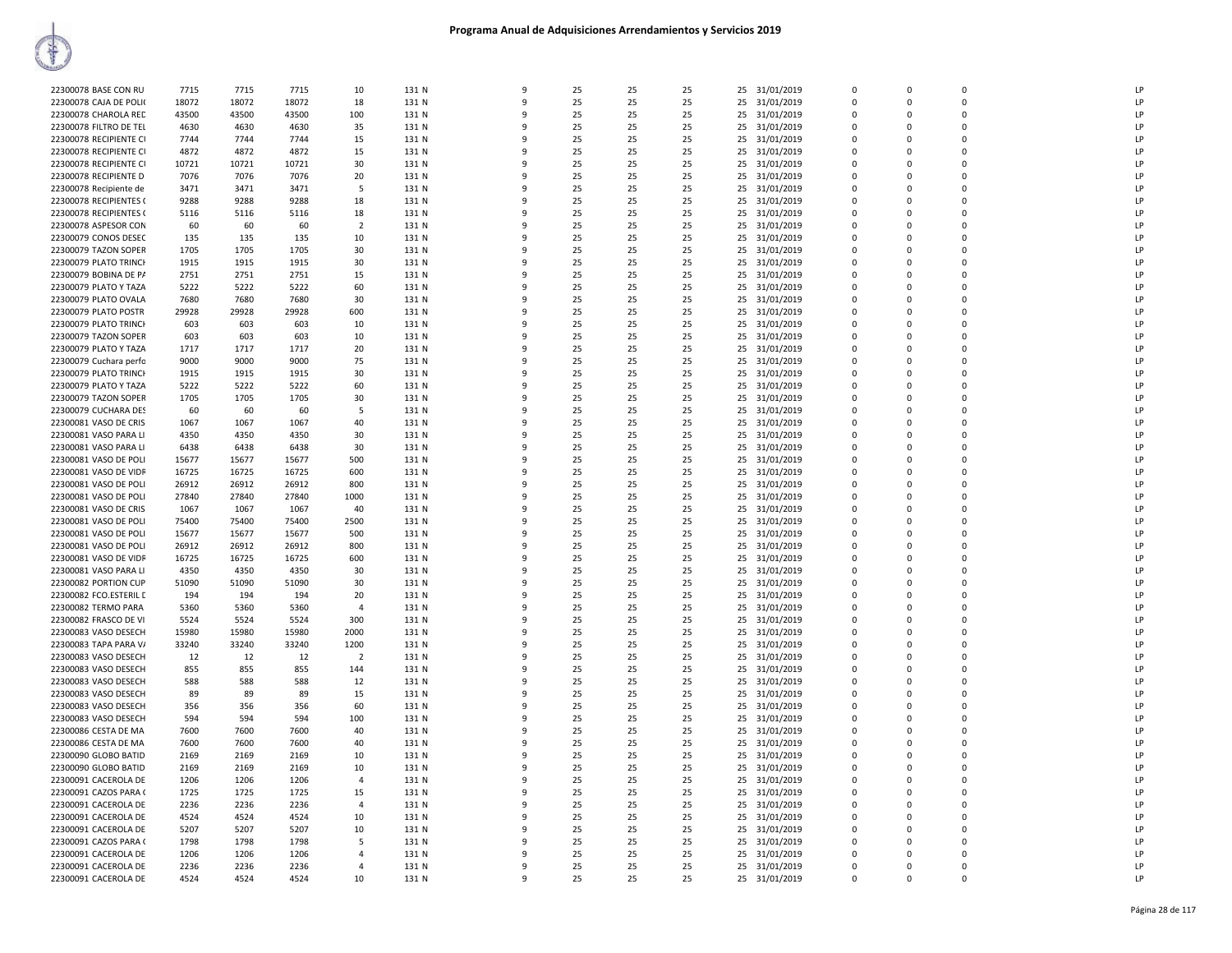| 22300078 BASE CON RU   | 7715  | 7715  | 7715  | 10             | 131 N | 9            | 25 | 25 | 25 |    | 25 31/01/2019 | $\Omega$    | $\Omega$     | $\Omega$    | LP |
|------------------------|-------|-------|-------|----------------|-------|--------------|----|----|----|----|---------------|-------------|--------------|-------------|----|
| 22300078 CAJA DE POLI  | 18072 | 18072 | 18072 | 18             | 131 N | 9            | 25 | 25 | 25 | 25 | 31/01/2019    | 0           | $\Omega$     | $\mathbf 0$ | LP |
| 22300078 CHAROLA RED   | 43500 | 43500 | 43500 | 100            | 131 N | 9            | 25 | 25 | 25 | 25 | 31/01/2019    | $\mathbf 0$ | $\Omega$     | $\Omega$    | LP |
| 22300078 FILTRO DE TEI | 4630  | 4630  | 4630  | 35             | 131 N | 9            | 25 | 25 | 25 | 25 | 31/01/2019    | 0           | $\Omega$     | $\mathbf 0$ | LP |
| 22300078 RECIPIENTE CI | 7744  | 7744  | 7744  | 15             | 131 N | $\mathsf{q}$ | 25 | 25 | 25 |    | 25 31/01/2019 | $\Omega$    | $\Omega$     | $\Omega$    | LP |
| 22300078 RECIPIENTE CI | 4872  | 4872  | 4872  | 15             | 131 N | 9            | 25 | 25 | 25 | 25 | 31/01/2019    | 0           | $\Omega$     | $\mathbf 0$ | LP |
| 22300078 RECIPIENTE CI | 10721 | 10721 | 10721 | 30             | 131 N | 9            | 25 | 25 | 25 |    | 25 31/01/2019 | $\Omega$    | $\Omega$     | $\Omega$    | LP |
| 22300078 RECIPIENTE D  | 7076  | 7076  | 7076  | 20             | 131 N | 9            | 25 | 25 | 25 |    | 25 31/01/2019 | $\Omega$    | $\Omega$     | $\Omega$    | LP |
| 22300078 Recipiente de | 3471  | 3471  | 3471  | 5              | 131 N | 9            | 25 | 25 | 25 | 25 | 31/01/2019    | 0           | $\Omega$     | $\mathbf 0$ | LP |
| 22300078 RECIPIENTES ( | 9288  | 9288  | 9288  | 18             | 131 N | $\mathsf{q}$ | 25 | 25 | 25 | 25 | 31/01/2019    | $\mathbf 0$ | $\Omega$     | $\mathbf 0$ | LP |
| 22300078 RECIPIENTES ( | 5116  | 5116  | 5116  | 18             | 131 N | 9            | 25 | 25 | 25 | 25 | 31/01/2019    | $\Omega$    | $\Omega$     | $\Omega$    | LP |
| 22300078 ASPESOR CON   | 60    | 60    | 60    | $\overline{2}$ | 131 N | $\mathsf{q}$ | 25 | 25 | 25 |    | 25 31/01/2019 | $\Omega$    | $\Omega$     | $\Omega$    | LP |
| 22300079 CONOS DESEC   | 135   | 135   | 135   | 10             | 131 N | 9            | 25 | 25 | 25 | 25 | 31/01/2019    | 0           | $\Omega$     | $\mathbf 0$ | LP |
| 22300079 TAZON SOPER   | 1705  | 1705  | 1705  | 30             | 131 N | 9            | 25 | 25 | 25 |    | 25 31/01/2019 | $\Omega$    | $\Omega$     | $\Omega$    | LP |
| 22300079 PLATO TRINCH  | 1915  | 1915  | 1915  | 30             | 131 N | 9            | 25 | 25 | 25 |    | 25 31/01/2019 | 0           | $\mathbf 0$  | $\mathbf 0$ | LP |
| 22300079 BOBINA DE PA  | 2751  | 2751  | 2751  | 15             | 131 N | 9            | 25 | 25 | 25 | 25 | 31/01/2019    | 0           | $\Omega$     | $\Omega$    | LP |
|                        |       |       |       |                |       | 9            |    |    |    |    |               | $\Omega$    | $\Omega$     | $\Omega$    | LP |
| 22300079 PLATO Y TAZA  | 5222  | 5222  | 5222  | 60             | 131 N |              | 25 | 25 | 25 | 25 | 31/01/2019    |             |              |             |    |
| 22300079 PLATO OVALA   | 7680  | 7680  | 7680  | 30             | 131 N | 9            | 25 | 25 | 25 | 25 | 31/01/2019    | $\Omega$    | $\Omega$     | $\Omega$    | LP |
| 22300079 PLATO POSTR   | 29928 | 29928 | 29928 | 600            | 131 N | 9            | 25 | 25 | 25 |    | 25 31/01/2019 | $\Omega$    | $\Omega$     | $\Omega$    | LP |
| 22300079 PLATO TRINCH  | 603   | 603   | 603   | 10             | 131 N | 9            | 25 | 25 | 25 | 25 | 31/01/2019    | 0           | $\Omega$     | $\mathbf 0$ | LP |
| 22300079 TAZON SOPER   | 603   | 603   | 603   | 10             | 131 N | 9            | 25 | 25 | 25 |    | 25 31/01/2019 | $\Omega$    | $\Omega$     | $\Omega$    | LP |
| 22300079 PLATO Y TAZA  | 1717  | 1717  | 1717  | 20             | 131 N | 9            | 25 | 25 | 25 |    | 25 31/01/2019 | 0           | $\mathbf 0$  | $\mathbf 0$ | LP |
| 22300079 Cuchara perfo | 9000  | 9000  | 9000  | 75             | 131 N | 9            | 25 | 25 | 25 | 25 | 31/01/2019    | 0           | $\Omega$     | $\Omega$    | LP |
| 22300079 PLATO TRINCH  | 1915  | 1915  | 1915  | 30             | 131 N | 9            | 25 | 25 | 25 | 25 | 31/01/2019    | 0           | $\Omega$     | $\Omega$    | LP |
| 22300079 PLATO Y TAZA  | 5222  | 5222  | 5222  | 60             | 131 N | 9            | 25 | 25 | 25 | 25 | 31/01/2019    | $\Omega$    | $\Omega$     | $\Omega$    | LP |
| 22300079 TAZON SOPER   | 1705  | 1705  | 1705  | 30             | 131 N | 9            | 25 | 25 | 25 | 25 | 31/01/2019    | $\Omega$    | $\Omega$     | $\Omega$    | LP |
| 22300079 CUCHARA DES   | 60    | 60    | 60    | 5              | 131 N | 9            | 25 | 25 | 25 | 25 | 31/01/2019    | 0           | $\Omega$     | $\mathbf 0$ | LP |
| 22300081 VASO DE CRIS  | 1067  | 1067  | 1067  | 40             | 131 N | $\mathbf{q}$ | 25 | 25 | 25 | 25 | 31/01/2019    | $\Omega$    | $\Omega$     | $\Omega$    | LP |
| 22300081 VASO PARA LI  | 4350  | 4350  | 4350  | 30             | 131 N | 9            | 25 | 25 | 25 |    | 25 31/01/2019 | $\Omega$    | $\Omega$     | $\Omega$    | LP |
| 22300081 VASO PARA LI  | 6438  | 6438  | 6438  | 30             | 131 N | 9            | 25 | 25 | 25 | 25 | 31/01/2019    | 0           | $\Omega$     | $\Omega$    | LP |
| 22300081 VASO DE POLI  | 15677 | 15677 | 15677 | 500            | 131 N | 9            | 25 | 25 | 25 | 25 | 31/01/2019    | 0           | $\Omega$     | $\Omega$    | LP |
| 22300081 VASO DE VIDR  | 16725 | 16725 | 16725 | 600            | 131 N | 9            | 25 | 25 | 25 | 25 | 31/01/2019    | $\Omega$    | $\Omega$     | $\Omega$    | LP |
| 22300081 VASO DE POLI  | 26912 | 26912 | 26912 | 800            | 131 N | 9            | 25 | 25 | 25 |    | 25 31/01/2019 | $\mathbf 0$ | $\Omega$     | $\Omega$    | LP |
| 22300081 VASO DE POLI  | 27840 | 27840 | 27840 | 1000           | 131 N | 9            | 25 | 25 | 25 | 25 | 31/01/2019    | 0           | $\mathbf 0$  | $\mathbf 0$ | LP |
| 22300081 VASO DE CRIS  | 1067  | 1067  | 1067  | 40             | 131 N | $\mathbf{q}$ | 25 | 25 | 25 | 25 | 31/01/2019    | $\Omega$    | $\Omega$     | $\Omega$    | LP |
| 22300081 VASO DE POLI  | 75400 | 75400 | 75400 | 2500           | 131 N | 9            | 25 | 25 | 25 | 25 | 31/01/2019    | $\Omega$    | $\Omega$     | $\Omega$    | LP |
| 22300081 VASO DE POLI  | 15677 | 15677 | 15677 | 500            | 131 N | 9            | 25 | 25 | 25 | 25 | 31/01/2019    | 0           | $\Omega$     | 0           | LP |
| 22300081 VASO DE POLI  | 26912 | 26912 | 26912 | 800            | 131 N | 9            | 25 | 25 | 25 | 25 | 31/01/2019    | $\mathbf 0$ | $\Omega$     | $\Omega$    | LP |
| 22300081 VASO DE VIDR  | 16725 | 16725 | 16725 | 600            | 131 N | 9            | 25 | 25 | 25 | 25 | 31/01/2019    | $\Omega$    | $\Omega$     | $\Omega$    | LP |
| 22300081 VASO PARA LI  | 4350  | 4350  | 4350  | 30             | 131 N | q            | 25 | 25 | 25 | 25 | 31/01/2019    | $\Omega$    | $\Omega$     | $\Omega$    | IP |
| 22300082 PORTION CUP   | 51090 | 51090 | 51090 | 30             | 131 N | 9            | 25 | 25 | 25 | 25 |               | 0           | $\Omega$     | $\mathbf 0$ | LP |
|                        |       |       |       |                |       | $\mathbf{q}$ |    |    |    |    | 31/01/2019    | $\Omega$    |              | $\Omega$    | LP |
| 22300082 FCO.ESTERIL E | 194   | 194   | 194   | 20             | 131 N |              | 25 | 25 | 25 | 25 | 31/01/2019    |             | $\Omega$     |             |    |
| 22300082 TERMO PARA    | 5360  | 5360  | 5360  | $\overline{4}$ | 131 N | 9            | 25 | 25 | 25 | 25 | 31/01/2019    | $\Omega$    | $\Omega$     | $\Omega$    | LP |
| 22300082 FRASCO DE VI  | 5524  | 5524  | 5524  | 300            | 131 N | 9            | 25 | 25 | 25 | 25 | 31/01/2019    | 0           | $\Omega$     | $\mathbf 0$ | LP |
| 22300083 VASO DESECH   | 15980 | 15980 | 15980 | 2000           | 131 N | 9            | 25 | 25 | 25 | 25 | 31/01/2019    | $\mathbf 0$ | $\Omega$     | $\Omega$    | LP |
| 22300083 TAPA PARA V/  | 33240 | 33240 | 33240 | 1200           | 131 N | q            | 25 | 25 | 25 | 25 | 31/01/2019    | 0           | $\Omega$     | $\mathbf 0$ | LP |
| 22300083 VASO DESECH   | 12    | 12    | 12    | $\overline{2}$ | 131 N | $\mathbf{q}$ | 25 | 25 | 25 |    | 25 31/01/2019 | $\Omega$    | $\Omega$     | $\Omega$    | LP |
| 22300083 VASO DESECH   | 855   | 855   | 855   | 144            | 131 N | 9            | 25 | 25 | 25 | 25 | 31/01/2019    | 0           | $\Omega$     | $\mathbf 0$ | LP |
| 22300083 VASO DESECH   | 588   | 588   | 588   | 12             | 131 N | 9            | 25 | 25 | 25 |    | 25 31/01/2019 | $\Omega$    | $\Omega$     | $\Omega$    | LP |
| 22300083 VASO DESECH   | 89    | 89    | 89    | 15             | 131 N | 9            | 25 | 25 | 25 | 25 | 31/01/2019    | $\mathbf 0$ | $\Omega$     | $\Omega$    | LP |
| 22300083 VASO DESECH   | 356   | 356   | 356   | 60             | 131 N | 9            | 25 | 25 | 25 | 25 | 31/01/2019    | 0           | $\Omega$     | $\mathbf 0$ | LP |
| 22300083 VASO DESECH   | 594   | 594   | 594   | 100            | 131 N | $\mathbf{q}$ | 25 | 25 | 25 | 25 | 31/01/2019    | $\mathbf 0$ | $\Omega$     | $\mathbf 0$ | LP |
| 22300086 CESTA DE MA   | 7600  | 7600  | 7600  | 40             | 131 N | q            | 25 | 25 | 25 | 25 | 31/01/2019    | $\Omega$    | $\Omega$     | $\Omega$    | LP |
| 22300086 CESTA DE MA   | 7600  | 7600  | 7600  | 40             | 131 N | $\mathbf{q}$ | 25 | 25 | 25 |    | 25 31/01/2019 | $\Omega$    | $\Omega$     | $\Omega$    | LP |
| 22300090 GLOBO BATID   | 2169  | 2169  | 2169  | 10             | 131 N | 9            | 25 | 25 | 25 | 25 | 31/01/2019    | 0           | $\Omega$     | $\mathbf 0$ | LP |
| 22300090 GLOBO BATID   | 2169  | 2169  | 2169  | 10             | 131 N | 9            | 25 | 25 | 25 |    | 25 31/01/2019 | $\Omega$    | $\Omega$     | $\Omega$    | LP |
| 22300091 CACEROLA DE   | 1206  | 1206  | 1206  | $\overline{4}$ | 131 N | 9            | 25 | 25 | 25 |    | 25 31/01/2019 | 0           | $\Omega$     | $\mathbf 0$ | LP |
| 22300091 CAZOS PARA (  | 1725  | 1725  | 1725  | 15             | 131 N | 9            | 25 | 25 | 25 | 25 | 31/01/2019    | 0           | $\mathbf{0}$ | $\mathbf 0$ | LP |
| 22300091 CACEROLA DE   | 2236  | 2236  | 2236  | $\overline{4}$ | 131 N | 9            | 25 | 25 | 25 | 25 | 31/01/2019    | $\Omega$    | $\Omega$     | $\Omega$    | LP |
| 22300091 CACEROLA DE   | 4524  | 4524  | 4524  | 10             | 131 N | 9            | 25 | 25 | 25 |    | 25 31/01/2019 | $\Omega$    | $\Omega$     | $\Omega$    | LP |
| 22300091 CACEROLA DE   | 5207  | 5207  | 5207  | 10             | 131 N | 9            | 25 | 25 | 25 |    | 25 31/01/2019 | $\Omega$    | $\Omega$     | $\Omega$    | LP |
| 22300091 CAZOS PARA (  | 1798  | 1798  | 1798  | 5              | 131 N | 9            | 25 | 25 | 25 | 25 | 31/01/2019    | 0           | O            | $\mathbf 0$ | LP |
| 22300091 CACEROLA DE   | 1206  | 1206  | 1206  | $\overline{4}$ | 131 N | 9            | 25 | 25 | 25 | 25 | 31/01/2019    | $\Omega$    | $\Omega$     | $\Omega$    | LP |
| 22300091 CACEROLA DE   | 2236  | 2236  | 2236  | 4              | 131 N | 9            | 25 | 25 | 25 |    | 25 31/01/2019 | 0           | $\Omega$     | $\mathbf 0$ | LP |
|                        |       | 4524  |       | 10             |       | 9            | 25 | 25 | 25 |    |               | $\Omega$    | $\Omega$     | $\Omega$    | LP |
| 22300091 CACEROLA DE   | 4524  |       | 4524  |                | 131 N |              |    |    |    |    | 25 31/01/2019 |             |              |             |    |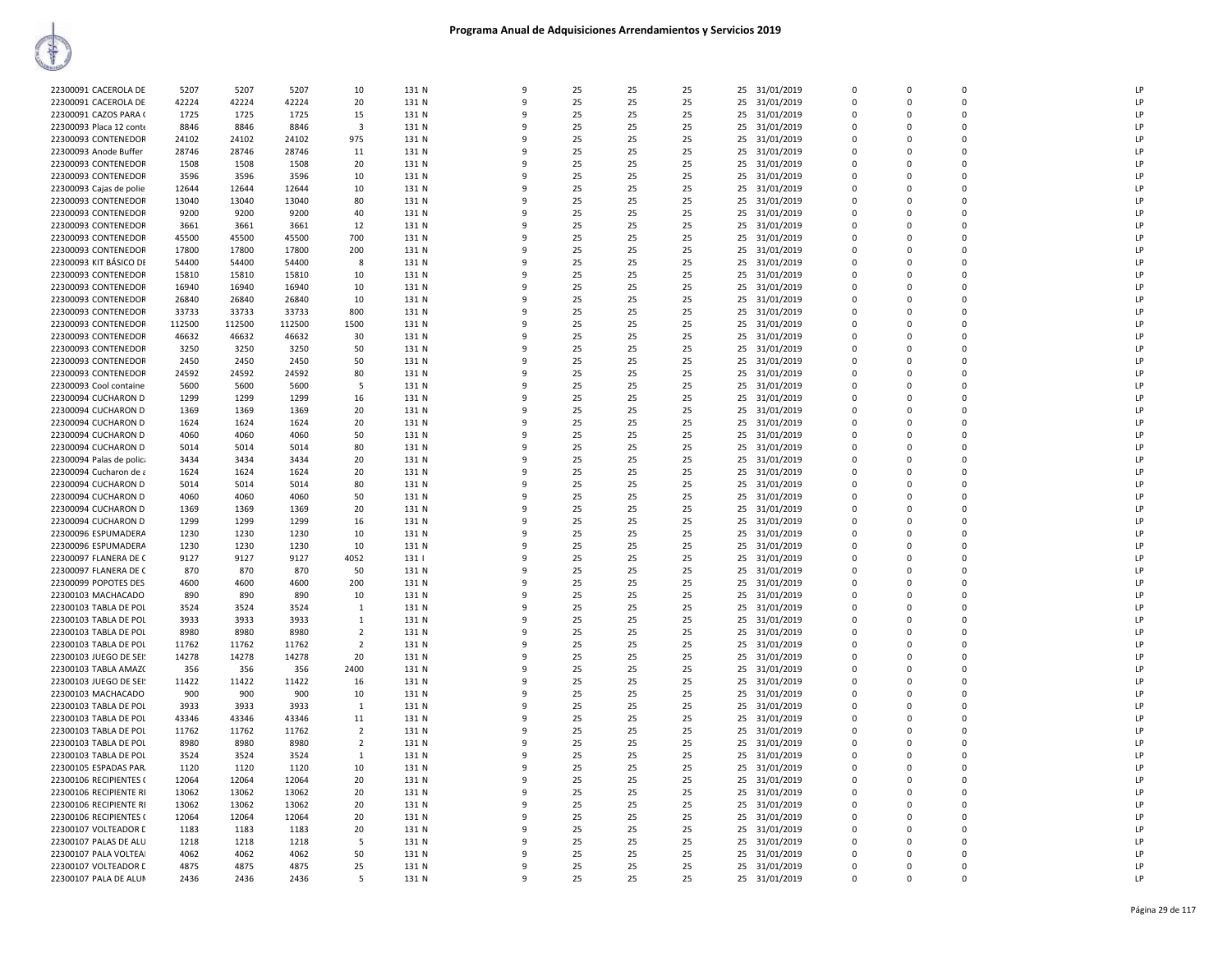| 22300091 CACEROLA DE     | 5207   | 5207   | 5207   | 10             | 131 N | -9           | 25 | 25 | 25 |    | 25 31/01/2019 | $\mathbf 0$             | $\Omega$      | $\Omega$                | LP           |
|--------------------------|--------|--------|--------|----------------|-------|--------------|----|----|----|----|---------------|-------------------------|---------------|-------------------------|--------------|
| 22300091 CACEROLA DE     | 42224  | 42224  | 42224  | 20             | 131 N | $\mathbf{q}$ | 25 | 25 | 25 | 25 | 31/01/2019    | $\overline{0}$          | $\Omega$      | $\Omega$                | LP           |
| 22300091 CAZOS PARA (    | 1725   | 1725   | 1725   | 15             | 131 N | q            | 25 | 25 | 25 | 25 | 31/01/2019    | $\overline{0}$          | $\Omega$      | $\Omega$                | LP           |
| 22300093 Placa 12 conte  | 8846   | 8846   | 8846   | $\overline{3}$ | 131 N | $\mathbf{q}$ | 25 | 25 | 25 | 25 | 31/01/2019    | $\mathbf 0$             | $\Omega$      | $\Omega$                | LP           |
| 22300093 CONTENEDOR      | 24102  | 24102  | 24102  | 975            | 131 N | ٩            | 25 | 25 | 25 | 25 | 31/01/2019    | $\Omega$                | $\Omega$      | $\Omega$                | LP           |
| 22300093 Anode Buffer    | 28746  | 28746  | 28746  | 11             | 131 N | $\mathsf{q}$ | 25 | 25 | 25 | 25 | 31/01/2019    | $\Omega$                | $\Omega$      | $\Omega$                | LP           |
| 22300093 CONTENEDOR      | 1508   | 1508   | 1508   | 20             | 131 N | 9            | 25 | 25 | 25 | 25 | 31/01/2019    | $\mathbf 0$             | $\Omega$      | $\mathbf 0$             | LP           |
| 22300093 CONTENEDOR      | 3596   | 3596   | 3596   | 10             | 131 N | $\Omega$     | 25 | 25 | 25 |    | 25 31/01/2019 | $\Omega$                | $\Omega$      | $\Omega$                | LP           |
| 22300093 Cajas de polie  | 12644  | 12644  | 12644  | 10             | 131 N |              | 25 | 25 | 25 | 25 | 31/01/2019    | $\Omega$                | $\Omega$      | $\Omega$                | LP           |
| 22300093 CONTENEDOR      | 13040  | 13040  | 13040  | 80             | 131 N | 9            | 25 | 25 | 25 | 25 | 31/01/2019    | $\overline{0}$          | $\Omega$      | $\mathbf 0$             | LP           |
| 22300093 CONTENEDOR      | 9200   | 9200   | 9200   | 40             | 131 N | q            | 25 | 25 | 25 | 25 | 31/01/2019    | $\mathbf 0$             | $\Omega$      | $\Omega$                | LP           |
| 22300093 CONTENEDOR      | 3661   | 3661   | 3661   | 12             | 131 N |              | 25 | 25 | 25 | 25 | 31/01/2019    | $\overline{0}$          | $\Omega$      | $\Omega$                | LP           |
| 22300093 CONTENEDOR      | 45500  | 45500  | 45500  | 700            | 131 N | q            | 25 | 25 | 25 | 25 | 31/01/2019    | $\Omega$                | $\Omega$      | $\Omega$                | LP           |
|                          |        |        |        |                |       |              |    |    |    |    |               |                         |               |                         |              |
| 22300093 CONTENEDOR      | 17800  | 17800  | 17800  | 200            | 131 N | q            | 25 | 25 | 25 | 25 | 31/01/2019    | $\mathbf 0$<br>$\Omega$ | 0<br>$\Omega$ | $\mathbf 0$<br>$\Omega$ | LP<br>LP     |
| 22300093 KIT BÁSICO DE   | 54400  | 54400  | 54400  | 8              | 131 N |              | 25 | 25 | 25 | 25 | 31/01/2019    |                         |               |                         |              |
| 22300093 CONTENEDOR      | 15810  | 15810  | 15810  | 10             | 131 N | q            | 25 | 25 | 25 | 25 | 31/01/2019    | $\Omega$                | $\Omega$      | $\Omega$                | LP           |
| 22300093 CONTENEDOR      | 16940  | 16940  | 16940  | 10             | 131 N | 9            | 25 | 25 | 25 | 25 | 31/01/2019    | $\overline{0}$          | $\Omega$      | $\mathbf 0$             | LP           |
| 22300093 CONTENEDOR      | 26840  | 26840  | 26840  | 10             | 131 N | $\mathbf{q}$ | 25 | 25 | 25 | 25 | 31/01/2019    | $\Omega$                | $\Omega$      | $\Omega$                | LP           |
| 22300093 CONTENEDOR      | 33733  | 33733  | 33733  | 800            | 131 N |              | 25 | 25 | 25 | 25 | 31/01/2019    | $\mathbf 0$             | $\Omega$      | $\mathbf 0$             | LP           |
| 22300093 CONTENEDOR      | 112500 | 112500 | 112500 | 1500           | 131 N |              | 25 | 25 | 25 | 25 | 31/01/2019    | $\overline{0}$          | $\Omega$      | $\Omega$                | LP           |
| 22300093 CONTENEDOR      | 46632  | 46632  | 46632  | 30             | 131 N |              | 25 | 25 | 25 | 25 | 31/01/2019    | $\Omega$                | $\Omega$      | $\Omega$                | LP           |
| 22300093 CONTENEDOR      | 3250   | 3250   | 3250   | 50             | 131 N | q            | 25 | 25 | 25 | 25 | 31/01/2019    | $\Omega$                | $\Omega$      | $\Omega$                | $\mathsf{I}$ |
| 22300093 CONTENEDOR      | 2450   | 2450   | 2450   | 50             | 131 N | 9            | 25 | 25 | 25 | 25 | 31/01/2019    | $\Omega$                | $\Omega$      | $\Omega$                | LP           |
| 22300093 CONTENEDOR      | 24592  | 24592  | 24592  | 80             | 131 N | -9           | 25 | 25 | 25 | 25 | 31/01/2019    | - 0                     | $\Omega$      | $\mathbf 0$             | LP           |
| 22300093 Cool containe   | 5600   | 5600   | 5600   | 5              | 131 N | $\mathbf{q}$ | 25 | 25 | 25 | 25 | 31/01/2019    | $\Omega$                | $\Omega$      | $\Omega$                | LP           |
| 22300094 CUCHARON D      | 1299   | 1299   | 1299   | 16             | 131 N |              | 25 | 25 | 25 | 25 | 31/01/2019    | $\mathbf 0$             | $\mathbf 0$   | $\mathbf 0$             | LP           |
| 22300094 CUCHARON D      | 1369   | 1369   | 1369   | 20             | 131 N |              | 25 | 25 | 25 | 25 | 31/01/2019    | $\Omega$                | $\Omega$      | $\Omega$                | LP           |
| 22300094 CUCHARON D      | 1624   |        | 1624   | 20             | 131 N |              | 25 | 25 | 25 | 25 |               | $\Omega$                | $\Omega$      | $\Omega$                | LP           |
|                          |        | 1624   |        |                |       | ٩            | 25 | 25 |    |    | 31/01/2019    | $\Omega$                | $\Omega$      | $\Omega$                | LP           |
| 22300094 CUCHARON D      | 4060   | 4060   | 4060   | 50             | 131 N |              |    |    | 25 | 25 | 31/01/2019    |                         |               |                         |              |
| 22300094 CUCHARON D      | 5014   | 5014   | 5014   | 80             | 131 N | 9            | 25 | 25 | 25 | 25 | 31/01/2019    | $\overline{0}$          | $\Omega$      | $\Omega$                | LP           |
| 22300094 Palas de polica | 3434   | 3434   | 3434   | 20             | 131 N | -9           | 25 | 25 | 25 | 25 | 31/01/2019    | $\overline{0}$          | $\Omega$      | $\mathbf 0$             | LP           |
| 22300094 Cucharon de a   | 1624   | 1624   | 1624   | 20             | 131 N | $\mathbf{q}$ | 25 | 25 | 25 | 25 | 31/01/2019    | $\overline{0}$          | $\Omega$      | $\mathbf 0$             | LP           |
| 22300094 CUCHARON D      | 5014   | 5014   | 5014   | 80             | 131 N |              | 25 | 25 | 25 | 25 | 31/01/2019    | $\mathbf 0$             | 0             | $\mathbf 0$             | LP           |
| 22300094 CUCHARON D      | 4060   | 4060   | 4060   | 50             | 131 N |              | 25 | 25 | 25 | 25 | 31/01/2019    | $\Omega$                | $\Omega$      | $\Omega$                | LP           |
| 22300094 CUCHARON D      | 1369   | 1369   | 1369   | 20             | 131 N |              | 25 | 25 | 25 | 25 | 31/01/2019    | $\Omega$                | $\Omega$      | $\Omega$                | LP           |
| 22300094 CUCHARON D      | 1299   | 1299   | 1299   | 16             | 131 N | ٩            | 25 | 25 | 25 | 25 | 31/01/2019    | $\Omega$                | $\Omega$      | $\Omega$                | LP           |
| 22300096 ESPUMADERA      | 1230   | 1230   | 1230   | 10             | 131 N |              | 25 | 25 | 25 |    | 25 31/01/2019 | $\overline{0}$          | $\Omega$      | $\Omega$                | LP           |
| 22300096 ESPUMADERA      | 1230   | 1230   | 1230   | 10             | 131 N | q            | 25 | 25 | 25 | 25 | 31/01/2019    | $\overline{0}$          | $\Omega$      | $\mathbf 0$             | LP           |
| 22300097 FLANERA DE C    | 9127   | 9127   | 9127   | 4052           | 131   | q            | 25 | 25 | 25 | 25 | 31/01/2019    | $\mathbf 0$             | $\Omega$      | $\Omega$                | LP           |
| 22300097 FLANERA DE C    | 870    | 870    | 870    | 50             | 131 N |              | 25 | 25 | 25 | 25 | 31/01/2019    | $\Omega$                | $\Omega$      | $\Omega$                | LP           |
| 22300099 POPOTES DES     | 4600   | 4600   | 4600   | 200            | 131 N | q            | 25 | 25 | 25 |    | 25 31/01/2019 | $\Omega$                | $\Omega$      | $\Omega$                | LP           |
| 22300103 MACHACADO       | 890    | 890    | 890    | 10             | 131 N | 9            | 25 | 25 | 25 |    | 25 31/01/2019 | $\mathbf 0$             | $\Omega$      | $\Omega$                | LP           |
| 22300103 TABLA DE POL    | 3524   | 3524   | 3524   | 1              | 131 N | q            | 25 | 25 | 25 | 25 | 31/01/2019    | $\Omega$                | $\Omega$      | $\Omega$                | LP           |
| 22300103 TABLA DE POL    | 3933   | 3933   | 3933   | 1              | 131 N |              | 25 | 25 | 25 | 25 | 31/01/2019    | $\overline{0}$          | $\Omega$      | $\mathbf 0$             | LP           |
| 22300103 TABLA DE POL    | 8980   | 8980   | 8980   | $\overline{2}$ | 131 N | q            | 25 | 25 | 25 | 25 | 31/01/2019    | $\overline{0}$          | $\Omega$      | $\Omega$                | LP           |
| 22300103 TABLA DE POL    | 11762  | 11762  | 11762  | $\overline{2}$ | 131 N | q            | 25 | 25 | 25 | 25 | 31/01/2019    | $\mathbf 0$             | $\Omega$      | $\Omega$                | LP           |
| 22300103 JUEGO DE SEI!   | 14278  | 14278  | 14278  | 20             | 131 N |              | 25 | 25 | 25 | 25 | 31/01/2019    | $\Omega$                | $\Omega$      | $\Omega$                | LP           |
| 22300103 TABLA AMAZ(     | 356    | 356    | 356    | 2400           | 131 N |              | 25 | 25 | 25 | 25 | 31/01/2019    | $\Omega$                | $\Omega$      | $\Omega$                | LP           |
| 22300103 JUEGO DE SEI!   | 11422  | 11422  | 11422  | 16             | 131 N |              | 25 | 25 | 25 | 25 | 31/01/2019    | $\mathbf 0$             | $\Omega$      | $\mathbf 0$             | LP           |
|                          |        |        |        |                |       | $\Omega$     |    |    |    |    |               |                         | $\Omega$      | $\Omega$                |              |
| 22300103 MACHACADO       | 900    | 900    | 900    | 10             | 131 N |              | 25 | 25 | 25 | 25 | 31/01/2019    | $\Omega$                |               |                         | LP           |
| 22300103 TABLA DE POL    | 3933   | 3933   | 3933   | $\mathbf{1}$   | 131 N | q            | 25 | 25 | 25 |    | 25 31/01/2019 | $\Omega$                | $\Omega$      | $\Omega$                | LP           |
| 22300103 TABLA DE POL    | 43346  | 43346  | 43346  | 11             | 131 N | q            | 25 | 25 | 25 | 25 | 31/01/2019    | $\overline{0}$          | $\Omega$      | $\Omega$                | LP           |
| 22300103 TABLA DE POL    | 11762  | 11762  | 11762  | $\overline{2}$ | 131 N | q            | 25 | 25 | 25 | 25 | 31/01/2019    | $\mathbf 0$             | $\Omega$      | $\Omega$                | LP           |
| 22300103 TABLA DE POL    | 8980   | 8980   | 8980   | $\overline{2}$ | 131 N |              | 25 | 25 | 25 | 25 | 31/01/2019    | $\Omega$                | $\Omega$      | $\mathbf 0$             | LP           |
| 22300103 TABLA DE POL    | 3524   | 3524   | 3524   | -1             | 131 N |              | 25 | 25 | 25 | 25 | 31/01/2019    | $\overline{0}$          | $\Omega$      | $\Omega$                | LP           |
| 22300105 ESPADAS PAR.    | 1120   | 1120   | 1120   | 10             | 131 N |              | 25 | 25 | 25 | 25 | 31/01/2019    | $\mathbf 0$             | 0             | $\mathbf 0$             | LP           |
| 22300106 RECIPIENTES (   | 12064  | 12064  | 12064  | 20             | 131 N | q            | 25 | 25 | 25 | 25 | 31/01/2019    | $\Omega$                | $\Omega$      | $\Omega$                | LP           |
| 22300106 RECIPIENTE RI   | 13062  | 13062  | 13062  | 20             | 131 N | $\mathsf{q}$ | 25 | 25 | 25 |    | 25 31/01/2019 | $\Omega$                | $\Omega$      | $\Omega$                | LP           |
| 22300106 RECIPIENTE RI   | 13062  | 13062  | 13062  | 20             | 131 N | 9            | 25 | 25 | 25 | 25 | 31/01/2019    | $\overline{0}$          | $\Omega$      | $\mathbf 0$             | LP           |
| 22300106 RECIPIENTES (   | 12064  | 12064  | 12064  | 20             | 131 N | q            | 25 | 25 | 25 | 25 | 31/01/2019    | $\Omega$                | $\Omega$      | $\Omega$                | LP           |
| 22300107 VOLTEADOR D     | 1183   | 1183   | 1183   | 20             | 131 N | q            | 25 | 25 | 25 | 25 | 31/01/2019    | $\mathbf 0$             | $\Omega$      | $\mathbf 0$             | LP           |
| 22300107 PALAS DE ALU    | 1218   | 1218   | 1218   | -5             | 131 N | q            | 25 | 25 | 25 | 25 | 31/01/2019    | $\Omega$                | $\Omega$      | $\Omega$                | LP           |
| 22300107 PALA VOLTEAI    | 4062   | 4062   | 4062   | 50             | 131 N | q            | 25 | 25 | 25 | 25 | 31/01/2019    | $\Omega$                | $\Omega$      | $\Omega$                | LP           |
| 22300107 VOLTEADOR D     | 4875   | 4875   | 4875   | 25             | 131 N | ٩            | 25 | 25 | 25 |    | 25 31/01/2019 | $\Omega$                | $\Omega$      | $\Omega$                | LP           |
| 22300107 PALA DE ALUN    | 2436   | 2436   | 2436   | -5             | 131 N | 9            | 25 | 25 | 25 |    | 25 31/01/2019 | $\Omega$                | $\Omega$      | $\Omega$                | LP           |
|                          |        |        |        |                |       |              |    |    |    |    |               |                         |               |                         |              |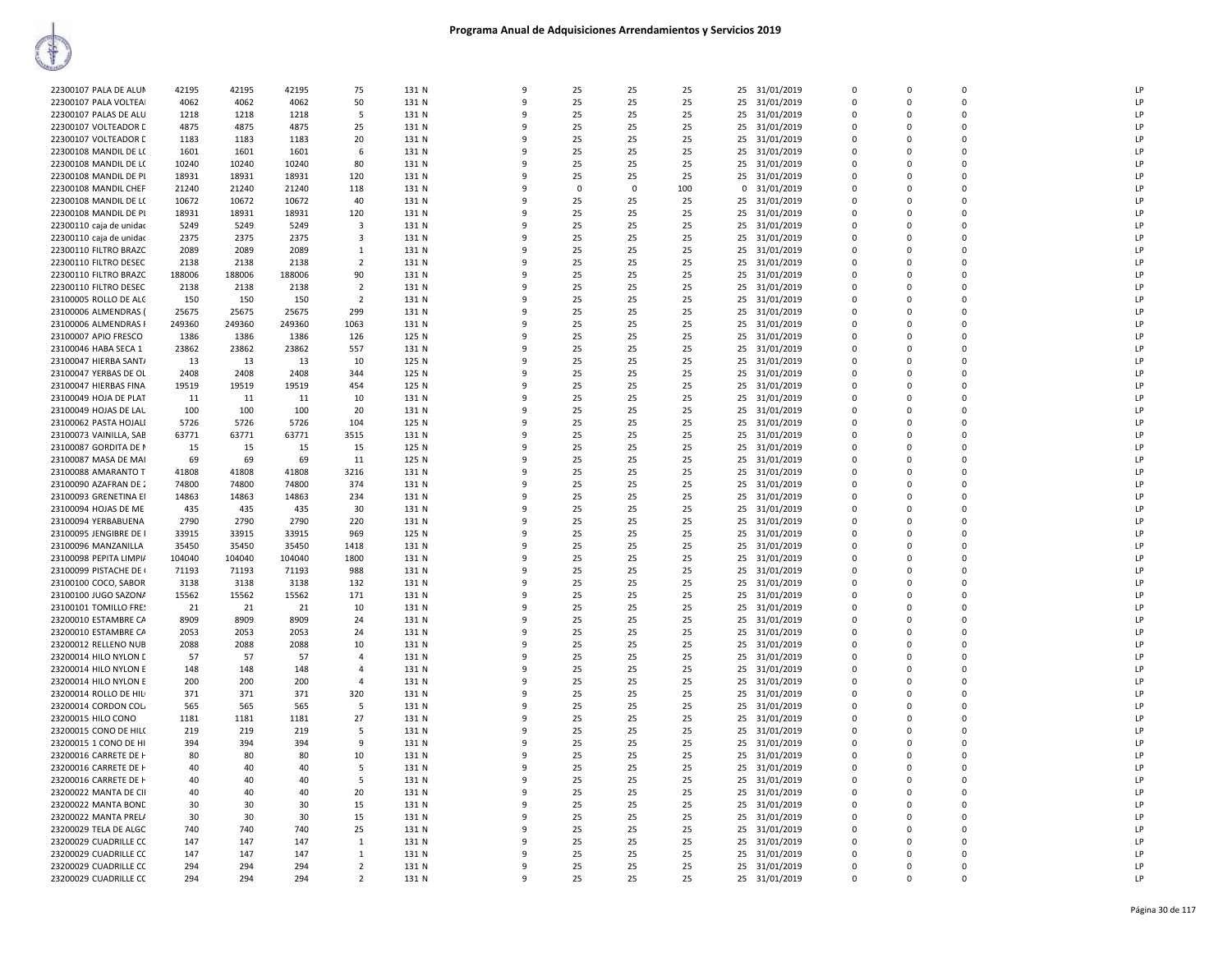| 31/01/2019<br>LP<br>22300107 PALA DE ALUM<br>42195<br>42195<br>42195<br>75<br>131 N<br>9<br>25<br>25<br>25<br>25<br>$\mathbf 0$<br>$\Omega$<br>LP<br>4062<br>4062<br>50<br>131 N<br>9<br>25<br>25<br>25<br>25<br>31/01/2019<br>$\mathbf 0$<br>$\Omega$<br>22300107 PALA VOLTEA<br>4062<br>$\mathbf 0$<br>LP<br>22300107 PALAS DE ALU<br>1218<br>1218<br>1218<br>5<br>131 N<br>9<br>25<br>25<br>25<br>25 31/01/2019<br>$\Omega$<br>$\Omega$<br>$\Omega$<br>LP<br>22300107 VOLTEADOR D<br>4875<br>4875<br>4875<br>25<br>131 N<br>9<br>25<br>25<br>25<br>25<br>31/01/2019<br>$\mathbf 0$<br>$\Omega$<br>$\Omega$<br>22300107 VOLTEADOR D<br>1183<br>1183<br>1183<br>20<br>131 N<br>9<br>25<br>25<br>25<br>25 31/01/2019<br>$\Omega$<br>$\Omega$<br>LP<br>$\Omega$<br>$\Omega$<br>LP<br>22300108 MANDIL DE L(<br>1601<br>1601<br>1601<br>6<br>131 N<br>9<br>25<br>25<br>25<br>25<br>31/01/2019<br>$\Omega$<br>$\Omega$<br>10240<br>10240<br>10240<br>131 N<br>25<br>31/01/2019<br>$\Omega$<br>LP<br>22300108 MANDIL DE L(<br>80<br>9<br>25<br>25<br>25<br>$\mathbf 0$<br>$\mathbf 0$<br>25<br>25<br>25<br>LP<br>22300108 MANDIL DE PI<br>18931<br>18931<br>18931<br>120<br>131 N<br>9<br>25<br>31/01/2019<br>$\mathbf 0$<br>$\mathbf 0$<br>$\Omega$<br>LP<br>22300108 MANDIL CHEF<br>21240<br>21240<br>131 N<br>$\Omega$<br>100<br>31/01/2019<br>$\Omega$<br>21240<br>118<br>9<br>$\Omega$<br>$^{\circ}$<br>$\mathbf 0$<br>0<br>LP<br>22300108 MANDIL DE L(<br>10672<br>10672<br>10672<br>40<br>131 N<br>$\mathbf{q}$<br>25<br>25<br>25<br>25 31/01/2019<br>0<br>$\Omega$<br>$\Omega$<br>18931<br>LP<br>22300108 MANDIL DE PI<br>18931<br>18931<br>120<br>131 N<br>9<br>25<br>25<br>25<br>25<br>31/01/2019<br>$\Omega$<br>$\Omega$<br>$\Omega$<br>5249<br>5249<br>5249<br>$\overline{3}$<br>131 N<br>9<br>25<br>25<br>25<br>25 31/01/2019<br>$\Omega$<br>$\Omega$<br>LP<br>22300110 caja de unidad<br>$\Omega$<br>22300110 caja de unidad<br>2375<br>2375<br>2375<br>3<br>131 N<br>9<br>25<br>25<br>25<br>25<br>31/01/2019<br>$\Omega$<br>$\Omega$<br>$\Omega$<br>LP<br>2089<br>2089<br>2089<br>131 N<br>25<br>31/01/2019<br>LP<br>22300110 FILTRO BRAZC<br>9<br>25<br>25<br>25<br>$\mathbf 0$<br>$\Omega$<br>$\Omega$<br>1<br>22300110 FILTRO DESEC<br>2138<br>2138<br>2138<br>$\overline{2}$<br>131 N<br>9<br>25<br>25<br>25<br>25<br>31/01/2019<br>$\mathbf 0$<br>$\Omega$<br>LP<br>0<br>188006<br>188006<br>188006<br>25<br>25<br>LP<br>22300110 FILTRO BRAZC<br>90<br>131 N<br>$\mathbf{q}$<br>25<br>25<br>31/01/2019<br>$\mathbf 0$<br>$\Omega$<br>$\Omega$<br>LP<br>22300110 FILTRO DESEC<br>2138<br>2138<br>2138<br>$\overline{2}$<br>131 N<br>q<br>25<br>25<br>25<br>25 31/01/2019<br>$\mathbf 0$<br>0<br>$\Omega$<br>LP<br>23100005 ROLLO DE ALC<br>150<br>150<br>150<br>$\overline{2}$<br>131 N<br>9<br>25<br>25<br>25<br>25<br>31/01/2019<br>$\Omega$<br>$\Omega$<br>$\Omega$<br>23100006 ALMENDRAS (<br>25675<br>25675<br>25675<br>299<br>131 N<br>9<br>25<br>25<br>25<br>25 31/01/2019<br>$\Omega$<br>$\Omega$<br>LP<br>$\Omega$<br>LP<br>23100006 ALMENDRAS I<br>249360<br>249360<br>249360<br>1063<br>131 N<br>9<br>25<br>25<br>25<br>25<br>31/01/2019<br>$\Omega$<br>$\Omega$<br>$\Omega$<br>23100007 APIO FRESCO<br>1386<br>125 N<br>25<br>25<br>31/01/2019<br>LP<br>1386<br>1386<br>126<br>9<br>25<br>25<br>$\mathbf 0$<br>$\Omega$<br>$\Omega$<br>23100046 HABA SECA 1<br>23862<br>23862<br>23862<br>557<br>131 N<br>9<br>25<br>25<br>25<br>25<br>31/01/2019<br>$\mathbf 0$<br>$\mathbf 0$<br>LP<br>0<br>125 N<br>25<br>25<br>25<br>LP<br>23100047 HIERBA SANT/<br>13<br>13<br>13<br>$\mathbf{q}$<br>25<br>31/01/2019<br>$\Omega$<br>$\Omega$<br>$\Omega$<br>10<br>23100047 YERBAS DE OL<br>2408<br>2408<br>2408<br>344<br>125 N<br>25<br>25<br>25<br>25 31/01/2019<br>$\Omega$<br>LP<br>9<br>$\Omega$<br>0<br>LP<br>19519<br>19519<br>19519<br>454<br>125 N<br>25<br>25<br>25<br>25<br>31/01/2019<br>23100047 HIERBAS FINA<br>9<br>$\Omega$<br>$\Omega$<br>$\Omega$<br>23100049 HOJA DE PLAT<br>11<br>11<br>11<br>10<br>131 N<br>9<br>25<br>25<br>25<br>25<br>31/01/2019<br>$\Omega$<br>$\Omega$<br>LP<br>$\Omega$<br>LP<br>23100049 HOJAS DE LAL<br>100<br>100<br>100<br>20<br>131 N<br>9<br>25<br>25<br>25<br>25<br>31/01/2019<br>$\Omega$<br>$\Omega$<br>$\Omega$<br>23100062 PASTA HOJALI<br>5726<br>5726<br>5726<br>104<br>125 N<br>25<br>25<br>25<br>31/01/2019<br>LP<br>9<br>25<br>$\mathbf 0$<br>$\Omega$<br>$\Omega$<br>LP<br>23100073 VAINILLA, SAB<br>63771<br>63771<br>63771<br>3515<br>131 N<br>9<br>25<br>25<br>25<br>25<br>31/01/2019<br>$\mathbf 0$<br>$\mathbf 0$<br>$\Omega$<br>15<br>125 N<br>25<br>25<br>25<br>LP<br>23100087 GORDITA DE N<br>15<br>15<br>15<br>9<br>25<br>31/01/2019<br>$\Omega$<br>$\Omega$<br>$\Omega$<br>23100087 MASA DE MAI<br>69<br>69<br>69<br>11<br>125 N<br>25<br>25<br>25<br>25<br>31/01/2019<br>$\Omega$<br>LP<br>9<br>$\Omega$<br>0<br>LP<br>41808<br>3216<br>131 N<br>25<br>23100088 AMARANTO T<br>41808<br>41808<br>9<br>25<br>25<br>25<br>31/01/2019<br>$\mathbf 0$<br>$\Omega$<br>$\Omega$<br>23100090 AZAFRAN DE 2<br>74800<br>74800<br>74800<br>374<br>131 N<br>9<br>25<br>25<br>25<br>25 31/01/2019<br>$\Omega$<br>$\Omega$<br>LP<br>0<br>LP<br>23100093 GRENETINA EI<br>14863<br>14863<br>14863<br>234<br>131 N<br>9<br>25<br>25<br>25<br>25<br>31/01/2019<br>$\Omega$<br>$\Omega$<br>$\Omega$<br>23100094 HOJAS DE ME<br>435<br>435<br>435<br>131 N<br>25<br>25<br>25<br>31/01/2019<br>LP<br>-30<br>9<br>25<br>$\mathbf 0$<br>$\Omega$<br>$\Omega$<br>LP<br>23100094 YERBABUENA<br>2790<br>2790<br>2790<br>220<br>131 N<br>9<br>25<br>25<br>25<br>25<br>31/01/2019<br>$\mathbf 0$<br>$\mathbf 0$<br>$\Omega$<br>33915<br>33915<br>33915<br>125 N<br>25<br>25<br>25<br>LP<br>23100095 JENGIBRE DE<br>969<br>9<br>25<br>31/01/2019<br>$\Omega$<br>$\Omega$<br>$\Omega$<br>23100096 MANZANILLA<br>35450<br>35450<br>35450<br>1418<br>131 N<br>25<br>25<br>25<br>25<br>31/01/2019<br>LP<br>9<br>0<br>0<br>$\Omega$<br>LP<br>104040<br>104040<br>104040<br>1800<br>131 N<br>25<br>25<br>25<br>31/01/2019<br>23100098 PEPITA LIMPI/<br>9<br>25<br>0<br>$\Omega$<br>$\Omega$<br>71193<br>71193<br>131 N<br>25<br>25<br>25<br>25<br>LP.<br>23100099 PISTACHE DE (<br>71193<br>988<br>9<br>31/01/2019<br>$\Omega$<br>0<br>$\Omega$<br>3138<br>25<br>25<br>25<br>$\Omega$<br>LP<br>23100100 COCO, SABOR<br>3138<br>3138<br>132<br>131 N<br>9<br>25<br>31/01/2019<br>$\Omega$<br>$\Omega$<br>23100100 JUGO SAZONA<br>15562<br>15562<br>15562<br>171<br>131 N<br>9<br>25<br>25<br>25<br>25 31/01/2019<br>$\Omega$<br>LP<br>$\Omega$<br>$\Omega$<br>LP<br>23100101 TOMILLO FRE!<br>21<br>21<br>21<br>10<br>131 N<br>9<br>25<br>25<br>25<br>25<br>31/01/2019<br>$\mathbf 0$<br>$\mathbf 0$<br>$\Omega$<br>23200010 ESTAMBRE CA<br>8909<br>8909<br>8909<br>131 N<br>25<br>25<br>25<br>LP<br>24<br>9<br>25<br>31/01/2019<br>$\Omega$<br>$\Omega$<br>$\Omega$<br>23200010 ESTAMBRE CA<br>2053<br>2053<br>2053<br>24<br>131 N<br>25<br>25<br>25<br>25<br>31/01/2019<br>$\Omega$<br>LP<br>9<br>0<br>0<br>LP<br>23200012 RELLENO NUB<br>2088<br>2088<br>2088<br>10<br>131 N<br>25<br>25<br>25<br>31/01/2019<br>$\Omega$<br>9<br>25<br>$\Omega$<br>$\Omega$<br>57<br>57<br>131 N<br>25<br>25<br>25<br>25<br>LP.<br>23200014 HILO NYLON E<br>57<br>$\overline{a}$<br>9<br>31/01/2019<br>$\Omega$<br>O<br>$\Omega$<br>148<br>131 N<br>9<br>25<br>25<br>25<br>$\Omega$<br>LP<br>23200014 HILO NYLON E<br>148<br>148<br>$\overline{a}$<br>25<br>31/01/2019<br>$\Omega$<br>$\Omega$<br>LP<br>23200014 HILO NYLON E<br>200<br>200<br>200<br>$\overline{a}$<br>131 N<br>9<br>25<br>25<br>25<br>25 31/01/2019<br>$\mathbf 0$<br>$\Omega$<br>$\Omega$<br>LP<br>23200014 ROLLO DE HIL<br>371<br>371<br>371<br>320<br>131 N<br>9<br>25<br>25<br>25<br>25<br>31/01/2019<br>$\mathbf 0$<br>$\mathbf 0$<br>$\Omega$<br>23200014 CORDON COL<br>131 N<br>25<br>25<br>25<br>$\Omega$<br>LP<br>565<br>565<br>565<br>5<br>9<br>25<br>31/01/2019<br>$\Omega$<br>$\Omega$<br>23200015 HILO CONO<br>1181<br>1181<br>1181<br>27<br>131 N<br>25<br>25<br>25<br>25<br>31/01/2019<br>$\Omega$<br>LP<br>9<br>0<br>0<br>LP<br>23200015 CONO DE HILO<br>219<br>219<br>131 N<br>25<br>25<br>25<br>25<br>31/01/2019<br>$\Omega$<br>219<br>5<br>9<br>$\Omega$<br>$\Omega$<br>394<br>394<br>394<br>131 N<br>25<br>25<br>25<br>25<br>31/01/2019<br>LP.<br>23200015 1 CONO DE HI<br>9<br>9<br>$\Omega$<br>O<br>$\Omega$<br>80<br>80<br>131 N<br>9<br>25<br>25<br>25<br>$\Omega$<br>LP<br>23200016 CARRETE DE H<br>80<br>10<br>25<br>31/01/2019<br>$\Omega$<br>$\Omega$<br>25 31/01/2019<br>LP<br>23200016 CARRETE DE H<br>40<br>40<br>40<br>5<br>131 N<br>9<br>25<br>25<br>25<br>$\mathbf 0$<br>$\Omega$<br>$\Omega$<br>LP<br>40<br>40<br>40<br>131 N<br>9<br>25<br>25<br>25<br>31/01/2019<br>$\Omega$<br>23200016 CARRETE DE H<br>5<br>25<br>0<br>$\mathbf 0$<br>23200022 MANTA DE CII<br>40<br>131 N<br>25<br>25<br>25<br>31/01/2019<br>$\Omega$<br>LP<br>40<br>40<br>20<br>9<br>25<br>$\Omega$<br>$\Omega$<br>23200022 MANTA BOND<br>30<br>30<br>30<br>15<br>131 N<br>25<br>25<br>25<br>25<br>31/01/2019<br>$\Omega$<br>LP<br>9<br>0<br>0<br>LP<br>23200022 MANTA PRELA<br>30<br>30<br>30<br>131 N<br>25<br>25<br>25<br>25<br>31/01/2019<br>$\Omega$<br>15<br>9<br>$\mathbf 0$<br>$\Omega$<br>23200029 TELA DE ALGC<br>740<br>740<br>740<br>25<br>131 N<br>25<br>25<br>25<br>25<br>31/01/2019<br>LP.<br>9<br>$\Omega$<br>O<br>$\Omega$<br>147<br>131 N<br>25<br>25<br>LP<br>23200029 CUADRILLE CC<br>147<br>147<br>9<br>25<br>25<br>31/01/2019<br>$\Omega$<br>$\Omega$<br>$\Omega$<br>1<br>LP<br>23200029 CUADRILLE CC<br>147<br>147<br>147<br><sup>1</sup><br>131 N<br>9<br>25<br>25<br>25<br>25 31/01/2019<br>$\Omega$<br>0<br>LP<br>23200029 CUADRILLE CC<br>294<br>294<br>294<br>$\overline{2}$<br>131 N<br>9<br>25<br>25<br>25<br>31/01/2019<br>$\mathbf 0$<br>25<br>0<br>$\Omega$<br>294<br>25<br>25<br>LP<br>23200029 CUADRILLE CC<br>294<br>294<br>$\overline{2}$<br>131 N<br>9<br>25<br>25 31/01/2019<br>$\mathbf 0$<br>$\Omega$<br>$\Omega$ |  |  |  |  |  |  |  |  |  |
|-----------------------------------------------------------------------------------------------------------------------------------------------------------------------------------------------------------------------------------------------------------------------------------------------------------------------------------------------------------------------------------------------------------------------------------------------------------------------------------------------------------------------------------------------------------------------------------------------------------------------------------------------------------------------------------------------------------------------------------------------------------------------------------------------------------------------------------------------------------------------------------------------------------------------------------------------------------------------------------------------------------------------------------------------------------------------------------------------------------------------------------------------------------------------------------------------------------------------------------------------------------------------------------------------------------------------------------------------------------------------------------------------------------------------------------------------------------------------------------------------------------------------------------------------------------------------------------------------------------------------------------------------------------------------------------------------------------------------------------------------------------------------------------------------------------------------------------------------------------------------------------------------------------------------------------------------------------------------------------------------------------------------------------------------------------------------------------------------------------------------------------------------------------------------------------------------------------------------------------------------------------------------------------------------------------------------------------------------------------------------------------------------------------------------------------------------------------------------------------------------------------------------------------------------------------------------------------------------------------------------------------------------------------------------------------------------------------------------------------------------------------------------------------------------------------------------------------------------------------------------------------------------------------------------------------------------------------------------------------------------------------------------------------------------------------------------------------------------------------------------------------------------------------------------------------------------------------------------------------------------------------------------------------------------------------------------------------------------------------------------------------------------------------------------------------------------------------------------------------------------------------------------------------------------------------------------------------------------------------------------------------------------------------------------------------------------------------------------------------------------------------------------------------------------------------------------------------------------------------------------------------------------------------------------------------------------------------------------------------------------------------------------------------------------------------------------------------------------------------------------------------------------------------------------------------------------------------------------------------------------------------------------------------------------------------------------------------------------------------------------------------------------------------------------------------------------------------------------------------------------------------------------------------------------------------------------------------------------------------------------------------------------------------------------------------------------------------------------------------------------------------------------------------------------------------------------------------------------------------------------------------------------------------------------------------------------------------------------------------------------------------------------------------------------------------------------------------------------------------------------------------------------------------------------------------------------------------------------------------------------------------------------------------------------------------------------------------------------------------------------------------------------------------------------------------------------------------------------------------------------------------------------------------------------------------------------------------------------------------------------------------------------------------------------------------------------------------------------------------------------------------------------------------------------------------------------------------------------------------------------------------------------------------------------------------------------------------------------------------------------------------------------------------------------------------------------------------------------------------------------------------------------------------------------------------------------------------------------------------------------------------------------------------------------------------------------------------------------------------------------------------------------------------------------------------------------------------------------------------------------------------------------------------------------------------------------------------------------------------------------------------------------------------------------------------------------------------------------------------------------------------------------------------------------------------------------------------------------------------------------------------------------------------------------------------------------------------------------------------------------------------------------------------------------------------------------------------------------------------------------------------------------------------------------------------------------------------------------------------------------------------------------------------------------------------------------------------------------------------------------------------------------------------------------------------------------------------------------------------------------------------------------------------------------------------------------------------------------------------------------------------------------------------------------------------------------------------------------------------------------------------------------------------------------------------------------------------------------------------------------------------------------------------------------------------------------------------------------------------------------------------------------------------------------------------------------------------------------------------------------------------------------------------------------------------------------------------------------------------------------------------------------------------------------------------------------------------------------------------------------------------------------------------------------------------------------------------------------------------------------------------------------------------------------------------------------------------------------------------------------------------------------------------------------------------------------------------------------------------------------------------------------------------------------------------------------------------------------------------------------------------------------------------------------------------------------------------------------------------------------------------------------------------------------------------------------------------------------------------------------------------------------------------------------------------------------------------------------------------------------------------------------------------------------------------------------------------------------------------------------------------------------------------------------------------------------------------------------------------------------------------------------------------------------------------------------------------------------------------------------------------------------------------------------------------------------------------------------------------------------------------------------------------------------------------------------------------------------------------------------------------------------------------------------------------------------------------------------------------------------------------------------------------------------------------------------------|--|--|--|--|--|--|--|--|--|
|                                                                                                                                                                                                                                                                                                                                                                                                                                                                                                                                                                                                                                                                                                                                                                                                                                                                                                                                                                                                                                                                                                                                                                                                                                                                                                                                                                                                                                                                                                                                                                                                                                                                                                                                                                                                                                                                                                                                                                                                                                                                                                                                                                                                                                                                                                                                                                                                                                                                                                                                                                                                                                                                                                                                                                                                                                                                                                                                                                                                                                                                                                                                                                                                                                                                                                                                                                                                                                                                                                                                                                                                                                                                                                                                                                                                                                                                                                                                                                                                                                                                                                                                                                                                                                                                                                                                                                                                                                                                                                                                                                                                                                                                                                                                                                                                                                                                                                                                                                                                                                                                                                                                                                                                                                                                                                                                                                                                                                                                                                                                                                                                                                                                                                                                                                                                                                                                                                                                                                                                                                                                                                                                                                                                                                                                                                                                                                                                                                                                                                                                                                                                                                                                                                                                                                                                                                                                                                                                                                                                                                                                                                                                                                                                                                                                                                                                                                                                                                                                                                                                                                                                                                                                                                                                                                                                                                                                                                                                                                                                                                                                                                                                                                                                                                                                                                                                                                                                                                                                                                                                                                                                                                                                                                                                                                                                                                                                                                                                                                                                                                                                                                                                                                                                                                                                                                                                                                                                                                                                                                                                                                                                                                                                                                                                                                                                                                                                                                                                                                                                                                                                             |  |  |  |  |  |  |  |  |  |
|                                                                                                                                                                                                                                                                                                                                                                                                                                                                                                                                                                                                                                                                                                                                                                                                                                                                                                                                                                                                                                                                                                                                                                                                                                                                                                                                                                                                                                                                                                                                                                                                                                                                                                                                                                                                                                                                                                                                                                                                                                                                                                                                                                                                                                                                                                                                                                                                                                                                                                                                                                                                                                                                                                                                                                                                                                                                                                                                                                                                                                                                                                                                                                                                                                                                                                                                                                                                                                                                                                                                                                                                                                                                                                                                                                                                                                                                                                                                                                                                                                                                                                                                                                                                                                                                                                                                                                                                                                                                                                                                                                                                                                                                                                                                                                                                                                                                                                                                                                                                                                                                                                                                                                                                                                                                                                                                                                                                                                                                                                                                                                                                                                                                                                                                                                                                                                                                                                                                                                                                                                                                                                                                                                                                                                                                                                                                                                                                                                                                                                                                                                                                                                                                                                                                                                                                                                                                                                                                                                                                                                                                                                                                                                                                                                                                                                                                                                                                                                                                                                                                                                                                                                                                                                                                                                                                                                                                                                                                                                                                                                                                                                                                                                                                                                                                                                                                                                                                                                                                                                                                                                                                                                                                                                                                                                                                                                                                                                                                                                                                                                                                                                                                                                                                                                                                                                                                                                                                                                                                                                                                                                                                                                                                                                                                                                                                                                                                                                                                                                                                                                                                             |  |  |  |  |  |  |  |  |  |
|                                                                                                                                                                                                                                                                                                                                                                                                                                                                                                                                                                                                                                                                                                                                                                                                                                                                                                                                                                                                                                                                                                                                                                                                                                                                                                                                                                                                                                                                                                                                                                                                                                                                                                                                                                                                                                                                                                                                                                                                                                                                                                                                                                                                                                                                                                                                                                                                                                                                                                                                                                                                                                                                                                                                                                                                                                                                                                                                                                                                                                                                                                                                                                                                                                                                                                                                                                                                                                                                                                                                                                                                                                                                                                                                                                                                                                                                                                                                                                                                                                                                                                                                                                                                                                                                                                                                                                                                                                                                                                                                                                                                                                                                                                                                                                                                                                                                                                                                                                                                                                                                                                                                                                                                                                                                                                                                                                                                                                                                                                                                                                                                                                                                                                                                                                                                                                                                                                                                                                                                                                                                                                                                                                                                                                                                                                                                                                                                                                                                                                                                                                                                                                                                                                                                                                                                                                                                                                                                                                                                                                                                                                                                                                                                                                                                                                                                                                                                                                                                                                                                                                                                                                                                                                                                                                                                                                                                                                                                                                                                                                                                                                                                                                                                                                                                                                                                                                                                                                                                                                                                                                                                                                                                                                                                                                                                                                                                                                                                                                                                                                                                                                                                                                                                                                                                                                                                                                                                                                                                                                                                                                                                                                                                                                                                                                                                                                                                                                                                                                                                                                                                             |  |  |  |  |  |  |  |  |  |
|                                                                                                                                                                                                                                                                                                                                                                                                                                                                                                                                                                                                                                                                                                                                                                                                                                                                                                                                                                                                                                                                                                                                                                                                                                                                                                                                                                                                                                                                                                                                                                                                                                                                                                                                                                                                                                                                                                                                                                                                                                                                                                                                                                                                                                                                                                                                                                                                                                                                                                                                                                                                                                                                                                                                                                                                                                                                                                                                                                                                                                                                                                                                                                                                                                                                                                                                                                                                                                                                                                                                                                                                                                                                                                                                                                                                                                                                                                                                                                                                                                                                                                                                                                                                                                                                                                                                                                                                                                                                                                                                                                                                                                                                                                                                                                                                                                                                                                                                                                                                                                                                                                                                                                                                                                                                                                                                                                                                                                                                                                                                                                                                                                                                                                                                                                                                                                                                                                                                                                                                                                                                                                                                                                                                                                                                                                                                                                                                                                                                                                                                                                                                                                                                                                                                                                                                                                                                                                                                                                                                                                                                                                                                                                                                                                                                                                                                                                                                                                                                                                                                                                                                                                                                                                                                                                                                                                                                                                                                                                                                                                                                                                                                                                                                                                                                                                                                                                                                                                                                                                                                                                                                                                                                                                                                                                                                                                                                                                                                                                                                                                                                                                                                                                                                                                                                                                                                                                                                                                                                                                                                                                                                                                                                                                                                                                                                                                                                                                                                                                                                                                                                             |  |  |  |  |  |  |  |  |  |
|                                                                                                                                                                                                                                                                                                                                                                                                                                                                                                                                                                                                                                                                                                                                                                                                                                                                                                                                                                                                                                                                                                                                                                                                                                                                                                                                                                                                                                                                                                                                                                                                                                                                                                                                                                                                                                                                                                                                                                                                                                                                                                                                                                                                                                                                                                                                                                                                                                                                                                                                                                                                                                                                                                                                                                                                                                                                                                                                                                                                                                                                                                                                                                                                                                                                                                                                                                                                                                                                                                                                                                                                                                                                                                                                                                                                                                                                                                                                                                                                                                                                                                                                                                                                                                                                                                                                                                                                                                                                                                                                                                                                                                                                                                                                                                                                                                                                                                                                                                                                                                                                                                                                                                                                                                                                                                                                                                                                                                                                                                                                                                                                                                                                                                                                                                                                                                                                                                                                                                                                                                                                                                                                                                                                                                                                                                                                                                                                                                                                                                                                                                                                                                                                                                                                                                                                                                                                                                                                                                                                                                                                                                                                                                                                                                                                                                                                                                                                                                                                                                                                                                                                                                                                                                                                                                                                                                                                                                                                                                                                                                                                                                                                                                                                                                                                                                                                                                                                                                                                                                                                                                                                                                                                                                                                                                                                                                                                                                                                                                                                                                                                                                                                                                                                                                                                                                                                                                                                                                                                                                                                                                                                                                                                                                                                                                                                                                                                                                                                                                                                                                                                             |  |  |  |  |  |  |  |  |  |
|                                                                                                                                                                                                                                                                                                                                                                                                                                                                                                                                                                                                                                                                                                                                                                                                                                                                                                                                                                                                                                                                                                                                                                                                                                                                                                                                                                                                                                                                                                                                                                                                                                                                                                                                                                                                                                                                                                                                                                                                                                                                                                                                                                                                                                                                                                                                                                                                                                                                                                                                                                                                                                                                                                                                                                                                                                                                                                                                                                                                                                                                                                                                                                                                                                                                                                                                                                                                                                                                                                                                                                                                                                                                                                                                                                                                                                                                                                                                                                                                                                                                                                                                                                                                                                                                                                                                                                                                                                                                                                                                                                                                                                                                                                                                                                                                                                                                                                                                                                                                                                                                                                                                                                                                                                                                                                                                                                                                                                                                                                                                                                                                                                                                                                                                                                                                                                                                                                                                                                                                                                                                                                                                                                                                                                                                                                                                                                                                                                                                                                                                                                                                                                                                                                                                                                                                                                                                                                                                                                                                                                                                                                                                                                                                                                                                                                                                                                                                                                                                                                                                                                                                                                                                                                                                                                                                                                                                                                                                                                                                                                                                                                                                                                                                                                                                                                                                                                                                                                                                                                                                                                                                                                                                                                                                                                                                                                                                                                                                                                                                                                                                                                                                                                                                                                                                                                                                                                                                                                                                                                                                                                                                                                                                                                                                                                                                                                                                                                                                                                                                                                                                             |  |  |  |  |  |  |  |  |  |
|                                                                                                                                                                                                                                                                                                                                                                                                                                                                                                                                                                                                                                                                                                                                                                                                                                                                                                                                                                                                                                                                                                                                                                                                                                                                                                                                                                                                                                                                                                                                                                                                                                                                                                                                                                                                                                                                                                                                                                                                                                                                                                                                                                                                                                                                                                                                                                                                                                                                                                                                                                                                                                                                                                                                                                                                                                                                                                                                                                                                                                                                                                                                                                                                                                                                                                                                                                                                                                                                                                                                                                                                                                                                                                                                                                                                                                                                                                                                                                                                                                                                                                                                                                                                                                                                                                                                                                                                                                                                                                                                                                                                                                                                                                                                                                                                                                                                                                                                                                                                                                                                                                                                                                                                                                                                                                                                                                                                                                                                                                                                                                                                                                                                                                                                                                                                                                                                                                                                                                                                                                                                                                                                                                                                                                                                                                                                                                                                                                                                                                                                                                                                                                                                                                                                                                                                                                                                                                                                                                                                                                                                                                                                                                                                                                                                                                                                                                                                                                                                                                                                                                                                                                                                                                                                                                                                                                                                                                                                                                                                                                                                                                                                                                                                                                                                                                                                                                                                                                                                                                                                                                                                                                                                                                                                                                                                                                                                                                                                                                                                                                                                                                                                                                                                                                                                                                                                                                                                                                                                                                                                                                                                                                                                                                                                                                                                                                                                                                                                                                                                                                                                             |  |  |  |  |  |  |  |  |  |
|                                                                                                                                                                                                                                                                                                                                                                                                                                                                                                                                                                                                                                                                                                                                                                                                                                                                                                                                                                                                                                                                                                                                                                                                                                                                                                                                                                                                                                                                                                                                                                                                                                                                                                                                                                                                                                                                                                                                                                                                                                                                                                                                                                                                                                                                                                                                                                                                                                                                                                                                                                                                                                                                                                                                                                                                                                                                                                                                                                                                                                                                                                                                                                                                                                                                                                                                                                                                                                                                                                                                                                                                                                                                                                                                                                                                                                                                                                                                                                                                                                                                                                                                                                                                                                                                                                                                                                                                                                                                                                                                                                                                                                                                                                                                                                                                                                                                                                                                                                                                                                                                                                                                                                                                                                                                                                                                                                                                                                                                                                                                                                                                                                                                                                                                                                                                                                                                                                                                                                                                                                                                                                                                                                                                                                                                                                                                                                                                                                                                                                                                                                                                                                                                                                                                                                                                                                                                                                                                                                                                                                                                                                                                                                                                                                                                                                                                                                                                                                                                                                                                                                                                                                                                                                                                                                                                                                                                                                                                                                                                                                                                                                                                                                                                                                                                                                                                                                                                                                                                                                                                                                                                                                                                                                                                                                                                                                                                                                                                                                                                                                                                                                                                                                                                                                                                                                                                                                                                                                                                                                                                                                                                                                                                                                                                                                                                                                                                                                                                                                                                                                                                             |  |  |  |  |  |  |  |  |  |
|                                                                                                                                                                                                                                                                                                                                                                                                                                                                                                                                                                                                                                                                                                                                                                                                                                                                                                                                                                                                                                                                                                                                                                                                                                                                                                                                                                                                                                                                                                                                                                                                                                                                                                                                                                                                                                                                                                                                                                                                                                                                                                                                                                                                                                                                                                                                                                                                                                                                                                                                                                                                                                                                                                                                                                                                                                                                                                                                                                                                                                                                                                                                                                                                                                                                                                                                                                                                                                                                                                                                                                                                                                                                                                                                                                                                                                                                                                                                                                                                                                                                                                                                                                                                                                                                                                                                                                                                                                                                                                                                                                                                                                                                                                                                                                                                                                                                                                                                                                                                                                                                                                                                                                                                                                                                                                                                                                                                                                                                                                                                                                                                                                                                                                                                                                                                                                                                                                                                                                                                                                                                                                                                                                                                                                                                                                                                                                                                                                                                                                                                                                                                                                                                                                                                                                                                                                                                                                                                                                                                                                                                                                                                                                                                                                                                                                                                                                                                                                                                                                                                                                                                                                                                                                                                                                                                                                                                                                                                                                                                                                                                                                                                                                                                                                                                                                                                                                                                                                                                                                                                                                                                                                                                                                                                                                                                                                                                                                                                                                                                                                                                                                                                                                                                                                                                                                                                                                                                                                                                                                                                                                                                                                                                                                                                                                                                                                                                                                                                                                                                                                                                             |  |  |  |  |  |  |  |  |  |
|                                                                                                                                                                                                                                                                                                                                                                                                                                                                                                                                                                                                                                                                                                                                                                                                                                                                                                                                                                                                                                                                                                                                                                                                                                                                                                                                                                                                                                                                                                                                                                                                                                                                                                                                                                                                                                                                                                                                                                                                                                                                                                                                                                                                                                                                                                                                                                                                                                                                                                                                                                                                                                                                                                                                                                                                                                                                                                                                                                                                                                                                                                                                                                                                                                                                                                                                                                                                                                                                                                                                                                                                                                                                                                                                                                                                                                                                                                                                                                                                                                                                                                                                                                                                                                                                                                                                                                                                                                                                                                                                                                                                                                                                                                                                                                                                                                                                                                                                                                                                                                                                                                                                                                                                                                                                                                                                                                                                                                                                                                                                                                                                                                                                                                                                                                                                                                                                                                                                                                                                                                                                                                                                                                                                                                                                                                                                                                                                                                                                                                                                                                                                                                                                                                                                                                                                                                                                                                                                                                                                                                                                                                                                                                                                                                                                                                                                                                                                                                                                                                                                                                                                                                                                                                                                                                                                                                                                                                                                                                                                                                                                                                                                                                                                                                                                                                                                                                                                                                                                                                                                                                                                                                                                                                                                                                                                                                                                                                                                                                                                                                                                                                                                                                                                                                                                                                                                                                                                                                                                                                                                                                                                                                                                                                                                                                                                                                                                                                                                                                                                                                                                             |  |  |  |  |  |  |  |  |  |
|                                                                                                                                                                                                                                                                                                                                                                                                                                                                                                                                                                                                                                                                                                                                                                                                                                                                                                                                                                                                                                                                                                                                                                                                                                                                                                                                                                                                                                                                                                                                                                                                                                                                                                                                                                                                                                                                                                                                                                                                                                                                                                                                                                                                                                                                                                                                                                                                                                                                                                                                                                                                                                                                                                                                                                                                                                                                                                                                                                                                                                                                                                                                                                                                                                                                                                                                                                                                                                                                                                                                                                                                                                                                                                                                                                                                                                                                                                                                                                                                                                                                                                                                                                                                                                                                                                                                                                                                                                                                                                                                                                                                                                                                                                                                                                                                                                                                                                                                                                                                                                                                                                                                                                                                                                                                                                                                                                                                                                                                                                                                                                                                                                                                                                                                                                                                                                                                                                                                                                                                                                                                                                                                                                                                                                                                                                                                                                                                                                                                                                                                                                                                                                                                                                                                                                                                                                                                                                                                                                                                                                                                                                                                                                                                                                                                                                                                                                                                                                                                                                                                                                                                                                                                                                                                                                                                                                                                                                                                                                                                                                                                                                                                                                                                                                                                                                                                                                                                                                                                                                                                                                                                                                                                                                                                                                                                                                                                                                                                                                                                                                                                                                                                                                                                                                                                                                                                                                                                                                                                                                                                                                                                                                                                                                                                                                                                                                                                                                                                                                                                                                                                             |  |  |  |  |  |  |  |  |  |
|                                                                                                                                                                                                                                                                                                                                                                                                                                                                                                                                                                                                                                                                                                                                                                                                                                                                                                                                                                                                                                                                                                                                                                                                                                                                                                                                                                                                                                                                                                                                                                                                                                                                                                                                                                                                                                                                                                                                                                                                                                                                                                                                                                                                                                                                                                                                                                                                                                                                                                                                                                                                                                                                                                                                                                                                                                                                                                                                                                                                                                                                                                                                                                                                                                                                                                                                                                                                                                                                                                                                                                                                                                                                                                                                                                                                                                                                                                                                                                                                                                                                                                                                                                                                                                                                                                                                                                                                                                                                                                                                                                                                                                                                                                                                                                                                                                                                                                                                                                                                                                                                                                                                                                                                                                                                                                                                                                                                                                                                                                                                                                                                                                                                                                                                                                                                                                                                                                                                                                                                                                                                                                                                                                                                                                                                                                                                                                                                                                                                                                                                                                                                                                                                                                                                                                                                                                                                                                                                                                                                                                                                                                                                                                                                                                                                                                                                                                                                                                                                                                                                                                                                                                                                                                                                                                                                                                                                                                                                                                                                                                                                                                                                                                                                                                                                                                                                                                                                                                                                                                                                                                                                                                                                                                                                                                                                                                                                                                                                                                                                                                                                                                                                                                                                                                                                                                                                                                                                                                                                                                                                                                                                                                                                                                                                                                                                                                                                                                                                                                                                                                                                             |  |  |  |  |  |  |  |  |  |
|                                                                                                                                                                                                                                                                                                                                                                                                                                                                                                                                                                                                                                                                                                                                                                                                                                                                                                                                                                                                                                                                                                                                                                                                                                                                                                                                                                                                                                                                                                                                                                                                                                                                                                                                                                                                                                                                                                                                                                                                                                                                                                                                                                                                                                                                                                                                                                                                                                                                                                                                                                                                                                                                                                                                                                                                                                                                                                                                                                                                                                                                                                                                                                                                                                                                                                                                                                                                                                                                                                                                                                                                                                                                                                                                                                                                                                                                                                                                                                                                                                                                                                                                                                                                                                                                                                                                                                                                                                                                                                                                                                                                                                                                                                                                                                                                                                                                                                                                                                                                                                                                                                                                                                                                                                                                                                                                                                                                                                                                                                                                                                                                                                                                                                                                                                                                                                                                                                                                                                                                                                                                                                                                                                                                                                                                                                                                                                                                                                                                                                                                                                                                                                                                                                                                                                                                                                                                                                                                                                                                                                                                                                                                                                                                                                                                                                                                                                                                                                                                                                                                                                                                                                                                                                                                                                                                                                                                                                                                                                                                                                                                                                                                                                                                                                                                                                                                                                                                                                                                                                                                                                                                                                                                                                                                                                                                                                                                                                                                                                                                                                                                                                                                                                                                                                                                                                                                                                                                                                                                                                                                                                                                                                                                                                                                                                                                                                                                                                                                                                                                                                                                             |  |  |  |  |  |  |  |  |  |
|                                                                                                                                                                                                                                                                                                                                                                                                                                                                                                                                                                                                                                                                                                                                                                                                                                                                                                                                                                                                                                                                                                                                                                                                                                                                                                                                                                                                                                                                                                                                                                                                                                                                                                                                                                                                                                                                                                                                                                                                                                                                                                                                                                                                                                                                                                                                                                                                                                                                                                                                                                                                                                                                                                                                                                                                                                                                                                                                                                                                                                                                                                                                                                                                                                                                                                                                                                                                                                                                                                                                                                                                                                                                                                                                                                                                                                                                                                                                                                                                                                                                                                                                                                                                                                                                                                                                                                                                                                                                                                                                                                                                                                                                                                                                                                                                                                                                                                                                                                                                                                                                                                                                                                                                                                                                                                                                                                                                                                                                                                                                                                                                                                                                                                                                                                                                                                                                                                                                                                                                                                                                                                                                                                                                                                                                                                                                                                                                                                                                                                                                                                                                                                                                                                                                                                                                                                                                                                                                                                                                                                                                                                                                                                                                                                                                                                                                                                                                                                                                                                                                                                                                                                                                                                                                                                                                                                                                                                                                                                                                                                                                                                                                                                                                                                                                                                                                                                                                                                                                                                                                                                                                                                                                                                                                                                                                                                                                                                                                                                                                                                                                                                                                                                                                                                                                                                                                                                                                                                                                                                                                                                                                                                                                                                                                                                                                                                                                                                                                                                                                                                                                             |  |  |  |  |  |  |  |  |  |
|                                                                                                                                                                                                                                                                                                                                                                                                                                                                                                                                                                                                                                                                                                                                                                                                                                                                                                                                                                                                                                                                                                                                                                                                                                                                                                                                                                                                                                                                                                                                                                                                                                                                                                                                                                                                                                                                                                                                                                                                                                                                                                                                                                                                                                                                                                                                                                                                                                                                                                                                                                                                                                                                                                                                                                                                                                                                                                                                                                                                                                                                                                                                                                                                                                                                                                                                                                                                                                                                                                                                                                                                                                                                                                                                                                                                                                                                                                                                                                                                                                                                                                                                                                                                                                                                                                                                                                                                                                                                                                                                                                                                                                                                                                                                                                                                                                                                                                                                                                                                                                                                                                                                                                                                                                                                                                                                                                                                                                                                                                                                                                                                                                                                                                                                                                                                                                                                                                                                                                                                                                                                                                                                                                                                                                                                                                                                                                                                                                                                                                                                                                                                                                                                                                                                                                                                                                                                                                                                                                                                                                                                                                                                                                                                                                                                                                                                                                                                                                                                                                                                                                                                                                                                                                                                                                                                                                                                                                                                                                                                                                                                                                                                                                                                                                                                                                                                                                                                                                                                                                                                                                                                                                                                                                                                                                                                                                                                                                                                                                                                                                                                                                                                                                                                                                                                                                                                                                                                                                                                                                                                                                                                                                                                                                                                                                                                                                                                                                                                                                                                                                                                             |  |  |  |  |  |  |  |  |  |
|                                                                                                                                                                                                                                                                                                                                                                                                                                                                                                                                                                                                                                                                                                                                                                                                                                                                                                                                                                                                                                                                                                                                                                                                                                                                                                                                                                                                                                                                                                                                                                                                                                                                                                                                                                                                                                                                                                                                                                                                                                                                                                                                                                                                                                                                                                                                                                                                                                                                                                                                                                                                                                                                                                                                                                                                                                                                                                                                                                                                                                                                                                                                                                                                                                                                                                                                                                                                                                                                                                                                                                                                                                                                                                                                                                                                                                                                                                                                                                                                                                                                                                                                                                                                                                                                                                                                                                                                                                                                                                                                                                                                                                                                                                                                                                                                                                                                                                                                                                                                                                                                                                                                                                                                                                                                                                                                                                                                                                                                                                                                                                                                                                                                                                                                                                                                                                                                                                                                                                                                                                                                                                                                                                                                                                                                                                                                                                                                                                                                                                                                                                                                                                                                                                                                                                                                                                                                                                                                                                                                                                                                                                                                                                                                                                                                                                                                                                                                                                                                                                                                                                                                                                                                                                                                                                                                                                                                                                                                                                                                                                                                                                                                                                                                                                                                                                                                                                                                                                                                                                                                                                                                                                                                                                                                                                                                                                                                                                                                                                                                                                                                                                                                                                                                                                                                                                                                                                                                                                                                                                                                                                                                                                                                                                                                                                                                                                                                                                                                                                                                                                                                             |  |  |  |  |  |  |  |  |  |
|                                                                                                                                                                                                                                                                                                                                                                                                                                                                                                                                                                                                                                                                                                                                                                                                                                                                                                                                                                                                                                                                                                                                                                                                                                                                                                                                                                                                                                                                                                                                                                                                                                                                                                                                                                                                                                                                                                                                                                                                                                                                                                                                                                                                                                                                                                                                                                                                                                                                                                                                                                                                                                                                                                                                                                                                                                                                                                                                                                                                                                                                                                                                                                                                                                                                                                                                                                                                                                                                                                                                                                                                                                                                                                                                                                                                                                                                                                                                                                                                                                                                                                                                                                                                                                                                                                                                                                                                                                                                                                                                                                                                                                                                                                                                                                                                                                                                                                                                                                                                                                                                                                                                                                                                                                                                                                                                                                                                                                                                                                                                                                                                                                                                                                                                                                                                                                                                                                                                                                                                                                                                                                                                                                                                                                                                                                                                                                                                                                                                                                                                                                                                                                                                                                                                                                                                                                                                                                                                                                                                                                                                                                                                                                                                                                                                                                                                                                                                                                                                                                                                                                                                                                                                                                                                                                                                                                                                                                                                                                                                                                                                                                                                                                                                                                                                                                                                                                                                                                                                                                                                                                                                                                                                                                                                                                                                                                                                                                                                                                                                                                                                                                                                                                                                                                                                                                                                                                                                                                                                                                                                                                                                                                                                                                                                                                                                                                                                                                                                                                                                                                                                             |  |  |  |  |  |  |  |  |  |
|                                                                                                                                                                                                                                                                                                                                                                                                                                                                                                                                                                                                                                                                                                                                                                                                                                                                                                                                                                                                                                                                                                                                                                                                                                                                                                                                                                                                                                                                                                                                                                                                                                                                                                                                                                                                                                                                                                                                                                                                                                                                                                                                                                                                                                                                                                                                                                                                                                                                                                                                                                                                                                                                                                                                                                                                                                                                                                                                                                                                                                                                                                                                                                                                                                                                                                                                                                                                                                                                                                                                                                                                                                                                                                                                                                                                                                                                                                                                                                                                                                                                                                                                                                                                                                                                                                                                                                                                                                                                                                                                                                                                                                                                                                                                                                                                                                                                                                                                                                                                                                                                                                                                                                                                                                                                                                                                                                                                                                                                                                                                                                                                                                                                                                                                                                                                                                                                                                                                                                                                                                                                                                                                                                                                                                                                                                                                                                                                                                                                                                                                                                                                                                                                                                                                                                                                                                                                                                                                                                                                                                                                                                                                                                                                                                                                                                                                                                                                                                                                                                                                                                                                                                                                                                                                                                                                                                                                                                                                                                                                                                                                                                                                                                                                                                                                                                                                                                                                                                                                                                                                                                                                                                                                                                                                                                                                                                                                                                                                                                                                                                                                                                                                                                                                                                                                                                                                                                                                                                                                                                                                                                                                                                                                                                                                                                                                                                                                                                                                                                                                                                                                             |  |  |  |  |  |  |  |  |  |
|                                                                                                                                                                                                                                                                                                                                                                                                                                                                                                                                                                                                                                                                                                                                                                                                                                                                                                                                                                                                                                                                                                                                                                                                                                                                                                                                                                                                                                                                                                                                                                                                                                                                                                                                                                                                                                                                                                                                                                                                                                                                                                                                                                                                                                                                                                                                                                                                                                                                                                                                                                                                                                                                                                                                                                                                                                                                                                                                                                                                                                                                                                                                                                                                                                                                                                                                                                                                                                                                                                                                                                                                                                                                                                                                                                                                                                                                                                                                                                                                                                                                                                                                                                                                                                                                                                                                                                                                                                                                                                                                                                                                                                                                                                                                                                                                                                                                                                                                                                                                                                                                                                                                                                                                                                                                                                                                                                                                                                                                                                                                                                                                                                                                                                                                                                                                                                                                                                                                                                                                                                                                                                                                                                                                                                                                                                                                                                                                                                                                                                                                                                                                                                                                                                                                                                                                                                                                                                                                                                                                                                                                                                                                                                                                                                                                                                                                                                                                                                                                                                                                                                                                                                                                                                                                                                                                                                                                                                                                                                                                                                                                                                                                                                                                                                                                                                                                                                                                                                                                                                                                                                                                                                                                                                                                                                                                                                                                                                                                                                                                                                                                                                                                                                                                                                                                                                                                                                                                                                                                                                                                                                                                                                                                                                                                                                                                                                                                                                                                                                                                                                                                             |  |  |  |  |  |  |  |  |  |
|                                                                                                                                                                                                                                                                                                                                                                                                                                                                                                                                                                                                                                                                                                                                                                                                                                                                                                                                                                                                                                                                                                                                                                                                                                                                                                                                                                                                                                                                                                                                                                                                                                                                                                                                                                                                                                                                                                                                                                                                                                                                                                                                                                                                                                                                                                                                                                                                                                                                                                                                                                                                                                                                                                                                                                                                                                                                                                                                                                                                                                                                                                                                                                                                                                                                                                                                                                                                                                                                                                                                                                                                                                                                                                                                                                                                                                                                                                                                                                                                                                                                                                                                                                                                                                                                                                                                                                                                                                                                                                                                                                                                                                                                                                                                                                                                                                                                                                                                                                                                                                                                                                                                                                                                                                                                                                                                                                                                                                                                                                                                                                                                                                                                                                                                                                                                                                                                                                                                                                                                                                                                                                                                                                                                                                                                                                                                                                                                                                                                                                                                                                                                                                                                                                                                                                                                                                                                                                                                                                                                                                                                                                                                                                                                                                                                                                                                                                                                                                                                                                                                                                                                                                                                                                                                                                                                                                                                                                                                                                                                                                                                                                                                                                                                                                                                                                                                                                                                                                                                                                                                                                                                                                                                                                                                                                                                                                                                                                                                                                                                                                                                                                                                                                                                                                                                                                                                                                                                                                                                                                                                                                                                                                                                                                                                                                                                                                                                                                                                                                                                                                                                             |  |  |  |  |  |  |  |  |  |
|                                                                                                                                                                                                                                                                                                                                                                                                                                                                                                                                                                                                                                                                                                                                                                                                                                                                                                                                                                                                                                                                                                                                                                                                                                                                                                                                                                                                                                                                                                                                                                                                                                                                                                                                                                                                                                                                                                                                                                                                                                                                                                                                                                                                                                                                                                                                                                                                                                                                                                                                                                                                                                                                                                                                                                                                                                                                                                                                                                                                                                                                                                                                                                                                                                                                                                                                                                                                                                                                                                                                                                                                                                                                                                                                                                                                                                                                                                                                                                                                                                                                                                                                                                                                                                                                                                                                                                                                                                                                                                                                                                                                                                                                                                                                                                                                                                                                                                                                                                                                                                                                                                                                                                                                                                                                                                                                                                                                                                                                                                                                                                                                                                                                                                                                                                                                                                                                                                                                                                                                                                                                                                                                                                                                                                                                                                                                                                                                                                                                                                                                                                                                                                                                                                                                                                                                                                                                                                                                                                                                                                                                                                                                                                                                                                                                                                                                                                                                                                                                                                                                                                                                                                                                                                                                                                                                                                                                                                                                                                                                                                                                                                                                                                                                                                                                                                                                                                                                                                                                                                                                                                                                                                                                                                                                                                                                                                                                                                                                                                                                                                                                                                                                                                                                                                                                                                                                                                                                                                                                                                                                                                                                                                                                                                                                                                                                                                                                                                                                                                                                                                                                             |  |  |  |  |  |  |  |  |  |
|                                                                                                                                                                                                                                                                                                                                                                                                                                                                                                                                                                                                                                                                                                                                                                                                                                                                                                                                                                                                                                                                                                                                                                                                                                                                                                                                                                                                                                                                                                                                                                                                                                                                                                                                                                                                                                                                                                                                                                                                                                                                                                                                                                                                                                                                                                                                                                                                                                                                                                                                                                                                                                                                                                                                                                                                                                                                                                                                                                                                                                                                                                                                                                                                                                                                                                                                                                                                                                                                                                                                                                                                                                                                                                                                                                                                                                                                                                                                                                                                                                                                                                                                                                                                                                                                                                                                                                                                                                                                                                                                                                                                                                                                                                                                                                                                                                                                                                                                                                                                                                                                                                                                                                                                                                                                                                                                                                                                                                                                                                                                                                                                                                                                                                                                                                                                                                                                                                                                                                                                                                                                                                                                                                                                                                                                                                                                                                                                                                                                                                                                                                                                                                                                                                                                                                                                                                                                                                                                                                                                                                                                                                                                                                                                                                                                                                                                                                                                                                                                                                                                                                                                                                                                                                                                                                                                                                                                                                                                                                                                                                                                                                                                                                                                                                                                                                                                                                                                                                                                                                                                                                                                                                                                                                                                                                                                                                                                                                                                                                                                                                                                                                                                                                                                                                                                                                                                                                                                                                                                                                                                                                                                                                                                                                                                                                                                                                                                                                                                                                                                                                                                             |  |  |  |  |  |  |  |  |  |
|                                                                                                                                                                                                                                                                                                                                                                                                                                                                                                                                                                                                                                                                                                                                                                                                                                                                                                                                                                                                                                                                                                                                                                                                                                                                                                                                                                                                                                                                                                                                                                                                                                                                                                                                                                                                                                                                                                                                                                                                                                                                                                                                                                                                                                                                                                                                                                                                                                                                                                                                                                                                                                                                                                                                                                                                                                                                                                                                                                                                                                                                                                                                                                                                                                                                                                                                                                                                                                                                                                                                                                                                                                                                                                                                                                                                                                                                                                                                                                                                                                                                                                                                                                                                                                                                                                                                                                                                                                                                                                                                                                                                                                                                                                                                                                                                                                                                                                                                                                                                                                                                                                                                                                                                                                                                                                                                                                                                                                                                                                                                                                                                                                                                                                                                                                                                                                                                                                                                                                                                                                                                                                                                                                                                                                                                                                                                                                                                                                                                                                                                                                                                                                                                                                                                                                                                                                                                                                                                                                                                                                                                                                                                                                                                                                                                                                                                                                                                                                                                                                                                                                                                                                                                                                                                                                                                                                                                                                                                                                                                                                                                                                                                                                                                                                                                                                                                                                                                                                                                                                                                                                                                                                                                                                                                                                                                                                                                                                                                                                                                                                                                                                                                                                                                                                                                                                                                                                                                                                                                                                                                                                                                                                                                                                                                                                                                                                                                                                                                                                                                                                                                             |  |  |  |  |  |  |  |  |  |
|                                                                                                                                                                                                                                                                                                                                                                                                                                                                                                                                                                                                                                                                                                                                                                                                                                                                                                                                                                                                                                                                                                                                                                                                                                                                                                                                                                                                                                                                                                                                                                                                                                                                                                                                                                                                                                                                                                                                                                                                                                                                                                                                                                                                                                                                                                                                                                                                                                                                                                                                                                                                                                                                                                                                                                                                                                                                                                                                                                                                                                                                                                                                                                                                                                                                                                                                                                                                                                                                                                                                                                                                                                                                                                                                                                                                                                                                                                                                                                                                                                                                                                                                                                                                                                                                                                                                                                                                                                                                                                                                                                                                                                                                                                                                                                                                                                                                                                                                                                                                                                                                                                                                                                                                                                                                                                                                                                                                                                                                                                                                                                                                                                                                                                                                                                                                                                                                                                                                                                                                                                                                                                                                                                                                                                                                                                                                                                                                                                                                                                                                                                                                                                                                                                                                                                                                                                                                                                                                                                                                                                                                                                                                                                                                                                                                                                                                                                                                                                                                                                                                                                                                                                                                                                                                                                                                                                                                                                                                                                                                                                                                                                                                                                                                                                                                                                                                                                                                                                                                                                                                                                                                                                                                                                                                                                                                                                                                                                                                                                                                                                                                                                                                                                                                                                                                                                                                                                                                                                                                                                                                                                                                                                                                                                                                                                                                                                                                                                                                                                                                                                                                             |  |  |  |  |  |  |  |  |  |
|                                                                                                                                                                                                                                                                                                                                                                                                                                                                                                                                                                                                                                                                                                                                                                                                                                                                                                                                                                                                                                                                                                                                                                                                                                                                                                                                                                                                                                                                                                                                                                                                                                                                                                                                                                                                                                                                                                                                                                                                                                                                                                                                                                                                                                                                                                                                                                                                                                                                                                                                                                                                                                                                                                                                                                                                                                                                                                                                                                                                                                                                                                                                                                                                                                                                                                                                                                                                                                                                                                                                                                                                                                                                                                                                                                                                                                                                                                                                                                                                                                                                                                                                                                                                                                                                                                                                                                                                                                                                                                                                                                                                                                                                                                                                                                                                                                                                                                                                                                                                                                                                                                                                                                                                                                                                                                                                                                                                                                                                                                                                                                                                                                                                                                                                                                                                                                                                                                                                                                                                                                                                                                                                                                                                                                                                                                                                                                                                                                                                                                                                                                                                                                                                                                                                                                                                                                                                                                                                                                                                                                                                                                                                                                                                                                                                                                                                                                                                                                                                                                                                                                                                                                                                                                                                                                                                                                                                                                                                                                                                                                                                                                                                                                                                                                                                                                                                                                                                                                                                                                                                                                                                                                                                                                                                                                                                                                                                                                                                                                                                                                                                                                                                                                                                                                                                                                                                                                                                                                                                                                                                                                                                                                                                                                                                                                                                                                                                                                                                                                                                                                                                             |  |  |  |  |  |  |  |  |  |
|                                                                                                                                                                                                                                                                                                                                                                                                                                                                                                                                                                                                                                                                                                                                                                                                                                                                                                                                                                                                                                                                                                                                                                                                                                                                                                                                                                                                                                                                                                                                                                                                                                                                                                                                                                                                                                                                                                                                                                                                                                                                                                                                                                                                                                                                                                                                                                                                                                                                                                                                                                                                                                                                                                                                                                                                                                                                                                                                                                                                                                                                                                                                                                                                                                                                                                                                                                                                                                                                                                                                                                                                                                                                                                                                                                                                                                                                                                                                                                                                                                                                                                                                                                                                                                                                                                                                                                                                                                                                                                                                                                                                                                                                                                                                                                                                                                                                                                                                                                                                                                                                                                                                                                                                                                                                                                                                                                                                                                                                                                                                                                                                                                                                                                                                                                                                                                                                                                                                                                                                                                                                                                                                                                                                                                                                                                                                                                                                                                                                                                                                                                                                                                                                                                                                                                                                                                                                                                                                                                                                                                                                                                                                                                                                                                                                                                                                                                                                                                                                                                                                                                                                                                                                                                                                                                                                                                                                                                                                                                                                                                                                                                                                                                                                                                                                                                                                                                                                                                                                                                                                                                                                                                                                                                                                                                                                                                                                                                                                                                                                                                                                                                                                                                                                                                                                                                                                                                                                                                                                                                                                                                                                                                                                                                                                                                                                                                                                                                                                                                                                                                                                             |  |  |  |  |  |  |  |  |  |
|                                                                                                                                                                                                                                                                                                                                                                                                                                                                                                                                                                                                                                                                                                                                                                                                                                                                                                                                                                                                                                                                                                                                                                                                                                                                                                                                                                                                                                                                                                                                                                                                                                                                                                                                                                                                                                                                                                                                                                                                                                                                                                                                                                                                                                                                                                                                                                                                                                                                                                                                                                                                                                                                                                                                                                                                                                                                                                                                                                                                                                                                                                                                                                                                                                                                                                                                                                                                                                                                                                                                                                                                                                                                                                                                                                                                                                                                                                                                                                                                                                                                                                                                                                                                                                                                                                                                                                                                                                                                                                                                                                                                                                                                                                                                                                                                                                                                                                                                                                                                                                                                                                                                                                                                                                                                                                                                                                                                                                                                                                                                                                                                                                                                                                                                                                                                                                                                                                                                                                                                                                                                                                                                                                                                                                                                                                                                                                                                                                                                                                                                                                                                                                                                                                                                                                                                                                                                                                                                                                                                                                                                                                                                                                                                                                                                                                                                                                                                                                                                                                                                                                                                                                                                                                                                                                                                                                                                                                                                                                                                                                                                                                                                                                                                                                                                                                                                                                                                                                                                                                                                                                                                                                                                                                                                                                                                                                                                                                                                                                                                                                                                                                                                                                                                                                                                                                                                                                                                                                                                                                                                                                                                                                                                                                                                                                                                                                                                                                                                                                                                                                                                             |  |  |  |  |  |  |  |  |  |
|                                                                                                                                                                                                                                                                                                                                                                                                                                                                                                                                                                                                                                                                                                                                                                                                                                                                                                                                                                                                                                                                                                                                                                                                                                                                                                                                                                                                                                                                                                                                                                                                                                                                                                                                                                                                                                                                                                                                                                                                                                                                                                                                                                                                                                                                                                                                                                                                                                                                                                                                                                                                                                                                                                                                                                                                                                                                                                                                                                                                                                                                                                                                                                                                                                                                                                                                                                                                                                                                                                                                                                                                                                                                                                                                                                                                                                                                                                                                                                                                                                                                                                                                                                                                                                                                                                                                                                                                                                                                                                                                                                                                                                                                                                                                                                                                                                                                                                                                                                                                                                                                                                                                                                                                                                                                                                                                                                                                                                                                                                                                                                                                                                                                                                                                                                                                                                                                                                                                                                                                                                                                                                                                                                                                                                                                                                                                                                                                                                                                                                                                                                                                                                                                                                                                                                                                                                                                                                                                                                                                                                                                                                                                                                                                                                                                                                                                                                                                                                                                                                                                                                                                                                                                                                                                                                                                                                                                                                                                                                                                                                                                                                                                                                                                                                                                                                                                                                                                                                                                                                                                                                                                                                                                                                                                                                                                                                                                                                                                                                                                                                                                                                                                                                                                                                                                                                                                                                                                                                                                                                                                                                                                                                                                                                                                                                                                                                                                                                                                                                                                                                                                             |  |  |  |  |  |  |  |  |  |
|                                                                                                                                                                                                                                                                                                                                                                                                                                                                                                                                                                                                                                                                                                                                                                                                                                                                                                                                                                                                                                                                                                                                                                                                                                                                                                                                                                                                                                                                                                                                                                                                                                                                                                                                                                                                                                                                                                                                                                                                                                                                                                                                                                                                                                                                                                                                                                                                                                                                                                                                                                                                                                                                                                                                                                                                                                                                                                                                                                                                                                                                                                                                                                                                                                                                                                                                                                                                                                                                                                                                                                                                                                                                                                                                                                                                                                                                                                                                                                                                                                                                                                                                                                                                                                                                                                                                                                                                                                                                                                                                                                                                                                                                                                                                                                                                                                                                                                                                                                                                                                                                                                                                                                                                                                                                                                                                                                                                                                                                                                                                                                                                                                                                                                                                                                                                                                                                                                                                                                                                                                                                                                                                                                                                                                                                                                                                                                                                                                                                                                                                                                                                                                                                                                                                                                                                                                                                                                                                                                                                                                                                                                                                                                                                                                                                                                                                                                                                                                                                                                                                                                                                                                                                                                                                                                                                                                                                                                                                                                                                                                                                                                                                                                                                                                                                                                                                                                                                                                                                                                                                                                                                                                                                                                                                                                                                                                                                                                                                                                                                                                                                                                                                                                                                                                                                                                                                                                                                                                                                                                                                                                                                                                                                                                                                                                                                                                                                                                                                                                                                                                                                             |  |  |  |  |  |  |  |  |  |
|                                                                                                                                                                                                                                                                                                                                                                                                                                                                                                                                                                                                                                                                                                                                                                                                                                                                                                                                                                                                                                                                                                                                                                                                                                                                                                                                                                                                                                                                                                                                                                                                                                                                                                                                                                                                                                                                                                                                                                                                                                                                                                                                                                                                                                                                                                                                                                                                                                                                                                                                                                                                                                                                                                                                                                                                                                                                                                                                                                                                                                                                                                                                                                                                                                                                                                                                                                                                                                                                                                                                                                                                                                                                                                                                                                                                                                                                                                                                                                                                                                                                                                                                                                                                                                                                                                                                                                                                                                                                                                                                                                                                                                                                                                                                                                                                                                                                                                                                                                                                                                                                                                                                                                                                                                                                                                                                                                                                                                                                                                                                                                                                                                                                                                                                                                                                                                                                                                                                                                                                                                                                                                                                                                                                                                                                                                                                                                                                                                                                                                                                                                                                                                                                                                                                                                                                                                                                                                                                                                                                                                                                                                                                                                                                                                                                                                                                                                                                                                                                                                                                                                                                                                                                                                                                                                                                                                                                                                                                                                                                                                                                                                                                                                                                                                                                                                                                                                                                                                                                                                                                                                                                                                                                                                                                                                                                                                                                                                                                                                                                                                                                                                                                                                                                                                                                                                                                                                                                                                                                                                                                                                                                                                                                                                                                                                                                                                                                                                                                                                                                                                                                             |  |  |  |  |  |  |  |  |  |
|                                                                                                                                                                                                                                                                                                                                                                                                                                                                                                                                                                                                                                                                                                                                                                                                                                                                                                                                                                                                                                                                                                                                                                                                                                                                                                                                                                                                                                                                                                                                                                                                                                                                                                                                                                                                                                                                                                                                                                                                                                                                                                                                                                                                                                                                                                                                                                                                                                                                                                                                                                                                                                                                                                                                                                                                                                                                                                                                                                                                                                                                                                                                                                                                                                                                                                                                                                                                                                                                                                                                                                                                                                                                                                                                                                                                                                                                                                                                                                                                                                                                                                                                                                                                                                                                                                                                                                                                                                                                                                                                                                                                                                                                                                                                                                                                                                                                                                                                                                                                                                                                                                                                                                                                                                                                                                                                                                                                                                                                                                                                                                                                                                                                                                                                                                                                                                                                                                                                                                                                                                                                                                                                                                                                                                                                                                                                                                                                                                                                                                                                                                                                                                                                                                                                                                                                                                                                                                                                                                                                                                                                                                                                                                                                                                                                                                                                                                                                                                                                                                                                                                                                                                                                                                                                                                                                                                                                                                                                                                                                                                                                                                                                                                                                                                                                                                                                                                                                                                                                                                                                                                                                                                                                                                                                                                                                                                                                                                                                                                                                                                                                                                                                                                                                                                                                                                                                                                                                                                                                                                                                                                                                                                                                                                                                                                                                                                                                                                                                                                                                                                                                             |  |  |  |  |  |  |  |  |  |
|                                                                                                                                                                                                                                                                                                                                                                                                                                                                                                                                                                                                                                                                                                                                                                                                                                                                                                                                                                                                                                                                                                                                                                                                                                                                                                                                                                                                                                                                                                                                                                                                                                                                                                                                                                                                                                                                                                                                                                                                                                                                                                                                                                                                                                                                                                                                                                                                                                                                                                                                                                                                                                                                                                                                                                                                                                                                                                                                                                                                                                                                                                                                                                                                                                                                                                                                                                                                                                                                                                                                                                                                                                                                                                                                                                                                                                                                                                                                                                                                                                                                                                                                                                                                                                                                                                                                                                                                                                                                                                                                                                                                                                                                                                                                                                                                                                                                                                                                                                                                                                                                                                                                                                                                                                                                                                                                                                                                                                                                                                                                                                                                                                                                                                                                                                                                                                                                                                                                                                                                                                                                                                                                                                                                                                                                                                                                                                                                                                                                                                                                                                                                                                                                                                                                                                                                                                                                                                                                                                                                                                                                                                                                                                                                                                                                                                                                                                                                                                                                                                                                                                                                                                                                                                                                                                                                                                                                                                                                                                                                                                                                                                                                                                                                                                                                                                                                                                                                                                                                                                                                                                                                                                                                                                                                                                                                                                                                                                                                                                                                                                                                                                                                                                                                                                                                                                                                                                                                                                                                                                                                                                                                                                                                                                                                                                                                                                                                                                                                                                                                                                                                             |  |  |  |  |  |  |  |  |  |
|                                                                                                                                                                                                                                                                                                                                                                                                                                                                                                                                                                                                                                                                                                                                                                                                                                                                                                                                                                                                                                                                                                                                                                                                                                                                                                                                                                                                                                                                                                                                                                                                                                                                                                                                                                                                                                                                                                                                                                                                                                                                                                                                                                                                                                                                                                                                                                                                                                                                                                                                                                                                                                                                                                                                                                                                                                                                                                                                                                                                                                                                                                                                                                                                                                                                                                                                                                                                                                                                                                                                                                                                                                                                                                                                                                                                                                                                                                                                                                                                                                                                                                                                                                                                                                                                                                                                                                                                                                                                                                                                                                                                                                                                                                                                                                                                                                                                                                                                                                                                                                                                                                                                                                                                                                                                                                                                                                                                                                                                                                                                                                                                                                                                                                                                                                                                                                                                                                                                                                                                                                                                                                                                                                                                                                                                                                                                                                                                                                                                                                                                                                                                                                                                                                                                                                                                                                                                                                                                                                                                                                                                                                                                                                                                                                                                                                                                                                                                                                                                                                                                                                                                                                                                                                                                                                                                                                                                                                                                                                                                                                                                                                                                                                                                                                                                                                                                                                                                                                                                                                                                                                                                                                                                                                                                                                                                                                                                                                                                                                                                                                                                                                                                                                                                                                                                                                                                                                                                                                                                                                                                                                                                                                                                                                                                                                                                                                                                                                                                                                                                                                                                             |  |  |  |  |  |  |  |  |  |
|                                                                                                                                                                                                                                                                                                                                                                                                                                                                                                                                                                                                                                                                                                                                                                                                                                                                                                                                                                                                                                                                                                                                                                                                                                                                                                                                                                                                                                                                                                                                                                                                                                                                                                                                                                                                                                                                                                                                                                                                                                                                                                                                                                                                                                                                                                                                                                                                                                                                                                                                                                                                                                                                                                                                                                                                                                                                                                                                                                                                                                                                                                                                                                                                                                                                                                                                                                                                                                                                                                                                                                                                                                                                                                                                                                                                                                                                                                                                                                                                                                                                                                                                                                                                                                                                                                                                                                                                                                                                                                                                                                                                                                                                                                                                                                                                                                                                                                                                                                                                                                                                                                                                                                                                                                                                                                                                                                                                                                                                                                                                                                                                                                                                                                                                                                                                                                                                                                                                                                                                                                                                                                                                                                                                                                                                                                                                                                                                                                                                                                                                                                                                                                                                                                                                                                                                                                                                                                                                                                                                                                                                                                                                                                                                                                                                                                                                                                                                                                                                                                                                                                                                                                                                                                                                                                                                                                                                                                                                                                                                                                                                                                                                                                                                                                                                                                                                                                                                                                                                                                                                                                                                                                                                                                                                                                                                                                                                                                                                                                                                                                                                                                                                                                                                                                                                                                                                                                                                                                                                                                                                                                                                                                                                                                                                                                                                                                                                                                                                                                                                                                                                             |  |  |  |  |  |  |  |  |  |
|                                                                                                                                                                                                                                                                                                                                                                                                                                                                                                                                                                                                                                                                                                                                                                                                                                                                                                                                                                                                                                                                                                                                                                                                                                                                                                                                                                                                                                                                                                                                                                                                                                                                                                                                                                                                                                                                                                                                                                                                                                                                                                                                                                                                                                                                                                                                                                                                                                                                                                                                                                                                                                                                                                                                                                                                                                                                                                                                                                                                                                                                                                                                                                                                                                                                                                                                                                                                                                                                                                                                                                                                                                                                                                                                                                                                                                                                                                                                                                                                                                                                                                                                                                                                                                                                                                                                                                                                                                                                                                                                                                                                                                                                                                                                                                                                                                                                                                                                                                                                                                                                                                                                                                                                                                                                                                                                                                                                                                                                                                                                                                                                                                                                                                                                                                                                                                                                                                                                                                                                                                                                                                                                                                                                                                                                                                                                                                                                                                                                                                                                                                                                                                                                                                                                                                                                                                                                                                                                                                                                                                                                                                                                                                                                                                                                                                                                                                                                                                                                                                                                                                                                                                                                                                                                                                                                                                                                                                                                                                                                                                                                                                                                                                                                                                                                                                                                                                                                                                                                                                                                                                                                                                                                                                                                                                                                                                                                                                                                                                                                                                                                                                                                                                                                                                                                                                                                                                                                                                                                                                                                                                                                                                                                                                                                                                                                                                                                                                                                                                                                                                                                             |  |  |  |  |  |  |  |  |  |
|                                                                                                                                                                                                                                                                                                                                                                                                                                                                                                                                                                                                                                                                                                                                                                                                                                                                                                                                                                                                                                                                                                                                                                                                                                                                                                                                                                                                                                                                                                                                                                                                                                                                                                                                                                                                                                                                                                                                                                                                                                                                                                                                                                                                                                                                                                                                                                                                                                                                                                                                                                                                                                                                                                                                                                                                                                                                                                                                                                                                                                                                                                                                                                                                                                                                                                                                                                                                                                                                                                                                                                                                                                                                                                                                                                                                                                                                                                                                                                                                                                                                                                                                                                                                                                                                                                                                                                                                                                                                                                                                                                                                                                                                                                                                                                                                                                                                                                                                                                                                                                                                                                                                                                                                                                                                                                                                                                                                                                                                                                                                                                                                                                                                                                                                                                                                                                                                                                                                                                                                                                                                                                                                                                                                                                                                                                                                                                                                                                                                                                                                                                                                                                                                                                                                                                                                                                                                                                                                                                                                                                                                                                                                                                                                                                                                                                                                                                                                                                                                                                                                                                                                                                                                                                                                                                                                                                                                                                                                                                                                                                                                                                                                                                                                                                                                                                                                                                                                                                                                                                                                                                                                                                                                                                                                                                                                                                                                                                                                                                                                                                                                                                                                                                                                                                                                                                                                                                                                                                                                                                                                                                                                                                                                                                                                                                                                                                                                                                                                                                                                                                                                             |  |  |  |  |  |  |  |  |  |
|                                                                                                                                                                                                                                                                                                                                                                                                                                                                                                                                                                                                                                                                                                                                                                                                                                                                                                                                                                                                                                                                                                                                                                                                                                                                                                                                                                                                                                                                                                                                                                                                                                                                                                                                                                                                                                                                                                                                                                                                                                                                                                                                                                                                                                                                                                                                                                                                                                                                                                                                                                                                                                                                                                                                                                                                                                                                                                                                                                                                                                                                                                                                                                                                                                                                                                                                                                                                                                                                                                                                                                                                                                                                                                                                                                                                                                                                                                                                                                                                                                                                                                                                                                                                                                                                                                                                                                                                                                                                                                                                                                                                                                                                                                                                                                                                                                                                                                                                                                                                                                                                                                                                                                                                                                                                                                                                                                                                                                                                                                                                                                                                                                                                                                                                                                                                                                                                                                                                                                                                                                                                                                                                                                                                                                                                                                                                                                                                                                                                                                                                                                                                                                                                                                                                                                                                                                                                                                                                                                                                                                                                                                                                                                                                                                                                                                                                                                                                                                                                                                                                                                                                                                                                                                                                                                                                                                                                                                                                                                                                                                                                                                                                                                                                                                                                                                                                                                                                                                                                                                                                                                                                                                                                                                                                                                                                                                                                                                                                                                                                                                                                                                                                                                                                                                                                                                                                                                                                                                                                                                                                                                                                                                                                                                                                                                                                                                                                                                                                                                                                                                                                             |  |  |  |  |  |  |  |  |  |
|                                                                                                                                                                                                                                                                                                                                                                                                                                                                                                                                                                                                                                                                                                                                                                                                                                                                                                                                                                                                                                                                                                                                                                                                                                                                                                                                                                                                                                                                                                                                                                                                                                                                                                                                                                                                                                                                                                                                                                                                                                                                                                                                                                                                                                                                                                                                                                                                                                                                                                                                                                                                                                                                                                                                                                                                                                                                                                                                                                                                                                                                                                                                                                                                                                                                                                                                                                                                                                                                                                                                                                                                                                                                                                                                                                                                                                                                                                                                                                                                                                                                                                                                                                                                                                                                                                                                                                                                                                                                                                                                                                                                                                                                                                                                                                                                                                                                                                                                                                                                                                                                                                                                                                                                                                                                                                                                                                                                                                                                                                                                                                                                                                                                                                                                                                                                                                                                                                                                                                                                                                                                                                                                                                                                                                                                                                                                                                                                                                                                                                                                                                                                                                                                                                                                                                                                                                                                                                                                                                                                                                                                                                                                                                                                                                                                                                                                                                                                                                                                                                                                                                                                                                                                                                                                                                                                                                                                                                                                                                                                                                                                                                                                                                                                                                                                                                                                                                                                                                                                                                                                                                                                                                                                                                                                                                                                                                                                                                                                                                                                                                                                                                                                                                                                                                                                                                                                                                                                                                                                                                                                                                                                                                                                                                                                                                                                                                                                                                                                                                                                                                                                             |  |  |  |  |  |  |  |  |  |
|                                                                                                                                                                                                                                                                                                                                                                                                                                                                                                                                                                                                                                                                                                                                                                                                                                                                                                                                                                                                                                                                                                                                                                                                                                                                                                                                                                                                                                                                                                                                                                                                                                                                                                                                                                                                                                                                                                                                                                                                                                                                                                                                                                                                                                                                                                                                                                                                                                                                                                                                                                                                                                                                                                                                                                                                                                                                                                                                                                                                                                                                                                                                                                                                                                                                                                                                                                                                                                                                                                                                                                                                                                                                                                                                                                                                                                                                                                                                                                                                                                                                                                                                                                                                                                                                                                                                                                                                                                                                                                                                                                                                                                                                                                                                                                                                                                                                                                                                                                                                                                                                                                                                                                                                                                                                                                                                                                                                                                                                                                                                                                                                                                                                                                                                                                                                                                                                                                                                                                                                                                                                                                                                                                                                                                                                                                                                                                                                                                                                                                                                                                                                                                                                                                                                                                                                                                                                                                                                                                                                                                                                                                                                                                                                                                                                                                                                                                                                                                                                                                                                                                                                                                                                                                                                                                                                                                                                                                                                                                                                                                                                                                                                                                                                                                                                                                                                                                                                                                                                                                                                                                                                                                                                                                                                                                                                                                                                                                                                                                                                                                                                                                                                                                                                                                                                                                                                                                                                                                                                                                                                                                                                                                                                                                                                                                                                                                                                                                                                                                                                                                                                             |  |  |  |  |  |  |  |  |  |
|                                                                                                                                                                                                                                                                                                                                                                                                                                                                                                                                                                                                                                                                                                                                                                                                                                                                                                                                                                                                                                                                                                                                                                                                                                                                                                                                                                                                                                                                                                                                                                                                                                                                                                                                                                                                                                                                                                                                                                                                                                                                                                                                                                                                                                                                                                                                                                                                                                                                                                                                                                                                                                                                                                                                                                                                                                                                                                                                                                                                                                                                                                                                                                                                                                                                                                                                                                                                                                                                                                                                                                                                                                                                                                                                                                                                                                                                                                                                                                                                                                                                                                                                                                                                                                                                                                                                                                                                                                                                                                                                                                                                                                                                                                                                                                                                                                                                                                                                                                                                                                                                                                                                                                                                                                                                                                                                                                                                                                                                                                                                                                                                                                                                                                                                                                                                                                                                                                                                                                                                                                                                                                                                                                                                                                                                                                                                                                                                                                                                                                                                                                                                                                                                                                                                                                                                                                                                                                                                                                                                                                                                                                                                                                                                                                                                                                                                                                                                                                                                                                                                                                                                                                                                                                                                                                                                                                                                                                                                                                                                                                                                                                                                                                                                                                                                                                                                                                                                                                                                                                                                                                                                                                                                                                                                                                                                                                                                                                                                                                                                                                                                                                                                                                                                                                                                                                                                                                                                                                                                                                                                                                                                                                                                                                                                                                                                                                                                                                                                                                                                                                                                             |  |  |  |  |  |  |  |  |  |
|                                                                                                                                                                                                                                                                                                                                                                                                                                                                                                                                                                                                                                                                                                                                                                                                                                                                                                                                                                                                                                                                                                                                                                                                                                                                                                                                                                                                                                                                                                                                                                                                                                                                                                                                                                                                                                                                                                                                                                                                                                                                                                                                                                                                                                                                                                                                                                                                                                                                                                                                                                                                                                                                                                                                                                                                                                                                                                                                                                                                                                                                                                                                                                                                                                                                                                                                                                                                                                                                                                                                                                                                                                                                                                                                                                                                                                                                                                                                                                                                                                                                                                                                                                                                                                                                                                                                                                                                                                                                                                                                                                                                                                                                                                                                                                                                                                                                                                                                                                                                                                                                                                                                                                                                                                                                                                                                                                                                                                                                                                                                                                                                                                                                                                                                                                                                                                                                                                                                                                                                                                                                                                                                                                                                                                                                                                                                                                                                                                                                                                                                                                                                                                                                                                                                                                                                                                                                                                                                                                                                                                                                                                                                                                                                                                                                                                                                                                                                                                                                                                                                                                                                                                                                                                                                                                                                                                                                                                                                                                                                                                                                                                                                                                                                                                                                                                                                                                                                                                                                                                                                                                                                                                                                                                                                                                                                                                                                                                                                                                                                                                                                                                                                                                                                                                                                                                                                                                                                                                                                                                                                                                                                                                                                                                                                                                                                                                                                                                                                                                                                                                                                             |  |  |  |  |  |  |  |  |  |
|                                                                                                                                                                                                                                                                                                                                                                                                                                                                                                                                                                                                                                                                                                                                                                                                                                                                                                                                                                                                                                                                                                                                                                                                                                                                                                                                                                                                                                                                                                                                                                                                                                                                                                                                                                                                                                                                                                                                                                                                                                                                                                                                                                                                                                                                                                                                                                                                                                                                                                                                                                                                                                                                                                                                                                                                                                                                                                                                                                                                                                                                                                                                                                                                                                                                                                                                                                                                                                                                                                                                                                                                                                                                                                                                                                                                                                                                                                                                                                                                                                                                                                                                                                                                                                                                                                                                                                                                                                                                                                                                                                                                                                                                                                                                                                                                                                                                                                                                                                                                                                                                                                                                                                                                                                                                                                                                                                                                                                                                                                                                                                                                                                                                                                                                                                                                                                                                                                                                                                                                                                                                                                                                                                                                                                                                                                                                                                                                                                                                                                                                                                                                                                                                                                                                                                                                                                                                                                                                                                                                                                                                                                                                                                                                                                                                                                                                                                                                                                                                                                                                                                                                                                                                                                                                                                                                                                                                                                                                                                                                                                                                                                                                                                                                                                                                                                                                                                                                                                                                                                                                                                                                                                                                                                                                                                                                                                                                                                                                                                                                                                                                                                                                                                                                                                                                                                                                                                                                                                                                                                                                                                                                                                                                                                                                                                                                                                                                                                                                                                                                                                                                             |  |  |  |  |  |  |  |  |  |
|                                                                                                                                                                                                                                                                                                                                                                                                                                                                                                                                                                                                                                                                                                                                                                                                                                                                                                                                                                                                                                                                                                                                                                                                                                                                                                                                                                                                                                                                                                                                                                                                                                                                                                                                                                                                                                                                                                                                                                                                                                                                                                                                                                                                                                                                                                                                                                                                                                                                                                                                                                                                                                                                                                                                                                                                                                                                                                                                                                                                                                                                                                                                                                                                                                                                                                                                                                                                                                                                                                                                                                                                                                                                                                                                                                                                                                                                                                                                                                                                                                                                                                                                                                                                                                                                                                                                                                                                                                                                                                                                                                                                                                                                                                                                                                                                                                                                                                                                                                                                                                                                                                                                                                                                                                                                                                                                                                                                                                                                                                                                                                                                                                                                                                                                                                                                                                                                                                                                                                                                                                                                                                                                                                                                                                                                                                                                                                                                                                                                                                                                                                                                                                                                                                                                                                                                                                                                                                                                                                                                                                                                                                                                                                                                                                                                                                                                                                                                                                                                                                                                                                                                                                                                                                                                                                                                                                                                                                                                                                                                                                                                                                                                                                                                                                                                                                                                                                                                                                                                                                                                                                                                                                                                                                                                                                                                                                                                                                                                                                                                                                                                                                                                                                                                                                                                                                                                                                                                                                                                                                                                                                                                                                                                                                                                                                                                                                                                                                                                                                                                                                                                             |  |  |  |  |  |  |  |  |  |
|                                                                                                                                                                                                                                                                                                                                                                                                                                                                                                                                                                                                                                                                                                                                                                                                                                                                                                                                                                                                                                                                                                                                                                                                                                                                                                                                                                                                                                                                                                                                                                                                                                                                                                                                                                                                                                                                                                                                                                                                                                                                                                                                                                                                                                                                                                                                                                                                                                                                                                                                                                                                                                                                                                                                                                                                                                                                                                                                                                                                                                                                                                                                                                                                                                                                                                                                                                                                                                                                                                                                                                                                                                                                                                                                                                                                                                                                                                                                                                                                                                                                                                                                                                                                                                                                                                                                                                                                                                                                                                                                                                                                                                                                                                                                                                                                                                                                                                                                                                                                                                                                                                                                                                                                                                                                                                                                                                                                                                                                                                                                                                                                                                                                                                                                                                                                                                                                                                                                                                                                                                                                                                                                                                                                                                                                                                                                                                                                                                                                                                                                                                                                                                                                                                                                                                                                                                                                                                                                                                                                                                                                                                                                                                                                                                                                                                                                                                                                                                                                                                                                                                                                                                                                                                                                                                                                                                                                                                                                                                                                                                                                                                                                                                                                                                                                                                                                                                                                                                                                                                                                                                                                                                                                                                                                                                                                                                                                                                                                                                                                                                                                                                                                                                                                                                                                                                                                                                                                                                                                                                                                                                                                                                                                                                                                                                                                                                                                                                                                                                                                                                                                             |  |  |  |  |  |  |  |  |  |
|                                                                                                                                                                                                                                                                                                                                                                                                                                                                                                                                                                                                                                                                                                                                                                                                                                                                                                                                                                                                                                                                                                                                                                                                                                                                                                                                                                                                                                                                                                                                                                                                                                                                                                                                                                                                                                                                                                                                                                                                                                                                                                                                                                                                                                                                                                                                                                                                                                                                                                                                                                                                                                                                                                                                                                                                                                                                                                                                                                                                                                                                                                                                                                                                                                                                                                                                                                                                                                                                                                                                                                                                                                                                                                                                                                                                                                                                                                                                                                                                                                                                                                                                                                                                                                                                                                                                                                                                                                                                                                                                                                                                                                                                                                                                                                                                                                                                                                                                                                                                                                                                                                                                                                                                                                                                                                                                                                                                                                                                                                                                                                                                                                                                                                                                                                                                                                                                                                                                                                                                                                                                                                                                                                                                                                                                                                                                                                                                                                                                                                                                                                                                                                                                                                                                                                                                                                                                                                                                                                                                                                                                                                                                                                                                                                                                                                                                                                                                                                                                                                                                                                                                                                                                                                                                                                                                                                                                                                                                                                                                                                                                                                                                                                                                                                                                                                                                                                                                                                                                                                                                                                                                                                                                                                                                                                                                                                                                                                                                                                                                                                                                                                                                                                                                                                                                                                                                                                                                                                                                                                                                                                                                                                                                                                                                                                                                                                                                                                                                                                                                                                                                             |  |  |  |  |  |  |  |  |  |
|                                                                                                                                                                                                                                                                                                                                                                                                                                                                                                                                                                                                                                                                                                                                                                                                                                                                                                                                                                                                                                                                                                                                                                                                                                                                                                                                                                                                                                                                                                                                                                                                                                                                                                                                                                                                                                                                                                                                                                                                                                                                                                                                                                                                                                                                                                                                                                                                                                                                                                                                                                                                                                                                                                                                                                                                                                                                                                                                                                                                                                                                                                                                                                                                                                                                                                                                                                                                                                                                                                                                                                                                                                                                                                                                                                                                                                                                                                                                                                                                                                                                                                                                                                                                                                                                                                                                                                                                                                                                                                                                                                                                                                                                                                                                                                                                                                                                                                                                                                                                                                                                                                                                                                                                                                                                                                                                                                                                                                                                                                                                                                                                                                                                                                                                                                                                                                                                                                                                                                                                                                                                                                                                                                                                                                                                                                                                                                                                                                                                                                                                                                                                                                                                                                                                                                                                                                                                                                                                                                                                                                                                                                                                                                                                                                                                                                                                                                                                                                                                                                                                                                                                                                                                                                                                                                                                                                                                                                                                                                                                                                                                                                                                                                                                                                                                                                                                                                                                                                                                                                                                                                                                                                                                                                                                                                                                                                                                                                                                                                                                                                                                                                                                                                                                                                                                                                                                                                                                                                                                                                                                                                                                                                                                                                                                                                                                                                                                                                                                                                                                                                                                             |  |  |  |  |  |  |  |  |  |
|                                                                                                                                                                                                                                                                                                                                                                                                                                                                                                                                                                                                                                                                                                                                                                                                                                                                                                                                                                                                                                                                                                                                                                                                                                                                                                                                                                                                                                                                                                                                                                                                                                                                                                                                                                                                                                                                                                                                                                                                                                                                                                                                                                                                                                                                                                                                                                                                                                                                                                                                                                                                                                                                                                                                                                                                                                                                                                                                                                                                                                                                                                                                                                                                                                                                                                                                                                                                                                                                                                                                                                                                                                                                                                                                                                                                                                                                                                                                                                                                                                                                                                                                                                                                                                                                                                                                                                                                                                                                                                                                                                                                                                                                                                                                                                                                                                                                                                                                                                                                                                                                                                                                                                                                                                                                                                                                                                                                                                                                                                                                                                                                                                                                                                                                                                                                                                                                                                                                                                                                                                                                                                                                                                                                                                                                                                                                                                                                                                                                                                                                                                                                                                                                                                                                                                                                                                                                                                                                                                                                                                                                                                                                                                                                                                                                                                                                                                                                                                                                                                                                                                                                                                                                                                                                                                                                                                                                                                                                                                                                                                                                                                                                                                                                                                                                                                                                                                                                                                                                                                                                                                                                                                                                                                                                                                                                                                                                                                                                                                                                                                                                                                                                                                                                                                                                                                                                                                                                                                                                                                                                                                                                                                                                                                                                                                                                                                                                                                                                                                                                                                                                             |  |  |  |  |  |  |  |  |  |
|                                                                                                                                                                                                                                                                                                                                                                                                                                                                                                                                                                                                                                                                                                                                                                                                                                                                                                                                                                                                                                                                                                                                                                                                                                                                                                                                                                                                                                                                                                                                                                                                                                                                                                                                                                                                                                                                                                                                                                                                                                                                                                                                                                                                                                                                                                                                                                                                                                                                                                                                                                                                                                                                                                                                                                                                                                                                                                                                                                                                                                                                                                                                                                                                                                                                                                                                                                                                                                                                                                                                                                                                                                                                                                                                                                                                                                                                                                                                                                                                                                                                                                                                                                                                                                                                                                                                                                                                                                                                                                                                                                                                                                                                                                                                                                                                                                                                                                                                                                                                                                                                                                                                                                                                                                                                                                                                                                                                                                                                                                                                                                                                                                                                                                                                                                                                                                                                                                                                                                                                                                                                                                                                                                                                                                                                                                                                                                                                                                                                                                                                                                                                                                                                                                                                                                                                                                                                                                                                                                                                                                                                                                                                                                                                                                                                                                                                                                                                                                                                                                                                                                                                                                                                                                                                                                                                                                                                                                                                                                                                                                                                                                                                                                                                                                                                                                                                                                                                                                                                                                                                                                                                                                                                                                                                                                                                                                                                                                                                                                                                                                                                                                                                                                                                                                                                                                                                                                                                                                                                                                                                                                                                                                                                                                                                                                                                                                                                                                                                                                                                                                                                             |  |  |  |  |  |  |  |  |  |
|                                                                                                                                                                                                                                                                                                                                                                                                                                                                                                                                                                                                                                                                                                                                                                                                                                                                                                                                                                                                                                                                                                                                                                                                                                                                                                                                                                                                                                                                                                                                                                                                                                                                                                                                                                                                                                                                                                                                                                                                                                                                                                                                                                                                                                                                                                                                                                                                                                                                                                                                                                                                                                                                                                                                                                                                                                                                                                                                                                                                                                                                                                                                                                                                                                                                                                                                                                                                                                                                                                                                                                                                                                                                                                                                                                                                                                                                                                                                                                                                                                                                                                                                                                                                                                                                                                                                                                                                                                                                                                                                                                                                                                                                                                                                                                                                                                                                                                                                                                                                                                                                                                                                                                                                                                                                                                                                                                                                                                                                                                                                                                                                                                                                                                                                                                                                                                                                                                                                                                                                                                                                                                                                                                                                                                                                                                                                                                                                                                                                                                                                                                                                                                                                                                                                                                                                                                                                                                                                                                                                                                                                                                                                                                                                                                                                                                                                                                                                                                                                                                                                                                                                                                                                                                                                                                                                                                                                                                                                                                                                                                                                                                                                                                                                                                                                                                                                                                                                                                                                                                                                                                                                                                                                                                                                                                                                                                                                                                                                                                                                                                                                                                                                                                                                                                                                                                                                                                                                                                                                                                                                                                                                                                                                                                                                                                                                                                                                                                                                                                                                                                                                             |  |  |  |  |  |  |  |  |  |
|                                                                                                                                                                                                                                                                                                                                                                                                                                                                                                                                                                                                                                                                                                                                                                                                                                                                                                                                                                                                                                                                                                                                                                                                                                                                                                                                                                                                                                                                                                                                                                                                                                                                                                                                                                                                                                                                                                                                                                                                                                                                                                                                                                                                                                                                                                                                                                                                                                                                                                                                                                                                                                                                                                                                                                                                                                                                                                                                                                                                                                                                                                                                                                                                                                                                                                                                                                                                                                                                                                                                                                                                                                                                                                                                                                                                                                                                                                                                                                                                                                                                                                                                                                                                                                                                                                                                                                                                                                                                                                                                                                                                                                                                                                                                                                                                                                                                                                                                                                                                                                                                                                                                                                                                                                                                                                                                                                                                                                                                                                                                                                                                                                                                                                                                                                                                                                                                                                                                                                                                                                                                                                                                                                                                                                                                                                                                                                                                                                                                                                                                                                                                                                                                                                                                                                                                                                                                                                                                                                                                                                                                                                                                                                                                                                                                                                                                                                                                                                                                                                                                                                                                                                                                                                                                                                                                                                                                                                                                                                                                                                                                                                                                                                                                                                                                                                                                                                                                                                                                                                                                                                                                                                                                                                                                                                                                                                                                                                                                                                                                                                                                                                                                                                                                                                                                                                                                                                                                                                                                                                                                                                                                                                                                                                                                                                                                                                                                                                                                                                                                                                                                             |  |  |  |  |  |  |  |  |  |
|                                                                                                                                                                                                                                                                                                                                                                                                                                                                                                                                                                                                                                                                                                                                                                                                                                                                                                                                                                                                                                                                                                                                                                                                                                                                                                                                                                                                                                                                                                                                                                                                                                                                                                                                                                                                                                                                                                                                                                                                                                                                                                                                                                                                                                                                                                                                                                                                                                                                                                                                                                                                                                                                                                                                                                                                                                                                                                                                                                                                                                                                                                                                                                                                                                                                                                                                                                                                                                                                                                                                                                                                                                                                                                                                                                                                                                                                                                                                                                                                                                                                                                                                                                                                                                                                                                                                                                                                                                                                                                                                                                                                                                                                                                                                                                                                                                                                                                                                                                                                                                                                                                                                                                                                                                                                                                                                                                                                                                                                                                                                                                                                                                                                                                                                                                                                                                                                                                                                                                                                                                                                                                                                                                                                                                                                                                                                                                                                                                                                                                                                                                                                                                                                                                                                                                                                                                                                                                                                                                                                                                                                                                                                                                                                                                                                                                                                                                                                                                                                                                                                                                                                                                                                                                                                                                                                                                                                                                                                                                                                                                                                                                                                                                                                                                                                                                                                                                                                                                                                                                                                                                                                                                                                                                                                                                                                                                                                                                                                                                                                                                                                                                                                                                                                                                                                                                                                                                                                                                                                                                                                                                                                                                                                                                                                                                                                                                                                                                                                                                                                                                                                             |  |  |  |  |  |  |  |  |  |
|                                                                                                                                                                                                                                                                                                                                                                                                                                                                                                                                                                                                                                                                                                                                                                                                                                                                                                                                                                                                                                                                                                                                                                                                                                                                                                                                                                                                                                                                                                                                                                                                                                                                                                                                                                                                                                                                                                                                                                                                                                                                                                                                                                                                                                                                                                                                                                                                                                                                                                                                                                                                                                                                                                                                                                                                                                                                                                                                                                                                                                                                                                                                                                                                                                                                                                                                                                                                                                                                                                                                                                                                                                                                                                                                                                                                                                                                                                                                                                                                                                                                                                                                                                                                                                                                                                                                                                                                                                                                                                                                                                                                                                                                                                                                                                                                                                                                                                                                                                                                                                                                                                                                                                                                                                                                                                                                                                                                                                                                                                                                                                                                                                                                                                                                                                                                                                                                                                                                                                                                                                                                                                                                                                                                                                                                                                                                                                                                                                                                                                                                                                                                                                                                                                                                                                                                                                                                                                                                                                                                                                                                                                                                                                                                                                                                                                                                                                                                                                                                                                                                                                                                                                                                                                                                                                                                                                                                                                                                                                                                                                                                                                                                                                                                                                                                                                                                                                                                                                                                                                                                                                                                                                                                                                                                                                                                                                                                                                                                                                                                                                                                                                                                                                                                                                                                                                                                                                                                                                                                                                                                                                                                                                                                                                                                                                                                                                                                                                                                                                                                                                                                             |  |  |  |  |  |  |  |  |  |
|                                                                                                                                                                                                                                                                                                                                                                                                                                                                                                                                                                                                                                                                                                                                                                                                                                                                                                                                                                                                                                                                                                                                                                                                                                                                                                                                                                                                                                                                                                                                                                                                                                                                                                                                                                                                                                                                                                                                                                                                                                                                                                                                                                                                                                                                                                                                                                                                                                                                                                                                                                                                                                                                                                                                                                                                                                                                                                                                                                                                                                                                                                                                                                                                                                                                                                                                                                                                                                                                                                                                                                                                                                                                                                                                                                                                                                                                                                                                                                                                                                                                                                                                                                                                                                                                                                                                                                                                                                                                                                                                                                                                                                                                                                                                                                                                                                                                                                                                                                                                                                                                                                                                                                                                                                                                                                                                                                                                                                                                                                                                                                                                                                                                                                                                                                                                                                                                                                                                                                                                                                                                                                                                                                                                                                                                                                                                                                                                                                                                                                                                                                                                                                                                                                                                                                                                                                                                                                                                                                                                                                                                                                                                                                                                                                                                                                                                                                                                                                                                                                                                                                                                                                                                                                                                                                                                                                                                                                                                                                                                                                                                                                                                                                                                                                                                                                                                                                                                                                                                                                                                                                                                                                                                                                                                                                                                                                                                                                                                                                                                                                                                                                                                                                                                                                                                                                                                                                                                                                                                                                                                                                                                                                                                                                                                                                                                                                                                                                                                                                                                                                                                             |  |  |  |  |  |  |  |  |  |
|                                                                                                                                                                                                                                                                                                                                                                                                                                                                                                                                                                                                                                                                                                                                                                                                                                                                                                                                                                                                                                                                                                                                                                                                                                                                                                                                                                                                                                                                                                                                                                                                                                                                                                                                                                                                                                                                                                                                                                                                                                                                                                                                                                                                                                                                                                                                                                                                                                                                                                                                                                                                                                                                                                                                                                                                                                                                                                                                                                                                                                                                                                                                                                                                                                                                                                                                                                                                                                                                                                                                                                                                                                                                                                                                                                                                                                                                                                                                                                                                                                                                                                                                                                                                                                                                                                                                                                                                                                                                                                                                                                                                                                                                                                                                                                                                                                                                                                                                                                                                                                                                                                                                                                                                                                                                                                                                                                                                                                                                                                                                                                                                                                                                                                                                                                                                                                                                                                                                                                                                                                                                                                                                                                                                                                                                                                                                                                                                                                                                                                                                                                                                                                                                                                                                                                                                                                                                                                                                                                                                                                                                                                                                                                                                                                                                                                                                                                                                                                                                                                                                                                                                                                                                                                                                                                                                                                                                                                                                                                                                                                                                                                                                                                                                                                                                                                                                                                                                                                                                                                                                                                                                                                                                                                                                                                                                                                                                                                                                                                                                                                                                                                                                                                                                                                                                                                                                                                                                                                                                                                                                                                                                                                                                                                                                                                                                                                                                                                                                                                                                                                                                             |  |  |  |  |  |  |  |  |  |
|                                                                                                                                                                                                                                                                                                                                                                                                                                                                                                                                                                                                                                                                                                                                                                                                                                                                                                                                                                                                                                                                                                                                                                                                                                                                                                                                                                                                                                                                                                                                                                                                                                                                                                                                                                                                                                                                                                                                                                                                                                                                                                                                                                                                                                                                                                                                                                                                                                                                                                                                                                                                                                                                                                                                                                                                                                                                                                                                                                                                                                                                                                                                                                                                                                                                                                                                                                                                                                                                                                                                                                                                                                                                                                                                                                                                                                                                                                                                                                                                                                                                                                                                                                                                                                                                                                                                                                                                                                                                                                                                                                                                                                                                                                                                                                                                                                                                                                                                                                                                                                                                                                                                                                                                                                                                                                                                                                                                                                                                                                                                                                                                                                                                                                                                                                                                                                                                                                                                                                                                                                                                                                                                                                                                                                                                                                                                                                                                                                                                                                                                                                                                                                                                                                                                                                                                                                                                                                                                                                                                                                                                                                                                                                                                                                                                                                                                                                                                                                                                                                                                                                                                                                                                                                                                                                                                                                                                                                                                                                                                                                                                                                                                                                                                                                                                                                                                                                                                                                                                                                                                                                                                                                                                                                                                                                                                                                                                                                                                                                                                                                                                                                                                                                                                                                                                                                                                                                                                                                                                                                                                                                                                                                                                                                                                                                                                                                                                                                                                                                                                                                                                             |  |  |  |  |  |  |  |  |  |
|                                                                                                                                                                                                                                                                                                                                                                                                                                                                                                                                                                                                                                                                                                                                                                                                                                                                                                                                                                                                                                                                                                                                                                                                                                                                                                                                                                                                                                                                                                                                                                                                                                                                                                                                                                                                                                                                                                                                                                                                                                                                                                                                                                                                                                                                                                                                                                                                                                                                                                                                                                                                                                                                                                                                                                                                                                                                                                                                                                                                                                                                                                                                                                                                                                                                                                                                                                                                                                                                                                                                                                                                                                                                                                                                                                                                                                                                                                                                                                                                                                                                                                                                                                                                                                                                                                                                                                                                                                                                                                                                                                                                                                                                                                                                                                                                                                                                                                                                                                                                                                                                                                                                                                                                                                                                                                                                                                                                                                                                                                                                                                                                                                                                                                                                                                                                                                                                                                                                                                                                                                                                                                                                                                                                                                                                                                                                                                                                                                                                                                                                                                                                                                                                                                                                                                                                                                                                                                                                                                                                                                                                                                                                                                                                                                                                                                                                                                                                                                                                                                                                                                                                                                                                                                                                                                                                                                                                                                                                                                                                                                                                                                                                                                                                                                                                                                                                                                                                                                                                                                                                                                                                                                                                                                                                                                                                                                                                                                                                                                                                                                                                                                                                                                                                                                                                                                                                                                                                                                                                                                                                                                                                                                                                                                                                                                                                                                                                                                                                                                                                                                                                             |  |  |  |  |  |  |  |  |  |
|                                                                                                                                                                                                                                                                                                                                                                                                                                                                                                                                                                                                                                                                                                                                                                                                                                                                                                                                                                                                                                                                                                                                                                                                                                                                                                                                                                                                                                                                                                                                                                                                                                                                                                                                                                                                                                                                                                                                                                                                                                                                                                                                                                                                                                                                                                                                                                                                                                                                                                                                                                                                                                                                                                                                                                                                                                                                                                                                                                                                                                                                                                                                                                                                                                                                                                                                                                                                                                                                                                                                                                                                                                                                                                                                                                                                                                                                                                                                                                                                                                                                                                                                                                                                                                                                                                                                                                                                                                                                                                                                                                                                                                                                                                                                                                                                                                                                                                                                                                                                                                                                                                                                                                                                                                                                                                                                                                                                                                                                                                                                                                                                                                                                                                                                                                                                                                                                                                                                                                                                                                                                                                                                                                                                                                                                                                                                                                                                                                                                                                                                                                                                                                                                                                                                                                                                                                                                                                                                                                                                                                                                                                                                                                                                                                                                                                                                                                                                                                                                                                                                                                                                                                                                                                                                                                                                                                                                                                                                                                                                                                                                                                                                                                                                                                                                                                                                                                                                                                                                                                                                                                                                                                                                                                                                                                                                                                                                                                                                                                                                                                                                                                                                                                                                                                                                                                                                                                                                                                                                                                                                                                                                                                                                                                                                                                                                                                                                                                                                                                                                                                                                             |  |  |  |  |  |  |  |  |  |
|                                                                                                                                                                                                                                                                                                                                                                                                                                                                                                                                                                                                                                                                                                                                                                                                                                                                                                                                                                                                                                                                                                                                                                                                                                                                                                                                                                                                                                                                                                                                                                                                                                                                                                                                                                                                                                                                                                                                                                                                                                                                                                                                                                                                                                                                                                                                                                                                                                                                                                                                                                                                                                                                                                                                                                                                                                                                                                                                                                                                                                                                                                                                                                                                                                                                                                                                                                                                                                                                                                                                                                                                                                                                                                                                                                                                                                                                                                                                                                                                                                                                                                                                                                                                                                                                                                                                                                                                                                                                                                                                                                                                                                                                                                                                                                                                                                                                                                                                                                                                                                                                                                                                                                                                                                                                                                                                                                                                                                                                                                                                                                                                                                                                                                                                                                                                                                                                                                                                                                                                                                                                                                                                                                                                                                                                                                                                                                                                                                                                                                                                                                                                                                                                                                                                                                                                                                                                                                                                                                                                                                                                                                                                                                                                                                                                                                                                                                                                                                                                                                                                                                                                                                                                                                                                                                                                                                                                                                                                                                                                                                                                                                                                                                                                                                                                                                                                                                                                                                                                                                                                                                                                                                                                                                                                                                                                                                                                                                                                                                                                                                                                                                                                                                                                                                                                                                                                                                                                                                                                                                                                                                                                                                                                                                                                                                                                                                                                                                                                                                                                                                                                             |  |  |  |  |  |  |  |  |  |
|                                                                                                                                                                                                                                                                                                                                                                                                                                                                                                                                                                                                                                                                                                                                                                                                                                                                                                                                                                                                                                                                                                                                                                                                                                                                                                                                                                                                                                                                                                                                                                                                                                                                                                                                                                                                                                                                                                                                                                                                                                                                                                                                                                                                                                                                                                                                                                                                                                                                                                                                                                                                                                                                                                                                                                                                                                                                                                                                                                                                                                                                                                                                                                                                                                                                                                                                                                                                                                                                                                                                                                                                                                                                                                                                                                                                                                                                                                                                                                                                                                                                                                                                                                                                                                                                                                                                                                                                                                                                                                                                                                                                                                                                                                                                                                                                                                                                                                                                                                                                                                                                                                                                                                                                                                                                                                                                                                                                                                                                                                                                                                                                                                                                                                                                                                                                                                                                                                                                                                                                                                                                                                                                                                                                                                                                                                                                                                                                                                                                                                                                                                                                                                                                                                                                                                                                                                                                                                                                                                                                                                                                                                                                                                                                                                                                                                                                                                                                                                                                                                                                                                                                                                                                                                                                                                                                                                                                                                                                                                                                                                                                                                                                                                                                                                                                                                                                                                                                                                                                                                                                                                                                                                                                                                                                                                                                                                                                                                                                                                                                                                                                                                                                                                                                                                                                                                                                                                                                                                                                                                                                                                                                                                                                                                                                                                                                                                                                                                                                                                                                                                                                             |  |  |  |  |  |  |  |  |  |
|                                                                                                                                                                                                                                                                                                                                                                                                                                                                                                                                                                                                                                                                                                                                                                                                                                                                                                                                                                                                                                                                                                                                                                                                                                                                                                                                                                                                                                                                                                                                                                                                                                                                                                                                                                                                                                                                                                                                                                                                                                                                                                                                                                                                                                                                                                                                                                                                                                                                                                                                                                                                                                                                                                                                                                                                                                                                                                                                                                                                                                                                                                                                                                                                                                                                                                                                                                                                                                                                                                                                                                                                                                                                                                                                                                                                                                                                                                                                                                                                                                                                                                                                                                                                                                                                                                                                                                                                                                                                                                                                                                                                                                                                                                                                                                                                                                                                                                                                                                                                                                                                                                                                                                                                                                                                                                                                                                                                                                                                                                                                                                                                                                                                                                                                                                                                                                                                                                                                                                                                                                                                                                                                                                                                                                                                                                                                                                                                                                                                                                                                                                                                                                                                                                                                                                                                                                                                                                                                                                                                                                                                                                                                                                                                                                                                                                                                                                                                                                                                                                                                                                                                                                                                                                                                                                                                                                                                                                                                                                                                                                                                                                                                                                                                                                                                                                                                                                                                                                                                                                                                                                                                                                                                                                                                                                                                                                                                                                                                                                                                                                                                                                                                                                                                                                                                                                                                                                                                                                                                                                                                                                                                                                                                                                                                                                                                                                                                                                                                                                                                                                                                             |  |  |  |  |  |  |  |  |  |
|                                                                                                                                                                                                                                                                                                                                                                                                                                                                                                                                                                                                                                                                                                                                                                                                                                                                                                                                                                                                                                                                                                                                                                                                                                                                                                                                                                                                                                                                                                                                                                                                                                                                                                                                                                                                                                                                                                                                                                                                                                                                                                                                                                                                                                                                                                                                                                                                                                                                                                                                                                                                                                                                                                                                                                                                                                                                                                                                                                                                                                                                                                                                                                                                                                                                                                                                                                                                                                                                                                                                                                                                                                                                                                                                                                                                                                                                                                                                                                                                                                                                                                                                                                                                                                                                                                                                                                                                                                                                                                                                                                                                                                                                                                                                                                                                                                                                                                                                                                                                                                                                                                                                                                                                                                                                                                                                                                                                                                                                                                                                                                                                                                                                                                                                                                                                                                                                                                                                                                                                                                                                                                                                                                                                                                                                                                                                                                                                                                                                                                                                                                                                                                                                                                                                                                                                                                                                                                                                                                                                                                                                                                                                                                                                                                                                                                                                                                                                                                                                                                                                                                                                                                                                                                                                                                                                                                                                                                                                                                                                                                                                                                                                                                                                                                                                                                                                                                                                                                                                                                                                                                                                                                                                                                                                                                                                                                                                                                                                                                                                                                                                                                                                                                                                                                                                                                                                                                                                                                                                                                                                                                                                                                                                                                                                                                                                                                                                                                                                                                                                                                                                             |  |  |  |  |  |  |  |  |  |
|                                                                                                                                                                                                                                                                                                                                                                                                                                                                                                                                                                                                                                                                                                                                                                                                                                                                                                                                                                                                                                                                                                                                                                                                                                                                                                                                                                                                                                                                                                                                                                                                                                                                                                                                                                                                                                                                                                                                                                                                                                                                                                                                                                                                                                                                                                                                                                                                                                                                                                                                                                                                                                                                                                                                                                                                                                                                                                                                                                                                                                                                                                                                                                                                                                                                                                                                                                                                                                                                                                                                                                                                                                                                                                                                                                                                                                                                                                                                                                                                                                                                                                                                                                                                                                                                                                                                                                                                                                                                                                                                                                                                                                                                                                                                                                                                                                                                                                                                                                                                                                                                                                                                                                                                                                                                                                                                                                                                                                                                                                                                                                                                                                                                                                                                                                                                                                                                                                                                                                                                                                                                                                                                                                                                                                                                                                                                                                                                                                                                                                                                                                                                                                                                                                                                                                                                                                                                                                                                                                                                                                                                                                                                                                                                                                                                                                                                                                                                                                                                                                                                                                                                                                                                                                                                                                                                                                                                                                                                                                                                                                                                                                                                                                                                                                                                                                                                                                                                                                                                                                                                                                                                                                                                                                                                                                                                                                                                                                                                                                                                                                                                                                                                                                                                                                                                                                                                                                                                                                                                                                                                                                                                                                                                                                                                                                                                                                                                                                                                                                                                                                                                             |  |  |  |  |  |  |  |  |  |
|                                                                                                                                                                                                                                                                                                                                                                                                                                                                                                                                                                                                                                                                                                                                                                                                                                                                                                                                                                                                                                                                                                                                                                                                                                                                                                                                                                                                                                                                                                                                                                                                                                                                                                                                                                                                                                                                                                                                                                                                                                                                                                                                                                                                                                                                                                                                                                                                                                                                                                                                                                                                                                                                                                                                                                                                                                                                                                                                                                                                                                                                                                                                                                                                                                                                                                                                                                                                                                                                                                                                                                                                                                                                                                                                                                                                                                                                                                                                                                                                                                                                                                                                                                                                                                                                                                                                                                                                                                                                                                                                                                                                                                                                                                                                                                                                                                                                                                                                                                                                                                                                                                                                                                                                                                                                                                                                                                                                                                                                                                                                                                                                                                                                                                                                                                                                                                                                                                                                                                                                                                                                                                                                                                                                                                                                                                                                                                                                                                                                                                                                                                                                                                                                                                                                                                                                                                                                                                                                                                                                                                                                                                                                                                                                                                                                                                                                                                                                                                                                                                                                                                                                                                                                                                                                                                                                                                                                                                                                                                                                                                                                                                                                                                                                                                                                                                                                                                                                                                                                                                                                                                                                                                                                                                                                                                                                                                                                                                                                                                                                                                                                                                                                                                                                                                                                                                                                                                                                                                                                                                                                                                                                                                                                                                                                                                                                                                                                                                                                                                                                                                                                             |  |  |  |  |  |  |  |  |  |
|                                                                                                                                                                                                                                                                                                                                                                                                                                                                                                                                                                                                                                                                                                                                                                                                                                                                                                                                                                                                                                                                                                                                                                                                                                                                                                                                                                                                                                                                                                                                                                                                                                                                                                                                                                                                                                                                                                                                                                                                                                                                                                                                                                                                                                                                                                                                                                                                                                                                                                                                                                                                                                                                                                                                                                                                                                                                                                                                                                                                                                                                                                                                                                                                                                                                                                                                                                                                                                                                                                                                                                                                                                                                                                                                                                                                                                                                                                                                                                                                                                                                                                                                                                                                                                                                                                                                                                                                                                                                                                                                                                                                                                                                                                                                                                                                                                                                                                                                                                                                                                                                                                                                                                                                                                                                                                                                                                                                                                                                                                                                                                                                                                                                                                                                                                                                                                                                                                                                                                                                                                                                                                                                                                                                                                                                                                                                                                                                                                                                                                                                                                                                                                                                                                                                                                                                                                                                                                                                                                                                                                                                                                                                                                                                                                                                                                                                                                                                                                                                                                                                                                                                                                                                                                                                                                                                                                                                                                                                                                                                                                                                                                                                                                                                                                                                                                                                                                                                                                                                                                                                                                                                                                                                                                                                                                                                                                                                                                                                                                                                                                                                                                                                                                                                                                                                                                                                                                                                                                                                                                                                                                                                                                                                                                                                                                                                                                                                                                                                                                                                                                                                             |  |  |  |  |  |  |  |  |  |
|                                                                                                                                                                                                                                                                                                                                                                                                                                                                                                                                                                                                                                                                                                                                                                                                                                                                                                                                                                                                                                                                                                                                                                                                                                                                                                                                                                                                                                                                                                                                                                                                                                                                                                                                                                                                                                                                                                                                                                                                                                                                                                                                                                                                                                                                                                                                                                                                                                                                                                                                                                                                                                                                                                                                                                                                                                                                                                                                                                                                                                                                                                                                                                                                                                                                                                                                                                                                                                                                                                                                                                                                                                                                                                                                                                                                                                                                                                                                                                                                                                                                                                                                                                                                                                                                                                                                                                                                                                                                                                                                                                                                                                                                                                                                                                                                                                                                                                                                                                                                                                                                                                                                                                                                                                                                                                                                                                                                                                                                                                                                                                                                                                                                                                                                                                                                                                                                                                                                                                                                                                                                                                                                                                                                                                                                                                                                                                                                                                                                                                                                                                                                                                                                                                                                                                                                                                                                                                                                                                                                                                                                                                                                                                                                                                                                                                                                                                                                                                                                                                                                                                                                                                                                                                                                                                                                                                                                                                                                                                                                                                                                                                                                                                                                                                                                                                                                                                                                                                                                                                                                                                                                                                                                                                                                                                                                                                                                                                                                                                                                                                                                                                                                                                                                                                                                                                                                                                                                                                                                                                                                                                                                                                                                                                                                                                                                                                                                                                                                                                                                                                                                             |  |  |  |  |  |  |  |  |  |
|                                                                                                                                                                                                                                                                                                                                                                                                                                                                                                                                                                                                                                                                                                                                                                                                                                                                                                                                                                                                                                                                                                                                                                                                                                                                                                                                                                                                                                                                                                                                                                                                                                                                                                                                                                                                                                                                                                                                                                                                                                                                                                                                                                                                                                                                                                                                                                                                                                                                                                                                                                                                                                                                                                                                                                                                                                                                                                                                                                                                                                                                                                                                                                                                                                                                                                                                                                                                                                                                                                                                                                                                                                                                                                                                                                                                                                                                                                                                                                                                                                                                                                                                                                                                                                                                                                                                                                                                                                                                                                                                                                                                                                                                                                                                                                                                                                                                                                                                                                                                                                                                                                                                                                                                                                                                                                                                                                                                                                                                                                                                                                                                                                                                                                                                                                                                                                                                                                                                                                                                                                                                                                                                                                                                                                                                                                                                                                                                                                                                                                                                                                                                                                                                                                                                                                                                                                                                                                                                                                                                                                                                                                                                                                                                                                                                                                                                                                                                                                                                                                                                                                                                                                                                                                                                                                                                                                                                                                                                                                                                                                                                                                                                                                                                                                                                                                                                                                                                                                                                                                                                                                                                                                                                                                                                                                                                                                                                                                                                                                                                                                                                                                                                                                                                                                                                                                                                                                                                                                                                                                                                                                                                                                                                                                                                                                                                                                                                                                                                                                                                                                                                             |  |  |  |  |  |  |  |  |  |
|                                                                                                                                                                                                                                                                                                                                                                                                                                                                                                                                                                                                                                                                                                                                                                                                                                                                                                                                                                                                                                                                                                                                                                                                                                                                                                                                                                                                                                                                                                                                                                                                                                                                                                                                                                                                                                                                                                                                                                                                                                                                                                                                                                                                                                                                                                                                                                                                                                                                                                                                                                                                                                                                                                                                                                                                                                                                                                                                                                                                                                                                                                                                                                                                                                                                                                                                                                                                                                                                                                                                                                                                                                                                                                                                                                                                                                                                                                                                                                                                                                                                                                                                                                                                                                                                                                                                                                                                                                                                                                                                                                                                                                                                                                                                                                                                                                                                                                                                                                                                                                                                                                                                                                                                                                                                                                                                                                                                                                                                                                                                                                                                                                                                                                                                                                                                                                                                                                                                                                                                                                                                                                                                                                                                                                                                                                                                                                                                                                                                                                                                                                                                                                                                                                                                                                                                                                                                                                                                                                                                                                                                                                                                                                                                                                                                                                                                                                                                                                                                                                                                                                                                                                                                                                                                                                                                                                                                                                                                                                                                                                                                                                                                                                                                                                                                                                                                                                                                                                                                                                                                                                                                                                                                                                                                                                                                                                                                                                                                                                                                                                                                                                                                                                                                                                                                                                                                                                                                                                                                                                                                                                                                                                                                                                                                                                                                                                                                                                                                                                                                                                                                             |  |  |  |  |  |  |  |  |  |
|                                                                                                                                                                                                                                                                                                                                                                                                                                                                                                                                                                                                                                                                                                                                                                                                                                                                                                                                                                                                                                                                                                                                                                                                                                                                                                                                                                                                                                                                                                                                                                                                                                                                                                                                                                                                                                                                                                                                                                                                                                                                                                                                                                                                                                                                                                                                                                                                                                                                                                                                                                                                                                                                                                                                                                                                                                                                                                                                                                                                                                                                                                                                                                                                                                                                                                                                                                                                                                                                                                                                                                                                                                                                                                                                                                                                                                                                                                                                                                                                                                                                                                                                                                                                                                                                                                                                                                                                                                                                                                                                                                                                                                                                                                                                                                                                                                                                                                                                                                                                                                                                                                                                                                                                                                                                                                                                                                                                                                                                                                                                                                                                                                                                                                                                                                                                                                                                                                                                                                                                                                                                                                                                                                                                                                                                                                                                                                                                                                                                                                                                                                                                                                                                                                                                                                                                                                                                                                                                                                                                                                                                                                                                                                                                                                                                                                                                                                                                                                                                                                                                                                                                                                                                                                                                                                                                                                                                                                                                                                                                                                                                                                                                                                                                                                                                                                                                                                                                                                                                                                                                                                                                                                                                                                                                                                                                                                                                                                                                                                                                                                                                                                                                                                                                                                                                                                                                                                                                                                                                                                                                                                                                                                                                                                                                                                                                                                                                                                                                                                                                                                                                             |  |  |  |  |  |  |  |  |  |
|                                                                                                                                                                                                                                                                                                                                                                                                                                                                                                                                                                                                                                                                                                                                                                                                                                                                                                                                                                                                                                                                                                                                                                                                                                                                                                                                                                                                                                                                                                                                                                                                                                                                                                                                                                                                                                                                                                                                                                                                                                                                                                                                                                                                                                                                                                                                                                                                                                                                                                                                                                                                                                                                                                                                                                                                                                                                                                                                                                                                                                                                                                                                                                                                                                                                                                                                                                                                                                                                                                                                                                                                                                                                                                                                                                                                                                                                                                                                                                                                                                                                                                                                                                                                                                                                                                                                                                                                                                                                                                                                                                                                                                                                                                                                                                                                                                                                                                                                                                                                                                                                                                                                                                                                                                                                                                                                                                                                                                                                                                                                                                                                                                                                                                                                                                                                                                                                                                                                                                                                                                                                                                                                                                                                                                                                                                                                                                                                                                                                                                                                                                                                                                                                                                                                                                                                                                                                                                                                                                                                                                                                                                                                                                                                                                                                                                                                                                                                                                                                                                                                                                                                                                                                                                                                                                                                                                                                                                                                                                                                                                                                                                                                                                                                                                                                                                                                                                                                                                                                                                                                                                                                                                                                                                                                                                                                                                                                                                                                                                                                                                                                                                                                                                                                                                                                                                                                                                                                                                                                                                                                                                                                                                                                                                                                                                                                                                                                                                                                                                                                                                                                             |  |  |  |  |  |  |  |  |  |
|                                                                                                                                                                                                                                                                                                                                                                                                                                                                                                                                                                                                                                                                                                                                                                                                                                                                                                                                                                                                                                                                                                                                                                                                                                                                                                                                                                                                                                                                                                                                                                                                                                                                                                                                                                                                                                                                                                                                                                                                                                                                                                                                                                                                                                                                                                                                                                                                                                                                                                                                                                                                                                                                                                                                                                                                                                                                                                                                                                                                                                                                                                                                                                                                                                                                                                                                                                                                                                                                                                                                                                                                                                                                                                                                                                                                                                                                                                                                                                                                                                                                                                                                                                                                                                                                                                                                                                                                                                                                                                                                                                                                                                                                                                                                                                                                                                                                                                                                                                                                                                                                                                                                                                                                                                                                                                                                                                                                                                                                                                                                                                                                                                                                                                                                                                                                                                                                                                                                                                                                                                                                                                                                                                                                                                                                                                                                                                                                                                                                                                                                                                                                                                                                                                                                                                                                                                                                                                                                                                                                                                                                                                                                                                                                                                                                                                                                                                                                                                                                                                                                                                                                                                                                                                                                                                                                                                                                                                                                                                                                                                                                                                                                                                                                                                                                                                                                                                                                                                                                                                                                                                                                                                                                                                                                                                                                                                                                                                                                                                                                                                                                                                                                                                                                                                                                                                                                                                                                                                                                                                                                                                                                                                                                                                                                                                                                                                                                                                                                                                                                                                                                             |  |  |  |  |  |  |  |  |  |
|                                                                                                                                                                                                                                                                                                                                                                                                                                                                                                                                                                                                                                                                                                                                                                                                                                                                                                                                                                                                                                                                                                                                                                                                                                                                                                                                                                                                                                                                                                                                                                                                                                                                                                                                                                                                                                                                                                                                                                                                                                                                                                                                                                                                                                                                                                                                                                                                                                                                                                                                                                                                                                                                                                                                                                                                                                                                                                                                                                                                                                                                                                                                                                                                                                                                                                                                                                                                                                                                                                                                                                                                                                                                                                                                                                                                                                                                                                                                                                                                                                                                                                                                                                                                                                                                                                                                                                                                                                                                                                                                                                                                                                                                                                                                                                                                                                                                                                                                                                                                                                                                                                                                                                                                                                                                                                                                                                                                                                                                                                                                                                                                                                                                                                                                                                                                                                                                                                                                                                                                                                                                                                                                                                                                                                                                                                                                                                                                                                                                                                                                                                                                                                                                                                                                                                                                                                                                                                                                                                                                                                                                                                                                                                                                                                                                                                                                                                                                                                                                                                                                                                                                                                                                                                                                                                                                                                                                                                                                                                                                                                                                                                                                                                                                                                                                                                                                                                                                                                                                                                                                                                                                                                                                                                                                                                                                                                                                                                                                                                                                                                                                                                                                                                                                                                                                                                                                                                                                                                                                                                                                                                                                                                                                                                                                                                                                                                                                                                                                                                                                                                                                             |  |  |  |  |  |  |  |  |  |
|                                                                                                                                                                                                                                                                                                                                                                                                                                                                                                                                                                                                                                                                                                                                                                                                                                                                                                                                                                                                                                                                                                                                                                                                                                                                                                                                                                                                                                                                                                                                                                                                                                                                                                                                                                                                                                                                                                                                                                                                                                                                                                                                                                                                                                                                                                                                                                                                                                                                                                                                                                                                                                                                                                                                                                                                                                                                                                                                                                                                                                                                                                                                                                                                                                                                                                                                                                                                                                                                                                                                                                                                                                                                                                                                                                                                                                                                                                                                                                                                                                                                                                                                                                                                                                                                                                                                                                                                                                                                                                                                                                                                                                                                                                                                                                                                                                                                                                                                                                                                                                                                                                                                                                                                                                                                                                                                                                                                                                                                                                                                                                                                                                                                                                                                                                                                                                                                                                                                                                                                                                                                                                                                                                                                                                                                                                                                                                                                                                                                                                                                                                                                                                                                                                                                                                                                                                                                                                                                                                                                                                                                                                                                                                                                                                                                                                                                                                                                                                                                                                                                                                                                                                                                                                                                                                                                                                                                                                                                                                                                                                                                                                                                                                                                                                                                                                                                                                                                                                                                                                                                                                                                                                                                                                                                                                                                                                                                                                                                                                                                                                                                                                                                                                                                                                                                                                                                                                                                                                                                                                                                                                                                                                                                                                                                                                                                                                                                                                                                                                                                                                                                             |  |  |  |  |  |  |  |  |  |
|                                                                                                                                                                                                                                                                                                                                                                                                                                                                                                                                                                                                                                                                                                                                                                                                                                                                                                                                                                                                                                                                                                                                                                                                                                                                                                                                                                                                                                                                                                                                                                                                                                                                                                                                                                                                                                                                                                                                                                                                                                                                                                                                                                                                                                                                                                                                                                                                                                                                                                                                                                                                                                                                                                                                                                                                                                                                                                                                                                                                                                                                                                                                                                                                                                                                                                                                                                                                                                                                                                                                                                                                                                                                                                                                                                                                                                                                                                                                                                                                                                                                                                                                                                                                                                                                                                                                                                                                                                                                                                                                                                                                                                                                                                                                                                                                                                                                                                                                                                                                                                                                                                                                                                                                                                                                                                                                                                                                                                                                                                                                                                                                                                                                                                                                                                                                                                                                                                                                                                                                                                                                                                                                                                                                                                                                                                                                                                                                                                                                                                                                                                                                                                                                                                                                                                                                                                                                                                                                                                                                                                                                                                                                                                                                                                                                                                                                                                                                                                                                                                                                                                                                                                                                                                                                                                                                                                                                                                                                                                                                                                                                                                                                                                                                                                                                                                                                                                                                                                                                                                                                                                                                                                                                                                                                                                                                                                                                                                                                                                                                                                                                                                                                                                                                                                                                                                                                                                                                                                                                                                                                                                                                                                                                                                                                                                                                                                                                                                                                                                                                                                                                             |  |  |  |  |  |  |  |  |  |
|                                                                                                                                                                                                                                                                                                                                                                                                                                                                                                                                                                                                                                                                                                                                                                                                                                                                                                                                                                                                                                                                                                                                                                                                                                                                                                                                                                                                                                                                                                                                                                                                                                                                                                                                                                                                                                                                                                                                                                                                                                                                                                                                                                                                                                                                                                                                                                                                                                                                                                                                                                                                                                                                                                                                                                                                                                                                                                                                                                                                                                                                                                                                                                                                                                                                                                                                                                                                                                                                                                                                                                                                                                                                                                                                                                                                                                                                                                                                                                                                                                                                                                                                                                                                                                                                                                                                                                                                                                                                                                                                                                                                                                                                                                                                                                                                                                                                                                                                                                                                                                                                                                                                                                                                                                                                                                                                                                                                                                                                                                                                                                                                                                                                                                                                                                                                                                                                                                                                                                                                                                                                                                                                                                                                                                                                                                                                                                                                                                                                                                                                                                                                                                                                                                                                                                                                                                                                                                                                                                                                                                                                                                                                                                                                                                                                                                                                                                                                                                                                                                                                                                                                                                                                                                                                                                                                                                                                                                                                                                                                                                                                                                                                                                                                                                                                                                                                                                                                                                                                                                                                                                                                                                                                                                                                                                                                                                                                                                                                                                                                                                                                                                                                                                                                                                                                                                                                                                                                                                                                                                                                                                                                                                                                                                                                                                                                                                                                                                                                                                                                                                                                             |  |  |  |  |  |  |  |  |  |
|                                                                                                                                                                                                                                                                                                                                                                                                                                                                                                                                                                                                                                                                                                                                                                                                                                                                                                                                                                                                                                                                                                                                                                                                                                                                                                                                                                                                                                                                                                                                                                                                                                                                                                                                                                                                                                                                                                                                                                                                                                                                                                                                                                                                                                                                                                                                                                                                                                                                                                                                                                                                                                                                                                                                                                                                                                                                                                                                                                                                                                                                                                                                                                                                                                                                                                                                                                                                                                                                                                                                                                                                                                                                                                                                                                                                                                                                                                                                                                                                                                                                                                                                                                                                                                                                                                                                                                                                                                                                                                                                                                                                                                                                                                                                                                                                                                                                                                                                                                                                                                                                                                                                                                                                                                                                                                                                                                                                                                                                                                                                                                                                                                                                                                                                                                                                                                                                                                                                                                                                                                                                                                                                                                                                                                                                                                                                                                                                                                                                                                                                                                                                                                                                                                                                                                                                                                                                                                                                                                                                                                                                                                                                                                                                                                                                                                                                                                                                                                                                                                                                                                                                                                                                                                                                                                                                                                                                                                                                                                                                                                                                                                                                                                                                                                                                                                                                                                                                                                                                                                                                                                                                                                                                                                                                                                                                                                                                                                                                                                                                                                                                                                                                                                                                                                                                                                                                                                                                                                                                                                                                                                                                                                                                                                                                                                                                                                                                                                                                                                                                                                                                             |  |  |  |  |  |  |  |  |  |
|                                                                                                                                                                                                                                                                                                                                                                                                                                                                                                                                                                                                                                                                                                                                                                                                                                                                                                                                                                                                                                                                                                                                                                                                                                                                                                                                                                                                                                                                                                                                                                                                                                                                                                                                                                                                                                                                                                                                                                                                                                                                                                                                                                                                                                                                                                                                                                                                                                                                                                                                                                                                                                                                                                                                                                                                                                                                                                                                                                                                                                                                                                                                                                                                                                                                                                                                                                                                                                                                                                                                                                                                                                                                                                                                                                                                                                                                                                                                                                                                                                                                                                                                                                                                                                                                                                                                                                                                                                                                                                                                                                                                                                                                                                                                                                                                                                                                                                                                                                                                                                                                                                                                                                                                                                                                                                                                                                                                                                                                                                                                                                                                                                                                                                                                                                                                                                                                                                                                                                                                                                                                                                                                                                                                                                                                                                                                                                                                                                                                                                                                                                                                                                                                                                                                                                                                                                                                                                                                                                                                                                                                                                                                                                                                                                                                                                                                                                                                                                                                                                                                                                                                                                                                                                                                                                                                                                                                                                                                                                                                                                                                                                                                                                                                                                                                                                                                                                                                                                                                                                                                                                                                                                                                                                                                                                                                                                                                                                                                                                                                                                                                                                                                                                                                                                                                                                                                                                                                                                                                                                                                                                                                                                                                                                                                                                                                                                                                                                                                                                                                                                                                             |  |  |  |  |  |  |  |  |  |
|                                                                                                                                                                                                                                                                                                                                                                                                                                                                                                                                                                                                                                                                                                                                                                                                                                                                                                                                                                                                                                                                                                                                                                                                                                                                                                                                                                                                                                                                                                                                                                                                                                                                                                                                                                                                                                                                                                                                                                                                                                                                                                                                                                                                                                                                                                                                                                                                                                                                                                                                                                                                                                                                                                                                                                                                                                                                                                                                                                                                                                                                                                                                                                                                                                                                                                                                                                                                                                                                                                                                                                                                                                                                                                                                                                                                                                                                                                                                                                                                                                                                                                                                                                                                                                                                                                                                                                                                                                                                                                                                                                                                                                                                                                                                                                                                                                                                                                                                                                                                                                                                                                                                                                                                                                                                                                                                                                                                                                                                                                                                                                                                                                                                                                                                                                                                                                                                                                                                                                                                                                                                                                                                                                                                                                                                                                                                                                                                                                                                                                                                                                                                                                                                                                                                                                                                                                                                                                                                                                                                                                                                                                                                                                                                                                                                                                                                                                                                                                                                                                                                                                                                                                                                                                                                                                                                                                                                                                                                                                                                                                                                                                                                                                                                                                                                                                                                                                                                                                                                                                                                                                                                                                                                                                                                                                                                                                                                                                                                                                                                                                                                                                                                                                                                                                                                                                                                                                                                                                                                                                                                                                                                                                                                                                                                                                                                                                                                                                                                                                                                                                                                             |  |  |  |  |  |  |  |  |  |
|                                                                                                                                                                                                                                                                                                                                                                                                                                                                                                                                                                                                                                                                                                                                                                                                                                                                                                                                                                                                                                                                                                                                                                                                                                                                                                                                                                                                                                                                                                                                                                                                                                                                                                                                                                                                                                                                                                                                                                                                                                                                                                                                                                                                                                                                                                                                                                                                                                                                                                                                                                                                                                                                                                                                                                                                                                                                                                                                                                                                                                                                                                                                                                                                                                                                                                                                                                                                                                                                                                                                                                                                                                                                                                                                                                                                                                                                                                                                                                                                                                                                                                                                                                                                                                                                                                                                                                                                                                                                                                                                                                                                                                                                                                                                                                                                                                                                                                                                                                                                                                                                                                                                                                                                                                                                                                                                                                                                                                                                                                                                                                                                                                                                                                                                                                                                                                                                                                                                                                                                                                                                                                                                                                                                                                                                                                                                                                                                                                                                                                                                                                                                                                                                                                                                                                                                                                                                                                                                                                                                                                                                                                                                                                                                                                                                                                                                                                                                                                                                                                                                                                                                                                                                                                                                                                                                                                                                                                                                                                                                                                                                                                                                                                                                                                                                                                                                                                                                                                                                                                                                                                                                                                                                                                                                                                                                                                                                                                                                                                                                                                                                                                                                                                                                                                                                                                                                                                                                                                                                                                                                                                                                                                                                                                                                                                                                                                                                                                                                                                                                                                                                             |  |  |  |  |  |  |  |  |  |
|                                                                                                                                                                                                                                                                                                                                                                                                                                                                                                                                                                                                                                                                                                                                                                                                                                                                                                                                                                                                                                                                                                                                                                                                                                                                                                                                                                                                                                                                                                                                                                                                                                                                                                                                                                                                                                                                                                                                                                                                                                                                                                                                                                                                                                                                                                                                                                                                                                                                                                                                                                                                                                                                                                                                                                                                                                                                                                                                                                                                                                                                                                                                                                                                                                                                                                                                                                                                                                                                                                                                                                                                                                                                                                                                                                                                                                                                                                                                                                                                                                                                                                                                                                                                                                                                                                                                                                                                                                                                                                                                                                                                                                                                                                                                                                                                                                                                                                                                                                                                                                                                                                                                                                                                                                                                                                                                                                                                                                                                                                                                                                                                                                                                                                                                                                                                                                                                                                                                                                                                                                                                                                                                                                                                                                                                                                                                                                                                                                                                                                                                                                                                                                                                                                                                                                                                                                                                                                                                                                                                                                                                                                                                                                                                                                                                                                                                                                                                                                                                                                                                                                                                                                                                                                                                                                                                                                                                                                                                                                                                                                                                                                                                                                                                                                                                                                                                                                                                                                                                                                                                                                                                                                                                                                                                                                                                                                                                                                                                                                                                                                                                                                                                                                                                                                                                                                                                                                                                                                                                                                                                                                                                                                                                                                                                                                                                                                                                                                                                                                                                                                                                             |  |  |  |  |  |  |  |  |  |
|                                                                                                                                                                                                                                                                                                                                                                                                                                                                                                                                                                                                                                                                                                                                                                                                                                                                                                                                                                                                                                                                                                                                                                                                                                                                                                                                                                                                                                                                                                                                                                                                                                                                                                                                                                                                                                                                                                                                                                                                                                                                                                                                                                                                                                                                                                                                                                                                                                                                                                                                                                                                                                                                                                                                                                                                                                                                                                                                                                                                                                                                                                                                                                                                                                                                                                                                                                                                                                                                                                                                                                                                                                                                                                                                                                                                                                                                                                                                                                                                                                                                                                                                                                                                                                                                                                                                                                                                                                                                                                                                                                                                                                                                                                                                                                                                                                                                                                                                                                                                                                                                                                                                                                                                                                                                                                                                                                                                                                                                                                                                                                                                                                                                                                                                                                                                                                                                                                                                                                                                                                                                                                                                                                                                                                                                                                                                                                                                                                                                                                                                                                                                                                                                                                                                                                                                                                                                                                                                                                                                                                                                                                                                                                                                                                                                                                                                                                                                                                                                                                                                                                                                                                                                                                                                                                                                                                                                                                                                                                                                                                                                                                                                                                                                                                                                                                                                                                                                                                                                                                                                                                                                                                                                                                                                                                                                                                                                                                                                                                                                                                                                                                                                                                                                                                                                                                                                                                                                                                                                                                                                                                                                                                                                                                                                                                                                                                                                                                                                                                                                                                                                             |  |  |  |  |  |  |  |  |  |
|                                                                                                                                                                                                                                                                                                                                                                                                                                                                                                                                                                                                                                                                                                                                                                                                                                                                                                                                                                                                                                                                                                                                                                                                                                                                                                                                                                                                                                                                                                                                                                                                                                                                                                                                                                                                                                                                                                                                                                                                                                                                                                                                                                                                                                                                                                                                                                                                                                                                                                                                                                                                                                                                                                                                                                                                                                                                                                                                                                                                                                                                                                                                                                                                                                                                                                                                                                                                                                                                                                                                                                                                                                                                                                                                                                                                                                                                                                                                                                                                                                                                                                                                                                                                                                                                                                                                                                                                                                                                                                                                                                                                                                                                                                                                                                                                                                                                                                                                                                                                                                                                                                                                                                                                                                                                                                                                                                                                                                                                                                                                                                                                                                                                                                                                                                                                                                                                                                                                                                                                                                                                                                                                                                                                                                                                                                                                                                                                                                                                                                                                                                                                                                                                                                                                                                                                                                                                                                                                                                                                                                                                                                                                                                                                                                                                                                                                                                                                                                                                                                                                                                                                                                                                                                                                                                                                                                                                                                                                                                                                                                                                                                                                                                                                                                                                                                                                                                                                                                                                                                                                                                                                                                                                                                                                                                                                                                                                                                                                                                                                                                                                                                                                                                                                                                                                                                                                                                                                                                                                                                                                                                                                                                                                                                                                                                                                                                                                                                                                                                                                                                                                             |  |  |  |  |  |  |  |  |  |
|                                                                                                                                                                                                                                                                                                                                                                                                                                                                                                                                                                                                                                                                                                                                                                                                                                                                                                                                                                                                                                                                                                                                                                                                                                                                                                                                                                                                                                                                                                                                                                                                                                                                                                                                                                                                                                                                                                                                                                                                                                                                                                                                                                                                                                                                                                                                                                                                                                                                                                                                                                                                                                                                                                                                                                                                                                                                                                                                                                                                                                                                                                                                                                                                                                                                                                                                                                                                                                                                                                                                                                                                                                                                                                                                                                                                                                                                                                                                                                                                                                                                                                                                                                                                                                                                                                                                                                                                                                                                                                                                                                                                                                                                                                                                                                                                                                                                                                                                                                                                                                                                                                                                                                                                                                                                                                                                                                                                                                                                                                                                                                                                                                                                                                                                                                                                                                                                                                                                                                                                                                                                                                                                                                                                                                                                                                                                                                                                                                                                                                                                                                                                                                                                                                                                                                                                                                                                                                                                                                                                                                                                                                                                                                                                                                                                                                                                                                                                                                                                                                                                                                                                                                                                                                                                                                                                                                                                                                                                                                                                                                                                                                                                                                                                                                                                                                                                                                                                                                                                                                                                                                                                                                                                                                                                                                                                                                                                                                                                                                                                                                                                                                                                                                                                                                                                                                                                                                                                                                                                                                                                                                                                                                                                                                                                                                                                                                                                                                                                                                                                                                                                             |  |  |  |  |  |  |  |  |  |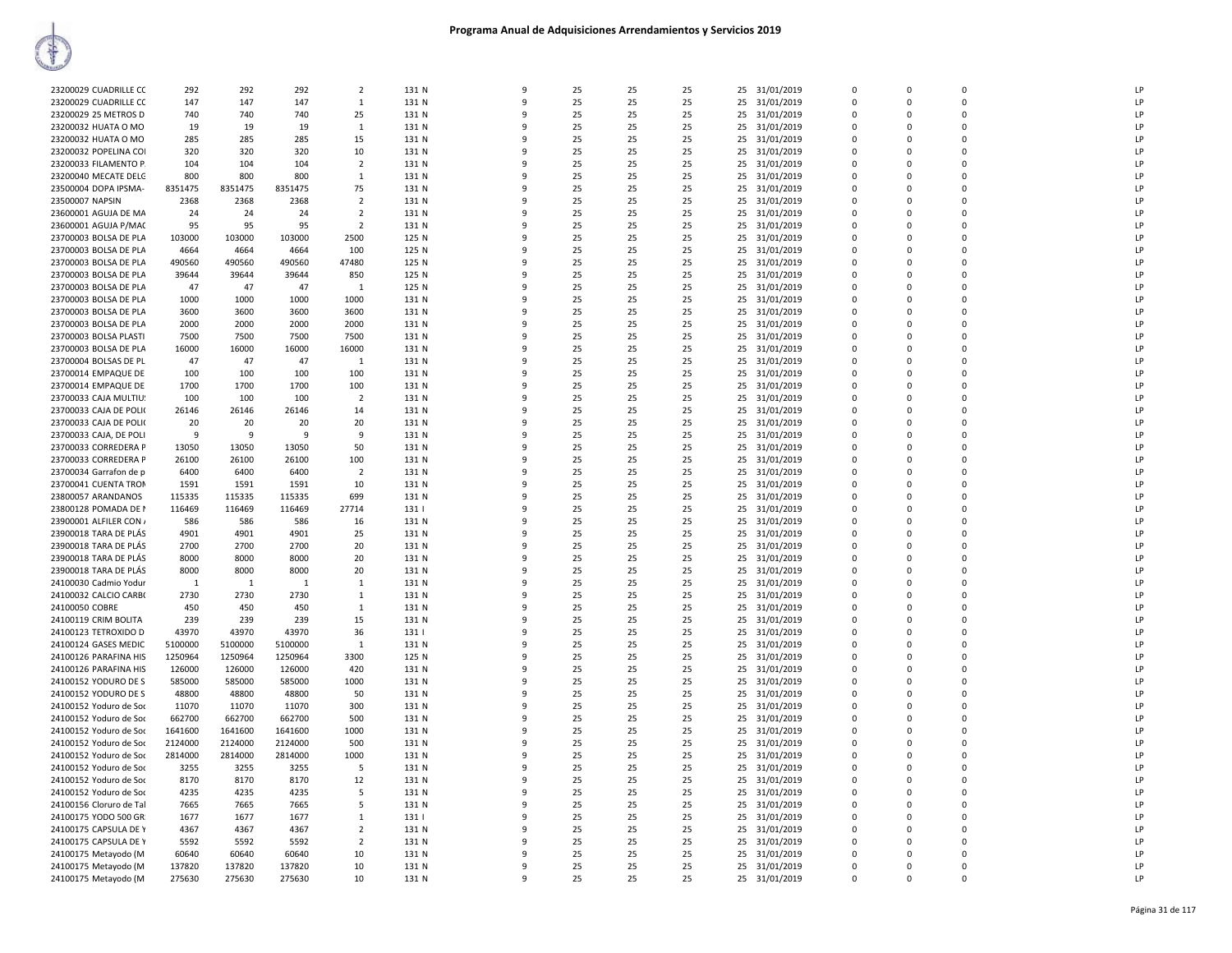| 23200029 CUADRILLE CC   | 292     | 292     | 292     | $\overline{2}$ | 131 N | 9            | 25 | 25 | 25 |    | 25 31/01/2019 | 0           | $\mathbf 0$ | 0        | LP |
|-------------------------|---------|---------|---------|----------------|-------|--------------|----|----|----|----|---------------|-------------|-------------|----------|----|
|                         |         |         |         |                |       |              |    |    |    |    |               |             |             |          |    |
| 23200029 CUADRILLE CC   | 147     | 147     | 147     | $\mathbf{1}$   | 131 N | $\mathbf{q}$ | 25 | 25 | 25 |    | 25 31/01/2019 | $\Omega$    | $\Omega$    | $\Omega$ | LP |
| 23200029 25 METROS D    | 740     | 740     | 740     | 25             | 131 N | q            | 25 | 25 | 25 |    | 25 31/01/2019 | 0           | $\Omega$    | $\Omega$ | LP |
| 23200032 HUATA O MO     | 19      | 19      | 19      | $\overline{1}$ | 131 N | q            | 25 | 25 | 25 |    | 25 31/01/2019 | $\Omega$    | $\Omega$    | 0        | LP |
| 23200032 HUATA O MO     | 285     | 285     | 285     | 15             | 131 N | 9            | 25 | 25 | 25 |    | 25 31/01/2019 | 0           | $\Omega$    | 0        | LP |
|                         |         |         |         |                |       |              |    |    |    |    |               |             |             |          |    |
| 23200032 POPELINA COI   | 320     | 320     | 320     | 10             | 131 N | $\mathbf{q}$ | 25 | 25 | 25 |    | 25 31/01/2019 | $\Omega$    | $\Omega$    | $\Omega$ | LP |
| 23200033 FILAMENTO P.   | 104     | 104     | 104     | $\overline{2}$ | 131 N | 9            | 25 | 25 | 25 |    | 25 31/01/2019 | 0           | 0           | 0        | LP |
| 23200040 MECATE DELG    | 800     | 800     | 800     | $\mathbf{1}$   | 131 N | 9            | 25 | 25 | 25 |    | 25 31/01/2019 | 0           | $\mathbf 0$ | 0        | LP |
| 23500004 DOPA IPSMA-    | 8351475 | 8351475 | 8351475 | 75             | 131 N | 9            | 25 | 25 | 25 |    | 25 31/01/2019 | $\mathbf 0$ | 0           | $\Omega$ | LP |
|                         |         |         |         |                |       |              |    |    |    |    |               |             |             |          |    |
| 23500007 NAPSIN         | 2368    | 2368    | 2368    | $\overline{2}$ | 131 N | q            | 25 | 25 | 25 |    | 25 31/01/2019 | 0           | $\mathbf 0$ | O        | LP |
| 23600001 AGUJA DE MA    | 24      | 24      | 24      | $\overline{2}$ | 131 N |              | 25 | 25 | 25 |    | 25 31/01/2019 | $\Omega$    | $\Omega$    | 0        | LP |
| 23600001 AGUJA P/MAC    | 95      | 95      | 95      | $\overline{2}$ | 131 N | q            | 25 | 25 | 25 |    | 25 31/01/2019 | 0           | $\Omega$    | 0        | LP |
| 23700003 BOLSA DE PLA   | 103000  | 103000  | 103000  | 2500           | 125 N | q            | 25 | 25 | 25 |    | 25 31/01/2019 | $\Omega$    | $\Omega$    | $\Omega$ | LP |
|                         |         |         |         |                |       |              |    |    |    |    |               |             |             |          |    |
| 23700003 BOLSA DE PLA   | 4664    | 4664    | 4664    | 100            | 125 N | q            | 25 | 25 | 25 |    | 25 31/01/2019 | 0           | $\Omega$    | $\Omega$ | LP |
| 23700003 BOLSA DE PLA   | 490560  | 490560  | 490560  | 47480          | 125 N | q            | 25 | 25 | 25 |    | 25 31/01/2019 | $\Omega$    | $\Omega$    | 0        | LP |
| 23700003 BOLSA DE PLA   | 39644   | 39644   | 39644   | 850            | 125 N | 9            | 25 | 25 | 25 | 25 | 31/01/2019    | $\mathbf 0$ | $\mathbf 0$ | 0        | LP |
| 23700003 BOLSA DE PLA   | 47      | 47      | 47      | 1              | 125 N | q            | 25 | 25 | 25 |    | 25 31/01/2019 | $\mathbf 0$ | $\Omega$    | $\Omega$ | LP |
|                         |         |         |         |                |       |              |    |    |    |    |               |             |             |          |    |
| 23700003 BOLSA DE PLA   | 1000    | 1000    | 1000    | 1000           | 131 N |              | 25 | 25 | 25 |    | 25 31/01/2019 | $\mathbf 0$ | $\Omega$    | $\Omega$ | LP |
| 23700003 BOLSA DE PLA   | 3600    | 3600    | 3600    | 3600           | 131 N | q            | 25 | 25 | 25 |    | 25 31/01/2019 | 0           | $\mathbf 0$ | 0        | LP |
| 23700003 BOLSA DE PLA   | 2000    | 2000    | 2000    | 2000           | 131 N | $\mathbf{q}$ | 25 | 25 | 25 |    | 25 31/01/2019 | $\mathbf 0$ | $\Omega$    | $\Omega$ | LP |
| 23700003 BOLSA PLASTI   | 7500    | 7500    | 7500    | 7500           | 131 N | ۹            | 25 | 25 | 25 |    | 25 31/01/2019 | $\Omega$    | $\Omega$    | O        | P  |
|                         |         |         |         |                |       | q            |    |    |    |    |               | $\Omega$    |             | 0        |    |
| 23700003 BOLSA DE PLA   | 16000   | 16000   | 16000   | 16000          | 131 N |              | 25 | 25 | 25 |    | 25 31/01/2019 |             | $\Omega$    |          | LP |
| 23700004 BOLSAS DE PL   | 47      | 47      | 47      | 1              | 131 N | 9            | 25 | 25 | 25 | 25 | 31/01/2019    | 0           | $\mathbf 0$ | 0        | LP |
| 23700014 EMPAQUE DE     | 100     | 100     | 100     | 100            | 131 N | q            | 25 | 25 | 25 |    | 25 31/01/2019 | $\Omega$    | $\Omega$    | $\Omega$ | LP |
| 23700014 EMPAQUE DE     | 1700    | 1700    | 1700    | 100            | 131 N |              | 25 | 25 | 25 |    | 25 31/01/2019 | $\Omega$    | $\Omega$    | $\Omega$ | LP |
|                         |         |         |         |                |       |              |    |    |    |    |               |             |             |          |    |
| 23700033 CAJA MULTIU!   | 100     | 100     | 100     | $\overline{2}$ | 131 N | q            | 25 | 25 | 25 |    | 25 31/01/2019 | $\Omega$    | $\Omega$    | 0        | LP |
| 23700033 CAJA DE POLI(  | 26146   | 26146   | 26146   | 14             | 131 N | 9            | 25 | 25 | 25 |    | 25 31/01/2019 | $\mathsf 0$ | $\Omega$    | 0        | LP |
| 23700033 CAJA DE POLI(  | 20      | 20      | 20      | 20             | 131 N | q            | 25 | 25 | 25 |    | 25 31/01/2019 | $\Omega$    | $\Omega$    | $\Omega$ | LP |
| 23700033 CAJA, DE POLI  | 9       | 9       | 9       | 9              | 131 N | q            | 25 | 25 | 25 |    | 25 31/01/2019 | $\mathbf 0$ | 0           | 0        | LP |
|                         |         |         |         |                |       | q            |    |    |    |    |               |             |             |          |    |
| 23700033 CORREDERA P    | 13050   | 13050   | 13050   | 50             | 131 N |              | 25 | 25 | 25 | 25 | 31/01/2019    | 0           | $\mathbf 0$ | 0        | LP |
| 23700033 CORREDERA P    | 26100   | 26100   | 26100   | 100            | 131 N | $\mathbf{q}$ | 25 | 25 | 25 |    | 25 31/01/2019 | $\Omega$    | $\Omega$    | $\Omega$ | LP |
| 23700034 Garrafon de p  | 6400    | 6400    | 6400    | $\overline{2}$ | 131 N | q            | 25 | 25 | 25 |    | 25 31/01/2019 | 0           | $\Omega$    | $\Omega$ | LP |
| 23700041 CUENTA TRON    | 1591    | 1591    | 1591    | 10             | 131 N | q            | 25 | 25 | 25 |    | 25 31/01/2019 | 0           | $\Omega$    | 0        | LP |
|                         |         |         |         |                |       |              |    |    |    |    |               |             |             |          |    |
| 23800057 ARANDANOS      | 115335  | 115335  | 115335  | 699            | 131 N |              | 25 | 25 | 25 |    | 25 31/01/2019 | $\Omega$    | $\Omega$    | $\Omega$ | LP |
| 23800128 POMADA DE I    | 116469  | 116469  | 116469  | 27714          | 131   | q            | 25 | 25 | 25 |    | 25 31/01/2019 | $\Omega$    | $\Omega$    | 0        | LP |
| 23900001 ALFILER CON /  | 586     | 586     | 586     | 16             | 131 N |              | 25 | 25 | 25 |    | 25 31/01/2019 | $\Omega$    | $\Omega$    | $\Omega$ | LP |
| 23900018 TARA DE PLÁS   | 4901    | 4901    | 4901    | 25             | 131 N | 9            | 25 | 25 | 25 |    | 25 31/01/2019 | 0           | 0           | 0        | LP |
| 23900018 TARA DE PLÁS   | 2700    | 2700    | 2700    | 20             | 131 N | 9            | 25 | 25 | 25 |    | 25 31/01/2019 | $\mathbf 0$ | $\Omega$    | $\Omega$ | LP |
|                         |         |         |         |                |       |              |    |    |    |    |               |             |             |          |    |
| 23900018 TARA DE PLÁS   | 8000    | 8000    | 8000    | 20             | 131 N | q            | 25 | 25 | 25 |    | 25 31/01/2019 | 0           | $\mathbf 0$ | $\Omega$ | LP |
| 23900018 TARA DE PLÁS   | 8000    | 8000    | 8000    | 20             | 131 N |              | 25 | 25 | 25 |    | 25 31/01/2019 | $\mathbf 0$ | 0           | 0        | LP |
| 24100030 Cadmio Yodur   | 1       | -1      | 1       | 1              | 131 N | q            | 25 | 25 | 25 |    | 25 31/01/2019 | 0           | $\Omega$    | 0        | LP |
| 24100032 CALCIO CARB(   | 2730    | 2730    | 2730    |                | 131 N | q            | 25 | 25 | 25 |    |               | $\Omega$    | $\Omega$    | $\Omega$ | LP |
|                         |         |         |         | $\mathbf{1}$   |       |              |    |    |    |    | 25 31/01/2019 |             |             |          |    |
| 24100050 COBRE          | 450     | 450     | 450     | 1              | 131 N | q            | 25 | 25 | 25 |    | 25 31/01/2019 | $\Omega$    | $\Omega$    | $\Omega$ | LP |
| 24100119 CRIM BOLITA    | 239     | 239     | 239     | 15             | 131 N | q            | 25 | 25 | 25 |    | 25 31/01/2019 | $\Omega$    | $\mathbf 0$ | 0        | LP |
| 24100123 TETROXIDO D    | 43970   | 43970   | 43970   | 36             | 131   | q            | 25 | 25 | 25 |    | 25 31/01/2019 | 0           | $\Omega$    | $\Omega$ | LP |
| 24100124 GASES MEDIC    | 5100000 | 5100000 | 5100000 | 1              | 131 N | q            | 25 | 25 | 25 |    | 25 31/01/2019 | $\Omega$    | $\Omega$    | $\Omega$ | LP |
|                         |         |         |         |                |       |              |    |    |    |    |               |             |             |          |    |
| 24100126 PARAFINA HIS   | 1250964 | 1250964 | 1250964 | 3300           | 125 N |              | 25 | 25 | 25 |    | 25 31/01/2019 | $\mathbf 0$ | $\Omega$    | $\Omega$ | LP |
| 24100126 PARAFINA HIS   | 126000  | 126000  | 126000  | 420            | 131 N | q            | 25 | 25 | 25 |    | 25 31/01/2019 | 0           | $\mathbf 0$ | 0        | LP |
| 24100152 YODURO DE S    | 585000  | 585000  | 585000  | 1000           | 131 N | $\mathbf{q}$ | 25 | 25 | 25 |    | 25 31/01/2019 | $\mathbf 0$ | $\Omega$    | $\Omega$ | LP |
| 24100152 YODURO DE S    | 48800   | 48800   | 48800   | 50             | 131 N |              | 25 | 25 | 25 |    | 25 31/01/2019 | 0           | 0           | 0        | LP |
|                         |         |         |         |                |       |              |    |    |    |    |               |             |             |          |    |
| 24100152 Yoduro de Soc  | 11070   | 11070   | 11070   | 300            | 131 N | q            | 25 | 25 | 25 |    | 25 31/01/2019 | 0           | $\mathbf 0$ | 0        | LP |
| 24100152 Yoduro de Soc  | 662700  | 662700  | 662700  | 500            | 131 N | 9            | 25 | 25 | 25 |    | 25 31/01/2019 | $\Omega$    | $\Omega$    | 0        | LP |
| 24100152 Yoduro de Soc  | 1641600 | 1641600 | 1641600 | 1000           | 131 N | q            | 25 | 25 | 25 |    | 25 31/01/2019 | $\Omega$    | $\Omega$    | $\Omega$ | LP |
| 24100152 Yoduro de Soc  | 2124000 | 2124000 | 2124000 | 500            | 131 N |              | 25 | 25 | 25 |    | 25 31/01/2019 | $\Omega$    | $\Omega$    | $\Omega$ | LP |
|                         | 2814000 | 2814000 |         | 1000           |       | q            | 25 |    |    |    |               | $\Omega$    |             |          | LP |
| 24100152 Yoduro de Soc  |         |         | 2814000 |                | 131 N |              |    | 25 | 25 |    | 25 31/01/2019 |             | $\Omega$    | 0        |    |
| 24100152 Yoduro de Soc  | 3255    | 3255    | 3255    | 5              | 131 N | 9            | 25 | 25 | 25 |    | 25 31/01/2019 | $\mathbf 0$ | $\Omega$    | 0        | LP |
| 24100152 Yoduro de Soc  | 8170    | 8170    | 8170    | 12             | 131 N | q            | 25 | 25 | 25 |    | 25 31/01/2019 | 0           | $\Omega$    | $\Omega$ | LP |
| 24100152 Yoduro de Soc  | 4235    | 4235    | 4235    | 5              | 131 N | 9            | 25 | 25 | 25 |    | 25 31/01/2019 | $\Omega$    | $\Omega$    | 0        | LP |
|                         |         |         |         |                |       |              |    |    |    |    |               |             |             |          |    |
| 24100156 Cloruro de Tal | 7665    | 7665    | 7665    | 5              | 131 N | 9            | 25 | 25 | 25 | 25 | 31/01/2019    | 0           | $\mathbf 0$ | 0        | LP |
| 24100175 YODO 500 GR    | 1677    | 1677    | 1677    | 1              | 131   | q            | 25 | 25 | 25 |    | 25 31/01/2019 | $\Omega$    | $\Omega$    | $\Omega$ | LP |
| 24100175 CAPSULA DE Y   | 4367    | 4367    | 4367    | $\overline{2}$ | 131 N |              | 25 | 25 | 25 |    | 25 31/01/2019 | $\Omega$    | $\Omega$    | $\Omega$ | P  |
| 24100175 CAPSULA DE Y   | 5592    | 5592    | 5592    | $\overline{2}$ | 131 N | q            | 25 | 25 | 25 |    | 25 31/01/2019 | $\Omega$    | $\Omega$    | 0        | LP |
|                         |         |         |         |                |       |              |    |    |    |    |               | $\Omega$    | $\Omega$    | 0        | LP |
| 24100175 Metayodo (M    | 60640   | 60640   | 60640   | 10             | 131 N |              | 25 | 25 | 25 |    | 25 31/01/2019 |             |             |          |    |
| 24100175 Metayodo (M    | 137820  | 137820  | 137820  | 10             | 131 N | q            | 25 | 25 | 25 |    | 25 31/01/2019 | $\Omega$    | $\Omega$    | $\Omega$ | LP |
| 24100175 Metayodo (M    | 275630  | 275630  | 275630  | 10             | 131 N | 9            | 25 | 25 | 25 |    | 25 31/01/2019 | $\Omega$    | $\Omega$    |          | LP |
|                         |         |         |         |                |       |              |    |    |    |    |               |             |             |          |    |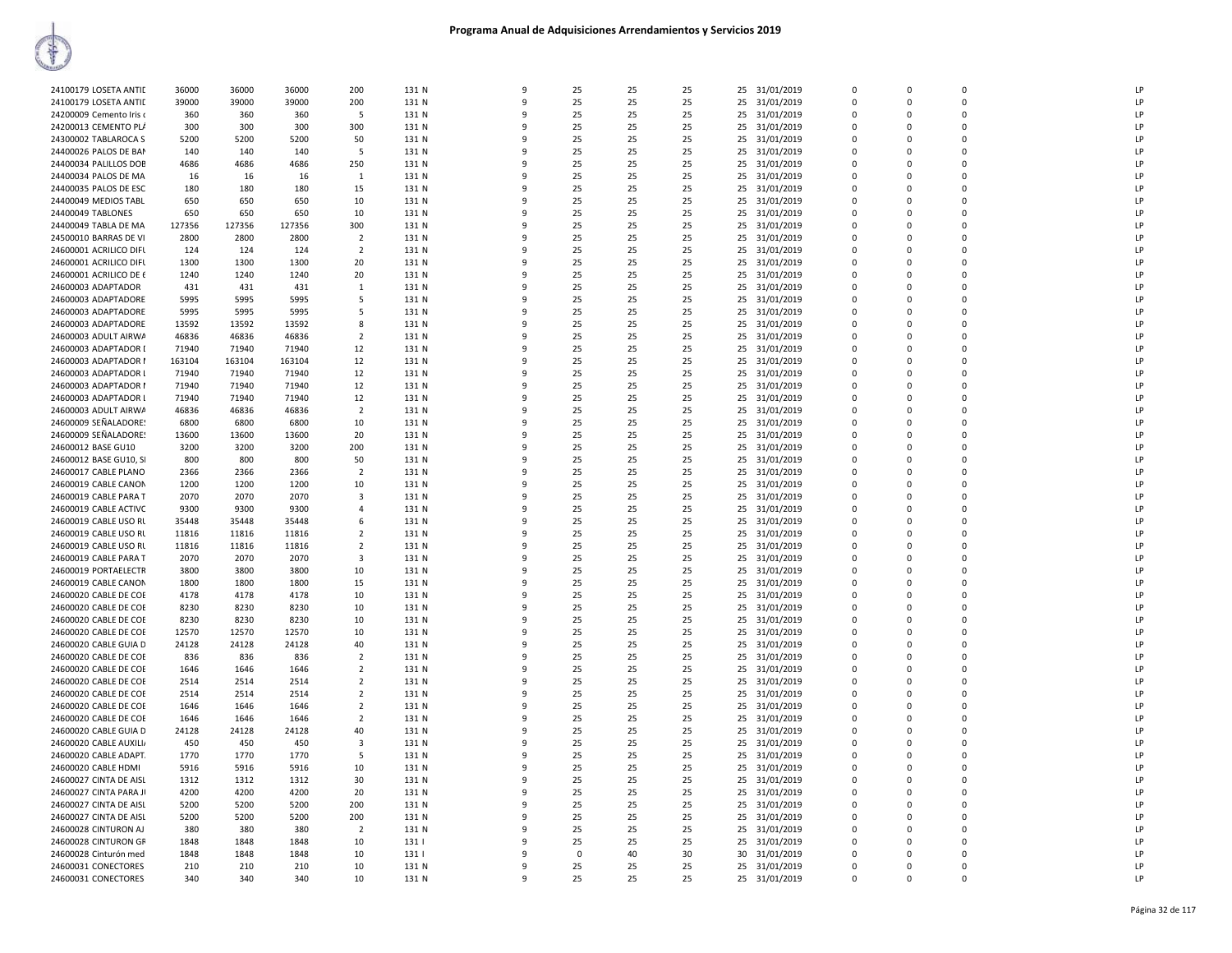| 24100179 LOSETA ANTID   | 36000  | 36000  | 36000  | 200                     | 131 N | 9        | 25       | 25 | 25 | 25<br>31/01/2019 | 0           | 0        | $\mathbf 0$ | LP |
|-------------------------|--------|--------|--------|-------------------------|-------|----------|----------|----|----|------------------|-------------|----------|-------------|----|
| 24100179 LOSETA ANTIL   | 39000  | 39000  | 39000  | 200                     | 131 N | q        | 25       | 25 | 25 | 25<br>31/01/2019 | $\Omega$    | $\Omega$ | $\Omega$    | LP |
| 24200009 Cemento Iris o | 360    | 360    | 360    | .5                      | 131 N |          | 25       | 25 | 25 | 25<br>31/01/2019 | $\Omega$    | $\Omega$ | $\Omega$    | LP |
|                         |        |        |        |                         |       |          |          |    |    |                  |             |          |             |    |
| 24200013 CEMENTO PL/    | 300    | 300    | 300    | 300                     | 131 N | q        | 25       | 25 | 25 | 31/01/2019<br>25 | $\Omega$    | $\Omega$ | $\mathbf 0$ | LP |
| 24300002 TABLAROCA S    | 5200   | 5200   | 5200   | 50                      | 131 N |          | 25       | 25 | 25 | 25<br>31/01/2019 | $\Omega$    | $\Omega$ | $\Omega$    | LP |
| 24400026 PALOS DE BAN   | 140    | 140    | 140    | 5                       | 131 N | q        | 25       | 25 | 25 | 31/01/2019<br>25 | $\Omega$    | $\Omega$ | $\Omega$    | LP |
|                         |        |        |        |                         |       |          |          |    |    |                  |             |          |             |    |
| 24400034 PALILLOS DOE   | 4686   | 4686   | 4686   | 250                     | 131 N |          | 25       | 25 | 25 | 25<br>31/01/2019 | $\Omega$    | $\Omega$ | $\mathbf 0$ | LP |
| 24400034 PALOS DE MA    | 16     | 16     | 16     | $\mathbf{1}$            | 131 N | 9        | 25       | 25 | 25 | 25<br>31/01/2019 | $\mathbf 0$ | $\Omega$ | $\mathbf 0$ | LP |
| 24400035 PALOS DE ESC   | 180    | 180    | 180    |                         | 131 N | c        | 25       | 25 | 25 | 25               | $\Omega$    | $\Omega$ | $\Omega$    | LP |
|                         |        |        |        | 15                      |       |          |          |    |    | 31/01/2019       |             |          |             |    |
| 24400049 MEDIOS TABL    | 650    | 650    | 650    | 10                      | 131 N |          | 25       | 25 | 25 | 25<br>31/01/2019 | $\mathbf 0$ | $\Omega$ | $\mathbf 0$ | LP |
| 24400049 TABLONES       | 650    | 650    | 650    | 10                      | 131 N |          | 25       | 25 | 25 | 31/01/2019<br>25 | $\Omega$    | $\Omega$ | $\Omega$    | LP |
|                         |        |        |        |                         |       |          |          |    |    |                  |             |          | 0           |    |
| 24400049 TABLA DE MA    | 127356 | 127356 | 127356 | 300                     | 131 N |          | 25       | 25 | 25 | 25<br>31/01/2019 | 0           |          |             | LP |
| 24500010 BARRAS DE VI   | 2800   | 2800   | 2800   | $\overline{2}$          | 131 N | ۹        | 25       | 25 | 25 | 31/01/2019<br>25 | $\Omega$    | $\Omega$ | $\Omega$    | LP |
| 24600001 ACRILICO DIFU  | 124    | 124    | 124    | $\overline{2}$          | 131 N |          | 25       | 25 | 25 | 31/01/2019<br>25 | $\Omega$    | $\Omega$ | $\Omega$    | LP |
|                         |        |        |        |                         |       |          |          |    |    |                  |             |          | $\Omega$    | LP |
| 24600001 ACRILICO DIFL  | 1300   | 1300   | 1300   | 20                      | 131 N | q        | 25       | 25 | 25 | 31/01/2019<br>25 | $\Omega$    | $\Omega$ |             |    |
| 24600001 ACRILICO DE 6  | 1240   | 1240   | 1240   | 20                      | 131 N | 9        | 25       | 25 | 25 | 25<br>31/01/2019 | $\Omega$    | $\Omega$ | $\Omega$    | LP |
| 24600003 ADAPTADOR      | 431    | 431    | 431    | 1                       | 131 N |          | 25       | 25 | 25 | 25<br>31/01/2019 | $\Omega$    | $\Omega$ | $\Omega$    | LP |
|                         |        |        |        |                         |       |          |          |    |    |                  |             |          |             |    |
| 24600003 ADAPTADORE     | 5995   | 5995   | 5995   | 5                       | 131 N |          | 25       | 25 | 25 | 31/01/2019<br>25 | $\Omega$    | $\Omega$ | $\Omega$    | LP |
| 24600003 ADAPTADORE     | 5995   | 5995   | 5995   | 5                       | 131 N |          | 25       | 25 | 25 | 25<br>31/01/2019 | $\Omega$    | $\Omega$ | $\mathbf 0$ | LP |
| 24600003 ADAPTADORE     | 13592  | 13592  | 13592  | 8                       | 131 N | q        | 25       | 25 | 25 | 25<br>31/01/2019 | $\Omega$    | $\Omega$ | $\Omega$    | LP |
|                         |        |        |        |                         |       |          |          |    |    |                  |             |          |             |    |
| 24600003 ADULT AIRWA    | 46836  | 46836  | 46836  | $\overline{2}$          | 131 N |          | 25       | 25 | 25 | 25<br>31/01/2019 | 0           | 0        | $\mathbf 0$ | LP |
| 24600003 ADAPTADOR I    | 71940  | 71940  | 71940  | 12                      | 131 N | q        | 25       | 25 | 25 | 31/01/2019<br>25 | $\Omega$    | $\Omega$ | $\Omega$    | LP |
|                         |        |        |        |                         |       | 9        | 25       |    |    |                  | $\Omega$    | $\Omega$ | $\Omega$    | LP |
| 24600003 ADAPTADOR I    | 163104 | 163104 | 163104 | 12                      | 131 N |          |          | 25 | 25 | 31/01/2019<br>25 |             |          |             |    |
| 24600003 ADAPTADOR I    | 71940  | 71940  | 71940  | 12                      | 131 N | c        | 25       | 25 | 25 | 31/01/2019<br>25 | $\Omega$    | $\Omega$ | $\Omega$    | LP |
| 24600003 ADAPTADOR I    | 71940  | 71940  | 71940  | 12                      | 131 N |          | 25       | 25 | 25 | 25 31/01/2019    | $\Omega$    | $\Omega$ | $\Omega$    | LP |
|                         |        |        |        |                         |       |          |          |    |    |                  |             |          |             |    |
| 24600003 ADAPTADOR L    | 71940  | 71940  | 71940  | 12                      | 131 N |          | 25       | 25 | 25 | 25<br>31/01/2019 | $\Omega$    | $\Omega$ | 0           | LP |
| 24600003 ADULT AIRWA    | 46836  | 46836  | 46836  | $\overline{2}$          | 131 N | q        | 25       | 25 | 25 | 25<br>31/01/2019 | $\Omega$    | $\Omega$ | $\Omega$    | LP |
| 24600009 SEÑALADORE!    | 6800   | 6800   | 6800   | 10                      | 131 N |          | 25       | 25 | 25 | 25<br>31/01/2019 | $\Omega$    | $\Omega$ | $\mathbf 0$ | LP |
|                         |        |        |        |                         |       |          |          |    |    |                  |             |          |             |    |
| 24600009 SEÑALADORE!    | 13600  | 13600  | 13600  | 20                      | 131 N | 9        | 25       | 25 | 25 | 31/01/2019<br>25 | $\Omega$    | $\Omega$ | $\Omega$    | LP |
| 24600012 BASE GU10      | 3200   | 3200   | 3200   | 200                     | 131 N | 9        | 25       | 25 | 25 | 25<br>31/01/2019 | 0           | 0        | $\mathbf 0$ | LP |
| 24600012 BASE GU10, SI  | 800    | 800    | 800    | 50                      | 131 N | q        | 25       | 25 | 25 | 31/01/2019<br>25 | $\Omega$    | $\Omega$ | $\Omega$    | LP |
|                         |        |        |        |                         |       |          |          |    |    |                  |             |          |             |    |
| 24600017 CABLE PLANO    | 2366   | 2366   | 2366   | $\overline{2}$          | 131 N |          | 25       | 25 | 25 | 25<br>31/01/2019 | $\Omega$    | $\Omega$ | $\Omega$    | LP |
| 24600019 CABLE CANON    | 1200   | 1200   | 1200   | 10                      | 131 N |          | 25       | 25 | 25 | 31/01/2019<br>25 | $\Omega$    | $\Omega$ | $\Omega$    | LP |
| 24600019 CABLE PARA T   | 2070   | 2070   | 2070   | $\overline{\mathbf{3}}$ | 131 N | q        | 25       | 25 | 25 | 25               | $\Omega$    | $\Omega$ | $\Omega$    | LP |
|                         |        |        |        |                         |       |          |          |    |    | 31/01/2019       |             |          |             |    |
| 24600019 CABLE ACTIVC   | 9300   | 9300   | 9300   | $\overline{4}$          | 131 N |          | 25       | 25 | 25 | 25<br>31/01/2019 | $\Omega$    | $\Omega$ | $\Omega$    | LP |
| 24600019 CABLE USO RL   | 35448  | 35448  | 35448  | 6                       | 131 N | q        | 25       | 25 | 25 | 31/01/2019<br>25 | $\Omega$    | $\Omega$ | $\Omega$    | LP |
|                         |        |        |        |                         |       |          |          |    |    |                  |             |          |             | LP |
| 24600019 CABLE USO RU   | 11816  | 11816  | 11816  | 2                       | 131 N | 9        | 25       | 25 | 25 | 25<br>31/01/2019 | 0           | $\Omega$ | 0           |    |
| 24600019 CABLE USO RL   | 11816  | 11816  | 11816  | $\overline{2}$          | 131 N | c        | 25       | 25 | 25 | 31/01/2019<br>25 | $\Omega$    | $\Omega$ | $\Omega$    | LP |
| 24600019 CABLE PARA T   | 2070   | 2070   | 2070   | $\overline{\mathbf{3}}$ | 131 N |          | 25       | 25 | 25 | 25<br>31/01/2019 | $\Omega$    | $\Omega$ | $\mathbf 0$ | LP |
|                         |        |        |        |                         |       |          |          |    |    |                  |             |          |             | LP |
| 24600019 PORTAELECTR    | 3800   | 3800   | 3800   | 10                      | 131 N |          | 25       | 25 | 25 | 25<br>31/01/2019 | $\Omega$    | $\Omega$ | $\mathbf 0$ |    |
| 24600019 CABLE CANON    | 1800   | 1800   | 1800   | 15                      | 131 N |          | 25       | 25 | 25 | 25<br>31/01/2019 | 0           |          | $\mathbf 0$ | LP |
| 24600020 CABLE DE COE   | 4178   | 4178   | 4178   | 10                      | 131 N | q        | 25       | 25 | 25 | 31/01/2019<br>25 | $\Omega$    | $\Omega$ | $\mathbf 0$ | LP |
|                         |        |        |        |                         |       |          |          |    |    |                  |             |          |             |    |
| 24600020 CABLE DE COE   | 8230   | 8230   | 8230   | 10                      | 131 N | q        | 25       | 25 | 25 | 25<br>31/01/2019 | $\Omega$    | $\Omega$ | $\Omega$    | LP |
| 24600020 CABLE DE COE   | 8230   | 8230   | 8230   | 10                      | 131 N | 9        | 25       | 25 | 25 | 25<br>31/01/2019 | $\Omega$    | $\Omega$ | $\Omega$    | LP |
| 24600020 CABLE DE COE   | 12570  | 12570  | 12570  | 10                      | 131 N | q        | 25       | 25 | 25 | 25<br>31/01/2019 | $\Omega$    | $\Omega$ | $\Omega$    | LP |
|                         |        |        |        |                         |       |          |          |    |    |                  |             |          |             |    |
| 24600020 CABLE GUIA D   | 24128  | 24128  | 24128  | 40                      | 131 N |          | 25       | 25 | 25 | 25<br>31/01/2019 | $\Omega$    | $\Omega$ | $\Omega$    | LP |
| 24600020 CABLE DE COE   | 836    | 836    | 836    | $\overline{2}$          | 131 N |          | 25       | 25 | 25 | 31/01/2019<br>25 | $\Omega$    | $\Omega$ | $\Omega$    | LP |
| 24600020 CABLE DE COE   | 1646   | 1646   | 1646   | $\overline{2}$          | 131 N |          | 25       | 25 | 25 | 25<br>31/01/2019 | 0           | $\Omega$ | $\mathbf 0$ | LP |
|                         |        |        |        |                         |       |          |          |    |    |                  |             |          |             |    |
| 24600020 CABLE DE COE   | 2514   | 2514   | 2514   | $\overline{2}$          | 131 N | $\Omega$ | 25       | 25 | 25 | 25<br>31/01/2019 | $\Omega$    | $\Omega$ | $\Omega$    | LP |
| 24600020 CABLE DE COE   | 2514   | 2514   | 2514   | $\overline{2}$          | 131 N | S        | 25       | 25 | 25 | 25<br>31/01/2019 | $\Omega$    | $\Omega$ | $\mathbf 0$ | LP |
| 24600020 CABLE DE COE   | 1646   | 1646   | 1646   | $\overline{2}$          | 131 N | 9        | 25       | 25 | 25 | 31/01/2019<br>25 | 0           | $\Omega$ | $\mathbf 0$ | LP |
|                         |        |        |        |                         |       |          |          |    |    |                  |             |          |             |    |
| 24600020 CABLE DE COE   | 1646   | 1646   | 1646   | $\overline{2}$          | 131 N | c        | 25       | 25 | 25 | 25<br>31/01/2019 | $\mathbf 0$ | $\Omega$ | $\mathbf 0$ | LP |
| 24600020 CABLE GUIA D   | 24128  | 24128  | 24128  | 40                      | 131 N | q        | 25       | 25 | 25 | 25<br>31/01/2019 | $\Omega$    | $\Omega$ | $\Omega$    | LP |
| 24600020 CABLE AUXILI/  | 450    | 450    | 450    | $\mathbf{3}$            | 131 N |          | 25       | 25 | 25 | 25 31/01/2019    | $\Omega$    | $\Omega$ | $\Omega$    | LP |
|                         |        |        |        |                         |       |          |          |    |    |                  |             |          |             |    |
| 24600020 CABLE ADAPT.   | 1770   | 1770   | 1770   | -5                      | 131 N |          | 25       | 25 | 25 | 25<br>31/01/2019 | $\Omega$    | $\Omega$ | 0           | LP |
| 24600020 CABLE HDMI     | 5916   | 5916   | 5916   | 10                      | 131 N | q        | 25       | 25 | 25 | 25<br>31/01/2019 | $\Omega$    | $\Omega$ | $\Omega$    | LP |
|                         | 1312   | 1312   | 1312   | 30                      | 131 N | 9        | 25       | 25 | 25 | 25               | $\Omega$    | $\Omega$ | $\mathbf 0$ | LP |
| 24600027 CINTA DE AISL  |        |        |        |                         |       |          |          |    |    | 31/01/2019       |             |          |             |    |
| 24600027 CINTA PARA JI  | 4200   | 4200   | 4200   | 20                      | 131 N | 9        | 25       | 25 | 25 | 31/01/2019<br>25 | 0           | $\Omega$ | $\mathbf 0$ | LP |
| 24600027 CINTA DE AISL  | 5200   | 5200   | 5200   | 200                     | 131 N | 9        | 25       | 25 | 25 | 25<br>31/01/2019 | $\Omega$    | $\Omega$ | $\Omega$    | LP |
|                         |        |        |        |                         |       | $\Omega$ |          |    |    |                  |             |          |             |    |
| 24600027 CINTA DE AISL  | 5200   | 5200   | 5200   | 200                     | 131 N |          | 25       | 25 | 25 | 31/01/2019<br>25 | $\Omega$    | $\Omega$ | $\Omega$    | LP |
| 24600028 CINTURON AJ    | 380    | 380    | 380    | $\overline{2}$          | 131 N |          | 25       | 25 | 25 | 25 31/01/2019    | $\Omega$    | $\Omega$ | $\mathbf 0$ | LP |
| 24600028 CINTURON GF    | 1848   | 1848   | 1848   | 10                      | 131   | q        | 25       | 25 | 25 | 25<br>31/01/2019 | $\Omega$    | $\Omega$ | 0           | LP |
|                         |        |        |        |                         |       | q        | $\Omega$ |    |    |                  | $\Omega$    | $\Omega$ | $\Omega$    |    |
| 24600028 Cinturón med   | 1848   | 1848   | 1848   | 10                      | 131   |          |          | 40 | 30 | 30<br>31/01/2019 |             |          |             | LP |
| 24600031 CONECTORES     | 210    | 210    | 210    | 10                      | 131 N | q        | 25       | 25 | 25 | 25<br>31/01/2019 | $\Omega$    | $\Omega$ | $\Omega$    | LP |
| 24600031 CONECTORES     | 340    | 340    | 340    | 10                      | 131 N | 9        | 25       | 25 | 25 | 25 31/01/2019    | $\Omega$    | $\Omega$ | $\Omega$    | LP |
|                         |        |        |        |                         |       |          |          |    |    |                  |             |          |             |    |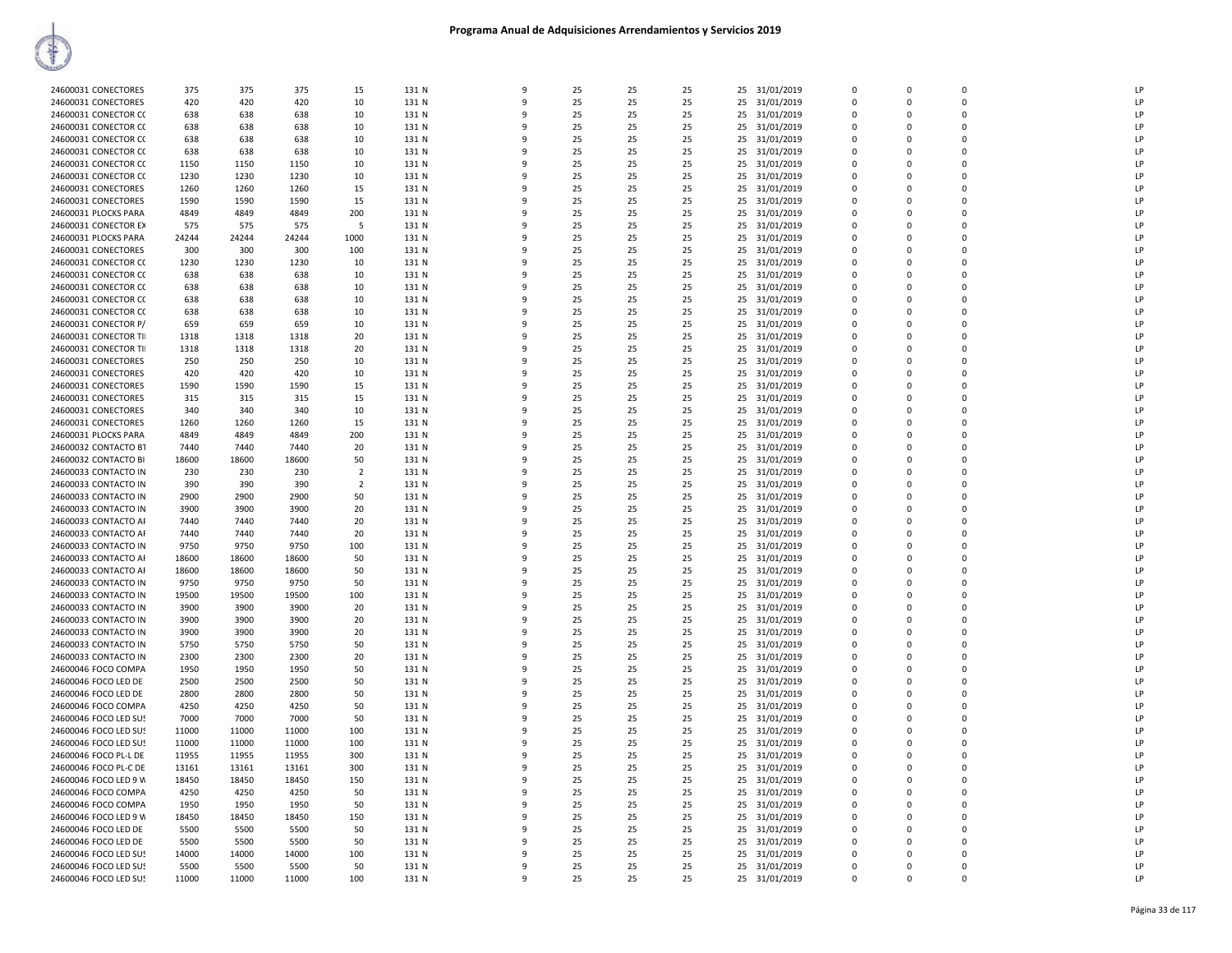| 24600031 CONECTORES   | 375   | 375   | 375   | 15             | 131 N | $\mathsf{q}$ | 25 | 25 | 25 |    | 25 31/01/2019 | $\Omega$    | $\Omega$ | $\Omega$    | <b>LP</b>      |
|-----------------------|-------|-------|-------|----------------|-------|--------------|----|----|----|----|---------------|-------------|----------|-------------|----------------|
| 24600031 CONECTORES   | 420   | 420   | 420   | 10             | 131 N | 9            | 25 | 25 | 25 | 25 | 31/01/2019    | $\Omega$    | $\Omega$ | 0           | LP             |
|                       |       |       |       |                |       |              |    |    |    |    |               |             |          |             | LP             |
| 24600031 CONECTOR CO  | 638   | 638   | 638   | 10             | 131 N | ٩            | 25 | 25 | 25 |    | 25 31/01/2019 | $\Omega$    | $\Omega$ | O           |                |
| 24600031 CONECTOR CO  | 638   | 638   | 638   | 10             | 131 N |              | 25 | 25 | 25 |    | 25 31/01/2019 | $\mathbf 0$ | $\Omega$ | 0           | LP             |
| 24600031 CONECTOR CO  | 638   | 638   | 638   | 10             | 131 N | q            | 25 | 25 | 25 | 25 | 31/01/2019    | 0           | $\Omega$ | 0           | LP             |
| 24600031 CONECTOR CO  | 638   | 638   | 638   | 10             | 131 N | 9            | 25 | 25 | 25 |    | 25 31/01/2019 | $\mathbf 0$ | $\Omega$ | 0           | LP             |
| 24600031 CONECTOR CO  | 1150  | 1150  | 1150  | 10             | 131 N | ٩            | 25 | 25 | 25 |    | 25 31/01/2019 | 0           | n        | 0           | LP             |
| 24600031 CONECTOR CO  | 1230  | 1230  | 1230  | 10             | 131 N | ٩            | 25 | 25 | 25 | 25 | 31/01/2019    | $\Omega$    | $\Omega$ | 0           | LP             |
| 24600031 CONECTORES   | 1260  | 1260  | 1260  | 15             | 131 N | 9            | 25 | 25 | 25 |    | 31/01/2019    | $\Omega$    | $\Omega$ | 0           | LP             |
|                       |       |       |       |                |       |              |    |    |    | 25 |               |             |          |             |                |
| 24600031 CONECTORES   | 1590  | 1590  | 1590  | 15             | 131 N | c            | 25 | 25 | 25 |    | 25 31/01/2019 | $\Omega$    | n        | $\Omega$    | LP             |
| 24600031 PLOCKS PARA  | 4849  | 4849  | 4849  | 200            | 131 N |              | 25 | 25 | 25 |    | 25 31/01/2019 | $\Omega$    | $\Omega$ | 0           | LP             |
| 24600031 CONECTOR EX  | 575   | 575   | 575   | -5             | 131 N |              | 25 | 25 | 25 | 25 | 31/01/2019    | 0           | $\Omega$ | 0           | LP             |
| 24600031 PLOCKS PARA  | 24244 | 24244 | 24244 | 1000           | 131 N |              | 25 | 25 | 25 |    | 25 31/01/2019 | $\mathbf 0$ | $\Omega$ | 0           | LP             |
| 24600031 CONECTORES   | 300   | 300   | 300   | 100            | 131 N | q            | 25 | 25 | 25 | 25 | 31/01/2019    | 0           | $\Omega$ | 0           | LP             |
| 24600031 CONECTOR CO  | 1230  | 1230  | 1230  | 10             | 131 N | q            | 25 | 25 | 25 |    | 25 31/01/2019 | $\Omega$    | $\Omega$ | 0           | LP             |
| 24600031 CONECTOR CO  | 638   | 638   | 638   | 10             | 131 N | -9           | 25 | 25 | 25 | 25 | 31/01/2019    | 0           | $\Omega$ | 0           | LP             |
|                       |       |       |       |                |       |              |    |    |    |    |               |             |          | $\Omega$    | LP             |
| 24600031 CONECTOR CO  | 638   | 638   | 638   | 10             | 131 N | c            | 25 | 25 | 25 |    | 25 31/01/2019 | $\Omega$    | n        |             |                |
| 24600031 CONECTOR CO  | 638   | 638   | 638   | 10             | 131 N |              | 25 | 25 | 25 |    | 25 31/01/2019 | $\Omega$    | $\Omega$ | 0           | LP             |
| 24600031 CONECTOR CO  | 638   | 638   | 638   | 10             | 131 N | ٩            | 25 | 25 | 25 | 25 | 31/01/2019    | 0           | n        | 0           | LP             |
| 24600031 CONECTOR P/  | 659   | 659   | 659   | 10             | 131 N |              | 25 | 25 | 25 |    | 25 31/01/2019 | $\mathbf 0$ | $\Omega$ | 0           | LP             |
| 24600031 CONECTOR TII | 1318  | 1318  | 1318  | 20             | 131 N | q            | 25 | 25 | 25 | 25 | 31/01/2019    | $\mathbf 0$ | $\Omega$ | 0           | LP             |
| 24600031 CONECTOR TII | 1318  | 1318  | 1318  | 20             | 131 N | 9            | 25 | 25 | 25 |    | 25 31/01/2019 | $\mathbf 0$ | $\Omega$ | 0           | LP             |
| 24600031 CONECTORES   | 250   | 250   | 250   | 10             | 131 N | 9            | 25 | 25 | 25 | 25 | 31/01/2019    | 0           | $\Omega$ | 0           | LP             |
| 24600031 CONECTORES   | 420   | 420   | 420   | 10             | 131 N | c            | 25 | 25 | 25 |    |               | $\Omega$    | $\Omega$ | $\Omega$    | LP             |
|                       |       |       |       |                |       |              |    |    |    |    | 25 31/01/2019 |             |          |             |                |
| 24600031 CONECTORES   | 1590  | 1590  | 1590  | 15             | 131 N |              | 25 | 25 | 25 |    | 25 31/01/2019 | $\Omega$    | $\Omega$ | $\Omega$    | LP             |
| 24600031 CONECTORES   | 315   | 315   | 315   | 15             | 131 N |              | 25 | 25 | 25 | 25 | 31/01/2019    | $\Omega$    | n        | 0           | LP             |
| 24600031 CONECTORES   | 340   | 340   | 340   | 10             | 131 N |              | 25 | 25 | 25 | 25 | 31/01/2019    | $\Omega$    | $\Omega$ | 0           | LP             |
| 24600031 CONECTORES   | 1260  | 1260  | 1260  | 15             | 131 N | ٩            | 25 | 25 | 25 | 25 | 31/01/2019    | $\Omega$    | n        | 0           | LP             |
| 24600031 PLOCKS PARA  | 4849  | 4849  | 4849  | 200            | 131 N | 9            | 25 | 25 | 25 |    | 25 31/01/2019 | $\mathbf 0$ | $\Omega$ | 0           | LP             |
| 24600032 CONTACTO B1  | 7440  | 7440  | 7440  | 20             | 131 N | q            | 25 | 25 | 25 | 25 | 31/01/2019    | 0           | 0        | 0           | LP             |
|                       |       |       |       |                |       | c            |    |    |    |    |               | $\Omega$    | $\Omega$ | $\Omega$    | LP             |
| 24600032 CONTACTO BI  | 18600 | 18600 | 18600 | 50             | 131 N |              | 25 | 25 | 25 |    | 25 31/01/2019 |             |          |             |                |
| 24600033 CONTACTO IN  | 230   | 230   | 230   | $\overline{2}$ | 131 N | c            | 25 | 25 | 25 |    | 25 31/01/2019 | $\Omega$    | $\Omega$ | 0           | P              |
| 24600033 CONTACTO IN  | 390   | 390   | 390   | $\overline{2}$ | 131 N |              | 25 | 25 | 25 |    | 25 31/01/2019 | $\Omega$    | $\Omega$ | 0           | LP             |
| 24600033 CONTACTO IN  | 2900  | 2900  | 2900  | 50             | 131 N |              | 25 | 25 | 25 | 25 | 31/01/2019    | $\Omega$    | $\Omega$ | 0           | LP             |
| 24600033 CONTACTO IN  | 3900  | 3900  | 3900  | 20             | 131 N | ٩            | 25 | 25 | 25 | 25 | 31/01/2019    | $\Omega$    | n        | 0           | LP             |
| 24600033 CONTACTO AF  | 7440  | 7440  | 7440  | 20             | 131 N |              | 25 | 25 | 25 |    | 25 31/01/2019 | $\mathbf 0$ | $\Omega$ | 0           | LP             |
| 24600033 CONTACTO AF  | 7440  | 7440  | 7440  | 20             | 131 N | 9            | 25 | 25 | 25 | 25 | 31/01/2019    | 0           | $\Omega$ | 0           | LP             |
|                       |       |       |       |                |       | c            |    |    |    |    |               | $\mathbf 0$ | $\Omega$ | $\Omega$    | LP             |
| 24600033 CONTACTO IN  | 9750  | 9750  | 9750  | 100            | 131 N |              | 25 | 25 | 25 |    | 25 31/01/2019 |             |          |             |                |
| 24600033 CONTACTO AF  | 18600 | 18600 | 18600 | 50             | 131 N | ٠Q           | 25 | 25 | 25 |    | 25 31/01/2019 | $\Omega$    | $\Omega$ | 0           | LP             |
| 24600033 CONTACTO AF  | 18600 | 18600 | 18600 | 50             | 131 N |              | 25 | 25 | 25 |    | 25 31/01/2019 | $\Omega$    | $\Omega$ | 0           | LP             |
| 24600033 CONTACTO IN  | 9750  | 9750  | 9750  | 50             | 131 N |              | 25 | 25 | 25 |    | 25 31/01/2019 | 0           | $\Omega$ | 0           | LP             |
| 24600033 CONTACTO IN  | 19500 | 19500 | 19500 | 100            | 131 N | q            | 25 | 25 | 25 |    | 25 31/01/2019 | $\Omega$    | $\Omega$ | $\Omega$    | LP             |
| 24600033 CONTACTO IN  | 3900  | 3900  | 3900  | 20             | 131 N |              | 25 | 25 | 25 | 25 | 31/01/2019    | $\Omega$    | $\Omega$ | 0           | LP             |
| 24600033 CONTACTO IN  | 3900  | 3900  | 3900  | 20             | 131 N | 9            | 25 | 25 | 25 | 25 | 31/01/2019    | 0           | 0        | 0           | LP             |
| 24600033 CONTACTO IN  | 3900  | 3900  | 3900  | 20             | 131 N | 9            | 25 | 25 | 25 | 25 | 31/01/2019    | $\mathbf 0$ | $\Omega$ | $\Omega$    | LP             |
|                       |       |       |       |                |       | q            |    |    |    |    |               |             | $\Omega$ | O           | LP             |
| 24600033 CONTACTO IN  | 5750  | 5750  | 5750  | 50             | 131 N |              | 25 | 25 | 25 |    | 25 31/01/2019 | 0           |          |             |                |
| 24600033 CONTACTO IN  | 2300  | 2300  | 2300  | 20             | 131 N |              | 25 | 25 | 25 |    | 25 31/01/2019 | $\Omega$    | $\Omega$ | 0           | P              |
| 24600046 FOCO COMPA   | 1950  | 1950  | 1950  | 50             | 131 N |              | 25 | 25 | 25 | 25 | 31/01/2019    | 0           | $\Omega$ | 0           | LP             |
| 24600046 FOCO LED DE  | 2500  | 2500  | 2500  | 50             | 131 N | q            | 25 | 25 | 25 |    | 25 31/01/2019 | $\Omega$    | $\Omega$ | 0           | LP             |
| 24600046 FOCO LED DE  | 2800  | 2800  | 2800  | 50             | 131 N |              | 25 | 25 | 25 | 25 | 31/01/2019    | $\Omega$    | $\Omega$ | 0           | LP             |
| 24600046 FOCO COMPA   | 4250  | 4250  | 4250  | 50             | 131 N | 9            | 25 | 25 | 25 | 25 | 31/01/2019    | 0           | $\Omega$ | 0           | LP             |
| 24600046 FOCO LED SUS | 7000  | 7000  | 7000  | 50             | 131 N | 9            | 25 | 25 | 25 | 25 | 31/01/2019    | $\mathbf 0$ | $\Omega$ | 0           | LP             |
| 24600046 FOCO LED SUS | 11000 | 11000 | 11000 | 100            | 131 N | q            | 25 | 25 | 25 |    | 25 31/01/2019 | $\mathbf 0$ | $\Omega$ | $\Omega$    | LP             |
|                       |       |       |       |                |       |              |    |    |    |    |               |             |          |             |                |
| 24600046 FOCO LED SUS | 11000 | 11000 | 11000 | 100            | 131 N |              | 25 | 25 | 25 |    | 25 31/01/2019 | $\mathbf 0$ | $\Omega$ | $\Omega$    | P              |
| 24600046 FOCO PL-L DE | 11955 | 11955 | 11955 | 300            | 131 N | ٩            | 25 | 25 | 25 | 25 | 31/01/2019    | 0           | n        | $\mathbf 0$ | LP             |
| 24600046 FOCO PL-C DE | 13161 | 13161 | 13161 | 300            | 131 N | q            | 25 | 25 | 25 |    | 25 31/01/2019 | $\Omega$    | $\Omega$ | $\Omega$    | LP             |
| 24600046 FOCO LED 9 W | 18450 | 18450 | 18450 | 150            | 131 N | ٩            | 25 | 25 | 25 |    | 25 31/01/2019 | 0           | $\Omega$ | 0           | LP             |
| 24600046 FOCO COMPA   | 4250  | 4250  | 4250  | 50             | 131 N | ٩            | 25 | 25 | 25 |    | 25 31/01/2019 | 0           | $\Omega$ | 0           | LP             |
| 24600046 FOCO COMPA   | 1950  | 1950  | 1950  | 50             | 131 N | 9            | 25 | 25 | 25 | 25 | 31/01/2019    | 0           | $\Omega$ | 0           | LP             |
| 24600046 FOCO LED 9 W | 18450 | 18450 | 18450 | 150            | 131 N | ٩            | 25 | 25 | 25 | 25 | 31/01/2019    | $\mathbf 0$ | $\Omega$ | $\Omega$    | $\overline{P}$ |
|                       |       |       |       |                |       |              |    |    |    |    |               |             |          | $\Omega$    | LP             |
| 24600046 FOCO LED DE  | 5500  | 5500  | 5500  | 50             | 131 N |              | 25 | 25 | 25 |    | 25 31/01/2019 | $\mathbf 0$ | $\Omega$ |             |                |
| 24600046 FOCO LED DE  | 5500  | 5500  | 5500  | 50             | 131 N | ٠Q           | 25 | 25 | 25 | 25 | 31/01/2019    | 0           | $\Omega$ | 0           | P              |
| 24600046 FOCO LED SUS | 14000 | 14000 | 14000 | 100            | 131 N | c            | 25 | 25 | 25 |    | 25 31/01/2019 | $\Omega$    | $\Omega$ | $\Omega$    | P              |
| 24600046 FOCO LED SUS | 5500  | 5500  | 5500  | 50             | 131 N | ٩            | 25 | 25 | 25 |    | 25 31/01/2019 | $\Omega$    | n        | O           | LP             |
| 24600046 FOCO LED SUS | 11000 | 11000 | 11000 | 100            | 131 N | 9            | 25 | 25 | 25 |    | 25 31/01/2019 | $\Omega$    | $\Omega$ | 0           | LP             |
|                       |       |       |       |                |       |              |    |    |    |    |               |             |          |             |                |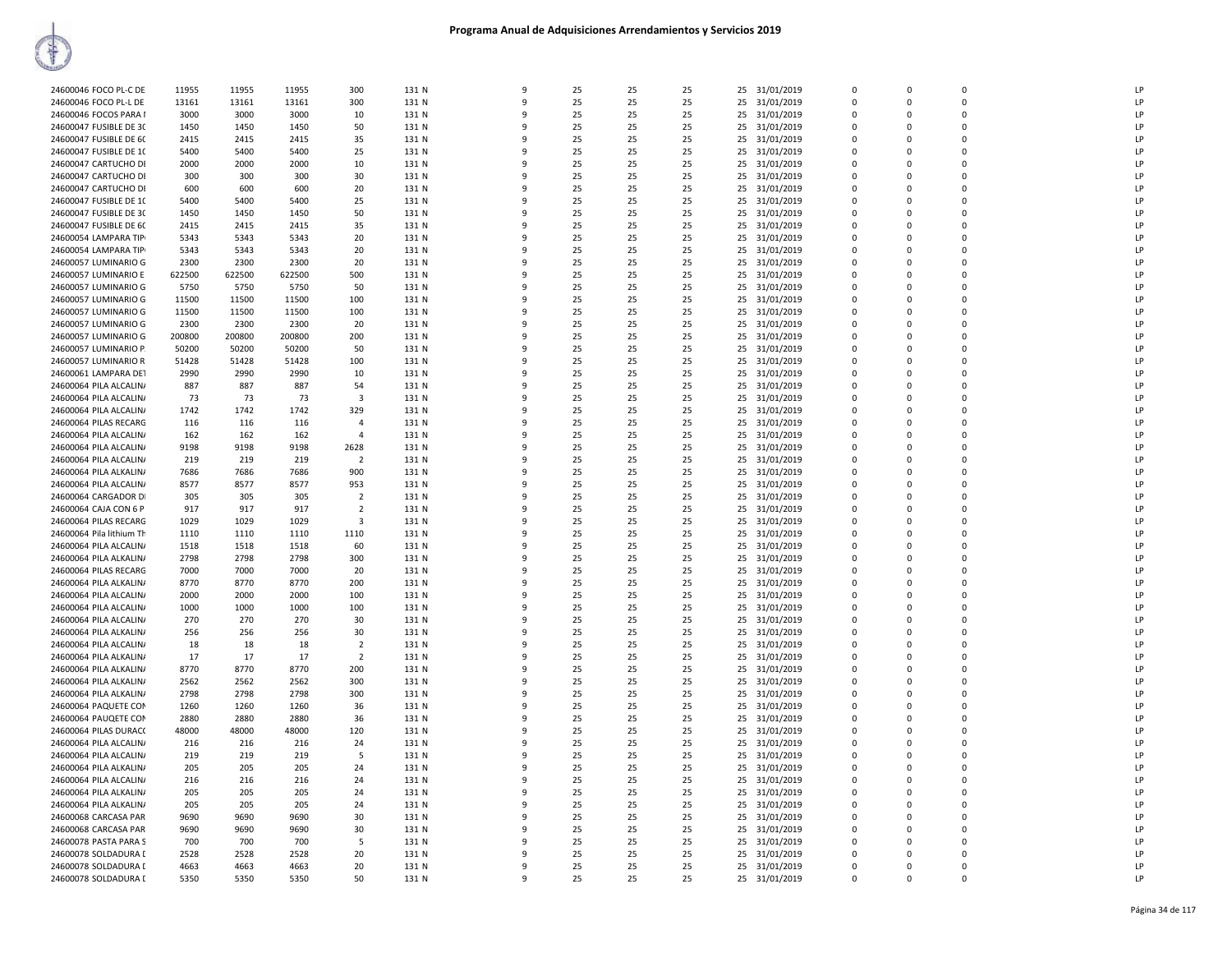| 24600046 FOCO PL-C DE    | 11955  | 11955  | 11955  | 300                     | 131 N | 9            | 25 | 25 | 25 | 25 | 31/01/2019    | $\mathbf 0$ | $\Omega$ | $\Omega$       | LP |
|--------------------------|--------|--------|--------|-------------------------|-------|--------------|----|----|----|----|---------------|-------------|----------|----------------|----|
| 24600046 FOCO PL-L DE    | 13161  | 13161  | 13161  | 300                     | 131 N | 9            | 25 | 25 | 25 | 25 | 31/01/2019    | 0           | 0        | $\Omega$       | LP |
|                          |        |        |        |                         |       | 9            |    |    |    |    |               | $\Omega$    | $\Omega$ | $\Omega$       | LP |
| 24600046 FOCOS PARA I    | 3000   | 3000   | 3000   | 10                      | 131 N |              | 25 | 25 | 25 | 25 | 31/01/2019    |             |          |                |    |
| 24600047 FUSIBLE DE 30   | 1450   | 1450   | 1450   | 50                      | 131 N | 9            | 25 | 25 | 25 | 25 | 31/01/2019    | 0           | $\Omega$ | $\Omega$       | LP |
| 24600047 FUSIBLE DE 60   | 2415   | 2415   | 2415   | 35                      | 131 N | 9            | 25 | 25 | 25 |    | 25 31/01/2019 | $\Omega$    | $\Omega$ | $\Omega$       | LP |
|                          |        |        |        |                         |       |              |    |    |    |    |               |             | $\Omega$ | $\Omega$       | LP |
| 24600047 FUSIBLE DE 10   | 5400   | 5400   | 5400   | 25                      | 131 N | 9            | 25 | 25 | 25 | 25 | 31/01/2019    | 0           |          |                |    |
| 24600047 CARTUCHO DI     | 2000   | 2000   | 2000   | 10                      | 131 N | 9            | 25 | 25 | 25 | 25 | 31/01/2019    | $\Omega$    | $\Omega$ | $\overline{0}$ | LP |
| 24600047 CARTUCHO DI     | 300    | 300    | 300    | 30                      | 131 N | 9            | 25 | 25 | 25 | 25 | 31/01/2019    | $\mathbf 0$ | 0        | $\mathbf 0$    | LP |
|                          |        |        |        |                         |       |              |    |    |    |    |               |             |          |                |    |
| 24600047 CARTUCHO DI     | 600    | 600    | 600    | 20                      | 131 N | 9            | 25 | 25 | 25 | 25 | 31/01/2019    | $\Omega$    | 0        | $\Omega$       | LP |
| 24600047 FUSIBLE DE 10   | 5400   | 5400   | 5400   | 25                      | 131 N | q            | 25 | 25 | 25 | 25 | 31/01/2019    | 0           | $\Omega$ | $\mathbf 0$    | LP |
| 24600047 FUSIBLE DE 30   | 1450   | 1450   | 1450   | 50                      | 131 N | 9            | 25 | 25 | 25 | 25 | 31/01/2019    | $\Omega$    | $\Omega$ | $\Omega$       | LP |
|                          |        |        |        |                         |       |              |    |    |    |    |               |             |          |                |    |
| 24600047 FUSIBLE DE 60   | 2415   | 2415   | 2415   | 35                      | 131 N | 9            | 25 | 25 | 25 |    | 25 31/01/2019 | $\Omega$    | $\Omega$ | $\Omega$       | LP |
| 24600054 LAMPARA TIP     | 5343   | 5343   | 5343   | 20                      | 131 N | 9            | 25 | 25 | 25 | 25 | 31/01/2019    | $\Omega$    | $\Omega$ | $\Omega$       | LP |
| 24600054 LAMPARA TIP     | 5343   | 5343   | 5343   | 20                      | 131 N | 9            | 25 | 25 | 25 |    | 25 31/01/2019 | $\Omega$    | $\Omega$ | $\Omega$       | LP |
|                          |        |        |        |                         |       |              |    |    |    |    |               |             |          |                |    |
| 24600057 LUMINARIO G     | 2300   | 2300   | 2300   | 20                      | 131 N | 9            | 25 | 25 | 25 | 25 | 31/01/2019    | 0           | 0        | $\mathbf 0$    | LP |
| 24600057 LUMINARIO E     | 622500 | 622500 | 622500 | 500                     | 131 N | 9            | 25 | 25 | 25 | 25 | 31/01/2019    | $\Omega$    | $\Omega$ | $\Omega$       | LP |
| 24600057 LUMINARIO G     | 5750   | 5750   | 5750   | 50                      | 131 N | 9            | 25 | 25 | 25 | 25 | 31/01/2019    | $\Omega$    | $\Omega$ | $\mathbf 0$    | LP |
|                          |        |        |        |                         |       |              |    |    |    |    |               |             |          |                |    |
| 24600057 LUMINARIO G     | 11500  | 11500  | 11500  | 100                     | 131 N | 9            | 25 | 25 | 25 | 25 | 31/01/2019    | 0           | 0        | $\mathbf 0$    | LP |
| 24600057 LUMINARIO G     | 11500  | 11500  | 11500  | 100                     | 131 N | $\mathbf{q}$ | 25 | 25 | 25 | 25 | 31/01/2019    | $\Omega$    | $\Omega$ | $\Omega$       | LP |
|                          |        |        |        |                         |       | 9            |    |    |    |    |               | $\Omega$    | $\Omega$ | $\Omega$       | LP |
| 24600057 LUMINARIO G     | 2300   | 2300   | 2300   | 20                      | 131 N |              | 25 | 25 | 25 | 25 | 31/01/2019    |             |          |                |    |
| 24600057 LUMINARIO G     | 200800 | 200800 | 200800 | 200                     | 131 N | 9            | 25 | 25 | 25 | 25 | 31/01/2019    | $\Omega$    | $\Omega$ | $\Omega$       | LP |
| 24600057 LUMINARIO P.    | 50200  | 50200  | 50200  | 50                      | 131 N | 9            | 25 | 25 | 25 | 25 | 31/01/2019    | 0           | 0        | $\mathbf 0$    | LP |
|                          |        |        |        |                         |       | 9            |    |    |    |    |               |             |          | $\Omega$       |    |
| 24600057 LUMINARIO R     | 51428  | 51428  | 51428  | 100                     | 131 N |              | 25 | 25 | 25 | 25 | 31/01/2019    | $\Omega$    | $\Omega$ |                | LP |
| 24600061 LAMPARA DET     | 2990   | 2990   | 2990   | 10                      | 131 N | 9            | 25 | 25 | 25 | 25 | 31/01/2019    | 0           | 0        | $\Omega$       | LP |
| 24600064 PILA ALCALIN/   | 887    | 887    | 887    | 54                      | 131 N | 9            | 25 | 25 | 25 | 25 | 31/01/2019    | 0           | 0        | $\mathbf 0$    | LP |
|                          |        |        |        |                         |       |              |    |    |    |    |               |             |          |                |    |
| 24600064 PILA ALCALIN/   | 73     | 73     | 73     | $\overline{\mathbf{3}}$ | 131 N | q            | 25 | 25 | 25 | 25 | 31/01/2019    | $\mathbf 0$ | $\Omega$ | $\mathbf 0$    | LP |
| 24600064 PILA ALCALIN/   | 1742   | 1742   | 1742   | 329                     | 131 N | 9            | 25 | 25 | 25 | 25 | 31/01/2019    | $\Omega$    | $\Omega$ | $\Omega$       | LP |
| 24600064 PILAS RECARG    |        | 116    | 116    | $\overline{4}$          | 131 N | 9            | 25 | 25 | 25 |    |               | $\Omega$    | $\Omega$ | $\Omega$       | LP |
|                          | 116    |        |        |                         |       |              |    |    |    | 25 | 31/01/2019    |             |          |                |    |
| 24600064 PILA ALCALIN/   | 162    | 162    | 162    | $\overline{4}$          | 131 N | 9            | 25 | 25 | 25 | 25 | 31/01/2019    | 0           | 0        | $\mathbf 0$    | LP |
| 24600064 PILA ALCALIN/   | 9198   | 9198   | 9198   | 2628                    | 131 N | 9            | 25 | 25 | 25 | 25 | 31/01/2019    | $\Omega$    | $\Omega$ | $\Omega$       | LP |
|                          |        |        |        |                         |       | 9            |    |    |    |    |               |             | 0        | $\Omega$       | LP |
| 24600064 PILA ALCALINA   | 219    | 219    | 219    | $\overline{2}$          | 131 N |              | 25 | 25 | 25 | 25 | 31/01/2019    | 0           |          |                |    |
| 24600064 PILA ALKALIN/   | 7686   | 7686   | 7686   | 900                     | 131 N | 9            | 25 | 25 | 25 | 25 | 31/01/2019    | $\Omega$    | $\Omega$ | $\mathbf 0$    | LP |
| 24600064 PILA ALCALIN/   | 8577   | 8577   | 8577   | 953                     | 131 N | 9            | 25 | 25 | 25 | 25 | 31/01/2019    | $\mathbf 0$ | $\Omega$ | $\mathbf 0$    | LP |
|                          |        |        |        |                         |       |              |    |    |    |    |               |             |          |                |    |
| 24600064 CARGADOR DI     | 305    | 305    | 305    | $\overline{2}$          | 131 N | 9            | 25 | 25 | 25 | 25 | 31/01/2019    | $\Omega$    | 0        | $\mathbf 0$    | LP |
| 24600064 CAJA CON 6 P    | 917    | 917    | 917    | $\overline{2}$          | 131 N | 9            | 25 | 25 | 25 |    | 25 31/01/2019 | $\Omega$    | $\Omega$ | $\Omega$       | LP |
| 24600064 PILAS RECARG    | 1029   | 1029   | 1029   | 3                       | 131 N | 9            | 25 | 25 | 25 | 25 | 31/01/2019    | 0           | 0        | $\Omega$       | LP |
|                          |        |        |        |                         |       |              |    |    |    |    |               |             |          |                |    |
| 24600064 Pila lithium Th | 1110   | 1110   | 1110   | 1110                    | 131 N | 9            | 25 | 25 | 25 | 25 | 31/01/2019    | $\Omega$    | $\Omega$ | $\Omega$       | LP |
| 24600064 PILA ALCALIN    | 1518   | 1518   | 1518   | 60                      | 131 N | 9            | 25 | 25 | 25 | 25 | 31/01/2019    | 0           | 0        | $\Omega$       | LP |
| 24600064 PILA ALKALIN/   | 2798   | 2798   | 2798   | 300                     | 131 N | 9            | 25 | 25 | 25 | 25 | 31/01/2019    | $\Omega$    | $\Omega$ | $\Omega$       | LP |
|                          |        |        |        |                         |       |              |    |    |    |    |               |             |          |                |    |
| 24600064 PILAS RECARG    | 7000   | 7000   | 7000   | 20                      | 131 N | 9            | 25 | 25 | 25 | 25 | 31/01/2019    | 0           | 0        | $\mathbf 0$    | LP |
| 24600064 PILA ALKALIN/   | 8770   | 8770   | 8770   | 200                     | 131 N | 9            | 25 | 25 | 25 |    | 25 31/01/2019 | $\Omega$    | $\Omega$ | $\mathbf 0$    | LP |
| 24600064 PILA ALCALIN/   | 2000   | 2000   | 2000   | 100                     | 131 N | $\mathbf{q}$ | 25 | 25 | 25 | 25 | 31/01/2019    | 0           | 0        | $\mathbf 0$    | LP |
|                          |        |        |        |                         |       |              |    |    |    |    |               |             |          |                |    |
| 24600064 PILA ALCALIN/   | 1000   | 1000   | 1000   | 100                     | 131 N | 9            | 25 | 25 | 25 | 25 | 31/01/2019    | 0           | 0        | $\Omega$       | LP |
| 24600064 PILA ALCALIN/   | 270    | 270    | 270    | 30                      | 131 N | 9            | 25 | 25 | 25 | 25 | 31/01/2019    | $\Omega$    | $\Omega$ | $\Omega$       | LP |
| 24600064 PILA ALKALIN/   | 256    | 256    | 256    | 30                      | 131 N | 9            | 25 | 25 | 25 | 25 | 31/01/2019    | $\Omega$    | $\Omega$ | $\Omega$       | LP |
|                          |        |        |        |                         |       |              |    |    |    |    |               |             |          |                |    |
| 24600064 PILA ALCALIN/   | 18     | 18     | 18     | $\overline{2}$          | 131 N | 9            | 25 | 25 | 25 | 25 | 31/01/2019    | $\Omega$    | $\Omega$ | $\Omega$       | LP |
| 24600064 PILA ALKALIN    | 17     | 17     | 17     | $\overline{2}$          | 131 N | 9            | 25 | 25 | 25 | 25 | 31/01/2019    | 0           | 0        | $\mathbf 0$    | LP |
| 24600064 PILA ALKALIN/   | 8770   | 8770   | 8770   | 200                     | 131 N | 9            | 25 | 25 | 25 |    | 25 31/01/2019 | $\Omega$    | $\Omega$ | $\Omega$       | LP |
|                          |        |        |        |                         |       |              |    |    |    |    |               |             |          |                |    |
| 24600064 PILA ALKALIN/   | 2562   | 2562   | 2562   | 300                     | 131 N | 9            | 25 | 25 | 25 | 25 | 31/01/2019    | 0           | 0        | $\mathbf 0$    | LP |
| 24600064 PILA ALKALIN/   | 2798   | 2798   | 2798   | 300                     | 131 N | 9            | 25 | 25 | 25 | 25 | 31/01/2019    | 0           | 0        | $\mathbf 0$    | LP |
| 24600064 PAQUETE COM     | 1260   | 1260   | 1260   | 36                      | 131 N | 9            | 25 | 25 | 25 | 25 | 31/01/2019    | $\Omega$    | $\Omega$ | $\Omega$       | LP |
|                          |        |        |        |                         |       |              |    |    |    |    |               |             |          |                |    |
| 24600064 PAUQETE COM     | 2880   | 2880   | 2880   | 36                      | 131 N | 9            | 25 | 25 | 25 | 25 | 31/01/2019    | $\Omega$    | $\Omega$ | $\Omega$       | LP |
| 24600064 PILAS DURACO    | 48000  | 48000  | 48000  | 120                     | 131 N | 9            | 25 | 25 | 25 | 25 | 31/01/2019    | $\Omega$    | $\Omega$ | $\Omega$       | LP |
|                          |        |        |        |                         |       |              |    |    |    |    |               |             |          |                | LP |
| 24600064 PILA ALCALIN    | 216    | 216    | 216    | 24                      | 131 N | 9            | 25 | 25 | 25 | 25 | 31/01/2019    | 0           | 0        | $\mathbf 0$    |    |
| 24600064 PILA ALCALIN/   | 219    | 219    | 219    | 5                       | 131 N | 9            | 25 | 25 | 25 |    | 25 31/01/2019 | $\Omega$    | $\Omega$ | $\Omega$       | LP |
| 24600064 PILA ALKALIN/   | 205    | 205    | 205    | 24                      | 131 N | 9            | 25 | 25 | 25 | 25 | 31/01/2019    | 0           | 0        | $\mathbf 0$    | LP |
|                          |        |        |        |                         |       |              |    |    |    |    |               |             |          |                |    |
| 24600064 PILA ALCALIN/   | 216    | 216    | 216    | 24                      | 131 N | 9            | 25 | 25 | 25 | 25 | 31/01/2019    | 0           | 0        | $\mathbf 0$    | LP |
|                          |        | 205    | 205    | 24                      | 131 N | 9            | 25 | 25 | 25 | 25 | 31/01/2019    | $\mathbf 0$ | 0        | $\mathbf 0$    | LP |
| 24600064 PILA ALKALIN/   | 205    |        |        |                         | 131 N | 9            | 25 | 25 | 25 | 25 | 31/01/2019    | $\Omega$    | $\Omega$ | $\Omega$       | LP |
|                          |        |        |        |                         |       |              |    |    |    |    |               |             |          |                |    |
| 24600064 PILA ALKALIN/   | 205    | 205    | 205    | 24                      |       |              |    |    |    |    |               |             |          |                |    |
| 24600068 CARCASA PAR     | 9690   | 9690   | 9690   | 30                      | 131 N | 9            | 25 | 25 | 25 | 25 | 31/01/2019    | $\Omega$    | $\Omega$ | $\Omega$       | LP |
| 24600068 CARCASA PAR     | 9690   | 9690   | 9690   | 30                      | 131 N | 9            | 25 | 25 | 25 | 25 | 31/01/2019    | 0           | 0        | $\Omega$       | LP |
|                          |        |        |        | - 5                     |       | 9            |    |    |    |    |               | $\Omega$    | $\Omega$ | $\Omega$       |    |
| 24600078 PASTA PARA S    | 700    | 700    | 700    |                         | 131 N |              | 25 | 25 | 25 |    | 25 31/01/2019 |             |          |                | LP |
| 24600078 SOLDADURA [     | 2528   | 2528   | 2528   | 20                      | 131 N | 9            | 25 | 25 | 25 | 25 | 31/01/2019    | 0           | O        | $\Omega$       | LP |
| 24600078 SOLDADURA I     | 4663   | 4663   | 4663   | 20                      | 131 N | 9            | 25 | 25 | 25 | 25 | 31/01/2019    | $\Omega$    | $\Omega$ | $\Omega$       | LP |
| 24600078 SOLDADURA I     | 5350   | 5350   | 5350   | 50                      | 131 N | 9            | 25 | 25 | 25 | 25 | 31/01/2019    | 0           | 0        | 0              | LP |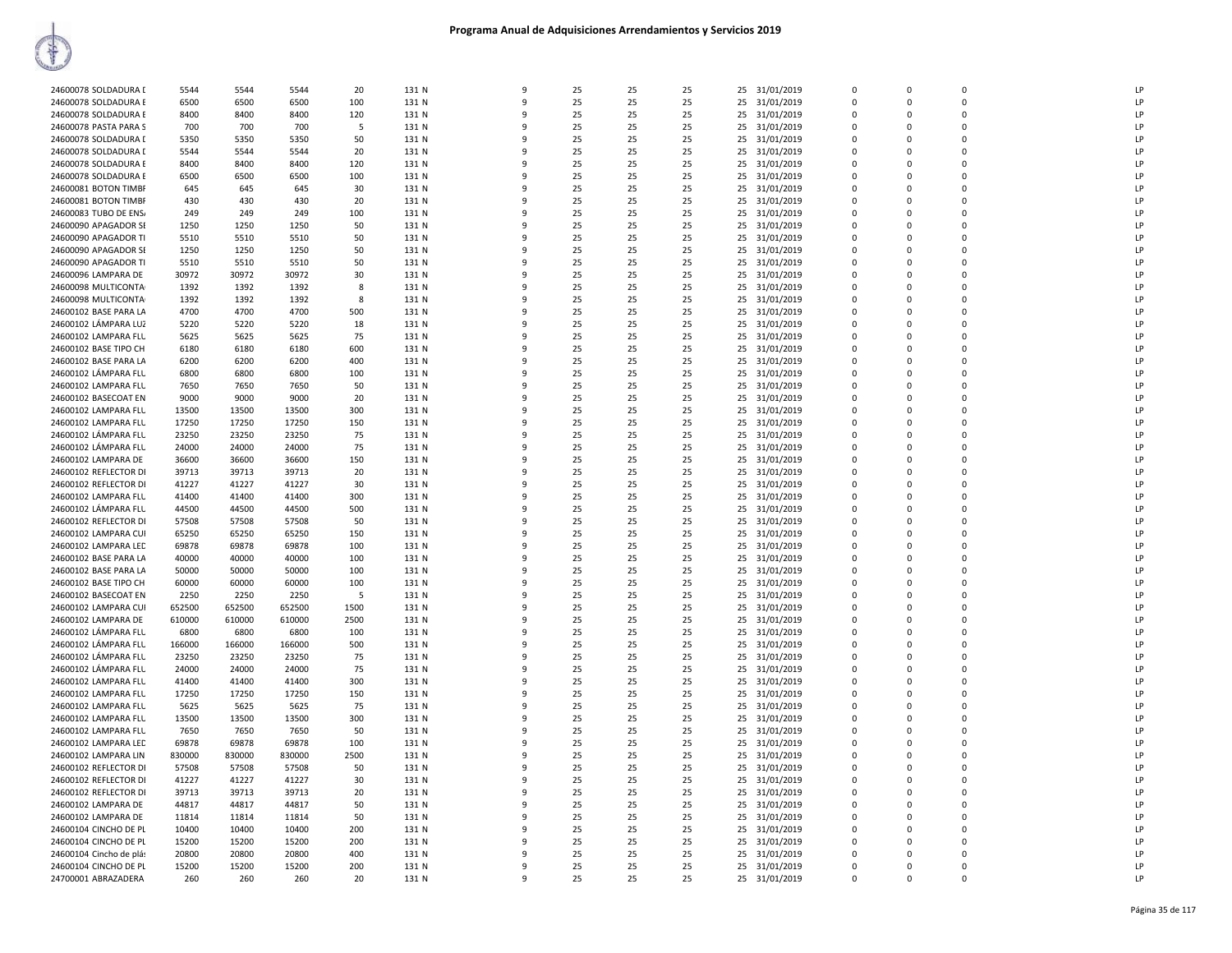| 24600078 SOLDADURA E<br>6500<br>6500<br>131 N<br>25<br>25<br>25<br>25<br>31/01/2019<br>LP<br>6500<br>100<br>9<br>0<br>$\Omega$<br>0<br>LP<br>8400<br>25<br>25<br>25 31/01/2019<br>24600078 SOLDADURA E<br>8400<br>8400<br>120<br>131 N<br>25<br>$\mathbf 0$<br>$\Omega$<br>q<br>0<br>25<br>LP<br>24600078 PASTA PARA S<br>700<br>700<br>700<br>5<br>131 N<br>25<br>25<br>25 31/01/2019<br>$\mathbf 0$<br>$\Omega$<br>0<br>LP<br>5350<br>5350<br>50<br>131 N<br>25<br>25<br>31/01/2019<br>24600078 SOLDADURA [<br>5350<br>25<br>25<br>0<br>$\Omega$<br>0<br>٠Q<br>24600078 SOLDADURA I<br>5544<br>5544<br>5544<br>20<br>131 N<br>25<br>25<br>25<br>25 31/01/2019<br>$\Omega$<br>0<br>LP<br>q<br>$\Omega$<br>LP<br>24600078 SOLDADURA E<br>8400<br>8400<br>8400<br>120<br>131 N<br>25<br>25<br>25<br>25 31/01/2019<br>0<br>0<br>q<br>$\Omega$<br>6500<br>100<br>131 N<br>25<br>31/01/2019<br>LP<br>24600078 SOLDADURA E<br>6500<br>6500<br>25<br>25<br>25<br>0<br>$\Omega$<br>0<br>٩<br>25<br>25<br>25<br>LP<br>24600081 BOTON TIMBF<br>645<br>645<br>645<br>30<br>131 N<br>9<br>25<br>31/01/2019<br>0<br>$\Omega$<br>0<br>25<br>LP<br>24600081 BOTON TIMBF<br>430<br>430<br>430<br>20<br>131 N<br>25<br>25<br>25 31/01/2019<br>$\mathbf 0$<br>$\Omega$<br>q<br>$\Omega$<br>24600083 TUBO DE ENS/<br>249<br>249<br>249<br>100<br>131 N<br>25<br>25<br>25<br>25 31/01/2019<br>$\mathbf 0$<br>0<br>LP<br>$\Omega$<br>25<br>LP<br>24600090 APAGADOR SE<br>1250<br>1250<br>1250<br>50<br>131 N<br>25<br>25<br>25<br>31/01/2019<br>$\Omega$<br>$\Omega$<br>0<br>q<br>24600090 APAGADOR TI<br>5510<br>5510<br>5510<br>50<br>131 N<br>25<br>25<br>25<br>25 31/01/2019<br>$\Omega$<br>0<br>LP<br>q<br>$\Omega$<br>25<br>LP<br>24600090 APAGADOR SI<br>1250<br>1250<br>1250<br>50<br>131 N<br>25<br>25<br>25 31/01/2019<br>0<br>0<br>q<br>$\Omega$<br>24600090 APAGADOR TI<br>5510<br>5510<br>50<br>131 N<br>25<br>25<br>25<br>25 31/01/2019<br>LP<br>5510<br>$\Omega$<br>$\Omega$<br>0<br>-9<br>24600096 LAMPARA DE<br>30972<br>30972<br>30972<br>30<br>131 N<br>25<br>25<br>25<br>25<br>31/01/2019<br>$\mathbf 0$<br>0<br>LP<br>9<br>0<br>1392<br>25<br>LP<br>24600098 MULTICONTA<br>1392<br>1392<br>8<br>131 N<br>25<br>25<br>25 31/01/2019<br>$\mathbf 0$<br>$\Omega$<br>q<br>$\Omega$<br>24600098 MULTICONTA<br>1392<br>1392<br>1392<br>131 N<br>25<br>25<br>25<br>25 31/01/2019<br>$\Omega$<br>0<br> P <br>8<br>$\Omega$<br>LP<br>24600102 BASE PARA LA<br>4700<br>4700<br>4700<br>500<br>131 N<br>25<br>25<br>25<br>25<br>31/01/2019<br>0<br>0<br>q<br>$\Omega$<br>24600102 LÁMPARA LUZ<br>5220<br>5220<br>5220<br>18<br>131 N<br>25<br>25<br>25<br>25 31/01/2019<br>$\Omega$<br>0<br>LP<br>q<br>$\Omega$<br>75<br>LP<br>24600102 LAMPARA FLU<br>5625<br>5625<br>5625<br>131 N<br>25<br>25<br>25<br>25 31/01/2019<br>$\mathbf 0$<br>0<br>-9<br>$\Omega$<br>24600102 BASE TIPO CH<br>6180<br>25<br>25 31/01/2019<br>LP<br>6180<br>6180<br>600<br>131 N<br>25<br>25<br>$\mathbf 0$<br>0<br>9<br>$\Omega$<br>24600102 BASE PARA LA<br>6200<br>6200<br>6200<br>400<br>131 N<br>25<br>25<br>25<br>25<br>31/01/2019<br>$\mathbf 0$<br>0<br>LP<br>9<br>0<br>LP<br>24600102 LÁMPARA FLU<br>6800<br>6800<br>6800<br>100<br>131 N<br>25<br>25<br>25<br>25 31/01/2019<br>$\Omega$<br>$\Omega$<br>c<br>n<br>24600102 LAMPARA FLU<br>7650<br>7650<br>7650<br>50<br>131 N<br>25<br>25<br>25<br>25 31/01/2019<br>$\Omega$<br>0<br>LP<br>$\Omega$<br>LP<br>24600102 BASECOAT EN<br>9000<br>9000<br>9000<br>20<br>131 N<br>25<br>25<br>25<br>25 31/01/2019<br>0<br>0<br>-9<br>$\Omega$<br>24600102 LAMPARA FLU<br>13500<br>13500<br>13500<br>300<br>131 N<br>25<br>25<br>25<br>25 31/01/2019<br>$\Omega$<br>$\Omega$<br>LP<br>٩<br>$\Omega$<br>24600102 LAMPARA FLU<br>17250<br>17250<br>17250<br>150<br>131 N<br>25<br>25<br>25<br>25 31/01/2019<br>$\mathbf 0$<br>0<br>LP<br>$\Omega$<br>23250<br>LP<br>24600102 LÁMPARA FLU<br>23250<br>23250<br>75<br>131 N<br>25<br>25<br>25<br>31/01/2019<br>$\mathbf 0$<br>$\Omega$<br>q<br>25<br>$\Omega$<br>24600102 LÁMPARA FLU<br>24000<br>24000<br>24000<br>75<br>131 N<br>25<br>25<br>25<br>25<br>31/01/2019<br>LP<br>9<br>$\Omega$<br>$\Omega$<br>0<br>LP<br>24600102 LAMPARA DE<br>36600<br>36600<br>36600<br>150<br>131 N<br>25<br>25<br>25<br>25 31/01/2019<br>$\Omega$<br>$\Omega$<br>c<br>n<br>24600102 REFLECTOR DI<br>39713<br>39713<br>25<br>25<br>LP<br>39713<br>20<br>131 N<br>25<br>25 31/01/2019<br>$\Omega$<br>$\Omega$<br>0<br>41227<br>LP<br>24600102 REFLECTOR DI<br>41227<br>41227<br>30<br>131 N<br>25<br>25<br>25<br>25 31/01/2019<br>0<br>0<br>$\Omega$<br>41400<br>41400<br>41400<br>300<br>131 N<br>25<br>25<br>25<br>LP<br>24600102 LAMPARA FLU<br>25 31/01/2019<br>$\Omega$<br>0<br>٩<br>$\Omega$<br>24600102 LÁMPARA FLU<br>44500<br>44500<br>44500<br>500<br>131 N<br>25<br>25<br>25<br>25<br>31/01/2019<br>$\mathbf 0$<br>0<br>LP<br>0<br>LP<br>24600102 REFLECTOR DI<br>57508<br>57508<br>57508<br>50<br>131 N<br>25<br>25<br>25<br>31/01/2019<br>$\Omega$<br>0<br>25<br>$\Omega$<br>٩<br>24600102 LAMPARA CUI<br>65250<br>65250<br>65250<br>150<br>131 N<br>25<br>25<br>25<br>25<br>31/01/2019<br>LP<br>9<br>$\Omega$<br>$\Omega$<br>0<br>LP<br>69878<br>69878<br>69878<br>25<br>25<br>25<br>31/01/2019<br>$\Omega$<br>$\Omega$<br>24600102 LAMPARA LEC<br>100<br>131 N<br>25<br>c<br>n<br>LP<br>24600102 BASE PARA LA<br>40000<br>40000<br>40000<br>100<br>131 N<br>25<br>25<br>25<br>25 31/01/2019<br>$\mathbf 0$<br>$\Omega$<br>0<br>LP<br>50000<br>50000<br>50000<br>100<br>131 N<br>25<br>25<br>25<br>31/01/2019<br>24600102 BASE PARA LA<br>25<br>0<br>$\Omega$<br>0<br>24600102 BASE TIPO CH<br>60000<br>60000<br>60000<br>100<br>131 N<br>25<br>25<br>25<br>25 31/01/2019<br>$\mathbf 0$<br>$\Omega$<br> P <br>q<br>$\Omega$<br>24600102 BASECOAT EN<br>2250<br>2250<br>2250<br>131 N<br>25<br>25<br>25<br>25<br>31/01/2019<br>$\mathbf 0$<br>0<br>LP<br>-5<br>0<br>652500<br>24600102 LAMPARA CUI<br>652500<br>652500<br>1500<br>131 N<br>25<br>25<br>25<br>31/01/2019<br>0<br>LP<br>25<br>$\Omega$<br>$\Omega$<br>٩<br>24600102 LAMPARA DE<br>610000<br>610000<br>610000<br>2500<br>131 N<br>25<br>25<br>25<br>31/01/2019<br>LP<br>9<br>25<br>$\Omega$<br>$\Omega$<br>0<br>LP<br>6800<br>24600102 LÁMPARA FLU<br>6800<br>6800<br>100<br>131 N<br>25<br>25<br>25<br>31/01/2019<br>0<br>$\Omega$<br>٩<br>25<br>n<br>LP<br>24600102 LÁMPARA FLU<br>166000<br>166000<br>166000<br>500<br>131 N<br>25<br>25<br>25<br>25 31/01/2019<br>$\mathbf 0$<br>0<br>$\Omega$<br>LP<br>24600102 LÁMPARA FLU<br>23250<br>23250<br>23250<br>75<br>131 N<br>25<br>25<br>31/01/2019<br>25<br>25<br>0<br>$\Omega$<br>0<br>24600102 LÁMPARA FLU<br>24000<br>24000<br>24000<br>75<br>131 N<br>25<br>25<br>25<br>25 31/01/2019<br>$\Omega$<br>0<br>LP<br>$\Omega$<br>LP<br>24600102 LAMPARA FLU<br>41400<br>41400<br>41400<br>300<br>131 N<br>25<br>25<br>25<br>25 31/01/2019<br>0<br>0<br>٩<br>$\Omega$<br>24600102 LAMPARA FLU<br>17250<br>17250<br>17250<br>150<br>131 N<br>25<br>25<br>25<br>31/01/2019<br>0<br>LP<br>25<br>0<br>$\Omega$<br>٩<br>5625<br>75<br>25<br>25<br>25<br>LP<br>24600102 LAMPARA FLU<br>5625<br>5625<br>131 N<br>9<br>25<br>31/01/2019<br>0<br>$\Omega$<br>0<br>13500<br>13500<br>LP<br>24600102 LAMPARA FLU<br>13500<br>300<br>131 N<br>25<br>25<br>25<br>25 31/01/2019<br>$\mathbf 0$<br>0<br>٩<br>$\Omega$<br>24600102 LAMPARA FLU<br>7650<br>7650<br>7650<br>50<br>131 N<br>25<br>25<br>25<br>25 31/01/2019<br>$\mathbf 0$<br>$\Omega$<br>LP<br>$\Omega$<br>69878<br>69878<br>69878<br>100<br>25<br>25<br>LP<br>24600102 LAMPARA LEC<br>131 N<br>25<br>25<br>31/01/2019<br>$\Omega$<br>$\Omega$<br>0<br>24600102 LAMPARA LIN<br>830000<br>830000<br>830000<br>2500<br>131 N<br>25<br>25<br>25<br>25 31/01/2019<br>$\Omega$<br>0<br>LP<br>q<br>$\Omega$<br>LP<br>24600102 REFLECTOR DI<br>57508<br>57508<br>57508<br>50<br>131 N<br>25<br>25<br>25<br>25 31/01/2019<br>0<br>0<br>-9<br>$\Omega$<br>24600102 REFLECTOR DI<br>41227<br>41227<br>131 N<br>25<br>25<br>25 31/01/2019<br>LP<br>41227<br>30<br>25<br>$\Omega$<br>$\Omega$<br>0<br>-9<br>39713<br>39713<br>25<br>25<br>LP<br>24600102 REFLECTOR DI<br>39713<br>20<br>131 N<br>9<br>25<br>25 31/01/2019<br>$\mathbf 0$<br>$\Omega$<br>0<br>25<br>LP<br>44817<br>44817<br>44817<br>50<br>131 N<br>25<br>25<br>25 31/01/2019<br>$\mathbf 0$<br>0<br>24600102 LAMPARA DE<br>q<br>$\Omega$<br>24600102 LAMPARA DE<br>11814<br>11814<br>11814<br>50<br>131 N<br>25<br>25<br>25<br>25 31/01/2019<br>$\mathbf 0$<br>$\Omega$<br> P <br>$\Omega$<br>LP<br>24600104 CINCHO DE PL<br>10400<br>10400<br>10400<br>200<br>131 N<br>25<br>25<br>25<br>25<br>31/01/2019<br>$\Omega$<br>0<br>$\Omega$<br>24600104 CINCHO DE PL<br>15200<br>15200<br>15200<br>200<br>131 N<br>25<br>25<br>25<br>25 31/01/2019<br>$\Omega$<br>0<br>LP<br>q<br>n<br>LP<br>24600104 Cincho de plás<br>20800<br>20800<br>20800<br>400<br>131 N<br>25<br>25<br>25<br>25 31/01/2019<br>0<br>0<br>$\Omega$<br>15200<br>15200<br>15200<br>131 N<br>25<br>25<br>25 31/01/2019<br>LP<br>24600104 CINCHO DE PL<br>200<br>25<br>$\Omega$<br>0<br>9<br>$\Omega$<br>24700001 ABRAZADERA<br>260<br>260<br>260<br>20<br>131 N<br>25<br>25<br>25<br>25 31/01/2019<br>$\mathbf 0$<br>$\Omega$<br>LP<br>9<br>0 | 24600078 SOLDADURA I | 5544 | 5544 | 5544 | 20 | 131 N | $\mathsf{q}$ | 25 | 25 | 25 | 31/01/2019<br>25 | $\Omega$ | $\Omega$ | $\Omega$ | <b>LP</b> |
|-------------------------------------------------------------------------------------------------------------------------------------------------------------------------------------------------------------------------------------------------------------------------------------------------------------------------------------------------------------------------------------------------------------------------------------------------------------------------------------------------------------------------------------------------------------------------------------------------------------------------------------------------------------------------------------------------------------------------------------------------------------------------------------------------------------------------------------------------------------------------------------------------------------------------------------------------------------------------------------------------------------------------------------------------------------------------------------------------------------------------------------------------------------------------------------------------------------------------------------------------------------------------------------------------------------------------------------------------------------------------------------------------------------------------------------------------------------------------------------------------------------------------------------------------------------------------------------------------------------------------------------------------------------------------------------------------------------------------------------------------------------------------------------------------------------------------------------------------------------------------------------------------------------------------------------------------------------------------------------------------------------------------------------------------------------------------------------------------------------------------------------------------------------------------------------------------------------------------------------------------------------------------------------------------------------------------------------------------------------------------------------------------------------------------------------------------------------------------------------------------------------------------------------------------------------------------------------------------------------------------------------------------------------------------------------------------------------------------------------------------------------------------------------------------------------------------------------------------------------------------------------------------------------------------------------------------------------------------------------------------------------------------------------------------------------------------------------------------------------------------------------------------------------------------------------------------------------------------------------------------------------------------------------------------------------------------------------------------------------------------------------------------------------------------------------------------------------------------------------------------------------------------------------------------------------------------------------------------------------------------------------------------------------------------------------------------------------------------------------------------------------------------------------------------------------------------------------------------------------------------------------------------------------------------------------------------------------------------------------------------------------------------------------------------------------------------------------------------------------------------------------------------------------------------------------------------------------------------------------------------------------------------------------------------------------------------------------------------------------------------------------------------------------------------------------------------------------------------------------------------------------------------------------------------------------------------------------------------------------------------------------------------------------------------------------------------------------------------------------------------------------------------------------------------------------------------------------------------------------------------------------------------------------------------------------------------------------------------------------------------------------------------------------------------------------------------------------------------------------------------------------------------------------------------------------------------------------------------------------------------------------------------------------------------------------------------------------------------------------------------------------------------------------------------------------------------------------------------------------------------------------------------------------------------------------------------------------------------------------------------------------------------------------------------------------------------------------------------------------------------------------------------------------------------------------------------------------------------------------------------------------------------------------------------------------------------------------------------------------------------------------------------------------------------------------------------------------------------------------------------------------------------------------------------------------------------------------------------------------------------------------------------------------------------------------------------------------------------------------------------------------------------------------------------------------------------------------------------------------------------------------------------------------------------------------------------------------------------------------------------------------------------------------------------------------------------------------------------------------------------------------------------------------------------------------------------------------------------------------------------------------------------------------------------------------------------------------------------------------------------------------------------------------------------------------------------------------------------------------------------------------------------------------------------------------------------------------------------------------------------------------------------------------------------------------------------------------------------------------------------------------------------------------------------------------------------------------------------------------------------------------------------------------------------------------------------------------------------------------------------------------------------------------------------------------------------------------------------------------------------------------------------------------------------------------------------------------------------------------------------------------------------------------------------------------------------------------------------------------------------------------------------------------------------------------------------------------------------------------------------------------------------------------------------------------------------------------------------------------------------------------------------------------------------------------------------------------------------------------------------------------------------------------------------------------------------------------------------------------------------------------------------------------------------------------------------------------------------------------------------------------------------------------------------------------------------------------------------------------------------------------------------------------------------------------------------------------------------------------------------------------------------------------------------------------------------------------------------------------------------------------------------------------------------------------------------------------------------------------------------------------------------------------------------------------------------------------------------------------------------------------------------------------------|----------------------|------|------|------|----|-------|--------------|----|----|----|------------------|----------|----------|----------|-----------|
|                                                                                                                                                                                                                                                                                                                                                                                                                                                                                                                                                                                                                                                                                                                                                                                                                                                                                                                                                                                                                                                                                                                                                                                                                                                                                                                                                                                                                                                                                                                                                                                                                                                                                                                                                                                                                                                                                                                                                                                                                                                                                                                                                                                                                                                                                                                                                                                                                                                                                                                                                                                                                                                                                                                                                                                                                                                                                                                                                                                                                                                                                                                                                                                                                                                                                                                                                                                                                                                                                                                                                                                                                                                                                                                                                                                                                                                                                                                                                                                                                                                                                                                                                                                                                                                                                                                                                                                                                                                                                                                                                                                                                                                                                                                                                                                                                                                                                                                                                                                                                                                                                                                                                                                                                                                                                                                                                                                                                                                                                                                                                                                                                                                                                                                                                                                                                                                                                                                                                                                                                                                                                                                                                                                                                                                                                                                                                                                                                                                                                                                                                                                                                                                                                                                                                                                                                                                                                                                                                                                                                                                                                                                                                                                                                                                                                                                                                                                                                                                                                                                                                                                                                                                                                                                                                                                                                                                                                                                                                                                                                                                                                                                                                                                                                                                                                                                                                                                                                                                                                                                                                                                                                                                                                                                                                                                                                                                                                                                                                                                                                                                                                                                                                                                                                                                                                           |                      |      |      |      |    |       |              |    |    |    |                  |          |          |          |           |
|                                                                                                                                                                                                                                                                                                                                                                                                                                                                                                                                                                                                                                                                                                                                                                                                                                                                                                                                                                                                                                                                                                                                                                                                                                                                                                                                                                                                                                                                                                                                                                                                                                                                                                                                                                                                                                                                                                                                                                                                                                                                                                                                                                                                                                                                                                                                                                                                                                                                                                                                                                                                                                                                                                                                                                                                                                                                                                                                                                                                                                                                                                                                                                                                                                                                                                                                                                                                                                                                                                                                                                                                                                                                                                                                                                                                                                                                                                                                                                                                                                                                                                                                                                                                                                                                                                                                                                                                                                                                                                                                                                                                                                                                                                                                                                                                                                                                                                                                                                                                                                                                                                                                                                                                                                                                                                                                                                                                                                                                                                                                                                                                                                                                                                                                                                                                                                                                                                                                                                                                                                                                                                                                                                                                                                                                                                                                                                                                                                                                                                                                                                                                                                                                                                                                                                                                                                                                                                                                                                                                                                                                                                                                                                                                                                                                                                                                                                                                                                                                                                                                                                                                                                                                                                                                                                                                                                                                                                                                                                                                                                                                                                                                                                                                                                                                                                                                                                                                                                                                                                                                                                                                                                                                                                                                                                                                                                                                                                                                                                                                                                                                                                                                                                                                                                                                                           |                      |      |      |      |    |       |              |    |    |    |                  |          |          |          |           |
|                                                                                                                                                                                                                                                                                                                                                                                                                                                                                                                                                                                                                                                                                                                                                                                                                                                                                                                                                                                                                                                                                                                                                                                                                                                                                                                                                                                                                                                                                                                                                                                                                                                                                                                                                                                                                                                                                                                                                                                                                                                                                                                                                                                                                                                                                                                                                                                                                                                                                                                                                                                                                                                                                                                                                                                                                                                                                                                                                                                                                                                                                                                                                                                                                                                                                                                                                                                                                                                                                                                                                                                                                                                                                                                                                                                                                                                                                                                                                                                                                                                                                                                                                                                                                                                                                                                                                                                                                                                                                                                                                                                                                                                                                                                                                                                                                                                                                                                                                                                                                                                                                                                                                                                                                                                                                                                                                                                                                                                                                                                                                                                                                                                                                                                                                                                                                                                                                                                                                                                                                                                                                                                                                                                                                                                                                                                                                                                                                                                                                                                                                                                                                                                                                                                                                                                                                                                                                                                                                                                                                                                                                                                                                                                                                                                                                                                                                                                                                                                                                                                                                                                                                                                                                                                                                                                                                                                                                                                                                                                                                                                                                                                                                                                                                                                                                                                                                                                                                                                                                                                                                                                                                                                                                                                                                                                                                                                                                                                                                                                                                                                                                                                                                                                                                                                                                           |                      |      |      |      |    |       |              |    |    |    |                  |          |          |          |           |
|                                                                                                                                                                                                                                                                                                                                                                                                                                                                                                                                                                                                                                                                                                                                                                                                                                                                                                                                                                                                                                                                                                                                                                                                                                                                                                                                                                                                                                                                                                                                                                                                                                                                                                                                                                                                                                                                                                                                                                                                                                                                                                                                                                                                                                                                                                                                                                                                                                                                                                                                                                                                                                                                                                                                                                                                                                                                                                                                                                                                                                                                                                                                                                                                                                                                                                                                                                                                                                                                                                                                                                                                                                                                                                                                                                                                                                                                                                                                                                                                                                                                                                                                                                                                                                                                                                                                                                                                                                                                                                                                                                                                                                                                                                                                                                                                                                                                                                                                                                                                                                                                                                                                                                                                                                                                                                                                                                                                                                                                                                                                                                                                                                                                                                                                                                                                                                                                                                                                                                                                                                                                                                                                                                                                                                                                                                                                                                                                                                                                                                                                                                                                                                                                                                                                                                                                                                                                                                                                                                                                                                                                                                                                                                                                                                                                                                                                                                                                                                                                                                                                                                                                                                                                                                                                                                                                                                                                                                                                                                                                                                                                                                                                                                                                                                                                                                                                                                                                                                                                                                                                                                                                                                                                                                                                                                                                                                                                                                                                                                                                                                                                                                                                                                                                                                                                                           |                      |      |      |      |    |       |              |    |    |    |                  |          |          |          |           |
|                                                                                                                                                                                                                                                                                                                                                                                                                                                                                                                                                                                                                                                                                                                                                                                                                                                                                                                                                                                                                                                                                                                                                                                                                                                                                                                                                                                                                                                                                                                                                                                                                                                                                                                                                                                                                                                                                                                                                                                                                                                                                                                                                                                                                                                                                                                                                                                                                                                                                                                                                                                                                                                                                                                                                                                                                                                                                                                                                                                                                                                                                                                                                                                                                                                                                                                                                                                                                                                                                                                                                                                                                                                                                                                                                                                                                                                                                                                                                                                                                                                                                                                                                                                                                                                                                                                                                                                                                                                                                                                                                                                                                                                                                                                                                                                                                                                                                                                                                                                                                                                                                                                                                                                                                                                                                                                                                                                                                                                                                                                                                                                                                                                                                                                                                                                                                                                                                                                                                                                                                                                                                                                                                                                                                                                                                                                                                                                                                                                                                                                                                                                                                                                                                                                                                                                                                                                                                                                                                                                                                                                                                                                                                                                                                                                                                                                                                                                                                                                                                                                                                                                                                                                                                                                                                                                                                                                                                                                                                                                                                                                                                                                                                                                                                                                                                                                                                                                                                                                                                                                                                                                                                                                                                                                                                                                                                                                                                                                                                                                                                                                                                                                                                                                                                                                                                           |                      |      |      |      |    |       |              |    |    |    |                  |          |          |          |           |
|                                                                                                                                                                                                                                                                                                                                                                                                                                                                                                                                                                                                                                                                                                                                                                                                                                                                                                                                                                                                                                                                                                                                                                                                                                                                                                                                                                                                                                                                                                                                                                                                                                                                                                                                                                                                                                                                                                                                                                                                                                                                                                                                                                                                                                                                                                                                                                                                                                                                                                                                                                                                                                                                                                                                                                                                                                                                                                                                                                                                                                                                                                                                                                                                                                                                                                                                                                                                                                                                                                                                                                                                                                                                                                                                                                                                                                                                                                                                                                                                                                                                                                                                                                                                                                                                                                                                                                                                                                                                                                                                                                                                                                                                                                                                                                                                                                                                                                                                                                                                                                                                                                                                                                                                                                                                                                                                                                                                                                                                                                                                                                                                                                                                                                                                                                                                                                                                                                                                                                                                                                                                                                                                                                                                                                                                                                                                                                                                                                                                                                                                                                                                                                                                                                                                                                                                                                                                                                                                                                                                                                                                                                                                                                                                                                                                                                                                                                                                                                                                                                                                                                                                                                                                                                                                                                                                                                                                                                                                                                                                                                                                                                                                                                                                                                                                                                                                                                                                                                                                                                                                                                                                                                                                                                                                                                                                                                                                                                                                                                                                                                                                                                                                                                                                                                                                                           |                      |      |      |      |    |       |              |    |    |    |                  |          |          |          |           |
|                                                                                                                                                                                                                                                                                                                                                                                                                                                                                                                                                                                                                                                                                                                                                                                                                                                                                                                                                                                                                                                                                                                                                                                                                                                                                                                                                                                                                                                                                                                                                                                                                                                                                                                                                                                                                                                                                                                                                                                                                                                                                                                                                                                                                                                                                                                                                                                                                                                                                                                                                                                                                                                                                                                                                                                                                                                                                                                                                                                                                                                                                                                                                                                                                                                                                                                                                                                                                                                                                                                                                                                                                                                                                                                                                                                                                                                                                                                                                                                                                                                                                                                                                                                                                                                                                                                                                                                                                                                                                                                                                                                                                                                                                                                                                                                                                                                                                                                                                                                                                                                                                                                                                                                                                                                                                                                                                                                                                                                                                                                                                                                                                                                                                                                                                                                                                                                                                                                                                                                                                                                                                                                                                                                                                                                                                                                                                                                                                                                                                                                                                                                                                                                                                                                                                                                                                                                                                                                                                                                                                                                                                                                                                                                                                                                                                                                                                                                                                                                                                                                                                                                                                                                                                                                                                                                                                                                                                                                                                                                                                                                                                                                                                                                                                                                                                                                                                                                                                                                                                                                                                                                                                                                                                                                                                                                                                                                                                                                                                                                                                                                                                                                                                                                                                                                                                           |                      |      |      |      |    |       |              |    |    |    |                  |          |          |          |           |
|                                                                                                                                                                                                                                                                                                                                                                                                                                                                                                                                                                                                                                                                                                                                                                                                                                                                                                                                                                                                                                                                                                                                                                                                                                                                                                                                                                                                                                                                                                                                                                                                                                                                                                                                                                                                                                                                                                                                                                                                                                                                                                                                                                                                                                                                                                                                                                                                                                                                                                                                                                                                                                                                                                                                                                                                                                                                                                                                                                                                                                                                                                                                                                                                                                                                                                                                                                                                                                                                                                                                                                                                                                                                                                                                                                                                                                                                                                                                                                                                                                                                                                                                                                                                                                                                                                                                                                                                                                                                                                                                                                                                                                                                                                                                                                                                                                                                                                                                                                                                                                                                                                                                                                                                                                                                                                                                                                                                                                                                                                                                                                                                                                                                                                                                                                                                                                                                                                                                                                                                                                                                                                                                                                                                                                                                                                                                                                                                                                                                                                                                                                                                                                                                                                                                                                                                                                                                                                                                                                                                                                                                                                                                                                                                                                                                                                                                                                                                                                                                                                                                                                                                                                                                                                                                                                                                                                                                                                                                                                                                                                                                                                                                                                                                                                                                                                                                                                                                                                                                                                                                                                                                                                                                                                                                                                                                                                                                                                                                                                                                                                                                                                                                                                                                                                                                                           |                      |      |      |      |    |       |              |    |    |    |                  |          |          |          |           |
|                                                                                                                                                                                                                                                                                                                                                                                                                                                                                                                                                                                                                                                                                                                                                                                                                                                                                                                                                                                                                                                                                                                                                                                                                                                                                                                                                                                                                                                                                                                                                                                                                                                                                                                                                                                                                                                                                                                                                                                                                                                                                                                                                                                                                                                                                                                                                                                                                                                                                                                                                                                                                                                                                                                                                                                                                                                                                                                                                                                                                                                                                                                                                                                                                                                                                                                                                                                                                                                                                                                                                                                                                                                                                                                                                                                                                                                                                                                                                                                                                                                                                                                                                                                                                                                                                                                                                                                                                                                                                                                                                                                                                                                                                                                                                                                                                                                                                                                                                                                                                                                                                                                                                                                                                                                                                                                                                                                                                                                                                                                                                                                                                                                                                                                                                                                                                                                                                                                                                                                                                                                                                                                                                                                                                                                                                                                                                                                                                                                                                                                                                                                                                                                                                                                                                                                                                                                                                                                                                                                                                                                                                                                                                                                                                                                                                                                                                                                                                                                                                                                                                                                                                                                                                                                                                                                                                                                                                                                                                                                                                                                                                                                                                                                                                                                                                                                                                                                                                                                                                                                                                                                                                                                                                                                                                                                                                                                                                                                                                                                                                                                                                                                                                                                                                                                                                           |                      |      |      |      |    |       |              |    |    |    |                  |          |          |          |           |
|                                                                                                                                                                                                                                                                                                                                                                                                                                                                                                                                                                                                                                                                                                                                                                                                                                                                                                                                                                                                                                                                                                                                                                                                                                                                                                                                                                                                                                                                                                                                                                                                                                                                                                                                                                                                                                                                                                                                                                                                                                                                                                                                                                                                                                                                                                                                                                                                                                                                                                                                                                                                                                                                                                                                                                                                                                                                                                                                                                                                                                                                                                                                                                                                                                                                                                                                                                                                                                                                                                                                                                                                                                                                                                                                                                                                                                                                                                                                                                                                                                                                                                                                                                                                                                                                                                                                                                                                                                                                                                                                                                                                                                                                                                                                                                                                                                                                                                                                                                                                                                                                                                                                                                                                                                                                                                                                                                                                                                                                                                                                                                                                                                                                                                                                                                                                                                                                                                                                                                                                                                                                                                                                                                                                                                                                                                                                                                                                                                                                                                                                                                                                                                                                                                                                                                                                                                                                                                                                                                                                                                                                                                                                                                                                                                                                                                                                                                                                                                                                                                                                                                                                                                                                                                                                                                                                                                                                                                                                                                                                                                                                                                                                                                                                                                                                                                                                                                                                                                                                                                                                                                                                                                                                                                                                                                                                                                                                                                                                                                                                                                                                                                                                                                                                                                                                                           |                      |      |      |      |    |       |              |    |    |    |                  |          |          |          |           |
|                                                                                                                                                                                                                                                                                                                                                                                                                                                                                                                                                                                                                                                                                                                                                                                                                                                                                                                                                                                                                                                                                                                                                                                                                                                                                                                                                                                                                                                                                                                                                                                                                                                                                                                                                                                                                                                                                                                                                                                                                                                                                                                                                                                                                                                                                                                                                                                                                                                                                                                                                                                                                                                                                                                                                                                                                                                                                                                                                                                                                                                                                                                                                                                                                                                                                                                                                                                                                                                                                                                                                                                                                                                                                                                                                                                                                                                                                                                                                                                                                                                                                                                                                                                                                                                                                                                                                                                                                                                                                                                                                                                                                                                                                                                                                                                                                                                                                                                                                                                                                                                                                                                                                                                                                                                                                                                                                                                                                                                                                                                                                                                                                                                                                                                                                                                                                                                                                                                                                                                                                                                                                                                                                                                                                                                                                                                                                                                                                                                                                                                                                                                                                                                                                                                                                                                                                                                                                                                                                                                                                                                                                                                                                                                                                                                                                                                                                                                                                                                                                                                                                                                                                                                                                                                                                                                                                                                                                                                                                                                                                                                                                                                                                                                                                                                                                                                                                                                                                                                                                                                                                                                                                                                                                                                                                                                                                                                                                                                                                                                                                                                                                                                                                                                                                                                                                           |                      |      |      |      |    |       |              |    |    |    |                  |          |          |          |           |
|                                                                                                                                                                                                                                                                                                                                                                                                                                                                                                                                                                                                                                                                                                                                                                                                                                                                                                                                                                                                                                                                                                                                                                                                                                                                                                                                                                                                                                                                                                                                                                                                                                                                                                                                                                                                                                                                                                                                                                                                                                                                                                                                                                                                                                                                                                                                                                                                                                                                                                                                                                                                                                                                                                                                                                                                                                                                                                                                                                                                                                                                                                                                                                                                                                                                                                                                                                                                                                                                                                                                                                                                                                                                                                                                                                                                                                                                                                                                                                                                                                                                                                                                                                                                                                                                                                                                                                                                                                                                                                                                                                                                                                                                                                                                                                                                                                                                                                                                                                                                                                                                                                                                                                                                                                                                                                                                                                                                                                                                                                                                                                                                                                                                                                                                                                                                                                                                                                                                                                                                                                                                                                                                                                                                                                                                                                                                                                                                                                                                                                                                                                                                                                                                                                                                                                                                                                                                                                                                                                                                                                                                                                                                                                                                                                                                                                                                                                                                                                                                                                                                                                                                                                                                                                                                                                                                                                                                                                                                                                                                                                                                                                                                                                                                                                                                                                                                                                                                                                                                                                                                                                                                                                                                                                                                                                                                                                                                                                                                                                                                                                                                                                                                                                                                                                                                                           |                      |      |      |      |    |       |              |    |    |    |                  |          |          |          |           |
|                                                                                                                                                                                                                                                                                                                                                                                                                                                                                                                                                                                                                                                                                                                                                                                                                                                                                                                                                                                                                                                                                                                                                                                                                                                                                                                                                                                                                                                                                                                                                                                                                                                                                                                                                                                                                                                                                                                                                                                                                                                                                                                                                                                                                                                                                                                                                                                                                                                                                                                                                                                                                                                                                                                                                                                                                                                                                                                                                                                                                                                                                                                                                                                                                                                                                                                                                                                                                                                                                                                                                                                                                                                                                                                                                                                                                                                                                                                                                                                                                                                                                                                                                                                                                                                                                                                                                                                                                                                                                                                                                                                                                                                                                                                                                                                                                                                                                                                                                                                                                                                                                                                                                                                                                                                                                                                                                                                                                                                                                                                                                                                                                                                                                                                                                                                                                                                                                                                                                                                                                                                                                                                                                                                                                                                                                                                                                                                                                                                                                                                                                                                                                                                                                                                                                                                                                                                                                                                                                                                                                                                                                                                                                                                                                                                                                                                                                                                                                                                                                                                                                                                                                                                                                                                                                                                                                                                                                                                                                                                                                                                                                                                                                                                                                                                                                                                                                                                                                                                                                                                                                                                                                                                                                                                                                                                                                                                                                                                                                                                                                                                                                                                                                                                                                                                                                           |                      |      |      |      |    |       |              |    |    |    |                  |          |          |          |           |
|                                                                                                                                                                                                                                                                                                                                                                                                                                                                                                                                                                                                                                                                                                                                                                                                                                                                                                                                                                                                                                                                                                                                                                                                                                                                                                                                                                                                                                                                                                                                                                                                                                                                                                                                                                                                                                                                                                                                                                                                                                                                                                                                                                                                                                                                                                                                                                                                                                                                                                                                                                                                                                                                                                                                                                                                                                                                                                                                                                                                                                                                                                                                                                                                                                                                                                                                                                                                                                                                                                                                                                                                                                                                                                                                                                                                                                                                                                                                                                                                                                                                                                                                                                                                                                                                                                                                                                                                                                                                                                                                                                                                                                                                                                                                                                                                                                                                                                                                                                                                                                                                                                                                                                                                                                                                                                                                                                                                                                                                                                                                                                                                                                                                                                                                                                                                                                                                                                                                                                                                                                                                                                                                                                                                                                                                                                                                                                                                                                                                                                                                                                                                                                                                                                                                                                                                                                                                                                                                                                                                                                                                                                                                                                                                                                                                                                                                                                                                                                                                                                                                                                                                                                                                                                                                                                                                                                                                                                                                                                                                                                                                                                                                                                                                                                                                                                                                                                                                                                                                                                                                                                                                                                                                                                                                                                                                                                                                                                                                                                                                                                                                                                                                                                                                                                                                                           |                      |      |      |      |    |       |              |    |    |    |                  |          |          |          |           |
|                                                                                                                                                                                                                                                                                                                                                                                                                                                                                                                                                                                                                                                                                                                                                                                                                                                                                                                                                                                                                                                                                                                                                                                                                                                                                                                                                                                                                                                                                                                                                                                                                                                                                                                                                                                                                                                                                                                                                                                                                                                                                                                                                                                                                                                                                                                                                                                                                                                                                                                                                                                                                                                                                                                                                                                                                                                                                                                                                                                                                                                                                                                                                                                                                                                                                                                                                                                                                                                                                                                                                                                                                                                                                                                                                                                                                                                                                                                                                                                                                                                                                                                                                                                                                                                                                                                                                                                                                                                                                                                                                                                                                                                                                                                                                                                                                                                                                                                                                                                                                                                                                                                                                                                                                                                                                                                                                                                                                                                                                                                                                                                                                                                                                                                                                                                                                                                                                                                                                                                                                                                                                                                                                                                                                                                                                                                                                                                                                                                                                                                                                                                                                                                                                                                                                                                                                                                                                                                                                                                                                                                                                                                                                                                                                                                                                                                                                                                                                                                                                                                                                                                                                                                                                                                                                                                                                                                                                                                                                                                                                                                                                                                                                                                                                                                                                                                                                                                                                                                                                                                                                                                                                                                                                                                                                                                                                                                                                                                                                                                                                                                                                                                                                                                                                                                                                           |                      |      |      |      |    |       |              |    |    |    |                  |          |          |          |           |
|                                                                                                                                                                                                                                                                                                                                                                                                                                                                                                                                                                                                                                                                                                                                                                                                                                                                                                                                                                                                                                                                                                                                                                                                                                                                                                                                                                                                                                                                                                                                                                                                                                                                                                                                                                                                                                                                                                                                                                                                                                                                                                                                                                                                                                                                                                                                                                                                                                                                                                                                                                                                                                                                                                                                                                                                                                                                                                                                                                                                                                                                                                                                                                                                                                                                                                                                                                                                                                                                                                                                                                                                                                                                                                                                                                                                                                                                                                                                                                                                                                                                                                                                                                                                                                                                                                                                                                                                                                                                                                                                                                                                                                                                                                                                                                                                                                                                                                                                                                                                                                                                                                                                                                                                                                                                                                                                                                                                                                                                                                                                                                                                                                                                                                                                                                                                                                                                                                                                                                                                                                                                                                                                                                                                                                                                                                                                                                                                                                                                                                                                                                                                                                                                                                                                                                                                                                                                                                                                                                                                                                                                                                                                                                                                                                                                                                                                                                                                                                                                                                                                                                                                                                                                                                                                                                                                                                                                                                                                                                                                                                                                                                                                                                                                                                                                                                                                                                                                                                                                                                                                                                                                                                                                                                                                                                                                                                                                                                                                                                                                                                                                                                                                                                                                                                                                                           |                      |      |      |      |    |       |              |    |    |    |                  |          |          |          |           |
|                                                                                                                                                                                                                                                                                                                                                                                                                                                                                                                                                                                                                                                                                                                                                                                                                                                                                                                                                                                                                                                                                                                                                                                                                                                                                                                                                                                                                                                                                                                                                                                                                                                                                                                                                                                                                                                                                                                                                                                                                                                                                                                                                                                                                                                                                                                                                                                                                                                                                                                                                                                                                                                                                                                                                                                                                                                                                                                                                                                                                                                                                                                                                                                                                                                                                                                                                                                                                                                                                                                                                                                                                                                                                                                                                                                                                                                                                                                                                                                                                                                                                                                                                                                                                                                                                                                                                                                                                                                                                                                                                                                                                                                                                                                                                                                                                                                                                                                                                                                                                                                                                                                                                                                                                                                                                                                                                                                                                                                                                                                                                                                                                                                                                                                                                                                                                                                                                                                                                                                                                                                                                                                                                                                                                                                                                                                                                                                                                                                                                                                                                                                                                                                                                                                                                                                                                                                                                                                                                                                                                                                                                                                                                                                                                                                                                                                                                                                                                                                                                                                                                                                                                                                                                                                                                                                                                                                                                                                                                                                                                                                                                                                                                                                                                                                                                                                                                                                                                                                                                                                                                                                                                                                                                                                                                                                                                                                                                                                                                                                                                                                                                                                                                                                                                                                                                           |                      |      |      |      |    |       |              |    |    |    |                  |          |          |          |           |
|                                                                                                                                                                                                                                                                                                                                                                                                                                                                                                                                                                                                                                                                                                                                                                                                                                                                                                                                                                                                                                                                                                                                                                                                                                                                                                                                                                                                                                                                                                                                                                                                                                                                                                                                                                                                                                                                                                                                                                                                                                                                                                                                                                                                                                                                                                                                                                                                                                                                                                                                                                                                                                                                                                                                                                                                                                                                                                                                                                                                                                                                                                                                                                                                                                                                                                                                                                                                                                                                                                                                                                                                                                                                                                                                                                                                                                                                                                                                                                                                                                                                                                                                                                                                                                                                                                                                                                                                                                                                                                                                                                                                                                                                                                                                                                                                                                                                                                                                                                                                                                                                                                                                                                                                                                                                                                                                                                                                                                                                                                                                                                                                                                                                                                                                                                                                                                                                                                                                                                                                                                                                                                                                                                                                                                                                                                                                                                                                                                                                                                                                                                                                                                                                                                                                                                                                                                                                                                                                                                                                                                                                                                                                                                                                                                                                                                                                                                                                                                                                                                                                                                                                                                                                                                                                                                                                                                                                                                                                                                                                                                                                                                                                                                                                                                                                                                                                                                                                                                                                                                                                                                                                                                                                                                                                                                                                                                                                                                                                                                                                                                                                                                                                                                                                                                                                                           |                      |      |      |      |    |       |              |    |    |    |                  |          |          |          |           |
|                                                                                                                                                                                                                                                                                                                                                                                                                                                                                                                                                                                                                                                                                                                                                                                                                                                                                                                                                                                                                                                                                                                                                                                                                                                                                                                                                                                                                                                                                                                                                                                                                                                                                                                                                                                                                                                                                                                                                                                                                                                                                                                                                                                                                                                                                                                                                                                                                                                                                                                                                                                                                                                                                                                                                                                                                                                                                                                                                                                                                                                                                                                                                                                                                                                                                                                                                                                                                                                                                                                                                                                                                                                                                                                                                                                                                                                                                                                                                                                                                                                                                                                                                                                                                                                                                                                                                                                                                                                                                                                                                                                                                                                                                                                                                                                                                                                                                                                                                                                                                                                                                                                                                                                                                                                                                                                                                                                                                                                                                                                                                                                                                                                                                                                                                                                                                                                                                                                                                                                                                                                                                                                                                                                                                                                                                                                                                                                                                                                                                                                                                                                                                                                                                                                                                                                                                                                                                                                                                                                                                                                                                                                                                                                                                                                                                                                                                                                                                                                                                                                                                                                                                                                                                                                                                                                                                                                                                                                                                                                                                                                                                                                                                                                                                                                                                                                                                                                                                                                                                                                                                                                                                                                                                                                                                                                                                                                                                                                                                                                                                                                                                                                                                                                                                                                                                           |                      |      |      |      |    |       |              |    |    |    |                  |          |          |          |           |
|                                                                                                                                                                                                                                                                                                                                                                                                                                                                                                                                                                                                                                                                                                                                                                                                                                                                                                                                                                                                                                                                                                                                                                                                                                                                                                                                                                                                                                                                                                                                                                                                                                                                                                                                                                                                                                                                                                                                                                                                                                                                                                                                                                                                                                                                                                                                                                                                                                                                                                                                                                                                                                                                                                                                                                                                                                                                                                                                                                                                                                                                                                                                                                                                                                                                                                                                                                                                                                                                                                                                                                                                                                                                                                                                                                                                                                                                                                                                                                                                                                                                                                                                                                                                                                                                                                                                                                                                                                                                                                                                                                                                                                                                                                                                                                                                                                                                                                                                                                                                                                                                                                                                                                                                                                                                                                                                                                                                                                                                                                                                                                                                                                                                                                                                                                                                                                                                                                                                                                                                                                                                                                                                                                                                                                                                                                                                                                                                                                                                                                                                                                                                                                                                                                                                                                                                                                                                                                                                                                                                                                                                                                                                                                                                                                                                                                                                                                                                                                                                                                                                                                                                                                                                                                                                                                                                                                                                                                                                                                                                                                                                                                                                                                                                                                                                                                                                                                                                                                                                                                                                                                                                                                                                                                                                                                                                                                                                                                                                                                                                                                                                                                                                                                                                                                                                                           |                      |      |      |      |    |       |              |    |    |    |                  |          |          |          |           |
|                                                                                                                                                                                                                                                                                                                                                                                                                                                                                                                                                                                                                                                                                                                                                                                                                                                                                                                                                                                                                                                                                                                                                                                                                                                                                                                                                                                                                                                                                                                                                                                                                                                                                                                                                                                                                                                                                                                                                                                                                                                                                                                                                                                                                                                                                                                                                                                                                                                                                                                                                                                                                                                                                                                                                                                                                                                                                                                                                                                                                                                                                                                                                                                                                                                                                                                                                                                                                                                                                                                                                                                                                                                                                                                                                                                                                                                                                                                                                                                                                                                                                                                                                                                                                                                                                                                                                                                                                                                                                                                                                                                                                                                                                                                                                                                                                                                                                                                                                                                                                                                                                                                                                                                                                                                                                                                                                                                                                                                                                                                                                                                                                                                                                                                                                                                                                                                                                                                                                                                                                                                                                                                                                                                                                                                                                                                                                                                                                                                                                                                                                                                                                                                                                                                                                                                                                                                                                                                                                                                                                                                                                                                                                                                                                                                                                                                                                                                                                                                                                                                                                                                                                                                                                                                                                                                                                                                                                                                                                                                                                                                                                                                                                                                                                                                                                                                                                                                                                                                                                                                                                                                                                                                                                                                                                                                                                                                                                                                                                                                                                                                                                                                                                                                                                                                                                           |                      |      |      |      |    |       |              |    |    |    |                  |          |          |          |           |
|                                                                                                                                                                                                                                                                                                                                                                                                                                                                                                                                                                                                                                                                                                                                                                                                                                                                                                                                                                                                                                                                                                                                                                                                                                                                                                                                                                                                                                                                                                                                                                                                                                                                                                                                                                                                                                                                                                                                                                                                                                                                                                                                                                                                                                                                                                                                                                                                                                                                                                                                                                                                                                                                                                                                                                                                                                                                                                                                                                                                                                                                                                                                                                                                                                                                                                                                                                                                                                                                                                                                                                                                                                                                                                                                                                                                                                                                                                                                                                                                                                                                                                                                                                                                                                                                                                                                                                                                                                                                                                                                                                                                                                                                                                                                                                                                                                                                                                                                                                                                                                                                                                                                                                                                                                                                                                                                                                                                                                                                                                                                                                                                                                                                                                                                                                                                                                                                                                                                                                                                                                                                                                                                                                                                                                                                                                                                                                                                                                                                                                                                                                                                                                                                                                                                                                                                                                                                                                                                                                                                                                                                                                                                                                                                                                                                                                                                                                                                                                                                                                                                                                                                                                                                                                                                                                                                                                                                                                                                                                                                                                                                                                                                                                                                                                                                                                                                                                                                                                                                                                                                                                                                                                                                                                                                                                                                                                                                                                                                                                                                                                                                                                                                                                                                                                                                                           |                      |      |      |      |    |       |              |    |    |    |                  |          |          |          |           |
|                                                                                                                                                                                                                                                                                                                                                                                                                                                                                                                                                                                                                                                                                                                                                                                                                                                                                                                                                                                                                                                                                                                                                                                                                                                                                                                                                                                                                                                                                                                                                                                                                                                                                                                                                                                                                                                                                                                                                                                                                                                                                                                                                                                                                                                                                                                                                                                                                                                                                                                                                                                                                                                                                                                                                                                                                                                                                                                                                                                                                                                                                                                                                                                                                                                                                                                                                                                                                                                                                                                                                                                                                                                                                                                                                                                                                                                                                                                                                                                                                                                                                                                                                                                                                                                                                                                                                                                                                                                                                                                                                                                                                                                                                                                                                                                                                                                                                                                                                                                                                                                                                                                                                                                                                                                                                                                                                                                                                                                                                                                                                                                                                                                                                                                                                                                                                                                                                                                                                                                                                                                                                                                                                                                                                                                                                                                                                                                                                                                                                                                                                                                                                                                                                                                                                                                                                                                                                                                                                                                                                                                                                                                                                                                                                                                                                                                                                                                                                                                                                                                                                                                                                                                                                                                                                                                                                                                                                                                                                                                                                                                                                                                                                                                                                                                                                                                                                                                                                                                                                                                                                                                                                                                                                                                                                                                                                                                                                                                                                                                                                                                                                                                                                                                                                                                                                           |                      |      |      |      |    |       |              |    |    |    |                  |          |          |          |           |
|                                                                                                                                                                                                                                                                                                                                                                                                                                                                                                                                                                                                                                                                                                                                                                                                                                                                                                                                                                                                                                                                                                                                                                                                                                                                                                                                                                                                                                                                                                                                                                                                                                                                                                                                                                                                                                                                                                                                                                                                                                                                                                                                                                                                                                                                                                                                                                                                                                                                                                                                                                                                                                                                                                                                                                                                                                                                                                                                                                                                                                                                                                                                                                                                                                                                                                                                                                                                                                                                                                                                                                                                                                                                                                                                                                                                                                                                                                                                                                                                                                                                                                                                                                                                                                                                                                                                                                                                                                                                                                                                                                                                                                                                                                                                                                                                                                                                                                                                                                                                                                                                                                                                                                                                                                                                                                                                                                                                                                                                                                                                                                                                                                                                                                                                                                                                                                                                                                                                                                                                                                                                                                                                                                                                                                                                                                                                                                                                                                                                                                                                                                                                                                                                                                                                                                                                                                                                                                                                                                                                                                                                                                                                                                                                                                                                                                                                                                                                                                                                                                                                                                                                                                                                                                                                                                                                                                                                                                                                                                                                                                                                                                                                                                                                                                                                                                                                                                                                                                                                                                                                                                                                                                                                                                                                                                                                                                                                                                                                                                                                                                                                                                                                                                                                                                                                                           |                      |      |      |      |    |       |              |    |    |    |                  |          |          |          |           |
|                                                                                                                                                                                                                                                                                                                                                                                                                                                                                                                                                                                                                                                                                                                                                                                                                                                                                                                                                                                                                                                                                                                                                                                                                                                                                                                                                                                                                                                                                                                                                                                                                                                                                                                                                                                                                                                                                                                                                                                                                                                                                                                                                                                                                                                                                                                                                                                                                                                                                                                                                                                                                                                                                                                                                                                                                                                                                                                                                                                                                                                                                                                                                                                                                                                                                                                                                                                                                                                                                                                                                                                                                                                                                                                                                                                                                                                                                                                                                                                                                                                                                                                                                                                                                                                                                                                                                                                                                                                                                                                                                                                                                                                                                                                                                                                                                                                                                                                                                                                                                                                                                                                                                                                                                                                                                                                                                                                                                                                                                                                                                                                                                                                                                                                                                                                                                                                                                                                                                                                                                                                                                                                                                                                                                                                                                                                                                                                                                                                                                                                                                                                                                                                                                                                                                                                                                                                                                                                                                                                                                                                                                                                                                                                                                                                                                                                                                                                                                                                                                                                                                                                                                                                                                                                                                                                                                                                                                                                                                                                                                                                                                                                                                                                                                                                                                                                                                                                                                                                                                                                                                                                                                                                                                                                                                                                                                                                                                                                                                                                                                                                                                                                                                                                                                                                                                           |                      |      |      |      |    |       |              |    |    |    |                  |          |          |          |           |
|                                                                                                                                                                                                                                                                                                                                                                                                                                                                                                                                                                                                                                                                                                                                                                                                                                                                                                                                                                                                                                                                                                                                                                                                                                                                                                                                                                                                                                                                                                                                                                                                                                                                                                                                                                                                                                                                                                                                                                                                                                                                                                                                                                                                                                                                                                                                                                                                                                                                                                                                                                                                                                                                                                                                                                                                                                                                                                                                                                                                                                                                                                                                                                                                                                                                                                                                                                                                                                                                                                                                                                                                                                                                                                                                                                                                                                                                                                                                                                                                                                                                                                                                                                                                                                                                                                                                                                                                                                                                                                                                                                                                                                                                                                                                                                                                                                                                                                                                                                                                                                                                                                                                                                                                                                                                                                                                                                                                                                                                                                                                                                                                                                                                                                                                                                                                                                                                                                                                                                                                                                                                                                                                                                                                                                                                                                                                                                                                                                                                                                                                                                                                                                                                                                                                                                                                                                                                                                                                                                                                                                                                                                                                                                                                                                                                                                                                                                                                                                                                                                                                                                                                                                                                                                                                                                                                                                                                                                                                                                                                                                                                                                                                                                                                                                                                                                                                                                                                                                                                                                                                                                                                                                                                                                                                                                                                                                                                                                                                                                                                                                                                                                                                                                                                                                                                                           |                      |      |      |      |    |       |              |    |    |    |                  |          |          |          |           |
|                                                                                                                                                                                                                                                                                                                                                                                                                                                                                                                                                                                                                                                                                                                                                                                                                                                                                                                                                                                                                                                                                                                                                                                                                                                                                                                                                                                                                                                                                                                                                                                                                                                                                                                                                                                                                                                                                                                                                                                                                                                                                                                                                                                                                                                                                                                                                                                                                                                                                                                                                                                                                                                                                                                                                                                                                                                                                                                                                                                                                                                                                                                                                                                                                                                                                                                                                                                                                                                                                                                                                                                                                                                                                                                                                                                                                                                                                                                                                                                                                                                                                                                                                                                                                                                                                                                                                                                                                                                                                                                                                                                                                                                                                                                                                                                                                                                                                                                                                                                                                                                                                                                                                                                                                                                                                                                                                                                                                                                                                                                                                                                                                                                                                                                                                                                                                                                                                                                                                                                                                                                                                                                                                                                                                                                                                                                                                                                                                                                                                                                                                                                                                                                                                                                                                                                                                                                                                                                                                                                                                                                                                                                                                                                                                                                                                                                                                                                                                                                                                                                                                                                                                                                                                                                                                                                                                                                                                                                                                                                                                                                                                                                                                                                                                                                                                                                                                                                                                                                                                                                                                                                                                                                                                                                                                                                                                                                                                                                                                                                                                                                                                                                                                                                                                                                                                           |                      |      |      |      |    |       |              |    |    |    |                  |          |          |          |           |
|                                                                                                                                                                                                                                                                                                                                                                                                                                                                                                                                                                                                                                                                                                                                                                                                                                                                                                                                                                                                                                                                                                                                                                                                                                                                                                                                                                                                                                                                                                                                                                                                                                                                                                                                                                                                                                                                                                                                                                                                                                                                                                                                                                                                                                                                                                                                                                                                                                                                                                                                                                                                                                                                                                                                                                                                                                                                                                                                                                                                                                                                                                                                                                                                                                                                                                                                                                                                                                                                                                                                                                                                                                                                                                                                                                                                                                                                                                                                                                                                                                                                                                                                                                                                                                                                                                                                                                                                                                                                                                                                                                                                                                                                                                                                                                                                                                                                                                                                                                                                                                                                                                                                                                                                                                                                                                                                                                                                                                                                                                                                                                                                                                                                                                                                                                                                                                                                                                                                                                                                                                                                                                                                                                                                                                                                                                                                                                                                                                                                                                                                                                                                                                                                                                                                                                                                                                                                                                                                                                                                                                                                                                                                                                                                                                                                                                                                                                                                                                                                                                                                                                                                                                                                                                                                                                                                                                                                                                                                                                                                                                                                                                                                                                                                                                                                                                                                                                                                                                                                                                                                                                                                                                                                                                                                                                                                                                                                                                                                                                                                                                                                                                                                                                                                                                                                                           |                      |      |      |      |    |       |              |    |    |    |                  |          |          |          |           |
|                                                                                                                                                                                                                                                                                                                                                                                                                                                                                                                                                                                                                                                                                                                                                                                                                                                                                                                                                                                                                                                                                                                                                                                                                                                                                                                                                                                                                                                                                                                                                                                                                                                                                                                                                                                                                                                                                                                                                                                                                                                                                                                                                                                                                                                                                                                                                                                                                                                                                                                                                                                                                                                                                                                                                                                                                                                                                                                                                                                                                                                                                                                                                                                                                                                                                                                                                                                                                                                                                                                                                                                                                                                                                                                                                                                                                                                                                                                                                                                                                                                                                                                                                                                                                                                                                                                                                                                                                                                                                                                                                                                                                                                                                                                                                                                                                                                                                                                                                                                                                                                                                                                                                                                                                                                                                                                                                                                                                                                                                                                                                                                                                                                                                                                                                                                                                                                                                                                                                                                                                                                                                                                                                                                                                                                                                                                                                                                                                                                                                                                                                                                                                                                                                                                                                                                                                                                                                                                                                                                                                                                                                                                                                                                                                                                                                                                                                                                                                                                                                                                                                                                                                                                                                                                                                                                                                                                                                                                                                                                                                                                                                                                                                                                                                                                                                                                                                                                                                                                                                                                                                                                                                                                                                                                                                                                                                                                                                                                                                                                                                                                                                                                                                                                                                                                                                           |                      |      |      |      |    |       |              |    |    |    |                  |          |          |          |           |
|                                                                                                                                                                                                                                                                                                                                                                                                                                                                                                                                                                                                                                                                                                                                                                                                                                                                                                                                                                                                                                                                                                                                                                                                                                                                                                                                                                                                                                                                                                                                                                                                                                                                                                                                                                                                                                                                                                                                                                                                                                                                                                                                                                                                                                                                                                                                                                                                                                                                                                                                                                                                                                                                                                                                                                                                                                                                                                                                                                                                                                                                                                                                                                                                                                                                                                                                                                                                                                                                                                                                                                                                                                                                                                                                                                                                                                                                                                                                                                                                                                                                                                                                                                                                                                                                                                                                                                                                                                                                                                                                                                                                                                                                                                                                                                                                                                                                                                                                                                                                                                                                                                                                                                                                                                                                                                                                                                                                                                                                                                                                                                                                                                                                                                                                                                                                                                                                                                                                                                                                                                                                                                                                                                                                                                                                                                                                                                                                                                                                                                                                                                                                                                                                                                                                                                                                                                                                                                                                                                                                                                                                                                                                                                                                                                                                                                                                                                                                                                                                                                                                                                                                                                                                                                                                                                                                                                                                                                                                                                                                                                                                                                                                                                                                                                                                                                                                                                                                                                                                                                                                                                                                                                                                                                                                                                                                                                                                                                                                                                                                                                                                                                                                                                                                                                                                                           |                      |      |      |      |    |       |              |    |    |    |                  |          |          |          |           |
|                                                                                                                                                                                                                                                                                                                                                                                                                                                                                                                                                                                                                                                                                                                                                                                                                                                                                                                                                                                                                                                                                                                                                                                                                                                                                                                                                                                                                                                                                                                                                                                                                                                                                                                                                                                                                                                                                                                                                                                                                                                                                                                                                                                                                                                                                                                                                                                                                                                                                                                                                                                                                                                                                                                                                                                                                                                                                                                                                                                                                                                                                                                                                                                                                                                                                                                                                                                                                                                                                                                                                                                                                                                                                                                                                                                                                                                                                                                                                                                                                                                                                                                                                                                                                                                                                                                                                                                                                                                                                                                                                                                                                                                                                                                                                                                                                                                                                                                                                                                                                                                                                                                                                                                                                                                                                                                                                                                                                                                                                                                                                                                                                                                                                                                                                                                                                                                                                                                                                                                                                                                                                                                                                                                                                                                                                                                                                                                                                                                                                                                                                                                                                                                                                                                                                                                                                                                                                                                                                                                                                                                                                                                                                                                                                                                                                                                                                                                                                                                                                                                                                                                                                                                                                                                                                                                                                                                                                                                                                                                                                                                                                                                                                                                                                                                                                                                                                                                                                                                                                                                                                                                                                                                                                                                                                                                                                                                                                                                                                                                                                                                                                                                                                                                                                                                                                           |                      |      |      |      |    |       |              |    |    |    |                  |          |          |          |           |
|                                                                                                                                                                                                                                                                                                                                                                                                                                                                                                                                                                                                                                                                                                                                                                                                                                                                                                                                                                                                                                                                                                                                                                                                                                                                                                                                                                                                                                                                                                                                                                                                                                                                                                                                                                                                                                                                                                                                                                                                                                                                                                                                                                                                                                                                                                                                                                                                                                                                                                                                                                                                                                                                                                                                                                                                                                                                                                                                                                                                                                                                                                                                                                                                                                                                                                                                                                                                                                                                                                                                                                                                                                                                                                                                                                                                                                                                                                                                                                                                                                                                                                                                                                                                                                                                                                                                                                                                                                                                                                                                                                                                                                                                                                                                                                                                                                                                                                                                                                                                                                                                                                                                                                                                                                                                                                                                                                                                                                                                                                                                                                                                                                                                                                                                                                                                                                                                                                                                                                                                                                                                                                                                                                                                                                                                                                                                                                                                                                                                                                                                                                                                                                                                                                                                                                                                                                                                                                                                                                                                                                                                                                                                                                                                                                                                                                                                                                                                                                                                                                                                                                                                                                                                                                                                                                                                                                                                                                                                                                                                                                                                                                                                                                                                                                                                                                                                                                                                                                                                                                                                                                                                                                                                                                                                                                                                                                                                                                                                                                                                                                                                                                                                                                                                                                                                                           |                      |      |      |      |    |       |              |    |    |    |                  |          |          |          |           |
|                                                                                                                                                                                                                                                                                                                                                                                                                                                                                                                                                                                                                                                                                                                                                                                                                                                                                                                                                                                                                                                                                                                                                                                                                                                                                                                                                                                                                                                                                                                                                                                                                                                                                                                                                                                                                                                                                                                                                                                                                                                                                                                                                                                                                                                                                                                                                                                                                                                                                                                                                                                                                                                                                                                                                                                                                                                                                                                                                                                                                                                                                                                                                                                                                                                                                                                                                                                                                                                                                                                                                                                                                                                                                                                                                                                                                                                                                                                                                                                                                                                                                                                                                                                                                                                                                                                                                                                                                                                                                                                                                                                                                                                                                                                                                                                                                                                                                                                                                                                                                                                                                                                                                                                                                                                                                                                                                                                                                                                                                                                                                                                                                                                                                                                                                                                                                                                                                                                                                                                                                                                                                                                                                                                                                                                                                                                                                                                                                                                                                                                                                                                                                                                                                                                                                                                                                                                                                                                                                                                                                                                                                                                                                                                                                                                                                                                                                                                                                                                                                                                                                                                                                                                                                                                                                                                                                                                                                                                                                                                                                                                                                                                                                                                                                                                                                                                                                                                                                                                                                                                                                                                                                                                                                                                                                                                                                                                                                                                                                                                                                                                                                                                                                                                                                                                                                           |                      |      |      |      |    |       |              |    |    |    |                  |          |          |          |           |
|                                                                                                                                                                                                                                                                                                                                                                                                                                                                                                                                                                                                                                                                                                                                                                                                                                                                                                                                                                                                                                                                                                                                                                                                                                                                                                                                                                                                                                                                                                                                                                                                                                                                                                                                                                                                                                                                                                                                                                                                                                                                                                                                                                                                                                                                                                                                                                                                                                                                                                                                                                                                                                                                                                                                                                                                                                                                                                                                                                                                                                                                                                                                                                                                                                                                                                                                                                                                                                                                                                                                                                                                                                                                                                                                                                                                                                                                                                                                                                                                                                                                                                                                                                                                                                                                                                                                                                                                                                                                                                                                                                                                                                                                                                                                                                                                                                                                                                                                                                                                                                                                                                                                                                                                                                                                                                                                                                                                                                                                                                                                                                                                                                                                                                                                                                                                                                                                                                                                                                                                                                                                                                                                                                                                                                                                                                                                                                                                                                                                                                                                                                                                                                                                                                                                                                                                                                                                                                                                                                                                                                                                                                                                                                                                                                                                                                                                                                                                                                                                                                                                                                                                                                                                                                                                                                                                                                                                                                                                                                                                                                                                                                                                                                                                                                                                                                                                                                                                                                                                                                                                                                                                                                                                                                                                                                                                                                                                                                                                                                                                                                                                                                                                                                                                                                                                                           |                      |      |      |      |    |       |              |    |    |    |                  |          |          |          |           |
|                                                                                                                                                                                                                                                                                                                                                                                                                                                                                                                                                                                                                                                                                                                                                                                                                                                                                                                                                                                                                                                                                                                                                                                                                                                                                                                                                                                                                                                                                                                                                                                                                                                                                                                                                                                                                                                                                                                                                                                                                                                                                                                                                                                                                                                                                                                                                                                                                                                                                                                                                                                                                                                                                                                                                                                                                                                                                                                                                                                                                                                                                                                                                                                                                                                                                                                                                                                                                                                                                                                                                                                                                                                                                                                                                                                                                                                                                                                                                                                                                                                                                                                                                                                                                                                                                                                                                                                                                                                                                                                                                                                                                                                                                                                                                                                                                                                                                                                                                                                                                                                                                                                                                                                                                                                                                                                                                                                                                                                                                                                                                                                                                                                                                                                                                                                                                                                                                                                                                                                                                                                                                                                                                                                                                                                                                                                                                                                                                                                                                                                                                                                                                                                                                                                                                                                                                                                                                                                                                                                                                                                                                                                                                                                                                                                                                                                                                                                                                                                                                                                                                                                                                                                                                                                                                                                                                                                                                                                                                                                                                                                                                                                                                                                                                                                                                                                                                                                                                                                                                                                                                                                                                                                                                                                                                                                                                                                                                                                                                                                                                                                                                                                                                                                                                                                                                           |                      |      |      |      |    |       |              |    |    |    |                  |          |          |          |           |
|                                                                                                                                                                                                                                                                                                                                                                                                                                                                                                                                                                                                                                                                                                                                                                                                                                                                                                                                                                                                                                                                                                                                                                                                                                                                                                                                                                                                                                                                                                                                                                                                                                                                                                                                                                                                                                                                                                                                                                                                                                                                                                                                                                                                                                                                                                                                                                                                                                                                                                                                                                                                                                                                                                                                                                                                                                                                                                                                                                                                                                                                                                                                                                                                                                                                                                                                                                                                                                                                                                                                                                                                                                                                                                                                                                                                                                                                                                                                                                                                                                                                                                                                                                                                                                                                                                                                                                                                                                                                                                                                                                                                                                                                                                                                                                                                                                                                                                                                                                                                                                                                                                                                                                                                                                                                                                                                                                                                                                                                                                                                                                                                                                                                                                                                                                                                                                                                                                                                                                                                                                                                                                                                                                                                                                                                                                                                                                                                                                                                                                                                                                                                                                                                                                                                                                                                                                                                                                                                                                                                                                                                                                                                                                                                                                                                                                                                                                                                                                                                                                                                                                                                                                                                                                                                                                                                                                                                                                                                                                                                                                                                                                                                                                                                                                                                                                                                                                                                                                                                                                                                                                                                                                                                                                                                                                                                                                                                                                                                                                                                                                                                                                                                                                                                                                                                                           |                      |      |      |      |    |       |              |    |    |    |                  |          |          |          |           |
|                                                                                                                                                                                                                                                                                                                                                                                                                                                                                                                                                                                                                                                                                                                                                                                                                                                                                                                                                                                                                                                                                                                                                                                                                                                                                                                                                                                                                                                                                                                                                                                                                                                                                                                                                                                                                                                                                                                                                                                                                                                                                                                                                                                                                                                                                                                                                                                                                                                                                                                                                                                                                                                                                                                                                                                                                                                                                                                                                                                                                                                                                                                                                                                                                                                                                                                                                                                                                                                                                                                                                                                                                                                                                                                                                                                                                                                                                                                                                                                                                                                                                                                                                                                                                                                                                                                                                                                                                                                                                                                                                                                                                                                                                                                                                                                                                                                                                                                                                                                                                                                                                                                                                                                                                                                                                                                                                                                                                                                                                                                                                                                                                                                                                                                                                                                                                                                                                                                                                                                                                                                                                                                                                                                                                                                                                                                                                                                                                                                                                                                                                                                                                                                                                                                                                                                                                                                                                                                                                                                                                                                                                                                                                                                                                                                                                                                                                                                                                                                                                                                                                                                                                                                                                                                                                                                                                                                                                                                                                                                                                                                                                                                                                                                                                                                                                                                                                                                                                                                                                                                                                                                                                                                                                                                                                                                                                                                                                                                                                                                                                                                                                                                                                                                                                                                                                           |                      |      |      |      |    |       |              |    |    |    |                  |          |          |          |           |
|                                                                                                                                                                                                                                                                                                                                                                                                                                                                                                                                                                                                                                                                                                                                                                                                                                                                                                                                                                                                                                                                                                                                                                                                                                                                                                                                                                                                                                                                                                                                                                                                                                                                                                                                                                                                                                                                                                                                                                                                                                                                                                                                                                                                                                                                                                                                                                                                                                                                                                                                                                                                                                                                                                                                                                                                                                                                                                                                                                                                                                                                                                                                                                                                                                                                                                                                                                                                                                                                                                                                                                                                                                                                                                                                                                                                                                                                                                                                                                                                                                                                                                                                                                                                                                                                                                                                                                                                                                                                                                                                                                                                                                                                                                                                                                                                                                                                                                                                                                                                                                                                                                                                                                                                                                                                                                                                                                                                                                                                                                                                                                                                                                                                                                                                                                                                                                                                                                                                                                                                                                                                                                                                                                                                                                                                                                                                                                                                                                                                                                                                                                                                                                                                                                                                                                                                                                                                                                                                                                                                                                                                                                                                                                                                                                                                                                                                                                                                                                                                                                                                                                                                                                                                                                                                                                                                                                                                                                                                                                                                                                                                                                                                                                                                                                                                                                                                                                                                                                                                                                                                                                                                                                                                                                                                                                                                                                                                                                                                                                                                                                                                                                                                                                                                                                                                                           |                      |      |      |      |    |       |              |    |    |    |                  |          |          |          |           |
|                                                                                                                                                                                                                                                                                                                                                                                                                                                                                                                                                                                                                                                                                                                                                                                                                                                                                                                                                                                                                                                                                                                                                                                                                                                                                                                                                                                                                                                                                                                                                                                                                                                                                                                                                                                                                                                                                                                                                                                                                                                                                                                                                                                                                                                                                                                                                                                                                                                                                                                                                                                                                                                                                                                                                                                                                                                                                                                                                                                                                                                                                                                                                                                                                                                                                                                                                                                                                                                                                                                                                                                                                                                                                                                                                                                                                                                                                                                                                                                                                                                                                                                                                                                                                                                                                                                                                                                                                                                                                                                                                                                                                                                                                                                                                                                                                                                                                                                                                                                                                                                                                                                                                                                                                                                                                                                                                                                                                                                                                                                                                                                                                                                                                                                                                                                                                                                                                                                                                                                                                                                                                                                                                                                                                                                                                                                                                                                                                                                                                                                                                                                                                                                                                                                                                                                                                                                                                                                                                                                                                                                                                                                                                                                                                                                                                                                                                                                                                                                                                                                                                                                                                                                                                                                                                                                                                                                                                                                                                                                                                                                                                                                                                                                                                                                                                                                                                                                                                                                                                                                                                                                                                                                                                                                                                                                                                                                                                                                                                                                                                                                                                                                                                                                                                                                                                           |                      |      |      |      |    |       |              |    |    |    |                  |          |          |          |           |
|                                                                                                                                                                                                                                                                                                                                                                                                                                                                                                                                                                                                                                                                                                                                                                                                                                                                                                                                                                                                                                                                                                                                                                                                                                                                                                                                                                                                                                                                                                                                                                                                                                                                                                                                                                                                                                                                                                                                                                                                                                                                                                                                                                                                                                                                                                                                                                                                                                                                                                                                                                                                                                                                                                                                                                                                                                                                                                                                                                                                                                                                                                                                                                                                                                                                                                                                                                                                                                                                                                                                                                                                                                                                                                                                                                                                                                                                                                                                                                                                                                                                                                                                                                                                                                                                                                                                                                                                                                                                                                                                                                                                                                                                                                                                                                                                                                                                                                                                                                                                                                                                                                                                                                                                                                                                                                                                                                                                                                                                                                                                                                                                                                                                                                                                                                                                                                                                                                                                                                                                                                                                                                                                                                                                                                                                                                                                                                                                                                                                                                                                                                                                                                                                                                                                                                                                                                                                                                                                                                                                                                                                                                                                                                                                                                                                                                                                                                                                                                                                                                                                                                                                                                                                                                                                                                                                                                                                                                                                                                                                                                                                                                                                                                                                                                                                                                                                                                                                                                                                                                                                                                                                                                                                                                                                                                                                                                                                                                                                                                                                                                                                                                                                                                                                                                                                                           |                      |      |      |      |    |       |              |    |    |    |                  |          |          |          |           |
|                                                                                                                                                                                                                                                                                                                                                                                                                                                                                                                                                                                                                                                                                                                                                                                                                                                                                                                                                                                                                                                                                                                                                                                                                                                                                                                                                                                                                                                                                                                                                                                                                                                                                                                                                                                                                                                                                                                                                                                                                                                                                                                                                                                                                                                                                                                                                                                                                                                                                                                                                                                                                                                                                                                                                                                                                                                                                                                                                                                                                                                                                                                                                                                                                                                                                                                                                                                                                                                                                                                                                                                                                                                                                                                                                                                                                                                                                                                                                                                                                                                                                                                                                                                                                                                                                                                                                                                                                                                                                                                                                                                                                                                                                                                                                                                                                                                                                                                                                                                                                                                                                                                                                                                                                                                                                                                                                                                                                                                                                                                                                                                                                                                                                                                                                                                                                                                                                                                                                                                                                                                                                                                                                                                                                                                                                                                                                                                                                                                                                                                                                                                                                                                                                                                                                                                                                                                                                                                                                                                                                                                                                                                                                                                                                                                                                                                                                                                                                                                                                                                                                                                                                                                                                                                                                                                                                                                                                                                                                                                                                                                                                                                                                                                                                                                                                                                                                                                                                                                                                                                                                                                                                                                                                                                                                                                                                                                                                                                                                                                                                                                                                                                                                                                                                                                                                           |                      |      |      |      |    |       |              |    |    |    |                  |          |          |          |           |
|                                                                                                                                                                                                                                                                                                                                                                                                                                                                                                                                                                                                                                                                                                                                                                                                                                                                                                                                                                                                                                                                                                                                                                                                                                                                                                                                                                                                                                                                                                                                                                                                                                                                                                                                                                                                                                                                                                                                                                                                                                                                                                                                                                                                                                                                                                                                                                                                                                                                                                                                                                                                                                                                                                                                                                                                                                                                                                                                                                                                                                                                                                                                                                                                                                                                                                                                                                                                                                                                                                                                                                                                                                                                                                                                                                                                                                                                                                                                                                                                                                                                                                                                                                                                                                                                                                                                                                                                                                                                                                                                                                                                                                                                                                                                                                                                                                                                                                                                                                                                                                                                                                                                                                                                                                                                                                                                                                                                                                                                                                                                                                                                                                                                                                                                                                                                                                                                                                                                                                                                                                                                                                                                                                                                                                                                                                                                                                                                                                                                                                                                                                                                                                                                                                                                                                                                                                                                                                                                                                                                                                                                                                                                                                                                                                                                                                                                                                                                                                                                                                                                                                                                                                                                                                                                                                                                                                                                                                                                                                                                                                                                                                                                                                                                                                                                                                                                                                                                                                                                                                                                                                                                                                                                                                                                                                                                                                                                                                                                                                                                                                                                                                                                                                                                                                                                                           |                      |      |      |      |    |       |              |    |    |    |                  |          |          |          |           |
|                                                                                                                                                                                                                                                                                                                                                                                                                                                                                                                                                                                                                                                                                                                                                                                                                                                                                                                                                                                                                                                                                                                                                                                                                                                                                                                                                                                                                                                                                                                                                                                                                                                                                                                                                                                                                                                                                                                                                                                                                                                                                                                                                                                                                                                                                                                                                                                                                                                                                                                                                                                                                                                                                                                                                                                                                                                                                                                                                                                                                                                                                                                                                                                                                                                                                                                                                                                                                                                                                                                                                                                                                                                                                                                                                                                                                                                                                                                                                                                                                                                                                                                                                                                                                                                                                                                                                                                                                                                                                                                                                                                                                                                                                                                                                                                                                                                                                                                                                                                                                                                                                                                                                                                                                                                                                                                                                                                                                                                                                                                                                                                                                                                                                                                                                                                                                                                                                                                                                                                                                                                                                                                                                                                                                                                                                                                                                                                                                                                                                                                                                                                                                                                                                                                                                                                                                                                                                                                                                                                                                                                                                                                                                                                                                                                                                                                                                                                                                                                                                                                                                                                                                                                                                                                                                                                                                                                                                                                                                                                                                                                                                                                                                                                                                                                                                                                                                                                                                                                                                                                                                                                                                                                                                                                                                                                                                                                                                                                                                                                                                                                                                                                                                                                                                                                                                           |                      |      |      |      |    |       |              |    |    |    |                  |          |          |          |           |
|                                                                                                                                                                                                                                                                                                                                                                                                                                                                                                                                                                                                                                                                                                                                                                                                                                                                                                                                                                                                                                                                                                                                                                                                                                                                                                                                                                                                                                                                                                                                                                                                                                                                                                                                                                                                                                                                                                                                                                                                                                                                                                                                                                                                                                                                                                                                                                                                                                                                                                                                                                                                                                                                                                                                                                                                                                                                                                                                                                                                                                                                                                                                                                                                                                                                                                                                                                                                                                                                                                                                                                                                                                                                                                                                                                                                                                                                                                                                                                                                                                                                                                                                                                                                                                                                                                                                                                                                                                                                                                                                                                                                                                                                                                                                                                                                                                                                                                                                                                                                                                                                                                                                                                                                                                                                                                                                                                                                                                                                                                                                                                                                                                                                                                                                                                                                                                                                                                                                                                                                                                                                                                                                                                                                                                                                                                                                                                                                                                                                                                                                                                                                                                                                                                                                                                                                                                                                                                                                                                                                                                                                                                                                                                                                                                                                                                                                                                                                                                                                                                                                                                                                                                                                                                                                                                                                                                                                                                                                                                                                                                                                                                                                                                                                                                                                                                                                                                                                                                                                                                                                                                                                                                                                                                                                                                                                                                                                                                                                                                                                                                                                                                                                                                                                                                                                                           |                      |      |      |      |    |       |              |    |    |    |                  |          |          |          |           |
|                                                                                                                                                                                                                                                                                                                                                                                                                                                                                                                                                                                                                                                                                                                                                                                                                                                                                                                                                                                                                                                                                                                                                                                                                                                                                                                                                                                                                                                                                                                                                                                                                                                                                                                                                                                                                                                                                                                                                                                                                                                                                                                                                                                                                                                                                                                                                                                                                                                                                                                                                                                                                                                                                                                                                                                                                                                                                                                                                                                                                                                                                                                                                                                                                                                                                                                                                                                                                                                                                                                                                                                                                                                                                                                                                                                                                                                                                                                                                                                                                                                                                                                                                                                                                                                                                                                                                                                                                                                                                                                                                                                                                                                                                                                                                                                                                                                                                                                                                                                                                                                                                                                                                                                                                                                                                                                                                                                                                                                                                                                                                                                                                                                                                                                                                                                                                                                                                                                                                                                                                                                                                                                                                                                                                                                                                                                                                                                                                                                                                                                                                                                                                                                                                                                                                                                                                                                                                                                                                                                                                                                                                                                                                                                                                                                                                                                                                                                                                                                                                                                                                                                                                                                                                                                                                                                                                                                                                                                                                                                                                                                                                                                                                                                                                                                                                                                                                                                                                                                                                                                                                                                                                                                                                                                                                                                                                                                                                                                                                                                                                                                                                                                                                                                                                                                                                           |                      |      |      |      |    |       |              |    |    |    |                  |          |          |          |           |
|                                                                                                                                                                                                                                                                                                                                                                                                                                                                                                                                                                                                                                                                                                                                                                                                                                                                                                                                                                                                                                                                                                                                                                                                                                                                                                                                                                                                                                                                                                                                                                                                                                                                                                                                                                                                                                                                                                                                                                                                                                                                                                                                                                                                                                                                                                                                                                                                                                                                                                                                                                                                                                                                                                                                                                                                                                                                                                                                                                                                                                                                                                                                                                                                                                                                                                                                                                                                                                                                                                                                                                                                                                                                                                                                                                                                                                                                                                                                                                                                                                                                                                                                                                                                                                                                                                                                                                                                                                                                                                                                                                                                                                                                                                                                                                                                                                                                                                                                                                                                                                                                                                                                                                                                                                                                                                                                                                                                                                                                                                                                                                                                                                                                                                                                                                                                                                                                                                                                                                                                                                                                                                                                                                                                                                                                                                                                                                                                                                                                                                                                                                                                                                                                                                                                                                                                                                                                                                                                                                                                                                                                                                                                                                                                                                                                                                                                                                                                                                                                                                                                                                                                                                                                                                                                                                                                                                                                                                                                                                                                                                                                                                                                                                                                                                                                                                                                                                                                                                                                                                                                                                                                                                                                                                                                                                                                                                                                                                                                                                                                                                                                                                                                                                                                                                                                                           |                      |      |      |      |    |       |              |    |    |    |                  |          |          |          |           |
|                                                                                                                                                                                                                                                                                                                                                                                                                                                                                                                                                                                                                                                                                                                                                                                                                                                                                                                                                                                                                                                                                                                                                                                                                                                                                                                                                                                                                                                                                                                                                                                                                                                                                                                                                                                                                                                                                                                                                                                                                                                                                                                                                                                                                                                                                                                                                                                                                                                                                                                                                                                                                                                                                                                                                                                                                                                                                                                                                                                                                                                                                                                                                                                                                                                                                                                                                                                                                                                                                                                                                                                                                                                                                                                                                                                                                                                                                                                                                                                                                                                                                                                                                                                                                                                                                                                                                                                                                                                                                                                                                                                                                                                                                                                                                                                                                                                                                                                                                                                                                                                                                                                                                                                                                                                                                                                                                                                                                                                                                                                                                                                                                                                                                                                                                                                                                                                                                                                                                                                                                                                                                                                                                                                                                                                                                                                                                                                                                                                                                                                                                                                                                                                                                                                                                                                                                                                                                                                                                                                                                                                                                                                                                                                                                                                                                                                                                                                                                                                                                                                                                                                                                                                                                                                                                                                                                                                                                                                                                                                                                                                                                                                                                                                                                                                                                                                                                                                                                                                                                                                                                                                                                                                                                                                                                                                                                                                                                                                                                                                                                                                                                                                                                                                                                                                                                           |                      |      |      |      |    |       |              |    |    |    |                  |          |          |          |           |
|                                                                                                                                                                                                                                                                                                                                                                                                                                                                                                                                                                                                                                                                                                                                                                                                                                                                                                                                                                                                                                                                                                                                                                                                                                                                                                                                                                                                                                                                                                                                                                                                                                                                                                                                                                                                                                                                                                                                                                                                                                                                                                                                                                                                                                                                                                                                                                                                                                                                                                                                                                                                                                                                                                                                                                                                                                                                                                                                                                                                                                                                                                                                                                                                                                                                                                                                                                                                                                                                                                                                                                                                                                                                                                                                                                                                                                                                                                                                                                                                                                                                                                                                                                                                                                                                                                                                                                                                                                                                                                                                                                                                                                                                                                                                                                                                                                                                                                                                                                                                                                                                                                                                                                                                                                                                                                                                                                                                                                                                                                                                                                                                                                                                                                                                                                                                                                                                                                                                                                                                                                                                                                                                                                                                                                                                                                                                                                                                                                                                                                                                                                                                                                                                                                                                                                                                                                                                                                                                                                                                                                                                                                                                                                                                                                                                                                                                                                                                                                                                                                                                                                                                                                                                                                                                                                                                                                                                                                                                                                                                                                                                                                                                                                                                                                                                                                                                                                                                                                                                                                                                                                                                                                                                                                                                                                                                                                                                                                                                                                                                                                                                                                                                                                                                                                                                                           |                      |      |      |      |    |       |              |    |    |    |                  |          |          |          |           |
|                                                                                                                                                                                                                                                                                                                                                                                                                                                                                                                                                                                                                                                                                                                                                                                                                                                                                                                                                                                                                                                                                                                                                                                                                                                                                                                                                                                                                                                                                                                                                                                                                                                                                                                                                                                                                                                                                                                                                                                                                                                                                                                                                                                                                                                                                                                                                                                                                                                                                                                                                                                                                                                                                                                                                                                                                                                                                                                                                                                                                                                                                                                                                                                                                                                                                                                                                                                                                                                                                                                                                                                                                                                                                                                                                                                                                                                                                                                                                                                                                                                                                                                                                                                                                                                                                                                                                                                                                                                                                                                                                                                                                                                                                                                                                                                                                                                                                                                                                                                                                                                                                                                                                                                                                                                                                                                                                                                                                                                                                                                                                                                                                                                                                                                                                                                                                                                                                                                                                                                                                                                                                                                                                                                                                                                                                                                                                                                                                                                                                                                                                                                                                                                                                                                                                                                                                                                                                                                                                                                                                                                                                                                                                                                                                                                                                                                                                                                                                                                                                                                                                                                                                                                                                                                                                                                                                                                                                                                                                                                                                                                                                                                                                                                                                                                                                                                                                                                                                                                                                                                                                                                                                                                                                                                                                                                                                                                                                                                                                                                                                                                                                                                                                                                                                                                                                           |                      |      |      |      |    |       |              |    |    |    |                  |          |          |          |           |
|                                                                                                                                                                                                                                                                                                                                                                                                                                                                                                                                                                                                                                                                                                                                                                                                                                                                                                                                                                                                                                                                                                                                                                                                                                                                                                                                                                                                                                                                                                                                                                                                                                                                                                                                                                                                                                                                                                                                                                                                                                                                                                                                                                                                                                                                                                                                                                                                                                                                                                                                                                                                                                                                                                                                                                                                                                                                                                                                                                                                                                                                                                                                                                                                                                                                                                                                                                                                                                                                                                                                                                                                                                                                                                                                                                                                                                                                                                                                                                                                                                                                                                                                                                                                                                                                                                                                                                                                                                                                                                                                                                                                                                                                                                                                                                                                                                                                                                                                                                                                                                                                                                                                                                                                                                                                                                                                                                                                                                                                                                                                                                                                                                                                                                                                                                                                                                                                                                                                                                                                                                                                                                                                                                                                                                                                                                                                                                                                                                                                                                                                                                                                                                                                                                                                                                                                                                                                                                                                                                                                                                                                                                                                                                                                                                                                                                                                                                                                                                                                                                                                                                                                                                                                                                                                                                                                                                                                                                                                                                                                                                                                                                                                                                                                                                                                                                                                                                                                                                                                                                                                                                                                                                                                                                                                                                                                                                                                                                                                                                                                                                                                                                                                                                                                                                                                                           |                      |      |      |      |    |       |              |    |    |    |                  |          |          |          |           |
|                                                                                                                                                                                                                                                                                                                                                                                                                                                                                                                                                                                                                                                                                                                                                                                                                                                                                                                                                                                                                                                                                                                                                                                                                                                                                                                                                                                                                                                                                                                                                                                                                                                                                                                                                                                                                                                                                                                                                                                                                                                                                                                                                                                                                                                                                                                                                                                                                                                                                                                                                                                                                                                                                                                                                                                                                                                                                                                                                                                                                                                                                                                                                                                                                                                                                                                                                                                                                                                                                                                                                                                                                                                                                                                                                                                                                                                                                                                                                                                                                                                                                                                                                                                                                                                                                                                                                                                                                                                                                                                                                                                                                                                                                                                                                                                                                                                                                                                                                                                                                                                                                                                                                                                                                                                                                                                                                                                                                                                                                                                                                                                                                                                                                                                                                                                                                                                                                                                                                                                                                                                                                                                                                                                                                                                                                                                                                                                                                                                                                                                                                                                                                                                                                                                                                                                                                                                                                                                                                                                                                                                                                                                                                                                                                                                                                                                                                                                                                                                                                                                                                                                                                                                                                                                                                                                                                                                                                                                                                                                                                                                                                                                                                                                                                                                                                                                                                                                                                                                                                                                                                                                                                                                                                                                                                                                                                                                                                                                                                                                                                                                                                                                                                                                                                                                                                           |                      |      |      |      |    |       |              |    |    |    |                  |          |          |          |           |
|                                                                                                                                                                                                                                                                                                                                                                                                                                                                                                                                                                                                                                                                                                                                                                                                                                                                                                                                                                                                                                                                                                                                                                                                                                                                                                                                                                                                                                                                                                                                                                                                                                                                                                                                                                                                                                                                                                                                                                                                                                                                                                                                                                                                                                                                                                                                                                                                                                                                                                                                                                                                                                                                                                                                                                                                                                                                                                                                                                                                                                                                                                                                                                                                                                                                                                                                                                                                                                                                                                                                                                                                                                                                                                                                                                                                                                                                                                                                                                                                                                                                                                                                                                                                                                                                                                                                                                                                                                                                                                                                                                                                                                                                                                                                                                                                                                                                                                                                                                                                                                                                                                                                                                                                                                                                                                                                                                                                                                                                                                                                                                                                                                                                                                                                                                                                                                                                                                                                                                                                                                                                                                                                                                                                                                                                                                                                                                                                                                                                                                                                                                                                                                                                                                                                                                                                                                                                                                                                                                                                                                                                                                                                                                                                                                                                                                                                                                                                                                                                                                                                                                                                                                                                                                                                                                                                                                                                                                                                                                                                                                                                                                                                                                                                                                                                                                                                                                                                                                                                                                                                                                                                                                                                                                                                                                                                                                                                                                                                                                                                                                                                                                                                                                                                                                                                                           |                      |      |      |      |    |       |              |    |    |    |                  |          |          |          |           |
|                                                                                                                                                                                                                                                                                                                                                                                                                                                                                                                                                                                                                                                                                                                                                                                                                                                                                                                                                                                                                                                                                                                                                                                                                                                                                                                                                                                                                                                                                                                                                                                                                                                                                                                                                                                                                                                                                                                                                                                                                                                                                                                                                                                                                                                                                                                                                                                                                                                                                                                                                                                                                                                                                                                                                                                                                                                                                                                                                                                                                                                                                                                                                                                                                                                                                                                                                                                                                                                                                                                                                                                                                                                                                                                                                                                                                                                                                                                                                                                                                                                                                                                                                                                                                                                                                                                                                                                                                                                                                                                                                                                                                                                                                                                                                                                                                                                                                                                                                                                                                                                                                                                                                                                                                                                                                                                                                                                                                                                                                                                                                                                                                                                                                                                                                                                                                                                                                                                                                                                                                                                                                                                                                                                                                                                                                                                                                                                                                                                                                                                                                                                                                                                                                                                                                                                                                                                                                                                                                                                                                                                                                                                                                                                                                                                                                                                                                                                                                                                                                                                                                                                                                                                                                                                                                                                                                                                                                                                                                                                                                                                                                                                                                                                                                                                                                                                                                                                                                                                                                                                                                                                                                                                                                                                                                                                                                                                                                                                                                                                                                                                                                                                                                                                                                                                                                           |                      |      |      |      |    |       |              |    |    |    |                  |          |          |          |           |
|                                                                                                                                                                                                                                                                                                                                                                                                                                                                                                                                                                                                                                                                                                                                                                                                                                                                                                                                                                                                                                                                                                                                                                                                                                                                                                                                                                                                                                                                                                                                                                                                                                                                                                                                                                                                                                                                                                                                                                                                                                                                                                                                                                                                                                                                                                                                                                                                                                                                                                                                                                                                                                                                                                                                                                                                                                                                                                                                                                                                                                                                                                                                                                                                                                                                                                                                                                                                                                                                                                                                                                                                                                                                                                                                                                                                                                                                                                                                                                                                                                                                                                                                                                                                                                                                                                                                                                                                                                                                                                                                                                                                                                                                                                                                                                                                                                                                                                                                                                                                                                                                                                                                                                                                                                                                                                                                                                                                                                                                                                                                                                                                                                                                                                                                                                                                                                                                                                                                                                                                                                                                                                                                                                                                                                                                                                                                                                                                                                                                                                                                                                                                                                                                                                                                                                                                                                                                                                                                                                                                                                                                                                                                                                                                                                                                                                                                                                                                                                                                                                                                                                                                                                                                                                                                                                                                                                                                                                                                                                                                                                                                                                                                                                                                                                                                                                                                                                                                                                                                                                                                                                                                                                                                                                                                                                                                                                                                                                                                                                                                                                                                                                                                                                                                                                                                                           |                      |      |      |      |    |       |              |    |    |    |                  |          |          |          |           |
|                                                                                                                                                                                                                                                                                                                                                                                                                                                                                                                                                                                                                                                                                                                                                                                                                                                                                                                                                                                                                                                                                                                                                                                                                                                                                                                                                                                                                                                                                                                                                                                                                                                                                                                                                                                                                                                                                                                                                                                                                                                                                                                                                                                                                                                                                                                                                                                                                                                                                                                                                                                                                                                                                                                                                                                                                                                                                                                                                                                                                                                                                                                                                                                                                                                                                                                                                                                                                                                                                                                                                                                                                                                                                                                                                                                                                                                                                                                                                                                                                                                                                                                                                                                                                                                                                                                                                                                                                                                                                                                                                                                                                                                                                                                                                                                                                                                                                                                                                                                                                                                                                                                                                                                                                                                                                                                                                                                                                                                                                                                                                                                                                                                                                                                                                                                                                                                                                                                                                                                                                                                                                                                                                                                                                                                                                                                                                                                                                                                                                                                                                                                                                                                                                                                                                                                                                                                                                                                                                                                                                                                                                                                                                                                                                                                                                                                                                                                                                                                                                                                                                                                                                                                                                                                                                                                                                                                                                                                                                                                                                                                                                                                                                                                                                                                                                                                                                                                                                                                                                                                                                                                                                                                                                                                                                                                                                                                                                                                                                                                                                                                                                                                                                                                                                                                                                           |                      |      |      |      |    |       |              |    |    |    |                  |          |          |          |           |
|                                                                                                                                                                                                                                                                                                                                                                                                                                                                                                                                                                                                                                                                                                                                                                                                                                                                                                                                                                                                                                                                                                                                                                                                                                                                                                                                                                                                                                                                                                                                                                                                                                                                                                                                                                                                                                                                                                                                                                                                                                                                                                                                                                                                                                                                                                                                                                                                                                                                                                                                                                                                                                                                                                                                                                                                                                                                                                                                                                                                                                                                                                                                                                                                                                                                                                                                                                                                                                                                                                                                                                                                                                                                                                                                                                                                                                                                                                                                                                                                                                                                                                                                                                                                                                                                                                                                                                                                                                                                                                                                                                                                                                                                                                                                                                                                                                                                                                                                                                                                                                                                                                                                                                                                                                                                                                                                                                                                                                                                                                                                                                                                                                                                                                                                                                                                                                                                                                                                                                                                                                                                                                                                                                                                                                                                                                                                                                                                                                                                                                                                                                                                                                                                                                                                                                                                                                                                                                                                                                                                                                                                                                                                                                                                                                                                                                                                                                                                                                                                                                                                                                                                                                                                                                                                                                                                                                                                                                                                                                                                                                                                                                                                                                                                                                                                                                                                                                                                                                                                                                                                                                                                                                                                                                                                                                                                                                                                                                                                                                                                                                                                                                                                                                                                                                                                                           |                      |      |      |      |    |       |              |    |    |    |                  |          |          |          |           |
|                                                                                                                                                                                                                                                                                                                                                                                                                                                                                                                                                                                                                                                                                                                                                                                                                                                                                                                                                                                                                                                                                                                                                                                                                                                                                                                                                                                                                                                                                                                                                                                                                                                                                                                                                                                                                                                                                                                                                                                                                                                                                                                                                                                                                                                                                                                                                                                                                                                                                                                                                                                                                                                                                                                                                                                                                                                                                                                                                                                                                                                                                                                                                                                                                                                                                                                                                                                                                                                                                                                                                                                                                                                                                                                                                                                                                                                                                                                                                                                                                                                                                                                                                                                                                                                                                                                                                                                                                                                                                                                                                                                                                                                                                                                                                                                                                                                                                                                                                                                                                                                                                                                                                                                                                                                                                                                                                                                                                                                                                                                                                                                                                                                                                                                                                                                                                                                                                                                                                                                                                                                                                                                                                                                                                                                                                                                                                                                                                                                                                                                                                                                                                                                                                                                                                                                                                                                                                                                                                                                                                                                                                                                                                                                                                                                                                                                                                                                                                                                                                                                                                                                                                                                                                                                                                                                                                                                                                                                                                                                                                                                                                                                                                                                                                                                                                                                                                                                                                                                                                                                                                                                                                                                                                                                                                                                                                                                                                                                                                                                                                                                                                                                                                                                                                                                                                           |                      |      |      |      |    |       |              |    |    |    |                  |          |          |          |           |
|                                                                                                                                                                                                                                                                                                                                                                                                                                                                                                                                                                                                                                                                                                                                                                                                                                                                                                                                                                                                                                                                                                                                                                                                                                                                                                                                                                                                                                                                                                                                                                                                                                                                                                                                                                                                                                                                                                                                                                                                                                                                                                                                                                                                                                                                                                                                                                                                                                                                                                                                                                                                                                                                                                                                                                                                                                                                                                                                                                                                                                                                                                                                                                                                                                                                                                                                                                                                                                                                                                                                                                                                                                                                                                                                                                                                                                                                                                                                                                                                                                                                                                                                                                                                                                                                                                                                                                                                                                                                                                                                                                                                                                                                                                                                                                                                                                                                                                                                                                                                                                                                                                                                                                                                                                                                                                                                                                                                                                                                                                                                                                                                                                                                                                                                                                                                                                                                                                                                                                                                                                                                                                                                                                                                                                                                                                                                                                                                                                                                                                                                                                                                                                                                                                                                                                                                                                                                                                                                                                                                                                                                                                                                                                                                                                                                                                                                                                                                                                                                                                                                                                                                                                                                                                                                                                                                                                                                                                                                                                                                                                                                                                                                                                                                                                                                                                                                                                                                                                                                                                                                                                                                                                                                                                                                                                                                                                                                                                                                                                                                                                                                                                                                                                                                                                                                                           |                      |      |      |      |    |       |              |    |    |    |                  |          |          |          |           |
|                                                                                                                                                                                                                                                                                                                                                                                                                                                                                                                                                                                                                                                                                                                                                                                                                                                                                                                                                                                                                                                                                                                                                                                                                                                                                                                                                                                                                                                                                                                                                                                                                                                                                                                                                                                                                                                                                                                                                                                                                                                                                                                                                                                                                                                                                                                                                                                                                                                                                                                                                                                                                                                                                                                                                                                                                                                                                                                                                                                                                                                                                                                                                                                                                                                                                                                                                                                                                                                                                                                                                                                                                                                                                                                                                                                                                                                                                                                                                                                                                                                                                                                                                                                                                                                                                                                                                                                                                                                                                                                                                                                                                                                                                                                                                                                                                                                                                                                                                                                                                                                                                                                                                                                                                                                                                                                                                                                                                                                                                                                                                                                                                                                                                                                                                                                                                                                                                                                                                                                                                                                                                                                                                                                                                                                                                                                                                                                                                                                                                                                                                                                                                                                                                                                                                                                                                                                                                                                                                                                                                                                                                                                                                                                                                                                                                                                                                                                                                                                                                                                                                                                                                                                                                                                                                                                                                                                                                                                                                                                                                                                                                                                                                                                                                                                                                                                                                                                                                                                                                                                                                                                                                                                                                                                                                                                                                                                                                                                                                                                                                                                                                                                                                                                                                                                                                           |                      |      |      |      |    |       |              |    |    |    |                  |          |          |          |           |
|                                                                                                                                                                                                                                                                                                                                                                                                                                                                                                                                                                                                                                                                                                                                                                                                                                                                                                                                                                                                                                                                                                                                                                                                                                                                                                                                                                                                                                                                                                                                                                                                                                                                                                                                                                                                                                                                                                                                                                                                                                                                                                                                                                                                                                                                                                                                                                                                                                                                                                                                                                                                                                                                                                                                                                                                                                                                                                                                                                                                                                                                                                                                                                                                                                                                                                                                                                                                                                                                                                                                                                                                                                                                                                                                                                                                                                                                                                                                                                                                                                                                                                                                                                                                                                                                                                                                                                                                                                                                                                                                                                                                                                                                                                                                                                                                                                                                                                                                                                                                                                                                                                                                                                                                                                                                                                                                                                                                                                                                                                                                                                                                                                                                                                                                                                                                                                                                                                                                                                                                                                                                                                                                                                                                                                                                                                                                                                                                                                                                                                                                                                                                                                                                                                                                                                                                                                                                                                                                                                                                                                                                                                                                                                                                                                                                                                                                                                                                                                                                                                                                                                                                                                                                                                                                                                                                                                                                                                                                                                                                                                                                                                                                                                                                                                                                                                                                                                                                                                                                                                                                                                                                                                                                                                                                                                                                                                                                                                                                                                                                                                                                                                                                                                                                                                                                                           |                      |      |      |      |    |       |              |    |    |    |                  |          |          |          |           |
|                                                                                                                                                                                                                                                                                                                                                                                                                                                                                                                                                                                                                                                                                                                                                                                                                                                                                                                                                                                                                                                                                                                                                                                                                                                                                                                                                                                                                                                                                                                                                                                                                                                                                                                                                                                                                                                                                                                                                                                                                                                                                                                                                                                                                                                                                                                                                                                                                                                                                                                                                                                                                                                                                                                                                                                                                                                                                                                                                                                                                                                                                                                                                                                                                                                                                                                                                                                                                                                                                                                                                                                                                                                                                                                                                                                                                                                                                                                                                                                                                                                                                                                                                                                                                                                                                                                                                                                                                                                                                                                                                                                                                                                                                                                                                                                                                                                                                                                                                                                                                                                                                                                                                                                                                                                                                                                                                                                                                                                                                                                                                                                                                                                                                                                                                                                                                                                                                                                                                                                                                                                                                                                                                                                                                                                                                                                                                                                                                                                                                                                                                                                                                                                                                                                                                                                                                                                                                                                                                                                                                                                                                                                                                                                                                                                                                                                                                                                                                                                                                                                                                                                                                                                                                                                                                                                                                                                                                                                                                                                                                                                                                                                                                                                                                                                                                                                                                                                                                                                                                                                                                                                                                                                                                                                                                                                                                                                                                                                                                                                                                                                                                                                                                                                                                                                                                           |                      |      |      |      |    |       |              |    |    |    |                  |          |          |          |           |
|                                                                                                                                                                                                                                                                                                                                                                                                                                                                                                                                                                                                                                                                                                                                                                                                                                                                                                                                                                                                                                                                                                                                                                                                                                                                                                                                                                                                                                                                                                                                                                                                                                                                                                                                                                                                                                                                                                                                                                                                                                                                                                                                                                                                                                                                                                                                                                                                                                                                                                                                                                                                                                                                                                                                                                                                                                                                                                                                                                                                                                                                                                                                                                                                                                                                                                                                                                                                                                                                                                                                                                                                                                                                                                                                                                                                                                                                                                                                                                                                                                                                                                                                                                                                                                                                                                                                                                                                                                                                                                                                                                                                                                                                                                                                                                                                                                                                                                                                                                                                                                                                                                                                                                                                                                                                                                                                                                                                                                                                                                                                                                                                                                                                                                                                                                                                                                                                                                                                                                                                                                                                                                                                                                                                                                                                                                                                                                                                                                                                                                                                                                                                                                                                                                                                                                                                                                                                                                                                                                                                                                                                                                                                                                                                                                                                                                                                                                                                                                                                                                                                                                                                                                                                                                                                                                                                                                                                                                                                                                                                                                                                                                                                                                                                                                                                                                                                                                                                                                                                                                                                                                                                                                                                                                                                                                                                                                                                                                                                                                                                                                                                                                                                                                                                                                                                                           |                      |      |      |      |    |       |              |    |    |    |                  |          |          |          |           |
|                                                                                                                                                                                                                                                                                                                                                                                                                                                                                                                                                                                                                                                                                                                                                                                                                                                                                                                                                                                                                                                                                                                                                                                                                                                                                                                                                                                                                                                                                                                                                                                                                                                                                                                                                                                                                                                                                                                                                                                                                                                                                                                                                                                                                                                                                                                                                                                                                                                                                                                                                                                                                                                                                                                                                                                                                                                                                                                                                                                                                                                                                                                                                                                                                                                                                                                                                                                                                                                                                                                                                                                                                                                                                                                                                                                                                                                                                                                                                                                                                                                                                                                                                                                                                                                                                                                                                                                                                                                                                                                                                                                                                                                                                                                                                                                                                                                                                                                                                                                                                                                                                                                                                                                                                                                                                                                                                                                                                                                                                                                                                                                                                                                                                                                                                                                                                                                                                                                                                                                                                                                                                                                                                                                                                                                                                                                                                                                                                                                                                                                                                                                                                                                                                                                                                                                                                                                                                                                                                                                                                                                                                                                                                                                                                                                                                                                                                                                                                                                                                                                                                                                                                                                                                                                                                                                                                                                                                                                                                                                                                                                                                                                                                                                                                                                                                                                                                                                                                                                                                                                                                                                                                                                                                                                                                                                                                                                                                                                                                                                                                                                                                                                                                                                                                                                                                           |                      |      |      |      |    |       |              |    |    |    |                  |          |          |          |           |
|                                                                                                                                                                                                                                                                                                                                                                                                                                                                                                                                                                                                                                                                                                                                                                                                                                                                                                                                                                                                                                                                                                                                                                                                                                                                                                                                                                                                                                                                                                                                                                                                                                                                                                                                                                                                                                                                                                                                                                                                                                                                                                                                                                                                                                                                                                                                                                                                                                                                                                                                                                                                                                                                                                                                                                                                                                                                                                                                                                                                                                                                                                                                                                                                                                                                                                                                                                                                                                                                                                                                                                                                                                                                                                                                                                                                                                                                                                                                                                                                                                                                                                                                                                                                                                                                                                                                                                                                                                                                                                                                                                                                                                                                                                                                                                                                                                                                                                                                                                                                                                                                                                                                                                                                                                                                                                                                                                                                                                                                                                                                                                                                                                                                                                                                                                                                                                                                                                                                                                                                                                                                                                                                                                                                                                                                                                                                                                                                                                                                                                                                                                                                                                                                                                                                                                                                                                                                                                                                                                                                                                                                                                                                                                                                                                                                                                                                                                                                                                                                                                                                                                                                                                                                                                                                                                                                                                                                                                                                                                                                                                                                                                                                                                                                                                                                                                                                                                                                                                                                                                                                                                                                                                                                                                                                                                                                                                                                                                                                                                                                                                                                                                                                                                                                                                                                                           |                      |      |      |      |    |       |              |    |    |    |                  |          |          |          |           |
|                                                                                                                                                                                                                                                                                                                                                                                                                                                                                                                                                                                                                                                                                                                                                                                                                                                                                                                                                                                                                                                                                                                                                                                                                                                                                                                                                                                                                                                                                                                                                                                                                                                                                                                                                                                                                                                                                                                                                                                                                                                                                                                                                                                                                                                                                                                                                                                                                                                                                                                                                                                                                                                                                                                                                                                                                                                                                                                                                                                                                                                                                                                                                                                                                                                                                                                                                                                                                                                                                                                                                                                                                                                                                                                                                                                                                                                                                                                                                                                                                                                                                                                                                                                                                                                                                                                                                                                                                                                                                                                                                                                                                                                                                                                                                                                                                                                                                                                                                                                                                                                                                                                                                                                                                                                                                                                                                                                                                                                                                                                                                                                                                                                                                                                                                                                                                                                                                                                                                                                                                                                                                                                                                                                                                                                                                                                                                                                                                                                                                                                                                                                                                                                                                                                                                                                                                                                                                                                                                                                                                                                                                                                                                                                                                                                                                                                                                                                                                                                                                                                                                                                                                                                                                                                                                                                                                                                                                                                                                                                                                                                                                                                                                                                                                                                                                                                                                                                                                                                                                                                                                                                                                                                                                                                                                                                                                                                                                                                                                                                                                                                                                                                                                                                                                                                                                           |                      |      |      |      |    |       |              |    |    |    |                  |          |          |          |           |
|                                                                                                                                                                                                                                                                                                                                                                                                                                                                                                                                                                                                                                                                                                                                                                                                                                                                                                                                                                                                                                                                                                                                                                                                                                                                                                                                                                                                                                                                                                                                                                                                                                                                                                                                                                                                                                                                                                                                                                                                                                                                                                                                                                                                                                                                                                                                                                                                                                                                                                                                                                                                                                                                                                                                                                                                                                                                                                                                                                                                                                                                                                                                                                                                                                                                                                                                                                                                                                                                                                                                                                                                                                                                                                                                                                                                                                                                                                                                                                                                                                                                                                                                                                                                                                                                                                                                                                                                                                                                                                                                                                                                                                                                                                                                                                                                                                                                                                                                                                                                                                                                                                                                                                                                                                                                                                                                                                                                                                                                                                                                                                                                                                                                                                                                                                                                                                                                                                                                                                                                                                                                                                                                                                                                                                                                                                                                                                                                                                                                                                                                                                                                                                                                                                                                                                                                                                                                                                                                                                                                                                                                                                                                                                                                                                                                                                                                                                                                                                                                                                                                                                                                                                                                                                                                                                                                                                                                                                                                                                                                                                                                                                                                                                                                                                                                                                                                                                                                                                                                                                                                                                                                                                                                                                                                                                                                                                                                                                                                                                                                                                                                                                                                                                                                                                                                                           |                      |      |      |      |    |       |              |    |    |    |                  |          |          |          |           |
|                                                                                                                                                                                                                                                                                                                                                                                                                                                                                                                                                                                                                                                                                                                                                                                                                                                                                                                                                                                                                                                                                                                                                                                                                                                                                                                                                                                                                                                                                                                                                                                                                                                                                                                                                                                                                                                                                                                                                                                                                                                                                                                                                                                                                                                                                                                                                                                                                                                                                                                                                                                                                                                                                                                                                                                                                                                                                                                                                                                                                                                                                                                                                                                                                                                                                                                                                                                                                                                                                                                                                                                                                                                                                                                                                                                                                                                                                                                                                                                                                                                                                                                                                                                                                                                                                                                                                                                                                                                                                                                                                                                                                                                                                                                                                                                                                                                                                                                                                                                                                                                                                                                                                                                                                                                                                                                                                                                                                                                                                                                                                                                                                                                                                                                                                                                                                                                                                                                                                                                                                                                                                                                                                                                                                                                                                                                                                                                                                                                                                                                                                                                                                                                                                                                                                                                                                                                                                                                                                                                                                                                                                                                                                                                                                                                                                                                                                                                                                                                                                                                                                                                                                                                                                                                                                                                                                                                                                                                                                                                                                                                                                                                                                                                                                                                                                                                                                                                                                                                                                                                                                                                                                                                                                                                                                                                                                                                                                                                                                                                                                                                                                                                                                                                                                                                                                           |                      |      |      |      |    |       |              |    |    |    |                  |          |          |          |           |
|                                                                                                                                                                                                                                                                                                                                                                                                                                                                                                                                                                                                                                                                                                                                                                                                                                                                                                                                                                                                                                                                                                                                                                                                                                                                                                                                                                                                                                                                                                                                                                                                                                                                                                                                                                                                                                                                                                                                                                                                                                                                                                                                                                                                                                                                                                                                                                                                                                                                                                                                                                                                                                                                                                                                                                                                                                                                                                                                                                                                                                                                                                                                                                                                                                                                                                                                                                                                                                                                                                                                                                                                                                                                                                                                                                                                                                                                                                                                                                                                                                                                                                                                                                                                                                                                                                                                                                                                                                                                                                                                                                                                                                                                                                                                                                                                                                                                                                                                                                                                                                                                                                                                                                                                                                                                                                                                                                                                                                                                                                                                                                                                                                                                                                                                                                                                                                                                                                                                                                                                                                                                                                                                                                                                                                                                                                                                                                                                                                                                                                                                                                                                                                                                                                                                                                                                                                                                                                                                                                                                                                                                                                                                                                                                                                                                                                                                                                                                                                                                                                                                                                                                                                                                                                                                                                                                                                                                                                                                                                                                                                                                                                                                                                                                                                                                                                                                                                                                                                                                                                                                                                                                                                                                                                                                                                                                                                                                                                                                                                                                                                                                                                                                                                                                                                                                                           |                      |      |      |      |    |       |              |    |    |    |                  |          |          |          |           |
|                                                                                                                                                                                                                                                                                                                                                                                                                                                                                                                                                                                                                                                                                                                                                                                                                                                                                                                                                                                                                                                                                                                                                                                                                                                                                                                                                                                                                                                                                                                                                                                                                                                                                                                                                                                                                                                                                                                                                                                                                                                                                                                                                                                                                                                                                                                                                                                                                                                                                                                                                                                                                                                                                                                                                                                                                                                                                                                                                                                                                                                                                                                                                                                                                                                                                                                                                                                                                                                                                                                                                                                                                                                                                                                                                                                                                                                                                                                                                                                                                                                                                                                                                                                                                                                                                                                                                                                                                                                                                                                                                                                                                                                                                                                                                                                                                                                                                                                                                                                                                                                                                                                                                                                                                                                                                                                                                                                                                                                                                                                                                                                                                                                                                                                                                                                                                                                                                                                                                                                                                                                                                                                                                                                                                                                                                                                                                                                                                                                                                                                                                                                                                                                                                                                                                                                                                                                                                                                                                                                                                                                                                                                                                                                                                                                                                                                                                                                                                                                                                                                                                                                                                                                                                                                                                                                                                                                                                                                                                                                                                                                                                                                                                                                                                                                                                                                                                                                                                                                                                                                                                                                                                                                                                                                                                                                                                                                                                                                                                                                                                                                                                                                                                                                                                                                                                           |                      |      |      |      |    |       |              |    |    |    |                  |          |          |          |           |
|                                                                                                                                                                                                                                                                                                                                                                                                                                                                                                                                                                                                                                                                                                                                                                                                                                                                                                                                                                                                                                                                                                                                                                                                                                                                                                                                                                                                                                                                                                                                                                                                                                                                                                                                                                                                                                                                                                                                                                                                                                                                                                                                                                                                                                                                                                                                                                                                                                                                                                                                                                                                                                                                                                                                                                                                                                                                                                                                                                                                                                                                                                                                                                                                                                                                                                                                                                                                                                                                                                                                                                                                                                                                                                                                                                                                                                                                                                                                                                                                                                                                                                                                                                                                                                                                                                                                                                                                                                                                                                                                                                                                                                                                                                                                                                                                                                                                                                                                                                                                                                                                                                                                                                                                                                                                                                                                                                                                                                                                                                                                                                                                                                                                                                                                                                                                                                                                                                                                                                                                                                                                                                                                                                                                                                                                                                                                                                                                                                                                                                                                                                                                                                                                                                                                                                                                                                                                                                                                                                                                                                                                                                                                                                                                                                                                                                                                                                                                                                                                                                                                                                                                                                                                                                                                                                                                                                                                                                                                                                                                                                                                                                                                                                                                                                                                                                                                                                                                                                                                                                                                                                                                                                                                                                                                                                                                                                                                                                                                                                                                                                                                                                                                                                                                                                                                                           |                      |      |      |      |    |       |              |    |    |    |                  |          |          |          |           |
|                                                                                                                                                                                                                                                                                                                                                                                                                                                                                                                                                                                                                                                                                                                                                                                                                                                                                                                                                                                                                                                                                                                                                                                                                                                                                                                                                                                                                                                                                                                                                                                                                                                                                                                                                                                                                                                                                                                                                                                                                                                                                                                                                                                                                                                                                                                                                                                                                                                                                                                                                                                                                                                                                                                                                                                                                                                                                                                                                                                                                                                                                                                                                                                                                                                                                                                                                                                                                                                                                                                                                                                                                                                                                                                                                                                                                                                                                                                                                                                                                                                                                                                                                                                                                                                                                                                                                                                                                                                                                                                                                                                                                                                                                                                                                                                                                                                                                                                                                                                                                                                                                                                                                                                                                                                                                                                                                                                                                                                                                                                                                                                                                                                                                                                                                                                                                                                                                                                                                                                                                                                                                                                                                                                                                                                                                                                                                                                                                                                                                                                                                                                                                                                                                                                                                                                                                                                                                                                                                                                                                                                                                                                                                                                                                                                                                                                                                                                                                                                                                                                                                                                                                                                                                                                                                                                                                                                                                                                                                                                                                                                                                                                                                                                                                                                                                                                                                                                                                                                                                                                                                                                                                                                                                                                                                                                                                                                                                                                                                                                                                                                                                                                                                                                                                                                                                           |                      |      |      |      |    |       |              |    |    |    |                  |          |          |          |           |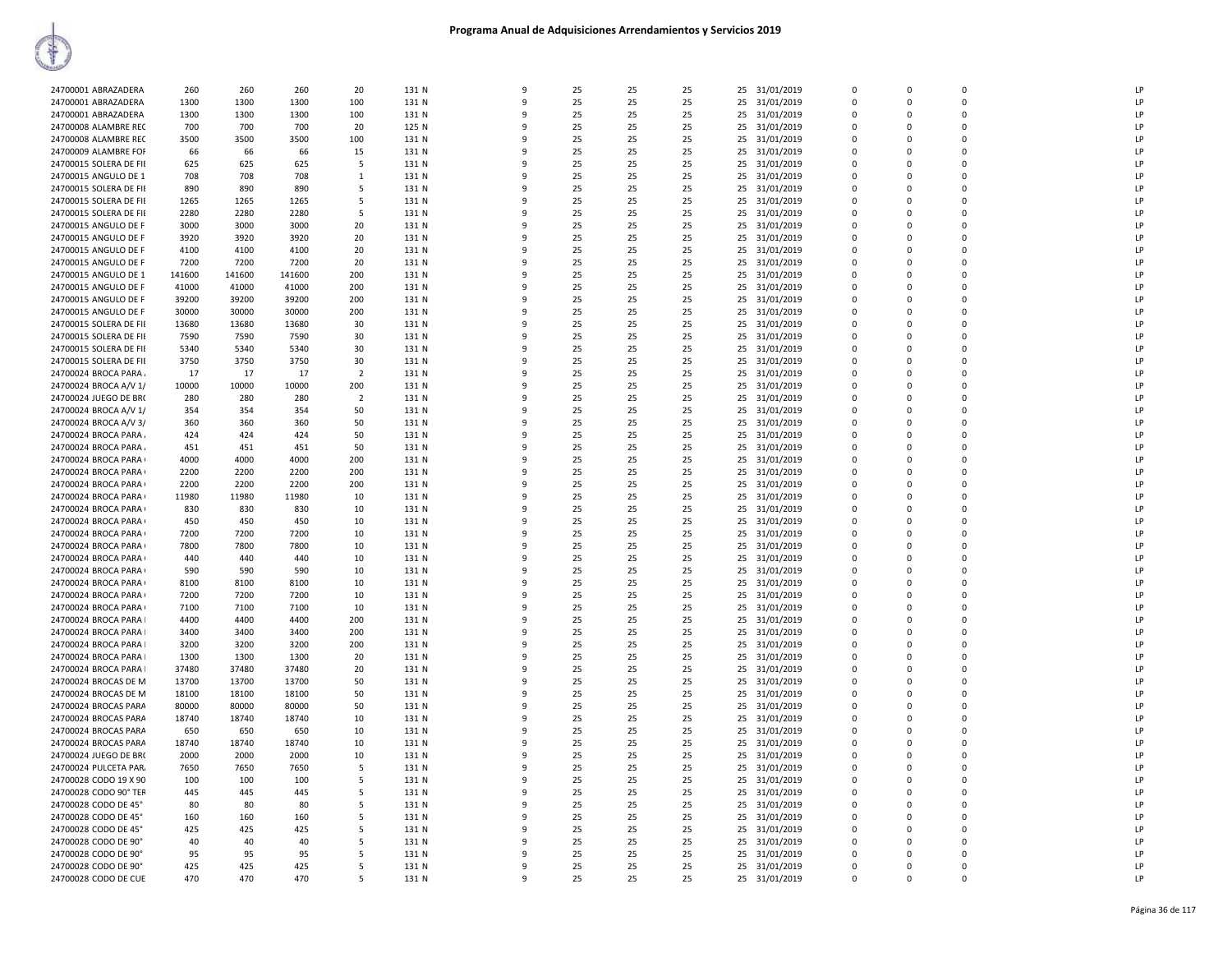|                        | 260    | 260    | 260    | 20             | 131 N | $\mathbf{q}$ | 25 | 25 | 25 |    | 31/01/2019    | $\Omega$       | $\Omega$     | $\Omega$     | LP |
|------------------------|--------|--------|--------|----------------|-------|--------------|----|----|----|----|---------------|----------------|--------------|--------------|----|
| 24700001 ABRAZADERA    |        |        |        |                |       |              |    |    |    | 25 |               |                |              |              |    |
| 24700001 ABRAZADERA    | 1300   | 1300   | 1300   | 100            | 131 N | 9            | 25 | 25 | 25 | 25 | 31/01/2019    | $\mathbf 0$    | $\Omega$     | $\Omega$     | LP |
| 24700001 ABRAZADERA    | 1300   | 1300   | 1300   | 100            | 131 N | q            | 25 | 25 | 25 | 25 | 31/01/2019    | $\Omega$       | $\Omega$     | $\Omega$     | LP |
| 24700008 ALAMBRE REC   | 700    | 700    | 700    | 20             | 125 N |              | 25 | 25 | 25 | 25 | 31/01/2019    | $\Omega$       | $\Omega$     | $\Omega$     | LP |
| 24700008 ALAMBRE REC   | 3500   | 3500   | 3500   | 100            | 131 N | q            | 25 | 25 | 25 | 25 | 31/01/2019    | $\mathbf 0$    | $\Omega$     | $\mathbf 0$  | LP |
|                        |        |        |        |                |       |              |    |    |    |    |               |                |              | $\Omega$     |    |
| 24700009 ALAMBRE FOF   | 66     | 66     | 66     | 15             | 131 N | 9            | 25 | 25 | 25 |    | 25 31/01/2019 | $\overline{0}$ | $\Omega$     |              | LP |
| 24700015 SOLERA DE FII | 625    | 625    | 625    | 5              | 131 N | $\mathbf{Q}$ | 25 | 25 | 25 |    | 25 31/01/2019 | $\Omega$       | $\Omega$     | $\Omega$     | LP |
| 24700015 ANGULO DE 1   | 708    | 708    | 708    | $\mathbf{1}$   | 131 N | $\mathbf{q}$ | 25 | 25 | 25 | 25 | 31/01/2019    | $\Omega$       | $\Omega$     | $\Omega$     | LP |
| 24700015 SOLERA DE FII | 890    | 890    | 890    | 5              | 131 N | 9            | 25 | 25 | 25 | 25 | 31/01/2019    | $\Omega$       | $\Omega$     | $\Omega$     | LP |
| 24700015 SOLERA DE FII | 1265   | 1265   | 1265   | 5              | 131 N | q            | 25 | 25 | 25 | 25 |               | $\Omega$       | $\Omega$     | $\Omega$     | LP |
|                        |        |        |        |                |       |              |    |    |    |    | 31/01/2019    |                |              |              |    |
| 24700015 SOLERA DE FII | 2280   | 2280   | 2280   | 5              | 131 N |              | 25 | 25 | 25 | 25 | 31/01/2019    | $\Omega$       | $\Omega$     | $\Omega$     | LP |
| 24700015 ANGULO DE F   | 3000   | 3000   | 3000   | 20             | 131 N | q            | 25 | 25 | 25 | 25 | 31/01/2019    | 0              | $\Omega$     | $\Omega$     | LP |
| 24700015 ANGULO DE F   | 3920   | 3920   | 3920   | 20             | 131 N | 9            | 25 | 25 | 25 | 25 | 31/01/2019    | $\Omega$       | $\Omega$     | $\Omega$     | LP |
| 24700015 ANGULO DE F   | 4100   | 4100   | 4100   | 20             | 131 N | $\mathbf{Q}$ | 25 | 25 | 25 | 25 | 31/01/2019    | $\Omega$       | $\Omega$     | $\Omega$     | LP |
| 24700015 ANGULO DE F   | 7200   | 7200   | 7200   | 20             | 131 N | $\mathbf{q}$ | 25 | 25 | 25 | 25 | 31/01/2019    | $\Omega$       | $\Omega$     | $\Omega$     | LP |
|                        |        |        |        |                |       |              |    |    |    |    |               |                |              |              |    |
| 24700015 ANGULO DE 1   | 141600 | 141600 | 141600 | 200            | 131 N | -9           | 25 | 25 | 25 | 25 | 31/01/2019    | $\mathbf 0$    | $\Omega$     | $\Omega$     | LP |
| 24700015 ANGULO DE F   | 41000  | 41000  | 41000  | 200            | 131 N | $\mathbf{q}$ | 25 | 25 | 25 | 25 | 31/01/2019    | $\mathbf 0$    | $\Omega$     | $\Omega$     | LP |
| 24700015 ANGULO DE F   | 39200  | 39200  | 39200  | 200            | 131 N |              | 25 | 25 | 25 | 25 | 31/01/2019    | $\Omega$       | $\Omega$     | $\Omega$     | LP |
| 24700015 ANGULO DE F   | 30000  | 30000  | 30000  | 200            | 131 N |              | 25 | 25 | 25 | 25 | 31/01/2019    | 0              | $\Omega$     | $\Omega$     | LP |
| 24700015 SOLERA DE FII | 13680  | 13680  | 13680  | 30             | 131 N |              | 25 | 25 | 25 | 25 | 31/01/2019    | $\Omega$       | O            | $\Omega$     | LP |
|                        |        |        |        |                |       |              |    |    |    |    |               |                |              |              |    |
| 24700015 SOLERA DE FII | 7590   | 7590   | 7590   | 30             | 131 N | $\mathbf{q}$ | 25 | 25 | 25 | 25 | 31/01/2019    | $\Omega$       | $\Omega$     | $\Omega$     | LP |
| 24700015 SOLERA DE FII | 5340   | 5340   | 5340   | 30             | 131 N | 9            | 25 | 25 | 25 |    | 25 31/01/2019 | $\overline{0}$ | $\Omega$     | $\Omega$     | LP |
| 24700015 SOLERA DE FII | 3750   | 3750   | 3750   | 30             | 131 N | q            | 25 | 25 | 25 | 25 | 31/01/2019    | 0              | $\Omega$     | $\Omega$     | LP |
| 24700024 BROCA PARA    | 17     | 17     | 17     | $\overline{2}$ | 131 N | $\mathbf{q}$ | 25 | 25 | 25 | 25 | 31/01/2019    | $\Omega$       | $\Omega$     | $\Omega$     | LP |
|                        |        |        |        |                |       |              | 25 |    |    | 25 |               | $\Omega$       | $\Omega$     | $\Omega$     | LP |
| 24700024 BROCA A/V 1/  | 10000  | 10000  | 10000  | 200            | 131 N |              |    | 25 | 25 |    | 31/01/2019    |                |              |              |    |
| 24700024 JUEGO DE BR(  | 280    | 280    | 280    | $\overline{2}$ | 131 N |              | 25 | 25 | 25 | 25 | 31/01/2019    | $\mathbf 0$    | $\Omega$     | $\Omega$     | LP |
| 24700024 BROCA A/V 1/  | 354    | 354    | 354    | 50             | 131 N |              | 25 | 25 | 25 | 25 | 31/01/2019    | $\Omega$       | $\Omega$     | $\Omega$     | LP |
| 24700024 BROCA A/V 3/  | 360    | 360    | 360    | 50             | 131 N | q            | 25 | 25 | 25 | 25 | 31/01/2019    | $\Omega$       | $\Omega$     | $\Omega$     | LP |
| 24700024 BROCA PARA    | 424    | 424    | 424    | 50             | 131 N | 9            | 25 | 25 | 25 | 25 | 31/01/2019    | $\overline{0}$ | $\Omega$     | $\Omega$     | LP |
|                        |        |        | 451    | 50             |       | $\mathbf{q}$ | 25 | 25 | 25 |    | 31/01/2019    | 0              | 0            | $\mathbf{0}$ | LP |
| 24700024 BROCA PARA    | 451    | 451    |        |                | 131 N |              |    |    |    | 25 |               |                |              |              |    |
| 24700024 BROCA PARA    | 4000   | 4000   | 4000   | 200            | 131 N | $\mathbf{q}$ | 25 | 25 | 25 | 25 | 31/01/2019    | $\Omega$       | $\Omega$     | $\Omega$     | LP |
| 24700024 BROCA PARA    | 2200   | 2200   | 2200   | 200            | 131 N |              | 25 | 25 | 25 | 25 | 31/01/2019    | $\Omega$       | $\Omega$     | $\Omega$     | LP |
| 24700024 BROCA PARA    | 2200   | 2200   | 2200   | 200            | 131 N |              | 25 | 25 | 25 | 25 | 31/01/2019    | $\Omega$       | $\Omega$     | $\Omega$     | LP |
| 24700024 BROCA PARA    | 11980  | 11980  | 11980  | 10             | 131 N |              | 25 | 25 | 25 | 25 | 31/01/2019    | $\Omega$       | $\Omega$     | $\Omega$     | LP |
| 24700024 BROCA PARA    | 830    | 830    | 830    | 10             | 131 N | q            | 25 | 25 | 25 | 25 | 31/01/2019    | $\Omega$       | $\Omega$     | $\Omega$     | LP |
| 24700024 BROCA PARA    | 450    | 450    | 450    | 10             | 131 N | 9            | 25 | 25 | 25 | 25 | 31/01/2019    | $\overline{0}$ | $\Omega$     | $\Omega$     | LP |
|                        |        |        |        |                |       |              |    |    |    |    |               |                |              |              |    |
| 24700024 BROCA PARA    | 7200   | 7200   | 7200   | 10             | 131 N | 9            | 25 | 25 | 25 | 25 | 31/01/2019    | $\mathbf 0$    | $\mathbf{0}$ | $\mathbf{0}$ | LP |
| 24700024 BROCA PARA    | 7800   | 7800   | 7800   | 10             | 131 N | $\mathbf{q}$ | 25 | 25 | 25 | 25 | 31/01/2019    | $\mathbf 0$    | $\Omega$     | $\Omega$     | LP |
| 24700024 BROCA PARA    | 440    | 440    | 440    | 10             | 131 N | ۹            | 25 | 25 | 25 | 25 | 31/01/2019    | $\Omega$       | $\Omega$     | $\Omega$     | LP |
| 24700024 BROCA PARA    | 590    | 590    | 590    | 10             | 131 N |              | 25 | 25 | 25 | 25 | 31/01/2019    | $\Omega$       | $\Omega$     | $\Omega$     | LP |
| 24700024 BROCA PARA    | 8100   | 8100   | 8100   | 10             | 131 N |              | 25 | 25 | 25 | 25 | 31/01/2019    | $\mathbf 0$    | $\Omega$     | $\Omega$     | LP |
| 24700024 BROCA PARA    | 7200   | 7200   | 7200   | 10             | 131 N |              | 25 | 25 | 25 | 25 | 31/01/2019    | $\Omega$       | $\Omega$     | $\Omega$     | LP |
|                        |        |        |        |                |       |              |    |    |    |    |               |                |              |              |    |
| 24700024 BROCA PARA    | 7100   | 7100   | 7100   | 10             | 131 N |              | 25 | 25 | 25 | 25 | 31/01/2019    | $\Omega$       | $\Omega$     | $\Omega$     | LP |
| 24700024 BROCA PARA    | 4400   | 4400   | 4400   | 200            | 131 N | q            | 25 | 25 | 25 | 25 | 31/01/2019    | 0              | $\Omega$     | $\Omega$     | LP |
| 24700024 BROCA PARA    | 3400   | 3400   | 3400   | 200            | 131 N | 9            | 25 | 25 | 25 | 25 | 31/01/2019    | $\mathbf 0$    | $\Omega$     | $\Omega$     | LP |
| 24700024 BROCA PARA    | 3200   | 3200   | 3200   | 200            | 131 N | ۹            | 25 | 25 | 25 | 25 | 31/01/2019    | $\Omega$       | $\Omega$     | $\Omega$     | LP |
| 24700024 BROCA PARA    | 1300   | 1300   | 1300   | 20             | 131 N |              | 25 | 25 | 25 | 25 | 31/01/2019    | $\Omega$       | $\Omega$     | $\Omega$     | LP |
|                        |        |        |        |                |       |              |    |    |    |    |               |                |              |              |    |
| 24700024 BROCA PARA    | 37480  | 37480  | 37480  | 20             | 131 N |              | 25 | 25 | 25 | 25 | 31/01/2019    | $\mathbf 0$    | $\Omega$     | $\Omega$     | LP |
| 24700024 BROCAS DE M   | 13700  | 13700  | 13700  | 50             | 131 N | $\mathbf{q}$ | 25 | 25 | 25 |    | 25 31/01/2019 | $\Omega$       | $\Omega$     | $\Omega$     | LP |
| 24700024 BROCAS DE M   | 18100  | 18100  | 18100  | 50             | 131 N |              | 25 | 25 | 25 |    | 25 31/01/2019 | $\Omega$       | $\Omega$     | $\Omega$     | LP |
| 24700024 BROCAS PARA   | 80000  | 80000  | 80000  | 50             | 131 N | q            | 25 | 25 | 25 | 25 | 31/01/2019    | $\mathbf 0$    | $\Omega$     | $\Omega$     | LP |
| 24700024 BROCAS PARA   | 18740  | 18740  | 18740  | 10             | 131 N | 9            | 25 | 25 | 25 | 25 | 31/01/2019    | $\overline{0}$ | $\Omega$     | $\Omega$     | LP |
|                        |        |        |        |                |       | $\mathbf{Q}$ |    |    |    |    |               |                |              |              |    |
| 24700024 BROCAS PARA   | 650    | 650    | 650    | 10             | 131 N |              | 25 | 25 | 25 | 25 | 31/01/2019    | $\Omega$       | $\Omega$     | $\Omega$     | LP |
| 24700024 BROCAS PARA   | 18740  | 18740  | 18740  | 10             | 131 N |              | 25 | 25 | 25 | 25 | 31/01/2019    | $\overline{0}$ | $\Omega$     | $\Omega$     | LP |
| 24700024 JUEGO DE BR(  | 2000   | 2000   | 2000   | 10             | 131 N | ۹            | 25 | 25 | 25 | 25 | 31/01/2019    | $\Omega$       | $\Omega$     | $\Omega$     | LP |
| 24700024 PULCETA PAR.  | 7650   | 7650   | 7650   | 5              | 131 N | $\mathbf{q}$ | 25 | 25 | 25 |    | 25 31/01/2019 | $\Omega$       | $\Omega$     | $\Omega$     | LP |
| 24700028 CODO 19 X 90  | 100    | 100    | 100    | 5              | 131 N | q            | 25 | 25 | 25 | 25 | 31/01/2019    | $\Omega$       | $\Omega$     | $\Omega$     | LP |
|                        |        |        |        |                |       |              |    |    |    |    |               |                |              |              |    |
| 24700028 CODO 90° TER  | 445    | 445    | 445    | 5              | 131 N | q            | 25 | 25 | 25 | 25 | 31/01/2019    | $\mathbf 0$    | $\Omega$     | $\Omega$     | LP |
| 24700028 CODO DE 45°   | 80     | 80     | 80     | 5              | 131 N | 9            | 25 | 25 | 25 | 25 | 31/01/2019    | 0              | $\Omega$     | $\Omega$     | LP |
| 24700028 CODO DE 45°   | 160    | 160    | 160    | 5              | 131 N | q            | 25 | 25 | 25 | 25 | 31/01/2019    | $\Omega$       | $\Omega$     | $\Omega$     | LP |
| 24700028 CODO DE 45°   | 425    | 425    | 425    | 5              | 131 N |              | 25 | 25 | 25 | 25 | 31/01/2019    | $\mathbf 0$    | $\Omega$     | $\Omega$     | LP |
| 24700028 CODO DE 90°   | 40     | 40     | 40     | 5              | 131 N |              | 25 | 25 | 25 | 25 | 31/01/2019    | $\mathbf 0$    | $\Omega$     | $\mathbf{0}$ | LP |
| 24700028 CODO DE 90°   | 95     | 95     | 95     | 5              | 131 N | $\mathbf{q}$ | 25 | 25 | 25 |    | 25 31/01/2019 | $\Omega$       | $\Omega$     | $\Omega$     | LP |
|                        |        |        |        |                |       |              |    |    |    |    |               |                |              |              |    |
| 24700028 CODO DE 90°   | 425    | 425    | 425    | 5              | 131 N |              | 25 | 25 | 25 | 25 | 31/01/2019    | $\Omega$       | $\Omega$     | $\Omega$     | LP |
| 24700028 CODO DE CUE   | 470    | 470    | 470    | 5              | 131 N | 9            | 25 | 25 | 25 |    | 25 31/01/2019 | $\Omega$       | $\Omega$     | $\Omega$     | LP |
|                        |        |        |        |                |       |              |    |    |    |    |               |                |              |              |    |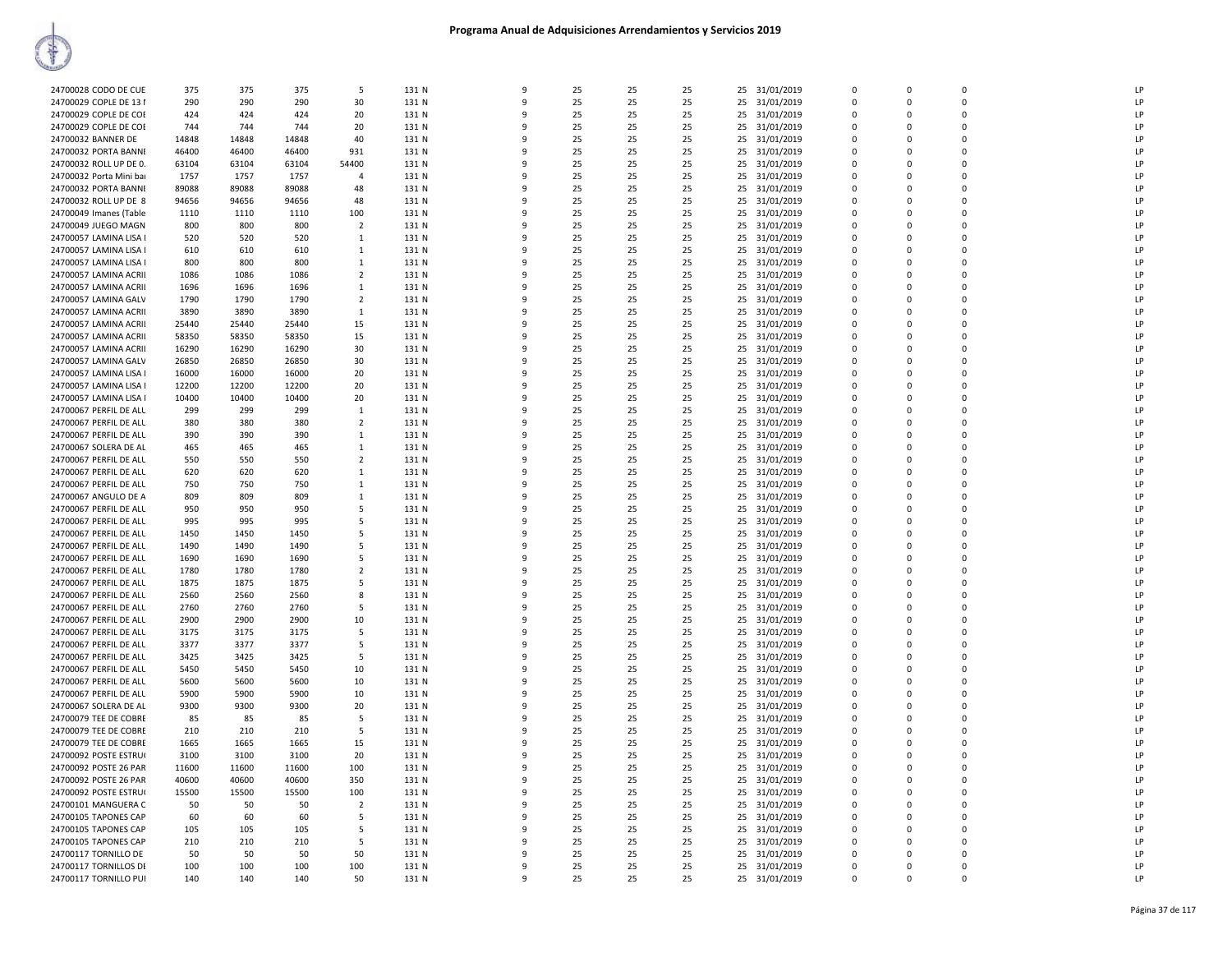| 24700028 CODO DE CUE    | 375   | 375   | 375   | -5             | 131 N | 9            | 25 | 25 | 25 | 25 | 31/01/2019    | 0           | $\mathbf 0$ | $\mathbf 0$    | LP            |
|-------------------------|-------|-------|-------|----------------|-------|--------------|----|----|----|----|---------------|-------------|-------------|----------------|---------------|
|                         |       |       |       |                |       |              |    |    |    |    |               |             |             |                |               |
| 24700029 COPLE DE 13 I  | 290   | 290   | 290   | 30             | 131 N | 9            | 25 | 25 | 25 | 25 | 31/01/2019    | $\Omega$    | $\Omega$    | $\Omega$       | LP            |
| 24700029 COPLE DE COE   | 424   | 424   | 424   | 20             | 131 N | 9            | 25 | 25 | 25 | 25 | 31/01/2019    | 0           | $\Omega$    | $\Omega$       | LP            |
| 24700029 COPLE DE COE   | 744   | 744   | 744   | 20             | 131 N | q            | 25 | 25 | 25 | 25 | 31/01/2019    | $\Omega$    | $\Omega$    | $\Omega$       | LP            |
| 24700032 BANNER DE      | 14848 | 14848 | 14848 | 40             | 131 N | 9            | 25 | 25 | 25 | 25 | 31/01/2019    | 0           | 0           | $\overline{0}$ | LP            |
|                         |       |       |       |                |       |              |    |    |    |    |               |             |             |                |               |
| 24700032 PORTA BANNI    | 46400 | 46400 | 46400 | 931            | 131 N | 9            | 25 | 25 | 25 |    | 25 31/01/2019 | $\Omega$    | $\Omega$    | $\Omega$       | LP            |
| 24700032 ROLL UP DE 0.  | 63104 | 63104 | 63104 | 54400          | 131 N | 9            | 25 | 25 | 25 |    | 25 31/01/2019 | 0           | 0           | $\mathbf 0$    | LP            |
| 24700032 Porta Mini bar | 1757  | 1757  | 1757  | $\overline{4}$ | 131 N | 9            | 25 | 25 | 25 | 25 | 31/01/2019    | 0           | $\mathbf 0$ | $\mathbf 0$    | LP            |
| 24700032 PORTA BANNI    | 89088 | 89088 | 89088 | 48             | 131 N | $\mathbf{q}$ | 25 | 25 | 25 | 25 | 31/01/2019    | $\mathbf 0$ | $\mathbf 0$ | $\mathbf 0$    | LP            |
|                         |       |       |       |                |       |              |    |    |    |    |               |             |             | $\Omega$       |               |
| 24700032 ROLL UP DE 8   | 94656 | 94656 | 94656 | 48             | 131 N | q            | 25 | 25 | 25 | 25 | 31/01/2019    | $\Omega$    | $\Omega$    |                | LP            |
| 24700049 Imanes (Table  | 1110  | 1110  | 1110  | 100            | 131 N | q            | 25 | 25 | 25 | 25 | 31/01/2019    | $\Omega$    | $\Omega$    | $\Omega$       | LP            |
| 24700049 JUEGO MAGN     | 800   | 800   | 800   | $\overline{2}$ | 131 N | q            | 25 | 25 | 25 | 25 | 31/01/2019    | 0           | $\Omega$    | $\Omega$       | LP            |
| 24700057 LAMINA LISA I  | 520   | 520   | 520   | 1              | 131 N | q            | 25 | 25 | 25 |    | 25 31/01/2019 | $\Omega$    | $\Omega$    | $\Omega$       | LP            |
| 24700057 LAMINA LISA I  | 610   | 610   | 610   | 1              | 131 N | 9            | 25 | 25 | 25 | 25 | 31/01/2019    | 0           | O           | $\Omega$       | LP            |
|                         |       |       |       |                |       |              |    |    |    |    |               |             |             |                |               |
| 24700057 LAMINA LISA I  | 800   | 800   | 800   | 1              | 131 N | 9            | 25 | 25 | 25 | 25 | 31/01/2019    | $\Omega$    | $\Omega$    | $\mathbf 0$    | LP            |
| 24700057 LAMINA ACRII   | 1086  | 1086  | 1086  | $\overline{2}$ | 131 N | 9            | 25 | 25 | 25 | 25 | 31/01/2019    | 0           | 0           | $\mathbf 0$    | LP            |
| 24700057 LAMINA ACRII   | 1696  | 1696  | 1696  | 1              | 131 N | 9            | 25 | 25 | 25 | 25 | 31/01/2019    | 0           | $\mathbf 0$ | $\Omega$       | LP            |
| 24700057 LAMINA GALV    | 1790  | 1790  | 1790  | $\overline{2}$ | 131 N | q            | 25 | 25 | 25 | 25 | 31/01/2019    | 0           | 0           | $\mathbf 0$    | LP            |
|                         |       |       |       |                |       | 9            |    |    |    |    |               |             | $\Omega$    | $\Omega$       | LP            |
| 24700057 LAMINA ACRII   | 3890  | 3890  | 3890  | 1              | 131 N |              | 25 | 25 | 25 | 25 | 31/01/2019    | 0           |             |                |               |
| 24700057 LAMINA ACRII   | 25440 | 25440 | 25440 | 15             | 131 N | q            | 25 | 25 | 25 |    | 25 31/01/2019 | $\Omega$    | $\Omega$    | $\Omega$       | LP            |
| 24700057 LAMINA ACRII   | 58350 | 58350 | 58350 | 15             | 131 N | q            | 25 | 25 | 25 | 25 | 31/01/2019    | $\Omega$    | $\Omega$    | $\Omega$       | LP            |
| 24700057 LAMINA ACRII   | 16290 | 16290 | 16290 | 30             | 131 N | 9            | 25 | 25 | 25 | 25 | 31/01/2019    | $\Omega$    | $\Omega$    | $\Omega$       | LP            |
| 24700057 LAMINA GALV    | 26850 | 26850 | 26850 | 30             | 131 N | 9            | 25 | 25 | 25 | 25 | 31/01/2019    | 0           | $\mathbf 0$ | $\mathbf 0$    | LP            |
|                         |       |       |       |                |       |              |    |    |    |    |               |             |             |                |               |
| 24700057 LAMINA LISA I  | 16000 | 16000 | 16000 | 20             | 131 N | 9            | 25 | 25 | 25 | 25 | 31/01/2019    | $\Omega$    | $\Omega$    | $\Omega$       | LP            |
| 24700057 LAMINA LISA I  | 12200 | 12200 | 12200 | 20             | 131 N | 9            | 25 | 25 | 25 |    | 25 31/01/2019 | $\Omega$    | $\Omega$    | $\Omega$       | LP            |
| 24700057 LAMINA LISA I  | 10400 | 10400 | 10400 | 20             | 131 N | 9            | 25 | 25 | 25 | 25 | 31/01/2019    | 0           | 0           | $\mathbf 0$    | LP            |
| 24700067 PERFIL DE ALL  | 299   | 299   | 299   | 1              | 131 N | q            | 25 | 25 | 25 | 25 | 31/01/2019    | 0           | 0           | $\mathbf 0$    | LP            |
|                         |       |       |       |                |       |              |    |    |    |    |               |             |             |                |               |
| 24700067 PERFIL DE ALL  | 380   | 380   | 380   | $\overline{2}$ | 131 N | q            | 25 | 25 | 25 | 25 | 31/01/2019    | $\Omega$    | $\Omega$    | $\Omega$       | LP            |
| 24700067 PERFIL DE ALL  | 390   | 390   | 390   | $\mathbf{1}$   | 131 N | 9            | 25 | 25 | 25 |    | 25 31/01/2019 | $\Omega$    | $\Omega$    | $\Omega$       | LP            |
| 24700067 SOLERA DE AL   | 465   | 465   | 465   | 1              | 131 N | 9            | 25 | 25 | 25 | 25 | 31/01/2019    | 0           | $\mathbf 0$ | $\mathbf 0$    | LP            |
| 24700067 PERFIL DE ALL  | 550   | 550   | 550   | $\overline{2}$ | 131 N | 9            | 25 | 25 | 25 | 25 | 31/01/2019    | $\Omega$    | $\Omega$    | $\Omega$       | LP            |
|                         |       |       |       |                |       |              |    |    |    |    |               |             |             | $\Omega$       |               |
| 24700067 PERFIL DE ALL  | 620   | 620   | 620   | 1              | 131 N | q            | 25 | 25 | 25 | 25 | 31/01/2019    | 0           | 0           |                | LP            |
| 24700067 PERFIL DE ALL  | 750   | 750   | 750   | 1              | 131 N | q            | 25 | 25 | 25 | 25 | 31/01/2019    | 0           | 0           | $\mathbf 0$    | LP            |
| 24700067 ANGULO DE A    | 809   | 809   | 809   | 1              | 131 N | 9            | 25 | 25 | 25 |    | 25 31/01/2019 | 0           | 0           | $\mathbf 0$    | LP            |
| 24700067 PERFIL DE ALL  | 950   | 950   | 950   | 5              | 131 N | q            | 25 | 25 | 25 | 25 | 31/01/2019    | 0           | $\Omega$    | $\Omega$       | LP            |
| 24700067 PERFIL DE ALL  | 995   | 995   | 995   | 5              | 131 N | $\mathsf{q}$ | 25 | 25 | 25 |    |               | 0           | 0           | $\mathbf 0$    | LP            |
|                         |       |       |       |                |       |              |    |    |    |    | 25 31/01/2019 |             |             |                |               |
| 24700067 PERFIL DE ALL  | 1450  | 1450  | 1450  | 5              | 131 N | 9            | 25 | 25 | 25 | 25 | 31/01/2019    | 0           | 0           | $\Omega$       | LP            |
| 24700067 PERFIL DE ALL  | 1490  | 1490  | 1490  | -5             | 131 N | 9            | 25 | 25 | 25 | 25 | 31/01/2019    | $\Omega$    | $\Omega$    | $\Omega$       | LP            |
| 24700067 PERFIL DE ALL  | 1690  | 1690  | 1690  | 5              | 131 N | q            | 25 | 25 | 25 | 25 | 31/01/2019    | $\Omega$    | $\Omega$    | $\Omega$       | LP            |
| 24700067 PERFIL DE ALL  | 1780  | 1780  | 1780  | $\overline{2}$ | 131 N | 9            | 25 | 25 | 25 | 25 | 31/01/2019    | $\Omega$    | $\Omega$    | $\Omega$       | LP            |
|                         |       |       |       |                |       |              |    |    |    |    |               |             |             | $\mathbf 0$    | LP            |
| 24700067 PERFIL DE ALL  | 1875  | 1875  | 1875  | -5             | 131 N | 9            | 25 | 25 | 25 | 25 | 31/01/2019    | 0           | 0           |                |               |
| 24700067 PERFIL DE ALL  | 2560  | 2560  | 2560  | 8              | 131 N | q            | 25 | 25 | 25 | 25 | 31/01/2019    | $\Omega$    | O           | $\Omega$       | LP            |
| 24700067 PERFIL DE ALL  | 2760  | 2760  | 2760  | 5              | 131 N | 9            | 25 | 25 | 25 |    | 25 31/01/2019 | 0           | 0           | $\mathbf 0$    | LP            |
| 24700067 PERFIL DE ALL  | 2900  | 2900  | 2900  | 10             | 131 N | 9            | 25 | 25 | 25 | 25 | 31/01/2019    | 0           | $\mathbf 0$ | $\mathbf 0$    | LP            |
| 24700067 PERFIL DE ALL  | 3175  | 3175  | 3175  | 5              | 131 N | $\mathsf{q}$ | 25 | 25 | 25 | 25 |               | $\Omega$    | $\Omega$    | $\Omega$       | LP            |
|                         |       |       |       |                |       |              |    |    |    |    | 31/01/2019    |             |             |                |               |
| 24700067 PERFIL DE ALL  | 3377  | 3377  | 3377  | 5              | 131 N | q            | 25 | 25 | 25 | 25 | 31/01/2019    | $\Omega$    | $\Omega$    | $\Omega$       | LP            |
| 24700067 PERFIL DE ALL  | 3425  | 3425  | 3425  | -5             | 131 N | q            | 25 | 25 | 25 | 25 | 31/01/2019    | $\Omega$    | $\Omega$    | $\Omega$       | LP            |
| 24700067 PERFIL DE ALL  | 5450  | 5450  | 5450  | 10             | 131 N | q            | 25 | 25 | 25 | 25 | 31/01/2019    | 0           | 0           | $\Omega$       | LP            |
| 24700067 PERFIL DE ALL  | 5600  | 5600  | 5600  | 10             | 131 N | 9            | 25 | 25 | 25 |    | 25 31/01/2019 | $\Omega$    | $\Omega$    | $\Omega$       | LP            |
|                         |       |       |       |                |       | 9            |    | 25 | 25 |    |               | $\Omega$    | $\Omega$    | $\Omega$       | LP            |
| 24700067 PERFIL DE ALL  | 5900  | 5900  | 5900  | 10             | 131 N |              | 25 |    |    |    | 25 31/01/2019 |             |             |                |               |
| 24700067 SOLERA DE AL   | 9300  | 9300  | 9300  | 20             | 131 N | 9            | 25 | 25 | 25 | 25 | 31/01/2019    | 0           | $\mathbf 0$ | $\mathbf 0$    | LP            |
| 24700079 TEE DE COBRE   | 85    | 85    | 85    | 5              | 131 N | 9            | 25 | 25 | 25 | 25 | 31/01/2019    | $\mathbf 0$ | $\mathbf 0$ | $\Omega$       | LP            |
| 24700079 TEE DE COBRE   | 210   | 210   | 210   | 5              | 131 N | q            | 25 | 25 | 25 | 25 | 31/01/2019    | 0           | $\mathbf 0$ | $\Omega$       | LP            |
| 24700079 TEE DE COBRE   | 1665  | 1665  | 1665  | 15             | 131 N | q            | 25 | 25 | 25 |    | 25 31/01/2019 | $\Omega$    | $\Omega$    | $\Omega$       | LP            |
|                         |       |       |       |                |       |              |    |    |    |    |               |             |             |                |               |
| 24700092 POSTE ESTRU(   | 3100  | 3100  | 3100  | 20             | 131 N | 9            | 25 | 25 | 25 | 25 | 31/01/2019    | 0           | $\Omega$    | $\Omega$       | LP            |
| 24700092 POSTE 26 PAR   | 11600 | 11600 | 11600 | 100            | 131 N | q            | 25 | 25 | 25 |    | 25 31/01/2019 | $\Omega$    | $\Omega$    | $\Omega$       | LP            |
| 24700092 POSTE 26 PAR   | 40600 | 40600 | 40600 | 350            | 131 N | 9            | 25 | 25 | 25 |    | 25 31/01/2019 | $\Omega$    | $\Omega$    | $\Omega$       | LP            |
| 24700092 POSTE ESTRU(   | 15500 | 15500 | 15500 | 100            | 131 N | 9            | 25 | 25 | 25 | 25 | 31/01/2019    | 0           | 0           | $\mathbf 0$    | $\mathsf{LP}$ |
|                         |       |       |       |                |       | 9            |    |    |    |    |               |             |             | $\Omega$       | LP            |
| 24700101 MANGUERA C     | 50    | 50    | 50    | $\overline{2}$ | 131 N |              | 25 | 25 | 25 | 25 | 31/01/2019    | 0           | $\mathbf 0$ |                |               |
| 24700105 TAPONES CAP    | 60    | 60    | 60    | 5              | 131 N | q            | 25 | 25 | 25 | 25 | 31/01/2019    | 0           | $\mathbf 0$ | $\Omega$       | LP            |
| 24700105 TAPONES CAP    | 105   | 105   | 105   | 5              | 131 N | 9            | 25 | 25 | 25 |    | 25 31/01/2019 | 0           | 0           | $\Omega$       | LP            |
| 24700105 TAPONES CAP    | 210   | 210   | 210   | 5              | 131 N | 9            | 25 | 25 | 25 | 25 | 31/01/2019    | 0           | 0           | $\mathbf 0$    | LP            |
| 24700117 TORNILLO DE    | 50    | 50    | 50    | 50             | 131 N | q            | 25 | 25 | 25 |    | 25 31/01/2019 | $\Omega$    | $\Omega$    | $\Omega$       | LP            |
|                         |       |       |       |                |       | q            |    |    |    |    |               | $\Omega$    | $\Omega$    | $\Omega$       | LP            |
| 24700117 TORNILLOS DE   | 100   | 100   | 100   | 100            | 131 N |              | 25 | 25 | 25 |    | 25 31/01/2019 |             |             |                |               |
| 24700117 TORNILLO PUI   | 140   | 140   | 140   | 50             | 131 N | 9            | 25 | 25 | 25 |    | 25 31/01/2019 | $\Omega$    | $\Omega$    | $\Omega$       | LP            |
|                         |       |       |       |                |       |              |    |    |    |    |               |             |             |                |               |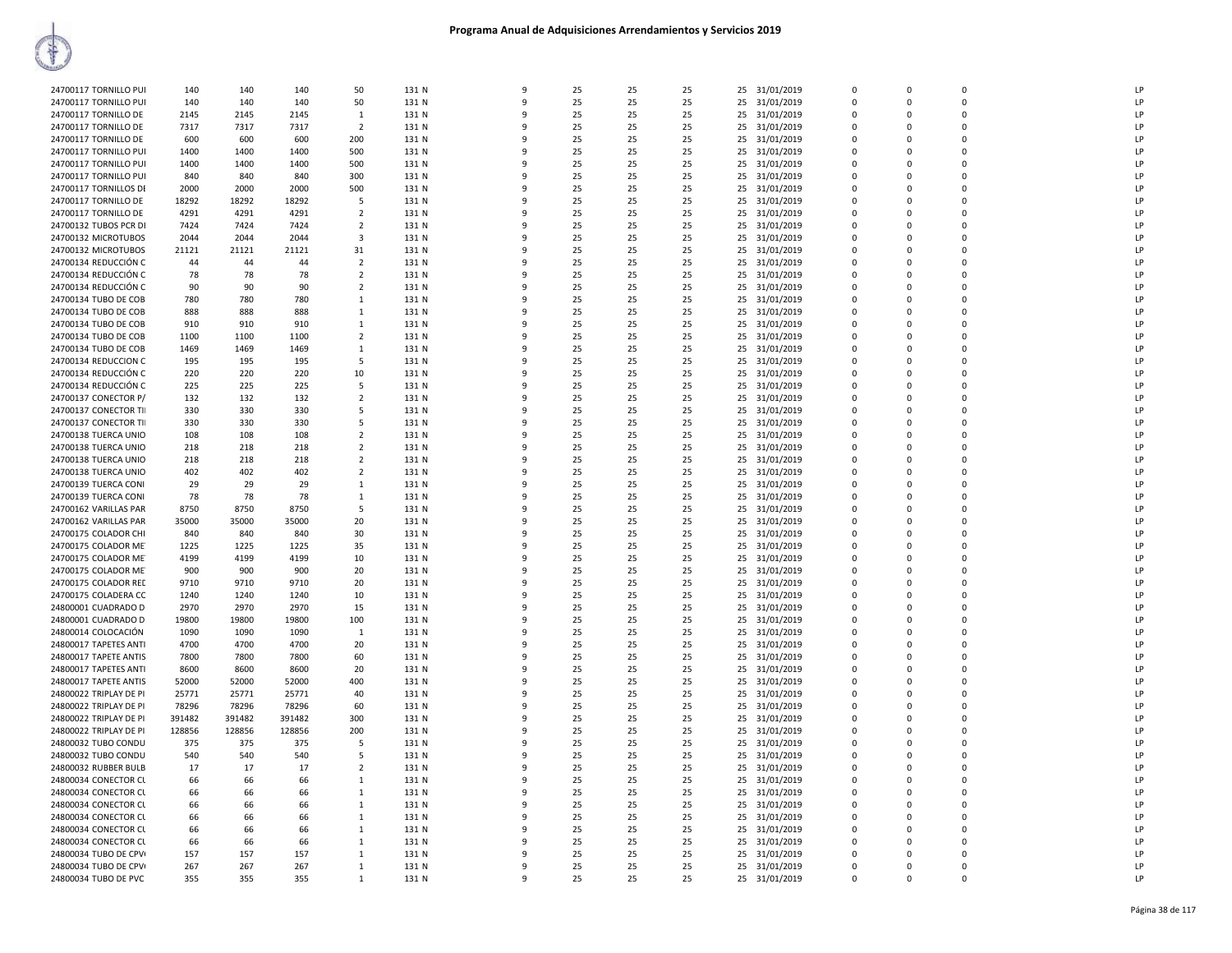| 24700117 TORNILLO PUI  | 140    | 140    | 140    | 50             | 131 N | 9            | 25 | 25 | 25 | 25 31/01/2019    | $\Omega$    | $\Omega$    | $\Omega$    | LP             |
|------------------------|--------|--------|--------|----------------|-------|--------------|----|----|----|------------------|-------------|-------------|-------------|----------------|
|                        |        |        |        |                |       |              |    |    |    |                  |             |             |             |                |
| 24700117 TORNILLO PU   | 140    | 140    | 140    | 50             | 131 N | $\alpha$     | 25 | 25 | 25 | 25 31/01/2019    | $\mathbf 0$ | $\Omega$    | $\Omega$    | LP             |
| 24700117 TORNILLO DE   | 2145   | 2145   | 2145   | 1              | 131 N | q            | 25 | 25 | 25 | 25 31/01/2019    | $\mathbf 0$ | $\Omega$    | $\Omega$    | LP             |
| 24700117 TORNILLO DE   | 7317   | 7317   | 7317   | $\overline{2}$ | 131 N |              | 25 | 25 | 25 | 31/01/2019<br>25 | 0           | $\Omega$    | $\mathbf 0$ | P              |
| 24700117 TORNILLO DE   | 600    | 600    | 600    | 200            | 131 N | q            | 25 | 25 | 25 | 25 31/01/2019    | $\Omega$    | $\Omega$    | $\Omega$    | LP             |
| 24700117 TORNILLO PUI  | 1400   | 1400   | 1400   | 500            | 131 N | ۰            | 25 | 25 | 25 | 25 31/01/2019    | $\Omega$    | $\Omega$    | $\Omega$    | LP             |
| 24700117 TORNILLO PUI  | 1400   | 1400   | 1400   | 500            | 131 N | q            | 25 | 25 | 25 | 25 31/01/2019    | $\Omega$    | $\Omega$    | $\Omega$    | LP             |
| 24700117 TORNILLO PUI  | 840    | 840    | 840    | 300            | 131 N | -9           | 25 | 25 | 25 | 31/01/2019<br>25 | 0           | $\Omega$    | $\Omega$    | LP             |
|                        |        |        |        |                |       |              |    |    |    |                  |             |             |             | <b>IP</b>      |
| 24700117 TORNILLOS DE  | 2000   | 2000   | 2000   | 500            | 131 N |              | 25 | 25 | 25 | 25 31/01/2019    | $\Omega$    | $\Omega$    | $\Omega$    |                |
| 24700117 TORNILLO DE   | 18292  | 18292  | 18292  | -5             | 131 N |              | 25 | 25 | 25 | 25 31/01/2019    | 0           | $\Omega$    | $\Omega$    | LP             |
| 24700117 TORNILLO DE   | 4291   | 4291   | 4291   | 2              | 131 N |              | 25 | 25 | 25 | 31/01/2019<br>25 | 0           | $\Omega$    | $\mathbf 0$ | LP             |
| 24700132 TUBOS PCR DI  | 7424   | 7424   | 7424   | $\overline{2}$ | 131 N | -9           | 25 | 25 | 25 | 25 31/01/2019    | $\mathbf 0$ | $\Omega$    | $\Omega$    | LP             |
| 24700132 MICROTUBOS    | 2044   | 2044   | 2044   | 3              | 131 N | $\alpha$     | 25 | 25 | 25 | 25 31/01/2019    | 0           | $\Omega$    | $\Omega$    | LP             |
| 24700132 MICROTUBOS    | 21121  | 21121  | 21121  | 31             | 131 N | q            | 25 | 25 | 25 | 25 31/01/2019    | $\mathbf 0$ | $\Omega$    | $\Omega$    | LP             |
| 24700134 REDUCCIÓN C   | 44     | 44     | 44     | $\overline{2}$ | 131 N | ٩            | 25 | 25 | 25 | 25<br>31/01/2019 | 0           | $\mathbf 0$ | 0           | LP             |
|                        |        |        |        |                |       |              |    |    |    |                  |             |             |             |                |
| 24700134 REDUCCIÓN C   | 78     | 78     | 78     | $\overline{2}$ | 131 N | q            | 25 | 25 | 25 | 25 31/01/2019    | $\Omega$    | $\Omega$    | $\Omega$    | LP             |
| 24700134 REDUCCIÓN C   | 90     | 90     | 90     | $\overline{2}$ | 131 N |              | 25 | 25 | 25 | 25 31/01/2019    | $\Omega$    | $\Omega$    | $\Omega$    | LP             |
| 24700134 TUBO DE COB   | 780    | 780    | 780    | $\mathbf{1}$   | 131 N |              | 25 | 25 | 25 | 25 31/01/2019    | $\Omega$    | $\Omega$    | $\Omega$    | LP             |
| 24700134 TUBO DE COB   | 888    | 888    | 888    | $\mathbf{1}$   | 131 N |              | 25 | 25 | 25 | 25 31/01/2019    | $\Omega$    | $\Omega$    | $\Omega$    | LP             |
| 24700134 TUBO DE COB   | 910    | 910    | 910    | 1              | 131 N | ٩            | 25 | 25 | 25 | 25 31/01/2019    | $\Omega$    | $\Omega$    | $\Omega$    | LP             |
| 24700134 TUBO DE COB   | 1100   | 1100   | 1100   | $\overline{2}$ | 131 N |              | 25 | 25 | 25 | 25 31/01/2019    | $\Omega$    | $\Omega$    | $\Omega$    | LP             |
|                        |        |        |        |                |       |              |    |    |    |                  |             |             |             | LP             |
| 24700134 TUBO DE COB   | 1469   | 1469   | 1469   | 1              | 131 N | ٩            | 25 | 25 | 25 | 31/01/2019<br>25 | 0           | $\Omega$    | $\mathbf 0$ |                |
| 24700134 REDUCCION C   | 195    | 195    | 195    | 5              | 131 N | 9            | 25 | 25 | 25 | 25<br>31/01/2019 | $\mathbf 0$ | $\Omega$    | $\Omega$    | LP             |
| 24700134 REDUCCIÓN C   | 220    | 220    | 220    | 10             | 131 N |              | 25 | 25 | 25 | 25 31/01/2019    | $\mathbf 0$ | $\Omega$    | $\Omega$    | LP             |
| 24700134 REDUCCIÓN C   | 225    | 225    | 225    | -5             | 131 N |              | 25 | 25 | 25 | 25 31/01/2019    | $\Omega$    | $\Omega$    | $\Omega$    | LP             |
| 24700137 CONECTOR P/   | 132    | 132    | 132    | $\overline{2}$ | 131 N |              | 25 | 25 | 25 | 25<br>31/01/2019 | 0           | 0           | 0           | LP             |
| 24700137 CONECTOR TII  | 330    | 330    | 330    | -5             | 131 N | ۰            | 25 | 25 | 25 | 25 31/01/2019    | $\Omega$    | $\Omega$    | $\Omega$    | LP             |
|                        | 330    | 330    | 330    | -5             |       |              | 25 | 25 | 25 |                  | $\Omega$    | $\Omega$    | $\Omega$    | LP             |
| 24700137 CONECTOR TII  |        |        |        |                | 131 N |              |    |    |    | 25 31/01/2019    |             |             |             |                |
| 24700138 TUERCA UNIO   | 108    | 108    | 108    | $\overline{2}$ | 131 N | q            | 25 | 25 | 25 | 31/01/2019<br>25 | $\Omega$    | $\Omega$    | $\Omega$    | LP             |
| 24700138 TUERCA UNIO   | 218    | 218    | 218    | $\overline{2}$ | 131 N |              | 25 | 25 | 25 | 31/01/2019<br>25 | 0           | $\Omega$    | $\Omega$    | LP             |
| 24700138 TUERCA UNIO   | 218    | 218    | 218    | 2              | 131 N |              | 25 | 25 | 25 | 25 31/01/2019    | 0           | $\Omega$    | $\Omega$    | LP             |
| 24700138 TUERCA UNIO   | 402    | 402    | 402    | $\overline{2}$ | 131 N |              | 25 | 25 | 25 | 25 31/01/2019    | 0           | $\Omega$    | $\Omega$    | LP             |
| 24700139 TUERCA CONI   | 29     | 29     | 29     | 1              | 131 N |              | 25 | 25 | 25 | 25<br>31/01/2019 | 0           | O           | 0           | LP             |
| 24700139 TUERCA CONI   | 78     | 78     | 78     | -1             | 131 N | $\mathbf{q}$ | 25 | 25 | 25 | 25 31/01/2019    | $\Omega$    | $\Omega$    | $\Omega$    | LP             |
| 24700162 VARILLAS PAR  | 8750   | 8750   | 8750   | 5              | 131 N | 9            | 25 | 25 | 25 |                  | $\mathbf 0$ | 0           | $\Omega$    | LP             |
|                        |        |        |        |                |       |              |    |    |    | 25 31/01/2019    |             |             |             |                |
| 24700162 VARILLAS PAR  | 35000  | 35000  | 35000  | 20             | 131 N | -9           | 25 | 25 | 25 | 25 31/01/2019    | $\Omega$    | $\Omega$    | $\Omega$    | LP             |
| 24700175 COLADOR CHI   | 840    | 840    | 840    | 30             | 131 N | 9            | 25 | 25 | 25 | 25<br>31/01/2019 | 0           | $\mathbf 0$ | 0           | LP             |
| 24700175 COLADOR ME    | 1225   | 1225   | 1225   | 35             | 131 N | q            | 25 | 25 | 25 | 25 31/01/2019    | $\mathbf 0$ | $\Omega$    | $\Omega$    | LP             |
| 24700175 COLADOR ME    | 4199   | 4199   | 4199   | 10             | 131 N |              | 25 | 25 | 25 | 25 31/01/2019    | $\Omega$    | $\Omega$    | $\Omega$    | LP             |
| 24700175 COLADOR ME    | 900    | 900    | 900    | 20             | 131 N |              | 25 | 25 | 25 | 31/01/2019<br>25 | $\Omega$    | $\Omega$    | $\Omega$    | LP             |
| 24700175 COLADOR RED   | 9710   | 9710   | 9710   | 20             | 131 N |              | 25 | 25 | 25 | 25 31/01/2019    | $\Omega$    | $\Omega$    | $\Omega$    | LP             |
|                        |        |        |        |                |       |              | 25 | 25 | 25 |                  | 0           | $\Omega$    | $\Omega$    | LP             |
| 24700175 COLADERA CC   | 1240   | 1240   | 1240   | 10             | 131 N |              |    |    |    | 25 31/01/2019    |             |             |             |                |
| 24800001 CUADRADO D    | 2970   | 2970   | 2970   | 15             | 131 N | q            | 25 | 25 | 25 | 25 31/01/2019    | $\Omega$    | $\Omega$    | $\Omega$    | LP             |
| 24800001 CUADRADO D    | 19800  | 19800  | 19800  | 100            | 131 N | 9            | 25 | 25 | 25 | 25<br>31/01/2019 | 0           | $\mathbf 0$ | $\Omega$    | LP             |
| 24800014 COLOCACIÓN    | 1090   | 1090   | 1090   | $\mathbf{1}$   | 131 N | $\mathbf{q}$ | 25 | 25 | 25 | 31/01/2019<br>25 | $\Omega$    | $\Omega$    | $\Omega$    | LP             |
| 24800017 TAPETES ANTI  | 4700   | 4700   | 4700   | 20             | 131 N |              | 25 | 25 | 25 | 25 31/01/2019    | $\mathbf 0$ | 0           | $\Omega$    | LP             |
| 24800017 TAPETE ANTIS  | 7800   | 7800   | 7800   | 60             | 131 N |              | 25 | 25 | 25 | 25 31/01/2019    | $\Omega$    | $\Omega$    | $\Omega$    | LP             |
| 24800017 TAPETES ANTI  | 8600   | 8600   | 8600   | 20             | 131 N |              | 25 | 25 | 25 | 25 31/01/2019    | 0           | 0           | $\mathbf 0$ | P              |
| 24800017 TAPETE ANTIS  | 52000  | 52000  | 52000  | 400            | 131 N | q            | 25 | 25 | 25 | 25 31/01/2019    | $\mathbf 0$ | $\Omega$    | $\Omega$    | LP             |
|                        |        |        |        |                |       |              |    |    |    |                  |             |             |             |                |
| 24800022 TRIPLAY DE PI | 25771  | 25771  | 25771  | 40             | 131 N | q            | 25 | 25 | 25 | 25 31/01/2019    | $\mathbf 0$ | $\Omega$    | $\Omega$    | LP             |
| 24800022 TRIPLAY DE PI | 78296  | 78296  | 78296  | 60             | 131 N | ٩            | 25 | 25 | 25 | 25<br>31/01/2019 | 0           | $\Omega$    | $\Omega$    | P              |
| 24800022 TRIPLAY DE PI | 391482 | 391482 | 391482 | 300            | 131 N | q            | 25 | 25 | 25 | 25 31/01/2019    | $\Omega$    | $\Omega$    | $\Omega$    | LP             |
| 24800022 TRIPLAY DE PI | 128856 | 128856 | 128856 | 200            | 131 N |              | 25 | 25 | 25 | 25 31/01/2019    | 0           | O           | $\Omega$    | P              |
| 24800032 TUBO CONDU    | 375    | 375    | 375    | -5             | 131 N |              | 25 | 25 | 25 | 25 31/01/2019    | $\Omega$    | $\Omega$    | $\Omega$    | LP             |
| 24800032 TUBO CONDU    | 540    | 540    | 540    | -5             | 131 N |              | 25 | 25 | 25 | 25 31/01/2019    | 0           | O           | $\Omega$    | LP             |
| 24800032 RUBBER BULB   | 17     | 17     | 17     | $\overline{2}$ | 131 N | $\mathbf{q}$ | 25 | 25 | 25 | 25 31/01/2019    | $\Omega$    | $\Omega$    | $\Omega$    | LP             |
|                        |        |        |        |                |       |              |    |    |    |                  |             |             |             | LP             |
| 24800034 CONECTOR CL   | 66     | 66     | 66     | 1              | 131 N | 9            | 25 | 25 | 25 | 25 31/01/2019    | $\mathbf 0$ | 0           | $\Omega$    |                |
| 24800034 CONECTOR CL   | 66     | 66     | 66     | 1              | 131 N | -9           | 25 | 25 | 25 | 31/01/2019<br>25 | $\mathbf 0$ | $\Omega$    | $\mathbf 0$ | LP             |
| 24800034 CONECTOR CL   | 66     | 66     | 66     | 1              | 131 N | 9            | 25 | 25 | 25 | 25 31/01/2019    | $\mathbf 0$ | $\Omega$    | $\Omega$    | LP             |
| 24800034 CONECTOR CL   | 66     | 66     | 66     | 1              | 131 N | ۰            | 25 | 25 | 25 | 25 31/01/2019    | $\mathbf 0$ | $\Omega$    | $\Omega$    | LP             |
| 24800034 CONECTOR CL   | 66     | 66     | 66     | $\mathbf{1}$   | 131 N |              | 25 | 25 | 25 | 25 31/01/2019    | $\mathbf 0$ | $\Omega$    | $\Omega$    | I <sub>P</sub> |
| 24800034 CONECTOR CL   | 66     | 66     | 66     | 1              | 131 N |              | 25 | 25 | 25 | 25<br>31/01/2019 | $\Omega$    | n           | $\Omega$    | P              |
| 24800034 TUBO DE CPV   | 157    | 157    | 157    | $\mathbf{1}$   | 131 N | q            | 25 | 25 | 25 | 25 31/01/2019    | $\Omega$    | $\Omega$    | $\Omega$    | LP             |
|                        |        |        |        |                |       |              |    |    |    |                  | $\Omega$    | O           | n           | LP             |
| 24800034 TUBO DE CPV   | 267    | 267    | 267    | 1              | 131 N |              | 25 | 25 | 25 | 25 31/01/2019    |             |             |             |                |
| 24800034 TUBO DE PVC   | 355    | 355    | 355    | $\mathbf{1}$   | 131 N | -9           | 25 | 25 | 25 | 25 31/01/2019    | $\Omega$    | $\Omega$    |             | LP             |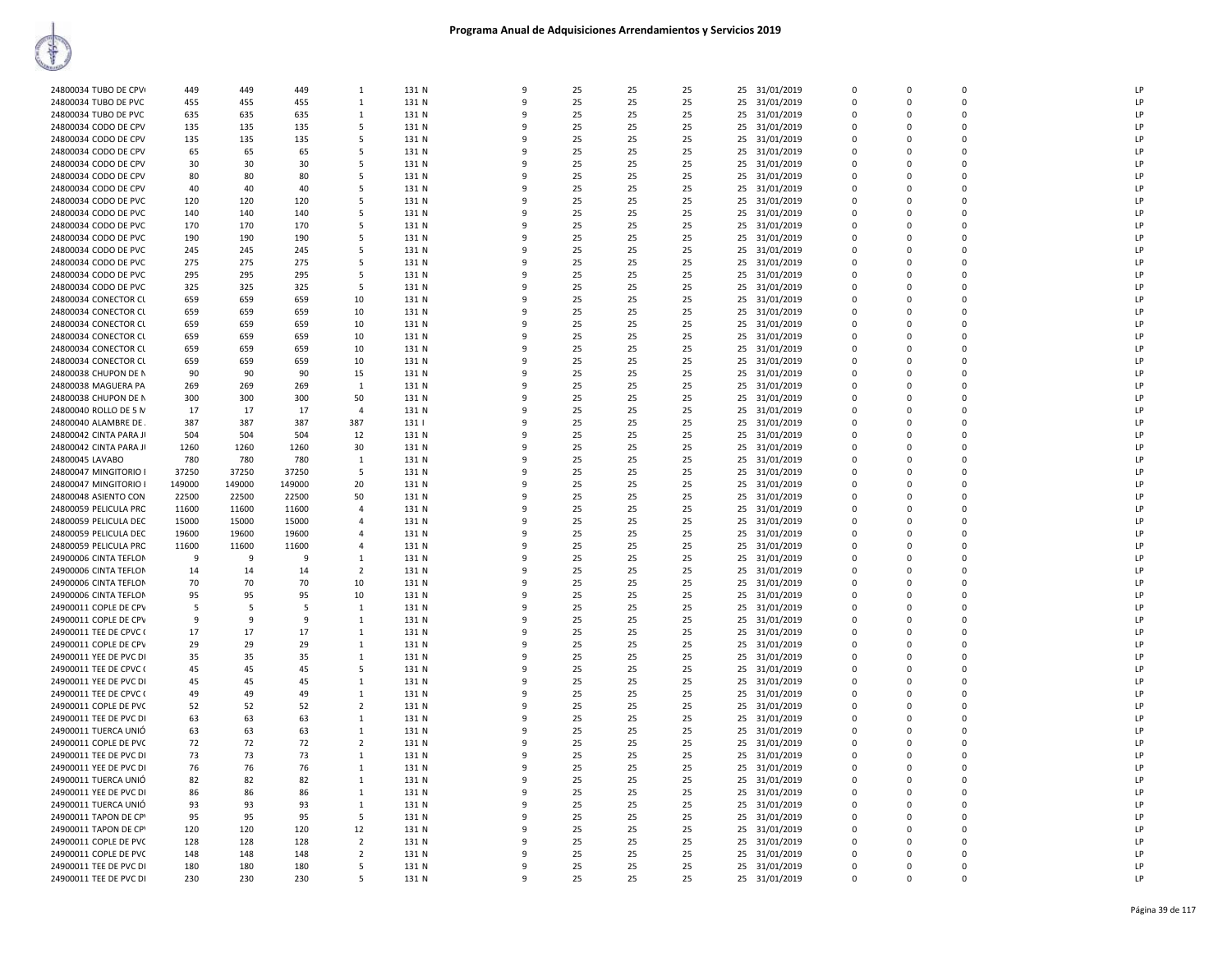| 24800034 TUBO DE CPV                             | 449        | 449        | 449          | 1              | 131 N          | 9            | 25       | 25       | 25       |    | 25 31/01/2019               | $\mathbf 0$ | $\Omega$    | $\mathbf 0$ | LP             |
|--------------------------------------------------|------------|------------|--------------|----------------|----------------|--------------|----------|----------|----------|----|-----------------------------|-------------|-------------|-------------|----------------|
| 24800034 TUBO DE PVC                             | 455        | 455        | 455          | $\mathbf{1}$   | 131 N          | 9            | 25       | 25       | 25       | 25 | 31/01/2019                  | $\mathsf 0$ | $\Omega$    | $\Omega$    | LP             |
|                                                  |            |            |              |                |                | q            |          |          |          |    |                             | $\Omega$    | $\Omega$    | $\Omega$    | LP             |
| 24800034 TUBO DE PVC                             | 635        | 635        | 635          | 1              | 131 N          | q            | 25       | 25       | 25       | 25 | 31/01/2019                  |             |             |             |                |
| 24800034 CODO DE CPV                             | 135        | 135        | 135          | .5             | 131 N          |              | 25       | 25       | 25       | 25 | 31/01/2019                  | $\Omega$    | $\Omega$    | $\Omega$    | LP             |
| 24800034 CODO DE CPV                             | 135        | 135        | 135          | 5              | 131 N          | ٩            | 25       | 25       | 25       | 25 | 31/01/2019                  | $\mathbf 0$ | $\Omega$    | 0           | LP             |
| 24800034 CODO DE CPV                             | 65         | 65         | 65           | -5             | 131 N          | q            | 25       | 25       | 25       |    | 25 31/01/2019               | $\Omega$    | $\Omega$    | $\Omega$    | LP             |
| 24800034 CODO DE CPV                             | 30         | 30         | 30           | 5              | 131 N          | q            | 25       | 25       | 25       |    | 25 31/01/2019               | $\Omega$    | $\Omega$    | $\Omega$    | LP             |
| 24800034 CODO DE CPV                             | 80         | 80         | 80           | 5              | 131 N          | q            | 25       | 25       | 25       | 25 | 31/01/2019                  | $\mathbf 0$ | $\Omega$    | $\mathbf 0$ | LP             |
| 24800034 CODO DE CPV                             | 40         | 40         | 40           | 5              | 131 N          | 9            | 25       | 25       | 25       | 25 | 31/01/2019                  | $\mathbf 0$ | $\Omega$    | $\Omega$    | LP             |
| 24800034 CODO DE PVC                             | 120        | 120        | 120          | -5             | 131 N          | q            | 25       | 25       | 25       | 25 | 31/01/2019                  | $\Omega$    | $\Omega$    | $\Omega$    | LP             |
| 24800034 CODO DE PVC                             | 140        | 140        | 140          | 5              | 131 N          | 9            | 25       | 25       | 25       | 25 | 31/01/2019                  | $\mathbf 0$ | $\Omega$    | $\Omega$    | LP             |
| 24800034 CODO DE PVC                             | 170        | 170        | 170          | 5              | 131 N          | q            | 25       | 25       | 25       | 25 | 31/01/2019                  | $\mathbf 0$ | $\Omega$    | $\mathbf 0$ | LP             |
| 24800034 CODO DE PVC                             | 190        | 190        | 190          | 5              | 131 N          | 9            | 25       | 25       | 25       |    | 25 31/01/2019               | $\mathbf 0$ | $\Omega$    | $\mathbf 0$ | LP             |
|                                                  |            |            |              |                |                | q            |          |          |          |    |                             |             | $\Omega$    | $\mathbf 0$ |                |
| 24800034 CODO DE PVC                             | 245        | 245        | 245          | -5             | 131 N          |              | 25       | 25       | 25       | 25 | 31/01/2019                  | $\mathbf 0$ |             |             | LP             |
| 24800034 CODO DE PVC                             | 275        | 275        | 275          | 5              | 131 N          | q            | 25       | 25       | 25       |    | 25 31/01/2019               | $\mathbf 0$ | $\Omega$    | $\mathbf 0$ | IP             |
| 24800034 CODO DE PVC                             | 295        | 295        | 295          | 5              | 131 N          | 9            | 25       | 25       | 25       | 25 | 31/01/2019                  | 0           | $\mathbf 0$ | 0           | LP             |
| 24800034 CODO DE PVC                             | 325        | 325        | 325          | 5              | 131 N          | $\mathbf{q}$ | 25       | 25       | 25       | 25 | 31/01/2019                  | $\mathsf 0$ | $\Omega$    | $\Omega$    | LP             |
| 24800034 CONECTOR CU                             | 659        | 659        | 659          | 10             | 131 N          | q            | 25       | 25       | 25       | 25 | 31/01/2019                  | $\mathbf 0$ | $\mathbf 0$ | $\mathbf 0$ | LP             |
| 24800034 CONECTOR CL                             | 659        | 659        | 659          | 10             | 131 N          | q            | 25       | 25       | 25       | 25 | 31/01/2019                  | $\Omega$    | $\Omega$    | $\Omega$    | LP             |
| 24800034 CONECTOR CL                             | 659        | 659        | 659          | 10             | 131 N          | 9            | 25       | 25       | 25       | 25 | 31/01/2019                  | $\Omega$    | $\Omega$    | $\Omega$    | LP             |
| 24800034 CONECTOR CL                             | 659        | 659        | 659          | 10             | 131 N          | q            | 25       | 25       | 25       | 25 | 31/01/2019                  | $\Omega$    | $\Omega$    | $\Omega$    | I <sub>P</sub> |
| 24800034 CONECTOR CL                             | 659        | 659        | 659          | 10             | 131 N          | 9            | 25       | 25       | 25       |    | 25 31/01/2019               | $\Omega$    | $\Omega$    | $\Omega$    | LP             |
| 24800034 CONECTOR CL                             | 659        | 659        | 659          | 10             | 131 N          | 9            | 25       | 25       | 25       | 25 | 31/01/2019                  | 0           | $\Omega$    | $\Omega$    | LP             |
|                                                  |            | 90         |              |                |                | 9            | 25       | 25       | 25       |    |                             | $\mathbf 0$ | $\Omega$    | $\Omega$    | LP             |
| 24800038 CHUPON DE N                             | 90         |            | 90           | 15             | 131 N          |              |          |          |          | 25 | 31/01/2019                  |             |             |             |                |
| 24800038 MAGUERA PA                              | 269        | 269        | 269          | 1              | 131 N          | q            | 25       | 25       | 25       | 25 | 31/01/2019                  | $\Omega$    | $\Omega$    | $\Omega$    | LP             |
| 24800038 CHUPON DE N                             | 300        | 300        | 300          | 50             | 131 N          | q            | 25       | 25       | 25       | 25 | 31/01/2019                  | $\Omega$    | $\Omega$    | $\Omega$    | LP             |
| 24800040 ROLLO DE 5 N                            | 17         | 17         | 17           | $\overline{4}$ | 131 N          | ٩            | 25       | 25       | 25       | 25 | 31/01/2019                  | $\mathbf 0$ | $\Omega$    | $\mathbf 0$ | LP             |
| 24800040 ALAMBRE DE                              | 387        | 387        | 387          | 387            | 131            | 9            | 25       | 25       | 25       |    | 25 31/01/2019               | $\Omega$    | $\Omega$    | $\Omega$    | LP             |
| 24800042 CINTA PARA JI                           | 504        | 504        | 504          | 12             | 131 N          | 9            | 25       | 25       | 25       | 25 | 31/01/2019                  | $\mathbf 0$ | $\Omega$    | $\mathbf 0$ | LP             |
| 24800042 CINTA PARA JI                           | 1260       | 1260       | 1260         | 30             | 131 N          | 9            | 25       | 25       | 25       | 25 | 31/01/2019                  | $\mathsf 0$ | $\Omega$    | $\Omega$    | LP             |
| 24800045 LAVABO                                  | 780        | 780        | 780          | 1              | 131 N          | 9            | 25       | 25       | 25       | 25 | 31/01/2019                  | $\mathbf 0$ | $\mathbf 0$ | $\mathbf 0$ | LP             |
| 24800047 MINGITORIO                              | 37250      | 37250      | 37250        | 5              | 131 N          | q            | 25       | 25       | 25       | 25 | 31/01/2019                  | $\mathsf 0$ | $\Omega$    | $\Omega$    | LP             |
| 24800047 MINGITORIO                              | 149000     | 149000     | 149000       | 20             | 131 N          | 9            | 25       | 25       | 25       | 25 | 31/01/2019                  | $\mathbf 0$ | $\Omega$    | $\mathbf 0$ | LP             |
|                                                  |            |            |              |                |                | q            |          |          |          |    |                             | $\mathbf 0$ | n           | 0           | IP             |
| 24800048 ASIENTO CON                             | 22500      | 22500      | 22500        | 50             | 131 N          | $\mathbf{q}$ | 25       | 25       | 25       | 25 | 31/01/2019                  |             |             |             |                |
| 24800059 PELICULA PRC                            | 11600      | 11600      | 11600        | $\overline{a}$ | 131 N          |              | 25       | 25       | 25       |    | 25 31/01/2019               | $\mathsf 0$ | $\Omega$    | $\Omega$    | LP             |
| 24800059 PELICULA DEC                            | 15000      | 15000      | 15000        | $\overline{a}$ | 131 N          | q            | 25       | 25       | 25       | 25 | 31/01/2019                  | $\Omega$    | $\Omega$    | $\Omega$    | LP             |
| 24800059 PELICULA DEC                            | 19600      | 19600      | 19600        | $\overline{a}$ | 131 N          | q            | 25       | 25       | 25       |    | 25 31/01/2019               | $\Omega$    | $\Omega$    | $\Omega$    | LP             |
| 24800059 PELICULA PRC                            | 11600      | 11600      | 11600        | $\overline{4}$ | 131 N          | 9            | 25       | 25       | 25       | 25 | 31/01/2019                  | $\mathbf 0$ | $\Omega$    | 0           | LP             |
| 24900006 CINTA TEFLON                            | 9          | 9          | <sup>9</sup> | -1             | 131 N          | q            | 25       | 25       | 25       | 25 | 31/01/2019                  | $\mathbf 0$ | $\Omega$    | $\Omega$    | LP             |
| 24900006 CINTA TEFLON                            | 14         | 14         | 14           | $\overline{2}$ | 131 N          | ٩            | 25       | 25       | 25       | 25 | 31/01/2019                  | $\mathbf 0$ | $\Omega$    | $\Omega$    | LP             |
| 24900006 CINTA TEFLON                            | 70         | 70         | 70           | 10             | 131 N          | q            | 25       | 25       | 25       |    | 25 31/01/2019               | $\Omega$    | $\Omega$    | $\Omega$    | LP             |
| 24900006 CINTA TEFLON                            | 95         | 95         | 95           | 10             | 131 N          | 9            | 25       | 25       | 25       |    | 25 31/01/2019               | $\mathbf 0$ | $\Omega$    | $\Omega$    | LP             |
| 24900011 COPLE DE CPV                            | 5          | 5          | 5            | 1              | 131 N          | $\mathbf{q}$ | 25       | 25       | 25       | 25 | 31/01/2019                  | $\Omega$    | $\Omega$    | $\Omega$    | LP             |
| 24900011 COPLE DE CPV                            | 9          | 9          | -9           | $\mathbf{1}$   | 131 N          | 9            | 25       | 25       | 25       |    | 25 31/01/2019               | $\mathbf 0$ | $\Omega$    | $\Omega$    | LP             |
| 24900011 TEE DE CPVC (                           | 17         | 17         | 17           | $\mathbf{1}$   | 131 N          | 9            | 25       | 25       | 25       | 25 | 31/01/2019                  | $\mathbf 0$ | $\mathbf 0$ | $\mathbf 0$ | LP             |
| 24900011 COPLE DE CPV                            | 29         | 29         | 29           | 1              | 131 N          | 9            | 25       | 25       | 25       | 25 |                             | $\mathbf 0$ | $\Omega$    | $\mathbf 0$ | LP             |
|                                                  |            |            |              |                |                | q            |          |          |          |    | 31/01/2019                  |             |             |             |                |
| 24900011 YEE DE PVC DI                           | 35         | 35         | 35           | 1              | 131 N          |              | 25       | 25       | 25       | 25 | 31/01/2019                  | $\mathbf 0$ | $\Omega$    | $\mathbf 0$ | LP             |
| 24900011 TEE DE CPVC (                           | 45         | 45         | 45           | 5              | 131 N          | q            | 25       | 25       | 25       |    | 25 31/01/2019               | $\mathbf 0$ | $\Omega$    | $\mathbf 0$ | IP             |
| 24900011 YEE DE PVC D                            | 45         | 45         | 45           | 1              | 131 N          | q            | 25       | 25       | 25       | 25 | 31/01/2019                  | $\mathbf 0$ | n           | 0           | LP             |
| 24900011 TEE DE CPVC (                           | 49         | 49         | 49           | 1              | 131 N          | q            | 25       | 25       | 25       |    | 25 31/01/2019               | $\Omega$    | $\Omega$    | $\Omega$    | LP             |
| 24900011 COPLE DE PVC                            | 52         | 52         | 52           | $\overline{2}$ | 131 N          | q            | 25       | 25       | 25       |    | 25 31/01/2019               | $\mathbf 0$ | $\mathbf 0$ | $\mathbf 0$ | LP             |
| 24900011 TEE DE PVC DI                           | 63         | 63         | 63           | -1             | 131 N          | q            | 25       | 25       | 25       | 25 | 31/01/2019                  | $\Omega$    | $\Omega$    | $\Omega$    | I <sub>P</sub> |
| 24900011 TUERCA UNIÓ                             | 63         | 63         | 63           | $\mathbf{1}$   | 131 N          | 9            | 25       | 25       | 25       | 25 | 31/01/2019                  | $\Omega$    | $\Omega$    | $\Omega$    | LP             |
| 24900011 COPLE DE PVC                            | 72         | 72         | 72           | $\overline{2}$ | 131 N          | q            | 25       | 25       | 25       | 25 | 31/01/2019                  | $\Omega$    | $\Omega$    | $\Omega$    | LP             |
| 24900011 TEE DE PVC DI                           | 73         | 73         | 73           | $\mathbf{1}$   | 131 N          | q            | 25       | 25       | 25       | 25 | 31/01/2019                  | $\Omega$    | $\Omega$    | $\Omega$    | LP             |
|                                                  |            |            |              | 1              | 131 N          | ٩            | 25       |          | 25       |    |                             | 0           | $\Omega$    | 0           | IP             |
| 24900011 YEE DE PVC DI                           | 76         | 76         | 76           |                |                |              |          | 25       |          | 25 | 31/01/2019                  |             |             |             |                |
| 24900011 TUERCA UNIÓ                             | 82         | 82         | 82           | 1              | 131 N          | 9            | 25       | 25       | 25       |    | 25 31/01/2019               | $\mathbf 0$ | $\Omega$    | $\Omega$    | LP             |
| 24900011 YEE DE PVC DI                           | 86         | 86         | 86           | 1              | 131 N          | 9            | 25       | 25       | 25       |    | 25 31/01/2019               | $\Omega$    | $\Omega$    | $\Omega$    | LP             |
| 24900011 TUERCA UNIÓ                             | 93         | 93         | 93           | -1             | 131 N          | 9            | 25       | 25       | 25       | 25 | 31/01/2019                  | $\mathbf 0$ | $\Omega$    | $\Omega$    | LP             |
| 24900011 TAPON DE CP'                            | 95         | 95         | 95           | 5              | 131 N          | 9            | 25       | 25       | 25       | 25 | 31/01/2019                  | $\mathbf 0$ | $\mathbf 0$ | $\mathbf 0$ | LP             |
| 24900011 TAPON DE CP'                            | 120        | 120        | 120          | 12             | 131 N          | 9            | 25       | 25       | 25       |    | 25 31/01/2019               | $\Omega$    | $\Omega$    | $\Omega$    | LP             |
| 24900011 COPLE DE PVC                            | 128        | 128        | 128          | $\overline{2}$ | 131 N          | 9            | 25       | 25       | 25       |    | 25 31/01/2019               | $\mathbf 0$ | $\Omega$    | $\Omega$    | LP             |
| 24900011 COPLE DE PVC                            | 148        | 148        | 148          | $\overline{2}$ | 131 N          | 9            | 25       | 25       | 25       | 25 | 31/01/2019                  | $\mathbf 0$ | $\Omega$    | $\mathbf 0$ | LP             |
|                                                  |            |            |              |                |                |              |          |          |          |    |                             |             |             |             |                |
|                                                  |            |            |              | 5              |                | 9            |          |          |          |    |                             | $\mathbf 0$ | $\mathbf 0$ | 0           |                |
| 24900011 TEE DE PVC DI<br>24900011 TEE DE PVC DI | 180<br>230 | 180<br>230 | 180<br>230   | 5              | 131 N<br>131 N | $\mathbf{q}$ | 25<br>25 | 25<br>25 | 25<br>25 | 25 | 31/01/2019<br>25 31/01/2019 | $\Omega$    | $\Omega$    | $\Omega$    | LP<br>LP       |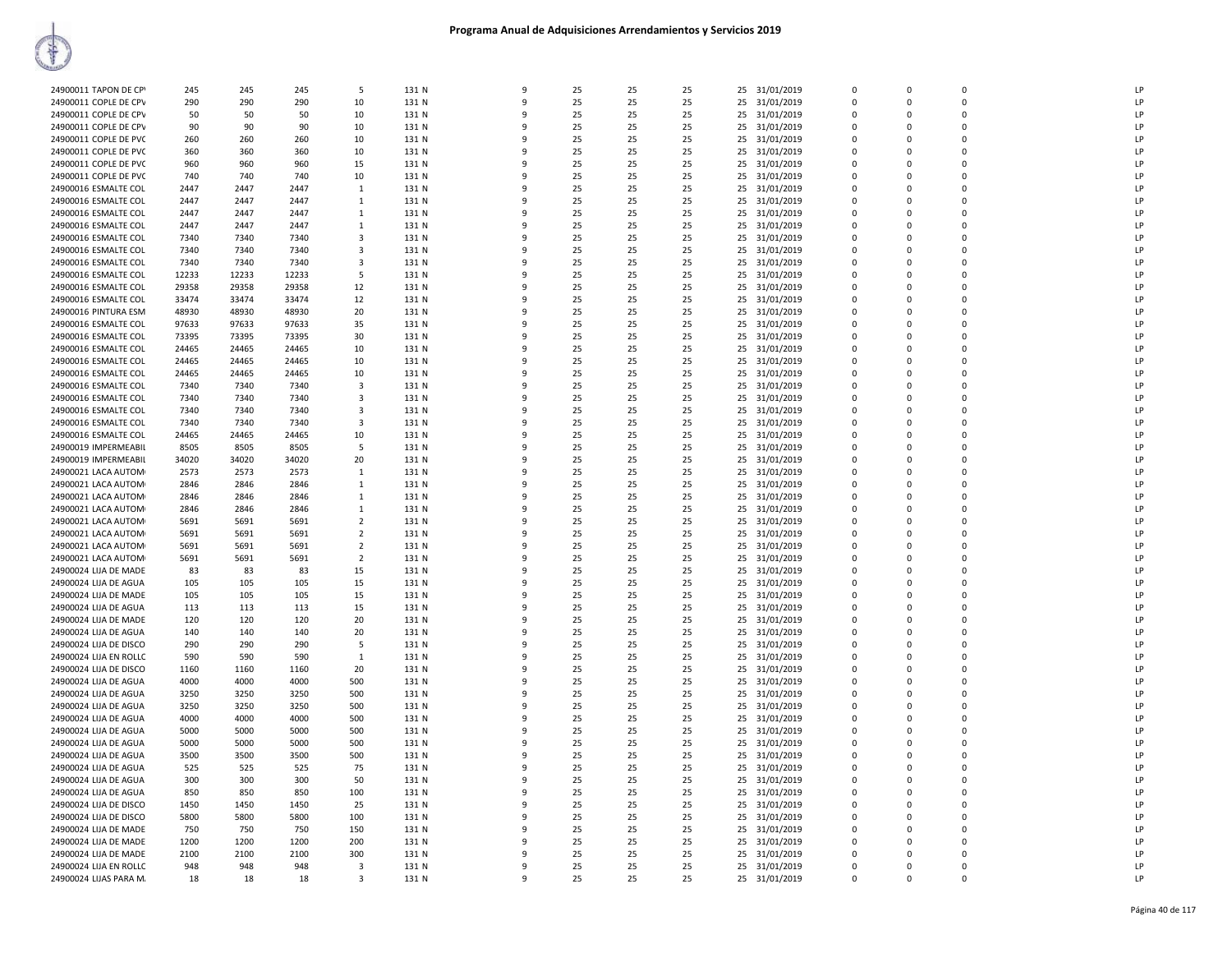| 24900011 TAPON DE CPY  | 245   | 245   | 245   | .5             | 131 N | $\mathbf{q}$ | 25 | 25 | 25 | 25 | 31/01/2019    | $\Omega$    | $\Omega$ | $\Omega$    | LP |
|------------------------|-------|-------|-------|----------------|-------|--------------|----|----|----|----|---------------|-------------|----------|-------------|----|
|                        |       |       |       |                |       |              |    |    |    |    |               |             |          |             |    |
| 24900011 COPLE DE CPV  | 290   | 290   | 290   | 10             | 131 N | 9            | 25 | 25 | 25 | 25 | 31/01/2019    | $\Omega$    | $\Omega$ | $\Omega$    | LP |
| 24900011 COPLE DE CPV  | 50    | 50    | 50    | 10             | 131 N | ٩            | 25 | 25 | 25 | 25 | 31/01/2019    | $\Omega$    | $\Omega$ | $\Omega$    | LP |
| 24900011 COPLE DE CPV  | 90    | 90    | 90    | 10             | 131 N |              | 25 | 25 | 25 |    | 25 31/01/2019 | $\Omega$    | $\Omega$ | $\Omega$    | LP |
|                        | 260   | 260   |       |                | 131 N | q            | 25 | 25 |    |    | 31/01/2019    | 0           | $\Omega$ | $\mathbf 0$ | LP |
| 24900011 COPLE DE PVC  |       |       | 260   | 10             |       |              |    |    | 25 | 25 |               |             |          |             |    |
| 24900011 COPLE DE PVC  | 360   | 360   | 360   | 10             | 131 N | q            | 25 | 25 | 25 | 25 | 31/01/2019    | $\mathbf 0$ | $\Omega$ | $\mathbf 0$ | LP |
| 24900011 COPLE DE PVC  | 960   | 960   | 960   | 15             | 131 N | $\Omega$     | 25 | 25 | 25 | 25 | 31/01/2019    | 0           | $\Omega$ | $\mathbf 0$ | LP |
| 24900011 COPLE DE PVC  | 740   | 740   | 740   | 10             | 131 N | ٩            | 25 | 25 | 25 | 25 | 31/01/2019    | $\Omega$    | $\Omega$ | $\Omega$    | LP |
|                        |       |       |       |                |       |              |    |    |    |    |               |             |          |             |    |
| 24900016 ESMALTE COL   | 2447  | 2447  | 2447  | $\mathbf{1}$   | 131 N | q            | 25 | 25 | 25 | 25 | 31/01/2019    | $\Omega$    | $\Omega$ | $\Omega$    | LP |
| 24900016 ESMALTE COL   | 2447  | 2447  | 2447  | $\mathbf{1}$   | 131 N | q            | 25 | 25 | 25 | 25 | 31/01/2019    | $\Omega$    | $\Omega$ | $\Omega$    | LP |
| 24900016 ESMALTE COL   | 2447  | 2447  | 2447  | 1              | 131 N |              | 25 | 25 | 25 | 25 | 31/01/2019    | $\Omega$    | $\Omega$ | $\Omega$    | LP |
|                        |       |       |       |                |       |              |    |    |    |    |               |             |          | $\mathbf 0$ | LP |
| 24900016 ESMALTE COL   | 2447  | 2447  | 2447  | 1              | 131 N | q            | 25 | 25 | 25 | 25 | 31/01/2019    | $\Omega$    | $\Omega$ |             |    |
| 24900016 ESMALTE COL   | 7340  | 7340  | 7340  | 3              | 131 N |              | 25 | 25 | 25 | 25 | 31/01/2019    | $\Omega$    | $\Omega$ | $\mathbf 0$ | LP |
| 24900016 ESMALTE COL   | 7340  | 7340  | 7340  | 3              | 131 N | $\Omega$     | 25 | 25 | 25 | 25 | 31/01/2019    | $\Omega$    | $\Omega$ | $\mathbf 0$ | LP |
| 24900016 ESMALTE COL   | 7340  | 7340  | 7340  | 3              | 131 N | q            | 25 | 25 | 25 |    | 25 31/01/2019 | $\Omega$    | $\Omega$ | $\Omega$    | LP |
|                        |       |       |       |                |       |              |    |    |    |    |               |             |          |             |    |
| 24900016 ESMALTE COL   | 12233 | 12233 | 12233 | 5              | 131 N | 9            | 25 | 25 | 25 | 25 | 31/01/2019    | $\Omega$    | $\Omega$ | 0           | LP |
| 24900016 ESMALTE COL   | 29358 | 29358 | 29358 | 12             | 131 N | q            | 25 | 25 | 25 | 25 | 31/01/2019    | $\Omega$    | $\Omega$ | $\Omega$    | LP |
| 24900016 ESMALTE COL   | 33474 | 33474 | 33474 | 12             | 131 N |              | 25 | 25 | 25 |    | 25 31/01/2019 | $\Omega$    | $\Omega$ | $\Omega$    | LP |
| 24900016 PINTURA ESM   | 48930 | 48930 | 48930 | 20             | 131 N | ٩            | 25 | 25 | 25 | 25 | 31/01/2019    | $\Omega$    | $\Omega$ | 0           | LP |
|                        |       |       |       |                |       |              |    |    |    |    |               |             |          |             |    |
| 24900016 ESMALTE COL   | 97633 | 97633 | 97633 | 35             | 131 N |              | 25 | 25 | 25 | 25 | 31/01/2019    | $\Omega$    | $\Omega$ | $\mathbf 0$ | LP |
| 24900016 ESMALTE COL   | 73395 | 73395 | 73395 | 30             | 131 N | q            | 25 | 25 | 25 | 25 | 31/01/2019    | $\Omega$    | $\Omega$ | $\Omega$    | LP |
| 24900016 ESMALTE COL   | 24465 | 24465 | 24465 | 10             | 131 N | 9            | 25 | 25 | 25 | 25 | 31/01/2019    | $\mathbf 0$ | $\Omega$ | $\mathbf 0$ | LP |
|                        |       |       |       |                |       |              |    |    |    |    |               |             |          | $\Omega$    |    |
| 24900016 ESMALTE COL   | 24465 | 24465 | 24465 | 10             | 131 N | 9            | 25 | 25 | 25 | 25 | 31/01/2019    | $\Omega$    | $\Omega$ |             | LP |
| 24900016 ESMALTE COL   | 24465 | 24465 | 24465 | 10             | 131 N | q            | 25 | 25 | 25 | 25 | 31/01/2019    | $\Omega$    | $\Omega$ | $\Omega$    | LP |
| 24900016 ESMALTE COL   | 7340  | 7340  | 7340  | $\mathbf{3}$   | 131 N |              | 25 | 25 | 25 | 25 | 31/01/2019    | $\Omega$    | $\Omega$ | $\Omega$    | LP |
|                        | 7340  | 7340  | 7340  | 3              | 131 N |              | 25 | 25 | 25 | 25 |               | $\Omega$    | $\Omega$ | $\mathbf 0$ | IP |
| 24900016 ESMALTE COL   |       |       |       |                |       |              |    |    |    |    | 31/01/2019    |             |          |             |    |
| 24900016 ESMALTE COL   | 7340  | 7340  | 7340  | 3              | 131 N |              | 25 | 25 | 25 | 25 | 31/01/2019    | $\Omega$    | $\Omega$ | $\Omega$    | LP |
| 24900016 ESMALTE COL   | 7340  | 7340  | 7340  | 3              | 131 N | ٩            | 25 | 25 | 25 | 25 | 31/01/2019    | $\Omega$    | $\Omega$ | $\Omega$    | LP |
| 24900016 ESMALTE COL   | 24465 | 24465 | 24465 | 10             | 131 N | q            | 25 | 25 | 25 |    | 25 31/01/2019 | $\Omega$    | $\Omega$ | $\mathbf 0$ | LP |
|                        |       |       |       |                |       | q            |    |    |    |    |               |             |          |             |    |
| 24900019 IMPERMEABIL   | 8505  | 8505  | 8505  | 5              | 131 N |              | 25 | 25 | 25 | 25 | 31/01/2019    | 0           | 0        | $\mathbf 0$ | LP |
| 24900019 IMPERMEABIL   | 34020 | 34020 | 34020 | 20             | 131 N | q            | 25 | 25 | 25 | 25 | 31/01/2019    | $\Omega$    | $\Omega$ | $\Omega$    | LP |
| 24900021 LACA AUTOM    | 2573  | 2573  | 2573  | $\mathbf{1}$   | 131 N | ۰Q           | 25 | 25 | 25 |    | 25 31/01/2019 | $\Omega$    | $\Omega$ | $\Omega$    | LP |
| 24900021 LACA AUTOM    | 2846  | 2846  | 2846  | $\mathbf{1}$   | 131 N | q            | 25 | 25 | 25 | 25 | 31/01/2019    | $\Omega$    | $\Omega$ | $\mathbf 0$ | LP |
|                        |       |       |       |                |       |              |    |    |    |    |               |             |          |             |    |
| 24900021 LACA AUTOM    | 2846  | 2846  | 2846  | $\mathbf{1}$   | 131 N |              | 25 | 25 | 25 | 25 | 31/01/2019    | $\Omega$    | $\Omega$ | $\Omega$    | LP |
| 24900021 LACA AUTOM    | 2846  | 2846  | 2846  | 1              | 131 N | ٩            | 25 | 25 | 25 | 25 | 31/01/2019    | $\Omega$    | $\Omega$ | $\Omega$    | LP |
| 24900021 LACA AUTOM    | 5691  | 5691  | 5691  | $\overline{2}$ | 131 N | -9           | 25 | 25 | 25 | 25 | 31/01/2019    | $\Omega$    | $\Omega$ | $\mathbf 0$ | LP |
| 24900021 LACA AUTOM    | 5691  | 5691  | 5691  | $\overline{2}$ | 131 N | 9            | 25 | 25 | 25 | 25 | 31/01/2019    | 0           | $\Omega$ | $\mathbf 0$ | LP |
|                        |       |       |       |                |       |              |    |    |    |    |               |             |          |             |    |
| 24900021 LACA AUTOM    | 5691  | 5691  | 5691  | $\overline{2}$ | 131 N | q            | 25 | 25 | 25 | 25 | 31/01/2019    | $\mathbf 0$ | $\Omega$ | $\mathbf 0$ | LP |
| 24900021 LACA AUTOM    | 5691  | 5691  | 5691  | $\overline{2}$ | 131 N | q            | 25 | 25 | 25 | 25 | 31/01/2019    | $\Omega$    | $\Omega$ | $\Omega$    | LP |
| 24900024 LIJA DE MADE  | 83    | 83    | 83    | 15             | 131 N |              | 25 | 25 | 25 | 25 | 31/01/2019    | $\Omega$    | $\Omega$ | $\Omega$    | LP |
|                        |       |       |       |                |       |              |    |    |    |    |               | $\Omega$    | $\Omega$ | 0           | LP |
| 24900024 LIJA DE AGUA  | 105   | 105   | 105   | 15             | 131 N |              | 25 | 25 | 25 | 25 | 31/01/2019    |             |          |             |    |
| 24900024 LIJA DE MADE  | 105   | 105   | 105   | 15             | 131 N | ٩            | 25 | 25 | 25 | 25 | 31/01/2019    | $\Omega$    | $\Omega$ | $\Omega$    | LP |
| 24900024 LIJA DE AGUA  | 113   | 113   | 113   | 15             | 131 N | 9            | 25 | 25 | 25 | 25 | 31/01/2019    | $\Omega$    | $\Omega$ | $\Omega$    | LP |
| 24900024 LIJA DE MADE  | 120   | 120   | 120   | 20             | 131 N | 9            | 25 | 25 | 25 | 25 | 31/01/2019    | 0           | $\Omega$ | $\mathbf 0$ | LP |
|                        |       |       |       |                |       |              |    |    |    |    |               |             |          |             |    |
| 24900024 LIJA DE AGUA  | 140   | 140   | 140   | 20             | 131 N | 9            | 25 | 25 | 25 | 25 | 31/01/2019    | $\mathbf 0$ | $\Omega$ | $\Omega$    | LP |
| 24900024 LIJA DE DISCO | 290   | 290   | 290   | 5              | 131 N | $\Omega$     | 25 | 25 | 25 | 25 | 31/01/2019    | 0           | $\Omega$ | $\mathbf 0$ | LP |
| 24900024 LIJA EN ROLLC | 590   | 590   | 590   | 1              | 131 N |              | 25 | 25 | 25 |    | 25 31/01/2019 | $\Omega$    | $\Omega$ | $\Omega$    | IP |
| 24900024 LIJA DE DISCO | 1160  | 1160  | 1160  | 20             | 131 N |              | 25 | 25 | 25 | 25 | 31/01/2019    | $\Omega$    | $\Omega$ | 0           | LP |
|                        |       |       |       |                |       |              |    |    |    |    |               |             |          |             |    |
| 24900024 LIJA DE AGUA  | 4000  | 4000  | 4000  | 500            | 131 N | ٩            | 25 | 25 | 25 | 25 | 31/01/2019    | $\Omega$    | $\Omega$ | $\Omega$    | LP |
| 24900024 LIJA DE AGUA  | 3250  | 3250  | 3250  | 500            | 131 N |              | 25 | 25 | 25 | 25 | 31/01/2019    | $\Omega$    | $\Omega$ | $\Omega$    | LP |
| 24900024 LIJA DE AGUA  | 3250  | 3250  | 3250  | 500            | 131 N | 9            | 25 | 25 | 25 | 25 | 31/01/2019    | 0           | $\Omega$ | 0           | LP |
|                        |       |       |       |                |       | 9            |    | 25 |    |    |               | $\Omega$    | $\Omega$ | $\Omega$    | LP |
| 24900024 LIJA DE AGUA  | 4000  | 4000  | 4000  | 500            | 131 N |              | 25 |    | 25 | 25 | 31/01/2019    |             |          |             |    |
| 24900024 LIJA DE AGUA  | 5000  | 5000  | 5000  | 500            | 131 N | $\Omega$     | 25 | 25 | 25 | 25 | 31/01/2019    | $\Omega$    | $\Omega$ | $\Omega$    | LP |
| 24900024 LIJA DE AGUA  | 5000  | 5000  | 5000  | 500            | 131 N |              | 25 | 25 | 25 |    | 25 31/01/2019 | $\Omega$    | $\Omega$ | $\mathbf 0$ | LP |
| 24900024 LIJA DE AGUA  | 3500  | 3500  | 3500  | 500            | 131 N | ۰Q           | 25 | 25 | 25 | 25 | 31/01/2019    | $\Omega$    | $\Omega$ | 0           | IP |
|                        |       |       |       |                |       |              |    |    |    |    |               |             |          |             |    |
| 24900024 LIJA DE AGUA  | 525   | 525   | 525   | 75             | 131 N | q            | 25 | 25 | 25 |    | 25 31/01/2019 | $\Omega$    | $\Omega$ | $\Omega$    | LP |
| 24900024 LIJA DE AGUA  | 300   | 300   | 300   | 50             | 131 N | 9            | 25 | 25 | 25 |    | 25 31/01/2019 | $\Omega$    | $\Omega$ | $\Omega$    | LP |
| 24900024 LIJA DE AGUA  | 850   | 850   | 850   | 100            | 131 N | 9            | 25 | 25 | 25 | 25 | 31/01/2019    | $\Omega$    | $\Omega$ | $\mathbf 0$ | LP |
|                        |       | 1450  |       | 25             |       | 9            | 25 | 25 | 25 |    |               | $\Omega$    | $\Omega$ | $\Omega$    | LP |
| 24900024 LIJA DE DISCO | 1450  |       | 1450  |                | 131 N |              |    |    |    | 25 | 31/01/2019    |             |          |             |    |
| 24900024 LIJA DE DISCO | 5800  | 5800  | 5800  | 100            | 131 N | ٩            | 25 | 25 | 25 | 25 | 31/01/2019    | $\Omega$    | $\Omega$ | $\Omega$    | LP |
| 24900024 LIJA DE MADE  | 750   | 750   | 750   | 150            | 131 N |              | 25 | 25 | 25 |    | 25 31/01/2019 | $\Omega$    | $\Omega$ | $\mathbf 0$ | LP |
| 24900024 LIJA DE MADE  | 1200  | 1200  | 1200  | 200            | 131 N | ۰Q           | 25 | 25 | 25 | 25 | 31/01/2019    | 0           | $\Omega$ | 0           | IP |
| 24900024 LIJA DE MADE  | 2100  | 2100  | 2100  | 300            | 131 N | q            | 25 | 25 | 25 |    | 25 31/01/2019 | $\Omega$    | $\Omega$ | $\Omega$    | LP |
|                        |       |       |       |                |       |              |    |    |    |    |               |             |          |             |    |
| 24900024 LIJA EN ROLLC | 948   | 948   | 948   | 3              | 131 N | ٩            | 25 | 25 | 25 | 25 | 31/01/2019    | $\Omega$    | $\Omega$ | $\Omega$    | LP |
| 24900024 LIJAS PARA M. | 18    | 18    | 18    | 3              | 131 N | 9            | 25 | 25 | 25 |    | 25 31/01/2019 | $\Omega$    | $\Omega$ | $\Omega$    | LP |
|                        |       |       |       |                |       |              |    |    |    |    |               |             |          |             |    |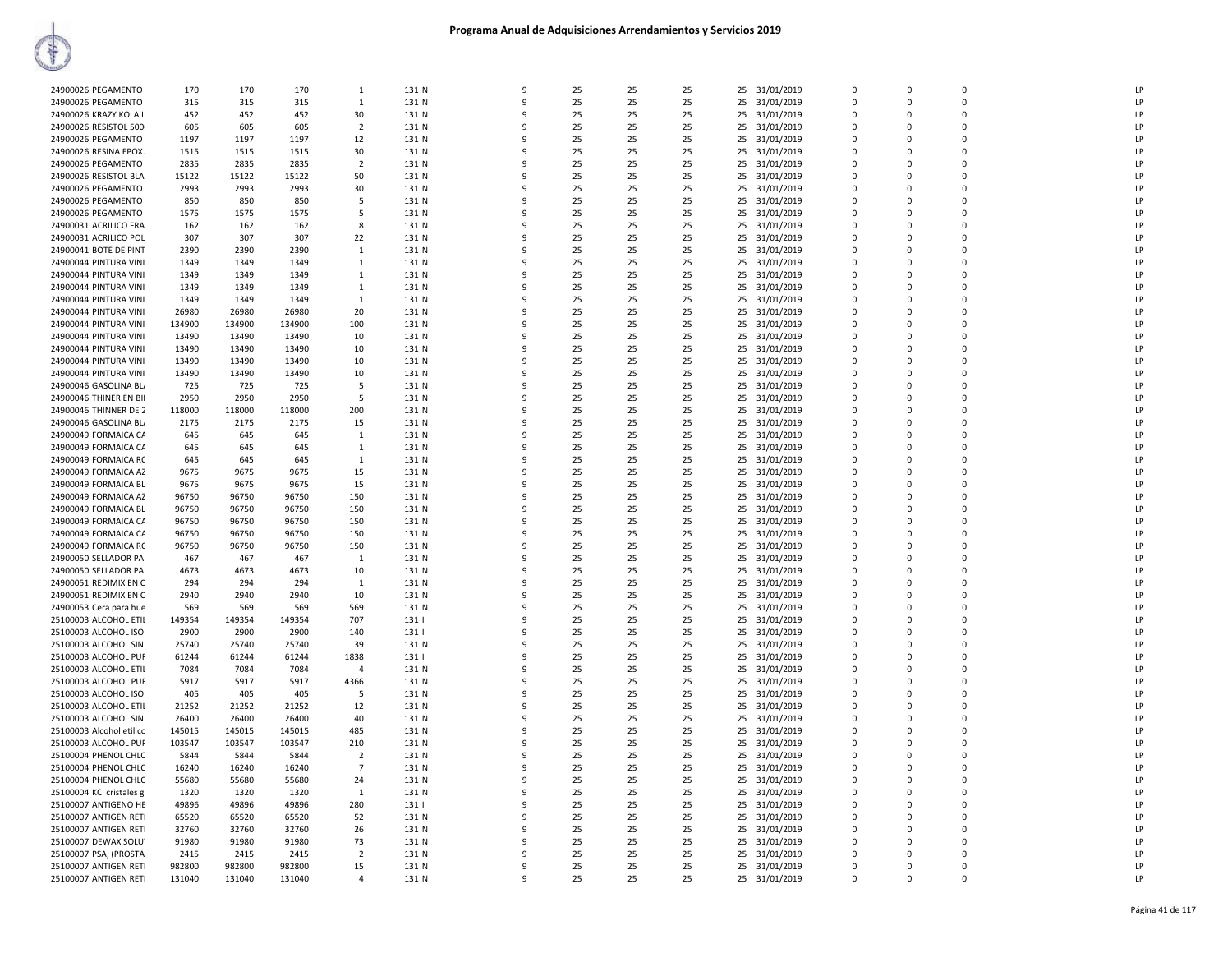|                           | 170    | 170    | 170    | 1                        | 131 N | 9            | 25 |    | 25 | 25 |               | $\Omega$    | $\mathbf 0$ | $\mathbf 0$ | LP             |
|---------------------------|--------|--------|--------|--------------------------|-------|--------------|----|----|----|----|---------------|-------------|-------------|-------------|----------------|
| 24900026 PEGAMENTO        |        |        |        |                          |       |              |    | 25 |    |    | 31/01/2019    |             |             |             |                |
| 24900026 PEGAMENTO        | 315    | 315    | 315    | $\mathbf{1}$             | 131 N | $\mathbf{q}$ | 25 | 25 | 25 | 25 | 31/01/2019    | $\Omega$    | $\Omega$    | $\Omega$    | LP             |
| 24900026 KRAZY KOLA L     | 452    | 452    | 452    | 30                       | 131 N | q            | 25 | 25 | 25 | 25 | 31/01/2019    | $\mathbf 0$ | $\mathbf 0$ | $\mathbf 0$ | LP             |
| 24900026 RESISTOL 500     | 605    | 605    | 605    | $\overline{\phantom{a}}$ | 131 N |              | 25 | 25 | 25 | 25 | 31/01/2019    | $\Omega$    | $\Omega$    | $\Omega$    | LP             |
|                           | 1197   | 1197   | 1197   | 12                       | 131 N |              | 25 | 25 |    | 25 |               | $\Omega$    | $\Omega$    | $\Omega$    | LP             |
| 24900026 PEGAMENTO        |        |        |        |                          |       |              |    |    | 25 |    | 31/01/2019    |             |             |             |                |
| 24900026 RESINA EPOX.     | 1515   | 1515   | 1515   | 30                       | 131 N | ٩            | 25 | 25 | 25 | 25 | 31/01/2019    | $\Omega$    | $\Omega$    | $\Omega$    | $\mathsf{I}$   |
| 24900026 PEGAMENTO        | 2835   | 2835   | 2835   | $\overline{2}$           | 131 N | 9            | 25 | 25 | 25 | 25 | 31/01/2019    | $\Omega$    | $\Omega$    | $\Omega$    | LP             |
| 24900026 RESISTOL BLA     | 15122  | 15122  | 15122  | 50                       | 131 N | -9           | 25 | 25 | 25 | 25 | 31/01/2019    | $\Omega$    | $\Omega$    | 0           | LP             |
| 24900026 PEGAMENTO        | 2993   | 2993   | 2993   | 30                       | 131 N | q            | 25 | 25 | 25 | 25 | 31/01/2019    | $\Omega$    | $\Omega$    | $\Omega$    | LP             |
|                           |        |        |        |                          |       |              |    |    |    |    |               |             |             |             |                |
| 24900026 PEGAMENTO        | 850    | 850    | 850    | 5                        | 131 N |              | 25 | 25 | 25 | 25 | 31/01/2019    | $\Omega$    | $\Omega$    | $\mathbf 0$ | LP             |
| 24900026 PEGAMENTO        | 1575   | 1575   | 1575   | -5                       | 131 N |              | 25 | 25 | 25 | 25 | 31/01/2019    | $\Omega$    | $\Omega$    | $\Omega$    | LP             |
| 24900031 ACRILICO FRA     | 162    | 162    | 162    | 8                        | 131 N |              | 25 | 25 | 25 | 25 | 31/01/2019    | $\Omega$    | $\Omega$    | $\mathbf 0$ | LP             |
| 24900031 ACRILICO POL     | 307    | 307    | 307    | 22                       | 131 N | q            | 25 | 25 | 25 | 25 | 31/01/2019    | $\Omega$    | $\Omega$    | $\Omega$    | LP             |
|                           |        |        |        |                          |       |              |    |    |    |    |               |             |             |             |                |
| 24900041 BOTE DE PINT     | 2390   | 2390   | 2390   | 1                        | 131 N | 9            | 25 | 25 | 25 | 25 | 31/01/2019    | 0           | $\Omega$    | $\mathbf 0$ | LP             |
| 24900044 PINTURA VINI     | 1349   | 1349   | 1349   | 1                        | 131 N | q            | 25 | 25 | 25 | 25 | 31/01/2019    | $\Omega$    | $\Omega$    | $\mathbf 0$ | LP             |
| 24900044 PINTURA VINI     | 1349   | 1349   | 1349   | $\mathbf{1}$             | 131 N | 9            | 25 | 25 | 25 | 25 | 31/01/2019    | $\Omega$    | $\Omega$    | $\Omega$    | LP             |
| 24900044 PINTURA VINI     | 1349   | 1349   | 1349   | 1                        | 131 N |              | 25 | 25 | 25 | 25 | 31/01/2019    | 0           | $\Omega$    | $\mathbf 0$ | LP             |
|                           |        |        |        |                          |       |              |    |    |    |    |               |             |             |             |                |
| 24900044 PINTURA VINI     | 1349   | 1349   | 1349   | $\mathbf{1}$             | 131 N |              | 25 | 25 | 25 | 25 | 31/01/2019    | $\Omega$    | $\Omega$    | $\Omega$    | LP             |
| 24900044 PINTURA VINI     | 26980  | 26980  | 26980  | 20                       | 131 N |              | 25 | 25 | 25 | 25 | 31/01/2019    | $\Omega$    | $\Omega$    | 0           | LP             |
| 24900044 PINTURA VINI     | 134900 | 134900 | 134900 | 100                      | 131 N | q            | 25 | 25 | 25 | 25 | 31/01/2019    | $\Omega$    | $\Omega$    | $\Omega$    | LP             |
| 24900044 PINTURA VINI     | 13490  | 13490  | 13490  | 10                       | 131 N |              | 25 | 25 | 25 | 25 | 31/01/2019    | $\Omega$    | $\Omega$    | $\Omega$    | LP.            |
| 24900044 PINTURA VINI     | 13490  | 13490  | 13490  |                          | 131 N | q            | 25 | 25 | 25 |    | 31/01/2019    | $\Omega$    | $\Omega$    | $\Omega$    | LP             |
|                           |        |        |        | 10                       |       |              |    |    |    | 25 |               |             |             |             |                |
| 24900044 PINTURA VINI     | 13490  | 13490  | 13490  | 10                       | 131 N | 9            | 25 | 25 | 25 | 25 | 31/01/2019    | $\mathbf 0$ | $\Omega$    | $\mathbf 0$ | LP             |
| 24900044 PINTURA VINI     | 13490  | 13490  | 13490  | 10                       | 131 N | $\mathbf{q}$ | 25 | 25 | 25 | 25 | 31/01/2019    | $\Omega$    | $\Omega$    | $\Omega$    | LP             |
| 24900046 GASOLINA BLA     | 725    | 725    | 725    | 5                        | 131 N |              | 25 | 25 | 25 | 25 | 31/01/2019    | $\Omega$    | $\Omega$    | $\Omega$    | LP             |
|                           |        | 2950   | 2950   |                          |       |              |    |    |    |    |               | $\Omega$    | $\Omega$    | $\mathbf 0$ | LP             |
| 24900046 THINER EN BII    | 2950   |        |        | -5                       | 131 N | q            | 25 | 25 | 25 | 25 | 31/01/2019    |             |             |             |                |
| 24900046 THINNER DE 2     | 118000 | 118000 | 118000 | 200                      | 131 N |              | 25 | 25 | 25 | 25 | 31/01/2019    | $\Omega$    | $\Omega$    | $\mathbf 0$ | LP             |
| 24900046 GASOLINA BL/     | 2175   | 2175   | 2175   | 15                       | 131 N |              | 25 | 25 | 25 | 25 | 31/01/2019    | $\Omega$    | $\Omega$    | $\mathbf 0$ | LP             |
| 24900049 FORMAICA CA      | 645    | 645    | 645    | 1                        | 131 N |              | 25 | 25 | 25 | 25 | 31/01/2019    | 0           | $\Omega$    | $\mathbf 0$ | $\mathsf{I}$   |
|                           |        |        |        |                          |       | ٩            | 25 | 25 | 25 |    |               | $\Omega$    | $\Omega$    | $\Omega$    | LP             |
| 24900049 FORMAICA CA      | 645    | 645    | 645    | $\mathbf{1}$             | 131 N |              |    |    |    | 25 | 31/01/2019    |             |             |             |                |
| 24900049 FORMAICA RC      | 645    | 645    | 645    | -1                       | 131 N | q            | 25 | 25 | 25 | 25 | 31/01/2019    | $\Omega$    | $\Omega$    | $\Omega$    | LP             |
| 24900049 FORMAICA AZ      | 9675   | 9675   | 9675   | 15                       | 131 N |              | 25 | 25 | 25 | 25 | 31/01/2019    | $\Omega$    | $\Omega$    | $\Omega$    | $\mathsf{I}$   |
| 24900049 FORMAICA BL      | 9675   | 9675   | 9675   | 15                       | 131 N |              | 25 | 25 | 25 | 25 | 31/01/2019    | $\Omega$    | $\Omega$    | $\Omega$    | $\mathsf{I}$   |
| 24900049 FORMAICA AZ      | 96750  | 96750  | 96750  | 150                      | 131 N |              | 25 | 25 | 25 | 25 | 31/01/2019    | $\Omega$    | $\Omega$    | $\Omega$    | LP             |
|                           |        |        |        |                          |       |              |    |    |    |    |               |             |             |             |                |
| 24900049 FORMAICA BL      | 96750  | 96750  | 96750  | 150                      | 131 N | q            | 25 | 25 | 25 | 25 | 31/01/2019    | $\Omega$    | $\Omega$    | $\Omega$    | $\mathsf{I}$   |
| 24900049 FORMAICA CA      | 96750  | 96750  | 96750  | 150                      | 131 N |              | 25 | 25 | 25 | 25 | 31/01/2019    | $\Omega$    | $\Omega$    | $\Omega$    | LP             |
| 24900049 FORMAICA CA      | 96750  | 96750  | 96750  | 150                      | 131 N | ٩            | 25 | 25 | 25 | 25 | 31/01/2019    | $\Omega$    | $\Omega$    | $\mathbf 0$ | LP             |
| 24900049 FORMAICA RC      | 96750  | 96750  | 96750  | 150                      | 131 N | 9            | 25 | 25 | 25 | 25 | 31/01/2019    | $\Omega$    | $\Omega$    | $\Omega$    | LP             |
|                           |        |        |        |                          |       |              |    |    |    |    |               |             |             | $\Omega$    |                |
| 24900050 SELLADOR PAI     | 467    | 467    | 467    | 1                        | 131 N |              | 25 | 25 | 25 | 25 | 31/01/2019    | $\Omega$    | $\Omega$    |             | LP             |
| 24900050 SELLADOR PAI     | 4673   | 4673   | 4673   | 10                       | 131 N |              | 25 | 25 | 25 | 25 | 31/01/2019    | $\Omega$    | $\Omega$    | $\mathbf 0$ | LP             |
| 24900051 REDIMIX EN C     | 294    | 294    | 294    | 1                        | 131 N |              | 25 | 25 | 25 | 25 | 31/01/2019    | $\Omega$    | $\Omega$    | $\mathbf 0$ | $\mathsf{I}$   |
| 24900051 REDIMIX EN C     | 2940   | 2940   | 2940   | 10                       | 131 N | $\mathbf{Q}$ | 25 | 25 | 25 | 25 | 31/01/2019    | $\Omega$    | $\Omega$    | $\Omega$    | LP             |
|                           |        |        |        |                          |       |              |    |    |    |    |               |             |             |             |                |
| 24900053 Cera para hue    | 569    | 569    | 569    | 569                      | 131 N | q            | 25 | 25 | 25 | 25 | 31/01/2019    | 0           | $\mathbf 0$ | $\mathbf 0$ | LP             |
| 25100003 ALCOHOL ETIL     | 149354 | 149354 | 149354 | 707                      | 131   | q            | 25 | 25 | 25 | 25 | 31/01/2019    | $\Omega$    | $\Omega$    | $\Omega$    | LP             |
| 25100003 ALCOHOL ISO      | 2900   | 2900   | 2900   | 140                      | 131   | 9            | 25 | 25 | 25 | 25 | 31/01/2019    | $\Omega$    | $\Omega$    | $\Omega$    | LP             |
| 25100003 ALCOHOL SIN      | 25740  | 25740  | 25740  | 39                       | 131 N | ۰            | 25 | 25 | 25 | 25 | 31/01/2019    | $\Omega$    | $\Omega$    | $\Omega$    | LP             |
| 25100003 ALCOHOL PUF      | 61244  | 61244  | 61244  | 1838                     | 131   |              | 25 | 25 | 25 | 25 | 31/01/2019    | $\Omega$    | $\Omega$    | $\Omega$    | LP             |
|                           |        |        |        |                          |       |              |    |    |    |    |               |             |             |             |                |
| 25100003 ALCOHOL ETIL     | 7084   | 7084   | 7084   | $\overline{a}$           | 131 N |              | 25 | 25 | 25 | 25 | 31/01/2019    | $\Omega$    | $\Omega$    | 0           | $\overline{P}$ |
| 25100003 ALCOHOL PUF      | 5917   | 5917   | 5917   | 4366                     | 131 N |              | 25 | 25 | 25 | 25 | 31/01/2019    | $\Omega$    | $\Omega$    | $\Omega$    | LP             |
| 25100003 ALCOHOL ISO      | 405    | 405    | 405    | -5                       | 131 N |              | 25 | 25 | 25 | 25 | 31/01/2019    | $\Omega$    | $\Omega$    | $\Omega$    | LP             |
| 25100003 ALCOHOL ETIL     | 21252  | 21252  | 21252  | 12                       | 131 N | 9            | 25 | 25 | 25 | 25 | 31/01/2019    | $\Omega$    | $\Omega$    | $\Omega$    | LP             |
|                           |        |        |        |                          |       |              |    |    |    |    |               |             |             |             |                |
| 25100003 ALCOHOL SIN      | 26400  | 26400  | 26400  | 40                       | 131 N | 9            | 25 | 25 | 25 | 25 | 31/01/2019    | 0           | $\Omega$    | $\mathbf 0$ | LP             |
| 25100003 Alcohol etilico  | 145015 | 145015 | 145015 | 485                      | 131 N | $\mathbf{q}$ | 25 | 25 | 25 | 25 | 31/01/2019    | $\Omega$    | $\Omega$    | $\Omega$    | LP             |
| 25100003 ALCOHOL PUF      | 103547 | 103547 | 103547 | 210                      | 131 N |              | 25 | 25 | 25 | 25 | 31/01/2019    | $\Omega$    | $\Omega$    | $\mathbf 0$ | LP             |
| 25100004 PHENOL CHLC      | 5844   | 5844   | 5844   | $\overline{\phantom{a}}$ | 131 N |              | 25 | 25 | 25 | 25 | 31/01/2019    | $\Omega$    | $\Omega$    | $\mathbf 0$ | LP             |
|                           |        |        |        |                          |       |              |    |    |    |    |               |             |             |             |                |
| 25100004 PHENOL CHLC      | 16240  | 16240  | 16240  | $\overline{7}$           | 131 N |              | 25 | 25 | 25 | 25 | 31/01/2019    | 0           | $\mathbf 0$ | $\mathbf 0$ | LP             |
| 25100004 PHENOL CHLC      | 55680  | 55680  | 55680  | 24                       | 131 N | q            | 25 | 25 | 25 | 25 | 31/01/2019    | $\Omega$    | $\Omega$    | $\Omega$    | LP             |
| 25100004 KCl cristales gi | 1320   | 1320   | 1320   | 1                        | 131 N | $\mathbf{q}$ | 25 | 25 | 25 | 25 | 31/01/2019    | $\mathbf 0$ | $\Omega$    | $\mathbf 0$ | $\mathsf{I}$   |
| 25100007 ANTIGENO HE      | 49896  | 49896  | 49896  | 280                      | 131   | q            | 25 | 25 | 25 | 25 | 31/01/2019    | $\Omega$    | $\Omega$    | 0           | LP             |
|                           |        |        |        |                          |       |              |    |    |    |    |               |             |             |             |                |
| 25100007 ANTIGEN RETI     | 65520  | 65520  | 65520  | 52                       | 131 N | q            | 25 | 25 | 25 | 25 | 31/01/2019    | $\Omega$    | $\Omega$    | $\Omega$    | LP             |
| 25100007 ANTIGEN RETI     | 32760  | 32760  | 32760  | 26                       | 131 N |              | 25 | 25 | 25 | 25 | 31/01/2019    | $\Omega$    | $\Omega$    | $\Omega$    | $\mathsf{I}$   |
| 25100007 DEWAX SOLUT      | 91980  | 91980  | 91980  | 73                       | 131 N |              | 25 | 25 | 25 | 25 | 31/01/2019    | $\Omega$    | $\Omega$    | $\Omega$    | LP             |
| 25100007 PSA, (PROSTA)    | 2415   | 2415   | 2415   | $\overline{2}$           | 131 N |              | 25 | 25 | 25 | 25 | 31/01/2019    | $\Omega$    | $\Omega$    | 0           | LP.            |
| 25100007 ANTIGEN RETI     | 982800 | 982800 | 982800 | 15                       | 131 N | $\mathbf{q}$ | 25 | 25 | 25 | 25 | 31/01/2019    | $\Omega$    | $\Omega$    | $\Omega$    | LP             |
|                           |        |        |        |                          |       |              |    |    |    |    |               |             |             |             |                |
| 25100007 ANTIGEN RETI     | 131040 | 131040 | 131040 | $\overline{4}$           | 131 N | 9            | 25 | 25 | 25 |    | 25 31/01/2019 | $\Omega$    | $\Omega$    | $\Omega$    | LP             |
|                           |        |        |        |                          |       |              |    |    |    |    |               |             |             |             |                |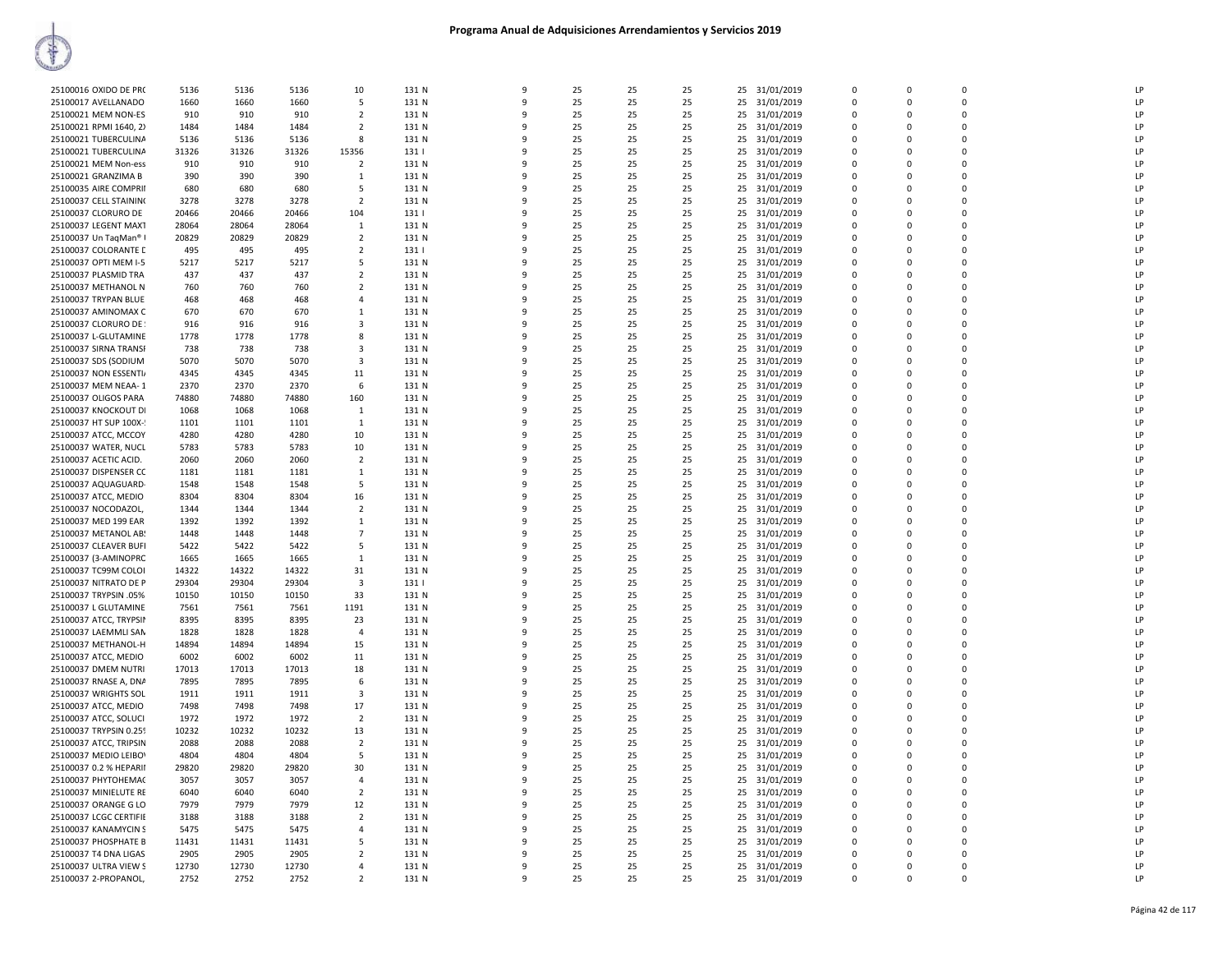| 25100016 OXIDO DE PRO  | 5136  | 5136  | 5136  | 10                       | 131 N | q        | 25 | 25 | 25 | 25 | 31/01/2019    | $\Omega$             | $\Omega$    | $\Omega$    | LP |
|------------------------|-------|-------|-------|--------------------------|-------|----------|----|----|----|----|---------------|----------------------|-------------|-------------|----|
| 25100017 AVELLANADO    | 1660  | 1660  | 1660  | 5                        | 131 N | 9        | 25 | 25 | 25 | 25 | 31/01/2019    | $\Omega$             | $\Omega$    | $\Omega$    | LP |
| 25100021 MEM NON-ES    | 910   | 910   | 910   | $\overline{2}$           | 131 N | q        | 25 | 25 | 25 | 25 | 31/01/2019    | $\Omega$             | $\Omega$    | $\Omega$    | LP |
|                        |       | 1484  |       | $\overline{2}$           |       |          | 25 | 25 | 25 |    | 31/01/2019    | $\Omega$             | $\Omega$    | $\Omega$    | LP |
| 25100021 RPMI 1640, 2) | 1484  |       | 1484  |                          | 131 N | q        |    |    |    | 25 |               |                      | n           | $\mathbf 0$ | LP |
| 25100021 TUBERCULINA   | 5136  | 5136  | 5136  | 8                        | 131 N |          | 25 | 25 | 25 | 25 | 31/01/2019    | $\Omega$<br>$\Omega$ |             | $\Omega$    |    |
| 25100021 TUBERCULINA   | 31326 | 31326 | 31326 | 15356                    | 131   | $\Omega$ | 25 | 25 | 25 | 25 | 31/01/2019    |                      | $\Omega$    |             | LP |
| 25100021 MEM Non-ess   | 910   | 910   | 910   | $\overline{2}$           | 131 N |          | 25 | 25 | 25 | 25 | 31/01/2019    | $\Omega$             | $\Omega$    | $\Omega$    | LP |
| 25100021 GRANZIMA B    | 390   | 390   | 390   | 1                        | 131 N | 9        | 25 | 25 | 25 | 25 | 31/01/2019    | $\mathbf 0$          | $\Omega$    | $\Omega$    | LP |
| 25100035 AIRE COMPRII  | 680   | 680   | 680   | 5                        | 131 N | 9        | 25 | 25 | 25 | 25 | 31/01/2019    | $\mathbf 0$          | $\mathbf 0$ | $\mathbf 0$ | LP |
| 25100037 CELL STAINING | 3278  | 3278  | 3278  | $\overline{2}$           | 131 N | ۹        | 25 | 25 | 25 | 25 | 31/01/2019    | $\Omega$             | $\Omega$    | $\Omega$    | LP |
| 25100037 CLORURO DE    | 20466 | 20466 | 20466 | 104                      | 131   |          | 25 | 25 | 25 | 25 | 31/01/2019    | $\Omega$             | $\Omega$    | $\Omega$    | LP |
| 25100037 LEGENT MAXT   | 28064 | 28064 | 28064 | - 1                      | 131 N | q        | 25 | 25 | 25 | 25 | 31/01/2019    | $\Omega$             | n           | $\Omega$    | LP |
| 25100037 Un TagMan® I  | 20829 | 20829 | 20829 | $\overline{2}$           | 131 N |          | 25 | 25 | 25 | 25 | 31/01/2019    | $\Omega$             |             | $\Omega$    | LP |
| 25100037 COLORANTE D   | 495   | 495   | 495   | 2                        | 131   | q        | 25 | 25 | 25 | 25 | 31/01/2019    | $\Omega$             | $\Omega$    | $\Omega$    | LP |
| 25100037 OPTI MEM I-5  | 5217  | 5217  | 5217  | 5                        | 131 N |          | 25 | 25 | 25 | 25 | 31/01/2019    | $\Omega$             | $\Omega$    | $\Omega$    | LP |
| 25100037 PLASMID TRA   | 437   | 437   | 437   | $\overline{2}$           | 131 N | 9        | 25 | 25 | 25 | 25 | 31/01/2019    | $\mathbf 0$          | $\Omega$    | $\mathbf 0$ | LP |
| 25100037 METHANOL N    | 760   | 760   | 760   | $\overline{2}$           | 131 N | q        | 25 | 25 | 25 | 25 | 31/01/2019    | $\Omega$             | $\Omega$    | $\Omega$    | LP |
| 25100037 TRYPAN BLUE   | 468   | 468   | 468   | $\overline{4}$           | 131 N |          | 25 | 25 | 25 | 25 | 31/01/2019    | $\mathbf 0$          | $\Omega$    | $\mathbf 0$ | LP |
| 25100037 AMINOMAX C    | 670   | 670   | 670   | 1                        | 131 N |          | 25 | 25 | 25 | 25 | 31/01/2019    | $\mathbf 0$          | $\Omega$    | $\Omega$    | LP |
| 25100037 CLORURO DE    | 916   | 916   | 916   | 3                        | 131 N |          | 25 | 25 | 25 | 25 | 31/01/2019    | $\Omega$             | $\Omega$    | $\Omega$    | LP |
| 25100037 L-GLUTAMINE   | 1778  | 1778  | 1778  | 8                        | 131 N | ۹        | 25 | 25 | 25 | 25 | 31/01/2019    | $\Omega$             | $\Omega$    | $\Omega$    | LP |
| 25100037 SIRNA TRANSP  | 738   | 738   | 738   | 3                        | 131 N |          | 25 | 25 | 25 | 25 | 31/01/2019    | $\Omega$             | $\Omega$    | $\Omega$    | LP |
| 25100037 SDS (SODIUM   | 5070  | 5070  | 5070  | 3                        | 131 N | 9        | 25 | 25 | 25 | 25 | 31/01/2019    | $\Omega$             | $\Omega$    | $\Omega$    | LP |
| 25100037 NON ESSENTI/  | 4345  | 4345  | 4345  | 11                       | 131 N | 9        | 25 | 25 | 25 | 25 | 31/01/2019    | $\Omega$             | $\Omega$    | $\Omega$    | LP |
| 25100037 MEM NEAA-1    | 2370  | 2370  | 2370  | 6                        | 131 N |          | 25 | 25 | 25 | 25 | 31/01/2019    | $\Omega$             | $\Omega$    | $\Omega$    | LP |
| 25100037 OLIGOS PARA   | 74880 | 74880 | 74880 | 160                      | 131 N |          | 25 | 25 | 25 | 25 | 31/01/2019    | $\Omega$             | $\Omega$    | $\Omega$    | LP |
| 25100037 KNOCKOUT DI   | 1068  | 1068  | 1068  | 1                        | 131 N |          | 25 | 25 | 25 | 25 | 31/01/2019    | $\mathbf 0$          | $\Omega$    | $\mathbf 0$ | LP |
| 25100037 HT SUP 100X-  | 1101  | 1101  | 1101  | 1                        | 131 N | ۹        | 25 | 25 | 25 | 25 | 31/01/2019    | $\Omega$             | $\Omega$    | $\Omega$    | LP |
| 25100037 ATCC, MCCOY   | 4280  | 4280  | 4280  | 10                       | 131 N |          | 25 | 25 | 25 | 25 | 31/01/2019    | $\mathbf 0$          | 0           | $\mathbf 0$ | LP |
| 25100037 WATER, NUCL   | 5783  | 5783  | 5783  | 10                       | 131 N | q        | 25 | 25 | 25 | 25 | 31/01/2019    | $\Omega$             | $\Omega$    | $\Omega$    | LP |
| 25100037 ACETIC ACID.  | 2060  | 2060  | 2060  | $\overline{2}$           | 131 N | 9        | 25 | 25 | 25 | 25 | 31/01/2019    | $\Omega$             | $\Omega$    | $\Omega$    | LP |
|                        |       |       |       |                          |       | q        | 25 | 25 |    |    |               | $\Omega$             | $\Omega$    | $\Omega$    | LP |
| 25100037 DISPENSER CC  | 1181  | 1181  | 1181  | -1                       | 131 N |          |    |    | 25 | 25 | 31/01/2019    |                      |             |             |    |
| 25100037 AQUAGUARD     | 1548  | 1548  | 1548  | -5                       | 131 N |          | 25 | 25 | 25 | 25 | 31/01/2019    | $\Omega$             | $\Omega$    | $\Omega$    | LP |
| 25100037 ATCC, MEDIO   | 8304  | 8304  | 8304  | 16                       | 131 N |          | 25 | 25 | 25 | 25 | 31/01/2019    | $\mathbf 0$          | $\Omega$    | $\mathbf 0$ | LP |
| 25100037 NOCODAZOL,    | 1344  | 1344  | 1344  | $\overline{2}$           | 131 N | q        | 25 | 25 | 25 | 25 | 31/01/2019    | $\Omega$             | $\Omega$    | $\Omega$    | LP |
| 25100037 MED 199 EAR   | 1392  | 1392  | 1392  | <sup>1</sup>             | 131 N |          | 25 | 25 | 25 | 25 | 31/01/2019    | $\mathbf 0$          | $\Omega$    | $\mathbf 0$ | LP |
| 25100037 METANOL AB:   | 1448  | 1448  | 1448  | $\overline{7}$           | 131 N | 9        | 25 | 25 | 25 | 25 | 31/01/2019    | $\mathbf 0$          | $\Omega$    | $\Omega$    | LP |
| 25100037 CLEAVER BUFI  | 5422  | 5422  | 5422  | 5                        | 131 N | 9        | 25 | 25 | 25 | 25 | 31/01/2019    | $\mathbf 0$          | $\mathbf 0$ | $\mathbf 0$ | LP |
| 25100037 (3-AMINOPRC   | 1665  | 1665  | 1665  | 1                        | 131 N | q        | 25 | 25 | 25 | 25 | 31/01/2019    | $\Omega$             | $\Omega$    | $\Omega$    | LP |
| 25100037 TC99M COLOI   | 14322 | 14322 | 14322 | 31                       | 131 N |          | 25 | 25 | 25 | 25 | 31/01/2019    | $\Omega$             | $\Omega$    | $\Omega$    | LP |
| 25100037 NITRATO DE P  | 29304 | 29304 | 29304 | $\overline{\mathbf{3}}$  | 131   | q        | 25 | 25 | 25 | 25 | 31/01/2019    | $\Omega$             | $\Omega$    | $\Omega$    | LP |
| 25100037 TRYPSIN .05%  | 10150 | 10150 | 10150 | 33                       | 131 N | q        | 25 | 25 | 25 | 25 | 31/01/2019    | $\Omega$             | $\Omega$    | $\Omega$    | LP |
| 25100037 L GLUTAMINE   | 7561  | 7561  | 7561  | 1191                     | 131 N | q        | 25 | 25 | 25 | 25 | 31/01/2019    | $\Omega$             | $\Omega$    | $\Omega$    | LP |
| 25100037 ATCC, TRYPSIN | 8395  | 8395  | 8395  | 23                       | 131 N | q        | 25 | 25 | 25 | 25 | 31/01/2019    | $\Omega$             | $\Omega$    | $\Omega$    | LP |
| 25100037 LAEMMLI SAN   | 1828  | 1828  | 1828  | $\overline{4}$           | 131 N | 9        | 25 | 25 | 25 | 25 | 31/01/2019    | $\mathbf 0$          | $\Omega$    | $\mathbf 0$ | LP |
| 25100037 METHANOL-H    | 14894 | 14894 | 14894 | 15                       | 131 N | q        | 25 | 25 | 25 | 25 | 31/01/2019    | $\Omega$             | $\Omega$    | $\Omega$    | LP |
| 25100037 ATCC, MEDIO   | 6002  | 6002  | 6002  | 11                       | 131 N |          | 25 | 25 | 25 | 25 | 31/01/2019    | $\mathbf 0$          | $\Omega$    | $\mathbf 0$ | LP |
| 25100037 DMEM NUTRI    | 17013 | 17013 | 17013 | 18                       | 131 N |          | 25 | 25 | 25 | 25 | 31/01/2019    | $\mathbf 0$          | $\Omega$    | $\Omega$    | LP |
| 25100037 RNASE A, DNA  | 7895  | 7895  | 7895  | 6                        | 131 N |          | 25 | 25 | 25 | 25 | 31/01/2019    | $\Omega$             | $\Omega$    | $\Omega$    | LP |
| 25100037 WRIGHTS SOL   | 1911  | 1911  | 1911  | 3                        | 131 N | $\Omega$ | 25 | 25 | 25 | 25 | 31/01/2019    | $\Omega$             | $\Omega$    | $\mathbf 0$ | LP |
| 25100037 ATCC, MEDIO   | 7498  | 7498  | 7498  | 17                       | 131 N | q        | 25 | 25 | 25 | 25 | 31/01/2019    | $\Omega$             | $\Omega$    | $\Omega$    | LP |
| 25100037 ATCC, SOLUCI  | 1972  | 1972  | 1972  | $\overline{2}$           | 131 N | 9        | 25 | 25 | 25 | 25 | 31/01/2019    | $\mathbf 0$          | $\Omega$    | $\Omega$    | LP |
| 25100037 TRYPSIN 0.259 | 10232 | 10232 | 10232 | 13                       | 131 N | q        | 25 | 25 | 25 | 25 | 31/01/2019    | $\Omega$             | $\Omega$    | $\Omega$    | LP |
| 25100037 ATCC, TRIPSIN | 2088  | 2088  | 2088  | $\overline{2}$           | 131 N |          | 25 | 25 | 25 | 25 | 31/01/2019    | $\Omega$             | $\Omega$    | $\Omega$    | LP |
| 25100037 MEDIO LEIBOV  | 4804  | 4804  | 4804  | 5                        | 131 N |          | 25 | 25 | 25 | 25 | 31/01/2019    | $\Omega$             | $\Omega$    | $\Omega$    | LP |
| 25100037 0.2 % HEPARII | 29820 | 29820 | 29820 | 30                       | 131 N |          | 25 | 25 | 25 | 25 | 31/01/2019    | $\mathbf 0$          | $\Omega$    | $\mathbf 0$ | LP |
| 25100037 PHYTOHEMAC    | 3057  | 3057  | 3057  | $\overline{4}$           | 131 N | 9        | 25 | 25 | 25 | 25 | 31/01/2019    | $\Omega$             | $\Omega$    | $\Omega$    | LP |
| 25100037 MINIELUTE RE  | 6040  | 6040  | 6040  | $\overline{2}$           | 131 N |          | 25 | 25 | 25 | 25 | 31/01/2019    | $\mathbf 0$          | $\Omega$    | $\Omega$    | LP |
| 25100037 ORANGE G LO   | 7979  | 7979  | 7979  | 12                       | 131 N | 9        | 25 | 25 | 25 | 25 | 31/01/2019    | $\mathbf 0$          | $\mathbf 0$ | $\mathbf 0$ | LP |
| 25100037 LCGC CERTIFIE | 3188  | 3188  | 3188  | $\overline{2}$           | 131 N | q        | 25 | 25 | 25 | 25 | 31/01/2019    | $\Omega$             | $\Omega$    | $\Omega$    | LP |
| 25100037 KANAMYCIN S   | 5475  | 5475  | 5475  | $\overline{4}$           | 131 N | q        | 25 | 25 | 25 | 25 | 31/01/2019    | $\Omega$             | $\Omega$    | $\Omega$    | LP |
| 25100037 PHOSPHATE B   | 11431 | 11431 | 11431 | .5                       | 131 N |          | 25 | 25 | 25 | 25 | 31/01/2019    | $\Omega$             | $\Omega$    | $\Omega$    | LP |
| 25100037 T4 DNA LIGAS  | 2905  | 2905  | 2905  | $\overline{2}$           | 131 N |          | 25 | 25 | 25 | 25 | 31/01/2019    | $\Omega$             | n           | $\mathbf 0$ | LP |
| 25100037 ULTRA VIEW S  | 12730 | 12730 | 12730 | $\overline{a}$           | 131 N | q        | 25 | 25 | 25 | 25 | 31/01/2019    | $\Omega$             | $\Omega$    | $\Omega$    | LP |
| 25100037 2-PROPANOL,   | 2752  | 2752  | 2752  | $\overline{\phantom{a}}$ | 131 N | 9        | 25 | 25 | 25 |    | 25 31/01/2019 | $\Omega$             | $\Omega$    | $\Omega$    | LP |
|                        |       |       |       |                          |       |          |    |    |    |    |               |                      |             |             |    |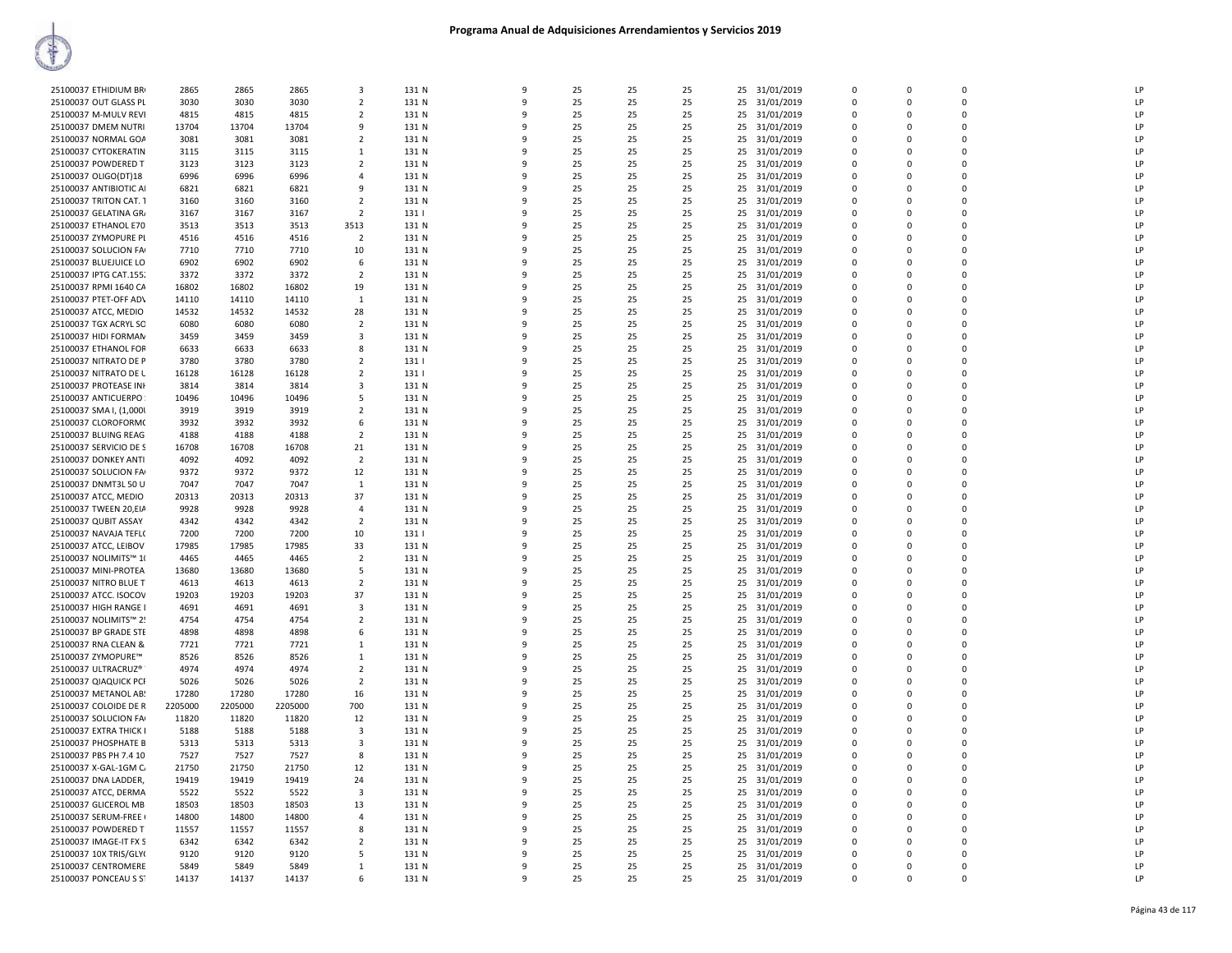| 25100037 ETHIDIUM BR    | 2865    | 2865    | 2865    | $\overline{\mathbf{3}}$ | 131 N | 9 | 25 | 25 | 25 |    | 25 31/01/2019 | $\Omega$    | $\Omega$    | $\Omega$ | <b>LP</b>      |
|-------------------------|---------|---------|---------|-------------------------|-------|---|----|----|----|----|---------------|-------------|-------------|----------|----------------|
| 25100037 OUT GLASS PL   | 3030    | 3030    | 3030    | $\overline{2}$          | 131 N | q | 25 | 25 | 25 |    | 25 31/01/2019 | $\Omega$    | $\Omega$    | $\Omega$ | LP             |
| 25100037 M-MULV REVI    | 4815    | 4815    | 4815    | $\overline{2}$          | 131 N | q | 25 | 25 | 25 |    | 25 31/01/2019 | $\Omega$    | $\Omega$    | $\Omega$ | LP             |
| 25100037 DMEM NUTRI     | 13704   | 13704   | 13704   | -9                      | 131 N | 9 | 25 | 25 | 25 |    | 25 31/01/2019 | $\mathbf 0$ | $\Omega$    | $\Omega$ | LP             |
| 25100037 NORMAL GOA     | 3081    | 3081    | 3081    | $\overline{2}$          | 131 N | q | 25 | 25 | 25 |    | 25 31/01/2019 | 0           | 0           | 0        | LP             |
| 25100037 CYTOKERATIN    | 3115    | 3115    | 3115    | $\mathbf{1}$            | 131 N | q | 25 | 25 | 25 |    | 25 31/01/2019 | $\Omega$    | $\Omega$    | $\Omega$ | LP             |
| 25100037 POWDERED T     | 3123    | 3123    | 3123    | $\overline{2}$          | 131 N | q | 25 | 25 | 25 |    | 25 31/01/2019 | 0           | $\Omega$    | $\Omega$ | LP             |
|                         | 6996    | 6996    | 6996    | $\overline{4}$          | 131 N | q | 25 | 25 | 25 |    |               | $\Omega$    | $\Omega$    | $\Omega$ | LP             |
| 25100037 OLIGO(DT)18    | 6821    |         | 6821    | -9                      |       | 9 | 25 | 25 | 25 |    | 25 31/01/2019 | 0           | $\Omega$    | $\Omega$ | LP             |
| 25100037 ANTIBIOTIC AI  |         | 6821    |         |                         | 131 N | q |    |    |    |    | 25 31/01/2019 |             |             |          | LP             |
| 25100037 TRITON CAT. 1  | 3160    | 3160    | 3160    | $\overline{2}$          | 131 N |   | 25 | 25 | 25 |    | 25 31/01/2019 | 0           | $\Omega$    | $\Omega$ |                |
| 25100037 GELATINA GR/   | 3167    | 3167    | 3167    | $\overline{2}$          | 131   |   | 25 | 25 | 25 |    | 25 31/01/2019 | $\mathbf 0$ | $\Omega$    | $\Omega$ | LP             |
| 25100037 ETHANOL E70    | 3513    | 3513    | 3513    | 3513                    | 131 N | q | 25 | 25 | 25 |    | 25 31/01/2019 | $\Omega$    | $\Omega$    | $\Omega$ | LP             |
| 25100037 ZYMOPURE PL    | 4516    | 4516    | 4516    | $\overline{2}$          | 131 N | q | 25 | 25 | 25 |    | 25 31/01/2019 | $\Omega$    | $\Omega$    | $\Omega$ | LP             |
| 25100037 SOLUCION FA    | 7710    | 7710    | 7710    | 10                      | 131 N |   | 25 | 25 | 25 |    | 25 31/01/2019 | 0           | $\Omega$    | $\Omega$ | LP             |
| 25100037 BLUEJUICE LO   | 6902    | 6902    | 6902    | 6                       | 131 N | 9 | 25 | 25 | 25 | 25 | 31/01/2019    | $\Omega$    | $\Omega$    | $\Omega$ | LP             |
| 25100037 IPTG CAT.155.  | 3372    | 3372    | 3372    | $\overline{2}$          | 131 N | 9 | 25 | 25 | 25 | 25 | 31/01/2019    | 0           | 0           | 0        | LP             |
| 25100037 RPMI 1640 CA   | 16802   | 16802   | 16802   | 19                      | 131 N | q | 25 | 25 | 25 |    | 25 31/01/2019 | 0           | $\Omega$    | $\Omega$ | LP             |
| 25100037 PTET-OFF ADV   | 14110   | 14110   | 14110   | $\mathbf{1}$            | 131 N |   | 25 | 25 | 25 |    | 25 31/01/2019 | $\Omega$    | $\Omega$    | $\Omega$ | P              |
| 25100037 ATCC, MEDIO    | 14532   | 14532   | 14532   | 28                      | 131 N | q | 25 | 25 | 25 |    | 25 31/01/2019 | 0           | $\Omega$    | $\Omega$ | LP             |
| 25100037 TGX ACRYL SO   | 6080    | 6080    | 6080    | $\overline{2}$          | 131 N | q | 25 | 25 | 25 |    | 25 31/01/2019 | $\Omega$    | $\Omega$    | $\Omega$ | LP             |
| 25100037 HIDI FORMAN    | 3459    | 3459    | 3459    | $\overline{\mathbf{3}}$ | 131 N |   | 25 | 25 | 25 |    | 25 31/01/2019 | 0           | O           | $\Omega$ | LP             |
| 25100037 ETHANOL FOR    | 6633    | 6633    | 6633    | 8                       | 131 N | 9 | 25 | 25 | 25 |    | 25 31/01/2019 | $\Omega$    | $\Omega$    | $\Omega$ | LP             |
| 25100037 NITRATO DE P   | 3780    | 3780    | 3780    | $\overline{2}$          | 131   | 9 | 25 | 25 | 25 | 25 | 31/01/2019    | 0           | 0           | 0        | LP             |
| 25100037 NITRATO DE L   | 16128   | 16128   | 16128   | $\overline{2}$          | 131   | q | 25 | 25 | 25 |    | 25 31/01/2019 | $\Omega$    | $\Omega$    | $\Omega$ | LP             |
| 25100037 PROTEASE INF   | 3814    | 3814    | 3814    | $\overline{\mathbf{3}}$ | 131 N |   | 25 | 25 | 25 |    | 25 31/01/2019 | $\Omega$    | $\Omega$    | $\Omega$ | P              |
| 25100037 ANTICUERPO     | 10496   | 10496   | 10496   | -5                      | 131 N | q | 25 | 25 | 25 |    | 25 31/01/2019 | 0           | $\Omega$    | $\Omega$ | LP             |
| 25100037 SMA I, (1,000) | 3919    | 3919    | 3919    | $\overline{2}$          | 131 N | q | 25 | 25 | 25 |    | 25 31/01/2019 | $\Omega$    | $\Omega$    | $\Omega$ | LP             |
|                         |         |         |         |                         |       |   |    |    |    |    |               |             |             | $\Omega$ | LP             |
| 25100037 CLOROFORM(     | 3932    | 3932    | 3932    | 6                       | 131 N |   | 25 | 25 | 25 |    | 25 31/01/2019 | 0           | $\Omega$    | $\Omega$ |                |
| 25100037 BLUING REAG    | 4188    | 4188    | 4188    | $\overline{2}$          | 131 N | q | 25 | 25 | 25 | 25 | 31/01/2019    | 0           | $\Omega$    |          | LP             |
| 25100037 SERVICIO DE S  | 16708   | 16708   | 16708   | 21                      | 131 N | 9 | 25 | 25 | 25 | 25 | 31/01/2019    | $\Omega$    | $\Omega$    | $\Omega$ | LP             |
| 25100037 DONKEY ANTI    | 4092    | 4092    | 4092    | $\overline{2}$          | 131 N | q | 25 | 25 | 25 |    | 25 31/01/2019 | $\Omega$    | $\Omega$    | $\Omega$ | LP             |
| 25100037 SOLUCION FA    | 9372    | 9372    | 9372    | 12                      | 131 N |   | 25 | 25 | 25 |    | 25 31/01/2019 | $\Omega$    | $\Omega$    | O        | LP             |
| 25100037 DNMT3L 50 U    | 7047    | 7047    | 7047    | 1                       | 131 N | q | 25 | 25 | 25 |    | 25 31/01/2019 | 0           | $\Omega$    | 0        | LP             |
| 25100037 ATCC, MEDIO    | 20313   | 20313   | 20313   | 37                      | 131 N | q | 25 | 25 | 25 |    | 25 31/01/2019 | $\Omega$    | $\Omega$    | $\Omega$ | LP             |
| 25100037 TWEEN 20,EIA   | 9928    | 9928    | 9928    | $\overline{4}$          | 131 N |   | 25 | 25 | 25 | 25 | 31/01/2019    | 0           | 0           | $\Omega$ | LP             |
| 25100037 QUBIT ASSAY    | 4342    | 4342    | 4342    | $\overline{2}$          | 131 N | q | 25 | 25 | 25 | 25 | 31/01/2019    | $\Omega$    | $\Omega$    | $\Omega$ | LP             |
| 25100037 NAVAJA TEFL(   | 7200    | 7200    | 7200    | 10                      | 131   | 9 | 25 | 25 | 25 | 25 | 31/01/2019    | $\Omega$    | $\Omega$    | $\Omega$ | LP             |
| 25100037 ATCC, LEIBOV   | 17985   | 17985   | 17985   | 33                      | 131 N | q | 25 | 25 | 25 |    | 25 31/01/2019 | $\Omega$    | $\Omega$    | $\Omega$ | P              |
| 25100037 NOLIMITS™ 10   | 4465    | 4465    | 4465    | $\overline{2}$          | 131 N |   | 25 | 25 | 25 |    | 25 31/01/2019 | 0           | $\Omega$    | $\Omega$ | LP             |
| 25100037 MINI-PROTEA    | 13680   | 13680   | 13680   | 5                       | 131 N | q | 25 | 25 | 25 |    | 25 31/01/2019 | 0           | $\Omega$    | 0        | LP             |
| 25100037 NITRO BLUE T   | 4613    | 4613    | 4613    | $\overline{2}$          | 131 N | q | 25 | 25 | 25 |    | 25 31/01/2019 | $\mathbf 0$ | $\Omega$    | $\Omega$ | P              |
| 25100037 ATCC. ISOCOV   | 19203   | 19203   | 19203   | 37                      | 131 N |   | 25 | 25 | 25 |    | 25 31/01/2019 | 0           | 0           | ŋ        | P              |
| 25100037 HIGH RANGE I   | 4691    | 4691    | 4691    | $\overline{\mathbf{3}}$ | 131 N | q | 25 | 25 | 25 |    | 25 31/01/2019 | $\Omega$    | $\Omega$    | $\Omega$ | LP             |
| 25100037 NOLIMITS™ 2!   | 4754    | 4754    | 4754    | $\overline{2}$          | 131 N | 9 | 25 | 25 | 25 |    | 25 31/01/2019 | 0           | $\Omega$    | $\Omega$ | LP             |
| 25100037 BP GRADE STE   | 4898    | 4898    | 4898    | 6                       | 131 N | q | 25 | 25 | 25 |    | 25 31/01/2019 | $\Omega$    | $\Omega$    | $\Omega$ | $\overline{P}$ |
| 25100037 RNA CLEAN &    | 7721    | 7721    | 7721    | $\mathbf{1}$            | 131 N |   | 25 | 25 | 25 |    | 25 31/01/2019 | 0           | $\Omega$    | $\Omega$ | LP             |
| 25100037 ZYMOPURE™      | 8526    | 8526    | 8526    | $\mathbf{1}$            | 131 N | q | 25 | 25 | 25 |    | 25 31/01/2019 | 0           | 0           | 0        | LP             |
| 25100037 ULTRACRUZ®     | 4974    | 4974    | 4974    | $\overline{2}$          | 131 N | q | 25 | 25 | 25 |    | 25 31/01/2019 | $\Omega$    | $\Omega$    | $\Omega$ | P              |
| 25100037 QIAQUICK PCF   | 5026    | 5026    | 5026    | $\overline{2}$          | 131 N | q | 25 | 25 | 25 |    |               | $\Omega$    | $\Omega$    | $\Omega$ | LP             |
|                         | 17280   |         |         |                         |       |   |    |    |    |    | 25 31/01/2019 |             |             |          |                |
| 25100037 METANOL AB!    |         | 17280   | 17280   | 16                      | 131 N | q | 25 | 25 | 25 |    | 25 31/01/2019 | $\Omega$    | $\Omega$    | $\Omega$ | LP             |
| 25100037 COLOIDE DE R   | 2205000 | 2205000 | 2205000 | 700                     | 131 N | 9 | 25 | 25 | 25 |    | 25 31/01/2019 | 0           | $\Omega$    | $\Omega$ | LP             |
| 25100037 SOLUCION FA    | 11820   | 11820   | 11820   | 12                      | 131 N | q | 25 | 25 | 25 |    | 25 31/01/2019 | 0           | $\Omega$    | O        | LP             |
| 25100037 EXTRA THICK I  | 5188    | 5188    | 5188    | $\overline{\mathbf{3}}$ | 131 N |   | 25 | 25 | 25 |    | 25 31/01/2019 | $\mathbf 0$ | $\Omega$    | $\Omega$ | LP             |
| 25100037 PHOSPHATE B    | 5313    | 5313    | 5313    | 3                       | 131 N | q | 25 | 25 | 25 |    | 25 31/01/2019 | $\Omega$    | $\Omega$    | $\Omega$ | LP             |
| 25100037 PBS PH 7.4 10  | 7527    | 7527    | 7527    | 8                       | 131 N | q | 25 | 25 | 25 |    | 25 31/01/2019 | $\Omega$    | $\Omega$    | $\Omega$ | $\overline{P}$ |
| 25100037 X-GAL-1GM C    | 21750   | 21750   | 21750   | 12                      | 131 N |   | 25 | 25 | 25 |    | 25 31/01/2019 | 0           | $\Omega$    | $\Omega$ | LP             |
| 25100037 DNA LADDER     | 19419   | 19419   | 19419   | 24                      | 131 N | 9 | 25 | 25 | 25 |    | 25 31/01/2019 | $\Omega$    | $\Omega$    | $\Omega$ | LP             |
| 25100037 ATCC, DERMA    | 5522    | 5522    | 5522    | $\overline{\mathbf{3}}$ | 131 N | 9 | 25 | 25 | 25 |    | 25 31/01/2019 | $\mathbf 0$ | $\Omega$    | $\Omega$ | LP             |
| 25100037 GLICEROL MB    | 18503   | 18503   | 18503   | 13                      | 131 N | q | 25 | 25 | 25 |    | 25 31/01/2019 | 0           | $\Omega$    | $\Omega$ | LP             |
| 25100037 SERUM-FREE (   | 14800   | 14800   | 14800   | $\overline{4}$          | 131 N |   | 25 | 25 | 25 |    | 25 31/01/2019 | $\mathbf 0$ | $\Omega$    | $\Omega$ | P              |
| 25100037 POWDERED T     | 11557   | 11557   | 11557   | -8                      | 131 N | q | 25 | 25 | 25 |    | 25 31/01/2019 | $\Omega$    | $\Omega$    | $\Omega$ | LP             |
| 25100037 IMAGE-IT FX S  | 6342    | 6342    | 6342    | $\overline{2}$          | 131 N | q | 25 | 25 | 25 |    | 25 31/01/2019 | $\Omega$    | $\Omega$    | $\Omega$ | LP             |
| 25100037 10X TRIS/GLY(  | 9120    | 9120    | 9120    | 5                       | 131 N |   | 25 | 25 | 25 | 25 | 31/01/2019    | 0           | O           | n        | LP             |
| 25100037 CENTROMERE     | 5849    | 5849    | 5849    | $\mathbf{1}$            | 131 N | 9 | 25 | 25 | 25 |    | 25 31/01/2019 | $\Omega$    | $\Omega$    | $\Omega$ | LP             |
| 25100037 PONCEAU S ST   | 14137   | 14137   | 14137   | 6                       | 131 N | 9 | 25 | 25 | 25 |    | 25 31/01/2019 | 0           | $\mathbf 0$ | $\Omega$ | LP             |
|                         |         |         |         |                         |       |   |    |    |    |    |               |             |             |          |                |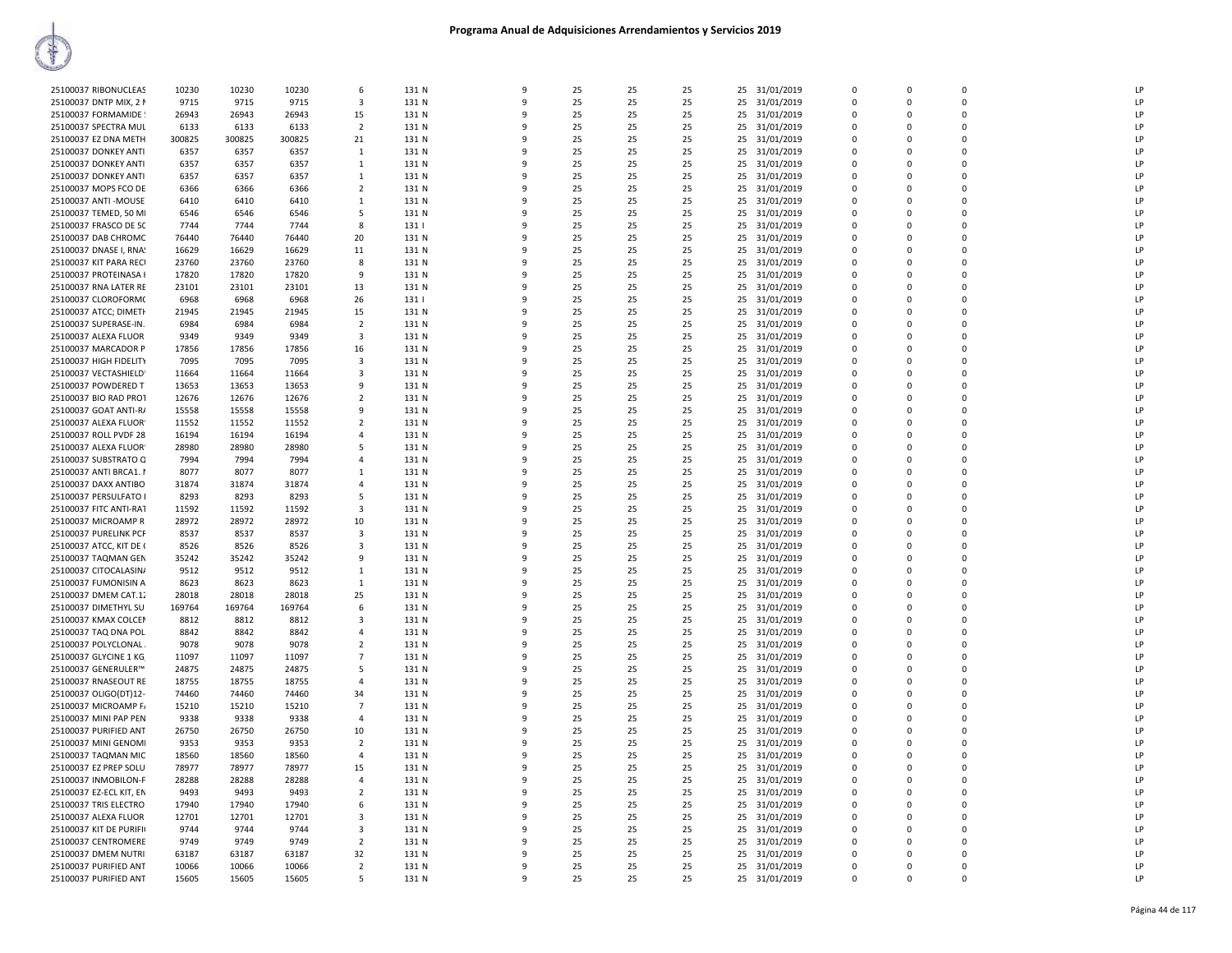| 25100037 RIBONUCLEAS    | 10230  | 10230  | 10230  | 6              | 131 N | 9            | 25 | 25 | 25 | 25<br>31/01/2019 | $\mathbf 0$  | 0           | $\Omega$    | LP |
|-------------------------|--------|--------|--------|----------------|-------|--------------|----|----|----|------------------|--------------|-------------|-------------|----|
| 25100037 DNTP MIX, 2 M  | 9715   | 9715   | 9715   | 3              | 131 N | $\mathbf{q}$ | 25 | 25 | 25 | 25<br>31/01/2019 | $\mathbf 0$  | $\Omega$    | $\Omega$    | LP |
|                         | 26943  | 26943  | 26943  |                | 131 N | q            | 25 | 25 | 25 | 25               | $\Omega$     | $\Omega$    | $\Omega$    | LP |
| 25100037 FORMAMIDE      |        |        |        | 15             |       |              |    |    |    | 31/01/2019       |              |             |             |    |
| 25100037 SPECTRA MUL    | 6133   | 6133   | 6133   | $\overline{2}$ | 131 N | q            | 25 | 25 | 25 | 25<br>31/01/2019 | $\Omega$     | $\Omega$    | $\Omega$    | LP |
| 25100037 EZ DNA METH    | 300825 | 300825 | 300825 | 21             | 131 N | 9            | 25 | 25 | 25 | 25<br>31/01/2019 | $\Omega$     | $\Omega$    | $\Omega$    | LP |
|                         | 6357   |        | 6357   | 1              | 131 N | q            | 25 | 25 | 25 | 25               | $\Omega$     | $\Omega$    | $\Omega$    | LP |
| 25100037 DONKEY ANTI    |        | 6357   |        |                |       |              |    |    |    | 31/01/2019       |              |             |             |    |
| 25100037 DONKEY ANTI    | 6357   | 6357   | 6357   | $\mathbf{1}$   | 131 N | q            | 25 | 25 | 25 | 25 31/01/2019    | $\mathbf 0$  | $\Omega$    | $\Omega$    | LP |
| 25100037 DONKEY ANTI    | 6357   | 6357   | 6357   | $\mathbf{1}$   | 131 N | 9            | 25 | 25 | 25 | 25<br>31/01/2019 | $\mathbf 0$  | $\mathbf 0$ | $\Omega$    | LP |
| 25100037 MOPS FCO DE    | 6366   | 6366   |        | $\overline{2}$ | 131 N | $\mathbf{q}$ | 25 | 25 | 25 | 25               | $\Omega$     | $\Omega$    | $\Omega$    | LP |
|                         |        |        | 6366   |                |       |              |    |    |    | 31/01/2019       |              |             |             |    |
| 25100037 ANTI - MOUSE   | 6410   | 6410   | 6410   | 1              | 131 N | 9            | 25 | 25 | 25 | 25<br>31/01/2019 | 0            | 0           | $\Omega$    | LP |
| 25100037 TEMED, 50 MI   | 6546   | 6546   | 6546   | -5             | 131 N | q            | 25 | 25 | 25 | 25<br>31/01/2019 | $\mathbf 0$  | $\Omega$    | $\Omega$    | LP |
| 25100037 FRASCO DE 50   | 7744   | 7744   | 7744   | 8              | 131   | q            | 25 | 25 | 25 | 25<br>31/01/2019 | $\mathbf 0$  | 0           | $\mathbf 0$ | LP |
|                         |        |        |        |                |       |              |    |    |    |                  |              |             |             |    |
| 25100037 DAB CHROMC     | 76440  | 76440  | 76440  | 20             | 131 N | q            | 25 | 25 | 25 | 25<br>31/01/2019 | $\Omega$     | $\Omega$    | $\Omega$    | LP |
| 25100037 DNASE I, RNA!  | 16629  | 16629  | 16629  | 11             | 131 N | q            | 25 | 25 | 25 | 31/01/2019<br>25 | $\Omega$     | O           | $\Omega$    | LP |
| 25100037 KIT PARA RECI  | 23760  | 23760  | 23760  | 8              | 131 N | q            | 25 | 25 | 25 | 31/01/2019<br>25 | 0            | $\Omega$    | $\Omega$    | LP |
|                         |        |        |        |                |       |              |    |    |    |                  |              |             |             |    |
| 25100037 PROTEINASA I   | 17820  | 17820  | 17820  | -9             | 131 N | 9            | 25 | 25 | 25 | 25<br>31/01/2019 | $\mathbf{0}$ | $\Omega$    | $\Omega$    | LP |
| 25100037 RNA LATER RE   | 23101  | 23101  | 23101  | 13             | 131 N | ٩            | 25 | 25 | 25 | 25<br>31/01/2019 | $\Omega$     | $\Omega$    | $\Omega$    | LP |
| 25100037 CLOROFORM(     | 6968   | 6968   | 6968   | 26             | 131   | q            | 25 | 25 | 25 | 25<br>31/01/2019 | $\Omega$     | $\Omega$    | $\Omega$    | LP |
|                         |        |        |        |                |       |              |    |    |    |                  |              |             |             |    |
| 25100037 ATCC; DIMETH   | 21945  | 21945  | 21945  | 15             | 131 N | 9            | 25 | 25 | 25 | 25<br>31/01/2019 | $\mathbf 0$  | 0           | $\Omega$    | LP |
| 25100037 SUPERASE-IN.   | 6984   | 6984   | 6984   | $\overline{2}$ | 131 N | 9            | 25 | 25 | 25 | 25<br>31/01/2019 | $\Omega$     | $\Omega$    | $\Omega$    | LP |
| 25100037 ALEXA FLUOR    | 9349   | 9349   | 9349   | 3              | 131 N | q            | 25 | 25 | 25 | 25<br>31/01/2019 | $\mathbf 0$  | 0           | $\mathbf 0$ | LP |
|                         |        |        |        |                |       |              |    |    |    |                  |              |             |             |    |
| 25100037 MARCADOR P     | 17856  | 17856  | 17856  | 16             | 131 N | q            | 25 | 25 | 25 | 25<br>31/01/2019 | $\Omega$     | $\Omega$    | $\Omega$    | LP |
| 25100037 HIGH FIDELITY  | 7095   | 7095   | 7095   | $\mathbf{3}$   | 131 N | 9            | 25 | 25 | 25 | 25<br>31/01/2019 | $\Omega$     | $\Omega$    | $\Omega$    | LP |
| 25100037 VECTASHIELD'   | 11664  | 11664  | 11664  | 3              | 131 N | q            | 25 | 25 | 25 | 31/01/2019<br>25 | $\Omega$     | $\Omega$    | $\Omega$    | LP |
|                         |        |        |        |                |       |              |    |    |    |                  |              |             |             |    |
| 25100037 POWDERED T     | 13653  | 13653  | 13653  | -9             | 131 N | q            | 25 | 25 | 25 | 25<br>31/01/2019 | $\Omega$     | $\Omega$    | $\Omega$    | LP |
| 25100037 BIO RAD PROT   | 12676  | 12676  | 12676  | $\overline{2}$ | 131 N | ٩            | 25 | 25 | 25 | 25<br>31/01/2019 | $\mathbf{0}$ | 0           | $\Omega$    | LP |
| 25100037 GOAT ANTI-R/   | 15558  | 15558  | 15558  | -9             | 131 N | q            | 25 | 25 | 25 | 25<br>31/01/2019 | $\Omega$     | $\Omega$    | $\Omega$    | LP |
|                         |        |        |        |                |       |              |    |    |    |                  |              |             |             |    |
| 25100037 ALEXA FLUOR    | 11552  | 11552  | 11552  | $\overline{2}$ | 131 N | ٩            | 25 | 25 | 25 | 25<br>31/01/2019 | $\Omega$     | 0           | $\Omega$    | LP |
| 25100037 ROLL PVDF 28   | 16194  | 16194  | 16194  | $\overline{a}$ | 131 N | 9            | 25 | 25 | 25 | 31/01/2019<br>25 | $\mathbf 0$  | $\Omega$    | $\Omega$    | LP |
| 25100037 ALEXA FLUOR    | 28980  | 28980  | 28980  | -5             | 131 N | 9            | 25 | 25 | 25 | 25<br>31/01/2019 | $\mathbf 0$  | 0           | $\mathbf 0$ | LP |
|                         |        |        |        |                |       |              |    |    |    |                  |              |             |             |    |
| 25100037 SUBSTRATO Q    | 7994   | 7994   | 7994   | $\mathbf{A}$   | 131 N | $\mathbf{q}$ | 25 | 25 | 25 | 25<br>31/01/2019 | $\mathbf 0$  | $\Omega$    | $\Omega$    | LP |
| 25100037 ANTI BRCA1. I  | 8077   | 8077   | 8077   | $\mathbf{1}$   | 131 N | q            | 25 | 25 | 25 | 25<br>31/01/2019 | $\Omega$     | 0           | $\Omega$    | LP |
| 25100037 DAXX ANTIBO    | 31874  | 31874  | 31874  | $\overline{4}$ | 131 N | q            | 25 | 25 | 25 | 31/01/2019<br>25 | $\Omega$     | $\Omega$    | $\Omega$    | LP |
|                         |        |        |        |                |       |              |    |    |    |                  |              |             |             |    |
| 25100037 PERSULFATO I   | 8293   | 8293   | 8293   | -5             | 131 N | $\mathbf{q}$ | 25 | 25 | 25 | 25 31/01/2019    | $\Omega$     | $\Omega$    | $\Omega$    | LP |
| 25100037 FITC ANTI-RAT  | 11592  | 11592  | 11592  | 3              | 131 N | q            | 25 | 25 | 25 | 25<br>31/01/2019 | $\Omega$     | $\Omega$    | $\Omega$    | LP |
| 25100037 MICROAMP R     | 28972  | 28972  | 28972  | 10             | 131 N | 9            | 25 | 25 | 25 | 31/01/2019<br>25 | $\Omega$     | $\Omega$    | $\Omega$    | LP |
|                         |        |        |        |                |       |              |    |    |    |                  |              |             |             |    |
| 25100037 PURELINK PCF   | 8537   | 8537   | 8537   | 3              | 131 N | 9            | 25 | 25 | 25 | 25<br>31/01/2019 | $\mathbf{0}$ | $\mathbf 0$ | $\Omega$    | LP |
| 25100037 ATCC, KIT DE ( | 8526   | 8526   | 8526   | $\overline{3}$ | 131 N | $\mathbf{q}$ | 25 | 25 | 25 | 25<br>31/01/2019 | $\Omega$     | $\Omega$    | $\Omega$    | LP |
| 25100037 TAQMAN GEN     | 35242  | 35242  | 35242  | 9              | 131 N | q            | 25 | 25 | 25 | 25<br>31/01/2019 | $\mathbf 0$  | 0           | $\Omega$    | LP |
| 25100037 CITOCALASIN/   | 9512   | 9512   | 9512   | $\mathbf{1}$   | 131 N | 9            | 25 | 25 | 25 | 25<br>31/01/2019 | $\mathbf{0}$ | $\Omega$    | $\Omega$    | LP |
|                         |        |        |        |                |       |              |    |    |    |                  |              |             |             |    |
| 25100037 FUMONISIN A    | 8623   | 8623   | 8623   | 1              | 131 N | q            | 25 | 25 | 25 | 25<br>31/01/2019 | $\mathbf 0$  | 0           | $\mathbf 0$ | LP |
| 25100037 DMEM CAT.12    | 28018  | 28018  | 28018  | 25             | 131 N | q            | 25 | 25 | 25 | 31/01/2019<br>25 | $\Omega$     | $\Omega$    | $\Omega$    | LP |
| 25100037 DIMETHYL SU    | 169764 | 169764 | 169764 | -6             | 131 N | $\mathbf{q}$ | 25 | 25 | 25 | 25<br>31/01/2019 | $\Omega$     | $\Omega$    | $\Omega$    | LP |
|                         |        |        |        |                |       |              |    |    |    |                  |              |             |             |    |
| 25100037 KMAX COLCEN    | 8812   | 8812   | 8812   | 3              | 131 N | 9            | 25 | 25 | 25 | 25<br>31/01/2019 | $\mathbf{0}$ | $\Omega$    | $\Omega$    | LP |
| 25100037 TAQ DNA POL    | 8842   | 8842   | 8842   | $\overline{a}$ | 131 N | q            | 25 | 25 | 25 | 25<br>31/01/2019 | $\Omega$     | $\Omega$    | $\Omega$    | LP |
| 25100037 POLYCLONAL     | 9078   | 9078   | 9078   | 2              | 131 N | ٩            | 25 | 25 | 25 | 25<br>31/01/2019 | $\Omega$     | $\Omega$    | $\Omega$    | LP |
|                         |        |        |        |                |       |              |    |    |    |                  |              |             |             |    |
| 25100037 GLYCINE 1 KG   | 11097  | 11097  | 11097  | $\overline{7}$ | 131 N | q            | 25 | 25 | 25 | 31/01/2019<br>25 | $\Omega$     | $\Omega$    | $\Omega$    | LP |
| 25100037 GENERULER™     | 24875  | 24875  | 24875  | -5             | 131 N | 9            | 25 | 25 | 25 | 25<br>31/01/2019 | $\mathbf 0$  | 0           | $\Omega$    | LP |
| 25100037 RNASEOUT RE    | 18755  | 18755  | 18755  | $\overline{4}$ | 131 N | 9            | 25 | 25 | 25 | 25<br>31/01/2019 | $\Omega$     | $\Omega$    | $\Omega$    | LP |
|                         |        |        |        |                |       | 9            |    |    |    |                  |              | $\Omega$    | $\Omega$    |    |
| 25100037 OLIGO(DT)12-   | 74460  | 74460  | 74460  | 34             | 131 N |              | 25 | 25 | 25 | 31/01/2019<br>25 | $\mathbf 0$  |             |             | LP |
| 25100037 MICROAMP F/    | 15210  | 15210  | 15210  | $\overline{7}$ | 131 N | 9            | 25 | 25 | 25 | 31/01/2019<br>25 | $\mathbf{0}$ | $\mathbf 0$ | $\mathbf 0$ | LP |
| 25100037 MINI PAP PEN   | 9338   | 9338   | 9338   | $\Delta$       | 131 N | $\mathbf{q}$ | 25 | 25 | 25 | 25<br>31/01/2019 | $\mathbf 0$  | $\mathbf 0$ | $\Omega$    | LP |
|                         |        |        |        |                |       | q            | 25 |    |    |                  | $\Omega$     | $\Omega$    | $\Omega$    | LP |
| 25100037 PURIFIED ANT   | 26750  | 26750  | 26750  | 10             | 131 N |              |    | 25 | 25 | 25<br>31/01/2019 |              |             |             |    |
| 25100037 MINI GENOMI    | 9353   | 9353   | 9353   | $\overline{2}$ | 131 N | q            | 25 | 25 | 25 | 25 31/01/2019    | $\Omega$     | $\Omega$    | $\Omega$    | LP |
| 25100037 TAQMAN MIC     | 18560  | 18560  | 18560  | $\overline{4}$ | 131 N | ٩            | 25 | 25 | 25 | 25<br>31/01/2019 | $\mathbf{0}$ | 0           | $\Omega$    | LP |
| 25100037 EZ PREP SOLU   | 78977  | 78977  | 78977  | 15             | 131 N | q            | 25 | 25 | 25 | 25 31/01/2019    | $\Omega$     | $\Omega$    | $\Omega$    | LP |
|                         |        |        |        |                |       |              |    |    |    |                  |              |             |             |    |
| 25100037 INMOBILON-F    | 28288  | 28288  | 28288  | $\overline{4}$ | 131 N | ٩            | 25 | 25 | 25 | 25 31/01/2019    | $\Omega$     | $\Omega$    | $\Omega$    | LP |
| 25100037 EZ-ECL KIT, EN | 9493   | 9493   | 9493   | $\overline{2}$ | 131 N | -9           | 25 | 25 | 25 | 31/01/2019<br>25 | $\mathbf 0$  | $\mathbf 0$ | $\Omega$    | LP |
| 25100037 TRIS ELECTRO   | 17940  | 17940  | 17940  | 6              | 131 N | 9            | 25 | 25 | 25 | 25<br>31/01/2019 | $\mathbf 0$  | $\Omega$    | $\Omega$    | LP |
|                         |        |        |        |                |       |              |    |    |    |                  |              |             |             |    |
| 25100037 ALEXA FLUOR    | 12701  | 12701  | 12701  | 3              | 131 N | q            | 25 | 25 | 25 | 25<br>31/01/2019 | $\Omega$     | $\Omega$    | $\Omega$    | LP |
| 25100037 KIT DE PURIFI( | 9744   | 9744   | 9744   | 3              | 131 N | q            | 25 | 25 | 25 | 25<br>31/01/2019 | $\mathbf 0$  | $\Omega$    | $\Omega$    | LP |
| 25100037 CENTROMERE     | 9749   | 9749   | 9749   | $\overline{2}$ | 131 N | ٩            | 25 | 25 | 25 | 31/01/2019<br>25 | $\mathbf 0$  | 0           | $\mathbf 0$ | LP |
| 25100037 DMEM NUTRI     | 63187  | 63187  | 63187  | 32             | 131 N | q            | 25 | 25 | 25 | 25               | $\Omega$     | $\Omega$    | $\Omega$    | LP |
|                         |        |        |        |                |       |              |    |    |    | 31/01/2019       |              |             |             |    |
| 25100037 PURIFIED ANT   | 10066  | 10066  | 10066  | $\overline{2}$ | 131 N | ٩            | 25 | 25 | 25 | 25<br>31/01/2019 | $\Omega$     | $\Omega$    | $\Omega$    | LP |
| 25100037 PURIFIED ANT   | 15605  | 15605  | 15605  | -5             | 131 N | 9            | 25 | 25 | 25 | 25 31/01/2019    | $\Omega$     | $\Omega$    | $\Omega$    | LP |
|                         |        |        |        |                |       |              |    |    |    |                  |              |             |             |    |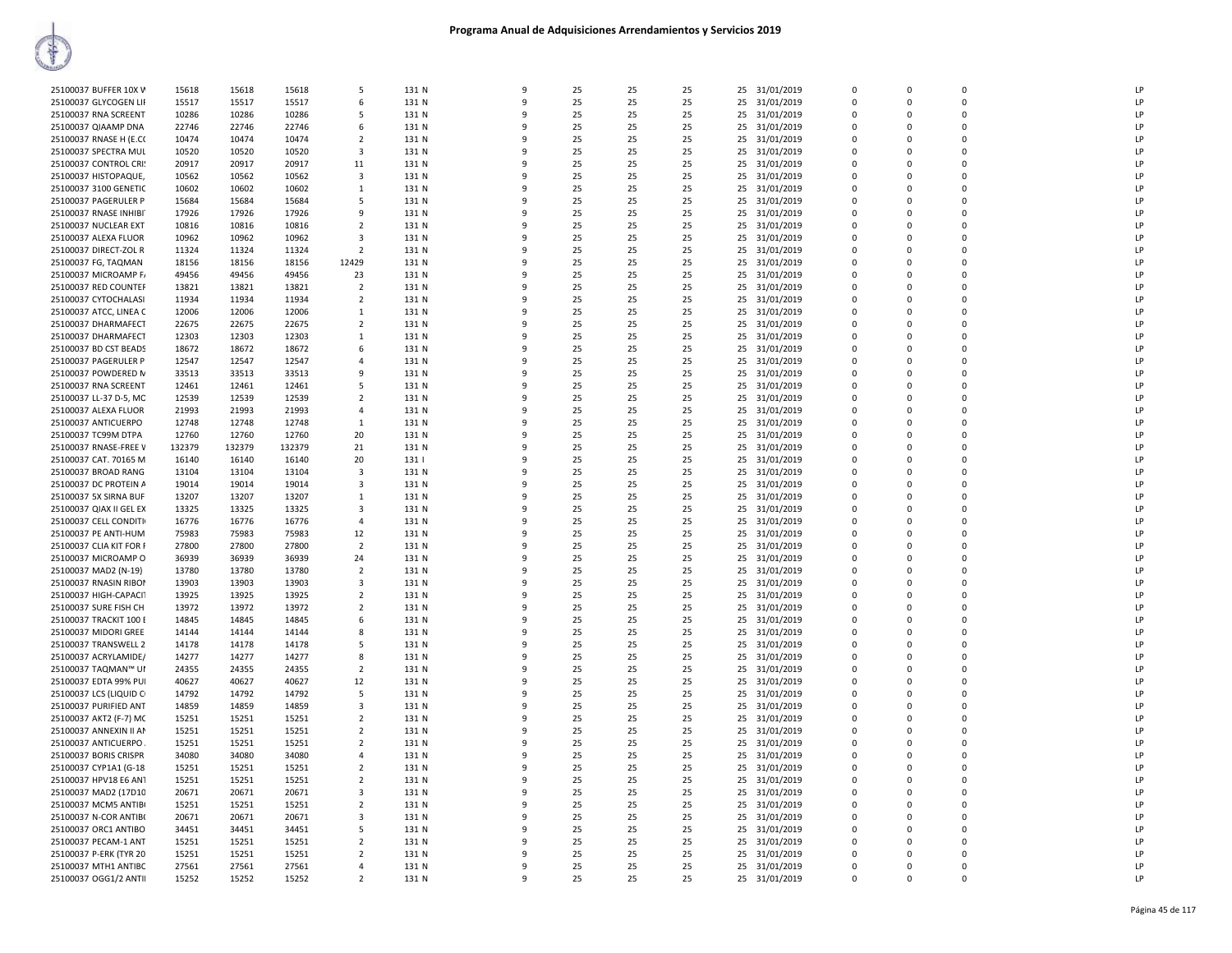| 25100037 BUFFER 10X V   | 15618          | 15618          | 15618          | .5                      | 131 N          | 9            | 25       | 25       | 25       |          | 25 31/01/2019 | $\Omega$      | $\Omega$ | $\Omega$    | LP |
|-------------------------|----------------|----------------|----------------|-------------------------|----------------|--------------|----------|----------|----------|----------|---------------|---------------|----------|-------------|----|
| 25100037 GLYCOGEN LII   | 15517          | 15517          | 15517          | 6                       | 131 N          | 9            | 25       | 25       | 25       | 25       | 31/01/2019    | 0             | $\Omega$ | $\mathbf 0$ | LP |
| 25100037 RNA SCREENT    | 10286          | 10286          | 10286          | 5                       | 131 N          | 9            | 25       | 25       | 25       | 25       | 31/01/2019    | $\mathbf 0$   | $\Omega$ | $\Omega$    | LP |
| 25100037 QIAAMP DNA     | 22746          | 22746          | 22746          | 6                       | 131 N          | q            | 25       | 25       | 25       |          | 25 31/01/2019 | 0             | $\Omega$ | $\mathbf 0$ | LP |
| 25100037 RNASE H (E.CO  | 10474          | 10474          | 10474          | $\overline{2}$          | 131 N          |              | 25       | 25       | 25       |          | 25 31/01/2019 | $\mathbf 0$   | $\Omega$ | $\mathbf 0$ | LP |
| 25100037 SPECTRA MUL    | 10520          | 10520          | 10520          | 3                       | 131 N          |              | 25       | 25       | 25       | 25       | 31/01/2019    | $\Omega$      | $\Omega$ | 0           | LP |
| 25100037 CONTROL CRI:   | 20917          | 20917          | 20917          | 11                      | 131 N          | q            | 25       | 25       | 25       |          | 25 31/01/2019 | $\Omega$      | $\Omega$ | $\Omega$    | LP |
| 25100037 HISTOPAQUE,    | 10562          | 10562          | 10562          | 3                       | 131 N          |              | 25       | 25       | 25       | 25       | 31/01/2019    | $\Omega$      | $\Omega$ | $\Omega$    | LP |
| 25100037 3100 GENETIC   | 10602          | 10602          | 10602          | 1                       | 131 N          | 9            | 25       | 25       | 25       | 25       | 31/01/2019    | $\Omega$      | $\Omega$ | $\mathbf 0$ | LP |
| 25100037 PAGERULER P    | 15684          | 15684          | 15684          | 5                       | 131 N          | 9            | 25       | 25       | 25       | 25       | 31/01/2019    | $\Omega$      | $\Omega$ | $\Omega$    | LP |
| 25100037 RNASE INHIBI   | 17926          | 17926          | 17926          | 9                       | 131 N          | q            | 25       | 25       | 25       | 25       | 31/01/2019    | $\Omega$      | $\Omega$ | $\Omega$    | LP |
| 25100037 NUCLEAR EXT    | 10816          | 10816          | 10816          | $\overline{2}$          | 131 N          |              | 25       | 25       | 25       |          | 25 31/01/2019 | $\mathbf 0$   | $\Omega$ | $\mathbf 0$ | LP |
| 25100037 ALEXA FLUOR    | 10962          | 10962          | 10962          | 3                       | 131 N          |              | 25       | 25       | 25       | 25       | 31/01/2019    | 0             | $\Omega$ | 0           | IP |
| 25100037 DIRECT-ZOL R   | 11324          | 11324          | 11324          | $\overline{2}$          | 131 N          | q            | 25       | 25       | 25       |          | 25 31/01/2019 | $\Omega$      | $\Omega$ | $\Omega$    | LP |
| 25100037 FG, TAQMAN     | 18156          | 18156          | 18156          | 12429                   | 131 N          | q            | 25       | 25       | 25       | 25       | 31/01/2019    | $\Omega$      | $\Omega$ | $\Omega$    | LP |
| 25100037 MICROAMP F/    | 49456          | 49456          | 49456          | 23                      | 131 N          | 9            | 25       | 25       | 25       | 25       | 31/01/2019    | $\Omega$      | $\Omega$ | $\Omega$    | LP |
| 25100037 RED COUNTER    | 13821          | 13821          | 13821          | $\overline{2}$          | 131 N          | 9            | 25       | 25       | 25       | 25       | 31/01/2019    | $\Omega$      | $\Omega$ | $\Omega$    | LP |
| 25100037 CYTOCHALASI    | 11934          | 11934          | 11934          | 2                       | 131 N          | q            | 25       | 25       | 25       | 25       | 31/01/2019    | $\Omega$      | $\Omega$ | $\Omega$    | LP |
| 25100037 ATCC, LINEA C  | 12006          | 12006          | 12006          | 1                       | 131 N          |              | 25       | 25       | 25       | 25       | 31/01/2019    | $\Omega$      | $\Omega$ | $\mathbf 0$ | LP |
| 25100037 DHARMAFECT     | 22675          | 22675          | 22675          | $\overline{2}$          | 131 N          |              | 25       | 25       | 25       | 25       | 31/01/2019    | 0             | $\Omega$ | $\mathbf 0$ | LP |
| 25100037 DHARMAFECT     | 12303          | 12303          | 12303          | $\mathbf{1}$            | 131 N          | q            | 25       | 25       | 25       |          |               | 0             | $\Omega$ | $\mathbf 0$ | LP |
|                         |                |                |                |                         |                | q            |          |          |          |          | 25 31/01/2019 | $\Omega$      | $\Omega$ | $\Omega$    |    |
| 25100037 BD CST BEADS   | 18672          | 18672          | 18672          | 6                       | 131 N          |              | 25       | 25       | 25       | 25       | 31/01/2019    |               |          |             | LP |
| 25100037 PAGERULER P    | 12547          | 12547          | 12547          | $\overline{a}$          | 131 N          | q            | 25       | 25       | 25       |          | 25 31/01/2019 | $\Omega$      | $\Omega$ | $\Omega$    | LP |
| 25100037 POWDERED N     | 33513          | 33513          | 33513          | 9                       | 131 N          | 9            | 25       | 25       | 25       | 25       | 31/01/2019    | 0             | $\Omega$ | 0           | LP |
| 25100037 RNA SCREENT    | 12461          | 12461          | 12461          | 5                       | 131 N          | q            | 25       | 25       | 25       | 25       | 31/01/2019    | $\Omega$      | $\Omega$ | $\Omega$    | LP |
| 25100037 LL-37 D-5, MC  | 12539          | 12539          | 12539          | $\overline{2}$          | 131 N          |              | 25       | 25       | 25       |          | 25 31/01/2019 | $\Omega$      | $\Omega$ | $\Omega$    | LP |
| 25100037 ALEXA FLUOR    | 21993          | 21993          | 21993          | $\overline{4}$          | 131 N          |              | 25       | 25       | 25       | 25       | 31/01/2019    | 0             | $\Omega$ | $\mathbf 0$ | LP |
| 25100037 ANTICUERPO     | 12748          | 12748          | 12748          | 1                       | 131 N          | 9            | 25       | 25       | 25       |          | 25 31/01/2019 | $\Omega$      | $\Omega$ | $\mathbf 0$ | LP |
| 25100037 TC99M DTPA     | 12760          | 12760          | 12760          | 20                      | 131 N          | q            | 25       | 25       | 25       | 25       | 31/01/2019    | 0             | $\Omega$ | $\mathbf 0$ | LP |
| 25100037 RNASE-FREE V   | 132379         | 132379         | 132379         | 21                      | 131 N          | q            | 25       | 25       | 25       |          | 25 31/01/2019 | $\Omega$      | $\Omega$ | $\Omega$    | LP |
| 25100037 CAT. 70165 M   | 16140          | 16140          | 16140          | 20                      | 131            | 9            | 25       | 25       | 25       | 25       | 31/01/2019    | 0             | $\Omega$ | 0           | LP |
| 25100037 BROAD RANG     | 13104          | 13104          | 13104          | $\mathbf{3}$            | 131 N          | q            | 25       | 25       | 25       | 25       | 31/01/2019    | $\Omega$      | $\Omega$ | $\Omega$    | LP |
| 25100037 DC PROTEIN A   | 19014          | 19014          | 19014          | 3                       | 131 N          |              | 25       | 25       | 25       | 25       | 31/01/2019    | $\Omega$      | $\Omega$ | $\Omega$    | LP |
| 25100037 5X SIRNA BUF   | 13207          | 13207          | 13207          | 1                       | 131 N          | q            | 25       | 25       | 25       | 25       | 31/01/2019    | $\Omega$      | $\Omega$ | $\mathbf 0$ | LP |
| 25100037 QIAX II GEL EX | 13325          | 13325          | 13325          | $\overline{\mathbf{3}}$ | 131 N          | 9            | 25       | 25       | 25       |          | 25 31/01/2019 | $\Omega$      | $\Omega$ | $\mathbf 0$ | LP |
| 25100037 CELL CONDITI   | 16776          | 16776          | 16776          | $\overline{4}$          | 131 N          | q            | 25       | 25       | 25       | 25       | 31/01/2019    | $\Omega$      | $\Omega$ | $\mathbf 0$ | LP |
| 25100037 PE ANTI-HUM    | 75983          | 75983          | 75983          | 12                      | 131 N          | q            | 25       | 25       | 25       | 25       | 31/01/2019    | $\Omega$      | $\Omega$ | $\Omega$    | LP |
| 25100037 CLIA KIT FOR F | 27800          | 27800          | 27800          | $\overline{2}$          | 131 N          | 9            | 25       | 25       | 25       | 25       | 31/01/2019    | 0             | $\Omega$ | 0           | LP |
| 25100037 MICROAMP O     | 36939          | 36939          | 36939          | 24                      | 131 N          | q            | 25       | 25       | 25       | 25       | 31/01/2019    | $\Omega$      | $\Omega$ | $\Omega$    | LP |
| 25100037 MAD2 (N-19)    | 13780          | 13780          | 13780          | $\overline{2}$          | 131 N          |              | 25       | 25       | 25       |          | 25 31/01/2019 | 0             | $\Omega$ | $\mathbf 0$ | LP |
| 25100037 RNASIN RIBOI   | 13903          | 13903          | 13903          | $\overline{3}$          | 131 N          |              | 25       | 25       | 25       | 25       | 31/01/2019    | $\Omega$      | $\Omega$ | $\mathbf 0$ | LP |
| 25100037 HIGH-CAPACIT   | 13925          | 13925          | 13925          | $\overline{2}$          | 131 N          |              | 25       | 25       | 25       |          | 25 31/01/2019 | $\Omega$      | $\Omega$ | $\mathbf 0$ | LP |
| 25100037 SURE FISH CH   | 13972          | 13972          | 13972          | $\overline{2}$          | 131 N          | q            | 25       | 25       | 25       | 25       | 31/01/2019    | $\Omega$      | $\Omega$ | $\mathbf 0$ | LP |
| 25100037 TRACKIT 100 E  | 14845          | 14845          | 14845          | 6                       | 131 N          | 9            | 25       | 25       | 25       | 25       | 31/01/2019    | 0             | $\Omega$ | $\mathbf 0$ | LP |
| 25100037 MIDORI GREE    | 14144          | 14144          | 14144          | 8                       | 131 N          | 9            | 25       | 25       | 25       | 25       | 31/01/2019    | $\Omega$      | $\Omega$ | $\Omega$    | LP |
| 25100037 TRANSWELL 2    | 14178          | 14178          | 14178          | 5                       | 131 N          | c            | 25       | 25       | 25       | 25       | 31/01/2019    | $\Omega$      | $\Omega$ | $\Omega$    | LP |
| 25100037 ACRYLAMIDE/    | 14277          | 14277          | 14277          | 8                       | 131 N          | q            | 25       | 25       | 25       | 25       | 31/01/2019    | 0             | $\Omega$ | $\Omega$    | LP |
| 25100037 TAQMAN™ UI     | 24355          | 24355          | 24355          | $\overline{2}$          | 131 N          |              | 25       | 25       | 25       | 25       | 31/01/2019    | $\Omega$      | $\Omega$ | $\Omega$    | LP |
| 25100037 EDTA 99% PUI   | 40627          | 40627          | 40627          | 12                      | 131 N          |              | 25       | 25       | 25       | 25       | 31/01/2019    | 0             | $\Omega$ | $\mathbf 0$ | LP |
| 25100037 LCS (LIQUID O  | 14792          | 14792          | 14792          | 5                       | 131 N          | q            | 25       | 25       | 25       | 25       | 31/01/2019    | $\Omega$      | $\Omega$ | $\Omega$    | LP |
| 25100037 PURIFIED ANT   | 14859          | 14859          | 14859          | 3                       | 131 N          |              | 25       | 25       | 25       | 25       | 31/01/2019    | $\Omega$      | $\Omega$ | $\mathbf 0$ | LP |
| 25100037 AKT2 (F-7) MC  | 15251          | 15251          | 15251          | $\overline{2}$          | 131 N          | q            | 25       | 25       | 25       | 25       | 31/01/2019    | 0             | 0        | $\mathbf 0$ | LP |
| 25100037 ANNEXIN II AN  | 15251          | 15251          | 15251          | $\overline{2}$          | 131 N          | q            | 25       | 25       | 25       | 25       | 31/01/2019    | $\Omega$      | $\Omega$ | $\Omega$    | LP |
| 25100037 ANTICUERPO     | 15251          | 15251          | 15251          | $\overline{2}$          | 131 N          | q            | 25       | 25       | 25       |          | 25 31/01/2019 | $\Omega$      | $\Omega$ | $\Omega$    | LP |
| 25100037 BORIS CRISPR   | 34080          | 34080          | 34080          | $\overline{a}$          | 131 N          |              | 25       | 25       | 25       |          | 25 31/01/2019 | $\Omega$      | $\Omega$ | $\Omega$    | LP |
|                         |                |                |                | $\overline{2}$          |                |              |          |          |          |          |               |               | $\Omega$ | 0           | LP |
| 25100037 CYP1A1 (G-18   | 15251<br>15251 | 15251<br>15251 | 15251<br>15251 |                         | 131 N<br>131 N | q            | 25<br>25 | 25<br>25 | 25<br>25 | 25<br>25 | 31/01/2019    | 0<br>$\Omega$ | $\Omega$ | $\Omega$    | LP |
| 25100037 HPV18 E6 AN1   |                |                |                | $\overline{2}$          |                |              |          |          |          |          | 31/01/2019    |               |          |             |    |
| 25100037 MAD2 (17D10    | 20671          | 20671          | 20671          | 3                       | 131 N          | 9            | 25       | 25       | 25       | 25       | 31/01/2019    | $\Omega$      | $\Omega$ | $\mathbf 0$ | LP |
| 25100037 MCM5 ANTIB(    | 15251          | 15251          | 15251          | $\overline{2}$          | 131 N          | 9            | 25       | 25       | 25       | 25       | 31/01/2019    | 0             | $\Omega$ | $\mathbf 0$ | LP |
| 25100037 N-COR ANTIB(   | 20671          | 20671          | 20671          | 3                       | 131 N          | $\mathbf{q}$ | 25       | 25       | 25       | 25       | 31/01/2019    | $\mathbf 0$   | $\Omega$ | $\mathbf 0$ | LP |
| 25100037 ORC1 ANTIBO    | 34451          | 34451          | 34451          | 5                       | 131 N          | q            | 25       | 25       | 25       |          | 25 31/01/2019 | $\Omega$      | $\Omega$ | $\Omega$    | LP |
| 25100037 PECAM-1 ANT    | 15251          | 15251          | 15251          | $\overline{2}$          | 131 N          |              | 25       | 25       | 25       |          | 25 31/01/2019 | $\Omega$      | $\Omega$ | $\Omega$    | LP |
| 25100037 P-ERK (TYR 20  | 15251          | 15251          | 15251          | $\overline{2}$          | 131 N          | 9            | 25       | 25       | 25       | 25       | 31/01/2019    | 0             | $\Omega$ | 0           | LP |
| 25100037 MTH1 ANTIBC    | 27561          | 27561          | 27561          | $\overline{a}$          | 131 N          | q            | 25       | 25       | 25       |          | 25 31/01/2019 | $\Omega$      | $\Omega$ | $\Omega$    | LP |
| 25100037 OGG1/2 ANTII   | 15252          | 15252          | 15252          | $\overline{2}$          | 131 N          | 9            | 25       | 25       | 25       |          | 25 31/01/2019 | $\Omega$      | $\Omega$ | $\Omega$    | LP |
|                         |                |                |                |                         |                |              |          |          |          |          |               |               |          |             |    |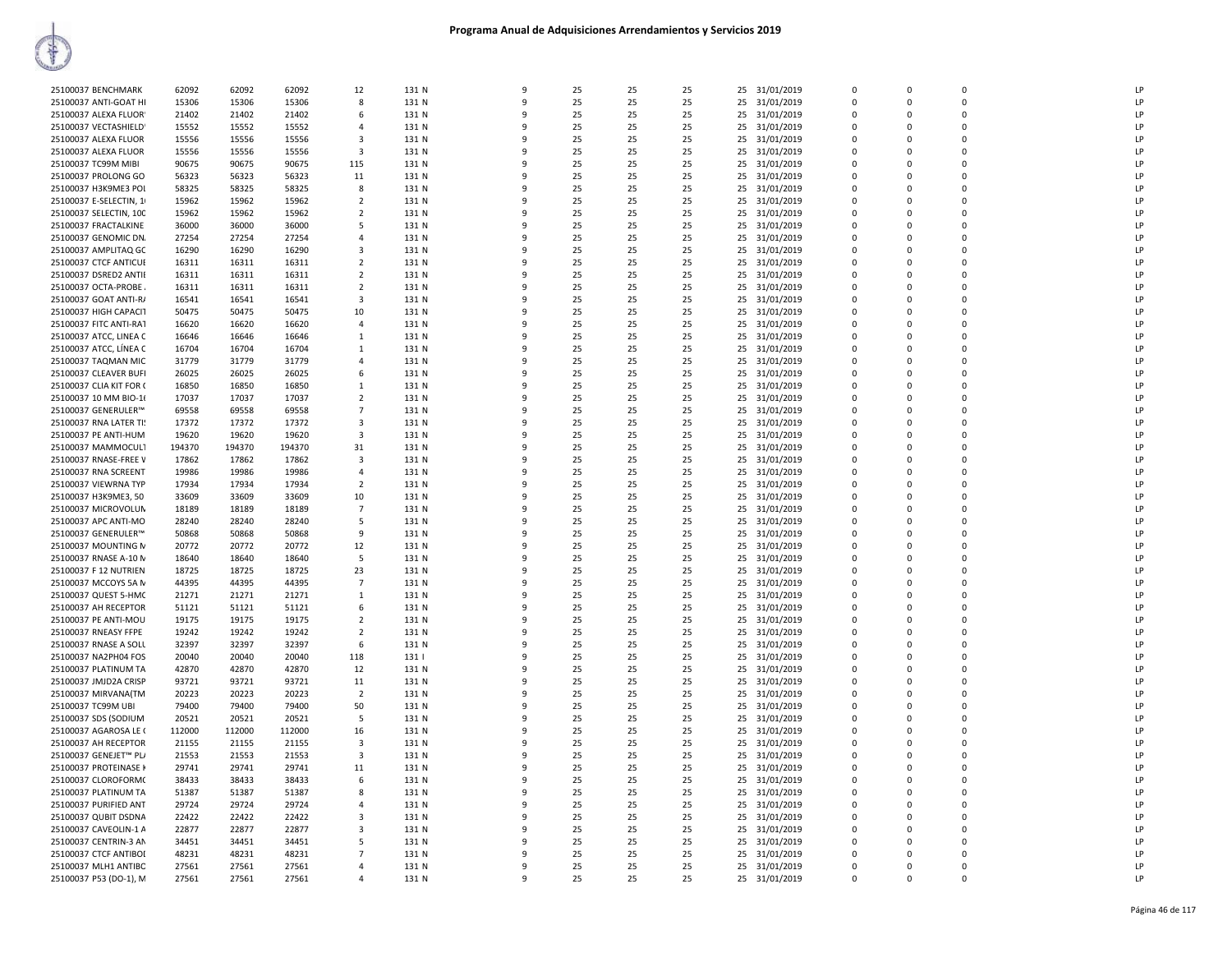| 25100037 BENCHMARK      | 62092  | 62092  | 62092  | 12                      | 131 N | 9        | 25 | 25 | 25 | 25 31/01/2019    | $\Omega$    | $\Omega$ | $\Omega$    | LP |
|-------------------------|--------|--------|--------|-------------------------|-------|----------|----|----|----|------------------|-------------|----------|-------------|----|
| 25100037 ANTI-GOAT HI   | 15306  | 15306  | 15306  | 8                       | 131 N | 9        | 25 | 25 | 25 | 25<br>31/01/2019 | 0           | $\Omega$ | $\mathbf 0$ | LP |
| 25100037 ALEXA FLUOR    | 21402  | 21402  | 21402  | 6                       | 131 N | 9        | 25 | 25 | 25 | 25<br>31/01/2019 | $\mathbf 0$ | $\Omega$ | $\mathbf 0$ | LP |
| 25100037 VECTASHIELD    | 15552  | 15552  | 15552  | $\Delta$                | 131 N | $\Omega$ | 25 | 25 | 25 | 31/01/2019<br>25 | $\Omega$    | $\Omega$ | $\mathbf 0$ | LP |
| 25100037 ALEXA FLUOR    | 15556  | 15556  | 15556  | $\overline{\mathbf{3}}$ | 131 N |          | 25 | 25 | 25 | 25 31/01/2019    | $\Omega$    | $\Omega$ | $\Omega$    | LP |
| 25100037 ALEXA FLUOR    | 15556  | 15556  | 15556  | 3                       | 131 N | q        | 25 | 25 | 25 | 25<br>31/01/2019 | $\Omega$    | $\Omega$ | 0           | LP |
| 25100037 TC99M MIBI     | 90675  | 90675  | 90675  | 115                     | 131 N | ٩        | 25 | 25 | 25 | 25<br>31/01/2019 | $\Omega$    | $\Omega$ | $\Omega$    | LP |
| 25100037 PROLONG GO     | 56323  | 56323  | 56323  | 11                      | 131 N |          | 25 | 25 | 25 | 31/01/2019<br>25 | $\Omega$    | $\Omega$ | $\Omega$    | LP |
| 25100037 H3K9ME3 POI    | 58325  | 58325  | 58325  | 8                       | 131 N | 9        | 25 | 25 | 25 | 31/01/2019<br>25 | 0           | $\Omega$ | $\mathbf 0$ | LP |
| 25100037 E-SELECTIN, 1  | 15962  | 15962  | 15962  | $\overline{2}$          | 131 N | 9        | 25 | 25 | 25 | 25<br>31/01/2019 | $\Omega$    | $\Omega$ | $\Omega$    | LP |
| 25100037 SELECTIN, 100  | 15962  | 15962  | 15962  | $\overline{2}$          | 131 N | q        | 25 | 25 | 25 | 31/01/2019<br>25 | $\Omega$    | $\Omega$ | $\mathbf 0$ | LP |
| 25100037 FRACTALKINE    | 36000  | 36000  | 36000  | 5                       | 131 N |          | 25 | 25 | 25 | 25<br>31/01/2019 | $\Omega$    | $\Omega$ | $\Omega$    | IP |
| 25100037 GENOMIC DN.    | 27254  | 27254  | 27254  | 4                       | 131 N | q        | 25 | 25 | 25 | 25<br>31/01/2019 | $\Omega$    | $\Omega$ | 0           | LP |
| 25100037 AMPLITAQ GC    | 16290  | 16290  | 16290  | $\mathbf{3}$            | 131 N | q        | 25 | 25 | 25 | 25<br>31/01/2019 | $\Omega$    | $\Omega$ | $\Omega$    | LP |
| 25100037 CTCF ANTICUE   | 16311  | 16311  | 16311  | $\overline{2}$          | 131 N | ٩        | 25 | 25 | 25 | 25<br>31/01/2019 | $\Omega$    | $\Omega$ | 0           | LP |
| 25100037 DSRED2 ANTII   | 16311  | 16311  | 16311  | $\overline{2}$          | 131 N | 9        | 25 | 25 | 25 | 31/01/2019<br>25 | $\Omega$    | $\Omega$ | $\mathbf 0$ | LP |
| 25100037 OCTA-PROBE     | 16311  | 16311  | 16311  | $\overline{2}$          | 131 N | 9        | 25 | 25 | 25 | 25<br>31/01/2019 | $\Omega$    | $\Omega$ | $\Omega$    | LP |
| 25100037 GOAT ANTI-R/   | 16541  | 16541  | 16541  | 3                       | 131 N | q        | 25 | 25 | 25 | 31/01/2019<br>25 | $\Omega$    | $\Omega$ | $\mathbf 0$ | LP |
| 25100037 HIGH CAPACIT   | 50475  | 50475  | 50475  | 10                      | 131 N |          | 25 | 25 | 25 | 25<br>31/01/2019 | 0           | $\Omega$ | $\mathbf 0$ | IP |
| 25100037 FITC ANTI-RAT  | 16620  | 16620  | 16620  | 4                       | 131 N | q        | 25 | 25 | 25 | 25<br>31/01/2019 | $\Omega$    | $\Omega$ | 0           | LP |
| 25100037 ATCC, LINEA C  | 16646  | 16646  | 16646  | $\mathbf{1}$            | 131 N | q        | 25 | 25 | 25 | 25<br>31/01/2019 | $\Omega$    | $\Omega$ | $\Omega$    | LP |
| 25100037 ATCC, LÍNEA C  | 16704  | 16704  | 16704  | 1                       | 131 N | ٩        | 25 | 25 | 25 | 25<br>31/01/2019 | $\Omega$    | $\Omega$ | 0           | LP |
| 25100037 TAQMAN MIC     | 31779  | 31779  | 31779  | 4                       | 131 N | 9        | 25 | 25 | 25 | 31/01/2019<br>25 | $\Omega$    | $\Omega$ | $\mathbf 0$ | LP |
| 25100037 CLEAVER BUFI   | 26025  | 26025  | 26025  | 6                       | 131 N | 9        | 25 | 25 | 25 | 25<br>31/01/2019 | 0           | 0        | $\mathbf 0$ | LP |
| 25100037 CLIA KIT FOR ( | 16850  | 16850  | 16850  | 1                       | 131 N | q        | 25 | 25 | 25 | 31/01/2019<br>25 | $\Omega$    | $\Omega$ | $\mathbf 0$ | LP |
| 25100037 10 MM BIO-1(   | 17037  | 17037  | 17037  | $\overline{2}$          | 131 N |          | 25 | 25 | 25 | 25<br>31/01/2019 | $\Omega$    | $\Omega$ | $\mathbf 0$ | LP |
| 25100037 GENERULER™     | 69558  | 69558  | 69558  | 7                       | 131 N | q        | 25 | 25 | 25 | 25<br>31/01/2019 | $\Omega$    | $\Omega$ | 0           | LP |
| 25100037 RNA LATER TI!  | 17372  | 17372  | 17372  | 3                       | 131 N | q        | 25 | 25 | 25 | 25<br>31/01/2019 | $\Omega$    | $\Omega$ | $\Omega$    | LP |
| 25100037 PE ANTI-HUM    | 19620  | 19620  | 19620  | 3                       | 131 N | ٩        | 25 | 25 | 25 | 25<br>31/01/2019 | $\Omega$    | $\Omega$ | 0           | LP |
| 25100037 MAMMOCUL1      | 194370 | 194370 | 194370 | 31                      | 131 N | 9        | 25 | 25 | 25 | 31/01/2019<br>25 | $\Omega$    | $\Omega$ | $\Omega$    | LP |
| 25100037 RNASE-FREE V   | 17862  | 17862  | 17862  | 3                       | 131 N | 9        | 25 | 25 | 25 | 25<br>31/01/2019 | 0           | 0        | $\mathbf 0$ | LP |
| 25100037 RNA SCREENT    | 19986  | 19986  | 19986  | $\overline{a}$          | 131 N | q        | 25 | 25 | 25 | 25<br>31/01/2019 | $\Omega$    | $\Omega$ | $\Omega$    | LP |
| 25100037 VIEWRNA TYP    | 17934  | 17934  | 17934  | $\overline{2}$          | 131 N |          | 25 | 25 | 25 | 25<br>31/01/2019 | $\Omega$    | $\Omega$ | $\mathbf 0$ | LP |
| 25100037 H3K9ME3, 50    | 33609  | 33609  | 33609  | 10                      | 131 N | q        | 25 | 25 | 25 | 25<br>31/01/2019 | $\Omega$    | $\Omega$ | 0           | IP |
| 25100037 MICROVOLUN     | 18189  | 18189  | 18189  | $\overline{7}$          | 131 N | q        | 25 | 25 | 25 | 25<br>31/01/2019 | $\Omega$    | $\Omega$ | $\Omega$    | LP |
| 25100037 APC ANTI-MO    | 28240  | 28240  | 28240  | 5                       | 131 N | ٩        | 25 | 25 | 25 | 25<br>31/01/2019 | $\Omega$    | $\Omega$ | $\Omega$    | LP |
| 25100037 GENERULER™     | 50868  | 50868  | 50868  | 9                       | 131 N | 9        | 25 | 25 | 25 | 31/01/2019<br>25 | $\Omega$    | $\Omega$ | $\Omega$    | LP |
| 25100037 MOUNTING N     | 20772  | 20772  | 20772  | 12                      | 131 N | 9        | 25 | 25 | 25 | 25<br>31/01/2019 | 0           | 0        | $\mathbf 0$ | LP |
| 25100037 RNASE A-10 N   | 18640  | 18640  | 18640  | 5                       | 131 N | q        | 25 | 25 | 25 | 25<br>31/01/2019 | $\Omega$    | $\Omega$ | $\Omega$    | LP |
| 25100037 F 12 NUTRIEN   | 18725  | 18725  | 18725  | 23                      | 131 N |          | 25 | 25 | 25 | 25<br>31/01/2019 | 0           | $\Omega$ | $\mathbf 0$ | LP |
| 25100037 MCCOYS 5A N    | 44395  | 44395  | 44395  | $\overline{7}$          | 131 N |          | 25 | 25 | 25 | 31/01/2019<br>25 | $\Omega$    | $\Omega$ | $\Omega$    | LP |
| 25100037 QUEST 5-HMC    | 21271  | 21271  | 21271  | $\mathbf{1}$            | 131 N | q        | 25 | 25 | 25 | 25 31/01/2019    | $\Omega$    | $\Omega$ | $\Omega$    | LP |
| 25100037 AH RECEPTOR    | 51121  | 51121  | 51121  | 6                       | 131 N | ٩        | 25 | 25 | 25 | 25<br>31/01/2019 | $\Omega$    | $\Omega$ | $\Omega$    | LP |
| 25100037 PE ANTI-MOU    | 19175  | 19175  | 19175  | $\overline{2}$          | 131 N | 9        | 25 | 25 | 25 | 31/01/2019<br>25 | $\Omega$    | $\Omega$ | $\Omega$    | LP |
| 25100037 RNEASY FFPE    | 19242  | 19242  | 19242  | $\overline{2}$          | 131 N | 9        | 25 | 25 | 25 | 25<br>31/01/2019 | 0           | $\Omega$ | $\mathbf 0$ | LP |
| 25100037 RNASE A SOLU   | 32397  | 32397  | 32397  | 6                       | 131 N | q        | 25 | 25 | 25 | 25<br>31/01/2019 | $\Omega$    | $\Omega$ | $\Omega$    | LP |
| 25100037 NA2PH04 FOS    | 20040  | 20040  | 20040  | 118                     | 131   |          | 25 | 25 | 25 | 25<br>31/01/2019 | 0           | $\Omega$ | $\mathbf 0$ | LP |
| 25100037 PLATINUM TA    | 42870  | 42870  | 42870  | 12                      | 131 N |          | 25 | 25 | 25 | 31/01/2019<br>25 | $\Omega$    | $\Omega$ | $\Omega$    | LP |
| 25100037 JMJD2A CRISP   | 93721  | 93721  | 93721  | 11                      | 131 N |          | 25 | 25 | 25 | 25<br>31/01/2019 | $\Omega$    | $\Omega$ | $\Omega$    | LP |
| 25100037 MIRVANA(TM     | 20223  | 20223  | 20223  | $\overline{2}$          | 131 N | q        | 25 | 25 | 25 | 25<br>31/01/2019 | $\Omega$    | $\Omega$ | $\Omega$    | LP |
| 25100037 TC99M UBI      | 79400  | 79400  | 79400  | 50                      | 131 N | 9        | 25 | 25 | 25 | 31/01/2019<br>25 | $\Omega$    | $\Omega$ | $\Omega$    | LP |
| 25100037 SDS (SODIUM    | 20521  | 20521  | 20521  | 5                       | 131 N | 9        | 25 | 25 | 25 | 25<br>31/01/2019 | $\mathbf 0$ | $\Omega$ | $\mathbf 0$ | LP |
| 25100037 AGAROSA LE (   | 112000 | 112000 | 112000 | 16                      | 131 N | q        | 25 | 25 | 25 | 25<br>31/01/2019 | $\Omega$    | $\Omega$ | $\Omega$    | LP |
| 25100037 AH RECEPTOR    | 21155  | 21155  | 21155  | 3                       | 131 N |          | 25 | 25 | 25 | 25<br>31/01/2019 | 0           | $\Omega$ | $\mathbf 0$ | LP |
| 25100037 GENEJET™ PL/   | 21553  | 21553  | 21553  | 3                       | 131 N |          | 25 | 25 | 25 | 31/01/2019<br>25 | $\Omega$    | $\Omega$ | $\Omega$    | LP |
| 25100037 PROTEINASE K   | 29741  | 29741  | 29741  | 11                      | 131 N |          | 25 | 25 | 25 | 25<br>31/01/2019 | $\Omega$    | $\Omega$ | $\Omega$    | LP |
| 25100037 CLOROFORM(     | 38433  | 38433  | 38433  | 6                       | 131 N | ٩        | 25 | 25 | 25 | 25<br>31/01/2019 | $\Omega$    | $\Omega$ | $\Omega$    | LP |
| 25100037 PLATINUM TA    | 51387  | 51387  | 51387  | 8                       | 131 N | q        | 25 | 25 | 25 | 25<br>31/01/2019 | $\Omega$    | $\Omega$ | $\Omega$    | LP |
| 25100037 PURIFIED ANT   | 29724  | 29724  | 29724  | 4                       | 131 N | 9        | 25 | 25 | 25 | 25<br>31/01/2019 | 0           | $\Omega$ | 0           | LP |
| 25100037 QUBIT DSDNA    | 22422  | 22422  | 22422  | 3                       | 131 N | q        | 25 | 25 | 25 | 25<br>31/01/2019 | $\Omega$    | $\Omega$ | $\Omega$    | LP |
| 25100037 CAVEOLIN-1 A   | 22877  | 22877  | 22877  | 3                       | 131 N | q        | 25 | 25 | 25 | 25<br>31/01/2019 | 0           | $\Omega$ | $\mathbf 0$ | LP |
| 25100037 CENTRIN-3 AN   | 34451  | 34451  | 34451  | 5                       | 131 N |          | 25 | 25 | 25 | 25<br>31/01/2019 | $\Omega$    | $\Omega$ | $\mathbf 0$ | LP |
| 25100037 CTCF ANTIBOI   | 48231  | 48231  | 48231  | $\overline{7}$          | 131 N |          | 25 | 25 | 25 | 25<br>31/01/2019 | $\Omega$    | $\Omega$ | $\Omega$    | LP |
| 25100037 MLH1 ANTIBC    | 27561  | 27561  | 27561  | $\Delta$                | 131 N | ٩        | 25 | 25 | 25 | 25<br>31/01/2019 | $\Omega$    | $\Omega$ | $\Omega$    | LP |
| 25100037 P53 (DO-1), M  | 27561  | 27561  | 27561  | 4                       | 131 N | 9        | 25 | 25 | 25 | 25 31/01/2019    | $\Omega$    | $\Omega$ | $\Omega$    | LP |
|                         |        |        |        |                         |       |          |    |    |    |                  |             |          |             |    |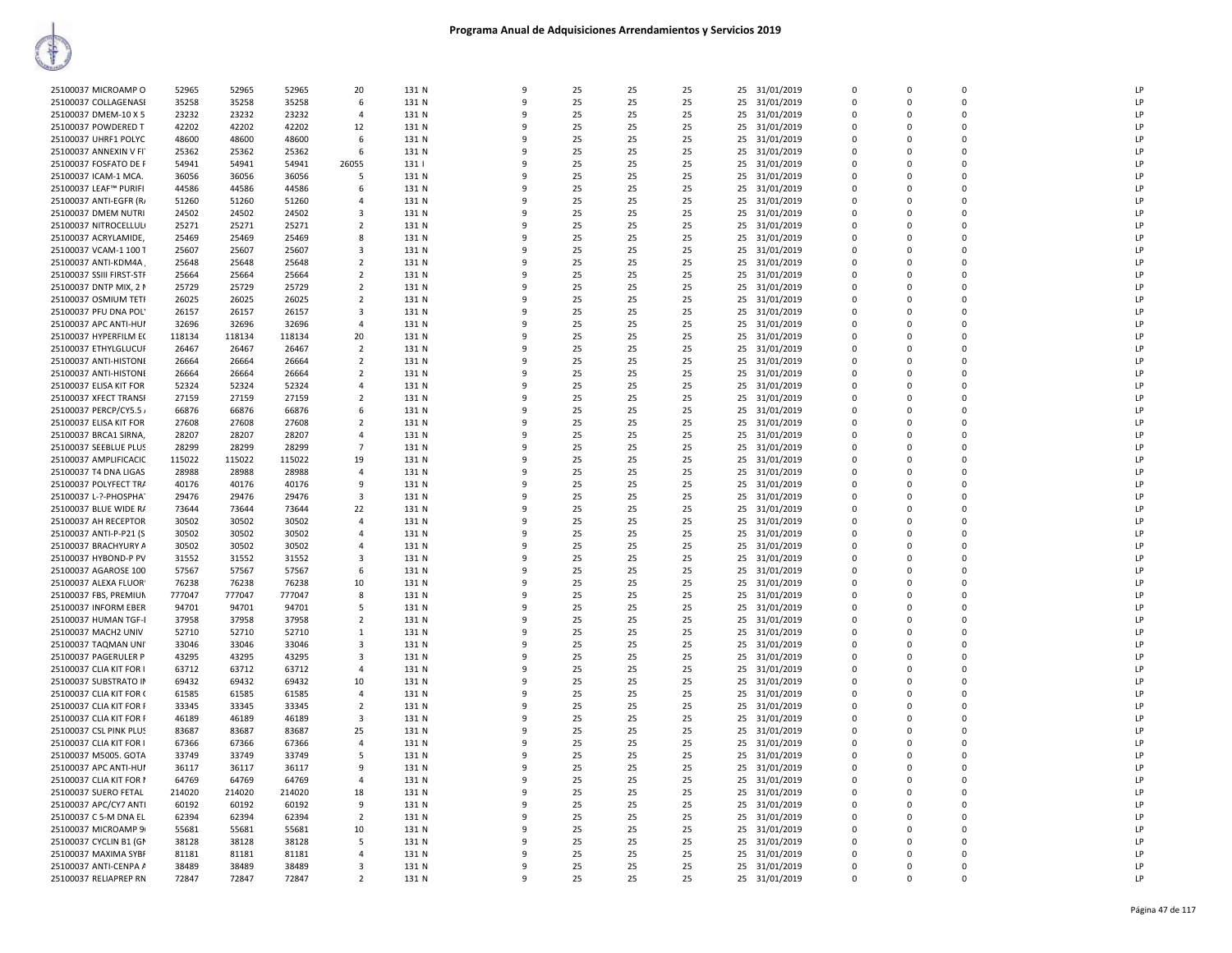| 25100037 MICROAMP O      | 52965  | 52965  | 52965  | 20                      | 131 N | $\mathbf{q}$ | 25 | 25 | 25 | 25 | 31/01/2019 | $\Omega$    | $\Omega$ | $\Omega$    | LP |
|--------------------------|--------|--------|--------|-------------------------|-------|--------------|----|----|----|----|------------|-------------|----------|-------------|----|
| 25100037 COLLAGENASE     | 35258  | 35258  | 35258  | 6                       | 131 N | 9            | 25 | 25 | 25 | 25 | 31/01/2019 | $\Omega$    | $\Omega$ | $\Omega$    | LP |
| 25100037 DMEM-10 X 5     | 23232  | 23232  | 23232  | $\Delta$                | 131 N | ٩            | 25 | 25 | 25 | 25 | 31/01/2019 | $\Omega$    | $\Omega$ | $\Omega$    | LP |
|                          |        |        |        |                         |       |              |    |    |    |    |            |             | $\Omega$ | $\Omega$    | LP |
| 25100037 POWDERED T      | 42202  | 42202  | 42202  | 12                      | 131 N |              | 25 | 25 | 25 | 25 | 31/01/2019 | $\mathbf 0$ |          |             |    |
| 25100037 UHRF1 POLYC     | 48600  | 48600  | 48600  | 6                       | 131 N | ٠Q           | 25 | 25 | 25 | 25 | 31/01/2019 | $\mathbf 0$ | $\Omega$ | $\mathbf 0$ | LP |
| 25100037 ANNEXIN V FI    | 25362  | 25362  | 25362  | 6                       | 131 N | q            | 25 | 25 | 25 | 25 | 31/01/2019 | $\mathbf 0$ | $\Omega$ | $\Omega$    | LP |
| 25100037 FOSFATO DE F    | 54941  | 54941  | 54941  | 26055                   | 131   | ۰Q           | 25 | 25 | 25 | 25 | 31/01/2019 | $\Omega$    | $\Omega$ | $\Omega$    | LP |
| 25100037 ICAM-1 MCA.     | 36056  | 36056  | 36056  | 5                       | 131 N | ٩            | 25 | 25 | 25 | 25 | 31/01/2019 | $\Omega$    | $\Omega$ | $\Omega$    | LP |
| 25100037 LEAF™ PURIFI    | 44586  | 44586  | 44586  | 6                       | 131 N | 9            | 25 | 25 | 25 | 25 | 31/01/2019 | $\Omega$    | $\Omega$ | $\Omega$    | LP |
| 25100037 ANTI-EGFR (R/   | 51260  | 51260  | 51260  | $\Delta$                | 131 N | ۰Q           | 25 | 25 | 25 | 25 | 31/01/2019 | $\Omega$    | $\Omega$ | $\Omega$    | LP |
| 25100037 DMEM NUTRI      | 24502  | 24502  | 24502  | $\overline{3}$          | 131 N |              | 25 | 25 | 25 | 25 | 31/01/2019 | $\Omega$    | $\Omega$ | $\Omega$    | LP |
| 25100037 NITROCELLULI    | 25271  | 25271  | 25271  | $\overline{2}$          | 131 N | ٠Q           | 25 | 25 | 25 | 25 | 31/01/2019 | $\mathbf 0$ | $\Omega$ | $\Omega$    | LP |
| 25100037 ACRYLAMIDE,     | 25469  | 25469  | 25469  | 8                       | 131 N | q            | 25 | 25 | 25 | 25 | 31/01/2019 | $\mathbf 0$ | $\Omega$ | $\Omega$    | LP |
|                          |        |        |        | 3                       |       | ۰Q           | 25 | 25 |    |    |            | $\Omega$    | $\Omega$ | $\Omega$    | LP |
| 25100037 VCAM-1 100 T    | 25607  | 25607  | 25607  |                         | 131 N |              |    |    | 25 | 25 | 31/01/2019 |             |          |             |    |
| 25100037 ANTI-KDM4A      | 25648  | 25648  | 25648  | $\overline{2}$          | 131 N | ٩            | 25 | 25 | 25 | 25 | 31/01/2019 | $\Omega$    | $\Omega$ | $\Omega$    | LP |
| 25100037 SSIII FIRST-STF | 25664  | 25664  | 25664  | $\overline{2}$          | 131 N | 9            | 25 | 25 | 25 | 25 | 31/01/2019 | $\mathbf 0$ | $\Omega$ | $\Omega$    | LP |
| 25100037 DNTP MIX, 2 N   | 25729  | 25729  | 25729  | $\overline{2}$          | 131 N | ٩            | 25 | 25 | 25 | 25 | 31/01/2019 | $\Omega$    | $\Omega$ | $\Omega$    | LP |
| 25100037 OSMIUM TETI     | 26025  | 26025  | 26025  | $\overline{2}$          | 131 N |              | 25 | 25 | 25 | 25 | 31/01/2019 | $\Omega$    | $\Omega$ | $\Omega$    | LP |
| 25100037 PFU DNA POL'    | 26157  | 26157  | 26157  | 3                       | 131 N | q            | 25 | 25 | 25 | 25 | 31/01/2019 | $\mathbf 0$ | $\Omega$ | $\mathbf 0$ | LP |
| 25100037 APC ANTI-HUI    | 32696  | 32696  | 32696  | $\overline{4}$          | 131 N | 9            | 25 | 25 | 25 | 25 | 31/01/2019 | $\mathbf 0$ | $\Omega$ | $\Omega$    | LP |
| 25100037 HYPERFILM EC    | 118134 | 118134 | 118134 | 20                      | 131 N | ۰Q           | 25 | 25 | 25 | 25 | 31/01/2019 | $\Omega$    | $\Omega$ | $\Omega$    | LP |
| 25100037 ETHYLGLUCUF     | 26467  | 26467  | 26467  | $\overline{2}$          | 131 N | q            | 25 | 25 | 25 | 25 | 31/01/2019 | $\Omega$    | $\Omega$ | $\Omega$    | LP |
| 25100037 ANTI-HISTONI    | 26664  | 26664  | 26664  | $\overline{2}$          | 131 N | 9            | 25 | 25 | 25 | 25 | 31/01/2019 | $\mathbf 0$ | $\Omega$ | $\Omega$    | LP |
| 25100037 ANTI-HISTONI    | 26664  | 26664  | 26664  | $\overline{2}$          | 131 N | ٩            | 25 | 25 | 25 | 25 | 31/01/2019 | $\mathbf 0$ | $\Omega$ | $\Omega$    | LP |
|                          |        |        |        |                         |       |              |    |    |    |    |            |             |          |             |    |
| 25100037 ELISA KIT FOR   | 52324  | 52324  | 52324  | 4                       | 131 N |              | 25 | 25 | 25 | 25 | 31/01/2019 | $\Omega$    | $\Omega$ | $\Omega$    | LP |
| 25100037 XFECT TRANSF    | 27159  | 27159  | 27159  | $\overline{2}$          | 131 N | q            | 25 | 25 | 25 | 25 | 31/01/2019 | 0           | $\Omega$ | $\Omega$    | LP |
| 25100037 PERCP/CY5.5     | 66876  | 66876  | 66876  | 6                       | 131 N | 9            | 25 | 25 | 25 | 25 | 31/01/2019 | $\mathbf 0$ | $\Omega$ | $\Omega$    | LP |
| 25100037 ELISA KIT FOR   | 27608  | 27608  | 27608  | $\overline{2}$          | 131 N | ۰Q           | 25 | 25 | 25 | 25 | 31/01/2019 | $\Omega$    | $\Omega$ | 0           | LP |
| 25100037 BRCA1 SIRNA,    | 28207  | 28207  | 28207  | 4                       | 131 N | ٩            | 25 | 25 | 25 | 25 | 31/01/2019 | $\Omega$    | $\Omega$ | $\Omega$    | LP |
| 25100037 SEEBLUE PLUS    | 28299  | 28299  | 28299  | $\overline{7}$          | 131 N | 9            | 25 | 25 | 25 | 25 | 31/01/2019 | $\mathbf 0$ | $\Omega$ | $\Omega$    | LP |
| 25100037 AMPLIFICACIC    | 115022 | 115022 | 115022 | 19                      | 131 N | ٩            | 25 | 25 | 25 | 25 | 31/01/2019 | $\Omega$    | $\Omega$ | $\Omega$    | LP |
| 25100037 T4 DNA LIGAS    | 28988  | 28988  | 28988  | $\overline{4}$          | 131 N |              | 25 | 25 | 25 | 25 | 31/01/2019 | $\Omega$    | $\Omega$ | $\Omega$    | LP |
| 25100037 POLYFECT TR/    | 40176  | 40176  | 40176  | 9                       | 131 N |              | 25 | 25 | 25 | 25 | 31/01/2019 | 0           | $\Omega$ | $\Omega$    | LP |
| 25100037 L-?-PHOSPHA     | 29476  | 29476  | 29476  | 3                       | 131 N | 9            | 25 | 25 | 25 | 25 | 31/01/2019 | $\mathbf 0$ | $\Omega$ | $\Omega$    | LP |
|                          |        |        |        |                         |       | $\Omega$     |    | 25 |    |    |            | $\Omega$    | $\Omega$ | $\Omega$    | LP |
| 25100037 BLUE WIDE R/    | 73644  | 73644  | 73644  | 22                      | 131 N |              | 25 |    | 25 | 25 | 31/01/2019 |             |          |             |    |
| 25100037 AH RECEPTOR     | 30502  | 30502  | 30502  | $\overline{a}$          | 131 N | q            | 25 | 25 | 25 | 25 | 31/01/2019 | $\Omega$    | $\Omega$ | $\Omega$    | LP |
| 25100037 ANTI-P-P21 (S   | 30502  | 30502  | 30502  | $\overline{4}$          | 131 N | 9            | 25 | 25 | 25 | 25 | 31/01/2019 | $\mathbf 0$ | $\Omega$ | $\Omega$    | LP |
| 25100037 BRACHYURY A     | 30502  | 30502  | 30502  | $\overline{a}$          | 131 N | ٩            | 25 | 25 | 25 | 25 | 31/01/2019 | $\mathbf 0$ | $\Omega$ | $\Omega$    | LP |
| 25100037 HYBOND-P PV     | 31552  | 31552  | 31552  | 3                       | 131 N |              | 25 | 25 | 25 | 25 | 31/01/2019 | $\Omega$    | $\Omega$ | $\Omega$    | LP |
| 25100037 AGAROSE 100     | 57567  | 57567  | 57567  | 6                       | 131 N |              | 25 | 25 | 25 | 25 | 31/01/2019 | $\Omega$    | $\Omega$ | $\Omega$    | LP |
| 25100037 ALEXA FLUOR     | 76238  | 76238  | 76238  | 10                      | 131 N |              | 25 | 25 | 25 | 25 | 31/01/2019 | $\mathbf 0$ | $\Omega$ | $\mathbf 0$ | LP |
| 25100037 FBS, PREMIUN    | 777047 | 777047 | 777047 | 8                       | 131 N | $\Omega$     | 25 | 25 | 25 | 25 | 31/01/2019 | $\Omega$    | $\Omega$ | $\Omega$    | LP |
| 25100037 INFORM EBER     | 94701  | 94701  | 94701  | -5                      | 131 N | q            | 25 | 25 | 25 | 25 | 31/01/2019 | $\Omega$    | $\Omega$ | $\Omega$    | LP |
| 25100037 HUMAN TGF-I     | 37958  | 37958  | 37958  | $\overline{2}$          | 131 N | 9            | 25 | 25 | 25 | 25 | 31/01/2019 | $\mathbf 0$ | $\Omega$ | $\Omega$    | LP |
| 25100037 MACH2 UNIV      | 52710  | 52710  | 52710  | $\mathbf{1}$            | 131 N | q            | 25 | 25 | 25 | 25 | 31/01/2019 | $\Omega$    | $\Omega$ | $\Omega$    | LP |
| 25100037 TAQMAN UNI      | 33046  | 33046  | 33046  | 3                       | 131 N | ٩            | 25 | 25 | 25 | 25 | 31/01/2019 | $\Omega$    | $\Omega$ | $\Omega$    | LP |
| 25100037 PAGERULER P     | 43295  | 43295  |        | $\overline{\mathbf{3}}$ | 131 N |              | 25 | 25 | 25 |    |            | $\Omega$    | $\Omega$ | $\Omega$    | LP |
|                          |        |        | 43295  |                         |       |              |    |    |    | 25 | 31/01/2019 |             |          |             |    |
| 25100037 CLIA KIT FOR I  | 63712  | 63712  | 63712  | $\overline{4}$          | 131 N |              | 25 | 25 | 25 | 25 | 31/01/2019 | $\mathbf 0$ | $\Omega$ | $\mathbf 0$ | LP |
| 25100037 SUBSTRATO IN    | 69432  | 69432  | 69432  | 10                      | 131 N | ۰Q           | 25 | 25 | 25 | 25 | 31/01/2019 | $\Omega$    | $\Omega$ | $\Omega$    | LP |
| 25100037 CLIA KIT FOR (  | 61585  | 61585  | 61585  | $\Delta$                | 131 N | q            | 25 | 25 | 25 | 25 | 31/01/2019 | $\mathbf 0$ | $\Omega$ | $\mathbf 0$ | LP |
| 25100037 CLIA KIT FOR F  | 33345  | 33345  | 33345  | $\overline{2}$          | 131 N | 9            | 25 | 25 | 25 | 25 | 31/01/2019 | 0           | $\Omega$ | $\Omega$    | LP |
| 25100037 CLIA KIT FOR F  | 46189  | 46189  | 46189  | $\overline{\mathbf{3}}$ | 131 N | ٩            | 25 | 25 | 25 | 25 | 31/01/2019 | $\mathbf 0$ | $\Omega$ | $\Omega$    | LP |
| 25100037 CSL PINK PLUS   | 83687  | 83687  | 83687  | 25                      | 131 N |              | 25 | 25 | 25 | 25 | 31/01/2019 | $\Omega$    | $\Omega$ | $\Omega$    | LP |
| 25100037 CLIA KIT FOR I  | 67366  | 67366  | 67366  | 4                       | 131 N |              | 25 | 25 | 25 | 25 | 31/01/2019 | $\Omega$    | $\Omega$ | $\Omega$    | LP |
| 25100037 M5005. GOTA     | 33749  | 33749  | 33749  | 5                       | 131 N |              | 25 | 25 | 25 | 25 | 31/01/2019 | $\mathbf 0$ | $\Omega$ | $\mathbf 0$ | LP |
| 25100037 APC ANTI-HUI    | 36117  | 36117  | 36117  | q                       | 131 N | ۰Q           | 25 | 25 | 25 | 25 | 31/01/2019 | $\Omega$    | $\Omega$ | $\Omega$    | LP |
|                          |        |        |        | $\overline{a}$          |       |              |    |    |    |    |            | $\Omega$    | $\Omega$ | $\Omega$    |    |
| 25100037 CLIA KIT FOR I  | 64769  | 64769  | 64769  |                         | 131 N |              | 25 | 25 | 25 | 25 | 31/01/2019 |             |          |             | LP |
| 25100037 SUERO FETAL     | 214020 | 214020 | 214020 | 18                      | 131 N | 9            | 25 | 25 | 25 | 25 | 31/01/2019 | 0           | $\Omega$ | $\Omega$    | LP |
| 25100037 APC/CY7 ANTI    | 60192  | 60192  | 60192  | 9                       | 131 N | q            | 25 | 25 | 25 | 25 | 31/01/2019 | $\Omega$    | $\Omega$ | $\Omega$    | LP |
| 25100037 C 5-M DNA EL    | 62394  | 62394  | 62394  | $\overline{2}$          | 131 N | ٩            | 25 | 25 | 25 | 25 | 31/01/2019 | $\Omega$    | $\Omega$ | $\Omega$    | LP |
| 25100037 MICROAMP 9      | 55681  | 55681  | 55681  | 10                      | 131 N | q            | 25 | 25 | 25 | 25 | 31/01/2019 | $\Omega$    | $\Omega$ | $\Omega$    | LP |
| 25100037 CYCLIN B1 (GN   | 38128  | 38128  | 38128  | 5                       | 131 N |              | 25 | 25 | 25 | 25 | 31/01/2019 | $\mathbf 0$ | $\Omega$ | $\mathbf 0$ | LP |
| 25100037 MAXIMA SYBF     | 81181  | 81181  | 81181  | $\overline{a}$          | 131 N | ۰Q           | 25 | 25 | 25 | 25 | 31/01/2019 | $\Omega$    | $\Omega$ | $\Omega$    | LP |
| 25100037 ANTI-CENPA A    | 38489  | 38489  | 38489  | 3                       | 131 N |              | 25 | 25 | 25 | 25 | 31/01/2019 | $\Omega$    | $\Omega$ | $\Omega$    | LP |
| 25100037 RELIAPREP RN    | 72847  | 72847  | 72847  | $\overline{2}$          | 131 N | $\mathbf{q}$ | 25 | 25 | 25 | 25 | 31/01/2019 | $\Omega$    | $\Omega$ | $\Omega$    | LP |
|                          |        |        |        |                         |       |              |    |    |    |    |            |             |          |             |    |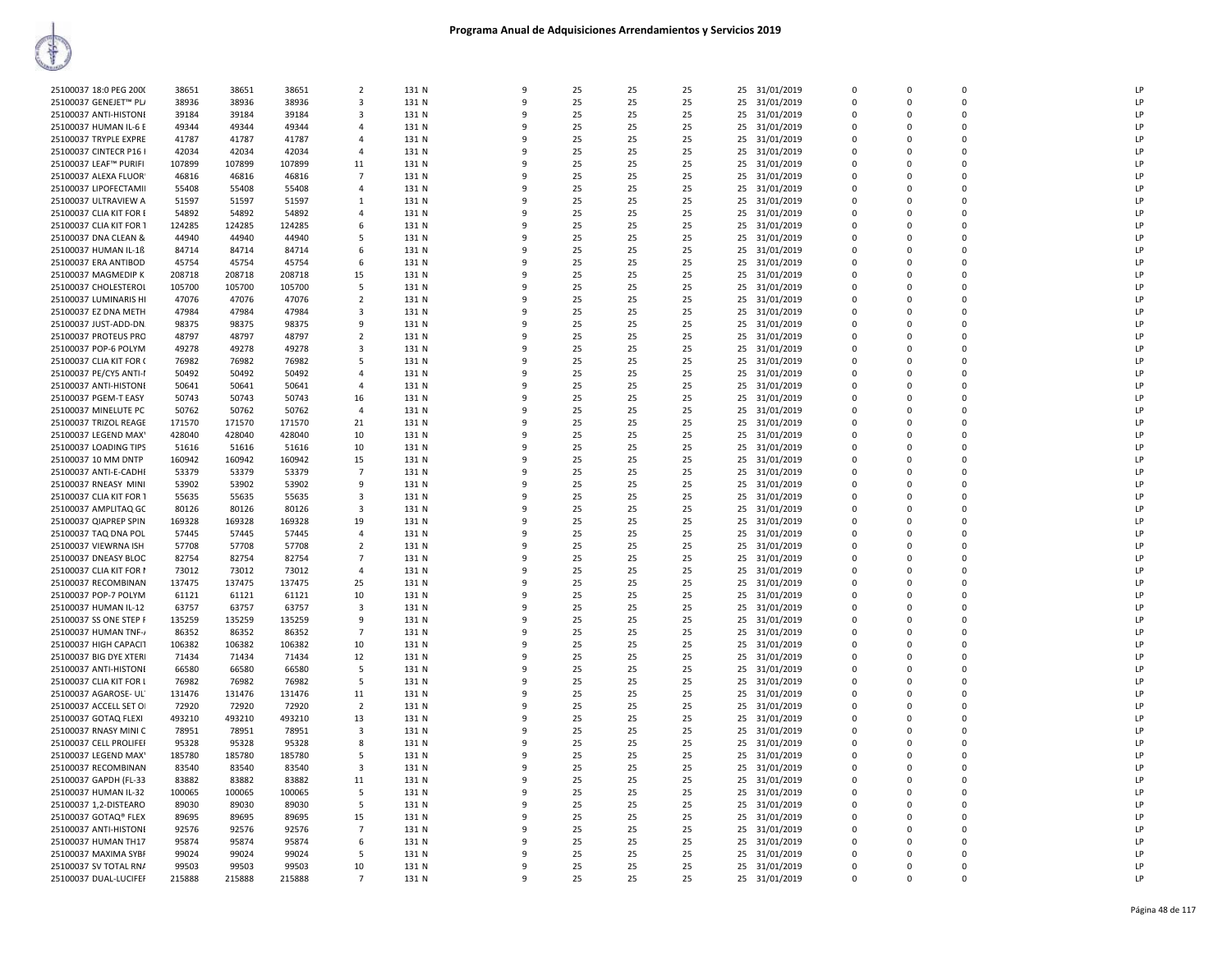| 25100037 18:0 PEG 2000  | 38651  | 38651  | 38651  | $\overline{2}$ | 131 N | $\mathbf{q}$ | 25 | 25 | 25 | 25 | 31/01/2019    | $\Omega$     | $\Omega$ | $\mathbf 0$ | LP |
|-------------------------|--------|--------|--------|----------------|-------|--------------|----|----|----|----|---------------|--------------|----------|-------------|----|
| 25100037 GENEJET™ PL/   | 38936  | 38936  | 38936  | 3              | 131 N | $\mathbf{q}$ | 25 | 25 | 25 | 25 | 31/01/2019    | $\Omega$     | $\Omega$ | $\Omega$    | LP |
|                         |        |        |        |                |       |              |    |    |    |    |               |              |          |             |    |
| 25100037 ANTI-HISTONI   | 39184  | 39184  | 39184  | 3              | 131 N | ٩            | 25 | 25 | 25 | 25 | 31/01/2019    | $\Omega$     | $\Omega$ | $\Omega$    | LP |
| 25100037 HUMAN IL-6 E   | 49344  | 49344  | 49344  | $\mathbf{A}$   | 131 N | ٩            | 25 | 25 | 25 | 25 | 31/01/2019    | $\Omega$     | $\Omega$ | $\Omega$    | LP |
|                         |        |        |        |                |       |              |    |    |    |    |               |              |          |             | LP |
| 25100037 TRYPLE EXPRE   | 41787  | 41787  | 41787  | $\overline{a}$ | 131 N |              | 25 | 25 | 25 | 25 | 31/01/2019    | $\Omega$     | $\Omega$ | $\mathbf 0$ |    |
| 25100037 CINTECR P16 I  | 42034  | 42034  | 42034  | $\overline{4}$ | 131 N | $\mathbf{q}$ | 25 | 25 | 25 | 25 | 31/01/2019    | $\Omega$     | $\Omega$ | $\Omega$    | LP |
| 25100037 LEAF™ PURIFI   | 107899 | 107899 | 107899 | 11             | 131 N |              | 25 | 25 | 25 | 25 | 31/01/2019    | $\mathbf{0}$ | 0        | 0           | LP |
|                         |        |        |        |                |       |              |    |    |    |    |               |              |          |             |    |
| 25100037 ALEXA FLUOR    | 46816  | 46816  | 46816  | $\overline{7}$ | 131 N | $\alpha$     | 25 | 25 | 25 | 25 | 31/01/2019    | $\mathbf{0}$ | $\Omega$ | $\mathbf 0$ | LP |
| 25100037 LIPOFECTAMII   | 55408  | 55408  | 55408  | $\overline{4}$ | 131 N | $\mathbf{q}$ | 25 | 25 | 25 | 25 | 31/01/2019    | $\mathbf 0$  | $\Omega$ | $\mathbf 0$ | LP |
|                         |        |        |        |                |       |              |    |    |    |    |               |              |          |             |    |
| 25100037 ULTRAVIEW A    | 51597  | 51597  | 51597  | 1              | 131 N | ۰Q           | 25 | 25 | 25 | 25 | 31/01/2019    | $\Omega$     | $\Omega$ | $\Omega$    | LP |
| 25100037 CLIA KIT FOR E | 54892  | 54892  | 54892  | $\mathbf{a}$   | 131 N |              | 25 | 25 | 25 | 25 | 31/01/2019    | $\Omega$     | $\Omega$ | $\Omega$    | IP |
|                         |        |        |        |                |       |              |    |    |    |    |               |              |          |             |    |
| 25100037 CLIA KIT FOR 1 | 124285 | 124285 | 124285 | 6              | 131 N |              | 25 | 25 | 25 | 25 | 31/01/2019    | $\Omega$     | $\Omega$ | 0           | LP |
| 25100037 DNA CLEAN &    | 44940  | 44940  | 44940  | -5             | 131 N |              | 25 | 25 | 25 | 25 | 31/01/2019    | $\Omega$     | $\Omega$ | $\Omega$    | LP |
| 25100037 HUMAN IL-1ß    | 84714  | 84714  | 84714  | 6              | 131 N |              | 25 | 25 | 25 | 25 | 31/01/2019    | $\Omega$     | $\Omega$ | $\mathbf 0$ | LP |
|                         |        |        |        |                |       |              |    |    |    |    |               |              |          |             |    |
| 25100037 ERA ANTIBOD    | 45754  | 45754  | 45754  | -6             | 131 N | q            | 25 | 25 | 25 | 25 | 31/01/2019    | $\Omega$     | $\Omega$ | $\Omega$    | LP |
| 25100037 MAGMEDIP K     | 208718 | 208718 | 208718 | 15             | 131 N | 9            | 25 | 25 | 25 | 25 | 31/01/2019    | $\mathbf{0}$ | 0        | 0           | LP |
|                         |        |        |        |                |       |              |    |    |    |    |               |              |          |             |    |
| 25100037 CHOLESTEROL    | 105700 | 105700 | 105700 | 5              | 131 N | ۰Q           | 25 | 25 | 25 | 25 | 31/01/2019    | $\Omega$     | $\Omega$ | $\Omega$    | LP |
| 25100037 LUMINARIS HI   | 47076  | 47076  | 47076  | $\overline{2}$ | 131 N |              | 25 | 25 | 25 | 25 | 31/01/2019    | $\Omega$     | $\Omega$ | $\mathbf 0$ | LP |
|                         |        |        |        |                |       |              |    |    |    |    |               | $\Omega$     | $\Omega$ |             | IP |
| 25100037 EZ DNA METH    | 47984  | 47984  | 47984  | 3              | 131 N |              | 25 | 25 | 25 | 25 | 31/01/2019    |              |          | 0           |    |
| 25100037 JUST-ADD-DN.   | 98375  | 98375  | 98375  | 9              | 131 N | $\mathbf{q}$ | 25 | 25 | 25 | 25 | 31/01/2019    | $\Omega$     | $\Omega$ | $\Omega$    | LP |
| 25100037 PROTEUS PRO    | 48797  | 48797  | 48797  | $\overline{2}$ | 131 N |              | 25 | 25 | 25 | 25 | 31/01/2019    | $\Omega$     | $\Omega$ | $\Omega$    | LP |
|                         |        |        |        |                |       |              |    |    |    |    |               |              |          |             |    |
| 25100037 POP-6 POLYM    | 49278  | 49278  | 49278  | 3              | 131 N | ٩            | 25 | 25 | 25 | 25 | 31/01/2019    | $\Omega$     | $\Omega$ | $\Omega$    | LP |
| 25100037 CLIA KIT FOR ( | 76982  | 76982  | 76982  | 5              | 131 N | 9            | 25 | 25 | 25 | 25 | 31/01/2019    | $\mathbf 0$  | $\Omega$ | $\mathbf 0$ | LP |
|                         |        |        |        |                |       |              |    |    |    |    |               |              |          | $\Omega$    |    |
| 25100037 PE/CY5 ANTI-I  | 50492  | 50492  | 50492  | 4              | 131 N | $\mathbf{q}$ | 25 | 25 | 25 | 25 | 31/01/2019    | $\Omega$     | $\Omega$ |             | LP |
| 25100037 ANTI-HISTONI   | 50641  | 50641  | 50641  | $\overline{4}$ | 131 N |              | 25 | 25 | 25 | 25 | 31/01/2019    | $\Omega$     | $\Omega$ | $\mathbf 0$ | LP |
|                         |        |        |        |                |       |              |    |    |    |    |               | $\Omega$     | $\Omega$ | $\mathbf 0$ | LP |
| 25100037 PGEM-T EASY    | 50743  | 50743  | 50743  | 16             | 131 N |              | 25 | 25 | 25 | 25 | 31/01/2019    |              |          |             |    |
| 25100037 MINELUTE PC    | 50762  | 50762  | 50762  | $\overline{a}$ | 131 N | $\mathbf{q}$ | 25 | 25 | 25 | 25 | 31/01/2019    | $\Omega$     | $\Omega$ | $\mathbf 0$ | LP |
| 25100037 TRIZOL REAGE   | 171570 | 171570 | 171570 | 21             | 131 N |              | 25 | 25 | 25 | 25 | 31/01/2019    | $\Omega$     | $\Omega$ | $\Omega$    | LP |
|                         |        |        |        |                |       |              |    |    |    |    |               |              |          |             |    |
| 25100037 LEGEND MAX'    | 428040 | 428040 | 428040 | 10             | 131 N | ٩            | 25 | 25 | 25 | 25 | 31/01/2019    | $\Omega$     | $\Omega$ | $\Omega$    | LP |
| 25100037 LOADING TIPS   | 51616  | 51616  | 51616  | 10             | 131 N | 9            | 25 | 25 | 25 | 25 | 31/01/2019    | $\mathbf{0}$ | $\Omega$ | 0           | LP |
| 25100037 10 MM DNTP     | 160942 | 160942 | 160942 | 15             | 131 N | ٩            | 25 | 25 | 25 | 25 | 31/01/2019    | $\Omega$     | $\Omega$ | $\Omega$    | LP |
|                         |        |        |        |                |       |              |    |    |    |    |               |              |          |             |    |
| 25100037 ANTI-E-CADHI   | 53379  | 53379  | 53379  | $\overline{7}$ | 131 N |              | 25 | 25 | 25 | 25 | 31/01/2019    | $\Omega$     | $\Omega$ | $\mathbf 0$ | LP |
| 25100037 RNEASY MINI    | 53902  | 53902  | 53902  | 9              | 131 N |              | 25 | 25 | 25 | 25 | 31/01/2019    | $\Omega$     | $\Omega$ | $\mathbf 0$ | LP |
|                         |        |        |        |                |       |              |    |    |    |    |               | $\Omega$     |          |             | LP |
| 25100037 CLIA KIT FOR 1 | 55635  | 55635  | 55635  | 3              | 131 N | 9            | 25 | 25 | 25 | 25 | 31/01/2019    |              | $\Omega$ | $\mathbf 0$ |    |
| 25100037 AMPLITAQ GC    | 80126  | 80126  | 80126  | 3              | 131 N | ۰Q           | 25 | 25 | 25 | 25 | 31/01/2019    | $\Omega$     | $\Omega$ | $\mathbf 0$ | LP |
| 25100037 QIAPREP SPIN   | 169328 | 169328 | 169328 | 19             | 131 N | $\mathbf{q}$ | 25 | 25 | 25 | 25 | 31/01/2019    | $\mathbf{0}$ | $\Omega$ | 0           | LP |
|                         |        |        |        |                |       |              |    |    |    |    |               |              |          |             |    |
| 25100037 TAQ DNA POL    | 57445  | 57445  | 57445  | 4              | 131 N | ٩            | 25 | 25 | 25 | 25 | 31/01/2019    | $\Omega$     | $\Omega$ | $\Omega$    | LP |
| 25100037 VIEWRNA ISH    | 57708  | 57708  | 57708  | $\overline{2}$ | 131 N | $\mathbf{q}$ | 25 | 25 | 25 | 25 | 31/01/2019    | $\Omega$     | $\Omega$ | $\Omega$    | LP |
| 25100037 DNEASY BLOC    | 82754  | 82754  | 82754  | 7              | 131 N |              | 25 | 25 | 25 | 25 | 31/01/2019    | $\Omega$     | $\Omega$ | $\Omega$    | LP |
| 25100037 CLIA KIT FOR I | 73012  | 73012  | 73012  |                | 131 N |              | 25 | 25 | 25 |    |               | $\Omega$     |          | $\Omega$    | LP |
|                         |        |        |        | 4              |       |              |    |    |    | 25 | 31/01/2019    |              | $\Omega$ |             |    |
| 25100037 RECOMBINAN     | 137475 | 137475 | 137475 | 25             | 131 N |              | 25 | 25 | 25 | 25 | 31/01/2019    | $\Omega$     | $\Omega$ | $\mathbf 0$ | LP |
| 25100037 POP-7 POLYM    | 61121  | 61121  | 61121  | 10             | 131 N | ٩            | 25 | 25 | 25 | 25 | 31/01/2019    | $\Omega$     | $\Omega$ | $\Omega$    | LP |
|                         |        |        |        |                |       |              |    |    |    |    |               |              |          |             |    |
| 25100037 HUMAN IL-12    | 63757  | 63757  | 63757  | 3              | 131 N | 9            | 25 | 25 | 25 | 25 | 31/01/2019    | $\Omega$     | $\Omega$ | $\mathbf 0$ | LP |
| 25100037 SS ONE STEP F  | 135259 | 135259 | 135259 | 9              | 131 N | ٩            | 25 | 25 | 25 | 25 | 31/01/2019    | $\mathbf{0}$ | $\Omega$ | $\mathbf 0$ | LP |
| 25100037 HUMAN TNF-     | 86352  | 86352  | 86352  | $\overline{7}$ | 131 N | $\mathbf{q}$ | 25 | 25 | 25 | 25 | 31/01/2019    | $\Omega$     | $\Omega$ | $\Omega$    | LP |
|                         |        |        |        |                |       |              |    |    |    |    |               |              |          |             |    |
| 25100037 HIGH CAPACIT   | 106382 | 106382 | 106382 | 10             | 131 N | ۰Q           | 25 | 25 | 25 | 25 | 31/01/2019    | $\Omega$     | $\Omega$ | $\Omega$    | LP |
| 25100037 BIG DYE XTERI  | 71434  | 71434  | 71434  | 12             | 131 N |              | 25 | 25 | 25 | 25 | 31/01/2019    | $\Omega$     | $\Omega$ | $\Omega$    | LP |
|                         |        |        |        |                |       |              |    |    |    |    |               |              |          |             |    |
| 25100037 ANTI-HISTONI   | 66580  | 66580  | 66580  | 5              | 131 N |              | 25 | 25 | 25 | 25 | 31/01/2019    | $\Omega$     | $\Omega$ | 0           | LP |
| 25100037 CLIA KIT FOR L | 76982  | 76982  | 76982  | 5              | 131 N | ٩            | 25 | 25 | 25 | 25 | 31/01/2019    | $\Omega$     | $\Omega$ | $\Omega$    | LP |
| 25100037 AGAROSE- UL'   | 131476 | 131476 | 131476 | 11             | 131 N |              | 25 | 25 | 25 | 25 | 31/01/2019    | $\Omega$     | $\Omega$ | $\Omega$    | LP |
|                         |        |        |        |                |       |              |    |    |    |    |               |              |          |             |    |
| 25100037 ACCELL SET OI  | 72920  | 72920  | 72920  | $\overline{2}$ | 131 N | 9            | 25 | 25 | 25 | 25 | 31/01/2019    | $\mathbf{0}$ | $\Omega$ | $\mathbf 0$ | LP |
| 25100037 GOTAQ FLEXI    | 493210 | 493210 | 493210 | 13             | 131 N | 9            | 25 | 25 | 25 | 25 | 31/01/2019    | $\mathbf 0$  | $\Omega$ | $\mathbf 0$ | LP |
|                         |        |        |        |                |       |              |    |    |    |    |               |              |          |             |    |
| 25100037 RNASY MINI C   | 78951  | 78951  | 78951  | 3              | 131 N | ٠Q           | 25 | 25 | 25 | 25 | 31/01/2019    | $\Omega$     | $\Omega$ | $\mathbf 0$ | LP |
| 25100037 CELL PROLIFEI  | 95328  | 95328  | 95328  | 8              | 131 N |              | 25 | 25 | 25 | 25 | 31/01/2019    | $\Omega$     | $\Omega$ | $\Omega$    | IP |
| 25100037 LEGEND MAX'    | 185780 | 185780 | 185780 | 5              | 131 N |              | 25 | 25 | 25 | 25 | 31/01/2019    | $\Omega$     | $\Omega$ | 0           | LP |
|                         |        |        |        |                |       |              |    |    |    |    |               |              |          |             |    |
| 25100037 RECOMBINAN     | 83540  | 83540  | 83540  | $\mathbf{3}$   | 131 N | $\mathbf{q}$ | 25 | 25 | 25 | 25 | 31/01/2019    | $\Omega$     | $\Omega$ | $\Omega$    | LP |
| 25100037 GAPDH (FL-33   | 83882  | 83882  | 83882  | 11             | 131 N | 9            | 25 | 25 | 25 | 25 | 31/01/2019    | $\Omega$     | $\Omega$ | $\Omega$    | LP |
|                         | 100065 | 100065 |        |                | 131 N | 9            |    | 25 |    |    | 31/01/2019    | $\Omega$     | $\Omega$ | $\mathbf 0$ | LP |
| 25100037 HUMAN IL-32    |        |        | 100065 | 5              |       |              | 25 |    | 25 | 25 |               |              |          |             |    |
| 25100037 1,2-DISTEARO   | 89030  | 89030  | 89030  | 5              | 131 N | 9            | 25 | 25 | 25 | 25 | 31/01/2019    | $\Omega$     | $\Omega$ | $\Omega$    | LP |
| 25100037 GOTAQ® FLEX    | 89695  | 89695  | 89695  | 15             | 131 N | q            | 25 | 25 | 25 | 25 | 31/01/2019    | $\Omega$     | $\Omega$ | $\Omega$    | LP |
|                         |        |        |        |                |       |              |    |    |    |    |               | $\Omega$     |          |             | LP |
| 25100037 ANTI-HISTONI   | 92576  | 92576  | 92576  | $\overline{7}$ | 131 N |              | 25 | 25 | 25 | 25 | 31/01/2019    |              | $\Omega$ | $\mathbf 0$ |    |
| 25100037 HUMAN TH17     | 95874  | 95874  | 95874  | 6              | 131 N |              | 25 | 25 | 25 | 25 | 31/01/2019    | $\Omega$     | $\Omega$ | 0           | IP |
| 25100037 MAXIMA SYBF    | 99024  | 99024  | 99024  | 5              | 131 N | $\mathbf{q}$ | 25 | 25 | 25 | 25 | 31/01/2019    | $\Omega$     | $\Omega$ | $\Omega$    | LP |
|                         |        |        |        |                |       |              | 25 |    |    |    |               | $\Omega$     | $\Omega$ | $\Omega$    | LP |
| 25100037 SV TOTAL RNA   | 99503  | 99503  | 99503  | 10             | 131 N |              |    | 25 | 25 | 25 | 31/01/2019    |              |          |             |    |
|                         | 215888 | 215888 | 215888 | $\overline{7}$ | 131 N | $\mathbf{q}$ | 25 | 25 | 25 |    | 25 31/01/2019 | $\Omega$     | $\Omega$ | $\Omega$    | LP |
| 25100037 DUAL-LUCIFEF   |        |        |        |                |       |              |    |    |    |    |               |              |          |             |    |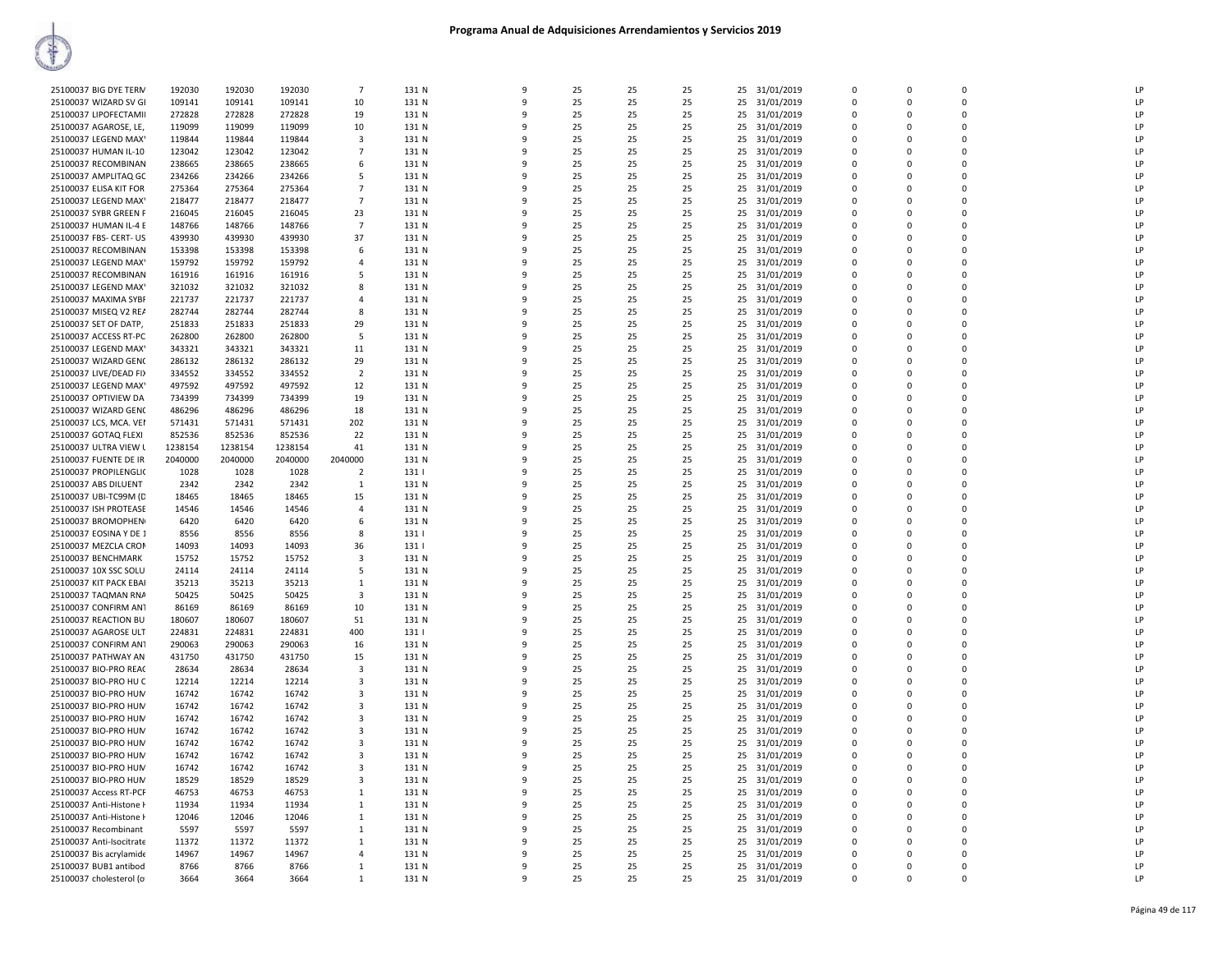| 25100037 BIG DYE TERN    | 192030  | 192030  | 192030  | $\overline{7}$ | 131 N | $\mathbf{q}$ | 25 | 25 | 25 | 31/01/2019<br>25 | $\Omega$     | $\Omega$    | $\Omega$    | LP             |
|--------------------------|---------|---------|---------|----------------|-------|--------------|----|----|----|------------------|--------------|-------------|-------------|----------------|
| 25100037 WIZARD SV GI    | 109141  | 109141  | 109141  | 10             | 131 N | 9            | 25 | 25 | 25 | 25<br>31/01/2019 | $\Omega$     | $\Omega$    | 0           | LP             |
| 25100037 LIPOFECTAMII    | 272828  | 272828  | 272828  | 19             | 131 N | $\mathsf{q}$ | 25 | 25 | 25 | 25<br>31/01/2019 | $\Omega$     | $\Omega$    | $\Omega$    | LP             |
| 25100037 AGAROSE, LE,    | 119099  | 119099  | 119099  | 10             | 131 N |              | 25 | 25 | 25 | 25<br>31/01/2019 | $\Omega$     | $\Omega$    | 0           | LP             |
| 25100037 LEGEND MAX'     | 119844  | 119844  | 119844  | 3              | 131 N |              | 25 | 25 | 25 | 25<br>31/01/2019 | $\Omega$     | $\Omega$    | $\mathbf 0$ | LP             |
| 25100037 HUMAN IL-10     | 123042  | 123042  | 123042  | $\overline{7}$ | 131 N |              | 25 | 25 | 25 | 25<br>31/01/2019 | $\Omega$     | $\Omega$    | $\Omega$    | LP             |
|                          |         |         |         |                |       |              | 25 |    |    |                  | $\Omega$     | $\Omega$    | $\Omega$    | LP             |
| 25100037 RECOMBINAN      | 238665  | 238665  | 238665  | -6             | 131 N |              |    | 25 | 25 | 25<br>31/01/2019 |              |             |             |                |
| 25100037 AMPLITAQ GC     | 234266  | 234266  | 234266  | .5             | 131 N | $\mathbf{q}$ | 25 | 25 | 25 | 25<br>31/01/2019 | $\Omega$     | $\Omega$    | $\Omega$    | LP             |
| 25100037 ELISA KIT FOR   | 275364  | 275364  | 275364  | 7              | 131 N | 9            | 25 | 25 | 25 | 25<br>31/01/2019 | $\Omega$     | $\Omega$    | 0           | LP             |
| 25100037 LEGEND MAX'     | 218477  | 218477  | 218477  | $\overline{7}$ | 131 N | ٩            | 25 | 25 | 25 | 31/01/2019<br>25 | $\Omega$     | $\Omega$    | $\Omega$    | LP             |
| 25100037 SYBR GREEN F    | 216045  | 216045  | 216045  | 23             | 131 N |              | 25 | 25 | 25 | 25<br>31/01/2019 | $\Omega$     | $\Omega$    | $\mathbf 0$ | LP             |
| 25100037 HUMAN IL-4 E    | 148766  | 148766  | 148766  | $\overline{7}$ | 131 N |              | 25 | 25 | 25 | 31/01/2019<br>25 | $\Omega$     | $\Omega$    | $\mathbf 0$ | LP             |
| 25100037 FBS- CERT- US   | 439930  | 439930  | 439930  | 37             | 131 N |              | 25 | 25 | 25 | 25<br>31/01/2019 | $\Omega$     |             | $\Omega$    | LP             |
| 25100037 RECOMBINAN      | 153398  | 153398  | 153398  | -6             | 131 N |              | 25 | 25 | 25 | 31/01/2019<br>25 | $\Omega$     | $\Omega$    | $\Omega$    | I <sub>P</sub> |
| 25100037 LEGEND MAX'     | 159792  | 159792  | 159792  | $\overline{4}$ | 131 N |              | 25 | 25 | 25 | 25<br>31/01/2019 | $\Omega$     | $\Omega$    | $\Omega$    | LP             |
| 25100037 RECOMBINAN      | 161916  | 161916  | 161916  | -5             | 131 N | ٩            | 25 | 25 | 25 | 31/01/2019<br>25 | $\Omega$     | $\Omega$    | 0           | LP             |
| 25100037 LEGEND MAX'     | 321032  | 321032  | 321032  | 8              | 131 N | ٩            | 25 | 25 | 25 | 25<br>31/01/2019 | $\Omega$     | $\Omega$    | $\Omega$    | LP             |
| 25100037 MAXIMA SYBF     | 221737  | 221737  | 221737  | $\overline{4}$ | 131 N |              | 25 | 25 | 25 | 25<br>31/01/2019 | $\Omega$     | $\Omega$    | $\mathbf 0$ | LP             |
| 25100037 MISEQ V2 REA    | 282744  | 282744  | 282744  | 8              | 131 N |              | 25 | 25 | 25 | 25<br>31/01/2019 | $\Omega$     | $\Omega$    | $\mathbf 0$ | LP             |
| 25100037 SET OF DATP,    | 251833  | 251833  | 251833  | 29             | 131 N |              | 25 | 25 | 25 | 25<br>31/01/2019 | $\mathbf{0}$ | $\mathbf 0$ | 0           | LP             |
| 25100037 ACCESS RT-PC    | 262800  | 262800  | 262800  | -5             | 131 N | ۰Q           | 25 | 25 | 25 | 25<br>31/01/2019 | $\Omega$     | $\Omega$    | $\Omega$    | LP             |
| 25100037 LEGEND MAX'     | 343321  | 343321  |         | 11             | 131 N |              | 25 | 25 | 25 | 31/01/2019       | $\Omega$     | $\Omega$    | $\Omega$    | LP             |
|                          |         |         | 343321  |                |       |              |    |    |    | 25               |              |             |             |                |
| 25100037 WIZARD GEN(     | 286132  | 286132  | 286132  | 29             | 131 N | ٩            | 25 | 25 | 25 | 31/01/2019<br>25 | $\Omega$     | $\Omega$    | $\mathbf 0$ | LP             |
| 25100037 LIVE/DEAD FI)   | 334552  | 334552  | 334552  | $\overline{2}$ | 131 N | -9           | 25 | 25 | 25 | 25<br>31/01/2019 | $\Omega$     | $\Omega$    | $\Omega$    | LP             |
| 25100037 LEGEND MAX'     | 497592  | 497592  | 497592  | 12             | 131 N |              | 25 | 25 | 25 | 25<br>31/01/2019 | $\Omega$     | $\Omega$    | $\mathbf 0$ | LP             |
| 25100037 OPTIVIEW DA     | 734399  | 734399  | 734399  | 19             | 131 N |              | 25 | 25 | 25 | 25<br>31/01/2019 | $\Omega$     | $\Omega$    | 0           | LP             |
| 25100037 WIZARD GEN(     | 486296  | 486296  | 486296  | 18             | 131 N |              | 25 | 25 | 25 | 25<br>31/01/2019 | $\mathbf{0}$ | $\Omega$    | $\mathbf 0$ | LP             |
| 25100037 LCS, MCA. VEI   | 571431  | 571431  | 571431  | 202            | 131 N |              | 25 | 25 | 25 | 25<br>31/01/2019 | $\Omega$     | $\Omega$    | $\Omega$    | LP             |
| 25100037 GOTAQ FLEXI     | 852536  | 852536  | 852536  | 22             | 131 N |              | 25 | 25 | 25 | 31/01/2019<br>25 | $\Omega$     | $\Omega$    | $\Omega$    | LP             |
| 25100037 ULTRA VIEW I    | 1238154 | 1238154 | 1238154 | 41             | 131 N | ٩            | 25 | 25 | 25 | 31/01/2019<br>25 | $\Omega$     | $\Omega$    | $\mathbf 0$ | LP             |
| 25100037 FUENTE DE IR    | 2040000 | 2040000 | 2040000 | 2040000        | 131 N | -9           | 25 | 25 | 25 | 25<br>31/01/2019 | $\Omega$     | $\Omega$    | $\Omega$    | LP             |
| 25100037 PROPILENGLI(    | 1028    | 1028    | 1028    | $\overline{2}$ | 131   | ٩            | 25 | 25 | 25 | 25<br>31/01/2019 | $\Omega$     | $\Omega$    | $\Omega$    | LP             |
| 25100037 ABS DILUENT     | 2342    | 2342    | 2342    | $\mathbf{1}$   | 131 N |              | 25 | 25 | 25 | 31/01/2019<br>25 | $\Omega$     | $\Omega$    | $\Omega$    | LP             |
| 25100037 UBI-TC99M (D    | 18465   | 18465   | 18465   | 15             | 131 N |              | 25 | 25 | 25 | 25<br>31/01/2019 | $\mathbf{0}$ | $\Omega$    | $\mathbf 0$ | LP             |
| 25100037 ISH PROTEASE    | 14546   | 14546   | 14546   | $\mathbf{A}$   | 131 N |              | 25 | 25 | 25 | 25<br>31/01/2019 | $\Omega$     | $\Omega$    | $\Omega$    | LP             |
| 25100037 BROMOPHEN       |         | 6420    | 6420    | -6             | 131 N |              | 25 | 25 |    | 31/01/2019       | $\Omega$     | $\Omega$    | $\Omega$    | LP             |
|                          | 6420    | 8556    |         |                |       | ٩            |    |    | 25 | 25<br>31/01/2019 | $\Omega$     | $\Omega$    | $\mathbf 0$ | LP             |
| 25100037 EOSINA Y DE 1   | 8556    |         | 8556    | 8              | 131   |              | 25 | 25 | 25 | 25               |              |             |             |                |
| 25100037 MEZCLA CRON     |         |         |         |                |       |              |    |    |    |                  |              |             |             | LP             |
|                          | 14093   | 14093   | 14093   | 36             | 131   | -9           | 25 | 25 | 25 | 25<br>31/01/2019 | $\Omega$     | $\Omega$    | $\Omega$    |                |
| 25100037 BENCHMARK       | 15752   | 15752   | 15752   | 3              | 131 N |              | 25 | 25 | 25 | 31/01/2019<br>25 | $\Omega$     | $\Omega$    | $\Omega$    | LP             |
| 25100037 10X SSC SOLU    | 24114   | 24114   | 24114   | 5              | 131 N |              | 25 | 25 | 25 | 25<br>31/01/2019 | $\Omega$     | $\Omega$    | $\mathbf 0$ | LP             |
| 25100037 KIT PACK EBAI   | 35213   | 35213   | 35213   | 1              | 131 N |              | 25 | 25 | 25 | 25<br>31/01/2019 | $\Omega$     | $\Omega$    | $\pmb{0}$   | LP             |
| 25100037 TAQMAN RNA      | 50425   | 50425   | 50425   | 3              | 131 N | ۰Q           | 25 | 25 | 25 | 25<br>31/01/2019 | $\Omega$     | $\Omega$    | $\Omega$    | LP             |
| 25100037 CONFIRM ANT     | 86169   | 86169   | 86169   | 10             | 131 N |              | 25 | 25 | 25 | 25<br>31/01/2019 | $\Omega$     | $\Omega$    | $\Omega$    | LP             |
| 25100037 REACTION BU     | 180607  | 180607  | 180607  | 51             | 131 N | ٩            | 25 | 25 | 25 | 31/01/2019<br>25 | $\Omega$     | $\Omega$    | 0           | I <sub>P</sub> |
| 25100037 AGAROSE ULT     | 224831  | 224831  | 224831  | 400            | 131   | -9           | 25 | 25 | 25 | 25<br>31/01/2019 | $\Omega$     | $\Omega$    | $\Omega$    | LP             |
| 25100037 CONFIRM ANT     | 290063  | 290063  | 290063  | 16             | 131 N |              | 25 | 25 | 25 | 31/01/2019<br>25 | $\Omega$     | $\Omega$    | $\Omega$    | LP             |
| 25100037 PATHWAY AN      | 431750  | 431750  | 431750  | 15             | 131 N |              | 25 | 25 | 25 | 25<br>31/01/2019 | $\Omega$     | $\Omega$    | $\mathbf 0$ | LP             |
| 25100037 BIO-PRO REAC    | 28634   | 28634   | 28634   | 3              | 131 N |              | 25 | 25 | 25 | 25<br>31/01/2019 | $\Omega$     | $\Omega$    | $\mathbf 0$ | LP             |
| 25100037 BIO-PRO HU C    | 12214   | 12214   | 12214   | 3              | 131 N | $\mathbf{q}$ | 25 | 25 | 25 | 25               | $\Omega$     | $\Omega$    | $\Omega$    | LP             |
|                          |         |         |         | 3              |       |              |    |    |    | 31/01/2019       | $\Omega$     | $\Omega$    | $\Omega$    |                |
| 25100037 BIO-PRO HUN     | 16742   | 16742   | 16742   |                | 131 N | ٩            | 25 | 25 | 25 | 25<br>31/01/2019 | $\Omega$     | $\Omega$    |             | LP             |
| 25100037 BIO-PRO HUN     | 16742   | 16742   | 16742   | 3              | 131 N |              | 25 | 25 | 25 | 31/01/2019<br>25 |              |             | $\mathbf 0$ | LP             |
| 25100037 BIO-PRO HUN     | 16742   | 16742   | 16742   | 3              | 131 N | -9           | 25 | 25 | 25 | 25<br>31/01/2019 | $\Omega$     | $\Omega$    | $\Omega$    | LP             |
| 25100037 BIO-PRO HUN     | 16742   | 16742   | 16742   | 3              | 131 N | ٩            | 25 | 25 | 25 | 25<br>31/01/2019 | $\Omega$     | $\Omega$    | $\Omega$    | LP             |
| 25100037 BIO-PRO HUN     | 16742   | 16742   | 16742   | 3              | 131 N |              | 25 | 25 | 25 | 25<br>31/01/2019 | $\Omega$     | $\Omega$    | $\mathbf 0$ | LP             |
| 25100037 BIO-PRO HUN     | 16742   | 16742   | 16742   | 3              | 131 N |              | 25 | 25 | 25 | 25<br>31/01/2019 | $\Omega$     | $\Omega$    | $\mathbf 0$ | LP             |
| 25100037 BIO-PRO HUN     | 16742   | 16742   | 16742   | 3              | 131 N | $\mathbf{q}$ | 25 | 25 | 25 | 25<br>31/01/2019 | $\Omega$     | $\Omega$    | $\Omega$    | LP             |
| 25100037 BIO-PRO HUN     | 18529   | 18529   | 18529   | 3              | 131 N | ٩            | 25 | 25 | 25 | 25<br>31/01/2019 | $\Omega$     | $\Omega$    | $\Omega$    | LP             |
| 25100037 Access RT-PCF   | 46753   | 46753   | 46753   | 1              | 131 N | ٩            | 25 | 25 | 25 | 31/01/2019<br>25 | $\Omega$     | $\Omega$    | $\Omega$    | LP             |
| 25100037 Anti-Histone I  | 11934   | 11934   | 11934   | 1              | 131 N | 9            | 25 | 25 | 25 | 25<br>31/01/2019 | $\Omega$     | $\Omega$    | $\Omega$    | LP             |
| 25100037 Anti-Histone H  | 12046   | 12046   | 12046   | 1              | 131 N | ٩            | 25 | 25 | 25 | 25<br>31/01/2019 | $\Omega$     | $\Omega$    | $\Omega$    | LP             |
| 25100037 Recombinant     | 5597    | 5597    | 5597    | $\mathbf{1}$   | 131 N |              | 25 | 25 | 25 | 25<br>31/01/2019 | $\Omega$     | $\Omega$    | $\mathbf 0$ | LP             |
| 25100037 Anti-Isocitrate | 11372   | 11372   | 11372   | 1              | 131 N |              | 25 | 25 | 25 | 31/01/2019<br>25 | $\Omega$     | $\Omega$    | 0           | LP             |
| 25100037 Bis acrylamide  | 14967   | 14967   | 14967   | $\Delta$       | 131 N | $\mathbf{q}$ | 25 | 25 | 25 | 25<br>31/01/2019 | $\Omega$     | $\Omega$    | $\Omega$    | LP             |
| 25100037 BUB1 antibod    | 8766    | 8766    | 8766    | 1              | 131 N |              | 25 | 25 | 25 | 25<br>31/01/2019 | $\Omega$     | $\Omega$    | $\Omega$    | LP             |
| 25100037 cholesterol (o  | 3664    | 3664    | 3664    | $\mathbf{1}$   | 131 N | $\mathbf{q}$ | 25 | 25 | 25 | 25 31/01/2019    | $\Omega$     | $\Omega$    | $\Omega$    | LP             |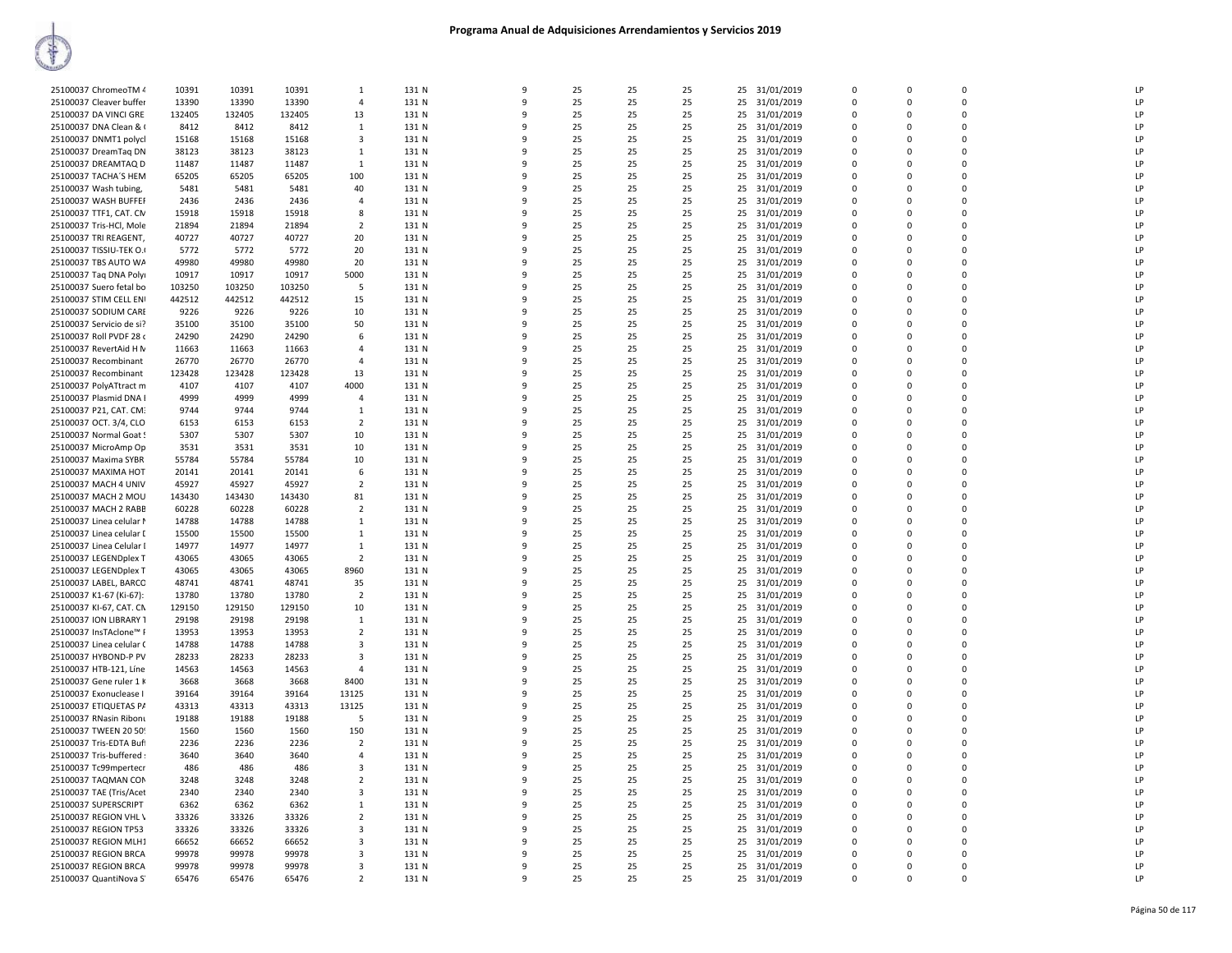| 25100037 ChromeoTM 4     | 10391  | 10391  | 10391  | $\mathbf{1}$            | 131 N | 9  | 25 | 25 | 25 | 25<br>31/01/2019 | $\mathbf 0$ | $\mathbf 0$ | 0        | LP |
|--------------------------|--------|--------|--------|-------------------------|-------|----|----|----|----|------------------|-------------|-------------|----------|----|
| 25100037 Cleaver buffer  | 13390  | 13390  | 13390  | $\Delta$                | 131 N | q  | 25 | 25 | 25 | 25 31/01/2019    | $\Omega$    | $\Omega$    | $\Omega$ | LP |
| 25100037 DA VINCI GRE    | 132405 | 132405 | 132405 | 13                      | 131 N | 9  | 25 | 25 | 25 | 25 31/01/2019    | $\mathbf 0$ | $\mathbf 0$ | 0        | LP |
| 25100037 DNA Clean & (   | 8412   | 8412   | 8412   | $\overline{1}$          | 131 N | q  | 25 | 25 | 25 | 31/01/2019<br>25 | $\Omega$    | n           | 0        | LP |
|                          | 15168  | 15168  |        | 3                       | 131 N | 9  | 25 | 25 | 25 | 25<br>31/01/2019 | $\Omega$    | $\Omega$    | $\Omega$ | LP |
| 25100037 DNMT1 polycl    |        |        | 15168  |                         |       |    |    |    |    |                  |             |             |          |    |
| 25100037 DreamTaq DN     | 38123  | 38123  | 38123  | 1                       | 131 N | q  | 25 | 25 | 25 | 31/01/2019<br>25 | $\Omega$    | n           | $\Omega$ | LP |
| 25100037 DREAMTAQ D      | 11487  | 11487  | 11487  | 1                       | 131 N | 9  | 25 | 25 | 25 | 31/01/2019<br>25 | $\Omega$    | $\Omega$    | $\Omega$ | LP |
| 25100037 TACHA'S HEM     | 65205  | 65205  | 65205  | 100                     | 131 N | 9  | 25 | 25 | 25 | 25<br>31/01/2019 | 0           | $\Omega$    | 0        | LP |
| 25100037 Wash tubing,    | 5481   | 5481   | 5481   | 40                      | 131 N | q  | 25 | 25 | 25 | 25 31/01/2019    | $\Omega$    | $\Omega$    | $\Omega$ | LP |
|                          |        |        |        | $\overline{4}$          |       |    |    |    |    |                  | $\mathbf 0$ |             | 0        | LP |
| 25100037 WASH BUFFEI     | 2436   | 2436   | 2436   |                         | 131 N | q  | 25 | 25 | 25 | 25 31/01/2019    |             | $\Omega$    |          |    |
| 25100037 TTF1, CAT. CN   | 15918  | 15918  | 15918  | 8                       | 131 N | q  | 25 | 25 | 25 | 25 31/01/2019    | $\Omega$    | $\Omega$    | $\Omega$ | LP |
| 25100037 Tris-HCl, Mole  | 21894  | 21894  | 21894  | $\overline{2}$          | 131 N | 9  | 25 | 25 | 25 | 25<br>31/01/2019 | $\mathbf 0$ | $\Omega$    | 0        | LP |
| 25100037 TRI REAGENT,    | 40727  | 40727  | 40727  | 20                      | 131 N | 9  | 25 | 25 | 25 | 25 31/01/2019    | $\Omega$    | $\Omega$    | $\Omega$ | LP |
| 25100037 TISSIU-TEK O.   | 5772   | 5772   | 5772   | 20                      | 131 N | 9  | 25 | 25 | 25 | 25<br>31/01/2019 | $\mathbf 0$ | $\mathbf 0$ | 0        | LP |
| 25100037 TBS AUTO WA     | 49980  | 49980  | 49980  | 20                      | 131 N | q  | 25 | 25 | 25 | 31/01/2019<br>25 | $\mathbf 0$ | $\Omega$    | 0        | LP |
|                          |        |        |        |                         |       |    |    |    |    |                  |             |             |          |    |
| 25100037 Taq DNA Polyi   | 10917  | 10917  | 10917  | 5000                    | 131 N | q  | 25 | 25 | 25 | 25<br>31/01/2019 | $\Omega$    | $\Omega$    | $\Omega$ | LP |
| 25100037 Suero fetal bo  | 103250 | 103250 | 103250 | 5                       | 131 N | q  | 25 | 25 | 25 | 25 31/01/2019    | $\mathbf 0$ | $\Omega$    | 0        | LP |
| 25100037 STIM CELL ENI   | 442512 | 442512 | 442512 | 15                      | 131 N | q  | 25 | 25 | 25 | 25 31/01/2019    | $\Omega$    | $\Omega$    | $\Omega$ | LP |
| 25100037 SODIUM CARE     | 9226   | 9226   | 9226   | 10                      | 131 N | q  | 25 | 25 | 25 | 25<br>31/01/2019 | 0           | n           | 0        | LP |
|                          |        |        |        | 50                      | 131 N | q  | 25 | 25 | 25 |                  | $\Omega$    | $\Omega$    | $\Omega$ | LP |
| 25100037 Servicio de si? | 35100  | 35100  | 35100  |                         |       |    |    |    |    | 25 31/01/2019    |             |             |          |    |
| 25100037 Roll PVDF 28 o  | 24290  | 24290  | 24290  | 6                       | 131 N | 9  | 25 | 25 | 25 | 25<br>31/01/2019 | 0           | $\Omega$    | 0        | LP |
| 25100037 RevertAid H N   | 11663  | 11663  | 11663  | $\overline{4}$          | 131 N | q  | 25 | 25 | 25 | 25 31/01/2019    | $\Omega$    | $\Omega$    | $\Omega$ | LP |
| 25100037 Recombinant     | 26770  | 26770  | 26770  | $\overline{4}$          | 131 N | 9  | 25 | 25 | 25 | 25<br>31/01/2019 | $\mathbf 0$ | $\Omega$    | 0        | LP |
| 25100037 Recombinant     | 123428 | 123428 | 123428 | 13                      | 131 N | 9  | 25 | 25 | 25 | 25 31/01/2019    | $\Omega$    | $\Omega$    | $\Omega$ | LP |
|                          |        |        |        |                         |       | 9  |    |    |    |                  |             | $\Omega$    |          | LP |
| 25100037 PolyATtract m   | 4107   | 4107   | 4107   | 4000                    | 131 N |    | 25 | 25 | 25 | 25 31/01/2019    | $\mathbf 0$ |             | 0        |    |
| 25100037 Plasmid DNA I   | 4999   | 4999   | 4999   | $\overline{4}$          | 131 N | 9  | 25 | 25 | 25 | 25<br>31/01/2019 | 0           | $\Omega$    | 0        | LP |
| 25100037 P21, CAT. CM    | 9744   | 9744   | 9744   | 1                       | 131 N | 9  | 25 | 25 | 25 | 25 31/01/2019    | $\mathbf 0$ | $\Omega$    | 0        | LP |
| 25100037 OCT. 3/4, CLO   | 6153   | 6153   | 6153   | $\overline{2}$          | 131 N | q  | 25 | 25 | 25 | 25<br>31/01/2019 | 0           | $\Omega$    | 0        | LP |
| 25100037 Normal Goat !   | 5307   | 5307   | 5307   | 10                      | 131 N | q  | 25 | 25 | 25 | 25 31/01/2019    | $\mathbf 0$ | $\Omega$    | 0        | LP |
|                          |        |        |        |                         |       |    |    |    |    |                  |             |             |          |    |
| 25100037 MicroAmp Op     | 3531   | 3531   | 3531   | 10                      | 131 N | q  | 25 | 25 | 25 | 25<br>31/01/2019 | 0           | $\Omega$    | 0        | LP |
| 25100037 Maxima SYBR     | 55784  | 55784  | 55784  | 10                      | 131 N | q  | 25 | 25 | 25 | 25 31/01/2019    | $\Omega$    | $\Omega$    | $\Omega$ | LP |
| 25100037 MAXIMA HOT      | 20141  | 20141  | 20141  | 6                       | 131 N | q  | 25 | 25 | 25 | 25 31/01/2019    | 0           | $\Omega$    | $\Omega$ | LP |
| 25100037 MACH 4 UNIV     | 45927  | 45927  | 45927  | $\overline{2}$          | 131 N | q  | 25 | 25 | 25 | 25 31/01/2019    | $\Omega$    | n           | 0        | LP |
| 25100037 MACH 2 MOU      | 143430 | 143430 | 143430 | 81                      | 131 N | 9  | 25 | 25 | 25 | 25<br>31/01/2019 | $\Omega$    | $\Omega$    | $\Omega$ | LP |
|                          |        |        | 60228  | $\overline{2}$          | 131 N | q  | 25 | 25 | 25 | 25               | $\Omega$    | n           | $\Omega$ | LP |
| 25100037 MACH 2 RABB     | 60228  | 60228  |        |                         |       |    |    |    |    | 31/01/2019       |             |             |          |    |
| 25100037 Linea celular M | 14788  | 14788  | 14788  | 1                       | 131 N | 9  | 25 | 25 | 25 | 25<br>31/01/2019 | 0           | $\Omega$    | 0        | LP |
| 25100037 Linea celular I | 15500  | 15500  | 15500  | -1                      | 131 N | -9 | 25 | 25 | 25 | 31/01/2019<br>25 | $\mathbf 0$ | $\Omega$    | 0        | LP |
| 25100037 Linea Celular I | 14977  | 14977  | 14977  | 1                       | 131 N | 9  | 25 | 25 | 25 | 25<br>31/01/2019 | $\mathbf 0$ | $\Omega$    | $\Omega$ | LP |
| 25100037 LEGENDplex T    | 43065  | 43065  | 43065  | $\overline{2}$          | 131 N | q  | 25 | 25 | 25 | 31/01/2019<br>25 | $\mathbf 0$ | $\Omega$    | 0        | LP |
| 25100037 LEGENDplex T    | 43065  | 43065  | 43065  | 8960                    | 131 N | 9  | 25 | 25 | 25 | 25 31/01/2019    | $\mathbf 0$ | $\Omega$    | 0        | LP |
| 25100037 LABEL, BARCC    | 48741  | 48741  | 48741  | 35                      | 131 N | q  | 25 | 25 | 25 | 25<br>31/01/2019 | 0           | $\Omega$    | 0        | LP |
|                          |        |        |        |                         |       |    |    |    |    |                  |             |             |          |    |
| 25100037 K1-67 (Ki-67):  | 13780  | 13780  | 13780  | $\overline{2}$          | 131 N | 9  | 25 | 25 | 25 | 25 31/01/2019    | $\Omega$    | $\Omega$    | $\Omega$ | LP |
| 25100037 KI-67, CAT. CN  | 129150 | 129150 | 129150 | 10                      | 131 N | 9  | 25 | 25 | 25 | 25<br>31/01/2019 | $\mathbf 0$ | $\mathbf 0$ | 0        | LP |
| 25100037 ION LIBRARY 1   | 29198  | 29198  | 29198  | $\overline{1}$          | 131 N | q  | 25 | 25 | 25 | 31/01/2019<br>25 | $\Omega$    | $\Omega$    | $\Omega$ | LP |
| 25100037 InsTAclone™ F   | 13953  | 13953  | 13953  | $\overline{2}$          | 131 N | q  | 25 | 25 | 25 | 25<br>31/01/2019 | $\Omega$    | $\Omega$    | $\Omega$ | LP |
| 25100037 Linea celular ( | 14788  | 14788  | 14788  | 3                       | 131 N | q  | 25 | 25 | 25 | 25<br>31/01/2019 | $\Omega$    | n           | $\Omega$ | LP |
|                          |        |        |        | $\overline{\mathbf{3}}$ |       | 9  | 25 |    |    |                  | $\Omega$    | $\Omega$    | $\Omega$ | LP |
| 25100037 HYBOND-P PV     | 28233  | 28233  | 28233  |                         | 131 N |    |    | 25 | 25 | 25 31/01/2019    |             |             |          |    |
| 25100037 HTB-121, Líne   | 14563  | 14563  | 14563  | $\overline{4}$          | 131 N | q  | 25 | 25 | 25 | 25<br>31/01/2019 | 0           | n           | 0        | LP |
| 25100037 Gene ruler 1 K  | 3668   | 3668   | 3668   | 8400                    | 131 N | 9  | 25 | 25 | 25 | 25 31/01/2019    | 0           | $\Omega$    | 0        | LP |
| 25100037 Exonuclease I   | 39164  | 39164  | 39164  | 13125                   | 131 N | q  | 25 | 25 | 25 | 25<br>31/01/2019 | 0           | $\Omega$    | 0        | LP |
| 25100037 ETIQUETAS PA    | 43313  | 43313  | 43313  | 13125                   | 131 N | 9  | 25 | 25 | 25 | 25 31/01/2019    | $\Omega$    | $\Omega$    | $\Omega$ | LP |
|                          |        |        |        | 5                       |       |    |    |    |    |                  | $\mathbf 0$ |             | 0        | LP |
| 25100037 RNasin Ribonu   | 19188  | 19188  | 19188  |                         | 131 N | 9  | 25 | 25 | 25 | 25<br>31/01/2019 |             | 0           |          |    |
| 25100037 TWEEN 20 509    | 1560   | 1560   | 1560   | 150                     | 131 N | 9  | 25 | 25 | 25 | 25 31/01/2019    | $\Omega$    | $\Omega$    | $\Omega$ | LP |
| 25100037 Tris-EDTA Buft  | 2236   | 2236   | 2236   | $\overline{2}$          | 131 N | 9  | 25 | 25 | 25 | 25<br>31/01/2019 | $\mathbf 0$ | $\mathbf 0$ | 0        | LP |
| 25100037 Tris-buffered : | 3640   | 3640   | 3640   | $\Delta$                | 131 N | q  | 25 | 25 | 25 | 25<br>31/01/2019 | $\mathbf 0$ | $\Omega$    | 0        | LP |
| 25100037 Tc99mpertecr    | 486    | 486    | 486    | $\overline{3}$          | 131 N | 9  | 25 | 25 | 25 | 25<br>31/01/2019 | 0           | 0           | 0        | LP |
|                          |        |        |        |                         |       | q  |    |    |    |                  | $\Omega$    |             | $\Omega$ | LP |
| 25100037 TAQMAN COM      | 3248   | 3248   | 3248   | $\overline{2}$          | 131 N |    | 25 | 25 | 25 | 25 31/01/2019    |             | n           |          |    |
| 25100037 TAE (Tris/Acet  | 2340   | 2340   | 2340   | $\overline{\mathbf{3}}$ | 131 N | q  | 25 | 25 | 25 | 25 31/01/2019    | $\mathbf 0$ | $\mathbf 0$ | 0        | LP |
| 25100037 SUPERSCRIPT     | 6362   | 6362   | 6362   | 1                       | 131 N | 9  | 25 | 25 | 25 | 25<br>31/01/2019 | 0           | $\Omega$    | 0        | LP |
| 25100037 REGION VHL \    | 33326  | 33326  | 33326  | $\overline{2}$          | 131 N | q  | 25 | 25 | 25 | 25 31/01/2019    | $\Omega$    | $\Omega$    | $\Omega$ | LP |
| 25100037 REGION TP53     | 33326  | 33326  | 33326  | 3                       | 131 N | q  | 25 | 25 | 25 | 25 31/01/2019    | 0           | $\Omega$    | $\Omega$ | LP |
| 25100037 REGION MLH1     | 66652  | 66652  | 66652  | $\overline{\mathbf{3}}$ | 131 N | q  | 25 | 25 | 25 |                  | $\Omega$    | n           | $\Omega$ | LP |
|                          |        |        |        |                         |       |    |    |    |    | 25 31/01/2019    |             |             |          |    |
| 25100037 REGION BRCA     | 99978  | 99978  | 99978  | 3                       | 131 N | q  | 25 | 25 | 25 | 25<br>31/01/2019 | 0           | $\Omega$    | 0        | LP |
| 25100037 REGION BRCA     | 99978  | 99978  | 99978  | $\overline{\mathbf{3}}$ | 131 N | 9  | 25 | 25 | 25 | 25 31/01/2019    | $\Omega$    | $\Omega$    | $\Omega$ | LP |
| 25100037 QuantiNova S'   | 65476  | 65476  | 65476  | $\overline{2}$          | 131 N | 9  | 25 | 25 | 25 | 25 31/01/2019    | $\mathbf 0$ | $\Omega$    | $\Omega$ | LP |
|                          |        |        |        |                         |       |    |    |    |    |                  |             |             |          |    |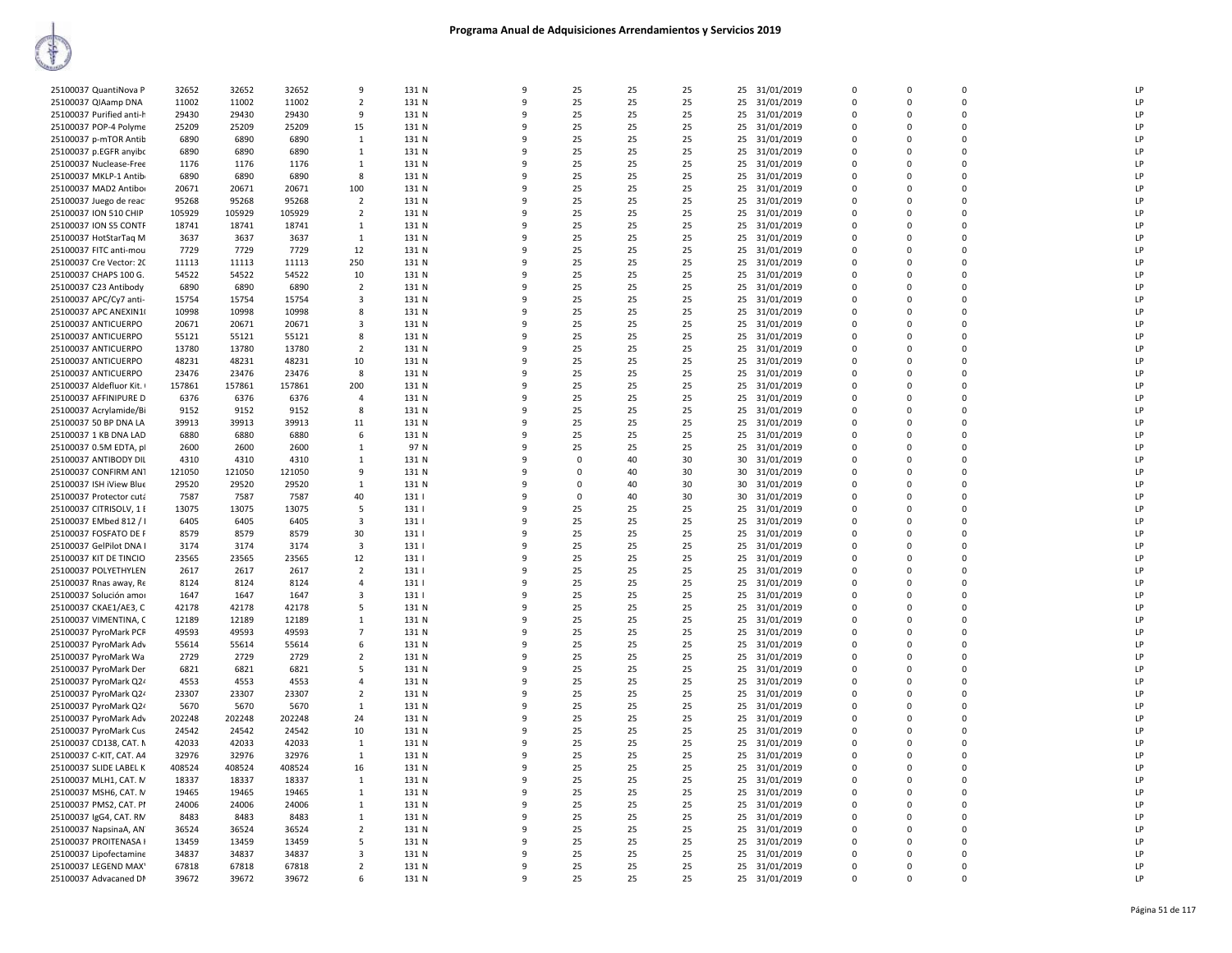| 25100037 QuantiNova P    | 32652  | 32652  | 32652  | 9                       | 131 N | q        | 25       | 25 | 25 | 25 | 31/01/2019    | $\Omega$    | $\Omega$    | $\Omega$    | LP |
|--------------------------|--------|--------|--------|-------------------------|-------|----------|----------|----|----|----|---------------|-------------|-------------|-------------|----|
| 25100037 QIAamp DNA      | 11002  | 11002  | 11002  | $\overline{2}$          | 131 N | 9        | 25       | 25 | 25 | 25 | 31/01/2019    | 0           | $\Omega$    | 0           | LP |
| 25100037 Purified anti-h | 29430  | 29430  | 29430  | 9                       | 131 N | q        | 25       | 25 | 25 |    | 25 31/01/2019 | $\mathbf 0$ | $\Omega$    | $\Omega$    | LP |
|                          |        |        |        |                         |       |          |          |    |    |    |               |             | $\Omega$    | 0           | LP |
| 25100037 POP-4 Polyme    | 25209  | 25209  | 25209  | 15                      | 131 N |          | 25       | 25 | 25 |    | 25 31/01/2019 | $\mathbf 0$ |             |             |    |
| 25100037 p-mTOR Antib    | 6890   | 6890   | 6890   | 1                       | 131 N | ۹        | 25       | 25 | 25 | 25 | 31/01/2019    | 0           | $\mathbf 0$ | $\pmb{0}$   | LP |
| 25100037 p.EGFR anyibc   | 6890   | 6890   | 6890   | $\mathbf{1}$            | 131 N | q        | 25       | 25 | 25 |    | 25 31/01/2019 | $\Omega$    | $\Omega$    | 0           | LP |
| 25100037 Nuclease-Free   | 1176   | 1176   | 1176   | 1                       | 131 N | 9        | 25       | 25 | 25 |    | 25 31/01/2019 | 0           | $\Omega$    | 0           | LP |
| 25100037 MKLP-1 Antib    | 6890   | 6890   | 6890   | 8                       | 131 N | 9        | 25       | 25 | 25 | 25 | 31/01/2019    | 0           | $\Omega$    | $\mathbf 0$ | LP |
| 25100037 MAD2 Antibor    | 20671  | 20671  | 20671  | 100                     | 131 N | 9        | 25       | 25 | 25 | 25 | 31/01/2019    | 0           | $\Omega$    | 0           | LP |
| 25100037 Juego de reac   | 95268  | 95268  | 95268  | $\overline{2}$          | 131 N | q        | 25       | 25 | 25 |    | 25 31/01/2019 | $\mathbf 0$ | $\Omega$    | 0           | LP |
| 25100037 ION 510 CHIP    | 105929 | 105929 | 105929 | $\overline{2}$          | 131 N |          | 25       | 25 | 25 |    | 25 31/01/2019 | $\mathbf 0$ | $\Omega$    | 0           | LP |
| 25100037 ION S5 CONTF    | 18741  | 18741  | 18741  | 1                       | 131 N | q        | 25       | 25 | 25 | 25 | 31/01/2019    | 0           | $\Omega$    | 0           | LP |
| 25100037 HotStarTaq M    | 3637   | 3637   | 3637   | $\overline{1}$          | 131 N | q        | 25       | 25 | 25 |    | 25 31/01/2019 | $\Omega$    | $\Omega$    | $\Omega$    | LP |
|                          |        |        |        |                         |       | 9        |          |    |    |    |               | 0           | $\Omega$    | 0           | LP |
| 25100037 FITC anti-mou   | 7729   | 7729   | 7729   | 12                      | 131 N |          | 25       | 25 | 25 |    | 25 31/01/2019 |             |             |             |    |
| 25100037 Cre Vector: 20  | 11113  | 11113  | 11113  | 250                     | 131 N | 9        | 25       | 25 | 25 |    | 25 31/01/2019 | $\Omega$    | $\Omega$    | $\Omega$    | LP |
| 25100037 CHAPS 100 G.    | 54522  | 54522  | 54522  | 10                      | 131 N | 9        | 25       | 25 | 25 | 25 | 31/01/2019    | $\mathbf 0$ | $\mathbf 0$ | $\mathbf 0$ | LP |
| 25100037 C23 Antibody    | 6890   | 6890   | 6890   | $\overline{2}$          | 131 N | q        | 25       | 25 | 25 |    | 25 31/01/2019 | $\mathbf 0$ | $\Omega$    | 0           | LP |
| 25100037 APC/Cy7 anti-   | 15754  | 15754  | 15754  | 3                       | 131 N |          | 25       | 25 | 25 |    | 25 31/01/2019 | $\Omega$    | $\Omega$    | 0           | LP |
| 25100037 APC ANEXIN1(    | 10998  | 10998  | 10998  | 8                       | 131 N | 9        | 25       | 25 | 25 | 25 | 31/01/2019    | 0           | $\Omega$    | 0           | LP |
| 25100037 ANTICUERPO      | 20671  | 20671  | 20671  | $\overline{\mathbf{3}}$ | 131 N | q        | 25       | 25 | 25 |    | 25 31/01/2019 | $\Omega$    | $\Omega$    | 0           | LP |
| 25100037 ANTICUERPO      | 55121  | 55121  | 55121  | 8                       | 131 N | 9        | 25       | 25 | 25 |    | 25 31/01/2019 | $\mathbf 0$ | $\Omega$    | 0           | LP |
| 25100037 ANTICUERPO      | 13780  | 13780  | 13780  | $\overline{2}$          | 131 N | 9        | 25       | 25 | 25 |    | 25 31/01/2019 | $\mathbf 0$ | $\Omega$    | 0           | LP |
| 25100037 ANTICUERPO      | 48231  | 48231  | 48231  | 10                      | 131 N | 9        | 25       | 25 | 25 | 25 | 31/01/2019    | $\mathbf 0$ | $\mathbf 0$ | 0           | LP |
|                          |        |        |        | 8                       | 131 N | q        | 25       |    | 25 |    |               | $\Omega$    | $\Omega$    | $\Omega$    | LP |
| 25100037 ANTICUERPO      | 23476  | 23476  | 23476  |                         |       |          |          | 25 |    |    | 25 31/01/2019 |             |             |             |    |
| 25100037 Aldefluor Kit.  | 157861 | 157861 | 157861 | 200                     | 131 N |          | 25       | 25 | 25 |    | 25 31/01/2019 | $\Omega$    | $\Omega$    | 0           | LP |
| 25100037 AFFINIPURE D    | 6376   | 6376   | 6376   | $\overline{4}$          | 131 N | 9        | 25       | 25 | 25 | 25 | 31/01/2019    | 0           | $\Omega$    | 0           | LP |
| 25100037 Acrylamide/Bi   | 9152   | 9152   | 9152   | 8                       | 131 N | q        | 25       | 25 | 25 |    | 25 31/01/2019 | $\Omega$    | $\Omega$    | $\Omega$    | LP |
| 25100037 50 BP DNA LA    | 39913  | 39913  | 39913  | 11                      | 131 N |          | 25       | 25 | 25 | 25 | 31/01/2019    | $\mathbf 0$ | $\mathbf 0$ | 0           | LP |
| 25100037 1 KB DNA LAD    | 6880   | 6880   | 6880   | 6                       | 131 N | q        | 25       | 25 | 25 | 25 | 31/01/2019    | $\mathbf 0$ | $\Omega$    | 0           | LP |
| 25100037 0.5M EDTA, pl   | 2600   | 2600   | 2600   | $\mathbf{1}$            | 97 N  | 9        | 25       | 25 | 25 | 25 | 31/01/2019    | $\Omega$    | $\Omega$    | 0           | LP |
| 25100037 ANTIBODY DIL    | 4310   | 4310   | 4310   | 1                       | 131 N | ٩        | $\Omega$ | 40 | 30 | 30 | 31/01/2019    | $\Omega$    | $\Omega$    | $\Omega$    | LP |
| 25100037 CONFIRM AN1     | 121050 | 121050 | 121050 | 9                       | 131 N |          | $\Omega$ | 40 | 30 |    | 30 31/01/2019 | 0           | $\Omega$    | 0           | LP |
| 25100037 ISH iView Blue  | 29520  | 29520  | 29520  | 1                       | 131 N |          | 0        | 40 | 30 | 30 | 31/01/2019    | 0           | $\mathbf 0$ | 0           | LP |
|                          |        | 7587   | 7587   | 40                      | 131   | q        | $\Omega$ | 40 | 30 | 30 |               | $\Omega$    | $\Omega$    | $\Omega$    | LP |
| 25100037 Protector cuta  | 7587   |        |        |                         |       |          |          |    |    |    | 31/01/2019    |             |             |             |    |
| 25100037 CITRISOLV, 1 E  | 13075  | 13075  | 13075  | 5                       | 131   |          | 25       | 25 | 25 | 25 | 31/01/2019    | $\mathbf 0$ | $\mathbf 0$ | 0           | LP |
| 25100037 EMbed 812 / I   | 6405   | 6405   | 6405   | 3                       | 131   | q        | 25       | 25 | 25 | 25 | 31/01/2019    | $\Omega$    | $\Omega$    | 0           | LP |
| 25100037 FOSFATO DE F    | 8579   | 8579   | 8579   | 30                      | 131   | 9        | 25       | 25 | 25 | 25 | 31/01/2019    | $\Omega$    | $\Omega$    | 0           | LP |
| 25100037 GelPilot DNA I  | 3174   | 3174   | 3174   | 3                       | 131   | q        | 25       | 25 | 25 | 25 | 31/01/2019    | $\Omega$    | n           | $\Omega$    | LP |
| 25100037 KIT DE TINCIO   | 23565  | 23565  | 23565  | 12                      | 131   |          | 25       | 25 | 25 | 25 | 31/01/2019    | $\mathbf 0$ | $\Omega$    | $\Omega$    | LP |
| 25100037 POLYETHYLEN     | 2617   | 2617   | 2617   | $\overline{2}$          | 131   | ۰Q       | 25       | 25 | 25 | 25 | 31/01/2019    | 0           | $\Omega$    | $\mathsf 0$ | LP |
| 25100037 Rnas away, Re   | 8124   | 8124   | 8124   | $\overline{4}$          | 131   | q        | 25       | 25 | 25 |    | 25 31/01/2019 | $\mathbf 0$ | $\mathbf 0$ | 0           | LP |
| 25100037 Solución amor   | 1647   | 1647   | 1647   | 3                       | 131   |          | 25       | 25 | 25 | 25 | 31/01/2019    | $\mathbf 0$ | $\mathbf 0$ | 0           | LP |
| 25100037 CKAE1/AE3, C    | 42178  | 42178  | 42178  | 5                       | 131 N | q        | 25       | 25 | 25 | 25 | 31/01/2019    | $\Omega$    | $\Omega$    | 0           | LP |
| 25100037 VIMENTINA, C    | 12189  | 12189  | 12189  | 1                       | 131 N | 9        | 25       | 25 | 25 | 25 | 31/01/2019    | 0           | $\Omega$    | 0           | LP |
|                          |        |        |        |                         |       | q        |          |    |    |    |               | 0           | $\Omega$    | 0           | LP |
| 25100037 PyroMark PCF    | 49593  | 49593  | 49593  | 7                       | 131 N |          | 25       | 25 | 25 | 25 | 31/01/2019    |             | $\Omega$    | 0           | LP |
| 25100037 PyroMark Adv    | 55614  | 55614  | 55614  | 6                       | 131 N |          | 25       | 25 | 25 | 25 | 31/01/2019    | $\mathbf 0$ |             |             |    |
| 25100037 PyroMark Wa     | 2729   | 2729   | 2729   | $\overline{2}$          | 131 N | ٩        | 25       | 25 | 25 | 25 | 31/01/2019    | 0           | $\mathbf 0$ | $\mathsf 0$ | LP |
| 25100037 PyroMark Der    | 6821   | 6821   | 6821   | 5                       | 131 N | q        | 25       | 25 | 25 |    | 25 31/01/2019 | $\Omega$    | $\Omega$    | 0           | LP |
| 25100037 PyroMark Q24    | 4553   | 4553   | 4553   | $\overline{a}$          | 131 N | q        | 25       | 25 | 25 | 25 | 31/01/2019    | 0           | $\Omega$    | 0           | LP |
| 25100037 PyroMark Q24    | 23307  | 23307  | 23307  | $\overline{2}$          | 131 N | q        | 25       | 25 | 25 | 25 | 31/01/2019    | 0           | $\Omega$    | 0           | LP |
| 25100037 PyroMark Q24    | 5670   | 5670   | 5670   | 1                       | 131 N | 9        | 25       | 25 | 25 | 25 | 31/01/2019    | 0           | $\Omega$    | 0           | LP |
| 25100037 PyroMark Adv    | 202248 | 202248 | 202248 | 24                      | 131 N | q        | 25       | 25 | 25 | 25 | 31/01/2019    | $\mathbf 0$ | $\Omega$    | 0           | LP |
| 25100037 PyroMark Cus    | 24542  | 24542  | 24542  | 10                      | 131 N |          | 25       | 25 | 25 |    | 25 31/01/2019 | $\mathbf 0$ | $\Omega$    | 0           | LP |
| 25100037 CD138, CAT. N   | 42033  | 42033  | 42033  | 1                       | 131 N | q        | 25       | 25 | 25 | 25 | 31/01/2019    | 0           | $\Omega$    | 0           | LP |
| 25100037 C-KIT, CAT. A4  | 32976  | 32976  | 32976  | 1                       | 131 N | q        | 25       | 25 | 25 |    | 25 31/01/2019 | $\Omega$    | $\Omega$    | 0           | LP |
|                          |        |        |        |                         |       | 9        |          |    |    |    |               | 0           | $\Omega$    | 0           | LP |
| 25100037 SLIDE LABEL K   | 408524 | 408524 | 408524 | 16                      | 131 N |          | 25       | 25 | 25 | 25 | 31/01/2019    |             |             |             |    |
| 25100037 MLH1, CAT. N    | 18337  | 18337  | 18337  | $\mathbf{1}$            | 131 N | 9        | 25       | 25 | 25 |    | 25 31/01/2019 | $\Omega$    | $\Omega$    | $\Omega$    | LP |
| 25100037 MSH6, CAT. N    | 19465  | 19465  | 19465  | $\mathbf{1}$            | 131 N | 9        | 25       | 25 | 25 | 25 | 31/01/2019    | $\mathbf 0$ | $\Omega$    | 0           | LP |
| 25100037 PMS2, CAT. PI   | 24006  | 24006  | 24006  | 1                       | 131 N | $\Omega$ | 25       | 25 | 25 |    | 25 31/01/2019 | $\mathbf 0$ | $\Omega$    | 0           | LP |
| 25100037 IgG4, CAT. RN   | 8483   | 8483   | 8483   | $\mathbf{1}$            | 131 N |          | 25       | 25 | 25 |    | 25 31/01/2019 | $\mathbf 0$ | $\mathbf 0$ | 0           | LP |
| 25100037 NapsinaA, AN    | 36524  | 36524  | 36524  | $\overline{2}$          | 131 N | q        | 25       | 25 | 25 | 25 | 31/01/2019    | 0           | $\Omega$    | 0           | LP |
| 25100037 PROITENASA I    | 13459  | 13459  | 13459  | .5                      | 131 N | q        | 25       | 25 | 25 |    | 25 31/01/2019 | $\Omega$    | $\Omega$    | 0           | LP |
| 25100037 Lipofectamine   | 34837  | 34837  | 34837  | 3                       | 131 N |          | 25       | 25 | 25 | 25 | 31/01/2019    | 0           | $\Omega$    | 0           | LP |
| 25100037 LEGEND MAX'     | 67818  | 67818  | 67818  | $\overline{2}$          | 131 N | 9        | 25       | 25 | 25 |    | 25 31/01/2019 | $\Omega$    | $\Omega$    | 0           | LP |
| 25100037 Advacaned DN    | 39672  | 39672  | 39672  | 6                       | 131 N | 9        | 25       | 25 | 25 |    | 25 31/01/2019 | $\mathbf 0$ | 0           | $\Omega$    | LP |
|                          |        |        |        |                         |       |          |          |    |    |    |               |             |             |             |    |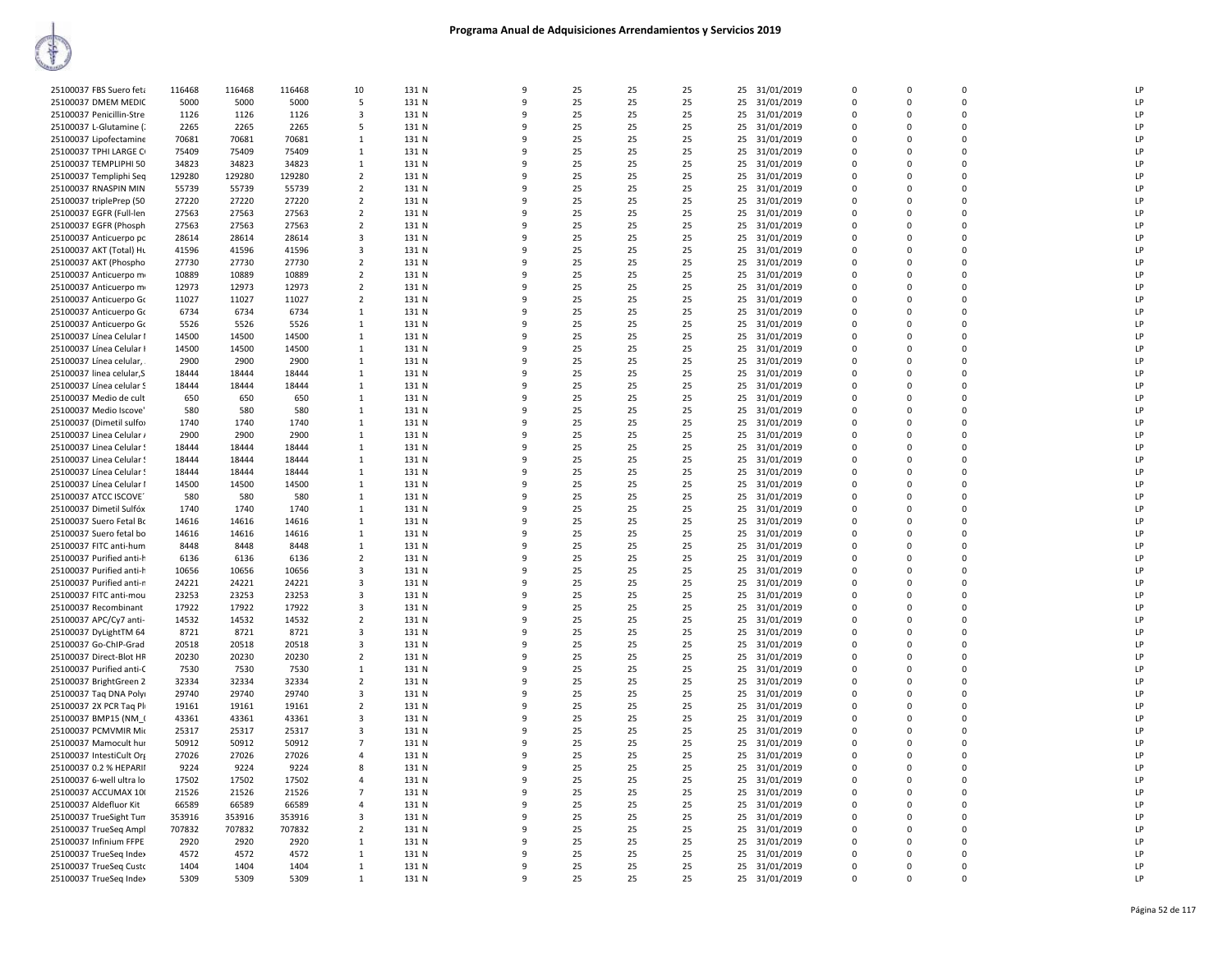| 25100037 FBS Suero feta  | 116468 | 116468 | 116468 | 10                      | 131 N | 9        | 25 | 25 | 25 | 25 | 31/01/2019    | $\Omega$    | 0        | $\mathbf 0$ | LP |
|--------------------------|--------|--------|--------|-------------------------|-------|----------|----|----|----|----|---------------|-------------|----------|-------------|----|
| 25100037 DMEM MEDIC      | 5000   | 5000   | 5000   | 5                       | 131 N | 9        | 25 | 25 | 25 | 25 | 31/01/2019    | $\Omega$    | $\Omega$ | $\mathbf 0$ | LP |
| 25100037 Penicillin-Stre | 1126   | 1126   | 1126   | $\overline{3}$          | 131 N | 9        | 25 | 25 | 25 | 25 | 31/01/2019    | $\mathbf 0$ | 0        | $\mathbf 0$ | LP |
| 25100037 L-Glutamine (   | 2265   | 2265   | 2265   | 5                       | 131 N | q        | 25 | 25 | 25 | 25 | 31/01/2019    | $\Omega$    | $\Omega$ | $\Omega$    | LP |
| 25100037 Lipofectamine   | 70681  | 70681  | 70681  | $\mathbf{1}$            | 131 N | 9        | 25 | 25 | 25 | 25 | 31/01/2019    | $\Omega$    | $\Omega$ | $\Omega$    | LP |
| 25100037 TPHI LARGE CI   | 75409  | 75409  | 75409  | 1                       | 131 N | q        | 25 | 25 | 25 | 25 | 31/01/2019    | $\Omega$    | $\Omega$ | $\mathbf 0$ | LP |
| 25100037 TEMPLIPHI 50    | 34823  | 34823  | 34823  | $\mathbf{1}$            | 131 N | 9        | 25 | 25 | 25 | 25 | 31/01/2019    | $\Omega$    | $\Omega$ | $\mathbf 0$ | LP |
| 25100037 Templiphi Seq   | 129280 | 129280 | 129280 | $\overline{2}$          | 131 N | 9        | 25 | 25 | 25 | 25 | 31/01/2019    | $\Omega$    | $\Omega$ | $\mathbf 0$ | LP |
| 25100037 RNASPIN MIN     | 55739  | 55739  | 55739  | $\overline{2}$          | 131 N | q        | 25 | 25 | 25 | 25 | 31/01/2019    | $\Omega$    | $\Omega$ | $\mathbf 0$ | LP |
| 25100037 triplePrep (50  | 27220  | 27220  | 27220  | $\overline{2}$          | 131 N | 9        | 25 | 25 | 25 | 25 | 31/01/2019    | $\Omega$    | $\Omega$ | $\Omega$    | LP |
| 25100037 EGFR (Full-len  | 27563  | 27563  | 27563  | 2                       | 131 N | q        | 25 | 25 | 25 | 25 | 31/01/2019    | $\Omega$    | $\Omega$ | $\Omega$    | LP |
| 25100037 EGFR (Phosph    | 27563  | 27563  | 27563  | 2                       | 131 N |          | 25 | 25 | 25 |    | 25 31/01/2019 | $\Omega$    | $\Omega$ | $\Omega$    | LP |
|                          |        |        | 28614  | 3                       | 131 N | q        | 25 |    |    | 25 |               | $\Omega$    | $\Omega$ | $\mathbf 0$ | LP |
| 25100037 Anticuerpo pc   | 28614  | 28614  |        |                         |       | 9        |    | 25 | 25 |    | 31/01/2019    | $\Omega$    |          |             |    |
| 25100037 AKT (Total) HL  | 41596  | 41596  | 41596  | $\overline{\mathbf{3}}$ | 131 N |          | 25 | 25 | 25 | 25 | 31/01/2019    |             | $\Omega$ | $\mathbf 0$ | LP |
| 25100037 AKT (Phospho    | 27730  | 27730  | 27730  | $\overline{2}$          | 131 N | q        | 25 | 25 | 25 | 25 | 31/01/2019    | $\Omega$    | $\Omega$ | $\mathbf 0$ | LP |
| 25100037 Anticuerpo m    | 10889  | 10889  | 10889  | 2                       | 131 N | q        | 25 | 25 | 25 |    | 25 31/01/2019 | $\Omega$    | $\Omega$ | $\Omega$    | LP |
| 25100037 Anticuerpo m    | 12973  | 12973  | 12973  | $\overline{2}$          | 131 N | 9        | 25 | 25 | 25 | 25 | 31/01/2019    | $\Omega$    | $\Omega$ | $\Omega$    | LP |
| 25100037 Anticuerpo Go   | 11027  | 11027  | 11027  | $\overline{2}$          | 131 N | q        | 25 | 25 | 25 | 25 | 31/01/2019    | $\Omega$    | $\Omega$ | $\Omega$    | LP |
| 25100037 Anticuerpo Go   | 6734   | 6734   | 6734   | $\mathbf{1}$            | 131 N |          | 25 | 25 | 25 | 25 | 31/01/2019    | $\Omega$    | $\Omega$ | $\mathbf 0$ | LP |
| 25100037 Anticuerpo Go   | 5526   | 5526   | 5526   | 1                       | 131 N | q        | 25 | 25 | 25 | 25 | 31/01/2019    | $\Omega$    | $\Omega$ | $\mathbf 0$ | LP |
| 25100037 Línea Celular I | 14500  | 14500  | 14500  | 1                       | 131 N | q        | 25 | 25 | 25 | 25 | 31/01/2019    | $\Omega$    | $\Omega$ | $\mathbf 0$ | LP |
| 25100037 Línea Celular I | 14500  | 14500  | 14500  | 1                       | 131 N | q        | 25 | 25 | 25 | 25 | 31/01/2019    | $\Omega$    | $\Omega$ | $\Omega$    | LP |
| 25100037 Línea celular,  | 2900   | 2900   | 2900   | 1                       | 131 N | 9        | 25 | 25 | 25 | 25 | 31/01/2019    | $\Omega$    | $\Omega$ | $\Omega$    | LP |
| 25100037 linea celular,S | 18444  | 18444  | 18444  | 1                       | 131 N | 9        | 25 | 25 | 25 | 25 | 31/01/2019    | 0           | $\Omega$ | 0           | LP |
| 25100037 Línea celular S | 18444  | 18444  | 18444  | 1                       | 131 N | q        | 25 | 25 | 25 | 25 | 31/01/2019    | $\Omega$    | $\Omega$ | $\Omega$    | LP |
| 25100037 Medio de cult   | 650    | 650    | 650    | $\mathbf{1}$            | 131 N |          | 25 | 25 | 25 | 25 | 31/01/2019    | $\Omega$    | $\Omega$ | $\mathbf 0$ | LP |
| 25100037 Medio Iscove'   | 580    | 580    | 580    | 1                       | 131 N | ٩        | 25 | 25 | 25 | 25 | 31/01/2019    | 0           | $\Omega$ | $\pmb{0}$   | LP |
| 25100037 (Dimetil sulfo) | 1740   | 1740   | 1740   | $\mathbf{1}$            | 131 N | q        | 25 | 25 | 25 | 25 | 31/01/2019    | $\Omega$    | $\Omega$ | $\Omega$    | LP |
| 25100037 Linea Celular / | 2900   | 2900   | 2900   | 1                       | 131 N | 9        | 25 | 25 | 25 | 25 | 31/01/2019    | $\Omega$    | $\Omega$ | $\Omega$    | LP |
| 25100037 Linea Celular!  | 18444  | 18444  | 18444  | 1                       | 131 N | 9        | 25 | 25 | 25 | 25 | 31/01/2019    | $\Omega$    | $\Omega$ | $\Omega$    | LP |
| 25100037 Linea Celular!  | 18444  | 18444  | 18444  | $\mathbf{1}$            | 131 N | 9        | 25 | 25 | 25 | 25 | 31/01/2019    | $\mathbf 0$ | 0        | $\mathbf 0$ | LP |
|                          | 18444  | 18444  | 18444  | 1                       | 131 N | q        | 25 | 25 | 25 |    |               | $\Omega$    | $\Omega$ | $\Omega$    | LP |
| 25100037 Línea Celular 9 |        |        |        |                         |       |          |    |    |    | 25 | 31/01/2019    |             |          |             |    |
| 25100037 Línea Celular I | 14500  | 14500  | 14500  | $\mathbf{1}$            | 131 N |          | 25 | 25 | 25 | 25 | 31/01/2019    | $\Omega$    | $\Omega$ | $\mathbf 0$ | LP |
| 25100037 ATCC ISCOVE     | 580    | 580    | 580    | 1                       | 131 N | q        | 25 | 25 | 25 | 25 | 31/01/2019    | $\Omega$    | $\Omega$ | $\pmb{0}$   | LP |
| 25100037 Dimetil Sulfóx  | 1740   | 1740   | 1740   | 1                       | 131 N | q        | 25 | 25 | 25 | 25 | 31/01/2019    | $\Omega$    | $\Omega$ | $\Omega$    | LP |
| 25100037 Suero Fetal Bo  | 14616  | 14616  | 14616  | 1                       | 131 N | 9        | 25 | 25 | 25 | 25 | 31/01/2019    | $\Omega$    | $\Omega$ | $\Omega$    | LP |
| 25100037 Suero fetal bo  | 14616  | 14616  | 14616  | 1                       | 131 N | 9        | 25 | 25 | 25 | 25 | 31/01/2019    | $\Omega$    | $\Omega$ | $\Omega$    | LP |
| 25100037 FITC anti-hum   | 8448   | 8448   | 8448   | $\mathbf{1}$            | 131 N | 9        | 25 | 25 | 25 | 25 | 31/01/2019    | 0           | 0        | $\mathbf 0$ | LP |
| 25100037 Purified anti-h | 6136   | 6136   | 6136   | $\overline{2}$          | 131 N | q        | 25 | 25 | 25 | 25 | 31/01/2019    | $\Omega$    | $\Omega$ | $\mathbf 0$ | LP |
| 25100037 Purified anti-h | 10656  | 10656  | 10656  | 3                       | 131 N |          | 25 | 25 | 25 | 25 | 31/01/2019    | $\Omega$    | $\Omega$ | $\Omega$    | LP |
| 25100037 Purified anti-n | 24221  | 24221  | 24221  | 3                       | 131 N |          | 25 | 25 | 25 | 25 | 31/01/2019    | $\Omega$    | $\Omega$ | $\mathbf 0$ | LP |
| 25100037 FITC anti-mou   | 23253  | 23253  | 23253  | $\overline{\mathbf{3}}$ | 131 N | q        | 25 | 25 | 25 | 25 | 31/01/2019    | $\Omega$    | $\Omega$ | $\Omega$    | LP |
| 25100037 Recombinant     | 17922  | 17922  | 17922  | $\overline{3}$          | 131 N |          | 25 | 25 | 25 | 25 | 31/01/2019    | $\Omega$    | $\Omega$ | $\mathbf 0$ | LP |
| 25100037 APC/Cy7 anti-   | 14532  | 14532  | 14532  | $\overline{2}$          | 131 N | 9        | 25 | 25 | 25 | 25 | 31/01/2019    | $\Omega$    | $\Omega$ | $\mathbf 0$ | LP |
| 25100037 DyLightTM 64    | 8721   | 8721   | 8721   | 3                       | 131 N | 9        | 25 | 25 | 25 | 25 | 31/01/2019    | 0           | 0        | $\mathbf 0$ | LP |
| 25100037 Go-ChIP-Grad    | 20518  | 20518  | 20518  | 3                       | 131 N | q        | 25 | 25 | 25 | 25 | 31/01/2019    | $\Omega$    | $\Omega$ | $\Omega$    | LP |
| 25100037 Direct-Blot HR  | 20230  | 20230  | 20230  | $\overline{2}$          | 131 N |          | 25 | 25 | 25 | 25 | 31/01/2019    | $\Omega$    | $\Omega$ | $\Omega$    | LP |
| 25100037 Purified anti-C | 7530   | 7530   | 7530   | 1                       | 131 N | q        | 25 | 25 | 25 | 25 | 31/01/2019    | $\Omega$    | $\Omega$ | $\mathbf 0$ | LP |
| 25100037 BrightGreen 2   | 32334  | 32334  | 32334  | $\overline{2}$          | 131 N | 9        | 25 | 25 | 25 | 25 | 31/01/2019    | $\Omega$    | $\Omega$ | $\mathbf 0$ | LP |
| 25100037 Tag DNA Polyi   | 29740  | 29740  | 29740  | $\overline{3}$          | 131 N | 9        | 25 | 25 | 25 | 25 | 31/01/2019    | $\Omega$    | $\Omega$ | $\mathbf 0$ | LP |
| 25100037 2X PCR Tag Pl   | 19161  | 19161  | 19161  | $\overline{2}$          | 131 N | q        | 25 | 25 | 25 | 25 | 31/01/2019    | $\Omega$    | $\Omega$ | $\mathbf 0$ | LP |
| 25100037 BMP15 (NM (     | 43361  | 43361  | 43361  | 3                       | 131 N | 9        | 25 | 25 | 25 | 25 | 31/01/2019    | $\Omega$    | $\Omega$ | $\Omega$    | LP |
| 25100037 PCMVMIR Mio     | 25317  | 25317  | 25317  | 3                       | 131 N | q        | 25 | 25 | 25 | 25 | 31/01/2019    | $\Omega$    | $\Omega$ | $\Omega$    | LP |
| 25100037 Mamocult hur    | 50912  | 50912  | 50912  | $\overline{7}$          | 131 N |          | 25 | 25 | 25 |    | 25 31/01/2019 | $\Omega$    | $\Omega$ | $\Omega$    | LP |
|                          |        | 27026  |        |                         |       | q        |    |    |    |    |               |             |          | $\mathbf 0$ | LP |
| 25100037 IntestiCult Org | 27026  |        | 27026  | 4                       | 131 N |          | 25 | 25 | 25 | 25 | 31/01/2019    | $\Omega$    | $\Omega$ |             |    |
| 25100037 0.2 % HEPARII   | 9224   | 9224   | 9224   | 8                       | 131 N | 9        | 25 | 25 | 25 | 25 | 31/01/2019    | $\Omega$    | $\Omega$ | $\mathbf 0$ | LP |
| 25100037 6-well ultra lo | 17502  | 17502  | 17502  | $\overline{4}$          | 131 N | q        | 25 | 25 | 25 | 25 | 31/01/2019    | $\Omega$    | $\Omega$ | 0           | LP |
| 25100037 ACCUMAX 10(     | 21526  | 21526  | 21526  | $\overline{7}$          | 131 N | 9        | 25 | 25 | 25 | 25 | 31/01/2019    | $\Omega$    | $\Omega$ | $\Omega$    | LP |
| 25100037 Aldefluor Kit   | 66589  | 66589  | 66589  | $\overline{a}$          | 131 N | 9        | 25 | 25 | 25 | 25 | 31/01/2019    | $\Omega$    | $\Omega$ | $\Omega$    | LP |
| 25100037 TrueSight Tum   | 353916 | 353916 | 353916 | 3                       | 131 N | q        | 25 | 25 | 25 | 25 | 31/01/2019    | $\Omega$    | $\Omega$ | $\Omega$    | LP |
| 25100037 TrueSeg Ampl    | 707832 | 707832 | 707832 | $\overline{2}$          | 131 N |          | 25 | 25 | 25 |    | 25 31/01/2019 | $\Omega$    | $\Omega$ | $\mathbf 0$ | LP |
| 25100037 Infinium FFPE   | 2920   | 2920   | 2920   | 1                       | 131 N | $\Omega$ | 25 | 25 | 25 | 25 | 31/01/2019    | $\Omega$    | $\Omega$ | $\mathbf 0$ | LP |
| 25100037 TrueSeq Index   | 4572   | 4572   | 4572   | 1                       | 131 N | q        | 25 | 25 | 25 |    | 25 31/01/2019 | $\Omega$    | $\Omega$ | $\mathbf 0$ | LP |
| 25100037 TrueSeg Custo   | 1404   | 1404   | 1404   | 1                       | 131 N | q        | 25 | 25 | 25 |    | 25 31/01/2019 | $\Omega$    | $\Omega$ | $\Omega$    | LP |
| 25100037 TrueSeq Index   | 5309   | 5309   | 5309   | 1                       | 131 N | 9        | 25 | 25 | 25 |    | 25 31/01/2019 | $\Omega$    | $\Omega$ | $\Omega$    | LP |
|                          |        |        |        |                         |       |          |    |    |    |    |               |             |          |             |    |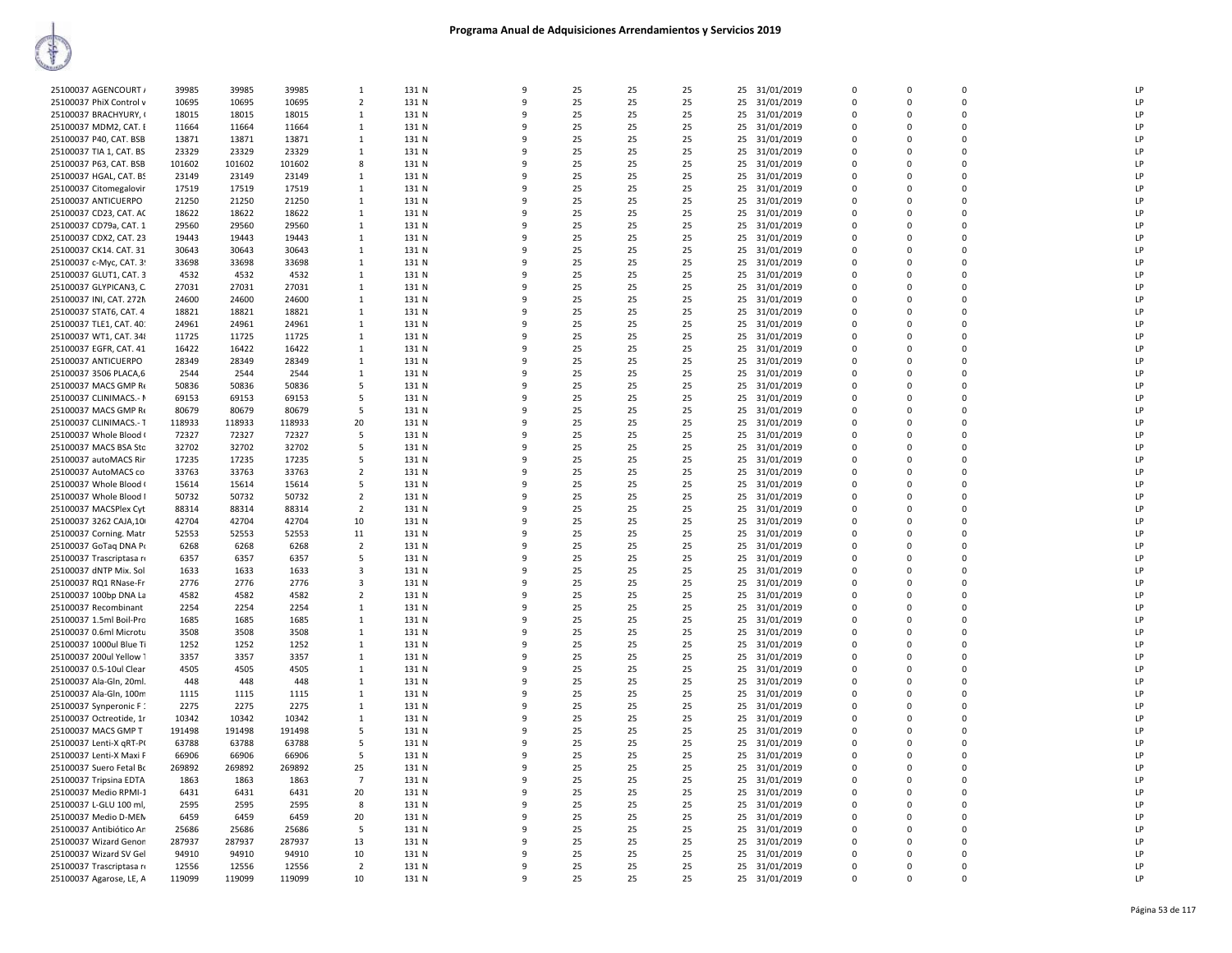| 25100037 AGENCOURT /     | 39985  | 39985  | 39985  | 1              | 131 N | 9            | 25 | 25 | 25 | 25<br>31/01/2019 | $\overline{0}$ | $\mathbf 0$ | $\mathbf 0$ | LP |
|--------------------------|--------|--------|--------|----------------|-------|--------------|----|----|----|------------------|----------------|-------------|-------------|----|
| 25100037 PhiX Control v  | 10695  | 10695  | 10695  | $\overline{2}$ | 131 N | $\mathbf{q}$ | 25 | 25 | 25 | 25<br>31/01/2019 | $\mathbf 0$    | $\Omega$    | $\Omega$    | LP |
| 25100037 BRACHYURY, (    | 18015  | 18015  | 18015  | 1              | 131 N | q            | 25 | 25 | 25 | 25<br>31/01/2019 | $\Omega$       | $\Omega$    | $\Omega$    | LP |
|                          |        |        |        |                |       |              |    |    |    |                  |                |             |             |    |
| 25100037 MDM2, CAT. I    | 11664  | 11664  | 11664  | -1             | 131 N | ٩            | 25 | 25 | 25 | 31/01/2019<br>25 | $\Omega$       | $\Omega$    | $\Omega$    | LP |
| 25100037 P40, CAT. BSB   | 13871  | 13871  | 13871  | -1             | 131 N | 9            | 25 | 25 | 25 | 25<br>31/01/2019 | $\Omega$       | $\Omega$    | $\Omega$    | LP |
| 25100037 TIA 1, CAT. BS  | 23329  | 23329  | 23329  | 1              | 131 N | ٩            | 25 | 25 | 25 | 25<br>31/01/2019 | $\Omega$       | $\Omega$    | $\Omega$    | LP |
|                          |        |        |        |                |       |              |    |    |    |                  |                |             |             |    |
| 25100037 P63, CAT. BSB   | 101602 | 101602 | 101602 | 8              | 131 N | 9            | 25 | 25 | 25 | 25 31/01/2019    | $\overline{0}$ | $\Omega$    | $\mathbf 0$ | LP |
| 25100037 HGAL, CAT. BS   | 23149  | 23149  | 23149  | 1              | 131 N | 9            | 25 | 25 | 25 | 25<br>31/01/2019 | $\overline{0}$ | $\mathsf 0$ | $\mathbf 0$ | LP |
| 25100037 Citomegalovir   | 17519  | 17519  | 17519  | $\mathbf{1}$   | 131 N | $\mathsf{q}$ | 25 | 25 | 25 | 25<br>31/01/2019 | $\Omega$       | $\Omega$    | $\Omega$    | LP |
|                          |        |        |        |                |       |              |    |    |    |                  |                |             |             |    |
| 25100037 ANTICUERPO      | 21250  | 21250  | 21250  | 1              | 131 N | q            | 25 | 25 | 25 | 25<br>31/01/2019 | $\mathbf 0$    | $\Omega$    | $\mathbf 0$ | LP |
| 25100037 CD23, CAT. AC   | 18622  | 18622  | 18622  | $\mathbf{1}$   | 131 N | q            | 25 | 25 | 25 | 25<br>31/01/2019 | $\overline{0}$ | $\Omega$    | $\mathbf 0$ | LP |
| 25100037 CD79a, CAT. 1   | 29560  | 29560  | 29560  | 1              | 131 N | q            | 25 | 25 | 25 | 25<br>31/01/2019 | $\mathbf 0$    | 0           | $\mathbf 0$ | LP |
|                          |        |        |        |                |       |              |    |    |    |                  |                |             |             |    |
| 25100037 CDX2, CAT. 23   | 19443  | 19443  | 19443  | -1             | 131 N | q            | 25 | 25 | 25 | 25<br>31/01/2019 | $\Omega$       | $\Omega$    | $\Omega$    | LP |
| 25100037 CK14. CAT. 31   | 30643  | 30643  | 30643  | $\mathbf{1}$   | 131 N | q            | 25 | 25 | 25 | 31/01/2019<br>25 | $\Omega$       | $\Omega$    | $\Omega$    | LP |
| 25100037 c-Myc, CAT. 3!  | 33698  | 33698  | 33698  | 1              | 131 N | -9           | 25 | 25 | 25 | 25<br>31/01/2019 | $\overline{0}$ | $\Omega$    | $\Omega$    | LP |
|                          |        |        |        |                |       |              |    |    |    |                  |                |             |             |    |
| 25100037 GLUT1, CAT. 3   | 4532   | 4532   | 4532   | 1              | 131 N | 9            | 25 | 25 | 25 | 25<br>31/01/2019 | $\overline{0}$ | $\Omega$    | $\Omega$    | LP |
| 25100037 GLYPICAN3, C.   | 27031  | 27031  | 27031  | 1              | 131 N | ٩            | 25 | 25 | 25 | 25<br>31/01/2019 | $\Omega$       | $\Omega$    | $\Omega$    | LP |
| 25100037 INI, CAT. 272N  | 24600  | 24600  | 24600  | -1             | 131 N | $\mathbf{q}$ | 25 | 25 | 25 | 31/01/2019<br>25 | $\Omega$       | $\Omega$    | $\Omega$    | LP |
|                          |        |        |        |                |       |              |    |    |    |                  |                |             |             |    |
| 25100037 STAT6, CAT. 4   | 18821  | 18821  | 18821  | 1              | 131 N | 9            | 25 | 25 | 25 | 25<br>31/01/2019 | $\overline{0}$ | $\Omega$    | $\mathbf 0$ | LP |
| 25100037 TLE1, CAT. 40:  | 24961  | 24961  | 24961  | 1              | 131 N | 9            | 25 | 25 | 25 | 25<br>31/01/2019 | $\Omega$       | $\Omega$    | $\Omega$    | LP |
|                          |        |        |        | 1              |       | q            |    |    | 25 | 25               | $\mathbf 0$    | $\mathbf 0$ | $\mathbf 0$ | LP |
| 25100037 WT1, CAT. 348   | 11725  | 11725  | 11725  |                | 131 N |              | 25 | 25 |    | 31/01/2019       |                |             |             |    |
| 25100037 EGFR, CAT. 41   | 16422  | 16422  | 16422  | -1             | 131 N | q            | 25 | 25 | 25 | 31/01/2019<br>25 | $\Omega$       | $\Omega$    | $\Omega$    | LP |
| 25100037 ANTICUERPO      | 28349  | 28349  | 28349  | $\mathbf{1}$   | 131 N | 9            | 25 | 25 | 25 | 25<br>31/01/2019 | $\Omega$       | $\Omega$    | $\Omega$    | LP |
|                          |        |        |        |                |       | q            |    |    |    |                  | $\Omega$       | $\Omega$    | $\Omega$    | LP |
| 25100037 3506 PLACA,6    | 2544   | 2544   | 2544   | -1             | 131 N |              | 25 | 25 | 25 | 25<br>31/01/2019 |                |             |             |    |
| 25100037 MACS GMP Re     | 50836  | 50836  | 50836  | -5             | 131 N |              | 25 | 25 | 25 | 25<br>31/01/2019 | $\Omega$       | $\Omega$    | $\Omega$    | LP |
| 25100037 CLINIMACS.- N   | 69153  | 69153  | 69153  | -5             | 131 N |              | 25 | 25 | 25 | 25<br>31/01/2019 | $\overline{0}$ | $\Omega$    | $\mathbf 0$ | LP |
|                          |        |        |        |                |       |              |    |    |    |                  |                |             |             |    |
| 25100037 MACS GMP Re     | 80679  | 80679  | 80679  | -5             | 131 N | q            | 25 | 25 | 25 | 25 31/01/2019    | $\Omega$       | $\Omega$    | $\Omega$    | LP |
| 25100037 CLINIMACS.- T   | 118933 | 118933 | 118933 | 20             | 131 N | ٩            | 25 | 25 | 25 | 25<br>31/01/2019 | $\Omega$       | $\Omega$    | $\mathbf 0$ | LP |
| 25100037 Whole Blood (   | 72327  | 72327  | 72327  | -5             | 131 N | 9            | 25 | 25 | 25 | 31/01/2019<br>25 | $\overline{0}$ | $\Omega$    | $\Omega$    | LP |
|                          |        |        |        |                |       |              |    |    |    |                  |                |             |             |    |
| 25100037 MACS BSA Stc    | 32702  | 32702  | 32702  | -5             | 131 N | 9            | 25 | 25 | 25 | 25<br>31/01/2019 | $\overline{0}$ | 0           | $\mathbf 0$ | LP |
| 25100037 autoMACS Rir    | 17235  | 17235  | 17235  | -5             | 131 N | $\mathbf{q}$ | 25 | 25 | 25 | 25<br>31/01/2019 | $\Omega$       | $\Omega$    | $\Omega$    | LP |
| 25100037 AutoMACS co     | 33763  | 33763  | 33763  | $\overline{2}$ | 131 N | q            | 25 | 25 | 25 | 25<br>31/01/2019 | $\Omega$       | $\Omega$    | $\Omega$    | LP |
|                          |        |        |        |                |       | $\Omega$     |    |    |    |                  |                |             |             |    |
| 25100037 Whole Blood (   | 15614  | 15614  | 15614  | -5             | 131 N |              | 25 | 25 | 25 | 31/01/2019<br>25 | $\Omega$       | $\Omega$    | $\Omega$    | LP |
| 25100037 Whole Blood I   | 50732  | 50732  | 50732  | $\overline{2}$ | 131 N | $\mathbf{q}$ | 25 | 25 | 25 | 25 31/01/2019    | $\Omega$       | $\Omega$    | $\Omega$    | LP |
| 25100037 MACSPlex Cyt    | 88314  | 88314  | 88314  | $\overline{2}$ | 131 N | $\Omega$     | 25 | 25 | 25 | 25<br>31/01/2019 | $\Omega$       | $\Omega$    | $\Omega$    | LP |
|                          |        |        |        |                |       |              |    |    |    |                  |                |             | $\Omega$    |    |
| 25100037 3262 CAJA,10    | 42704  | 42704  | 42704  | 10             | 131 N | q            | 25 | 25 | 25 | 31/01/2019<br>25 | $\Omega$       | $\Omega$    |             | LP |
| 25100037 Corning. Matr   | 52553  | 52553  | 52553  | 11             | 131 N | 9            | 25 | 25 | 25 | 25<br>31/01/2019 | $\overline{0}$ | 0           | $\mathbf 0$ | LP |
| 25100037 GoTaq DNA Po    | 6268   | 6268   | 6268   | $\overline{2}$ | 131 N | $\mathbf{q}$ | 25 | 25 | 25 | 31/01/2019<br>25 | $\mathbf 0$    | $\Omega$    | $\Omega$    | LP |
|                          |        |        |        |                |       | q            |    |    |    |                  |                | $\Omega$    |             |    |
| 25100037 Trascriptasa re | 6357   | 6357   | 6357   | 5              | 131 N |              | 25 | 25 | 25 | 25<br>31/01/2019 | $\overline{0}$ |             | $\mathbf 0$ | LP |
| 25100037 dNTP Mix. Sol   | 1633   | 1633   | 1633   | 3              | 131 N | $\Omega$     | 25 | 25 | 25 | 25<br>31/01/2019 | $\overline{0}$ | $\Omega$    | $\mathbf 0$ | LP |
| 25100037 RQ1 RNase-Fr    | 2776   | 2776   | 2776   | 3              | 131 N | q            | 25 | 25 | 25 | 25<br>31/01/2019 | $\overline{0}$ | 0           | $\mathbf 0$ | LP |
|                          |        |        |        |                |       |              |    |    |    |                  |                |             |             |    |
| 25100037 100bp DNA La    | 4582   | 4582   | 4582   | $\overline{2}$ | 131 N | $\Omega$     | 25 | 25 | 25 | 25 31/01/2019    | $\overline{0}$ | $\Omega$    | $\mathbf 0$ | LP |
| 25100037 Recombinant     | 2254   | 2254   | 2254   | $\mathbf{1}$   | 131 N | $\mathbf{q}$ | 25 | 25 | 25 | 25 31/01/2019    | $\Omega$       | $\Omega$    | $\Omega$    | LP |
| 25100037 1.5ml Boil-Pro  | 1685   | 1685   | 1685   | $\mathbf{1}$   | 131 N | 9            | 25 | 25 | 25 | 25<br>31/01/2019 | $\overline{0}$ | $\Omega$    | $\Omega$    | LP |
|                          |        |        |        |                |       |              |    |    |    |                  |                |             |             |    |
| 25100037 0.6ml Microtu   | 3508   | 3508   | 3508   | -1             | 131 N | q            | 25 | 25 | 25 | 25<br>31/01/2019 | $\mathbf 0$    | $\Omega$    | $\Omega$    | LP |
| 25100037 1000ul Blue Ti  | 1252   | 1252   | 1252   | 1              | 131 N |              | 25 | 25 | 25 | 25<br>31/01/2019 | $\Omega$       | $\Omega$    | $\Omega$    | LP |
| 25100037 200ul Yellow 1  | 3357   | 3357   | 3357   | -1             | 131 N | $\mathbf{q}$ | 25 | 25 | 25 | 31/01/2019<br>25 | $\Omega$       | $\Omega$    | $\Omega$    | LP |
|                          |        |        |        |                |       |              |    |    |    |                  |                |             |             |    |
| 25100037 0.5-10ul Clear  | 4505   | 4505   | 4505   | 1              | 131 N | 9            | 25 | 25 | 25 | 25<br>31/01/2019 | $\overline{0}$ | $\Omega$    | $\mathbf 0$ | LP |
| 25100037 Ala-Gln, 20ml.  | 448    | 448    | 448    | 1              | 131 N | $\mathsf{Q}$ | 25 | 25 | 25 | 25 31/01/2019    | $\Omega$       | $\Omega$    | $\Omega$    | LP |
| 25100037 Ala-Gln, 100m   | 1115   | 1115   | 1115   | 1              | 131 N | 9            | 25 | 25 | 25 | 25 31/01/2019    | $\overline{0}$ | $\Omega$    | $\mathbf 0$ | LP |
|                          |        |        |        |                |       |              |    |    |    |                  |                |             |             |    |
| 25100037 Synperonic F:   | 2275   | 2275   | 2275   | $\mathbf{1}$   | 131 N | 9            | 25 | 25 | 25 | 31/01/2019<br>25 | $\overline{0}$ | $\mathbf 0$ | $\mathbf 0$ | LP |
| 25100037 Octreotide, 1r  | 10342  | 10342  | 10342  | 1              | 131 N | $\mathbf{q}$ | 25 | 25 | 25 | 25<br>31/01/2019 | $\mathbf 0$    | $\Omega$    | $\mathbf 0$ | LP |
| 25100037 MACS GMP T      | 191498 | 191498 | 191498 | -5             | 131 N |              | 25 | 25 | 25 | 25<br>31/01/2019 | $\Omega$       | $\Omega$    | $\Omega$    | LP |
|                          |        | 63788  | 63788  | -5             | 131 N |              | 25 | 25 | 25 |                  | $\Omega$       | $\Omega$    | $\Omega$    | LP |
| 25100037 Lenti-X qRT-P(  | 63788  |        |        |                |       |              |    |    |    | 25 31/01/2019    |                |             |             |    |
| 25100037 Lenti-X Maxi F  | 66906  | 66906  | 66906  | -5             | 131 N | q            | 25 | 25 | 25 | 25<br>31/01/2019 | $\overline{0}$ | $\Omega$    | $\mathbf 0$ | LP |
| 25100037 Suero Fetal Bo  | 269892 | 269892 | 269892 | 25             | 131 N | q            | 25 | 25 | 25 | 25 31/01/2019    | $\Omega$       | $\Omega$    | $\Omega$    | LP |
| 25100037 Tripsina EDTA   | 1863   | 1863   | 1863   | $\overline{7}$ | 131 N | 9            | 25 | 25 | 25 | 25 31/01/2019    | $\Omega$       | $\Omega$    | $\mathbf 0$ | LP |
|                          |        |        |        |                |       |              |    |    |    |                  |                |             |             |    |
| 25100037 Medio RPMI-1    | 6431   | 6431   | 6431   | 20             | 131 N | -9           | 25 | 25 | 25 | 31/01/2019<br>25 | $\overline{0}$ | $\Omega$    | $\mathbf 0$ | LP |
| 25100037 L-GLU 100 ml,   | 2595   | 2595   | 2595   | 8              | 131 N | 9            | 25 | 25 | 25 | 25<br>31/01/2019 | $\mathbf 0$    | $\Omega$    | $\Omega$    | LP |
| 25100037 Medio D-MEN     | 6459   | 6459   | 6459   | 20             | 131 N | $\Omega$     | 25 | 25 | 25 | 31/01/2019       | $\Omega$       | $\Omega$    | $\Omega$    | LP |
|                          |        |        |        |                |       |              |    |    |    | 25               |                |             |             |    |
| 25100037 Antibiótico Ar  | 25686  | 25686  | 25686  | -5             | 131 N |              | 25 | 25 | 25 | 25<br>31/01/2019 | $\overline{0}$ | $\Omega$    | $\mathbf 0$ | LP |
| 25100037 Wizard Genon    | 287937 | 287937 | 287937 | 13             | 131 N | ۰Q           | 25 | 25 | 25 | 25<br>31/01/2019 | $\overline{0}$ | $\Omega$    | $\mathbf 0$ | LP |
| 25100037 Wizard SV Gel   | 94910  | 94910  | 94910  | 10             | 131 N | q            | 25 | 25 | 25 | 25 31/01/2019    | $\Omega$       | $\Omega$    | $\Omega$    | LP |
|                          |        |        |        |                |       |              |    |    |    |                  |                |             |             |    |
| 25100037 Trascriptasa ri | 12556  | 12556  | 12556  | $\overline{2}$ | 131 N | ۰Q           | 25 | 25 | 25 | 25 31/01/2019    | $\Omega$       | $\Omega$    | $\Omega$    | LP |
| 25100037 Agarose, LE, A  | 119099 | 119099 | 119099 | 10             | 131 N | 9            | 25 | 25 | 25 | 25 31/01/2019    | $\Omega$       | $\Omega$    | $\Omega$    | LP |
|                          |        |        |        |                |       |              |    |    |    |                  |                |             |             |    |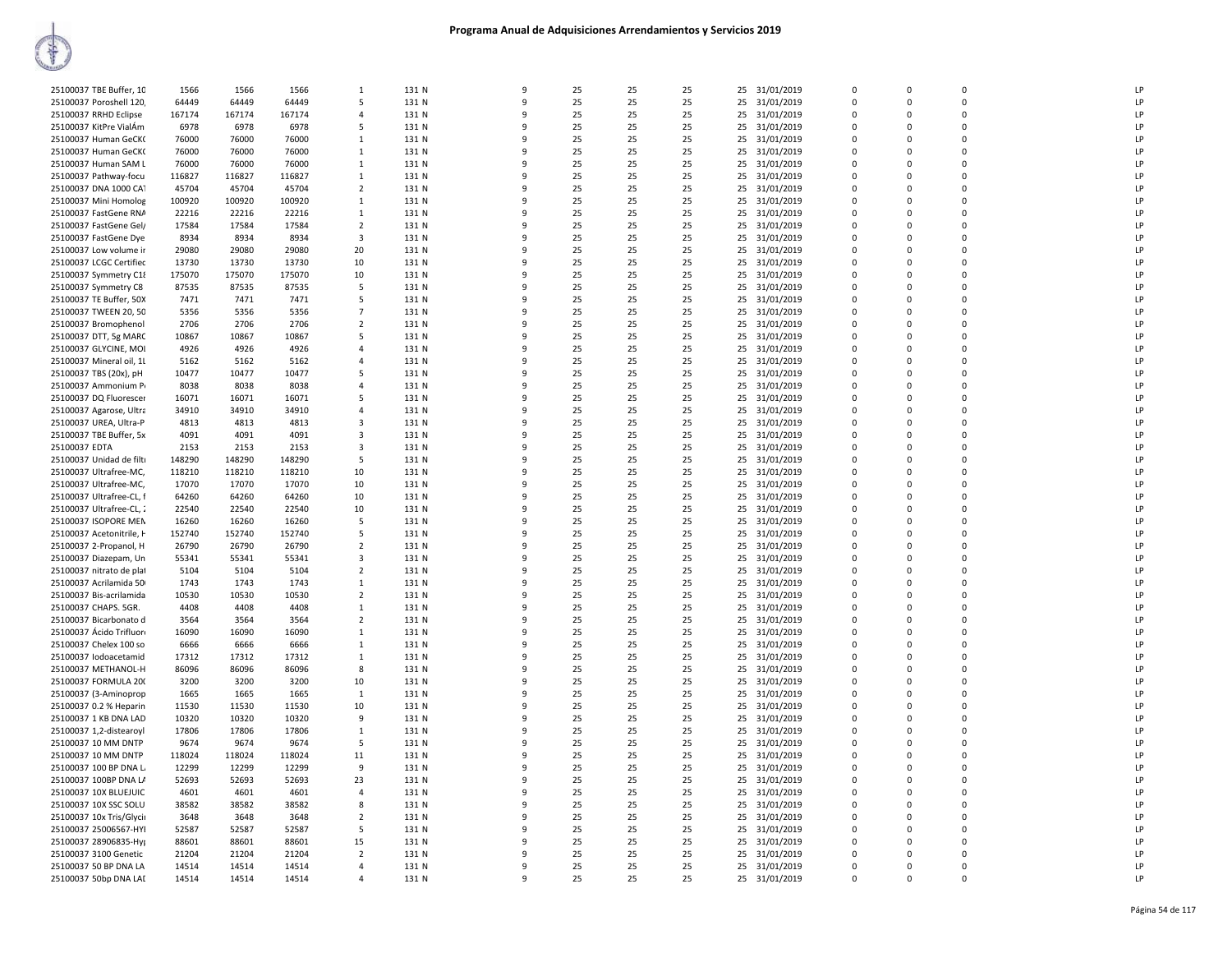| 25100037 TBE Buffer, 10                           | 1566          | 1566          | 1566          | $\mathbf{1}$                     | 131 N          | 9                 | 25       | 25       | 25       | 25       | 31/01/2019               | $\Omega$                | $\Omega$    | $\Omega$      | LP |
|---------------------------------------------------|---------------|---------------|---------------|----------------------------------|----------------|-------------------|----------|----------|----------|----------|--------------------------|-------------------------|-------------|---------------|----|
| 25100037 Poroshell 120                            | 64449         | 64449         | 64449         | 5                                | 131 N          | $\mathbf{q}$      | 25       | 25       | 25       | 25       | 31/01/2019               | $\Omega$                | $\Omega$    | $\Omega$      | LP |
| 25100037 RRHD Eclipse                             | 167174        | 167174        | 167174        | $\overline{a}$                   | 131 N          | 9                 | 25       | 25       | 25       | 25       | 31/01/2019               | $\Omega$                | $\Omega$    | $\Omega$      | LP |
| 25100037 KitPre VialÁm                            | 6978          | 6978          | 6978          | .5                               | 131 N          | q                 | 25       | 25       | 25       | 25       | 31/01/2019               | $\Omega$                | $\Omega$    | $\Omega$      | LP |
|                                                   |               |               |               |                                  |                |                   |          |          |          |          |                          | $\mathbf 0$             |             | $\mathbf 0$   | LP |
| 25100037 Human GeCK                               | 76000         | 76000         | 76000         | $\mathbf{1}$                     | 131 N          | q                 | 25       | 25       | 25       | 25       | 31/01/2019               | $\Omega$                | $\Omega$    | $\Omega$      |    |
| 25100037 Human GeCK                               | 76000         | 76000         | 76000         | 1                                | 131 N          |                   | 25       | 25       | 25       | 25       | 31/01/2019               |                         | $\Omega$    |               | LP |
| 25100037 Human SAM L                              | 76000         | 76000         | 76000         | 1                                | 131 N          |                   | 25       | 25       | 25       | 25       | 31/01/2019               | $\mathbf 0$             | $\Omega$    | $\mathbf 0$   | LP |
| 25100037 Pathway-focu                             | 116827        | 116827        | 116827        | $\mathbf{1}$                     | 131 N          | 9                 | 25       | 25       | 25       | 25       | 31/01/2019               | $\mathbf 0$             | $\mathbf 0$ | $\mathbf 0$   | LP |
| 25100037 DNA 1000 CAT                             | 45704         | 45704         | 45704         | $\overline{2}$                   | 131 N          | q                 | 25       | 25       | 25       | 25       | 31/01/2019               | $\Omega$                | $\Omega$    | $\Omega$      | LP |
| 25100037 Mini Homolog                             | 100920        | 100920        | 100920        | $\mathbf{1}$                     | 131 N          | ٩                 | 25       | 25       | 25       | 25       | 31/01/2019               | $\Omega$                | $\Omega$    | $\Omega$      | LP |
| 25100037 FastGene RNA                             | 22216         | 22216         | 22216         | 1                                | 131 N          |                   | 25       | 25       | 25       | 25       | 31/01/2019               | $\Omega$                | $\Omega$    | $\Omega$      | LP |
| 25100037 FastGene Gel/                            | 17584         | 17584         | 17584         | $\overline{2}$                   | 131 N          |                   | 25       | 25       | 25       | 25       | 31/01/2019               | $\mathbf 0$             | $\Omega$    | $\mathbf 0$   | LP |
| 25100037 FastGene Dye                             | 8934          | 8934          | 8934          | $\overline{\mathbf{3}}$          | 131 N          | q                 | 25       | 25       | 25       | 25       | 31/01/2019               | $\Omega$                | $\Omega$    | $\Omega$      | LP |
| 25100037 Low volume ir                            | 29080         | 29080         | 29080         | 20                               | 131 N          | 9                 | 25       | 25       | 25       | 25       | 31/01/2019               | $\mathbf 0$             | $\Omega$    | $\mathbf 0$   | LP |
| 25100037 LCGC Certified                           | 13730         | 13730         | 13730         | 10                               | 131 N          | q                 | 25       | 25       | 25       | 25       | 31/01/2019               | $\mathbf 0$             | $\Omega$    | $\mathbf 0$   | LP |
| 25100037 Symmetry C18                             | 175070        | 175070        | 175070        | 10                               | 131 N          | 9                 | 25       | 25       | 25       | 25       | 31/01/2019               | $\Omega$                | $\Omega$    | $\Omega$      | LP |
| 25100037 Symmetry C8                              | 87535         | 87535         | 87535         | 5                                | 131 N          | q                 | 25       | 25       | 25       | 25       | 31/01/2019               | $\Omega$                | $\Omega$    | $\Omega$      | LP |
| 25100037 TE Buffer, 50X                           | 7471          | 7471          | 7471          | 5                                | 131 N          |                   | 25       | 25       | 25       | 25       | 31/01/2019               | $\Omega$                | $\Omega$    | $\Omega$      | LP |
| 25100037 TWEEN 20, 50                             | 5356          | 5356          | 5356          | $\overline{7}$                   | 131 N          |                   | 25       | 25       | 25       | 25       | 31/01/2019               | $\Omega$                | n           | $\mathbf 0$   | LP |
| 25100037 Bromophenol                              | 2706          | 2706          | 2706          | $\overline{2}$                   | 131 N          | q                 | 25       | 25       | 25       | 25       | 31/01/2019               | $\Omega$                | $\Omega$    | $\Omega$      | LP |
| 25100037 DTT, 5g MARC                             | 10867         | 10867         | 10867         | 5                                | 131 N          |                   | 25       | 25       | 25       | 25       | 31/01/2019               | $\Omega$                | $\Omega$    | $\mathbf 0$   | LP |
| 25100037 GLYCINE, MOI                             | 4926          | 4926          | 4926          | $\overline{4}$                   | 131 N          | 9                 | 25       | 25       | 25       | 25       | 31/01/2019               | $\Omega$                | $\Omega$    | $\Omega$      | LP |
| 25100037 Mineral oil, 1l                          | 5162          | 5162          | 5162          | $\overline{4}$                   | 131 N          | 9                 | 25       | 25       | 25       | 25       | 31/01/2019               | $\mathbf 0$             | $\mathbf 0$ | $\mathbf 0$   | LP |
| 25100037 TBS (20x), pH                            | 10477         | 10477         | 10477         | 5                                | 131 N          | q                 | 25       | 25       | 25       | 25       | 31/01/2019               | $\Omega$                | $\Omega$    | $\Omega$      | LP |
| 25100037 Ammonium P                               | 8038          | 8038          | 8038          | $\overline{a}$                   | 131 N          |                   | 25       | 25       | 25       | 25       | 31/01/2019               | $\Omega$                | $\Omega$    | $\Omega$      | LP |
| 25100037 DQ Fluorescer                            | 16071         | 16071         | 16071         | 5                                | 131 N          | 9                 | 25       | 25       | 25       | 25       | 31/01/2019               | $\Omega$                | $\Omega$    | $\mathbf 0$   | LP |
| 25100037 Agarose, Ultra                           | 34910         | 34910         | 34910         | $\overline{4}$                   | 131 N          | q                 | 25       | 25       | 25       | 25       | 31/01/2019               | $\Omega$                | $\Omega$    | $\Omega$      | LP |
| 25100037 UREA, Ultra-P                            | 4813          | 4813          | 4813          | 3                                | 131 N          | 9                 | 25       | 25       | 25       | 25       | 31/01/2019               | $\Omega$                | $\Omega$    | $\mathbf 0$   | LP |
| 25100037 TBE Buffer, 5x                           | 4091          | 4091          | 4091          | $\overline{\mathbf{3}}$          | 131 N          | 9                 | 25       | 25       | 25       | 25       | 31/01/2019               | $\Omega$                | $\Omega$    | $\Omega$      | LP |
| 25100037 EDTA                                     | 2153          | 2153          | 2153          | $\overline{\mathbf{3}}$          | 131 N          | 9                 | 25       | 25       | 25       | 25       | 31/01/2019               | $\mathbf 0$             | $\mathbf 0$ | $\mathbf 0$   | LP |
| 25100037 Unidad de filti                          | 148290        | 148290        | 148290        | 5                                | 131 N          | q                 | 25       | 25       | 25       | 25       | 31/01/2019               | $\Omega$                | $\Omega$    | $\Omega$      | LP |
| 25100037 Ultrafree-MC,                            | 118210        | 118210        | 118210        | 10                               | 131 N          |                   | 25       | 25       | 25       | 25       | 31/01/2019               | $\Omega$                | $\Omega$    | $\Omega$      | LP |
| 25100037 Ultrafree-MC,                            | 17070         | 17070         | 17070         | 10                               | 131 N          | q                 | 25       | 25       | 25       | 25       | 31/01/2019               | $\Omega$                | $\Omega$    | $\mathbf 0$   | LP |
| 25100037 Ultrafree-CL, f                          | 64260         | 64260         | 64260         | 10                               | 131 N          | q                 | 25       | 25       | 25       | 25       | 31/01/2019               | $\Omega$                | $\Omega$    | $\Omega$      | LP |
| 25100037 Ultrafree-CL, 2                          | 22540         | 22540         | 22540         | 10                               | 131 N          | q                 | 25       | 25       | 25       | 25       | 31/01/2019               | $\Omega$                | $\Omega$    | $\Omega$      | LP |
| 25100037 ISOPORE MEN                              | 16260         | 16260         | 16260         | 5                                | 131 N          | q                 | 25       | 25       | 25       | 25       | 31/01/2019               | $\Omega$                | $\Omega$    | $\Omega$      | LP |
| 25100037 Acetonitrile, H                          | 152740        | 152740        | 152740        | 5                                | 131 N          | 9                 | 25       | 25       | 25       | 25       | 31/01/2019               | $\mathbf 0$             | $\Omega$    | $\mathbf 0$   | LP |
| 25100037 2-Propanol, H                            | 26790         | 26790         | 26790         | $\overline{2}$                   | 131 N          | q                 | 25       | 25       | 25       | 25       | 31/01/2019               | $\Omega$                | $\Omega$    | $\Omega$      | LP |
| 25100037 Diazepam, Un                             | 55341         | 55341         | 55341         | $\overline{3}$                   | 131 N          |                   | 25       | 25       | 25       | 25       | 31/01/2019               | $\mathbf 0$             | $\Omega$    | $\mathbf 0$   | LP |
| 25100037 nitrato de plat                          | 5104          | 5104          | 5104          | $\overline{2}$                   | 131 N          |                   | 25       | 25       | 25       | 25       | 31/01/2019               | $\Omega$                | $\Omega$    | $\Omega$      | LP |
| 25100037 Acrilamida 50                            | 1743          | 1743          | 1743          | 1                                | 131 N          |                   | 25       | 25       | 25       | 25       | 31/01/2019               | $\Omega$                | $\Omega$    | $\Omega$      | LP |
|                                                   |               |               |               | $\overline{2}$                   |                | q                 | 25       | 25       | 25       |          |                          | $\Omega$                | $\Omega$    | $\Omega$      | LP |
| 25100037 Bis-acrilamida<br>25100037 CHAPS. 5GR.   | 10530<br>4408 | 10530<br>4408 | 10530<br>4408 | $\overline{1}$                   | 131 N<br>131 N | q                 | 25       | 25       | 25       | 25       | 31/01/2019               | $\Omega$                | $\Omega$    | $\Omega$      | LP |
|                                                   |               |               |               |                                  |                |                   |          |          |          | 25       | 31/01/2019               | $\mathbf 0$             | $\Omega$    | $\mathbf 0$   | LP |
| 25100037 Bicarbonato d<br>25100037 Ácido Trifluor | 3564<br>16090 | 3564<br>16090 | 3564<br>16090 | $\overline{2}$<br>$\overline{1}$ | 131 N<br>131 N | 9<br>$\mathbf{q}$ | 25<br>25 | 25<br>25 | 25<br>25 | 25<br>25 | 31/01/2019<br>31/01/2019 | $\Omega$                | $\Omega$    | $\Omega$      | LP |
|                                                   |               |               | 6666          | 1                                | 131 N          |                   | 25       |          | 25       | 25       |                          | $\mathbf 0$             | $\Omega$    | $\mathbf 0$   | LP |
| 25100037 Chelex 100 so                            | 6666<br>17312 | 6666<br>17312 |               | 1                                | 131 N          | ٩                 | 25       | 25<br>25 | 25       |          | 31/01/2019               | $\mathbf 0$             | $\Omega$    | $\mathbf 0$   | LP |
| 25100037 lodoacetamid                             |               |               | 17312         | 8                                | 131 N          |                   | 25       |          | 25       | 25       | 31/01/2019               | $\Omega$                | $\Omega$    | $\Omega$      | LP |
| 25100037 METHANOL-H                               | 86096         | 86096         | 86096         |                                  |                | q                 |          | 25       |          | 25       | 31/01/2019               | $\Omega$                | $\Omega$    | $\Omega$      | LP |
| 25100037 FORMULA 200                              | 3200          | 3200          | 3200          | 10                               | 131 N          |                   | 25       | 25       | 25       | 25       | 31/01/2019               |                         |             |               |    |
| 25100037 (3-Aminoprop                             | 1665          | 1665          | 1665          | 1                                | 131 N          | q                 | 25       | 25       | 25       | 25       | 31/01/2019               | $\Omega$                | $\Omega$    | $\Omega$      | LP |
| 25100037 0.2 % Heparin                            | 11530         | 11530         | 11530         | 10                               | 131 N          | 9                 | 25       | 25       | 25       | 25       | 31/01/2019               | $\mathbf 0$<br>$\Omega$ | $\Omega$    | 0<br>$\Omega$ | LP |
| 25100037 1 KB DNA LAD                             | 10320         | 10320         | 10320         | $\overline{9}$                   | 131 N          | q                 | 25       | 25       | 25       | 25       | 31/01/2019               |                         | $\Omega$    |               | LP |
| 25100037 1,2-distearoyl                           | 17806         | 17806         | 17806         | $\mathbf{1}$                     | 131 N          |                   | 25       | 25       | 25       | 25       | 31/01/2019               | $\Omega$                | $\Omega$    | $\mathbf 0$   | LP |
| 25100037 10 MM DNTP                               | 9674          | 9674          | 9674          | 5                                | 131 N          |                   | 25       | 25       | 25       | 25       | 31/01/2019               | $\Omega$                | $\Omega$    | $\Omega$      | LP |
| 25100037 10 MM DNTP                               | 118024        | 118024        | 118024        | 11                               | 131 N          |                   | 25       | 25       | 25       | 25       | 31/01/2019               | $\mathbf 0$             | $\mathbf 0$ | $\mathbf 0$   | LP |
| 25100037 100 BP DNA L                             | 12299         | 12299         | 12299         | -9                               | 131 N          | q                 | 25       | 25       | 25       | 25       | 31/01/2019               | $\Omega$                | $\Omega$    | $\Omega$      | LP |
| 25100037 100BP DNA LA                             | 52693         | 52693         | 52693         | 23                               | 131 N          |                   | 25       | 25       | 25       | 25       | 31/01/2019               | $\Omega$                | $\Omega$    | $\Omega$      | LP |
| 25100037 10X BLUEJUIC                             | 4601          | 4601          | 4601          | $\overline{a}$                   | 131 N          | 9                 | 25       | 25       | 25       | 25       | 31/01/2019               | $\Omega$                | $\Omega$    | $\Omega$      | LP |
| 25100037 10X SSC SOLU                             | 38582         | 38582         | 38582         | 8                                | 131 N          | q                 | 25       | 25       | 25       | 25       | 31/01/2019               | $\Omega$                | $\Omega$    | $\Omega$      | LP |
| 25100037 10x Tris/Glycii                          | 3648          | 3648          | 3648          | $\overline{2}$                   | 131 N          | 9                 | 25       | 25       | 25       | 25       | 31/01/2019               | $\Omega$                | $\Omega$    | $\mathbf 0$   | LP |
| 25100037 25006567-HYI                             | 52587         | 52587         | 52587         | 5                                | 131 N          | q                 | 25       | 25       | 25       | 25       | 31/01/2019               | $\Omega$                | $\Omega$    | $\Omega$      | LP |
| 25100037 28906835-Hy                              | 88601         | 88601         | 88601         | 15                               | 131 N          |                   | 25       | 25       | 25       | 25       | 31/01/2019               | $\mathbf 0$             | $\Omega$    | $\mathbf 0$   | LP |
| 25100037 3100 Genetic                             | 21204         | 21204         | 21204         | $\overline{2}$                   | 131 N          | $\Omega$          | 25       | 25       | 25       | 25       | 31/01/2019               | $\Omega$                | $\Omega$    | $\Omega$      | LP |
| 25100037 50 BP DNA LA                             | 14514         | 14514         | 14514         | $\overline{a}$                   | 131 N          |                   | 25       | 25       | 25       | 25       | 31/01/2019               | $\Omega$                | $\Omega$    | $\Omega$      | LP |
| 25100037 50bp DNA LAI                             | 14514         | 14514         | 14514         | $\Delta$                         | 131 N          | q                 | 25       | 25       | 25       | 25       | 31/01/2019               | $\Omega$                | $\Omega$    | $\Omega$      | LP |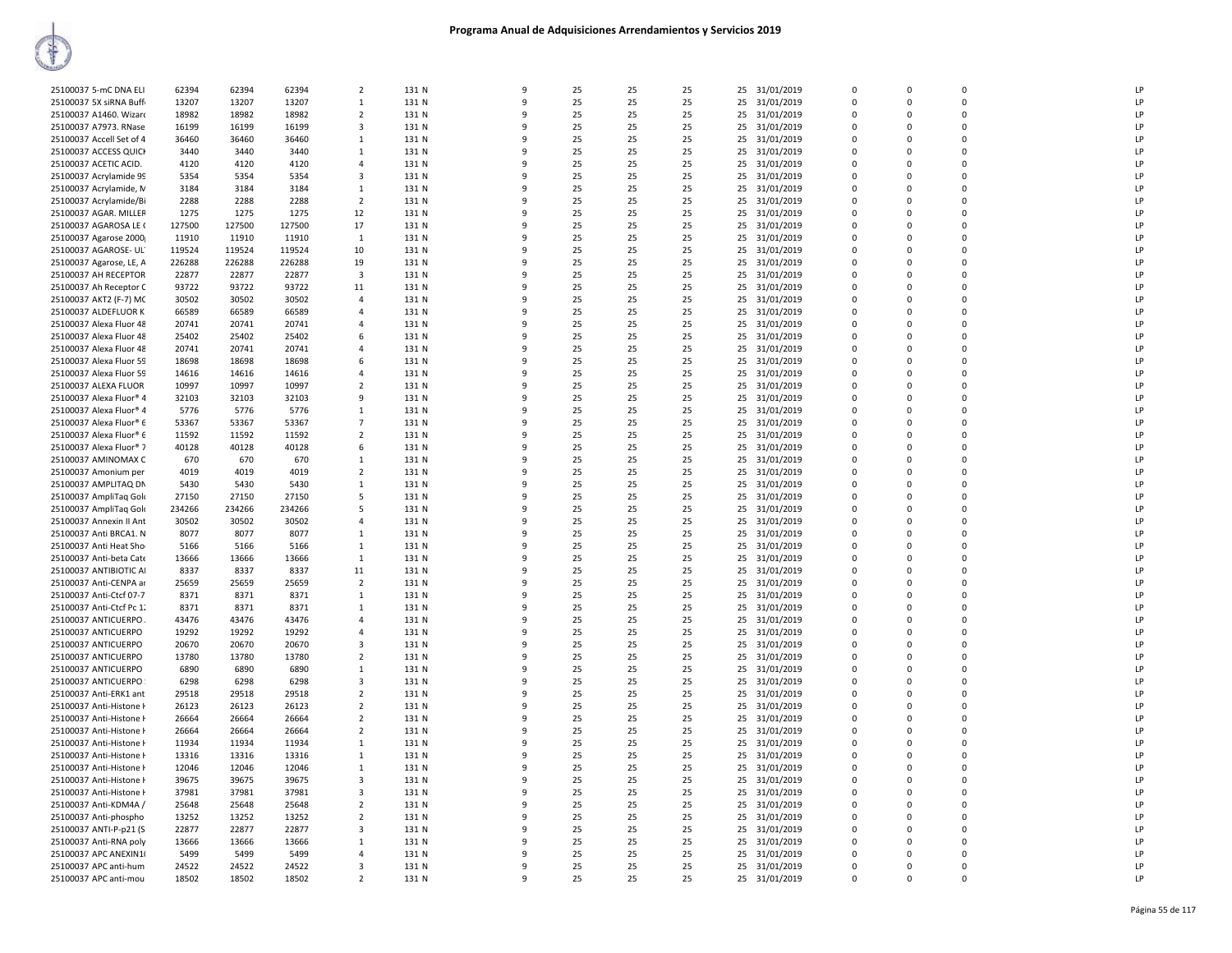| 25100037 5-mC DNA ELI    | 62394  | 62394  | 62394  | $\overline{2}$          | 131 N | 9 | 25 | 25 | 25 | 25 | 31/01/2019    | $\Omega$    | $\Omega$    | $\Omega$    | LP |
|--------------------------|--------|--------|--------|-------------------------|-------|---|----|----|----|----|---------------|-------------|-------------|-------------|----|
| 25100037 5X siRNA Buffi  | 13207  | 13207  | 13207  | 1                       | 131 N | 9 | 25 | 25 | 25 | 25 | 31/01/2019    | 0           | $\Omega$    | $\Omega$    | LP |
| 25100037 A1460. Wizard   | 18982  | 18982  | 18982  | $\overline{2}$          | 131 N | q | 25 | 25 | 25 | 25 | 31/01/2019    | $\Omega$    | n           | $\Omega$    | LP |
| 25100037 A7973. RNase    | 16199  | 16199  | 16199  | $\overline{\mathbf{3}}$ | 131 N | 9 | 25 | 25 | 25 |    | 25 31/01/2019 | $\mathbf 0$ | $\Omega$    | 0           | LP |
| 25100037 Accell Set of 4 | 36460  | 36460  | 36460  | 1                       | 131 N | q | 25 | 25 | 25 | 25 | 31/01/2019    | 0           | $\Omega$    | 0           | LP |
| 25100037 ACCESS QUICH    | 3440   | 3440   | 3440   | $\mathbf{1}$            | 131 N | 9 | 25 | 25 | 25 |    | 25 31/01/2019 | $\mathbf 0$ | $\Omega$    | 0           | LP |
| 25100037 ACETIC ACID.    | 4120   | 4120   | 4120   | $\overline{4}$          | 131 N | q | 25 | 25 | 25 |    |               | 0           | $\Omega$    | 0           | LP |
|                          |        |        |        |                         |       | q |    |    |    |    | 25 31/01/2019 | $\Omega$    | $\Omega$    | $\Omega$    | LP |
| 25100037 Acrylamide 99   | 5354   | 5354   | 5354   | 3                       | 131 N |   | 25 | 25 | 25 |    | 25 31/01/2019 |             |             |             |    |
| 25100037 Acrylamide, N   | 3184   | 3184   | 3184   | 1                       | 131 N | q | 25 | 25 | 25 | 25 | 31/01/2019    | $\Omega$    | $\Omega$    | $\Omega$    | LP |
| 25100037 Acrylamide/Bi   | 2288   | 2288   | 2288   | $\overline{2}$          | 131 N | q | 25 | 25 | 25 | 25 | 31/01/2019    | $\Omega$    | n           | $\Omega$    | LP |
| 25100037 AGAR. MILLER    | 1275   | 1275   | 1275   | 12                      | 131 N | 9 | 25 | 25 | 25 |    | 25 31/01/2019 | 0           | $\Omega$    | 0           | LP |
| 25100037 AGAROSA LE (    | 127500 | 127500 | 127500 | 17                      | 131 N | q | 25 | 25 | 25 | 25 | 31/01/2019    | $\mathbf 0$ | $\Omega$    | 0           | LP |
| 25100037 Agarose 2000    | 11910  | 11910  | 11910  | $\mathbf{1}$            | 131 N | 9 | 25 | 25 | 25 |    | 25 31/01/2019 | $\mathbf 0$ | $\Omega$    | 0           | LP |
| 25100037 AGAROSE- UL'    | 119524 | 119524 | 119524 | 10                      | 131 N | 9 | 25 | 25 | 25 | 25 | 31/01/2019    | 0           | $\Omega$    | 0           | LP |
| 25100037 Agarose, LE, A  | 226288 | 226288 | 226288 | 19                      | 131 N | q | 25 | 25 | 25 |    | 25 31/01/2019 | $\Omega$    | $\Omega$    | $\Omega$    | LP |
| 25100037 AH RECEPTOR     | 22877  | 22877  | 22877  | 3                       | 131 N | q | 25 | 25 | 25 | 25 | 31/01/2019    | 0           | $\Omega$    | 0           | LP |
| 25100037 Ah Receptor C   | 93722  | 93722  | 93722  | 11                      | 131 N | q | 25 | 25 | 25 |    | 25 31/01/2019 | $\Omega$    | $\Omega$    | $\Omega$    | LP |
| 25100037 AKT2 (F-7) MC   | 30502  | 30502  | 30502  | $\overline{4}$          | 131 N | 9 | 25 | 25 | 25 |    | 25 31/01/2019 | $\Omega$    | $\Omega$    | $\Omega$    | LP |
| 25100037 ALDEFLUOR K     | 66589  | 66589  | 66589  | $\overline{4}$          | 131 N | q | 25 | 25 | 25 | 25 | 31/01/2019    | 0           | n           | 0           | LP |
| 25100037 Alexa Fluor 48  | 20741  | 20741  | 20741  | $\overline{4}$          | 131 N | 9 | 25 | 25 | 25 |    | 25 31/01/2019 | $\mathbf 0$ | $\Omega$    | 0           | LP |
| 25100037 Alexa Fluor 48  | 25402  | 25402  | 25402  | 6                       | 131 N | q | 25 | 25 | 25 | 25 | 31/01/2019    | 0           | $\Omega$    | 0           | LP |
| 25100037 Alexa Fluor 48  | 20741  | 20741  | 20741  | $\overline{4}$          | 131 N | 9 | 25 | 25 | 25 |    | 25 31/01/2019 | $\mathbf 0$ | $\Omega$    | 0           | LP |
| 25100037 Alexa Fluor 59  | 18698  | 18698  | 18698  | 6                       | 131 N | q | 25 | 25 | 25 | 25 | 31/01/2019    | 0           | $\Omega$    | 0           | LP |
| 25100037 Alexa Fluor 59  | 14616  | 14616  | 14616  | $\overline{4}$          | 131 N | q | 25 | 25 | 25 |    | 25 31/01/2019 | $\Omega$    | $\Omega$    | $\Omega$    | LP |
| 25100037 ALEXA FLUOR     | 10997  | 10997  | 10997  | $\overline{2}$          | 131 N | 9 | 25 | 25 | 25 |    | 25 31/01/2019 | $\Omega$    | $\Omega$    | $\Omega$    | LP |
| 25100037 Alexa Fluor® 4  | 32103  | 32103  | 32103  | 9                       | 131 N | q | 25 | 25 | 25 | 25 | 31/01/2019    | $\Omega$    | n           | 0           | LP |
| 25100037 Alexa Fluor® 4  | 5776   | 5776   | 5776   | 1                       | 131 N | 9 | 25 | 25 | 25 | 25 | 31/01/2019    | 0           | $\Omega$    | 0           | LP |
| 25100037 Alexa Fluor® 6  | 53367  | 53367  | 53367  | $\overline{7}$          | 131 N | ٩ | 25 | 25 | 25 | 25 | 31/01/2019    | $\mathbf 0$ | n           | 0           | LP |
| 25100037 Alexa Fluor® 6  | 11592  | 11592  | 11592  | $\overline{2}$          | 131 N | 9 | 25 | 25 | 25 | 25 | 31/01/2019    | $\mathbf 0$ | $\Omega$    | 0           | LP |
| 25100037 Alexa Fluor® 7  | 40128  | 40128  | 40128  | 6                       | 131 N | 9 | 25 | 25 | 25 | 25 | 31/01/2019    | 0           | $\mathbf 0$ | $\mathsf 0$ | LP |
| 25100037 AMINOMAX C      | 670    | 670    | 670    | $\mathbf{1}$            | 131 N | q | 25 | 25 | 25 |    | 25 31/01/2019 | $\Omega$    | $\Omega$    | $\Omega$    | LP |
| 25100037 Amonium per     | 4019   | 4019   | 4019   | $\overline{2}$          | 131 N | q | 25 | 25 | 25 |    | 25 31/01/2019 | 0           | $\Omega$    | $\Omega$    | LP |
| 25100037 AMPLITAQ DN     | 5430   | 5430   | 5430   | $\mathbf{1}$            | 131 N | q | 25 | 25 | 25 |    | 25 31/01/2019 | $\Omega$    | n           | 0           | LP |
| 25100037 AmpliTag Gold   | 27150  | 27150  | 27150  | 5                       | 131 N | 9 | 25 | 25 | 25 | 25 | 31/01/2019    | $\Omega$    | $\Omega$    | 0           | LP |
| 25100037 AmpliTag Gold   | 234266 | 234266 | 234266 | 5                       | 131 N | q | 25 | 25 | 25 | 25 | 31/01/2019    | $\Omega$    | n           | $\Omega$    | LP |
| 25100037 Annexin II Ant  | 30502  | 30502  | 30502  | $\overline{4}$          | 131 N | 9 | 25 | 25 | 25 |    | 25 31/01/2019 | $\mathbf 0$ | $\Omega$    | 0           | LP |
| 25100037 Anti BRCA1. N   | 8077   | 8077   | 8077   | 1                       | 131 N | 9 | 25 | 25 | 25 | 25 | 31/01/2019    | 0           | $\Omega$    | 0           | LP |
| 25100037 Anti Heat Sho   | 5166   | 5166   | 5166   | 1                       | 131 N | q | 25 | 25 | 25 |    | 25 31/01/2019 | $\mathbf 0$ | $\Omega$    | 0           | LP |
| 25100037 Anti-beta Cate  | 13666  | 13666  | 13666  | 1                       | 131 N | q | 25 | 25 | 25 |    | 25 31/01/2019 | $\Omega$    | $\Omega$    | $\Omega$    | LP |
| 25100037 ANTIBIOTIC AI   | 8337   | 8337   | 8337   | 11                      | 131 N | C | 25 | 25 | 25 |    | 25 31/01/2019 | $\Omega$    | $\Omega$    | $\Omega$    | LP |
| 25100037 Anti-CENPA ar   | 25659  | 25659  | 25659  | $\overline{2}$          | 131 N | q | 25 | 25 | 25 | 25 | 31/01/2019    | 0           | $\Omega$    | 0           | LP |
| 25100037 Anti-Ctcf 07-7  | 8371   | 8371   | 8371   | 1                       | 131 N | q | 25 | 25 | 25 |    | 25 31/01/2019 | $\Omega$    | n           | $\Omega$    | LP |
| 25100037 Anti-Ctcf Pc 1. | 8371   | 8371   | 8371   | 1                       | 131 N | 9 | 25 | 25 | 25 | 25 | 31/01/2019    | 0           | $\Omega$    | 0           | LP |
| 25100037 ANTICUERPO      | 43476  | 43476  | 43476  | $\overline{4}$          | 131 N | 9 | 25 | 25 | 25 | 25 | 31/01/2019    | $\mathbf 0$ | $\Omega$    | 0           | LP |
| 25100037 ANTICUERPO      | 19292  | 19292  | 19292  | $\overline{4}$          | 131 N | 9 | 25 | 25 | 25 | 25 | 31/01/2019    | $\mathbf 0$ | $\Omega$    | 0           | LP |
| 25100037 ANTICUERPO      | 20670  | 20670  | 20670  | 3                       | 131 N | q | 25 | 25 | 25 | 25 | 31/01/2019    | $\mathbf 0$ | $\Omega$    | 0           | LP |
| 25100037 ANTICUERPO      | 13780  | 13780  | 13780  | $\overline{2}$          | 131 N | q | 25 | 25 | 25 |    | 25 31/01/2019 | $\Omega$    | $\Omega$    | $\Omega$    | LP |
| 25100037 ANTICUERPO      | 6890   | 6890   | 6890   | 1                       | 131 N | q | 25 | 25 | 25 | 25 | 31/01/2019    | 0           | n           | 0           | LP |
| 25100037 ANTICUERPO      | 6298   | 6298   | 6298   | $\overline{\mathbf{3}}$ | 131 N | q | 25 | 25 | 25 |    | 25 31/01/2019 | $\Omega$    | $\Omega$    | $\Omega$    | LP |
| 25100037 Anti-ERK1 ant   | 29518  | 29518  | 29518  | $\overline{2}$          | 131 N | 9 | 25 | 25 | 25 |    | 25 31/01/2019 | $\Omega$    | $\Omega$    | $\Omega$    | LP |
| 25100037 Anti-Histone H  | 26123  | 26123  | 26123  | $\overline{2}$          | 131 N | 9 | 25 | 25 | 25 | 25 | 31/01/2019    | 0           | $\Omega$    | $\mathbf 0$ | LP |
| 25100037 Anti-Histone F  | 26664  | 26664  | 26664  | $\overline{2}$          | 131 N | 9 | 25 | 25 | 25 | 25 | 31/01/2019    | $\mathbf 0$ | $\Omega$    | 0           | LP |
| 25100037 Anti-Histone H  | 26664  | 26664  | 26664  | $\overline{2}$          | 131 N | q | 25 | 25 | 25 | 25 | 31/01/2019    | $\mathbf 0$ | $\Omega$    | 0           | LP |
| 25100037 Anti-Histone H  | 11934  | 11934  | 11934  | $\mathbf{1}$            | 131 N | q | 25 | 25 | 25 |    | 25 31/01/2019 | $\mathbf 0$ | $\Omega$    | 0           | LP |
| 25100037 Anti-Histone H  | 13316  | 13316  | 13316  | 1                       | 131 N | q | 25 | 25 | 25 | 25 | 31/01/2019    | 0           | n           | 0           | LP |
| 25100037 Anti-Histone H  | 12046  | 12046  | 12046  | 1                       | 131 N | q | 25 | 25 | 25 |    | 25 31/01/2019 | $\Omega$    | $\Omega$    | $\Omega$    | LP |
| 25100037 Anti-Histone I  | 39675  | 39675  | 39675  | 3                       | 131 N | 9 | 25 | 25 | 25 |    | 25 31/01/2019 | 0           | $\Omega$    | 0           | LP |
| 25100037 Anti-Histone I  | 37981  | 37981  | 37981  | 3                       | 131 N | 9 | 25 | 25 | 25 | 25 | 31/01/2019    | 0           | $\Omega$    | 0           | LP |
| 25100037 Anti-KDM4A /    | 25648  | 25648  | 25648  | $\overline{2}$          | 131 N | q | 25 | 25 | 25 |    | 25 31/01/2019 | 0           | $\Omega$    | $\Omega$    | LP |
| 25100037 Anti-phospho    | 13252  | 13252  | 13252  | $\overline{2}$          | 131 N | q | 25 | 25 | 25 | 25 | 31/01/2019    | $\mathbf 0$ | n           | $\Omega$    | LP |
| 25100037 ANTI-P-p21 (S   | 22877  | 22877  | 22877  | $\overline{3}$          | 131 N | 9 | 25 | 25 | 25 |    | 25 31/01/2019 | $\mathbf 0$ | $\Omega$    | 0           | LP |
| 25100037 Anti-RNA poly   | 13666  | 13666  | 13666  | 1                       | 131 N | q | 25 | 25 | 25 | 25 | 31/01/2019    | 0           | n           | 0           | LP |
| 25100037 APC ANEXIN1     | 5499   | 5499   | 5499   | $\overline{4}$          | 131 N | q | 25 | 25 | 25 |    | 25 31/01/2019 | $\Omega$    | $\Omega$    | $\Omega$    | LP |
| 25100037 APC anti-hum    | 24522  | 24522  | 24522  | 3                       | 131 N | q | 25 | 25 | 25 |    | 25 31/01/2019 | $\Omega$    | n           | $\Omega$    | LP |
|                          |        |        |        |                         |       |   |    |    |    |    |               |             |             |             |    |
| 25100037 APC anti-mou    | 18502  | 18502  | 18502  | $\overline{2}$          | 131 N | 9 | 25 | 25 | 25 |    | 25 31/01/2019 | $\Omega$    | $\Omega$    | $\Omega$    | LP |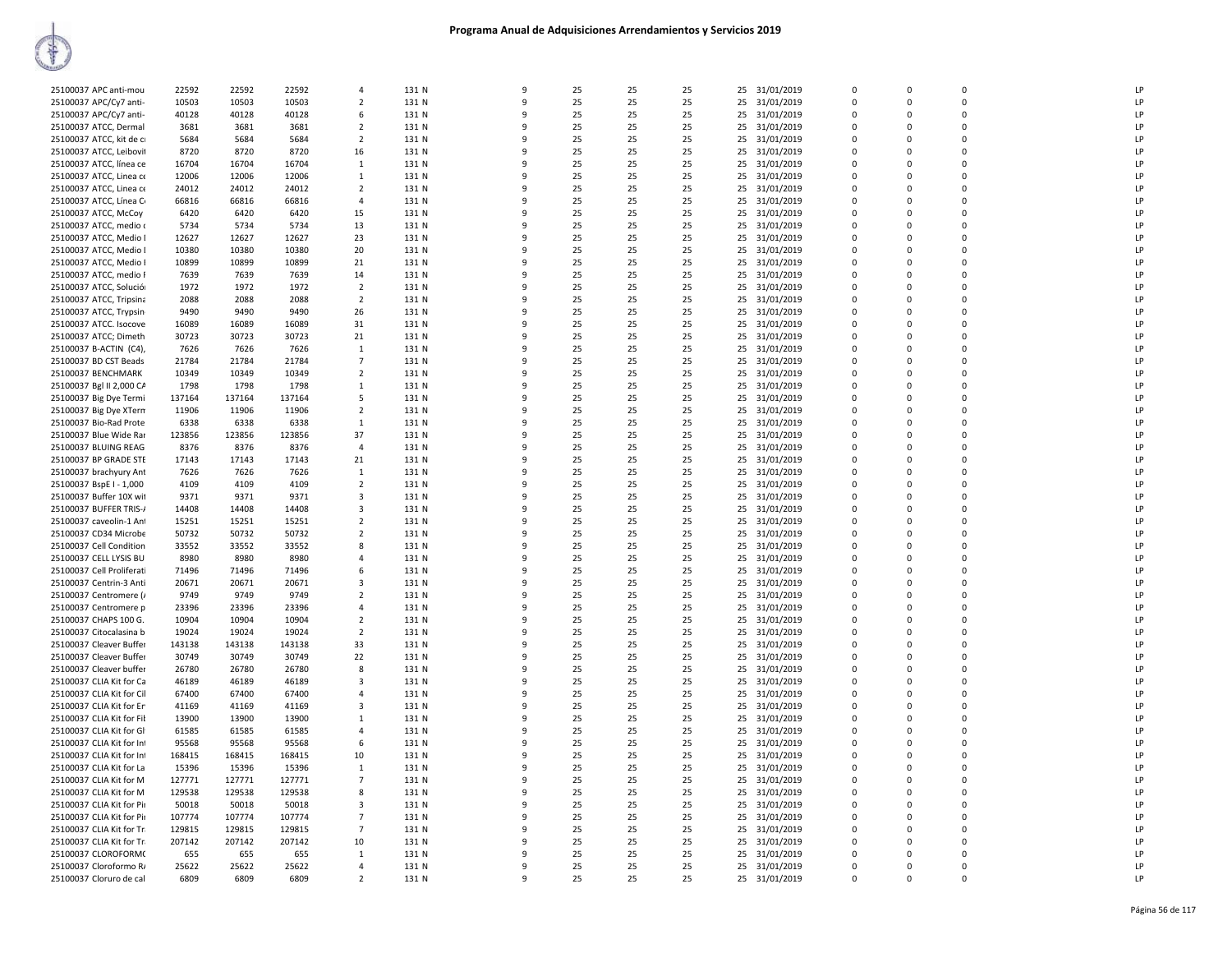| 25100037 APC anti-mou     | 22592  | 22592  | 22592  | $\overline{4}$          | 131 N | $\mathbf{q}$ | 25 | 25 | 25 | 31/01/2019<br>25 | $\Omega$    | $\Omega$    | $\Omega$    | LP |
|---------------------------|--------|--------|--------|-------------------------|-------|--------------|----|----|----|------------------|-------------|-------------|-------------|----|
| 25100037 APC/Cy7 anti-    | 10503  | 10503  | 10503  | $\overline{2}$          | 131 N | 9            | 25 | 25 | 25 | 25<br>31/01/2019 | $\Omega$    | $\Omega$    | $\Omega$    | LP |
|                           |        |        |        |                         |       |              |    |    |    |                  |             |             | $\Omega$    | LP |
| 25100037 APC/Cy7 anti-    | 40128  | 40128  | 40128  | 6                       | 131 N | q            | 25 | 25 | 25 | 25 31/01/2019    | $\Omega$    | $\Omega$    |             |    |
| 25100037 ATCC, Dermal     | 3681   | 3681   | 3681   | $\overline{2}$          | 131 N | 9            | 25 | 25 | 25 | 25 31/01/2019    | $\Omega$    | $\Omega$    | $\mathbf 0$ | LP |
| 25100037 ATCC, kit de ci  | 5684   | 5684   | 5684   | $\overline{2}$          | 131 N | q            | 25 | 25 | 25 | 25<br>31/01/2019 | $\mathbf 0$ | $\Omega$    | $\mathbf 0$ | LP |
| 25100037 ATCC, Leibovit   | 8720   | 8720   | 8720   | 16                      | 131 N | 9            | 25 | 25 | 25 | 25 31/01/2019    | $\mathbf 0$ | $\Omega$    | $\mathbf 0$ | LP |
| 25100037 ATCC, línea ce   | 16704  | 16704  | 16704  | $\mathbf{1}$            | 131 N | $\Omega$     | 25 | 25 | 25 | 25 31/01/2019    | $\mathbf 0$ | $\Omega$    | $\mathbf 0$ | LP |
| 25100037 ATCC, Linea ce   | 12006  | 12006  | 12006  | 1                       | 131 N | q            | 25 | 25 | 25 | 25<br>31/01/2019 | $\mathbf 0$ | $\Omega$    | $\mathbf 0$ | LP |
| 25100037 ATCC, Linea ce   | 24012  | 24012  | 24012  | $\overline{2}$          | 131 N | 9            | 25 | 25 | 25 | 25<br>31/01/2019 | $\Omega$    | $\Omega$    | $\Omega$    | LP |
| 25100037 ATCC, Línea C    | 66816  | 66816  | 66816  | $\overline{4}$          | 131 N | q            | 25 | 25 | 25 | 25 31/01/2019    | $\Omega$    | $\Omega$    | $\Omega$    | LP |
| 25100037 ATCC, McCoy      | 6420   | 6420   | 6420   | 15                      | 131 N | q            | 25 | 25 | 25 | 25 31/01/2019    | $\Omega$    | $\Omega$    | $\Omega$    | LP |
| 25100037 ATCC, medio o    | 5734   | 5734   | 5734   | 13                      | 131 N | q            | 25 | 25 | 25 | 25<br>31/01/2019 | 0           | $\Omega$    | 0           | LP |
| 25100037 ATCC, Medio I    | 12627  | 12627  | 12627  | 23                      | 131 N | 9            | 25 | 25 | 25 | 25 31/01/2019    | $\Omega$    | $\Omega$    | $\mathbf 0$ | LP |
|                           |        |        |        |                         |       |              |    |    |    |                  |             |             |             |    |
| 25100037 ATCC, Medio I    | 10380  | 10380  | 10380  | 20                      | 131 N | q            | 25 | 25 | 25 | 25<br>31/01/2019 | $\mathbf 0$ | $\Omega$    | $\mathbf 0$ | LP |
| 25100037 ATCC, Medio I    | 10899  | 10899  | 10899  | 21                      | 131 N | 9            | 25 | 25 | 25 | 25 31/01/2019    | $\mathbf 0$ | $\Omega$    | $\mathbf 0$ | LP |
| 25100037 ATCC, medio F    | 7639   | 7639   | 7639   | 14                      | 131 N | 9            | 25 | 25 | 25 | 25<br>31/01/2019 | 0           | 0           | 0           | LP |
| 25100037 ATCC, Solució    | 1972   | 1972   | 1972   | $\overline{2}$          | 131 N | q            | 25 | 25 | 25 | 31/01/2019<br>25 | $\mathbf 0$ | $\Omega$    | $\Omega$    | LP |
| 25100037 ATCC, Tripsina   | 2088   | 2088   | 2088   | $\overline{2}$          | 131 N | q            | 25 | 25 | 25 | 25 31/01/2019    | $\Omega$    | $\Omega$    | $\Omega$    | LP |
| 25100037 ATCC, Trypsin    | 9490   | 9490   | 9490   | 26                      | 131 N | q            | 25 | 25 | 25 | 31/01/2019<br>25 | $\Omega$    | $\Omega$    | $\mathbf 0$ | LP |
| 25100037 ATCC. Isocove    | 16089  | 16089  | 16089  | 31                      | 131 N | q            | 25 | 25 | 25 | 25<br>31/01/2019 | $\Omega$    | $\Omega$    | $\mathbf 0$ | LP |
| 25100037 ATCC; Dimeth     | 30723  | 30723  | 30723  | 21                      | 131 N | q            | 25 | 25 | 25 | 25<br>31/01/2019 | $\Omega$    | $\Omega$    | $\Omega$    | LP |
| 25100037 B-ACTIN (C4),    | 7626   | 7626   | 7626   | <sup>1</sup>            | 131 N | 9            | 25 | 25 | 25 | 25 31/01/2019    | $\mathbf 0$ | $\Omega$    | $\mathbf 0$ | LP |
| 25100037 BD CST Beads     | 21784  | 21784  | 21784  | $\overline{7}$          | 131 N | 9            | 25 | 25 | 25 | 31/01/2019<br>25 | $\mathbf 0$ | $\Omega$    | $\mathbf 0$ | LP |
| 25100037 BENCHMARK        | 10349  | 10349  | 10349  | $\overline{2}$          | 131 N | 9            | 25 | 25 | 25 |                  | $\mathbf 0$ | $\Omega$    | $\mathbf 0$ | LP |
|                           |        |        |        |                         |       |              |    |    |    | 25 31/01/2019    |             |             |             |    |
| 25100037 Bgl II 2,000 CA  | 1798   | 1798   | 1798   | 1                       | 131 N |              | 25 | 25 | 25 | 25 31/01/2019    | $\mathbf 0$ | $\Omega$    | $\mathbf 0$ | LP |
| 25100037 Big Dye Termi    | 137164 | 137164 | 137164 | 5                       | 131 N | q            | 25 | 25 | 25 | 25<br>31/01/2019 | $\mathbf 0$ | $\Omega$    | 0           | LP |
| 25100037 Big Dye XTerm    | 11906  | 11906  | 11906  | $\overline{2}$          | 131 N | 9            | 25 | 25 | 25 | 25<br>31/01/2019 | $\Omega$    | $\Omega$    | $\Omega$    | LP |
| 25100037 Bio-Rad Prote    | 6338   | 6338   | 6338   | $\overline{1}$          | 131 N | q            | 25 | 25 | 25 | 31/01/2019<br>25 | $\Omega$    | $\Omega$    | $\Omega$    | LP |
| 25100037 Blue Wide Rar    | 123856 | 123856 | 123856 | 37                      | 131 N | 9            | 25 | 25 | 25 | 31/01/2019<br>25 | $\Omega$    | $\Omega$    | $\Omega$    | LP |
| 25100037 BLUING REAG      | 8376   | 8376   | 8376   | $\overline{4}$          | 131 N | 9            | 25 | 25 | 25 | 31/01/2019<br>25 | 0           | $\Omega$    | 0           | LP |
| 25100037 BP GRADE STE     | 17143  | 17143  | 17143  | 21                      | 131 N | 9            | 25 | 25 | 25 | 25<br>31/01/2019 | $\mathbf 0$ | $\Omega$    | $\mathbf 0$ | LP |
| 25100037 brachyury Ant    | 7626   | 7626   | 7626   | 1                       | 131 N | q            | 25 | 25 | 25 | 25 31/01/2019    | $\mathbf 0$ | $\Omega$    | $\mathbf 0$ | LP |
| 25100037 BspE I - 1,000   | 4109   | 4109   | 4109   | $\overline{2}$          | 131 N | q            | 25 | 25 | 25 | 25 31/01/2019    | $\Omega$    | $\Omega$    | $\mathbf 0$ | LP |
| 25100037 Buffer 10X wit   | 9371   | 9371   | 9371   | $\overline{\mathbf{3}}$ | 131 N | 9            | 25 | 25 | 25 | 25<br>31/01/2019 | $\mathbf 0$ | $\Omega$    | $\mathbf 0$ | LP |
|                           |        |        |        | $\overline{\mathbf{3}}$ |       | q            | 25 |    |    |                  | $\Omega$    | $\Omega$    | $\mathbf 0$ | LP |
| 25100037 BUFFER TRIS-/    | 14408  | 14408  | 14408  |                         | 131 N |              |    | 25 | 25 | 25 31/01/2019    |             |             |             |    |
| 25100037 caveolin-1 Ant   | 15251  | 15251  | 15251  | $\overline{2}$          | 131 N | 9            | 25 | 25 | 25 | 31/01/2019<br>25 | $\Omega$    | $\Omega$    | $\Omega$    | LP |
| 25100037 CD34 Microbe     | 50732  | 50732  | 50732  | $\overline{2}$          | 131 N | 9            | 25 | 25 | 25 | 31/01/2019<br>25 | $\Omega$    | $\Omega$    | $\mathbf 0$ | LP |
| 25100037 Cell Condition   | 33552  | 33552  | 33552  | 8                       | 131 N | 9            | 25 | 25 | 25 | 31/01/2019<br>25 | $\mathbf 0$ | $\Omega$    | $\Omega$    | LP |
| 25100037 CELL LYSIS BU    | 8980   | 8980   | 8980   | 4                       | 131 N | q            | 25 | 25 | 25 | 31/01/2019<br>25 | $\mathbf 0$ | $\Omega$    | $\Omega$    | LP |
| 25100037 Cell Proliferati | 71496  | 71496  | 71496  | 6                       | 131 N |              | 25 | 25 | 25 | 25 31/01/2019    | $\mathbf 0$ | $\Omega$    | $\mathbf 0$ | LP |
| 25100037 Centrin-3 Anti   | 20671  | 20671  | 20671  | 3                       | 131 N | q            | 25 | 25 | 25 | 31/01/2019<br>25 | $\mathbf 0$ | $\Omega$    | $\mathbf 0$ | LP |
| 25100037 Centromere (/    | 9749   | 9749   | 9749   | $\overline{2}$          | 131 N | 9            | 25 | 25 | 25 | 25 31/01/2019    | $\Omega$    | $\Omega$    | $\Omega$    | LP |
| 25100037 Centromere p     | 23396  | 23396  | 23396  | $\overline{4}$          | 131 N | q            | 25 | 25 | 25 | 25<br>31/01/2019 | $\mathbf 0$ | $\mathbf 0$ | $\mathbf 0$ | LP |
| 25100037 CHAPS 100 G.     | 10904  | 10904  | 10904  | $\overline{2}$          | 131 N | q            | 25 | 25 | 25 | 31/01/2019<br>25 | $\Omega$    | $\Omega$    | $\Omega$    | LP |
| 25100037 Citocalasina b   | 19024  | 19024  | 19024  | $\overline{2}$          | 131 N | 9            | 25 | 25 | 25 | 31/01/2019<br>25 | $\Omega$    | $\Omega$    | $\Omega$    | LP |
| 25100037 Cleaver Buffer   | 143138 | 143138 | 143138 | 33                      | 131 N | q            | 25 | 25 | 25 | 25               | $\Omega$    | $\Omega$    | $\Omega$    | LP |
|                           | 30749  | 30749  |        | 22                      |       | q            | 25 | 25 | 25 | 31/01/2019       | $\Omega$    | $\Omega$    | $\Omega$    | LP |
| 25100037 Cleaver Buffer   |        |        | 30749  |                         | 131 N |              |    |    |    | 25 31/01/2019    |             |             |             |    |
| 25100037 Cleaver buffer   | 26780  | 26780  | 26780  | 8                       | 131 N | q            | 25 | 25 | 25 | 25<br>31/01/2019 | 0           | $\Omega$    | $\mathbf 0$ | LP |
| 25100037 CLIA Kit for Ca  | 46189  | 46189  | 46189  | 3                       | 131 N | 9            | 25 | 25 | 25 | 25 31/01/2019    | $\mathbf 0$ | $\Omega$    | $\mathbf 0$ | LP |
| 25100037 CLIA Kit for Cil | 67400  | 67400  | 67400  | $\overline{4}$          | 131 N |              | 25 | 25 | 25 | 25<br>31/01/2019 | $\mathbf 0$ | $\Omega$    | $\mathbf 0$ | LP |
| 25100037 CLIA Kit for Er  | 41169  | 41169  | 41169  | $\overline{\mathbf{3}}$ | 131 N | 9            | 25 | 25 | 25 | 31/01/2019<br>25 | $\mathbf 0$ | $\Omega$    | $\mathbf 0$ | LP |
| 25100037 CLIA Kit for Fil | 13900  | 13900  | 13900  | 1                       | 131 N | 9            | 25 | 25 | 25 | 25<br>31/01/2019 | $\mathbf 0$ | $\mathbf 0$ | $\mathbf 0$ | LP |
| 25100037 CLIA Kit for Gl  | 61585  | 61585  | 61585  | $\overline{a}$          | 131 N | q            | 25 | 25 | 25 | 25 31/01/2019    | $\Omega$    | $\Omega$    | $\Omega$    | LP |
| 25100037 CLIA Kit for Inl | 95568  | 95568  | 95568  | 6                       | 131 N |              | 25 | 25 | 25 | 25 31/01/2019    | $\Omega$    | $\Omega$    | $\Omega$    | LP |
| 25100037 CLIA Kit for Inf | 168415 | 168415 | 168415 | 10                      | 131 N | q            | 25 | 25 | 25 | 31/01/2019<br>25 | $\Omega$    | $\Omega$    | $\mathbf 0$ | LP |
| 25100037 CLIA Kit for La  | 15396  | 15396  | 15396  | <sup>1</sup>            | 131 N | 9            | 25 | 25 | 25 | 25 31/01/2019    | $\Omega$    | $\Omega$    | 0           | LP |
| 25100037 CLIA Kit for M   | 127771 | 127771 | 127771 | $\overline{7}$          | 131 N | q            | 25 | 25 | 25 | 25 31/01/2019    | $\mathbf 0$ | $\Omega$    | $\mathbf 0$ | LP |
| 25100037 CLIA Kit for M   | 129538 | 129538 | 129538 |                         | 131 N | 9            | 25 | 25 | 25 |                  | $\Omega$    | $\Omega$    | $\Omega$    | LP |
|                           |        |        |        | 8                       |       |              |    |    |    | 25 31/01/2019    |             |             |             |    |
| 25100037 CLIA Kit for Pir | 50018  | 50018  | 50018  | $\overline{3}$          | 131 N | 9            | 25 | 25 | 25 | 25<br>31/01/2019 | $\mathbf 0$ | $\mathbf 0$ | $\mathbf 0$ | LP |
| 25100037 CLIA Kit for Pir | 107774 | 107774 | 107774 | $\overline{7}$          | 131 N | 9            | 25 | 25 | 25 | 31/01/2019<br>25 | $\Omega$    | $\Omega$    | $\Omega$    | LP |
| 25100037 CLIA Kit for Tr. | 129815 | 129815 | 129815 | $\overline{7}$          | 131 N | q            | 25 | 25 | 25 | 25 31/01/2019    | $\mathbf 0$ | $\mathbf 0$ | $\mathbf 0$ | LP |
| 25100037 CLIA Kit for Tr. | 207142 | 207142 | 207142 | 10                      | 131 N | q            | 25 | 25 | 25 | 31/01/2019<br>25 | $\Omega$    | $\Omega$    | $\Omega$    | LP |
| 25100037 CLOROFORM(       | 655    | 655    | 655    | $\mathbf{1}$            | 131 N | q            | 25 | 25 | 25 | 25 31/01/2019    | $\Omega$    | $\Omega$    | $\Omega$    | LP |
| 25100037 Cloroformo R/    | 25622  | 25622  | 25622  | $\overline{4}$          | 131 N | q            | 25 | 25 | 25 | 25 31/01/2019    | $\Omega$    | $\Omega$    | $\Omega$    | LP |
| 25100037 Cloruro de cal   | 6809   | 6809   | 6809   | $\overline{2}$          | 131 N | 9            | 25 | 25 | 25 | 25 31/01/2019    | $\Omega$    |             | $\Omega$    | LP |
|                           |        |        |        |                         |       |              |    |    |    |                  |             |             |             |    |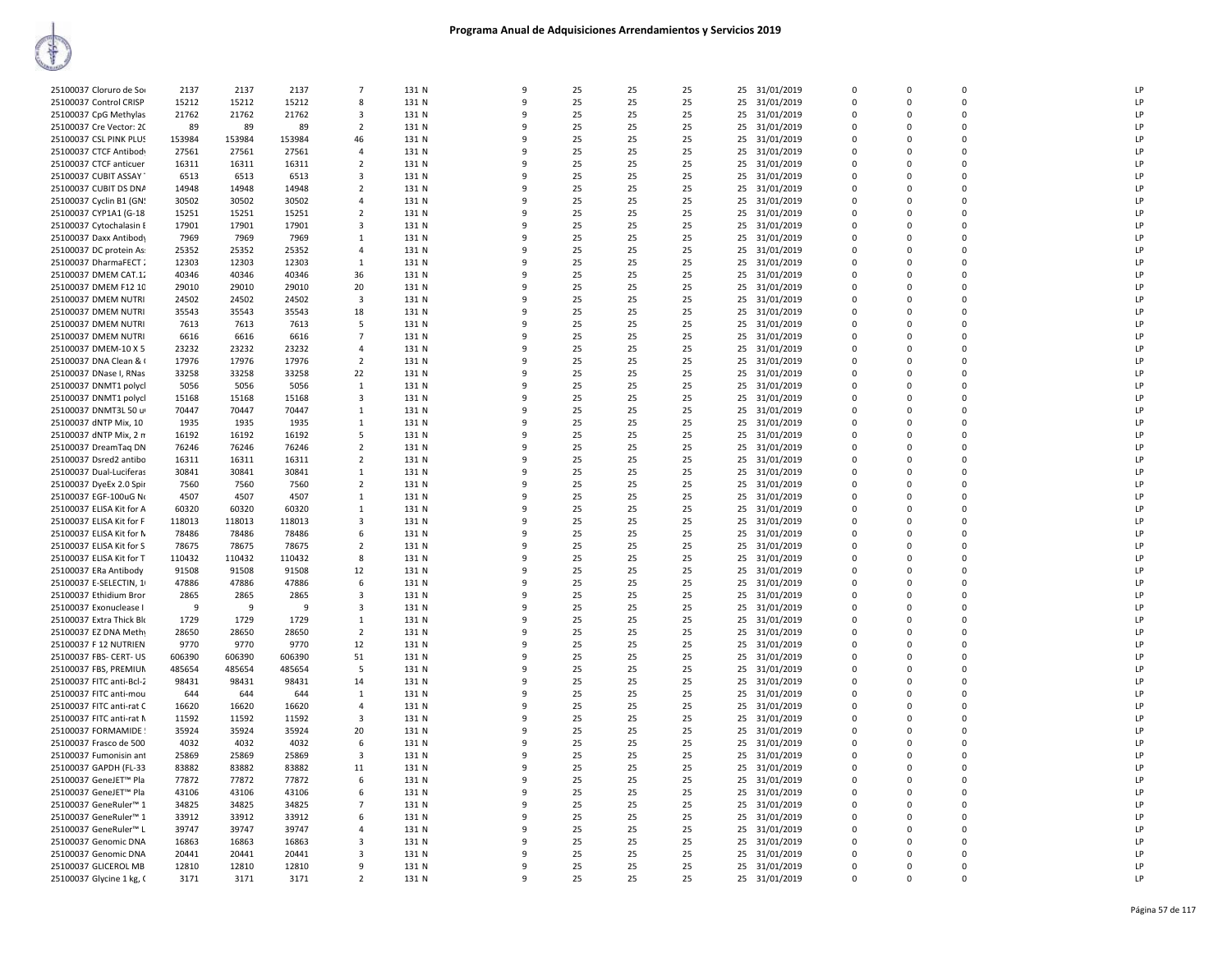| 25100037 Cloruro de Sor                          | 2137   | 2137   | 2137   | $\overline{7}$                   | 131 N | $\mathbf{q}$      | 25 | 25 | 25       | 31/01/2019<br>25 | $\Omega$             | $\Omega$ | $\Omega$    | I <sub>P</sub> |
|--------------------------------------------------|--------|--------|--------|----------------------------------|-------|-------------------|----|----|----------|------------------|----------------------|----------|-------------|----------------|
| 25100037 Control CRISP                           | 15212  | 15212  | 15212  | 8                                | 131 N | 9                 | 25 | 25 | 25       | 25<br>31/01/2019 | $\Omega$             | $\Omega$ | $\Omega$    | LP             |
| 25100037 CpG Methylas                            | 21762  | 21762  | 21762  | 3                                | 131 N | q                 | 25 | 25 | 25       | 31/01/2019<br>25 | $\Omega$             | $\Omega$ | $\Omega$    | LP             |
| 25100037 Cre Vector: 20                          | 89     | 89     | 89     | $\overline{2}$                   | 131 N |                   | 25 | 25 | 25       | 25<br>31/01/2019 | $\Omega$             | $\Omega$ | $\Omega$    | LP             |
|                                                  | 153984 | 153984 | 153984 |                                  | 131 N | q                 | 25 | 25 |          | 31/01/2019       | $\Omega$             | $\Omega$ | $\mathbf 0$ | LP             |
| 25100037 CSL PINK PLUS<br>25100037 CTCF Antibody | 27561  | 27561  | 27561  | 46<br>$\overline{4}$             | 131 N | 9                 | 25 | 25 | 25<br>25 | 25<br>25         | $\Omega$             | $\Omega$ | $\mathbf 0$ | LP             |
|                                                  |        |        |        |                                  |       | $\Omega$          |    |    |          | 31/01/2019       | $\Omega$             |          |             |                |
| 25100037 CTCF anticuer                           | 16311  | 16311  | 16311  | $\overline{2}$                   | 131 N |                   | 25 | 25 | 25       | 25<br>31/01/2019 |                      | $\Omega$ | $\mathbf 0$ | LP             |
| 25100037 CUBIT ASSAY                             | 6513   | 6513   | 6513   | 3                                | 131 N | q                 | 25 | 25 | 25       | 31/01/2019<br>25 | $\Omega$             | $\Omega$ | $\Omega$    | LP             |
| 25100037 CUBIT DS DNA                            | 14948  | 14948  | 14948  | $\overline{2}$                   | 131 N | 9                 | 25 | 25 | 25       | 25<br>31/01/2019 | $\Omega$             | $\Omega$ | $\Omega$    | LP             |
| 25100037 Cyclin B1 (GN!                          | 30502  | 30502  | 30502  | 4                                | 131 N | q                 | 25 | 25 | 25       | 25<br>31/01/2019 | $\Omega$             | $\Omega$ | $\Omega$    | LP             |
| 25100037 CYP1A1 (G-18                            | 15251  | 15251  | 15251  | $\overline{2}$                   | 131 N |                   | 25 | 25 | 25       | 25<br>31/01/2019 | $\Omega$             | $\Omega$ | $\Omega$    | LP             |
| 25100037 Cytochalasin E                          | 17901  | 17901  | 17901  | -3                               | 131 N | q                 | 25 | 25 | 25       | 31/01/2019<br>25 | $\Omega$             | $\Omega$ | $\mathbf 0$ | LP             |
| 25100037 Daxx Antibody                           | 7969   | 7969   | 7969   | $\mathbf{1}$                     | 131 N | 9                 | 25 | 25 | 25       | 25<br>31/01/2019 | $\Omega$             | $\Omega$ | $\mathbf 0$ | LP             |
| 25100037 DC protein As:                          | 25352  | 25352  | 25352  | $\overline{4}$                   | 131 N | $\Omega$          | 25 | 25 | 25       | 31/01/2019<br>25 | $\Omega$             | $\Omega$ | $\mathbf 0$ | LP             |
| 25100037 DharmaFECT:                             | 12303  | 12303  | 12303  | 1                                | 131 N | q                 | 25 | 25 | 25       | 25<br>31/01/2019 | $\Omega$             | $\Omega$ | $\Omega$    | LP             |
| 25100037 DMEM CAT.12                             | 40346  | 40346  | 40346  | 36                               | 131 N | 9                 | 25 | 25 | 25       | 25<br>31/01/2019 | $\Omega$             | $\Omega$ | $\mathbf 0$ | LP             |
| 25100037 DMEM F12 10                             | 29010  | 29010  | 29010  | 20                               | 131 N | q                 | 25 | 25 | 25       | 31/01/2019<br>25 | $\Omega$             | $\Omega$ | $\Omega$    | LP             |
| 25100037 DMEM NUTRI                              | 24502  | 24502  | 24502  | $\overline{3}$                   | 131 N |                   | 25 | 25 | 25       | 25<br>31/01/2019 | $\Omega$             | $\Omega$ | $\Omega$    | LP             |
| 25100037 DMEM NUTRI                              | 35543  | 35543  | 35543  | 18                               | 131 N | q                 | 25 | 25 | 25       | 25<br>31/01/2019 | $\Omega$             | $\Omega$ | $\mathbf 0$ | LP             |
| 25100037 DMEM NUTRI                              | 7613   | 7613   | 7613   | 5                                | 131 N | c                 | 25 | 25 | 25       | 25<br>31/01/2019 | $\Omega$             | $\Omega$ | $\mathbf 0$ | LP             |
| 25100037 DMEM NUTRI                              | 6616   | 6616   | 6616   | $\overline{7}$                   | 131 N | q                 | 25 | 25 | 25       | 31/01/2019<br>25 | $\Omega$             | $\Omega$ | $\Omega$    | LP             |
| 25100037 DMEM-10 X 5                             | 23232  | 23232  | 23232  | $\overline{4}$                   | 131 N | 9                 | 25 | 25 | 25       | 25 31/01/2019    | $\Omega$             | $\Omega$ | $\mathbf 0$ | LP             |
| 25100037 DNA Clean & 0                           | 17976  | 17976  | 17976  | $\overline{2}$                   | 131 N | 9                 | 25 | 25 | 25       | 25<br>31/01/2019 | $\Omega$             | $\Omega$ | $\pmb{0}$   | LP             |
| 25100037 DNase I, RNas                           | 33258  | 33258  | 33258  | 22                               | 131 N | q                 | 25 | 25 | 25       | 25<br>31/01/2019 | $\Omega$             | $\Omega$ | $\Omega$    | LP             |
| 25100037 DNMT1 polycl                            | 5056   | 5056   | 5056   | $\overline{1}$                   | 131 N |                   | 25 | 25 | 25       | 25<br>31/01/2019 | $\Omega$             | $\Omega$ | $\Omega$    | LP             |
|                                                  |        | 15168  | 15168  | 3                                | 131 N | q                 | 25 | 25 | 25       | 31/01/2019<br>25 | $\Omega$             | $\Omega$ | $\mathbf 0$ | LP             |
| 25100037 DNMT1 polycl                            | 15168  | 70447  |        |                                  |       |                   | 25 | 25 | 25       |                  | $\Omega$             | $\Omega$ | $\Omega$    | LP             |
| 25100037 DNMT3L 50 u                             | 70447  |        | 70447  | <sup>1</sup>                     | 131 N | q                 |    | 25 |          | 25<br>31/01/2019 |                      | $\Omega$ | $\Omega$    | LP             |
| 25100037 dNTP Mix, 10                            | 1935   | 1935   | 1935   | 1<br>5                           | 131 N | 9                 | 25 |    | 25       | 25<br>31/01/2019 | $\Omega$<br>$\Omega$ | $\Omega$ | $\mathbf 0$ | LP             |
| 25100037 dNTP Mix, 2 m                           | 16192  | 16192  | 16192  |                                  | 131 N |                   | 25 | 25 | 25       | 25<br>31/01/2019 |                      | $\Omega$ | $\mathbf 0$ | LP             |
| 25100037 DreamTag DN                             | 76246  | 76246  | 76246  | $\overline{2}$<br>$\overline{2}$ | 131 N | 9<br>q            | 25 | 25 | 25       | 25<br>31/01/2019 | 0<br>$\Omega$        | $\Omega$ | $\Omega$    |                |
| 25100037 Dsred2 antibo                           | 16311  | 16311  | 16311  |                                  | 131 N | q                 | 25 | 25 | 25       | 25<br>31/01/2019 | $\Omega$             | $\Omega$ | $\Omega$    | LP<br>LP       |
| 25100037 Dual-Luciferas                          | 30841  | 30841  | 30841  | 1                                | 131 N |                   | 25 | 25 | 25       | 25<br>31/01/2019 |                      |          |             | LP             |
| 25100037 DyeEx 2.0 Spir                          | 7560   | 7560   | 7560   | $\overline{2}$                   | 131 N |                   | 25 | 25 | 25       | 25<br>31/01/2019 | $\Omega$             | $\Omega$ | $\Omega$    |                |
| 25100037 EGF-100uG No                            | 4507   | 4507   | 4507   | 1                                | 131 N |                   | 25 | 25 | 25       | 25<br>31/01/2019 | $\Omega$             |          | $\Omega$    | LP             |
| 25100037 ELISA Kit for A                         | 60320  | 60320  | 60320  | 1                                | 131 N | q                 | 25 | 25 | 25       | 25<br>31/01/2019 | $\Omega$             | $\Omega$ | $\Omega$    | LP             |
| 25100037 ELISA Kit for F                         | 118013 | 118013 | 118013 | $\overline{\mathbf{3}}$          | 131 N |                   | 25 | 25 | 25       | 25<br>31/01/2019 | $\Omega$             | $\Omega$ | 0           | LP             |
| 25100037 ELISA Kit for N                         | 78486  | 78486  | 78486  | 6                                | 131 N | 9<br>$\mathbf{q}$ | 25 | 25 | 25       | 31/01/2019<br>25 | 0                    | $\Omega$ | $\mathbf 0$ | LP             |
| 25100037 ELISA Kit for S                         | 78675  | 78675  | 78675  | $\overline{2}$                   | 131 N |                   | 25 | 25 | 25       | 25<br>31/01/2019 | $\mathbf 0$          | $\Omega$ | 0           | LP             |
| 25100037 ELISA Kit for T                         | 110432 | 110432 | 110432 | 8                                | 131 N | q                 | 25 | 25 | 25       | 25<br>31/01/2019 | $\Omega$             | $\Omega$ | $\Omega$    | LP             |
| 25100037 ERa Antibody                            | 91508  | 91508  | 91508  | 12                               | 131 N |                   | 25 | 25 | 25       | 25<br>31/01/2019 | $\Omega$             | $\Omega$ | $\Omega$    | LP             |
| 25100037 E-SELECTIN, 1                           | 47886  | 47886  | 47886  | 6                                | 131 N |                   | 25 | 25 | 25       | 25<br>31/01/2019 | $\Omega$             | $\Omega$ | 0           | LP             |
| 25100037 Ethidium Bron                           | 2865   | 2865   | 2865   | $\overline{\mathbf{3}}$          | 131 N | q                 | 25 | 25 | 25       | 25<br>31/01/2019 | $\Omega$             | $\Omega$ | $\Omega$    | LP             |
| 25100037 Exonuclease I                           | -9     | 9      | 9      | 3                                | 131 N |                   | 25 | 25 | 25       | 25<br>31/01/2019 | $\Omega$             | $\Omega$ | $\Omega$    | LP             |
| 25100037 Extra Thick Blo                         | 1729   | 1729   | 1729   | 1                                | 131 N | 9                 | 25 | 25 | 25       | 31/01/2019<br>25 | $\Omega$             | $\Omega$ | $\mathbf 0$ | LP             |
| 25100037 EZ DNA Methy                            | 28650  | 28650  | 28650  | $\overline{2}$                   | 131 N | 9                 | 25 | 25 | 25       | 25<br>31/01/2019 | $\Omega$             | $\Omega$ | $\mathbf 0$ | LP             |
| 25100037 F 12 NUTRIEN                            | 9770   | 9770   | 9770   | 12                               | 131 N | q                 | 25 | 25 | 25       | 31/01/2019<br>25 | $\Omega$             | $\Omega$ | $\mathbf 0$ | LP             |
| 25100037 FBS- CERT- US                           | 606390 | 606390 | 606390 | 51                               | 131 N |                   | 25 | 25 | 25       | 25<br>31/01/2019 | $\Omega$             | $\Omega$ | $\Omega$    | LP             |
| 25100037 FBS, PREMIUN                            | 485654 | 485654 | 485654 | 5                                | 131 N | q                 | 25 | 25 | 25       | 25<br>31/01/2019 | $\Omega$             | $\Omega$ | 0           | LP             |
| 25100037 FITC anti-Bcl-2                         | 98431  | 98431  | 98431  | 14                               | 131 N | q                 | 25 | 25 | 25       | 25<br>31/01/2019 | $\Omega$             | $\Omega$ | $\Omega$    | LP             |
| 25100037 FITC anti-mou                           | 644    | 644    | 644    | 1                                | 131 N |                   | 25 | 25 | 25       | 31/01/2019<br>25 | $\Omega$             | $\Omega$ | $\Omega$    | LP             |
| 25100037 FITC anti-rat C                         | 16620  | 16620  | 16620  | $\overline{4}$                   | 131 N | 9                 | 25 | 25 | 25       | 31/01/2019<br>25 | $\Omega$             | $\Omega$ | $\mathbf 0$ | LP             |
| 25100037 FITC anti-rat N                         | 11592  | 11592  | 11592  | $\overline{\mathbf{3}}$          | 131 N | 9                 | 25 | 25 | 25       | 25<br>31/01/2019 | $\Omega$             | $\Omega$ | $\mathbf 0$ | LP             |
| 25100037 FORMAMIDE !                             | 35924  | 35924  | 35924  | 20                               | 131 N | $\Omega$          | 25 | 25 | 25       | 31/01/2019<br>25 | $\Omega$             | $\Omega$ | $\mathbf 0$ | LP             |
| 25100037 Frasco de 500                           | 4032   | 4032   | 4032   | 6                                | 131 N |                   | 25 | 25 | 25       | 25<br>31/01/2019 | $\Omega$             | $\Omega$ | $\mathbf 0$ | LP             |
| 25100037 Fumonisin ant                           | 25869  | 25869  | 25869  | 3                                | 131 N | q                 | 25 | 25 | 25       | 25<br>31/01/2019 | $\Omega$             | $\Omega$ | $\pmb{0}$   | LP             |
| 25100037 GAPDH (FL-33                            | 83882  | 83882  | 83882  | 11                               | 131 N | q                 | 25 | 25 | 25       | 25<br>31/01/2019 | $\Omega$             | $\Omega$ | $\Omega$    | LP             |
| 25100037 GeneJET™ Pla                            | 77872  | 77872  | 77872  | 6                                | 131 N | 9                 | 25 | 25 | 25       | 25<br>31/01/2019 | $\Omega$             | $\Omega$ | $\Omega$    | LP             |
| 25100037 GeneJET™ Pla                            | 43106  | 43106  | 43106  | 6                                | 131 N | 9                 | 25 | 25 | 25       | 31/01/2019<br>25 | $\Omega$             | $\Omega$ | $\mathbf 0$ | LP             |
| 25100037 GeneRuler™ 1                            | 34825  | 34825  | 34825  | $\overline{7}$                   | 131 N | 9                 | 25 | 25 | 25       | 25<br>31/01/2019 | $\Omega$             | $\Omega$ | $\Omega$    | LP             |
| 25100037 GeneRuler™ 1                            | 33912  | 33912  | 33912  | 6                                | 131 N | q                 | 25 | 25 | 25       | 31/01/2019<br>25 | $\Omega$             | $\Omega$ | $\Omega$    | LP             |
| 25100037 GeneRuler™ L                            | 39747  | 39747  | 39747  | $\overline{a}$                   | 131 N |                   | 25 | 25 | 25       | 25<br>31/01/2019 | $\Omega$             | $\Omega$ | $\mathbf 0$ | LP             |
| 25100037 Genomic DNA                             | 16863  | 16863  | 16863  | 3                                | 131 N | ٩                 | 25 | 25 | 25       | 25<br>31/01/2019 | $\Omega$             | $\Omega$ | $\mathbf 0$ | LP             |
| 25100037 Genomic DNA                             | 20441  | 20441  | 20441  | $\overline{\mathbf{3}}$          | 131 N | q                 | 25 | 25 | 25       | 25 31/01/2019    | $\Omega$             | $\Omega$ | $\Omega$    | LP             |
| 25100037 GLICEROL MB                             | 12810  | 12810  | 12810  | 9                                | 131 N | q                 | 25 | 25 | 25       | 25 31/01/2019    | $\Omega$             | $\Omega$ | $\Omega$    | LP             |
| 25100037 Glycine 1 kg, (                         | 3171   | 3171   | 3171   | $\overline{2}$                   | 131 N | 9                 | 25 | 25 | 25       | 25 31/01/2019    | $\Omega$             | $\Omega$ | $\Omega$    | LP             |
|                                                  |        |        |        |                                  |       |                   |    |    |          |                  |                      |          |             |                |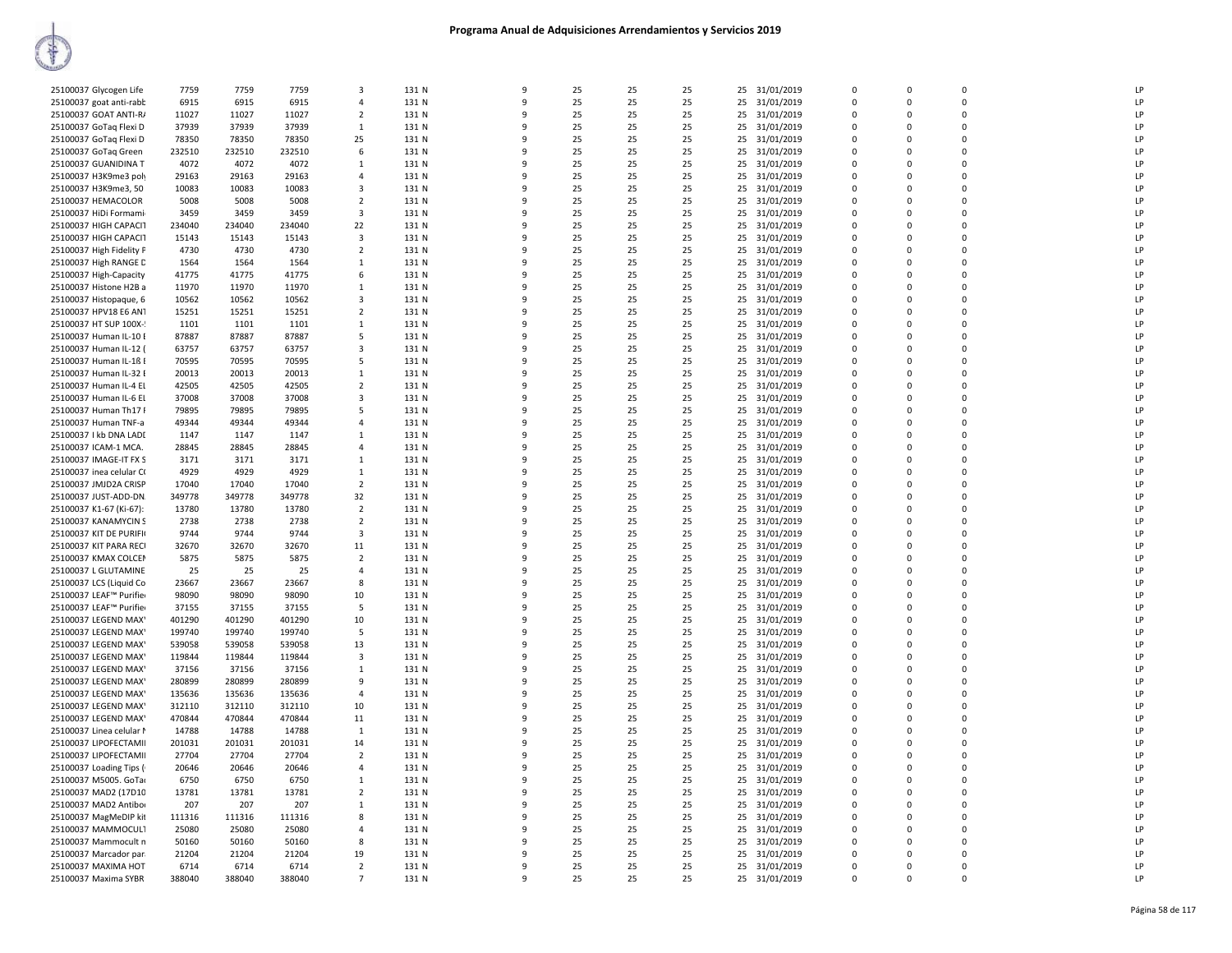|                          |        | 7759   | 7759   | 3                       |       | 9            | 25 | 25 |    |    |               | 0           | 0           | $\mathbf 0$ | LP |
|--------------------------|--------|--------|--------|-------------------------|-------|--------------|----|----|----|----|---------------|-------------|-------------|-------------|----|
| 25100037 Glycogen Life   | 7759   |        |        |                         | 131 N |              |    |    | 25 | 25 | 31/01/2019    |             |             |             |    |
| 25100037 goat anti-rabb  | 6915   | 6915   | 6915   | $\overline{a}$          | 131 N | $\mathbf{q}$ | 25 | 25 | 25 | 25 | 31/01/2019    | $\Omega$    | $\Omega$    | $\Omega$    | LP |
| 25100037 GOAT ANTI-R/    | 11027  | 11027  | 11027  | $\overline{2}$          | 131 N | 9            | 25 | 25 | 25 | 25 | 31/01/2019    | $\Omega$    | $\Omega$    | $\Omega$    | LP |
| 25100037 GoTaq Flexi D   | 37939  | 37939  | 37939  | $\mathbf{1}$            | 131 N | q            | 25 | 25 | 25 |    | 25 31/01/2019 | $\Omega$    | $\Omega$    | $\Omega$    | LP |
| 25100037 GoTaq Flexi D   | 78350  | 78350  | 78350  | 25                      | 131 N | 9            | 25 | 25 | 25 | 25 | 31/01/2019    | $\mathbf 0$ | $\Omega$    | 0           | LP |
|                          |        |        |        |                         |       |              |    |    |    |    |               |             |             |             |    |
| 25100037 GoTaq Green     | 232510 | 232510 | 232510 | 6                       | 131 N | $\mathbf{q}$ | 25 | 25 | 25 |    | 25 31/01/2019 | $\Omega$    | $\Omega$    | $\mathbf 0$ | LP |
| 25100037 GUANIDINA T     | 4072   | 4072   | 4072   | 1                       | 131 N | 9            | 25 | 25 | 25 | 25 | 31/01/2019    | 0           | $\mathbf 0$ | $\mathbf 0$ | LP |
| 25100037 H3K9me3 poly    | 29163  | 29163  | 29163  | 4                       | 131 N | 9            | 25 | 25 | 25 | 25 | 31/01/2019    | 0           | 0           | $\mathbf 0$ | LP |
| 25100037 H3K9me3, 50     | 10083  | 10083  | 10083  | 3                       | 131 N | $\mathbf{q}$ | 25 | 25 | 25 | 25 | 31/01/2019    | $\mathbf 0$ | $\Omega$    | $\mathbf 0$ | LP |
|                          |        |        |        |                         |       | q            |    |    |    |    |               |             |             | $\Omega$    |    |
| 25100037 HEMACOLOR       | 5008   | 5008   | 5008   | $\overline{2}$          | 131 N |              | 25 | 25 | 25 |    | 25 31/01/2019 | $\Omega$    | $\Omega$    |             | LP |
| 25100037 HiDi Formami    | 3459   | 3459   | 3459   | $\overline{\mathbf{3}}$ | 131 N |              | 25 | 25 | 25 |    | 25 31/01/2019 | $\Omega$    | $\Omega$    | $\Omega$    | LP |
| 25100037 HIGH CAPACIT    | 234040 | 234040 | 234040 | 22                      | 131 N |              | 25 | 25 | 25 | 25 | 31/01/2019    | 0           | $\Omega$    | 0           | LP |
| 25100037 HIGH CAPACIT    | 15143  | 15143  | 15143  | $\overline{\mathbf{3}}$ | 131 N | q            | 25 | 25 | 25 | 25 | 31/01/2019    | $\Omega$    | $\Omega$    | $\Omega$    | LP |
| 25100037 High Fidelity P | 4730   | 4730   | 4730   | $\overline{2}$          | 131 N | 9            | 25 | 25 | 25 | 25 | 31/01/2019    | $\mathbf 0$ | $\Omega$    | $\mathbf 0$ | LP |
|                          |        |        |        |                         |       |              |    |    |    |    |               |             |             |             |    |
| 25100037 High RANGE D    | 1564   | 1564   | 1564   | 1                       | 131 N | 9            | 25 | 25 | 25 | 25 | 31/01/2019    | $\Omega$    | $\Omega$    | $\Omega$    | LP |
| 25100037 High-Capacity   | 41775  | 41775  | 41775  | 6                       | 131 N | 9            | 25 | 25 | 25 | 25 | 31/01/2019    | 0           | $\mathbf 0$ | 0           | LP |
| 25100037 Histone H2B a   | 11970  | 11970  | 11970  | 1                       | 131 N | q            | 25 | 25 | 25 | 25 | 31/01/2019    | 0           | $\Omega$    | $\mathbf 0$ | LP |
| 25100037 Histopaque, 6   | 10562  | 10562  | 10562  | 3                       | 131 N |              | 25 | 25 | 25 | 25 | 31/01/2019    | $\mathbf 0$ | $\Omega$    | $\mathbf 0$ | LP |
|                          |        |        |        |                         |       | q            |    |    |    |    |               | $\Omega$    | $\Omega$    | 0           | LP |
| 25100037 HPV18 E6 AN1    | 15251  | 15251  | 15251  | $\overline{2}$          | 131 N |              | 25 | 25 | 25 | 25 | 31/01/2019    |             |             |             |    |
| 25100037 HT SUP 100X-    | 1101   | 1101   | 1101   | 1                       | 131 N | q            | 25 | 25 | 25 |    | 25 31/01/2019 | $\Omega$    | $\Omega$    | $\Omega$    | LP |
| 25100037 Human IL-10 E   | 87887  | 87887  | 87887  | 5                       | 131 N | q            | 25 | 25 | 25 | 25 | 31/01/2019    | $\Omega$    | $\Omega$    | $\Omega$    | LP |
| 25100037 Human IL-12 (   | 63757  | 63757  | 63757  | 3                       | 131 N | 9            | 25 | 25 | 25 | 25 | 31/01/2019    | $\Omega$    | $\Omega$    | $\Omega$    | LP |
| 25100037 Human IL-1ß I   | 70595  | 70595  | 70595  | 5                       | 131 N | 9            | 25 | 25 | 25 | 25 | 31/01/2019    | $\mathbf 0$ | $\Omega$    | $\mathbf 0$ | LP |
|                          |        |        |        |                         |       |              |    |    |    |    |               |             |             |             |    |
| 25100037 Human IL-32 E   | 20013  | 20013  | 20013  | 1                       | 131 N | q            | 25 | 25 | 25 | 25 | 31/01/2019    | $\Omega$    | $\Omega$    | $\Omega$    | LP |
| 25100037 Human IL-4 El   | 42505  | 42505  | 42505  | $\overline{2}$          | 131 N |              | 25 | 25 | 25 |    | 25 31/01/2019 | $\Omega$    | $\Omega$    | $\mathbf 0$ | LP |
| 25100037 Human IL-6 El   | 37008  | 37008  | 37008  | 3                       | 131 N | q            | 25 | 25 | 25 | 25 | 31/01/2019    | 0           | $\Omega$    | $\mathbf 0$ | LP |
| 25100037 Human Th17 I    | 79895  | 79895  | 79895  | 5                       | 131 N | q            | 25 | 25 | 25 | 25 | 31/01/2019    | 0           | $\Omega$    | $\mathbf 0$ | LP |
|                          |        |        |        |                         |       |              |    |    |    |    |               |             |             |             |    |
| 25100037 Human TNF-a     | 49344  | 49344  | 49344  | $\overline{4}$          | 131 N | q            | 25 | 25 | 25 | 25 | 31/01/2019    | $\Omega$    | $\Omega$    | $\Omega$    | LP |
| 25100037   kb DNA LADI   | 1147   | 1147   | 1147   | 1                       | 131 N | q            | 25 | 25 | 25 |    | 25 31/01/2019 | $\Omega$    | $\Omega$    | $\Omega$    | LP |
| 25100037 ICAM-1 MCA.     | 28845  | 28845  | 28845  | $\overline{4}$          | 131 N | 9            | 25 | 25 | 25 | 25 | 31/01/2019    | 0           | $\Omega$    | 0           | LP |
| 25100037 IMAGE-IT FX S   | 3171   | 3171   | 3171   | 1                       | 131 N | q            | 25 | 25 | 25 | 25 | 31/01/2019    | $\Omega$    | $\Omega$    | $\Omega$    | LP |
| 25100037 inea celular CO | 4929   | 4929   | 4929   | 1                       | 131 N |              | 25 | 25 | 25 | 25 | 31/01/2019    | $\mathbf 0$ | $\Omega$    | $\mathbf 0$ | LP |
|                          |        |        |        |                         |       |              |    |    |    |    |               |             |             |             |    |
| 25100037 JMJD2A CRISP    | 17040  | 17040  | 17040  | $\overline{2}$          | 131 N | q            | 25 | 25 | 25 | 25 | 31/01/2019    | 0           | $\Omega$    | $\mathbf 0$ | LP |
| 25100037 JUST-ADD-DN.    | 349778 | 349778 | 349778 | 32                      | 131 N | 9            | 25 | 25 | 25 | 25 | 31/01/2019    | $\Omega$    | $\Omega$    | $\mathbf 0$ | LP |
| 25100037 K1-67 (Ki-67):  | 13780  | 13780  | 13780  | $\overline{2}$          | 131 N | q            | 25 | 25 | 25 | 25 | 31/01/2019    | 0           | $\Omega$    | 0           | LP |
| 25100037 KANAMYCIN S     | 2738   | 2738   | 2738   | $\overline{2}$          | 131 N | q            | 25 | 25 | 25 |    | 25 31/01/2019 | $\mathbf 0$ | $\Omega$    | $\mathbf 0$ | LP |
|                          |        |        |        |                         |       | 9            |    |    |    |    |               |             | $\Omega$    |             |    |
| 25100037 KIT DE PURIFI   | 9744   | 9744   | 9744   | 3                       | 131 N |              | 25 | 25 | 25 | 25 | 31/01/2019    | 0           |             | 0           | LP |
| 25100037 KIT PARA RECI   | 32670  | 32670  | 32670  | 11                      | 131 N | q            | 25 | 25 | 25 | 25 | 31/01/2019    | $\Omega$    | $\Omega$    | $\Omega$    | LP |
| 25100037 KMAX COLCEN     | 5875   | 5875   | 5875   | $\overline{2}$          | 131 N | q            | 25 | 25 | 25 |    | 25 31/01/2019 | $\Omega$    | $\Omega$    | $\Omega$    | LP |
| 25100037 L GLUTAMINE     | 25     | 25     | 25     | $\overline{a}$          | 131 N |              | 25 | 25 | 25 | 25 | 31/01/2019    | $\Omega$    | $\Omega$    | $\Omega$    | LP |
| 25100037 LCS (Liquid Co  | 23667  | 23667  | 23667  | 8                       | 131 N |              | 25 | 25 | 25 | 25 | 31/01/2019    | 0           | $\Omega$    | $\mathbf 0$ | LP |
|                          |        |        |        |                         |       |              |    |    |    |    |               |             |             |             |    |
| 25100037 LEAF™ Purifier  | 98090  | 98090  | 98090  | 10                      | 131 N | q            | 25 | 25 | 25 | 25 | 31/01/2019    | $\Omega$    | $\Omega$    | $\Omega$    | LP |
| 25100037 LEAF™ Purifier  | 37155  | 37155  | 37155  | 5                       | 131 N | 9            | 25 | 25 | 25 | 25 | 31/01/2019    | $\mathbf 0$ | $\Omega$    | $\mathbf 0$ | LP |
| 25100037 LEGEND MAX'     | 401290 | 401290 | 401290 | 10                      | 131 N | 9            | 25 | 25 | 25 | 25 | 31/01/2019    | 0           | 0           | $\mathbf 0$ | LP |
| 25100037 LEGEND MAX'     | 199740 | 199740 | 199740 | .5                      | 131 N | q            | 25 | 25 | 25 | 25 | 31/01/2019    | $\Omega$    | $\Omega$    | $\Omega$    | LP |
| 25100037 LEGEND MAX      | 539058 | 539058 | 539058 | 13                      | 131 N | q            | 25 | 25 | 25 | 25 | 31/01/2019    | $\Omega$    | $\Omega$    | $\Omega$    | LP |
|                          |        |        |        |                         |       |              |    |    |    |    |               |             |             |             |    |
| 25100037 LEGEND MAX'     | 119844 | 119844 | 119844 | $\overline{\mathbf{3}}$ | 131 N | c            | 25 | 25 | 25 |    | 25 31/01/2019 | $\Omega$    | $\Omega$    | $\Omega$    | LP |
| 25100037 LEGEND MAX      | 37156  | 37156  | 37156  | 1                       | 131 N |              | 25 | 25 | 25 | 25 | 31/01/2019    | 0           | $\Omega$    | 0           | LP |
| 25100037 LEGEND MAX'     | 280899 | 280899 | 280899 | $\mathbf{q}$            | 131 N | $\mathbf{q}$ | 25 | 25 | 25 |    | 25 31/01/2019 | $\Omega$    | $\Omega$    | $\Omega$    | LP |
| 25100037 LEGEND MAX      | 135636 | 135636 | 135636 | $\overline{4}$          | 131 N |              | 25 | 25 | 25 |    | 25 31/01/2019 | $\Omega$    | $\Omega$    | $\Omega$    | LP |
|                          |        |        |        |                         | 131 N | 9            |    |    |    |    |               | 0           | $\Omega$    | $\mathbf 0$ | LP |
| 25100037 LEGEND MAX      | 312110 | 312110 | 312110 | 10                      |       |              | 25 | 25 | 25 | 25 | 31/01/2019    |             |             |             |    |
| 25100037 LEGEND MAX'     | 470844 | 470844 | 470844 | 11                      | 131 N | 9            | 25 | 25 | 25 | 25 | 31/01/2019    | $\mathbf 0$ | $\Omega$    | $\mathbf 0$ | LP |
| 25100037 Linea celular I | 14788  | 14788  | 14788  | $\mathbf{1}$            | 131 N | q            | 25 | 25 | 25 | 25 | 31/01/2019    | 0           | $\Omega$    | $\mathbf 0$ | LP |
| 25100037 LIPOFECTAMII    | 201031 | 201031 | 201031 | 14                      | 131 N |              | 25 | 25 | 25 |    | 25 31/01/2019 | $\Omega$    | $\Omega$    | $\Omega$    | LP |
| 25100037 LIPOFECTAMII    | 27704  | 27704  | 27704  | $\overline{2}$          | 131 N |              | 25 | 25 | 25 | 25 | 31/01/2019    | $\Omega$    | $\Omega$    | 0           | LP |
|                          |        |        |        |                         |       | q            |    |    |    |    |               |             | $\Omega$    | $\Omega$    |    |
| 25100037 Loading Tips (  | 20646  | 20646  | 20646  | $\overline{a}$          | 131 N |              | 25 | 25 | 25 |    | 25 31/01/2019 | $\Omega$    |             |             | LP |
| 25100037 M5005. GoTa     | 6750   | 6750   | 6750   | 1                       | 131 N | 9            | 25 | 25 | 25 |    | 25 31/01/2019 | 0           | $\Omega$    | 0           | LP |
| 25100037 MAD2 (17D10     | 13781  | 13781  | 13781  | $\overline{2}$          | 131 N | 9            | 25 | 25 | 25 | 25 | 31/01/2019    | 0           | $\Omega$    | $\mathbf 0$ | LP |
| 25100037 MAD2 Antibor    | 207    | 207    | 207    | $\mathbf{1}$            | 131 N | 9            | 25 | 25 | 25 | 25 | 31/01/2019    | $\Omega$    | $\Omega$    | $\Omega$    | LP |
| 25100037 MagMeDIP kit    | 111316 | 111316 | 111316 | 8                       | 131 N | q            | 25 | 25 | 25 | 25 | 31/01/2019    | $\Omega$    | $\Omega$    | $\Omega$    | LP |
|                          |        |        |        |                         |       |              |    |    |    |    |               |             |             |             |    |
| 25100037 MAMMOCUL1       | 25080  | 25080  | 25080  | $\overline{4}$          | 131 N |              | 25 | 25 | 25 |    | 25 31/01/2019 | $\Omega$    | $\Omega$    | $\mathbf 0$ | LP |
| 25100037 Mammocult n     | 50160  | 50160  | 50160  | 8                       | 131 N | q            | 25 | 25 | 25 | 25 | 31/01/2019    | 0           | $\Omega$    | $\mathbf 0$ | LP |
| 25100037 Marcador par    | 21204  | 21204  | 21204  | 19                      | 131 N | q            | 25 | 25 | 25 |    | 25 31/01/2019 | $\Omega$    | $\Omega$    | $\Omega$    | LP |
| 25100037 MAXIMA HOT      | 6714   | 6714   | 6714   | $\overline{2}$          | 131 N | q            | 25 | 25 | 25 |    | 25 31/01/2019 | $\Omega$    | $\Omega$    | $\Omega$    | LP |
| 25100037 Maxima SYBR     | 388040 | 388040 | 388040 | $\overline{7}$          | 131 N | 9            | 25 | 25 | 25 |    | 25 31/01/2019 | $\Omega$    | $\Omega$    | $\Omega$    | LP |
|                          |        |        |        |                         |       |              |    |    |    |    |               |             |             |             |    |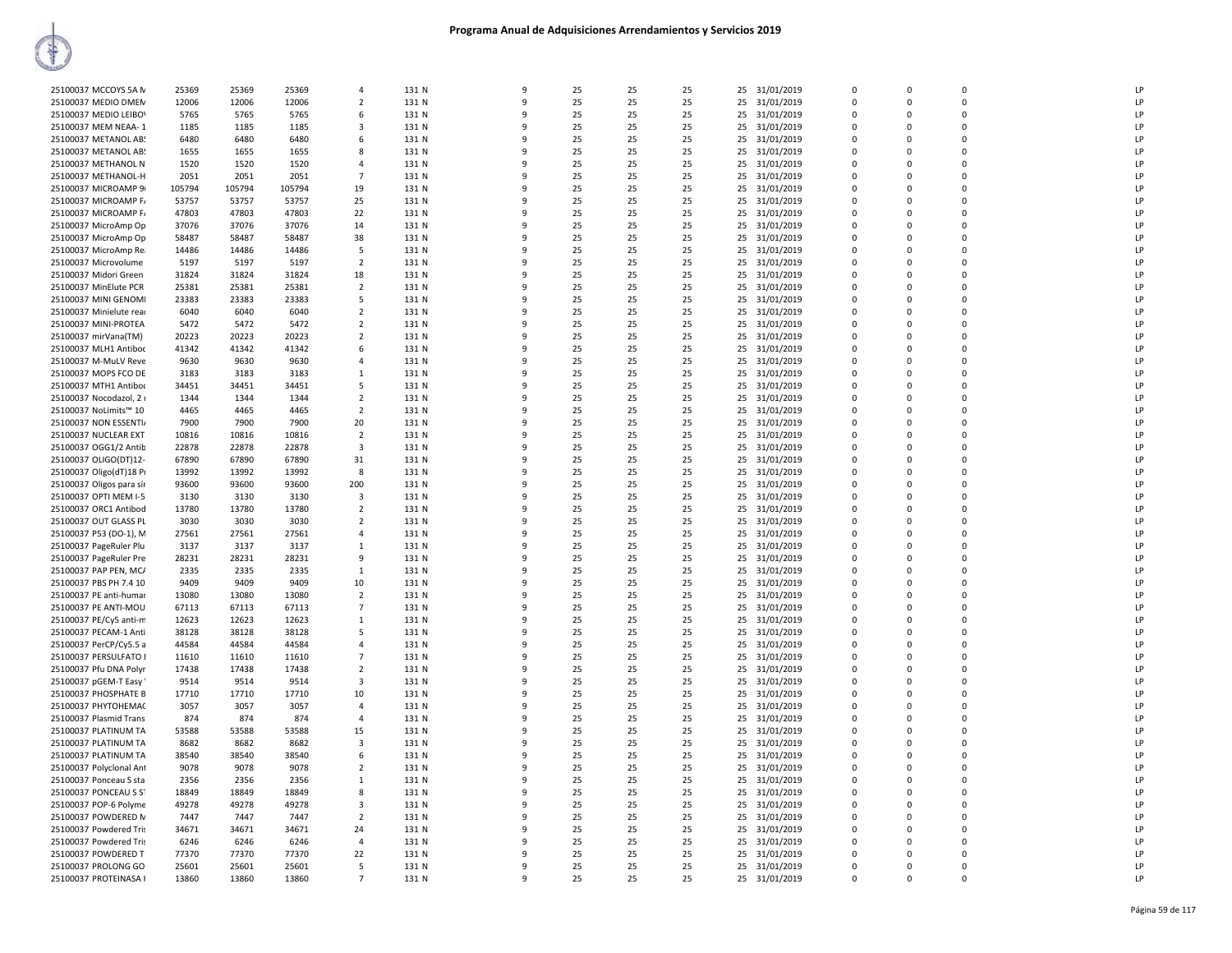| 25100037 MCCOYS 5A N                           | 25369         | 25369         | 25369         | $\overline{4}$          | 131 N          | 9            | 25       | 25       | 25       |    | 25 31/01/2019                  | $\mathbf 0$   | 0                    | 0             | LP       |
|------------------------------------------------|---------------|---------------|---------------|-------------------------|----------------|--------------|----------|----------|----------|----|--------------------------------|---------------|----------------------|---------------|----------|
| 25100037 MEDIO DMEN                            | 12006         | 12006         | 12006         | $\overline{2}$          | 131 N          | 9            | 25       | 25       | 25       | 25 | 31/01/2019                     | $\Omega$      | $\Omega$             | $\mathbf 0$   | LP       |
| 25100037 MEDIO LEIBOV                          | 5765          | 5765          | 5765          | 6                       | 131 N          | 9            | 25       | 25       | 25       | 25 | 31/01/2019                     | $\mathbf 0$   | $\mathbf 0$          | 0             | LP       |
| 25100037 MEM NEAA-1                            | 1185          | 1185          | 1185          | 3                       | 131 N          | q            | 25       | 25       | 25       |    | 25 31/01/2019                  | $\Omega$      | $\Omega$             | $\Omega$      | LP       |
| 25100037 METANOL AB                            | 6480          | 6480          | 6480          | 6                       | 131 N          | 9            | 25       | 25       | 25       |    | 25 31/01/2019                  | $\Omega$      | $\Omega$             | 0             | LP       |
| 25100037 METANOL AB:                           | 1655          | 1655          | 1655          | 8                       | 131 N          | q            | 25       | 25       | 25       | 25 | 31/01/2019                     | $\mathbf 0$   | $\Omega$             | 0             | LP       |
| 25100037 METHANOL N                            | 1520          | 1520          | 1520          | $\overline{4}$          | 131 N          | 9            | 25       | 25       | 25       |    | 25 31/01/2019                  | $\mathbf 0$   | $\Omega$             | 0             | LP       |
| 25100037 METHANOL-H                            | 2051          | 2051          | 2051          | $\overline{7}$          | 131 N          | 9            | 25       | 25       | 25       |    | 25 31/01/2019                  | $\mathbf 0$   | $\Omega$             | 0             | LP       |
| 25100037 MICROAMP 9                            | 105794        | 105794        | 105794        | 19                      | 131 N          | q            | 25       | 25       | 25       | 25 | 31/01/2019                     | $\Omega$      | $\Omega$             | $\Omega$      | LP       |
| 25100037 MICROAMP F/                           | 53757         | 53757         | 53757         | 25                      | 131 N          | q            | 25       | 25       | 25       | 25 | 31/01/2019                     | 0             | $\Omega$             | $\Omega$      | LP       |
| 25100037 MICROAMP F/                           | 47803         | 47803         | 47803         | 22                      | 131 N          | q            | 25       | 25       | 25       |    | 25 31/01/2019                  | 0             | n                    | $\Omega$      | LP       |
| 25100037 MicroAmp Op                           | 37076         | 37076         | 37076         | 14                      | 131 N          | 9            | 25       | 25       | 25       |    | 25 31/01/2019                  | $\mathbf 0$   | $\Omega$             | 0             | LP       |
| 25100037 MicroAmp Op                           | 58487         | 58487         | 58487         | 38                      | 131 N          | 9            | 25       | 25       | 25       | 25 | 31/01/2019                     | 0             | $\Omega$             | 0             | LP       |
| 25100037 MicroAmp Rea                          | 14486         | 14486         | 14486         | 5                       | 131 N          | q            | 25       | 25       | 25       |    | 25 31/01/2019                  | $\mathbf 0$   | $\Omega$             | 0             | LP       |
| 25100037 Microvolume                           | 5197          | 5197          | 5197          | $\overline{2}$          | 131 N          | q            | 25       | 25       | 25       |    | 25 31/01/2019                  | 0             | n                    | $\Omega$      | LP       |
| 25100037 Midori Green                          | 31824         | 31824         | 31824         | 18                      | 131 N          | q            | 25       | 25       | 25       |    | 25 31/01/2019                  | $\Omega$      | $\Omega$             | $\Omega$      | LP       |
| 25100037 MinElute PCR                          | 25381         | 25381         | 25381         | $\overline{2}$          | 131 N          | q            | 25       | 25       | 25       |    | 25 31/01/2019                  | 0             | $\Omega$             | $\Omega$      | LP       |
| 25100037 MINI GENOMI                           | 23383         | 23383         | 23383         | 5                       | 131 N          | q            | 25       | 25       | 25       | 25 | 31/01/2019                     | $\mathbf 0$   | n                    | $\Omega$      | LP       |
| 25100037 Minielute read                        | 6040          | 6040          | 6040          | $\overline{2}$          | 131 N          | 9            | 25       | 25       | 25       |    | 25 31/01/2019                  | $\mathbf 0$   | $\Omega$             | 0             | LP       |
| 25100037 MINI-PROTEA                           | 5472          | 5472          | 5472          | $\overline{2}$          | 131 N          | q            | 25       | 25       | 25       | 25 | 31/01/2019                     | 0             | n                    | 0             | LP       |
| 25100037 mirVana(TM)                           | 20223         | 20223         | 20223         | $\overline{2}$          | 131 N          | q            | 25       | 25       | 25       |    | 25 31/01/2019                  | $\Omega$      | $\Omega$             | $\Omega$      | LP       |
| 25100037 MLH1 Antiboo                          | 41342         | 41342         | 41342         | 6                       | 131 N          | 9            | 25       | 25       | 25       | 25 | 31/01/2019                     | 0             | $\Omega$             | 0             | LP       |
| 25100037 M-MuLV Reve                           | 9630          | 9630          | 9630          | $\overline{4}$          | 131 N          | 9            | 25       | 25       | 25       | 25 | 31/01/2019                     | $\Omega$      | $\Omega$             | 0             | LP       |
| 25100037 MOPS FCO DE                           | 3183          | 3183          | 3183          | $\mathbf{1}$            | 131 N          | 9            | 25       | 25       | 25       | 25 | 31/01/2019                     | $\mathbf 0$   | $\mathbf 0$          | 0             | LP       |
| 25100037 MTH1 Antibor                          | 34451         | 34451         | 34451         | 5                       | 131 N          | q            | 25       | 25       | 25       |    | 25 31/01/2019                  | $\mathbf 0$   | $\Omega$             | 0             | LP       |
| 25100037 Nocodazol, 2 i                        | 1344          | 1344          | 1344          | $\overline{2}$          | 131 N          | C            | 25       | 25       | 25       |    | 25 31/01/2019                  | $\Omega$      | $\Omega$             | $\Omega$      | LP       |
| 25100037 NoLimits™ 10<br>25100037 NON ESSENTI/ | 4465<br>7900  | 4465<br>7900  | 4465<br>7900  | $\overline{2}$          | 131 N<br>131 N | q<br>q       | 25<br>25 | 25<br>25 | 25<br>25 | 25 | 31/01/2019                     | 0<br>$\Omega$ | n<br>n               | 0<br>$\Omega$ | LP<br>LP |
| 25100037 NUCLEAR EXT                           | 10816         | 10816         | 10816         | 20<br>$\overline{2}$    | 131 N          | q            | 25       | 25       | 25       | 25 | 25 31/01/2019<br>31/01/2019    | $\mathbf 0$   | $\Omega$             | 0             | LP       |
| 25100037 OGG1/2 Antib                          | 22878         | 22878         | 22878         | $\overline{\mathbf{3}}$ | 131 N          | q            | 25       | 25       | 25       |    | 25 31/01/2019                  | $\Omega$      | $\Omega$             | 0             | LP       |
| 25100037 OLIGO(DT)12-                          | 67890         | 67890         | 67890         | 31                      | 131 N          | q            | 25       | 25       | 25       | 25 | 31/01/2019                     | $\Omega$      | $\Omega$             | $\Omega$      | LP       |
| 25100037 Oligo(dT)18 Pr                        | 13992         | 13992         | 13992         | 8                       | 131 N          | q            | 25       | 25       | 25       |    | 25 31/01/2019                  | $\Omega$      | n                    | $\Omega$      | LP       |
| 25100037 Oligos para sír                       | 93600         | 93600         | 93600         | 200                     | 131 N          | q            | 25       | 25       | 25       |    | 25 31/01/2019                  | $\Omega$      | $\Omega$             | $\Omega$      | LP       |
| 25100037 OPTI MEM I-5                          | 3130          | 3130          | 3130          | 3                       | 131 N          | q            | 25       | 25       | 25       | 25 | 31/01/2019                     | 0             | $\Omega$             | 0             | LP       |
| 25100037 ORC1 Antibod                          | 13780         | 13780         | 13780         | $\overline{2}$          | 131 N          | 9            | 25       | 25       | 25       |    | 25 31/01/2019                  | $\Omega$      | $\Omega$             | $\Omega$      | LP       |
| 25100037 OUT GLASS PL                          | 3030          | 3030          | 3030          | $\overline{2}$          | 131 N          | 9            | 25       | 25       | 25       |    | 25 31/01/2019                  | $\mathbf 0$   | $\mathbf 0$          | 0             | LP       |
| 25100037 P53 (DO-1), M                         | 27561         | 27561         | 27561         | $\overline{4}$          | 131 N          | q            | 25       | 25       | 25       | 25 | 31/01/2019                     | $\Omega$      | $\Omega$             | $\Omega$      | LP       |
| 25100037 PageRuler Plu                         | 3137          | 3137          | 3137          | 1                       | 131 N          | q            | 25       | 25       | 25       | 25 | 31/01/2019                     | 0             | $\Omega$             | $\Omega$      | LP       |
| 25100037 PageRuler Pre                         | 28231         | 28231         | 28231         | 9                       | 131 N          | q            | 25       | 25       | 25       | 25 | 31/01/2019                     | 0             | n                    | $\Omega$      | LP       |
| 25100037 PAP PEN, MC/                          | 2335          | 2335          | 2335          | $\mathbf{1}$            | 131 N          | 9            | 25       | 25       | 25       |    | 25 31/01/2019                  | $\mathbf 0$   | $\Omega$             | 0             | LP       |
| 25100037 PBS PH 7.4 10                         | 9409          | 9409          | 9409          | 10                      | 131 N          | 9            | 25       | 25       | 25       | 25 | 31/01/2019                     | 0             | $\Omega$             | 0             | LP       |
| 25100037 PE anti-humar                         | 13080         | 13080         | 13080         | $\overline{2}$          | 131 N          | $\mathsf{q}$ | 25       | 25       | 25       |    | 25 31/01/2019                  | $\Omega$      | $\Omega$             | 0             | LP       |
| 25100037 PE ANTI-MOU                           | 67113         | 67113         | 67113         | $\overline{7}$          | 131 N          | 9            | 25       | 25       | 25       | 25 | 31/01/2019                     | $\Omega$      | $\Omega$             | $\Omega$      | LP       |
| 25100037 PE/Cy5 anti-m                         | 12623         | 12623         | 12623         | 1                       | 131 N          | -9           | 25       | 25       | 25       | 25 | 31/01/2019                     | 0             | $\Omega$             | 0             | LP       |
| 25100037 PECAM-1 Anti                          | 38128         | 38128         | 38128         | 5                       | 131 N          | q            | 25       | 25       | 25       | 25 | 31/01/2019                     | 0             | $\Omega$             | 0             | LP       |
| 25100037 PerCP/Cy5.5 a                         | 44584         | 44584         | 44584         | $\overline{4}$          | 131 N          | q            | 25       | 25       | 25       | 25 | 31/01/2019                     | $\mathbf 0$   | $\Omega$             | 0             | LP       |
| 25100037 PERSULFATO I                          | 11610         | 11610         | 11610         | $\overline{7}$          | 131 N          | C            | 25       | 25       | 25       |    | 25 31/01/2019                  | $\mathbf 0$   | $\Omega$             | 0             | LP       |
| 25100037 Pfu DNA Polyr                         | 17438         | 17438         | 17438         | $\overline{2}$          | 131 N          | q            | 25       | 25       | 25       | 25 | 31/01/2019                     | 0             | n                    | 0             | LP       |
| 25100037 pGEM-T Easy                           | 9514          | 9514          | 9514          | $\overline{3}$          | 131 N          | q            | 25       | 25       | 25       |    | 25 31/01/2019                  | $\Omega$      | $\Omega$             | $\Omega$      | LP       |
| 25100037 PHOSPHATE B                           | 17710         | 17710         | 17710         | 10                      | 131 N          | 9            | 25       | 25       | 25       | 25 | 31/01/2019                     | $\Omega$      | $\Omega$             | $\Omega$      | LP       |
| 25100037 PHYTOHEMAC                            | 3057          | 3057          | 3057          | $\overline{4}$          | 131 N          | 9            | 25       | 25       | 25       | 25 | 31/01/2019                     | $\mathbf 0$   | $\Omega$             | 0             | LP       |
| 25100037 Plasmid Trans                         | 874           | 874           | 874           | $\overline{4}$          | 131 N          | 9            | 25       | 25       | 25       | 25 | 31/01/2019                     | $\mathbf 0$   | $\Omega$             | 0             | LP       |
| 25100037 PLATINUM TA                           | 53588         | 53588         | 53588         | 15                      | 131 N          | q            | 25       | 25       | 25       |    | 25 31/01/2019                  | 0             | $\Omega$             | 0             | LP       |
| 25100037 PLATINUM TA                           | 8682          | 8682          | 8682          | $\overline{\mathbf{3}}$ | 131 N          | q            | 25       | 25       | 25       |    | 25 31/01/2019                  | $\Omega$      | $\Omega$             | $\Omega$      | LP       |
| 25100037 PLATINUM TA                           | 38540         | 38540         | 38540         | 6                       | 131 N          | q            | 25       | 25       | 25       | 25 | 31/01/2019                     | 0             | $\Omega$             | 0             | LP       |
| 25100037 Polyclonal Ant                        | 9078          | 9078          | 9078          | $\overline{2}$          | 131 N          | q            | 25       | 25       | 25       |    | 25 31/01/2019                  | $\Omega$      | n                    | $\Omega$      | LP       |
| 25100037 Ponceau S sta                         | 2356          | 2356          | 2356          | $\mathbf{1}$            | 131 N          | 9            | 25       | 25       | 25       |    | 25 31/01/2019                  | $\mathbf 0$   | $\Omega$             | 0             | LP       |
| 25100037 PONCEAU S ST                          | 18849         | 18849         | 18849         | 8                       | 131 N          | 9<br>q       | 25       | 25       | 25       | 25 | 31/01/2019                     | $\pmb{0}$     | $\Omega$<br>$\Omega$ | 0             | LP       |
| 25100037 POP-6 Polyme                          | 49278         | 49278         | 49278         | $\overline{\mathbf{3}}$ | 131 N          | q            | 25       | 25       | 25       |    | 25 31/01/2019                  | $\mathbf 0$   | $\Omega$             | 0<br>$\Omega$ | LP<br>LP |
| 25100037 POWDERED N<br>25100037 Powdered Tris  | 7447<br>34671 | 7447<br>34671 | 7447<br>34671 | $\overline{2}$<br>24    | 131 N<br>131 N | q            | 25<br>25 | 25<br>25 | 25<br>25 |    | 25 31/01/2019                  | 0<br>$\Omega$ | n                    | $\Omega$      | LP       |
| 25100037 Powdered Tris                         | 6246          | 6246          | 6246          | $\overline{4}$          | 131 N          | q            | 25       | 25       | 25       |    | 25 31/01/2019<br>25 31/01/2019 | $\mathbf 0$   | $\Omega$             | 0             | LP       |
| 25100037 POWDERED T                            | 77370         | 77370         | 77370         | 22                      | 131 N          | 9            | 25       | 25       | 25       |    | 25 31/01/2019                  | $\Omega$      | $\Omega$             | $\Omega$      | LP       |
| 25100037 PROLONG GO                            | 25601         | 25601         | 25601         | 5                       | 131 N          | 9            | 25       | 25       | 25       |    | 25 31/01/2019                  | 0             | $\mathbf 0$          | 0             | LP       |
| 25100037 PROTEINASA I                          | 13860         | 13860         | 13860         | $\overline{7}$          | 131 N          | 9            | 25       | 25       | 25       |    | 25 31/01/2019                  | $\Omega$      | $\Omega$             | $\Omega$      | LP       |
|                                                |               |               |               |                         |                |              |          |          |          |    |                                |               |                      |               |          |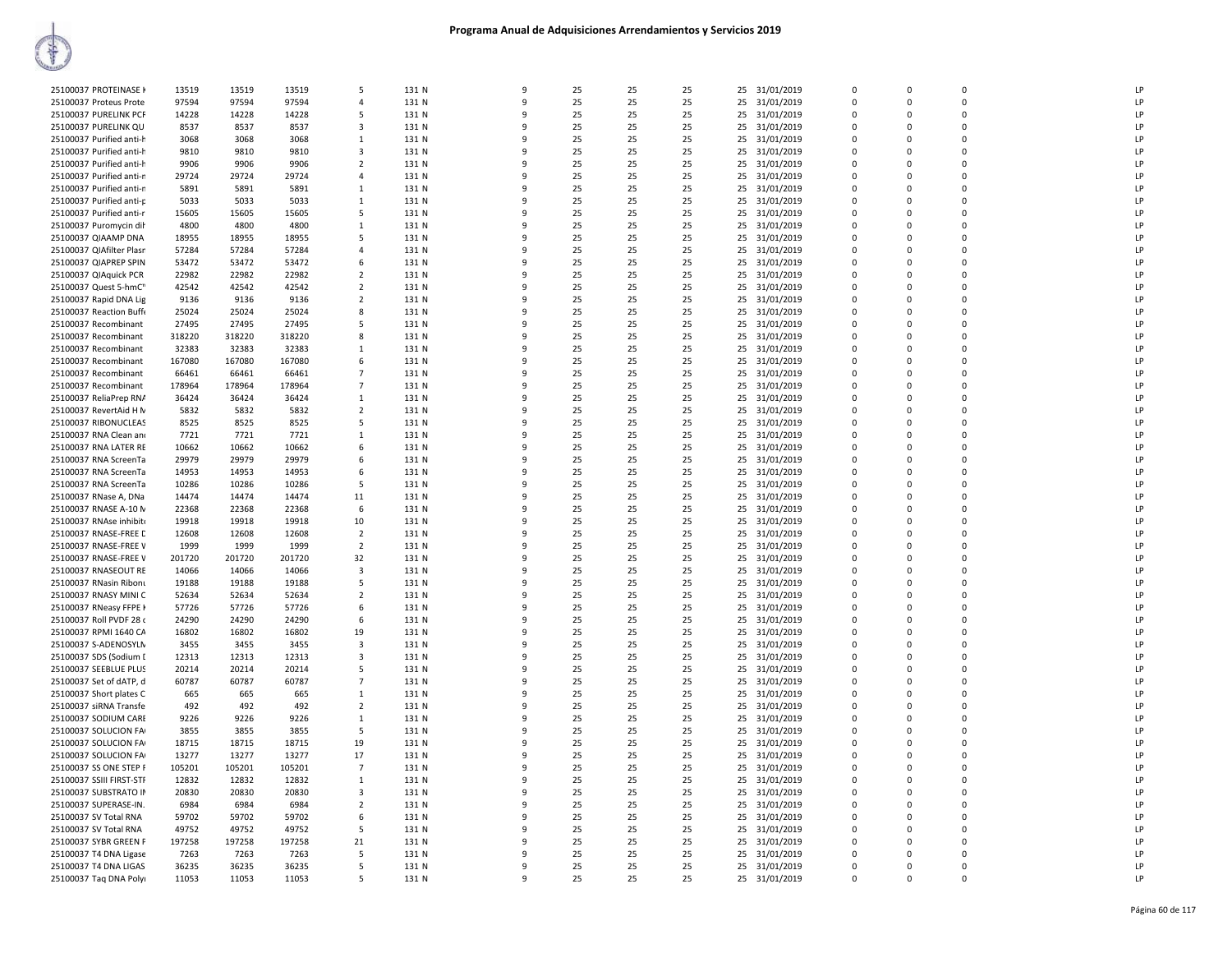| 25100037 PROTEINASE H              | 13519  | 13519  | 13519  | 5                       | 131 N | 9 | 25 | 25 | 25 | 25 | 31/01/2019    | $\mathbf 0$ | 0            | 0           | LP           |
|------------------------------------|--------|--------|--------|-------------------------|-------|---|----|----|----|----|---------------|-------------|--------------|-------------|--------------|
| 25100037 Proteus Prote             | 97594  | 97594  | 97594  | $\Delta$                | 131 N | q | 25 | 25 | 25 |    | 25 31/01/2019 | $\mathbf 0$ | $\Omega$     | $\Omega$    | LP           |
| 25100037 PURELINK PCF              | 14228  | 14228  | 14228  | 5                       | 131 N | 9 | 25 | 25 | 25 | 25 | 31/01/2019    | $\Omega$    | $\Omega$     | $\Omega$    | LP           |
| 25100037 PURELINK QU               | 8537   | 8537   | 8537   | 3                       | 131 N | q | 25 | 25 | 25 | 25 | 31/01/2019    | $\Omega$    | <sup>n</sup> | $\Omega$    | LP           |
|                                    |        |        |        |                         |       |   |    |    |    |    |               |             |              |             |              |
| 25100037 Purified anti-h           | 3068   | 3068   | 3068   | 1                       | 131 N | 9 | 25 | 25 | 25 |    | 25 31/01/2019 | $\Omega$    | $\Omega$     | $\Omega$    | LP           |
| 25100037 Purified anti-h           | 9810   | 9810   | 9810   | -3                      | 131 N | ٩ | 25 | 25 | 25 | 25 | 31/01/2019    | $\Omega$    | <sup>n</sup> | $\Omega$    | LP           |
| 25100037 Purified anti-h           | 9906   | 9906   | 9906   | $\overline{2}$          | 131 N | 9 | 25 | 25 | 25 | 25 | 31/01/2019    | $\mathbf 0$ | $\Omega$     | $\Omega$    | LP           |
| 25100037 Purified anti-n           | 29724  | 29724  | 29724  | $\overline{4}$          | 131 N | 9 | 25 | 25 | 25 | 25 | 31/01/2019    | $\mathbf 0$ | $\mathbf 0$  | 0           | LP           |
|                                    |        |        |        |                         | 131 N | 9 | 25 |    |    |    |               | $\Omega$    |              | $\Omega$    | LP           |
| 25100037 Purified anti-n           | 5891   | 5891   | 5891   | $\overline{1}$          |       |   |    | 25 | 25 |    | 25 31/01/2019 |             | $\Omega$     |             |              |
| 25100037 Purified anti-p           | 5033   | 5033   | 5033   | 1                       | 131 N | 9 | 25 | 25 | 25 |    | 25 31/01/2019 | $\mathbf 0$ | 0            | 0           | LP           |
| 25100037 Purified anti-r           | 15605  | 15605  | 15605  | 5                       | 131 N | q | 25 | 25 | 25 |    | 25 31/01/2019 | $\mathbf 0$ | $\Omega$     | 0           | LP           |
| 25100037 Puromycin dih             | 4800   | 4800   | 4800   | $\mathbf{1}$            | 131 N | 9 | 25 | 25 | 25 | 25 | 31/01/2019    | 0           | 0            | 0           | LP           |
|                                    |        |        |        |                         | 131 N | q | 25 |    | 25 |    |               | $\Omega$    | n            | $\Omega$    | LP           |
| 25100037 QIAAMP DNA                | 18955  | 18955  | 18955  | 5                       |       |   |    | 25 |    |    | 25 31/01/2019 |             |              |             |              |
| 25100037 QIAfilter Plasr           | 57284  | 57284  | 57284  | $\overline{a}$          | 131 N | 9 | 25 | 25 | 25 | 25 | 31/01/2019    | $\Omega$    | $\Omega$     | $\Omega$    | LP           |
| 25100037 QIAPREP SPIN              | 53472  | 53472  | 53472  | 6                       | 131 N | 9 | 25 | 25 | 25 | 25 | 31/01/2019    | 0           | $\Omega$     | $\Omega$    | LP           |
| 25100037 QIAquick PCR              | 22982  | 22982  | 22982  | $\overline{2}$          | 131 N | 9 | 25 | 25 | 25 | 25 | 31/01/2019    | 0           | $\Omega$     | $\Omega$    | LP           |
|                                    |        |        |        | $\overline{2}$          |       | q | 25 | 25 |    |    |               | 0           | $\Omega$     | $\Omega$    | LP           |
| 25100037 Quest 5-hmC <sup>11</sup> | 42542  | 42542  | 42542  |                         | 131 N |   |    |    | 25 |    | 25 31/01/2019 |             |              |             |              |
| 25100037 Rapid DNA Lig             | 9136   | 9136   | 9136   | $\overline{2}$          | 131 N | c | 25 | 25 | 25 |    | 25 31/01/2019 | $\Omega$    | $\Omega$     | $\Omega$    | LP           |
| 25100037 Reaction Buffe            | 25024  | 25024  | 25024  | 8                       | 131 N | 9 | 25 | 25 | 25 | 25 | 31/01/2019    | $\mathbf 0$ | $\Omega$     | 0           | LP           |
| 25100037 Recombinant               | 27495  | 27495  | 27495  | 5                       | 131 N | 9 | 25 | 25 | 25 |    | 25 31/01/2019 | $\Omega$    | $\Omega$     | $\Omega$    | LP           |
| 25100037 Recombinant               | 318220 | 318220 | 318220 | 8                       | 131 N | q | 25 | 25 | 25 | 25 | 31/01/2019    | $\mathbf 0$ | 0            | 0           | LP           |
|                                    |        |        |        |                         |       |   |    |    |    |    |               |             |              |             |              |
| 25100037 Recombinant               | 32383  | 32383  | 32383  | $\overline{1}$          | 131 N | q | 25 | 25 | 25 | 25 | 31/01/2019    | $\Omega$    | $\Omega$     | $\Omega$    | LP           |
| 25100037 Recombinant               | 167080 | 167080 | 167080 | 6                       | 131 N | 9 | 25 | 25 | 25 | 25 | 31/01/2019    | 0           | $\Omega$     | $\Omega$    | LP           |
| 25100037 Recombinant               | 66461  | 66461  | 66461  | $\overline{7}$          | 131 N | q | 25 | 25 | 25 |    | 25 31/01/2019 | $\Omega$    | n            | $\Omega$    | LP           |
|                                    |        |        |        | $\overline{7}$          | 131 N | q | 25 | 25 | 25 |    |               | $\Omega$    | $\Omega$     | $\Omega$    | LP           |
| 25100037 Recombinant               | 178964 | 178964 | 178964 |                         |       |   |    |    |    |    | 25 31/01/2019 |             |              |             |              |
| 25100037 ReliaPrep RNA             | 36424  | 36424  | 36424  | 1                       | 131 N | q | 25 | 25 | 25 | 25 | 31/01/2019    | 0           | $\Omega$     | 0           | LP           |
| 25100037 RevertAid H N             | 5832   | 5832   | 5832   | $\overline{2}$          | 131 N | q | 25 | 25 | 25 |    | 25 31/01/2019 | $\Omega$    | $\Omega$     | $\Omega$    | LP           |
| 25100037 RIBONUCLEAS               | 8525   | 8525   | 8525   | 5                       | 131 N | q | 25 | 25 | 25 | 25 | 31/01/2019    | $\mathbf 0$ | $\Omega$     | 0           | LP           |
| 25100037 RNA Clean and             | 7721   | 7721   | 7721   | 1                       | 131 N | 9 | 25 | 25 | 25 | 25 | 31/01/2019    | $\mathbf 0$ | $\Omega$     | 0           | LP           |
|                                    |        |        |        |                         |       |   |    |    |    |    |               |             |              |             |              |
| 25100037 RNA LATER RE              | 10662  | 10662  | 10662  | 6                       | 131 N | 9 | 25 | 25 | 25 | 25 | 31/01/2019    | $\mathbf 0$ | 0            | 0           | LP           |
| 25100037 RNA ScreenTa              | 29979  | 29979  | 29979  | 6                       | 131 N | q | 25 | 25 | 25 |    | 25 31/01/2019 | $\mathbf 0$ | $\Omega$     | $\Omega$    | LP           |
| 25100037 RNA ScreenTa              | 14953  | 14953  | 14953  | 6                       | 131 N | 9 | 25 | 25 | 25 |    | 25 31/01/2019 | $\Omega$    | $\Omega$     | $\Omega$    | LP           |
| 25100037 RNA ScreenTa              | 10286  | 10286  | 10286  | 5                       | 131 N | q | 25 | 25 | 25 | 25 | 31/01/2019    | $\Omega$    | $\Omega$     | 0           | LP           |
|                                    |        |        |        |                         |       |   |    |    |    |    |               |             |              |             |              |
| 25100037 RNase A, DNa              | 14474  | 14474  | 14474  | 11                      | 131 N | q | 25 | 25 | 25 |    | 25 31/01/2019 | $\Omega$    | $\Omega$     | $\Omega$    | LP           |
| 25100037 RNASE A-10 N              | 22368  | 22368  | 22368  | 6                       | 131 N | q | 25 | 25 | 25 |    | 25 31/01/2019 | 0           | $\Omega$     | $\Omega$    | LP           |
| 25100037 RNAse inhibito            | 19918  | 19918  | 19918  | 10                      | 131 N | 9 | 25 | 25 | 25 |    | 25 31/01/2019 | $\Omega$    | $\Omega$     | $\Omega$    | LP           |
| 25100037 RNASE-FREE L              | 12608  | 12608  | 12608  | $\overline{2}$          | 131 N | 9 | 25 | 25 | 25 | 25 | 31/01/2019    | 0           | 0            | 0           | LP           |
|                                    |        |        |        |                         |       | 9 |    |    |    |    |               | $\Omega$    |              | $\Omega$    | LP           |
| 25100037 RNASE-FREE V              | 1999   | 1999   | 1999   | $\overline{2}$          | 131 N |   | 25 | 25 | 25 |    | 25 31/01/2019 |             | $\Omega$     |             |              |
| 25100037 RNASE-FREE V              | 201720 | 201720 | 201720 | 32                      | 131 N | 9 | 25 | 25 | 25 | 25 | 31/01/2019    | $\mathbf 0$ | $\Omega$     | 0           | LP           |
| 25100037 RNASEOUT RE               | 14066  | 14066  | 14066  | $\overline{\mathbf{3}}$ | 131 N | q | 25 | 25 | 25 |    | 25 31/01/2019 | $\Omega$    | $\Omega$     | $\Omega$    | LP           |
| 25100037 RNasin Ribonu             | 19188  | 19188  | 19188  | 5                       | 131 N | 9 | 25 | 25 | 25 | 25 | 31/01/2019    | 0           | 0            | 0           | LP           |
|                                    |        |        |        |                         |       | q |    |    |    |    |               |             |              | $\Omega$    |              |
| 25100037 RNASY MINI C              | 52634  | 52634  | 52634  | $\overline{2}$          | 131 N |   | 25 | 25 | 25 | 25 | 31/01/2019    | $\mathbf 0$ | $\Omega$     |             | LP           |
| 25100037 RNeasy FFPE K             | 57726  | 57726  | 57726  | 6                       | 131 N | q | 25 | 25 | 25 |    | 25 31/01/2019 | $\Omega$    | $\Omega$     | $\Omega$    | LP           |
| 25100037 Roll PVDF 28 o            | 24290  | 24290  | 24290  | 6                       | 131 N | q | 25 | 25 | 25 | 25 | 31/01/2019    | 0           | $\Omega$     | 0           | LP           |
| 25100037 RPMI 1640 CA              | 16802  | 16802  | 16802  | 19                      | 131 N | q | 25 | 25 | 25 |    | 25 31/01/2019 | $\Omega$    | $\Omega$     | $\Omega$    | LP           |
| 25100037 S-ADENOSYLN               | 3455   | 3455   | 3455   | -3                      | 131 N | q | 25 | 25 | 25 |    |               | 0           | $\Omega$     | $\Omega$    | LP           |
|                                    |        |        |        |                         |       |   |    |    |    |    | 25 31/01/2019 |             |              |             |              |
| 25100037 SDS (Sodium I             | 12313  | 12313  | 12313  | $\overline{\mathbf{3}}$ | 131 N | q | 25 | 25 | 25 |    | 25 31/01/2019 | $\Omega$    | $\Omega$     | $\Omega$    | LP           |
| 25100037 SEEBLUE PLUS              | 20214  | 20214  | 20214  | 5                       | 131 N | 9 | 25 | 25 | 25 | 25 | 31/01/2019    | $\mathbf 0$ | $\Omega$     | 0           | LP           |
| 25100037 Set of dATP, d            | 60787  | 60787  | 60787  | $\overline{7}$          | 131 N | 9 | 25 | 25 | 25 |    | 25 31/01/2019 | $\Omega$    | $\Omega$     | $\Omega$    | LP           |
| 25100037 Short plates C            | 665    | 665    | 665    | $\mathbf{1}$            | 131 N | 9 | 25 | 25 | 25 |    | 25 31/01/2019 | $\mathbf 0$ | $\Omega$     | $\Omega$    | LP           |
|                                    |        |        |        |                         |       |   |    |    |    |    |               |             |              |             |              |
| 25100037 siRNA Transfe             | 492    | 492    | 492    | $\overline{2}$          | 131 N | 9 | 25 | 25 | 25 | 25 | 31/01/2019    | 0           | 0            | 0           | LP           |
| 25100037 SODIUM CARE               | 9226   | 9226   | 9226   | <sup>1</sup>            | 131 N | q | 25 | 25 | 25 |    | 25 31/01/2019 | $\mathbf 0$ | $\Omega$     | $\mathbf 0$ | LP           |
| 25100037 SOLUCION FA               | 3855   | 3855   | 3855   | 5                       | 131 N | q | 25 | 25 | 25 |    | 25 31/01/2019 | $\Omega$    | $\Omega$     | $\Omega$    | $\mathsf{I}$ |
| 25100037 SOLUCION FA               | 18715  | 18715  | 18715  | 19                      | 131 N | C | 25 | 25 | 25 |    | 25 31/01/2019 | $\Omega$    | $\Omega$     | $\Omega$    | LP           |
|                                    |        |        |        |                         |       |   |    |    |    |    |               |             |              |             |              |
| 25100037 SOLUCION FA               | 13277  | 13277  | 13277  | 17                      | 131 N | q | 25 | 25 | 25 | 25 | 31/01/2019    | 0           | $\Omega$     | 0           | LP           |
| 25100037 SS ONE STEP F             | 105201 | 105201 | 105201 | $\overline{7}$          | 131 N | q | 25 | 25 | 25 |    | 25 31/01/2019 | $\Omega$    | $\Omega$     | $\Omega$    | LP           |
| 25100037 SSIII FIRST-STF           | 12832  | 12832  | 12832  | $\mathbf{1}$            | 131 N | q | 25 | 25 | 25 |    | 25 31/01/2019 | $\mathbf 0$ | $\Omega$     | 0           | LP           |
| 25100037 SUBSTRATO IN              | 20830  | 20830  | 20830  | $\overline{\mathbf{3}}$ | 131 N | 9 | 25 | 25 | 25 | 25 | 31/01/2019    | $\mathbf 0$ | 0            | 0           | LP           |
|                                    |        |        |        |                         |       |   |    |    |    |    |               |             |              |             |              |
| 25100037 SUPERASE-IN.              | 6984   | 6984   | 6984   | $\overline{2}$          | 131 N | 9 | 25 | 25 | 25 | 25 | 31/01/2019    | $\mathbf 0$ | $\Omega$     | $\Omega$    | LP           |
| 25100037 SV Total RNA              | 59702  | 59702  | 59702  | 6                       | 131 N | q | 25 | 25 | 25 |    | 25 31/01/2019 | $\mathbf 0$ | $\Omega$     | $\Omega$    | LP           |
| 25100037 SV Total RNA              | 49752  | 49752  | 49752  | 5                       | 131 N | q | 25 | 25 | 25 |    | 25 31/01/2019 | $\mathbf 0$ | $\Omega$     | $\mathbf 0$ | $\mathsf{I}$ |
| 25100037 SYBR GREEN F              | 197258 | 197258 | 197258 | 21                      | 131 N | q | 25 | 25 | 25 | 25 | 31/01/2019    | 0           | n            | 0           | LP           |
| 25100037 T4 DNA Ligase             | 7263   | 7263   | 7263   | 5                       | 131 N | q | 25 | 25 | 25 |    | 25 31/01/2019 | $\Omega$    | $\Omega$     | $\Omega$    | LP           |
|                                    |        |        |        |                         |       |   |    |    |    |    |               |             |              |             |              |
| 25100037 T4 DNA LIGAS              | 36235  | 36235  | 36235  | 5                       | 131 N | q | 25 | 25 | 25 |    | 25 31/01/2019 | $\Omega$    | $\Omega$     | $\Omega$    | LP           |
| 25100037 Taq DNA Polyi             | 11053  | 11053  | 11053  | 5                       | 131 N | 9 | 25 | 25 | 25 |    | 25 31/01/2019 | $\Omega$    | $\Omega$     | $\Omega$    | LP           |
|                                    |        |        |        |                         |       |   |    |    |    |    |               |             |              |             |              |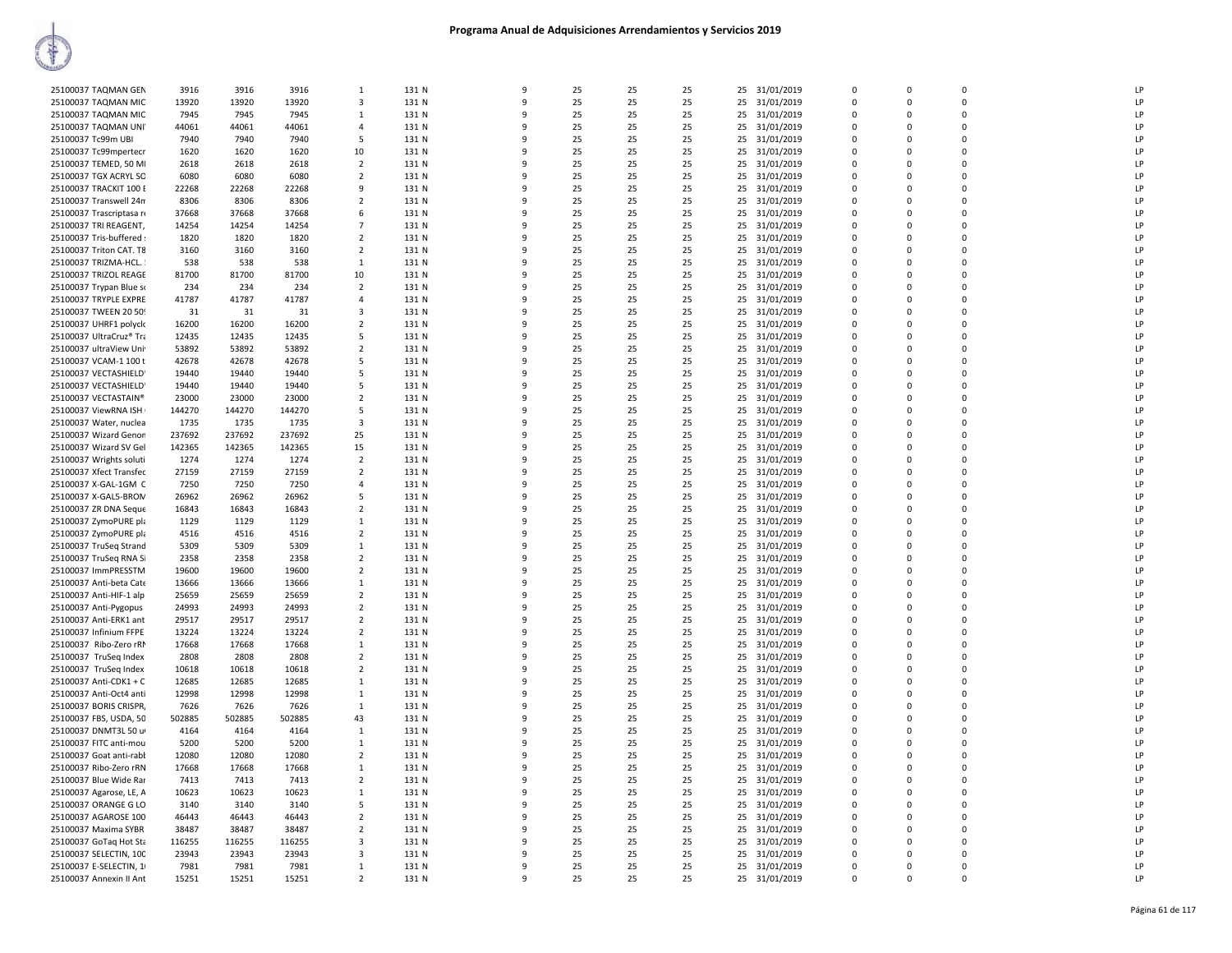| 25100037 TAQMAN GEN      | 3916   | 3916   | 3916   | 1              | 131 N | 9            | 25 | 25 | 25 | 25<br>31/01/2019 | $\mathbf 0$    | 0           | $\mathbf 0$    | LP |
|--------------------------|--------|--------|--------|----------------|-------|--------------|----|----|----|------------------|----------------|-------------|----------------|----|
| 25100037 TAQMAN MIC      | 13920  | 13920  | 13920  | 3              | 131 N | $\mathsf{q}$ | 25 | 25 | 25 | 25<br>31/01/2019 | $\mathbf 0$    | $\mathbf 0$ | $\Omega$       | LP |
| 25100037 TAQMAN MIC      | 7945   | 7945   | 7945   | -1             | 131 N | q            | 25 | 25 | 25 | 25<br>31/01/2019 | $\Omega$       | $\Omega$    | $\Omega$       | LP |
| 25100037 TAQMAN UNI      | 44061  | 44061  | 44061  | $\mathbf{A}$   | 131 N | q            | 25 | 25 | 25 | 25<br>31/01/2019 | $\mathbf 0$    | $\Omega$    | $\overline{0}$ | LP |
|                          |        |        |        |                |       |              |    |    |    |                  |                |             | $\Omega$       |    |
| 25100037 Tc99m UBI       | 7940   | 7940   | 7940   | 5              | 131 N | 9            | 25 | 25 | 25 | 25<br>31/01/2019 | $\Omega$       | $\Omega$    |                | LP |
| 25100037 Tc99mpertecr    | 1620   | 1620   | 1620   | 10             | 131 N | ٩            | 25 | 25 | 25 | 25<br>31/01/2019 | $\Omega$       | $\Omega$    | $\Omega$       | LP |
| 25100037 TEMED, 50 MI    | 2618   | 2618   | 2618   | $\overline{2}$ | 131 N | 9            | 25 | 25 | 25 | 25 31/01/2019    | $\mathbf 0$    | $\Omega$    | $\overline{0}$ | LP |
| 25100037 TGX ACRYL SO    | 6080   | 6080   | 6080   | $\overline{2}$ | 131 N | 9            | 25 | 25 | 25 | 25<br>31/01/2019 | $\mathbf 0$    | 0           | $\overline{0}$ | LP |
|                          |        |        |        | 9              |       | $\mathsf{Q}$ | 25 |    |    |                  | $\Omega$       | $\Omega$    | $\Omega$       | LP |
| 25100037 TRACKIT 100 E   | 22268  | 22268  | 22268  |                | 131 N |              |    | 25 | 25 | 31/01/2019<br>25 |                |             |                |    |
| 25100037 Transwell 24n   | 8306   | 8306   | 8306   | $\overline{2}$ | 131 N | q            | 25 | 25 | 25 | 25<br>31/01/2019 | $\mathbf 0$    | 0           | $\overline{0}$ | LP |
| 25100037 Trascriptasa re | 37668  | 37668  | 37668  | -6             | 131 N | q            | 25 | 25 | 25 | 25<br>31/01/2019 | $\Omega$       | $\Omega$    | $\Omega$       | LP |
| 25100037 TRI REAGENT,    | 14254  | 14254  | 14254  | $\overline{7}$ | 131 N | q            | 25 | 25 | 25 | 25<br>31/01/2019 | $\Omega$       | $\Omega$    | $\Omega$       | LP |
|                          |        |        |        | $\overline{2}$ |       | q            | 25 |    |    |                  | $\Omega$       | $\Omega$    | $\Omega$       | LP |
| 25100037 Tris-buffered : | 1820   | 1820   | 1820   |                | 131 N |              |    | 25 | 25 | 25<br>31/01/2019 |                |             |                |    |
| 25100037 Triton CAT. T8  | 3160   | 3160   | 3160   | 2              | 131 N | q            | 25 | 25 | 25 | 31/01/2019<br>25 | $\Omega$       | $\Omega$    | $\Omega$       | LP |
| 25100037 TRIZMA-HCL.     | 538    | 538    | 538    | 1              | 131 N | 9            | 25 | 25 | 25 | 31/01/2019<br>25 | $\overline{0}$ | $\mathbf 0$ | $\overline{0}$ | LP |
| 25100037 TRIZOL REAGE    | 81700  | 81700  | 81700  | 10             | 131 N | 9            | 25 | 25 | 25 | 25<br>31/01/2019 | $\mathbf 0$    | 0           | $\Omega$       | LP |
|                          | 234    | 234    | 234    | $\overline{2}$ | 131 N | q            | 25 | 25 | 25 | 25               | $\mathbf 0$    | 0           | $\Omega$       | LP |
| 25100037 Trypan Blue so  |        |        |        |                |       |              |    |    |    | 31/01/2019       |                |             |                |    |
| 25100037 TRYPLE EXPRE    | 41787  | 41787  | 41787  | 4              | 131 N | Q            | 25 | 25 | 25 | 25<br>31/01/2019 | $\Omega$       | $\Omega$    | $\overline{0}$ | LP |
| 25100037 TWEEN 20 509    | 31     | 31     | 31     | 3              | 131 N | q            | 25 | 25 | 25 | 25<br>31/01/2019 | $\mathbf 0$    | 0           | $\overline{0}$ | LP |
| 25100037 UHRF1 polyck    | 16200  | 16200  | 16200  | $\overline{2}$ | 131 N | $\mathsf{q}$ | 25 | 25 | 25 | 25<br>31/01/2019 | $\Omega$       | $\Omega$    | $\Omega$       | LP |
| 25100037 UltraCruz® Tra  | 12435  | 12435  | 12435  | .5             | 131 N | q            | 25 | 25 | 25 | 25<br>31/01/2019 | $\Omega$       | $\Omega$    | $\Omega$       | LP |
|                          |        |        |        |                |       |              |    |    |    |                  |                |             |                |    |
| 25100037 ultraView Uni   | 53892  | 53892  | 53892  | 2              | 131 N | q            | 25 | 25 | 25 | 31/01/2019<br>25 | $\mathbf 0$    | $\mathbf 0$ | $\overline{0}$ | LP |
| 25100037 VCAM-1 100 t    | 42678  | 42678  | 42678  | 5              | 131 N | 9            | 25 | 25 | 25 | 25<br>31/01/2019 | $\mathbf 0$    | 0           | $\Omega$       | LP |
| 25100037 VECTASHIELD     | 19440  | 19440  | 19440  | -5             | 131 N | ٩            | 25 | 25 | 25 | 25<br>31/01/2019 | $\mathbf 0$    | $\mathbf 0$ | $\Omega$       | LP |
| 25100037 VECTASHIELD     | 19440  | 19440  | 19440  | 5              | 131 N | q            | 25 | 25 | 25 | 25               | $\Omega$       | $\Omega$    | $\Omega$       | LP |
|                          |        |        |        |                |       |              |    |    |    | 31/01/2019       |                |             |                |    |
| 25100037 VECTASTAIN®     | 23000  | 23000  | 23000  | $\overline{2}$ | 131 N | 9            | 25 | 25 | 25 | 25<br>31/01/2019 | $\mathbf 0$    | 0           | $\overline{0}$ | LP |
| 25100037 ViewRNA ISH     | 144270 | 144270 | 144270 | 5              | 131 N | 9            | 25 | 25 | 25 | 25<br>31/01/2019 | $\Omega$       | $\Omega$    | $\Omega$       | LP |
| 25100037 Water, nuclea   | 1735   | 1735   | 1735   | 3              | 131 N | q            | 25 | 25 | 25 | 25<br>31/01/2019 | $\mathbf 0$    | 0           | $\overline{0}$ | LP |
| 25100037 Wizard Genon    | 237692 | 237692 | 237692 | 25             | 131 N | q            | 25 | 25 | 25 | 31/01/2019<br>25 | 0              | $\Omega$    | $\Omega$       | LP |
|                          |        |        |        |                |       |              |    |    |    |                  |                |             |                |    |
| 25100037 Wizard SV Gel   | 142365 | 142365 | 142365 | 15             | 131 N | 9            | 25 | 25 | 25 | 25<br>31/01/2019 | $\Omega$       | $\Omega$    | $\Omega$       | LP |
| 25100037 Wrights soluti  | 1274   | 1274   | 1274   | $\overline{2}$ | 131 N | q            | 25 | 25 | 25 | 31/01/2019<br>25 | $\Omega$       | $\Omega$    | $\Omega$       | LP |
| 25100037 Xfect Transfec  | 27159  | 27159  | 27159  | $\overline{2}$ | 131 N | q            | 25 | 25 | 25 | 25<br>31/01/2019 | $\Omega$       | $\Omega$    | $\Omega$       | LP |
| 25100037 X-GAL-1GM C     | 7250   | 7250   | 7250   | 4              | 131 N | ٩            | 25 | 25 | 25 | 25<br>31/01/2019 | $\mathbf 0$    | 0           | $\mathbf{0}$   | LP |
|                          |        |        |        |                |       |              |    |    |    |                  |                |             |                |    |
| 25100037 X-GAL5-BRON     | 26962  | 26962  | 26962  | -5             | 131 N | $\mathbf{q}$ | 25 | 25 | 25 | 25<br>31/01/2019 | $\Omega$       | $\Omega$    | $\Omega$       | LP |
| 25100037 ZR DNA Seque    | 16843  | 16843  | 16843  | $\overline{2}$ | 131 N | 9            | 25 | 25 | 25 | 25<br>31/01/2019 | $\mathbf 0$    | 0           | $\overline{0}$ | LP |
| 25100037 ZymoPURE pla    | 1129   | 1129   | 1129   | 1              | 131 N | 9            | 25 | 25 | 25 | 31/01/2019<br>25 | $\mathbf 0$    | $\mathbf 0$ | $\overline{0}$ | LP |
| 25100037 ZymoPURE pla    | 4516   | 4516   | 4516   | $\overline{2}$ | 131 N | 9            | 25 | 25 | 25 | 25<br>31/01/2019 | $\mathbf 0$    | 0           | $\overline{0}$ | LP |
|                          |        |        |        |                |       | $\mathsf{q}$ |    |    |    |                  | $\Omega$       | $\Omega$    | $\Omega$       | LP |
| 25100037 TruSeq Strand   | 5309   | 5309   | 5309   | -1             | 131 N |              | 25 | 25 | 25 | 25<br>31/01/2019 |                |             |                |    |
| 25100037 TruSeq RNA Si   | 2358   | 2358   | 2358   | $\overline{2}$ | 131 N | q            | 25 | 25 | 25 | 31/01/2019<br>25 | $\Omega$       | $\Omega$    | $\Omega$       | LP |
| 25100037 ImmPRESSTM      | 19600  | 19600  | 19600  | $\overline{2}$ | 131 N | q            | 25 | 25 | 25 | 25<br>31/01/2019 | $\mathbf 0$    | $\Omega$    | $\overline{0}$ | LP |
| 25100037 Anti-beta Cate  | 13666  | 13666  | 13666  | 1              | 131 N | 9            | 25 | 25 | 25 | 25 31/01/2019    | $\Omega$       | $\Omega$    | $\Omega$       | LP |
|                          |        |        |        |                |       | q            | 25 | 25 |    |                  | $\Omega$       | $\Omega$    | $\Omega$       | LP |
| 25100037 Anti-HIF-1 alp  | 25659  | 25659  | 25659  | 2              | 131 N |              |    |    | 25 | 25 31/01/2019    |                |             |                |    |
| 25100037 Anti-Pygopus    | 24993  | 24993  | 24993  | $\overline{2}$ | 131 N | 9            | 25 | 25 | 25 | 31/01/2019<br>25 | $\mathbf 0$    | $\Omega$    | $\overline{0}$ | LP |
| 25100037 Anti-ERK1 ant   | 29517  | 29517  | 29517  | $\overline{2}$ | 131 N | 9            | 25 | 25 | 25 | 25<br>31/01/2019 | $\mathbf 0$    | 0           | $\overline{0}$ | LP |
| 25100037 Infinium FFPE   | 13224  | 13224  | 13224  | $\overline{2}$ | 131 N | $\mathsf{q}$ | 25 | 25 | 25 | 25<br>31/01/2019 | $\Omega$       | $\Omega$    | $\Omega$       | LP |
| 25100037 Ribo-Zero rRM   | 17668  | 17668  | 17668  | 1              | 131 N | q            | 25 | 25 | 25 | 25<br>31/01/2019 | $\mathbf 0$    | 0           | $\overline{0}$ | LP |
|                          |        |        |        |                |       |              |    |    |    |                  |                |             |                |    |
| 25100037 TruSeq Index    | 2808   | 2808   | 2808   | $\overline{2}$ | 131 N | q            | 25 | 25 | 25 | 25<br>31/01/2019 | $\Omega$       | $\Omega$    | $\Omega$       | LP |
| 25100037 TruSeq Index    | 10618  | 10618  | 10618  | $\overline{2}$ | 131 N | 9            | 25 | 25 | 25 | 25<br>31/01/2019 | $\Omega$       | $\Omega$    | $\Omega$       | LP |
| 25100037 Anti-CDK1 + C   | 12685  | 12685  | 12685  | -1             | 131 N | q            | 25 | 25 | 25 | 25<br>31/01/2019 | $\Omega$       | $\Omega$    | $\Omega$       | LP |
| 25100037 Anti-Oct4 anti  | 12998  | 12998  | 12998  | -1             | 131 N | 9            | 25 | 25 | 25 | 25 31/01/2019    | $\Omega$       | $\Omega$    | $\Omega$       | LP |
|                          |        |        |        |                |       |              |    |    |    |                  |                |             |                |    |
| 25100037 BORIS CRISPR    | 7626   | 7626   | 7626   | 1              | 131 N | 9            | 25 | 25 | 25 | 25<br>31/01/2019 | $\mathbf 0$    | $\mathbf 0$ | $\overline{0}$ | LP |
| 25100037 FBS, USDA, 50   | 502885 | 502885 | 502885 | 43             | 131 N | $\mathsf{q}$ | 25 | 25 | 25 | 25<br>31/01/2019 | $\Omega$       | $\Omega$    | $\Omega$       | LP |
| 25100037 DNMT3L 50 u     | 4164   | 4164   | 4164   | 1              | 131 N | 9            | 25 | 25 | 25 | 25<br>31/01/2019 | $\mathbf 0$    | 0           | $\overline{0}$ | LP |
| 25100037 FITC anti-mou   | 5200   | 5200   | 5200   | $\mathbf{1}$   | 131 N | $\mathbf{q}$ | 25 | 25 | 25 | 25<br>31/01/2019 | $\mathbf 0$    | 0           | $\overline{0}$ | LP |
|                          |        |        |        | $\overline{2}$ |       | q            |    |    |    |                  | $\Omega$       | $\Omega$    | $\Omega$       |    |
| 25100037 Goat anti-rabl  | 12080  | 12080  | 12080  |                | 131 N |              | 25 | 25 | 25 | 25<br>31/01/2019 |                |             |                | LP |
| 25100037 Ribo-Zero rRN   | 17668  | 17668  | 17668  | -1             | 131 N | q            | 25 | 25 | 25 | 25<br>31/01/2019 | $\Omega$       | $\Omega$    | $\Omega$       | LP |
| 25100037 Blue Wide Rar   | 7413   | 7413   | 7413   | 2              | 131 N | q            | 25 | 25 | 25 | 25 31/01/2019    | $\Omega$       | $\Omega$    | $\Omega$       | LP |
| 25100037 Agarose, LE, A  | 10623  | 10623  | 10623  | $\mathbf{1}$   | 131 N | 9            | 25 | 25 | 25 | 31/01/2019<br>25 | $\mathbf 0$    | 0           | $\Omega$       | LP |
| 25100037 ORANGE G LO     | 3140   | 3140   | 3140   | .5             | 131 N | q            | 25 | 25 | 25 | 25               | $\Omega$       | $\Omega$    | $\Omega$       | LP |
|                          |        |        |        |                |       |              |    |    |    | 31/01/2019       |                |             |                |    |
| 25100037 AGAROSE 100     | 46443  | 46443  | 46443  | $\overline{2}$ | 131 N | ٩            | 25 | 25 | 25 | 25<br>31/01/2019 | $\mathbf 0$    | 0           | $\Omega$       | LP |
| 25100037 Maxima SYBR     | 38487  | 38487  | 38487  | $\overline{2}$ | 131 N | q            | 25 | 25 | 25 | 25 31/01/2019    | $\Omega$       | $\Omega$    | $\overline{0}$ | LP |
| 25100037 GoTaq Hot Sta   | 116255 | 116255 | 116255 | 3              | 131 N | 9            | 25 | 25 | 25 | 25<br>31/01/2019 | $\mathbf 0$    | 0           | $\overline{0}$ | LP |
| 25100037 SELECTIN, 100   | 23943  | 23943  | 23943  | 3              | 131 N | $\mathsf{q}$ | 25 | 25 | 25 | 25<br>31/01/2019 | $\Omega$       | $\Omega$    | $\Omega$       | LP |
|                          |        |        |        |                |       |              |    |    |    |                  |                |             |                |    |
| 25100037 E-SELECTIN, 1   | 7981   | 7981   | 7981   | $\mathbf{1}$   | 131 N | q            | 25 | 25 | 25 | 25 31/01/2019    | $\Omega$       | $\Omega$    | $\Omega$       | LP |
| 25100037 Annexin II Ant  | 15251  | 15251  | 15251  | $\overline{2}$ | 131 N | $\mathsf{q}$ | 25 | 25 | 25 | 25 31/01/2019    | $\Omega$       | $\Omega$    | $\Omega$       | LP |
|                          |        |        |        |                |       |              |    |    |    |                  |                |             |                |    |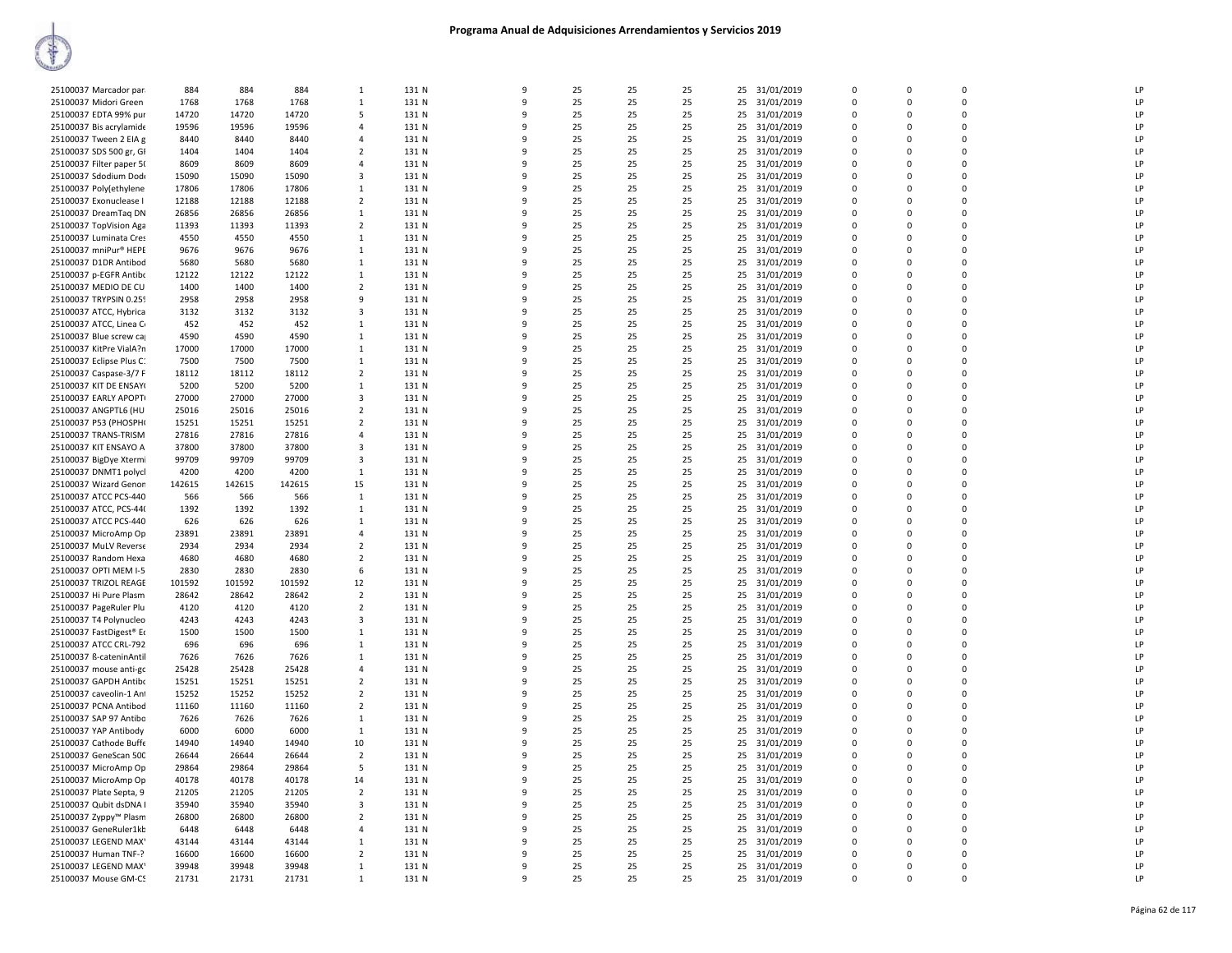| 25100037 Marcador par                         | 884           | 884           | 884           | $\mathbf{1}$                 | 131 N          | 9            | 25       | 25       | 25       |    | 25 31/01/2019               | $\Omega$      | $\Omega$                | $\Omega$    | LP       |
|-----------------------------------------------|---------------|---------------|---------------|------------------------------|----------------|--------------|----------|----------|----------|----|-----------------------------|---------------|-------------------------|-------------|----------|
| 25100037 Midori Green                         | 1768          | 1768          | 1768          | 1                            | 131 N          | q            | 25       | 25       | 25       | 25 | 31/01/2019                  | 0             | $\Omega$                | $\Omega$    | LP       |
| 25100037 EDTA 99% pur                         | 14720         | 14720         | 14720         | -5                           | 131 N          | q            | 25       | 25       | 25       |    | 25 31/01/2019               | $\Omega$      | $\Omega$                | $\Omega$    | LP       |
| 25100037 Bis acrylamide                       | 19596         | 19596         | 19596         | $\overline{a}$               | 131 N          | 9            | 25       | 25       | 25       |    | 25 31/01/2019               | $\mathbf 0$   | $\Omega$                | $\Omega$    | LP       |
| 25100037 Tween 2 EIA g                        | 8440          | 8440          | 8440          | $\overline{4}$               | 131 N          | 9            | 25       | 25       | 25       |    | 25 31/01/2019               | 0             | 0                       | $\mathbf 0$ | LP       |
| 25100037 SDS 500 gr, GI                       | 1404          | 1404          | 1404          | $\overline{2}$               | 131 N          | q            | 25       | 25       | 25       |    | 25 31/01/2019               | $\mathbf 0$   | $\Omega$                | $\mathbf 0$ | LP       |
|                                               |               |               |               | $\overline{4}$               |                | q            | 25       | 25       | 25       |    |                             | $\Omega$      | $\Omega$                | $\Omega$    | LP       |
| 25100037 Filter paper 50                      | 8609          | 8609          | 8609          |                              | 131 N          |              |          |          |          |    | 25 31/01/2019               |               |                         | $\Omega$    |          |
| 25100037 Sdodium Dod                          | 15090         | 15090         | 15090         | $\overline{\mathbf{3}}$      | 131 N          | q            | 25       | 25       | 25       |    | 25 31/01/2019               | 0             | $\Omega$                |             | LP       |
| 25100037 Poly(ethylene                        | 17806         | 17806         | 17806         | $\mathbf{1}$                 | 131 N          | 9            | 25       | 25       | 25       | 25 | 31/01/2019                  | $\Omega$      | $\Omega$                | $\Omega$    | LP       |
| 25100037 Exonuclease I                        | 12188         | 12188         | 12188         | $\overline{2}$               | 131 N          | q            | 25       | 25       | 25       |    | 25 31/01/2019               | $\Omega$      | $\Omega$                | $\Omega$    | LP       |
| 25100037 DreamTag DN                          | 26856         | 26856         | 26856         | $\mathbf{1}$                 | 131 N          | 9            | 25       | 25       | 25       |    | 25 31/01/2019               | 0             | $\Omega$                | $\Omega$    | LP       |
| 25100037 TopVision Aga                        | 11393         | 11393         | 11393         | $\overline{2}$               | 131 N          | 9            | 25       | 25       | 25       |    | 25 31/01/2019               | 0             | 0                       | $\mathbf 0$ | LP       |
| 25100037 Luminata Cres                        | 4550          | 4550          | 4550          | $\mathbf{1}$                 | 131 N          | q            | 25       | 25       | 25       |    | 25 31/01/2019               | $\mathbf 0$   | $\Omega$                | $\Omega$    | LP       |
| 25100037 mniPur® HEPE                         | 9676          | 9676          | 9676          | $\mathbf{1}$                 | 131 N          | q            | 25       | 25       | 25       |    | 25 31/01/2019               | $\Omega$      | $\Omega$                | $\Omega$    | LP       |
| 25100037 D1DR Antibod                         | 5680          | 5680          | 5680          | $\mathbf{1}$                 | 131 N          | 9            | 25       | 25       | 25       |    | 25 31/01/2019               | $\Omega$      | $\Omega$                | $\Omega$    | LP       |
| 25100037 p-EGFR Antibo                        | 12122         | 12122         | 12122         | 1                            | 131 N          | q            | 25       | 25       | 25       | 25 | 31/01/2019                  | 0             | $\mathbf 0$             | $\Omega$    | LP       |
| 25100037 MEDIO DE CU                          | 1400          | 1400          | 1400          | $\overline{2}$               | 131 N          | q            | 25       | 25       | 25       |    | 25 31/01/2019               | $\Omega$      | $\Omega$                | $\Omega$    | LP       |
| 25100037 TRYPSIN 0.259                        | 2958          | 2958          | 2958          | -9                           | 131 N          | 9            | 25       | 25       | 25       |    | 25 31/01/2019               | $\Omega$      | $\Omega$                | $\Omega$    | LP       |
| 25100037 ATCC, Hybrica                        | 3132          | 3132          | 3132          | $\overline{\mathbf{3}}$      | 131 N          | 9            | 25       | 25       | 25       |    | 25 31/01/2019               | 0             | 0                       | $\mathbf 0$ | LP       |
| 25100037 ATCC, Linea C                        | 452           | 452           | 452           | $\mathbf{1}$                 | 131 N          | 9            | 25       | 25       | 25       |    | 25 31/01/2019               | $\mathbf 0$   | $\Omega$                | $\mathbf 0$ | LP       |
| 25100037 Blue screw ca                        | 4590          | 4590          | 4590          | $\mathbf{1}$                 | 131 N          | q            | 25       | 25       | 25       |    | 25 31/01/2019               | 0             | 0                       | $\Omega$    | LP       |
| 25100037 KitPre VialA?n                       | 17000         | 17000         | 17000         | $\mathbf{1}$                 | 131 N          | q            | 25       | 25       | 25       |    | 25 31/01/2019               | $\Omega$      | $\Omega$                | $\Omega$    | LP       |
| 25100037 Eclipse Plus C.                      | 7500          | 7500          | 7500          | 1                            | 131 N          | q            | 25       | 25       | 25       | 25 | 31/01/2019                  | 0             | $\mathbf 0$             | $\Omega$    | LP       |
| 25100037 Caspase-3/7 F                        | 18112         | 18112         | 18112         | $\overline{2}$               | 131 N          | q            | 25       | 25       | 25       |    | 25 31/01/2019               | $\Omega$      | $\Omega$                | $\Omega$    | LP       |
| 25100037 KIT DE ENSAY(                        | 5200          | 5200          | 5200          | 1                            | 131 N          | q            | 25       | 25       | 25       | 25 | 31/01/2019                  | $\Omega$      | $\Omega$                | $\Omega$    | LP       |
| 25100037 EARLY APOPTI                         | 27000         | 27000         | 27000         | $\overline{\mathbf{3}}$      | 131 N          | q            | 25       | 25       | 25       | 25 | 31/01/2019                  | 0             | 0                       | $\mathbf 0$ | LP       |
| 25100037 ANGPTL6 (HU                          | 25016         | 25016         | 25016         | $\overline{2}$               | 131 N          | 9            | 25       | 25       | 25       |    | 25 31/01/2019               | $\mathbf 0$   | $\Omega$                | $\Omega$    | LP       |
| 25100037 P53 (PHOSPH)                         | 15251         | 15251         | 15251         | $\overline{2}$               | 131 N          | q            | 25       | 25       | 25       |    | 25 31/01/2019               | 0             | $\Omega$                | $\Omega$    | LP       |
| 25100037 TRANS-TRISM                          | 27816         | 27816         | 27816         | $\overline{4}$               | 131 N          | q            | 25       | 25       | 25       |    | 25 31/01/2019               | $\Omega$      | $\Omega$                | $\Omega$    | LP       |
| 25100037 KIT ENSAYO A                         | 37800         | 37800         | 37800         | 3                            | 131 N          | 9            | 25       | 25       | 25       | 25 | 31/01/2019                  | 0             | $\mathbf 0$             | $\Omega$    | LP       |
| 25100037 BigDye Xtermi                        | 99709         | 99709         | 99709         | $\overline{3}$               | 131 N          | $\mathsf{q}$ | 25       | 25       | 25       |    | 25 31/01/2019               | $\Omega$      | $\Omega$                | $\Omega$    | LP       |
| 25100037 DNMT1 polycl                         | 4200          | 4200          | 4200          | $\mathbf{1}$                 | 131 N          | q            | 25       | 25       | 25       |    | 25 31/01/2019               | 0             | $\Omega$                | $\Omega$    | LP       |
| 25100037 Wizard Genon                         | 142615        | 142615        | 142615        | 15                           | 131 N          | q            | 25       | 25       | 25       |    | 25 31/01/2019               | 0             | $\Omega$                | $\mathbf 0$ | LP       |
| 25100037 ATCC PCS-440                         | 566           | 566           | 566           | $\mathbf{1}$                 | 131 N          | 9            | 25       | 25       | 25       |    |                             | $\mathbf 0$   | $\Omega$                | $\Omega$    | LP       |
|                                               |               |               |               |                              |                | q            |          |          |          |    | 25 31/01/2019               |               |                         | $\Omega$    | LP       |
| 25100037 ATCC, PCS-44(                        | 1392          | 1392          | 1392<br>626   | $\mathbf{1}$<br>$\mathbf{1}$ | 131 N          | q            | 25       | 25       | 25       |    | 25 31/01/2019               | 0<br>$\Omega$ | 0<br>$\Omega$           | $\Omega$    |          |
| 25100037 ATCC PCS-440                         | 626           | 626           |               |                              | 131 N          | q            | 25       | 25       | 25       |    | 25 31/01/2019               |               |                         | $\Omega$    | LP       |
| 25100037 MicroAmp Op<br>25100037 MuLV Reverse | 23891<br>2934 | 23891<br>2934 | 23891<br>2934 | 4<br>$\overline{2}$          | 131 N<br>131 N | q            | 25<br>25 | 25<br>25 | 25<br>25 | 25 | 31/01/2019<br>25 31/01/2019 | 0<br>$\Omega$ | $\mathbf 0$<br>$\Omega$ | $\Omega$    | LP<br>LP |
|                                               |               |               |               | $\overline{2}$               |                | 9            |          |          |          |    |                             | 0             | $\Omega$                | $\Omega$    | LP       |
| 25100037 Random Hexa                          | 4680          | 4680          | 4680          |                              | 131 N          | 9            | 25       | 25       | 25       | 25 | 31/01/2019                  | $\Omega$      |                         | $\Omega$    | LP       |
| 25100037 OPTI MEM I-5                         | 2830          | 2830          | 2830          | 6                            | 131 N          |              | 25       | 25       | 25       |    | 25 31/01/2019               |               | $\Omega$                |             |          |
| 25100037 TRIZOL REAGE                         | 101592        | 101592        | 101592        | 12                           | 131 N          | 9<br>q       | 25       | 25       | 25       |    | 25 31/01/2019               | 0             | 0                       | $\mathbf 0$ | LP       |
| 25100037 Hi Pure Plasm                        | 28642         | 28642         | 28642         | $\overline{2}$               | 131 N          |              | 25       | 25       | 25       |    | 25 31/01/2019               | 0             | $\Omega$                | $\Omega$    | LP       |
| 25100037 PageRuler Plu                        | 4120          | 4120          | 4120          | $\overline{2}$               | 131 N          | q            | 25       | 25       | 25       |    | 25 31/01/2019               | $\Omega$      | $\Omega$                | $\Omega$    | LP       |
| 25100037 T4 Polynucleo                        | 4243          | 4243          | 4243          | 3                            | 131 N          | q            | 25       | 25       | 25       | 25 | 31/01/2019                  | 0             | $\mathbf 0$             | $\Omega$    | LP       |
| 25100037 FastDigest® Eo                       | 1500          | 1500          | 1500          | 1                            | 131 N          | q            | 25       | 25       | 25       |    | 25 31/01/2019               | $\Omega$      | $\Omega$                | $\Omega$    | LP       |
| 25100037 ATCC CRL-792                         | 696           | 696           | 696           | 1                            | 131 N          | q            | 25       | 25       | 25       |    | 25 31/01/2019               | 0             | $\Omega$                | $\Omega$    | LP       |
| 25100037 ß-cateninAntil                       | 7626          | 7626          | 7626          | $\mathbf{1}$                 | 131 N          | 9            | 25       | 25       | 25       |    | 25 31/01/2019               | $\Omega$      | $\Omega$                | $\Omega$    | LP       |
| 25100037 mouse anti-go                        | 25428         | 25428         | 25428         | $\overline{4}$               | 131 N          | 9            | 25       | 25       | 25       | 25 | 31/01/2019                  | 0             | 0                       | $\mathbf 0$ | LP       |
| 25100037 GAPDH Antibo                         | 15251         | 15251         | 15251         | $\overline{2}$               | 131 N          | q            | 25       | 25       | 25       |    | 25 31/01/2019               | 0             | $\Omega$                | $\Omega$    | LP       |
| 25100037 caveolin-1 Ant                       | 15252         | 15252         | 15252         | $\overline{2}$               | 131 N          | q            | 25       | 25       | 25       |    | 25 31/01/2019               | $\mathbf 0$   | 0                       | $\mathbf 0$ | LP       |
| 25100037 PCNA Antibod                         | 11160         | 11160         | 11160         | $\overline{2}$               | 131 N          | q            | 25       | 25       | 25       | 25 | 31/01/2019                  | 0             | 0                       | $\Omega$    | LP       |
| 25100037 SAP 97 Antibo                        | 7626          | 7626          | 7626          | $\mathbf{1}$                 | 131 N          | q            | 25       | 25       | 25       |    | 25 31/01/2019               | $\Omega$      | $\Omega$                | $\Omega$    | LP       |
| 25100037 YAP Antibody                         | 6000          | 6000          | 6000          | 1                            | 131 N          | q            | 25       | 25       | 25       |    | 25 31/01/2019               | 0             | $\Omega$                | $\Omega$    | LP       |
| 25100037 Cathode Buffe                        | 14940         | 14940         | 14940         | 10                           | 131 N          | 9            | 25       | 25       | 25       | 25 | 31/01/2019                  | $\Omega$      | $\Omega$                | $\Omega$    | LP       |
| 25100037 GeneScan 500                         | 26644         | 26644         | 26644         | $\overline{2}$               | 131 N          | 9            | 25       | 25       | 25       | 25 | 31/01/2019                  | 0             | 0                       | $\mathbf 0$ | LP       |
| 25100037 MicroAmp Op                          | 29864         | 29864         | 29864         | 5                            | 131 N          | q            | 25       | 25       | 25       |    | 25 31/01/2019               | $\Omega$      | $\Omega$                | $\Omega$    | LP       |
| 25100037 MicroAmp Op                          | 40178         | 40178         | 40178         | 14                           | 131 N          | 9            | 25       | 25       | 25       |    | 25 31/01/2019               | $\Omega$      | $\Omega$                | $\Omega$    | LP       |
| 25100037 Plate Septa, 9                       | 21205         | 21205         | 21205         | $\overline{2}$               | 131 N          | 9            | 25       | 25       | 25       | 25 | 31/01/2019                  | 0             | $\Omega$                | $\Omega$    | LP       |
| 25100037 Qubit dsDNA I                        | 35940         | 35940         | 35940         | $\overline{\mathbf{3}}$      | 131 N          | q            | 25       | 25       | 25       |    | 25 31/01/2019               | $\Omega$      | $\Omega$                | $\Omega$    | LP       |
| 25100037 Zyppy™ Plasm                         | 26800         | 26800         | 26800         | $\overline{2}$               | 131 N          | q            | 25       | 25       | 25       |    | 25 31/01/2019               | 0             | $\Omega$                | $\Omega$    | LP       |
| 25100037 GeneRuler1kb                         | 6448          | 6448          | 6448          | $\overline{4}$               | 131 N          | q            | 25       | 25       | 25       |    | 25 31/01/2019               | $\Omega$      | $\Omega$                | $\Omega$    | LP       |
| 25100037 LEGEND MAX'                          | 43144         | 43144         | 43144         | 1                            | 131 N          | 9            | 25       | 25       | 25       | 25 | 31/01/2019                  | 0             | 0                       | $\mathbf 0$ | LP       |
| 25100037 Human TNF-?                          | 16600         | 16600         | 16600         | $\overline{2}$               | 131 N          | 9            | 25       | 25       | 25       |    | 25 31/01/2019               | $\Omega$      | $\Omega$                | $\Omega$    | LP       |
| 25100037 LEGEND MAX'                          | 39948         | 39948         | 39948         | $\mathbf{1}$                 | 131 N          | 9            | 25       | 25       | 25       |    | 25 31/01/2019               | $\Omega$      | $\Omega$                | $\Omega$    | LP       |
| 25100037 Mouse GM-CS                          | 21731         | 21731         | 21731         | $\mathbf{1}$                 | 131 N          | 9            | 25       | 25       | 25       |    | 25 31/01/2019               | 0             | $\Omega$                | $\Omega$    | LP       |
|                                               |               |               |               |                              |                |              |          |          |          |    |                             |               |                         |             |          |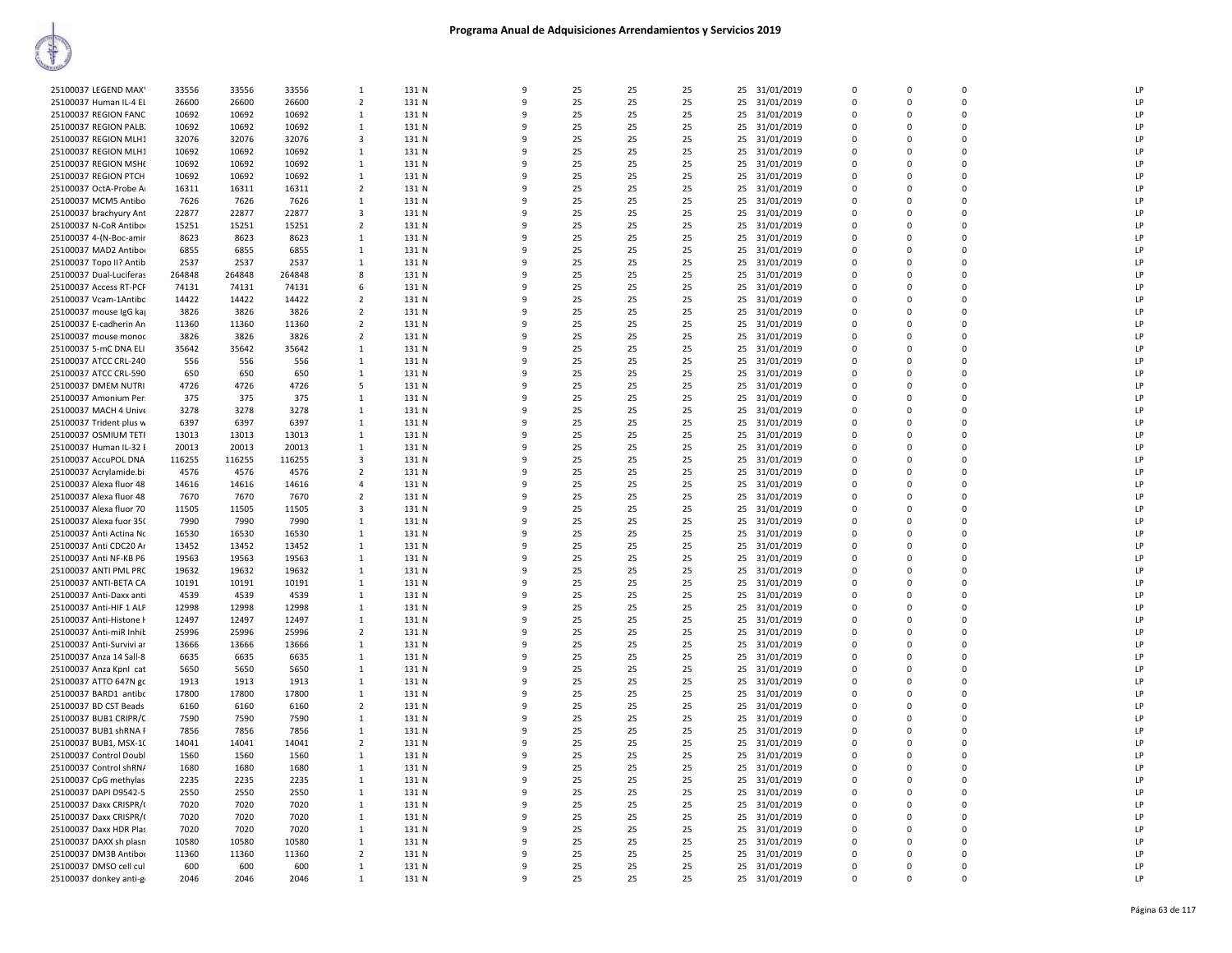| 25100037 LEGEND MAX'     | 33556  | 33556  | 33556  | $\mathbf{1}$   | 131 N | 9            | 25 | 25 | 25 | 25 31/01/2019    | $\Omega$    | $\Omega$    | $\Omega$    | LP        |
|--------------------------|--------|--------|--------|----------------|-------|--------------|----|----|----|------------------|-------------|-------------|-------------|-----------|
| 25100037 Human IL-4 El   | 26600  | 26600  | 26600  | $\overline{2}$ | 131 N | 9            | 25 | 25 | 25 | 25 31/01/2019    | $\mathbf 0$ | $\Omega$    | 0           | LP        |
|                          |        |        |        |                |       |              |    | 25 |    |                  | $\Omega$    | $\Omega$    | 0           | LP        |
| 25100037 REGION FANC     | 10692  | 10692  | 10692  | 1              | 131 N | 9            | 25 |    | 25 | 31/01/2019<br>25 |             |             |             |           |
| 25100037 REGION PALB.    | 10692  | 10692  | 10692  | 1              | 131 N | 9            | 25 | 25 | 25 | 25<br>31/01/2019 | $\mathbf 0$ | $\mathbf 0$ | 0           | LP        |
| 25100037 REGION MLH1     | 32076  | 32076  | 32076  | 3              | 131 N | q            | 25 | 25 | 25 | 25<br>31/01/2019 | $\Omega$    | $\Omega$    | 0           | LP        |
| 25100037 REGION MLH1     | 10692  | 10692  | 10692  | $\mathbf{1}$   | 131 N |              | 25 | 25 | 25 | 25 31/01/2019    | $\Omega$    | $\Omega$    | $\Omega$    | LP        |
| 25100037 REGION MSH      | 10692  | 10692  | 10692  | 1              | 131 N | 9            | 25 | 25 | 25 | 31/01/2019<br>25 | $\Omega$    | $\Omega$    | 0           | LP        |
| 25100037 REGION PTCH     | 10692  | 10692  | 10692  | $\mathbf{1}$   | 131 N | q            | 25 | 25 | 25 | 25 31/01/2019    | $\Omega$    | $\Omega$    | $\Omega$    | LP        |
| 25100037 OctA-Probe A    | 16311  | 16311  | 16311  | 2              | 131 N | ٩            | 25 | 25 | 25 | 25<br>31/01/2019 | $\mathbf 0$ | $\Omega$    | 0           | LP        |
| 25100037 MCM5 Antibo     | 7626   | 7626   | 7626   | 1              | 131 N |              | 25 | 25 | 25 | 31/01/2019<br>25 | $\Omega$    | $\Omega$    | $\mathbf 0$ | LP        |
| 25100037 brachyury Ant   | 22877  | 22877  | 22877  | 3              | 131 N | q            | 25 | 25 | 25 | 25<br>31/01/2019 | $\mathbf 0$ | $\Omega$    | 0           | LP        |
| 25100037 N-CoR Antibor   | 15251  | 15251  | 15251  | 2              | 131 N | $\Omega$     | 25 | 25 | 25 | 31/01/2019<br>25 | $\Omega$    | $\Omega$    | $\Omega$    | LP        |
| 25100037 4-(N-Boc-amir   | 8623   | 8623   | 8623   | 1              | 131 N |              | 25 | 25 | 25 | 25<br>31/01/2019 | $\mathbf 0$ | $\mathbf 0$ | 0           | LP        |
| 25100037 MAD2 Antibor    | 6855   | 6855   | 6855   | 1              | 131 N | ٩            | 25 | 25 | 25 | 31/01/2019<br>25 | $\Omega$    | $\Omega$    | 0           | LP        |
| 25100037 Topo II? Antib  | 2537   | 2537   | 2537   | $\mathbf{1}$   | 131 N | 9            | 25 | 25 | 25 | 31/01/2019<br>25 | $\Omega$    | $\Omega$    | $\Omega$    | LP        |
| 25100037 Dual-Luciferas  | 264848 | 264848 | 264848 | 8              | 131 N | ٩            | 25 | 25 | 25 | 25<br>31/01/2019 | $\Omega$    | $\Omega$    | $\Omega$    | <b>LP</b> |
| 25100037 Access RT-PCF   | 74131  | 74131  | 74131  | 6              | 131 N | ٩            | 25 | 25 | 25 | 25 31/01/2019    | $\Omega$    | $\Omega$    | $\Omega$    | LP        |
| 25100037 Vcam-1Antibc    | 14422  | 14422  | 14422  | $\overline{2}$ | 131 N | 9            | 25 | 25 | 25 | 25               | $\mathbf 0$ | $\Omega$    | 0           | LP        |
|                          |        |        |        |                |       | q            |    |    |    | 31/01/2019       | $\Omega$    |             | $\Omega$    | LP        |
| 25100037 mouse IgG kaj   | 3826   | 3826   | 3826   | $\overline{2}$ | 131 N |              | 25 | 25 | 25 | 25<br>31/01/2019 |             | $\Omega$    |             |           |
| 25100037 E-cadherin An   | 11360  | 11360  | 11360  | 2              | 131 N | 9            | 25 | 25 | 25 | 25<br>31/01/2019 | $\mathbf 0$ | $\mathbf 0$ | 0           | LP        |
| 25100037 mouse monoc     | 3826   | 3826   | 3826   | 2              | 131 N | ٩            | 25 | 25 | 25 | 31/01/2019<br>25 | $\mathbf 0$ | $\Omega$    | 0           | LP        |
| 25100037 5-mC DNA ELI    | 35642  | 35642  | 35642  | $\mathbf{1}$   | 131 N | 9            | 25 | 25 | 25 | 25<br>31/01/2019 | $\Omega$    | $\Omega$    | $\Omega$    | LP        |
| 25100037 ATCC CRL-240    | 556    | 556    | 556    | 1              | 131 N | q            | 25 | 25 | 25 | 31/01/2019<br>25 | $\Omega$    | $\Omega$    | $\Omega$    | LP        |
| 25100037 ATCC CRL-590    | 650    | 650    | 650    | $\mathbf{1}$   | 131 N |              | 25 | 25 | 25 | 25 31/01/2019    | $\Omega$    | $\Omega$    | $\Omega$    | LP        |
| 25100037 DMEM NUTRI      | 4726   | 4726   | 4726   | 5              | 131 N | ٩            | 25 | 25 | 25 | 25<br>31/01/2019 | $\mathbf 0$ | $\Omega$    | 0           | LP        |
| 25100037 Amonium Per.    | 375    | 375    | 375    | 1              | 131 N | q            | 25 | 25 | 25 | 25<br>31/01/2019 | $\Omega$    | $\Omega$    | $\Omega$    | LP        |
| 25100037 MACH 4 Unive    | 3278   | 3278   | 3278   | 1              | 131 N | 9            | 25 | 25 | 25 | 25<br>31/01/2019 | $\mathbf 0$ | $\Omega$    | 0           | LP        |
| 25100037 Trident plus w  | 6397   | 6397   | 6397   | 1              | 131 N | 9            | 25 | 25 | 25 | 31/01/2019<br>25 | $\Omega$    | $\Omega$    | $\mathbf 0$ | LP        |
| 25100037 OSMIUM TETI     | 13013  | 13013  | 13013  | $\mathbf{1}$   | 131 N | 9            | 25 | 25 | 25 | 25<br>31/01/2019 | $\mathbf 0$ | $\mathbf 0$ | 0           | LP        |
| 25100037 Human IL-32 E   | 20013  | 20013  | 20013  | 1              | 131 N | q            | 25 | 25 | 25 | 31/01/2019<br>25 | $\Omega$    | $\Omega$    | $\Omega$    | LP        |
| 25100037 AccuPOL DNA     | 116255 | 116255 | 116255 | 3              | 131 N |              | 25 | 25 | 25 | 25<br>31/01/2019 | $\Omega$    | $\Omega$    | $\Omega$    | LP        |
| 25100037 Acrylamide.bi:  | 4576   | 4576   | 4576   | 2              | 131 N |              | 25 | 25 | 25 | 31/01/2019<br>25 | $\Omega$    | $\Omega$    | $\mathbf 0$ | LP        |
|                          |        |        |        |                |       | q            |    |    |    |                  |             | $\Omega$    | $\Omega$    |           |
| 25100037 Alexa fluor 48  | 14616  | 14616  | 14616  | $\overline{a}$ | 131 N |              | 25 | 25 | 25 | 25 31/01/2019    | $\Omega$    |             |             | LP        |
| 25100037 Alexa fluor 48  | 7670   | 7670   | 7670   | 2              | 131 N | ٩            | 25 | 25 | 25 | 25 31/01/2019    | $\mathbf 0$ | $\Omega$    | $\Omega$    | LP        |
| 25100037 Alexa fluor 70  | 11505  | 11505  | 11505  | 3              | 131 N | 9            | 25 | 25 | 25 | 31/01/2019<br>25 | $\Omega$    | $\Omega$    | $\Omega$    | LP        |
| 25100037 Alexa fuor 350  | 7990   | 7990   | 7990   | 1              | 131 N | 9            | 25 | 25 | 25 | 25<br>31/01/2019 | $\mathbf 0$ | 0           | 0           | LP        |
| 25100037 Anti Actina No  | 16530  | 16530  | 16530  | 1              | 131 N | q            | 25 | 25 | 25 | 25<br>31/01/2019 | $\Omega$    | $\Omega$    | $\Omega$    | LP        |
| 25100037 Anti CDC20 Ar   | 13452  | 13452  | 13452  | 1              | 131 N | q            | 25 | 25 | 25 | 25 31/01/2019    | $\mathbf 0$ | $\Omega$    | 0           | LP        |
| 25100037 Anti NF-KB P6   | 19563  | 19563  | 19563  | 1              | 131 N | ۰Q           | 25 | 25 | 25 | 25<br>31/01/2019 | $\Omega$    | $\Omega$    | 0           | LP        |
| 25100037 ANTI PML PRC    | 19632  | 19632  | 19632  | $\mathbf{1}$   | 131 N |              | 25 | 25 | 25 | 25<br>31/01/2019 | $\Omega$    | $\Omega$    | $\Omega$    | LP        |
| 25100037 ANTI-BETA CA    | 10191  | 10191  | 10191  | 1              | 131 N | ٩            | 25 | 25 | 25 | 25<br>31/01/2019 | $\Omega$    | $\Omega$    | $\Omega$    | LP        |
| 25100037 Anti-Daxx anti  | 4539   | 4539   | 4539   | $\mathbf{1}$   | 131 N | q            | 25 | 25 | 25 | 25 31/01/2019    | $\Omega$    | $\Omega$    | $\Omega$    | LP        |
| 25100037 Anti-HIF 1 ALF  | 12998  | 12998  | 12998  | 1              | 131 N | 9            | 25 | 25 | 25 | 25<br>31/01/2019 | $\mathbf 0$ | $\Omega$    | 0           | LP        |
| 25100037 Anti-Histone I  | 12497  | 12497  | 12497  | $\mathbf{1}$   | 131 N | q            | 25 | 25 | 25 | 31/01/2019<br>25 | $\Omega$    | $\Omega$    | $\Omega$    | LP        |
| 25100037 Anti-miR Inhit  | 25996  | 25996  | 25996  | $\overline{2}$ | 131 N | 9            | 25 | 25 | 25 | 25<br>31/01/2019 | $\mathbf 0$ | $\Omega$    | 0           | LP        |
| 25100037 Anti-Survivi ar | 13666  | 13666  | 13666  | 1              | 131 N |              | 25 | 25 | 25 | 31/01/2019<br>25 | $\Omega$    | $\Omega$    | $\mathbf 0$ | LP        |
| 25100037 Anza 14 Sall-8  | 6635   | 6635   | 6635   | 1              | 131 N |              | 25 | 25 | 25 | 25<br>31/01/2019 | $\mathbf 0$ | $\Omega$    | 0           | LP        |
| 25100037 Anza Kpnl cat   | 5650   | 5650   | 5650   | 1              | 131 N | ۰Q           | 25 | 25 | 25 | 25<br>31/01/2019 | $\Omega$    | $\Omega$    | 0           | LP        |
| 25100037 ATTO 647N gc    | 1913   | 1913   | 1913   | $\mathbf{1}$   | 131 N |              | 25 | 25 | 25 | 25 31/01/2019    | $\Omega$    | $\Omega$    | $\Omega$    | LP        |
| 25100037 BARD1 antibc    | 17800  | 17800  | 17800  | $\mathbf{1}$   | 131 N | 9            | 25 | 25 | 25 | 31/01/2019<br>25 | 0           | $\Omega$    | 0           | LP        |
|                          |        |        |        | $\overline{2}$ | 131 N | q            | 25 | 25 | 25 | 25               | $\Omega$    | $\Omega$    | $\Omega$    | LP        |
| 25100037 BD CST Beads    | 6160   | 6160   | 6160   |                |       |              |    |    |    | 31/01/2019       |             |             |             |           |
| 25100037 BUB1 CRIPR/C    | 7590   | 7590   | 7590   | 1              | 131 N | ٩            | 25 | 25 | 25 | 25<br>31/01/2019 | $\mathbf 0$ | $\Omega$    | 0           | LP        |
| 25100037 BUB1 shRNA F    | 7856   | 7856   | 7856   | -1             | 131 N | ٩            | 25 | 25 | 25 | 25 31/01/2019    | $\Omega$    | $\Omega$    | $\Omega$    | LP        |
| 25100037 BUB1, MSX-10    | 14041  | 14041  | 14041  | $\overline{2}$ | 131 N | 9            | 25 | 25 | 25 | 25<br>31/01/2019 | $\mathbf 0$ | $\Omega$    | 0           | LP        |
| 25100037 Control Doubl   | 1560   | 1560   | 1560   | 1              | 131 N | 9            | 25 | 25 | 25 | 25 31/01/2019    | $\Omega$    | $\Omega$    | $\Omega$    | LP        |
| 25100037 Control shRN/   | 1680   | 1680   | 1680   | $\mathbf{1}$   | 131 N | 9            | 25 | 25 | 25 | 25<br>31/01/2019 | $\mathbf 0$ | $\mathbf 0$ | 0           | LP        |
| 25100037 CpG methylas    | 2235   | 2235   | 2235   | $\mathbf{1}$   | 131 N | q            | 25 | 25 | 25 | 31/01/2019<br>25 | $\Omega$    | $\Omega$    | 0           | LP        |
| 25100037 DAPI D9542-5    | 2550   | 2550   | 2550   | $\mathbf{1}$   | 131 N | $\mathbf{q}$ | 25 | 25 | 25 | 25<br>31/01/2019 | $\Omega$    | $\Omega$    | $\Omega$    | LP        |
| 25100037 Daxx CRISPR/(   | 7020   | 7020   | 7020   | 1              | 131 N | q            | 25 | 25 | 25 | 25 31/01/2019    | $\Omega$    | $\Omega$    | $\Omega$    | LP        |
| 25100037 Daxx CRISPR/(   | 7020   | 7020   | 7020   | $\mathbf{1}$   | 131 N | ٩            | 25 | 25 | 25 | 25 31/01/2019    | $\Omega$    | $\Omega$    | $\Omega$    | LP        |
| 25100037 Daxx HDR Plas   | 7020   | 7020   | 7020   | 1              | 131 N | 9            | 25 | 25 | 25 | 25<br>31/01/2019 | $\mathbf 0$ | $\Omega$    | 0           | LP        |
| 25100037 DAXX sh plasn   | 10580  | 10580  | 10580  | 1              | 131 N | ٩            | 25 | 25 | 25 | 25<br>31/01/2019 | $\Omega$    | $\Omega$    | $\Omega$    | LP        |
| 25100037 DM3B Antibor    | 11360  | 11360  | 11360  | $\overline{2}$ | 131 N | 9            | 25 | 25 | 25 | 25<br>31/01/2019 | $\mathbf 0$ | $\Omega$    | 0           | LP        |
| 25100037 DMSO cell cul   | 600    | 600    | 600    | 1              | 131 N | 9            | 25 | 25 | 25 | 25 31/01/2019    | $\Omega$    | $\Omega$    | $\Omega$    | LP        |
| 25100037 donkey anti-g   | 2046   | 2046   | 2046   | 1              | 131 N | 9            | 25 | 25 | 25 | 25 31/01/2019    | $\mathbf 0$ | 0           | 0           | LP        |
|                          |        |        |        |                |       |              |    |    |    |                  |             |             |             |           |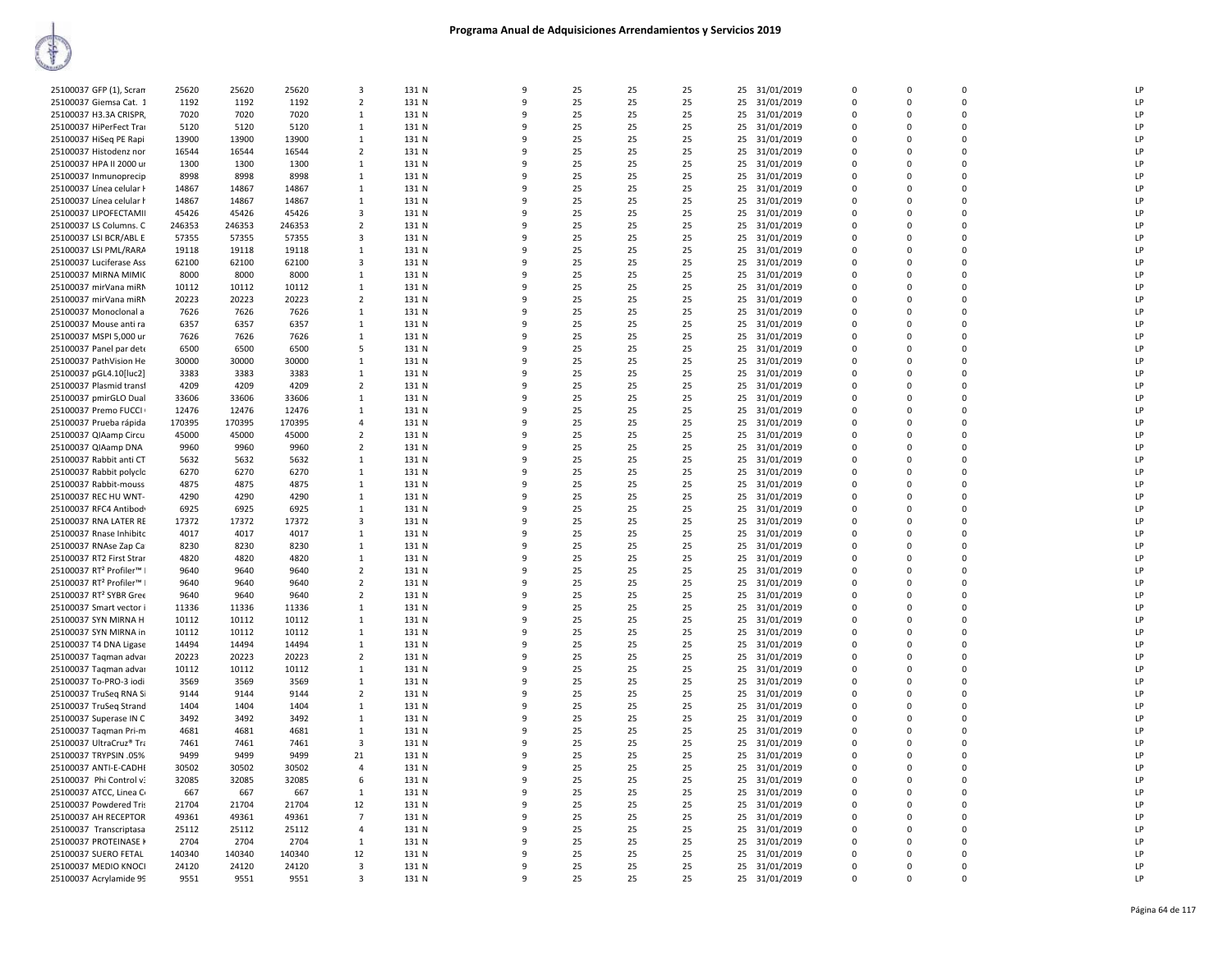| 25100037 GFP (1), Scran                         | 25620         | 25620         | 25620         | 3                                | 131 N          | 9      | 25       | 25       | 25       | 25 31/01/2019                  | $\Omega$      | $\Omega$         | $\Omega$         | LP       |
|-------------------------------------------------|---------------|---------------|---------------|----------------------------------|----------------|--------|----------|----------|----------|--------------------------------|---------------|------------------|------------------|----------|
| 25100037 Giemsa Cat. 1                          | 1192          | 1192          | 1192          | $\overline{2}$                   | 131 N          | 9      | 25       | 25       | 25       | 25 31/01/2019                  | $\Omega$      | $\Omega$         | $\Omega$         | LP       |
| 25100037 H3.3A CRISPR                           | 7020          | 7020          | 7020          | 1                                | 131 N          | 9      | 25       | 25       | 25       | 25 31/01/2019                  | 0             | $\Omega$         | $\Omega$         | LP       |
| 25100037 HiPerFect Trai                         | 5120          | 5120          | 5120          | $\mathbf{1}$                     | 131 N          | q      | 25       | 25       | 25       | 25 31/01/2019                  | $\Omega$      | $\Omega$         | $\Omega$         | LP       |
|                                                 |               |               |               | $\mathbf{1}$                     |                |        |          |          |          |                                | $\mathbf 0$   |                  |                  | LP       |
| 25100037 HiSeq PE Rapi                          | 13900         | 13900         | 13900         |                                  | 131 N          | 9<br>9 | 25       | 25       | 25       | 25 31/01/2019                  | $\Omega$      | $\Omega$         | 0<br>$\mathbf 0$ | LP       |
| 25100037 Histodenz nor                          | 16544         | 16544         | 16544         | $\overline{2}$                   | 131 N          |        | 25       | 25       | 25       | 25 31/01/2019                  |               | $\Omega$         |                  |          |
| 25100037 HPA II 2000 ur                         | 1300          | 1300          | 1300          | 1                                | 131 N          | 9      | 25       | 25       | 25       | 25 31/01/2019                  | $\mathbf 0$   | $\mathbf 0$      | 0                | LP       |
| 25100037 Inmunoprecip                           | 8998          | 8998          | 8998          | 1                                | 131 N          | 9      | 25       | 25       | 25       | 31/01/2019<br>25               | 0             | 0                | 0                | LP       |
| 25100037 Línea celular H                        | 14867         | 14867         | 14867         | 1                                | 131 N          | q      | 25       | 25       | 25       | 25 31/01/2019                  | $\Omega$      | $\Omega$         | $\Omega$         | LP       |
| 25100037 Línea celular h                        | 14867         | 14867         | 14867         | 1                                | 131 N          | q      | 25       | 25       | 25       | 25 31/01/2019                  | 0             | $\Omega$         | $\Omega$         | LP       |
| 25100037 LIPOFECTAMII                           | 45426         | 45426         | 45426         | $\overline{\mathbf{3}}$          | 131 N          | q      | 25       | 25       | 25       | 25 31/01/2019                  | $\Omega$      | $\Omega$         | $\Omega$         | LP       |
| 25100037 LS Columns. C                          | 246353        | 246353        | 246353        | $\overline{2}$                   | 131 N          | q      | 25       | 25       | 25       | 25<br>31/01/2019               | 0             | $\Omega$         | 0                | LP       |
| 25100037 LSI BCR/ABL E                          | 57355         | 57355         | 57355         | $\overline{\mathbf{3}}$          | 131 N          | 9      | 25       | 25       | 25       | 25 31/01/2019                  | $\Omega$      | $\Omega$         | $\Omega$         | LP       |
| 25100037 LSI PML/RARA                           | 19118         | 19118         | 19118         | $\mathbf{1}$                     | 131 N          | 9      | 25       | 25       | 25       | 25 31/01/2019                  | $\mathbf 0$   | $\Omega$         | 0                | LP       |
| 25100037 Luciferase Ass                         | 62100         | 62100         | 62100         | 3                                | 131 N          | q      | 25       | 25       | 25       | 25 31/01/2019                  | $\mathbf 0$   | $\Omega$         | 0                | LP       |
| 25100037 MIRNA MIMIC                            | 8000          | 8000          | 8000          | 1                                | 131 N          | q      | 25       | 25       | 25       | 25<br>31/01/2019               | $\Omega$      | $\Omega$         | $\Omega$         | LP       |
| 25100037 mirVana miRN                           | 10112         | 10112         | 10112         | 1                                | 131 N          | q      | 25       | 25       | 25       | 25 31/01/2019                  | 0             | $\Omega$         | $\Omega$         | LP       |
| 25100037 mirVana miRN                           | 20223         | 20223         | 20223         | $\overline{2}$                   | 131 N          | q      | 25       | 25       | 25       | 25 31/01/2019                  | $\Omega$      | $\Omega$         | $\Omega$         | LP       |
| 25100037 Monoclonal a                           | 7626          | 7626          | 7626          | 1                                | 131 N          | q      | 25       | 25       | 25       | 25<br>31/01/2019               | 0             | $\Omega$         | 0                | LP       |
| 25100037 Mouse anti ra                          | 6357          | 6357          | 6357          | $\overline{1}$                   | 131 N          | q      | 25       | 25       | 25       | 25 31/01/2019                  | $\Omega$      | n                | $\Omega$         | LP       |
| 25100037 MSPI 5,000 ur                          | 7626          | 7626          | 7626          | $\mathbf{1}$                     | 131 N          | q      | 25       | 25       | 25       | 25<br>31/01/2019               | $\mathbf 0$   | $\Omega$         | 0                | LP       |
| 25100037 Panel par dete                         | 6500          | 6500          | 6500          | 5                                | 131 N          | q      | 25       | 25       | 25       | 31/01/2019<br>25               | $\Omega$      | $\Omega$         | 0                | LP       |
| 25100037 PathVision He                          | 30000         | 30000         | 30000         | 1                                | 131 N          | 9      | 25       | 25       | 25       | 25<br>31/01/2019               | $\mathbf 0$   | $\mathbf 0$      | 0                | LP       |
| 25100037 pGL4.10[luc2]                          | 3383          | 3383          | 3383          | $\overline{1}$                   | 131 N          | q      | 25       | 25       | 25       | 25 31/01/2019                  | $\Omega$      | $\Omega$         | $\Omega$         | LP       |
| 25100037 Plasmid transf                         | 4209          | 4209          | 4209          | $\overline{2}$                   | 131 N          | C      | 25       | 25       | 25       | 25 31/01/2019                  | $\Omega$      | $\Omega$         | $\Omega$         | LP       |
| 25100037 pmirGLO Dual                           | 33606         | 33606         | 33606         | 1                                | 131 N          | q      | 25       | 25       | 25       | 25<br>31/01/2019               | 0             | n                | 0                | LP       |
| 25100037 Premo FUCCI                            | 12476         | 12476         | 12476         | $\overline{1}$                   | 131 N          | q      | 25       | 25       | 25       |                                | $\Omega$      | n                | $\Omega$         | LP       |
|                                                 | 170395        | 170395        | 170395        | $\overline{4}$                   | 131 N          | 9      | 25       | 25       | 25       | 25 31/01/2019                  | 0             | $\Omega$         | 0                | LP       |
| 25100037 Prueba rápida<br>25100037 QIAamp Circu | 45000         | 45000         | 45000         | $\overline{2}$                   | 131 N          | 9      | 25       | 25       | 25       | 25 31/01/2019<br>25 31/01/2019 | $\Omega$      | $\Omega$         | $\Omega$         | LP       |
| 25100037 QIAamp DNA                             | 9960          | 9960          | 9960          | $\overline{2}$                   | 131 N          | 9      | 25       | 25       | 25       | 25<br>31/01/2019               | $\mathbf 0$   | $\mathbf 0$      | 0                | LP       |
| 25100037 Rabbit anti CT                         | 5632          | 5632          | 5632          | 1                                | 131 N          | q      | 25       | 25       | 25       | 31/01/2019<br>25               | $\mathbf 0$   | $\Omega$         | $\Omega$         | LP       |
| 25100037 Rabbit polyclo                         | 6270          | 6270          | 6270          | $\mathbf{1}$                     | 131 N          | 9      | 25       | 25       | 25       | 25 31/01/2019                  | $\Omega$      | $\Omega$         | $\Omega$         | LP       |
|                                                 |               |               |               |                                  |                | 9      |          |          |          |                                |               | $\Omega$         | 0                | LP       |
| 25100037 Rabbit-mouss                           | 4875<br>4290  | 4875<br>4290  | 4875<br>4290  | 1<br>1                           | 131 N<br>131 N | q      | 25<br>25 | 25<br>25 | 25<br>25 | 25 31/01/2019                  | 0<br>$\Omega$ | $\Omega$         | $\Omega$         | LP       |
| 25100037 REC HU WNT-                            |               |               |               | 1                                |                | 9      | 25       |          |          | 25 31/01/2019                  | 0             | $\Omega$         | 0                | LP       |
| 25100037 RFC4 Antibod<br>25100037 RNA LATER RE  | 6925<br>17372 | 6925<br>17372 | 6925<br>17372 | 3                                | 131 N<br>131 N | q      | 25       | 25<br>25 | 25<br>25 | 25 31/01/2019<br>25 31/01/2019 | $\Omega$      | $\Omega$         | $\Omega$         | LP       |
| 25100037 Rnase Inhibito                         | 4017          | 4017          | 4017          | $\mathbf{1}$                     | 131 N          |        | 25       | 25       | 25       | 25                             | $\mathbf 0$   |                  | 0                | LP       |
|                                                 | 8230          | 8230          | 8230          | $\overline{1}$                   | 131 N          | 9<br>9 | 25       | 25       | 25       | 31/01/2019<br>25 31/01/2019    | $\Omega$      | 0<br>$\Omega$    | $\Omega$         | LP       |
| 25100037 RNAse Zap Ca                           |               |               |               |                                  |                |        |          |          |          |                                | $\mathbf 0$   |                  | 0                |          |
| 25100037 RT2 First Strar                        | 4820          | 4820          | 4820          | 1                                | 131 N          | 9<br>q | 25       | 25       | 25       | 25 31/01/2019                  | $\Omega$      | $\mathbf 0$<br>n |                  | LP<br>LP |
| 25100037 RT <sup>2</sup> Profiler™ I            | 9640          | 9640          | 9640          | $\overline{2}$<br>$\overline{2}$ | 131 N          | 9      | 25       | 25       | 25       | 31/01/2019<br>25               | $\Omega$      | $\Omega$         | 0<br>$\Omega$    | LP       |
| 25100037 RT <sup>2</sup> Profiler™ I            | 9640          | 9640          | 9640          |                                  | 131 N          | q      | 25       | 25       | 25       | 25 31/01/2019                  |               |                  | $\Omega$         |          |
| 25100037 RT2 SYBR Gree                          | 9640          | 9640          | 9640          | $\overline{2}$                   | 131 N          |        | 25       | 25       | 25       | 25 31/01/2019                  | 0<br>$\Omega$ | $\Omega$         | $\Omega$         | LP       |
| 25100037 Smart vector i                         | 11336         | 11336         | 11336         | $\overline{1}$                   | 131 N          | q      | 25       | 25       | 25       | 25 31/01/2019                  |               | $\Omega$         |                  | LP       |
| 25100037 SYN MIRNA H                            | 10112         | 10112         | 10112         | 1                                | 131 N          | 9      | 25       | 25       | 25       | 25<br>31/01/2019               | 0<br>$\Omega$ | $\Omega$         | 0<br>$\Omega$    | LP       |
| 25100037 SYN MIRNA in                           | 10112         | 10112         | 10112         | $\mathbf{1}$                     | 131 N          | 9      | 25       | 25       | 25       | 25 31/01/2019                  |               | $\Omega$         |                  | LP       |
| 25100037 T4 DNA Ligase                          | 14494         | 14494         | 14494         | $\mathbf{1}$                     | 131 N          | 9      | 25       | 25       | 25       | 25 31/01/2019                  | $\mathbf 0$   | $\Omega$         | 0                | LP       |
| 25100037 Taqman advar                           | 20223         | 20223         | 20223         | $\overline{2}$                   | 131 N          | q      | 25       | 25       | 25       | 25 31/01/2019                  | $\Omega$      | $\Omega$         | 0                | LP       |
| 25100037 Taqman advar                           | 10112         | 10112         | 10112         | 1                                | 131 N          | 9      | 25       | 25       | 25       | 25<br>31/01/2019               | $\Omega$      | $\Omega$         | $\Omega$         | LP       |
| 25100037 To-PRO-3 iodi                          | 3569          | 3569          | 3569          | 1                                | 131 N          | q      | 25       | 25       | 25       | 25 31/01/2019                  | $\Omega$      | n                | $\Omega$         | LP       |
| 25100037 TruSeg RNA Si                          | 9144          | 9144          | 9144          | $\overline{2}$                   | 131 N          | 9      | 25       | 25       | 25       | 25 31/01/2019                  | $\Omega$      | $\Omega$         | $\Omega$         | LP       |
| 25100037 TruSeq Strand                          | 1404          | 1404          | 1404          | 1                                | 131 N          | 9      | 25       | 25       | 25       | 25<br>31/01/2019               | 0             | $\Omega$         | 0                | LP       |
| 25100037 Superase IN C                          | 3492          | 3492          | 3492          | $\overline{1}$                   | 131 N          | q      | 25       | 25       | 25       | 25 31/01/2019                  | $\Omega$      | $\Omega$         | $\Omega$         | LP       |
| 25100037 Taqman Pri-m                           | 4681          | 4681          | 4681          | $\mathbf{1}$                     | 131 N          | q      | 25       | 25       | 25       | 25 31/01/2019                  | $\mathbf 0$   | $\Omega$         | 0                | LP       |
| 25100037 UltraCruz® Tra                         | 7461          | 7461          | 7461          | $\overline{\mathbf{3}}$          | 131 N          | 9      | 25       | 25       | 25       | 25 31/01/2019                  | $\mathbf 0$   | $\Omega$         | 0                | LP       |
| 25100037 TRYPSIN .05%                           | 9499          | 9499          | 9499          | 21                               | 131 N          | 9      | 25       | 25       | 25       | 25<br>31/01/2019               | 0             | 0                | 0                | LP       |
| 25100037 ANTI-E-CADHI                           | 30502         | 30502         | 30502         | $\overline{4}$                   | 131 N          | q      | 25       | 25       | 25       | 25 31/01/2019                  | $\Omega$      | $\Omega$         | $\Omega$         | LP       |
| 25100037 Phi Control v:                         | 32085         | 32085         | 32085         | 6                                | 131 N          | 9      | 25       | 25       | 25       | 25 31/01/2019                  | $\Omega$      | $\Omega$         | $\Omega$         | LP       |
| 25100037 ATCC, Linea C                          | 667           | 667           | 667           | 1                                | 131 N          | q      | 25       | 25       | 25       | 25<br>31/01/2019               | 0             | $\Omega$         | 0                | LP       |
| 25100037 Powdered Tris                          | 21704         | 21704         | 21704         | 12                               | 131 N          | 9      | 25       | 25       | 25       | 25 31/01/2019                  | $\Omega$      | $\Omega$         | $\Omega$         | LP       |
| 25100037 AH RECEPTOR                            | 49361         | 49361         | 49361         | $\overline{7}$                   | 131 N          | q      | 25       | 25       | 25       | 25 31/01/2019                  | 0             | $\Omega$         | 0                | LP       |
| 25100037 Transcriptasa                          | 25112         | 25112         | 25112         | $\overline{4}$                   | 131 N          | q      | 25       | 25       | 25       | 25 31/01/2019                  | $\Omega$      | $\Omega$         | $\Omega$         | LP       |
| 25100037 PROTEINASE K                           | 2704          | 2704          | 2704          | $\mathbf{1}$                     | 131 N          | 9      | 25       | 25       | 25       | 25 31/01/2019                  | $\mathbf 0$   | $\Omega$         | 0                | LP       |
| 25100037 SUERO FETAL                            | 140340        | 140340        | 140340        | 12                               | 131 N          | q      | 25       | 25       | 25       | 25 31/01/2019                  | $\Omega$      | n                | 0                | LP       |
| 25100037 MEDIO KNOCI                            | 24120         | 24120         | 24120         | 3                                | 131 N          | 9      | 25       | 25       | 25       | 25 31/01/2019                  | $\Omega$      | $\Omega$         | $\Omega$         | LP       |
| 25100037 Acrylamide 99                          | 9551          | 9551          | 9551          | $\overline{\mathbf{3}}$          | 131 N          | 9      | 25       | 25       | 25       | 25 31/01/2019                  | $\Omega$      | $\Omega$         | $\Omega$         | LP       |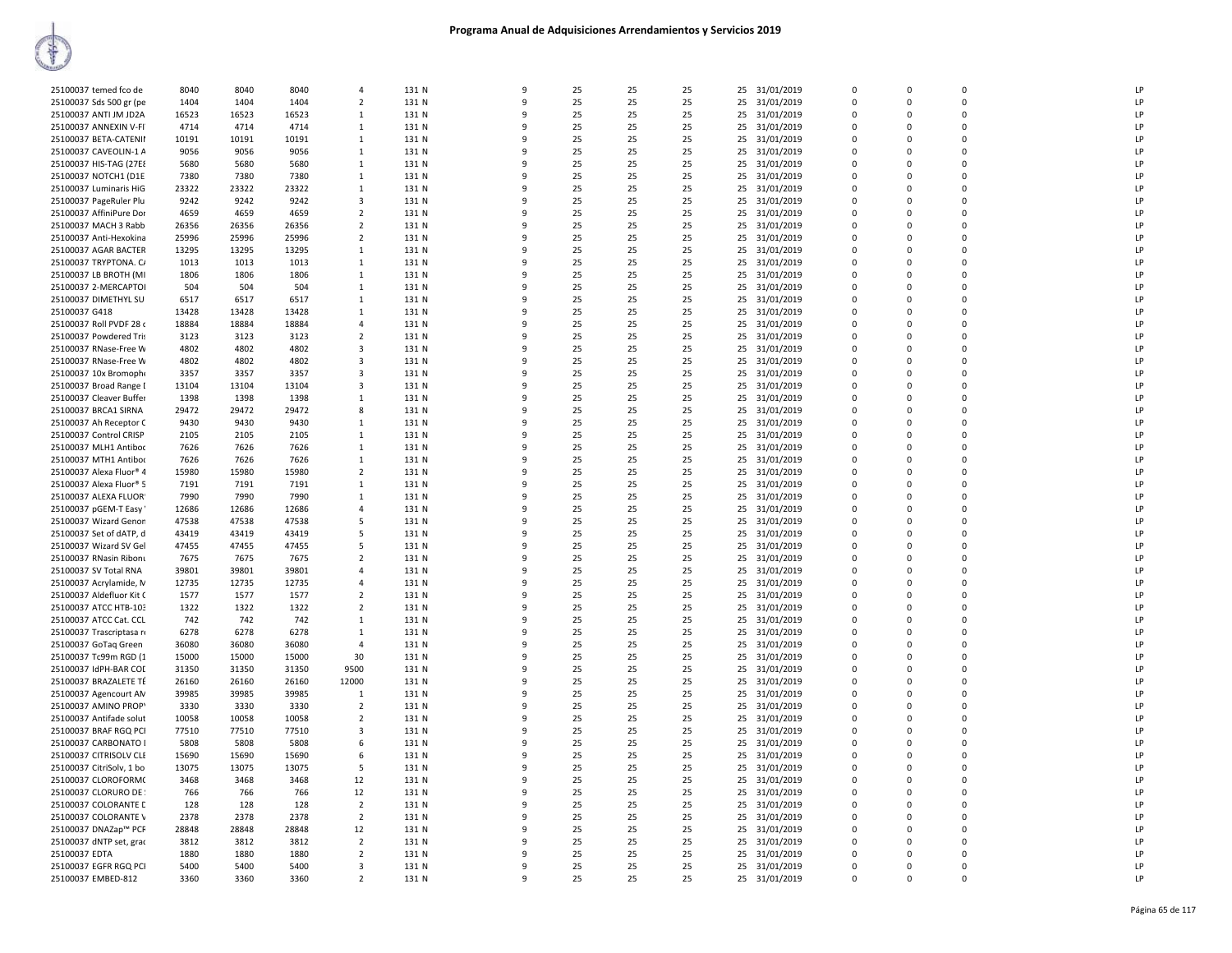| 25100037 temed fco de                              | 8040          | 8040          | 8040           | $\overline{a}$               | 131 N          | $\mathbf{q}$ | 25       | 25       | 25       |          | 25 31/01/2019            | $\Omega$    | $\Omega$ | $\Omega$    | LP |
|----------------------------------------------------|---------------|---------------|----------------|------------------------------|----------------|--------------|----------|----------|----------|----------|--------------------------|-------------|----------|-------------|----|
| 25100037 Sds 500 gr (pe                            | 1404          | 1404          | 1404           | $\overline{2}$               | 131 N          | 9            | 25       | 25       | 25       | 25       | 31/01/2019               | $\mathbf 0$ | $\Omega$ | 0           | LP |
| 25100037 ANTI JM JD2A                              | 16523         | 16523         | 16523          | -1                           | 131 N          | $\mathbf{q}$ | 25       | 25       | 25       |          | 25 31/01/2019            | $\Omega$    | $\Omega$ | $\Omega$    | LP |
| 25100037 ANNEXIN V-FI                              | 4714          | 4714          | 4714           | 1                            | 131 N          | q            | 25       | 25       | 25       |          | 25 31/01/2019            | $\mathbf 0$ | $\Omega$ | $\mathbf 0$ | LP |
| 25100037 BETA-CATENII                              | 10191         | 10191         | 10191          | 1                            | 131 N          | q            | 25       | 25       | 25       | 25       | 31/01/2019               | $\Omega$    | $\Omega$ | $\mathbf 0$ | LP |
| 25100037 CAVEOLIN-1 A                              | 9056          | 9056          | 9056           | $\mathbf{1}$                 | 131 N          | q            | 25       | 25       | 25       | 25       | 31/01/2019               | $\Omega$    | $\Omega$ | $\Omega$    | LP |
| 25100037 HIS-TAG (27E8                             | 5680          | 5680          | 5680           | 1                            | 131 N          | q            | 25       | 25       | 25       | 25       | 31/01/2019               | $\Omega$    | $\Omega$ | $\Omega$    | LP |
| 25100037 NOTCH1 (D1E                               | 7380          | 7380          | 7380           | 1                            | 131 N          | q            | 25       | 25       | 25       |          | 25 31/01/2019            | $\Omega$    | $\Omega$ | $\Omega$    | LP |
| 25100037 Luminaris HiG                             | 23322         | 23322         | 23322          | <sup>1</sup>                 | 131 N          | 9            | 25       | 25       | 25       | 25       | 31/01/2019               | $\mathbf 0$ | $\Omega$ | 0           | LP |
| 25100037 PageRuler Plu                             | 9242          | 9242          | 9242           | 3                            | 131 N          | $\mathbf{q}$ | 25       | 25       | 25       |          | 25 31/01/2019            | $\Omega$    | $\Omega$ | $\Omega$    | LP |
| 25100037 AffiniPure Dor                            | 4659          | 4659          | 4659           | $\overline{2}$               | 131 N          |              | 25       | 25       | 25       |          | 25 31/01/2019            | $\mathbf 0$ | $\Omega$ | $\mathbf 0$ | LP |
| 25100037 MACH 3 Rabb                               | 26356         | 26356         | 26356          | $\overline{\phantom{a}}$     | 131 N          | q            | 25       | 25       | 25       |          | 25 31/01/2019            | $\Omega$    | $\Omega$ | $\mathbf 0$ | LP |
| 25100037 Anti-Hexokina                             | 25996         | 25996         | 25996          | $\overline{2}$               | 131 N          | q            | 25       | 25       | 25       | 25       | 31/01/2019               | $\Omega$    | $\Omega$ | $\Omega$    | LP |
| 25100037 AGAR BACTER                               | 13295         | 13295         | 13295          | -1                           | 131 N          | q            | 25       | 25       | 25       |          | 25 31/01/2019            | $\Omega$    | $\Omega$ | $\Omega$    | LP |
| 25100037 TRYPTONA. CA                              | 1013          | 1013          | 1013           | <sup>1</sup>                 | 131 N          | 9            | 25       | 25       | 25       |          | 25 31/01/2019            | $\Omega$    | $\Omega$ | $\Omega$    | LP |
| 25100037 LB BROTH (MI                              | 1806          | 1806          | 1806           | -1                           | 131 N          | 9            | 25       | 25       | 25       | 25       | 31/01/2019               | $\mathbf 0$ | $\Omega$ | $\mathbf 0$ | LP |
| 25100037 2-MERCAPTOI                               | 504           | 504           | 504            | 1                            | 131 N          | q            | 25       | 25       | 25       |          | 25 31/01/2019            | $\Omega$    | $\Omega$ | $\Omega$    | LP |
| 25100037 DIMETHYL SU                               | 6517          | 6517          | 6517           | 1                            | 131 N          |              | 25       | 25       | 25       |          | 25 31/01/2019            | $\mathbf 0$ | $\Omega$ | $\mathbf 0$ | LP |
| 25100037 G418                                      | 13428         | 13428         | 13428          | 1                            | 131 N          | q            | 25       | 25       | 25       | 25       | 31/01/2019               | $\Omega$    | $\Omega$ | $\mathbf 0$ | LP |
| 25100037 Roll PVDF 28 (                            | 18884         | 18884         | 18884          | $\overline{4}$               | 131 N          | 9            | 25       | 25       | 25       | 25       | 31/01/2019               | $\mathbf 0$ | 0        | $\mathbf 0$ | LP |
| 25100037 Powdered Tris                             | 3123          | 3123          | 3123           | $\overline{2}$               | 131 N          | q            | 25       | 25       | 25       |          | 25 31/01/2019            | $\Omega$    | $\Omega$ | $\Omega$    | LP |
| 25100037 RNase-Free W                              | 4802          | 4802          | 4802           | 3                            | 131 N          |              | 25       | 25       | 25       | 25       | 31/01/2019               | $\Omega$    | $\Omega$ | $\Omega$    | LP |
| 25100037 RNase-Free W                              | 4802          | 4802          | 4802           | 3                            | 131 N          | 9            | 25       | 25       | 25       | 25       | 31/01/2019               | 0           | $\Omega$ | $\mathbf 0$ | LP |
| 25100037 10x Bromophe                              | 3357          | 3357          | 3357           | 3                            | 131 N          | 9            | 25       | 25       | 25       |          | 25 31/01/2019            | $\mathbf 0$ | $\Omega$ | $\mathbf 0$ | LP |
| 25100037 Broad Range I                             | 13104         | 13104         | 13104          | 3                            | 131 N          |              | 25       | 25       | 25       |          | 25 31/01/2019            | $\mathbf 0$ | $\Omega$ | $\mathbf 0$ | LP |
| 25100037 Cleaver Buffer                            | 1398          | 1398          | 1398           | 1                            | 131 N          | q            | 25       | 25       | 25       |          | 25 31/01/2019            | $\Omega$    | $\Omega$ | $\mathbf 0$ | LP |
| 25100037 BRCA1 SIRNA                               | 29472         | 29472         | 29472          | 8                            | 131 N          | q            | 25       | 25       | 25       | 25       | 31/01/2019               | $\mathbf 0$ | $\Omega$ | $\mathbf 0$ | LP |
| 25100037 Ah Receptor C                             | 9430          | 9430          | 9430           | -1                           | 131 N          | q            | 25       | 25       | 25       |          | 25 31/01/2019            | $\Omega$    | $\Omega$ | $\Omega$    | LP |
| 25100037 Control CRISP                             | 2105          | 2105          | 2105           | 1                            | 131 N          |              | 25       | 25       | 25       | 25       | 31/01/2019               | $\Omega$    | $\Omega$ | $\Omega$    | LP |
| 25100037 MLH1 Antiboo                              | 7626          | 7626          | 7626           | -1                           | 131 N          | 9            | 25       | 25       | 25       | 25       | 31/01/2019               | $\mathbf 0$ | $\Omega$ | $\mathbf 0$ | LP |
| 25100037 MTH1 Antiboo                              | 7626          | 7626          | 7626           | <sup>1</sup>                 | 131 N          | 9            | 25       | 25       | 25       | 25       | 31/01/2019               | $\mathbf 0$ | $\Omega$ | $\mathbf 0$ | LP |
| 25100037 Alexa Fluor® 4                            | 15980         | 15980         | 15980          | $\overline{2}$               | 131 N          | q            | 25       | 25       | 25       | 25       | 31/01/2019               | $\mathbf 0$ | $\Omega$ | $\mathbf 0$ | LP |
| 25100037 Alexa Fluor® 5                            | 7191          | 7191          | 7191           | $\mathbf{1}$                 | 131 N          | q            | 25       | 25       | 25       | 25       | 31/01/2019               | $\Omega$    | $\Omega$ | $\mathbf 0$ | LP |
| 25100037 ALEXA FLUOR                               | 7990          | 7990          | 7990           | $\mathbf{1}$                 | 131 N          | 9            | 25       | 25       | 25       | 25       | 31/01/2019               | $\mathbf 0$ | $\Omega$ | $\mathbf 0$ | LP |
| 25100037 pGEM-T Easy                               | 12686         | 12686         | 12686          | $\overline{4}$               | 131 N          | q            | 25       | 25       | 25       |          | 25 31/01/2019            | $\Omega$    | $\Omega$ | $\Omega$    | LP |
| 25100037 Wizard Genon                              | 47538         | 47538         | 47538          | 5                            | 131 N          |              | 25       | 25       | 25       | 25       | 31/01/2019               | $\Omega$    | $\Omega$ | $\Omega$    | LP |
| 25100037 Set of dATP, d                            | 43419         | 43419         | 43419          | -5                           | 131 N          | 9            | 25       | 25       | 25       | 25       | 31/01/2019               | $\mathbf 0$ | $\Omega$ | 0           | LP |
| 25100037 Wizard SV Gel                             | 47455         | 47455         | 47455          | 5                            | 131 N          | 9            | 25       | 25       | 25       | 25       | 31/01/2019               | $\mathbf 0$ | $\Omega$ | 0           | LP |
| 25100037 RNasin Ribonu                             | 7675          | 7675          | 7675           | $\overline{2}$               | 131 N          | q            | 25       | 25       | 25       |          | 25 31/01/2019            | $\mathbf 0$ | $\Omega$ | $\Omega$    | LP |
| 25100037 SV Total RNA                              | 39801         | 39801         | 39801          | $\overline{4}$               | 131 N          |              | 25       | 25       | 25       |          | 25 31/01/2019            | $\mathbf 0$ | $\Omega$ | $\mathbf 0$ | LP |
| 25100037 Acrylamide, N                             | 12735         | 12735         | 12735          | 4                            | 131 N          | q            | 25       | 25       | 25       | 25       | 31/01/2019               | 0           | $\Omega$ | 0           | LP |
| 25100037 Aldefluor Kit C                           | 1577          | 1577          | 1577           | $\overline{2}$               | 131 N          | q            | 25       | 25       | 25       |          | 25 31/01/2019            | $\Omega$    | $\Omega$ | $\mathbf 0$ | LP |
| 25100037 ATCC HTB-103                              | 1322          | 1322          | 1322           |                              | 131 N          | 9            | 25       | 25       | 25       |          | 31/01/2019               | $\Omega$    | $\Omega$ | $\Omega$    | LP |
|                                                    | 742           | 742           | 742            | $\overline{2}$<br>-1         | 131 N          | 9            | 25       | 25       | 25       | 25<br>25 |                          | $\Omega$    | $\Omega$ | $\mathbf 0$ | LP |
| 25100037 ATCC Cat. CCL<br>25100037 Trascriptasa ru | 6278          | 6278          | 6278           | 1                            | 131 N          | 9            | 25       | 25       | 25       | 25       | 31/01/2019<br>31/01/2019 | $\mathbf 0$ | $\Omega$ | $\Omega$    | LP |
| 25100037 GoTaq Green                               | 36080         | 36080         | 36080          | $\overline{4}$               | 131 N          | q            | 25       | 25       | 25       | 25       | 31/01/2019               | $\mathbf 0$ | $\Omega$ | $\Omega$    | LP |
| 25100037 Tc99m RGD (1                              | 15000         | 15000         | 15000          | 30                           | 131 N          |              | 25       | 25       | 25       |          | 25 31/01/2019            | $\mathbf 0$ | $\Omega$ | $\mathbf 0$ | LP |
| 25100037 IdPH-BAR COD                              | 31350         | 31350         | 31350          | 9500                         | 131 N          | q            | 25       | 25       | 25       | 25       | 31/01/2019               | $\mathbf 0$ | $\Omega$ | 0           | LP |
| 25100037 BRAZALETE TÉ                              | 26160         | 26160         | 26160          | 12000                        | 131 N          | q            | 25       | 25       | 25       |          | 25 31/01/2019            | $\Omega$    | $\Omega$ | $\Omega$    | LP |
|                                                    |               | 39985         | 39985          | $\overline{1}$               |                | q            | 25       | 25       | 25       | 25       |                          | $\Omega$    | $\Omega$ | $\Omega$    | LP |
| 25100037 Agencourt AN                              | 39985         |               |                |                              | 131 N          | 9            |          |          |          |          | 31/01/2019               | $\Omega$    | $\Omega$ | $\mathbf 0$ | LP |
| 25100037 AMINO PROPY                               | 3330<br>10058 | 3330<br>10058 | 3330           | $\overline{2}$               | 131 N          | 9            | 25<br>25 | 25<br>25 | 25<br>25 | 25       | 31/01/2019               | $\mathbf 0$ | $\Omega$ | $\Omega$    | LP |
| 25100037 Antifade solut<br>25100037 BRAF RGQ PCI   | 77510         | 77510         | 10058<br>77510 | 2<br>$\overline{\mathbf{3}}$ | 131 N<br>131 N | q            | 25       | 25       | 25       | 25<br>25 | 31/01/2019<br>31/01/2019 | $\mathbf 0$ | $\Omega$ | $\Omega$    | LP |
| 25100037 CARBONATO I                               | 5808          | 5808          | 5808           | 6                            | 131 N          |              | 25       | 25       | 25       |          | 25 31/01/2019            | $\mathbf 0$ | $\Omega$ | $\mathbf 0$ | LP |
|                                                    | 15690         | 15690         | 15690          | 6                            |                | q            | 25       | 25       |          |          | 31/01/2019               | $\mathbf 0$ | $\Omega$ | 0           | LP |
| 25100037 CITRISOLV CLE                             |               | 13075         | 13075          | 5                            | 131 N<br>131 N | q            | 25       | 25       | 25<br>25 | 25       |                          | $\Omega$    | $\Omega$ | $\Omega$    | LP |
| 25100037 CitriSolv, 1 bo                           | 13075         |               |                |                              |                | 9            |          |          |          |          | 25 31/01/2019            |             |          |             |    |
| 25100037 CLOROFORM(                                | 3468          | 3468          | 3468           | 12                           | 131 N          |              | 25       | 25       | 25       |          | 25 31/01/2019            | $\mathbf 0$ | $\Omega$ | $\Omega$    | LP |
| 25100037 CLORURO DE :                              | 766           | 766           | 766            | 12                           | 131 N          | 9            | 25       | 25       | 25       | 25       | 31/01/2019               | $\Omega$    | $\Omega$ | $\mathbf 0$ | LP |
| 25100037 COLORANTE E                               | 128           | 128           | 128            | $\overline{2}$               | 131 N          | 9            | 25       | 25       | 25       | 25       | 31/01/2019               | $\mathbf 0$ | $\Omega$ | $\Omega$    | LP |
| 25100037 COLORANTE \                               | 2378          | 2378          | 2378           | $\overline{2}$               | 131 N          | q            | 25       | 25       | 25       |          | 25 31/01/2019            | $\Omega$    | $\Omega$ | $\Omega$    | LP |
| 25100037 DNAZap™ PCF                               | 28848         | 28848         | 28848          | 12                           | 131 N          |              | 25       | 25       | 25       |          | 25 31/01/2019            | $\mathbf 0$ | $\Omega$ | $\mathbf 0$ | LP |
| 25100037 dNTP set, grad                            | 3812          | 3812          | 3812           | $\overline{2}$               | 131 N          | q            | 25       | 25       | 25       | 25       | 31/01/2019               | $\mathbf 0$ | $\Omega$ | $\mathbf 0$ | LP |
| 25100037 EDTA                                      | 1880          | 1880          | 1880           | $\overline{2}$               | 131 N          | q            | 25       | 25       | 25       |          | 25 31/01/2019            | $\mathbf 0$ | $\Omega$ | $\mathbf 0$ | LP |
| 25100037 EGFR RGQ PCI                              | 5400          | 5400          | 5400           | 3                            | 131 N          | q            | 25       | 25       | 25       |          | 25 31/01/2019            | $\Omega$    | $\Omega$ | $\Omega$    | LP |
| 25100037 EMBED-812                                 | 3360          | 3360          | 3360           | $\overline{2}$               | 131 N          | q            | 25       | 25       | 25       |          | 25 31/01/2019            | $\Omega$    | $\Omega$ | $\Omega$    | LP |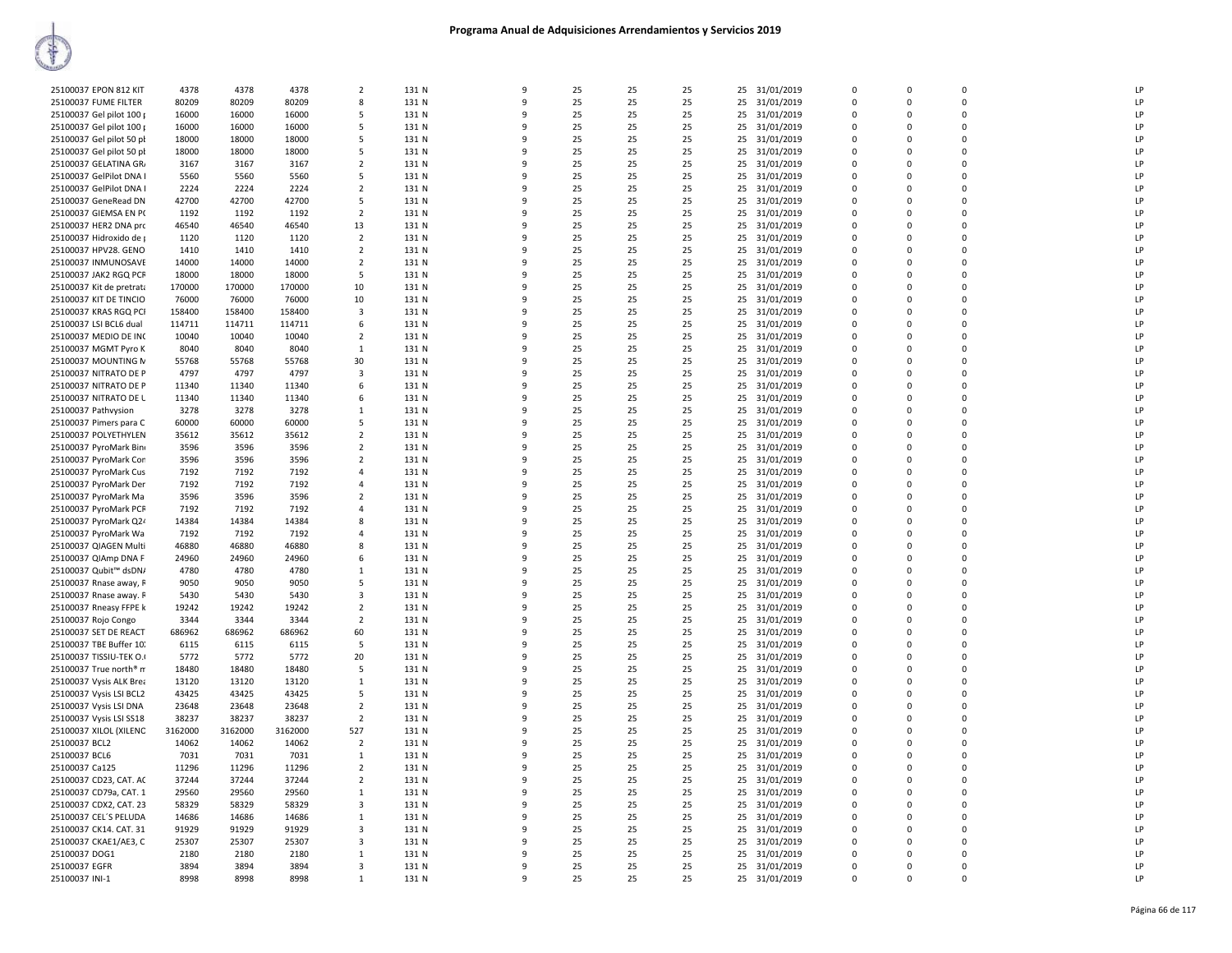| 25100037 EPON 812 KIT    | 4378    | 4378    | 4378    | $\overline{2}$          | 131 N | 9            | 25 | 25 | 25 |    | 25 31/01/2019 | $\Omega$ | $\Omega$    | $\Omega$ | LP        |
|--------------------------|---------|---------|---------|-------------------------|-------|--------------|----|----|----|----|---------------|----------|-------------|----------|-----------|
| 25100037 FUME FILTER     | 80209   | 80209   | 80209   | 8                       | 131 N | 9            | 25 | 25 | 25 | 25 | 31/01/2019    | 0        | 0           | 0        | LP        |
| 25100037 Gel pilot 100 p | 16000   | 16000   | 16000   | -5                      | 131 N | 9            | 25 | 25 | 25 |    | 25 31/01/2019 | $\Omega$ | $\Omega$    | $\Omega$ | <b>LP</b> |
| 25100037 Gel pilot 100 p | 16000   | 16000   | 16000   | 5                       | 131 N | 9            | 25 | 25 | 25 |    | 25 31/01/2019 | 0        | 0           | 0        | LP        |
| 25100037 Gel pilot 50 pł | 18000   | 18000   | 18000   | 5                       | 131 N | q            | 25 | 25 | 25 |    | 25 31/01/2019 | 0        | $\Omega$    | 0        | LP        |
| 25100037 Gel pilot 50 pl | 18000   | 18000   | 18000   | 5                       | 131 N | q            | 25 | 25 | 25 |    | 25 31/01/2019 | $\Omega$ | $\Omega$    | 0        | LP        |
| 25100037 GELATINA GR     | 3167    | 3167    | 3167    | $\overline{2}$          | 131 N | q            | 25 | 25 | 25 |    | 25 31/01/2019 | $\Omega$ | $\Omega$    | 0        | LP        |
| 25100037 GelPilot DNA I  | 5560    | 5560    | 5560    | 5                       | 131 N | 9            | 25 | 25 | 25 |    | 25 31/01/2019 | $\Omega$ | $\Omega$    | 0        | LP        |
| 25100037 GelPilot DNA I  | 2224    | 2224    | 2224    | $\overline{2}$          | 131 N | 9            | 25 | 25 | 25 | 25 | 31/01/2019    | 0        | $\mathbf 0$ | 0        | LP        |
| 25100037 GeneRead DN     | 42700   | 42700   | 42700   | 5                       | 131 N | 9            | 25 | 25 | 25 |    | 25 31/01/2019 | $\Omega$ | $\Omega$    | $\Omega$ | LP        |
| 25100037 GIEMSA EN P(    | 1192    | 1192    | 1192    | $\overline{2}$          | 131 N | q            | 25 | 25 | 25 |    | 25 31/01/2019 | 0        | 0           | 0        | LP        |
| 25100037 HER2 DNA prc    | 46540   | 46540   | 46540   | 13                      | 131 N | q            | 25 | 25 | 25 |    | 25 31/01/2019 | $\Omega$ | $\Omega$    | 0        | LP        |
| 25100037 Hidroxido de j  | 1120    | 1120    | 1120    | $\overline{2}$          | 131 N | q            | 25 | 25 | 25 |    | 25 31/01/2019 | $\Omega$ | $\Omega$    | 0        | LP        |
| 25100037 HPV28. GENO     | 1410    | 1410    | 1410    | $\overline{2}$          | 131 N | q            | 25 | 25 | 25 |    | 25 31/01/2019 | $\Omega$ | $\Omega$    | 0        | LP        |
| 25100037 INMUNOSAVE      | 14000   | 14000   | 14000   | $\overline{2}$          | 131 N | 9            | 25 | 25 | 25 |    | 25 31/01/2019 | 0        | $\Omega$    | 0        | LP        |
| 25100037 JAK2 RGQ PCF    | 18000   | 18000   | 18000   | 5                       | 131 N | 9            | 25 | 25 | 25 | 25 | 31/01/2019    | 0        | 0           | 0        | LP        |
| 25100037 Kit de pretrata | 170000  | 170000  | 170000  | 10                      | 131 N | 9            | 25 | 25 | 25 |    | 25 31/01/2019 | $\Omega$ | $\Omega$    | $\Omega$ | LP        |
| 25100037 KIT DE TINCIO   | 76000   | 76000   | 76000   | 10                      | 131 N | 9            | 25 | 25 | 25 |    | 25 31/01/2019 | 0        | 0           | 0        | LP        |
| 25100037 KRAS RGQ PCI    | 158400  | 158400  | 158400  | $\overline{\mathbf{3}}$ | 131 N | q            | 25 | 25 | 25 |    | 25 31/01/2019 | $\Omega$ | $\Omega$    | 0        | LP        |
| 25100037 LSI BCL6 dual   | 114711  | 114711  | 114711  | 6                       | 131 N | q            | 25 | 25 | 25 |    | 25 31/01/2019 | $\Omega$ | $\Omega$    | 0        | LP        |
| 25100037 MEDIO DE INC    | 10040   | 10040   | 10040   | $\overline{2}$          | 131 N | q            | 25 | 25 | 25 |    | 25 31/01/2019 | 0        | $\Omega$    | $\Omega$ | LP        |
| 25100037 MGMT Pyro K     | 8040    | 8040    | 8040    | $\mathbf{1}$            | 131 N | 9            | 25 | 25 | 25 |    | 25 31/01/2019 | 0        | $\Omega$    | 0        | LP        |
| 25100037 MOUNTING N      | 55768   | 55768   | 55768   | 30                      | 131 N | 9            | 25 | 25 | 25 | 25 | 31/01/2019    | 0        | 0           | 0        | LP        |
| 25100037 NITRATO DE P    | 4797    | 4797    | 4797    | 3                       | 131 N | $\mathbf{q}$ | 25 | 25 | 25 |    | 25 31/01/2019 | 0        | $\mathbf 0$ | $\Omega$ | LP        |
|                          |         |         |         |                         |       |              |    |    |    |    |               |          |             |          |           |
| 25100037 NITRATO DE P    | 11340   | 11340   | 11340   | 6                       | 131 N | 9            | 25 | 25 | 25 |    | 25 31/01/2019 | 0        | 0           | 0        | LP        |
| 25100037 NITRATO DE L    | 11340   | 11340   | 11340   | 6                       | 131 N | q            | 25 | 25 | 25 |    | 25 31/01/2019 | 0        | $\Omega$    | 0        | LP        |
| 25100037 Pathvysion      | 3278    | 3278    | 3278    | 1                       | 131 N | q            | 25 | 25 | 25 |    | 25 31/01/2019 | $\Omega$ | $\Omega$    | 0        | LP        |
| 25100037 Pimers para C   | 60000   | 60000   | 60000   | -5                      | 131 N | q            | 25 | 25 | 25 |    | 25 31/01/2019 | 0        | $\Omega$    | 0        | LP        |
| 25100037 POLYETHYLEN     | 35612   | 35612   | 35612   | $\overline{2}$          | 131 N | 9            | 25 | 25 | 25 |    | 25 31/01/2019 | 0        | $\Omega$    | 0        | LP        |
| 25100037 PyroMark Bin    | 3596    | 3596    | 3596    | $\overline{2}$          | 131 N | 9            | 25 | 25 | 25 | 25 | 31/01/2019    | 0        | $\mathbf 0$ | 0        | LP        |
| 25100037 PyroMark Cor    | 3596    | 3596    | 3596    | $\overline{2}$          | 131 N | $\mathbf{q}$ | 25 | 25 | 25 |    | 25 31/01/2019 | 0        | 0           | $\Omega$ | LP        |
| 25100037 PyroMark Cus    | 7192    | 7192    | 7192    | $\overline{4}$          | 131 N | q            | 25 | 25 | 25 |    | 25 31/01/2019 | 0        | $\Omega$    | 0        | LP        |
| 25100037 PyroMark Der    | 7192    | 7192    | 7192    | $\overline{4}$          | 131 N | q            | 25 | 25 | 25 |    | 25 31/01/2019 | $\Omega$ | $\Omega$    | 0        | LP        |
| 25100037 PyroMark Ma     | 3596    | 3596    | 3596    | $\overline{2}$          | 131 N | q            | 25 | 25 | 25 |    | 25 31/01/2019 | $\Omega$ | $\Omega$    | 0        | LP        |
| 25100037 PyroMark PCF    | 7192    | 7192    | 7192    | $\overline{a}$          | 131 N | 9            | 25 | 25 | 25 |    | 25 31/01/2019 | 0        | $\Omega$    | 0        | LP        |
| 25100037 PyroMark Q24    | 14384   | 14384   | 14384   | 8                       | 131 N | 9            | 25 | 25 | 25 |    | 25 31/01/2019 | 0        | $\Omega$    | 0        | LP        |
| 25100037 PyroMark Wa     | 7192    | 7192    | 7192    | $\overline{4}$          | 131 N | 9            | 25 | 25 | 25 | 25 | 31/01/2019    | 0        | 0           | 0        | LP        |
| 25100037 QIAGEN Multi    | 46880   | 46880   | 46880   | 8                       | 131 N | $\mathbf{q}$ | 25 | 25 | 25 |    | 25 31/01/2019 | $\Omega$ | $\Omega$    | $\Omega$ | LP        |
| 25100037 QIAmp DNA F     | 24960   | 24960   | 24960   | 6                       | 131 N | q            | 25 | 25 | 25 |    | 25 31/01/2019 | 0        | $\Omega$    | 0        | LP        |
| 25100037 Qubit™ dsDN/    | 4780    | 4780    | 4780    | $\mathbf{1}$            | 131 N | q            | 25 | 25 | 25 |    | 25 31/01/2019 | 0        | $\Omega$    | 0        | LP        |
| 25100037 Rnase away, R   | 9050    | 9050    | 9050    | -5                      | 131 N | q            | 25 | 25 | 25 |    | 25 31/01/2019 | 0        | 0           | 0        | LP        |
| 25100037 Rnase away. F   | 5430    | 5430    | 5430    | $\overline{\mathbf{3}}$ | 131 N | $\mathbf{q}$ | 25 | 25 | 25 |    | 25 31/01/2019 | 0        | $\Omega$    | $\Omega$ | LP        |
| 25100037 Rneasy FFPE k   | 19242   | 19242   | 19242   | $\overline{2}$          | 131 N | 9            | 25 | 25 | 25 |    | 25 31/01/2019 | 0        | $\Omega$    | 0        | LP        |
| 25100037 Rojo Congo      | 3344    | 3344    | 3344    | $\overline{2}$          | 131 N | 9            | 25 | 25 | 25 | 25 | 31/01/2019    | 0        | 0           | 0        | LP        |
| 25100037 SET DE REACT    | 686962  | 686962  | 686962  | 60                      | 131 N | $\mathbf{q}$ | 25 | 25 | 25 |    | 25 31/01/2019 | $\Omega$ | $\Omega$    | $\Omega$ | LP        |
| 25100037 TBE Buffer 10.  | 6115    | 6115    | 6115    | 5                       | 131 N | q            | 25 | 25 | 25 |    | 25 31/01/2019 | 0        | $\Omega$    | 0        | LP        |
| 25100037 TISSIU-TEK O.I  | 5772    | 5772    | 5772    | 20                      | 131 N | q            | 25 | 25 | 25 |    | 25 31/01/2019 | $\Omega$ | $\Omega$    | $\Omega$ | LP        |
| 25100037 True north® m   | 18480   | 18480   | 18480   | 5                       | 131 N | 9            | 25 | 25 | 25 | 25 | 31/01/2019    | 0        | 0           | 0        | LP        |
| 25100037 Vysis ALK Brea  | 13120   | 13120   | 13120   | $\mathbf{1}$            | 131 N | 9            | 25 | 25 | 25 |    | 25 31/01/2019 | $\Omega$ | $\Omega$    | 0        | LP        |
| 25100037 Vysis LSI BCL2  | 43425   | 43425   | 43425   | 5                       | 131 N | 9            | 25 | 25 | 25 |    | 25 31/01/2019 | 0        | $\Omega$    | $\Omega$ | LP        |
| 25100037 Vysis LSI DNA   | 23648   | 23648   | 23648   | $\overline{2}$          | 131 N | 9            | 25 | 25 | 25 | 25 | 31/01/2019    | 0        | 0           | 0        | LP        |
| 25100037 Vysis LSI SS18  | 38237   | 38237   | 38237   | $\overline{2}$          | 131 N | $\mathbf{q}$ | 25 | 25 | 25 |    | 25 31/01/2019 | $\Omega$ | $\Omega$    | $\Omega$ | LP        |
| 25100037 XILOL (XILENC   | 3162000 | 3162000 | 3162000 | 527                     | 131 N | q            | 25 | 25 | 25 |    | 25 31/01/2019 | 0        | $\Omega$    | 0        | LP        |
| 25100037 BCL2            | 14062   | 14062   | 14062   | $\overline{2}$          | 131 N | q            | 25 | 25 | 25 |    | 25 31/01/2019 | $\Omega$ | $\Omega$    | $\Omega$ | LP        |
| 25100037 BCL6            | 7031    | 7031    | 7031    | $\mathbf{1}$            | 131 N | 9            | 25 | 25 | 25 | 25 | 31/01/2019    | 0        | 0           | 0        | LP        |
| 25100037 Ca125           | 11296   | 11296   | 11296   | $\overline{2}$          | 131 N | 9            | 25 | 25 | 25 |    | 25 31/01/2019 | $\Omega$ | $\Omega$    | 0        | LP        |
| 25100037 CD23, CAT. AC   | 37244   | 37244   | 37244   | $\overline{2}$          | 131 N | 9            | 25 | 25 | 25 |    | 25 31/01/2019 | 0        | 0           | 0        | LP        |
| 25100037 CD79a, CAT. 1   | 29560   | 29560   | 29560   | $\mathbf{1}$            | 131 N | 9            | 25 | 25 | 25 | 25 | 31/01/2019    | 0        | 0           | 0        | LP        |
| 25100037 CDX2, CAT. 23   | 58329   | 58329   | 58329   | $\overline{3}$          | 131 N | 9            | 25 | 25 | 25 |    | 25 31/01/2019 | $\Omega$ | $\Omega$    | $\Omega$ | LP        |
| 25100037 CEL'S PELUDA    | 14686   | 14686   | 14686   | 1                       | 131 N | q            | 25 | 25 | 25 |    | 25 31/01/2019 | 0        | $\Omega$    | 0        | LP        |
| 25100037 CK14. CAT. 31   | 91929   | 91929   | 91929   | $\mathbf{3}$            | 131 N | q            | 25 | 25 | 25 |    | 25 31/01/2019 | $\Omega$ | $\Omega$    | 0        | LP        |
| 25100037 CKAE1/AE3, C    | 25307   | 25307   | 25307   | 3                       | 131 N | 9            | 25 | 25 | 25 |    | 25 31/01/2019 | 0        | 0           | 0        | LP        |
| 25100037 DOG1            | 2180    | 2180    | 2180    | 1                       | 131 N | 9            | 25 | 25 | 25 |    | 25 31/01/2019 | $\Omega$ | $\Omega$    | 0        | LP        |
| 25100037 EGFR            | 3894    | 3894    | 3894    | 3                       | 131 N | 9            | 25 | 25 | 25 |    | 25 31/01/2019 | 0        | 0           | 0        | LP        |
| 25100037 INI-1           | 8998    | 8998    | 8998    | $\mathbf{1}$            | 131 N | 9            | 25 | 25 | 25 |    | 25 31/01/2019 | $\Omega$ | $\Omega$    | 0        | LP        |
|                          |         |         |         |                         |       |              |    |    |    |    |               |          |             |          |           |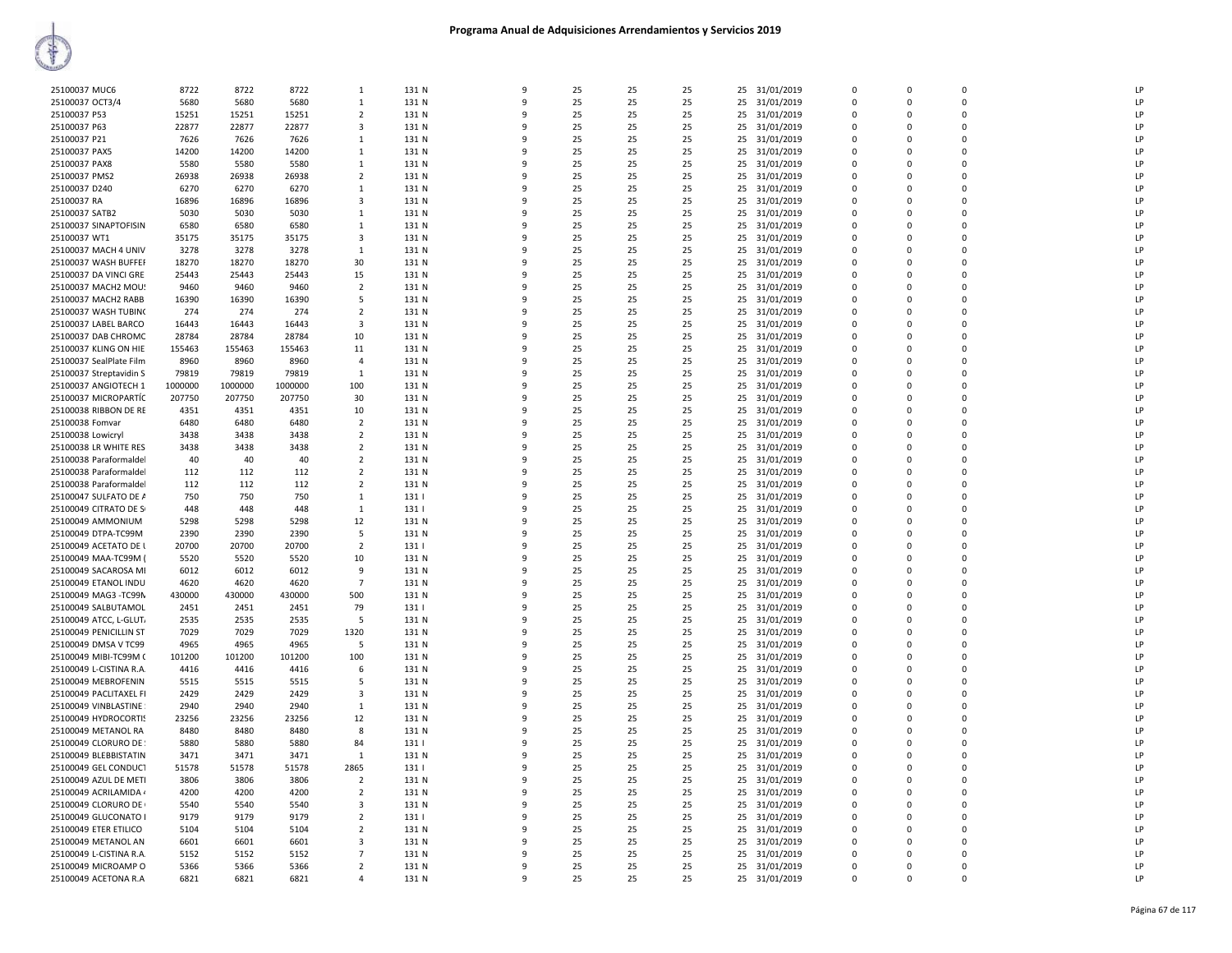| 25100037 MUC6           | 8722    | 8722    | 8722    | $\mathbf{1}$            | 131 N | -9           | 25 | 25 | 25 |    | 25 31/01/2019 | $\Omega$             | $\Omega$    | $\Omega$    | LP |
|-------------------------|---------|---------|---------|-------------------------|-------|--------------|----|----|----|----|---------------|----------------------|-------------|-------------|----|
| 25100037 OCT3/4         | 5680    | 5680    | 5680    | 1                       | 131 N | 9            | 25 | 25 | 25 | 25 | 31/01/2019    | 0                    | $\Omega$    | $\Omega$    | LP |
| 25100037 P53            | 15251   | 15251   | 15251   | $\overline{2}$          | 131 N | 9            | 25 | 25 | 25 | 25 | 31/01/2019    | $\Omega$             | 0           | $\Omega$    | LP |
| 25100037 P63            | 22877   | 22877   | 22877   | 3                       | 131 N | 9            | 25 | 25 | 25 | 25 | 31/01/2019    | $\Omega$             | 0           | $\Omega$    | LP |
| 25100037 P21            | 7626    | 7626    | 7626    | $\overline{1}$          | 131 N | 9            | 25 | 25 | 25 |    | 25 31/01/2019 | $\Omega$             | $\Omega$    | $\Omega$    | LP |
| 25100037 PAX5           | 14200   | 14200   | 14200   | 1                       | 131 N | -9           | 25 | 25 | 25 | 25 | 31/01/2019    | $\Omega$             | $\Omega$    | $\Omega$    | LP |
| 25100037 PAX8           | 5580    | 5580    | 5580    | $\mathbf{1}$            | 131 N | 9            | 25 | 25 | 25 | 25 | 31/01/2019    | $\Omega$             | $\Omega$    | $\Omega$    | LP |
| 25100037 PMS2           | 26938   | 26938   | 26938   | $\overline{2}$          | 131 N | -9           | 25 | 25 | 25 | 25 | 31/01/2019    | $\Omega$             | $\Omega$    | $\Omega$    | LP |
| 25100037 D240           | 6270    | 6270    | 6270    | 1                       | 131 N | 9            | 25 | 25 | 25 | 25 | 31/01/2019    | $\Omega$             | $\Omega$    | $\Omega$    | LP |
| 25100037 RA             | 16896   | 16896   | 16896   | $\overline{\mathbf{3}}$ | 131 N | 9            | 25 | 25 | 25 | 25 | 31/01/2019    | $\Omega$             | $\mathbf 0$ | $\Omega$    | LP |
| 25100037 SATB2          | 5030    | 5030    | 5030    | 1                       | 131 N | 9            | 25 | 25 | 25 | 25 | 31/01/2019    | $\Omega$             | 0           | $\Omega$    | LP |
| 25100037 SINAPTOFISIN   | 6580    | 6580    | 6580    | $\overline{1}$          | 131 N | 9            | 25 | 25 | 25 |    | 25 31/01/2019 | $\Omega$             | $\Omega$    | $\Omega$    | LP |
|                         |         |         |         |                         |       | -9           |    |    |    |    |               |                      | $\Omega$    | $\Omega$    | LP |
| 25100037 WT1            | 35175   | 35175   | 35175   | 3                       | 131 N | 9            | 25 | 25 | 25 | 25 | 31/01/2019    | $\Omega$<br>$\Omega$ |             |             |    |
| 25100037 MACH 4 UNIV    | 3278    | 3278    | 3278    | $\overline{1}$          | 131 N |              | 25 | 25 | 25 | 25 | 31/01/2019    |                      | $\Omega$    | $\Omega$    | LP |
| 25100037 WASH BUFFER    | 18270   | 18270   | 18270   | 30                      | 131 N | 9            | 25 | 25 | 25 | 25 | 31/01/2019    | $\Omega$             | 0           | $\Omega$    | LP |
| 25100037 DA VINCI GRE   | 25443   | 25443   | 25443   | 15                      | 131 N | 9            | 25 | 25 | 25 | 25 | 31/01/2019    | $\Omega$             | $\Omega$    | $\Omega$    | LP |
| 25100037 MACH2 MOU9     | 9460    | 9460    | 9460    | $\overline{2}$          | 131 N | 9            | 25 | 25 | 25 | 25 | 31/01/2019    | $\Omega$             | $\mathbf 0$ | $\Omega$    | LP |
| 25100037 MACH2 RABB     | 16390   | 16390   | 16390   | 5                       | 131 N | 9            | 25 | 25 | 25 | 25 | 31/01/2019    | $\Omega$             | 0           | $\Omega$    | LP |
| 25100037 WASH TUBIN(    | 274     | 274     | 274     | $\overline{2}$          | 131 N | 9            | 25 | 25 | 25 |    | 25 31/01/2019 | $\Omega$             | $\mathbf 0$ | $\Omega$    | LP |
| 25100037 LABEL BARCO    | 16443   | 16443   | 16443   | 3                       | 131 N | -9           | 25 | 25 | 25 | 25 | 31/01/2019    | $\Omega$             | $\Omega$    | $\Omega$    | LP |
| 25100037 DAB CHROMC     | 28784   | 28784   | 28784   | 10                      | 131 N | 9            | 25 | 25 | 25 | 25 | 31/01/2019    | $\Omega$             | $\Omega$    | $\Omega$    | LP |
| 25100037 KLING ON HIE   | 155463  | 155463  | 155463  | 11                      | 131 N | 9            | 25 | 25 | 25 | 25 | 31/01/2019    | $\Omega$             | 0           | $\Omega$    | LP |
| 25100037 SealPlate Film | 8960    | 8960    | 8960    | $\overline{4}$          | 131 N | 9            | 25 | 25 | 25 | 25 | 31/01/2019    | $\Omega$             | $\Omega$    | $\Omega$    | LP |
| 25100037 Streptavidin S | 79819   | 79819   | 79819   | 1                       | 131 N | 9            | 25 | 25 | 25 | 25 | 31/01/2019    | $\mathbf 0$          | 0           | 0           | LP |
| 25100037 ANGIOTECH 1    | 1000000 | 1000000 | 1000000 | 100                     | 131 N | 9            | 25 | 25 | 25 | 25 | 31/01/2019    | $\Omega$             | 0           | $\Omega$    | LP |
| 25100037 MICROPARTÍC    | 207750  | 207750  | 207750  | 30                      | 131 N | 9            | 25 | 25 | 25 | 25 | 31/01/2019    | $\Omega$             | $\mathbf 0$ | $\Omega$    | LP |
| 25100038 RIBBON DE RE   | 4351    | 4351    | 4351    | 10                      | 131 N | -9           | 25 | 25 | 25 | 25 | 31/01/2019    | $\Omega$             | $\Omega$    | $\Omega$    | LP |
| 25100038 Fomvar         | 6480    | 6480    | 6480    | $\overline{2}$          | 131 N | 9            | 25 | 25 | 25 | 25 | 31/01/2019    | $\Omega$             | $\Omega$    | $\Omega$    | LP |
| 25100038 Lowicryl       | 3438    | 3438    | 3438    | $\overline{2}$          | 131 N | 9            | 25 | 25 | 25 | 25 |               | $\Omega$             | $\Omega$    | $\Omega$    | LP |
| 25100038 LR WHITE RES   | 3438    | 3438    | 3438    |                         | 131 N | 9            | 25 |    | 25 |    | 31/01/2019    |                      | $\Omega$    | $\Omega$    | LP |
|                         |         |         |         | $\overline{2}$          |       |              |    | 25 |    | 25 | 31/01/2019    | $\Omega$             |             |             |    |
| 25100038 Paraformaldel  | 40      | 40      | 40      | $\overline{2}$          | 131 N | 9            | 25 | 25 | 25 | 25 | 31/01/2019    | $\mathbf 0$          | 0           | 0           | LP |
| 25100038 Paraformalde   | 112     | 112     | 112     | $\overline{2}$          | 131 N | $\mathbf{q}$ | 25 | 25 | 25 | 25 | 31/01/2019    | $\Omega$             | $\Omega$    | $\Omega$    | LP |
| 25100038 Paraformalde   | 112     | 112     | 112     | $\overline{2}$          | 131 N | 9            | 25 | 25 | 25 |    | 25 31/01/2019 | $\Omega$             | $\mathbf 0$ | $\Omega$    | LP |
| 25100047 SULFATO DE A   | 750     | 750     | 750     | 1                       | 131   | -9           | 25 | 25 | 25 | 25 | 31/01/2019    | $\Omega$             | $\Omega$    | $\Omega$    | LP |
| 25100049 CITRATO DE S   | 448     | 448     | 448     | $\mathbf{1}$            | 1311  | 9            | 25 | 25 | 25 | 25 | 31/01/2019    | $\Omega$             | $\Omega$    | $\Omega$    | LP |
| 25100049 AMMONIUM       | 5298    | 5298    | 5298    | 12                      | 131 N | 9            | 25 | 25 | 25 | 25 | 31/01/2019    | $\Omega$             | $\Omega$    | $\Omega$    | LP |
| 25100049 DTPA-TC99M     | 2390    | 2390    | 2390    | 5                       | 131 N | $\mathbf{q}$ | 25 | 25 | 25 | 25 | 31/01/2019    | $\Omega$             | $\Omega$    | $\Omega$    | LP |
| 25100049 ACETATO DE I   | 20700   | 20700   | 20700   | $\overline{2}$          | 131   | 9            | 25 | 25 | 25 | 25 | 31/01/2019    | 0                    | 0           | 0           | LP |
| 25100049 MAA-TC99M (    | 5520    | 5520    | 5520    | 10                      | 131 N | $\mathbf{q}$ | 25 | 25 | 25 | 25 | 31/01/2019    | $\Omega$             | $\Omega$    | $\Omega$    | LP |
| 25100049 SACAROSA MI    | 6012    | 6012    | 6012    | 9                       | 131 N | 9            | 25 | 25 | 25 | 25 | 31/01/2019    | $\mathbf 0$          | 0           | 0           | LP |
| 25100049 ETANOL INDU    | 4620    | 4620    | 4620    | $\overline{7}$          | 131 N | $\mathbf{q}$ | 25 | 25 | 25 | 25 | 31/01/2019    | $\Omega$             | $\Omega$    | C           | LP |
| 25100049 MAG3 -TC99N    | 430000  | 430000  | 430000  | 500                     | 131 N | 9            | 25 | 25 | 25 | 25 | 31/01/2019    | $\Omega$             | $\Omega$    | $\Omega$    | LP |
| 25100049 SALBUTAMOL     | 2451    | 2451    | 2451    | 79                      | 131   | -9           | 25 | 25 | 25 | 25 | 31/01/2019    | $\Omega$             | $\Omega$    | $\Omega$    | LP |
| 25100049 ATCC, L-GLUT,  | 2535    | 2535    | 2535    | 5                       | 131 N | $\mathbf{q}$ | 25 | 25 | 25 | 25 | 31/01/2019    | $\Omega$             | $\Omega$    | $\Omega$    | LP |
| 25100049 PENICILLIN ST  | 7029    | 7029    | 7029    | 1320                    | 131 N | 9            | 25 | 25 | 25 | 25 | 31/01/2019    | 0                    | 0           | $\mathbf 0$ | LP |
| 25100049 DMSA V TC99    | 4965    | 4965    | 4965    | .5                      | 131 N | $\mathbf{q}$ | 25 | 25 | 25 | 25 | 31/01/2019    | $\Omega$             | $\Omega$    | $\Omega$    | LP |
| 25100049 MIBI-TC99M 0   | 101200  | 101200  | 101200  | 100                     | 131 N | 9            | 25 | 25 | 25 |    | 25 31/01/2019 | $\mathbf 0$          | 0           | 0           | LP |
| 25100049 L-CISTINA R.A. | 4416    | 4416    | 4416    | 6                       | 131 N | $\mathbf{q}$ | 25 | 25 | 25 | 25 | 31/01/2019    | $\Omega$             | $\Omega$    | $\Omega$    | LP |
| 25100049 MEBROFENIN     | 5515    | 5515    | 5515    | -5                      | 131 N | -9           | 25 | 25 | 25 | 25 | 31/01/2019    | $\Omega$             | $\Omega$    | $\Omega$    | LP |
|                         |         |         |         | 3                       |       | -9           |    |    |    |    |               | $\Omega$             | $\Omega$    | $\Omega$    | LP |
| 25100049 PACLITAXEL FI  | 2429    | 2429    | 2429    |                         | 131 N | $\mathbf{q}$ | 25 | 25 | 25 | 25 | 31/01/2019    |                      |             |             |    |
| 25100049 VINBLASTINE    | 2940    | 2940    | 2940    | $\mathbf{1}$            | 131 N |              | 25 | 25 | 25 | 25 | 31/01/2019    | $\Omega$             | $\Omega$    | $\Omega$    | LP |
| 25100049 HYDROCORTIS    | 23256   | 23256   | 23256   | 12                      | 131 N | 9            | 25 | 25 | 25 | 25 | 31/01/2019    | 0                    | 0           | $\mathbf 0$ | LP |
| 25100049 METANOL RA     | 8480    | 8480    | 8480    | 8                       | 131 N | $\mathbf{q}$ | 25 | 25 | 25 | 25 | 31/01/2019    | $\Omega$             | $\Omega$    | $\Omega$    | LP |
| 25100049 CLORURO DE     | 5880    | 5880    | 5880    | 84                      | 131   | 9            | 25 | 25 | 25 |    | 25 31/01/2019 | $\mathbf 0$          | 0           | 0           | LP |
| 25100049 BLEBBISTATIN   | 3471    | 3471    | 3471    | $\overline{1}$          | 131 N | $\mathbf{q}$ | 25 | 25 | 25 | 25 | 31/01/2019    | $\Omega$             | $\Omega$    | $\Omega$    | LP |
| 25100049 GEL CONDUCT    | 51578   | 51578   | 51578   | 2865                    | 131   | -9           | 25 | 25 | 25 | 25 | 31/01/2019    | $\Omega$             | $\Omega$    | $\Omega$    | LP |
| 25100049 AZUL DE METI   | 3806    | 3806    | 3806    | $\overline{2}$          | 131 N | 9            | 25 | 25 | 25 | 25 | 31/01/2019    | $\Omega$             | $\Omega$    | $\Omega$    | LP |
| 25100049 ACRILAMIDA 4   | 4200    | 4200    | 4200    | $\overline{2}$          | 131 N | 9            | 25 | 25 | 25 | 25 | 31/01/2019    | $\Omega$             | $\Omega$    | $\Omega$    | LP |
| 25100049 CLORURO DE     | 5540    | 5540    | 5540    | 3                       | 131 N | 9            | 25 | 25 | 25 | 25 | 31/01/2019    | 0                    | 0           | 0           | LP |
| 25100049 GLUCONATO I    | 9179    | 9179    | 9179    | $\overline{2}$          | 131   | $\mathbf{q}$ | 25 | 25 | 25 | 25 | 31/01/2019    | $\Omega$             | $\Omega$    | $\Omega$    | LP |
| 25100049 ETER ETILICO   | 5104    | 5104    | 5104    | $\overline{2}$          | 131 N | 9            | 25 | 25 | 25 |    | 25 31/01/2019 | $\mathbf 0$          | $\mathbf 0$ | $\Omega$    | LP |
| 25100049 METANOL AN     | 6601    | 6601    | 6601    | $\overline{\mathbf{3}}$ | 131 N | $\mathbf{q}$ | 25 | 25 | 25 | 25 | 31/01/2019    | $\Omega$             | $\Omega$    | $\Omega$    | LP |
| 25100049 L-CISTINA R.A. | 5152    | 5152    | 5152    | $\overline{7}$          | 131 N | -9           | 25 | 25 | 25 | 25 | 31/01/2019    | $\Omega$             | $\Omega$    | $\Omega$    | LP |
| 25100049 MICROAMP O     | 5366    | 5366    | 5366    | $\overline{2}$          | 131 N | -9           | 25 | 25 | 25 |    | 25 31/01/2019 | $\Omega$             | $\Omega$    | C           | LP |
| 25100049 ACETONA R.A    | 6821    | 6821    | 6821    | $\overline{4}$          | 131 N | $\mathbf{q}$ | 25 | 25 | 25 |    | 25 31/01/2019 | $\Omega$             | $\Omega$    | $\Omega$    | LP |
|                         |         |         |         |                         |       |              |    |    |    |    |               |                      |             |             |    |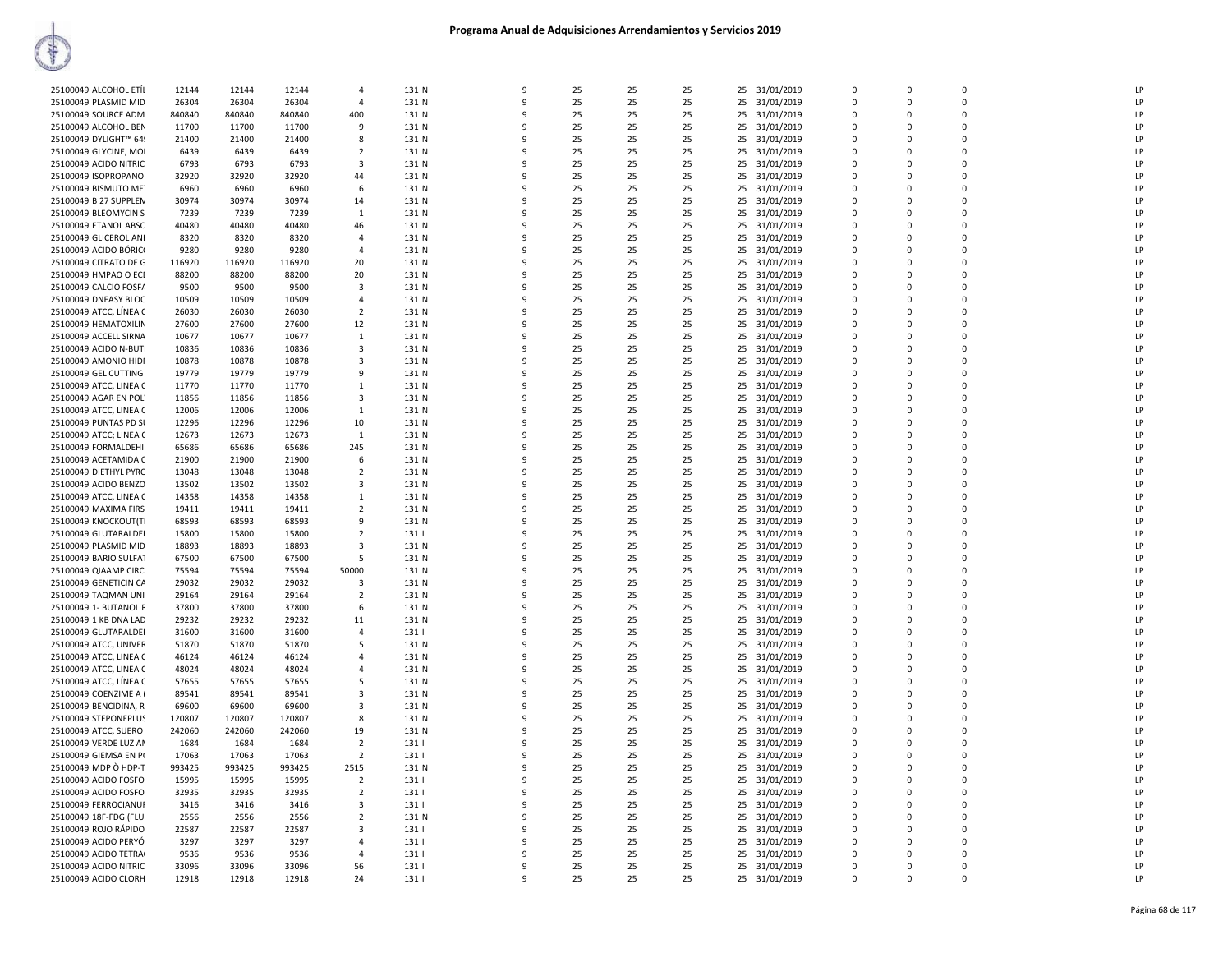| 25100049 ALCOHOL ETÍL  | 12144  | 12144  | 12144  | $\Delta$                | 131 N | $\mathbf{q}$ | 25 | 25 | 25 | 25 | 31/01/2019    | $\overline{0}$ | $\Omega$    | $\Omega$    | LP |
|------------------------|--------|--------|--------|-------------------------|-------|--------------|----|----|----|----|---------------|----------------|-------------|-------------|----|
| 25100049 PLASMID MID   | 26304  | 26304  | 26304  | $\overline{4}$          | 131 N | 9            | 25 | 25 | 25 | 25 | 31/01/2019    | $\mathbf 0$    | $\Omega$    | $\Omega$    | LP |
| 25100049 SOURCE ADM    | 840840 | 840840 | 840840 | 400                     | 131 N | $\mathbf{q}$ | 25 | 25 | 25 | 25 | 31/01/2019    | $\Omega$       | $\Omega$    | $\Omega$    | LP |
|                        |        |        |        | 9                       |       | 9            | 25 |    |    |    |               | $\Omega$       | $\Omega$    | $\Omega$    | LP |
| 25100049 ALCOHOL BEN   | 11700  | 11700  | 11700  |                         | 131 N |              |    | 25 | 25 | 25 | 31/01/2019    |                |             |             |    |
| 25100049 DYLIGHT™ 649  | 21400  | 21400  | 21400  | 8                       | 131 N | 9            | 25 | 25 | 25 | 25 | 31/01/2019    | $\mathbf 0$    | $\Omega$    | $\mathbf 0$ | LP |
| 25100049 GLYCINE, MOI  | 6439   | 6439   | 6439   | $\overline{2}$          | 131 N | 9            | 25 | 25 | 25 |    | 25 31/01/2019 | $\mathbf 0$    | $\Omega$    | $\mathbf 0$ | LP |
| 25100049 ACIDO NITRIC  | 6793   | 6793   | 6793   | 3                       | 131 N | q            | 25 | 25 | 25 | 25 | 31/01/2019    | $\mathbf 0$    | 0           | $\Omega$    | LP |
| 25100049 ISOPROPANOI   | 32920  | 32920  | 32920  | 44                      | 131 N | q            | 25 | 25 | 25 | 25 | 31/01/2019    | $\overline{0}$ | $\Omega$    | $\Omega$    | LP |
| 25100049 BISMUTO ME    | 6960   | 6960   | 6960   | 6                       | 131 N | 9            | 25 | 25 | 25 | 25 | 31/01/2019    | $\Omega$       | $\Omega$    | $\Omega$    | LP |
| 25100049 B 27 SUPPLEN  | 30974  | 30974  | 30974  | 14                      | 131 N | q            | 25 | 25 | 25 | 25 | 31/01/2019    | $\Omega$       | $\Omega$    | $\Omega$    | LP |
| 25100049 BLEOMYCIN S   | 7239   | 7239   | 7239   | $\mathbf{1}$            | 131 N | 9            | 25 | 25 | 25 | 25 | 31/01/2019    | $\Omega$       | $\Omega$    | $\Omega$    | LP |
| 25100049 ETANOL ABSO   | 40480  | 40480  | 40480  | 46                      | 131 N | q            | 25 | 25 | 25 | 25 | 31/01/2019    | 0              | 0           | $\mathbf 0$ | LP |
| 25100049 GLICEROL ANI  | 8320   | 8320   | 8320   | $\overline{4}$          | 131 N | 9            | 25 | 25 | 25 | 25 | 31/01/2019    | $\mathbf 0$    | $\Omega$    | $\Omega$    | LP |
| 25100049 ACIDO BÓRICO  | 9280   | 9280   | 9280   | $\overline{4}$          | 131 N | q            | 25 | 25 | 25 | 25 | 31/01/2019    | $\Omega$       | $\Omega$    | $\Omega$    | LP |
| 25100049 CITRATO DE G  | 116920 | 116920 | 116920 | 20                      | 131 N | q            | 25 | 25 | 25 |    |               | $\Omega$       | $\Omega$    | $\Omega$    | LP |
|                        |        |        |        |                         |       |              |    |    |    |    | 25 31/01/2019 |                |             |             |    |
| 25100049 HMPAO O ECI   | 88200  | 88200  | 88200  | 20                      | 131 N | 9            | 25 | 25 | 25 | 25 | 31/01/2019    | $\mathbf 0$    | $\Omega$    | $\Omega$    | LP |
| 25100049 CALCIO FOSFA  | 9500   | 9500   | 9500   | 3                       | 131 N | q            | 25 | 25 | 25 | 25 | 31/01/2019    | $\Omega$       | $\Omega$    | $\Omega$    | LP |
| 25100049 DNEASY BLOC   | 10509  | 10509  | 10509  | $\overline{a}$          | 131 N | 9            | 25 | 25 | 25 | 25 | 31/01/2019    | $\Omega$       | $\Omega$    | $\Omega$    | LP |
| 25100049 ATCC, LİNEA C | 26030  | 26030  | 26030  | $\overline{2}$          | 131 N | q            | 25 | 25 | 25 | 25 | 31/01/2019    | 0              | 0           | $\Omega$    | LP |
| 25100049 HEMATOXILIN   | 27600  | 27600  | 27600  | 12                      | 131 N | 9            | 25 | 25 | 25 | 25 | 31/01/2019    | $\Omega$       | $\Omega$    | $\Omega$    | LP |
| 25100049 ACCELL SIRNA  | 10677  | 10677  | 10677  | 1                       | 131 N | q            | 25 | 25 | 25 | 25 | 31/01/2019    | $\Omega$       | $\Omega$    | $\Omega$    | LP |
| 25100049 ACIDO N-BUTI  | 10836  | 10836  | 10836  | $\overline{\mathbf{3}}$ | 131 N | 9            | 25 | 25 | 25 | 25 | 31/01/2019    | $\mathbf 0$    | 0           | $\mathbf 0$ | LP |
| 25100049 AMONIO HIDF   | 10878  | 10878  | 10878  | 3                       | 131 N | 9            | 25 | 25 | 25 | 25 | 31/01/2019    | 0              | $\Omega$    | $\Omega$    | LP |
| 25100049 GEL CUTTING   | 19779  | 19779  | 19779  | 9                       | 131 N | q            | 25 | 25 | 25 | 25 | 31/01/2019    | $\Omega$       | $\Omega$    | $\Omega$    | LP |
| 25100049 ATCC, LINEA C | 11770  | 11770  | 11770  | $\overline{1}$          | 131 N | 9            | 25 | 25 | 25 | 25 | 31/01/2019    | $\Omega$       | $\Omega$    | $\Omega$    | LP |
|                        |        |        |        |                         |       | q            |    |    |    |    |               |                |             | $\Omega$    | LP |
| 25100049 AGAR EN POL'  | 11856  | 11856  | 11856  | 3                       | 131 N |              | 25 | 25 | 25 | 25 | 31/01/2019    | $\mathbf 0$    | $\Omega$    |             |    |
| 25100049 ATCC, LINEA C | 12006  | 12006  | 12006  | 1                       | 131 N | 9            | 25 | 25 | 25 | 25 | 31/01/2019    | $\Omega$       | $\Omega$    | $\Omega$    | LP |
| 25100049 PUNTAS PD SL  | 12296  | 12296  | 12296  | 10                      | 131 N | q            | 25 | 25 | 25 | 25 | 31/01/2019    | $\Omega$       | 0           | $\Omega$    | LP |
| 25100049 ATCC; LINEA C | 12673  | 12673  | 12673  | 1                       | 131 N | 9            | 25 | 25 | 25 | 25 | 31/01/2019    | $\mathbf 0$    | $\Omega$    | $\mathbf 0$ | LP |
| 25100049 FORMALDEHII   | 65686  | 65686  | 65686  | 245                     | 131 N | 9            | 25 | 25 | 25 | 25 | 31/01/2019    | 0              | 0           | $\mathbf 0$ | LP |
| 25100049 ACETAMIDA C   | 21900  | 21900  | 21900  | 6                       | 131 N | q            | 25 | 25 | 25 | 25 | 31/01/2019    | $\Omega$       | $\Omega$    | $\Omega$    | LP |
| 25100049 DIETHYL PYRC  | 13048  | 13048  | 13048  | $\overline{2}$          | 131 N | q            | 25 | 25 | 25 | 25 | 31/01/2019    | $\Omega$       | $\Omega$    | $\Omega$    | LP |
| 25100049 ACIDO BENZO   | 13502  | 13502  | 13502  | 3                       | 131 N | q            | 25 | 25 | 25 | 25 | 31/01/2019    | $\Omega$       | $\Omega$    | $\Omega$    | LP |
| 25100049 ATCC, LINEA C | 14358  | 14358  | 14358  | $\overline{1}$          | 131 N | 9            | 25 | 25 | 25 | 25 | 31/01/2019    | $\Omega$       | $\Omega$    | $\Omega$    | LP |
| 25100049 MAXIMA FIRS   | 19411  | 19411  | 19411  | -2                      | 131 N | q            | 25 | 25 | 25 | 25 | 31/01/2019    | $\Omega$       | $\Omega$    | $\Omega$    | LP |
| 25100049 KNOCKOUT(TI   | 68593  | 68593  | 68593  | 9                       | 131 N | 9            | 25 | 25 | 25 |    | 25 31/01/2019 | $\mathbf 0$    | $\Omega$    | $\Omega$    | LP |
|                        |        |        |        |                         |       |              |    |    |    |    |               |                |             | $\mathbf 0$ | LP |
| 25100049 GLUTARALDEI   | 15800  | 15800  | 15800  | $\overline{2}$          | 131   | 9<br>q       | 25 | 25 | 25 | 25 | 31/01/2019    | 0              | 0           | $\Omega$    |    |
| 25100049 PLASMID MID   | 18893  | 18893  | 18893  | $\overline{\mathbf{3}}$ | 131 N |              | 25 | 25 | 25 | 25 | 31/01/2019    | $\mathbf 0$    | $\mathbf 0$ |             | LP |
| 25100049 BARIO SULFAT  | 67500  | 67500  | 67500  | .5                      | 131 N | q            | 25 | 25 | 25 | 25 | 31/01/2019    | $\Omega$       | $\Omega$    | $\Omega$    | LP |
| 25100049 QIAAMP CIRC   | 75594  | 75594  | 75594  | 50000                   | 131 N | q            | 25 | 25 | 25 | 25 | 31/01/2019    | $\Omega$       | $\Omega$    | $\Omega$    | LP |
| 25100049 GENETICIN CA  | 29032  | 29032  | 29032  | 3                       | 131 N | 9            | 25 | 25 | 25 | 25 | 31/01/2019    | $\mathbf 0$    | $\Omega$    | $\Omega$    | LP |
| 25100049 TAQMAN UNI    | 29164  | 29164  | 29164  | $\overline{2}$          | 131 N | q            | 25 | 25 | 25 | 25 | 31/01/2019    | $\Omega$       | $\Omega$    | $\Omega$    | LP |
| 25100049 1- BUTANOL R  | 37800  | 37800  | 37800  | 6                       | 131 N | 9            | 25 | 25 | 25 | 25 | 31/01/2019    | $\Omega$       | $\Omega$    | $\Omega$    | LP |
| 25100049 1 KB DNA LAD  | 29232  | 29232  | 29232  | 11                      | 131 N | 9            | 25 | 25 | 25 | 25 | 31/01/2019    | 0              | 0           | $\mathbf 0$ | LP |
| 25100049 GLUTARALDEI   | 31600  | 31600  | 31600  | $\overline{4}$          | 131   | 9            | 25 | 25 | 25 | 25 | 31/01/2019    | $\mathbf 0$    | $\mathbf 0$ | $\Omega$    | LP |
| 25100049 ATCC, UNIVER  | 51870  | 51870  | 51870  | -5                      | 131 N | q            | 25 | 25 | 25 | 25 | 31/01/2019    | $\mathbf 0$    | 0           | $\Omega$    | LP |
| 25100049 ATCC, LINEA C | 46124  | 46124  | 46124  | $\Delta$                | 131 N | q            | 25 | 25 | 25 | 25 | 31/01/2019    | $\mathsf 0$    | $\Omega$    | $\Omega$    | LP |
| 25100049 ATCC, LINEA C | 48024  | 48024  | 48024  | 4                       | 131 N | 9            | 25 | 25 | 25 | 25 | 31/01/2019    | $\mathbf 0$    | $\Omega$    | $\Omega$    | LP |
|                        | 57655  |        | 57655  | -5                      | 131 N | q            | 25 | 25 | 25 |    |               | $\Omega$       | $\Omega$    | $\Omega$    | LP |
| 25100049 ATCC, LÍNEA C |        | 57655  |        |                         |       |              |    |    |    |    | 25 31/01/2019 |                |             |             |    |
| 25100049 COENZIME A (  | 89541  | 89541  | 89541  | $\mathbf{3}$            | 131 N | q            | 25 | 25 | 25 | 25 | 31/01/2019    | $\Omega$       | $\Omega$    | $\Omega$    | LP |
| 25100049 BENCIDINA, R  | 69600  | 69600  | 69600  | 3                       | 131 N | 9            | 25 | 25 | 25 | 25 | 31/01/2019    | $\mathbf 0$    | 0           | $\Omega$    | LP |
| 25100049 STEPONEPLUS   | 120807 | 120807 | 120807 | 8                       | 131 N | 9            | 25 | 25 | 25 | 25 | 31/01/2019    | $\mathbf 0$    | $\Omega$    | $\Omega$    | LP |
| 25100049 ATCC, SUERO   | 242060 | 242060 | 242060 | 19                      | 131 N | q            | 25 | 25 | 25 | 25 | 31/01/2019    | $\mathbf 0$    | $\Omega$    | $\Omega$    | LP |
| 25100049 VERDE LUZ AN  | 1684   | 1684   | 1684   | $\overline{2}$          | 131   | q            | 25 | 25 | 25 | 25 | 31/01/2019    | $\mathbf 0$    | $\Omega$    | $\mathbf 0$ | LP |
| 25100049 GIEMSA EN PO  | 17063  | 17063  | 17063  | $\overline{2}$          | 131   | q            | 25 | 25 | 25 | 25 | 31/01/2019    | $\Omega$       | $\Omega$    | $\Omega$    | LP |
| 25100049 MDP O HDP-T   | 993425 | 993425 | 993425 | 2515                    | 131 N | q            | 25 | 25 | 25 |    | 25 31/01/2019 | $\Omega$       | $\Omega$    | $\Omega$    | LP |
| 25100049 ACIDO FOSFO   | 15995  | 15995  | 15995  | $\overline{2}$          | 131   | 9            | 25 | 25 | 25 |    | 25 31/01/2019 | $\Omega$       | $\Omega$    | $\Omega$    | LP |
| 25100049 ACIDO FOSFO   | 32935  | 32935  | 32935  | $\overline{2}$          | 131   | 9            | 25 | 25 | 25 | 25 | 31/01/2019    | $\mathbf 0$    | 0           | $\Omega$    | LP |
| 25100049 FERROCIANUF   | 3416   | 3416   | 3416   | 3                       | 131   | 9            | 25 | 25 | 25 | 25 | 31/01/2019    | $\mathbf 0$    | $\Omega$    | $\Omega$    | LP |
| 25100049 18F-FDG (FLU) | 2556   | 2556   | 2556   | $\overline{2}$          | 131 N | q            | 25 | 25 | 25 | 25 |               | $\Omega$       | $\Omega$    | $\Omega$    | LP |
|                        |        |        |        |                         |       |              |    |    |    |    | 31/01/2019    |                |             |             |    |
| 25100049 ROJO RÁPIDO   | 22587  | 22587  | 22587  | $\overline{\mathbf{3}}$ | 131   | 9            | 25 | 25 | 25 | 25 | 31/01/2019    | $\mathbf 0$    | $\Omega$    | $\Omega$    | LP |
| 25100049 ACIDO PERYÓ   | 3297   | 3297   | 3297   | $\overline{4}$          | 131   | q            | 25 | 25 | 25 | 25 | 31/01/2019    | $\mathbf 0$    | 0           | $\mathbf 0$ | LP |
| 25100049 ACIDO TETRA(  | 9536   | 9536   | 9536   | $\overline{a}$          | 131   | q            | 25 | 25 | 25 | 25 | 31/01/2019    | $\Omega$       | $\Omega$    | $\Omega$    | LP |
| 25100049 ACIDO NITRIC  | 33096  | 33096  | 33096  | 56                      | 131   | q            | 25 | 25 | 25 | 25 | 31/01/2019    | $\Omega$       | $\Omega$    | $\Omega$    | LP |
| 25100049 ACIDO CLORH   | 12918  | 12918  | 12918  | 24                      | 131   | 9            | 25 | 25 | 25 |    | 25 31/01/2019 | $\Omega$       | $\Omega$    | $\Omega$    | LP |
|                        |        |        |        |                         |       |              |    |    |    |    |               |                |             |             |    |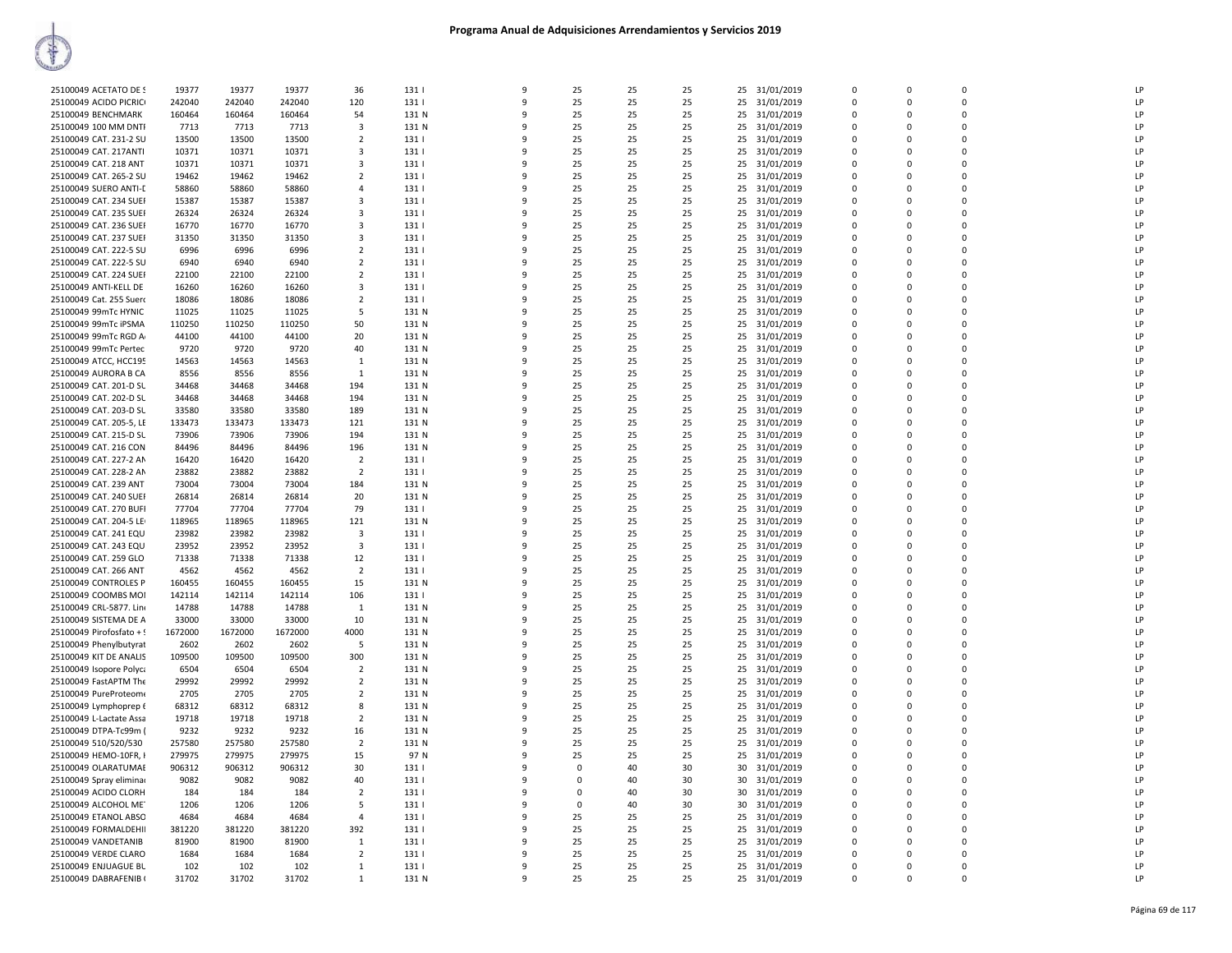| 25100049 ACETATO DE S    | 19377   | 19377   | 19377   | 36             | 131   | 9            | 25          | 25 | 25 |    | 25 31/01/2019 | $\Omega$     | $\Omega$ | $\Omega$    | LP             |
|--------------------------|---------|---------|---------|----------------|-------|--------------|-------------|----|----|----|---------------|--------------|----------|-------------|----------------|
| 25100049 ACIDO PICRICI   | 242040  | 242040  | 242040  | 120            | 131   | ٩            | 25          | 25 | 25 | 25 | 31/01/2019    | $\Omega$     | $\Omega$ | $\mathbf 0$ | LP             |
| 25100049 BENCHMARK       | 160464  | 160464  | 160464  | 54             | 131 N | 9            | 25          | 25 | 25 | 25 | 31/01/2019    | $\mathbf 0$  | $\Omega$ | $\mathbf 0$ | LP             |
| 25100049 100 MM DNTI     | 7713    | 7713    | 7713    | 3              | 131 N | ۰Q           | 25          | 25 | 25 | 25 | 31/01/2019    | $\Omega$     | $\Omega$ | $\mathbf 0$ | LP             |
| 25100049 CAT. 231-2 SU   | 13500   | 13500   | 13500   | $\overline{2}$ | 131   |              | 25          | 25 | 25 | 25 | 31/01/2019    | $\Omega$     | $\Omega$ | $\Omega$    | LP             |
| 25100049 CAT. 217ANTI    | 10371   | 10371   | 10371   | 3              | 131   |              | 25          | 25 | 25 | 25 | 31/01/2019    | $\Omega$     | $\Omega$ | 0           | LP             |
| 25100049 CAT. 218 ANT    | 10371   | 10371   | 10371   | 3              | 131   |              | 25          | 25 | 25 | 25 | 31/01/2019    | $\Omega$     | $\Omega$ | $\Omega$    | LP             |
| 25100049 CAT. 265-2 SU   | 19462   | 19462   | 19462   | $\overline{2}$ | 131   |              | 25          | 25 | 25 | 25 | 31/01/2019    | $\Omega$     | $\Omega$ | $\Omega$    | LP             |
| 25100049 SUERO ANTI-E    | 58860   | 58860   | 58860   | 4              | 131   | $\mathbf{q}$ | 25          | 25 | 25 | 25 | 31/01/2019    | $\Omega$     | $\Omega$ | $\mathbf 0$ | LP             |
| 25100049 CAT. 234 SUEF   | 15387   | 15387   | 15387   | 3              | 131   | 9            | 25          | 25 | 25 | 25 | 31/01/2019    | $\mathbf 0$  | $\Omega$ | $\mathbf 0$ | LP             |
| 25100049 CAT. 235 SUEF   | 26324   | 26324   | 26324   | 3              | 131   |              | 25          | 25 | 25 | 25 | 31/01/2019    | $\Omega$     | $\Omega$ | $\mathbf 0$ | LP             |
| 25100049 CAT, 236 SUEF   | 16770   | 16770   | 16770   | 3              | 131   |              | 25          | 25 | 25 | 25 | 31/01/2019    | $\Omega$     | $\Omega$ | $\Omega$    | LP             |
| 25100049 CAT. 237 SUEF   | 31350   | 31350   | 31350   | 3              | 131   |              | 25          | 25 | 25 | 25 | 31/01/2019    | $\Omega$     | $\Omega$ | 0           | LP             |
| 25100049 CAT. 222-5 SU   | 6996    | 6996    | 6996    | $\overline{2}$ | 131   | ٩            | 25          | 25 | 25 | 25 | 31/01/2019    | $\Omega$     | $\Omega$ | $\Omega$    | LP             |
| 25100049 CAT. 222-5 SU   | 6940    | 6940    | 6940    | $\overline{2}$ | 131   |              | 25          | 25 | 25 | 25 | 31/01/2019    | $\Omega$     | $\Omega$ | $\mathbf 0$ | LP             |
| 25100049 CAT. 224 SUEF   | 22100   | 22100   | 22100   | $\overline{2}$ | 131   | 9            | 25          | 25 | 25 | 25 | 31/01/2019    | $\Omega$     | $\Omega$ | $\mathbf 0$ | LP             |
| 25100049 ANTI-KELL DE    | 16260   | 16260   | 16260   | 3              | 131   | $\mathbf{q}$ | 25          | 25 | 25 | 25 | 31/01/2019    | $\mathbf 0$  | $\Omega$ | $\mathbf 0$ | LP             |
| 25100049 Cat. 255 Suero  | 18086   | 18086   | 18086   | $\overline{2}$ | 131   |              | 25          | 25 | 25 | 25 | 31/01/2019    | $\Omega$     | $\Omega$ | $\Omega$    | LP             |
| 25100049 99mTc HYNIC     | 11025   | 11025   | 11025   | -5             | 131 N |              | 25          | 25 | 25 | 25 | 31/01/2019    | $\Omega$     | $\Omega$ | $\Omega$    | LP             |
| 25100049 99mTc iPSMA     | 110250  | 110250  | 110250  | 50             | 131 N |              | 25          | 25 | 25 | 25 | 31/01/2019    | $\Omega$     | $\Omega$ | 0           | LP             |
| 25100049 99mTc RGD A     | 44100   | 44100   | 44100   | 20             | 131 N | ٩            | 25          | 25 | 25 | 25 | 31/01/2019    | $\Omega$     | $\Omega$ | $\Omega$    | LP             |
| 25100049 99mTc Pertec    | 9720    | 9720    | 9720    | 40             | 131 N |              | 25          | 25 | 25 | 25 | 31/01/2019    | $\Omega$     | $\Omega$ | $\mathbf 0$ | LP             |
| 25100049 ATCC, HCC195    | 14563   | 14563   | 14563   | $\mathbf{1}$   | 131 N | ٩            | 25          | 25 | 25 | 25 | 31/01/2019    | $\mathbf 0$  | $\Omega$ | $\mathbf 0$ | LP             |
| 25100049 AURORA B CA     | 8556    | 8556    | 8556    | $\mathbf{1}$   | 131 N | 9            | 25          | 25 | 25 | 25 | 31/01/2019    | $\Omega$     | $\Omega$ | $\Omega$    | LP             |
| 25100049 CAT. 201-D SL   | 34468   | 34468   | 34468   | 194            | 131 N | ۰Q           | 25          | 25 | 25 | 25 | 31/01/2019    | $\Omega$     | $\Omega$ | $\Omega$    | LP             |
| 25100049 CAT. 202-D SL   | 34468   | 34468   | 34468   | 194            | 131 N |              | 25          | 25 | 25 | 25 | 31/01/2019    | $\Omega$     | $\Omega$ | $\Omega$    | LP             |
| 25100049 CAT. 203-D SL   | 33580   | 33580   | 33580   | 189            | 131 N |              | 25          | 25 | 25 | 25 | 31/01/2019    | $\Omega$     | $\Omega$ | 0           | LP             |
| 25100049 CAT. 205-5, LE  | 133473  | 133473  | 133473  | 121            | 131 N | ٩            | 25          | 25 | 25 | 25 | 31/01/2019    | $\Omega$     | $\Omega$ | $\Omega$    | LP             |
| 25100049 CAT. 215-D SL   | 73906   | 73906   | 73906   | 194            | 131 N |              | 25          | 25 | 25 | 25 | 31/01/2019    | $\Omega$     | $\Omega$ | $\mathbf 0$ | LP             |
| 25100049 CAT. 216 CON    | 84496   | 84496   | 84496   | 196            | 131 N | ٩            | 25          | 25 | 25 | 25 | 31/01/2019    | $\mathbf{0}$ | $\Omega$ | 0           | LP             |
| 25100049 CAT. 227-2 AN   | 16420   | 16420   | 16420   | $\overline{2}$ | 131   | 9            | 25          | 25 | 25 | 25 | 31/01/2019    | $\Omega$     | $\Omega$ | $\Omega$    | LP             |
| 25100049 CAT. 228-2 AN   | 23882   | 23882   | 23882   | $\overline{2}$ | 131   |              | 25          | 25 | 25 | 25 | 31/01/2019    | $\Omega$     | $\Omega$ | $\Omega$    | LP             |
| 25100049 CAT, 239 ANT    | 73004   | 73004   | 73004   | 184            | 131 N |              | 25          | 25 | 25 | 25 | 31/01/2019    | $\Omega$     | $\Omega$ | $\Omega$    | LP             |
| 25100049 CAT. 240 SUEF   | 26814   | 26814   | 26814   | 20             | 131 N |              | 25          | 25 | 25 | 25 | 31/01/2019    | $\Omega$     | $\Omega$ | 0           | LP             |
| 25100049 CAT. 270 BUFI   | 77704   | 77704   | 77704   | 79             | 131   |              | 25          | 25 | 25 | 25 | 31/01/2019    | $\Omega$     | $\Omega$ | $\Omega$    | LP             |
| 25100049 CAT. 204-5 LE   | 118965  | 118965  | 118965  | 121            | 131 N |              | 25          | 25 | 25 | 25 | 31/01/2019    | $\Omega$     | 0        | $\mathbf 0$ | LP             |
| 25100049 CAT. 241 EQU    | 23982   | 23982   | 23982   | 3              | 131   | ٩            | 25          | 25 | 25 | 25 | 31/01/2019    | $\mathbf{0}$ | $\Omega$ | $\mathbf 0$ | LP             |
| 25100049 CAT. 243 EQU    | 23952   | 23952   | 23952   | 3              | 131   |              | 25          | 25 | 25 | 25 | 31/01/2019    | $\Omega$     | $\Omega$ | $\Omega$    | LP             |
| 25100049 CAT. 259 GLO    | 71338   | 71338   | 71338   | 12             | 131   |              | 25          | 25 | 25 | 25 | 31/01/2019    | $\Omega$     | $\Omega$ | $\Omega$    | LP             |
| 25100049 CAT. 266 ANT    | 4562    | 4562    | 4562    | $\overline{2}$ | 131   |              | 25          | 25 | 25 | 25 | 31/01/2019    | $\Omega$     | $\Omega$ | 0           | LP             |
| 25100049 CONTROLES P     | 160455  | 160455  | 160455  | 15             | 131 N |              | 25          | 25 | 25 | 25 | 31/01/2019    | $\Omega$     | $\Omega$ | 0           | LP             |
| 25100049 COOMBS MOI      | 142114  | 142114  | 142114  | 106            | 131   | $\mathbf{q}$ | 25          | 25 | 25 | 25 | 31/01/2019    | $\Omega$     | $\Omega$ | $\Omega$    | LP             |
| 25100049 CRL-5877. Line  | 14788   | 14788   | 14788   | 1              | 131 N |              | 25          | 25 | 25 | 25 | 31/01/2019    | $\Omega$     | 0        | $\mathbf 0$ | LP             |
| 25100049 SISTEMA DE A    | 33000   | 33000   | 33000   | 10             | 131 N | ٩            | 25          | 25 | 25 | 25 | 31/01/2019    | $\Omega$     | $\Omega$ | $\Omega$    | LP             |
| 25100049 Pirofosfato + ! | 1672000 | 1672000 | 1672000 | 4000           | 131 N | 9            | 25          | 25 | 25 | 25 | 31/01/2019    | $\Omega$     | $\Omega$ | $\Omega$    | LP             |
| 25100049 Phenylbutyrat   | 2602    | 2602    | 2602    | -5             | 131 N | ۰Q           | 25          | 25 | 25 | 25 | 31/01/2019    | $\Omega$     | $\Omega$ | $\Omega$    | I <sub>P</sub> |
| 25100049 KIT DE ANALIS   | 109500  | 109500  | 109500  | 300            | 131 N |              | 25          | 25 | 25 | 25 | 31/01/2019    | $\Omega$     | $\Omega$ | $\Omega$    | LP             |
| 25100049 Isopore Polyca  | 6504    | 6504    | 6504    | $\overline{2}$ | 131 N |              | 25          | 25 | 25 | 25 | 31/01/2019    | $\Omega$     | $\Omega$ | $\mathbf 0$ | LP             |
| 25100049 FastAPTM The    | 29992   | 29992   | 29992   | $\overline{2}$ | 131 N | 9            | 25          | 25 | 25 | 25 | 31/01/2019    | $\Omega$     | $\Omega$ | $\mathbf 0$ | LP             |
| 25100049 PureProteom     | 2705    | 2705    | 2705    | $\overline{2}$ | 131 N |              | 25          | 25 | 25 | 25 | 31/01/2019    | $\mathbf{0}$ | 0        | $\mathbf 0$ | LP             |
| 25100049 Lymphoprep f    | 68312   | 68312   | 68312   | 8              | 131 N | ٩            | 25          | 25 | 25 | 25 | 31/01/2019    | $\Omega$     | $\Omega$ | $\Omega$    | LP             |
| 25100049 L-Lactate Assa  | 19718   | 19718   | 19718   | $\overline{2}$ | 131 N | 9            | 25          | 25 | 25 | 25 | 31/01/2019    | $\Omega$     | $\Omega$ | $\Omega$    | LP             |
| 25100049 DTPA-Tc99m (    | 9232    | 9232    | 9232    | 16             | 131 N | ٠Q           | 25          | 25 | 25 | 25 | 31/01/2019    | $\Omega$     | $\Omega$ | $\Omega$    | LP             |
| 25100049 510/520/530     | 257580  | 257580  | 257580  | $\overline{2}$ | 131 N |              | 25          | 25 | 25 | 25 | 31/01/2019    | $\Omega$     | $\Omega$ | $\mathbf 0$ | LP             |
| 25100049 HEMO-10FR, I    | 279975  | 279975  | 279975  | 15             | 97 N  |              | 25          | 25 | 25 | 25 | 31/01/2019    | $\Omega$     | $\Omega$ | $\mathbf 0$ | LP             |
| 25100049 OLARATUMAE      | 906312  | 906312  | 906312  | 30             | 131   | $\mathbf{q}$ | $\mathbf 0$ | 40 | 30 | 30 | 31/01/2019    | $\Omega$     | $\Omega$ | $\mathbf 0$ | LP             |
| 25100049 Spray eliminar  | 9082    | 9082    | 9082    | 40             | 131   | ۰Q           | $\Omega$    | 40 | 30 | 30 | 31/01/2019    | $\Omega$     | $\Omega$ | $\Omega$    | LP             |
| 25100049 ACIDO CLORH     | 184     | 184     | 184     | $\overline{2}$ | 131   | $\mathbf{q}$ | $\Omega$    | 40 | 30 | 30 | 31/01/2019    | $\Omega$     | $\Omega$ | $\Omega$    | LP             |
| 25100049 ALCOHOL ME      | 1206    | 1206    | 1206    | 5              | 131   | 9            | $\Omega$    | 40 | 30 | 30 | 31/01/2019    | $\Omega$     | $\Omega$ | $\Omega$    | LP             |
| 25100049 ETANOL ABSO     | 4684    | 4684    | 4684    | $\mathbf{a}$   | 131   |              | 25          | 25 | 25 | 25 | 31/01/2019    | $\Omega$     | $\Omega$ | $\Omega$    | LP             |
| 25100049 FORMALDEHII     | 381220  | 381220  | 381220  | 392            | 131   |              | 25          | 25 | 25 | 25 | 31/01/2019    | $\Omega$     | $\Omega$ | $\mathbf 0$ | LP             |
| 25100049 VANDETANIB      | 81900   | 81900   | 81900   | 1              | 131   |              | 25          | 25 | 25 | 25 | 31/01/2019    | $\Omega$     | n        | $\mathbf 0$ | LP             |
| 25100049 VERDE CLARO     | 1684    | 1684    | 1684    | $\overline{2}$ | 131   | $\mathbf{q}$ | 25          | 25 | 25 | 25 | 31/01/2019    | $\Omega$     | $\Omega$ | $\Omega$    | LP             |
| 25100049 ENJUAGUE BL     | 102     | 102     | 102     | -1             | 131   |              | 25          | 25 | 25 | 25 | 31/01/2019    | $\Omega$     | $\Omega$ | $\Omega$    | LP             |
| 25100049 DABRAFENIB (    | 31702   | 31702   | 31702   | $\mathbf{1}$   | 131 N | $\mathbf{q}$ | 25          | 25 | 25 |    | 25 31/01/2019 | $\Omega$     | $\Omega$ | $\Omega$    | LP             |
|                          |         |         |         |                |       |              |             |    |    |    |               |              |          |             |                |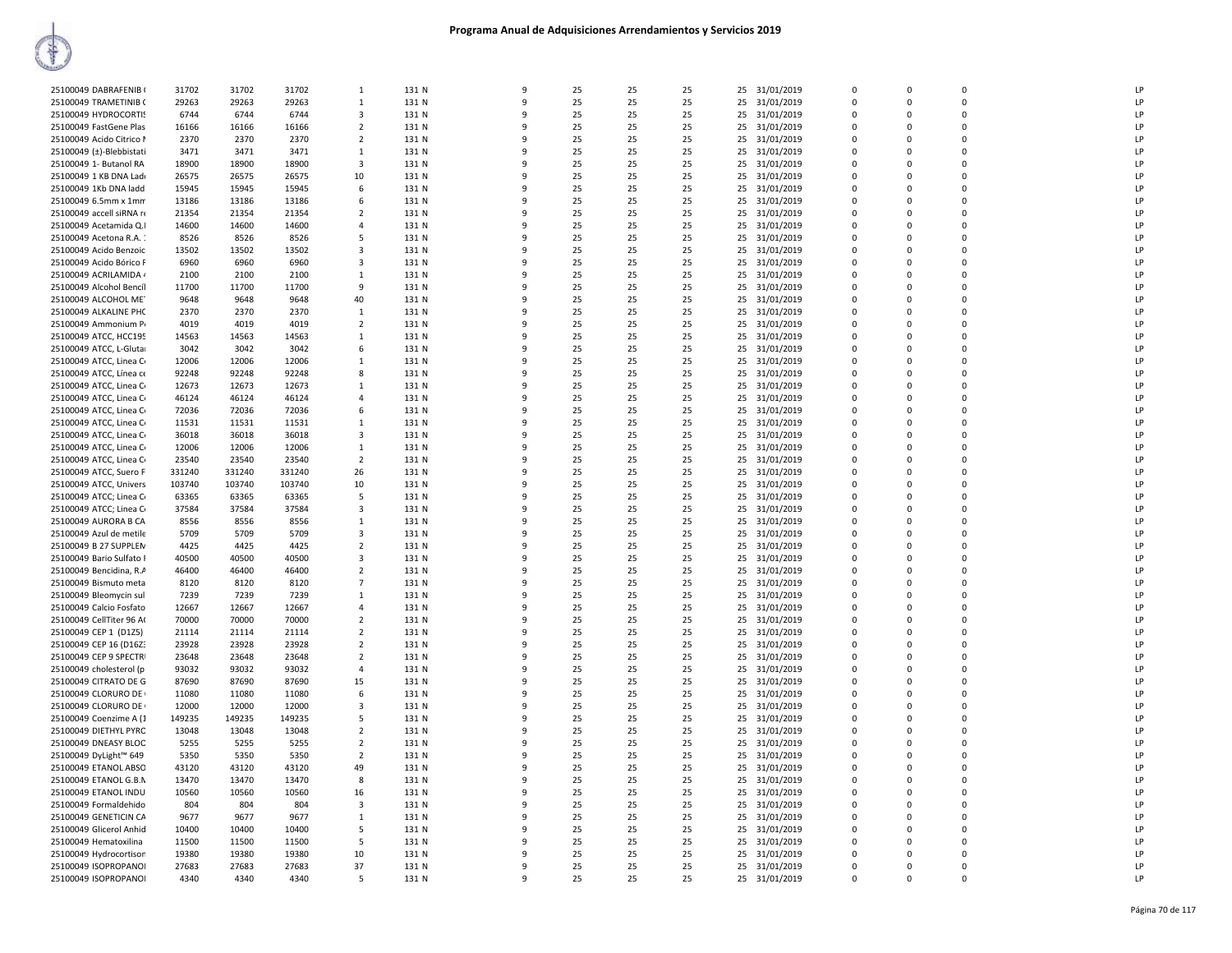| 25100049 DABRAFENIB (    | 31702  | 31702  | 31702  | 1                       | 131 N | 9            | 25 | 25 | 25 | 25<br>31/01/2019 | 0           | 0        | $\mathbf 0$ | LP |
|--------------------------|--------|--------|--------|-------------------------|-------|--------------|----|----|----|------------------|-------------|----------|-------------|----|
| 25100049 TRAMETINIB (    | 29263  | 29263  | 29263  | 1                       | 131 N | q            | 25 | 25 | 25 | 25<br>31/01/2019 | $\Omega$    | $\Omega$ | $\Omega$    | LP |
| 25100049 HYDROCORTIS     | 6744   | 6744   | 6744   | 3                       | 131 N |              | 25 | 25 | 25 | 25<br>31/01/2019 | $\Omega$    | $\Omega$ | $\Omega$    | LP |
| 25100049 FastGene Plas   | 16166  | 16166  | 16166  | $\overline{2}$          | 131 N | q            | 25 | 25 | 25 | 31/01/2019<br>25 | $\Omega$    | $\Omega$ | $\mathbf 0$ | LP |
|                          |        |        |        |                         |       |              |    |    |    |                  |             |          |             |    |
| 25100049 Acido Citrico I | 2370   | 2370   | 2370   | 2                       | 131 N | 9            | 25 | 25 | 25 | 25<br>31/01/2019 | $\Omega$    | $\Omega$ | $\Omega$    | LP |
| 25100049 (±)-Blebbistati | 3471   | 3471   | 3471   | 1                       | 131 N | q            | 25 | 25 | 25 | 31/01/2019<br>25 | $\Omega$    | $\Omega$ | $\Omega$    | LP |
| 25100049 1- Butanol RA   | 18900  | 18900  | 18900  | $\overline{\mathbf{3}}$ | 131 N |              | 25 | 25 | 25 | 25<br>31/01/2019 | $\Omega$    | $\Omega$ | 0           | LP |
| 25100049 1 KB DNA Lad    | 26575  | 26575  | 26575  | 10                      | 131 N | 9            | 25 | 25 | 25 | 25<br>31/01/2019 | $\mathbf 0$ | $\Omega$ | $\mathbf 0$ | LP |
|                          |        |        |        |                         |       |              |    |    |    |                  |             |          |             |    |
| 25100049 1Kb DNA ladd    | 15945  | 15945  | 15945  | 6                       | 131 N | q            | 25 | 25 | 25 | 25<br>31/01/2019 | $\Omega$    | $\Omega$ | $\Omega$    | LP |
| 25100049 6.5mm x 1mm     | 13186  | 13186  | 13186  | 6                       | 131 N |              | 25 | 25 | 25 | 25<br>31/01/2019 | $\mathbf 0$ | $\Omega$ | $\mathbf 0$ | LP |
| 25100049 accell siRNA re | 21354  | 21354  | 21354  | $\overline{2}$          | 131 N |              | 25 | 25 | 25 | 31/01/2019<br>25 | $\Omega$    | $\Omega$ | $\mathbf 0$ | LP |
| 25100049 Acetamida Q.I   | 14600  | 14600  | 14600  | $\overline{4}$          | 131 N |              | 25 | 25 | 25 | 25<br>31/01/2019 | 0           | 0        | $\mathbf 0$ | LP |
|                          |        |        |        |                         |       |              |    |    |    |                  |             |          |             |    |
| 25100049 Acetona R.A. :  | 8526   | 8526   | 8526   | 5                       | 131 N | q            | 25 | 25 | 25 | 31/01/2019<br>25 | $\Omega$    | $\Omega$ | $\Omega$    | LP |
| 25100049 Acido Benzoic   | 13502  | 13502  | 13502  | 3                       | 131 N |              | 25 | 25 | 25 | 31/01/2019<br>25 | $\Omega$    | $\Omega$ | $\Omega$    | LP |
| 25100049 Acido Bórico F  | 6960   | 6960   | 6960   | 3                       | 131 N | q            | 25 | 25 | 25 | 31/01/2019<br>25 | $\Omega$    | $\Omega$ | $\mathbf 0$ | LP |
| 25100049 ACRILAMIDA 4    | 2100   | 2100   | 2100   | <sup>1</sup>            | 131 N | 9            | 25 | 25 | 25 | 25<br>31/01/2019 | $\Omega$    | $\Omega$ | $\Omega$    | LP |
|                          |        |        |        |                         |       |              |    |    |    |                  |             |          |             |    |
| 25100049 Alcohol Bencíl  | 11700  | 11700  | 11700  | 9                       | 131 N |              | 25 | 25 | 25 | 25<br>31/01/2019 | $\Omega$    | $\Omega$ | $\Omega$    | LP |
| 25100049 ALCOHOL ME      | 9648   | 9648   | 9648   | 40                      | 131 N |              | 25 | 25 | 25 | 31/01/2019<br>25 | $\Omega$    | $\Omega$ | $\Omega$    | LP |
| 25100049 ALKALINE PHC    | 2370   | 2370   | 2370   | 1                       | 131 N |              | 25 | 25 | 25 | 25<br>31/01/2019 | 0           | $\Omega$ | $\mathbf 0$ | LP |
|                          |        |        |        |                         |       | $\Omega$     |    |    |    |                  |             |          | $\Omega$    |    |
| 25100049 Ammonium Pr     | 4019   | 4019   | 4019   | $\overline{2}$          | 131 N |              | 25 | 25 | 25 | 25<br>31/01/2019 | $\Omega$    | $\Omega$ |             | LP |
| 25100049 ATCC, HCC195    | 14563  | 14563  | 14563  | 1                       | 131 N |              | 25 | 25 | 25 | 25<br>31/01/2019 | 0           | 0        | $\mathbf 0$ | LP |
| 25100049 ATCC, L-Gluta   | 3042   | 3042   | 3042   | 6                       | 131 N | q            | 25 | 25 | 25 | 31/01/2019<br>25 | $\Omega$    | $\Omega$ | $\Omega$    | LP |
| 25100049 ATCC, Linea C   | 12006  | 12006  | 12006  |                         | 131 N | 9            | 25 | 25 | 25 | 25<br>31/01/2019 | $\Omega$    | $\Omega$ | $\Omega$    | LP |
|                          |        |        |        | $\mathbf{1}$            |       |              |    |    |    |                  |             |          |             |    |
| 25100049 ATCC, Línea ce  | 92248  | 92248  | 92248  | 8                       | 131 N | q            | 25 | 25 | 25 | 31/01/2019<br>25 | $\Omega$    | $\Omega$ | $\Omega$    | LP |
| 25100049 ATCC, Linea C   | 12673  | 12673  | 12673  | $\mathbf{1}$            | 131 N |              | 25 | 25 | 25 | 25 31/01/2019    | $\Omega$    | $\Omega$ | $\Omega$    | LP |
| 25100049 ATCC, Linea C   | 46124  | 46124  | 46124  | $\overline{4}$          | 131 N |              | 25 | 25 | 25 | 25<br>31/01/2019 | $\Omega$    | $\Omega$ | 0           | LP |
|                          |        |        |        |                         |       |              |    |    |    |                  |             |          | $\Omega$    |    |
| 25100049 ATCC, Linea C   | 72036  | 72036  | 72036  | 6                       | 131 N | q            | 25 | 25 | 25 | 25<br>31/01/2019 | $\Omega$    | $\Omega$ |             | LP |
| 25100049 ATCC, Linea C   | 11531  | 11531  | 11531  | 1                       | 131 N | 9            | 25 | 25 | 25 | 25<br>31/01/2019 | $\Omega$    | $\Omega$ | $\mathbf 0$ | LP |
| 25100049 ATCC, Linea C   | 36018  | 36018  | 36018  | $\overline{\mathbf{3}}$ | 131 N | 9            | 25 | 25 | 25 | 31/01/2019<br>25 | $\Omega$    | $\Omega$ | $\Omega$    | LP |
| 25100049 ATCC, Linea C   | 12006  | 12006  | 12006  | 1                       | 131 N | 9            | 25 | 25 | 25 | 25<br>31/01/2019 | 0           | 0        | $\mathbf 0$ | LP |
|                          |        |        |        |                         |       |              |    |    |    |                  |             |          |             |    |
| 25100049 ATCC, Linea C   | 23540  | 23540  | 23540  | $\overline{2}$          | 131 N | q            | 25 | 25 | 25 | 31/01/2019<br>25 | $\Omega$    | $\Omega$ | $\mathbf 0$ | LP |
| 25100049 ATCC, Suero F   | 331240 | 331240 | 331240 | 26                      | 131 N |              | 25 | 25 | 25 | 25<br>31/01/2019 | $\Omega$    | $\Omega$ | $\Omega$    | LP |
| 25100049 ATCC, Univers   | 103740 | 103740 | 103740 | 10                      | 131 N | q            | 25 | 25 | 25 | 31/01/2019<br>25 | $\Omega$    | $\Omega$ | $\pmb{0}$   | LP |
| 25100049 ATCC; Linea C   | 63365  | 63365  | 63365  | 5                       | 131 N | q            | 25 | 25 | 25 | 25<br>31/01/2019 | $\Omega$    | $\Omega$ | $\Omega$    | LP |
|                          |        |        |        |                         |       |              |    |    |    |                  |             |          |             |    |
| 25100049 ATCC; Linea C   | 37584  | 37584  | 37584  | 3                       | 131 N | q            | 25 | 25 | 25 | 25<br>31/01/2019 | $\Omega$    | $\Omega$ | $\Omega$    | LP |
| 25100049 AURORA B CA     | 8556   | 8556   | 8556   | 1                       | 131 N | 9            | 25 | 25 | 25 | 31/01/2019<br>25 | $\Omega$    | $\Omega$ | $\Omega$    | LP |
| 25100049 Azul de metile  | 5709   | 5709   | 5709   | 3                       | 131 N | 9            | 25 | 25 | 25 | 25<br>31/01/2019 | 0           | $\Omega$ | 0           | LP |
| 25100049 B 27 SUPPLEN    | 4425   | 4425   | 4425   | $\overline{2}$          | 131 N | $\mathbf{q}$ | 25 | 25 | 25 | 31/01/2019<br>25 | $\Omega$    | $\Omega$ | $\Omega$    | LP |
|                          |        |        |        |                         |       |              |    |    |    |                  |             |          |             |    |
| 25100049 Bario Sulfato I | 40500  | 40500  | 40500  | 3                       | 131 N |              | 25 | 25 | 25 | 25<br>31/01/2019 | $\mathbf 0$ | $\Omega$ | $\mathbf 0$ | LP |
| 25100049 Bencidina, R.A  | 46400  | 46400  | 46400  | $\overline{2}$          | 131 N | q            | 25 | 25 | 25 | 25<br>31/01/2019 | $\Omega$    | $\Omega$ | $\mathbf 0$ | LP |
| 25100049 Bismuto meta    | 8120   | 8120   | 8120   | $\overline{7}$          | 131 N |              | 25 | 25 | 25 | 25<br>31/01/2019 | 0           | 0        | $\mathbf 0$ | LP |
|                          |        |        |        |                         |       |              |    |    |    |                  |             |          |             |    |
| 25100049 Bleomycin sul   | 7239   | 7239   | 7239   | 1                       | 131 N | $\Omega$     | 25 | 25 | 25 | 31/01/2019<br>25 | $\Omega$    | $\Omega$ | $\mathbf 0$ | LP |
| 25100049 Calcio Fosfato  | 12667  | 12667  | 12667  | $\overline{4}$          | 131 N | q            | 25 | 25 | 25 | 25<br>31/01/2019 | $\Omega$    | $\Omega$ | $\Omega$    | LP |
| 25100049 CellTiter 96 A  | 70000  | 70000  | 70000  | $\overline{2}$          | 131 N | 9            | 25 | 25 | 25 | 25<br>31/01/2019 | $\Omega$    | $\Omega$ | 0           | LP |
| 25100049 CEP 1 (D1Z5)    | 21114  | 21114  | 21114  | $\overline{2}$          | 131 N | q            | 25 | 25 | 25 | 25<br>31/01/2019 | $\Omega$    | $\Omega$ | $\Omega$    | LP |
|                          |        |        |        |                         |       |              |    |    |    |                  |             |          |             |    |
| 25100049 CEP 16 (D16Z3   | 23928  | 23928  | 23928  | $\overline{2}$          | 131 N |              | 25 | 25 | 25 | 25<br>31/01/2019 | $\Omega$    | $\Omega$ | $\Omega$    | LP |
| 25100049 CEP 9 SPECTR    | 23648  | 23648  | 23648  | $\overline{2}$          | 131 N |              | 25 | 25 | 25 | 31/01/2019<br>25 | $\Omega$    | $\Omega$ | $\Omega$    | LP |
| 25100049 cholesterol (p  | 93032  | 93032  | 93032  | $\overline{4}$          | 131 N |              | 25 | 25 | 25 | 25<br>31/01/2019 | 0           | $\Omega$ | 0           | LP |
| 25100049 CITRATO DE G    | 87690  | 87690  | 87690  | 15                      | 131 N | $\Omega$     | 25 | 25 | 25 | 25<br>31/01/2019 | $\Omega$    | $\Omega$ | $\Omega$    | LP |
|                          |        |        |        |                         |       |              |    |    |    |                  |             |          |             |    |
| 25100049 CLORURO DE      | 11080  | 11080  | 11080  | 6                       | 131 N | 9            | 25 | 25 | 25 | 25<br>31/01/2019 | $\Omega$    | $\Omega$ | $\mathbf 0$ | LP |
| 25100049 CLORURO DE      | 12000  | 12000  | 12000  | 3                       | 131 N | 9            | 25 | 25 | 25 | 31/01/2019<br>25 | 0           | $\Omega$ | $\mathbf 0$ | LP |
| 25100049 Coenzime A (1   | 149235 | 149235 | 149235 | 5                       | 131 N | $\mathbf{q}$ | 25 | 25 | 25 | 25<br>31/01/2019 | $\mathbf 0$ | $\Omega$ | $\mathbf 0$ | LP |
|                          |        |        |        | $\overline{2}$          |       | q            |    | 25 |    |                  | $\Omega$    | $\Omega$ | $\Omega$    | LP |
| 25100049 DIETHYL PYRC    | 13048  | 13048  | 13048  |                         | 131 N |              | 25 |    | 25 | 25<br>31/01/2019 |             |          |             |    |
| 25100049 DNEASY BLOC     | 5255   | 5255   | 5255   | $\overline{2}$          | 131 N | c            | 25 | 25 | 25 | 25 31/01/2019    | $\Omega$    | $\Omega$ | $\Omega$    | LP |
| 25100049 DyLight™ 649    | 5350   | 5350   | 5350   | $\overline{2}$          | 131 N | 9            | 25 | 25 | 25 | 25<br>31/01/2019 | $\Omega$    | $\Omega$ | 0           | LP |
| 25100049 ETANOL ABSO     | 43120  | 43120  | 43120  | 49                      | 131 N | q            | 25 | 25 | 25 | 25<br>31/01/2019 | $\Omega$    | $\Omega$ | $\Omega$    | LP |
|                          |        |        |        |                         |       |              |    |    |    |                  | $\Omega$    |          |             |    |
| 25100049 ETANOL G.B.N    | 13470  | 13470  | 13470  | 8                       | 131 N | 9            | 25 | 25 | 25 | 25<br>31/01/2019 |             | $\Omega$ | $\mathbf 0$ | LP |
| 25100049 ETANOL INDU     | 10560  | 10560  | 10560  | 16                      | 131 N | 9            | 25 | 25 | 25 | 31/01/2019<br>25 | $\mathbf 0$ | $\Omega$ | $\mathbf 0$ | LP |
| 25100049 Formaldehido    | 804    | 804    | 804    | 3                       | 131 N | 9            | 25 | 25 | 25 | 25<br>31/01/2019 | $\Omega$    | $\Omega$ | $\mathbf 0$ | LP |
| 25100049 GENETICIN CA    | 9677   | 9677   | 9677   | 1                       | 131 N | $\Omega$     | 25 | 25 | 25 | 31/01/2019<br>25 | $\Omega$    | $\Omega$ | $\Omega$    | LP |
|                          |        |        |        |                         |       |              |    |    |    |                  | $\Omega$    |          |             |    |
| 25100049 Glicerol Anhid  | 10400  | 10400  | 10400  | 5                       | 131 N |              | 25 | 25 | 25 | 25 31/01/2019    |             | $\Omega$ | $\mathbf 0$ | LP |
| 25100049 Hematoxilina    | 11500  | 11500  | 11500  | 5                       | 131 N | q            | 25 | 25 | 25 | 25<br>31/01/2019 | 0           | $\Omega$ | 0           | LP |
| 25100049 Hydrocortison   | 19380  | 19380  | 19380  | 10                      | 131 N | q            | 25 | 25 | 25 | 25 31/01/2019    | $\Omega$    | $\Omega$ | $\Omega$    | LP |
| 25100049 ISOPROPANOI     | 27683  | 27683  | 27683  | 37                      | 131 N | q            | 25 | 25 | 25 | 25 31/01/2019    | $\Omega$    | $\Omega$ | $\Omega$    | LP |
|                          |        |        |        |                         |       |              |    |    |    |                  | $\Omega$    | $\Omega$ | $\Omega$    |    |
| 25100049 ISOPROPANOI     | 4340   | 4340   | 4340   | 5                       | 131 N | 9            | 25 | 25 | 25 | 25 31/01/2019    |             |          |             | LP |
|                          |        |        |        |                         |       |              |    |    |    |                  |             |          |             |    |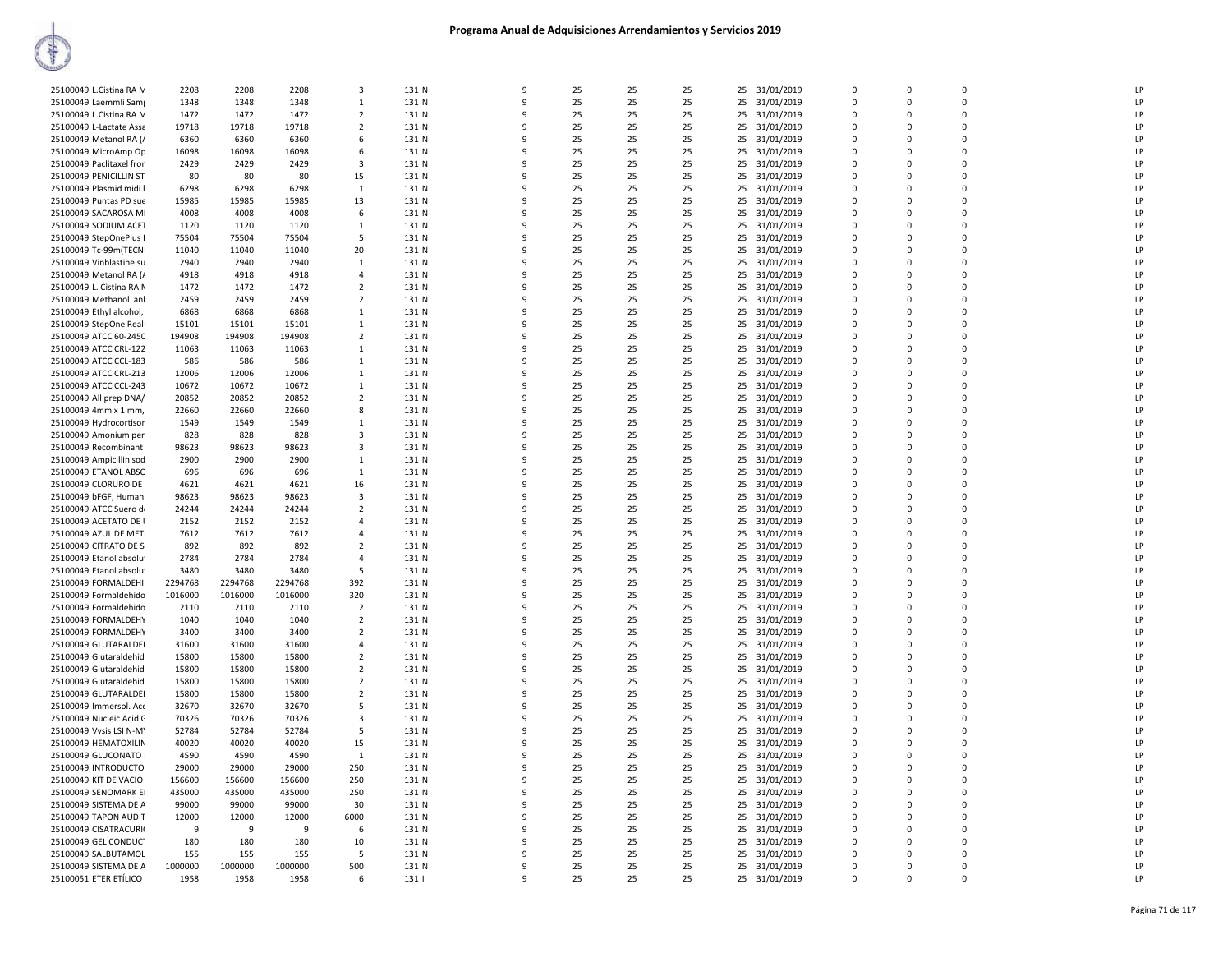| 25100049 L.Cistina RA M  | 2208    | 2208    | 2208    | 3              | 131 N | $\mathbf{q}$ | 25 | 25 | 25 | 25 | 31/01/2019    | $\Omega$    | $\Omega$ | $\Omega$    | LP |
|--------------------------|---------|---------|---------|----------------|-------|--------------|----|----|----|----|---------------|-------------|----------|-------------|----|
| 25100049 Laemmli Samr    | 1348    | 1348    | 1348    | $\mathbf{1}$   | 131 N | 9            | 25 | 25 | 25 | 25 | 31/01/2019    | $\Omega$    | $\Omega$ | $\Omega$    | LP |
| 25100049 L.Cistina RA M  | 1472    | 1472    | 1472    | 2              | 131 N | ٩            | 25 | 25 | 25 | 25 | 31/01/2019    | $\Omega$    | $\Omega$ | $\Omega$    | LP |
|                          |         |         |         | $\overline{2}$ |       |              |    |    |    |    |               | $\Omega$    | $\Omega$ | $\mathbf 0$ | LP |
| 25100049 L-Lactate Assa  | 19718   | 19718   | 19718   |                | 131 N |              | 25 | 25 | 25 |    | 25 31/01/2019 |             |          |             |    |
| 25100049 Metanol RA (/   | 6360    | 6360    | 6360    | 6              | 131 N | q            | 25 | 25 | 25 | 25 | 31/01/2019    | 0           | $\Omega$ | $\mathbf 0$ | LP |
| 25100049 MicroAmp Op     | 16098   | 16098   | 16098   | 6              | 131 N | 9            | 25 | 25 | 25 | 25 | 31/01/2019    | $\Omega$    | $\Omega$ | $\mathbf 0$ | LP |
| 25100049 Paclitaxel fron | 2429    | 2429    | 2429    | 3              | 131 N | q            | 25 | 25 | 25 | 25 | 31/01/2019    | 0           | $\Omega$ | $\mathbf 0$ | LP |
| 25100049 PENICILLIN ST   | 80      | 80      | 80      | 15             | 131 N | q            | 25 | 25 | 25 | 25 | 31/01/2019    | $\Omega$    | $\Omega$ | $\Omega$    | LP |
| 25100049 Plasmid midi l  | 6298    | 6298    | 6298    | $\mathbf{1}$   | 131 N | 9            | 25 | 25 | 25 | 25 | 31/01/2019    | $\Omega$    | $\Omega$ | $\Omega$    | LP |
| 25100049 Puntas PD sue   | 15985   | 15985   | 15985   | 13             | 131 N | q            | 25 | 25 | 25 | 25 | 31/01/2019    | $\Omega$    | $\Omega$ | $\Omega$    | LP |
| 25100049 SACAROSA MI     | 4008    | 4008    | 4008    | 6              | 131 N |              | 25 | 25 | 25 | 25 | 31/01/2019    | $\Omega$    | $\Omega$ | $\mathbf 0$ | LP |
| 25100049 SODIUM ACET     | 1120    | 1120    | 1120    | 1              | 131 N | ٩            | 25 | 25 | 25 | 25 | 31/01/2019    | $\Omega$    | $\Omega$ | $\mathbf 0$ | LP |
| 25100049 StepOnePlus F   | 75504   | 75504   | 75504   | 5              | 131 N | 9            | 25 | 25 | 25 | 25 | 31/01/2019    | $\Omega$    | $\Omega$ | $\mathbf 0$ | LP |
| 25100049 Tc-99m(TECNI    | 11040   | 11040   | 11040   | 20             | 131 N | $\Omega$     | 25 | 25 | 25 | 25 | 31/01/2019    | $\Omega$    | $\Omega$ | $\mathbf 0$ | LP |
|                          |         |         |         |                |       | q            |    |    |    |    |               | $\Omega$    |          | $\Omega$    |    |
| 25100049 Vinblastine su  | 2940    | 2940    | 2940    | $\mathbf{1}$   | 131 N |              | 25 | 25 | 25 | 25 | 31/01/2019    |             | $\Omega$ |             | LP |
| 25100049 Metanol RA (/   | 4918    | 4918    | 4918    | 4              | 131 N | 9            | 25 | 25 | 25 | 25 | 31/01/2019    | $\Omega$    | $\Omega$ | $\mathbf 0$ | LP |
| 25100049 L. Cistina RA N | 1472    | 1472    | 1472    | $\overline{2}$ | 131 N | q            | 25 | 25 | 25 | 25 | 31/01/2019    | $\Omega$    | $\Omega$ | $\Omega$    | LP |
| 25100049 Methanol anl    | 2459    | 2459    | 2459    | $\overline{2}$ | 131 N |              | 25 | 25 | 25 | 25 | 31/01/2019    | $\Omega$    | $\Omega$ | $\Omega$    | LP |
| 25100049 Ethyl alcohol,  | 6868    | 6868    | 6868    | 1              | 131 N | ٩            | 25 | 25 | 25 | 25 | 31/01/2019    | $\Omega$    | $\Omega$ | $\mathbf 0$ | LP |
| 25100049 StepOne Real-   | 15101   | 15101   | 15101   | $\mathbf{1}$   | 131 N | 9            | 25 | 25 | 25 | 25 | 31/01/2019    | $\Omega$    | $\Omega$ | $\mathbf 0$ | LP |
| 25100049 ATCC 60-2450    | 194908  | 194908  | 194908  | $\overline{2}$ | 131 N | q            | 25 | 25 | 25 | 25 | 31/01/2019    | $\Omega$    | $\Omega$ | $\mathbf 0$ | LP |
| 25100049 ATCC CRL-122    | 11063   | 11063   | 11063   | 1              | 131 N | 9            | 25 | 25 | 25 | 25 | 31/01/2019    | $\mathbf 0$ | $\Omega$ | $\mathbf 0$ | LP |
| 25100049 ATCC CCL-183    | 586     | 586     | 586     | $\mathbf{1}$   | 131 N | 9            | 25 | 25 | 25 | 25 | 31/01/2019    | $\Omega$    | $\Omega$ | $\pmb{0}$   | LP |
| 25100049 ATCC CRL-213    | 12006   | 12006   | 12006   | $\mathbf{1}$   | 131 N | q            | 25 | 25 | 25 | 25 | 31/01/2019    | $\Omega$    | $\Omega$ | $\Omega$    | LP |
|                          |         |         |         |                |       |              |    |    |    |    |               |             |          |             |    |
| 25100049 ATCC CCL-243    | 10672   | 10672   | 10672   | $\mathbf{1}$   | 131 N |              | 25 | 25 | 25 | 25 | 31/01/2019    | $\Omega$    | $\Omega$ | $\Omega$    | LP |
| 25100049 All prep DNA/   | 20852   | 20852   | 20852   | $\overline{2}$ | 131 N |              | 25 | 25 | 25 | 25 | 31/01/2019    | $\Omega$    | $\Omega$ | $\mathbf 0$ | LP |
| 25100049 4mm x 1 mm,     | 22660   | 22660   | 22660   | 8              | 131 N | q            | 25 | 25 | 25 | 25 | 31/01/2019    | $\Omega$    | $\Omega$ | 0           | LP |
| 25100049 Hydrocortison   | 1549    | 1549    | 1549    | 1              | 131 N | ٩            | 25 | 25 | 25 | 25 | 31/01/2019    | $\Omega$    | $\Omega$ | $\Omega$    | LP |
| 25100049 Amonium per     | 828     | 828     | 828     | 3              | 131 N | q            | 25 | 25 | 25 | 25 | 31/01/2019    | $\Omega$    | $\Omega$ | $\mathbf 0$ | LP |
| 25100049 Recombinant     | 98623   | 98623   | 98623   | 3              | 131 N | q            | 25 | 25 | 25 | 25 | 31/01/2019    | 0           | 0        | $\mathbf 0$ | LP |
| 25100049 Ampicillin sod  | 2900    | 2900    | 2900    | $\mathbf{1}$   | 131 N | q            | 25 | 25 | 25 | 25 | 31/01/2019    | $\Omega$    | $\Omega$ | $\Omega$    | LP |
| 25100049 ETANOL ABSO     | 696     | 696     | 696     | $\mathbf{1}$   | 131 N | ۰Q           | 25 | 25 | 25 | 25 | 31/01/2019    | $\Omega$    | $\Omega$ | $\Omega$    | LP |
| 25100049 CLORURO DE      | 4621    | 4621    | 4621    | 16             | 131 N | q            | 25 | 25 | 25 | 25 | 31/01/2019    | $\Omega$    | $\Omega$ | $\mathbf 0$ | LP |
|                          | 98623   | 98623   | 98623   | 3              | 131 N | q            | 25 | 25 | 25 | 25 |               | $\Omega$    | $\Omega$ | $\Omega$    | LP |
| 25100049 bFGF, Human     |         |         |         |                |       |              |    |    |    |    | 31/01/2019    |             |          | $\Omega$    |    |
| 25100049 ATCC Suero de   | 24244   | 24244   | 24244   | 2              | 131 N | ٩            | 25 | 25 | 25 | 25 | 31/01/2019    | $\Omega$    | $\Omega$ |             | LP |
| 25100049 ACETATO DE L    | 2152    | 2152    | 2152    | 4              | 131 N | 9            | 25 | 25 | 25 | 25 | 31/01/2019    | $\Omega$    | $\Omega$ | $\mathbf 0$ | LP |
| 25100049 AZUL DE METI    | 7612    | 7612    | 7612    | 4              | 131 N | 9            | 25 | 25 | 25 | 25 | 31/01/2019    | 0           | $\Omega$ | $\mathbf 0$ | LP |
| 25100049 CITRATO DE S    | 892     | 892     | 892     | $\overline{2}$ | 131 N | q            | 25 | 25 | 25 | 25 | 31/01/2019    | $\Omega$    | $\Omega$ | $\mathbf 0$ | LP |
| 25100049 Etanol absolut  | 2784    | 2784    | 2784    | $\overline{a}$ | 131 N | q            | 25 | 25 | 25 | 25 | 31/01/2019    | $\Omega$    | $\Omega$ | $\Omega$    | LP |
| 25100049 Etanol absolut  | 3480    | 3480    | 3480    | 5              | 131 N |              | 25 | 25 | 25 | 25 | 31/01/2019    | $\Omega$    | $\Omega$ | $\Omega$    | LP |
| 25100049 FORMALDEHII     | 2294768 | 2294768 | 2294768 | 392            | 131 N | -9           | 25 | 25 | 25 | 25 | 31/01/2019    | $\Omega$    | $\Omega$ | 0           | LP |
| 25100049 Formaldehido    | 1016000 | 1016000 | 1016000 | 320            | 131 N | ٩            | 25 | 25 | 25 | 25 | 31/01/2019    | $\Omega$    | $\Omega$ | $\Omega$    | LP |
| 25100049 Formaldehido    | 2110    | 2110    | 2110    | 2              | 131 N | 9            | 25 | 25 | 25 | 25 | 31/01/2019    | $\Omega$    | $\Omega$ | 0           | LP |
| 25100049 FORMALDEHY      | 1040    | 1040    | 1040    | $\overline{2}$ | 131 N | 9            | 25 | 25 | 25 | 25 | 31/01/2019    | 0           | $\Omega$ | $\mathbf 0$ | LP |
| 25100049 FORMALDEHY      | 3400    | 3400    | 3400    | $\overline{2}$ | 131 N | 9            | 25 | 25 | 25 | 25 | 31/01/2019    | $\Omega$    | $\Omega$ | $\mathbf 0$ | LP |
|                          |         |         |         | $\Delta$       |       | $\Omega$     | 25 |    |    |    |               | $\Omega$    | $\Omega$ | $\mathbf 0$ | LP |
| 25100049 GLUTARALDEH     | 31600   | 31600   | 31600   | $\overline{2}$ | 131 N |              |    | 25 | 25 | 25 | 31/01/2019    |             | $\Omega$ | $\Omega$    |    |
| 25100049 Glutaraldehid   | 15800   | 15800   | 15800   |                | 131 N |              | 25 | 25 | 25 | 25 | 31/01/2019    | $\Omega$    |          |             | LP |
| 25100049 Glutaraldehid   | 15800   | 15800   | 15800   | $\overline{2}$ | 131 N | ٩            | 25 | 25 | 25 | 25 | 31/01/2019    | $\Omega$    | $\Omega$ | $\mathbf 0$ | LP |
| 25100049 Glutaraldehid   | 15800   | 15800   | 15800   | $\overline{2}$ | 131 N | q            | 25 | 25 | 25 | 25 | 31/01/2019    | $\Omega$    | $\Omega$ | $\Omega$    | LP |
| 25100049 GLUTARALDEI     | 15800   | 15800   | 15800   | 2              | 131 N |              | 25 | 25 | 25 | 25 | 31/01/2019    | $\Omega$    | $\Omega$ | $\Omega$    | LP |
| 25100049 Immersol. Ace   | 32670   | 32670   | 32670   | 5              | 131 N | 9            | 25 | 25 | 25 | 25 | 31/01/2019    | 0           | $\Omega$ | $\mathbf 0$ | LP |
| 25100049 Nucleic Acid G  | 70326   | 70326   | 70326   | 3              | 131 N | 9            | 25 | 25 | 25 | 25 | 31/01/2019    | $\Omega$    | $\Omega$ | $\mathbf 0$ | LP |
| 25100049 Vysis LSI N-M\  | 52784   | 52784   | 52784   | 5              | 131 N | q            | 25 | 25 | 25 | 25 | 31/01/2019    | $\Omega$    | $\Omega$ | $\mathbf 0$ | LP |
| 25100049 HEMATOXILIN     | 40020   | 40020   | 40020   | 15             | 131 N |              | 25 | 25 | 25 | 25 | 31/01/2019    | $\Omega$    | $\Omega$ | $\mathbf 0$ | LP |
| 25100049 GLUCONATO I     | 4590    | 4590    | 4590    | 1              | 131 N | ٩            | 25 | 25 | 25 | 25 | 31/01/2019    | $\Omega$    | $\Omega$ | $\pmb{0}$   | LP |
| 25100049 INTRODUCTOI     | 29000   | 29000   | 29000   | 250            | 131 N | q            | 25 | 25 | 25 | 25 | 31/01/2019    | $\Omega$    | $\Omega$ | $\Omega$    | LP |
|                          |         |         |         |                |       |              |    |    |    |    |               |             |          |             |    |
| 25100049 KIT DE VACIO    | 156600  | 156600  | 156600  | 250            | 131 N | 9            | 25 | 25 | 25 | 25 | 31/01/2019    | $\Omega$    | $\Omega$ | 0           | LP |
| 25100049 SENOMARK EI     | 435000  | 435000  | 435000  | 250            | 131 N | 9            | 25 | 25 | 25 | 25 | 31/01/2019    | $\Omega$    | $\Omega$ | $\mathbf 0$ | LP |
| 25100049 SISTEMA DE A    | 99000   | 99000   | 99000   | 30             | 131 N | 9            | 25 | 25 | 25 | 25 | 31/01/2019    | $\Omega$    | $\Omega$ | $\Omega$    | LP |
| 25100049 TAPON AUDIT     | 12000   | 12000   | 12000   | 6000           | 131 N | q            | 25 | 25 | 25 | 25 | 31/01/2019    | $\Omega$    | $\Omega$ | $\Omega$    | LP |
| 25100049 CISATRACURI(    | 9       | 9       | 9       | 6              | 131 N |              | 25 | 25 | 25 | 25 | 31/01/2019    | $\Omega$    | $\Omega$ | $\mathbf 0$ | LP |
| 25100049 GEL CONDUCT     | 180     | 180     | 180     | 10             | 131 N | ۰Q           | 25 | 25 | 25 | 25 | 31/01/2019    | 0           | $\Omega$ | $\mathbf 0$ | LP |
| 25100049 SALBUTAMOL      | 155     | 155     | 155     | 5              | 131 N | q            | 25 | 25 | 25 | 25 | 31/01/2019    | $\Omega$    | $\Omega$ | $\Omega$    | LP |
| 25100049 SISTEMA DE A    | 1000000 | 1000000 | 1000000 | 500            | 131 N | ٩            | 25 | 25 | 25 | 25 | 31/01/2019    | $\Omega$    | $\Omega$ | $\Omega$    | LP |
| 25100051 ETER ETÍLICO    | 1958    | 1958    | 1958    | 6              | 131   | q            | 25 | 25 | 25 |    | 25 31/01/2019 | $\Omega$    | $\Omega$ | $\Omega$    | LP |
|                          |         |         |         |                |       |              |    |    |    |    |               |             |          |             |    |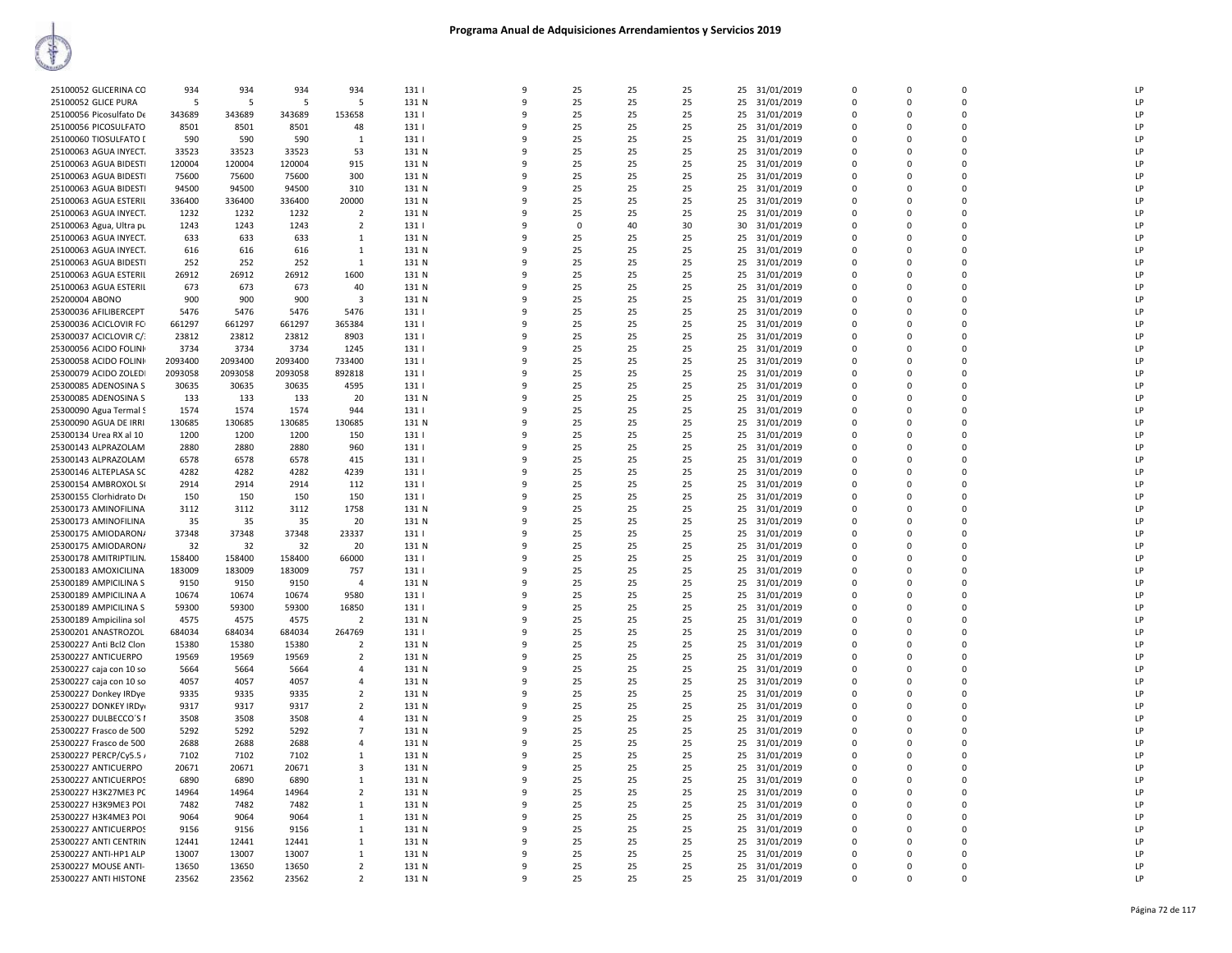| 25100052 GLICERINA CO   | 934     | 934     | 934     | 934            | 131   | 9            | 25       | 25 | 25 |    | 25 31/01/2019 | $\Omega$    | $\Omega$    | $\Omega$       | LP            |
|-------------------------|---------|---------|---------|----------------|-------|--------------|----------|----|----|----|---------------|-------------|-------------|----------------|---------------|
| 25100052 GLICE PURA     | -5      | -5      | 5       | - 5            | 131 N | 9            | 25       | 25 | 25 | 25 | 31/01/2019    | 0           | 0           | $\mathbf 0$    | LP            |
| 25100056 Picosulfato De | 343689  | 343689  | 343689  | 153658         | 131   | 9            | 25       | 25 | 25 | 25 | 31/01/2019    | $\mathbf 0$ | 0           | $\mathbf 0$    | LP            |
| 25100056 PICOSULFATO    | 8501    | 8501    | 8501    | 48             | 131   | 9            | 25       | 25 | 25 | 25 | 31/01/2019    | $\Omega$    | 0           | $\Omega$       | LP            |
| 25100060 TIOSULFATO I   | 590     | 590     | 590     | $\mathbf{1}$   | 131   | 9            | 25       | 25 | 25 | 25 | 31/01/2019    | $\Omega$    | $\mathbf 0$ | $\mathbf 0$    | LP            |
| 25100063 AGUA INYECT.   | 33523   | 33523   | 33523   | 53             | 131 N | 9            | 25       | 25 | 25 | 25 | 31/01/2019    | 0           | 0           | $\mathbf 0$    | LP            |
| 25100063 AGUA BIDESTI   | 120004  | 120004  | 120004  | 915            | 131 N | $\mathsf{q}$ | 25       | 25 | 25 |    | 25 31/01/2019 | $\Omega$    | $\Omega$    | $\Omega$       | LP            |
| 25100063 AGUA BIDESTI   | 75600   | 75600   | 75600   | 300            | 131 N | 9            | 25       | 25 | 25 | 25 | 31/01/2019    | $\Omega$    | $\Omega$    | $\Omega$       | LP            |
| 25100063 AGUA BIDESTI   | 94500   | 94500   | 94500   | 310            | 131 N | 9            | 25       | 25 | 25 | 25 | 31/01/2019    | $\Omega$    | $\Omega$    | $\mathbf 0$    | LP            |
| 25100063 AGUA ESTERIL   | 336400  | 336400  | 336400  | 20000          | 131 N | 9            | 25       | 25 | 25 | 25 | 31/01/2019    | $\Omega$    | $\Omega$    | $\Omega$       | LP            |
| 25100063 AGUA INYECT.   | 1232    | 1232    | 1232    | $\overline{2}$ | 131 N | 9            | 25       | 25 | 25 | 25 | 31/01/2019    | $\Omega$    | $\Omega$    | $\Omega$       | LP            |
| 25100063 Agua, Ultra pu | 1243    | 1243    | 1243    | $\overline{2}$ | 131   | 9            | $\Omega$ | 40 | 30 | 30 | 31/01/2019    | $\Omega$    | $\Omega$    | $\Omega$       | LP            |
| 25100063 AGUA INYECT.   | 633     | 633     | 633     | 1              | 131 N | 9            | 25       | 25 | 25 | 25 | 31/01/2019    | $\Omega$    | 0           | $\mathbf 0$    | $\mathsf{LP}$ |
| 25100063 AGUA INYECT.   | 616     | 616     | 616     | $\mathbf{1}$   | 131 N | 9            | 25       | 25 | 25 | 25 | 31/01/2019    | $\Omega$    | $\Omega$    | $\Omega$       | LP            |
| 25100063 AGUA BIDESTI   | 252     | 252     | 252     | $\mathbf{1}$   | 131 N | q            | 25       | 25 | 25 | 25 | 31/01/2019    | $\Omega$    | 0           | $\mathbf 0$    | LP            |
| 25100063 AGUA ESTERIL   | 26912   | 26912   | 26912   | 1600           | 131 N | $\mathsf{q}$ | 25       | 25 | 25 |    | 25 31/01/2019 | $\Omega$    | $\Omega$    | $\Omega$       | LP            |
| 25100063 AGUA ESTERIL   | 673     | 673     | 673     | 40             | 131 N | 9            | 25       | 25 | 25 | 25 | 31/01/2019    | 0           | 0           | $\mathbf 0$    | LP            |
| 25200004 ABONO          | 900     | 900     | 900     | 3              | 131 N | $\mathsf{q}$ | 25       | 25 | 25 | 25 | 31/01/2019    | $\Omega$    | $\Omega$    | $\Omega$       | LP            |
| 25300036 AFILIBERCEPT   | 5476    | 5476    | 5476    | 5476           | 131   | 9            | 25       | 25 | 25 | 25 | 31/01/2019    | $\Omega$    | $\Omega$    | $\Omega$       | LP            |
| 25300036 ACICLOVIR FO   | 661297  | 661297  | 661297  | 365384         | 131   | 9            | 25       | 25 | 25 | 25 | 31/01/2019    | $\Omega$    | $\Omega$    | $\Omega$       | LP            |
| 25300037 ACICLOVIR C/:  | 23812   | 23812   | 23812   | 8903           | 131   | 9            | 25       | 25 | 25 | 25 | 31/01/2019    | $\Omega$    | $\Omega$    | $\Omega$       | LP            |
| 25300056 ACIDO FOLINI   | 3734    | 3734    | 3734    | 1245           | 131   | $\mathsf{q}$ | 25       | 25 | 25 | 25 | 31/01/2019    | $\Omega$    | 0           | $\Omega$       | LP            |
| 25300058 ACIDO FOLINI   | 2093400 | 2093400 | 2093400 | 733400         | 131   | 9            | 25       | 25 | 25 | 25 | 31/01/2019    | $\Omega$    | $\Omega$    | $\mathbf 0$    | LP            |
| 25300079 ACIDO ZOLEDI   | 2093058 | 2093058 | 2093058 | 892818         | 131   | 9            | 25       | 25 | 25 | 25 | 31/01/2019    | 0           | 0           | $\mathbf 0$    | LP            |
| 25300085 ADENOSINA S    | 30635   | 30635   | 30635   | 4595           | 131   | 9            | 25       | 25 | 25 | 25 | 31/01/2019    | $\Omega$    | $\Omega$    | $\Omega$       | LP            |
| 25300085 ADENOSINA S    | 133     | 133     | 133     | 20             | 131 N | 9            | 25       | 25 | 25 | 25 | 31/01/2019    | 0           | 0           | $\mathbf 0$    | LP            |
| 25300090 Agua Termal S  | 1574    | 1574    | 1574    | 944            | 131   | q            | 25       | 25 | 25 | 25 | 31/01/2019    | $\Omega$    | $\Omega$    | $\Omega$       | LP            |
| 25300090 AGUA DE IRRI   | 130685  | 130685  | 130685  | 130685         | 131 N | 9            | 25       | 25 | 25 | 25 | 31/01/2019    | $\Omega$    | $\Omega$    | $\Omega$       | LP            |
| 25300134 Urea RX al 10  | 1200    | 1200    | 1200    | 150            | 131   | $\mathsf{q}$ | 25       | 25 | 25 | 25 | 31/01/2019    | $\Omega$    | $\Omega$    | $\Omega$       | LP            |
| 25300143 ALPRAZOLAM     | 2880    | 2880    | 2880    | 960            | 131   | 9            | 25       | 25 | 25 | 25 | 31/01/2019    | $\Omega$    | $\Omega$    | $\Omega$       | LP            |
| 25300143 ALPRAZOLAM     | 6578    | 6578    | 6578    | 415            | 131   | 9            | 25       | 25 | 25 | 25 | 31/01/2019    | 0           | 0           | $\overline{0}$ | LP            |
| 25300146 ALTEPLASA SC   | 4282    | 4282    | 4282    | 4239           | 131   | 9            | 25       | 25 | 25 | 25 | 31/01/2019    | $\Omega$    | $\mathbf 0$ | $\Omega$       | LP            |
| 25300154 AMBROXOL S(    | 2914    | 2914    | 2914    | 112            | 131   | 9            | 25       | 25 | 25 | 25 | 31/01/2019    | 0           | 0           | $\Omega$       | LP            |
| 25300155 Clorhidrato De | 150     | 150     | 150     | 150            | 131   | 9            | 25       | 25 | 25 | 25 | 31/01/2019    | $\Omega$    | $\Omega$    | $\Omega$       | LP            |
| 25300173 AMINOFILINA    | 3112    | 3112    | 3112    | 1758           | 131 N | 9            | 25       | 25 | 25 | 25 | 31/01/2019    | 0           | 0           | $\overline{0}$ | LP            |
| 25300173 AMINOFILINA    | 35      | 35      | 35      | 20             | 131 N | $\mathsf{q}$ | 25       | 25 | 25 | 25 | 31/01/2019    | $\Omega$    | $\Omega$    | $\Omega$       | LP            |
| 25300175 AMIODARON/     | 37348   | 37348   | 37348   | 23337          | 131   | 9            | 25       | 25 | 25 | 25 | 31/01/2019    | $\Omega$    | $\Omega$    | $\Omega$       | LP            |
| 25300175 AMIODARON/     | 32      | 32      | 32      | 20             | 131 N | 9            | 25       | 25 | 25 | 25 | 31/01/2019    | $\Omega$    | $\Omega$    | $\mathbf 0$    | LP            |
| 25300178 AMITRIPTILIN.  | 158400  | 158400  | 158400  | 66000          | 131   | 9            | 25       | 25 | 25 | 25 | 31/01/2019    | $\Omega$    | $\Omega$    | $\Omega$       | LP            |
| 25300183 AMOXICILINA    | 183009  | 183009  | 183009  | 757            | 131   | 9            | 25       | 25 | 25 | 25 | 31/01/2019    | $\Omega$    | $\Omega$    | $\Omega$       | LP            |
| 25300189 AMPICILINA S   | 9150    | 9150    | 9150    | $\overline{4}$ | 131 N | 9            | 25       | 25 | 25 | 25 | 31/01/2019    | $\Omega$    | $\Omega$    | $\Omega$       | LP            |
| 25300189 AMPICILINA A   | 10674   | 10674   | 10674   | 9580           | 131   | 9            | 25       | 25 | 25 | 25 | 31/01/2019    | 0           | 0           | $\mathbf 0$    | LP            |
| 25300189 AMPICILINA S   | 59300   | 59300   | 59300   | 16850          | 131   | 9            | 25       | 25 | 25 |    | 25 31/01/2019 | $\Omega$    | $\Omega$    | $\Omega$       | LP            |
| 25300189 Ampicilina sol | 4575    | 4575    | 4575    | $\overline{2}$ | 131 N | 9            | 25       | 25 | 25 | 25 | 31/01/2019    | 0           | 0           | $\mathbf 0$    | LP            |
| 25300201 ANASTROZOL     | 684034  | 684034  | 684034  | 264769         | 131   | 9            | 25       | 25 | 25 | 25 | 31/01/2019    | 0           | $\Omega$    | $\mathbf 0$    | LP            |
| 25300227 Anti Bcl2 Clon | 15380   | 15380   | 15380   | $\overline{2}$ | 131 N | 9            | 25       | 25 | 25 | 25 | 31/01/2019    | 0           | 0           | $\mathbf 0$    | LP            |
| 25300227 ANTICUERPO     | 19569   | 19569   | 19569   | $\overline{2}$ | 131 N | $\mathsf{q}$ | 25       | 25 | 25 | 25 | 31/01/2019    | $\Omega$    | $\Omega$    | $\Omega$       | LP            |
| 25300227 caja con 10 so | 5664    | 5664    | 5664    | 4              | 131 N | 9            | 25       | 25 | 25 | 25 | 31/01/2019    | $\Omega$    | $\Omega$    | $\Omega$       | LP            |
| 25300227 caja con 10 so | 4057    | 4057    | 4057    | 4              | 131 N | 9            | 25       | 25 | 25 | 25 | 31/01/2019    | $\Omega$    | $\Omega$    | $\mathbf 0$    | LP            |
| 25300227 Donkey IRDye   | 9335    | 9335    | 9335    | $\overline{2}$ | 131 N | $\mathsf{q}$ | 25       | 25 | 25 |    | 25 31/01/2019 | $\Omega$    | $\Omega$    | $\Omega$       | LP            |
| 25300227 DONKEY IRDyi   | 9317    | 9317    | 9317    | $\overline{2}$ | 131 N | 9            | 25       | 25 | 25 | 25 | 31/01/2019    | $\Omega$    | $\Omega$    | $\Omega$       | LP            |
| 25300227 DULBECCO'S I   | 3508    | 3508    | 3508    | $\overline{a}$ | 131 N | 9            | 25       | 25 | 25 | 25 | 31/01/2019    | $\Omega$    | $\Omega$    | $\Omega$       | LP            |
| 25300227 Frasco de 500  | 5292    | 5292    | 5292    | $\overline{7}$ | 131 N | 9            | 25       | 25 | 25 | 25 | 31/01/2019    | 0           | 0           | $\mathbf 0$    | LP            |
| 25300227 Frasco de 500  | 2688    | 2688    | 2688    | $\overline{a}$ | 131 N | 9            | 25       | 25 | 25 | 25 | 31/01/2019    | $\Omega$    | $\Omega$    | $\Omega$       | LP            |
| 25300227 PERCP/Cy5.5 /  | 7102    | 7102    | 7102    | 1              | 131 N | 9            | 25       | 25 | 25 | 25 | 31/01/2019    | 0           | 0           | $\mathbf 0$    | LP            |
| 25300227 ANTICUERPO     | 20671   | 20671   | 20671   | 3              | 131 N | q            | 25       | 25 | 25 | 25 | 31/01/2019    | 0           | $\Omega$    | $\overline{0}$ | LP            |
| 25300227 ANTICUERPOS    | 6890    | 6890    | 6890    | 1              | 131 N | 9            | 25       | 25 | 25 | 25 | 31/01/2019    | $\Omega$    | $\Omega$    | $\Omega$       | LP            |
| 25300227 H3K27ME3 PC    | 14964   | 14964   | 14964   | $\overline{2}$ | 131 N | q            | 25       | 25 | 25 |    | 25 31/01/2019 | $\Omega$    | $\Omega$    | $\Omega$       | LP            |
| 25300227 H3K9ME3 POL    | 7482    | 7482    | 7482    | 1              | 131 N | 9            | 25       | 25 | 25 |    | 25 31/01/2019 | $\Omega$    | $\Omega$    | $\Omega$       | LP            |
| 25300227 H3K4ME3 POI    | 9064    | 9064    | 9064    | 1              | 131 N | 9            | 25       | 25 | 25 | 25 | 31/01/2019    | 0           | 0           | $\mathbf 0$    | LP            |
| 25300227 ANTICUERPOS    | 9156    | 9156    | 9156    | $\mathbf{1}$   | 131 N | 9            | 25       | 25 | 25 | 25 | 31/01/2019    | $\Omega$    | $\Omega$    | $\Omega$       | LP            |
| 25300227 ANTI CENTRIN   | 12441   | 12441   | 12441   | $\mathbf{1}$   | 131 N | q            | 25       | 25 | 25 | 25 | 31/01/2019    | 0           | 0           | $\Omega$       | LP            |
| 25300227 ANTI-HP1 ALP   | 13007   | 13007   | 13007   | $\mathbf{1}$   | 131 N | 9            | 25       | 25 | 25 | 25 | 31/01/2019    | $\Omega$    | $\Omega$    | $\mathbf 0$    | LP            |
| 25300227 MOUSE ANTI-    | 13650   | 13650   | 13650   | $\overline{2}$ | 131 N | 9            | 25       | 25 | 25 | 25 | 31/01/2019    | 0           | 0           | $\mathbf 0$    | LP            |
| 25300227 ANTI HISTONE   | 23562   | 23562   | 23562   | $\overline{2}$ | 131 N | $\mathsf{q}$ | 25       | 25 | 25 |    | 25 31/01/2019 | $\Omega$    | $\Omega$    | $\Omega$       |               |
|                         |         |         |         |                |       |              |          |    |    |    |               |             |             |                |               |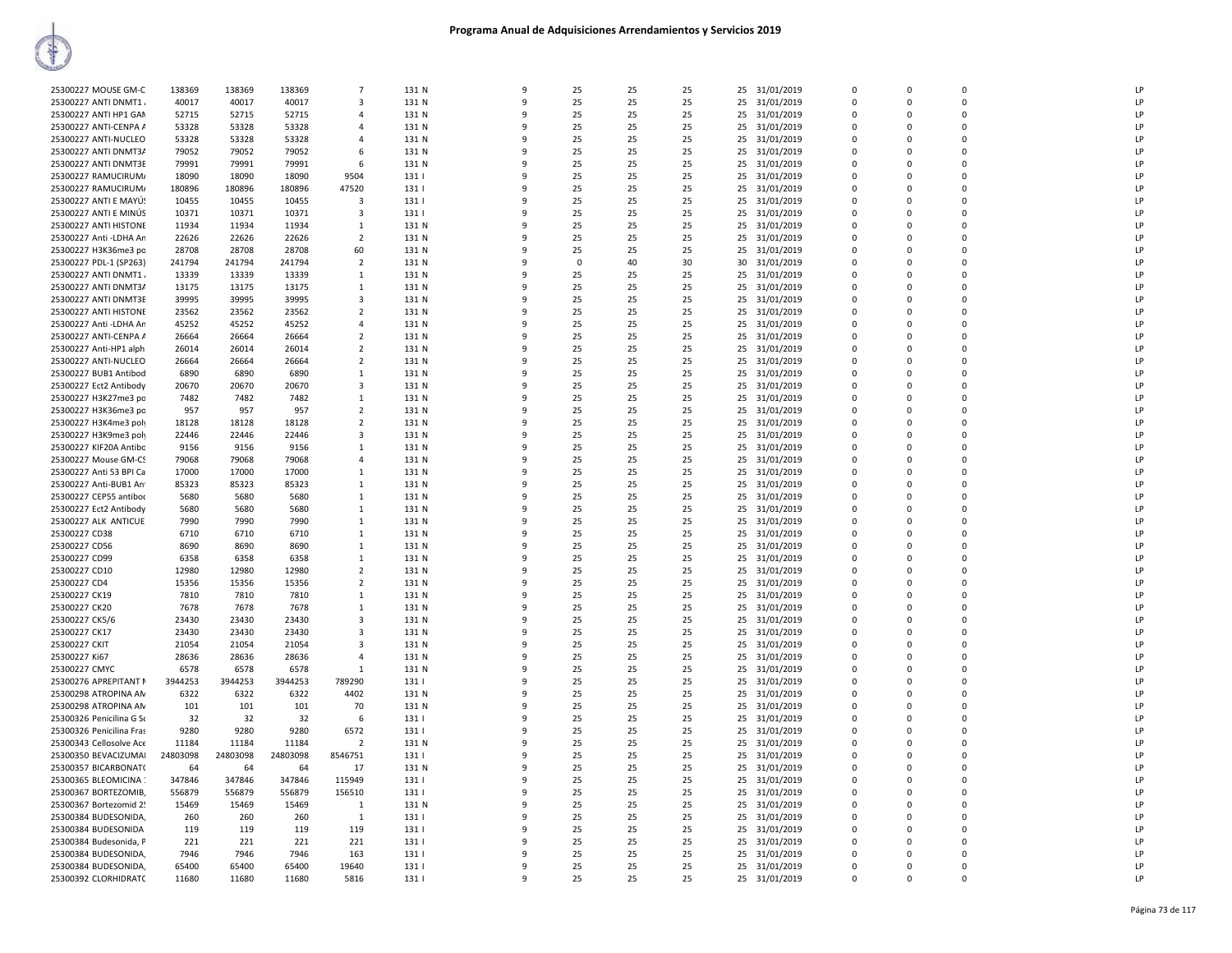|                          |          |          |          | $\overline{7}$ |       | q            |          |    |    |                  | $\Omega$    | $\Omega$    | $\Omega$    | LP        |
|--------------------------|----------|----------|----------|----------------|-------|--------------|----------|----|----|------------------|-------------|-------------|-------------|-----------|
| 25300227 MOUSE GM-C      | 138369   | 138369   | 138369   |                | 131 N |              | 25       | 25 | 25 | 31/01/2019<br>25 |             |             |             |           |
| 25300227 ANTI DNMT1      | 40017    | 40017    | 40017    | $\mathbf{3}$   | 131 N | $\mathbf{q}$ | 25       | 25 | 25 | 25<br>31/01/2019 | $\Omega$    | $\Omega$    | $\Omega$    | LP        |
| 25300227 ANTI HP1 GAM    | 52715    | 52715    | 52715    | $\mathbf{A}$   | 131 N | q            | 25       | 25 | 25 | 25<br>31/01/2019 | $\Omega$    | $\Omega$    | $\Omega$    | LP        |
| 25300227 ANTI-CENPA A    | 53328    | 53328    | 53328    | $\mathbf{A}$   | 131 N | q            | 25       | 25 | 25 | 31/01/2019<br>25 | $\Omega$    | $\Omega$    | $\Omega$    | LP        |
| 25300227 ANTI-NUCLEO     | 53328    | 53328    | 53328    |                | 131 N |              | 25       | 25 | 25 | 25               | $\mathbf 0$ | $\Omega$    | $\mathbf 0$ | LP        |
|                          |          |          |          | $\overline{a}$ |       |              |          |    |    | 31/01/2019       |             |             |             |           |
| 25300227 ANTI DNMT3/     | 79052    | 79052    | 79052    | 6              | 131 N | q            | 25       | 25 | 25 | 25<br>31/01/2019 | $\Omega$    | $\Omega$    | $\Omega$    | LP        |
| 25300227 ANTI DNMT3E     | 79991    | 79991    | 79991    | 6              | 131 N | q            | 25       | 25 | 25 | 25<br>31/01/2019 | $\mathbf 0$ | $\Omega$    | $\mathbf 0$ | LP        |
| 25300227 RAMUCIRUM/      | 18090    | 18090    | 18090    | 9504           | 131   | q            | 25       | 25 | 25 | 31/01/2019<br>25 | $\mathbf 0$ | $\Omega$    | $\mathbf 0$ | LP        |
|                          |          |          |          |                |       |              |          |    |    |                  |             |             |             |           |
| 25300227 RAMUCIRUM/      | 180896   | 180896   | 180896   | 47520          | 131   | $\mathbf{q}$ | 25       | 25 | 25 | 25<br>31/01/2019 | $\Omega$    | $\Omega$    | $\Omega$    | LP        |
| 25300227 ANTI E MAYÚ!    | 10455    | 10455    | 10455    | 3              | 131   | ۰            | 25       | 25 | 25 | 25<br>31/01/2019 | $\Omega$    | $\Omega$    | $\Omega$    | LP        |
| 25300227 ANTI E MINÚS    | 10371    | 10371    | 10371    | $\mathbf{3}$   | 1311  | q            | 25       | 25 | 25 | 25<br>31/01/2019 | $\Omega$    | $\Omega$    | $\Omega$    | LP        |
| 25300227 ANTI HISTONE    | 11934    | 11934    | 11934    | 1              | 131 N |              | 25       | 25 | 25 | 25<br>31/01/2019 | $\mathbf 0$ | $\Omega$    | $\mathbf 0$ | LP        |
|                          |          |          |          |                |       |              |          |    |    |                  |             |             |             |           |
| 25300227 Anti - LDHA An  | 22626    | 22626    | 22626    | $\overline{2}$ | 131 N | $\alpha$     | 25       | 25 | 25 | 25<br>31/01/2019 | $\Omega$    | $\Omega$    | $\Omega$    | LP        |
| 25300227 H3K36me3 po     | 28708    | 28708    | 28708    | 60             | 131 N | q            | 25       | 25 | 25 | 25<br>31/01/2019 | $\mathbf 0$ | $\Omega$    | $\mathbf 0$ | LP        |
| 25300227 PDL-1 (SP263)   | 241794   | 241794   | 241794   | 2              | 131 N | q            | $\Omega$ | 40 | 30 | 31/01/2019<br>30 | $\Omega$    | $\Omega$    | $\Omega$    | LP        |
| 25300227 ANTI DNMT1      | 13339    | 13339    | 13339    | 1              | 131 N | 9            | 25       | 25 | 25 | 25<br>31/01/2019 | $\Omega$    | $\Omega$    | $\Omega$    | LP        |
|                          |          |          |          |                |       |              |          |    |    |                  |             |             |             |           |
| 25300227 ANTI DNMT3/     | 13175    | 13175    | 13175    | 1              | 131 N |              | 25       | 25 | 25 | 25 31/01/2019    | $\Omega$    | $\Omega$    | $\Omega$    | LP        |
| 25300227 ANTI DNMT3E     | 39995    | 39995    | 39995    | $\mathbf{3}$   | 131 N |              | 25       | 25 | 25 | 25<br>31/01/2019 | $\Omega$    | $\Omega$    | $\Omega$    | LP        |
| 25300227 ANTI HISTONE    | 23562    | 23562    | 23562    | 2              | 131 N |              | 25       | 25 | 25 | 25<br>31/01/2019 | $\mathbf 0$ | O           | $\mathbf 0$ | LP        |
|                          |          |          |          |                |       |              |          |    |    |                  |             |             | $\Omega$    |           |
| 25300227 Anti - LDHA An  | 45252    | 45252    | 45252    | 4              | 131 N | q            | 25       | 25 | 25 | 25<br>31/01/2019 | $\Omega$    | $\Omega$    |             | LP        |
| 25300227 ANTI-CENPA A    | 26664    | 26664    | 26664    | $\overline{2}$ | 131 N | 9            | 25       | 25 | 25 | 25<br>31/01/2019 | $\mathbf 0$ | $\Omega$    | $\mathbf 0$ | LP        |
| 25300227 Anti-HP1 alph   | 26014    | 26014    | 26014    | $\overline{2}$ | 131 N | q            | 25       | 25 | 25 | 31/01/2019<br>25 | $\Omega$    | $\Omega$    | $\Omega$    | LP        |
| 25300227 ANTI-NUCLEO     | 26664    | 26664    | 26664    | $\overline{2}$ | 131 N | -9           | 25       | 25 | 25 | 25<br>31/01/2019 | $\Omega$    | $\Omega$    | $\Omega$    | <b>LP</b> |
|                          |          |          |          |                |       |              |          |    |    |                  |             |             |             |           |
| 25300227 BUB1 Antibod    | 6890     | 6890     | 6890     | 1              | 131 N | q            | 25       | 25 | 25 | 25<br>31/01/2019 | $\Omega$    | $\Omega$    | $\Omega$    | LP        |
| 25300227 Ect2 Antibody   | 20670    | 20670    | 20670    | $\mathbf{3}$   | 131 N | q            | 25       | 25 | 25 | 25<br>31/01/2019 | $\Omega$    | $\Omega$    | $\Omega$    | LP        |
| 25300227 H3K27me3 po     | 7482     | 7482     | 7482     | 1              | 131 N | 9            | 25       | 25 | 25 | 25<br>31/01/2019 | $\mathbf 0$ | $\Omega$    | $\mathbf 0$ | LP        |
|                          | 957      | 957      | 957      | $\overline{2}$ | 131 N | $\mathbf{q}$ | 25       | 25 | 25 | 25               | $\Omega$    | $\Omega$    | $\Omega$    | LP        |
| 25300227 H3K36me3 po     |          |          |          |                |       |              |          |    |    | 31/01/2019       |             |             |             |           |
| 25300227 H3K4me3 poly    | 18128    | 18128    | 18128    | $\overline{2}$ | 131 N | 9            | 25       | 25 | 25 | 25<br>31/01/2019 | $\mathbf 0$ | $\Omega$    | $\mathbf 0$ | LP        |
| 25300227 H3K9me3 poly    | 22446    | 22446    | 22446    | 3              | 131 N | q            | 25       | 25 | 25 | 31/01/2019<br>25 | $\mathbf 0$ | $\Omega$    | $\mathbf 0$ | LP        |
| 25300227 KIF20A Antibo   | 9156     | 9156     | 9156     | $\mathbf{1}$   | 131 N | -9           | 25       | 25 | 25 | 25<br>31/01/2019 | $\Omega$    | $\Omega$    | $\Omega$    | LP        |
|                          |          |          |          | $\mathbf{A}$   |       | ۰            | 25       |    | 25 |                  | $\Omega$    | $\Omega$    | $\Omega$    | LP        |
| 25300227 Mouse GM-CS     | 79068    | 79068    | 79068    |                | 131 N |              |          | 25 |    | 31/01/2019<br>25 |             |             |             |           |
| 25300227 Anti 53 BPI Ca  | 17000    | 17000    | 17000    | -1             | 131 N |              | 25       | 25 | 25 | 25<br>31/01/2019 | $\Omega$    | $\Omega$    | $\Omega$    | LP        |
| 25300227 Anti-BUB1 Ant   | 85323    | 85323    | 85323    | 1              | 131 N |              | 25       | 25 | 25 | 25<br>31/01/2019 | $\mathbf 0$ | $\Omega$    | $\mathbf 0$ | LP        |
| 25300227 CEP55 antibor   | 5680     | 5680     | 5680     | 1              | 131 N | $\mathbf{q}$ | 25       | 25 | 25 | 25<br>31/01/2019 | $\Omega$    | $\Omega$    | $\Omega$    | LP        |
|                          |          |          |          |                |       |              |          |    |    |                  |             |             |             |           |
| 25300227 Ect2 Antibody   | 5680     | 5680     | 5680     | 1              | 131 N | 9            | 25       | 25 | 25 | 25<br>31/01/2019 | $\mathbf 0$ | $\Omega$    | $\mathbf 0$ | LP        |
| 25300227 ALK ANTICUE     | 7990     | 7990     | 7990     | 1              | 131 N | q            | 25       | 25 | 25 | 31/01/2019<br>25 | $\mathbf 0$ | $\Omega$    | $\mathbf 0$ | LP        |
| 25300227 CD38            | 6710     | 6710     | 6710     | $\mathbf{1}$   | 131 N | 9            | 25       | 25 | 25 | 25<br>31/01/2019 | $\Omega$    | $\Omega$    | $\Omega$    | LP        |
| 25300227 CD56            | 8690     | 8690     | 8690     | -1             | 131 N | ۰            | 25       | 25 | 25 | 25<br>31/01/2019 | $\Omega$    | $\Omega$    | $\Omega$    | LP        |
|                          |          |          |          |                |       |              |          |    |    |                  |             |             |             |           |
| 25300227 CD99            | 6358     | 6358     | 6358     | $\mathbf{1}$   | 131 N |              | 25       | 25 | 25 | 25<br>31/01/2019 | $\Omega$    | $\Omega$    | $\Omega$    | LP        |
| 25300227 CD10            | 12980    | 12980    | 12980    | 2              | 131 N |              | 25       | 25 | 25 | 25<br>31/01/2019 | 0           | $\Omega$    | $\mathbf 0$ | LP        |
| 25300227 CD4             | 15356    | 15356    | 15356    | $\overline{2}$ | 131 N | 9            | 25       | 25 | 25 | 25<br>31/01/2019 | $\mathbf 0$ | $\Omega$    | $\Omega$    | LP        |
|                          | 7810     |          | 7810     | 1              | 131 N | 9            | 25       | 25 | 25 | 25               | $\mathbf 0$ | $\Omega$    | $\mathbf 0$ | LP        |
| 25300227 CK19            |          | 7810     |          |                |       |              |          |    |    | 31/01/2019       |             |             |             |           |
| 25300227 CK20            | 7678     | 7678     | 7678     | 1              | 131 N | q            | 25       | 25 | 25 | 31/01/2019<br>25 | $\mathbf 0$ | $\Omega$    | $\Omega$    | LP        |
| 25300227 CK5/6           | 23430    | 23430    | 23430    | 3              | 131 N | -9           | 25       | 25 | 25 | 25<br>31/01/2019 | $\Omega$    | $\Omega$    | $\Omega$    | LP        |
| 25300227 CK17            | 23430    | 23430    | 23430    | $\mathbf{3}$   | 131 N | ٩            | 25       | 25 | 25 | 25<br>31/01/2019 | $\Omega$    | $\Omega$    | $\Omega$    | LP        |
| 25300227 CKIT            |          | 21054    |          | $\mathbf{3}$   | 131 N |              | 25       | 25 | 25 |                  | $\Omega$    | $\Omega$    | $\Omega$    | LP        |
|                          | 21054    |          | 21054    |                |       |              |          |    |    | 25<br>31/01/2019 |             |             |             |           |
| 25300227 Ki67            | 28636    | 28636    | 28636    | 4              | 131 N |              | 25       | 25 | 25 | 25<br>31/01/2019 | 0           | $\Omega$    | $\mathbf 0$ | LP        |
| 25300227 CMYC            | 6578     | 6578     | 6578     | 1              | 131 N | 9            | 25       | 25 | 25 | 25<br>31/01/2019 | $\mathbf 0$ | $\Omega$    | $\Omega$    | LP        |
| 25300276 APREPITANT N    | 3944253  | 3944253  | 3944253  | 789290         | 131   | $\alpha$     | 25       | 25 | 25 | 25<br>31/01/2019 | $\Omega$    | $\Omega$    | $\mathbf 0$ | LP        |
|                          |          |          |          |                |       |              |          |    |    |                  |             |             |             |           |
| 25300298 ATROPINA AN     | 6322     | 6322     | 6322     | 4402           | 131 N | -9           | 25       | 25 | 25 | 31/01/2019<br>25 | $\mathbf 0$ | $\Omega$    | $\mathbf 0$ | LP        |
| 25300298 ATROPINA AN     | 101      | 101      | 101      | 70             | 131 N | 9            | 25       | 25 | 25 | 25<br>31/01/2019 | $\mathbf 0$ | $\mathbf 0$ | $\mathbf 0$ | LP        |
| 25300326 Penicilina G So | 32       | 32       | 32       | -6             | 131   | $\alpha$     | 25       | 25 | 25 | 31/01/2019<br>25 | $\Omega$    | $\Omega$    | $\Omega$    | LP        |
| 25300326 Penicilina Fras | 9280     | 9280     | 9280     | 6572           | 131   |              | 25       | 25 | 25 | 25<br>31/01/2019 | $\Omega$    | $\Omega$    | $\Omega$    | LP        |
|                          |          |          |          |                |       |              |          |    |    |                  |             |             |             |           |
| 25300343 Cellosolve Ace  | 11184    | 11184    | 11184    | 2              | 131 N |              | 25       | 25 | 25 | 25<br>31/01/2019 | 0           | $\Omega$    | $\mathbf 0$ | LP        |
| 25300350 BEVACIZUMAI     | 24803098 | 24803098 | 24803098 | 8546751        | 131   |              | 25       | 25 | 25 | 25<br>31/01/2019 | $\mathbf 0$ | $\Omega$    | $\Omega$    | LP        |
| 25300357 BICARBONAT(     | 64       | 64       | 64       | 17             | 131 N | $\alpha$     | 25       | 25 | 25 | 31/01/2019<br>25 | $\Omega$    | $\Omega$    | $\Omega$    | LP        |
| 25300365 BLEOMICINA :    | 347846   | 347846   | 347846   | 115949         | 131   | $\mathbf{q}$ | 25       | 25 | 25 | 25 31/01/2019    | $\mathbf 0$ | $\Omega$    | $\mathbf 0$ | LP        |
|                          |          |          |          |                |       |              |          |    |    |                  |             |             |             |           |
| 25300367 BORTEZOMIB,     | 556879   | 556879   | 556879   | 156510         | 131   | 9            | 25       | 25 | 25 | 25<br>31/01/2019 | $\mathbf 0$ | $\mathbf 0$ | $\mathbf 0$ | LP        |
| 25300367 Bortezomid 2!   | 15469    | 15469    | 15469    | -1             | 131 N | q            | 25       | 25 | 25 | 25<br>31/01/2019 | $\Omega$    | $\Omega$    | $\Omega$    | LP        |
| 25300384 BUDESONIDA,     | 260      | 260      | 260      | $\mathbf{1}$   | 131   | 9            | 25       | 25 | 25 | 25<br>31/01/2019 | $\Omega$    | $\Omega$    | $\Omega$    | LP        |
| 25300384 BUDESONIDA      | 119      | 119      | 119      | 119            | 131   | q            | 25       | 25 | 25 | 25<br>31/01/2019 | $\Omega$    | $\Omega$    | $\mathbf 0$ | LP        |
|                          |          |          |          |                |       |              |          |    |    |                  |             |             |             |           |
| 25300384 Budesonida, P   | 221      | 221      | 221      | 221            | 131   | 9            | 25       | 25 | 25 | 25<br>31/01/2019 | $\Omega$    |             | $\Omega$    | LP        |
| 25300384 BUDESONIDA,     | 7946     | 7946     | 7946     | 163            | 131   | q            | 25       | 25 | 25 | 31/01/2019<br>25 | $\Omega$    | $\Omega$    | $\Omega$    | LP        |
| 25300384 BUDESONIDA,     | 65400    | 65400    | 65400    | 19640          | 131   | q            | 25       | 25 | 25 | 25 31/01/2019    | $\mathbf 0$ | $\Omega$    | $\Omega$    | LP        |
| 25300392 CLORHIDRATC     | 11680    | 11680    | 11680    | 5816           | 131   | -9           | 25       | 25 | 25 | 25<br>31/01/2019 | $\Omega$    | $\Omega$    | $\Omega$    | LP        |
|                          |          |          |          |                |       |              |          |    |    |                  |             |             |             |           |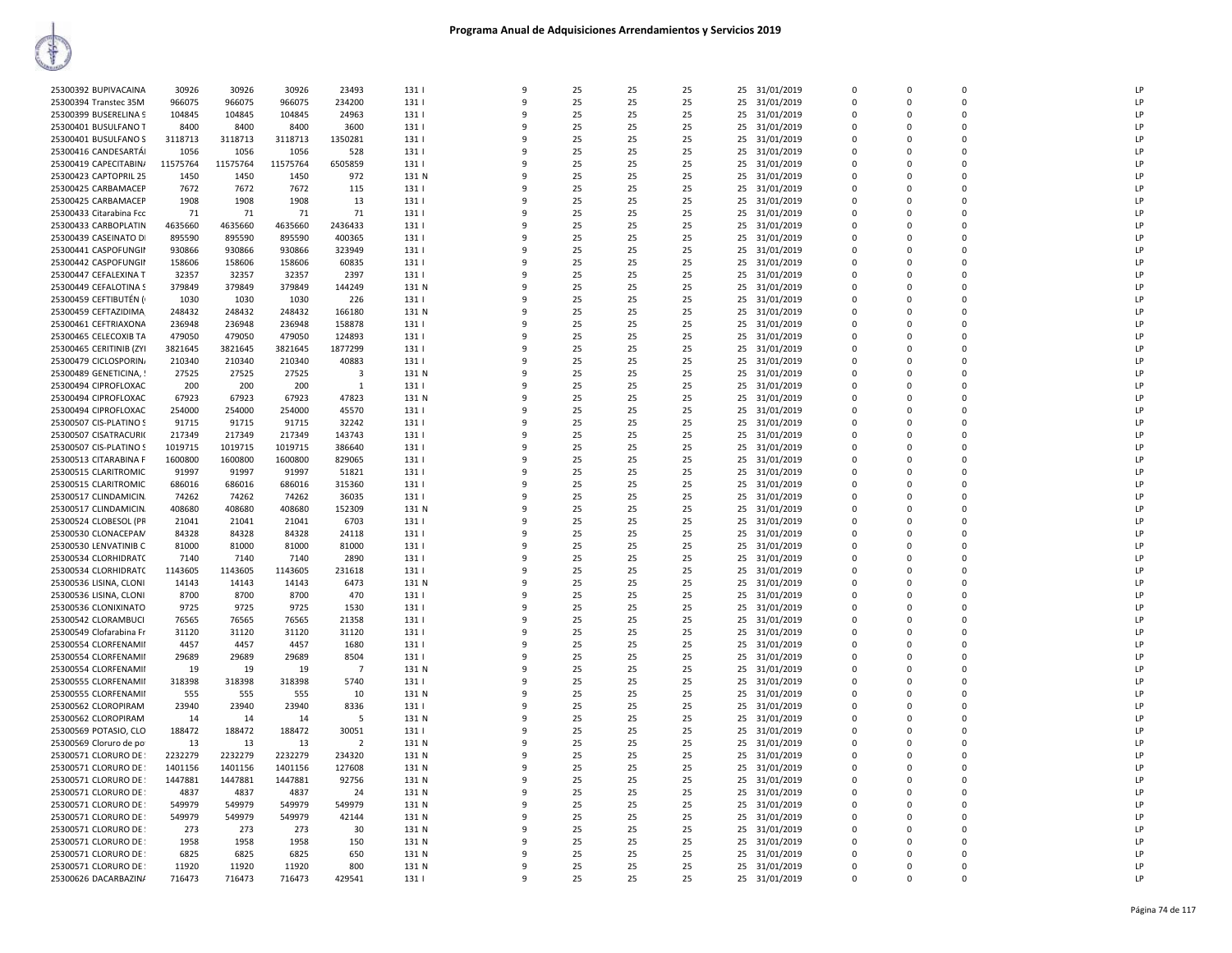| 25300392 BUPIVACAINA    | 30926    | 30926    | 30926    | 23493          | 131   | 9            | 25 | 25 | 25 | 25 | 31/01/2019    | $\Omega$ | $\Omega$    | $\Omega$       | LP |
|-------------------------|----------|----------|----------|----------------|-------|--------------|----|----|----|----|---------------|----------|-------------|----------------|----|
| 25300394 Transtec 35M   | 966075   | 966075   | 966075   | 234200         | 131   | $\mathbf{q}$ | 25 | 25 | 25 |    |               | $\Omega$ | $\Omega$    | $\Omega$       | LP |
|                         |          |          |          |                |       |              |    |    |    | 25 | 31/01/2019    |          |             |                |    |
| 25300399 BUSERELINA 9   | 104845   | 104845   | 104845   | 24963          | 131   | 9            | 25 | 25 | 25 | 25 | 31/01/2019    | $\Omega$ | 0           | $\Omega$       | LP |
| 25300401 BUSULFANO T    | 8400     | 8400     | 8400     | 3600           | 1311  | q            | 25 | 25 | 25 | 25 | 31/01/2019    | $\Omega$ | $\Omega$    | $\Omega$       | LP |
| 25300401 BUSULFANO S    | 3118713  | 3118713  | 3118713  | 1350281        | 131   | ٩            | 25 | 25 | 25 | 25 | 31/01/2019    | 0        | 0           | $\overline{0}$ | LP |
| 25300416 CANDESARTÁI    | 1056     | 1056     | 1056     | 528            | 131   | q            | 25 | 25 | 25 |    | 25 31/01/2019 | $\Omega$ | $\Omega$    | $\Omega$       | LP |
| 25300419 CAPECITABIN/   | 11575764 | 11575764 | 11575764 | 6505859        | 131   | q            | 25 | 25 | 25 |    | 25 31/01/2019 | 0        | 0           | $\mathbf 0$    | LP |
| 25300423 CAPTOPRIL 25   | 1450     | 1450     | 1450     | 972            | 131 N | 9            | 25 | 25 | 25 | 25 | 31/01/2019    | 0        | 0           | $\mathbf 0$    | LP |
| 25300425 CARBAMACEP     | 7672     | 7672     | 7672     | 115            | 131   | q            | 25 | 25 | 25 | 25 | 31/01/2019    | $\Omega$ | $\Omega$    | $\Omega$       | LP |
|                         |          |          |          |                |       | q            | 25 |    |    |    |               | $\Omega$ | $\Omega$    | $\Omega$       | LP |
| 25300425 CARBAMACEP     | 1908     | 1908     | 1908     | 13             | 131   |              |    | 25 | 25 | 25 | 31/01/2019    |          |             |                |    |
| 25300433 Citarabina Fcc | 71       | 71       | 71       | 71             | 131   | q            | 25 | 25 | 25 | 25 | 31/01/2019    | $\Omega$ | $\Omega$    | $\Omega$       | LP |
| 25300433 CARBOPLATIN    | 4635660  | 4635660  | 4635660  | 2436433        | 131   | ٩            | 25 | 25 | 25 | 25 | 31/01/2019    | 0        | 0           | $\mathbf 0$    | LP |
| 25300439 CASEINATO DI   | 895590   | 895590   | 895590   | 400365         | 131   | q            | 25 | 25 | 25 | 25 | 31/01/2019    | $\Omega$ | $\Omega$    | $\Omega$       | LP |
| 25300441 CASPOFUNGII    | 930866   | 930866   | 930866   | 323949         | 131   | q            | 25 | 25 | 25 | 25 | 31/01/2019    | 0        | 0           | $\mathbf 0$    | LP |
| 25300442 CASPOFUNGII    | 158606   | 158606   | 158606   | 60835          | 131   | q            | 25 | 25 | 25 | 25 | 31/01/2019    | $\Omega$ | $\Omega$    | $\Omega$       | LP |
| 25300447 CEFALEXINA T   | 32357    | 32357    | 32357    | 2397           | 131   | 9            | 25 | 25 | 25 | 25 | 31/01/2019    | $\Omega$ | $\Omega$    | $\Omega$       | LP |
| 25300449 CEFALOTINA S   | 379849   | 379849   | 379849   | 144249         | 131 N | q            | 25 | 25 | 25 | 25 | 31/01/2019    | $\Omega$ | $\Omega$    | $\Omega$       | LP |
| 25300459 CEFTIBUTÉN (   | 1030     | 1030     | 1030     | 226            | 1311  | q            | 25 | 25 | 25 | 25 |               | $\Omega$ | $\Omega$    | $\Omega$       | LP |
|                         |          |          |          |                |       |              |    |    |    |    | 31/01/2019    |          |             |                |    |
| 25300459 CEFTAZIDIMA    | 248432   | 248432   | 248432   | 166180         | 131 N | ٩            | 25 | 25 | 25 | 25 | 31/01/2019    | 0        | 0           | $\mathbf 0$    | LP |
| 25300461 CEFTRIAXONA    | 236948   | 236948   | 236948   | 158878         | 131   | q            | 25 | 25 | 25 | 25 | 31/01/2019    | $\Omega$ | $\Omega$    | $\Omega$       | LP |
| 25300465 CELECOXIB TA   | 479050   | 479050   | 479050   | 124893         | 131   | 9            | 25 | 25 | 25 | 25 | 31/01/2019    | 0        | 0           | $\mathbf 0$    | LP |
| 25300465 CERITINIB (ZYI | 3821645  | 3821645  | 3821645  | 1877299        | 131   | q            | 25 | 25 | 25 | 25 | 31/01/2019    | $\Omega$ | $\Omega$    | $\Omega$       | LP |
| 25300479 CICLOSPORIN    | 210340   | 210340   | 210340   | 40883          | 131   | 9            | 25 | 25 | 25 | 25 | 31/01/2019    | $\Omega$ | $\Omega$    | $\Omega$       | LP |
| 25300489 GENETICINA, !  | 27525    | 27525    | 27525    | 3              | 131 N | q            | 25 | 25 | 25 | 25 | 31/01/2019    | $\Omega$ | 0           | $\Omega$       | LP |
| 25300494 CIPROFLOXAC    | 200      | 200      | 200      | -1             | 131   | q            | 25 | 25 | 25 | 25 | 31/01/2019    | $\Omega$ | $\Omega$    | $\Omega$       | LP |
| 25300494 CIPROFLOXAC    | 67923    | 67923    | 67923    | 47823          | 131 N | ٩            | 25 | 25 | 25 | 25 | 31/01/2019    | 0        | 0           | $\mathbf 0$    | LP |
| 25300494 CIPROFLOXAC    | 254000   | 254000   | 254000   | 45570          | 131   | q            | 25 | 25 | 25 | 25 | 31/01/2019    | $\Omega$ | $\Omega$    | $\Omega$       | LP |
|                         |          |          |          |                |       |              |    |    |    |    |               |          |             |                |    |
| 25300507 CIS-PLATINO S  | 91715    | 91715    | 91715    | 32242          | 131   | 9            | 25 | 25 | 25 | 25 | 31/01/2019    | 0        | 0           | $\mathbf 0$    | LP |
| 25300507 CISATRACURI(   | 217349   | 217349   | 217349   | 143743         | 131   | q            | 25 | 25 | 25 | 25 | 31/01/2019    | 0        | 0           | $\mathbf 0$    | LP |
| 25300507 CIS-PLATINO S  | 1019715  | 1019715  | 1019715  | 386640         | 131   | 9            | 25 | 25 | 25 | 25 | 31/01/2019    | $\Omega$ | $\Omega$    | $\Omega$       | LP |
| 25300513 CITARABINA F   | 1600800  | 1600800  | 1600800  | 829065         | 131   | q            | 25 | 25 | 25 | 25 | 31/01/2019    | $\Omega$ | $\Omega$    | $\Omega$       | LP |
| 25300515 CLARITROMIC    | 91997    | 91997    | 91997    | 51821          | 131   | q            | 25 | 25 | 25 | 25 | 31/01/2019    | $\Omega$ | $\Omega$    | $\Omega$       | LP |
| 25300515 CLARITROMIC    | 686016   | 686016   | 686016   | 315360         | 131   | ٩            | 25 | 25 | 25 | 25 | 31/01/2019    | 0        | 0           | 0              | LP |
| 25300517 CLINDAMICIN.   | 74262    | 74262    | 74262    | 36035          | 131   | q            | 25 | 25 | 25 | 25 | 31/01/2019    | $\Omega$ | $\Omega$    | $\Omega$       | LP |
| 25300517 CLINDAMICIN.   | 408680   | 408680   | 408680   | 152309         | 131 N | 9            | 25 | 25 | 25 | 25 | 31/01/2019    | 0        | 0           | $\mathbf 0$    | LP |
| 25300524 CLOBESOL (PR   | 21041    | 21041    | 21041    | 6703           | 131   | q            | 25 | 25 | 25 | 25 | 31/01/2019    | 0        | $\Omega$    | $\overline{0}$ | LP |
| 25300530 CLONACEPAN     | 84328    | 84328    | 84328    | 24118          | 131   | 9            | 25 | 25 | 25 | 25 | 31/01/2019    | $\Omega$ | $\Omega$    | $\Omega$       | LP |
| 25300530 LENVATINIB C   | 81000    | 81000    | 81000    | 81000          | 131   | q            | 25 | 25 | 25 | 25 | 31/01/2019    | $\Omega$ | $\Omega$    | $\Omega$       | LP |
| 25300534 CLORHIDRATC    | 7140     | 7140     |          |                |       | q            | 25 | 25 |    |    |               | $\Omega$ | $\Omega$    | $\Omega$       | LP |
|                         |          |          | 7140     | 2890           | 131   |              |    |    | 25 | 25 | 31/01/2019    |          |             |                |    |
| 25300534 CLORHIDRATC    | 1143605  | 1143605  | 1143605  | 231618         | 131   | ٩            | 25 | 25 | 25 | 25 | 31/01/2019    | 0        | 0           | $\overline{0}$ | LP |
| 25300536 LISINA, CLONI  | 14143    | 14143    | 14143    | 6473           | 131 N | 9            | 25 | 25 | 25 | 25 | 31/01/2019    | $\Omega$ | $\Omega$    | $\Omega$       | LP |
| 25300536 LISINA, CLONI  | 8700     | 8700     | 8700     | 470            | 131   | 9            | 25 | 25 | 25 | 25 | 31/01/2019    | $\Omega$ | 0           | $\mathbf 0$    | LP |
| 25300536 CLONIXINATO    | 9725     | 9725     | 9725     | 1530           | 131   | q            | 25 | 25 | 25 | 25 | 31/01/2019    | 0        | $\mathbf 0$ | $\overline{0}$ | LP |
| 25300542 CLORAMBUCI     | 76565    | 76565    | 76565    | 21358          | 131   | 9            | 25 | 25 | 25 | 25 | 31/01/2019    | $\Omega$ | $\Omega$    | $\Omega$       | LP |
| 25300549 Clofarabina Fr | 31120    | 31120    | 31120    | 31120          | 131   | q            | 25 | 25 | 25 | 25 | 31/01/2019    | $\Omega$ | $\Omega$    | $\Omega$       | LP |
| 25300554 CLORFENAMII    | 4457     | 4457     | 4457     | 1680           | 131   | q            | 25 | 25 | 25 | 25 | 31/01/2019    | $\Omega$ | $\Omega$    | $\Omega$       | LP |
| 25300554 CLORFENAMII    | 29689    | 29689    | 29689    | 8504           | 131   | ٩            | 25 | 25 | 25 | 25 | 31/01/2019    | 0        | 0           | 0              | LP |
| 25300554 CLORFENAMII    | 19       | 19       | 19       | $\overline{7}$ | 131 N | 9            | 25 | 25 | 25 | 25 | 31/01/2019    | $\Omega$ | $\Omega$    | $\Omega$       | LP |
| 25300555 CLORFENAMII    | 318398   | 318398   | 318398   | 5740           | 131   | q            | 25 | 25 | 25 | 25 | 31/01/2019    | $\Omega$ | 0           | $\Omega$       | LP |
|                         |          |          |          |                |       | 9            | 25 |    |    |    |               |          | $\Omega$    | $\mathbf 0$    |    |
| 25300555 CLORFENAMII    | 555      | 555      | 555      | 10             | 131 N |              |    | 25 | 25 | 25 | 31/01/2019    | $\Omega$ |             |                | LP |
| 25300562 CLOROPIRAM     | 23940    | 23940    | 23940    | 8336           | 131   | 9            | 25 | 25 | 25 | 25 | 31/01/2019    | 0        | 0           | $\overline{0}$ | LP |
| 25300562 CLOROPIRAM     | 14       | 14       | 14       | -5             | 131 N | q            | 25 | 25 | 25 | 25 | 31/01/2019    | $\Omega$ | $\Omega$    | $\Omega$       | LP |
| 25300569 POTASIO, CLO   | 188472   | 188472   | 188472   | 30051          | 131   | q            | 25 | 25 | 25 | 25 | 31/01/2019    | $\Omega$ | $\Omega$    | $\Omega$       | LP |
| 25300569 Cloruro de po  | 13       | 13       | 13       | $\overline{2}$ | 131 N | ٩            | 25 | 25 | 25 | 25 | 31/01/2019    | $\Omega$ | $\Omega$    | $\mathbf 0$    | LP |
| 25300571 CLORURO DE     | 2232279  | 2232279  | 2232279  | 234320         | 131 N | 9            | 25 | 25 | 25 | 25 | 31/01/2019    | $\Omega$ | $\Omega$    | $\Omega$       | LP |
| 25300571 CLORURO DE     | 1401156  | 1401156  | 1401156  | 127608         | 131 N | q            | 25 | 25 | 25 | 25 | 31/01/2019    | $\Omega$ | 0           | $\Omega$       | LP |
| 25300571 CLORURO DE     | 1447881  | 1447881  | 1447881  | 92756          | 131 N | q            | 25 | 25 | 25 |    | 25 31/01/2019 | 0        | 0           | $\mathbf 0$    | LP |
| 25300571 CLORURO DE     | 4837     | 4837     | 4837     | 24             | 131 N | 9            | 25 | 25 | 25 | 25 | 31/01/2019    | 0        | 0           | $\overline{0}$ | LP |
| 25300571 CLORURO DE     | 549979   | 549979   | 549979   | 549979         | 131 N | q            | 25 | 25 | 25 | 25 | 31/01/2019    | $\Omega$ | $\Omega$    | $\Omega$       | LP |
|                         |          |          |          |                |       | q            | 25 |    |    |    |               | $\Omega$ | $\Omega$    | $\Omega$       | LP |
| 25300571 CLORURO DE     | 549979   | 549979   | 549979   | 42144          | 131 N |              |    | 25 | 25 | 25 | 31/01/2019    |          |             |                |    |
| 25300571 CLORURO DE     | 273      | 273      | 273      | 30             | 131 N | ٩            | 25 | 25 | 25 | 25 | 31/01/2019    | $\Omega$ | $\Omega$    | $\Omega$       | LP |
| 25300571 CLORURO DE     | 1958     | 1958     | 1958     | 150            | 131 N | 9            | 25 | 25 | 25 | 25 | 31/01/2019    | $\Omega$ | $\Omega$    | $\Omega$       | LP |
| 25300571 CLORURO DE     | 6825     | 6825     | 6825     | 650            | 131 N | q            | 25 | 25 | 25 | 25 | 31/01/2019    | $\Omega$ | $\Omega$    | $\Omega$       | LP |
| 25300571 CLORURO DE     | 11920    | 11920    | 11920    | 800            | 131 N | q            | 25 | 25 | 25 |    | 25 31/01/2019 | O        | 0           | $\Omega$       | LP |
| 25300626 DACARBAZIN/    | 716473   | 716473   | 716473   | 429541         | 131   | 9            | 25 | 25 | 25 |    | 25 31/01/2019 | $\Omega$ | $\Omega$    | $\Omega$       | LP |
|                         |          |          |          |                |       |              |    |    |    |    |               |          |             |                |    |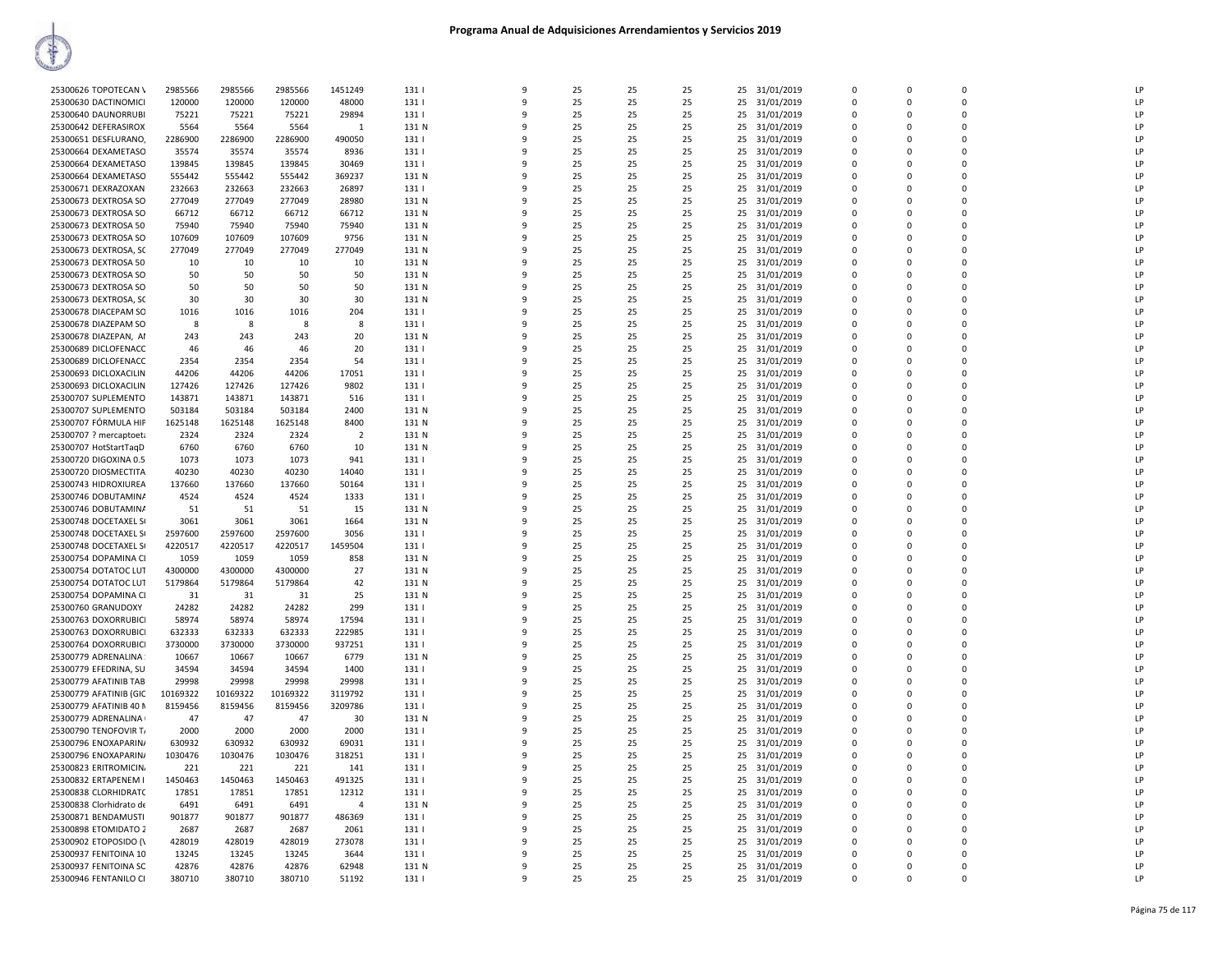| 25300626 TOPOTECAN \    | 2985566  | 2985566  | 2985566  | 1451249        | 131              | $\mathbf{q}$ | 25 | 25 | 25 | 31/01/2019<br>25 | $\Omega$    | $\Omega$    | $\Omega$       | LP |
|-------------------------|----------|----------|----------|----------------|------------------|--------------|----|----|----|------------------|-------------|-------------|----------------|----|
| 25300630 DACTINOMICI    | 120000   | 120000   | 120000   | 48000          | 131              | 9            | 25 | 25 | 25 | 25<br>31/01/2019 | $\Omega$    | $\mathbf 0$ | $\Omega$       | LP |
|                         |          |          |          |                |                  |              |    |    |    |                  |             |             | $\Omega$       | LP |
| 25300640 DAUNORRUBI     | 75221    | 75221    | 75221    | 29894          | 131              | ٩            | 25 | 25 | 25 | 31/01/2019<br>25 | $\Omega$    | 0           |                |    |
| 25300642 DEFERASIROX    | 5564     | 5564     | 5564     | 1              | 131 N            | q            | 25 | 25 | 25 | 25<br>31/01/2019 | $\Omega$    | $\Omega$    | $\Omega$       | LP |
| 25300651 DESFLURANO     | 2286900  | 2286900  | 2286900  | 490050         | 131              | q            | 25 | 25 | 25 | 31/01/2019<br>25 | 0           | 0           | $\overline{0}$ | LP |
| 25300664 DEXAMETASO     | 35574    | 35574    | 35574    | 8936           | 131              |              | 25 | 25 | 25 | 25<br>31/01/2019 | $\mathbf 0$ | 0           | $\mathbf 0$    | LP |
| 25300664 DEXAMETASO     | 139845   | 139845   | 139845   | 30469          | 131              | ۰Q           | 25 | 25 | 25 | 25<br>31/01/2019 | $\Omega$    | $\Omega$    | $\Omega$       | LP |
| 25300664 DEXAMETASO     | 555442   | 555442   | 555442   | 369237         | 131 N            | q            | 25 | 25 | 25 | 31/01/2019<br>25 | $\Omega$    | $\Omega$    | $\Omega$       | LP |
| 25300671 DEXRAZOXAN     | 232663   | 232663   | 232663   | 26897          | 131              | 9            | 25 | 25 | 25 | 25<br>31/01/2019 | $\Omega$    | $\Omega$    | $\Omega$       | LP |
| 25300673 DEXTROSA SO    | 277049   | 277049   | 277049   | 28980          | 131 N            | ۰Q           | 25 | 25 | 25 | 25<br>31/01/2019 | $\Omega$    | $\Omega$    | $\Omega$       | LP |
| 25300673 DEXTROSA SO    | 66712    | 66712    | 66712    | 66712          | 131 N            | q            | 25 | 25 | 25 | 25<br>31/01/2019 | $\Omega$    | $\Omega$    | $\Omega$       | LP |
| 25300673 DEXTROSA 50    | 75940    | 75940    | 75940    | 75940          | 131 N            | q            | 25 | 25 | 25 | 25<br>31/01/2019 | 0           | 0           | $\mathbf 0$    | LP |
|                         |          |          |          |                |                  |              |    |    |    |                  | $\mathbf 0$ | $\Omega$    | $\mathbf 0$    | LP |
| 25300673 DEXTROSA SO    | 107609   | 107609   | 107609   | 9756           | 131 N            |              | 25 | 25 | 25 | 25<br>31/01/2019 |             |             |                |    |
| 25300673 DEXTROSA, SC   | 277049   | 277049   | 277049   | 277049         | 131 N            | ۹            | 25 | 25 | 25 | 25<br>31/01/2019 | $\Omega$    | $\Omega$    | $\Omega$       | LP |
| 25300673 DEXTROSA 50    | 10       | 10       | 10       | 10             | 131 N            | q            | 25 | 25 | 25 | 31/01/2019<br>25 | $\Omega$    | $\Omega$    | $\Omega$       | LP |
| 25300673 DEXTROSA SO    | 50       | 50       | 50       | 50             | 131 N            | 9            | 25 | 25 | 25 | 25<br>31/01/2019 | 0           | 0           | $\mathbf 0$    | LP |
| 25300673 DEXTROSA SO    | 50       | 50       | 50       | 50             | 131 N            | q            | 25 | 25 | 25 | 25<br>31/01/2019 | $\Omega$    | $\Omega$    | $\Omega$       | LP |
| 25300673 DEXTROSA, SC   | 30       | 30       | 30       | 30             | 131 N            | q            | 25 | 25 | 25 | 25<br>31/01/2019 | $\Omega$    | $\Omega$    | $\Omega$       | LP |
| 25300678 DIACEPAM SO    | 1016     | 1016     | 1016     | 204            | 131              | q            | 25 | 25 | 25 | 25<br>31/01/2019 | 0           | 0           | 0              | LP |
| 25300678 DIAZEPAM SO    | 8        | 8        | 8        | 8              | 131              |              | 25 | 25 | 25 | 25<br>31/01/2019 | $\Omega$    | $\Omega$    | $\Omega$       | LP |
| 25300678 DIAZEPAN, AI   | 243      | 243      | 243      | 20             | 131 N            | ۰Q           | 25 | 25 | 25 | 31/01/2019<br>25 | 0           | $\Omega$    | $\Omega$       | LP |
| 25300689 DICLOFENACC    | 46       | 46       | 46       | 20             | 131              | q            | 25 | 25 | 25 | 25<br>31/01/2019 | $\Omega$    | $\Omega$    | $\Omega$       | LP |
|                         |          |          |          |                |                  | 9            |    |    |    |                  | 0           | 0           | $\mathbf 0$    | LP |
| 25300689 DICLOFENACC    | 2354     | 2354     | 2354     | 54             | 131              |              | 25 | 25 | 25 | 25<br>31/01/2019 |             |             |                |    |
| 25300693 DICLOXACILIN   | 44206    | 44206    | 44206    | 17051          | 1311             | q            | 25 | 25 | 25 | 25<br>31/01/2019 | $\Omega$    | $\Omega$    | $\Omega$       | LP |
| 25300693 DICLOXACILIN   | 127426   | 127426   | 127426   | 9802           | 131              | q            | 25 | 25 | 25 | 25<br>31/01/2019 | $\Omega$    | $\Omega$    | $\Omega$       | LP |
| 25300707 SUPLEMENTO     | 143871   | 143871   | 143871   | 516            | 131              | ٩            | 25 | 25 | 25 | 25<br>31/01/2019 | 0           | 0           | $\overline{0}$ | LP |
| 25300707 SUPLEMENTO     | 503184   | 503184   | 503184   | 2400           | 131 N            |              | 25 | 25 | 25 | 25<br>31/01/2019 | $\mathbf 0$ | $\Omega$    | $\mathbf 0$    | LP |
| 25300707 FÓRMULA HIP    | 1625148  | 1625148  | 1625148  | 8400           | 131 N            | ۰Q           | 25 | 25 | 25 | 25<br>31/01/2019 | 0           | $\Omega$    | $\Omega$       | LP |
| 25300707 ? mercaptoeta  | 2324     | 2324     | 2324     | $\overline{2}$ | 131 N            | q            | 25 | 25 | 25 | 31/01/2019<br>25 | $\Omega$    | $\Omega$    | $\Omega$       | LP |
| 25300707 HotStartTaqD   | 6760     | 6760     | 6760     | 10             | 131 N            | 9            | 25 | 25 | 25 | 25<br>31/01/2019 | 0           | 0           | $\mathbf 0$    | LP |
| 25300720 DIGOXINA 0.5   | 1073     | 1073     | 1073     | 941            | 131              | q            | 25 | 25 | 25 | 25<br>31/01/2019 | $\Omega$    | $\Omega$    | $\Omega$       | LP |
| 25300720 DIOSMECTITA    | 40230    | 40230    | 40230    | 14040          | 131              |              | 25 | 25 | 25 | 25<br>31/01/2019 | 0           | 0           | $\Omega$       | LP |
|                         |          |          |          |                |                  |              |    |    |    |                  |             |             |                | LP |
| 25300743 HIDROXIUREA    | 137660   | 137660   | 137660   | 50164          | 131              | q            | 25 | 25 | 25 | 25<br>31/01/2019 | 0           | O           | $\mathbf 0$    |    |
| 25300746 DOBUTAMINA     | 4524     | 4524     | 4524     | 1333           | 131              |              | 25 | 25 | 25 | 25<br>31/01/2019 | $\Omega$    | $\Omega$    | $\Omega$       | LP |
| 25300746 DOBUTAMINA     | 51       | 51       | 51       | 15             | 131 N            | $\Omega$     | 25 | 25 | 25 | 25<br>31/01/2019 | 0           | $\Omega$    | $\Omega$       | LP |
| 25300748 DOCETAXEL SI   | 3061     | 3061     | 3061     | 1664           | 131 N            |              | 25 | 25 | 25 | 25<br>31/01/2019 | $\Omega$    | $\Omega$    | $\Omega$       | LP |
| 25300748 DOCETAXEL SI   | 2597600  | 2597600  | 2597600  | 3056           | 131              | ٩            | 25 | 25 | 25 | 25<br>31/01/2019 | 0           | 0           | $\mathbf 0$    | LP |
| 25300748 DOCETAXEL SI   | 4220517  | 4220517  | 4220517  | 1459504        | 131 <sub>1</sub> | q            | 25 | 25 | 25 | 25<br>31/01/2019 | $\Omega$    | $\Omega$    | $\Omega$       | LP |
| 25300754 DOPAMINA CI    | 1059     | 1059     | 1059     | 858            | 131 N            |              | 25 | 25 | 25 | 25<br>31/01/2019 | $\Omega$    | $\Omega$    | $\Omega$       | LP |
| 25300754 DOTATOC LUT    | 4300000  | 4300000  | 4300000  | 27             | 131 N            | q            | 25 | 25 | 25 | 25<br>31/01/2019 | $\Omega$    | $\Omega$    | $\Omega$       | LP |
| 25300754 DOTATOC LUT    | 5179864  | 5179864  | 5179864  | 42             | 131 N            |              | 25 | 25 | 25 | 25<br>31/01/2019 | 0           | 0           | $\overline{0}$ | LP |
| 25300754 DOPAMINA CI    | 31       | 31       | 31       | 25             | 131 N            | $\Omega$     | 25 | 25 | 25 | 31/01/2019<br>25 | 0           | $\Omega$    | $\Omega$       | LP |
| 25300760 GRANUDOXY      | 24282    | 24282    | 24282    | 299            | 131              |              | 25 | 25 | 25 | 25<br>31/01/2019 | $\Omega$    | $\Omega$    | $\Omega$       | LP |
|                         | 58974    | 58974    | 58974    |                |                  | q            |    | 25 |    |                  | 0           | $\Omega$    | $\mathbf 0$    | LP |
| 25300763 DOXORRUBICI    |          |          |          | 17594          | 131              | q            | 25 |    | 25 | 25<br>31/01/2019 |             |             | $\Omega$       | LP |
| 25300763 DOXORRUBICI    | 632333   | 632333   | 632333   | 222985         | 131              |              | 25 | 25 | 25 | 25<br>31/01/2019 | $\Omega$    | $\Omega$    |                |    |
| 25300764 DOXORRUBICI    | 3730000  | 3730000  | 3730000  | 937251         | 131              |              | 25 | 25 | 25 | 25<br>31/01/2019 | 0           | O           | $\Omega$       | LP |
| 25300779 ADRENALINA     | 10667    | 10667    | 10667    | 6779           | 131 N            | q            | 25 | 25 | 25 | 31/01/2019<br>25 | $\Omega$    | $\Omega$    | $\Omega$       | LP |
| 25300779 EFEDRINA, SU   | 34594    | 34594    | 34594    | 1400           | 131              |              | 25 | 25 | 25 | 25<br>31/01/2019 | 0           | 0           | $\mathbf 0$    | LP |
| 25300779 AFATINIB TAB   | 29998    | 29998    | 29998    | 29998          | 131              | q            | 25 | 25 | 25 | 25<br>31/01/2019 | $\Omega$    | $\Omega$    | $\Omega$       | LP |
| 25300779 AFATINIB (GIC  | 10169322 | 10169322 | 10169322 | 3119792        | 131              |              | 25 | 25 | 25 | 25<br>31/01/2019 | 0           | 0           | $\mathbf 0$    | LP |
| 25300779 AFATINIB 40 N  | 8159456  | 8159456  | 8159456  | 3209786        | 131              | q            | 25 | 25 | 25 | 25<br>31/01/2019 | 0           | $\Omega$    | 0              | LP |
| 25300779 ADRENALINA     | 47       | 47       | 47       | 30             | 131 N            | q            | 25 | 25 | 25 | 25<br>31/01/2019 | $\Omega$    | $\Omega$    | $\Omega$       | LP |
| 25300790 TENOFOVIR T/   | 2000     | 2000     | 2000     | 2000           | 131              |              | 25 | 25 | 25 | 25<br>31/01/2019 | $\Omega$    | $\Omega$    | $\Omega$       | LP |
| 25300796 ENOXAPARIN/    | 630932   | 630932   | 630932   | 69031          | 131              | 9            | 25 | 25 | 25 | 31/01/2019<br>25 | $\Omega$    | $\Omega$    | $\Omega$       | LP |
| 25300796 ENOXAPARIN/    | 1030476  | 1030476  | 1030476  | 318251         | 131              |              | 25 | 25 | 25 | 25<br>31/01/2019 | 0           | 0           | $\overline{0}$ | LP |
|                         |          |          |          |                |                  | $\Omega$     |    |    |    |                  |             |             | $\Omega$       |    |
| 25300823 ERITROMICIN.   | 221      | 221      | 221      | 141            | 131              |              | 25 | 25 | 25 | 25<br>31/01/2019 | $\Omega$    | $\Omega$    |                | LP |
| 25300832 ERTAPENEM I    | 1450463  | 1450463  | 1450463  | 491325         | 131              | q            | 25 | 25 | 25 | 31/01/2019<br>25 | $\Omega$    | $\Omega$    | $\Omega$       | LP |
| 25300838 CLORHIDRATC    | 17851    | 17851    | 17851    | 12312          | 131              | q            | 25 | 25 | 25 | 31/01/2019<br>25 | 0           | $\Omega$    | $\Omega$       | LP |
| 25300838 Clorhidrato de | 6491     | 6491     | 6491     | $\overline{a}$ | 131 N            | q            | 25 | 25 | 25 | 25<br>31/01/2019 | $\Omega$    | $\Omega$    | $\Omega$       | LP |
| 25300871 BENDAMUSTI     | 901877   | 901877   | 901877   | 486369         | 131              | ۹            | 25 | 25 | 25 | 25<br>31/01/2019 | $\Omega$    | $\Omega$    | $\Omega$       | LP |
| 25300898 ETOMIDATO 2    | 2687     | 2687     | 2687     | 2061           | 131              | $\mathbf{q}$ | 25 | 25 | 25 | 31/01/2019<br>25 | $\Omega$    | $\Omega$    | $\Omega$       | LP |
| 25300902 ETOPOSIDO (\   | 428019   | 428019   | 428019   | 273078         | 131              | 9            | 25 | 25 | 25 | 25<br>31/01/2019 | 0           | 0           | 0              | LP |
| 25300937 FENITOINA 10   | 13245    | 13245    | 13245    | 3644           | 131              | $\mathsf{Q}$ | 25 | 25 | 25 | 25<br>31/01/2019 | $\Omega$    | $\Omega$    | $\Omega$       | LP |
| 25300937 FENITOINA SC   | 42876    | 42876    | 42876    | 62948          | 131 N            | q            | 25 | 25 | 25 | 25 31/01/2019    | $\Omega$    | $\Omega$    |                | LP |
| 25300946 FENTANILO CI   | 380710   | 380710   | 380710   | 51192          | 131              | q            | 25 | 25 | 25 | 25 31/01/2019    | $\Omega$    | $\Omega$    | $\Omega$       | LP |
|                         |          |          |          |                |                  |              |    |    |    |                  |             |             |                |    |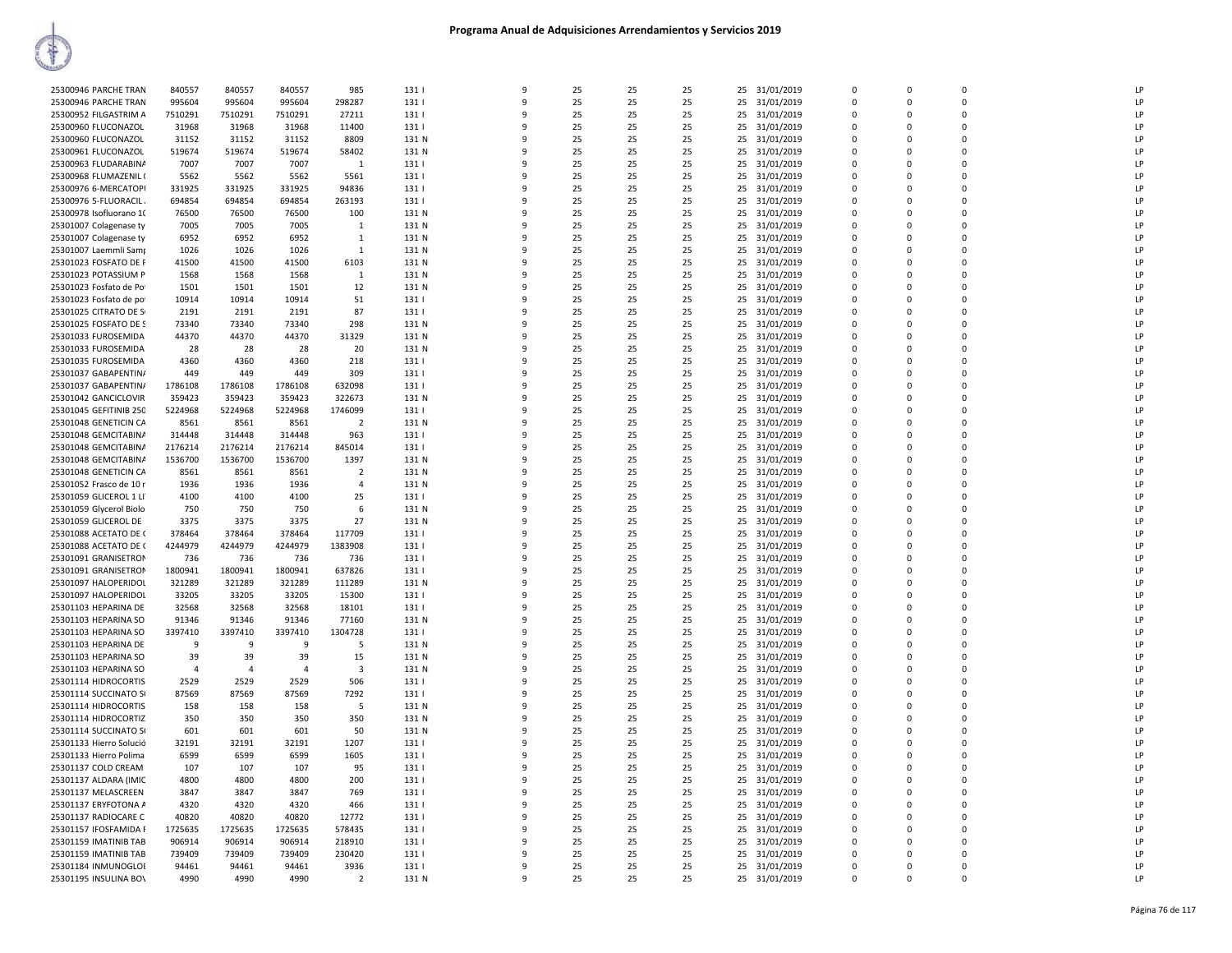| 25300946 PARCHE TRAN    | 840557         | 840557         | 840557         | 985            | 131   | 9            | 25 | 25 | 25 | 31/01/2019<br>25 | $\Omega$       | $\Omega$    | $\Omega$    | LP |
|-------------------------|----------------|----------------|----------------|----------------|-------|--------------|----|----|----|------------------|----------------|-------------|-------------|----|
| 25300946 PARCHE TRAN    | 995604         | 995604         | 995604         | 298287         | 131   | 9            | 25 | 25 | 25 | 25<br>31/01/2019 | 0              | $\Omega$    | $\mathbf 0$ | LP |
| 25300952 FILGASTRIM A   | 7510291        | 7510291        | 7510291        | 27211          | 131   | 9            | 25 | 25 | 25 | 25<br>31/01/2019 | $\mathbf 0$    | $\Omega$    | $\Omega$    | LP |
| 25300960 FLUCONAZOL     | 31968          | 31968          | 31968          | 11400          | 131   | ۰Q           | 25 | 25 | 25 | 31/01/2019<br>25 | $\Omega$       | $\Omega$    | $\Omega$    | LP |
| 25300960 FLUCONAZOL     | 31152          | 31152          | 31152          | 8809           | 131 N |              | 25 | 25 | 25 | 25<br>31/01/2019 | $\Omega$       | $\Omega$    | $\Omega$    | LP |
| 25300961 FLUCONAZOL     | 519674         | 519674         | 519674         | 58402          | 131 N |              | 25 | 25 | 25 | 25<br>31/01/2019 | $\mathbf 0$    | $\Omega$    | 0           | LP |
| 25300963 FLUDARABINA    | 7007           | 7007           | 7007           | $\mathbf{1}$   | 131   | q            | 25 | 25 | 25 | 25<br>31/01/2019 | $\Omega$       | $\Omega$    | $\Omega$    | LP |
| 25300968 FLUMAZENIL (   | 5562           | 5562           | 5562           | 5561           | 131   |              | 25 | 25 | 25 | 25<br>31/01/2019 | $\mathbf 0$    | $\Omega$    | $\Omega$    | LP |
| 25300976 6-MERCATOPI    | 331925         | 331925         | 331925         | 94836          | 131   | $\mathbf{q}$ | 25 | 25 | 25 | 31/01/2019<br>25 | $\mathbf 0$    | $\Omega$    | $\mathbf 0$ | LP |
| 25300976 5-FLUORACIL    | 694854         | 694854         | 694854         | 263193         | 131   | q            | 25 | 25 | 25 | 25<br>31/01/2019 | $\Omega$       | $\Omega$    | $\Omega$    | LP |
| 25300978 Isofluorano 10 | 76500          | 76500          | 76500          | 100            | 131 N | ٩            | 25 | 25 | 25 | 25<br>31/01/2019 | $\Omega$       | $\Omega$    | $\Omega$    | LP |
| 25301007 Colagenase ty  | 7005           | 7005           | 7005           | 1              | 131 N |              | 25 | 25 | 25 | 31/01/2019<br>25 | $\Omega$       | $\Omega$    | $\Omega$    | LP |
| 25301007 Colagenase ty  | 6952           | 6952           | 6952           | $\mathbf{1}$   | 131 N |              | 25 | 25 | 25 | 25<br>31/01/2019 | $\mathbf 0$    | $\Omega$    | $\mathbf 0$ | LP |
| 25301007 Laemmli Samp   | 1026           | 1026           | 1026           | $\mathbf{1}$   | 131 N | ۰Q           | 25 | 25 | 25 | 25<br>31/01/2019 | $\Omega$       | $\Omega$    | $\Omega$    | LP |
| 25301023 FOSFATO DE F   | 41500          | 41500          | 41500          | 6103           | 131 N |              | 25 | 25 | 25 | 25<br>31/01/2019 | $\Omega$       | $\Omega$    | $\Omega$    | LP |
| 25301023 POTASSIUM P    | 1568           | 1568           | 1568           | 1              | 131 N | ٩            | 25 | 25 | 25 | 31/01/2019<br>25 | $\mathbf 0$    | $\Omega$    | $\Omega$    | LP |
| 25301023 Fosfato de Po  | 1501           | 1501           | 1501           | 12             | 131 N | q            | 25 | 25 | 25 | 25<br>31/01/2019 | $\Omega$       | $\Omega$    | $\Omega$    | LP |
| 25301023 Fosfato de po  | 10914          | 10914          | 10914          | 51             | 131   | ٩            | 25 | 25 | 25 | 25<br>31/01/2019 | $\Omega$       | $\Omega$    | $\Omega$    | LP |
| 25301025 CITRATO DE S   | 2191           | 2191           | 2191           | 87             | 131   |              | 25 | 25 | 25 | 31/01/2019<br>25 | $\Omega$       | $\Omega$    | $\Omega$    | LP |
| 25301025 FOSFATO DE S   | 73340          | 73340          | 73340          | 298            | 131 N |              | 25 | 25 | 25 | 25<br>31/01/2019 | $\mathbf 0$    | 0           | $\mathbf 0$ | LP |
| 25301033 FUROSEMIDA     | 44370          | 44370          | 44370          | 31329          | 131 N | ۰Q           | 25 | 25 | 25 | 25<br>31/01/2019 | $\Omega$       | $\Omega$    | $\Omega$    | LP |
| 25301033 FUROSEMIDA     | 28             | 28             | 28             | 20             | 131 N |              | 25 | 25 | 25 | 31/01/2019<br>25 | $\Omega$       | $\Omega$    | $\Omega$    | LP |
| 25301035 FUROSEMIDA     | 4360           | 4360           | 4360           | 218            | 131   | ٩            | 25 | 25 | 25 | 31/01/2019<br>25 | $\mathbf 0$    | $\Omega$    | $\Omega$    | LP |
| 25301037 GABAPENTIN/    | 449            | 449            | 449            | 309            | 131   | 9            | 25 | 25 | 25 | 25<br>31/01/2019 | $\mathbf 0$    | $\Omega$    | $\Omega$    | LP |
| 25301037 GABAPENTIN/    | 1786108        | 1786108        | 1786108        | 632098         | 131   |              | 25 | 25 | 25 | 25<br>31/01/2019 | $\mathbf 0$    | $\Omega$    | $\Omega$    | LP |
| 25301042 GANCICLOVIR    | 359423         | 359423         | 359423         | 322673         | 131 N |              | 25 | 25 | 25 | 25<br>31/01/2019 | $\mathbf 0$    | $\Omega$    | $\mathbf 0$ | LP |
| 25301045 GEFITINIB 250  | 5224968        | 5224968        | 5224968        | 1746099        | 131   |              | 25 | 25 | 25 | 25<br>31/01/2019 | $\Omega$       | $\Omega$    | $\Omega$    | LP |
| 25301048 GENETICIN CA   | 8561           | 8561           | 8561           | $\overline{2}$ | 131 N | ۰Q           | 25 | 25 | 25 | 31/01/2019<br>25 | $\Omega$       | $\Omega$    | $\Omega$    | LP |
| 25301048 GEMCITABINA    | 314448         | 314448         | 314448         | 963            | 131   |              | 25 | 25 | 25 | 25<br>31/01/2019 | $\Omega$       | $\Omega$    | $\Omega$    | LP |
| 25301048 GEMCITABINA    | 2176214        | 2176214        | 2176214        | 845014         | 131   | 9            | 25 | 25 | 25 | 31/01/2019<br>25 | $\mathbf 0$    | $\Omega$    | $\mathbf 0$ | LP |
| 25301048 GEMCITABINA    | 1536700        | 1536700        | 1536700        | 1397           | 131 N | q            | 25 | 25 | 25 | 25<br>31/01/2019 | $\mathbf 0$    | $\Omega$    | $\Omega$    | LP |
| 25301048 GENETICIN CA   | 8561           | 8561           | 8561           | $\overline{2}$ | 131 N |              | 25 | 25 | 25 | 25<br>31/01/2019 | $\Omega$       | $\Omega$    | $\Omega$    | LP |
| 25301052 Frasco de 10 r | 1936           | 1936           | 1936           | $\Delta$       | 131 N |              | 25 | 25 | 25 | 25<br>31/01/2019 | $\Omega$       | $\Omega$    | $\Omega$    | LP |
| 25301059 GLICEROL 1 LI  | 4100           | 4100           | 4100           | 25             | 131   |              | 25 | 25 | 25 | 25<br>31/01/2019 | $\Omega$       |             | $\Omega$    | LP |
| 25301059 Glycerol Biolo | 750            | 750            | 750            | 6              | 131 N | ٩            | 25 | 25 | 25 | 25<br>31/01/2019 | $\Omega$       | $\Omega$    | $\Omega$    | LP |
| 25301059 GLICEROL DE    | 3375           | 3375           | 3375           | 27             | 131 N | 9            | 25 | 25 | 25 | 25<br>31/01/2019 | $\mathbf 0$    | $\Omega$    | $\Omega$    | LP |
| 25301088 ACETATO DE (   | 378464         | 378464         | 378464         | 117709         | 131   | q            | 25 | 25 | 25 | 25<br>31/01/2019 | $\mathbf 0$    | $\Omega$    | $\mathbf 0$ | LP |
| 25301088 ACETATO DE (   | 4244979        | 4244979        | 4244979        | 1383908        | 131   | q            | 25 | 25 | 25 | 25<br>31/01/2019 | $\Omega$       | $\Omega$    | $\Omega$    | LP |
| 25301091 GRANISETROM    | 736            | 736            | 736            | 736            | 131   | ٩            | 25 | 25 | 25 | 25<br>31/01/2019 | $\Omega$       | $\Omega$    | $\Omega$    | LP |
| 25301091 GRANISETROM    | 1800941        | 1800941        | 1800941        | 637826         | 131   |              | 25 | 25 | 25 | 31/01/2019<br>25 | $\Omega$       | $\Omega$    | $\Omega$    | LP |
| 25301097 HALOPERIDOI    | 321289         | 321289         | 321289         | 111289         | 131 N |              | 25 | 25 | 25 | 25<br>31/01/2019 | $\mathbf 0$    | $\Omega$    | $\mathbf 0$ | LP |
| 25301097 HALOPERIDOI    | 33205          | 33205          | 33205          | 15300          | 131   | $\Omega$     | 25 | 25 | 25 | 25<br>31/01/2019 | $\Omega$       | $\Omega$    | $\Omega$    | LP |
| 25301103 HEPARINA DE    | 32568          | 32568          | 32568          | 18101          | 131   | q            | 25 | 25 | 25 | 25<br>31/01/2019 | $\mathbf 0$    | $\Omega$    | $\mathbf 0$ | LP |
| 25301103 HEPARINA SO    | 91346          | 91346          | 91346          | 77160          | 131 N | 9            | 25 | 25 | 25 | 25<br>31/01/2019 | $\mathbf 0$    | $\Omega$    | $\Omega$    | LP |
| 25301103 HEPARINA SO    | 3397410        | 3397410        | 3397410        | 1304728        | 131   | ٩            | 25 | 25 | 25 | 25<br>31/01/2019 | $\Omega$       | $\Omega$    | $\Omega$    | LP |
| 25301103 HEPARINA DE    | 9              | 9              | 9              | -5             | 131 N |              | 25 | 25 | 25 | 25<br>31/01/2019 | $\Omega$       | $\Omega$    | $\Omega$    | LP |
| 25301103 HEPARINA SO    | 39             | 39             | 39             | 15             | 131 N |              | 25 | 25 | 25 | 25<br>31/01/2019 | $\mathbf 0$    | $\Omega$    | $\Omega$    | LP |
| 25301103 HEPARINA SO    | $\overline{4}$ | $\overline{4}$ | $\overline{4}$ | 3              | 131 N |              | 25 | 25 | 25 | 25<br>31/01/2019 | $\mathbf 0$    | $\Omega$    | $\mathbf 0$ | LP |
| 25301114 HIDROCORTIS    | 2529           | 2529           | 2529           | 506            | 131   | ۰Q           | 25 | 25 | 25 | 25<br>31/01/2019 | $\Omega$       | $\Omega$    | $\Omega$    | LP |
| 25301114 SUCCINATO SI   | 87569          | 87569          | 87569          | 7292           | 131   | ٩            | 25 | 25 | 25 | 25<br>31/01/2019 | $\Omega$       | $\Omega$    | $\Omega$    | LP |
| 25301114 HIDROCORTIS    | 158            | 158            | 158            | 5              | 131 N | 9            | 25 | 25 | 25 | 25<br>31/01/2019 | $\mathbf 0$    | $\Omega$    | $\Omega$    | LP |
| 25301114 HIDROCORTIZ    | 350            | 350            | 350            | 350            | 131 N | ٩            | 25 | 25 | 25 | 25<br>31/01/2019 | $\Omega$       | $\Omega$    | $\Omega$    | LP |
| 25301114 SUCCINATO S    | 601            | 601            | 601            | 50             | 131 N |              | 25 | 25 | 25 | 25<br>31/01/2019 | $\mathbf 0$    | $\Omega$    | $\Omega$    | LP |
| 25301133 Hierro Solució | 32191          | 32191          | 32191          | 1207           | 131   |              | 25 | 25 | 25 | 25<br>31/01/2019 | $\mathbf 0$    | $\Omega$    | $\Omega$    | LP |
| 25301133 Hierro Polima  | 6599           | 6599           | 6599           | 1605           | 131   |              | 25 | 25 | 25 | 25<br>31/01/2019 | $\Omega$       | $\Omega$    | $\Omega$    | LP |
| 25301137 COLD CREAM     | 107            | 107            | 107            | 95             | 131   | ٩            | 25 | 25 | 25 | 25<br>31/01/2019 | $\Omega$       | $\Omega$    | $\Omega$    | LP |
| 25301137 ALDARA (IMIC   | 4800           | 4800           | 4800           | 200            | 131   | 9            | 25 | 25 | 25 | 25<br>31/01/2019 | $\mathbf 0$    | $\Omega$    | $\Omega$    | LP |
| 25301137 MELASCREEN     | 3847           | 3847           | 3847           | 769            | 131   | 9            | 25 | 25 | 25 | 25<br>31/01/2019 | $\mathbf 0$    | $\mathbf 0$ | $\mathbf 0$ | LP |
| 25301137 ERYFOTONA A    | 4320           | 4320           | 4320           | 466            | 131   | ۰Q           | 25 | 25 | 25 | 25<br>31/01/2019 | $\Omega$       | $\Omega$    | $\Omega$    | LP |
| 25301137 RADIOCARE C    | 40820          | 40820          | 40820          | 12772          | 131   |              | 25 | 25 | 25 | 25<br>31/01/2019 | $\Omega$       | $\Omega$    | $\Omega$    | LP |
| 25301157 IFOSFAMIDA F   | 1725635        | 1725635        | 1725635        | 578435         | 131   | ٩            | 25 | 25 | 25 | 31/01/2019<br>25 | $\Omega$       | $\Omega$    | $\Omega$    | LP |
| 25301159 IMATINIB TAB   | 906914         | 906914         | 906914         | 218910         | 131   | 9            | 25 | 25 | 25 | 25<br>31/01/2019 | $\Omega$       | $\Omega$    | $\Omega$    | LP |
| 25301159 IMATINIB TAB   | 739409         | 739409         | 739409         | 230420         | 131   | ٩            | 25 | 25 | 25 | 25<br>31/01/2019 | $\Omega$       | $\Omega$    | $\Omega$    | LP |
| 25301184 INMUNOGLOI     | 94461          | 94461          | 94461          | 3936           | 131   | 9            | 25 | 25 | 25 | 25<br>31/01/2019 | $\overline{0}$ | $\Omega$    | $\Omega$    | LP |
| 25301195 INSULINA BOV   | 4990           | 4990           | 4990           | $\overline{2}$ | 131 N | 9            | 25 | 25 | 25 | 25<br>31/01/2019 | $\Omega$       | $\Omega$    | $\Omega$    | LP |
|                         |                |                |                |                |       |              |    |    |    |                  |                |             |             |    |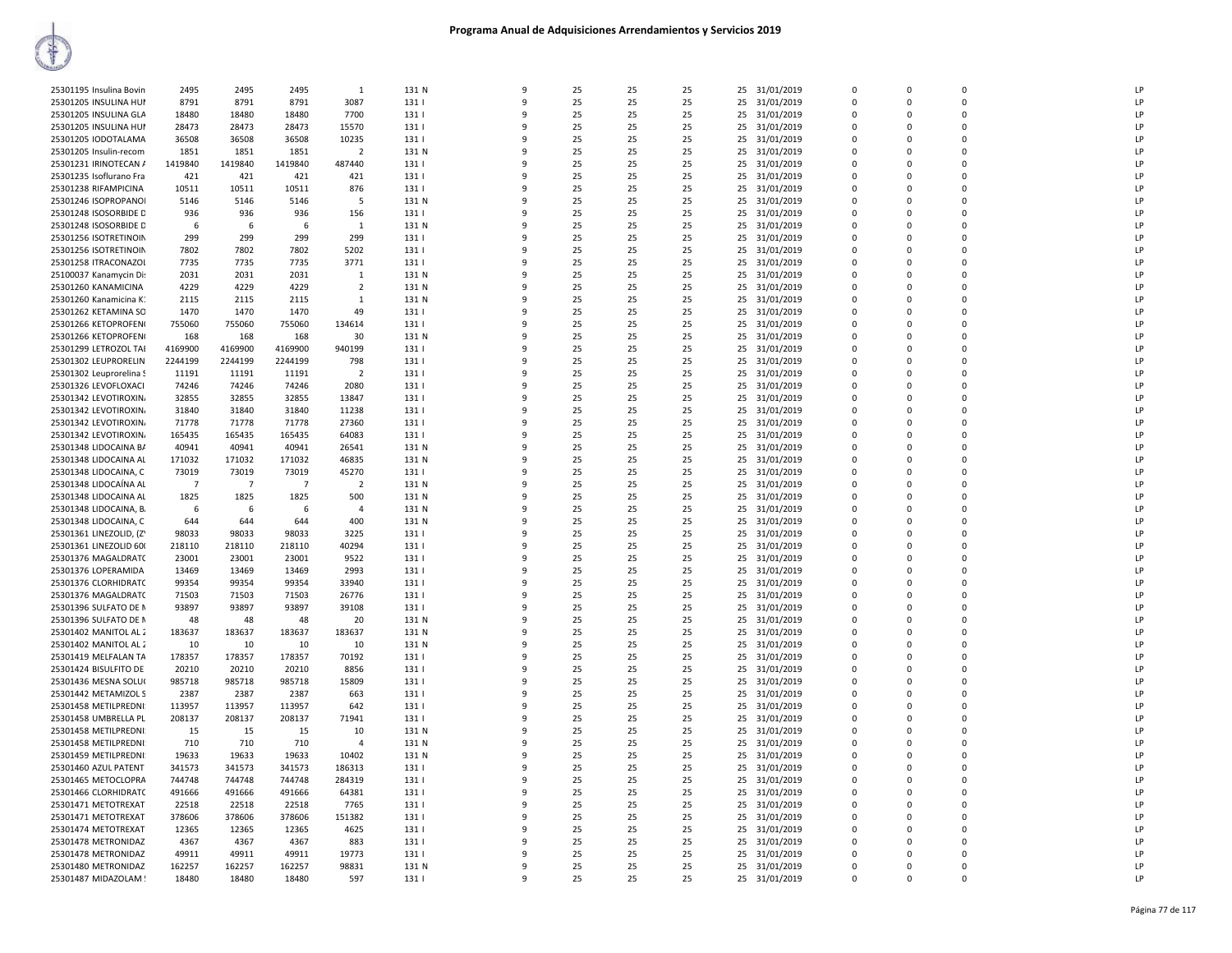| 25301195 Insulina Bovin | 2495           | 2495           | 2495           | $\mathbf{1}$   | 131 N | $\mathbf{q}$ | 25 | 25 | 25 | 31/01/2019<br>25 | $\Omega$     | $\Omega$ | $\Omega$    | LP             |
|-------------------------|----------------|----------------|----------------|----------------|-------|--------------|----|----|----|------------------|--------------|----------|-------------|----------------|
| 25301205 INSULINA HUI   | 8791           | 8791           | 8791           | 3087           | 131   | 9            | 25 | 25 | 25 | 25<br>31/01/2019 | $\mathbf{0}$ | $\Omega$ | 0           | LP             |
| 25301205 INSULINA GLA   | 18480          | 18480          | 18480          | 7700           | 1311  | $\mathbf{q}$ | 25 | 25 | 25 | 25<br>31/01/2019 | $\Omega$     | $\Omega$ | $\Omega$    | LP             |
| 25301205 INSULINA HUI   | 28473          | 28473          | 28473          | 15570          | 131   | 9            | 25 | 25 | 25 | 25<br>31/01/2019 | $\mathbf 0$  | $\Omega$ | $\mathbf 0$ | LP             |
| 25301205 IODOTALAMA     | 36508          | 36508          | 36508          | 10235          | 131   | ۰            | 25 | 25 | 25 | 25<br>31/01/2019 | $\mathbf{0}$ | $\Omega$ | $\mathbf 0$ | LP             |
| 25301205 Insulin-recom  | 1851           | 1851           | 1851           | $\overline{2}$ | 131 N |              | 25 | 25 | 25 | 25<br>31/01/2019 | $\Omega$     |          | $\Omega$    | LP             |
|                         |                |                | 1419840        |                |       | q            | 25 |    |    |                  | $\Omega$     | $\Omega$ | $\Omega$    | LP             |
| 25301231 IRINOTECAN /   | 1419840        | 1419840        |                | 487440         | 131   |              |    | 25 | 25 | 31/01/2019<br>25 |              |          |             |                |
| 25301235 Isoflurano Fra | 421            | 421            | 421            | 421            | 1311  | q            | 25 | 25 | 25 | 25<br>31/01/2019 | $\Omega$     | $\Omega$ | $\Omega$    | LP             |
| 25301238 RIFAMPICINA    | 10511          | 10511          | 10511          | 876            | 131   | -9           | 25 | 25 | 25 | 25<br>31/01/2019 | $\mathbf{0}$ | $\Omega$ | 0           | LP             |
| 25301246 ISOPROPANOI    | 5146           | 5146           | 5146           | -5             | 131 N | $\mathbf{q}$ | 25 | 25 | 25 | 31/01/2019<br>25 | $\Omega$     | $\Omega$ | $\Omega$    | LP             |
| 25301248 ISOSORBIDE D   | 936            | 936            | 936            | 156            | 131   | 9            | 25 | 25 | 25 | 25<br>31/01/2019 | $\mathbf 0$  | $\Omega$ | $\mathbf 0$ | LP             |
| 25301248 ISOSORBIDE D   | 6              | 6              | 6              | 1              | 131 N | ۰            | 25 | 25 | 25 | 25<br>31/01/2019 | $\mathbf 0$  | $\Omega$ | $\mathbf 0$ | LP             |
| 25301256 ISOTRETINOIN   | 299            | 299            | 299            | 299            | 131   |              | 25 | 25 | 25 | 25<br>31/01/2019 | $\Omega$     |          | $\Omega$    | LP             |
| 25301256 ISOTRETINOIN   | 7802           | 7802           | 7802           | 5202           | 131   | q            | 25 | 25 | 25 | 25<br>31/01/2019 | $\Omega$     | $\Omega$ | $\Omega$    | I <sub>P</sub> |
| 25301258 ITRACONAZOI    | 7735           | 7735           | 7735           | 3771           | 131   |              | 25 | 25 | 25 | 25<br>31/01/2019 | $\Omega$     | $\Omega$ | $\Omega$    | LP             |
| 25100037 Kanamycin Dis  | 2031           | 2031           | 2031           | 1              | 131 N | -9           | 25 | 25 | 25 | 31/01/2019<br>25 | 0            | $\Omega$ | $\mathbf 0$ | LP             |
| 25301260 KANAMICINA     | 4229           | 4229           | 4229           | $\overline{2}$ | 131 N | q            | 25 | 25 | 25 | 31/01/2019<br>25 | $\Omega$     | $\Omega$ | $\Omega$    | LP             |
| 25301260 Kanamicina K.  | 2115           | 2115           | 2115           | $\mathbf{1}$   | 131 N | 9            | 25 | 25 | 25 | 25<br>31/01/2019 | $\mathbf 0$  | $\Omega$ | $\mathbf 0$ | LP             |
| 25301262 KETAMINA SO    | 1470           | 1470           | 1470           | 49             | 131   | q            | 25 | 25 | 25 | 31/01/2019<br>25 | $\Omega$     | $\Omega$ | $\mathbf 0$ | LP             |
| 25301266 KETOPROFEN     | 755060         | 755060         | 755060         | 134614         | 131   |              | 25 | 25 | 25 | 25<br>31/01/2019 | $\mathbf{0}$ |          | $\mathbf 0$ | LP             |
| 25301266 KETOPROFEN     | 168            | 168            | 168            | 30             | 131 N | ۰            | 25 | 25 | 25 | 31/01/2019<br>25 | $\Omega$     | $\Omega$ | $\Omega$    | I <sub>P</sub> |
| 25301299 LETROZOL TAI   | 4169900        | 4169900        | 4169900        | 940199         | 131   |              | 25 | 25 | 25 | 31/01/2019<br>25 | $\Omega$     | $\Omega$ | $\Omega$    | LP             |
| 25301302 LEUPRORELIN    | 2244199        | 2244199        | 2244199        | 798            | 131   | ٩            | 25 | 25 | 25 | 31/01/2019<br>25 | $\Omega$     | $\Omega$ | $\mathbf 0$ | LP             |
| 25301302 Leuprorelina S | 11191          | 11191          | 11191          | $\overline{2}$ | 131   | 9            | 25 | 25 | 25 | 25<br>31/01/2019 | $\Omega$     | $\Omega$ | $\Omega$    | LP             |
| 25301326 LEVOFLOXACI    | 74246          | 74246          | 74246          | 2080           | 131   | 9            | 25 | 25 | 25 | 25<br>31/01/2019 | $\Omega$     | $\Omega$ | $\mathbf 0$ | LP             |
| 25301342 LEVOTIROXIN    | 32855          | 32855          | 32855          | 13847          | 131   | q            | 25 | 25 | 25 | 31/01/2019<br>25 | $\Omega$     | $\Omega$ | $\mathbf 0$ | LP             |
| 25301342 LEVOTIROXIN    | 31840          | 31840          | 31840          | 11238          | 131   |              | 25 | 25 | 25 | 25<br>31/01/2019 | $\mathbf{0}$ |          | $\mathbf 0$ | LP             |
| 25301342 LEVOTIROXIN    | 71778          | 71778          | 71778          | 27360          | 131   | q            | 25 | 25 | 25 | 31/01/2019<br>25 | $\Omega$     | $\Omega$ | $\Omega$    | LP             |
| 25301342 LEVOTIROXIN    | 165435         | 165435         | 165435         | 64083          | 131   | 9            | 25 | 25 | 25 | 31/01/2019<br>25 | $\Omega$     | $\Omega$ | $\Omega$    | LP             |
| 25301348 LIDOCAINA B/   | 40941          | 40941          | 40941          | 26541          | 131 N | ٩            | 25 | 25 | 25 | 31/01/2019<br>25 | $\Omega$     | $\Omega$ | $\mathbf 0$ | LP             |
| 25301348 LIDOCAINA AL   | 171032         | 171032         | 171032         | 46835          | 131 N | 9            | 25 | 25 | 25 | 25<br>31/01/2019 | $\Omega$     | $\Omega$ | $\Omega$    | LP             |
| 25301348 LIDOCAINA, C   | 73019          | 73019          | 73019          | 45270          | 131   | q            | 25 | 25 | 25 | 31/01/2019       | $\Omega$     | $\Omega$ | $\mathbf 0$ | LP             |
|                         | $\overline{7}$ | $\overline{7}$ | $\overline{7}$ |                |       |              |    |    |    | 25               | $\Omega$     |          | $\mathbf 0$ | LP             |
| 25301348 LIDOCAÍNA AL   |                |                |                | $\overline{2}$ | 131 N |              | 25 | 25 | 25 | 31/01/2019<br>25 |              | $\Omega$ |             |                |
| 25301348 LIDOCAINA AL   | 1825           | 1825           | 1825           | 500            | 131 N |              | 25 | 25 | 25 | 25<br>31/01/2019 | $\mathbf{0}$ |          | $\mathbf 0$ | LP             |
| 25301348 LIDOCAINA, B.  | 6              | 6              | -6             | $\Delta$       | 131 N | q            | 25 | 25 | 25 | 25<br>31/01/2019 | $\Omega$     | $\Omega$ | $\Omega$    | LP             |
| 25301348 LIDOCAINA, C   | 644            | 644            | 644            | 400            | 131 N |              | 25 | 25 | 25 | 31/01/2019<br>25 | $\Omega$     | $\Omega$ | $\Omega$    | LP             |
| 25301361 LINEZOLID, (Z' | 98033          | 98033          | 98033          | 3225           | 131   | ٩            | 25 | 25 | 25 | 31/01/2019<br>25 | $\Omega$     | $\Omega$ | $\mathbf 0$ | LP             |
| 25301361 LINEZOLID 600  | 218110         | 218110         | 218110         | 40294          | 131   | -9           | 25 | 25 | 25 | 25<br>31/01/2019 | $\Omega$     | $\Omega$ | $\Omega$    | LP             |
| 25301376 MAGALDRATC     | 23001          | 23001          | 23001          | 9522           | 131   | q            | 25 | 25 | 25 | 31/01/2019<br>25 | $\Omega$     | $\Omega$ | $\Omega$    | LP             |
| 25301376 LOPERAMIDA     | 13469          | 13469          | 13469          | 2993           | 131   |              | 25 | 25 | 25 | 25<br>31/01/2019 | $\mathbf 0$  | $\Omega$ | 0           | LP             |
| 25301376 CLORHIDRATC    | 99354          | 99354          | 99354          | 33940          | 131   |              | 25 | 25 | 25 | 25<br>31/01/2019 | $\mathbf{0}$ | $\Omega$ | $\pmb{0}$   | LP             |
| 25301376 MAGALDRATC     | 71503          | 71503          | 71503          | 26776          | 131   | q            | 25 | 25 | 25 | 25<br>31/01/2019 | $\Omega$     | $\Omega$ | $\Omega$    | LP             |
| 25301396 SULFATO DE N   | 93897          | 93897          | 93897          | 39108          | 131   |              | 25 | 25 | 25 | 25<br>31/01/2019 | $\Omega$     | $\Omega$ | $\Omega$    | LP             |
| 25301396 SULFATO DE N   | 48             | 48             | 48             | 20             | 131 N | ٩            | 25 | 25 | 25 | 31/01/2019<br>25 | $\Omega$     | $\Omega$ | $\mathbf 0$ | LP             |
| 25301402 MANITOL AL 2   | 183637         | 183637         | 183637         | 183637         | 131 N | -9           | 25 | 25 | 25 | 25<br>31/01/2019 | $\Omega$     | $\Omega$ | $\Omega$    | LP             |
| 25301402 MANITOL AL 2   | 10             | 10             | 10             | 10             | 131 N | ٩            | 25 | 25 | 25 | 25<br>31/01/2019 | $\Omega$     | $\Omega$ | $\Omega$    | LP             |
| 25301419 MELFALAN TA    | 178357         | 178357         | 178357         | 70192          | 131   |              | 25 | 25 | 25 | 25<br>31/01/2019 | $\mathbf 0$  | $\Omega$ | $\mathbf 0$ | LP             |
| 25301424 BISULFITO DE   | 20210          | 20210          | 20210          | 8856           | 131   |              | 25 | 25 | 25 | 25<br>31/01/2019 | $\mathbf{0}$ | $\Omega$ | 0           | IP             |
| 25301436 MESNA SOLU(    | 985718         | 985718         | 985718         | 15809          | 131   | q            | 25 | 25 | 25 | 25<br>31/01/2019 | $\Omega$     | $\Omega$ | $\Omega$    | LP             |
| 25301442 METAMIZOL S    | 2387           | 2387           | 2387           | 663            | 131   |              | 25 | 25 | 25 | 25<br>31/01/2019 | $\Omega$     | $\Omega$ | $\Omega$    | LP             |
| 25301458 METILPREDNI:   | 113957         | 113957         | 113957         | 642            | 131   | ٩            | 25 | 25 | 25 | 31/01/2019<br>25 | $\Omega$     | $\Omega$ | $\mathbf 0$ | LP             |
| 25301458 UMBRELLA PL    | 208137         | 208137         | 208137         | 71941          | 131   | -9           | 25 | 25 | 25 | 25<br>31/01/2019 | $\Omega$     | $\Omega$ | $\Omega$    | LP             |
| 25301458 METILPREDNI:   | 15             | 15             | 15             | 10             | 131 N | ٩            | 25 | 25 | 25 | 25<br>31/01/2019 | $\Omega$     | $\Omega$ | $\Omega$    | LP             |
| 25301458 METILPREDNI:   | 710            | 710            | 710            | $\overline{a}$ | 131 N |              | 25 | 25 | 25 | 25<br>31/01/2019 | $\Omega$     | $\Omega$ | $\mathbf 0$ | LP             |
| 25301459 METILPREDNI:   | 19633          | 19633          | 19633          | 10402          | 131 N |              | 25 | 25 | 25 | 25<br>31/01/2019 | $\mathbf{0}$ | $\Omega$ | $\mathbf 0$ | LP             |
| 25301460 AZUL PATENT    | 341573         | 341573         | 341573         | 186313         | 131   | q            | 25 | 25 | 25 | 25<br>31/01/2019 | $\Omega$     | $\Omega$ | $\Omega$    | LP             |
| 25301465 METOCLOPRA     | 744748         | 744748         | 744748         | 284319         | 131   | q            | 25 | 25 | 25 | 25<br>31/01/2019 | $\Omega$     | $\Omega$ | $\Omega$    | LP             |
| 25301466 CLORHIDRATC    | 491666         | 491666         | 491666         | 64381          | 131   | q            | 25 | 25 | 25 | 31/01/2019<br>25 | $\Omega$     | $\Omega$ | $\Omega$    | LP             |
| 25301471 METOTREXAT     | 22518          | 22518          | 22518          | 7765           | 131   | -9           | 25 | 25 | 25 | 25<br>31/01/2019 | $\Omega$     | $\Omega$ | $\Omega$    | LP             |
| 25301471 METOTREXAT     | 378606         | 378606         | 378606         | 151382         | 131   | ٩            | 25 | 25 | 25 | 25<br>31/01/2019 | $\Omega$     | $\Omega$ | $\Omega$    | LP             |
| 25301474 METOTREXAT     | 12365          | 12365          | 12365          | 4625           | 131   | 9            | 25 | 25 | 25 | 25<br>31/01/2019 | $\Omega$     | $\Omega$ | $\mathbf 0$ | LP             |
| 25301478 METRONIDAZ     | 4367           | 4367           | 4367           | 883            | 131   | ۰            | 25 | 25 | 25 | 31/01/2019<br>25 | $\Omega$     | $\Omega$ | $\mathbf 0$ | LP             |
| 25301478 METRONIDAZ     | 49911          | 49911          | 49911          | 19773          | 131   | $\mathbf{q}$ | 25 | 25 | 25 | 25<br>31/01/2019 | $\mathbf 0$  | $\Omega$ | $\mathbf 0$ | LP             |
| 25301480 METRONIDAZ     | 162257         | 162257         | 162257         | 98831          | 131 N | q            | 25 | 25 | 25 | 25<br>31/01/2019 | $\Omega$     | $\Omega$ | $\Omega$    | LP             |
| 25301487 MIDAZOLAM !    | 18480          | 18480          | 18480          | 597            | 131   | -9           | 25 | 25 | 25 | 31/01/2019<br>25 | $\Omega$     | $\Omega$ | $\Omega$    | LP             |
|                         |                |                |                |                |       |              |    |    |    |                  |              |          |             |                |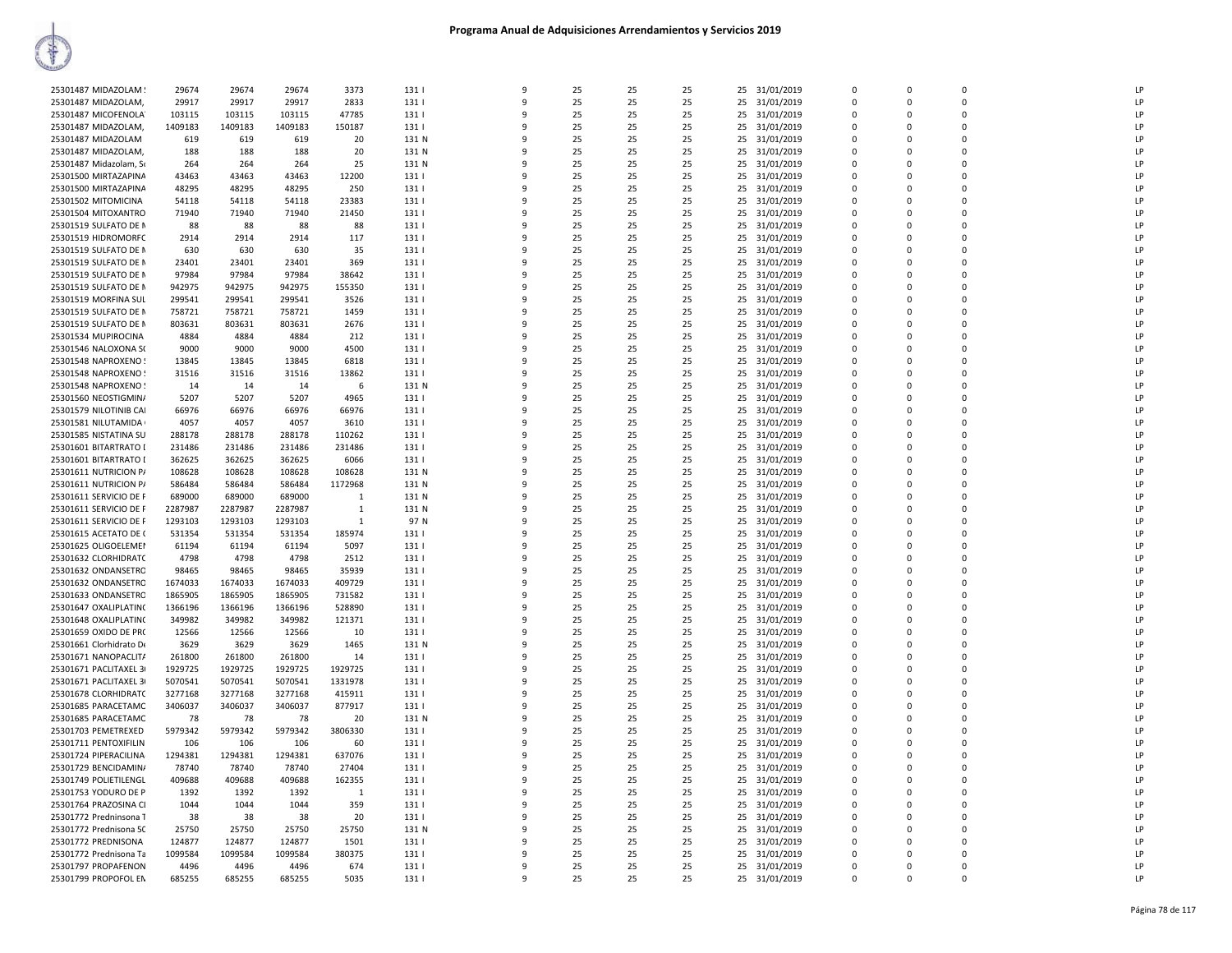| 25301487 MIDAZOLAM                           | 29674   | 29674          | 29674          | 3373          | 131          | 9            | 25 | 25 | 25       | 31/01/2019<br>25                     | $\Omega$     | $\Omega$    |             | LP |
|----------------------------------------------|---------|----------------|----------------|---------------|--------------|--------------|----|----|----------|--------------------------------------|--------------|-------------|-------------|----|
| 25301487 MIDAZOLAM,                          | 29917   | 29917          | 29917          | 2833          | 131          | -9           | 25 | 25 | 25       | 31/01/2019<br>25                     | $\mathbf 0$  | $\mathbf 0$ | $\Omega$    | LP |
| 25301487 MICOFENOLA                          | 103115  | 103115         | 103115         | 47785         | 131          | 9            | 25 | 25 | 25       | 25<br>31/01/2019                     | $\mathbf 0$  | $\mathbf 0$ | $\Omega$    | LP |
| 25301487 MIDAZOLAM,                          | 1409183 | 1409183        | 1409183        | 150187        | 131          | ۹            | 25 | 25 | 25       | 31/01/2019<br>25                     | $\mathbf{0}$ | 0           | $\Omega$    | LP |
| 25301487 MIDAZOLAM                           | 619     | 619            | 619            | 20            | 131 N        |              | 25 | 25 | 25       | 25<br>31/01/2019                     | $\Omega$     | 0           | $\Omega$    | LP |
| 25301487 MIDAZOLAM,                          | 188     | 188            | 188            | 20            | 131 N        |              | 25 | 25 | 25       | 25<br>31/01/2019                     | $\mathbf 0$  | $\Omega$    | $\Omega$    | LP |
| 25301487 Midazolam, So                       | 264     | 264            | 264            | 25            | 131 N        | q            | 25 | 25 | 25       | 25<br>31/01/2019                     | $\Omega$     | $\Omega$    | $\Omega$    | LP |
| 25301500 MIRTAZAPINA                         | 43463   | 43463          | 43463          | 12200         | 131          |              | 25 | 25 | 25       | 31/01/2019<br>25                     | $\Omega$     | 0           | $\Omega$    | LP |
| 25301500 MIRTAZAPINA                         | 48295   | 48295          | 48295          | 250           | 131          | $\mathbf{q}$ | 25 | 25 | 25       | 31/01/2019<br>25                     | $\mathbf{0}$ | $\mathbf 0$ | $\mathbf 0$ | LP |
| 25301502 MITOMICINA                          | 54118   | 54118          | 54118          | 23383         | 131          | 9            | 25 | 25 | 25       | 25<br>31/01/2019                     | $\mathbf 0$  | $\Omega$    | $\Omega$    | LP |
| 25301504 MITOXANTRO                          | 71940   | 71940          | 71940          | 21450         | 131          |              | 25 | 25 | 25       | 25<br>31/01/2019                     | $\mathbf 0$  | 0           | $\Omega$    | LP |
| 25301519 SULFATO DE N                        | 88      | 88             | 88             | 88            | 131          |              | 25 | 25 | 25       | 25<br>31/01/2019                     | $\Omega$     | $\Omega$    | $\Omega$    | LP |
| 25301519 HIDROMORFC                          | 2914    | 2914           | 2914           | 117           | 131          |              | 25 | 25 | 25       | 25<br>31/01/2019                     | $\mathbf 0$  | $\Omega$    | $\mathbf 0$ | LP |
| 25301519 SULFATO DE N                        | 630     | 630            | 630            | 35            | 131          | q            | 25 | 25 | 25       | 25<br>31/01/2019                     | $\Omega$     | $\Omega$    | $\Omega$    | LP |
| 25301519 SULFATO DE N                        | 23401   | 23401          | 23401          | 369           | 131          |              | 25 | 25 | 25       | 25<br>31/01/2019                     | 0            | 0           | $\Omega$    | LP |
| 25301519 SULFATO DE N                        | 97984   | 97984          | 97984          | 38642         | 131          | -9           | 25 | 25 | 25       | 31/01/2019<br>25                     | $\mathbf 0$  | $\mathbf 0$ | $\mathbf 0$ | LP |
| 25301519 SULFATO DE N                        | 942975  | 942975         | 942975         | 155350        | 131          | $\mathbf{q}$ | 25 | 25 | 25       | 25<br>31/01/2019                     | $\mathbf 0$  | $\mathbf 0$ | $\mathbf 0$ | LP |
| 25301519 MORFINA SUL                         | 299541  | 299541         | 299541         | 3526          | 131          |              | 25 | 25 | 25       | 25<br>31/01/2019                     | $\Omega$     | $\Omega$    | $\Omega$    | LP |
| 25301519 SULFATO DE N                        | 758721  | 758721         | 758721         | 1459          | 131          |              | 25 | 25 | 25       | 25<br>31/01/2019                     | $\Omega$     | 0           | $\Omega$    | LP |
| 25301519 SULFATO DE N                        | 803631  | 803631         | 803631         | 2676          | 131          |              | 25 | 25 | 25       | 25<br>31/01/2019                     | $\mathbf 0$  | 0           | $\mathbf 0$ | LP |
| 25301534 MUPIROCINA                          | 4884    | 4884           | 4884           |               | 131          | q            | 25 | 25 | 25       | 25<br>31/01/2019                     | $\Omega$     | $\Omega$    | $\Omega$    | LP |
|                                              |         |                |                | 212           |              |              |    |    |          |                                      |              |             | $\Omega$    |    |
| 25301546 NALOXONA S(                         | 9000    | 9000           | 9000           | 4500          | 131          |              | 25 | 25 | 25       | 25<br>31/01/2019                     | 0            | 0           |             | LP |
| 25301548 NAPROXENO!                          | 13845   | 13845          | 13845          | 6818          | 131          | q            | 25 | 25 | 25       | 25<br>31/01/2019                     | $\mathbf 0$  | $\mathbf 0$ | $\mathbf 0$ | LP |
| 25301548 NAPROXENO!                          | 31516   | 31516          | 31516          | 13862         | 131          |              | 25 | 25 | 25       | 31/01/2019<br>25                     | $\Omega$     | $\Omega$    | $\Omega$    | LP |
| 25301548 NAPROXENO!                          | 14      | 14             | 14             | 6             | 131 N        |              | 25 | 25 | 25       | 31/01/2019<br>25                     | $\Omega$     | $\Omega$    | $\Omega$    | LP |
| 25301560 NEOSTIGMIN/                         | 5207    | 5207           | 5207           | 4965          | 131          |              | 25 | 25 | 25       | 25<br>31/01/2019                     | $\Omega$     | 0           | $\Omega$    | LP |
| 25301579 NILOTINIB CAI                       | 66976   | 66976          | 66976          | 66976         | 131          |              | 25 | 25 | 25       | 25<br>31/01/2019                     | $\mathbf 0$  | 0           | $\mathbf 0$ | LP |
| 25301581 NILUTAMIDA                          | 4057    | 4057           | 4057           | 3610          | 131          | q            | 25 | 25 | 25       | 25<br>31/01/2019                     | $\Omega$     | $\Omega$    | $\Omega$    | LP |
| 25301585 NISTATINA SU                        | 288178  | 288178         | 288178         | 110262        | 131          |              | 25 | 25 | 25       | 25<br>31/01/2019                     | 0            | 0           | $\mathbf 0$ | LP |
| 25301601 BITARTRATO [                        | 231486  | 231486         | 231486         | 231486        | 131          | q            | 25 | 25 | 25       | 25<br>31/01/2019                     | $\mathbf 0$  | $\mathbf 0$ | $\mathbf 0$ | LP |
| 25301601 BITARTRATO I                        | 362625  | 362625         | 362625         | 6066          | 131          |              | 25 | 25 | 25       | 25<br>31/01/2019                     | $\Omega$     | $\Omega$    | $\Omega$    | LP |
| 25301611 NUTRICION P/                        | 108628  | 108628         | 108628         | 108628        | 131 N        |              | 25 | 25 | 25       | 31/01/2019<br>25                     | $\Omega$     | $\Omega$    | $\Omega$    | LP |
| 25301611 NUTRICION P/                        | 586484  | 586484         | 586484         | 1172968       | 131 N        |              | 25 | 25 | 25       | 25<br>31/01/2019                     | $\Omega$     | 0           | $\Omega$    | LP |
| 25301611 SERVICIO DE F                       | 689000  | 689000         | 689000         | 1             | 131 N        |              | 25 | 25 | 25       | 25<br>31/01/2019                     | 0            | 0           | $\mathbf 0$ | LP |
| 25301611 SERVICIO DE F                       | 2287987 | 2287987        | 2287987        | 1             | 131 N        | q            | 25 | 25 | 25       | 25<br>31/01/2019                     | $\Omega$     | $\Omega$    | $\Omega$    | LP |
| 25301611 SERVICIO DE F                       | 1293103 | 1293103        | 1293103        | 1             | 97 N         |              | 25 | 25 | 25       | 25<br>31/01/2019                     | 0            | 0           | $\mathbf 0$ | LP |
| 25301615 ACETATO DE (                        | 531354  | 531354         | 531354         | 185974        | 131          | q            | 25 | 25 | 25       | 31/01/2019<br>25                     | $\mathbf 0$  | $\mathbf 0$ | $\mathbf 0$ | LP |
| 25301625 OLIGOELEMEN                         | 61194   | 61194          | 61194          | 5097          | 131          |              | 25 | 25 | 25       | 25<br>31/01/2019                     | $\Omega$     | $\Omega$    | $\Omega$    | LP |
| 25301632 CLORHIDRATC                         | 4798    | 4798           | 4798           | 2512          | 131          |              | 25 | 25 | 25       | 25<br>31/01/2019                     | $\Omega$     | $\Omega$    | $\Omega$    | LP |
| 25301632 ONDANSETRO                          | 98465   | 98465          | 98465          | 35939         | 131          |              | 25 | 25 | 25       | 25<br>31/01/2019                     | $\Omega$     | 0           | $\Omega$    | LP |
| 25301632 ONDANSETRC                          | 1674033 | 1674033        | 1674033        | 409729        | 131          |              | 25 | 25 | 25       | 25<br>31/01/2019                     | 0            | 0           | $\mathbf 0$ | LP |
| 25301633 ONDANSETRO                          | 1865905 | 1865905        | 1865905        | 731582        | 131          | $\mathbf{q}$ | 25 | 25 | 25       | 25 31/01/2019                        | $\Omega$     | $\Omega$    | $\Omega$    | LP |
| 25301647 OXALIPLATINO                        | 1366196 | 1366196        | 1366196        | 528890        | 131          |              | 25 | 25 | 25       | 25<br>31/01/2019                     | 0            | 0           | $\mathbf 0$ | LP |
| 25301648 OXALIPLATINO                        | 349982  | 349982         | 349982         | 121371        | 131          | q            | 25 | 25 | 25       | 31/01/2019<br>25                     | $\Omega$     | $\Omega$    | $\Omega$    | LP |
| 25301659 OXIDO DE PRO                        | 12566   | 12566          | 12566          | 10            | 131          | 9            | 25 | 25 | 25       | 31/01/2019<br>25                     | $\Omega$     | $\Omega$    | $\Omega$    | LP |
| 25301661 Clorhidrato De                      | 3629    | 3629           | 3629           | 1465          | 131 N        |              | 25 | 25 | 25       | 31/01/2019<br>25                     | $\Omega$     | $\Omega$    | $\Omega$    | LP |
| 25301671 NANOPACLIT/                         | 261800  | 261800         | 261800         | 14            | 131          |              | 25 | 25 | 25       | 25<br>31/01/2019                     | $\Omega$     | 0           | $\Omega$    | LP |
| 25301671 PACLITAXEL 3                        | 1929725 | 1929725        | 1929725        | 1929725       | 131          |              | 25 | 25 | 25       | 25<br>31/01/2019                     | $\mathbf 0$  | $\Omega$    | $\mathbf 0$ | LP |
| 25301671 PACLITAXEL 3                        | 5070541 | 5070541        | 5070541        | 1331978       | 131          | 9            | 25 | 25 | 25       | 25<br>31/01/2019                     | $\mathbf 0$  | 0           | $\mathbf 0$ | LP |
| 25301678 CLORHIDRATC                         | 3277168 | 3277168        | 3277168        | 415911        | 131          |              | 25 | 25 | 25       | 25<br>31/01/2019                     | 0            | 0           | $\mathbf 0$ | LP |
| 25301685 PARACETAMC                          | 3406037 | 3406037        | 3406037        | 877917        | 131          | q            | 25 | 25 | 25       | 31/01/2019<br>25                     | $\Omega$     | $\Omega$    | $\Omega$    | LP |
| 25301685 PARACETAMC                          | 78      | 78             | 78             |               | 131 N        |              | 25 | 25 | 25       | 31/01/2019                           | $\Omega$     | $\Omega$    | $\Omega$    | LP |
|                                              | 5979342 |                |                | 20            |              |              | 25 | 25 |          | 25                                   | $\Omega$     | $\Omega$    | $\Omega$    | LP |
| 25301703 PEMETREXED<br>25301711 PENTOXIFILIN | 106     | 5979342<br>106 | 5979342<br>106 | 3806330<br>60 | 131  <br>131 |              | 25 | 25 | 25<br>25 | 25<br>31/01/2019<br>25<br>31/01/2019 | $\Omega$     | 0           | $\Omega$    | LP |
|                                              |         |                |                |               |              |              |    |    |          |                                      |              | $\Omega$    |             | LP |
| 25301724 PIPERACILINA                        | 1294381 | 1294381        | 1294381        | 637076        | 131          |              | 25 | 25 | 25       | 25<br>31/01/2019                     | $\mathbf 0$  |             | $\mathbf 0$ |    |
| 25301729 BENCIDAMIN/                         | 78740   | 78740          | 78740          | 27404         | 131          | $\mathbf{q}$ | 25 | 25 | 25       | 25<br>31/01/2019                     | $\mathbf 0$  | O           | $\mathbf 0$ | LP |
| 25301749 POLIETILENGL                        | 409688  | 409688         | 409688         | 162355        | 131          | q            | 25 | 25 | 25       | 25<br>31/01/2019                     | $\Omega$     | $\Omega$    | $\Omega$    | LP |
| 25301753 YODURO DE P                         | 1392    | 1392           | 1392           | 1             | 131          | q            | 25 | 25 | 25       | 31/01/2019<br>25                     | $\mathbf 0$  | $\Omega$    | $\Omega$    | LP |
| 25301764 PRAZOSINA CI                        | 1044    | 1044           | 1044           | 359           | 131          | 9            | 25 | 25 | 25       | 31/01/2019<br>25                     | $\Omega$     | $\Omega$    | $\Omega$    | LP |
| 25301772 Predninsona T                       | 38      | 38             | 38             | 20            | 131          | q            | 25 | 25 | 25       | 25<br>31/01/2019                     | $\Omega$     | $\Omega$    | $\Omega$    | LP |
| 25301772 Prednisona 50                       | 25750   | 25750          | 25750          | 25750         | 131 N        |              | 25 | 25 | 25       | 25<br>31/01/2019                     | $\Omega$     | 0           | $\Omega$    | LP |
| 25301772 PREDNISONA                          | 124877  | 124877         | 124877         | 1501          | 131          |              | 25 | 25 | 25       | 31/01/2019<br>25                     | $\mathbf 0$  | 0           | $\Omega$    | LP |
| 25301772 Prednisona Ta                       | 1099584 | 1099584        | 1099584        | 380375        | 131          | $\mathbf{q}$ | 25 | 25 | 25       | 25<br>31/01/2019                     | $\mathbf 0$  | O           | $\mathbf 0$ | LP |
| 25301797 PROPAFENON                          | 4496    | 4496           | 4496           | 674           | 131          | ۹            | 25 | 25 | 25       | 25<br>31/01/2019                     | $\Omega$     | $\Omega$    | $\Omega$    | LP |
| 25301799 PROPOFOL EN                         | 685255  | 685255         | 685255         | 5035          | 131          | $\mathbf{q}$ | 25 | 25 | 25       | 25 31/01/2019                        | $\Omega$     | 0           | $\Omega$    | LP |
|                                              |         |                |                |               |              |              |    |    |          |                                      |              |             |             |    |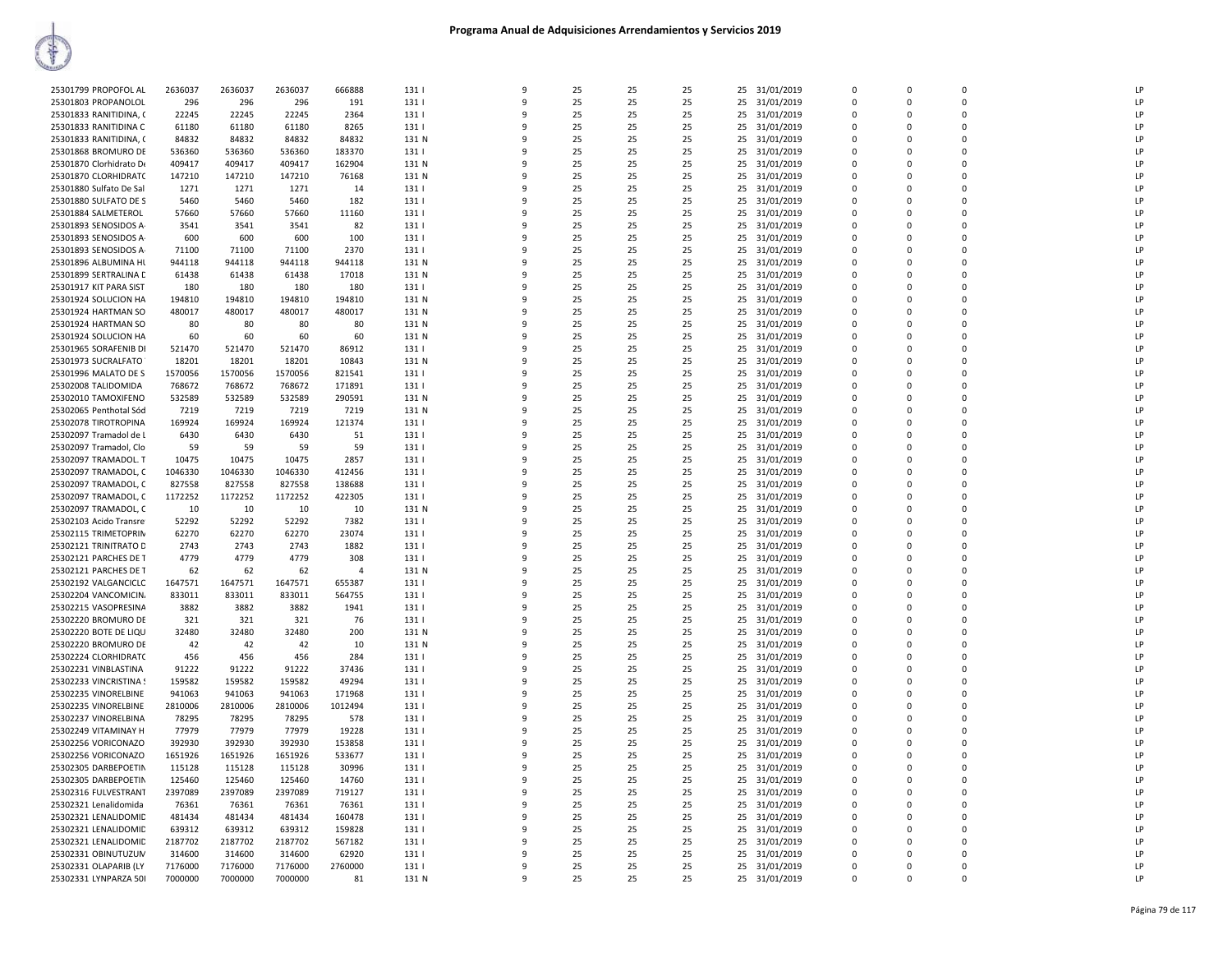| 25301799 PROPOFOL AL    | 2636037 | 2636037 | 2636037 | 666888         | 131   | 9            | 25       | 25 | 25 | 25 31/01/2019    | $\Omega$       | $\Omega$    | $\Omega$       | LP |
|-------------------------|---------|---------|---------|----------------|-------|--------------|----------|----|----|------------------|----------------|-------------|----------------|----|
| 25301803 PROPANOLOL     | 296     | 296     | 296     | 191            | 131   | 9            | 25       | 25 | 25 | 25<br>31/01/2019 | $\mathbf 0$    | $\mathbf 0$ | $\mathbf 0$    | LP |
| 25301833 RANITIDINA, (  | 22245   | 22245   | 22245   | 2364           | 131   | 9            | 25       | 25 | 25 | 31/01/2019<br>25 | $\Omega$       | $\Omega$    | $\Omega$       | LP |
| 25301833 RANITIDINA C   | 61180   | 61180   | 61180   | 8265           | 131   | 9            | 25       | 25 | 25 | 25<br>31/01/2019 | 0              | 0           | $\mathbf{0}$   | LP |
| 25301833 RANITIDINA, C  | 84832   | 84832   | 84832   | 84832          | 131 N | q            | 25       | 25 | 25 | 31/01/2019<br>25 | $\mathbf 0$    | 0           | $\overline{0}$ | LP |
|                         |         |         |         |                |       | 9            |          |    |    |                  | $\Omega$       | $\Omega$    | $\Omega$       | LP |
| 25301868 BROMURO DE     | 536360  | 536360  | 536360  | 183370         | 131   |              | 25       | 25 | 25 | 25<br>31/01/2019 |                |             |                |    |
| 25301870 Clorhidrato De | 409417  | 409417  | 409417  | 162904         | 131 N | q            | 25       | 25 | 25 | 31/01/2019<br>25 | $\Omega$       | $\Omega$    | $\Omega$       | LP |
| 25301870 CLORHIDRATC    | 147210  | 147210  | 147210  | 76168          | 131 N | q            | 25       | 25 | 25 | 31/01/2019<br>25 | $\Omega$       | $\Omega$    | $\Omega$       | LP |
| 25301880 Sulfato De Sal | 1271    | 1271    | 1271    | 14             | 131   | 9            | 25       | 25 | 25 | 25<br>31/01/2019 | 0              | 0           | $\overline{0}$ | LP |
| 25301880 SULFATO DE S   | 5460    | 5460    | 5460    | 182            | 131   | 9            | 25       | 25 | 25 | 25<br>31/01/2019 | $\Omega$       | $\Omega$    | $\Omega$       | LP |
| 25301884 SALMETEROL     | 57660   | 57660   | 57660   | 11160          | 131   | 9            | 25       | 25 | 25 | 25<br>31/01/2019 | 0              | 0           | $\Omega$       | LP |
| 25301893 SENOSIDOS A-   | 3541    | 3541    | 3541    | 82             | 131   | q            | 25       | 25 | 25 | 25<br>31/01/2019 | $\Omega$       | $\Omega$    | $\Omega$       | LP |
| 25301893 SENOSIDOS A-   | 600     | 600     | 600     | 100            | 131   | 9            | 25       | 25 | 25 | 25<br>31/01/2019 | $\Omega$       | $\Omega$    | $\Omega$       | LP |
| 25301893 SENOSIDOS A-   | 71100   | 71100   | 71100   | 2370           | 131   | q            | 25       | 25 | 25 | 25<br>31/01/2019 | $\Omega$       | $\Omega$    | $\Omega$       | LP |
| 25301896 ALBUMINA HL    | 944118  | 944118  | 944118  | 944118         | 131 N | 9            | 25       | 25 | 25 | 25 31/01/2019    | $\Omega$       | $\Omega$    | $\Omega$       | LP |
| 25301899 SERTRALINA C   | 61438   | 61438   | 61438   | 17018          | 131 N | 9            | 25       | 25 | 25 | 31/01/2019<br>25 | 0              | $\mathbf 0$ | $\overline{0}$ | LP |
| 25301917 KIT PARA SIST  | 180     | 180     | 180     | 180            | 131   | 9            | 25       | 25 | 25 | 31/01/2019<br>25 | $\Omega$       | $\Omega$    | $\Omega$       | LP |
| 25301924 SOLUCION HA    | 194810  | 194810  | 194810  | 194810         | 131 N | q            | 25       | 25 | 25 | 25<br>31/01/2019 | 0              | 0           | $\mathbf 0$    | LP |
| 25301924 HARTMAN SO     | 480017  | 480017  | 480017  | 480017         | 131 N | q            | 25       | 25 | 25 | 31/01/2019<br>25 | $\Omega$       | $\Omega$    | $\Omega$       | LP |
|                         |         |         |         |                |       | 9            |          |    |    |                  | $\Omega$       | $\Omega$    | $\Omega$       | LP |
| 25301924 HARTMAN SO     | 80      | 80      | 80      | 80             | 131 N | q            | 25<br>25 | 25 | 25 | 25<br>31/01/2019 |                |             | $\Omega$       | LP |
| 25301924 SOLUCION HA    | 60      | 60      | 60      | 60             | 131 N |              |          | 25 | 25 | 31/01/2019<br>25 | $\Omega$       | $\Omega$    |                |    |
| 25301965 SORAFENIB DI   | 521470  | 521470  | 521470  | 86912          | 131   | 9            | 25       | 25 | 25 | 25<br>31/01/2019 | $\Omega$       | $\Omega$    | $\mathbf 0$    | LP |
| 25301973 SUCRALFATO     | 18201   | 18201   | 18201   | 10843          | 131 N | 9            | 25       | 25 | 25 | 31/01/2019<br>25 | 0              | 0           | $\overline{0}$ | LP |
| 25301996 MALATO DE S    | 1570056 | 1570056 | 1570056 | 821541         | 131   | q            | 25       | 25 | 25 | 25<br>31/01/2019 | $\mathbf 0$    | 0           | $\mathbf{0}$   | LP |
| 25302008 TALIDOMIDA     | 768672  | 768672  | 768672  | 171891         | 131   | q            | 25       | 25 | 25 | 25<br>31/01/2019 | 0              | 0           | $\mathbf 0$    | LP |
| 25302010 TAMOXIFENO     | 532589  | 532589  | 532589  | 290591         | 131 N | q            | 25       | 25 | 25 | 31/01/2019<br>25 | $\Omega$       | $\Omega$    | $\Omega$       | LP |
| 25302065 Penthotal Sód  | 7219    | 7219    | 7219    | 7219           | 131 N | ٩            | 25       | 25 | 25 | 25<br>31/01/2019 | $\Omega$       | $\Omega$    | $\Omega$       | LP |
| 25302078 TIROTROPINA    | 169924  | 169924  | 169924  | 121374         | 131   | q            | 25       | 25 | 25 | 25<br>31/01/2019 | $\Omega$       | O           | $\Omega$       | LP |
| 25302097 Tramadol de L  | 6430    | 6430    | 6430    | 51             | 131   | 9            | 25       | 25 | 25 | 25<br>31/01/2019 | $\mathbf 0$    | $\Omega$    | $\mathbf 0$    | LP |
| 25302097 Tramadol, Clo  | 59      | 59      | 59      | 59             | 131   | 9            | 25       | 25 | 25 | 31/01/2019<br>25 | 0              | $\mathbf 0$ | $\overline{0}$ | LP |
| 25302097 TRAMADOL. T    | 10475   | 10475   | 10475   | 2857           | 131   | q            | 25       | 25 | 25 | 25<br>31/01/2019 | $\mathbf 0$    | 0           | $\mathbf 0$    | LP |
| 25302097 TRAMADOL, C    | 1046330 | 1046330 | 1046330 | 412456         | 131   | q            | 25       | 25 | 25 | 25<br>31/01/2019 | $\Omega$       | $\Omega$    | $\Omega$       | LP |
|                         | 827558  | 827558  |         |                |       | q            | 25       |    | 25 |                  | $\Omega$       | $\Omega$    | $\Omega$       | LP |
| 25302097 TRAMADOL, C    |         |         | 827558  | 138688         | 131   |              |          | 25 |    | 25<br>31/01/2019 |                |             |                |    |
| 25302097 TRAMADOL, C    | 1172252 | 1172252 | 1172252 | 422305         | 131   | 9            | 25       | 25 | 25 | 25<br>31/01/2019 | $\Omega$       | $\Omega$    | $\Omega$       | LP |
| 25302097 TRAMADOL, C    | 10      | 10      | 10      | 10             | 131 N | q            | 25       | 25 | 25 | 25<br>31/01/2019 | $\Omega$       | $\Omega$    | $\Omega$       | LP |
| 25302103 Acido Transre  | 52292   | 52292   | 52292   | 7382           | 131   | 9            | 25       | 25 | 25 | 25<br>31/01/2019 | $\mathbf 0$    | $\Omega$    | $\mathbf 0$    | LP |
| 25302115 TRIMETOPRIN    | 62270   | 62270   | 62270   | 23074          | 131   | 9            | 25       | 25 | 25 | 31/01/2019<br>25 | 0              | $\mathbf 0$ | $\overline{0}$ | LP |
| 25302121 TRINITRATO D   | 2743    | 2743    | 2743    | 1882           | 131   | q            | 25       | 25 | 25 | 25<br>31/01/2019 | $\Omega$       | $\Omega$    | $\Omega$       | LP |
| 25302121 PARCHES DE T   | 4779    | 4779    | 4779    | 308            | 131   | q            | 25       | 25 | 25 | 25<br>31/01/2019 | $\Omega$       | $\Omega$    | $\Omega$       | LP |
| 25302121 PARCHES DE T   | 62      | 62      | 62      | $\overline{4}$ | 131 N | q            | 25       | 25 | 25 | 31/01/2019<br>25 | $\Omega$       | $\Omega$    | $\Omega$       | LP |
| 25302192 VALGANCICLC    | 1647571 | 1647571 | 1647571 | 655387         | 131   | ٩            | 25       | 25 | 25 | 25<br>31/01/2019 | 0              | 0           | $\mathbf 0$    | LP |
| 25302204 VANCOMICIN.    | 833011  | 833011  | 833011  | 564755         | 131   | q            | 25       | 25 | 25 | 31/01/2019<br>25 | $\Omega$       | $\Omega$    | $\Omega$       | LP |
| 25302215 VASOPRESINA    | 3882    | 3882    | 3882    | 1941           | 131   | 9            | 25       | 25 | 25 | 25<br>31/01/2019 | $\overline{0}$ | $\Omega$    | $\mathbf 0$    | LP |
| 25302220 BROMURO DE     | 321     | 321     | 321     | 76             | 131   | 9            | 25       | 25 | 25 | 31/01/2019<br>25 | 0              | $\mathbf 0$ | $\overline{0}$ | LP |
| 25302220 BOTE DE LIQU   | 32480   | 32480   | 32480   | 200            | 131 N | q            | 25       | 25 | 25 | 25<br>31/01/2019 | $\Omega$       | $\Omega$    | $\Omega$       | LP |
| 25302220 BROMURO DE     | 42      | 42      | 42      | 10             | 131 N | q            | 25       | 25 | 25 | 25<br>31/01/2019 | $\Omega$       | $\Omega$    | $\Omega$       | LP |
| 25302224 CLORHIDRATC    | 456     | 456     | 456     | 284            | 131   | q            | 25       | 25 | 25 | 25<br>31/01/2019 | $\Omega$       | $\Omega$    | $\Omega$       | LP |
| 25302231 VINBLASTINA    | 91222   | 91222   | 91222   | 37436          | 131   | ٩            | 25       | 25 | 25 | 25<br>31/01/2019 | 0              | 0           | $\mathbf 0$    | LP |
|                         | 159582  | 159582  | 159582  | 49294          | 131   | 9            | 25       | 25 | 25 |                  | $\Omega$       | $\Omega$    | $\Omega$       | LP |
| 25302233 VINCRISTINA !  |         |         |         |                |       |              |          |    |    | 25<br>31/01/2019 |                |             |                |    |
| 25302235 VINORELBINE    | 941063  | 941063  | 941063  | 171968         | 131   | 9            | 25       | 25 | 25 | 25<br>31/01/2019 | $\overline{0}$ | 0           | $\mathbf 0$    | LP |
| 25302235 VINORELBINE    | 2810006 | 2810006 | 2810006 | 1012494        | 131   | 9            | 25       | 25 | 25 | 31/01/2019<br>25 | 0              | $\mathbf 0$ | $\mathbf{0}$   | LP |
| 25302237 VINORELBINA    | 78295   | 78295   | 78295   | 578            | 131   | q            | 25       | 25 | 25 | 25<br>31/01/2019 | $\Omega$       | $\Omega$    | $\Omega$       | LP |
| 25302249 VITAMINAY H    | 77979   | 77979   | 77979   | 19228          | 131   | q            | 25       | 25 | 25 | 25<br>31/01/2019 | $\Omega$       | $\Omega$    | $\Omega$       | LP |
| 25302256 VORICONAZO     | 392930  | 392930  | 392930  | 153858         | 131   | q            | 25       | 25 | 25 | 31/01/2019<br>25 | $\Omega$       | $\Omega$    | $\Omega$       | LP |
| 25302256 VORICONAZO     | 1651926 | 1651926 | 1651926 | 533677         | 131   | ٩            | 25       | 25 | 25 | 25<br>31/01/2019 | 0              | 0           | $\mathbf 0$    | LP |
| 25302305 DARBEPOETIN    | 115128  | 115128  | 115128  | 30996          | 131   | 9            | 25       | 25 | 25 | 25<br>31/01/2019 | $\Omega$       | $\Omega$    | $\Omega$       | LP |
| 25302305 DARBEPOETIN    | 125460  | 125460  | 125460  | 14760          | 131   | q            | 25       | 25 | 25 | 31/01/2019<br>25 | 0              | 0           | $\mathbf 0$    | LP |
| 25302316 FULVESTRANT    | 2397089 | 2397089 | 2397089 | 719127         | 131   | 9            | 25       | 25 | 25 | 31/01/2019<br>25 | 0              | $\mathbf 0$ | $\overline{0}$ | LP |
| 25302321 Lenalidomida   | 76361   | 76361   | 76361   | 76361          | 131   | q            | 25       | 25 | 25 | 25<br>31/01/2019 | $\Omega$       | $\Omega$    | $\Omega$       | LP |
| 25302321 LENALIDOMIC    | 481434  | 481434  | 481434  | 160478         | 131   | 9            | 25       | 25 | 25 | 25<br>31/01/2019 | $\Omega$       | $\Omega$    | $\Omega$       | LP |
| 25302321 LENALIDOMIC    | 639312  | 639312  | 639312  | 159828         | 131   | q            | 25       | 25 | 25 | 31/01/2019<br>25 | $\Omega$       | $\Omega$    | $\Omega$       | LP |
| 25302321 LENALIDOMIC    | 2187702 | 2187702 | 2187702 | 567182         | 131   | ٩            | 25       | 25 | 25 | 25<br>31/01/2019 | 0              | 0           | $\mathbf 0$    | LP |
|                         |         |         |         |                |       | 9            | 25       |    |    |                  | $\Omega$       | $\Omega$    | $\Omega$       | LP |
| 25302331 OBINUTUZUN     | 314600  | 314600  | 314600  | 62920          | 131   |              |          | 25 | 25 | 25<br>31/01/2019 |                |             |                |    |
| 25302331 OLAPARIB (LY   | 7176000 | 7176000 | 7176000 | 2760000        | 131   | q            | 25       | 25 | 25 | 25 31/01/2019    | 0              | 0           | $\Omega$       | LP |
| 25302331 LYNPARZA 50I   | 7000000 | 7000000 | 7000000 | 81             | 131 N | $\mathbf{q}$ | 25       | 25 | 25 | 25 31/01/2019    | $\Omega$       | $\Omega$    | $\Omega$       | LP |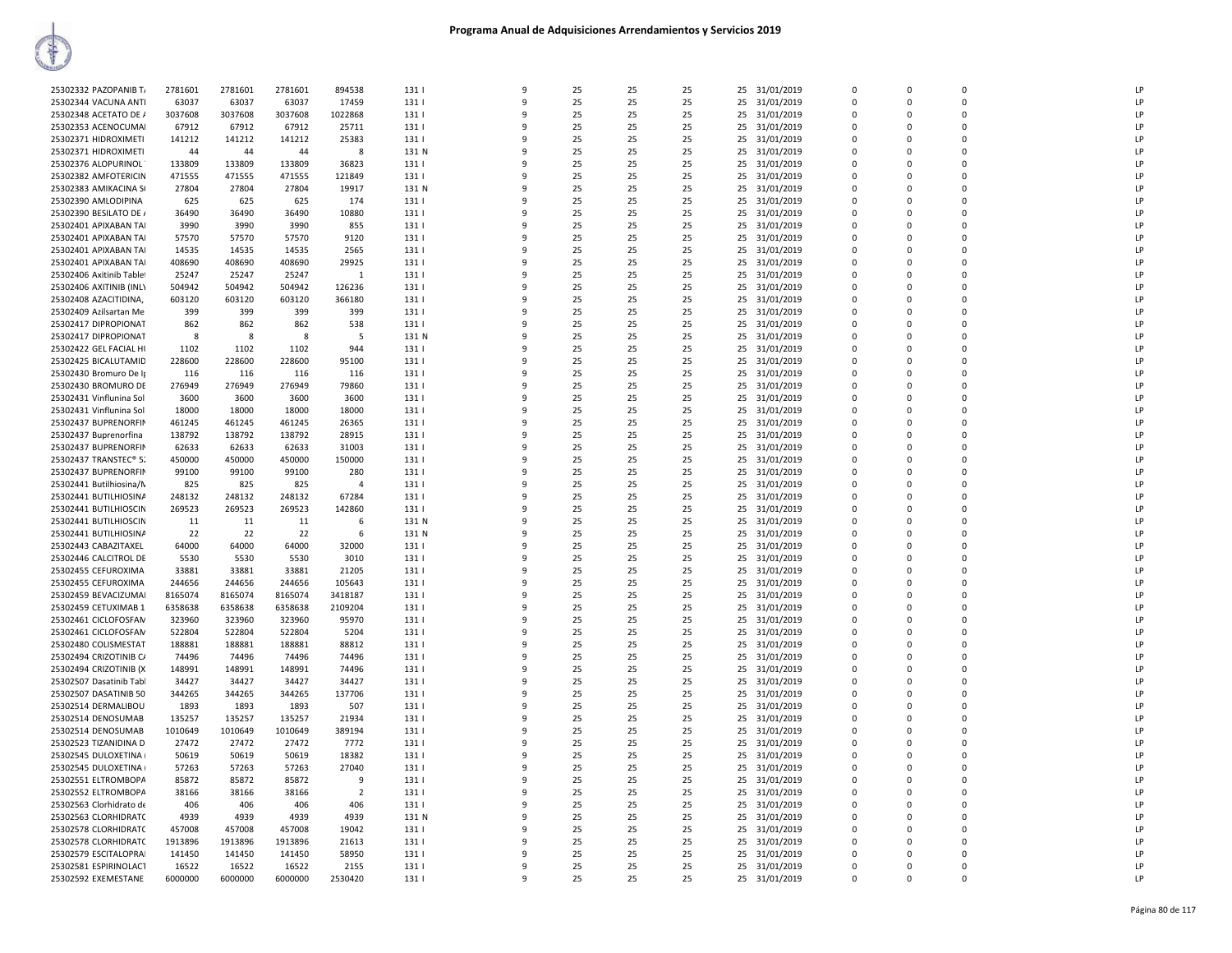| 25302332 PAZOPANIB T/    | 2781601 | 2781601 | 2781601 | 894538         | 131   | 9            | 25 | 25 | 25 | 25 | 31/01/2019    | $\Omega$    | $\Omega$     | $\Omega$    | LP |
|--------------------------|---------|---------|---------|----------------|-------|--------------|----|----|----|----|---------------|-------------|--------------|-------------|----|
| 25302344 VACUNA ANTI     | 63037   | 63037   | 63037   | 17459          | 131   | 9            | 25 | 25 | 25 | 25 | 31/01/2019    | $\mathbf 0$ | 0            | 0           | LP |
| 25302348 ACETATO DE /    | 3037608 | 3037608 | 3037608 | 1022868        | 131   | $\mathbf{q}$ | 25 | 25 | 25 | 25 | 31/01/2019    | $\mathbf 0$ | 0            | $\Omega$    | LP |
|                          |         |         |         |                |       |              |    |    |    |    |               |             |              |             |    |
| 25302353 ACENOCUMAI      | 67912   | 67912   | 67912   | 25711          | 131   | 9            | 25 | 25 | 25 | 25 | 31/01/2019    | $\Omega$    | $\Omega$     | $\Omega$    | LP |
| 25302371 HIDROXIMETI     | 141212  | 141212  | 141212  | 25383          | 131   | q            | 25 | 25 | 25 | 25 | 31/01/2019    | $\Omega$    | $\Omega$     | $\Omega$    | LP |
|                          |         |         |         |                |       |              |    |    |    |    |               |             | $\Omega$     | $\Omega$    | LP |
| 25302371 HIDROXIMETI     | 44      | 44      | 44      | -8             | 131 N | q            | 25 | 25 | 25 | 25 | 31/01/2019    | $\Omega$    |              |             |    |
| 25302376 ALOPURINOL      | 133809  | 133809  | 133809  | 36823          | 131   | 9            | 25 | 25 | 25 | 25 | 31/01/2019    | $\Omega$    | $\Omega$     | $\Omega$    | LP |
| 25302382 AMFOTERICIN     | 471555  | 471555  | 471555  | 121849         | 131   | 9            | 25 | 25 | 25 | 25 | 31/01/2019    | $\Omega$    | $\Omega$     | $\Omega$    | LP |
|                          |         |         |         |                |       |              |    |    |    |    |               |             |              |             |    |
| 25302383 AMIKACINA SI    | 27804   | 27804   | 27804   | 19917          | 131 N | $\mathbf{q}$ | 25 | 25 | 25 | 25 | 31/01/2019    | $\Omega$    | $\Omega$     | $\Omega$    | LP |
| 25302390 AMLODIPINA      | 625     | 625     | 625     | 174            | 131   | q            | 25 | 25 | 25 | 25 | 31/01/2019    | $\Omega$    | $\Omega$     | $\Omega$    | LP |
| 25302390 BESILATO DE /   | 36490   | 36490   | 36490   | 10880          | 131   | 9            | 25 | 25 | 25 | 25 | 31/01/2019    | $\mathbf 0$ | $\Omega$     | 0           | LP |
|                          |         |         |         |                |       |              |    |    |    |    |               |             |              |             |    |
| 25302401 APIXABAN TAI    | 3990    | 3990    | 3990    | 855            | 131   | 9            | 25 | 25 | 25 | 25 | 31/01/2019    | $\Omega$    | $\Omega$     | $\Omega$    | LP |
| 25302401 APIXABAN TAI    | 57570   | 57570   | 57570   | 9120           | 131   | q            | 25 | 25 | 25 | 25 | 31/01/2019    | $\Omega$    | $\Omega$     | 0           | LP |
| 25302401 APIXABAN TAI    | 14535   | 14535   | 14535   | 2565           | 131   | $\mathbf{q}$ | 25 | 25 | 25 | 25 | 31/01/2019    | $\Omega$    | $\Omega$     | $\Omega$    | LP |
|                          |         |         |         |                |       |              |    |    |    |    |               |             |              |             |    |
| 25302401 APIXABAN TAI    | 408690  | 408690  | 408690  | 29925          | 131   | 9            | 25 | 25 | 25 | 25 | 31/01/2019    | $\mathbf 0$ | 0            | 0           | LP |
| 25302406 Axitinib Tablet | 25247   | 25247   | 25247   | $\overline{1}$ | 131   | 9            | 25 | 25 | 25 | 25 | 31/01/2019    | $\Omega$    | $\Omega$     | $\Omega$    | LP |
|                          |         |         | 504942  |                | 131   | q            | 25 |    |    | 25 |               | $\Omega$    | $\Omega$     | $\Omega$    | LP |
| 25302406 AXITINIB (INL)  | 504942  | 504942  |         | 126236         |       |              |    | 25 | 25 |    | 31/01/2019    |             |              |             |    |
| 25302408 AZACITIDINA,    | 603120  | 603120  | 603120  | 366180         | 131   | 9            | 25 | 25 | 25 | 25 | 31/01/2019    | $\Omega$    | <sup>0</sup> | $\mathbf 0$ | LP |
| 25302409 Azilsartan Me   | 399     | 399     | 399     | 399            | 131   | 9            | 25 | 25 | 25 | 25 | 31/01/2019    | $\Omega$    | $\Omega$     | $\Omega$    | LP |
|                          |         |         |         |                |       | q            |    |    |    |    |               |             |              |             |    |
| 25302417 DIPROPIONAT     | 862     | 862     | 862     | 538            | 131   |              | 25 | 25 | 25 | 25 | 31/01/2019    | $\Omega$    | $\Omega$     | $\Omega$    | LP |
| 25302417 DIPROPIONAT     | 8       | 8       | 8       | -5             | 131 N | 9            | 25 | 25 | 25 | 25 | 31/01/2019    | $\Omega$    | $\Omega$     | $\mathbf 0$ | LP |
| 25302422 GEL FACIAL HI   | 1102    | 1102    | 1102    | 944            | 131   | 9            | 25 | 25 | 25 | 25 | 31/01/2019    | $\mathbf 0$ | 0            | 0           | LP |
|                          |         |         |         |                |       |              |    |    |    |    |               |             |              |             |    |
| 25302425 BICALUTAMID     | 228600  | 228600  | 228600  | 95100          | 131   | $\mathbf{q}$ | 25 | 25 | 25 | 25 | 31/01/2019    | $\mathbf 0$ | 0            | $\mathbf 0$ | LP |
| 25302430 Bromuro De II   | 116     | 116     | 116     | 116            | 131   | q            | 25 | 25 | 25 | 25 | 31/01/2019    | $\Omega$    | $\Omega$     | $\Omega$    | LP |
| 25302430 BROMURO DE      | 276949  | 276949  | 276949  | 79860          | 131   | q            | 25 | 25 | 25 | 25 |               | $\Omega$    | <sup>0</sup> | $\Omega$    | LP |
|                          |         |         |         |                |       |              |    |    |    |    | 31/01/2019    |             |              |             |    |
| 25302431 Vinflunina Sol  | 3600    | 3600    | 3600    | 3600           | 131   | 9            | 25 | 25 | 25 | 25 | 31/01/2019    | $\Omega$    | $\Omega$     | $\Omega$    | LP |
| 25302431 Vinflunina Sol  | 18000   | 18000   | 18000   | 18000          | 131   | q            | 25 | 25 | 25 | 25 | 31/01/2019    | $\Omega$    | $\Omega$     | $\Omega$    | LP |
| 25302437 BUPRENORFIN     |         |         |         |                |       | 9            |    |    |    |    |               | $\Omega$    | $\Omega$     | $\Omega$    | LP |
|                          | 461245  | 461245  | 461245  | 26365          | 131   |              | 25 | 25 | 25 | 25 | 31/01/2019    |             |              |             |    |
| 25302437 Buprenorfina    | 138792  | 138792  | 138792  | 28915          | 131   | 9            | 25 | 25 | 25 | 25 | 31/01/2019    | 0           | 0            | $\mathbf 0$ | LP |
| 25302437 BUPRENORFIN     | 62633   | 62633   | 62633   | 31003          | 131   | 9            | 25 | 25 | 25 | 25 | 31/01/2019    | $\Omega$    | $\Omega$     | $\Omega$    | LP |
|                          |         |         |         |                |       | 9            |    |    |    |    |               | $\Omega$    | $\Omega$     |             | LP |
| 25302437 TRANSTEC® 5.    | 450000  | 450000  | 450000  | 150000         | 131   |              | 25 | 25 | 25 | 25 | 31/01/2019    |             |              | 0           |    |
| 25302437 BUPRENORFIN     | 99100   | 99100   | 99100   | 280            | 131   | q            | 25 | 25 | 25 | 25 | 31/01/2019    | $\Omega$    | $\Omega$     | $\mathbf 0$ | LP |
| 25302441 Butilhiosina/M  | 825     | 825     | 825     | $\overline{4}$ | 131   | 9            | 25 | 25 | 25 | 25 | 31/01/2019    | 0           | 0            | 0           | LP |
|                          |         |         |         |                |       |              |    |    |    |    |               |             |              |             |    |
| 25302441 BUTILHIOSINA    | 248132  | 248132  | 248132  | 67284          | 131   | q            | 25 | 25 | 25 | 25 | 31/01/2019    | $\Omega$    | $\Omega$     | $\Omega$    | LP |
| 25302441 BUTILHIOSCIN    | 269523  | 269523  | 269523  | 142860         | 131   | 9            | 25 | 25 | 25 | 25 | 31/01/2019    | $\Omega$    | $\Omega$     | $\Omega$    | LP |
| 25302441 BUTILHIOSCIN    | 11      | 11      | 11      | -6             | 131 N | 9            | 25 | 25 | 25 | 25 | 31/01/2019    | $\Omega$    | $\Omega$     | $\Omega$    | LP |
|                          |         |         |         |                |       |              |    |    |    |    |               |             |              |             |    |
| 25302441 BUTILHIOSINA    | 22      | 22      | 22      | 6              | 131 N | 9            | 25 | 25 | 25 | 25 | 31/01/2019    | $\Omega$    | $\Omega$     | $\Omega$    | LP |
| 25302443 CABAZITAXEL     | 64000   | 64000   | 64000   | 32000          | 131   | q            | 25 | 25 | 25 | 25 | 31/01/2019    | $\Omega$    | $\Omega$     | $\Omega$    | LP |
| 25302446 CALCITROL DE    | 5530    | 5530    | 5530    | 3010           | 131   | q            | 25 | 25 | 25 | 25 | 31/01/2019    | $\Omega$    | $\Omega$     | $\Omega$    | LP |
|                          |         |         |         |                |       |              |    |    |    |    |               |             |              |             |    |
| 25302455 CEFUROXIMA      | 33881   | 33881   | 33881   | 21205          | 131   | 9            | 25 | 25 | 25 | 25 | 31/01/2019    | $\mathbf 0$ | $\Omega$     | $\mathbf 0$ | LP |
| 25302455 CEFUROXIMA      | 244656  | 244656  | 244656  | 105643         | 131   | 9            | 25 | 25 | 25 | 25 | 31/01/2019    | $\Omega$    | $\Omega$     | 0           | LP |
| 25302459 BEVACIZUMAI     | 8165074 | 8165074 | 8165074 | 3418187        | 131   | 9            | 25 | 25 | 25 | 25 | 31/01/2019    | 0           | 0            | $\mathbf 0$ | LP |
|                          |         |         |         |                |       |              |    |    |    |    |               |             |              |             |    |
| 25302459 CETUXIMAB 1     | 6358638 | 6358638 | 6358638 | 2109204        | 131   | 9            | 25 | 25 | 25 | 25 | 31/01/2019    | $\mathbf 0$ | <sup>0</sup> | $\mathbf 0$ | LP |
| 25302461 CICLOFOSFAM     | 323960  | 323960  | 323960  | 95970          | 131   | 9            | 25 | 25 | 25 | 25 | 31/01/2019    | $\Omega$    | $\Omega$     | $\Omega$    | LP |
|                          |         |         |         |                | 131   | q            | 25 | 25 |    |    |               | $\Omega$    | <sup>0</sup> | $\Omega$    | LP |
| 25302461 CICLOFOSFAN     | 522804  | 522804  | 522804  | 5204           |       |              |    |    | 25 | 25 | 31/01/2019    |             |              |             |    |
| 25302480 COLISMESTAT     | 188881  | 188881  | 188881  | 88812          | 131   | q            | 25 | 25 | 25 | 25 | 31/01/2019    | $\Omega$    | $\Omega$     | $\Omega$    | LP |
| 25302494 CRIZOTINIB C/   | 74496   | 74496   | 74496   | 74496          | 131   | 9            | 25 | 25 | 25 | 25 | 31/01/2019    | $\Omega$    | <sup>0</sup> | $\Omega$    | LP |
| 25302494 CRIZOTINIB (X   | 148991  | 148991  | 148991  | 74496          | 131   | 9            | 25 | 25 | 25 | 25 | 31/01/2019    | $\Omega$    | $\Omega$     | $\Omega$    | LP |
|                          |         |         |         |                |       |              |    |    |    |    |               |             |              |             |    |
| 25302507 Dasatinib Tabl  | 34427   | 34427   | 34427   | 34427          | 131   | 9            | 25 | 25 | 25 | 25 | 31/01/2019    | $\Omega$    | O            | 0           | LP |
| 25302507 DASATINIB 50    | 344265  | 344265  | 344265  | 137706         | 1311  | 9            | 25 | 25 | 25 | 25 | 31/01/2019    | $\Omega$    | $\Omega$     | $\Omega$    | LP |
|                          |         |         |         |                |       |              |    |    |    |    |               |             |              |             |    |
| 25302514 DERMALIBOU      | 1893    | 1893    | 1893    | 507            | 131   | 9            | 25 | 25 | 25 | 25 | 31/01/2019    | $\mathbf 0$ | 0            | $\mathbf 0$ | LP |
| 25302514 DENOSUMAB       | 135257  | 135257  | 135257  | 21934          | 131   | 9            | 25 | 25 | 25 | 25 | 31/01/2019    | $\Omega$    | $\Omega$     | $\Omega$    | LP |
| 25302514 DENOSUMAB       | 1010649 | 1010649 | 1010649 | 389194         | 131   | 9            | 25 | 25 | 25 | 25 | 31/01/2019    | 0           | 0            | 0           | LP |
|                          |         |         |         |                |       |              |    |    |    |    |               |             |              |             |    |
| 25302523 TIZANIDINA D    | 27472   | 27472   | 27472   | 7772           | 131   | q            | 25 | 25 | 25 | 25 | 31/01/2019    | $\Omega$    | <sup>0</sup> | $\Omega$    | LP |
| 25302545 DULOXETINA      | 50619   | 50619   | 50619   | 18382          | 131   | 9            | 25 | 25 | 25 | 25 | 31/01/2019    | $\Omega$    | $\Omega$     | $\Omega$    | LP |
| 25302545 DULOXETINA      | 57263   | 57263   | 57263   | 27040          | 131   | q            | 25 | 25 | 25 | 25 | 31/01/2019    | $\Omega$    | $\Omega$     | $\Omega$    | LP |
|                          |         |         |         |                |       |              |    |    |    |    |               |             |              |             |    |
| 25302551 ELTROMBOPA      | 85872   | 85872   | 85872   | -9             | 131   | 9            | 25 | 25 | 25 | 25 | 31/01/2019    | $\Omega$    | $\Omega$     | $\Omega$    | LP |
|                          | 38166   | 38166   | 38166   | $\overline{2}$ | 131   | 9            | 25 | 25 | 25 | 25 | 31/01/2019    | $\mathbf 0$ | 0            | 0           | LP |
| 25302552 ELTROMBOPA      |         | 406     | 406     | 406            | 131   | 9            | 25 | 25 | 25 | 25 | 31/01/2019    | $\Omega$    | $\Omega$     | $\Omega$    | LP |
|                          |         |         |         |                |       |              |    |    |    |    |               |             |              |             |    |
| 25302563 Clorhidrato de  | 406     |         |         |                |       |              | 25 | 25 | 25 | 25 | 31/01/2019    | 0           | 0            | $\Omega$    | LP |
| 25302563 CLORHIDRATC     | 4939    | 4939    | 4939    | 4939           | 131 N | q            |    |    |    |    |               |             |              |             |    |
| 25302578 CLORHIDRATC     | 457008  | 457008  | 457008  | 19042          | 131   | 9            | 25 | 25 | 25 | 25 | 31/01/2019    | $\Omega$    | $\Omega$     | $\Omega$    | LP |
|                          |         |         |         |                |       |              |    |    |    |    |               |             |              |             |    |
| 25302578 CLORHIDRATC     | 1913896 | 1913896 | 1913896 | 21613          | 131   | 9            | 25 | 25 | 25 | 25 | 31/01/2019    | 0           | 0            | 0           | LP |
| 25302579 ESCITALOPRAI    | 141450  | 141450  | 141450  | 58950          | 131   | q            | 25 | 25 | 25 | 25 | 31/01/2019    | $\Omega$    | <sup>0</sup> | $\Omega$    | LP |
| 25302581 ESPIRINOLACT    | 16522   | 16522   | 16522   | 2155           | 131   | 9            | 25 | 25 | 25 | 25 | 31/01/2019    | $\Omega$    | $\Omega$     | $\Omega$    | LP |
| 25302592 EXEMESTANE      | 6000000 | 6000000 | 6000000 | 2530420        | 131   | q            | 25 | 25 | 25 |    | 25 31/01/2019 | $\Omega$    | $\Omega$     | $\Omega$    | LP |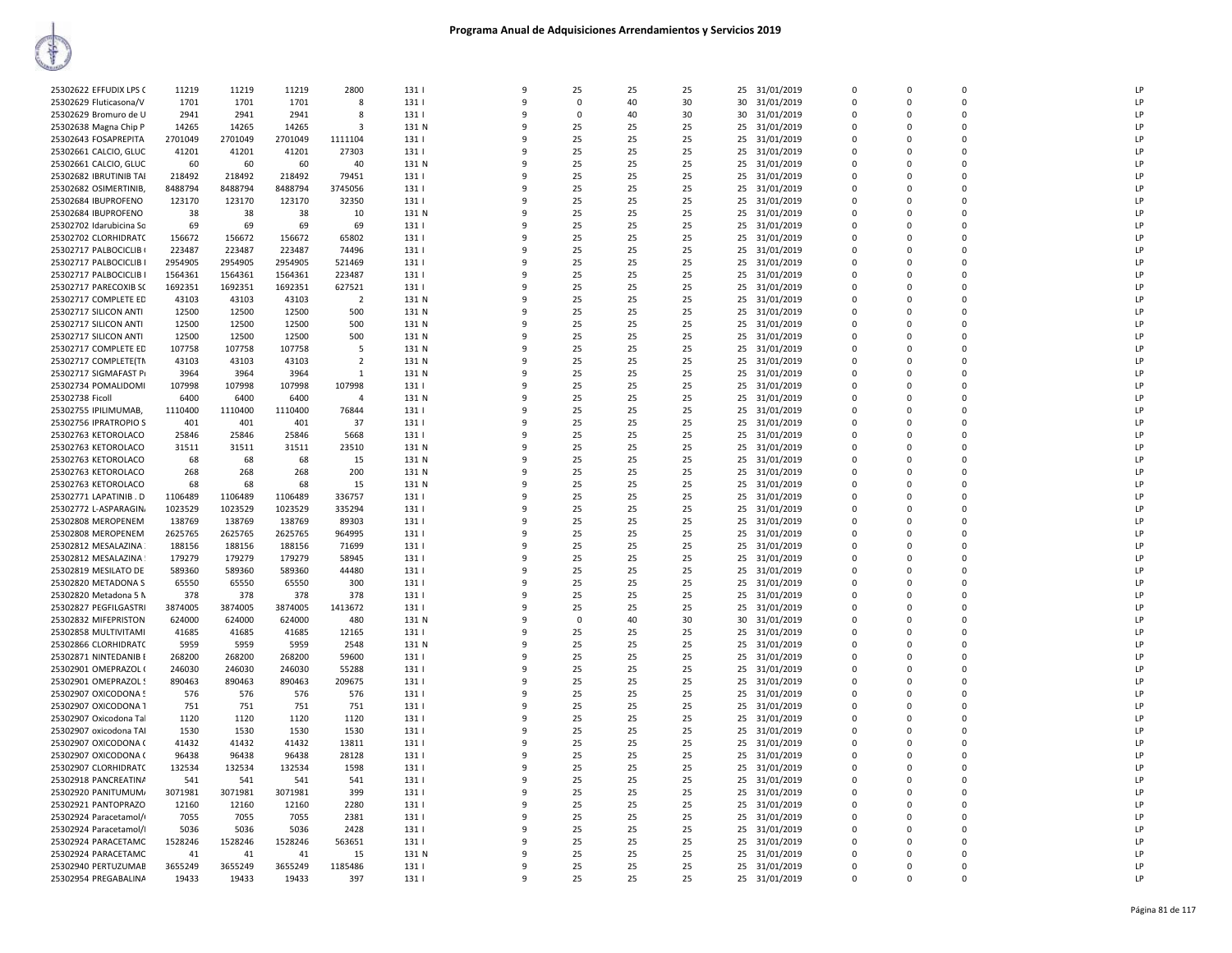| 25302622 EFFUDIX LPS C  | 11219   | 11219   | 11219   | 2800           | 131   | 9            | 25       | 25 | 25 |    | 25 31/01/2019 | $\Omega$ | $\Omega$      | $\Omega$    | LP             |
|-------------------------|---------|---------|---------|----------------|-------|--------------|----------|----|----|----|---------------|----------|---------------|-------------|----------------|
| 25302629 Fluticasona/V  | 1701    | 1701    | 1701    | 8              | 131   | 9            | 0        | 40 | 30 | 30 | 31/01/2019    | $\Omega$ | 0             | $\Omega$    | LP             |
| 25302629 Bromuro de U   | 2941    | 2941    | 2941    | 8              | 131   | 9            | $\Omega$ | 40 | 30 | 30 | 31/01/2019    | $\Omega$ | $\Omega$      | $\Omega$    | LP             |
| 25302638 Magna Chip P   | 14265   | 14265   | 14265   | 3              | 131 N | 9            | 25       | 25 | 25 | 25 | 31/01/2019    |          | 0             | $\Omega$    | LP             |
| 25302643 FOSAPREPITA    | 2701049 | 2701049 | 2701049 | 1111104        | 131   | 9            | 25       | 25 | 25 | 25 | 31/01/2019    | $\Omega$ | $\Omega$      | n           | LP             |
| 25302661 CALCIO, GLUC   | 41201   | 41201   | 41201   | 27303          | 131   | 9            | 25       | 25 | 25 | 25 | 31/01/2019    | $\Omega$ | $\Omega$      | $\Omega$    | LP             |
| 25302661 CALCIO, GLUC   | 60      | 60      | 60      | 40             | 131 N | 9            | 25       | 25 | 25 | 25 | 31/01/2019    | $\Omega$ | $\Omega$      | n           | LP             |
| 25302682 IBRUTINIB TAI  | 218492  | 218492  | 218492  | 79451          | 131   | 9            | 25       | 25 | 25 | 25 | 31/01/2019    | $\Omega$ | $\Omega$      | $\Omega$    | LF             |
| 25302682 OSIMERTINIB,   | 8488794 | 8488794 | 8488794 | 3745056        | 131   | 9            | 25       | 25 | 25 | 25 | 31/01/2019    | 0        | 0             | $\mathbf 0$ | LP             |
| 25302684 IBUPROFENO     | 123170  | 123170  | 123170  | 32350          | 131   | $\mathbf{q}$ | 25       | 25 | 25 | 25 | 31/01/2019    | $\Omega$ | $\Omega$      | $\Omega$    | LP             |
| 25302684 IBUPROFENO     | 38      | 38      | 38      | 10             | 131 N | 9            | 25       | 25 | 25 | 25 | 31/01/2019    |          | $\Omega$      |             | LP             |
| 25302702 Idarubicina So | 69      | 69      | 69      | 69             | 131   | 9            | 25       | 25 | 25 | 25 | 31/01/2019    | $\Omega$ | $\Omega$      | n           | LP             |
| 25302702 CLORHIDRATC    | 156672  | 156672  | 156672  | 65802          | 131   | 9            | 25       | 25 | 25 | 25 | 31/01/2019    | $\Omega$ | $\Omega$      |             | LP             |
| 25302717 PALBOCICLIB (  | 223487  | 223487  | 223487  | 74496          | 131   | 9            | 25       | 25 | 25 | 25 | 31/01/2019    | $\Omega$ | 0             | $\Omega$    | LP             |
| 25302717 PALBOCICLIB I  | 2954905 | 2954905 | 2954905 | 521469         | 131   | q            | 25       | 25 | 25 | 25 | 31/01/2019    | $\Omega$ | $\mathbf 0$   | $\Omega$    | LP             |
| 25302717 PALBOCICLIB I  | 1564361 | 1564361 | 1564361 | 223487         | 131   | 9            | 25       | 25 | 25 | 25 | 31/01/2019    | $\Omega$ | 0             | $\Omega$    | LP             |
|                         | 1692351 |         |         |                |       | 9            |          | 25 |    | 25 |               | $\Omega$ | $\Omega$      | $\Omega$    | LP             |
| 25302717 PARECOXIB SC   |         | 1692351 | 1692351 | 627521         | 131   |              | 25       |    | 25 |    | 31/01/2019    |          |               |             |                |
| 25302717 COMPLETE ED    | 43103   | 43103   | 43103   | $\overline{2}$ | 131 N | 9            | 25       | 25 | 25 | 25 | 31/01/2019    |          | $\Omega$      |             | LP             |
| 25302717 SILICON ANTI   | 12500   | 12500   | 12500   | 500            | 131 N | 9            | 25       | 25 | 25 | 25 | 31/01/2019    | $\Omega$ | $\Omega$      | n           | LP             |
| 25302717 SILICON ANTI   | 12500   | 12500   | 12500   | 500            | 131 N | 9            | 25       | 25 | 25 | 25 | 31/01/2019    | $\Omega$ | $\Omega$      |             | LP             |
| 25302717 SILICON ANTI   | 12500   | 12500   | 12500   | 500            | 131 N | q            | 25       | 25 | 25 | 25 | 31/01/2019    | $\Omega$ | 0             | $\Omega$    | LP             |
| 25302717 COMPLETE ED    | 107758  | 107758  | 107758  | -5             | 131 N | 9            | 25       | 25 | 25 |    | 25 31/01/2019 | $\Omega$ | $\Omega$      | $\Omega$    | LP             |
| 25302717 COMPLETE(TN    | 43103   | 43103   | 43103   | $\overline{2}$ | 131 N | 9            | 25       | 25 | 25 | 25 | 31/01/2019    | $\Omega$ | 0             | $\Omega$    | LP             |
| 25302717 SIGMAFAST PI   | 3964    | 3964    | 3964    | $\overline{1}$ | 131 N | 9            | 25       | 25 | 25 | 25 | 31/01/2019    | $\Omega$ | $\Omega$      | $\Omega$    | LF             |
| 25302734 POMALIDOMI     | 107998  | 107998  | 107998  | 107998         | 131   | 9            | 25       | 25 | 25 | 25 | 31/01/2019    |          | $\Omega$      |             | LP             |
| 25302738 Ficoll         | 6400    | 6400    | 6400    | $\overline{4}$ | 131 N | 9            | 25       | 25 | 25 | 25 | 31/01/2019    | $\Omega$ | 0             | $\Omega$    | LP             |
| 25302755 IPILIMUMAB,    | 1110400 | 1110400 | 1110400 | 76844          | 131   | q            | 25       | 25 | 25 | 25 | 31/01/2019    | $\Omega$ | $\mathbf 0$   | $\Omega$    | LP             |
| 25302756 IPRATROPIO S   | 401     | 401     | 401     | 37             | 131   | 9            | 25       | 25 | 25 | 25 | 31/01/2019    | $\Omega$ | $\Omega$      | $\Omega$    | LP             |
| 25302763 KETOROLACO     | 25846   | 25846   | 25846   | 5668           | 131   | 9            | 25       | 25 | 25 |    | 25 31/01/2019 | $\Omega$ | $\Omega$      | $\Omega$    | LF             |
| 25302763 KETOROLACO     | 31511   | 31511   | 31511   | 23510          | 131 N | 9            | 25       | 25 | 25 | 25 | 31/01/2019    | $\Omega$ | $\mathbf 0$   | $\Omega$    | LP             |
| 25302763 KETOROLACO     | 68      | 68      | 68      | 15             | 131 N | 9            | 25       | 25 | 25 | 25 | 31/01/2019    | $\Omega$ | $\Omega$      | $\Omega$    | LF             |
| 25302763 KETOROLACO     | 268     | 268     | 268     | 200            | 131 N | 9            | 25       | 25 | 25 | 25 | 31/01/2019    |          | 0             | $\Omega$    | LP             |
| 25302763 KETOROLACO     | 68      | 68      | 68      | 15             | 131 N | 9            | 25       | 25 | 25 | 25 | 31/01/2019    | $\Omega$ | $\Omega$      | $\Omega$    | LP             |
| 25302771 LAPATINIB. D   | 1106489 | 1106489 | 1106489 | 336757         | 131   | q            | 25       | 25 | 25 | 25 | 31/01/2019    | $\Omega$ | $\Omega$      | n           | LF             |
| 25302772 L-ASPARAGIN    | 1023529 | 1023529 | 1023529 | 335294         | 131   | 9            | 25       | 25 | 25 | 25 | 31/01/2019    | $\Omega$ | 0             | $\Omega$    | LP             |
| 25302808 MEROPENEM      | 138769  | 138769  | 138769  | 89303          | 131   | 9            | 25       | 25 | 25 | 25 | 31/01/2019    | $\Omega$ | $\Omega$      | $\Omega$    | LF             |
| 25302808 MEROPENEM      | 2625765 | 2625765 | 2625765 | 964995         | 131   | 9            | 25       | 25 | 25 | 25 | 31/01/2019    | 0        | 0             | $\mathbf 0$ | LP             |
| 25302812 MESALAZINA     | 188156  | 188156  | 188156  | 71699          | 131   | 9            | 25       | 25 | 25 | 25 | 31/01/2019    | $\Omega$ | $\Omega$      | $\Omega$    | LP             |
| 25302812 MESALAZINA     | 179279  | 179279  | 179279  | 58945          | 131   | 9            | 25       | 25 | 25 | 25 | 31/01/2019    |          | $\Omega$      |             | LP             |
| 25302819 MESILATO DE    | 589360  | 589360  | 589360  | 44480          | 131   | 9            | 25       | 25 | 25 | 25 | 31/01/2019    | $\Omega$ | $\Omega$      | n           | LP             |
| 25302820 METADONA S     | 65550   | 65550   | 65550   | 300            | 131   | 9            | 25       | 25 | 25 | 25 | 31/01/2019    | $\Omega$ | $\Omega$      | $\Omega$    | LP             |
| 25302820 Metadona 5 N   | 378     | 378     | 378     | 378            | 131   | 9            | 25       | 25 | 25 |    | 25 31/01/2019 | $\Omega$ | $\mathbf 0$   | $\Omega$    | LP             |
| 25302827 PEGFILGASTRI   | 3874005 | 3874005 | 3874005 | 1413672        | 131   | 9            | 25       | 25 | 25 | 25 | 31/01/2019    | $\Omega$ | $\Omega$      | $\Omega$    | LP             |
| 25302832 MIFEPRISTON    | 624000  | 624000  | 624000  | 480            | 131 N | 9            | $\Omega$ | 40 | 30 | 30 | 31/01/2019    | $\Omega$ | $\Omega$      | $\Omega$    | LP             |
| 25302858 MULTIVITAMI    | 41685   | 41685   | 41685   | 12165          | 131   | 9            | 25       | 25 | 25 | 25 | 31/01/2019    | $\Omega$ | $\Omega$      | n           | LP             |
| 25302866 CLORHIDRATO    | 5959    | 5959    | 5959    | 2548           | 131 N | 9            | 25       | 25 | 25 | 25 | 31/01/2019    |          | $\Omega$      |             | LP             |
|                         |         |         |         |                |       |              |          |    |    |    |               | $\Omega$ |               | $\Omega$    | LP             |
| 25302871 NINTEDANIB E   | 268200  | 268200  | 268200  | 59600          | 131   | 9<br>9       | 25<br>25 | 25 | 25 | 25 | 31/01/2019    | $\Omega$ | 0<br>$\Omega$ | $\Omega$    | LP             |
| 25302901 OMEPRAZOL (    | 246030  | 246030  | 246030  | 55288          | 131   |              |          | 25 | 25 | 25 | 31/01/2019    |          |               | $\Omega$    |                |
| 25302901 OMEPRAZOL 9    | 890463  | 890463  | 890463  | 209675         | 131   | 9            | 25       | 25 | 25 | 25 | 31/01/2019    | $\Omega$ | $\Omega$      |             | LP             |
| 25302907 OXICODONA 5    | 576     | 576     | 576     | 576            | 131   | 9            | 25       | 25 | 25 | 25 | 31/01/2019    | $\Omega$ | $\Omega$      | $\Omega$    | LP             |
| 25302907 OXICODONA 1    | 751     | 751     | 751     | 751            | 131   | 9            | 25       | 25 | 25 | 25 | 31/01/2019    | $\Omega$ | $\Omega$      | $\Omega$    | LP             |
| 25302907 Oxicodona Tal  | 1120    | 1120    | 1120    | 1120           | 131   | 9            | 25       | 25 | 25 | 25 | 31/01/2019    | $\Omega$ | $\Omega$      | n           | LP             |
| 25302907 oxicodona TAI  | 1530    | 1530    | 1530    | 1530           | 131   | 9            | 25       | 25 | 25 | 25 | 31/01/2019    | $\Omega$ | $\Omega$      |             | LP             |
| 25302907 OXICODONA (    | 41432   | 41432   | 41432   | 13811          | 131   | 9            | 25       | 25 | 25 | 25 | 31/01/2019    | $\Omega$ | 0             | $\Omega$    | LP             |
| 25302907 OXICODONA (    | 96438   | 96438   | 96438   | 28128          | 131   | q            | 25       | 25 | 25 | 25 | 31/01/2019    | $\Omega$ | $\Omega$      | $\Omega$    | LP             |
| 25302907 CLORHIDRATC    | 132534  | 132534  | 132534  | 1598           | 131   | 9            | 25       | 25 | 25 |    | 25 31/01/2019 | $\Omega$ | $\Omega$      | $\Omega$    | LP             |
| 25302918 PANCREATINA    | 541     | 541     | 541     | 541            | 131   | 9            | 25       | 25 | 25 |    | 25 31/01/2019 | $\Omega$ | $\Omega$      | $\Omega$    | LF             |
| 25302920 PANITUMUM/     | 3071981 | 3071981 | 3071981 | 399            | 131   | 9            | 25       | 25 | 25 | 25 | 31/01/2019    | $\Omega$ | $\Omega$      | $\Omega$    | LP             |
| 25302921 PANTOPRAZO     | 12160   | 12160   | 12160   | 2280           | 131   | 9            | 25       | 25 | 25 | 25 | 31/01/2019    | $\Omega$ | 0             | $\Omega$    | LP             |
| 25302924 Paracetamol/   | 7055    | 7055    | 7055    | 2381           | 131   | q            | 25       | 25 | 25 | 25 | 31/01/2019    | $\Omega$ | $\mathbf 0$   | $\Omega$    | LP             |
| 25302924 Paracetamol/I  | 5036    | 5036    | 5036    | 2428           | 131   | 9            | 25       | 25 | 25 | 25 | 31/01/2019    | $\Omega$ | $\Omega$      | n           | LP             |
| 25302924 PARACETAMC     | 1528246 | 1528246 | 1528246 | 563651         | 131   | 9            | 25       | 25 | 25 | 25 | 31/01/2019    | $\Omega$ | $\Omega$      | $\Omega$    | LP             |
| 25302924 PARACETAMC     | 41      | 41      | 41      | 15             | 131 N | 9            | 25       | 25 | 25 | 25 | 31/01/2019    | $\Omega$ | 0             | $\Omega$    | LP             |
| 25302940 PERTUZUMAB     | 3655249 | 3655249 | 3655249 | 1185486        | 131   | 9            | 25       | 25 | 25 |    | 25 31/01/2019 | $\Omega$ | $\Omega$      | $\Omega$    | LP             |
| 25302954 PREGABALINA    | 19433   | 19433   | 19433   | 397            | 131   | 9            | 25       | 25 | 25 | 25 | 31/01/2019    | $\Omega$ | $\mathbf 0$   |             | I <sub>P</sub> |
|                         |         |         |         |                |       |              |          |    |    |    |               |          |               |             |                |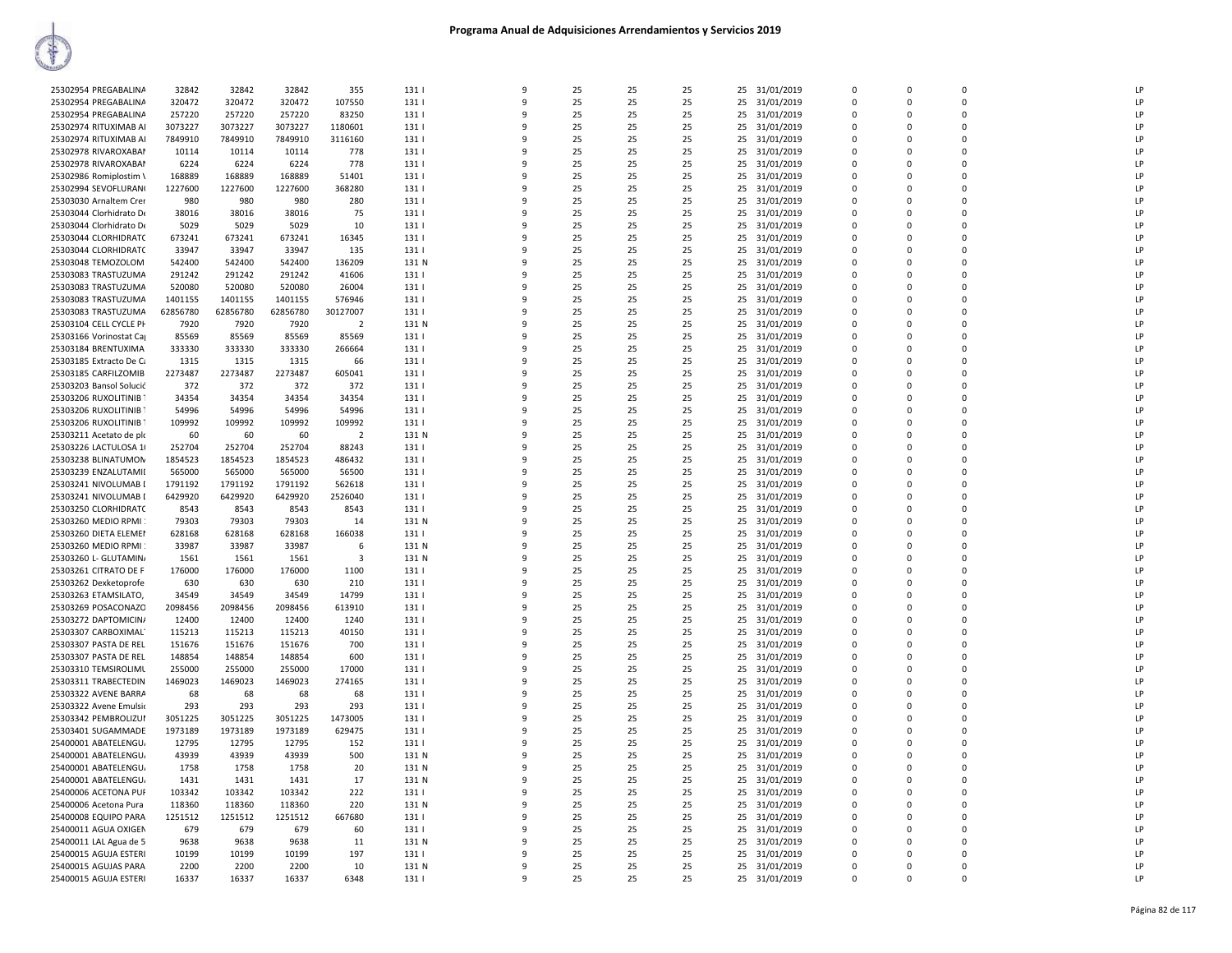| 25302954 PREGABALINA    | 32842    | 32842    | 32842    | 355            | 131   | 9            | 25 | 25 | 25 | 25<br>31/01/2019 | $\mathbf 0$  | 0           | $\Omega$    | LP |
|-------------------------|----------|----------|----------|----------------|-------|--------------|----|----|----|------------------|--------------|-------------|-------------|----|
| 25302954 PREGABALINA    | 320472   | 320472   | 320472   | 107550         | 131   | $\mathbf{q}$ | 25 | 25 | 25 | 25<br>31/01/2019 | $\mathbf 0$  | $\mathbf 0$ | $\Omega$    | LP |
|                         |          |          |          |                |       |              |    |    |    |                  |              |             |             |    |
| 25302954 PREGABALINA    | 257220   | 257220   | 257220   | 83250          | 131   | q            | 25 | 25 | 25 | 25<br>31/01/2019 | $\Omega$     | $\Omega$    | $\Omega$    | LP |
| 25302974 RITUXIMAB AI   | 3073227  | 3073227  | 3073227  | 1180601        | 131   | q            | 25 | 25 | 25 | 31/01/2019<br>25 | $\Omega$     | $\Omega$    | $\Omega$    | LP |
|                         |          |          |          |                |       |              |    |    |    |                  |              |             |             |    |
| 25302974 RITUXIMAB AI   | 7849910  | 7849910  | 7849910  | 3116160        | 131   | 9            | 25 | 25 | 25 | 25<br>31/01/2019 | $\Omega$     | O           | $\Omega$    | LP |
| 25302978 RIVAROXABAM    | 10114    | 10114    | 10114    | 778            | 131   | q            | 25 | 25 | 25 | 25<br>31/01/2019 | $\Omega$     | $\Omega$    | $\Omega$    | LP |
|                         |          |          |          |                |       |              |    |    |    |                  |              |             |             |    |
| 25302978 RIVAROXABAI    | 6224     | 6224     | 6224     | 778            | 131   | 9            | 25 | 25 | 25 | 25<br>31/01/2019 | $\mathbf 0$  | $\Omega$    | $\Omega$    | LP |
| 25302986 Romiplostim \  | 168889   | 168889   | 168889   | 51401          | 131   | 9            | 25 | 25 | 25 | 25<br>31/01/2019 | $\mathbf 0$  | $\mathbf 0$ | $\Omega$    | LP |
|                         |          |          |          |                |       | q            |    |    |    |                  |              |             |             |    |
| 25302994 SEVOFLURAN(    | 1227600  | 1227600  | 1227600  | 368280         | 131   |              | 25 | 25 | 25 | 31/01/2019<br>25 | $\Omega$     | $\Omega$    | $\Omega$    | LP |
| 25303030 Arnaltem Crer  | 980      | 980      | 980      | 280            | 131   | q            | 25 | 25 | 25 | 25<br>31/01/2019 | 0            | 0           | $\Omega$    | LP |
|                         |          |          |          |                |       | q            |    |    |    |                  |              | $\Omega$    | $\Omega$    | LP |
| 25303044 Clorhidrato De | 38016    | 38016    | 38016    | 75             | 131   |              | 25 | 25 | 25 | 25<br>31/01/2019 | $\Omega$     |             |             |    |
| 25303044 Clorhidrato De | 5029     | 5029     | 5029     | 10             | 131   | q            | 25 | 25 | 25 | 25<br>31/01/2019 | $\Omega$     | O           | $\Omega$    | LP |
|                         | 673241   | 673241   | 673241   |                | 131   | q            | 25 | 25 | 25 | 25               | $\Omega$     | $\Omega$    | $\Omega$    | LP |
| 25303044 CLORHIDRATC    |          |          |          | 16345          |       |              |    |    |    | 31/01/2019       |              |             |             |    |
| 25303044 CLORHIDRATC    | 33947    | 33947    | 33947    | 135            | 131   | q            | 25 | 25 | 25 | 31/01/2019<br>25 | $\Omega$     | $\Omega$    | $\Omega$    | LP |
| 25303048 TEMOZOLOM      | 542400   | 542400   | 542400   | 136209         | 131 N | ٩            | 25 | 25 | 25 | 31/01/2019<br>25 | $\mathbf 0$  | $\mathbf 0$ | $\Omega$    | LP |
|                         |          |          |          |                |       |              |    |    |    |                  |              |             |             |    |
| 25303083 TRASTUZUMA     | 291242   | 291242   | 291242   | 41606          | 131   | 9            | 25 | 25 | 25 | 25<br>31/01/2019 | $\mathbf 0$  | $\Omega$    | $\Omega$    | LP |
| 25303083 TRASTUZUMA     | 520080   | 520080   | 520080   | 26004          | 131   |              | 25 | 25 | 25 | 25<br>31/01/2019 | $\mathbf 0$  | $\mathbf 0$ | $\Omega$    | LP |
|                         |          |          |          |                |       |              |    |    |    |                  |              |             |             |    |
| 25303083 TRASTUZUMA     | 1401155  | 1401155  | 1401155  | 576946         | 131   | q            | 25 | 25 | 25 | 25<br>31/01/2019 | $\Omega$     | $\Omega$    | $\Omega$    | LP |
| 25303083 TRASTUZUMA     | 62856780 | 62856780 | 62856780 | 30127007       | 131   | q            | 25 | 25 | 25 | 25<br>31/01/2019 | 0            | 0           | $\mathbf 0$ | LP |
|                         |          |          |          |                |       | q            |    |    |    |                  | $\Omega$     | $\Omega$    | $\Omega$    |    |
| 25303104 CELL CYCLE PH  | 7920     | 7920     | 7920     | $\overline{2}$ | 131 N |              | 25 | 25 | 25 | 25<br>31/01/2019 |              |             |             | LP |
| 25303166 Vorinostat Ca  | 85569    | 85569    | 85569    | 85569          | 131   | q            | 25 | 25 | 25 | 31/01/2019<br>25 | $\Omega$     | $\Omega$    | $\Omega$    | LP |
|                         | 333330   | 333330   | 333330   |                | 131   | q            | 25 | 25 | 25 | 25               | $\mathbf{0}$ | $\Omega$    | $\Omega$    | LP |
| 25303184 BRENTUXIMA     |          |          |          | 266664         |       |              |    |    |    | 31/01/2019       |              |             |             |    |
| 25303185 Extracto De Ca | 1315     | 1315     | 1315     | 66             | 131   | 9            | 25 | 25 | 25 | 25<br>31/01/2019 | $\mathbf 0$  | $\Omega$    | $\Omega$    | LP |
| 25303185 CARFILZOMIB    | 2273487  | 2273487  | 2273487  | 605041         | 131   | q            | 25 | 25 | 25 | 25<br>31/01/2019 | $\Omega$     | $\Omega$    | $\Omega$    | LP |
|                         |          |          |          |                |       |              |    |    |    |                  |              |             |             |    |
| 25303203 Bansol Solucić | 372      | 372      | 372      | 372            | 131   | q            | 25 | 25 | 25 | 31/01/2019<br>25 | $\Omega$     | $\Omega$    | $\Omega$    | LP |
| 25303206 RUXOLITINIB    | 34354    | 34354    | 34354    | 34354          | 131   | 9            | 25 | 25 | 25 | 25<br>31/01/2019 | $\mathbf 0$  | 0           | $\Omega$    | LP |
|                         |          |          |          |                |       |              |    |    |    |                  |              |             |             |    |
| 25303206 RUXOLITINIB T  | 54996    | 54996    | 54996    | 54996          | 131   | q            | 25 | 25 | 25 | 25<br>31/01/2019 | $\Omega$     | $\Omega$    | $\Omega$    | LP |
| 25303206 RUXOLITINIB T  | 109992   | 109992   | 109992   | 109992         | 131   | q            | 25 | 25 | 25 | 25<br>31/01/2019 | 0            | 0           | $\mathbf 0$ | LP |
|                         |          |          |          |                |       |              |    |    |    |                  |              |             |             |    |
| 25303211 Acetato de plo | 60       | 60       | 60       | $\overline{2}$ | 131 N | q            | 25 | 25 | 25 | 31/01/2019<br>25 | $\Omega$     | $\Omega$    | $\Omega$    | LP |
| 25303226 LACTULOSA 1    | 252704   | 252704   | 252704   | 88243          | 131   | 9            | 25 | 25 | 25 | 25<br>31/01/2019 | $\Omega$     | $\Omega$    | $\Omega$    | LP |
|                         |          |          |          |                |       | q            |    |    |    |                  |              |             | $\Omega$    | LP |
| 25303238 BLINATUMON     | 1854523  | 1854523  | 1854523  | 486432         | 131   |              | 25 | 25 | 25 | 31/01/2019<br>25 | $\Omega$     | $\Omega$    |             |    |
| 25303239 ENZALUTAMII    | 565000   | 565000   | 565000   | 56500          | 131   | q            | 25 | 25 | 25 | 25<br>31/01/2019 | $\Omega$     | 0           | $\Omega$    | LP |
|                         | 1791192  |          |          |                |       |              | 25 | 25 |    |                  |              | $\Omega$    | $\Omega$    | LP |
| 25303241 NIVOLUMAB I    |          | 1791192  | 1791192  | 562618         | 131   | ٩            |    |    | 25 | 25<br>31/01/2019 | $\mathbf 0$  |             |             |    |
| 25303241 NIVOLUMAB I    | 6429920  | 6429920  | 6429920  | 2526040        | 131   | q            | 25 | 25 | 25 | 25<br>31/01/2019 | $\Omega$     | $\Omega$    | $\Omega$    | LP |
| 25303250 CLORHIDRATO    | 8543     | 8543     | 8543     | 8543           | 131   |              | 25 | 25 | 25 | 25<br>31/01/2019 | $\mathbf 0$  | $\Omega$    | $\Omega$    | LP |
|                         |          |          |          |                |       |              |    |    |    |                  |              |             |             |    |
| 25303260 MEDIO RPMI     | 79303    | 79303    | 79303    | 14             | 131 N | 9            | 25 | 25 | 25 | 31/01/2019<br>25 | $\mathbf 0$  | $\Omega$    | $\Omega$    | LP |
| 25303260 DIETA ELEMEN   | 628168   | 628168   | 628168   | 166038         | 131   | 9            | 25 | 25 | 25 | 25<br>31/01/2019 | $\mathbf 0$  | 0           | $\mathbf 0$ | LP |
|                         |          |          |          |                |       |              |    |    |    |                  |              |             |             |    |
| 25303260 MEDIO RPMI     | 33987    | 33987    | 33987    | 6              | 131 N | q            | 25 | 25 | 25 | 31/01/2019<br>25 | $\Omega$     | $\Omega$    | $\Omega$    | LP |
| 25303260 L- GLUTAMIN/   | 1561     | 1561     | 1561     | $\overline{3}$ | 131 N | q            | 25 | 25 | 25 | 31/01/2019<br>25 | $\Omega$     | 0           | $\Omega$    | LP |
|                         |          |          |          |                |       |              |    |    |    |                  |              |             |             | LP |
| 25303261 CITRATO DE F   | 176000   | 176000   | 176000   | 1100           | 131   | ٩            | 25 | 25 | 25 | 25<br>31/01/2019 | 0            | $\Omega$    | $\Omega$    |    |
| 25303262 Dexketoprofe   | 630      | 630      | 630      | 210            | 131   | 9            | 25 | 25 | 25 | 25<br>31/01/2019 | $\Omega$     | O           | $\Omega$    | LP |
|                         |          |          |          |                |       | ٩            | 25 | 25 |    |                  | $\Omega$     | $\Omega$    | $\Omega$    | LP |
| 25303263 ETAMSILATO,    | 34549    | 34549    | 34549    | 14799          | 131   |              |    |    | 25 | 25<br>31/01/2019 |              |             |             |    |
| 25303269 POSACONAZO     | 2098456  | 2098456  | 2098456  | 613910         | 131   | 9            | 25 | 25 | 25 | 31/01/2019<br>25 | $\Omega$     | $\Omega$    | $\Omega$    | LP |
| 25303272 DAPTOMICIN/    | 12400    | 12400    | 12400    | 1240           | 131   | 9            | 25 | 25 | 25 | 25<br>31/01/2019 | $\mathbf 0$  | 0           | $\mathbf 0$ | LP |
|                         |          |          |          |                |       |              |    |    |    |                  |              |             |             |    |
| 25303307 CARBOXIMAL     | 115213   | 115213   | 115213   | 40150          | 131   | q            | 25 | 25 | 25 | 25<br>31/01/2019 | $\Omega$     | $\Omega$    | $\Omega$    | LP |
| 25303307 PASTA DE REL   | 151676   | 151676   | 151676   | 700            | 131   | q            | 25 | 25 | 25 | 25<br>31/01/2019 | 0            | 0           | $\Omega$    | LP |
|                         |          |          |          |                |       |              |    |    |    |                  |              |             |             |    |
| 25303307 PASTA DE REL   | 148854   | 148854   | 148854   | 600            | 131   | q            | 25 | 25 | 25 | 25<br>31/01/2019 | $\Omega$     | $\Omega$    | $\Omega$    | LP |
| 25303310 TEMSIROLIML    | 255000   | 255000   | 255000   | 17000          | 131   | q            | 25 | 25 | 25 | 25<br>31/01/2019 | $\Omega$     | O           | $\Omega$    | LP |
|                         | 1469023  | 1469023  | 1469023  | 274165         | 131   | q            | 25 | 25 | 25 | 25               | $\Omega$     | $\Omega$    | $\Omega$    | LP |
| 25303311 TRABECTEDIN    |          |          |          |                |       |              |    |    |    | 31/01/2019       |              |             |             |    |
| 25303322 AVENE BARRA    | 68       | 68       | 68       | 68             | 131   | q            | 25 | 25 | 25 | 31/01/2019<br>25 | $\Omega$     | $\Omega$    | $\Omega$    | LP |
| 25303322 Avene Emulsio  | 293      | 293      | 293      | 293            | 131   | 9            | 25 | 25 | 25 | 25<br>31/01/2019 | $\mathbf 0$  | $\mathbf 0$ | $\Omega$    | LP |
|                         |          |          |          |                |       |              |    |    |    |                  |              |             |             |    |
| 25303342 PEMBROLIZUI    | 3051225  | 3051225  | 3051225  | 1473005        | 131   | $\mathbf{q}$ | 25 | 25 | 25 | 31/01/2019<br>25 | $\Omega$     | $\Omega$    | $\Omega$    | LP |
| 25303401 SUGAMMADE      | 1973189  | 1973189  | 1973189  | 629475         | 131   | q            | 25 | 25 | 25 | 25<br>31/01/2019 | 0            | 0           | $\Omega$    | LP |
|                         |          |          |          |                |       |              |    |    |    |                  |              |             |             |    |
| 25400001 ABATELENGU     | 12795    | 12795    | 12795    | 152            | 131   | q            | 25 | 25 | 25 | 25<br>31/01/2019 | $\mathbf 0$  | $\Omega$    | $\mathbf 0$ | LP |
| 25400001 ABATELENGU     | 43939    | 43939    | 43939    | 500            | 131 N | q            | 25 | 25 | 25 | 25<br>31/01/2019 | $\Omega$     | O           | $\Omega$    | LP |
|                         |          |          |          |                |       | q            | 25 |    | 25 |                  | $\Omega$     | $\Omega$    | $\Omega$    | LP |
| 25400001 ABATELENGU     | 1758     | 1758     | 1758     | 20             | 131 N |              |    | 25 |    | 25<br>31/01/2019 |              |             |             |    |
| 25400001 ABATELENGU     | 1431     | 1431     | 1431     | 17             | 131 N | q            | 25 | 25 | 25 | 31/01/2019<br>25 | $\Omega$     | O           | $\Omega$    | LP |
|                         | 103342   | 103342   |          | 222            |       | 9            |    | 25 |    | 31/01/2019       | $\mathbf{0}$ | $\Omega$    | $\Omega$    | LP |
| 25400006 ACETONA PUF    |          |          | 103342   |                | 131   |              | 25 |    | 25 | 25               |              |             |             |    |
| 25400006 Acetona Pura   | 118360   | 118360   | 118360   | 220            | 131 N | q            | 25 | 25 | 25 | 25<br>31/01/2019 | $\Omega$     | $\Omega$    | $\Omega$    | LP |
| 25400008 EQUIPO PARA    | 1251512  | 1251512  | 1251512  | 667680         | 131   | ٩            | 25 | 25 | 25 | 25<br>31/01/2019 | $\Omega$     | $\Omega$    | $\Omega$    | LP |
|                         |          |          |          |                |       |              |    |    |    |                  |              |             |             |    |
| 25400011 AGUA OXIGEN    | 679      | 679      | 679      | 60             | 131   | q            | 25 | 25 | 25 | 31/01/2019<br>25 | $\Omega$     | $\Omega$    | $\Omega$    | LP |
| 25400011 LAL Agua de 5  | 9638     | 9638     | 9638     | 11             | 131 N | 9            | 25 | 25 | 25 | 25<br>31/01/2019 | 0            | 0           | $\Omega$    | LP |
|                         |          |          |          |                |       |              |    |    |    |                  |              |             |             |    |
| 25400015 AGUJA ESTERI   | 10199    | 10199    | 10199    | 197            | 131   | q            | 25 | 25 | 25 | 25<br>31/01/2019 | $\Omega$     | $\Omega$    | $\Omega$    | LP |
| 25400015 AGUJAS PARA    | 2200     | 2200     | 2200     | 10             | 131 N | q            | 25 | 25 | 25 | 31/01/2019<br>25 | $\Omega$     | O           | $\Omega$    | LP |
|                         | 16337    |          |          |                |       | $\mathbf{q}$ | 25 | 25 | 25 |                  | $\Omega$     | $\Omega$    | $\Omega$    | LP |
| 25400015 AGUJA ESTERI   |          | 16337    | 16337    | 6348           | 131   |              |    |    |    | 25 31/01/2019    |              |             |             |    |
|                         |          |          |          |                |       |              |    |    |    |                  |              |             |             |    |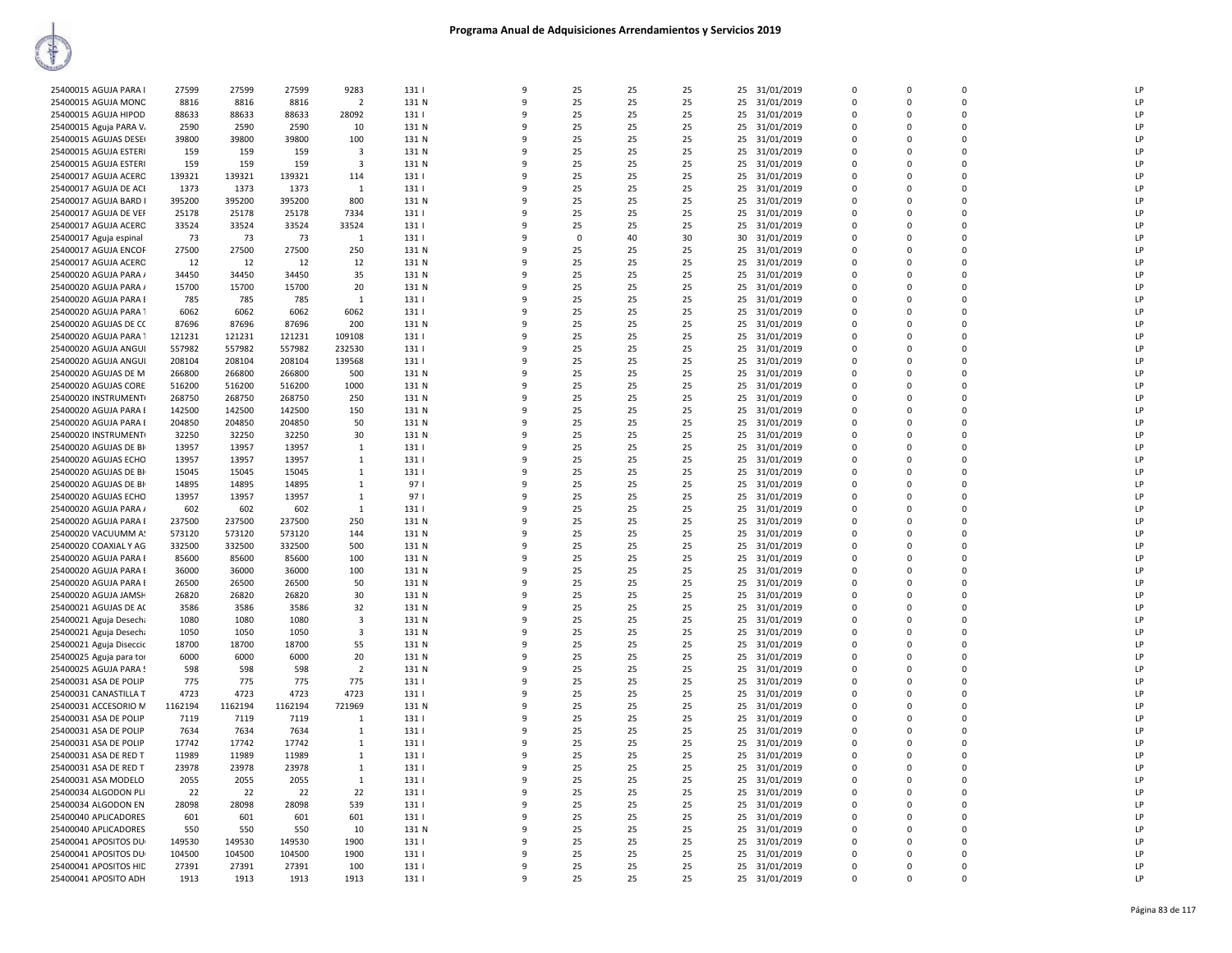| 25400015 AGUJA PARA I   | 27599   | 27599   | 27599   | 9283                    | 131   | 9 | 25       | 25 | 25 | 25<br>31/01/2019 | 0           | $\mathbf 0$ | $\mathbf 0$ | LP |
|-------------------------|---------|---------|---------|-------------------------|-------|---|----------|----|----|------------------|-------------|-------------|-------------|----|
| 25400015 AGUJA MONC     | 8816    | 8816    | 8816    | $\overline{2}$          | 131 N | q | 25       | 25 | 25 | 25<br>31/01/2019 | $\Omega$    | $\Omega$    | $\Omega$    | LP |
| 25400015 AGUJA HIPOD    | 88633   | 88633   | 88633   | 28092                   | 131   |   | 25       | 25 | 25 | 25<br>31/01/2019 | $\Omega$    | $\Omega$    | $\Omega$    | LP |
|                         |         |         |         |                         |       |   |          |    |    |                  |             |             |             |    |
| 25400015 Aguja PARA V.  | 2590    | 2590    | 2590    | 10                      | 131 N | q | 25       | 25 | 25 | 31/01/2019<br>25 | $\Omega$    | $\Omega$    | $\mathbf 0$ | LP |
| 25400015 AGUJAS DESE    | 39800   | 39800   | 39800   | 100                     | 131 N | 9 | 25       | 25 | 25 | 25<br>31/01/2019 | $\Omega$    | $\Omega$    | $\Omega$    | LP |
| 25400015 AGUJA ESTERI   | 159     | 159     | 159     | 3                       | 131 N | q | 25       | 25 | 25 | 31/01/2019<br>25 | $\Omega$    | $\Omega$    | $\Omega$    | LP |
|                         |         |         |         |                         |       |   |          |    |    |                  |             |             |             |    |
| 25400015 AGUJA ESTERI   | 159     | 159     | 159     | $\overline{\mathbf{3}}$ | 131 N |   | 25       | 25 | 25 | 25 31/01/2019    | $\Omega$    | $\Omega$    | $\mathbf 0$ | LP |
| 25400017 AGUJA ACERO    | 139321  | 139321  | 139321  | 114                     | 131   | 9 | 25       | 25 | 25 | 25<br>31/01/2019 | $\mathbf 0$ | $\Omega$    | $\mathbf 0$ | LP |
| 25400017 AGUJA DE ACI   | 1373    | 1373    | 1373    | $\mathbf{1}$            | 131   | c | 25       | 25 | 25 | 31/01/2019<br>25 | $\Omega$    | $\Omega$    | $\Omega$    | LP |
|                         |         |         |         |                         |       |   |          |    |    |                  |             |             |             |    |
| 25400017 AGUJA BARD I   | 395200  | 395200  | 395200  | 800                     | 131 N |   | 25       | 25 | 25 | 25<br>31/01/2019 | 0           | $\Omega$    | $\mathbf 0$ | LP |
| 25400017 AGUJA DE VEF   | 25178   | 25178   | 25178   | 7334                    | 131   |   | 25       | 25 | 25 | 25<br>31/01/2019 | $\Omega$    | $\Omega$    | $\mathbf 0$ | LP |
| 25400017 AGUJA ACERO    | 33524   | 33524   | 33524   | 33524                   | 131   |   | 25       | 25 | 25 | 25<br>31/01/2019 | 0           | $\Omega$    | $\mathbf 0$ | LP |
|                         |         |         |         |                         |       |   |          |    |    |                  |             |             |             |    |
| 25400017 Aguja espinal  | 73      | 73      | 73      | $\mathbf{1}$            | 131   | ۰ | $\Omega$ | 40 | 30 | 31/01/2019<br>30 | $\Omega$    | $\Omega$    | $\Omega$    | LP |
| 25400017 AGUJA ENCOF    | 27500   | 27500   | 27500   | 250                     | 131 N |   | 25       | 25 | 25 | 31/01/2019<br>25 | $\Omega$    | $\Omega$    | $\Omega$    | LP |
| 25400017 AGUJA ACERO    | 12      | 12      | 12      | 12                      | 131 N | q | 25       | 25 | 25 | 31/01/2019<br>25 | $\Omega$    | $\Omega$    | $\mathbf 0$ | LP |
|                         | 34450   | 34450   | 34450   | 35                      |       | 9 | 25       | 25 | 25 |                  | $\Omega$    | $\Omega$    | $\Omega$    | LP |
| 25400020 AGUJA PARA /   |         |         |         |                         | 131 N |   |          |    |    | 25<br>31/01/2019 |             |             |             |    |
| 25400020 AGUJA PARA /   | 15700   | 15700   | 15700   | 20                      | 131 N |   | 25       | 25 | 25 | 25 31/01/2019    | 0           | $\Omega$    | $\mathbf 0$ | LP |
| 25400020 AGUJA PARA I   | 785     | 785     | 785     | 1                       | 131   |   | 25       | 25 | 25 | 31/01/2019<br>25 | $\Omega$    | $\Omega$    | $\Omega$    | LP |
|                         |         |         |         |                         |       |   |          |    |    |                  |             |             |             |    |
| 25400020 AGUJA PARA 1   | 6062    | 6062    | 6062    | 6062                    | 131   |   | 25       | 25 | 25 | 25<br>31/01/2019 | 0           | $\Omega$    | $\mathbf 0$ | LP |
| 25400020 AGUJAS DE CO   | 87696   | 87696   | 87696   | 200                     | 131 N | q | 25       | 25 | 25 | 25<br>31/01/2019 | $\Omega$    | $\Omega$    | $\Omega$    | LP |
| 25400020 AGUJA PARA     | 121231  | 121231  | 121231  | 109108                  | 131   |   | 25       | 25 | 25 | 25<br>31/01/2019 | 0           | $\mathbf 0$ | $\mathbf 0$ | LP |
|                         |         |         |         | 232530                  |       | q |          |    |    |                  | $\Omega$    | $\Omega$    | $\Omega$    | LP |
| 25400020 AGUJA ANGUI    | 557982  | 557982  | 557982  |                         | 131   |   | 25       | 25 | 25 | 31/01/2019<br>25 |             |             |             |    |
| 25400020 AGUJA ANGUI    | 208104  | 208104  | 208104  | 139568                  | 131   | 9 | 25       | 25 | 25 | 31/01/2019<br>25 | $\Omega$    | $\Omega$    | $\Omega$    | LP |
| 25400020 AGUJAS DE M    | 266800  | 266800  | 266800  | 500                     | 131 N | q | 25       | 25 | 25 | 25<br>31/01/2019 | $\Omega$    | $\Omega$    | $\Omega$    | LP |
|                         |         |         |         |                         |       |   |          |    |    |                  |             |             |             |    |
| 25400020 AGUJAS CORE    | 516200  | 516200  | 516200  | 1000                    | 131 N | c | 25       | 25 | 25 | 25 31/01/2019    | $\Omega$    | $\Omega$    | $\Omega$    | LP |
| 25400020 INSTRUMENT(    | 268750  | 268750  | 268750  | 250                     | 131 N | 9 | 25       | 25 | 25 | 25<br>31/01/2019 | 0           | $\Omega$    | 0           | LP |
| 25400020 AGUJA PARA I   | 142500  | 142500  | 142500  | 150                     | 131 N | q | 25       | 25 | 25 | 25<br>31/01/2019 | $\Omega$    | $\Omega$    | $\Omega$    | LP |
|                         |         |         |         |                         |       |   |          |    |    |                  |             |             |             |    |
| 25400020 AGUJA PARA I   | 204850  | 204850  | 204850  | 50                      | 131 N |   | 25       | 25 | 25 | 25<br>31/01/2019 | 0           | $\Omega$    | $\mathbf 0$ | LP |
| 25400020 INSTRUMENT     | 32250   | 32250   | 32250   | 30                      | 131 N | 9 | 25       | 25 | 25 | 31/01/2019<br>25 | $\Omega$    | $\Omega$    | $\mathbf 0$ | LP |
| 25400020 AGUJAS DE BI   | 13957   | 13957   | 13957   | 1                       | 131   | 9 | 25       | 25 | 25 | 25<br>31/01/2019 | 0           | $\mathbf 0$ | $\mathbf 0$ | LP |
|                         |         |         |         |                         |       | c |          |    |    |                  | $\Omega$    | $\Omega$    | $\Omega$    | LP |
| 25400020 AGUJAS ECHO    | 13957   | 13957   | 13957   | 1                       | 131   |   | 25       | 25 | 25 | 31/01/2019<br>25 |             |             |             |    |
| 25400020 AGUJAS DE BI   | 15045   | 15045   | 15045   | $\mathbf{1}$            | 131   |   | 25       | 25 | 25 | 25 31/01/2019    | $\Omega$    | $\Omega$    | $\Omega$    | LP |
| 25400020 AGUJAS DE BI   | 14895   | 14895   | 14895   | $\mathbf{1}$            | 97 I  |   | 25       | 25 | 25 | 31/01/2019<br>25 | $\Omega$    | $\Omega$    | 0           | LP |
|                         |         |         |         |                         |       |   |          |    |    |                  |             |             |             |    |
| 25400020 AGUJAS ECHO    | 13957   | 13957   | 13957   | $\mathbf{1}$            | 97 I  | q | 25       | 25 | 25 | 25 31/01/2019    | $\Omega$    | $\Omega$    | $\Omega$    | LP |
| 25400020 AGUJA PARA /   | 602     | 602     | 602     | $\mathbf{1}$            | 131   | q | 25       | 25 | 25 | 25<br>31/01/2019 | $\Omega$    | $\Omega$    | $\Omega$    | LP |
| 25400020 AGUJA PARA I   | 237500  | 237500  | 237500  | 250                     | 131 N | q | 25       | 25 | 25 | 25 31/01/2019    | $\Omega$    | $\Omega$    | $\Omega$    | LP |
|                         |         |         |         |                         |       |   |          |    |    |                  |             |             |             |    |
| 25400020 VACUUMM A!     | 573120  | 573120  | 573120  | 144                     | 131 N | 9 | 25       | 25 | 25 | 25<br>31/01/2019 | 0           | $\Omega$    | 0           | LP |
| 25400020 COAXIAL Y AG   | 332500  | 332500  | 332500  | 500                     | 131 N | c | 25       | 25 | 25 | 25<br>31/01/2019 | $\Omega$    | $\Omega$    | $\Omega$    | LP |
| 25400020 AGUJA PARA I   | 85600   | 85600   | 85600   | 100                     | 131 N |   | 25       | 25 | 25 | 25<br>31/01/2019 | $\mathbf 0$ | $\Omega$    | $\mathbf 0$ | LP |
|                         |         | 36000   |         |                         |       |   |          |    |    |                  | $\Omega$    | $\Omega$    | $\mathbf 0$ | LP |
| 25400020 AGUJA PARA I   | 36000   |         | 36000   | 100                     | 131 N |   | 25       | 25 | 25 | 25<br>31/01/2019 |             |             |             |    |
| 25400020 AGUJA PARA I   | 26500   | 26500   | 26500   | 50                      | 131 N |   | 25       | 25 | 25 | 25<br>31/01/2019 | 0           | $\mathbf 0$ | $\mathbf 0$ | LP |
| 25400020 AGUJA JAMSH    | 26820   | 26820   | 26820   | 30                      | 131 N | q | 25       | 25 | 25 | 31/01/2019<br>25 | 0           | $\Omega$    | $\mathbf 0$ | LP |
|                         | 3586    | 3586    | 3586    |                         | 131 N | q | 25       | 25 | 25 | 25               | $\Omega$    | $\Omega$    | $\Omega$    | LP |
| 25400021 AGUJAS DE AC   |         |         |         | 32                      |       |   |          |    |    | 31/01/2019       |             |             |             |    |
| 25400021 Aguja Desecha  | 1080    | 1080    | 1080    | $\overline{\mathbf{3}}$ | 131 N | 9 | 25       | 25 | 25 | 25<br>31/01/2019 | 0           | $\Omega$    | 0           | LP |
| 25400021 Aguja Desecha  | 1050    | 1050    | 1050    | $\overline{3}$          | 131 N | c | 25       | 25 | 25 | 25<br>31/01/2019 | $\Omega$    | $\Omega$    | $\Omega$    | LP |
| 25400021 Aguja Diseccio | 18700   | 18700   | 18700   | 55                      | 131 N |   | 25       | 25 | 25 | 25<br>31/01/2019 | 0           | $\Omega$    | $\mathbf 0$ | LP |
|                         |         |         |         |                         |       |   |          |    |    |                  |             |             |             |    |
| 25400025 Aguja para tor | 6000    | 6000    | 6000    | 20                      | 131 N |   | 25       | 25 | 25 | 31/01/2019<br>25 | $\Omega$    | $\Omega$    | $\mathbf 0$ | LP |
| 25400025 AGUJA PARA !   | 598     | 598     | 598     | $\overline{2}$          | 131 N |   | 25       | 25 | 25 | 25<br>31/01/2019 | 0           | $\Omega$    | $\mathbf 0$ | LP |
| 25400031 ASA DE POLIP   | 775     | 775     | 775     | 775                     | 131   | q | 25       | 25 | 25 | 25<br>31/01/2019 | $\Omega$    | $\Omega$    | $\Omega$    | LP |
|                         |         |         |         |                         |       |   |          |    |    |                  |             |             |             |    |
| 25400031 CANASTILLA T   | 4723    | 4723    | 4723    | 4723                    | 131   | 9 | 25       | 25 | 25 | 25 31/01/2019    | $\mathbf 0$ | $\Omega$    | $\mathbf 0$ | LP |
| 25400031 ACCESORIO M    | 1162194 | 1162194 | 1162194 | 721969                  | 131 N | 9 | 25       | 25 | 25 | 31/01/2019<br>25 | 0           | 0           | $\mathbf 0$ | LP |
| 25400031 ASA DE POLIP   | 7119    | 7119    | 7119    | $\mathbf{1}$            | 131   | q | 25       | 25 | 25 | 25<br>31/01/2019 | $\mathbf 0$ | $\Omega$    | $\mathbf 0$ | LP |
|                         |         |         |         |                         |       |   |          |    |    |                  |             |             |             |    |
| 25400031 ASA DE POLIP   | 7634    | 7634    | 7634    | $\mathbf{1}$            | 131   | ٩ | 25       | 25 | 25 | 25<br>31/01/2019 | $\Omega$    | $\Omega$    | $\Omega$    | LP |
| 25400031 ASA DE POLIP   | 17742   | 17742   | 17742   | $\mathbf{1}$            | 131   |   | 25       | 25 | 25 | 25 31/01/2019    | $\Omega$    | $\Omega$    | $\Omega$    | LP |
| 25400031 ASA DE RED T   | 11989   | 11989   | 11989   | $\mathbf{1}$            | 131   |   | 25       | 25 | 25 | 25<br>31/01/2019 | 0           | $\Omega$    | 0           | LP |
|                         |         |         |         |                         | 1311  |   | 25       |    |    |                  |             | $\Omega$    | $\Omega$    | LP |
| 25400031 ASA DE RED T   | 23978   | 23978   | 23978   | 1                       |       | q |          | 25 | 25 | 25<br>31/01/2019 | $\Omega$    |             |             |    |
| 25400031 ASA MODELO     | 2055    | 2055    | 2055    | $\mathbf{1}$            | 131   | 9 | 25       | 25 | 25 | 25<br>31/01/2019 | 0           | $\Omega$    | $\mathbf 0$ | LP |
| 25400034 ALGODON PLI    | 22      | 22      | 22      | 22                      | 131   | 9 | 25       | 25 | 25 | 31/01/2019<br>25 | 0           | $\Omega$    | $\mathbf 0$ | LP |
|                         |         |         |         |                         |       |   |          |    |    |                  |             |             |             |    |
| 25400034 ALGODON EN     | 28098   | 28098   | 28098   | 539                     | 131   | 9 | 25       | 25 | 25 | 25<br>31/01/2019 | $\Omega$    | $\Omega$    | $\Omega$    | LP |
| 25400040 APLICADORES    | 601     | 601     | 601     | 601                     | 131   | q | 25       | 25 | 25 | 31/01/2019<br>25 | $\Omega$    | $\Omega$    | $\Omega$    | LP |
| 25400040 APLICADORES    | 550     | 550     | 550     | 10                      | 131 N |   | 25       | 25 | 25 | 25 31/01/2019    | $\Omega$    | $\Omega$    | $\mathbf 0$ | IP |
|                         |         |         |         |                         |       | q |          |    |    |                  | 0           | $\Omega$    | 0           | LP |
| 25400041 APOSITOS DU    | 149530  | 149530  | 149530  | 1900                    | 131   |   | 25       | 25 | 25 | 25<br>31/01/2019 |             |             |             |    |
| 25400041 APOSITOS DU    | 104500  | 104500  | 104500  | 1900                    | 131   | q | 25       | 25 | 25 | 25 31/01/2019    | $\Omega$    | $\Omega$    | $\Omega$    | LP |
| 25400041 APOSITOS HID   | 27391   | 27391   | 27391   | 100                     | 131   | q | 25       | 25 | 25 | 25 31/01/2019    | $\Omega$    | $\Omega$    | $\Omega$    | LP |
| 25400041 APOSITO ADH    | 1913    | 1913    | 1913    | 1913                    | 131   | 9 | 25       | 25 | 25 | 25 31/01/2019    | $\Omega$    | $\Omega$    | $\Omega$    | LP |
|                         |         |         |         |                         |       |   |          |    |    |                  |             |             |             |    |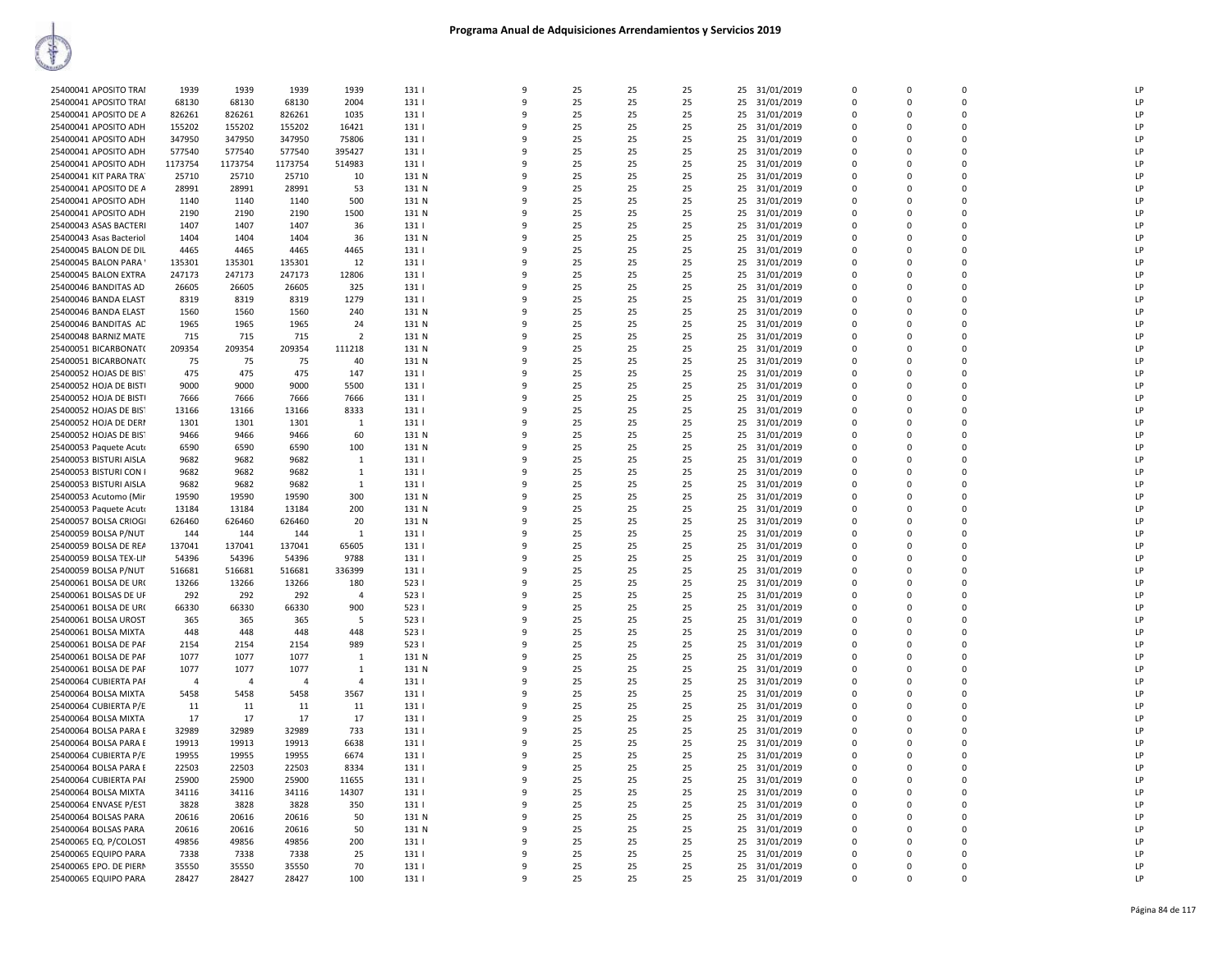| 25400041 APOSITO TRAI   | 1939           | 1939           | 1939           | 1939           | 131          | 9            | 25       | 25       | 25       | 31/01/2019<br>25 | $\Omega$       | $\Omega$    | $\Omega$       | LP |
|-------------------------|----------------|----------------|----------------|----------------|--------------|--------------|----------|----------|----------|------------------|----------------|-------------|----------------|----|
| 25400041 APOSITO TRAI   | 68130          | 68130          | 68130          | 2004           | 131          | 9            | 25       | 25       | 25       | 25<br>31/01/2019 | $\Omega$       | $\Omega$    | $\Omega$       | LP |
| 25400041 APOSITO DE A   | 826261         | 826261         | 826261         | 1035           | 131          | 9            | 25       | 25       | 25       | 25<br>31/01/2019 | $\mathbf 0$    | 0           | $\Omega$       | LP |
| 25400041 APOSITO ADH    | 155202         | 155202         | 155202         | 16421          | 131          | 9            | 25       | 25       | 25       | 31/01/2019<br>25 | $\Omega$       | $\Omega$    | $\mathbf 0$    | LP |
|                         |                |                |                |                |              | 9            |          |          |          |                  |                |             | $\mathbf 0$    | LP |
| 25400041 APOSITO ADH    | 347950         | 347950         | 347950         | 75806          | 131          | $\mathbf{q}$ | 25       | 25       | 25       | 25<br>31/01/2019 | $\mathbf 0$    | 0           | $\Omega$       |    |
| 25400041 APOSITO ADH    | 577540         | 577540         | 577540         | 395427         | 131          |              | 25       | 25       | 25       | 25 31/01/2019    | $\Omega$       | $\Omega$    |                | LP |
| 25400041 APOSITO ADH    | 1173754        | 1173754        | 1173754        | 514983         | 131          | 9            | 25       | 25       | 25       | 25<br>31/01/2019 | $\Omega$       | $\Omega$    | $\Omega$       | LP |
| 25400041 KIT PARA TRA   | 25710          | 25710          | 25710          | 10             | 131 N        | 9            | 25       | 25       | 25       | 31/01/2019<br>25 | $\mathbf 0$    | 0           | $\Omega$       | LP |
| 25400041 APOSITO DE A   | 28991          | 28991          | 28991          | 53             | 131 N        | 9            | 25       | 25       | 25       | 25<br>31/01/2019 | $\Omega$       | $\Omega$    | $\Omega$       | LP |
| 25400041 APOSITO ADH    | 1140           | 1140           | 1140           | 500            | 131 N        | 9            | 25       | 25       | 25       | 25<br>31/01/2019 | 0              | 0           | $\Omega$       | LP |
| 25400041 APOSITO ADH    | 2190           | 2190           | 2190           | 1500           | 131 N        | 9            | 25       | 25       | 25       | 25<br>31/01/2019 | $\Omega$       | $\Omega$    | $\Omega$       | LP |
| 25400043 ASAS BACTERI   | 1407           | 1407           | 1407           | 36             | 131          | 9            | 25       | 25       | 25       | 25<br>31/01/2019 | $\mathbf 0$    | 0           | $\mathbf 0$    | LP |
| 25400043 Asas Bacteriol | 1404           | 1404           | 1404           | 36             | 131 N        | $\mathbf{q}$ | 25       | 25       | 25       | 25 31/01/2019    | $\Omega$       | $\Omega$    | $\Omega$       | LP |
| 25400045 BALON DE DIL   | 4465           | 4465           | 4465           | 4465           | 131          | 9            | 25       | 25       | 25       | 31/01/2019<br>25 | $\Omega$       | $\Omega$    | $\Omega$       | LP |
| 25400045 BALON PARA     | 135301         | 135301         | 135301         | 12             | 131          | 9            | 25       | 25       | 25       | 31/01/2019<br>25 | 0              | 0           | $\overline{0}$ | LP |
| 25400045 BALON EXTRA    | 247173         | 247173         | 247173         | 12806          | 131          | 9            | 25       | 25       | 25       | 25<br>31/01/2019 | $\overline{0}$ | 0           | $\Omega$       | LP |
| 25400046 BANDITAS AD    | 26605          | 26605          | 26605          | 325            | 131          | 9            | 25       | 25       | 25       | 25<br>31/01/2019 | 0              | 0           | $\mathbf 0$    | LP |
| 25400046 BANDA ELAST    | 8319           | 8319           | 8319           | 1279           | 131          | $\mathbf{q}$ | 25       | 25       | 25       | 25<br>31/01/2019 | $\Omega$       | $\Omega$    | $\overline{0}$ | LP |
| 25400046 BANDA ELAST    | 1560           | 1560           | 1560           | 240            | 131 N        | 9            | 25       | 25       | 25       | 25<br>31/01/2019 | $\Omega$       | $\Omega$    | $\Omega$       | LP |
| 25400046 BANDITAS AD    | 1965           | 1965           | 1965           | 24             | 131 N        | q            | 25       | 25       | 25       | 25 31/01/2019    | $\Omega$       | $\Omega$    | $\Omega$       | LP |
| 25400048 BARNIZ MATE    | 715            | 715            | 715            | $\overline{2}$ | 131 N        | 9            | 25       | 25       | 25       | 25<br>31/01/2019 | $\Omega$       | $\Omega$    | 0              | LP |
| 25400051 BICARBONAT(    | 209354         | 209354         | 209354         | 111218         | 131 N        | 9            | 25       | 25       | 25       | 31/01/2019<br>25 | 0              | 0           | $\mathbf 0$    | LP |
| 25400051 BICARBONAT(    | 75             | 75             | 75             | 40             | 131 N        | 9            | 25       | 25       | 25       | 25<br>31/01/2019 | $\overline{0}$ | 0           | $\Omega$       | LP |
| 25400052 HOJAS DE BIST  | 475            | 475            | 475            | 147            | 131          | q            | 25       | 25       | 25       | 25<br>31/01/2019 | $\mathbf 0$    | 0           | $\Omega$       | LP |
|                         |                |                |                |                |              | q            |          |          |          |                  | $\Omega$       | $\Omega$    | $\Omega$       |    |
| 25400052 HOJA DE BISTI  | 9000           | 9000           | 9000           | 5500           | 131          |              | 25       | 25       | 25       | 25<br>31/01/2019 |                |             |                | LP |
| 25400052 HOJA DE BISTI  | 7666           | 7666           | 7666           | 7666           | 131          | 9            | 25       | 25       | 25       | 25<br>31/01/2019 | $\Omega$       | $\Omega$    | $\Omega$       | LP |
| 25400052 HOJAS DE BIST  | 13166          | 13166          | 13166          | 8333           | 131          | 9            | 25       | 25       | 25       | 25 31/01/2019    | $\Omega$       | O           | $\Omega$       | LP |
| 25400052 HOJA DE DERI   | 1301           | 1301           | 1301           | 1              | 131          | 9            | 25       | 25       | 25       | 25<br>31/01/2019 | $\Omega$       | $\Omega$    | $\mathbf 0$    | LP |
| 25400052 HOJAS DE BIST  | 9466           | 9466           | 9466           | 60             | 131 N        | 9            | 25       | 25       | 25       | 31/01/2019<br>25 | $\mathbf 0$    | 0           | $\mathbf 0$    | LP |
| 25400053 Paquete Acuto  | 6590           | 6590           | 6590           | 100            | 131 N        | 9            | 25       | 25       | 25       | 25<br>31/01/2019 | $\overline{0}$ | $\mathbf 0$ | $\overline{0}$ | LP |
| 25400053 BISTURI AISLA  | 9682           | 9682           | 9682           | 1              | 131          | 9            | 25       | 25       | 25       | 25<br>31/01/2019 | $\Omega$       | $\Omega$    | $\Omega$       | LP |
| 25400053 BISTURI CON I  | 9682           | 9682           | 9682           | $\mathbf{1}$   | 131          | 9            | 25       | 25       | 25       | 31/01/2019<br>25 | $\Omega$       | $\Omega$    | $\Omega$       | LP |
| 25400053 BISTURI AISLA  | 9682           | 9682           | 9682           | 1              | 131          | 9            | 25       | 25       | 25       | 25<br>31/01/2019 | $\Omega$       | $\Omega$    | $\Omega$       | LP |
| 25400053 Acutomo (Mir   | 19590          | 19590          | 19590          | 300            | 131 N        | 9            | 25       | 25       | 25       | 25<br>31/01/2019 | $\Omega$       | O           | $\Omega$       | LP |
| 25400053 Paquete Acuto  | 13184          | 13184          | 13184          | 200            | 131 N        | 9            | 25       | 25       | 25       | 25<br>31/01/2019 | $\mathbf 0$    | $\Omega$    | $\mathbf 0$    | LP |
| 25400057 BOLSA CRIOGI   | 626460         | 626460         | 626460         | 20             | 131 N        | 9            | 25       | 25       | 25       | 31/01/2019<br>25 | $\mathbf 0$    | 0           | $\mathbf 0$    | LP |
| 25400059 BOLSA P/NUT    | 144            | 144            | 144            | $\mathbf{1}$   | 131          | 9            | 25       | 25       | 25       | 25<br>31/01/2019 | $\Omega$       | $\Omega$    | $\Omega$       | LP |
| 25400059 BOLSA DE REA   | 137041         | 137041         | 137041         | 65605          | 131          | 9            | 25       | 25       | 25       | 25<br>31/01/2019 | $\Omega$       | $\Omega$    | $\Omega$       | LP |
| 25400059 BOLSA TEX-LIN  | 54396          | 54396          | 54396          | 9788           | 131          | 9            | 25       | 25       | 25       | 31/01/2019<br>25 | $\Omega$       | $\Omega$    | $\Omega$       | LP |
| 25400059 BOLSA P/NUT    | 516681         | 516681         | 516681         | 336399         | 131          | 9            | 25       | 25       | 25       | 25<br>31/01/2019 | 0              | 0           | 0              | LP |
| 25400061 BOLSA DE UR(   | 13266          | 13266          | 13266          | 180            | 523 1        | 9            | 25       | 25       | 25       | 25 31/01/2019    | $\Omega$       | $\Omega$    | $\Omega$       | LP |
| 25400061 BOLSAS DE UF   | 292            | 292            | 292            | $\overline{a}$ | 523 1        | 9            | 25       | 25       | 25       | 25 31/01/2019    | $\mathbf 0$    | $\Omega$    | $\overline{0}$ | LP |
| 25400061 BOLSA DE UR(   | 66330          | 66330          | 66330          | 900            | 523 1        | 9            | 25       | 25       | 25       | 31/01/2019<br>25 | 0              | 0           | $\Omega$       | LP |
| 25400061 BOLSA UROST    | 365            | 365            | 365            | 5              | 5231         | 9            | 25       | 25       | 25       | 25<br>31/01/2019 | $\Omega$       | $\Omega$    | $\Omega$       | LP |
| 25400061 BOLSA MIXTA    | 448            | 448            | 448            | 448            | 523          | 9            | 25       | 25       | 25       | 25<br>31/01/2019 | $\Omega$       | 0           | $\Omega$       | LP |
| 25400061 BOLSA DE PAF   | 2154           | 2154           | 2154           | 989            | 5231         | 9            | 25       | 25       | 25       | 25<br>31/01/2019 | $\Omega$       | $\Omega$    | $\Omega$       | LP |
| 25400061 BOLSA DE PAF   | 1077           | 1077           | 1077           | 1              | 131 N        | 9            | 25       | 25       | 25       | 25<br>31/01/2019 | $\mathbf 0$    | 0           | $\overline{0}$ | LP |
| 25400061 BOLSA DE PAF   | 1077           | 1077           | 1077           | $\mathbf{1}$   | 131 N        | $\mathbf{q}$ | 25       | 25       | 25       | 25 31/01/2019    | $\Omega$       | $\Omega$    | $\Omega$       | LP |
| 25400064 CUBIERTA PAI   | $\overline{4}$ | $\overline{4}$ | $\overline{4}$ | 4              | 131          | 9            | 25       | 25       | 25       | 25<br>31/01/2019 | $\Omega$       | $\Omega$    | $\Omega$       | LP |
|                         |                |                |                |                |              | 9            |          |          |          |                  | $\mathbf 0$    | 0           | $\Omega$       | LP |
| 25400064 BOLSA MIXTA    | 5458<br>11     | 5458<br>11     | 5458<br>11     | 3567<br>11     | 131  <br>131 | 9            | 25<br>25 | 25<br>25 | 25<br>25 | 31/01/2019<br>25 | $\Omega$       | $\Omega$    | $\Omega$       | LP |
| 25400064 CUBIERTA P/E   |                |                |                |                |              |              |          |          |          | 25<br>31/01/2019 |                |             |                |    |
| 25400064 BOLSA MIXTA    | 17             | 17             | 17             | 17             | 131          | 9            | 25       | 25       | 25       | 25<br>31/01/2019 | 0              | 0           | $\Omega$       | LP |
| 25400064 BOLSA PARA E   | 32989          | 32989          | 32989          | 733            | 131          | 9            | 25       | 25       | 25       | 25<br>31/01/2019 | $\Omega$       | $\Omega$    | $\Omega$       | LP |
| 25400064 BOLSA PARA E   | 19913          | 19913          | 19913          | 6638           | 131          | 9            | 25       | 25       | 25       | 25<br>31/01/2019 | $\mathbf 0$    | 0           | $\overline{0}$ | LP |
| 25400064 CUBIERTA P/E   | 19955          | 19955          | 19955          | 6674           | 131          | q            | 25       | 25       | 25       | 25 31/01/2019    | $\Omega$       | $\Omega$    | $\Omega$       | LP |
| 25400064 BOLSA PARA E   | 22503          | 22503          | 22503          | 8334           | 131          | 9            | 25       | 25       | 25       | 31/01/2019<br>25 | $\Omega$       | $\Omega$    | $\Omega$       | LP |
| 25400064 CUBIERTA PAF   | 25900          | 25900          | 25900          | 11655          | 131          | 9            | 25       | 25       | 25       | 31/01/2019<br>25 | 0              | $\mathsf 0$ | $\mathbf 0$    | LP |
| 25400064 BOLSA MIXTA    | 34116          | 34116          | 34116          | 14307          | 131          | 9            | 25       | 25       | 25       | 25<br>31/01/2019 | $\Omega$       | $\Omega$    | $\Omega$       | LP |
| 25400064 ENVASE P/EST   | 3828           | 3828           | 3828           | 350            | 131          | 9            | 25       | 25       | 25       | 25<br>31/01/2019 | 0              | 0           | $\Omega$       | LP |
| 25400064 BOLSAS PARA    | 20616          | 20616          | 20616          | 50             | 131 N        | 9            | 25       | 25       | 25       | 25<br>31/01/2019 | $\Omega$       | $\Omega$    | $\mathbf 0$    | LP |
| 25400064 BOLSAS PARA    | 20616          | 20616          | 20616          | 50             | 131 N        | 9            | 25       | 25       | 25       | 25<br>31/01/2019 | $\Omega$       | $\Omega$    | $\Omega$       | LP |
| 25400065 EQ. P/COLOST   | 49856          | 49856          | 49856          | 200            | 131          | $\mathbf{q}$ | 25       | 25       | 25       | 25 31/01/2019    | $\Omega$       | $\Omega$    | $\Omega$       | LP |
| 25400065 EQUIPO PARA    | 7338           | 7338           | 7338           | 25             | 131          | 9            | 25       | 25       | 25       | 25<br>31/01/2019 | $\Omega$       | $\Omega$    | $\Omega$       | LP |
| 25400065 EPO. DE PIERN  | 35550          | 35550          | 35550          | 70             | 131          | 9            | 25       | 25       | 25       | 31/01/2019<br>25 | 0              | 0           | $\Omega$       | LP |
| 25400065 EQUIPO PARA    | 28427          | 28427          | 28427          | 100            | 131          | 9            | 25       | 25       | 25       | 25<br>31/01/2019 | $\mathbf 0$    | $\Omega$    | $\Omega$       | LP |
|                         |                |                |                |                |              |              |          |          |          |                  |                |             |                |    |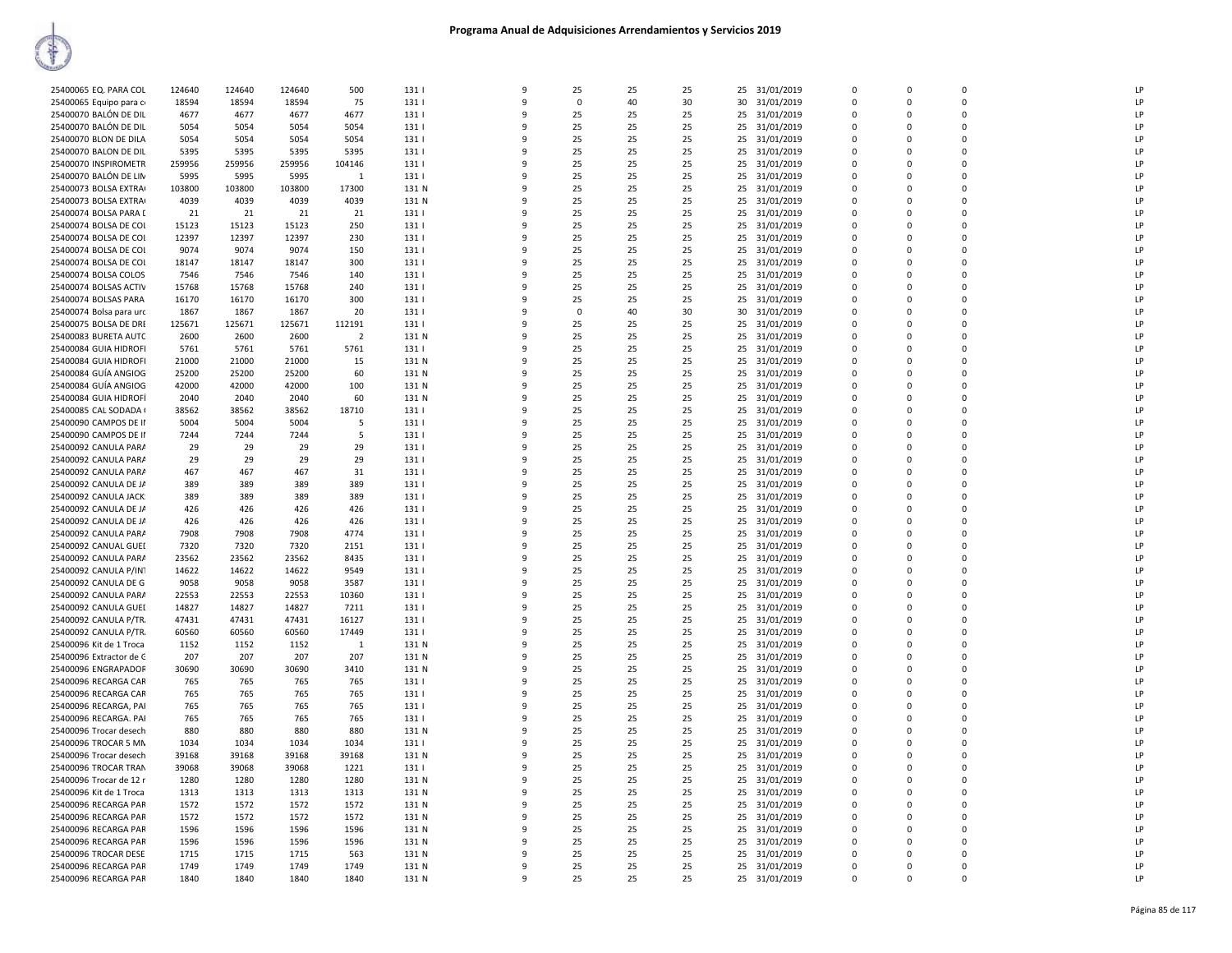| 25400065 EQ. PARA COL   | 124640 | 124640 | 124640 | 500            | 131              | q  | 25          | 25 | 25 | 25 31/01/2019    | $\Omega$    | $\Omega$     | $\Omega$    | LP             |
|-------------------------|--------|--------|--------|----------------|------------------|----|-------------|----|----|------------------|-------------|--------------|-------------|----------------|
| 25400065 Equipo para c  | 18594  | 18594  | 18594  | 75             | 131              | 9  | $\mathbf 0$ | 40 | 30 | 31/01/2019<br>30 | $\mathbf 0$ | 0            | 0           | LP             |
| 25400070 BALÓN DE DIL   | 4677   | 4677   | 4677   | 4677           | 131              | 9  | 25          | 25 | 25 | 25<br>31/01/2019 | $\mathbf 0$ | $\Omega$     | $\Omega$    | LP             |
| 25400070 BALÓN DE DIL   | 5054   | 5054   | 5054   | 5054           | 131              | q  | 25          | 25 | 25 | 25 31/01/2019    | 0           | $\Omega$     | $\mathbf 0$ | LP             |
| 25400070 BLON DE DILA   | 5054   | 5054   | 5054   | 5054           | 131              | c  | 25          | 25 | 25 | 25 31/01/2019    | $\Omega$    | $\Omega$     | $\Omega$    | LP             |
| 25400070 BALON DE DIL   | 5395   | 5395   | 5395   | 5395           | 131              | q  | 25          | 25 | 25 | 25<br>31/01/2019 | 0           | $\Omega$     | 0           | LP             |
| 25400070 INSPIROMETR    | 259956 | 259956 | 259956 | 104146         | 131              | 9  | 25          | 25 | 25 | 25 31/01/2019    | $\Omega$    | $\Omega$     | $\Omega$    | LP             |
| 25400070 BALÓN DE LIN   | 5995   | 5995   | 5995   | 1              | 131              | 9  | 25          | 25 | 25 | 25<br>31/01/2019 | $\mathbf 0$ | $\Omega$     | $\Omega$    | LP             |
| 25400073 BOLSA EXTRA    | 103800 | 103800 | 103800 | 17300          | 131 N            | 9  | 25          | 25 | 25 | 31/01/2019<br>25 | 0           | 0            | 0           | LP             |
| 25400073 BOLSA EXTRA    | 4039   | 4039   | 4039   | 4039           | 131 N            | q  | 25          | 25 | 25 | 25<br>31/01/2019 | $\mathbf 0$ | $\Omega$     | $\mathbf 0$ | LP             |
| 25400074 BOLSA PARA [   | 21     | 21     | 21     | 21             | 131              | q  | 25          | 25 | 25 | 25 31/01/2019    | $\Omega$    | $\Omega$     | $\Omega$    | LP             |
| 25400074 BOLSA DE COI   | 15123  | 15123  | 15123  | 250            | 131              | c  | 25          | 25 | 25 | 25 31/01/2019    | $\Omega$    | $\Omega$     | $\Omega$    | LP             |
| 25400074 BOLSA DE COI   | 12397  | 12397  | 12397  | 230            | 131              | q  | 25          | 25 | 25 | 25<br>31/01/2019 | 0           | $\Omega$     | 0           | LP.            |
| 25400074 BOLSA DE COI   | 9074   | 9074   | 9074   | 150            | 131              | 9  | 25          | 25 | 25 | 25 31/01/2019    | $\Omega$    | $\Omega$     | $\Omega$    | LP             |
| 25400074 BOLSA DE COI   | 18147  | 18147  | 18147  | 300            | 131              | 9  | 25          | 25 | 25 | 25<br>31/01/2019 | $\mathbf 0$ | 0            | 0           | LP             |
| 25400074 BOLSA COLOS    | 7546   | 7546   | 7546   | 140            | 131              | 9  | 25          | 25 | 25 | 31/01/2019<br>25 | $\Omega$    | $\Omega$     | $\Omega$    | LP             |
| 25400074 BOLSAS ACTIV   | 15768  | 15768  | 15768  | 240            | 131              | q  | 25          | 25 | 25 | 25 31/01/2019    | $\Omega$    | $\Omega$     | $\Omega$    | LP             |
| 25400074 BOLSAS PARA    | 16170  | 16170  | 16170  | 300            | 131              | q  | 25          | 25 | 25 | 25<br>31/01/2019 | 0           | $\Omega$     | $\Omega$    | LP             |
| 25400074 Bolsa para urc | 1867   | 1867   | 1867   | 20             | 131              | q  | $\Omega$    | 40 | 30 | 30 31/01/2019    | $\Omega$    | $\Omega$     | $\Omega$    | LP             |
| 25400075 BOLSA DE DRE   | 125671 | 125671 | 125671 | 112191         | 131              | q  | 25          | 25 | 25 | 25<br>31/01/2019 | $\mathbf 0$ | $\Omega$     | 0           | LP             |
|                         | 2600   |        | 2600   | $\overline{2}$ | 131 N            | 9  | 25          | 25 |    |                  | $\Omega$    | $\Omega$     | $\Omega$    | LP             |
| 25400083 BURETA AUTC    |        | 2600   |        |                |                  |    |             |    | 25 | 25 31/01/2019    |             |              |             |                |
| 25400084 GUIA HIDROFI   | 5761   | 5761   | 5761   | 5761           | 131              | 9  | 25          | 25 | 25 | 25<br>31/01/2019 | 0           | 0            | 0           | LP             |
| 25400084 GUIA HIDROFI   | 21000  | 21000  | 21000  | 15             | 131 N            | 9  | 25          | 25 | 25 | 31/01/2019<br>25 | 0           | $\Omega$     | $\Omega$    | LP             |
| 25400084 GUÍA ANGIOG    | 25200  | 25200  | 25200  | 60             | 131 N            | q  | 25          | 25 | 25 | 25<br>31/01/2019 | 0           | $\Omega$     | $\Omega$    | LP             |
| 25400084 GUÍA ANGIOG    | 42000  | 42000  | 42000  | 100            | 131 N            | q  | 25          | 25 | 25 | 25 31/01/2019    | 0           | $\Omega$     | $\Omega$    | LP             |
| 25400084 GUIA HIDROFÍ   | 2040   | 2040   | 2040   | 60             | 131 N            | q  | 25          | 25 | 25 | 25 31/01/2019    | $\Omega$    | $\Omega$     | $\Omega$    | LP             |
| 25400085 CAL SODADA (   | 38562  | 38562  | 38562  | 18710          | 131              | 9  | 25          | 25 | 25 | 25<br>31/01/2019 | $\mathbf 0$ | 0            | 0           | LP             |
| 25400090 CAMPOS DE II   | 5004   | 5004   | 5004   | 5              | 131              | q  | 25          | 25 | 25 | 25 31/01/2019    | $\mathbf 0$ | <sup>n</sup> | $\Omega$    | LP             |
| 25400090 CAMPOS DE II   | 7244   | 7244   | 7244   | -5             | 131              | 9  | 25          | 25 | 25 | 31/01/2019<br>25 | $\Omega$    | $\Omega$     | $\Omega$    | LP             |
| 25400092 CANULA PARA    | 29     | 29     | 29     | 29             | 131              | -9 | 25          | 25 | 25 | 31/01/2019<br>25 | 0           | $\Omega$     | $\Omega$    | LP             |
| 25400092 CANULA PARA    | 29     | 29     | 29     | 29             | 131              | q  | 25          | 25 | 25 | 25<br>31/01/2019 | 0           | $\Omega$     | $\Omega$    | LP             |
| 25400092 CANULA PARA    | 467    | 467    | 467    | 31             | 131              | q  | 25          | 25 | 25 | 31/01/2019<br>25 | $\mathbf 0$ | $\Omega$     | $\Omega$    | LP             |
| 25400092 CANULA DE JA   | 389    | 389    | 389    | 389            | 131              | 9  | 25          | 25 | 25 | 31/01/2019<br>25 | $\Omega$    | $\Omega$     | $\Omega$    | LP             |
| 25400092 CANULA JACK    | 389    | 389    | 389    | 389            | 131              | 9  | 25          | 25 | 25 | 25<br>31/01/2019 | 0           | 0            | 0           | LP             |
| 25400092 CANULA DE JA   | 426    | 426    | 426    | 426            | 131              | q  | 25          | 25 | 25 | 31/01/2019<br>25 | $\Omega$    | <sup>n</sup> | $\Omega$    | LP             |
| 25400092 CANULA DE JA   | 426    | 426    | 426    | 426            | 131              | 9  | 25          | 25 | 25 | 31/01/2019<br>25 | $\Omega$    | $\Omega$     | $\Omega$    | LP             |
| 25400092 CANULA PARA    | 7908   | 7908   | 7908   | 4774           | 131              | -9 | 25          | 25 | 25 | 31/01/2019<br>25 | 0           | 0            | 0           | LP             |
| 25400092 CANUAL GUEI    | 7320   | 7320   | 7320   | 2151           | 131              | 9  | 25          | 25 | 25 | 25<br>31/01/2019 | $\mathbf 0$ | $\Omega$     | $\Omega$    | LP             |
| 25400092 CANULA PARA    | 23562  | 23562  | 23562  | 8435           | 131              | q  | 25          | 25 | 25 | 31/01/2019<br>25 | $\mathbf 0$ | $\Omega$     | $\Omega$    | LP             |
| 25400092 CANULA P/IN1   | 14622  | 14622  | 14622  | 9549           | 131              | c  | 25          | 25 | 25 | 25 31/01/2019    | $\Omega$    | $\Omega$     | $\Omega$    | $\overline{P}$ |
| 25400092 CANULA DE G    | 9058   | 9058   | 9058   | 3587           | 131              | q  | 25          | 25 | 25 | 25<br>31/01/2019 | 0           | $\Omega$     | 0           | LP             |
| 25400092 CANULA PARA    | 22553  | 22553  | 22553  | 10360          | 131              | q  | 25          | 25 | 25 | 25 31/01/2019    | $\Omega$    | <sup>n</sup> | $\Omega$    | LP             |
| 25400092 CANULA GUEI    | 14827  | 14827  | 14827  | 7211           | 131              | 9  | 25          | 25 | 25 | 25<br>31/01/2019 | $\Omega$    | $\Omega$     | $\Omega$    | LP             |
| 25400092 CANULA P/TR.   | 47431  | 47431  | 47431  | 16127          | 131              | -9 | 25          | 25 | 25 | 31/01/2019<br>25 | 0           | $\Omega$     | 0           | LP             |
| 25400092 CANULA P/TR.   | 60560  | 60560  | 60560  | 17449          | 131              | 9  | 25          | 25 | 25 | 25<br>31/01/2019 | $\mathbf 0$ | $\Omega$     | $\Omega$    | LP             |
| 25400096 Kit de 1 Troca | 1152   | 1152   | 1152   | 1              | 131 N            | q  | 25          | 25 | 25 | 25<br>31/01/2019 | $\mathbf 0$ | $\Omega$     | $\Omega$    | LP             |
| 25400096 Extractor de C | 207    | 207    | 207    | 207            | 131 N            | c  | 25          | 25 | 25 | 25 31/01/2019    | $\Omega$    | $\Omega$     | $\Omega$    | LP             |
| 25400096 ENGRAPADOR     | 30690  | 30690  | 30690  | 3410           | 131 N            | q  | 25          | 25 | 25 | 25<br>31/01/2019 | 0           | $\Omega$     | 0           | LP             |
| 25400096 RECARGA CAR    | 765    | 765    | 765    | 765            | 131              | q  | 25          | 25 | 25 | 25 31/01/2019    | $\Omega$    | 0            | $\Omega$    | LP             |
| 25400096 RECARGA CAR    | 765    | 765    | 765    | 765            | 131              | 9  | 25          | 25 | 25 | 25 31/01/2019    | $\mathbf 0$ | $\Omega$     | $\Omega$    | LP             |
| 25400096 RECARGA, PAI   | 765    | 765    | 765    | 765            | 131              | q  | 25          | 25 | 25 | 31/01/2019<br>25 | 0           | 0            | 0           | LP             |
| 25400096 RECARGA. PAI   | 765    | 765    | 765    | 765            | 131              | q  | 25          | 25 | 25 | 25<br>31/01/2019 | $\mathbf 0$ | $\Omega$     | $\mathbf 0$ | LP             |
| 25400096 Trocar desech  | 880    | 880    | 880    | 880            | 131 N            | q  | 25          | 25 | 25 | 25<br>31/01/2019 | 0           | $\Omega$     | $\Omega$    | $\overline{P}$ |
| 25400096 TROCAR 5 MN    | 1034   | 1034   | 1034   | 1034           | 131 <sub>1</sub> | q  | 25          | 25 | 25 | 25 31/01/2019    | $\Omega$    | $\Omega$     | $\Omega$    | LP             |
|                         |        |        |        |                |                  | q  |             |    |    |                  | 0           | $\Omega$     | 0           | LP             |
| 25400096 Trocar desech  | 39168  | 39168  | 39168  | 39168          | 131 N            | 9  | 25<br>25    | 25 | 25 | 25<br>31/01/2019 | $\Omega$    |              | $\Omega$    | LP             |
| 25400096 TROCAR TRAN    | 39068  | 39068  | 39068  | 1221           | 131              |    |             | 25 | 25 | 25 31/01/2019    |             | 0            |             |                |
| 25400096 Trocar de 12 r | 1280   | 1280   | 1280   | 1280           | 131 N            | 9  | 25          | 25 | 25 | 25<br>31/01/2019 | 0           | 0            | 0           | LP             |
| 25400096 Kit de 1 Troca | 1313   | 1313   | 1313   | 1313           | 131 N            | 9  | 25          | 25 | 25 | 31/01/2019<br>25 | 0           | 0            | 0           | LP             |
| 25400096 RECARGA PAR    | 1572   | 1572   | 1572   | 1572           | 131 N            | q  | 25          | 25 | 25 | 25 31/01/2019    | $\Omega$    | $\Omega$     | $\Omega$    | LP             |
| 25400096 RECARGA PAR    | 1572   | 1572   | 1572   | 1572           | 131 N            | q  | 25          | 25 | 25 | 25 31/01/2019    | 0           | $\Omega$     | $\Omega$    | LP             |
| 25400096 RECARGA PAR    | 1596   | 1596   | 1596   | 1596           | 131 N            | q  | 25          | 25 | 25 | 25 31/01/2019    | $\Omega$    | $\Omega$     | $\Omega$    | LP             |
| 25400096 RECARGA PAR    | 1596   | 1596   | 1596   | 1596           | 131 N            | q  | 25          | 25 | 25 | 25<br>31/01/2019 | $\mathbf 0$ | O            | 0           | LP             |
| 25400096 TROCAR DESE    | 1715   | 1715   | 1715   | 563            | 131 N            | 9  | 25          | 25 | 25 | 25 31/01/2019    | $\Omega$    | $\Omega$     | $\Omega$    | LP             |
| 25400096 RECARGA PAR    | 1749   | 1749   | 1749   | 1749           | 131 N            | 9  | 25          | 25 | 25 | 31/01/2019<br>25 | 0           | 0            | 0           | LP             |
| 25400096 RECARGA PAR    | 1840   | 1840   | 1840   | 1840           | 131 N            | 9  | 25          | 25 | 25 | 25 31/01/2019    | $\Omega$    | $\Omega$     | $\Omega$    | LP             |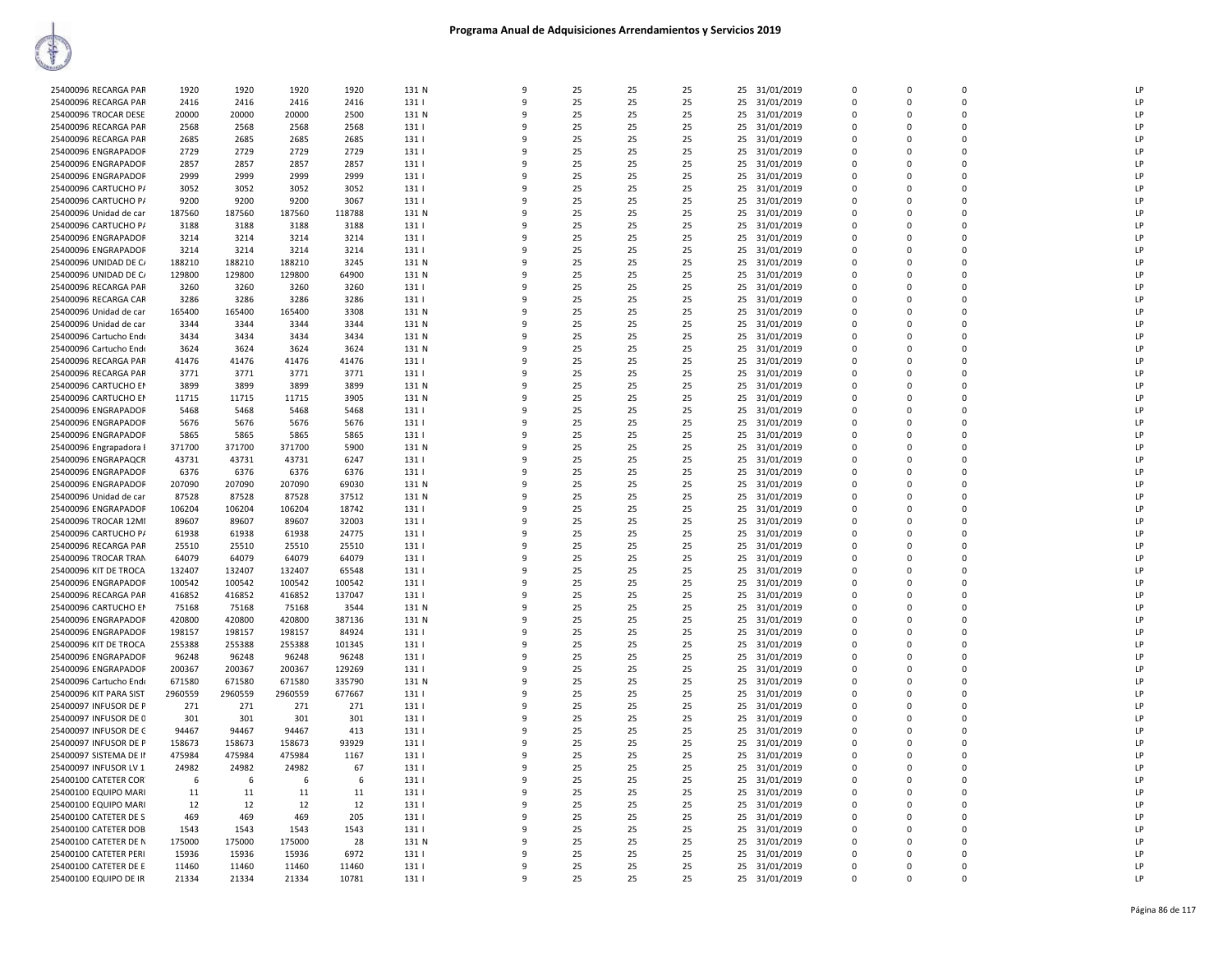|                        |         | 1920    | 1920    | 1920   | 131 N | 9            | 25 | 25 | 25 |    | 31/01/2019    | $\Omega$    | $\Omega$     | $\Omega$    | LP |
|------------------------|---------|---------|---------|--------|-------|--------------|----|----|----|----|---------------|-------------|--------------|-------------|----|
| 25400096 RECARGA PAR   | 1920    |         |         |        |       |              |    |    |    | 25 |               |             |              |             |    |
| 25400096 RECARGA PAR   | 2416    | 2416    | 2416    | 2416   | 131   | 9            | 25 | 25 | 25 | 25 | 31/01/2019    | $\Omega$    | $\Omega$     | $\Omega$    | LP |
| 25400096 TROCAR DESE   | 20000   | 20000   | 20000   | 2500   | 131 N | 9            | 25 | 25 | 25 | 25 | 31/01/2019    | $\mathbf 0$ | 0            | $\Omega$    | LP |
| 25400096 RECARGA PAR   | 2568    | 2568    | 2568    | 2568   | 131   | 9            | 25 | 25 | 25 | 25 | 31/01/2019    | $\Omega$    | $\Omega$     | $\Omega$    | LP |
|                        |         |         |         |        |       |              |    |    |    |    |               |             |              |             |    |
| 25400096 RECARGA PAR   | 2685    | 2685    | 2685    | 2685   | 131   | 9            | 25 | 25 | 25 | 25 | 31/01/2019    | $\mathbf 0$ | 0            | $\mathbf 0$ | LP |
| 25400096 ENGRAPADOR    | 2729    | 2729    | 2729    | 2729   | 131   | q            | 25 | 25 | 25 |    | 25 31/01/2019 | $\Omega$    | $\Omega$     | $\Omega$    | LP |
| 25400096 ENGRAPADOR    | 2857    | 2857    | 2857    | 2857   | 131   | 9            | 25 | 25 | 25 | 25 | 31/01/2019    | $\Omega$    | $\Omega$     | $\Omega$    | LP |
| 25400096 ENGRAPADOR    | 2999    | 2999    | 2999    | 2999   | 131   | 9            | 25 | 25 | 25 | 25 | 31/01/2019    | 0           | 0            | $\mathbf 0$ | LP |
|                        |         |         |         |        |       |              |    |    |    |    |               |             |              |             |    |
| 25400096 CARTUCHO P/   | 3052    | 3052    | 3052    | 3052   | 131   | 9            | 25 | 25 | 25 | 25 | 31/01/2019    | $\Omega$    | $\Omega$     | $\Omega$    | LP |
| 25400096 CARTUCHO P/   | 9200    | 9200    | 9200    | 3067   | 131   | 9            | 25 | 25 | 25 | 25 | 31/01/2019    | 0           | 0            | $\Omega$    | LP |
| 25400096 Unidad de car | 187560  | 187560  | 187560  | 118788 | 131 N | q            | 25 | 25 | 25 | 25 | 31/01/2019    | $\Omega$    | $\Omega$     | $\mathbf 0$ | LP |
|                        |         |         |         |        |       |              |    |    |    |    |               |             |              |             |    |
| 25400096 CARTUCHO P/   | 3188    | 3188    | 3188    | 3188   | 131   | 9            | 25 | 25 | 25 | 25 | 31/01/2019    | $\Omega$    | $\Omega$     | $\Omega$    | LP |
| 25400096 ENGRAPADOR    | 3214    | 3214    | 3214    | 3214   | 131   | 9            | 25 | 25 | 25 | 25 | 31/01/2019    | $\Omega$    | $\Omega$     | $\Omega$    | LP |
| 25400096 ENGRAPADOR    | 3214    | 3214    | 3214    | 3214   | 131   | 9            | 25 | 25 | 25 | 25 | 31/01/2019    | $\Omega$    | $\Omega$     | $\mathbf 0$ | LP |
|                        |         |         |         |        |       |              |    |    |    |    |               |             |              |             | LP |
| 25400096 UNIDAD DE C/  | 188210  | 188210  | 188210  | 3245   | 131 N | 9            | 25 | 25 | 25 | 25 | 31/01/2019    | 0           | 0            | $\mathbf 0$ |    |
| 25400096 UNIDAD DE C/  | 129800  | 129800  | 129800  | 64900  | 131 N | 9            | 25 | 25 | 25 | 25 | 31/01/2019    | $\mathbf 0$ | 0            | $\mathbf 0$ | LP |
| 25400096 RECARGA PAR   | 3260    | 3260    | 3260    | 3260   | 131   | 9            | 25 | 25 | 25 | 25 | 31/01/2019    | 0           | 0            | $\mathbf 0$ | LP |
|                        |         |         |         |        |       | 9            |    |    |    |    |               |             | <sup>0</sup> | $\Omega$    | LP |
| 25400096 RECARGA CAR   | 3286    | 3286    | 3286    | 3286   | 131   |              | 25 | 25 | 25 | 25 | 31/01/2019    | $\Omega$    |              |             |    |
| 25400096 Unidad de car | 165400  | 165400  | 165400  | 3308   | 131 N | 9            | 25 | 25 | 25 | 25 | 31/01/2019    | $\Omega$    | $\Omega$     | $\Omega$    | LP |
| 25400096 Unidad de car | 3344    | 3344    | 3344    | 3344   | 131 N | 9            | 25 | 25 | 25 | 25 | 31/01/2019    | $\Omega$    | O            | $\Omega$    | LP |
| 25400096 Cartucho Endo | 3434    | 3434    | 3434    | 3434   | 131 N | 9            | 25 | 25 | 25 | 25 | 31/01/2019    | $\Omega$    | $\Omega$     | $\mathbf 0$ | LP |
|                        |         |         |         |        |       |              |    |    |    |    |               |             |              |             |    |
| 25400096 Cartucho Endo | 3624    | 3624    | 3624    | 3624   | 131 N | 9            | 25 | 25 | 25 | 25 | 31/01/2019    | 0           | 0            | $\mathbf 0$ | LP |
| 25400096 RECARGA PAR   | 41476   | 41476   | 41476   | 41476  | 131   | 9            | 25 | 25 | 25 | 25 | 31/01/2019    | $\Omega$    | $\Omega$     | $\Omega$    | LP |
| 25400096 RECARGA PAR   | 3771    | 3771    | 3771    | 3771   | 131   | 9            | 25 | 25 | 25 | 25 | 31/01/2019    | $\Omega$    | $\Omega$     | $\Omega$    | LP |
|                        |         |         |         |        |       |              |    |    |    |    |               |             |              |             |    |
| 25400096 CARTUCHO EN   | 3899    | 3899    | 3899    | 3899   | 131 N | 9            | 25 | 25 | 25 | 25 | 31/01/2019    | $\Omega$    | $\Omega$     | $\mathbf 0$ | LP |
| 25400096 CARTUCHO EN   | 11715   | 11715   | 11715   | 3905   | 131 N | 9            | 25 | 25 | 25 | 25 | 31/01/2019    | $\Omega$    | $\Omega$     | $\Omega$    | LP |
| 25400096 ENGRAPADOR    | 5468    | 5468    | 5468    | 5468   | 131   | 9            | 25 | 25 | 25 | 25 | 31/01/2019    | $\Omega$    | $\Omega$     | $\Omega$    | LP |
| 25400096 ENGRAPADOR    | 5676    | 5676    | 5676    | 5676   | 131   | q            | 25 | 25 | 25 | 25 |               | $\mathbf 0$ | $\Omega$     | $\mathbf 0$ | LP |
|                        |         |         |         |        |       |              |    |    |    |    | 31/01/2019    |             |              |             |    |
| 25400096 ENGRAPADOR    | 5865    | 5865    | 5865    | 5865   | 131   | 9            | 25 | 25 | 25 | 25 | 31/01/2019    | 0           | 0            | $\Omega$    | LP |
| 25400096 Engrapadora I | 371700  | 371700  | 371700  | 5900   | 131 N | 9            | 25 | 25 | 25 | 25 | 31/01/2019    | $\Omega$    | $\Omega$     | $\Omega$    | LP |
| 25400096 ENGRAPAQCR    | 43731   | 43731   | 43731   | 6247   | 131   | 9            | 25 | 25 | 25 | 25 | 31/01/2019    | $\Omega$    | $\Omega$     | $\Omega$    | LP |
|                        |         |         |         |        |       |              |    |    |    |    |               |             |              |             |    |
| 25400096 ENGRAPADOR    | 6376    | 6376    | 6376    | 6376   | 131   | 9            | 25 | 25 | 25 | 25 | 31/01/2019    | $\Omega$    | $\Omega$     | $\Omega$    | LP |
| 25400096 ENGRAPADOR    | 207090  | 207090  | 207090  | 69030  | 131 N | 9            | 25 | 25 | 25 | 25 | 31/01/2019    | $\Omega$    | $\Omega$     | $\Omega$    | LP |
| 25400096 Unidad de car | 87528   | 87528   | 87528   | 37512  | 131 N | 9            | 25 | 25 | 25 | 25 | 31/01/2019    | $\Omega$    | 0            | $\mathbf 0$ | LP |
|                        |         |         |         |        |       |              |    |    |    |    |               |             |              |             |    |
| 25400096 ENGRAPADOR    | 106204  | 106204  | 106204  | 18742  | 1311  | 9            | 25 | 25 | 25 | 25 | 31/01/2019    | $\Omega$    | $\Omega$     | $\Omega$    | LP |
| 25400096 TROCAR 12MI   | 89607   | 89607   | 89607   | 32003  | 131   | 9            | 25 | 25 | 25 | 25 | 31/01/2019    | 0           | 0            | $\mathbf 0$ | LP |
| 25400096 CARTUCHO P/   | 61938   | 61938   | 61938   | 24775  | 131   | 9            | 25 | 25 | 25 | 25 | 31/01/2019    | $\Omega$    | $\Omega$     | $\Omega$    | LP |
| 25400096 RECARGA PAR   | 25510   | 25510   | 25510   | 25510  | 131   | 9            | 25 | 25 | 25 | 25 |               | 0           | 0            | $\mathbf 0$ | LP |
|                        |         |         |         |        |       |              |    |    |    |    | 31/01/2019    |             |              |             |    |
| 25400096 TROCAR TRAN   | 64079   | 64079   | 64079   | 64079  | 131   | 9            | 25 | 25 | 25 | 25 | 31/01/2019    | $\Omega$    | <sup>0</sup> | $\mathbf 0$ | LP |
| 25400096 KIT DE TROCA  | 132407  | 132407  | 132407  | 65548  | 131   | 9            | 25 | 25 | 25 | 25 | 31/01/2019    | $\Omega$    | $\Omega$     | $\Omega$    | LP |
| 25400096 ENGRAPADOR    | 100542  | 100542  | 100542  | 100542 | 131   | 9            | 25 | 25 | 25 | 25 | 31/01/2019    | $\Omega$    | $\Omega$     | $\Omega$    | LP |
|                        |         |         |         |        |       |              |    |    |    |    |               |             |              |             |    |
| 25400096 RECARGA PAR   | 416852  | 416852  | 416852  | 137047 | 131   | 9            | 25 | 25 | 25 | 25 | 31/01/2019    | $\Omega$    | $\Omega$     | $\Omega$    | LP |
| 25400096 CARTUCHO EN   | 75168   | 75168   | 75168   | 3544   | 131 N | 9            | 25 | 25 | 25 | 25 | 31/01/2019    | 0           | 0            | $\mathbf 0$ | LP |
| 25400096 ENGRAPADOR    | 420800  | 420800  | 420800  | 387136 | 131 N | 9            | 25 | 25 | 25 | 25 | 31/01/2019    | $\Omega$    | $\Omega$     | $\Omega$    | LP |
|                        |         |         |         |        |       |              |    |    |    |    |               |             |              |             |    |
| 25400096 ENGRAPADOR    | 198157  | 198157  | 198157  | 84924  | 131   | 9            | 25 | 25 | 25 | 25 | 31/01/2019    | 0           | 0            | $\mathbf 0$ | LP |
| 25400096 KIT DE TROCA  | 255388  | 255388  | 255388  | 101345 | 131   | 9            | 25 | 25 | 25 | 25 | 31/01/2019    | $\Omega$    | <sup>0</sup> | $\Omega$    | LP |
| 25400096 ENGRAPADOR    | 96248   | 96248   | 96248   | 96248  | 131   | 9            | 25 | 25 | 25 | 25 | 31/01/2019    | $\Omega$    | $\Omega$     | $\Omega$    | LP |
|                        | 200367  | 200367  | 200367  |        | 131   | 9            | 25 | 25 | 25 | 25 |               | $\Omega$    | O            | $\Omega$    | LP |
| 25400096 ENGRAPADOR    |         |         |         | 129269 |       |              |    |    |    |    | 31/01/2019    |             |              |             |    |
| 25400096 Cartucho Endo | 671580  | 671580  | 671580  | 335790 | 131 N | 9            | 25 | 25 | 25 | 25 | 31/01/2019    | 0           | $\Omega$     | $\mathbf 0$ | LP |
| 25400096 KIT PARA SIST | 2960559 | 2960559 | 2960559 | 677667 | 131   | 9            | 25 | 25 | 25 | 25 | 31/01/2019    | 0           | 0            | $\mathbf 0$ | LP |
| 25400097 INFUSOR DE P  | 271     | 271     | 271     | 271    | 131   | 9            | 25 | 25 | 25 | 25 |               | $\Omega$    | $\Omega$     | $\Omega$    | LP |
|                        |         |         |         |        |       |              |    |    |    |    | 31/01/2019    |             |              |             |    |
| 25400097 INFUSOR DE 0  | 301     | 301     | 301     | 301    | 131   | 9            | 25 | 25 | 25 | 25 | 31/01/2019    | $\Omega$    | $\Omega$     | $\Omega$    | LP |
| 25400097 INFUSOR DE C  | 94467   | 94467   | 94467   | 413    | 131   | 9            | 25 | 25 | 25 | 25 | 31/01/2019    | $\Omega$    | $\Omega$     | $\mathbf 0$ | LP |
| 25400097 INFUSOR DE P  | 158673  | 158673  | 158673  | 93929  | 131   | 9            | 25 | 25 | 25 | 25 | 31/01/2019    | $\Omega$    | $\Omega$     | $\Omega$    | LP |
|                        |         |         |         |        |       |              |    |    |    |    |               |             |              |             |    |
| 25400097 SISTEMA DE II | 475984  | 475984  | 475984  | 1167   | 131   | 9            | 25 | 25 | 25 | 25 | 31/01/2019    | $\Omega$    | $\Omega$     | $\mathbf 0$ | LP |
| 25400097 INFUSOR LV 1  | 24982   | 24982   | 24982   | 67     | 131   | q            | 25 | 25 | 25 | 25 | 31/01/2019    | 0           | 0            | $\mathbf 0$ | LP |
| 25400100 CATETER COR   | 6       | 6       | 6       | 6      | 131   | 9            | 25 | 25 | 25 | 25 | 31/01/2019    | 0           | 0            | $\Omega$    | LP |
|                        |         |         |         |        |       |              |    |    |    |    |               |             |              |             | LP |
| 25400100 EQUIPO MARI   | 11      | 11      | 11      | 11     | 131   | 9            | 25 | 25 | 25 | 25 | 31/01/2019    | $\Omega$    | $\Omega$     | $\Omega$    |    |
| 25400100 EQUIPO MARI   | 12      | 12      | 12      | 12     | 131   | 9            | 25 | 25 | 25 | 25 | 31/01/2019    | $\Omega$    | $\Omega$     | $\Omega$    | LP |
| 25400100 CATETER DE S  | 469     | 469     | 469     | 205    | 131   | 9            | 25 | 25 | 25 | 25 | 31/01/2019    | 0           | 0            | 0           | LP |
| 25400100 CATETER DOB   | 1543    | 1543    | 1543    | 1543   | 131   | 9            | 25 | 25 | 25 | 25 | 31/01/2019    | $\Omega$    | $\Omega$     | $\Omega$    | LP |
|                        |         |         |         |        |       |              |    |    |    |    |               |             |              |             |    |
| 25400100 CATETER DE N  | 175000  | 175000  | 175000  | 28     | 131 N | 9            | 25 | 25 | 25 | 25 | 31/01/2019    | $\Omega$    | $\Omega$     | $\Omega$    | LP |
| 25400100 CATETER PERI  | 15936   | 15936   | 15936   | 6972   | 131   | 9            | 25 | 25 | 25 | 25 | 31/01/2019    | $\Omega$    | $\Omega$     | $\Omega$    | LP |
| 25400100 CATETER DE E  | 11460   | 11460   | 11460   | 11460  | 131   | 9            | 25 | 25 | 25 | 25 | 31/01/2019    | 0           | 0            | $\Omega$    | LP |
| 25400100 EQUIPO DE IR  | 21334   | 21334   | 21334   | 10781  | 131   | $\mathbf{q}$ | 25 | 25 | 25 |    |               | $\Omega$    | $\Omega$     | $\Omega$    | LP |
|                        |         |         |         |        |       |              |    |    |    |    | 25 31/01/2019 |             |              |             |    |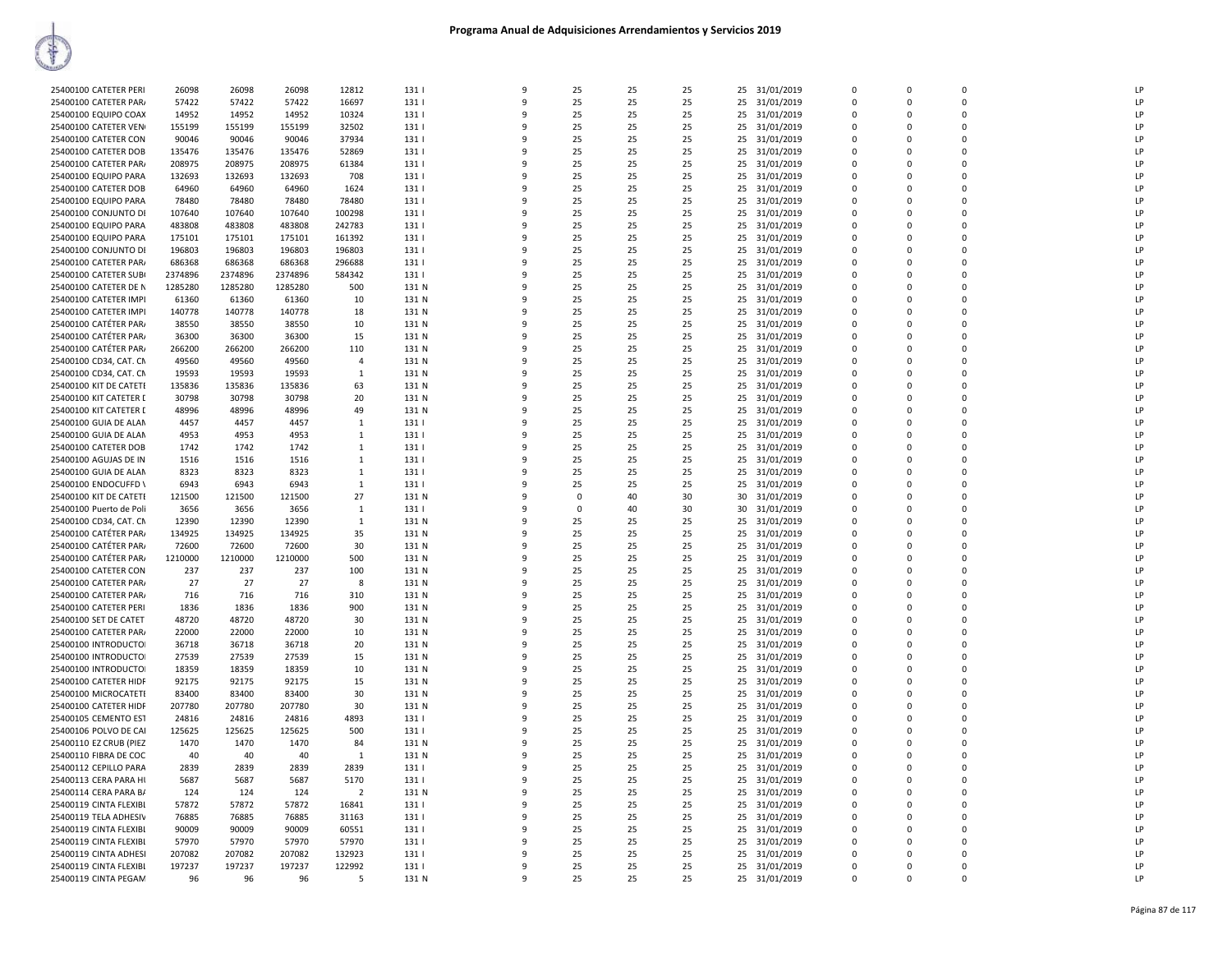| 25400100 CATETER PERI   | 26098   | 26098   | 26098   | 12812          | 131         | 9 | 25          | 25 | 25       |    | 25 31/01/2019 | $\Omega$    | $\Omega$    | O           | LP |
|-------------------------|---------|---------|---------|----------------|-------------|---|-------------|----|----------|----|---------------|-------------|-------------|-------------|----|
| 25400100 CATETER PAR    | 57422   | 57422   | 57422   | 16697          | 131         | 9 | 25          | 25 | 25       | 25 | 31/01/2019    | 0           | $\mathbf 0$ | $\mathbf 0$ | LP |
| 25400100 EQUIPO COAX    | 14952   | 14952   | 14952   | 10324          | 131         | q | 25          | 25 | 25       |    | 25 31/01/2019 | $\mathbf 0$ | $\mathbf 0$ | $\Omega$    | LP |
| 25400100 CATETER VEN    | 155199  | 155199  | 155199  | 32502          | 131         | q | 25          | 25 | 25       |    | 25 31/01/2019 | 0           | $\Omega$    | $\Omega$    | LP |
| 25400100 CATETER CON    | 90046   | 90046   | 90046   | 37934          | 131         | c | 25          | 25 | 25       |    | 25 31/01/2019 | $\Omega$    | $\Omega$    | $\Omega$    | LP |
| 25400100 CATETER DOB    | 135476  | 135476  | 135476  | 52869          | 131         | q | 25          | 25 | 25       | 25 | 31/01/2019    | $\mathbf 0$ | 0           | 0           | LP |
| 25400100 CATETER PAR/   | 208975  | 208975  | 208975  | 61384          | 131         | 9 | 25          | 25 | 25       |    | 25 31/01/2019 | $\Omega$    | $\Omega$    | $\Omega$    | LP |
| 25400100 EQUIPO PARA    | 132693  | 132693  | 132693  | 708            | 131         |   | 25          | 25 | 25       | 25 | 31/01/2019    | $\mathbf 0$ | $\Omega$    | $\Omega$    | LP |
| 25400100 CATETER DOB    | 64960   | 64960   | 64960   | 1624           | 131         | 9 | 25          | 25 | 25       | 25 | 31/01/2019    | 0           | $\Omega$    | $\Omega$    | LP |
| 25400100 EQUIPO PARA    | 78480   | 78480   | 78480   | 78480          | 131         | q | 25          | 25 | 25       |    | 25 31/01/2019 | $\Omega$    | $\Omega$    | $\Omega$    | LP |
|                         |         |         |         |                |             | q |             | 25 |          |    |               | 0           | $\Omega$    | $\Omega$    | 1P |
| 25400100 CONJUNTO DI    | 107640  | 107640  | 107640  | 100298         | 131<br>1311 |   | 25<br>25    |    | 25<br>25 |    | 25 31/01/2019 | $\Omega$    |             | $\Omega$    | LP |
| 25400100 EQUIPO PARA    | 483808  | 483808  | 483808  | 242783         |             | q |             | 25 |          |    | 25 31/01/2019 |             | $\Omega$    |             |    |
| 25400100 EQUIPO PARA    | 175101  | 175101  | 175101  | 161392         | 131         | 9 | 25          | 25 | 25       | 25 | 31/01/2019    | $\mathbf 0$ | 0           | 0           | LP |
| 25400100 CONJUNTO DI    | 196803  | 196803  | 196803  | 196803         | 131         | q | 25          | 25 | 25       |    | 25 31/01/2019 | $\Omega$    | $\Omega$    | $\Omega$    | LP |
| 25400100 CATETER PAR/   | 686368  | 686368  | 686368  | 296688         | 131         | 9 | 25          | 25 | 25       | 25 | 31/01/2019    | $\Omega$    | $\Omega$    | 0           | LP |
| 25400100 CATETER SUBI   | 2374896 | 2374896 | 2374896 | 584342         | 131         | q | 25          | 25 | 25       | 25 | 31/01/2019    | 0           | $\Omega$    | 0           | LP |
| 25400100 CATETER DE N   | 1285280 | 1285280 | 1285280 | 500            | 131 N       | q | 25          | 25 | 25       |    | 25 31/01/2019 | $\Omega$    | $\Omega$    | $\Omega$    | LP |
| 25400100 CATETER IMPI   | 61360   | 61360   | 61360   | 10             | 131 N       |   | 25          | 25 | 25       |    | 25 31/01/2019 | $\mathbf 0$ | 0           | 0           | LP |
| 25400100 CATETER IMPI   | 140778  | 140778  | 140778  | 18             | 131 N       | q | 25          | 25 | 25       |    | 25 31/01/2019 | 0           | $\Omega$    | $\mathbf 0$ | LP |
| 25400100 CATÉTER PAR/   | 38550   | 38550   | 38550   | 10             | 131 N       | 9 | 25          | 25 | 25       |    | 25 31/01/2019 | $\Omega$    | $\Omega$    | 0           | LP |
| 25400100 CATÉTER PAR/   | 36300   | 36300   | 36300   | 15             | 131 N       | q | 25          | 25 | 25       |    | 25 31/01/2019 | $\Omega$    | $\Omega$    | 0           | P  |
| 25400100 CATÉTER PAR    | 266200  | 266200  | 266200  | 110            | 131 N       | 9 | 25          | 25 | 25       | 25 | 31/01/2019    | $\Omega$    | $\Omega$    | 0           | LP |
| 25400100 CD34, CAT. CM  | 49560   | 49560   | 49560   | $\overline{a}$ | 131 N       | 9 | 25          | 25 | 25       | 25 | 31/01/2019    | 0           | $\mathbf 0$ | 0           | LP |
| 25400100 CD34, CAT. CM  | 19593   | 19593   | 19593   | 1              | 131 N       | q | 25          | 25 | 25       |    | 25 31/01/2019 | $\mathbf 0$ | 0           | $\Omega$    | LP |
| 25400100 KIT DE CATETE  | 135836  | 135836  | 135836  | 63             | 131 N       | 9 | 25          | 25 | 25       |    | 25 31/01/2019 | $\Omega$    | $\Omega$    | $\Omega$    | LP |
| 25400100 KIT CATETER I  | 30798   | 30798   |         |                |             | q | 25          |    |          |    |               | $\Omega$    | $\Omega$    | 0           | LP |
|                         |         |         | 30798   | 20             | 131 N       |   |             | 25 | 25       |    | 25 31/01/2019 |             |             |             | LP |
| 25400100 KIT CATETER I  | 48996   | 48996   | 48996   | 49             | 131 N       | 9 | 25          | 25 | 25       |    | 25 31/01/2019 | $\Omega$    | $\Omega$    | 0           |    |
| 25400100 GUIA DE ALAN   | 4457    | 4457    | 4457    | 1              | 131         | q | 25          | 25 | 25       | 25 | 31/01/2019    | $\Omega$    | $\Omega$    | 0           | LP |
| 25400100 GUIA DE ALAN   | 4953    | 4953    | 4953    | $\mathbf{1}$   | 131         | q | 25          | 25 | 25       |    | 25 31/01/2019 | $\mathbf 0$ | $\Omega$    | 0           | P  |
| 25400100 CATETER DOB    | 1742    | 1742    | 1742    | $\mathbf{1}$   | 131         | 9 | 25          | 25 | 25       | 25 | 31/01/2019    | 0           | $\Omega$    | $\Omega$    | LP |
| 25400100 AGUJAS DE IN   | 1516    | 1516    | 1516    | 1              | 131         | q | 25          | 25 | 25       |    | 25 31/01/2019 | $\Omega$    | $\Omega$    | $\Omega$    | LP |
| 25400100 GUIA DE ALAN   | 8323    | 8323    | 8323    | 1              | 131         | q | 25          | 25 | 25       |    | 25 31/01/2019 | 0           | O           | $\Omega$    | LP |
| 25400100 ENDOCUFFD \    | 6943    | 6943    | 6943    | 1              | 131         | q | 25          | 25 | 25       |    | 25 31/01/2019 | $\Omega$    | $\Omega$    | $\mathbf 0$ | LP |
| 25400100 KIT DE CATETI  | 121500  | 121500  | 121500  | 27             | 131 N       | 9 | $\mathbf 0$ | 40 | 30       |    | 30 31/01/2019 | $\mathbf 0$ | $\Omega$    | $\Omega$    | LP |
| 25400100 Puerto de Poli | 3656    | 3656    | 3656    | $\mathbf{1}$   | 131         | q | $\Omega$    | 40 | 30       | 30 | 31/01/2019    | $\Omega$    | $\Omega$    | 0           | P  |
| 25400100 CD34, CAT, CN  | 12390   | 12390   | 12390   | 1              | 131 N       | q | 25          | 25 | 25       |    | 25 31/01/2019 | $\Omega$    | $\Omega$    | $\Omega$    | LP |
| 25400100 CATÉTER PARA   | 134925  | 134925  | 134925  | 35             | 131 N       | q | 25          | 25 | 25       | 25 | 31/01/2019    | 0           | $\mathbf 0$ | 0           | LP |
| 25400100 CATÉTER PAR    | 72600   | 72600   | 72600   | 30             | 131 N       | q | 25          | 25 | 25       |    | 25 31/01/2019 | $\Omega$    | $\Omega$    | $\Omega$    | LP |
| 25400100 CATÉTER PAR/   | 1210000 | 1210000 | 1210000 | 500            | 131 N       |   | 25          | 25 | 25       |    | 25 31/01/2019 | $\mathbf 0$ | 0           | 0           | LP |
| 25400100 CATETER CON    | 237     | 237     | 237     | 100            | 131 N       | q | 25          | 25 | 25       |    | 25 31/01/2019 | $\Omega$    | $\Omega$    | $\Omega$    | LP |
| 25400100 CATETER PAR/   | 27      | 27      | 27      | 8              | 131 N       | 9 | 25          | 25 | 25       |    | 25 31/01/2019 | $\Omega$    | $\Omega$    | 0           | LP |
| 25400100 CATETER PAR/   | 716     | 716     | 716     | 310            | 131 N       | q | 25          | 25 | 25       |    | 25 31/01/2019 | 0           | $\Omega$    | 0           | LP |
| 25400100 CATETER PERI   | 1836    | 1836    | 1836    | 900            | 131 N       | q | 25          | 25 | 25       |    | 25 31/01/2019 | $\Omega$    | $\Omega$    | $\Omega$    | LP |
| 25400100 SET DE CATET   | 48720   | 48720   | 48720   | 30             | 131 N       | 9 | 25          | 25 | 25       | 25 | 31/01/2019    | $\mathbf 0$ | $\mathbf 0$ | 0           | LP |
| 25400100 CATETER PAR/   | 22000   | 22000   | 22000   | 10             | 131 N       | q | 25          | 25 | 25       |    | 25 31/01/2019 | $\mathbf 0$ | $\Omega$    | $\Omega$    | LP |
|                         |         |         |         |                |             | q | 25          |    |          |    |               | $\Omega$    | $\Omega$    | $\Omega$    | LP |
| 25400100 INTRODUCTO     | 36718   | 36718   | 36718   | 20             | 131 N       |   |             | 25 | 25       |    | 25 31/01/2019 |             |             |             |    |
| 25400100 INTRODUCTOI    | 27539   | 27539   | 27539   | 15             | 131 N       | q | 25          | 25 | 25       | 25 | 31/01/2019    | $\Omega$    | $\Omega$    | 0           | LP |
| 25400100 INTRODUCTO     | 18359   | 18359   | 18359   | 10             | 131 N       | 9 | 25          | 25 | 25       |    | 25 31/01/2019 | $\Omega$    | $\Omega$    | 0           | LP |
| 25400100 CATETER HIDF   | 92175   | 92175   | 92175   | 15             | 131 N       | q | 25          | 25 | 25       |    | 25 31/01/2019 | 0           | $\Omega$    | 0           | LP |
| 25400100 MICROCATETI    | 83400   | 83400   | 83400   | 30             | 131 N       | q | 25          | 25 | 25       |    | 25 31/01/2019 | $\Omega$    | $\Omega$    | $\Omega$    | LP |
| 25400100 CATETER HIDF   | 207780  | 207780  | 207780  | 30             | 131 N       | 9 | 25          | 25 | 25       | 25 | 31/01/2019    | $\Omega$    | $\Omega$    | 0           | LP |
| 25400105 CEMENTO EST    | 24816   | 24816   | 24816   | 4893           | 131         | q | 25          | 25 | 25       |    | 25 31/01/2019 | $\Omega$    | $\Omega$    | $\Omega$    | LP |
| 25400106 POLVO DE CAI   | 125625  | 125625  | 125625  | 500            | 131         |   | 25          | 25 | 25       |    | 25 31/01/2019 | $\Omega$    | $\Omega$    | $\Omega$    | LP |
| 25400110 EZ CRUB (PIEZ  | 1470    | 1470    | 1470    | 84             | 131 N       | q | 25          | 25 | 25       | 25 | 31/01/2019    | 0           | $\Omega$    | $\mathbf 0$ | LP |
| 25400110 FIBRA DE COC   | 40      | 40      | 40      | 1              | 131 N       | q | 25          | 25 | 25       |    | 25 31/01/2019 | $\mathbf 0$ | $\Omega$    | 0           | P  |
| 25400112 CEPILLO PARA   | 2839    | 2839    | 2839    | 2839           | 131         | q | 25          | 25 | 25       |    | 25 31/01/2019 | $\Omega$    | $\Omega$    | 0           | P  |
| 25400113 CERA PARA HI   | 5687    | 5687    | 5687    | 5170           | 131         | q | 25          | 25 | 25       |    | 25 31/01/2019 | $\Omega$    | $\Omega$    | $\Omega$    | LP |
| 25400114 CERA PARA B/   | 124     | 124     | 124     | $\overline{2}$ | 131 N       | q | 25          | 25 | 25       | 25 | 31/01/2019    | 0           | $\Omega$    | $\Omega$    | LP |
| 25400119 CINTA FLEXIBI  | 57872   | 57872   | 57872   | 16841          | 131         | q | 25          | 25 | 25       |    | 25 31/01/2019 | $\mathbf 0$ | $\Omega$    | $\Omega$    | LP |
| 25400119 TELA ADHESIV   | 76885   | 76885   | 76885   | 31163          | 131         |   | 25          | 25 | 25       |    | 25 31/01/2019 | $\mathbf 0$ | $\Omega$    | $\Omega$    | LP |
| 25400119 CINTA FLEXIBI  | 90009   | 90009   | 90009   | 60551          | 131         | q | 25          | 25 | 25       | 25 | 31/01/2019    | $\Omega$    | $\Omega$    | 0           | LP |
| 25400119 CINTA FLEXIBI  | 57970   | 57970   | 57970   | 57970          | 131         | q | 25          | 25 | 25       |    | 25 31/01/2019 | $\Omega$    | $\Omega$    | 0           | LP |
| 25400119 CINTA ADHESI   | 207082  | 207082  | 207082  | 132923         | 131         | q | 25          | 25 | 25       |    | 25 31/01/2019 | $\mathbf 0$ | O           | $\Omega$    | LP |
| 25400119 CINTA FLEXIBI  | 197237  | 197237  | 197237  | 122992         | 131         | 9 | 25          | 25 | 25       |    | 25 31/01/2019 | $\Omega$    | $\Omega$    | 0           | LP |
| 25400119 CINTA PEGAM    | 96      | 96      | 96      | 5              | 131 N       | 9 | 25          | 25 | 25       |    | 25 31/01/2019 | 0           | 0           | 0           | LP |
|                         |         |         |         |                |             |   |             |    |          |    |               |             |             |             |    |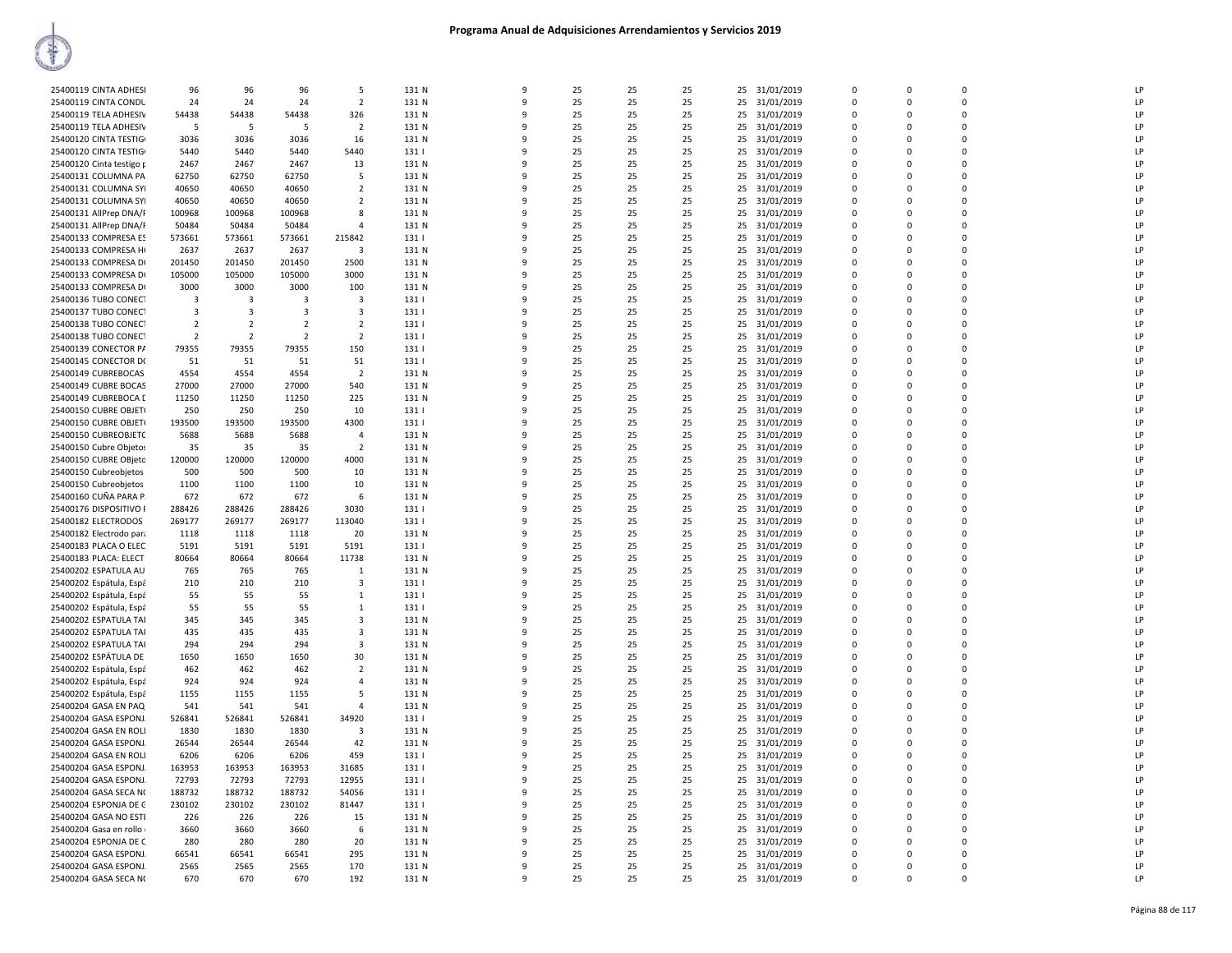| 25400119 CINTA ADHESI    | 96                      | 96             | 96                      | 5              | 131 N | 9            | 25 | 25 | 25 | 25<br>31/01/2019 | $\mathbf 0$ | 0           | $\mathbf 0$    | LP |
|--------------------------|-------------------------|----------------|-------------------------|----------------|-------|--------------|----|----|----|------------------|-------------|-------------|----------------|----|
| 25400119 CINTA CONDU     | 24                      | 24             | 24                      | $\overline{2}$ | 131 N | $\mathbf{q}$ | 25 | 25 | 25 | 31/01/2019<br>25 | $\mathbf 0$ | $\mathbf 0$ | $\Omega$       | LP |
|                          |                         |                |                         |                | 131 N | 9            | 25 |    |    | 25               | $\Omega$    | $\Omega$    | $\Omega$       | LP |
| 25400119 TELA ADHESIV    | 54438                   | 54438          | 54438                   | 326            |       |              |    | 25 | 25 | 31/01/2019       |             |             |                |    |
| 25400119 TELA ADHESIV    | -5                      | -5             | -5                      | $\overline{2}$ | 131 N |              | 25 | 25 | 25 | 31/01/2019<br>25 | $\mathbf 0$ | $\Omega$    | $\mathbf 0$    | LP |
| 25400120 CINTA TESTIGI   | 3036                    | 3036           | 3036                    | 16             | 131 N | 9            | 25 | 25 | 25 | 25<br>31/01/2019 | $\Omega$    | $\Omega$    | $\Omega$       | LP |
|                          |                         |                | 5440                    |                | 131   | ٩            | 25 | 25 |    |                  | $\Omega$    | $\Omega$    | $\Omega$       | LP |
| 25400120 CINTA TESTIGI   | 5440                    | 5440           |                         | 5440           |       |              |    |    | 25 | 25<br>31/01/2019 |             |             |                |    |
| 25400120 Cinta testigo p | 2467                    | 2467           | 2467                    | 13             | 131 N | 9            | 25 | 25 | 25 | 31/01/2019<br>25 | $\mathbf 0$ | $\Omega$    | $\overline{0}$ | LP |
| 25400131 COLUMNA PA      | 62750                   | 62750          | 62750                   | 5              | 131 N | 9            | 25 | 25 | 25 | 25<br>31/01/2019 | $\mathbf 0$ | $\mathbf 0$ | $\mathbf 0$    | LP |
|                          |                         |                |                         |                |       |              |    |    |    |                  |             |             |                |    |
| 25400131 COLUMNA SYI     | 40650                   | 40650          | 40650                   | $\overline{2}$ | 131 N | $\mathbf{q}$ | 25 | 25 | 25 | 31/01/2019<br>25 | $\Omega$    | $\Omega$    | $\Omega$       | LP |
| 25400131 COLUMNA SYI     | 40650                   | 40650          | 40650                   | $\overline{2}$ | 131 N |              | 25 | 25 | 25 | 25<br>31/01/2019 | $\mathbf 0$ | 0           | $\mathbf 0$    | LP |
| 25400131 AllPrep DNA/F   | 100968                  | 100968         | 100968                  | 8              | 131 N |              | 25 | 25 | 25 | 25<br>31/01/2019 | $\mathbf 0$ | $\Omega$    | $\mathbf 0$    | LP |
|                          |                         |                |                         |                |       |              |    |    |    |                  |             |             |                |    |
| 25400131 AllPrep DNA/F   | 50484                   | 50484          | 50484                   | $\overline{4}$ | 131 N |              | 25 | 25 | 25 | 25<br>31/01/2019 | $\mathbf 0$ | 0           | $\mathbf 0$    | LP |
| 25400133 COMPRESA ES     | 573661                  | 573661         | 573661                  | 215842         | 131   | q            | 25 | 25 | 25 | 25<br>31/01/2019 | $\Omega$    | $\Omega$    | $\Omega$       | LP |
| 25400133 COMPRESA HI     | 2637                    | 2637           | 2637                    | 3              | 131 N | 9            | 25 | 25 | 25 | 31/01/2019<br>25 | $\Omega$    | $\Omega$    | $\Omega$       | LP |
|                          |                         |                |                         |                |       |              |    |    |    |                  |             |             |                | LP |
| 25400133 COMPRESA DI     | 201450                  | 201450         | 201450                  | 2500           | 131 N | -9           | 25 | 25 | 25 | 31/01/2019<br>25 | 0           | $\mathbf 0$ | $\mathbf 0$    |    |
| 25400133 COMPRESA DI     | 105000                  | 105000         | 105000                  | 3000           | 131 N | 9            | 25 | 25 | 25 | 25<br>31/01/2019 | $\mathbf 0$ | 0           | $\Omega$       | LP |
| 25400133 COMPRESA DI     | 3000                    | 3000           | 3000                    | 100            | 131 N |              | 25 | 25 | 25 | 25<br>31/01/2019 | $\Omega$    | $\Omega$    | $\Omega$       | LP |
|                          |                         |                |                         |                |       |              |    |    |    |                  |             |             |                |    |
| 25400136 TUBO CONECT     | $\overline{\mathbf{3}}$ | -3             | $\overline{3}$          | 3              | 131   |              | 25 | 25 | 25 | 31/01/2019<br>25 | $\Omega$    | $\Omega$    | $\overline{0}$ | LP |
| 25400137 TUBO CONECT     | $\overline{\mathbf{3}}$ | 3              | $\overline{\mathbf{3}}$ | 3              | 131   |              | 25 | 25 | 25 | 25<br>31/01/2019 | $\mathbf 0$ | 0           | $\mathbf 0$    | LP |
| 25400138 TUBO CONECT     | $\overline{2}$          | $\overline{2}$ | $\overline{2}$          | $\overline{2}$ | 131   | $\mathbf{Q}$ | 25 | 25 | 25 | 25<br>31/01/2019 | $\Omega$    | $\Omega$    | $\Omega$       | LP |
|                          |                         |                |                         |                |       |              |    |    |    |                  |             |             |                |    |
| 25400138 TUBO CONECT     | $\overline{2}$          | $\overline{2}$ | $\overline{2}$          | $\overline{2}$ | 131   | q            | 25 | 25 | 25 | 25<br>31/01/2019 | $\mathbf 0$ | 0           | $\mathbf 0$    | LP |
| 25400139 CONECTOR PA     | 79355                   | 79355          | 79355                   | 150            | 131   | q            | 25 | 25 | 25 | 31/01/2019<br>25 | 0           | $\Omega$    | $\Omega$       | LP |
| 25400145 CONECTOR D(     | 51                      | 51             | 51                      | 51             | 131   | 9            | 25 | 25 | 25 | 25<br>31/01/2019 | 0           | $\Omega$    | $\Omega$       | LP |
|                          |                         |                |                         |                |       |              |    |    |    |                  |             |             |                |    |
| 25400149 CUBREBOCAS      | 4554                    | 4554           | 4554                    | $\overline{2}$ | 131 N | q            | 25 | 25 | 25 | 31/01/2019<br>25 | $\Omega$    | $\Omega$    | $\Omega$       | LP |
| 25400149 CUBRE BOCAS     | 27000                   | 27000          | 27000                   | 540            | 131 N |              | 25 | 25 | 25 | 25<br>31/01/2019 | $\Omega$    | $\Omega$    | $\Omega$       | LP |
|                          |                         |                |                         |                |       |              |    |    |    |                  | $\mathbf 0$ | $\Omega$    | $\mathbf 0$    | LP |
| 25400149 CUBREBOCA [     | 11250                   | 11250          | 11250                   | 225            | 131 N |              | 25 | 25 | 25 | 25<br>31/01/2019 |             |             |                |    |
| 25400150 CUBRE OBJET(    | 250                     | 250            | 250                     | 10             | 131   | q            | 25 | 25 | 25 | 25<br>31/01/2019 | $\Omega$    | $\Omega$    | $\Omega$       | LP |
| 25400150 CUBRE OBJET(    | 193500                  | 193500         | 193500                  | 4300           | 131   | 9            | 25 | 25 | 25 | 25<br>31/01/2019 | $\mathbf 0$ | $\Omega$    | $\Omega$       | LP |
| 25400150 CUBREOBJETC     |                         |                |                         | 4              | 131 N | 9            | 25 | 25 | 25 | 31/01/2019<br>25 | $\mathbf 0$ | $\Omega$    | $\overline{0}$ | LP |
|                          | 5688                    | 5688           | 5688                    |                |       |              |    |    |    |                  |             |             |                |    |
| 25400150 Cubre Objetos   | 35                      | 35             | 35                      | $\overline{2}$ | 131 N | 9            | 25 | 25 | 25 | 25<br>31/01/2019 | $\mathbf 0$ | 0           | $\mathbf 0$    | LP |
| 25400150 CUBRE OBjetc    | 120000                  | 120000         | 120000                  | 4000           | 131 N | q            | 25 | 25 | 25 | 25<br>31/01/2019 | $\mathbf 0$ | $\mathbf 0$ | $\Omega$       | LP |
|                          |                         | 500            |                         | 10             |       | q            | 25 |    |    | 25               | $\Omega$    | $\Omega$    | $\Omega$       | LP |
| 25400150 Cubreobjetos    | 500                     |                | 500                     |                | 131 N |              |    | 25 | 25 | 31/01/2019       |             |             |                |    |
| 25400150 Cubreobjetos    | 1100                    | 1100           | 1100                    | 10             | 131 N |              | 25 | 25 | 25 | 31/01/2019<br>25 | $\Omega$    | $\Omega$    | $\Omega$       | LP |
| 25400160 CUÑA PARA P.    | 672                     | 672            | 672                     | 6              | 131 N | q            | 25 | 25 | 25 | 25<br>31/01/2019 | $\Omega$    | $\Omega$    | $\Omega$       | LP |
|                          |                         |                |                         |                |       |              |    |    |    |                  | $\Omega$    | $\Omega$    | $\Omega$       | LP |
| 25400176 DISPOSITIVO I   | 288426                  | 288426         | 288426                  | 3030           | 131   |              | 25 | 25 | 25 | 25<br>31/01/2019 |             |             |                |    |
| 25400182 ELECTRODOS      | 269177                  | 269177         | 269177                  | 113040         | 131   | q            | 25 | 25 | 25 | 31/01/2019<br>25 | $\Omega$    | $\Omega$    | $\Omega$       | LP |
| 25400182 Electrodo para  | 1118                    | 1118           | 1118                    | 20             | 131 N | 9            | 25 | 25 | 25 | 25<br>31/01/2019 | $\mathbf 0$ | $\mathbf 0$ | $\mathbf 0$    | LP |
|                          |                         |                | 5191                    |                |       | $\mathbf{q}$ | 25 |    |    |                  | $\Omega$    | $\Omega$    | $\Omega$       | LP |
| 25400183 PLACA O ELEC    | 5191                    | 5191           |                         | 5191           | 131   |              |    | 25 | 25 | 31/01/2019<br>25 |             |             |                |    |
| 25400183 PLACA: ELECT    | 80664                   | 80664          | 80664                   | 11738          | 131 N | 9            | 25 | 25 | 25 | 25<br>31/01/2019 | $\mathbf 0$ | 0           | $\Omega$       | LP |
| 25400202 ESPATULA AU     | 765                     | 765            | 765                     | 1              | 131 N |              | 25 | 25 | 25 | 25<br>31/01/2019 | $\mathbf 0$ | $\Omega$    | $\mathbf 0$    | LP |
|                          |                         |                |                         |                |       |              |    |    |    |                  |             |             | $\mathbf 0$    | LP |
| 25400202 Espátula, Espá  | 210                     | 210            | 210                     | 3              | 131   |              | 25 | 25 | 25 | 25<br>31/01/2019 | $\mathbf 0$ | 0           |                |    |
| 25400202 Espátula, Espá  | 55                      | 55             | 55                      | 1              | 131   | $\alpha$     | 25 | 25 | 25 | 25<br>31/01/2019 | $\mathbf 0$ | $\Omega$    | $\Omega$       | LP |
| 25400202 Espátula, Espá  | 55                      | 55             | 55                      | $\mathbf{1}$   | 131   | q            | 25 | 25 | 25 | 25<br>31/01/2019 | $\Omega$    | $\Omega$    | $\Omega$       | LP |
|                          |                         |                |                         |                |       |              |    |    |    |                  |             |             |                |    |
| 25400202 ESPATULA TAI    | 345                     | 345            | 345                     | 3              | 131 N | q            | 25 | 25 | 25 | 25<br>31/01/2019 | $\mathbf 0$ | $\mathbf 0$ | $\Omega$       | LP |
| 25400202 ESPATULA TAI    | 435                     | 435            | 435                     | $\mathbf{3}$   | 131 N | q            | 25 | 25 | 25 | 25<br>31/01/2019 | $\Omega$    | $\Omega$    | $\Omega$       | LP |
| 25400202 ESPATULA TAI    | 294                     | 294            | 294                     | 3              | 131 N |              | 25 | 25 | 25 | 25<br>31/01/2019 | $\Omega$    | $\Omega$    | $\Omega$       | LP |
| 25400202 ESPÁTULA DE     |                         | 1650           | 1650                    | 30             | 131 N | $\mathbf{q}$ | 25 | 25 | 25 | 25               | $\Omega$    | $\Omega$    | $\Omega$       | LP |
|                          | 1650                    |                |                         |                |       |              |    |    |    | 31/01/2019       |             |             |                |    |
| 25400202 Espátula, Espá  | 462                     | 462            | 462                     | $\overline{2}$ | 131 N |              | 25 | 25 | 25 | 25<br>31/01/2019 | $\mathbf 0$ | 0           | $\mathbf 0$    | LP |
| 25400202 Espátula, Espá  | 924                     | 924            | 924                     | 4              | 131 N | 9            | 25 | 25 | 25 | 25<br>31/01/2019 | $\Omega$    | $\Omega$    | $\Omega$       | LP |
|                          |                         |                |                         |                |       | 9            |    |    |    |                  |             |             |                |    |
| 25400202 Espátula, Espá  | 1155                    | 1155           | 1155                    | 5              | 131 N |              | 25 | 25 | 25 | 25<br>31/01/2019 | $\mathbf 0$ | 0           | $\mathbf 0$    | LP |
| 25400204 GASA EN PAQ     | 541                     | 541            | 541                     | 4              | 131 N | -9           | 25 | 25 | 25 | 31/01/2019<br>25 | 0           | $\mathbf 0$ | $\mathbf 0$    | LP |
| 25400204 GASA ESPONJ.    | 526841                  | 526841         | 526841                  | 34920          | 131   | $\mathbf{q}$ | 25 | 25 | 25 | 25<br>31/01/2019 | $\mathbf 0$ | 0           | $\mathbf 0$    | LP |
|                          |                         |                |                         |                |       | ۰            |    |    |    |                  | $\Omega$    | $\Omega$    | $\Omega$       | LP |
| 25400204 GASA EN ROLI    | 1830                    | 1830           | 1830                    | 3              | 131 N |              | 25 | 25 | 25 | 25<br>31/01/2019 |             |             |                |    |
| 25400204 GASA ESPONJ.    | 26544                   | 26544          | 26544                   | 42             | 131 N |              | 25 | 25 | 25 | 25<br>31/01/2019 | $\Omega$    | $\Omega$    | $\Omega$       | LP |
| 25400204 GASA EN ROLI    | 6206                    | 6206           | 6206                    | 459            | 131   |              | 25 | 25 | 25 | 25<br>31/01/2019 | $\mathbf 0$ | $\Omega$    | $\mathbf 0$    | LP |
| 25400204 GASA ESPONJ.    | 163953                  | 163953         | 163953                  | 31685          | 1311  | q            | 25 | 25 | 25 | 25<br>31/01/2019 | $\Omega$    | $\Omega$    | $\Omega$       | LP |
|                          |                         |                |                         |                |       |              |    |    |    |                  |             |             |                |    |
| 25400204 GASA ESPONJ.    | 72793                   | 72793          | 72793                   | 12955          | 131   | 9            | 25 | 25 | 25 | 25<br>31/01/2019 | $\mathbf 0$ | 0           | $\mathbf 0$    | LP |
| 25400204 GASA SECA NO    | 188732                  | 188732         | 188732                  | 54056          | 131   | -9           | 25 | 25 | 25 | 31/01/2019<br>25 | $\mathbf 0$ | $\mathbf 0$ | $\mathbf 0$    | LP |
|                          |                         |                |                         |                |       |              |    |    |    |                  |             |             |                |    |
| 25400204 ESPONJA DE C    | 230102                  | 230102         | 230102                  | 81447          | 131   | 9            | 25 | 25 | 25 | 25<br>31/01/2019 | $\mathbf 0$ | $\mathbf 0$ | $\Omega$       | LP |
| 25400204 GASA NO ESTI    | 226                     | 226            | 226                     | 15             | 131 N | $\alpha$     | 25 | 25 | 25 | 25<br>31/01/2019 | $\mathbf 0$ | $\mathbf 0$ | $\Omega$       | LP |
| 25400204 Gasa en rollo   | 3660                    | 3660           | 3660                    | 6              | 131 N |              | 25 | 25 | 25 | 25<br>31/01/2019 | $\mathbf 0$ | 0           | $\mathbf 0$    | LP |
|                          |                         |                |                         |                |       |              |    |    |    |                  | $\mathbf 0$ | 0           | $\mathbf 0$    | LP |
| 25400204 ESPONJA DE C    | 280                     | 280            | 280                     | 20             | 131 N |              | 25 | 25 | 25 | 25<br>31/01/2019 |             |             |                |    |
| 25400204 GASA ESPONJ.    | 66541                   | 66541          | 66541                   | 295            | 131 N | q            | 25 | 25 | 25 | 25<br>31/01/2019 | $\Omega$    | $\Omega$    | $\Omega$       | LP |
| 25400204 GASA ESPONJ.    | 2565                    | 2565           | 2565                    | 170            | 131 N | q            | 25 | 25 | 25 | 25<br>31/01/2019 | $\Omega$    | $\Omega$    | $\Omega$       | LP |
| 25400204 GASA SECA N(    | 670                     | 670            | 670                     | 192            | 131 N | 9            | 25 | 25 | 25 | 25 31/01/2019    | $\Omega$    | $\Omega$    | $\Omega$       | LP |
|                          |                         |                |                         |                |       |              |    |    |    |                  |             |             |                |    |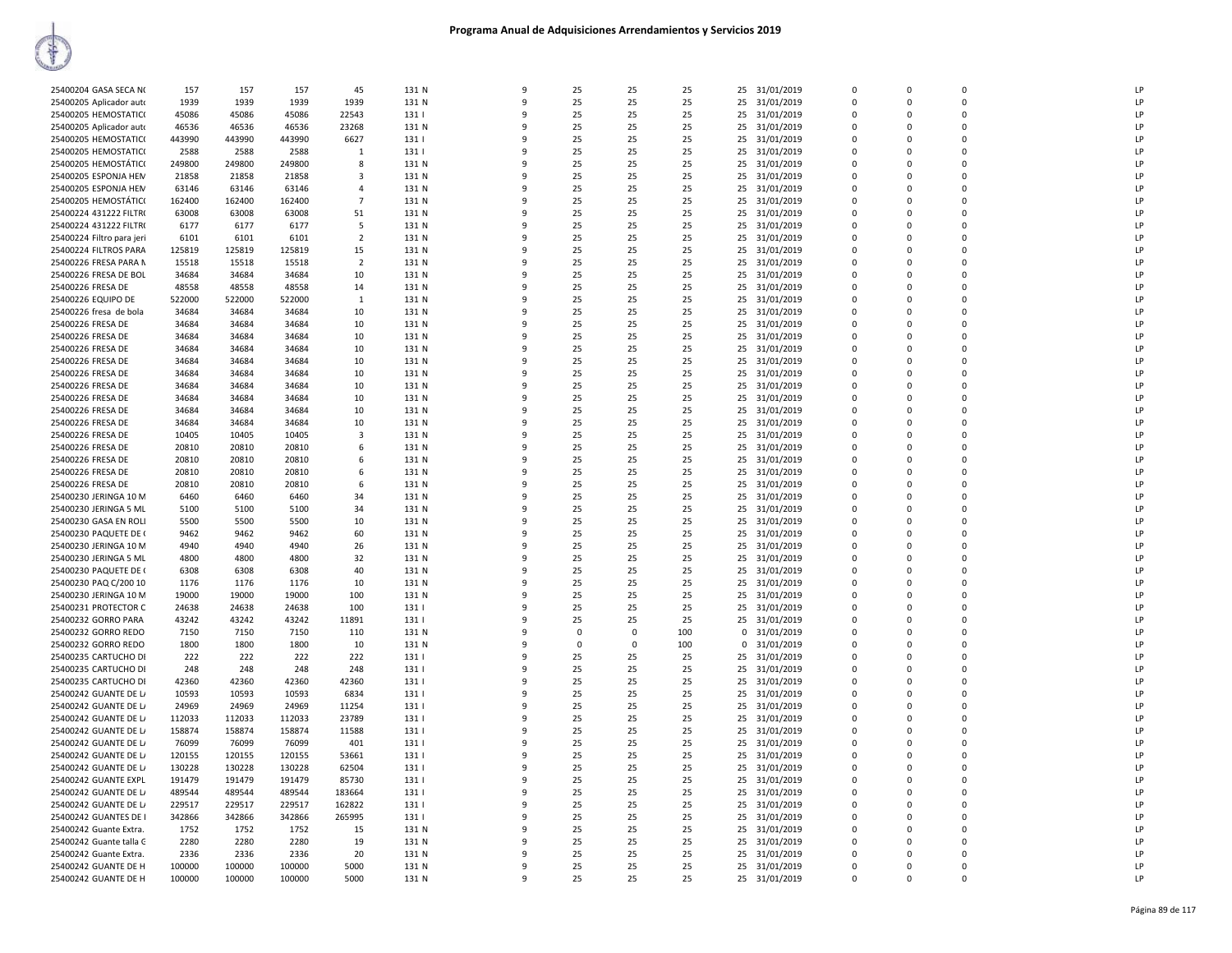| 25400204 GASA SECA NO                          | 157          | 157          | 157          | 45             | 131 N          | 9            | 25       | 25             | 25       | 25 31/01/2019             | $\mathbf 0$             | $\mathbf 0$             | $\mathbf 0$   | LP |
|------------------------------------------------|--------------|--------------|--------------|----------------|----------------|--------------|----------|----------------|----------|---------------------------|-------------------------|-------------------------|---------------|----|
| 25400205 Aplicador auto                        | 1939         | 1939         | 1939         | 1939           | 131 N          | $\mathbf{q}$ | 25       | 25             | 25       | 25 31/01/2019             | $\Omega$                | $\Omega$                | $\Omega$      | LP |
| 25400205 HEMOSTATICO                           | 45086        | 45086        | 45086        | 22543          | 131            | q            | 25       | 25             | 25       | 25 31/01/2019             | $\mathbf 0$             | $\Omega$                | $\Omega$      | LP |
|                                                | 46536        | 46536        | 46536        | 23268          | 131 N          | q            | 25       | 25             | 25       |                           | $\Omega$                | $\Omega$                | $\Omega$      | LP |
| 25400205 Aplicador auto                        |              |              |              |                |                |              |          |                |          | 25 31/01/2019             | $\mathbf 0$             |                         | $\mathbf 0$   | LP |
| 25400205 HEMOSTATIC(                           | 443990       | 443990       | 443990       | 6627           | 131            | 9<br>q       | 25<br>25 | 25             | 25       | 25<br>31/01/2019          | $\Omega$                | $\Omega$                | $\Omega$      | LP |
| 25400205 HEMOSTATIC(                           | 2588         | 2588         | 2588         | 1              | 131            |              |          | 25             | 25       | 25 31/01/2019             |                         | $\Omega$                |               |    |
| 25400205 HEMOSTÁTICO                           | 249800       | 249800       | 249800       | 8              | 131 N          |              | 25       | 25             | 25       | 25<br>31/01/2019          | $\mathbf 0$             | $\mathbf 0$             | $\mathbf 0$   | LP |
| 25400205 ESPONJA HEM                           | 21858        | 21858        | 21858        | 3              | 131 N          | 9            | 25       | 25             | 25       | 31/01/2019<br>25          | $\mathbf 0$             | $\Omega$                | $\mathbf 0$   | LP |
| 25400205 ESPONJA HEM                           | 63146        | 63146        | 63146        | $\overline{4}$ | 131 N          | $\mathbf{q}$ | 25       | 25             | 25       | 25<br>31/01/2019          | $\mathbf 0$             | $\Omega$                | $\mathbf 0$   | LP |
| 25400205 HEMOSTÁTICO                           | 162400       | 162400       | 162400       | $\overline{7}$ | 131 N          | q            | 25       | 25             | 25       | 25 31/01/2019             | $\Omega$                | $\Omega$                | $\Omega$      | LP |
| 25400224 431222 FILTR(                         | 63008        | 63008        | 63008        | 51             | 131 N          |              | 25       | 25             | 25       | 25 31/01/2019             | $\Omega$                | $\Omega$                | $\Omega$      | LP |
| 25400224 431222 FILTR(                         | 6177         | 6177         | 6177         | -5             | 131 N          |              | 25       | 25             | 25       | 25<br>31/01/2019          | $\mathbf 0$             | $\Omega$                | 0             | LP |
| 25400224 Filtro para jeri                      | 6101         | 6101         | 6101         | $\overline{2}$ | 131 N          | q            | 25       | 25             | 25       | 25 31/01/2019             | $\Omega$                | $\Omega$                | $\Omega$      | LP |
| 25400224 FILTROS PARA                          | 125819       | 125819       | 125819       | 15             | 131 N          | 9            | 25       | 25             | 25       | 25<br>31/01/2019          | $\mathbf 0$             | $\Omega$                | $\mathbf 0$   | LP |
| 25400226 FRESA PARA N                          | 15518        | 15518        | 15518        | $\overline{2}$ | 131 N          | 9            | 25       | 25             | 25       | 25 31/01/2019             | $\Omega$                | $\Omega$                | $\Omega$      | LP |
| 25400226 FRESA DE BOL                          | 34684        | 34684        | 34684        | 10             | 131 N          | 9            | 25       | 25             | 25       | 25<br>31/01/2019          | $\mathbf 0$             | $\mathbf 0$             | $\mathbf 0$   | LP |
| 25400226 FRESA DE                              | 48558        | 48558        | 48558        | 14             | 131 N          | q            | 25       | 25             | 25       | 31/01/2019<br>25          | $\mathbf 0$             | $\Omega$                | $\mathbf 0$   | LP |
| 25400226 EQUIPO DE                             | 522000       | 522000       | 522000       | 1              | 131 N          |              | 25       | 25             | 25       | 25 31/01/2019             | $\mathbf 0$             | $\Omega$                | $\mathbf 0$   | LP |
| 25400226 fresa de bola                         | 34684        | 34684        | 34684        | 10             | 131 N          | q            | 25       | 25             | 25       | 25<br>31/01/2019          | 0                       | $\Omega$                | 0             | LP |
| 25400226 FRESA DE                              | 34684        | 34684        | 34684        | 10             | 131 N          | q            | 25       | 25             | 25       | 25 31/01/2019             | $\Omega$                | $\Omega$                | $\Omega$      | LP |
| 25400226 FRESA DE                              | 34684        | 34684        | 34684        | 10             | 131 N          | q            | 25       | 25             | 25       | 25<br>31/01/2019          | $\mathbf 0$             | $\Omega$                | 0             | LP |
| 25400226 FRESA DE                              | 34684        | 34684        | 34684        | 10             | 131 N          | 9            | 25       | 25             | 25       | 31/01/2019<br>25          | $\Omega$                | $\Omega$                | $\Omega$      | LP |
| 25400226 FRESA DE                              | 34684        | 34684        | 34684        | 10             | 131 N          | 9            | 25       | 25             | 25       | 25<br>31/01/2019          | $\mathbf 0$             | $\Omega$                | $\mathbf 0$   | LP |
| 25400226 FRESA DE                              | 34684        | 34684        | 34684        | 10             | 131 N          | q            | 25       | 25             | 25       | 25 31/01/2019             | $\Omega$                | $\Omega$                | $\Omega$      | LP |
| 25400226 FRESA DE                              | 34684        | 34684        | 34684        | 10             | 131 N          |              | 25       | 25             | 25       | 25 31/01/2019             | $\mathbf 0$             | $\Omega$                | $\mathbf 0$   | LP |
| 25400226 FRESA DE                              | 34684        | 34684        | 34684        | 10             | 131 N          | q            | 25       | 25             | 25       | 31/01/2019<br>25          | $\mathbf 0$             | $\Omega$                | $\mathbf 0$   | LP |
| 25400226 FRESA DE                              | 34684        | 34684        | 34684        | 10             | 131 N          | q            | 25       | 25             | 25       | 25 31/01/2019             | $\mathbf 0$             | $\Omega$                | $\mathbf 0$   | LP |
| 25400226 FRESA DE                              | 34684        | 34684        | 34684        | 10             | 131 N          | q            | 25       | 25             | 25       | 25<br>31/01/2019          | $\Omega$                | $\Omega$                | $\Omega$      | LP |
| 25400226 FRESA DE                              | 10405        | 10405        | 10405        | $\overline{3}$ | 131 N          | q            | 25       | 25             | 25       | 25 31/01/2019             | $\Omega$                | $\Omega$                | $\Omega$      | LP |
| 25400226 FRESA DE                              | 20810        | 20810        | 20810        | 6              | 131 N          | 9            | 25       | 25             | 25       | 25<br>31/01/2019          | $\mathbf 0$             | $\Omega$                | 0             | LP |
| 25400226 FRESA DE                              | 20810        | 20810        | 20810        | 6              | 131 N          | q            | 25       | 25             | 25       | 31/01/2019<br>25          | $\Omega$                | $\overline{\mathbf{0}}$ | $\Omega$      | LP |
| 25400226 FRESA DE                              | 20810        | 20810        | 20810        | 6              | 131 N          |              | 25       | 25             | 25       | 25<br>31/01/2019          | $\mathbf 0$             | $\Omega$                | $\mathbf 0$   | LP |
| 25400226 FRESA DE                              | 20810        | 20810        | 20810        |                | 131 N          | q            | 25       | 25             | 25       | 31/01/2019                | 0                       | $\Omega$                | $\mathbf 0$   | LP |
| 25400230 JERINGA 10 M                          | 6460         | 6460         | 6460         | 6<br>34        | 131 N          | 9            | 25       | 25             | 25       | 25<br>25 31/01/2019       | $\mathbf 0$             | $\Omega$                | $\mathbf 0$   | LP |
|                                                |              |              |              | 34             |                | q            | 25       |                | 25       | 25                        | $\mathbf 0$             | $\Omega$                | $\mathbf 0$   | LP |
| 25400230 JERINGA 5 ML<br>25400230 GASA EN ROLI | 5100<br>5500 | 5100<br>5500 | 5100<br>5500 | 10             | 131 N<br>131 N | q            | 25       | 25<br>25       | 25       | 31/01/2019                | $\mathbf 0$             | $\Omega$                | $\mathbf 0$   | LP |
|                                                |              |              |              |                |                | 9            |          |                |          | 25 31/01/2019             |                         | $\Omega$                |               | LP |
| 25400230 PAQUETE DE (                          | 9462<br>4940 | 9462<br>4940 | 9462<br>4940 | 60<br>26       | 131 N<br>131 N | q            | 25<br>25 | 25<br>25       | 25<br>25 | 25<br>31/01/2019          | 0<br>$\Omega$           | $\Omega$                | 0<br>$\Omega$ | LP |
| 25400230 JERINGA 10 M                          |              |              |              |                |                |              |          | 25             |          | 25 31/01/2019             |                         |                         |               | LP |
| 25400230 JERINGA 5 ML<br>25400230 PAQUETE DE ( | 4800         | 4800<br>6308 | 4800<br>6308 | 32<br>40       | 131 N<br>131 N |              | 25<br>25 | 25             | 25<br>25 | 25 31/01/2019             | $\mathbf 0$<br>$\Omega$ | $\Omega$                | 0<br>$\Omega$ | LP |
|                                                | 6308         |              |              |                |                |              |          |                |          | 25 31/01/2019             |                         | $\Omega$                | $\mathbf 0$   |    |
| 25400230 PAQ C/200 10                          | 1176         | 1176         | 1176         | 10             | 131 N          |              | 25       | 25             | 25       | 25<br>31/01/2019          | 0                       | $\Omega$                |               | LP |
| 25400230 JERINGA 10 M                          | 19000        | 19000        | 19000        | 100            | 131 N          | q            | 25       | 25             | 25       | 25<br>31/01/2019          | 0                       | $\Omega$                | $\mathbf 0$   | LP |
| 25400231 PROTECTOR C                           | 24638        | 24638        | 24638        | 100            | 131            | q            | 25       | 25             | 25       | 25<br>31/01/2019          | $\mathbf 0$             | $\Omega$                | $\mathbf 0$   | LP |
| 25400232 GORRO PARA                            | 43242        | 43242        | 43242        | 11891          | 131            | q            | 25       | 25             | 25       | 25<br>31/01/2019          | $\mathbf 0$             | 0                       | 0             | LP |
| 25400232 GORRO REDO                            | 7150         | 7150         | 7150         | 110            | 131 N          | $\mathbf{q}$ | $\Omega$ | $\overline{0}$ | 100      | 31/01/2019<br>$\Omega$    | $\Omega$                | $\Omega$                | $\Omega$      | LP |
| 25400232 GORRO REDO                            | 1800         | 1800         | 1800         | 10             | 131 N          | q            | $\Omega$ | $\Omega$       | 100      | $\mathbf 0$<br>31/01/2019 | 0                       | $\Omega$                | $\Omega$      | LP |
| 25400235 CARTUCHO DI                           | 222          | 222          | 222          | 222            | 131            | q            | 25       | 25             | 25       | 25 31/01/2019             | $\Omega$                | $\Omega$                | $\Omega$      | LP |
| 25400235 CARTUCHO DI                           | 248          | 248          | 248          | 248            | 131            |              | 25       | 25             | 25       | 25<br>31/01/2019          | $\mathbf 0$             | $\Omega$                | 0             | LP |
| 25400235 CARTUCHO DI                           | 42360        | 42360        | 42360        | 42360          | 131            | q            | 25       | 25             | 25       | 25 31/01/2019             | $\Omega$                | $\Omega$                | $\Omega$      | LP |
| 25400242 GUANTE DE L                           | 10593        | 10593        | 10593        | 6834           | 131            |              | 25       | 25             | 25       | 31/01/2019<br>25          | $\mathbf 0$             | $\Omega$                | $\Omega$      | LP |
| 25400242 GUANTE DE L                           | 24969        | 24969        | 24969        | 11254          | 131            | 9            | 25       | 25             | 25       | 31/01/2019<br>25          | $\mathbf 0$             | $\Omega$                | $\mathbf 0$   | LP |
| 25400242 GUANTE DE L                           | 112033       | 112033       | 112033       | 23789          | 131            | 9            | 25       | 25             | 25       | 25<br>31/01/2019          | $\mathbf 0$             | $\Omega$                | $\mathbf 0$   | LP |
| 25400242 GUANTE DE L                           | 158874       | 158874       | 158874       | 11588          | 131            | q            | 25       | 25             | 25       | 31/01/2019<br>25          | $\mathbf 0$             | $\Omega$                | $\mathbf 0$   | LP |
| 25400242 GUANTE DE L                           | 76099        | 76099        | 76099        | 401            | 131            |              | 25       | 25             | 25       | 25 31/01/2019             | $\Omega$                | $\Omega$                | $\Omega$      | LP |
| 25400242 GUANTE DE L                           | 120155       | 120155       | 120155       | 53661          | 131            | q            | 25       | 25             | 25       | 25<br>31/01/2019          | $\mathbf 0$             | $\Omega$                | 0             | LP |
| 25400242 GUANTE DE L                           | 130228       | 130228       | 130228       | 62504          | 131            | q            | 25       | 25             | 25       | 25 31/01/2019             | $\Omega$                | $\Omega$                | $\Omega$      | LP |
| 25400242 GUANTE EXPL                           | 191479       | 191479       | 191479       | 85730          | 131            | 9            | 25       | 25             | 25       | 25 31/01/2019             | $\mathbf 0$             | $\Omega$                | 0             | LP |
| 25400242 GUANTE DE L                           | 489544       | 489544       | 489544       | 183664         | 131            | 9            | 25       | 25             | 25       | 31/01/2019<br>25          | $\mathbf 0$             | $\Omega$                | $\mathbf 0$   | LP |
| 25400242 GUANTE DE L                           | 229517       | 229517       | 229517       | 162822         | 131            | 9            | 25       | 25             | 25       | 25<br>31/01/2019          | $\mathbf 0$             | $\Omega$                | $\Omega$      | LP |
| 25400242 GUANTES DE I                          | 342866       | 342866       | 342866       | 265995         | 131            | q            | 25       | 25             | 25       | 31/01/2019<br>25          | $\mathbf 0$             | $\Omega$                | $\Omega$      | LP |
| 25400242 Guante Extra.                         | 1752         | 1752         | 1752         | 15             | 131 N          |              | 25       | 25             | 25       | 25 31/01/2019             | $\mathbf 0$             | $\Omega$                | $\mathbf 0$   | LP |
| 25400242 Guante talla C                        | 2280         | 2280         | 2280         | 19             | 131 N          | q            | 25       | 25             | 25       | 25<br>31/01/2019          | $\mathbf 0$             | $\Omega$                | 0             | LP |
| 25400242 Guante Extra.                         | 2336         | 2336         | 2336         | 20             | 131 N          | q            | 25       | 25             | 25       | 25 31/01/2019             | $\Omega$                | $\Omega$                | $\Omega$      | LP |
| 25400242 GUANTE DE H                           | 100000       | 100000       | 100000       | 5000           | 131 N          | q            | 25       | 25             | 25       | 25 31/01/2019             | $\Omega$                | $\Omega$                | $\Omega$      | LP |
| 25400242 GUANTE DE H                           | 100000       | 100000       | 100000       | 5000           | 131 N          | 9            | 25       | 25             | 25       | 25 31/01/2019             | $\Omega$                | $\Omega$                | $\Omega$      | LP |
|                                                |              |              |              |                |                |              |          |                |          |                           |                         |                         |               |    |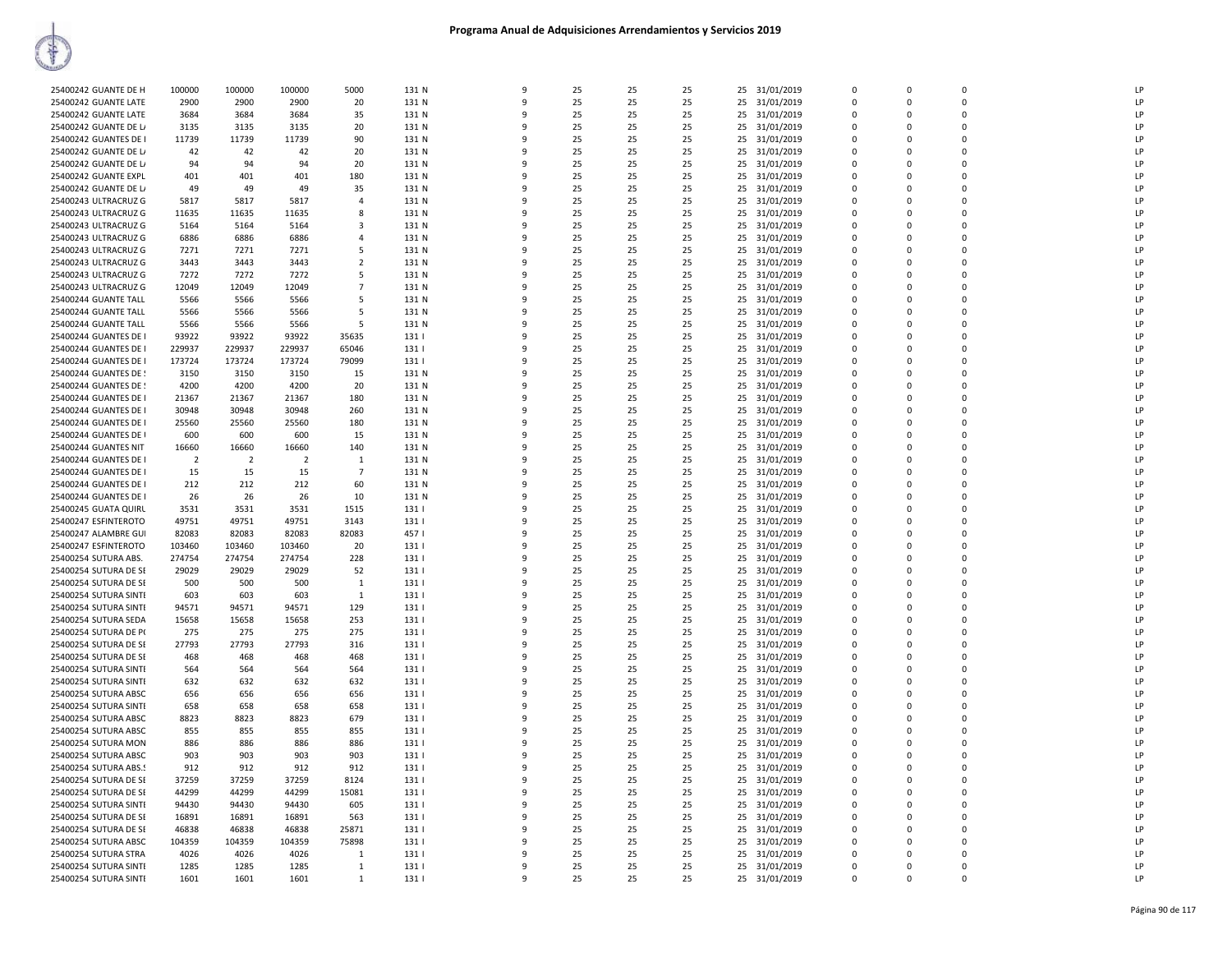| 25400242 GUANTE DE H        | 100000         | 100000         | 100000          | 5000           | 131 N        | 9                 | 25       | 25       | 25       | 25 31/01/2019                  | $\Omega$             | $\mathbf 0$          | $\Omega$             | LP       |
|-----------------------------|----------------|----------------|-----------------|----------------|--------------|-------------------|----------|----------|----------|--------------------------------|----------------------|----------------------|----------------------|----------|
| 25400242 GUANTE LATE        | 2900           | 2900           | 2900            | 20             | 131 N        | 9                 | 25       | 25       | 25       | 25<br>31/01/2019               | $\mathbf 0$          | 0                    | $\Omega$             | LP       |
| 25400242 GUANTE LATE        | 3684           | 3684           | 3684            | 35             | 131 N        | $\mathbf{q}$      | 25       | 25       | 25       | 25<br>31/01/2019               | $\Omega$             | $\Omega$             | $\Omega$             | LP       |
| 25400242 GUANTE DE L/       | 3135           | 3135           | 3135            | 20             | 131 N        | 9                 | 25       | 25       | 25       | 25<br>31/01/2019               | 0                    | $\mathbf 0$          | $\Omega$             | LP       |
| 25400242 GUANTES DE I       | 11739          | 11739          | 11739           | 90             | 131 N        | ٩                 | 25       | 25       | 25       | 25<br>31/01/2019               | $\mathbf 0$          | $\Omega$             | $\Omega$             | LP       |
| 25400242 GUANTE DE L/       | 42             | 42             | 42              | 20             | 131 N        |                   | 25       | 25       | 25       | 25<br>31/01/2019               | $\mathbf 0$          | 0                    | $\mathbf{0}$         | LP       |
| 25400242 GUANTE DE L        | 94             | 94             | 94              | 20             | 131 N        | q                 | 25       | 25       | 25       | 25<br>31/01/2019               | $\Omega$             | $\Omega$             | $\Omega$             | LP       |
| 25400242 GUANTE EXPL        | 401            | 401            | 401             | 180            | 131 N        | $\mathbf{q}$      | 25       | 25       | 25       | 25<br>31/01/2019               | $\Omega$             | $\Omega$             | $\Omega$             | LP       |
| 25400242 GUANTE DE L        | 49             | 49             | 49              | 35             | 131 N        | -9                | 25       | 25       | 25       | 25<br>31/01/2019               | $\mathbf 0$          | $\Omega$             | $\Omega$             | LP       |
| 25400243 ULTRACRUZ G        | 5817           | 5817           | 5817            | $\overline{a}$ | 131 N        | $\mathbf{q}$      | 25       | 25       | 25       | 25<br>31/01/2019               | $\Omega$             | $\Omega$             | $\Omega$             | LP       |
| 25400243 ULTRACRUZ G        | 11635          | 11635          | 11635           | 8              | 131 N        | q                 | 25       | 25       | 25       | 25<br>31/01/2019               | $\Omega$             | $\Omega$             | $\Omega$             | LP       |
| 25400243 ULTRACRUZ G        | 5164           | 5164           | 5164            | 3              | 131 N        | q                 | 25       | 25       | 25       | 31/01/2019<br>25               | $\Omega$             | $\Omega$             | $\Omega$             | LP       |
| 25400243 ULTRACRUZ G        | 6886           | 6886           | 6886            | $\overline{4}$ | 131 N        |                   | 25       | 25       | 25       | 25<br>31/01/2019               | 0                    | 0                    | $\mathbf{0}$         | LP       |
| 25400243 ULTRACRUZ G        | 7271           | 7271           | 7271            | 5              | 131 N        | 9                 | 25       | 25       | 25       | 25<br>31/01/2019               | $\Omega$             | $\Omega$             | $\Omega$             | LP       |
| 25400243 ULTRACRUZ G        | 3443           | 3443           | 3443            | 2              | 131 N        | q                 | 25       | 25       | 25       | 25<br>31/01/2019               | 0                    | 0                    | $\mathbf{0}$         | LP       |
| 25400243 ULTRACRUZ G        | 7272           | 7272           | 7272            | 5              | 131 N        | q                 | 25       | 25       | 25       | 31/01/2019<br>25               | 0                    | $\Omega$             | $\Omega$             | LP       |
| 25400243 ULTRACRUZ G        | 12049          | 12049          | 12049           | $\overline{7}$ | 131 N        | $\mathbf{q}$      | 25       | 25       | 25       | 25<br>31/01/2019               | $\Omega$             | $\Omega$             | $\Omega$             | LP       |
| 25400244 GUANTE TALL        | 5566           | 5566           | 5566            | 5              | 131 N        | ٩                 | 25       | 25       | 25       | 25<br>31/01/2019               | $\Omega$             | $\Omega$             | $\Omega$             | LP       |
| <b>25400244 GUANTE TALL</b> | 5566           | 5566           | 5566            | 5              | 131 N        | q                 | 25       | 25       | 25       | 25<br>31/01/2019               | $\Omega$             | $\Omega$             | $\Omega$             | LP       |
| 25400244 GUANTE TALL        | 5566           | 5566           | 5566            | 5              | 131 N        |                   | 25       | 25       | 25       | 25                             | 0                    | $\Omega$             | $\Omega$             | LP       |
| 25400244 GUANTES DE I       | 93922          | 93922          | 93922           | 35635          | 131          | $\mathbf{q}$      | 25       | 25       | 25       | 31/01/2019<br>25<br>31/01/2019 | $\Omega$             | $\Omega$             | $\Omega$             | LP       |
|                             | 229937         | 229937         | 229937          | 65046          | 131          | 9                 | 25       | 25       | 25       | 25                             | $\mathbf 0$          | $\mathbf 0$          | $\Omega$             | LP       |
| 25400244 GUANTES DE I       |                |                |                 |                |              | 9                 |          |          |          | 31/01/2019                     |                      |                      | $\Omega$             | LP       |
| 25400244 GUANTES DE I       | 173724         | 173724         | 173724          | 79099          | 131          |                   | 25       | 25       | 25       | 31/01/2019<br>25               | $\mathbf 0$          | $\mathbf{0}$         |                      |          |
| 25400244 GUANTES DE !       | 3150           | 3150           | 3150            | 15             | 131 N        | 9                 | 25       | 25       | 25       | 31/01/2019<br>25               | $\mathbf 0$          | $\mathbf 0$          | $\mathbf{0}$         | LP       |
| 25400244 GUANTES DE !       | 4200           | 4200           | 4200            | 20             | 131 N        | ۹                 | 25       | 25       | 25       | 25<br>31/01/2019               | $\mathbf 0$          | $\Omega$             | $\Omega$             | LP       |
| 25400244 GUANTES DE I       | 21367          | 21367          | 21367           | 180            | 131 N        | q                 | 25       | 25       | 25       | 25<br>31/01/2019               | $\Omega$             | $\Omega$             | $\Omega$             | LP       |
| 25400244 GUANTES DE I       | 30948          | 30948          | 30948           | 260            | 131 N        |                   | 25       | 25       | 25       | 25<br>31/01/2019               | $\mathbf 0$          | $\Omega$             | $\Omega$             | LP       |
| 25400244 GUANTES DE I       | 25560          | 25560          | 25560           | 180            | 131 N        | $\mathbf{q}$      | 25       | 25       | 25       | 25<br>31/01/2019               | $\Omega$             | $\Omega$             | $\Omega$             | LP       |
| 25400244 GUANTES DE I       | 600            | 600            | 600             | 15             | 131 N        | 9                 | 25       | 25       | 25       | 25<br>31/01/2019               | $\Omega$             | $\Omega$             | $\Omega$             | LP       |
| 25400244 GUANTES NIT        | 16660          | 16660          | 16660           | 140            | 131 N        | -9                | 25       | 25       | 25       | 31/01/2019<br>25               | $\overline{0}$       | $\Omega$             | $\Omega$             | LP       |
| 25400244 GUANTES DE I       | $\overline{2}$ | $\overline{2}$ | $\overline{2}$  | 1              | 131 N        | 9                 | 25       | 25       | 25       | 25<br>31/01/2019               | $\mathbf 0$          | 0                    | $\mathbf 0$          | LP       |
| 25400244 GUANTES DE I       | 15             | 15             | 15              | $\overline{7}$ | 131 N        | $\Omega$          | 25       | 25       | 25       | 25<br>31/01/2019               | $\overline{0}$       | $\Omega$             | $\Omega$             | LP       |
| 25400244 GUANTES DE I       | 212            | 212            | 212             | 60             | 131 N        |                   | 25       | 25       | 25       | 25<br>31/01/2019               | $\mathbf 0$          | $\Omega$             | $\Omega$             | LP       |
| 25400244 GUANTES DE I       | 26             | 26             | 26              | 10             | 131 N        |                   | 25       | 25       | 25       | 25<br>31/01/2019               | $\mathbf 0$          | $\mathbf 0$          | $\mathbf{0}$         | LP       |
| 25400245 GUATA QUIRL        | 3531           | 3531           | 3531            | 1515           | 131          | $\mathbf{q}$      | 25       | 25       | 25       | 25<br>31/01/2019               | $\Omega$             | $\Omega$             | $\Omega$             | LP       |
| 25400247 ESFINTEROTO        | 49751          | 49751          | 49751           | 3143           | 131          | q                 | 25       | 25       | 25       | 25<br>31/01/2019               | $\Omega$             | $\Omega$             | $\Omega$             | LP       |
| 25400247 ALAMBRE GUI        | 82083          | 82083          | 82083           | 82083          | 4571         | $\mathbf{q}$      | 25       | 25       | 25       | 31/01/2019<br>25               | $\Omega$             | $\Omega$             | $\Omega$             | LP       |
| 25400247 ESFINTEROTO        | 103460         | 103460         | 103460          | 20             | 131          | 9                 | 25       | 25       | 25       | 25<br>31/01/2019               | $\overline{0}$       | $\mathbf 0$          | $\mathbf 0$          | LP       |
| 25400254 SUTURA ABS.        | 274754         | 274754         | 274754          | 228            | 131          | $\mathbf{q}$      | 25       | 25       | 25       | 25<br>31/01/2019               | $\Omega$             | $\Omega$             | $\Omega$             | LP       |
| 25400254 SUTURA DE SE       | 29029          | 29029          | 29029           | 52             | 131          |                   | 25       | 25       | 25       | 25<br>31/01/2019               | 0                    | $\mathbf 0$          | $\Omega$             | LP       |
| 25400254 SUTURA DE SE       | 500            | 500            | 500             | 1              | 131          |                   | 25       | 25       | 25       | 25<br>31/01/2019               | $\mathbf 0$          | $\Omega$             | $\Omega$             | LP       |
| 25400254 SUTURA SINTI       | 603            | 603            | 603             | $\mathbf{1}$   | 131          | $\mathbf{q}$      | 25       | 25       | 25       | 25<br>31/01/2019               | $\mathbf 0$          | $\Omega$             | $\Omega$             | LP       |
| 25400254 SUTURA SINTI       | 94571          | 94571          | 94571           | 129            | 131          | ٩                 | 25       | 25       | 25       | 25<br>31/01/2019               | $\Omega$             | $\Omega$             | $\Omega$             | LP       |
| 25400254 SUTURA SEDA        | 15658          | 15658          | 15658           | 253            | 131          | $\mathbf{q}$      | 25       | 25       | 25       | 31/01/2019<br>25               | $\Omega$             | $\Omega$             | $\Omega$             | LP       |
| 25400254 SUTURA DE P(       | 275            | 275            | 275             | 275            | 131          | -9                | 25       | 25       | 25       | 25<br>31/01/2019               | $\mathbf 0$          | 0                    | $\Omega$             | LP       |
| 25400254 SUTURA DE SE       | 27793          | 27793          | 27793           | 316            | 131          | $\mathbf{q}$      | 25       | 25       | 25       | 25<br>31/01/2019               | $\Omega$             | $\Omega$             | $\Omega$             | LP       |
| 25400254 SUTURA DE SE       | 468            | 468            | 468             | 468            | 131          |                   | 25       | 25       | 25       | 25<br>31/01/2019               | $\mathbf 0$          | $\mathbf 0$          | $\Omega$             | LP       |
| 25400254 SUTURA SINTI       | 564            | 564            | 564             | 564            | 131          | q                 | 25       | 25       | 25       | 25<br>31/01/2019               | $\mathbf 0$          | $\Omega$             | $\Omega$             | LP       |
| 25400254 SUTURA SINTI       | 632            | 632            | 632             | 632            | 131          |                   | 25       | 25       | 25       | 25<br>31/01/2019               | $\mathbf 0$          | 0                    | $\mathbf{0}$         | LP       |
| 25400254 SUTURA ABSC        | 656            | 656            | 656             | 656            | 131          | $\mathbf{Q}$      | 25       | 25       | 25       | 31/01/2019<br>25               | $\Omega$             | $\Omega$             | $\Omega$             | LP       |
| 25400254 SUTURA SINTI       | 658            | 658            | 658             | 658            | 131          | $\mathbf{q}$      | 25       | 25       | 25       | 25<br>31/01/2019               | $\overline{0}$       | $\mathbf 0$          | $\mathbf 0$          | LP       |
| 25400254 SUTURA ABSC        | 8823           | 8823           | 8823            | 679            | 131          | q                 | 25       | 25       | 25       | 25<br>31/01/2019               | 0                    | $\Omega$             | $\Omega$             | LP       |
| 25400254 SUTURA ABSC        | 855            | 855            | 855             | 855            | 131          | $\mathbf{q}$      | 25       | 25       | 25       | 25<br>31/01/2019               | $\Omega$             | $\Omega$             | $\Omega$             | LP       |
| 25400254 SUTURA MON         | 886            | 886            | 886             | 886            | 131          | q                 | 25       | 25       | 25       | 25<br>31/01/2019               | $\Omega$             | $\Omega$             | $\Omega$             | LP       |
| 25400254 SUTURA ABSC        | 903            | 903            | 903             | 903            | 131          | q                 | 25       | 25       | 25       | 31/01/2019<br>25               | $\Omega$             | $\Omega$             | $\Omega$             | LP       |
| 25400254 SUTURA ABS.        | 912            | 912            | 912             | 912            | 131          |                   | 25       | 25       | 25       | 25<br>31/01/2019               | 0                    | 0                    | $\Omega$             | LP       |
| 25400254 SUTURA DE SE       | 37259          | 37259          | 37259           | 8124           | 131          | 9                 | 25       | 25       | 25       | 25<br>31/01/2019               | $\Omega$             | $\Omega$             | $\Omega$             | LP       |
| 25400254 SUTURA DE SE       | 44299          | 44299          | 44299           | 15081          | 131          | 9                 | 25       | 25       | 25       | 25<br>31/01/2019               | $\overline{0}$       | $\mathbf 0$          | $\Omega$             | LP       |
| 25400254 SUTURA SINTI       | 94430          | 94430          | 94430           | 605            | 131          | 9                 | 25       | 25       | 25       | 31/01/2019<br>25               | 0                    | $\mathbf{0}$         | $\mathbf{0}$         | LP       |
| 25400254 SUTURA DE SE       | 16891          | 16891          | 16891           | 563            | 131          | $\mathbf{q}$      | 25       | 25       | 25       | 25<br>31/01/2019               | $\overline{0}$       | $\mathbf 0$          | $\Omega$             | LP       |
|                             |                |                |                 |                |              | ٩                 |          |          |          |                                | $\Omega$             | $\Omega$             | $\Omega$             | LP       |
| 25400254 SUTURA DE SE       | 46838          | 46838          | 46838<br>104359 | 25871          | 131  <br>131 | q                 | 25<br>25 | 25       | 25<br>25 | 25<br>31/01/2019<br>25         | $\Omega$             | $\Omega$             | $\Omega$             | LP       |
| 25400254 SUTURA ABSC        | 104359         | 104359         |                 | 75898          |              |                   |          | 25       |          | 31/01/2019                     |                      |                      |                      |          |
| 25400254 SUTURA STRA        | 4026           | 4026           | 4026<br>1285    | 1              | 131          | q<br>$\mathbf{q}$ | 25<br>25 | 25       | 25<br>25 | 25<br>31/01/2019               | 0                    | $\Omega$             | $\Omega$             | LP<br>LP |
| 25400254 SUTURA SINTE       | 1285           | 1285           |                 | $\mathbf{1}$   | 131          |                   |          | 25<br>25 |          | 25<br>31/01/2019               | $\Omega$<br>$\Omega$ | $\Omega$<br>$\Omega$ | $\Omega$<br>$\Omega$ | LP       |
| 25400254 SUTURA SINTI       | 1601           | 1601           | 1601            | 1              | 131          | 9                 | 25       |          | 25       | 25 31/01/2019                  |                      |                      |                      |          |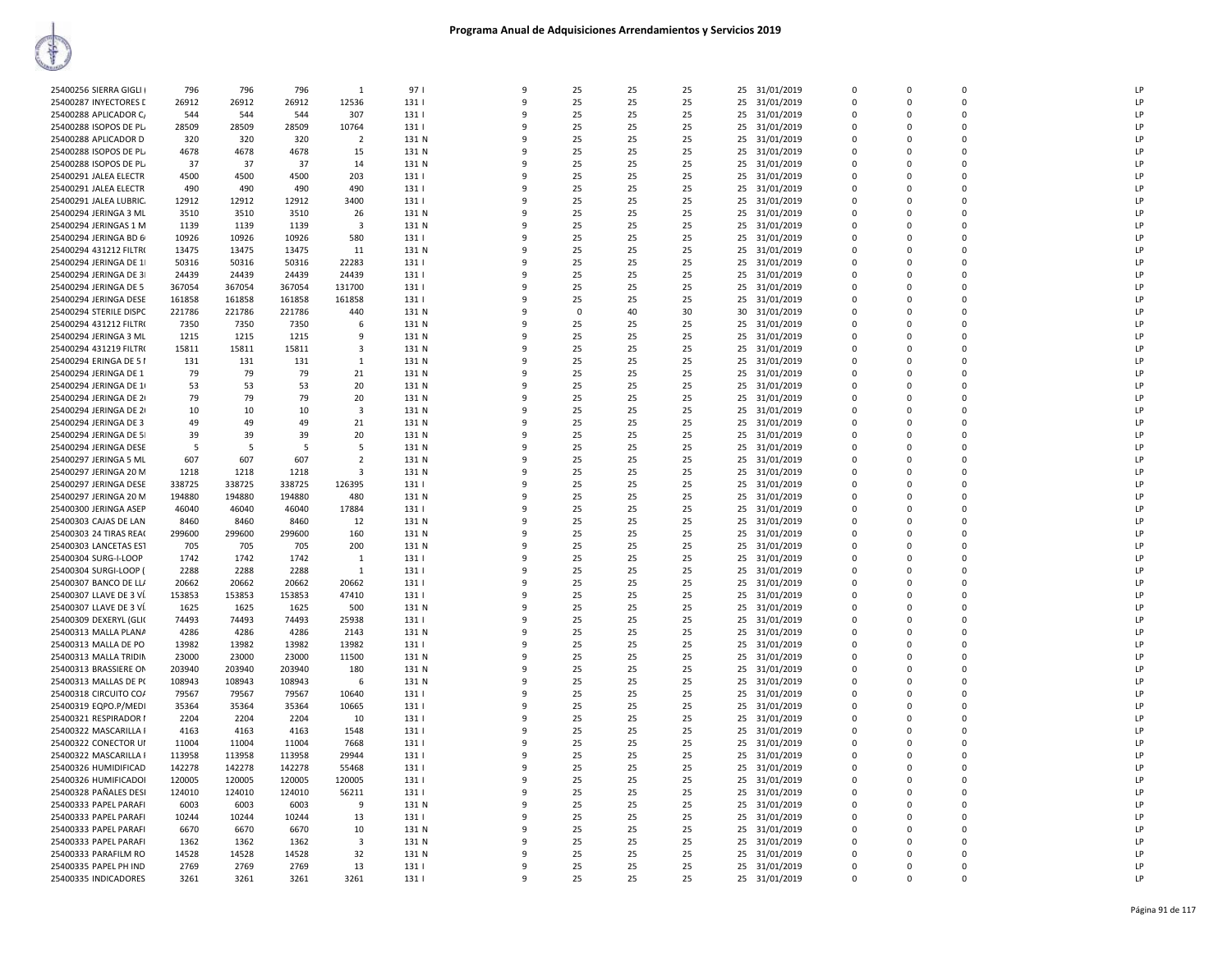| 25400256 SIERRA GIGLI   | 796    | 796    | 796    | $\mathbf{1}$            | 971              | 9            | 25       | 25 | 25 |    | 25 31/01/2019 | $\Omega$    | $\Omega$ | $\Omega$    | LP |
|-------------------------|--------|--------|--------|-------------------------|------------------|--------------|----------|----|----|----|---------------|-------------|----------|-------------|----|
| 25400287 INYECTORES D   | 26912  | 26912  | 26912  | 12536                   | 131              | 9            | 25       | 25 | 25 | 25 | 31/01/2019    | 0           | $\Omega$ | 0           | LP |
| 25400288 APLICADOR C    | 544    | 544    | 544    | 307                     | 131              | $\mathbf{q}$ | 25       | 25 | 25 | 25 | 31/01/2019    | $\Omega$    | $\Omega$ | $\Omega$    | LP |
| 25400288 ISOPOS DE PL   | 28509  | 28509  | 28509  | 10764                   | 131              | 9            | 25       | 25 | 25 | 25 | 31/01/2019    | 0           | $\Omega$ | $\mathbf 0$ | LP |
| 25400288 APLICADOR D    | 320    | 320    | 320    | $\overline{2}$          | 131 N            | q            | 25       | 25 | 25 | 25 | 31/01/2019    | $\Omega$    | $\Omega$ | $\mathbf 0$ | LP |
| 25400288 ISOPOS DE PL   | 4678   | 4678   | 4678   | 15                      | 131 N            |              | 25       | 25 | 25 | 25 | 31/01/2019    | $\Omega$    | $\Omega$ | $\Omega$    | LP |
| 25400288 ISOPOS DE PL   | 37     | 37     | 37     | 14                      | 131 N            | q            | 25       | 25 | 25 | 25 | 31/01/2019    | $\Omega$    | $\Omega$ | $\Omega$    | LP |
| 25400291 JALEA ELECTR   | 4500   | 4500   | 4500   | 203                     | 131              | q            | 25       | 25 | 25 |    | 25 31/01/2019 | $\Omega$    | $\Omega$ | $\Omega$    | LP |
| 25400291 JALEA ELECTR   | 490    | 490    | 490    | 490                     | 131              | 9            | 25       | 25 | 25 | 25 | 31/01/2019    | 0           | $\Omega$ | 0           | LP |
| 25400291 JALEA LUBRIC.  | 12912  | 12912  | 12912  | 3400                    | 131              | q            | 25       | 25 | 25 | 25 | 31/01/2019    | $\Omega$    | $\Omega$ | $\Omega$    | LP |
| 25400294 JERINGA 3 ML   | 3510   | 3510   | 3510   | 26                      | 131 N            |              | 25       | 25 | 25 | 25 | 31/01/2019    | $\mathbf 0$ | $\Omega$ | $\mathbf 0$ | LP |
| 25400294 JERINGAS 1 M   | 1139   | 1139   | 1139   | $\overline{\mathbf{3}}$ | 131 N            |              | 25       | 25 | 25 | 25 | 31/01/2019    | $\Omega$    | $\Omega$ | $\mathbf 0$ | LP |
| 25400294 JERINGA BD 6   | 10926  | 10926  | 10926  | 580                     | 131              |              | 25       | 25 | 25 | 25 | 31/01/2019    | $\Omega$    | $\Omega$ | $\Omega$    | LP |
| 25400294 431212 FILTR(  | 13475  | 13475  | 13475  | 11                      | 131 N            | q            | 25       | 25 | 25 | 25 | 31/01/2019    | $\Omega$    | $\Omega$ | $\Omega$    | LP |
| 25400294 JERINGA DE 1   | 50316  | 50316  | 50316  | 22283                   | 131              |              | 25       | 25 | 25 | 25 | 31/01/2019    | $\Omega$    | $\Omega$ | $\Omega$    | LP |
| 25400294 JERINGA DE 3   | 24439  | 24439  | 24439  | 24439                   | 131              | 9            | 25       | 25 | 25 | 25 | 31/01/2019    | 0           | $\Omega$ | 0           | LP |
| 25400294 JERINGA DE 5   | 367054 | 367054 | 367054 | 131700                  | 131              | q            | 25       | 25 | 25 |    | 25 31/01/2019 | $\Omega$    | $\Omega$ | $\Omega$    | LP |
| 25400294 JERINGA DESE   | 161858 | 161858 | 161858 | 161858                  | 131              |              | 25       | 25 | 25 | 25 | 31/01/2019    | $\mathbf 0$ | $\Omega$ | $\mathbf 0$ | LP |
| 25400294 STERILE DISPC  | 221786 | 221786 | 221786 | 440                     | 131 N            |              | $\Omega$ | 40 | 30 | 30 | 31/01/2019    | $\Omega$    | $\Omega$ | $\mathbf 0$ | LP |
|                         |        |        |        | 6                       | 131 N            |              | 25       |    | 25 |    |               | 0           | 0        | $\mathbf 0$ | LP |
| 25400294 431212 FILTR(  | 7350   | 7350   | 7350   |                         |                  | ٩            |          | 25 |    | 25 | 31/01/2019    | $\Omega$    |          | $\Omega$    | LP |
| 25400294 JERINGA 3 ML   | 1215   | 1215   | 1215   | 9                       | 131 N            |              | 25       | 25 | 25 | 25 | 31/01/2019    |             | $\Omega$ |             |    |
| 25400294 431219 FILTR(  | 15811  | 15811  | 15811  | 3                       | 131 N            |              | 25       | 25 | 25 | 25 | 31/01/2019    | $\Omega$    | $\Omega$ | $\Omega$    | LP |
| 25400294 ERINGA DE 51   | 131    | 131    | 131    | 1                       | 131 N            | 9            | 25       | 25 | 25 | 25 | 31/01/2019    | 0           | $\Omega$ | 0           | LP |
| 25400294 JERINGA DE 1   | 79     | 79     | 79     | 21                      | 131 N            | 9            | 25       | 25 | 25 | 25 | 31/01/2019    | $\Omega$    | $\Omega$ | $\Omega$    | LP |
| 25400294 JERINGA DE 1   | 53     | 53     | 53     | 20                      | 131 N            |              | 25       | 25 | 25 | 25 | 31/01/2019    | $\mathbf 0$ | $\Omega$ | $\mathbf 0$ | LP |
| 25400294 JERINGA DE 2   | 79     | 79     | 79     | 20                      | 131 N            |              | 25       | 25 | 25 | 25 | 31/01/2019    | $\Omega$    | $\Omega$ | $\mathbf 0$ | LP |
| 25400294 JERINGA DE 2   | 10     | 10     | 10     | $\overline{\mathbf{3}}$ | 131 N            |              | 25       | 25 | 25 | 25 | 31/01/2019    | 0           | $\Omega$ | $\mathbf 0$ | LP |
| 25400294 JERINGA DE 3   | 49     | 49     | 49     | 21                      | 131 N            | ۰            | 25       | 25 | 25 | 25 | 31/01/2019    | $\Omega$    | $\Omega$ | $\Omega$    | LP |
| 25400294 JERINGA DE 5   | 39     | 39     | 39     | 20                      | 131 N            |              | 25       | 25 | 25 | 25 | 31/01/2019    | $\Omega$    | $\Omega$ | $\Omega$    | LP |
| 25400294 JERINGA DESE   | 5      | -5     | 5      | 5                       | 131 N            | q            | 25       | 25 | 25 | 25 | 31/01/2019    | $\Omega$    | $\Omega$ | $\mathbf 0$ | LP |
| 25400297 JERINGA 5 ML   | 607    | 607    | 607    | $\overline{2}$          | 131 N            | 9            | 25       | 25 | 25 | 25 | 31/01/2019    | $\Omega$    | $\Omega$ | $\Omega$    | LP |
| 25400297 JERINGA 20 M   | 1218   | 1218   | 1218   | 3                       | 131 N            | q            | 25       | 25 | 25 | 25 | 31/01/2019    | $\Omega$    | $\Omega$ | $\mathbf 0$ | LP |
| 25400297 JERINGA DESE   | 338725 | 338725 | 338725 | 126395                  | 131              |              | 25       | 25 | 25 | 25 | 31/01/2019    | $\Omega$    | $\Omega$ | $\mathbf 0$ | LP |
| 25400297 JERINGA 20 M   | 194880 | 194880 | 194880 | 480                     | 131 N            |              | 25       | 25 | 25 | 25 | 31/01/2019    | 0           | $\Omega$ | $\mathbf 0$ | LP |
| 25400300 JERINGA ASEP   | 46040  | 46040  | 46040  | 17884                   | 131              | ٩            | 25       | 25 | 25 | 25 | 31/01/2019    | $\Omega$    | $\Omega$ | $\Omega$    | LP |
| 25400303 CAJAS DE LAN   | 8460   | 8460   | 8460   | 12                      | 131 N            |              | 25       | 25 | 25 | 25 | 31/01/2019    | $\Omega$    | $\Omega$ | $\Omega$    | LP |
| 25400303 24 TIRAS REAC  | 299600 | 299600 | 299600 | 160                     | 131 N            | q            | 25       | 25 | 25 | 25 | 31/01/2019    | $\Omega$    | $\Omega$ | $\mathbf 0$ | LP |
| 25400303 LANCETAS EST   | 705    | 705    | 705    | 200                     | 131 N            | 9            | 25       | 25 | 25 | 25 | 31/01/2019    | $\Omega$    | $\Omega$ | $\Omega$    | LP |
| 25400304 SURG-I-LOOP    | 1742   | 1742   | 1742   | $\mathbf{1}$            | 131              | q            | 25       | 25 | 25 | 25 | 31/01/2019    | $\Omega$    | $\Omega$ | $\Omega$    | LP |
| 25400304 SURGI-LOOP (   | 2288   | 2288   | 2288   | $\mathbf{1}$            | 131              |              | 25       | 25 | 25 |    | 25 31/01/2019 | $\Omega$    | $\Omega$ | $\mathbf 0$ | LP |
| 25400307 BANCO DE LL/   | 20662  | 20662  | 20662  | 20662                   | 131              |              | 25       | 25 | 25 | 25 | 31/01/2019    | 0           | $\Omega$ | 0           | LP |
| 25400307 LLAVE DE 3 VÍ. | 153853 | 153853 | 153853 | 47410                   | 131              | q            | 25       | 25 | 25 | 25 | 31/01/2019    | $\Omega$    | $\Omega$ | $\Omega$    | LP |
| 25400307 LLAVE DE 3 VÍ  | 1625   | 1625   | 1625   | 500                     | 131 N            |              | 25       | 25 | 25 | 25 | 31/01/2019    | $\Omega$    | $\Omega$ | $\Omega$    | LP |
| 25400309 DEXERYL (GLIC  | 74493  | 74493  | 74493  | 25938                   | 131              | q            | 25       | 25 | 25 | 25 | 31/01/2019    | $\Omega$    | $\Omega$ | $\mathbf 0$ | LP |
| 25400313 MALLA PLANA    | 4286   | 4286   | 4286   | 2143                    | 131 N            | 9            | 25       | 25 | 25 | 25 | 31/01/2019    | $\Omega$    | $\Omega$ | $\Omega$    | LP |
| 25400313 MALLA DE PO    | 13982  | 13982  | 13982  | 13982                   | 131              | q            | 25       | 25 | 25 | 25 | 31/01/2019    | $\Omega$    | $\Omega$ | $\Omega$    | LP |
| 25400313 MALLA TRIDIN   | 23000  | 23000  | 23000  | 11500                   | 131 N            |              | 25       | 25 | 25 | 25 | 31/01/2019    | $\Omega$    | $\Omega$ | $\mathbf 0$ | LP |
| 25400313 BRASSIERE ON   | 203940 | 203940 | 203940 | 180                     | 131 N            |              | 25       | 25 | 25 | 25 | 31/01/2019    | 0           | $\Omega$ | $\mathbf 0$ | LP |
| 25400313 MALLAS DE P(   | 108943 | 108943 | 108943 | 6                       | 131 N            | q            | 25       | 25 | 25 |    | 25 31/01/2019 | $\Omega$    | $\Omega$ | $\Omega$    | LP |
| 25400318 CIRCUITO CO/   | 79567  | 79567  | 79567  | 10640                   | 131              |              | 25       | 25 | 25 | 25 | 31/01/2019    | $\Omega$    | $\Omega$ | $\Omega$    | LP |
| 25400319 EQPO.P/MEDI    | 35364  | 35364  | 35364  | 10665                   | 131              | q            | 25       | 25 | 25 | 25 | 31/01/2019    | $\Omega$    | $\Omega$ | $\mathbf 0$ | LP |
| 25400321 RESPIRADOR I   | 2204   | 2204   | 2204   | 10                      | 131              | 9            | 25       | 25 | 25 | 25 | 31/01/2019    | $\Omega$    | $\Omega$ | $\Omega$    | LP |
| 25400322 MASCARILLA I   | 4163   | 4163   | 4163   | 1548                    | 131              | q            | 25       | 25 | 25 | 25 | 31/01/2019    | $\Omega$    | $\Omega$ | $\Omega$    | LP |
| 25400322 CONECTOR UI    | 11004  | 11004  | 11004  | 7668                    | 131              |              | 25       | 25 | 25 |    | 25 31/01/2019 | $\Omega$    | $\Omega$ | $\mathbf 0$ | LP |
| 25400322 MASCARILLA I   | 113958 | 113958 | 113958 | 29944                   | 131              |              | 25       | 25 | 25 | 25 | 31/01/2019    | 0           | $\Omega$ | $\mathbf 0$ | LP |
| 25400326 HUMIDIFICAD    | 142278 | 142278 | 142278 | 55468                   | 131              | q            | 25       | 25 | 25 |    | 25 31/01/2019 | $\Omega$    | $\Omega$ | $\Omega$    | LP |
|                         |        |        |        |                         |                  | 9            |          | 25 |    |    |               | $\Omega$    | $\Omega$ | $\Omega$    | LP |
| 25400326 HUMIFICADOI    | 120005 | 120005 | 120005 | 120005                  | 131              |              | 25       |    | 25 |    | 25 31/01/2019 |             |          |             | LP |
| 25400328 PAÑALES DESI   | 124010 | 124010 | 124010 | 56211                   | 131              | 9            | 25       | 25 | 25 | 25 | 31/01/2019    | $\Omega$    | $\Omega$ | $\mathbf 0$ |    |
| 25400333 PAPEL PARAFI   | 6003   | 6003   | 6003   | 9                       | 131 N            | 9            | 25       | 25 | 25 | 25 | 31/01/2019    | $\Omega$    | $\Omega$ | $\Omega$    | LP |
| 25400333 PAPEL PARAFI   | 10244  | 10244  | 10244  | 13                      | 131              | q            | 25       | 25 | 25 | 25 | 31/01/2019    | $\Omega$    | $\Omega$ | $\Omega$    | LP |
| 25400333 PAPEL PARAFI   | 6670   | 6670   | 6670   | 10                      | 131 N            |              | 25       | 25 | 25 |    | 25 31/01/2019 | $\Omega$    | $\Omega$ | $\mathbf 0$ | LP |
| 25400333 PAPEL PARAFI   | 1362   | 1362   | 1362   | $\overline{\mathbf{3}}$ | 131 N            | ٩            | 25       | 25 | 25 | 25 | 31/01/2019    | 0           | $\Omega$ | $\mathbf 0$ | LP |
| 25400333 PARAFILM RO    | 14528  | 14528  | 14528  | 32                      | 131 N            | q            | 25       | 25 | 25 |    | 25 31/01/2019 | $\Omega$    | $\Omega$ | $\mathbf 0$ | LP |
| 25400335 PAPEL PH IND   | 2769   | 2769   | 2769   | 13                      | 131              | q            | 25       | 25 | 25 |    | 25 31/01/2019 | $\Omega$    | $\Omega$ | $\Omega$    | LP |
| 25400335 INDICADORES    | 3261   | 3261   | 3261   | 3261                    | 131 <sub>1</sub> | 9            | 25       | 25 | 25 |    | 25 31/01/2019 | $\Omega$    | $\Omega$ | $\Omega$    | LP |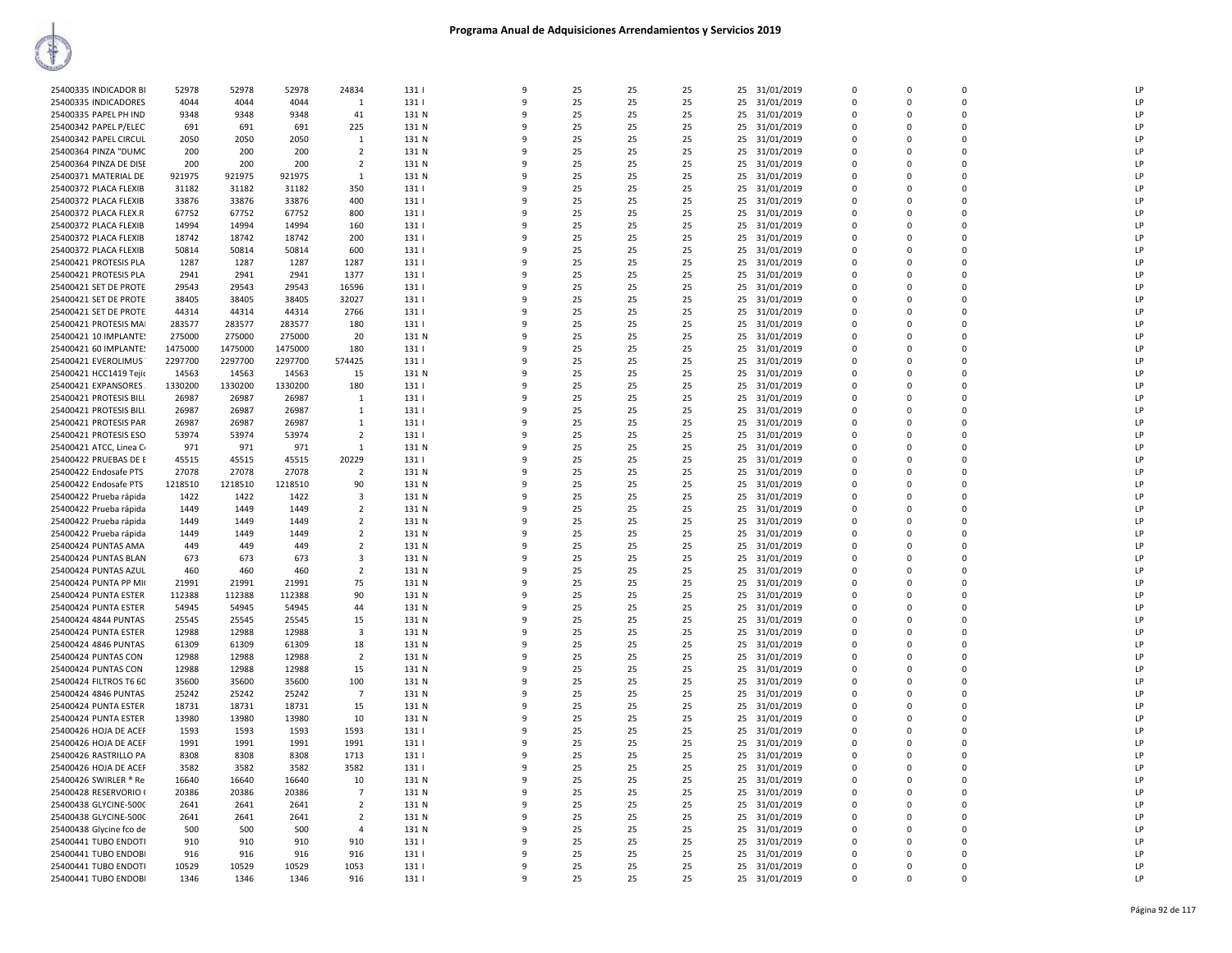| 25400335 INDICADOR BI   | 52978   | 52978   | 52978   | 24834                   | 131   | $\mathbf{q}$ | 25 | 25 | 25 | 25<br>31/01/2019 | $\mathbf 0$ | $\Omega$    | $\mathbf 0$ | LP |
|-------------------------|---------|---------|---------|-------------------------|-------|--------------|----|----|----|------------------|-------------|-------------|-------------|----|
| 25400335 INDICADORES    | 4044    | 4044    | 4044    | $\mathbf{1}$            | 131   | $\mathbf{q}$ | 25 | 25 | 25 | 25<br>31/01/2019 | $\Omega$    | $\Omega$    | $\Omega$    | LP |
| 25400335 PAPEL PH IND   | 9348    | 9348    | 9348    | 41                      | 131 N | ٩            | 25 | 25 | 25 | 25<br>31/01/2019 | $\Omega$    | $\Omega$    | $\Omega$    | LP |
|                         |         |         |         |                         |       |              |    |    |    |                  |             |             |             |    |
| 25400342 PAPEL P/ELEC   | 691     | 691     | 691     | 225                     | 131 N | q            | 25 | 25 | 25 | 25<br>31/01/2019 | $\Omega$    | $\Omega$    | $\Omega$    | LP |
| 25400342 PAPEL CIRCUL   | 2050    | 2050    | 2050    | 1                       | 131 N |              | 25 | 25 | 25 | 25<br>31/01/2019 | $\mathbf 0$ | $\Omega$    | $\mathbf 0$ | LP |
| 25400364 PINZA "DUMC    | 200     | 200     | 200     | $\overline{2}$          | 131 N | $\mathbf{q}$ | 25 | 25 | 25 | 25<br>31/01/2019 | $\Omega$    | $\Omega$    | $\Omega$    | LP |
|                         |         |         |         |                         |       |              |    |    |    |                  |             |             |             |    |
| 25400364 PINZA DE DISE  | 200     | 200     | 200     | $\overline{2}$          | 131 N |              | 25 | 25 | 25 | 25<br>31/01/2019 | $\mathbf 0$ | $\Omega$    | $\mathbf 0$ | LP |
| 25400371 MATERIAL DE    | 921975  | 921975  | 921975  | $\mathbf{1}$            | 131 N | 9            | 25 | 25 | 25 | 31/01/2019<br>25 | $\mathbf 0$ | $\Omega$    | $\mathbf 0$ | LP |
| 25400372 PLACA FLEXIB   | 31182   | 31182   | 31182   | 350                     | 131   | q            | 25 | 25 | 25 | 25<br>31/01/2019 | $\mathbf 0$ | $\Omega$    | $\mathbf 0$ | LP |
|                         |         |         |         |                         |       |              |    |    |    |                  |             |             |             |    |
| 25400372 PLACA FLEXIB   | 33876   | 33876   | 33876   | 400                     | 131   | ٠Q           | 25 | 25 | 25 | 25<br>31/01/2019 | $\Omega$    | $\Omega$    | $\Omega$    | LP |
| 25400372 PLACA FLEX.R   | 67752   | 67752   | 67752   | 800                     | 131   |              | 25 | 25 | 25 | 25<br>31/01/2019 | $\Omega$    | $\Omega$    | $\Omega$    | LP |
| 25400372 PLACA FLEXIB   | 14994   | 14994   | 14994   | 160                     | 131   |              | 25 | 25 | 25 | 25<br>31/01/2019 | $\Omega$    | n           | 0           | LP |
|                         |         |         |         |                         |       |              |    |    |    |                  |             |             |             |    |
| 25400372 PLACA FLEXIB   | 18742   | 18742   | 18742   | 200                     | 131   | q            | 25 | 25 | 25 | 25<br>31/01/2019 | $\Omega$    | $\Omega$    | $\Omega$    | LP |
| 25400372 PLACA FLEXIB   | 50814   | 50814   | 50814   | 600                     | 131   |              | 25 | 25 | 25 | 25<br>31/01/2019 | $\Omega$    | $\Omega$    | $\Omega$    | LP |
| 25400421 PROTESIS PLA   | 1287    | 1287    | 1287    | 1287                    | 131   | -9           | 25 | 25 | 25 | 31/01/2019<br>25 | $\mathbf 0$ | $\Omega$    | $\Omega$    | LP |
|                         |         |         |         |                         |       |              |    |    |    |                  |             |             |             |    |
| 25400421 PROTESIS PLA   | 2941    | 2941    | 2941    | 1377                    | 131   | 9            | 25 | 25 | 25 | 25<br>31/01/2019 | $\mathbf 0$ | $\mathbf 0$ | $\mathbf 0$ | LP |
| 25400421 SET DE PROTE   | 29543   | 29543   | 29543   | 16596                   | 131   | ٠Q           | 25 | 25 | 25 | 25<br>31/01/2019 | $\Omega$    | $\Omega$    | $\mathbf 0$ | LP |
| 25400421 SET DE PROTE   | 38405   | 38405   | 38405   | 32027                   | 131   |              | 25 | 25 | 25 | 25<br>31/01/2019 | $\mathbf 0$ | $\Omega$    | $\mathbf 0$ | LP |
|                         |         |         |         |                         |       |              |    |    |    |                  |             |             |             |    |
| 25400421 SET DE PROTE   | 44314   | 44314   | 44314   | 2766                    | 131   |              | 25 | 25 | 25 | 25<br>31/01/2019 | $\Omega$    | n           | $\Omega$    | LP |
| 25400421 PROTESIS MAI   | 283577  | 283577  | 283577  | 180                     | 131   | ٩            | 25 | 25 | 25 | 25<br>31/01/2019 | $\Omega$    | $\Omega$    | $\Omega$    | LP |
| 25400421 10 IMPLANTE!   | 275000  | 275000  | 275000  | 20                      | 131 N |              | 25 | 25 | 25 | 25<br>31/01/2019 | $\Omega$    | n           | $\Omega$    | LP |
|                         |         |         |         |                         |       |              |    |    |    |                  |             |             |             |    |
| 25400421 60 IMPLANTE!   | 1475000 | 1475000 | 1475000 | 180                     | 131   | 9            | 25 | 25 | 25 | 31/01/2019<br>25 | $\Omega$    | $\Omega$    | $\Omega$    | LP |
| 25400421 EVEROLIMUS     | 2297700 | 2297700 | 2297700 | 574425                  | 131   | -9           | 25 | 25 | 25 | 25<br>31/01/2019 | $\mathbf 0$ | $\Omega$    | $\mathbf 0$ | LP |
| 25400421 НСС1419 Тејіс  | 14563   | 14563   | 14563   | 15                      | 131 N | ٩            | 25 | 25 | 25 | 25<br>31/01/2019 | $\Omega$    | $\Omega$    | $\Omega$    | LP |
|                         |         |         |         |                         |       |              |    |    |    |                  |             |             |             |    |
| 25400421 EXPANSORES     | 1330200 | 1330200 | 1330200 | 180                     | 131   |              | 25 | 25 | 25 | 25<br>31/01/2019 | $\mathbf 0$ | $\Omega$    | $\Omega$    | LP |
| 25400421 PROTESIS BILI. | 26987   | 26987   | 26987   | 1                       | 131   | ٠Q           | 25 | 25 | 25 | 31/01/2019<br>25 | $\mathbf 0$ | $\Omega$    | $\mathbf 0$ | LP |
| 25400421 PROTESIS BILI. | 26987   | 26987   | 26987   | $\mathbf{1}$            | 131   | q            | 25 | 25 | 25 | 25<br>31/01/2019 | $\mathbf 0$ | $\Omega$    | $\mathbf 0$ | LP |
|                         |         |         |         |                         |       |              |    |    |    |                  |             |             |             |    |
| 25400421 PROTESIS PAR   | 26987   | 26987   | 26987   | 1                       | 131   | q            | 25 | 25 | 25 | 25<br>31/01/2019 | $\Omega$    | $\Omega$    | $\Omega$    | LP |
| 25400421 PROTESIS ESO   | 53974   | 53974   | 53974   | $\overline{2}$          | 131   | ٩            | 25 | 25 | 25 | 31/01/2019<br>25 | $\Omega$    | $\Omega$    | $\Omega$    | LP |
| 25400421 ATCC, Linea C  | 971     | 971     | 971     | 1                       | 131 N | 9            | 25 | 25 | 25 | 25<br>31/01/2019 | $\mathbf 0$ | $\Omega$    | 0           | LP |
|                         |         |         |         |                         |       |              |    |    |    |                  |             |             |             |    |
| 25400422 PRUEBAS DE E   | 45515   | 45515   | 45515   | 20229                   | 131   | q            | 25 | 25 | 25 | 25<br>31/01/2019 | $\Omega$    | $\Omega$    | $\Omega$    | LP |
| 25400422 Endosafe PTS   | 27078   | 27078   | 27078   | -2                      | 131 N |              | 25 | 25 | 25 | 25<br>31/01/2019 | $\mathbf 0$ | $\Omega$    | $\mathbf 0$ | LP |
| 25400422 Endosafe PTS   | 1218510 | 1218510 | 1218510 | 90                      | 131 N |              | 25 | 25 | 25 | 25<br>31/01/2019 | 0           | $\Omega$    | $\mathbf 0$ | LP |
|                         |         |         |         |                         |       |              |    |    |    |                  |             |             |             |    |
| 25400422 Prueba rápida  | 1422    | 1422    | 1422    | $\overline{\mathbf{3}}$ | 131 N | 9            | 25 | 25 | 25 | 25<br>31/01/2019 | $\mathbf 0$ | $\Omega$    | $\mathbf 0$ | LP |
| 25400422 Prueba rápida  | 1449    | 1449    | 1449    | 2                       | 131 N | q            | 25 | 25 | 25 | 31/01/2019<br>25 | $\Omega$    | $\Omega$    | $\mathbf 0$ | LP |
| 25400422 Prueba rápida  | 1449    | 1449    | 1449    | $\overline{2}$          | 131 N | $\mathbf{q}$ | 25 | 25 | 25 | 25<br>31/01/2019 | $\mathbf 0$ | $\Omega$    | $\mathbf 0$ | LP |
|                         |         |         |         |                         |       |              |    |    |    |                  |             |             |             |    |
| 25400422 Prueba rápida  | 1449    | 1449    | 1449    | $\overline{2}$          | 131 N | 9            | 25 | 25 | 25 | 25<br>31/01/2019 | 0           | $\Omega$    | $\Omega$    | LP |
| 25400424 PUNTAS AMA     | 449     | 449     | 449     | $\overline{2}$          | 131 N | ٩            | 25 | 25 | 25 | 25<br>31/01/2019 | $\Omega$    | $\Omega$    | $\Omega$    | LP |
| 25400424 PUNTAS BLAN    | 673     | 673     | 673     | 3                       | 131 N |              | 25 | 25 | 25 | 25<br>31/01/2019 | $\Omega$    | $\Omega$    | $\Omega$    | LP |
|                         |         |         |         |                         |       |              |    |    |    |                  |             |             | $\Omega$    |    |
| 25400424 PUNTAS AZUL    | 460     | 460     | 460     | $\overline{2}$          | 131 N |              | 25 | 25 | 25 | 31/01/2019<br>25 | $\Omega$    | $\Omega$    |             | LP |
| 25400424 PUNTA PP MI    | 21991   | 21991   | 21991   | 75                      | 131 N |              | 25 | 25 | 25 | 25<br>31/01/2019 | 0           | $\Omega$    | $\mathbf 0$ | LP |
| 25400424 PUNTA ESTER    | 112388  | 112388  | 112388  | 90                      | 131 N | ٩            | 25 | 25 | 25 | 25<br>31/01/2019 | $\Omega$    | $\Omega$    | $\Omega$    | LP |
|                         |         |         |         | 44                      |       |              |    |    |    |                  |             |             |             | LP |
| 25400424 PUNTA ESTER    | 54945   | 54945   | 54945   |                         | 131 N | 9            | 25 | 25 | 25 | 25<br>31/01/2019 | $\mathbf 0$ | $\Omega$    | $\mathbf 0$ |    |
| 25400424 4844 PUNTAS    | 25545   | 25545   | 25545   | 15                      | 131 N | $\mathbf{q}$ | 25 | 25 | 25 | 31/01/2019<br>25 | $\mathbf 0$ | $\Omega$    | $\mathbf 0$ | LP |
| 25400424 PUNTA ESTER    | 12988   | 12988   | 12988   | 3                       | 131 N | q            | 25 | 25 | 25 | 25<br>31/01/2019 | $\Omega$    | $\Omega$    | $\Omega$    | LP |
|                         |         |         |         |                         |       | ٠Q           |    | 25 |    |                  | $\Omega$    | $\Omega$    | $\Omega$    | LP |
| 25400424 4846 PUNTAS    | 61309   | 61309   | 61309   | 18                      | 131 N |              | 25 |    | 25 | 25<br>31/01/2019 |             |             |             |    |
| 25400424 PUNTAS CON     | 12988   | 12988   | 12988   | $\overline{2}$          | 131 N |              | 25 | 25 | 25 | 25<br>31/01/2019 | $\Omega$    | $\Omega$    | $\Omega$    | LP |
| 25400424 PUNTAS CON     | 12988   | 12988   | 12988   | 15                      | 131 N |              | 25 | 25 | 25 | 25<br>31/01/2019 | $\mathbf 0$ | $\Omega$    | 0           | LP |
| 25400424 FILTROS T6 60  | 35600   | 35600   | 35600   | 100                     | 131 N | ٩            | 25 | 25 | 25 | 25<br>31/01/2019 | $\Omega$    | $\Omega$    | $\Omega$    | LP |
|                         |         |         |         |                         |       |              |    |    |    |                  |             |             |             |    |
| 25400424 4846 PUNTAS    | 25242   | 25242   | 25242   | $\overline{7}$          | 131 N | -9           | 25 | 25 | 25 | 31/01/2019<br>25 | $\Omega$    | $\Omega$    | $\Omega$    | LP |
| 25400424 PUNTA ESTER    | 18731   | 18731   | 18731   | 15                      | 131 N | 9            | 25 | 25 | 25 | 31/01/2019<br>25 | $\mathbf 0$ | $\Omega$    | $\mathbf 0$ | LP |
| 25400424 PUNTA ESTER    | 13980   | 13980   | 13980   | 10                      | 131 N | 9            | 25 | 25 | 25 | 25<br>31/01/2019 | $\mathbf 0$ | $\Omega$    | $\mathbf 0$ | LP |
|                         |         |         |         |                         |       |              |    |    |    |                  |             |             |             |    |
| 25400426 HOJA DE ACEF   | 1593    | 1593    | 1593    | 1593                    | 131   | ٠Q           | 25 | 25 | 25 | 25<br>31/01/2019 | $\mathbf 0$ | $\Omega$    | $\mathbf 0$ | LP |
| 25400426 HOJA DE ACEF   | 1991    | 1991    | 1991    | 1991                    | 131   |              | 25 | 25 | 25 | 25<br>31/01/2019 | $\Omega$    | $\Omega$    | $\Omega$    | IP |
| 25400426 RASTRILLO PA   | 8308    | 8308    | 8308    | 1713                    | 131   |              | 25 | 25 | 25 | 25<br>31/01/2019 | $\Omega$    | n           | 0           | LP |
|                         |         |         |         |                         |       |              |    |    |    |                  |             |             |             |    |
| 25400426 HOJA DE ACEF   | 3582    | 3582    | 3582    | 3582                    | 131   | ٩            | 25 | 25 | 25 | 25<br>31/01/2019 | $\Omega$    | $\Omega$    | $\Omega$    | LP |
| 25400426 SWIRLER ® Re   | 16640   | 16640   | 16640   | 10                      | 131 N | 9            | 25 | 25 | 25 | 25<br>31/01/2019 | $\Omega$    | $\Omega$    | $\Omega$    | LP |
| 25400428 RESERVORIO (   | 20386   | 20386   | 20386   | $\overline{7}$          | 131 N | 9            | 25 | 25 | 25 | 31/01/2019<br>25 | $\mathbf 0$ | $\Omega$    | $\mathbf 0$ | LP |
|                         |         |         |         |                         |       |              |    |    |    |                  |             |             |             |    |
| 25400438 GLYCINE-5000   | 2641    | 2641    | 2641    | $\overline{2}$          | 131 N | 9            | 25 | 25 | 25 | 25<br>31/01/2019 | $\mathbf 0$ | $\Omega$    | $\Omega$    | LP |
| 25400438 GLYCINE-5000   | 2641    | 2641    | 2641    | $\overline{2}$          | 131 N | ٩            | 25 | 25 | 25 | 25<br>31/01/2019 | $\Omega$    | $\Omega$    | $\Omega$    | LP |
| 25400438 Glycine fco de | 500     | 500     | 500     | $\overline{a}$          | 131 N |              | 25 | 25 | 25 | 25<br>31/01/2019 | $\mathbf 0$ | $\Omega$    | $\mathbf 0$ | LP |
|                         |         |         |         |                         |       | ٠Q           |    |    |    |                  |             |             |             |    |
| 25400441 TUBO ENDOTI    | 910     | 910     | 910     | 910                     | 131   |              | 25 | 25 | 25 | 25<br>31/01/2019 | $\mathbf 0$ | n           | 0           | LP |
| 25400441 TUBO ENDOBI    | 916     | 916     | 916     | 916                     | 131   | q            | 25 | 25 | 25 | 25<br>31/01/2019 | $\Omega$    | $\Omega$    | $\Omega$    | LP |
| 25400441 TUBO ENDOTI    | 10529   | 10529   | 10529   | 1053                    | 131   | q            | 25 | 25 | 25 | 25<br>31/01/2019 | $\Omega$    | n           | $\Omega$    | LP |
| 25400441 TUBO ENDOBI    | 1346    | 1346    | 1346    | 916                     | 131   | $\mathbf{q}$ | 25 | 25 | 25 | 25 31/01/2019    | $\Omega$    | $\Omega$    | $\Omega$    | LP |
|                         |         |         |         |                         |       |              |    |    |    |                  |             |             |             |    |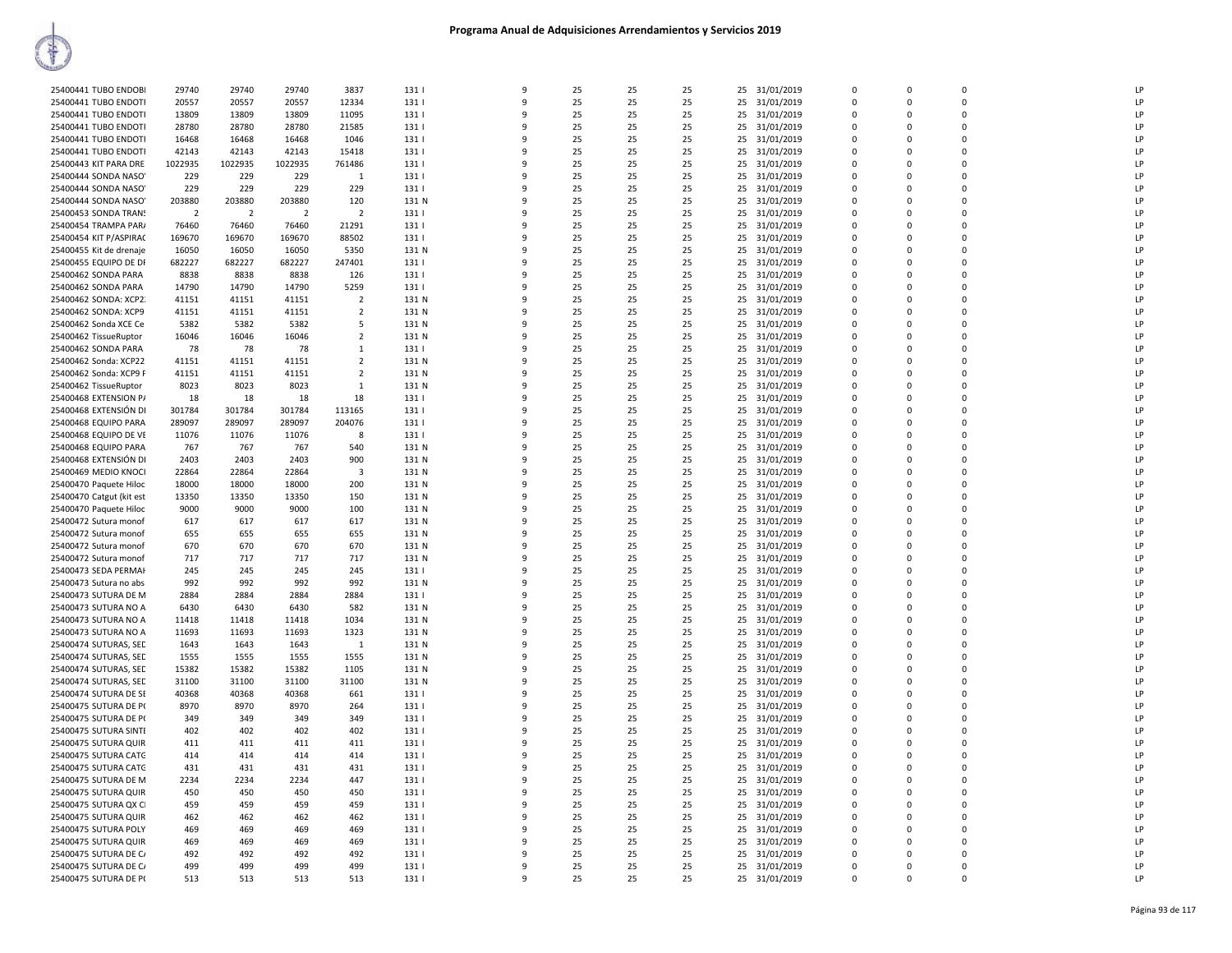| 25400441 TUBO ENDOBI     | 29740          | 29740          | 29740          | 3837           | 131   | 9            | 25 | 25 | 25 | 25 | 31/01/2019    | $\overline{0}$ | $\mathbf 0$ | $\mathbf 0$    | LP |
|--------------------------|----------------|----------------|----------------|----------------|-------|--------------|----|----|----|----|---------------|----------------|-------------|----------------|----|
| 25400441 TUBO ENDOTI     | 20557          | 20557          | 20557          | 12334          | 131   | $\mathbf{q}$ | 25 | 25 | 25 | 25 | 31/01/2019    | $\mathbf 0$    | $\mathbf 0$ | $\Omega$       | LP |
| 25400441 TUBO ENDOTI     | 13809          | 13809          | 13809          | 11095          | 131   | 9            | 25 | 25 | 25 | 25 | 31/01/2019    | 0              | 0           | $\mathbf 0$    | LP |
|                          |                |                |                |                |       |              |    |    |    |    |               |                |             |                |    |
| 25400441 TUBO ENDOTI     | 28780          | 28780          | 28780          | 21585          | 131   | q            | 25 | 25 | 25 | 25 | 31/01/2019    | 0              | $\Omega$    | $\Omega$       | LP |
| 25400441 TUBO ENDOTI     | 16468          | 16468          | 16468          | 1046           | 131   | 9            | 25 | 25 | 25 | 25 | 31/01/2019    | $\Omega$       | $\Omega$    | $\Omega$       | LP |
| 25400441 TUBO ENDOTI     | 42143          | 42143          | 42143          | 15418          | 131   | q            | 25 | 25 | 25 | 25 | 31/01/2019    | $\Omega$       | $\Omega$    | $\mathbf 0$    | LP |
|                          |                |                |                |                |       |              |    |    |    |    |               |                |             |                |    |
| 25400443 KIT PARA DRE    | 1022935        | 1022935        | 1022935        | 761486         | 131   | 9            | 25 | 25 | 25 |    | 25 31/01/2019 | $\Omega$       | $\Omega$    | $\Omega$       | LP |
| 25400444 SONDA NASO'     | 229            | 229            | 229            | 1              | 131   | 9            | 25 | 25 | 25 | 25 | 31/01/2019    | $\mathbf 0$    | $\mathbf 0$ | $\overline{0}$ | LP |
| 25400444 SONDA NASO'     | 229            | 229            | 229            | 229            | 131   | 9            | 25 | 25 | 25 | 25 | 31/01/2019    | $\Omega$       | $\Omega$    | $\Omega$       | LP |
|                          |                |                |                |                |       |              |    |    |    |    |               |                |             |                |    |
| 25400444 SONDA NASO'     | 203880         | 203880         | 203880         | 120            | 131 N | 9            | 25 | 25 | 25 | 25 | 31/01/2019    | 0              | 0           | $\Omega$       | LP |
| 25400453 SONDA TRANS     | $\overline{2}$ | $\overline{2}$ | $\overline{2}$ | $\overline{2}$ | 131   | 9            | 25 | 25 | 25 | 25 | 31/01/2019    | $\Omega$       | $\Omega$    | $\Omega$       | LP |
| 25400454 TRAMPA PAR/     | 76460          | 76460          | 76460          | 21291          | 131   | 9            | 25 | 25 | 25 | 25 | 31/01/2019    | 0              | 0           | $\overline{0}$ | LP |
|                          |                |                |                |                |       |              |    |    |    |    |               |                |             |                |    |
| 25400454 KIT P/ASPIRAC   | 169670         | 169670         | 169670         | 88502          | 131   | 9            | 25 | 25 | 25 | 25 | 31/01/2019    | $\Omega$       | $\Omega$    | $\mathbf 0$    | LP |
| 25400455 Kit de drenaje  | 16050          | 16050          | 16050          | 5350           | 131 N | 9            | 25 | 25 | 25 | 25 | 31/01/2019    | 0              | 0           | $\mathbf 0$    | LP |
| 25400455 EQUIPO DE DI    | 682227         | 682227         | 682227         | 247401         | 131   | q            | 25 | 25 | 25 | 25 | 31/01/2019    | 0              | $\mathbf 0$ | $\overline{0}$ | LP |
|                          |                |                |                |                |       |              |    |    |    |    |               |                |             |                |    |
| 25400462 SONDA PARA      | 8838           | 8838           | 8838           | 126            | 131   | 9            | 25 | 25 | 25 | 25 | 31/01/2019    | $\Omega$       | $\Omega$    | $\Omega$       | LP |
| 25400462 SONDA PARA      | 14790          | 14790          | 14790          | 5259           | 131   | q            | 25 | 25 | 25 | 25 | 31/01/2019    | 0              | 0           | $\Omega$       | LP |
| 25400462 SONDA: XCP2.    | 41151          | 41151          | 41151          | $\overline{2}$ | 131 N | q            | 25 | 25 | 25 | 25 | 31/01/2019    | $\Omega$       | $\Omega$    | $\Omega$       | LP |
|                          |                |                |                |                |       |              |    |    |    |    |               |                |             |                |    |
| 25400462 SONDA: XCP9     | 41151          | 41151          | 41151          | $\overline{2}$ | 131 N | 9            | 25 | 25 | 25 | 25 | 31/01/2019    | $\mathbf 0$    | $\Omega$    | $\Omega$       | LP |
| 25400462 Sonda XCE Ce    | 5382           | 5382           | 5382           | -5             | 131 N | q            | 25 | 25 | 25 | 25 | 31/01/2019    | $\Omega$       | $\Omega$    | $\Omega$       | LP |
| 25400462 TissueRuptor    | 16046          | 16046          | 16046          | $\overline{2}$ | 131 N | 9            | 25 | 25 | 25 | 25 | 31/01/2019    | $\Omega$       | $\Omega$    | $\Omega$       | LP |
|                          |                |                | 78             |                | 131   |              | 25 |    |    |    |               |                |             | $\Omega$       | LP |
| 25400462 SONDA PARA      | 78             | 78             |                | -1             |       | 9            |    | 25 | 25 | 25 | 31/01/2019    | $\Omega$       | $\Omega$    |                |    |
| 25400462 Sonda: XCP22    | 41151          | 41151          | 41151          | $\overline{2}$ | 131 N | 9            | 25 | 25 | 25 | 25 | 31/01/2019    | $\mathbf 0$    | 0           | $\overline{0}$ | LP |
| 25400462 Sonda: XCP9 F   | 41151          | 41151          | 41151          | $\overline{2}$ | 131 N | 9            | 25 | 25 | 25 | 25 | 31/01/2019    | $\Omega$       | $\Omega$    | $\Omega$       | LP |
|                          |                |                |                |                |       |              |    |    |    |    |               |                |             |                |    |
| 25400462 TissueRuptor    | 8023           | 8023           | 8023           | $\mathbf{1}$   | 131 N | 9            | 25 | 25 | 25 | 25 | 31/01/2019    | $\mathbf 0$    | $\Omega$    | $\Omega$       | LP |
| 25400468 EXTENSION P/    | 18             | 18             | 18             | 18             | 131   | 9            | 25 | 25 | 25 | 25 | 31/01/2019    | $\mathbf 0$    | 0           | $\overline{0}$ | LP |
| 25400468 EXTENSIÓN DI    | 301784         | 301784         | 301784         | 113165         | 131   | 9            | 25 | 25 | 25 | 25 | 31/01/2019    | $\mathbf 0$    | $\Omega$    | $\mathbf 0$    | LP |
|                          |                |                |                |                |       | q            |    |    |    |    |               |                |             | $\Omega$       |    |
| 25400468 EQUIPO PARA     | 289097         | 289097         | 289097         | 204076         | 131   |              | 25 | 25 | 25 | 25 | 31/01/2019    | $\mathbf 0$    | $\Omega$    |                | LP |
| 25400468 EQUIPO DE VE    | 11076          | 11076          | 11076          | 8              | 131   | q            | 25 | 25 | 25 | 25 | 31/01/2019    | $\mathbf 0$    | 0           | $\mathbf 0$    | LP |
| 25400468 EQUIPO PARA     | 767            | 767            | 767            | 540            | 131 N | 9            | 25 | 25 | 25 | 25 | 31/01/2019    | 0              | 0           | $\Omega$       | LP |
| 25400468 EXTENSIÓN DI    | 2403           | 2403           | 2403           | 900            | 131 N | q            | 25 | 25 | 25 | 25 |               | $\Omega$       | $\Omega$    | $\Omega$       | LP |
|                          |                |                |                |                |       |              |    |    |    |    | 31/01/2019    |                |             |                |    |
| 25400469 MEDIO KNOCI     | 22864          | 22864          | 22864          | 3              | 131 N | q            | 25 | 25 | 25 | 25 | 31/01/2019    | $\Omega$       | $\Omega$    | $\Omega$       | LP |
| 25400470 Paquete Hiloc   | 18000          | 18000          | 18000          | 200            | 131 N | q            | 25 | 25 | 25 | 25 | 31/01/2019    | $\mathbf 0$    | $\Omega$    | $\Omega$       | LP |
|                          |                |                |                |                |       | 9            |    |    |    |    |               | $\Omega$       | $\Omega$    | $\Omega$       | LP |
| 25400470 Catgut (kit est | 13350          | 13350          | 13350          | 150            | 131 N |              | 25 | 25 | 25 | 25 | 31/01/2019    |                |             |                |    |
| 25400470 Paquete Hiloc   | 9000           | 9000           | 9000           | 100            | 131 N | q            | 25 | 25 | 25 | 25 | 31/01/2019    | $\Omega$       | $\Omega$    | $\Omega$       | LP |
| 25400472 Sutura monof    | 617            | 617            | 617            | 617            | 131 N | 9            | 25 | 25 | 25 |    | 25 31/01/2019 | $\Omega$       | $\Omega$    | $\Omega$       | LP |
| 25400472 Sutura monof    | 655            | 655            | 655            | 655            | 131 N | 9            | 25 | 25 | 25 |    | 31/01/2019    | 0              | $\mathbf 0$ | $\overline{0}$ | LP |
|                          |                |                |                |                |       |              |    |    |    | 25 |               |                |             |                |    |
| 25400472 Sutura monof    | 670            | 670            | 670            | 670            | 131 N | 9            | 25 | 25 | 25 | 25 | 31/01/2019    | $\mathbf 0$    | 0           | $\Omega$       | LP |
| 25400472 Sutura monof    | 717            | 717            | 717            | 717            | 131 N | q            | 25 | 25 | 25 | 25 | 31/01/2019    | 0              | $\mathbf 0$ | $\Omega$       | LP |
| 25400473 SEDA PERMAH     | 245            | 245            | 245            | 245            | 131   | 9            | 25 | 25 | 25 | 25 | 31/01/2019    | $\mathbf 0$    | $\Omega$    | $\mathbf 0$    | LP |
|                          |                |                |                |                |       |              |    |    |    |    |               |                |             |                |    |
| 25400473 Sutura no abs   | 992            | 992            | 992            | 992            | 131 N | q            | 25 | 25 | 25 | 25 | 31/01/2019    | 0              | 0           | $\mathbf{0}$   | LP |
| 25400473 SUTURA DE M     | 2884           | 2884           | 2884           | 2884           | 131   | 9            | 25 | 25 | 25 |    | 25 31/01/2019 | $\Omega$       | $\Omega$    | $\Omega$       | LP |
| 25400473 SUTURA NO A     | 6430           | 6430           | 6430           | 582            | 131 N | q            | 25 | 25 | 25 | 25 | 31/01/2019    | 0              | 0           | $\mathbf 0$    | LP |
|                          |                |                |                |                |       | q            |    |    |    |    |               |                |             |                |    |
| 25400473 SUTURA NO A     | 11418          | 11418          | 11418          | 1034           | 131 N |              | 25 | 25 | 25 | 25 | 31/01/2019    | 0              | $\Omega$    | $\Omega$       | LP |
| 25400473 SUTURA NO A     | 11693          | 11693          | 11693          | 1323           | 131 N | 9            | 25 | 25 | 25 | 25 | 31/01/2019    | $\Omega$       | $\Omega$    | $\Omega$       | LP |
| 25400474 SUTURAS, SEC    | 1643           | 1643           | 1643           | $\mathbf{1}$   | 131 N | q            | 25 | 25 | 25 | 25 | 31/01/2019    | $\Omega$       | $\Omega$    | $\Omega$       | LP |
| 25400474 SUTURAS, SEC    | 1555           | 1555           | 1555           | 1555           | 131 N | 9            | 25 | 25 | 25 | 25 | 31/01/2019    | $\Omega$       | $\Omega$    | $\Omega$       | LP |
|                          |                |                |                |                |       |              |    |    |    |    |               |                |             |                |    |
| 25400474 SUTURAS, SEC    | 15382          | 15382          | 15382          | 1105           | 131 N | ٩            | 25 | 25 | 25 | 25 | 31/01/2019    | 0              | O           | $\mathbf{0}$   | LP |
| 25400474 SUTURAS, SEC    | 31100          | 31100          | 31100          | 31100          | 131 N | 9            | 25 | 25 | 25 |    | 25 31/01/2019 | $\Omega$       | $\Omega$    | $\Omega$       | LP |
| 25400474 SUTURA DE SE    | 40368          | 40368          | 40368          | 661            | 131   | 9            | 25 | 25 | 25 | 25 | 31/01/2019    | $\mathbf 0$    | $\Omega$    | $\Omega$       | LP |
|                          |                |                |                |                |       |              |    |    |    |    |               |                |             |                |    |
| 25400475 SUTURA DE P(    | 8970           | 8970           | 8970           | 264            | 131   | 9            | 25 | 25 | 25 | 25 | 31/01/2019    | $\Omega$       | $\Omega$    | $\Omega$       | LP |
| 25400475 SUTURA DE P(    | 349            | 349            | 349            | 349            | 131   | 9            | 25 | 25 | 25 | 25 | 31/01/2019    | $\overline{0}$ | 0           | $\overline{0}$ | LP |
| 25400475 SUTURA SINTI    | 402            | 402            | 402            | 402            | 131   | 9            | 25 | 25 | 25 | 25 | 31/01/2019    | $\Omega$       | $\Omega$    | $\Omega$       | LP |
|                          |                |                |                |                |       |              |    |    |    |    |               |                |             |                |    |
| 25400475 SUTURA QUIR     | 411            | 411            | 411            | 411            | 131   | 9            | 25 | 25 | 25 | 25 | 31/01/2019    | 0              | 0           | $\mathbf 0$    | LP |
| 25400475 SUTURA CATG     | 414            | 414            | 414            | 414            | 131   | q            | 25 | 25 | 25 | 25 | 31/01/2019    | $\mathbf 0$    | $\Omega$    | $\mathbf 0$    | LP |
| 25400475 SUTURA CATG     | 431            | 431            | 431            | 431            | 131   | 9            | 25 | 25 | 25 | 25 | 31/01/2019    | 0              | 0           | $\overline{0}$ | LP |
|                          |                |                |                |                |       | q            |    |    |    |    |               |                |             | $\Omega$       |    |
| 25400475 SUTURA DE M     | 2234           | 2234           | 2234           | 447            | 131   |              | 25 | 25 | 25 | 25 | 31/01/2019    | $\Omega$       | $\Omega$    |                | LP |
| 25400475 SUTURA QUIR     | 450            | 450            | 450            | 450            | 131   | q            | 25 | 25 | 25 |    | 25 31/01/2019 | $\mathbf 0$    | 0           | $\mathbf 0$    | LP |
| 25400475 SUTURA QX CI    | 459            | 459            | 459            | 459            | 131   | 9            | 25 | 25 | 25 | 25 | 31/01/2019    | 0              | 0           | $\Omega$       | LP |
| 25400475 SUTURA QUIR     | 462            | 462            | 462            | 462            | 131   | $\mathbf{q}$ | 25 | 25 | 25 | 25 |               | $\Omega$       | $\Omega$    | $\Omega$       | LP |
|                          |                |                |                |                |       |              |    |    |    |    | 31/01/2019    |                |             |                |    |
| 25400475 SUTURA POLY     | 469            | 469            | 469            | 469            | 131   | q            | 25 | 25 | 25 | 25 | 31/01/2019    | $\Omega$       | $\Omega$    | $\Omega$       | LP |
| 25400475 SUTURA QUIR     | 469            | 469            | 469            | 469            | 131   | q            | 25 | 25 | 25 | 25 | 31/01/2019    | $\Omega$       | $\Omega$    | $\Omega$       | LP |
| 25400475 SUTURA DE C/    | 492            | 492            | 492            | 492            | 131   | ٩            | 25 | 25 | 25 | 25 | 31/01/2019    | 0              | 0           | $\mathbf 0$    | LP |
|                          |                |                |                |                |       |              |    |    |    |    |               |                |             |                |    |
| 25400475 SUTURA DE C/    | 499            | 499            | 499            | 499            | 131   | 9            | 25 | 25 | 25 |    | 25 31/01/2019 | $\Omega$       | $\Omega$    | $\Omega$       | LP |
| 25400475 SUTURA DE P(    | 513            | 513            | 513            | 513            | 131   | 9            | 25 | 25 | 25 |    | 25 31/01/2019 | 0              | $\Omega$    | $\Omega$       | LP |
|                          |                |                |                |                |       |              |    |    |    |    |               |                |             |                |    |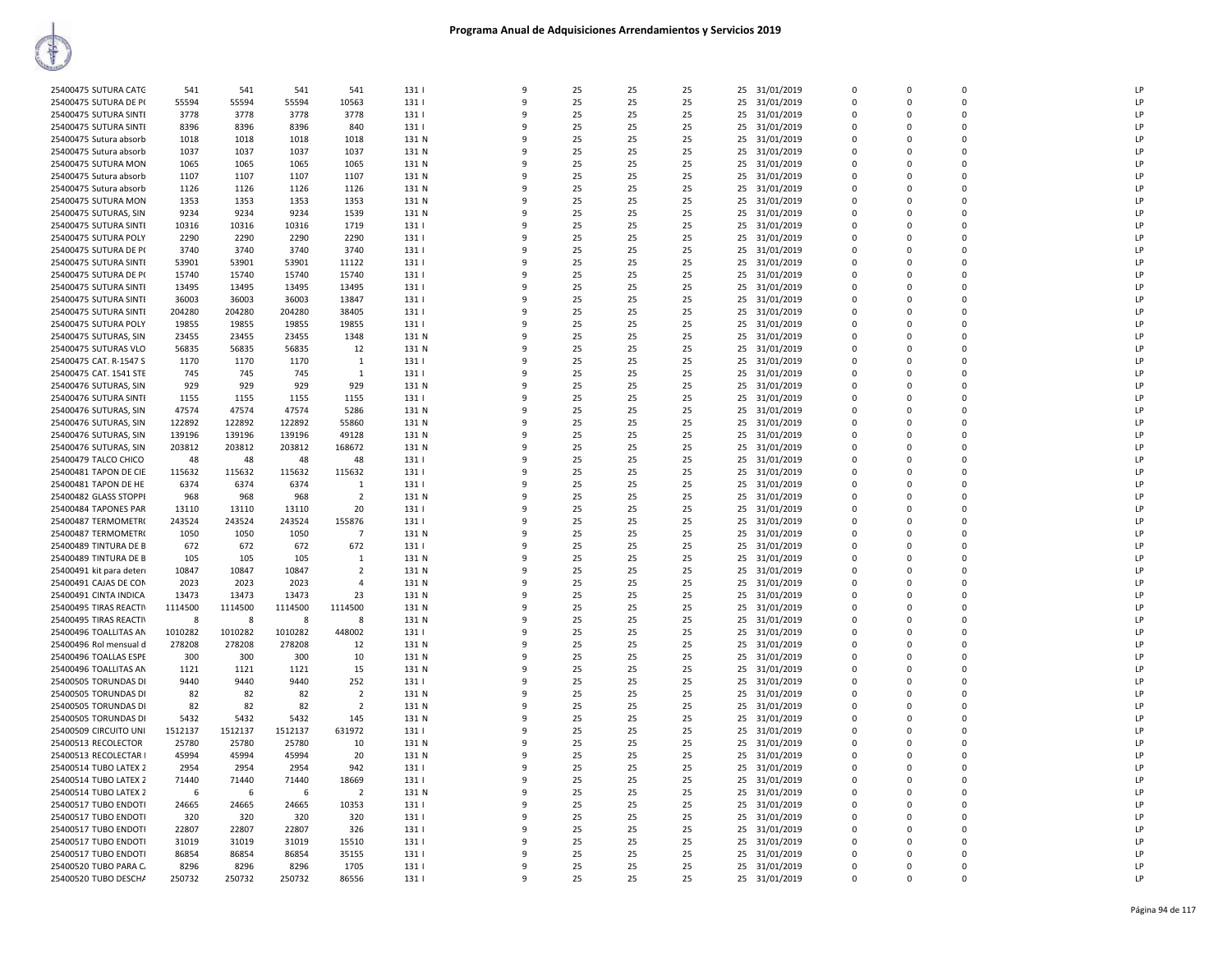| 25400475 SUTURA CATG     | 541               | 541     | 541               | 541            | 1311           | $\mathbf{q}$ | 25 | 25 | 25       | 25 31/01/2019    | $\Omega$    | $\Omega$     | $\Omega$      | LP           |
|--------------------------|-------------------|---------|-------------------|----------------|----------------|--------------|----|----|----------|------------------|-------------|--------------|---------------|--------------|
| 25400475 SUTURA DE P(    | 55594             | 55594   | 55594             | 10563          | 131            | -9           | 25 | 25 | 25       | 25<br>31/01/2019 | $\mathbf 0$ | 0            | 0             | LP           |
| 25400475 SUTURA SINTE    | 3778              | 3778    | 3778              | 3778           | 1311           | $\mathbf{q}$ | 25 | 25 | 25       | 31/01/2019<br>25 | $\Omega$    | $\Omega$     | $\Omega$      | LP           |
| 25400475 SUTURA SINTE    | 8396              | 8396    | 8396              | 840            | 131            |              | 25 | 25 | 25       | 25<br>31/01/2019 | $\mathbf 0$ | 0            | 0             | P            |
| 25400475 Sutura absorb   | 1018              | 1018    | 1018              | 1018           | 131 N          |              | 25 | 25 | 25       | 31/01/2019<br>25 | $\Omega$    | <sup>n</sup> | $\Omega$      | LP           |
| 25400475 Sutura absorb   | 1037              | 1037    | 1037              | 1037           | 131 N          |              | 25 | 25 | 25       | 25<br>31/01/2019 | $\Omega$    | $\mathsf{C}$ | $\Omega$      | LP           |
| 25400475 SUTURA MON      | 1065              | 1065    | 1065              | 1065           | 131 N          | q            | 25 | 25 | 25       | 25<br>31/01/2019 | $\Omega$    | <sup>n</sup> | $\Omega$      | LP           |
| 25400475 Sutura absorb   | 1107              | 1107    | 1107              | 1107           | 131 N          | $\mathbf{q}$ | 25 | 25 | 25       | 31/01/2019<br>25 | $\Omega$    | 0            | $\Omega$      | LP           |
| 25400475 Sutura absorb   | 1126              | 1126    | 1126              | 1126           | 131 N          | 9            | 25 | 25 | 25       | 25<br>31/01/2019 | $\mathbf 0$ | 0            | 0             | LP           |
|                          |                   | 1353    |                   |                |                | $\mathbf{Q}$ | 25 | 25 |          |                  | $\Omega$    | $\Omega$     | $\Omega$      | LP           |
| 25400475 SUTURA MON      | 1353              |         | 1353              | 1353           | 131 N          |              |    |    | 25       | 25<br>31/01/2019 |             |              | $\Omega$      |              |
| 25400475 SUTURAS, SIN    | 9234              | 9234    | 9234              | 1539           | 131 N          |              | 25 | 25 | 25       | 31/01/2019<br>25 | $\Omega$    | $\Omega$     |               | LP           |
| 25400475 SUTURA SINTI    | 10316             | 10316   | 10316             | 1719           | 131            |              | 25 | 25 | 25       | 25<br>31/01/2019 | $\Omega$    | <sup>n</sup> | 0             | LP           |
| 25400475 SUTURA POLY     | 2290              | 2290    | 2290              | 2290           | 131            |              | 25 | 25 | 25       | 25<br>31/01/2019 | $\Omega$    | $\Omega$     | $\Omega$      | LP           |
| 25400475 SUTURA DE P(    | 3740              | 3740    | 3740              | 3740           | 131            | $\mathbf{q}$ | 25 | 25 | 25       | 25<br>31/01/2019 | $\mathbf 0$ | $\Omega$     | $\Omega$      | LP           |
| 25400475 SUTURA SINTI    | 53901             | 53901   | 53901             | 11122          | 131            | $\mathbf{q}$ | 25 | 25 | 25       | 25<br>31/01/2019 | $\mathbf 0$ | $\Omega$     | $\mathbf 0$   | P            |
| 25400475 SUTURA DE P(    | 15740             | 15740   | 15740             | 15740          | 131            | q            | 25 | 25 | 25       | 25<br>31/01/2019 | 0           | $\Omega$     | 0             | LP           |
| 25400475 SUTURA SINTE    | 13495             | 13495   | 13495             | 13495          | 1311           |              | 25 | 25 | 25       | 31/01/2019<br>25 | $\Omega$    | <sup>n</sup> | $\Omega$      | LP           |
| 25400475 SUTURA SINTE    | 36003             | 36003   | 36003             | 13847          | 131            |              | 25 | 25 | 25       | 25<br>31/01/2019 | $\Omega$    | $\Omega$     | $\Omega$      | LP           |
| 25400475 SUTURA SINTE    | 204280            | 204280  | 204280            | 38405          | 131            |              | 25 | 25 | 25       | 31/01/2019<br>25 | 0           | <sup>n</sup> | 0             | LP           |
| 25400475 SUTURA POLY     | 19855             | 19855   | 19855             | 19855          | 131            |              | 25 | 25 | 25       | 25<br>31/01/2019 | $\mathbf 0$ | $\Omega$     | 0             | LP           |
| 25400475 SUTURAS, SIN    | 23455             | 23455   | 23455             | 1348           | 131 N          | ۹            | 25 | 25 | 25       | 25<br>31/01/2019 | $\mathbf 0$ | <sup>n</sup> | $\Omega$      | LP           |
| 25400475 SUTURAS VLO     | 56835             | 56835   | 56835             | 12             | 131 N          | $\mathbf{q}$ | 25 | 25 | 25       | 25<br>31/01/2019 | $\Omega$    | $\mathsf 0$  | $\Omega$      | LP           |
| 25400475 CAT. R-1547 S   | 1170              | 1170    | 1170              | 1              | 131            | -9           | 25 | 25 | 25       | 25<br>31/01/2019 | $\mathbf 0$ | 0            | 0             | LP           |
| 25400475 CAT. 1541 STE   | 745               | 745     | 745               | -1             | 131            | $\mathbf{q}$ | 25 | 25 | 25       | 25<br>31/01/2019 | $\Omega$    | $\Omega$     | $\Omega$      | LP           |
| 25400476 SUTURAS, SIN    | 929               | 929     | 929               | 929            | 131 N          |              | 25 | 25 | 25       | 25<br>31/01/2019 | $\mathbf 0$ | $\Omega$     | $\Omega$      | LP           |
|                          |                   |         |                   |                |                |              |    |    |          |                  |             | n            |               | LP           |
| 25400476 SUTURA SINTI    | 1155              | 1155    | 1155              | 1155           | 131            |              | 25 | 25 | 25       | 31/01/2019<br>25 | $\mathbf 0$ |              | 0<br>$\Omega$ | P            |
| 25400476 SUTURAS, SIN    | 47574             | 47574   | 47574             | 5286           | 131 N          | $\mathbf{q}$ | 25 | 25 | 25       | 25<br>31/01/2019 | $\mathbf 0$ | $\Omega$     |               |              |
| 25400476 SUTURAS, SIN    | 122892            | 122892  | 122892            | 55860          | 131 N          |              | 25 | 25 | 25       | 25<br>31/01/2019 | $\mathbf 0$ | n            | $\Omega$      | LP           |
| 25400476 SUTURAS, SIN    | 139196            | 139196  | 139196            | 49128          | 131 N          | $\mathbf{q}$ | 25 | 25 | 25       | 31/01/2019<br>25 | $\Omega$    | 0            | $\Omega$      | LP           |
| 25400476 SUTURAS, SIN    | 203812            | 203812  | 203812            | 168672         | 131 N          | -9           | 25 | 25 | 25       | 25<br>31/01/2019 | $\mathbf 0$ | 0            | 0             | LP           |
| 25400479 TALCO CHICO     | 48                | 48      | 48                | 48             | 131            | $\mathbf{Q}$ | 25 | 25 | 25       | 25<br>31/01/2019 | $\Omega$    | $\Omega$     | $\Omega$      | LP           |
| 25400481 TAPON DE CIE    | 115632            | 115632  | 115632            | 115632         | 131            |              | 25 | 25 | 25       | 25<br>31/01/2019 | $\mathbf 0$ | 0            | 0             | $\mathsf{I}$ |
| 25400481 TAPON DE HE     | 6374              | 6374    | 6374              | 1              | 131            |              | 25 | 25 | 25       | 25<br>31/01/2019 | 0           | n            | $\Omega$      | LP           |
| 25400482 GLASS STOPPI    | 968               | 968     | 968               | $\overline{2}$ | 131 N          | $\mathbf{q}$ | 25 | 25 | 25       | 25<br>31/01/2019 | $\Omega$    | n            | $\Omega$      | LP           |
| 25400484 TAPONES PAR     | 13110             | 13110   | 13110             | 20             | 131            |              | 25 | 25 | 25       | 25<br>31/01/2019 | $\mathbf 0$ | $\Omega$     | $\Omega$      | LP           |
| 25400487 TERMOMETRO      | 243524            | 243524  | 243524            | 155876         | 131            | -9           | 25 | 25 | 25       | 31/01/2019<br>25 | $\Omega$    | 0            | $\Omega$      | LP           |
| 25400487 TERMOMETR(      | 1050              | 1050    | 1050              | $\overline{7}$ | 131 N          | 9            | 25 | 25 | 25       | 25<br>31/01/2019 | $\mathbf 0$ | 0            | 0             | LP           |
| 25400489 TINTURA DE B    | 672               | 672     | 672               | 672            | 131            | ٩            | 25 | 25 | 25       | 25<br>31/01/2019 | $\Omega$    | <sup>n</sup> | $\Omega$      | LP           |
| 25400489 TINTURA DE B    | 105               | 105     | 105               | $\mathbf{1}$   | 131 N          |              | 25 | 25 | 25       | 25<br>31/01/2019 | $\Omega$    | $\Omega$     | $\Omega$      | LP           |
| 25400491 kit para deteri | 10847             | 10847   | 10847             | $\overline{2}$ | 131 N          |              | 25 | 25 | 25       | 31/01/2019<br>25 | $\Omega$    | <sup>n</sup> | 0             | LP           |
| 25400491 CAJAS DE CON    | 2023              | 2023    | 2023              | $\overline{a}$ | 131 N          |              | 25 | 25 | 25       | 25<br>31/01/2019 | $\mathbf 0$ | C            | 0             | LP           |
| 25400491 CINTA INDICA    | 13473             | 13473   | 13473             | 23             | 131 N          |              | 25 | 25 | 25       | 25<br>31/01/2019 | $\mathbf 0$ | $\Omega$     | 0             | LP           |
| 25400495 TIRAS REACTIV   | 1114500           | 1114500 | 1114500           | 1114500        | 131 N          | 9            | 25 | 25 | 25       | 31/01/2019<br>25 | $\mathbf 0$ | $\Omega$     | 0             | LP           |
| 25400495 TIRAS REACTIV   | -8                | 8       | -8                | 8              | 131 N          | 9            | 25 | 25 | 25       | 31/01/2019<br>25 | $\Omega$    | $\Omega$     | $\Omega$      | LP           |
|                          |                   | 1010282 |                   |                |                | ۹            | 25 | 25 |          |                  | $\Omega$    | <sup>n</sup> | $\Omega$      | LP           |
| 25400496 TOALLITAS AN    | 1010282<br>278208 | 278208  | 1010282<br>278208 | 448002         | 131  <br>131 N |              | 25 | 25 | 25<br>25 | 31/01/2019<br>25 | $\Omega$    |              | $\Omega$      | LP           |
| 25400496 Rol mensual d   |                   |         |                   | 12             |                |              |    |    |          | 25<br>31/01/2019 |             | $\Omega$     |               |              |
| 25400496 TOALLAS ESPE    | 300               | 300     | 300               | 10             | 131 N          |              | 25 | 25 | 25       | 31/01/2019<br>25 | 0           | n            | 0             | LP           |
| 25400496 TOALLITAS AN    | 1121              | 1121    | 1121              | 15             | 131 N          | 9            | 25 | 25 | 25       | 25<br>31/01/2019 | $\mathbf 0$ | $\mathsf{C}$ | $\mathbf 0$   | LP           |
| 25400505 TORUNDAS DI     | 9440              | 9440    | 9440              | 252            | 131            | ۹            | 25 | 25 | 25       | 25<br>31/01/2019 | $\Omega$    | <sup>n</sup> | $\Omega$      | LP           |
| 25400505 TORUNDAS DI     | 82                | 82      | 82                | $\overline{2}$ | 131 N          | q            | 25 | 25 | 25       | 31/01/2019<br>25 | $\Omega$    | $\Omega$     | $\Omega$      | LP           |
| 25400505 TORUNDAS DI     | 82                | 82      | 82                | $\overline{2}$ | 131 N          | 9            | 25 | 25 | 25       | 25<br>31/01/2019 | $\Omega$    | $\Omega$     | $\Omega$      | LP           |
| 25400505 TORUNDAS DI     | 5432              | 5432    | 5432              | 145            | 131 N          |              | 25 | 25 | 25       | 25<br>31/01/2019 | $\Omega$    | <sup>n</sup> | $\Omega$      | LP           |
| 25400509 CIRCUITO UNI    | 1512137           | 1512137 | 1512137           | 631972         | 131            |              | 25 | 25 | 25       | 25<br>31/01/2019 | $\mathbf 0$ | $\Omega$     | $\Omega$      | LP           |
| 25400513 RECOLECTOR      | 25780             | 25780   | 25780             | 10             | 131 N          |              | 25 | 25 | 25       | 25<br>31/01/2019 | $\mathbf 0$ | n            | 0             | LP           |
| 25400513 RECOLECTAR I    | 45994             | 45994   | 45994             | 20             | 131 N          | $\mathbf{q}$ | 25 | 25 | 25       | 25 31/01/2019    | $\Omega$    | n            | $\Omega$      | P            |
| 25400514 TUBO LATEX 2    | 2954              | 2954    | 2954              | 942            | 131            | q            | 25 | 25 | 25       | 25<br>31/01/2019 | $\mathbf 0$ | 0            | $\Omega$      | LP           |
| 25400514 TUBO LATEX 2    | 71440             | 71440   | 71440             | 18669          | 131            | $\mathbf{q}$ | 25 | 25 | 25       | 25 31/01/2019    | $\Omega$    | 0            | $\Omega$      | LP           |
| 25400514 TUBO LATEX 2    | 6                 | 6       | 6                 | $\overline{2}$ | 131 N          | 9            | 25 | 25 | 25       | 25<br>31/01/2019 | $\mathbf 0$ | $\Omega$     | $\Omega$      | LP           |
| 25400517 TUBO ENDOTI     | 24665             | 24665   | 24665             | 10353          | 131            | $\mathbf{q}$ | 25 | 25 | 25       | 31/01/2019<br>25 | $\mathbf 0$ | $\Omega$     | $\Omega$      | LP           |
| 25400517 TUBO ENDOTI     | 320               | 320     | 320               | 320            | 131            |              | 25 | 25 | 25       | 25<br>31/01/2019 | $\mathbf 0$ | $\Omega$     | $\mathbf 0$   | P            |
| 25400517 TUBO ENDOTI     | 22807             | 22807   | 22807             | 326            | 131            |              | 25 | 25 | 25       | 25<br>31/01/2019 | $\Omega$    | n            | 0             | LP           |
| 25400517 TUBO ENDOTI     | 31019             | 31019   | 31019             | 15510          | 1311           | $\mathbf{q}$ | 25 | 25 | 25       | 25<br>31/01/2019 | $\Omega$    | n            | $\Omega$      | LP           |
| 25400517 TUBO ENDOTI     | 86854             | 86854   | 86854             | 35155          | 131            |              | 25 | 25 | 25       | 25<br>31/01/2019 | $\mathbf 0$ | $\Omega$     | $\Omega$      | LP           |
| 25400520 TUBO PARA C.    | 8296              | 8296    | 8296              | 1705           | 131            | 9            | 25 | 25 | 25       | 25<br>31/01/2019 | $\Omega$    | $\Omega$     | $\Omega$      | LP           |
| 25400520 TUBO DESCHA     | 250732            | 250732  | 250732            | 86556          | 131            | 9            | 25 | 25 | 25       | 31/01/2019<br>25 | $\mathbf 0$ | $\Omega$     | 0             | LP           |
|                          |                   |         |                   |                |                |              |    |    |          |                  |             |              |               |              |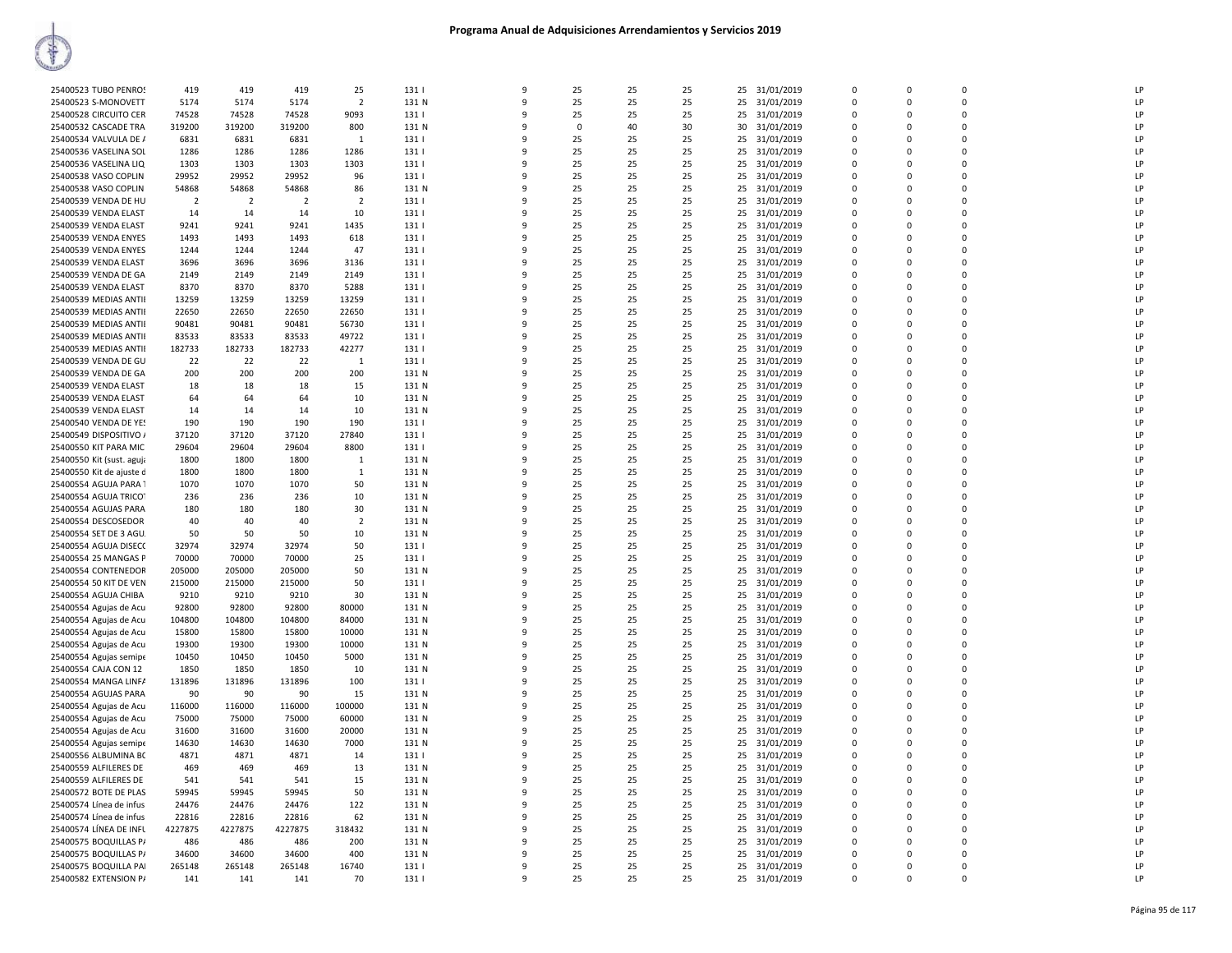| 25400523 TUBO PENROS      | 419            | 419            | 419            | 25             | 131   | 9            | 25       | 25 | 25 | 25 | 31/01/2019    | 0           | $\mathbf 0$ | $\mathbf 0$    | LP |
|---------------------------|----------------|----------------|----------------|----------------|-------|--------------|----------|----|----|----|---------------|-------------|-------------|----------------|----|
| 25400523 S-MONOVETT       | 5174           | 5174           | 5174           | $\overline{2}$ | 131 N | $\mathbf{q}$ | 25       | 25 | 25 | 25 | 31/01/2019    | $\Omega$    | $\Omega$    | $\Omega$       | LP |
| 25400528 CIRCUITO CER     | 74528          | 74528          | 74528          | 9093           | 131   | 9            | 25       | 25 | 25 | 25 | 31/01/2019    | $\Omega$    | $\Omega$    | $\Omega$       | LP |
| 25400532 CASCADE TRA      | 319200         | 319200         | 319200         | 800            | 131 N | 9            | $\Omega$ | 40 | 30 | 30 | 31/01/2019    | $\Omega$    | 0           | $\mathbf 0$    | LP |
|                           |                |                |                |                |       |              |          |    |    |    |               |             |             |                |    |
| 25400534 VALVULA DE /     | 6831           | 6831           | 6831           | $\mathbf{1}$   | 131   | 9            | 25       | 25 | 25 | 25 | 31/01/2019    | $\Omega$    | $\Omega$    | $\mathbf 0$    | LP |
| 25400536 VASELINA SOL     | 1286           | 1286           | 1286           | 1286           | 131   | q            | 25       | 25 | 25 | 25 | 31/01/2019    | $\Omega$    | 0           | $\Omega$       | LP |
| 25400536 VASELINA LIQ     | 1303           | 1303           | 1303           | 1303           | 131   | 9            | 25       | 25 | 25 |    | 25 31/01/2019 | 0           | $\mathbf 0$ | $\mathbf 0$    | LP |
| 25400538 VASO COPLIN      | 29952          | 29952          | 29952          | 96             | 131   | 9            | 25       | 25 | 25 | 25 | 31/01/2019    | 0           | $\mathbf 0$ | $\mathbf 0$    | LP |
|                           |                |                |                |                |       |              |          |    |    |    |               |             |             |                |    |
| 25400538 VASO COPLIN      | 54868          | 54868          | 54868          | 86             | 131 N | q            | 25       | 25 | 25 | 25 | 31/01/2019    | $\Omega$    | 0           | $\Omega$       | LP |
| 25400539 VENDA DE HU      | $\overline{2}$ | $\overline{2}$ | $\overline{2}$ | $\overline{2}$ | 131   | 9            | 25       | 25 | 25 | 25 | 31/01/2019    | $\Omega$    | $\Omega$    | $\Omega$       | LP |
| 25400539 VENDA ELAST      | 14             | -14            | 14             | 10             | 131   | q            | 25       | 25 | 25 | 25 | 31/01/2019    | $\Omega$    | $\Omega$    | $\Omega$       | LP |
| 25400539 VENDA ELAST      | 9241           | 9241           | 9241           | 1435           | 131   | 9            | 25       | 25 | 25 | 25 | 31/01/2019    | $\Omega$    | $\Omega$    | $\Omega$       | LP |
|                           |                |                |                |                |       |              |          |    |    |    |               |             |             |                |    |
| 25400539 VENDA ENYES      | 1493           | 1493           | 1493           | 618            | 131   | q            | 25       | 25 | 25 | 25 | 31/01/2019    | $\Omega$    | 0           | $\Omega$       | LP |
| 25400539 VENDA ENYES      | 1244           | 1244           | 1244           | 47             | 131   | 9            | 25       | 25 | 25 | 25 | 31/01/2019    | 0           | $\mathbf 0$ | $\mathbf 0$    | LP |
| 25400539 VENDA ELAST      | 3696           | 3696           | 3696           | 3136           | 131   | 9            | 25       | 25 | 25 | 25 | 31/01/2019    | $\mathbf 0$ | 0           | $\mathbf 0$    | LP |
| 25400539 VENDA DE GA      | 2149           | 2149           | 2149           | 2149           | 131   | q            | 25       | 25 | 25 | 25 | 31/01/2019    | $\Omega$    | $\Omega$    | $\Omega$       | LP |
|                           |                |                |                |                |       |              |          |    |    |    |               |             |             |                |    |
| 25400539 VENDA ELAST      | 8370           | 8370           | 8370           | 5288           | 131   | ٩            | 25       | 25 | 25 | 25 | 31/01/2019    | $\Omega$    | 0           | $\Omega$       | LP |
| 25400539 MEDIAS ANTII     | 13259          | 13259          | 13259          | 13259          | 131   | q            | 25       | 25 | 25 | 25 | 31/01/2019    | $\Omega$    | $\Omega$    | $\Omega$       | LP |
| 25400539 MEDIAS ANTII     | 22650          | 22650          | 22650          | 22650          | 131   | 9            | 25       | 25 | 25 | 25 | 31/01/2019    | $\Omega$    | O           | $\Omega$       | LP |
|                           | 90481          | 90481          | 90481          |                | 131   | q            | 25       | 25 | 25 | 25 | 31/01/2019    | $\Omega$    | 0           | $\Omega$       | LP |
| 25400539 MEDIAS ANTII     |                |                |                | 56730          |       |              |          |    |    |    |               |             |             |                |    |
| 25400539 MEDIAS ANTII     | 83533          | 83533          | 83533          | 49722          | 131   | 9            | 25       | 25 | 25 | 25 | 31/01/2019    | $\Omega$    | $\Omega$    | $\mathbf 0$    | LP |
| 25400539 MEDIAS ANTII     | 182733         | 182733         | 182733         | 42277          | 131   | 9            | 25       | 25 | 25 | 25 | 31/01/2019    | $\mathbf 0$ | 0           | $\mathbf 0$    | LP |
| 25400539 VENDA DE GU      | 22             | 22             | 22             | $\mathbf{1}$   | 131   | q            | 25       | 25 | 25 | 25 | 31/01/2019    | $\Omega$    | $\Omega$    | $\Omega$       | LP |
|                           |                |                |                |                |       | 9            |          |    |    |    |               |             |             | $\Omega$       | LP |
| 25400539 VENDA DE GA      | 200            | 200            | 200            | 200            | 131 N |              | 25       | 25 | 25 | 25 | 31/01/2019    | 0           | 0           |                |    |
| 25400539 VENDA ELAST      | 18             | 18             | 18             | 15             | 131 N | q            | 25       | 25 | 25 | 25 | 31/01/2019    | $\Omega$    | $\Omega$    | $\Omega$       | LP |
| 25400539 VENDA ELAST      | 64             | 64             | 64             | 10             | 131 N | 9            | 25       | 25 | 25 | 25 | 31/01/2019    | $\Omega$    | $\Omega$    | $\Omega$       | LP |
| 25400539 VENDA ELAST      | 14             | 14             | 14             | 10             | 131 N | q            | 25       | 25 | 25 | 25 | 31/01/2019    | $\Omega$    | 0           | $\Omega$       | LP |
|                           |                |                |                |                |       |              |          |    |    |    |               |             |             |                |    |
| 25400540 VENDA DE YES     | 190            | 190            | 190            | 190            | 131   | 9            | 25       | 25 | 25 | 25 | 31/01/2019    | $\Omega$    | $\mathbf 0$ | $\mathbf 0$    | LP |
| 25400549 DISPOSITIVO /    | 37120          | 37120          | 37120          | 27840          | 131   | 9            | 25       | 25 | 25 | 25 | 31/01/2019    | $\mathbf 0$ | 0           | $\mathbf 0$    | LP |
| 25400550 KIT PARA MIC     | 29604          | 29604          | 29604          | 8800           | 131   | q            | 25       | 25 | 25 | 25 | 31/01/2019    | 0           | $\mathbf 0$ | 0              | LP |
| 25400550 Kit (sust. aguja | 1800           | 1800           | 1800           | 1              | 131 N | q            | 25       | 25 | 25 | 25 | 31/01/2019    | $\Omega$    | $\Omega$    | $\Omega$       | LP |
|                           |                | 1800           | 1800           |                | 131 N | q            | 25       |    |    |    |               |             | $\Omega$    | $\Omega$       | LP |
| 25400550 Kit de ajuste d  | 1800           |                |                | $\mathbf{1}$   |       |              |          | 25 | 25 | 25 | 31/01/2019    | 0           |             |                |    |
| 25400554 AGUJA PARA 1     | 1070           | 1070           | 1070           | 50             | 131 N | 9            | 25       | 25 | 25 | 25 | 31/01/2019    | $\Omega$    | O           | $\Omega$       | LP |
| 25400554 AGUJA TRICO      | 236            | 236            | 236            | 10             | 131 N | q            | 25       | 25 | 25 | 25 | 31/01/2019    | $\Omega$    | 0           | $\Omega$       | LP |
| 25400554 AGUJAS PARA      | 180            | 180            | 180            | 30             | 131 N | 9            | 25       | 25 | 25 | 25 | 31/01/2019    | $\Omega$    | $\Omega$    | $\mathbf 0$    | LP |
|                           |                |                |                |                |       |              |          |    |    |    |               |             |             |                |    |
| 25400554 DESCOSEDOR       | 40             | 40             | 40             | $\overline{2}$ | 131 N | 9            | 25       | 25 | 25 | 25 | 31/01/2019    | $\mathbf 0$ | 0           | $\mathbf 0$    | LP |
| 25400554 SET DE 3 AGU.    | 50             | 50             | 50             | 10             | 131 N | q            | 25       | 25 | 25 | 25 | 31/01/2019    | $\mathbf 0$ | $\mathbf 0$ | $\mathbf 0$    | LP |
| 25400554 AGUJA DISECO     | 32974          | 32974          | 32974          | 50             | 131   | q            | 25       | 25 | 25 | 25 | 31/01/2019    | 0           | 0           | $\Omega$       | LP |
| 25400554 25 MANGAS P      | 70000          | 70000          | 70000          | 25             | 131   | q            | 25       | 25 | 25 | 25 | 31/01/2019    | $\Omega$    | $\Omega$    | $\Omega$       | LP |
|                           |                |                |                |                |       |              |          |    |    |    |               |             |             |                | LP |
| 25400554 CONTENEDOR       | 205000         | 205000         | 205000         | 50             | 131 N | 9            | 25       | 25 | 25 | 25 | 31/01/2019    | 0           | 0           | $\mathbf 0$    |    |
| 25400554 50 KIT DE VEN    | 215000         | 215000         | 215000         | 50             | 131   | 9            | 25       | 25 | 25 | 25 | 31/01/2019    | $\Omega$    | $\Omega$    | $\Omega$       | LP |
| 25400554 AGUJA CHIBA      | 9210           | 9210           | 9210           | 30             | 131 N | 9            | 25       | 25 | 25 | 25 | 31/01/2019    | $\Omega$    | $\Omega$    | $\mathbf 0$    | LP |
| 25400554 Agujas de Acu    | 92800          | 92800          | 92800          | 80000          | 131 N | 9            | 25       | 25 | 25 | 25 | 31/01/2019    | $\mathbf 0$ | 0           | $\mathbf 0$    | LP |
|                           |                |                |                |                |       | q            |          |    |    |    |               |             |             |                |    |
| 25400554 Agujas de Acu    | 104800         | 104800         | 104800         | 84000          | 131 N |              | 25       | 25 | 25 | 25 | 31/01/2019    | 0           | $\mathbf 0$ | 0              | LP |
| 25400554 Agujas de Acu    | 15800          | 15800          | 15800          | 10000          | 131 N | q            | 25       | 25 | 25 | 25 | 31/01/2019    | $\Omega$    | $\Omega$    | $\Omega$       | LP |
| 25400554 Agujas de Acu    | 19300          | 19300          | 19300          | 10000          | 131 N | q            | 25       | 25 | 25 | 25 | 31/01/2019    | 0           | $\Omega$    | $\Omega$       | LP |
| 25400554 Agujas semipe    | 10450          | 10450          | 10450          | 5000           | 131 N | 9            | 25       | 25 | 25 | 25 | 31/01/2019    | 0           | 0           | $\mathbf 0$    | LP |
|                           | 1850           | 1850           | 1850           |                | 131 N | q            | 25       | 25 | 25 | 25 |               |             | $\Omega$    | $\Omega$       | LP |
| 25400554 CAJA CON 12      |                |                |                | 10             |       |              |          |    |    |    | 31/01/2019    | $\Omega$    |             |                |    |
| 25400554 MANGA LINFA      | 131896         | 131896         | 131896         | 100            | 131   | 9            | 25       | 25 | 25 | 25 | 31/01/2019    | 0           | $\mathbf 0$ | $\mathbf 0$    | LP |
| 25400554 AGUJAS PARA      | 90             | 90             | 90             | 15             | 131 N | 9            | 25       | 25 | 25 | 25 | 31/01/2019    | $\mathbf 0$ | 0           | $\overline{0}$ | LP |
| 25400554 Agujas de Acu    | 116000         | 116000         | 116000         | 100000         | 131 N | 9            | 25       | 25 | 25 | 25 | 31/01/2019    | $\mathbf 0$ | $\mathbf 0$ | 0              | LP |
|                           |                |                |                |                |       | q            |          |    |    |    |               | $\Omega$    | $\Omega$    | $\Omega$       | LP |
| 25400554 Agujas de Acu    | 75000          | 75000          | 75000          | 60000          | 131 N |              | 25       | 25 | 25 | 25 | 31/01/2019    |             |             |                |    |
| 25400554 Agujas de Acu    | 31600          | 31600          | 31600          | 20000          | 131 N | q            | 25       | 25 | 25 | 25 | 31/01/2019    | $\Omega$    | $\Omega$    | $\Omega$       | LP |
| 25400554 Agujas semipe    | 14630          | 14630          | 14630          | 7000           | 131 N | 9            | 25       | 25 | 25 | 25 | 31/01/2019    | 0           | 0           | $\mathbf 0$    | LP |
| 25400556 ALBUMINA BC      | 4871           | 4871           | 4871           | 14             | 131   | 9            | 25       | 25 | 25 | 25 | 31/01/2019    | $\Omega$    | $\Omega$    | $\Omega$       | LP |
|                           |                |                |                |                |       | 9            |          |    |    |    |               |             | $\mathbf 0$ | $\mathbf 0$    | LP |
| 25400559 ALFILERES DE     | 469            | 469            | 469            | 13             | 131 N |              | 25       | 25 | 25 | 25 | 31/01/2019    | 0           |             |                |    |
| 25400559 ALFILERES DE     | 541            | 541            | 541            | 15             | 131 N | 9            | 25       | 25 | 25 | 25 | 31/01/2019    | $\mathbf 0$ | $\mathbf 0$ | $\mathbf 0$    | LP |
| 25400572 BOTE DE PLAS     | 59945          | 59945          | 59945          | 50             | 131 N | 9            | 25       | 25 | 25 | 25 | 31/01/2019    | $\mathbf 0$ | $\mathbf 0$ | $\mathbf 0$    | LP |
| 25400574 Línea de infus   | 24476          | 24476          | 24476          | 122            | 131 N | q            | 25       | 25 | 25 | 25 | 31/01/2019    | 0           | 0           | 0              | LP |
|                           |                |                |                |                |       | q            |          |    |    |    |               |             |             |                |    |
| 25400574 Línea de infus   | 22816          | 22816          | 22816          | 62             | 131 N |              | 25       | 25 | 25 | 25 | 31/01/2019    | $\Omega$    | $\Omega$    | $\Omega$       | LP |
| 25400574 LİNEA DE INFL    | 4227875        | 4227875        | 4227875        | 318432         | 131 N | 9            | 25       | 25 | 25 | 25 | 31/01/2019    | 0           | 0           | $\Omega$       | LP |
| 25400575 BOQUILLAS P/     | 486            | 486            | 486            | 200            | 131 N | q            | 25       | 25 | 25 | 25 | 31/01/2019    | $\Omega$    | $\Omega$    | $\Omega$       | LP |
| 25400575 BOQUILLAS P/     | 34600          | 34600          | 34600          | 400            | 131 N | 9            | 25       | 25 | 25 | 25 | 31/01/2019    | 0           | $\mathbf 0$ | $\Omega$       | LP |
|                           | 265148         | 265148         |                | 16740          | 131   | 9            |          | 25 |    |    |               | $\Omega$    | $\Omega$    | $\Omega$       | LP |
| 25400575 BOQUILLA PAI     |                |                | 265148         |                |       |              | 25       |    | 25 | 25 | 31/01/2019    |             |             |                |    |
| 25400582 EXTENSION P/     | 141            | 141            | 141            | 70             | 131   | 9            | 25       | 25 | 25 | 25 | 31/01/2019    | 0           | 0           | 0              | LP |
|                           |                |                |                |                |       |              |          |    |    |    |               |             |             |                |    |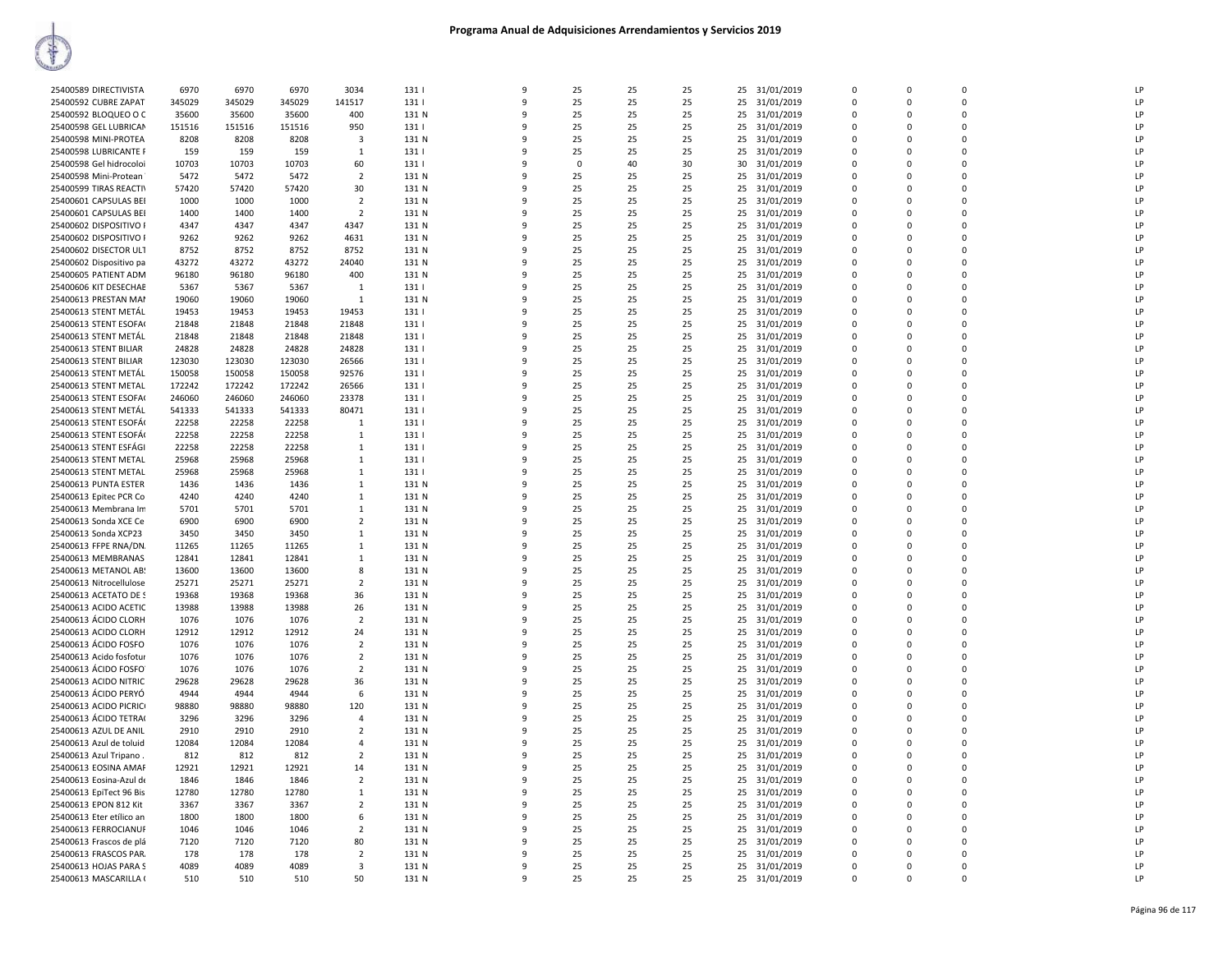| 25400589 DIRECTIVISTA    | 6970   | 6970   | 6970   | 3034           | 131   | 9            | 25       | 25 | 25 | 25 | 31/01/2019    | $\Omega$ | $\mathbf 0$ |              | LF |
|--------------------------|--------|--------|--------|----------------|-------|--------------|----------|----|----|----|---------------|----------|-------------|--------------|----|
| 25400592 CUBRE ZAPAT     | 345029 | 345029 | 345029 | 141517         | 131   | 9            | 25       | 25 | 25 | 25 | 31/01/2019    | $\Omega$ | 0           | $\Omega$     | LP |
|                          |        |        |        |                |       |              |          |    |    |    |               |          |             |              |    |
| 25400592 BLOQUEO O C     | 35600  | 35600  | 35600  | 400            | 131 N | 9            | 25       | 25 | 25 |    | 25 31/01/2019 | $\Omega$ | $\mathbf 0$ | $\Omega$     | LP |
| 25400598 GEL LUBRICAN    | 151516 | 151516 | 151516 | 950            | 131   | 9            | 25       | 25 | 25 | 25 | 31/01/2019    | $\Omega$ | $\Omega$    | $\Omega$     | LP |
|                          |        |        |        |                |       |              |          |    |    |    |               |          |             |              |    |
| 25400598 MINI-PROTEA     | 8208   | 8208   | 8208   | $\overline{3}$ | 131 N | 9            | 25       | 25 | 25 | 25 | 31/01/2019    | $\Omega$ | $\Omega$    | $\Omega$     | LP |
| 25400598 LUBRICANTE F    | 159    | 159    | 159    | 1              | 131   | 9            | 25       | 25 | 25 | 25 | 31/01/2019    | $\Omega$ | 0           | $\Omega$     | LP |
|                          |        |        |        |                |       |              |          |    |    |    |               |          |             |              |    |
| 25400598 Gel hidrocoloi  | 10703  | 10703  | 10703  | 60             | 131   | 9            | $\Omega$ | 40 | 30 | 30 | 31/01/2019    | $\Omega$ | $\Omega$    | $\Omega$     | LP |
| 25400598 Mini-Protean    | 5472   | 5472   | 5472   | 2              | 131 N | 9            | 25       | 25 | 25 | 25 | 31/01/2019    | $\Omega$ | 0           | $\Omega$     | LP |
|                          |        |        |        |                |       |              |          |    |    |    |               |          |             |              |    |
| 25400599 TIRAS REACTIV   | 57420  | 57420  | 57420  | 30             | 131 N | 9            | 25       | 25 | 25 | 25 | 31/01/2019    | $\Omega$ | $\mathbf 0$ | $\Omega$     | LP |
| 25400601 CAPSULAS BEI    | 1000   | 1000   | 1000   | $\overline{2}$ | 131 N | 9            | 25       | 25 | 25 | 25 | 31/01/2019    | $\Omega$ | $\mathbf 0$ | $\Omega$     | LP |
|                          |        |        |        |                |       |              |          |    |    |    |               |          |             |              |    |
| 25400601 CAPSULAS BEI    | 1400   | 1400   | 1400   | $\overline{2}$ | 131 N | 9            | 25       | 25 | 25 | 25 | 31/01/2019    | $\Omega$ | 0           | $\Omega$     | LP |
| 25400602 DISPOSITIVO F   | 4347   | 4347   | 4347   | 4347           | 131 N | 9            | 25       | 25 | 25 | 25 | 31/01/2019    | $\Omega$ | $\Omega$    | $\Omega$     | LP |
|                          |        |        |        |                |       |              |          |    |    |    |               |          |             |              |    |
| 25400602 DISPOSITIVO F   | 9262   | 9262   | 9262   | 4631           | 131 N | 9            | 25       | 25 | 25 | 25 | 31/01/2019    | $\Omega$ | $\Omega$    | $\Omega$     | LP |
| 25400602 DISECTOR ULT    | 8752   | 8752   | 8752   | 8752           | 131 N | 9            | 25       | 25 | 25 | 25 | 31/01/2019    | $\Omega$ | $\Omega$    | $\Omega$     | LP |
|                          |        |        |        |                |       |              |          |    |    |    |               |          |             |              |    |
| 25400602 Dispositivo pa  | 43272  | 43272  | 43272  | 24040          | 131 N | 9            | 25       | 25 | 25 | 25 | 31/01/2019    | $\Omega$ | 0           | $\Omega$     | LP |
| 25400605 PATIENT ADM     | 96180  | 96180  | 96180  | 400            | 131 N | 9            | 25       | 25 | 25 | 25 | 31/01/2019    | $\Omega$ | $\Omega$    | $\Omega$     | LP |
|                          |        |        |        |                |       |              |          |    |    |    |               |          |             |              |    |
| 25400606 KIT DESECHAE    | 5367   | 5367   | 5367   | $\mathbf{1}$   | 131   | 9            | 25       | 25 | 25 |    | 25 31/01/2019 |          | $\Omega$    | $\Omega$     | LP |
|                          | 19060  |        | 19060  |                | 131 N | 9            | 25       | 25 |    | 25 |               | $\Omega$ | 0           | $\Omega$     | LP |
| 25400613 PRESTAN MAN     |        | 19060  |        | $\mathbf{1}$   |       |              |          |    | 25 |    | 31/01/2019    |          |             |              |    |
| 25400613 STENT METÁL     | 19453  | 19453  | 19453  | 19453          | 131   | 9            | 25       | 25 | 25 | 25 | 31/01/2019    | $\Omega$ | $\mathbf 0$ | $\Omega$     | LP |
|                          |        |        |        |                |       | 9            | 25       | 25 |    |    |               | $\Omega$ | 0           | $\Omega$     | LP |
| 25400613 STENT ESOFA     | 21848  | 21848  | 21848  | 21848          | 131   |              |          |    | 25 | 25 | 31/01/2019    |          |             |              |    |
| 25400613 STENT METÁL     | 21848  | 21848  | 21848  | 21848          | 131   | 9            | 25       | 25 | 25 | 25 | 31/01/2019    | $\Omega$ | $\Omega$    | $\Omega$     | LP |
|                          |        |        |        |                |       | 9            |          |    |    |    |               | $\Omega$ | 0           | $\Omega$     | LP |
| 25400613 STENT BILIAR    | 24828  | 24828  | 24828  | 24828          | 131   |              | 25       | 25 | 25 | 25 | 31/01/2019    |          |             |              |    |
| 25400613 STENT BILIAR    | 123030 | 123030 | 123030 | 26566          | 131   | 9            | 25       | 25 | 25 | 25 | 31/01/2019    | $\Omega$ | $\Omega$    | $\Omega$     | LP |
|                          |        |        |        |                |       |              |          |    |    |    |               |          |             |              | LP |
| 25400613 STENT METAL     | 150058 | 150058 | 150058 | 92576          | 131   | 9            | 25       | 25 | 25 |    | 25 31/01/2019 | $\Omega$ | 0           | $\Omega$     |    |
| 25400613 STENT METAL     | 172242 | 172242 | 172242 | 26566          | 131   | 9            | 25       | 25 | 25 | 25 | 31/01/2019    | $\Omega$ | $\Omega$    | $\Omega$     | LP |
|                          |        |        |        |                |       |              |          |    |    |    |               |          |             |              |    |
| 25400613 STENT ESOFA     | 246060 | 246060 | 246060 | 23378          | 131   | 9            | 25       | 25 | 25 | 25 | 31/01/2019    | $\Omega$ | $\Omega$    |              | LP |
| 25400613 STENT METAL     | 541333 | 541333 | 541333 | 80471          | 131   | 9            | 25       | 25 | 25 | 25 | 31/01/2019    | $\Omega$ | 0           | $\Omega$     | LP |
|                          |        |        |        |                |       |              |          |    |    |    |               |          |             |              |    |
| 25400613 STENT ESOFÁ     | 22258  | 22258  | 22258  | <sup>1</sup>   | 131   | 9            | 25       | 25 | 25 | 25 | 31/01/2019    | $\Omega$ | $\mathbf 0$ | $\Omega$     | LP |
| 25400613 STENT ESOFÁ     | 22258  | 22258  | 22258  | $\mathbf{1}$   | 131   | 9            | 25       | 25 | 25 | 25 | 31/01/2019    | 0        | 0           | 0            | LP |
|                          |        |        |        |                |       | 9            |          |    |    |    |               | $\Omega$ | $\Omega$    | $\Omega$     |    |
| 25400613 STENT ESFÁGI    | 22258  | 22258  | 22258  | 1              | 131   |              | 25       | 25 | 25 | 25 | 31/01/2019    |          |             |              | LP |
| 25400613 STENT METAL     | 25968  | 25968  | 25968  | $\mathbf{1}$   | 131   | 9            | 25       | 25 | 25 | 25 | 31/01/2019    | n        | $\Omega$    | $\Omega$     | LP |
|                          |        |        |        |                |       | 9            |          |    |    |    |               |          |             |              |    |
| 25400613 STENT METAL     | 25968  | 25968  | 25968  | $\mathbf{1}$   | 131   |              | 25       | 25 | 25 |    | 25 31/01/2019 | $\Omega$ | $\Omega$    | $\Omega$     | LP |
| 25400613 PUNTA ESTER     | 1436   | 1436   | 1436   | 1              | 131 N | 9            | 25       | 25 | 25 | 25 | 31/01/2019    | $\Omega$ | $\Omega$    |              | LP |
|                          |        |        |        |                |       | 9            |          |    |    |    |               |          |             |              |    |
| 25400613 Epitec PCR Co   | 4240   | 4240   | 4240   | 1              | 131 N |              | 25       | 25 | 25 | 25 | 31/01/2019    | $\Omega$ | $\Omega$    | <sup>n</sup> | LP |
| 25400613 Membrana Im     | 5701   | 5701   | 5701   | $\mathbf{1}$   | 131 N | 9            | 25       | 25 | 25 | 25 | 31/01/2019    | $\Omega$ | $\Omega$    | $\Omega$     | LP |
|                          |        |        |        |                |       |              |          |    |    |    |               |          |             |              |    |
| 25400613 Sonda XCE Ce    | 6900   | 6900   | 6900   | $\overline{2}$ | 131 N | 9            | 25       | 25 | 25 | 25 | 31/01/2019    | $\Omega$ | 0           | $\Omega$     | LP |
| 25400613 Sonda XCP23     | 3450   | 3450   | 3450   | 1              | 131 N | 9            | 25       | 25 | 25 | 25 | 31/01/2019    | $\Omega$ | $\mathbf 0$ | $\Omega$     | LP |
|                          |        |        |        |                |       |              |          |    |    |    |               |          |             |              |    |
| 25400613 FFPE RNA/DN.    | 11265  | 11265  | 11265  | $\mathbf{1}$   | 131 N | 9            | 25       | 25 | 25 | 25 | 31/01/2019    | $\Omega$ | 0           | $\Omega$     | LP |
| 25400613 MEMBRANAS       | 12841  | 12841  | 12841  | 1              | 131 N | 9            | 25       | 25 | 25 |    | 25 31/01/2019 | $\Omega$ | $\Omega$    | $\Omega$     | LP |
|                          |        |        |        |                |       |              |          |    |    |    |               |          |             |              |    |
| 25400613 METANOL AB      | 13600  | 13600  | 13600  | 8              | 131 N | 9            | 25       | 25 | 25 | 25 | 31/01/2019    | $\Omega$ | 0           | <sup>n</sup> | LP |
| 25400613 Nitrocellulose  | 25271  | 25271  | 25271  | $\overline{2}$ | 131 N | 9            | 25       | 25 | 25 | 25 | 31/01/2019    | $\Omega$ | $\Omega$    | $\Omega$     | LP |
|                          |        |        |        |                |       |              |          |    |    |    |               |          |             |              |    |
| 25400613 ACETATO DE S    | 19368  | 19368  | 19368  | 36             | 131 N | 9            | 25       | 25 | 25 | 25 | 31/01/2019    |          | $\Omega$    | $\Omega$     | LP |
| 25400613 ACIDO ACETIC    | 13988  | 13988  | 13988  | 26             | 131 N | 9            | 25       | 25 | 25 | 25 | 31/01/2019    | $\Omega$ | 0           | $\Omega$     | LP |
|                          |        |        |        |                |       |              |          |    |    |    |               |          |             |              |    |
| 25400613 ÁCIDO CLORH     | 1076   | 1076   | 1076   | $\overline{2}$ | 131 N | 9            | 25       | 25 | 25 | 25 | 31/01/2019    | $\Omega$ | $\mathbf 0$ | $\Omega$     | LP |
| 25400613 ACIDO CLORH     | 12912  | 12912  | 12912  | 24             | 131 N | 9            | 25       | 25 | 25 | 25 | 31/01/2019    | $\Omega$ | 0           | $\Omega$     | LP |
|                          |        |        |        |                |       |              |          |    |    |    |               |          |             |              |    |
| 25400613 ÁCIDO FOSFO     | 1076   | 1076   | 1076   | $\overline{2}$ | 131 N | 9            | 25       | 25 | 25 |    | 25 31/01/2019 | $\Omega$ | $\mathbf 0$ |              | LP |
| 25400613 Acido fosfotu   | 1076   | 1076   | 1076   | $\overline{2}$ | 131 N | 9            | 25       | 25 | 25 | 25 | 31/01/2019    | 0        | 0           | <sup>n</sup> | LP |
|                          |        |        |        |                |       | 9            |          |    |    |    |               | $\Omega$ | $\Omega$    | $\Omega$     |    |
| 25400613 ÁCIDO FOSFO     | 1076   | 1076   | 1076   | $\overline{2}$ | 131 N |              | 25       | 25 | 25 | 25 | 31/01/2019    |          |             |              | LP |
| 25400613 ACIDO NITRIC    | 29628  | 29628  | 29628  | 36             | 131 N | 9            | 25       | 25 | 25 | 25 | 31/01/2019    | $\Omega$ | $\Omega$    | $\Omega$     | LP |
|                          |        |        |        |                |       |              |          |    |    |    |               |          |             |              | LP |
| 25400613 ÁCIDO PERYÓ     | 4944   | 4944   | 4944   | 6              | 131 N | 9            | 25       | 25 | 25 | 25 | 31/01/2019    | $\Omega$ | $\Omega$    | $\Omega$     |    |
| 25400613 ACIDO PICRIC    | 98880  | 98880  | 98880  | 120            | 131 N | 9            | 25       | 25 | 25 | 25 | 31/01/2019    | $\Omega$ | 0           | $\Omega$     | LP |
|                          |        |        |        |                |       | 9            |          |    |    |    |               |          |             |              | LP |
| 25400613 ÁCIDO TETRA     | 3296   | 3296   | 3296   | 4              | 131 N |              | 25       | 25 | 25 | 25 | 31/01/2019    | $\Omega$ | $\mathbf 0$ | <sup>n</sup> |    |
| 25400613 AZUL DE ANIL    | 2910   | 2910   | 2910   | $\overline{2}$ | 131 N | 9            | 25       | 25 | 25 |    | 25 31/01/2019 | $\Omega$ | $\mathbf 0$ |              | LP |
|                          |        |        |        |                |       |              |          |    |    |    |               |          |             |              |    |
| 25400613 Azul de toluid  | 12084  | 12084  | 12084  | 4              | 131 N | 9            | 25       | 25 | 25 | 25 | 31/01/2019    | $\Omega$ | 0           | $\Omega$     | LP |
| 25400613 Azul Tripano.   | 812    | 812    | 812    | $\overline{2}$ | 131 N | 9            | 25       | 25 | 25 | 25 | 31/01/2019    | $\Omega$ | $\mathbf 0$ | $\Omega$     | LP |
|                          |        |        |        |                |       |              |          |    |    |    |               |          |             | $\Omega$     |    |
| 25400613 EOSINA AMAR     | 12921  | 12921  | 12921  | 14             | 131 N | 9            | 25       | 25 | 25 | 25 | 31/01/2019    | $\Omega$ | $\Omega$    |              | LP |
| 25400613 Eosina-Azul de  | 1846   | 1846   | 1846   | 2              | 131 N | 9            | 25       | 25 | 25 |    | 25 31/01/2019 | $\Omega$ | $\Omega$    | $\Omega$     | LP |
|                          |        |        |        |                |       |              |          |    |    |    |               |          |             |              |    |
| 25400613 EpiTect 96 Bis  | 12780  | 12780  | 12780  | $\mathbf{1}$   | 131 N | 9            | 25       | 25 | 25 | 25 | 31/01/2019    | $\Omega$ | $\Omega$    | $\Omega$     | LP |
| 25400613 EPON 812 Kit    | 3367   | 3367   | 3367   | 2              | 131 N | $\mathbf{q}$ | 25       | 25 | 25 | 25 | 31/01/2019    | $\Omega$ | $\Omega$    | <sup>n</sup> | LP |
|                          |        |        |        |                |       | 9            |          |    |    |    |               |          |             |              |    |
| 25400613 Eter etílico an | 1800   | 1800   | 1800   | 6              | 131 N |              | 25       | 25 | 25 | 25 | 31/01/2019    |          | $\Omega$    |              | LP |
| 25400613 FERROCIANUR     | 1046   | 1046   | 1046   | 2              | 131 N | 9            | 25       | 25 | 25 | 25 | 31/01/2019    | $\Omega$ | $\Omega$    | $\Omega$     | LP |
|                          |        |        |        |                |       | 9            |          |    |    |    |               |          | $\Omega$    |              | LP |
| 25400613 Frascos de plá  | 7120   | 7120   | 7120   | 80             | 131 N |              | 25       | 25 | 25 | 25 | 31/01/2019    | $\Omega$ |             |              |    |
| 25400613 FRASCOS PAR.    | 178    | 178    | 178    | $\overline{2}$ | 131 N | 9            | 25       | 25 | 25 | 25 | 31/01/2019    | $\Omega$ | 0           | $\Omega$     | LP |
|                          |        |        |        |                |       | 9            |          |    |    |    |               | $\Omega$ | $\mathbf 0$ | $\Omega$     |    |
| 25400613 HOJAS PARA S    | 4089   | 4089   | 4089   | 3              | 131 N |              | 25       | 25 | 25 |    | 25 31/01/2019 |          |             |              | LP |
| 25400613 MASCARILLA (    | 510    | 510    | 510    | 50             | 131 N | 9            | 25       | 25 | 25 |    | 25 31/01/2019 | $\Omega$ | $\Omega$    |              | LP |
|                          |        |        |        |                |       |              |          |    |    |    |               |          |             |              |    |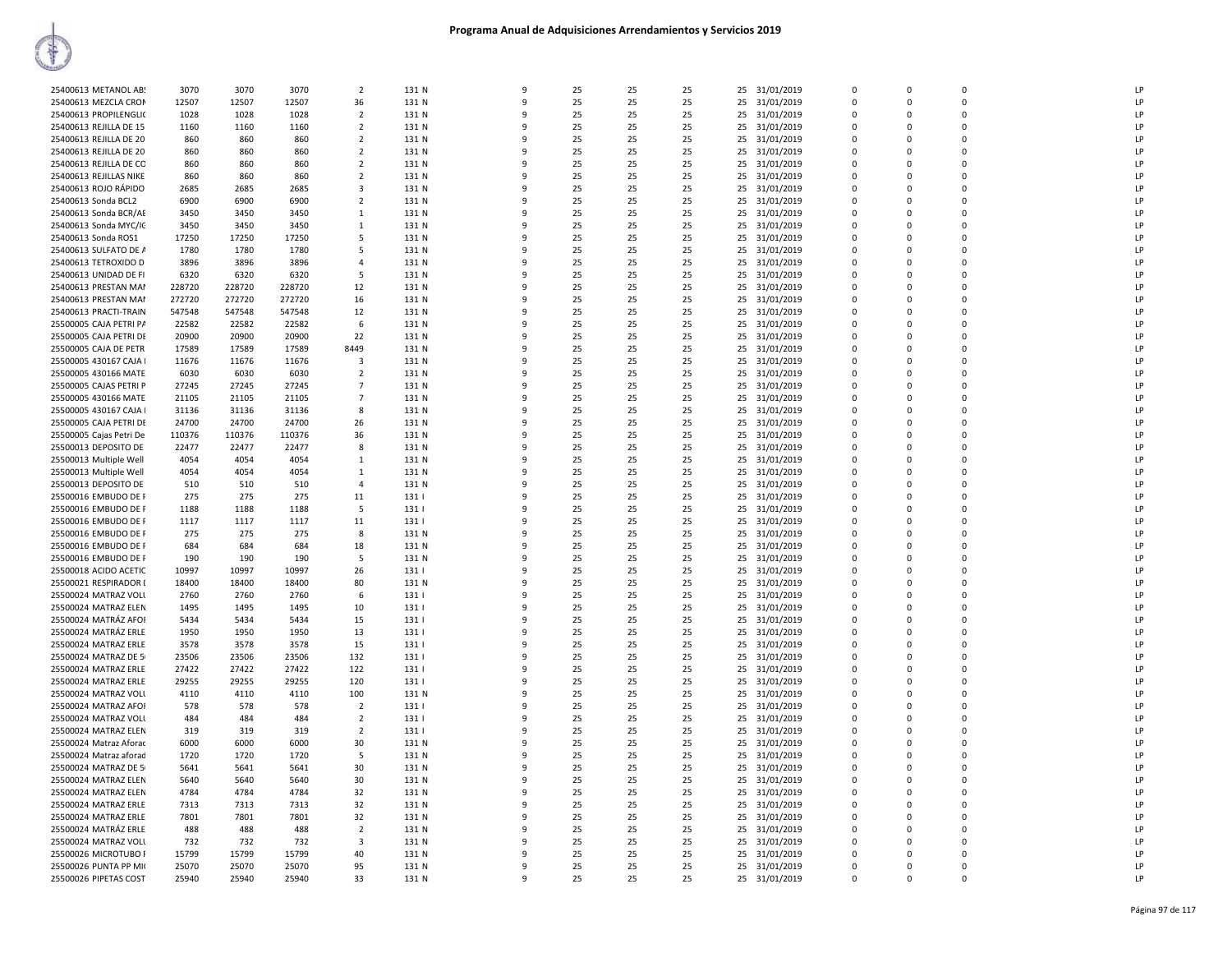| 25400613 METANOL AB:    | 3070   | 3070   | 3070   | $\overline{2}$ | 131 N | 9            | 25 | 25 | 25 |    | 25 31/01/2019 | $\Omega$    | $\Omega$    | $\Omega$ | LP           |
|-------------------------|--------|--------|--------|----------------|-------|--------------|----|----|----|----|---------------|-------------|-------------|----------|--------------|
| 25400613 MEZCLA CRON    | 12507  | 12507  | 12507  | 36             | 131 N | $\mathbf{Q}$ | 25 | 25 | 25 | 25 | 31/01/2019    | 0           | $\Omega$    | $\Omega$ | LP           |
| 25400613 PROPILENGLIO   | 1028   | 1028   | 1028   | $\overline{2}$ | 131 N |              | 25 | 25 | 25 | 25 | 31/01/2019    | $\mathbf 0$ | $\Omega$    | 0        | LP           |
| 25400613 REJILLA DE 15  | 1160   | 1160   | 1160   | $\overline{2}$ | 131 N | ۹            | 25 | 25 | 25 | 25 | 31/01/2019    | 0           | $\Omega$    | 0        | LP           |
|                         |        |        |        |                |       |              |    |    |    |    |               |             |             |          |              |
| 25400613 REJILLA DE 20  | 860    | 860    | 860    | $\overline{2}$ | 131 N | $\mathbf{q}$ | 25 | 25 | 25 | 25 | 31/01/2019    | $\Omega$    | $\Omega$    | $\Omega$ | LP           |
| 25400613 REJILLA DE 20  | 860    | 860    | 860    | $\overline{2}$ | 131 N | ۹            | 25 | 25 | 25 | 25 | 31/01/2019    | $\Omega$    | $\Omega$    | $\Omega$ | LP           |
| 25400613 REJILLA DE CO  | 860    | 860    | 860    | $\overline{2}$ | 131 N | $\mathbf{q}$ | 25 | 25 | 25 | 25 | 31/01/2019    | $\Omega$    | $\Omega$    | $\Omega$ | LP           |
| 25400613 REJILLAS NIKE  | 860    | 860    | 860    | $\overline{2}$ | 131 N | 9            | 25 | 25 | 25 | 25 | 31/01/2019    | $\Omega$    | $\Omega$    | $\Omega$ | LP           |
|                         |        |        |        |                |       |              |    |    |    |    |               |             |             |          |              |
| 25400613 ROJO RÁPIDO    | 2685   | 2685   | 2685   | 3              | 131 N |              | 25 | 25 | 25 | 25 | 31/01/2019    | $\Omega$    | $\Omega$    | $\Omega$ | LP           |
| 25400613 Sonda BCL2     | 6900   | 6900   | 6900   | $\overline{2}$ | 131 N |              | 25 | 25 | 25 | 25 | 31/01/2019    | $\Omega$    | $\Omega$    | $\Omega$ | LP           |
| 25400613 Sonda BCR/AE   | 3450   | 3450   | 3450   | 1              | 131 N |              | 25 | 25 | 25 | 25 | 31/01/2019    | $\Omega$    | $\Omega$    | 0        | LP           |
|                         |        |        |        |                |       |              |    |    |    |    |               | $\Omega$    | $\Omega$    |          | LP           |
| 25400613 Sonda MYC/IC   | 3450   | 3450   | 3450   | $\mathbf{1}$   | 131 N |              | 25 | 25 | 25 | 25 | 31/01/2019    |             |             | 0        |              |
| 25400613 Sonda ROS1     | 17250  | 17250  | 17250  | 5              | 131 N |              | 25 | 25 | 25 | 25 | 31/01/2019    | $\Omega$    | $\Omega$    | 0        | LP           |
| 25400613 SULFATO DE A   | 1780   | 1780   | 1780   | 5              | 131 N | 9            | 25 | 25 | 25 | 25 | 31/01/2019    | $\mathbf 0$ | $\Omega$    | 0        | LP           |
| 25400613 TETROXIDO D    | 3896   | 3896   | 3896   | $\overline{4}$ | 131 N | 9            | 25 | 25 | 25 | 25 | 31/01/2019    | 0           | $\Omega$    | 0        | LP           |
|                         |        |        |        |                |       |              |    |    |    |    |               |             | $\Omega$    |          |              |
| 25400613 UNIDAD DE FI   | 6320   | 6320   | 6320   | 5              | 131 N | $\mathbf{q}$ | 25 | 25 | 25 | 25 | 31/01/2019    | $\mathbf 0$ |             | 0        | LP           |
| 25400613 PRESTAN MAI    | 228720 | 228720 | 228720 | 12             | 131 N |              | 25 | 25 | 25 | 25 | 31/01/2019    | $\mathbf 0$ | $\Omega$    | 0        | LP           |
| 25400613 PRESTAN MAI    | 272720 | 272720 | 272720 | 16             | 131 N |              | 25 | 25 | 25 | 25 | 31/01/2019    | $\Omega$    | $\Omega$    | 0        | LP           |
| 25400613 PRACTI-TRAIN   | 547548 | 547548 | 547548 | 12             | 131 N |              | 25 | 25 | 25 | 25 | 31/01/2019    | $\Omega$    | $\Omega$    | $\Omega$ | LP           |
|                         |        |        |        |                |       |              |    |    |    |    |               |             |             |          |              |
| 25500005 CAJA PETRI PA  | 22582  | 22582  | 22582  | -6             | 131 N |              | 25 | 25 | 25 | 25 | 31/01/2019    | $\Omega$    | $\Omega$    | $\Omega$ | LP           |
| 25500005 CAJA PETRI DE  | 20900  | 20900  | 20900  | 22             | 131 N |              | 25 | 25 | 25 | 25 | 31/01/2019    | $\Omega$    | $\Omega$    | $\Omega$ | LP           |
| 25500005 CAJA DE PETR   | 17589  | 17589  | 17589  | 8449           | 131 N | q            | 25 | 25 | 25 | 25 | 31/01/2019    | $\Omega$    | $\Omega$    | 0        | LP           |
|                         |        |        |        |                |       |              |    |    |    |    |               |             |             |          |              |
| 25500005 430167 CAJA I  | 11676  | 11676  | 11676  | 3              | 131 N |              | 25 | 25 | 25 | 25 | 31/01/2019    | $\Omega$    | $\Omega$    | $\Omega$ | LP           |
| 25500005 430166 MATE    | 6030   | 6030   | 6030   | 2              | 131 N |              | 25 | 25 | 25 | 25 | 31/01/2019    | $\Omega$    | $\Omega$    | $\Omega$ | LP           |
| 25500005 CAJAS PETRI P  | 27245  | 27245  | 27245  | $\overline{7}$ | 131 N |              | 25 | 25 | 25 | 25 | 31/01/2019    | $\Omega$    | $\Omega$    | $\Omega$ | LP           |
| 25500005 430166 MATE    | 21105  | 21105  | 21105  | $\overline{7}$ | 131 N |              | 25 | 25 | 25 | 25 | 31/01/2019    | 0           | $\Omega$    | 0        | LP           |
|                         |        |        |        |                |       |              |    |    |    |    |               |             |             |          |              |
| 25500005 430167 CAJA I  | 31136  | 31136  | 31136  | 8              | 131 N | q            | 25 | 25 | 25 | 25 | 31/01/2019    | $\Omega$    | $\Omega$    | $\Omega$ | LP           |
| 25500005 CAJA PETRI DE  | 24700  | 24700  | 24700  | 26             | 131 N |              | 25 | 25 | 25 | 25 | 31/01/2019    | $\mathbf 0$ | $\Omega$    | 0        | LP           |
| 25500005 Cajas Petri De | 110376 | 110376 | 110376 | 36             | 131 N | 9            | 25 | 25 | 25 | 25 | 31/01/2019    | $\Omega$    | $\Omega$    | 0        | LP           |
|                         |        |        |        | 8              |       | 9            |    |    |    |    |               | 0           | $\mathbf 0$ | 0        | LP           |
| 25500013 DEPOSITO DE    | 22477  | 22477  | 22477  |                | 131 N |              | 25 | 25 | 25 | 25 | 31/01/2019    |             |             |          |              |
| 25500013 Multiple Well  | 4054   | 4054   | 4054   | 1              | 131 N |              | 25 | 25 | 25 | 25 | 31/01/2019    | $\Omega$    | $\Omega$    | $\Omega$ | LP           |
| 25500013 Multiple Well  | 4054   | 4054   | 4054   | $\mathbf{1}$   | 131 N |              | 25 | 25 | 25 | 25 | 31/01/2019    | $\Omega$    | $\Omega$    | $\Omega$ | LP           |
| 25500013 DEPOSITO DE    | 510    | 510    | 510    | $\overline{a}$ | 131 N |              | 25 | 25 | 25 | 25 | 31/01/2019    | $\Omega$    | $\Omega$    | 0        | LP           |
|                         |        |        |        |                |       |              |    |    |    |    |               |             |             |          |              |
| 25500016 EMBUDO DE F    | 275    | 275    | 275    | 11             | 131   | $\mathbf{q}$ | 25 | 25 | 25 | 25 | 31/01/2019    | $\Omega$    | $\Omega$    | $\Omega$ | LP           |
| 25500016 EMBUDO DE F    | 1188   | 1188   | 1188   | 5              | 131   |              | 25 | 25 | 25 | 25 | 31/01/2019    | $\Omega$    | $\Omega$    | $\Omega$ | LP           |
| 25500016 EMBUDO DE F    | 1117   | 1117   | 1117   | 11             | 131   | $\mathbf{q}$ | 25 | 25 | 25 | 25 | 31/01/2019    | $\Omega$    | $\Omega$    | $\Omega$ | LP           |
| 25500016 EMBUDO DE F    | 275    | 275    | 275    | 8              | 131 N | -9           | 25 | 25 | 25 | 25 | 31/01/2019    | 0           | $\Omega$    | 0        | LP           |
|                         |        |        |        |                |       |              |    |    |    |    |               |             |             |          |              |
| 25500016 EMBUDO DE F    | 684    | 684    | 684    | 18             | 131 N | q            | 25 | 25 | 25 | 25 | 31/01/2019    | $\Omega$    | $\Omega$    | $\Omega$ | LP           |
| 25500016 EMBUDO DE F    | 190    | 190    | 190    | -5             | 131 N |              | 25 | 25 | 25 | 25 | 31/01/2019    | $\mathbf 0$ | $\Omega$    | 0        | LP           |
| 25500018 ACIDO ACETIC   | 10997  | 10997  | 10997  | 26             | 131   |              | 25 | 25 | 25 | 25 | 31/01/2019    | $\Omega$    | $\Omega$    | 0        | LP           |
|                         | 18400  |        | 18400  |                | 131 N |              |    |    | 25 |    |               | 0           | $\Omega$    | 0        | LP           |
| 25500021 RESPIRADOR I   |        | 18400  |        | 80             |       |              | 25 | 25 |    | 25 | 31/01/2019    |             |             |          |              |
| 25500024 MATRAZ VOLL    | 2760   | 2760   | 2760   | 6              | 131   |              | 25 | 25 | 25 | 25 | 31/01/2019    | $\Omega$    | $\Omega$    | 0        | LP           |
| 25500024 MATRAZ ELEN    | 1495   | 1495   | 1495   | 10             | 131   | 9            | 25 | 25 | 25 | 25 | 31/01/2019    | $\mathbf 0$ | $\Omega$    | 0        | LP           |
| 25500024 MATRÁZ AFOI    | 5434   | 5434   | 5434   | 15             | 131   | q            | 25 | 25 | 25 | 25 | 31/01/2019    | 0           | 0           | 0        | LP           |
|                         |        |        |        |                |       |              |    |    |    |    |               |             | $\Omega$    |          | $\mathsf{I}$ |
| 25500024 MATRÁZ ERLE    | 1950   | 1950   | 1950   | 13             | 131   | $\mathbf{q}$ | 25 | 25 | 25 | 25 | 31/01/2019    | $\mathbf 0$ |             | 0        |              |
| 25500024 MATRAZ ERLE    | 3578   | 3578   | 3578   | 15             | 131   |              | 25 | 25 | 25 | 25 | 31/01/2019    | $\Omega$    | $\Omega$    | $\Omega$ | $\mathsf{I}$ |
| 25500024 MATRAZ DE 5    | 23506  | 23506  | 23506  | 132            | 131   |              | 25 | 25 | 25 | 25 | 31/01/2019    | $\Omega$    | $\Omega$    | $\Omega$ | $\mathsf{I}$ |
| 25500024 MATRAZ ERLE    | 27422  | 27422  | 27422  | 122            | 131   |              | 25 | 25 | 25 | 25 | 31/01/2019    | 0           | $\Omega$    | 0        | LP           |
|                         |        |        |        |                |       |              |    |    |    |    |               |             |             |          |              |
| 25500024 MATRAZ ERLE    | 29255  | 29255  | 29255  | 120            | 1311  | $\mathbf{q}$ | 25 | 25 | 25 | 25 | 31/01/2019    | $\Omega$    | $\Omega$    | $\Omega$ | LP           |
| 25500024 MATRAZ VOLI    | 4110   | 4110   | 4110   | 100            | 131 N |              | 25 | 25 | 25 | 25 | 31/01/2019    | $\Omega$    | $\Omega$    | $\Omega$ | LP           |
| 25500024 MATRAZ AFOI    | 578    | 578    | 578    | $\overline{2}$ | 131   | q            | 25 | 25 | 25 | 25 | 31/01/2019    | $\Omega$    | $\Omega$    | 0        | LP           |
|                         |        |        |        | $\overline{2}$ | 131   | 9            | 25 | 25 | 25 |    |               | $\Omega$    | $\Omega$    | $\Omega$ | LP           |
| 25500024 MATRAZ VOLL    | 484    | 484    | 484    |                |       |              |    |    |    | 25 | 31/01/2019    |             |             |          |              |
| 25500024 MATRAZ ELEN    | 319    | 319    | 319    | 2              | 131   |              | 25 | 25 | 25 | 25 | 31/01/2019    | $\Omega$    | $\Omega$    | $\Omega$ | LP           |
| 25500024 Matraz Aforac  | 6000   | 6000   | 6000   | 30             | 131 N |              | 25 | 25 | 25 | 25 | 31/01/2019    | $\Omega$    | $\Omega$    | 0        | LP           |
| 25500024 Matraz aforad  | 1720   | 1720   | 1720   | 5              | 131 N |              | 25 | 25 | 25 | 25 | 31/01/2019    | 0           | $\Omega$    | 0        | LP           |
|                         |        |        |        |                |       |              |    |    |    |    |               |             |             |          |              |
| 25500024 MATRAZ DE 5    | 5641   | 5641   | 5641   | 30             | 131 N | 9            | 25 | 25 | 25 | 25 | 31/01/2019    | $\Omega$    | $\Omega$    | 0        | LP           |
| 25500024 MATRAZ ELEN    | 5640   | 5640   | 5640   | 30             | 131 N | $\mathbf{Q}$ | 25 | 25 | 25 | 25 | 31/01/2019    | 0           | $\Omega$    | 0        | $\mathsf{I}$ |
| 25500024 MATRAZ ELEN    | 4784   | 4784   | 4784   | 32             | 131 N | 9            | 25 | 25 | 25 | 25 | 31/01/2019    | $\Omega$    | $\Omega$    | 0        | LP           |
| 25500024 MATRAZ ERLE    | 7313   | 7313   | 7313   | 32             | 131 N | 9            | 25 | 25 | 25 | 25 | 31/01/2019    | 0           | $\mathbf 0$ | 0        | LP           |
|                         |        |        |        |                |       |              |    |    |    |    |               |             |             |          |              |
| 25500024 MATRAZ ERLE    | 7801   | 7801   | 7801   | 32             | 131 N | ۹            | 25 | 25 | 25 | 25 | 31/01/2019    | $\Omega$    | $\Omega$    | $\Omega$ | LP           |
| 25500024 MATRÁZ ERLE    | 488    | 488    | 488    | $\overline{2}$ | 131 N |              | 25 | 25 | 25 | 25 | 31/01/2019    | $\Omega$    | $\Omega$    | $\Omega$ | LP           |
| 25500024 MATRAZ VOLL    | 732    | 732    | 732    | 3              | 131 N |              | 25 | 25 | 25 | 25 | 31/01/2019    | $\Omega$    | $\Omega$    | $\Omega$ | $\mathsf{I}$ |
| 25500026 MICROTUBO F    | 15799  | 15799  | 15799  | 40             | 131 N |              | 25 | 25 | 25 | 25 | 31/01/2019    | $\Omega$    | $\Omega$    | $\Omega$ | LP           |
|                         |        |        |        |                |       |              |    |    |    |    |               |             |             |          |              |
| 25500026 PUNTA PP MI    | 25070  | 25070  | 25070  | 95             | 131 N |              | 25 | 25 | 25 | 25 | 31/01/2019    | $\Omega$    | $\Omega$    | $\Omega$ | LP           |
| 25500026 PIPETAS COST   | 25940  | 25940  | 25940  | 33             | 131 N | 9            | 25 | 25 | 25 |    | 25 31/01/2019 | $\Omega$    | $\Omega$    | $\Omega$ | LP           |
|                         |        |        |        |                |       |              |    |    |    |    |               |             |             |          |              |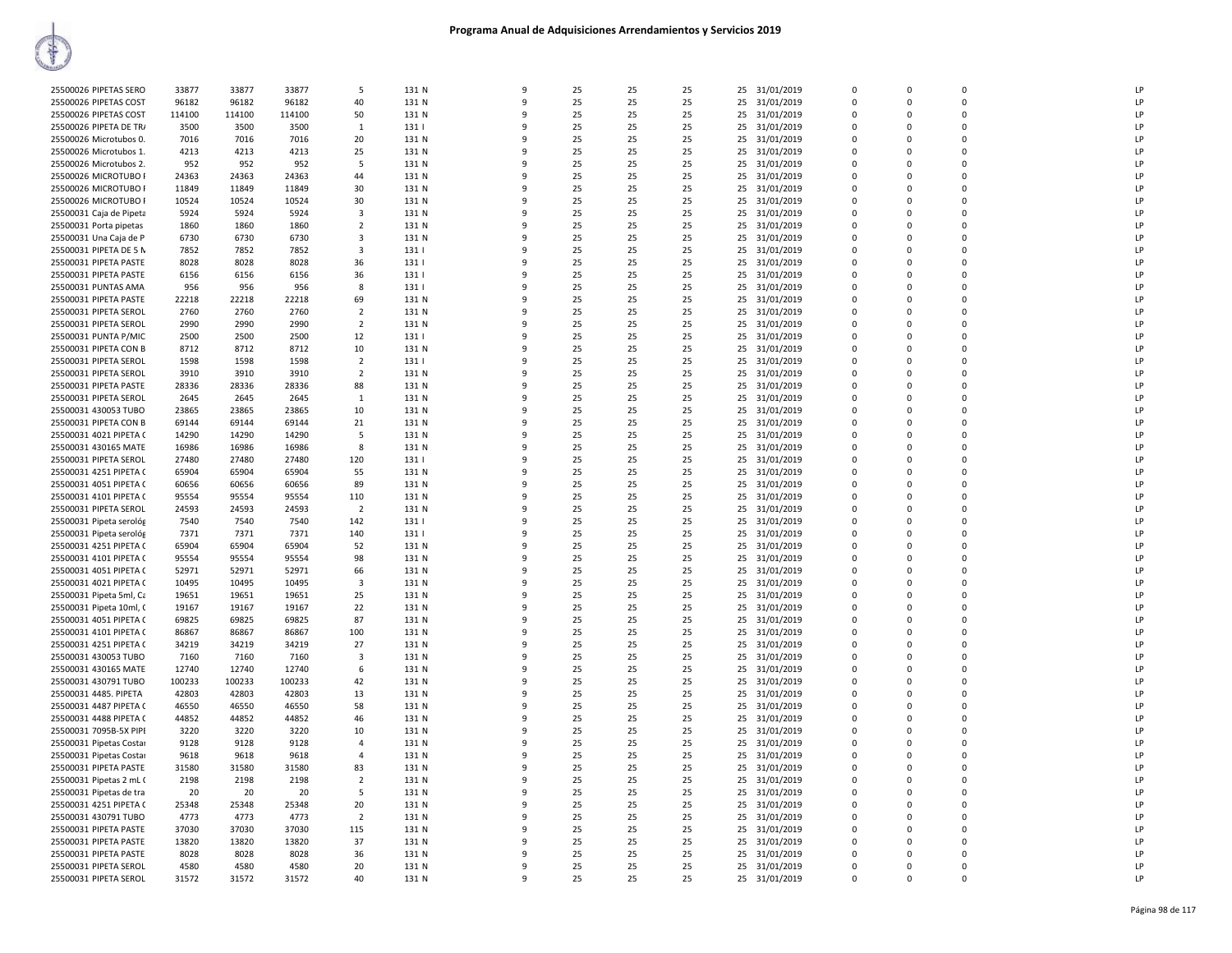| 25500026 PIPETAS SERO   | 33877  | 33877  | 33877  | -5             | 131 N | 9            | 25 | 25 | 25 | 25 | 31/01/2019    | $\mathbf 0$ | $\mathbf 0$ | $\mathbf 0$    | LP |
|-------------------------|--------|--------|--------|----------------|-------|--------------|----|----|----|----|---------------|-------------|-------------|----------------|----|
| 25500026 PIPETAS COST   | 96182  | 96182  | 96182  | 40             | 131 N | $\mathbf{q}$ | 25 | 25 | 25 | 25 | 31/01/2019    | $\Omega$    | $\Omega$    | $\Omega$       | LP |
| 25500026 PIPETAS COST   | 114100 | 114100 | 114100 | 50             | 131 N | 9            | 25 | 25 | 25 | 25 | 31/01/2019    | $\Omega$    | $\Omega$    | $\Omega$       | LP |
| 25500026 PIPETA DE TR/  | 3500   | 3500   | 3500   | 1              | 131   | 9            | 25 | 25 | 25 | 25 | 31/01/2019    | $\Omega$    | 0           | $\mathbf 0$    | LP |
|                         |        |        |        |                |       |              |    |    |    |    |               |             |             |                |    |
| 25500026 Microtubos 0.  | 7016   | 7016   | 7016   | 20             | 131 N | 9            | 25 | 25 | 25 |    | 25 31/01/2019 | $\Omega$    | $\Omega$    | $\mathbf 0$    | LP |
| 25500026 Microtubos 1.  | 4213   | 4213   | 4213   | 25             | 131 N | q            | 25 | 25 | 25 | 25 | 31/01/2019    | $\Omega$    | 0           | $\Omega$       | LP |
| 25500026 Microtubos 2.  | 952    | 952    | 952    | .5             | 131 N | q            | 25 | 25 | 25 |    | 25 31/01/2019 | $\Omega$    | $\Omega$    | $\Omega$       | LP |
| 25500026 MICROTUBO F    | 24363  | 24363  | 24363  | 44             | 131 N | 9            | 25 | 25 | 25 | 25 | 31/01/2019    | $\Omega$    | $\Omega$    | $\Omega$       | LP |
|                         |        |        |        |                |       |              |    |    |    |    |               |             |             |                |    |
| 25500026 MICROTUBO F    | 11849  | 11849  | 11849  | 30             | 131 N | q            | 25 | 25 | 25 | 25 | 31/01/2019    | $\Omega$    | $\Omega$    | $\Omega$       | LP |
| 25500026 MICROTUBO F    | 10524  | 10524  | 10524  | 30             | 131 N | 9            | 25 | 25 | 25 | 25 | 31/01/2019    | 0           | $\Omega$    | $\Omega$       | LP |
| 25500031 Caja de Pipeta | 5924   | 5924   | 5924   | 3              | 131 N | 9            | 25 | 25 | 25 | 25 | 31/01/2019    | $\mathbf 0$ | 0           | $\mathbf 0$    | LP |
|                         |        |        |        |                |       | q            |    |    |    |    |               |             |             |                |    |
| 25500031 Porta pipetas  | 1860   | 1860   | 1860   | $\overline{2}$ | 131 N |              | 25 | 25 | 25 |    | 25 31/01/2019 | $\Omega$    | 0           | $\mathbf 0$    | LP |
| 25500031 Una Caja de P  | 6730   | 6730   | 6730   | 3              | 131 N | q            | 25 | 25 | 25 | 25 | 31/01/2019    | $\Omega$    | $\Omega$    | $\Omega$       | LP |
| 25500031 PIPETA DE 5 N  | 7852   | 7852   | 7852   | $\mathbf{3}$   | 131   | 9            | 25 | 25 | 25 | 25 | 31/01/2019    | $\Omega$    | $\Omega$    | $\Omega$       | LP |
| 25500031 PIPETA PASTE   | 8028   | 8028   | 8028   | 36             | 131   | 9            | 25 | 25 | 25 | 25 | 31/01/2019    | 0           | 0           | $\mathbf 0$    | LP |
|                         |        |        |        |                |       |              |    |    |    |    |               |             |             |                |    |
| 25500031 PIPETA PASTE   | 6156   | 6156   | 6156   | 36             | 1311  | 9            | 25 | 25 | 25 | 25 | 31/01/2019    | $\Omega$    | $\Omega$    | $\Omega$       | LP |
| 25500031 PUNTAS AMA     | 956    | 956    | 956    | 8              | 131   | 9            | 25 | 25 | 25 | 25 | 31/01/2019    | $\Omega$    | $\mathbf 0$ | $\Omega$       | LP |
| 25500031 PIPETA PASTE   | 22218  | 22218  | 22218  | 69             | 131 N | q            | 25 | 25 | 25 | 25 | 31/01/2019    | $\mathbf 0$ | 0           | $\mathbf 0$    | LP |
|                         | 2760   | 2760   | 2760   | $\overline{2}$ | 131 N | q            | 25 | 25 | 25 |    |               | $\Omega$    | $\Omega$    | $\Omega$       | LP |
| 25500031 PIPETA SEROL   |        |        |        |                |       |              |    |    |    | 25 | 31/01/2019    |             |             |                |    |
| 25500031 PIPETA SEROL   | 2990   | 2990   | 2990   | $\overline{2}$ | 131 N | q            | 25 | 25 | 25 | 25 | 31/01/2019    | 0           | $\Omega$    | $\Omega$       | LP |
| 25500031 PUNTA P/MIC    | 2500   | 2500   | 2500   | 12             | 131   | 9            | 25 | 25 | 25 | 25 | 31/01/2019    | $\Omega$    | $\Omega$    | $\Omega$       | LP |
| 25500031 PIPETA CON B   | 8712   | 8712   | 8712   | 10             | 131 N | 9            | 25 | 25 | 25 | 25 | 31/01/2019    | $\mathbf 0$ | $\mathbf 0$ | $\mathbf 0$    | LP |
|                         |        |        |        |                |       |              |    |    |    |    |               |             |             |                |    |
| 25500031 PIPETA SEROL   | 1598   | 1598   | 1598   | $\overline{2}$ | 131   | q            | 25 | 25 | 25 | 25 | 31/01/2019    | $\Omega$    | $\mathbf 0$ | $\Omega$       | LP |
| 25500031 PIPETA SEROL   | 3910   | 3910   | 3910   | $\overline{2}$ | 131 N | 9            | 25 | 25 | 25 | 25 | 31/01/2019    | $\Omega$    | $\Omega$    | $\Omega$       | LP |
| 25500031 PIPETA PASTE   | 28336  | 28336  | 28336  | 88             | 131 N | 9            | 25 | 25 | 25 | 25 | 31/01/2019    | $\mathbf 0$ | 0           | $\Omega$       | LP |
|                         |        |        | 2645   |                | 131 N | q            | 25 | 25 | 25 |    |               |             |             | $\Omega$       | LP |
| 25500031 PIPETA SEROL   | 2645   | 2645   |        | $\overline{1}$ |       |              |    |    |    | 25 | 31/01/2019    | $\Omega$    | $\Omega$    |                |    |
| 25500031 430053 TUBO    | 23865  | 23865  | 23865  | 10             | 131 N | 9            | 25 | 25 | 25 | 25 | 31/01/2019    | 0           | $\mathbf 0$ | $\Omega$       | LP |
| 25500031 PIPETA CON B   | 69144  | 69144  | 69144  | 21             | 131 N | 9            | 25 | 25 | 25 | 25 | 31/01/2019    | $\Omega$    | $\Omega$    | $\mathbf 0$    | LP |
| 25500031 4021 PIPETA (  | 14290  | 14290  | 14290  | -5             | 131 N | 9            | 25 | 25 | 25 | 25 | 31/01/2019    | $\mathbf 0$ | 0           | $\mathbf 0$    | LP |
|                         |        |        |        |                |       |              |    |    |    |    |               |             |             |                |    |
| 25500031 430165 MATE    | 16986  | 16986  | 16986  | 8              | 131 N | q            | 25 | 25 | 25 | 25 | 31/01/2019    | $\Omega$    | $\Omega$    | $\Omega$       | LP |
| 25500031 PIPETA SEROL   | 27480  | 27480  | 27480  | 120            | 131   | ٩            | 25 | 25 | 25 | 25 | 31/01/2019    | $\Omega$    | $\Omega$    | $\Omega$       | LP |
| 25500031 4251 PIPETA (  | 65904  | 65904  | 65904  | 55             | 131 N | 9            | 25 | 25 | 25 | 25 | 31/01/2019    | $\Omega$    | 0           | $\overline{0}$ | LP |
| 25500031 4051 PIPETA (  | 60656  | 60656  | 60656  | 89             | 131 N | q            | 25 | 25 | 25 |    | 25 31/01/2019 | $\Omega$    | $\Omega$    | $\Omega$       | LP |
|                         |        |        |        |                |       |              |    |    |    |    |               |             |             |                |    |
| 25500031 4101 PIPETA (  | 95554  | 95554  | 95554  | 110            | 131 N | 9            | 25 | 25 | 25 | 25 | 31/01/2019    | 0           | 0           | $\mathbf 0$    | LP |
| 25500031 PIPETA SEROL   | 24593  | 24593  | 24593  | $\overline{2}$ | 131 N | q            | 25 | 25 | 25 | 25 | 31/01/2019    | $\Omega$    | $\Omega$    | $\Omega$       | LP |
| 25500031 Pipeta serológ | 7540   | 7540   | 7540   | 142            | 131   | 9            | 25 | 25 | 25 | 25 | 31/01/2019    | $\Omega$    | $\Omega$    | $\Omega$       | LP |
|                         | 7371   | 7371   | 7371   |                |       | q            | 25 | 25 | 25 |    |               | $\Omega$    | 0           | $\Omega$       | LP |
| 25500031 Pipeta serológ |        |        |        | 140            | 131   |              |    |    |    | 25 | 31/01/2019    |             |             |                |    |
| 25500031 4251 PIPETA (  | 65904  | 65904  | 65904  | 52             | 131 N | 9            | 25 | 25 | 25 | 25 | 31/01/2019    | 0           | $\Omega$    | $\Omega$       | LP |
| 25500031 4101 PIPETA (  | 95554  | 95554  | 95554  | 98             | 131 N | 9            | 25 | 25 | 25 | 25 | 31/01/2019    | $\mathbf 0$ | 0           | $\mathbf 0$    | LP |
| 25500031 4051 PIPETA (  | 52971  | 52971  | 52971  | 66             | 131 N | q            | 25 | 25 | 25 | 25 | 31/01/2019    | 0           | 0           | $\mathbf 0$    | LP |
|                         |        |        |        |                |       | q            |    |    |    |    |               |             |             | $\mathsf 0$    | LP |
| 25500031 4021 PIPETA (  | 10495  | 10495  | 10495  | 3              | 131 N |              | 25 | 25 | 25 | 25 | 31/01/2019    | $\Omega$    | $\Omega$    |                |    |
| 25500031 Pipeta 5ml, Ca | 19651  | 19651  | 19651  | 25             | 131 N | 9            | 25 | 25 | 25 | 25 | 31/01/2019    | $\Omega$    | $\Omega$    | $\mathbf 0$    | LP |
| 25500031 Pipeta 10ml, C | 19167  | 19167  | 19167  | 22             | 131 N | 9            | 25 | 25 | 25 | 25 | 31/01/2019    | $\Omega$    | 0           | $\Omega$       | LP |
| 25500031 4051 PIPETA (  | 69825  | 69825  | 69825  | 87             | 131 N | q            | 25 | 25 | 25 | 25 | 31/01/2019    | $\Omega$    | 0           | $\Omega$       | LP |
|                         |        |        |        |                |       |              |    |    |    |    |               |             |             |                |    |
| 25500031 4101 PIPETA (  | 86867  | 86867  | 86867  | 100            | 131 N | 9            | 25 | 25 | 25 | 25 | 31/01/2019    | $\Omega$    | $\mathbf 0$ | $\mathbf 0$    | LP |
| 25500031 4251 PIPETA (  | 34219  | 34219  | 34219  | 27             | 131 N | q            | 25 | 25 | 25 | 25 | 31/01/2019    | $\Omega$    | $\Omega$    | $\Omega$       | LP |
| 25500031 430053 TUBO    | 7160   | 7160   | 7160   | $\mathbf{3}$   | 131 N | q            | 25 | 25 | 25 | 25 | 31/01/2019    | $\Omega$    | $\Omega$    | $\Omega$       | LP |
| 25500031 430165 MATE    | 12740  | 12740  | 12740  | 6              | 131 N | 9            | 25 | 25 | 25 | 25 | 31/01/2019    | 0           | $\Omega$    | $\Omega$       | LP |
|                         |        |        |        |                |       |              |    |    |    |    |               |             |             |                |    |
| 25500031 430791 TUBO    | 100233 | 100233 | 100233 | 42             | 131 N | 9            | 25 | 25 | 25 | 25 | 31/01/2019    | $\Omega$    | $\Omega$    | $\mathbf 0$    | LP |
| 25500031 4485. PIPETA   | 42803  | 42803  | 42803  | 13             | 131 N | 9            | 25 | 25 | 25 | 25 | 31/01/2019    | $\mathbf 0$ | $\mathbf 0$ | $\Omega$       | LP |
| 25500031 4487 PIPETA (  | 46550  | 46550  | 46550  | 58             | 131 N | q            | 25 | 25 | 25 | 25 | 31/01/2019    | $\Omega$    | 0           | $\Omega$       | LP |
| 25500031 4488 PIPETA (  | 44852  | 44852  | 44852  | 46             | 131 N | q            | 25 | 25 | 25 | 25 | 31/01/2019    | $\Omega$    | $\Omega$    | $\Omega$       | LP |
|                         |        |        |        |                |       |              |    |    |    |    |               |             |             |                |    |
| 25500031 7095B-5X PIPI  | 3220   | 3220   | 3220   | 10             | 131 N | 9            | 25 | 25 | 25 | 25 | 31/01/2019    | 0           | 0           | $\Omega$       | LP |
| 25500031 Pipetas Costar | 9128   | 9128   | 9128   | $\overline{4}$ | 131 N | 9            | 25 | 25 | 25 |    | 25 31/01/2019 | $\Omega$    | $\Omega$    | $\Omega$       | LP |
| 25500031 Pipetas Costar | 9618   | 9618   | 9618   | $\overline{4}$ | 131 N | 9            | 25 | 25 | 25 | 25 | 31/01/2019    | 0           | $\mathbf 0$ | $\Omega$       | LP |
|                         |        |        |        |                |       |              |    |    |    |    |               |             |             |                |    |
| 25500031 PIPETA PASTE   | 31580  | 31580  | 31580  | 83             | 131 N | 9            | 25 | 25 | 25 | 25 | 31/01/2019    | $\Omega$    | 0           | $\mathbf 0$    | LP |
| 25500031 Pipetas 2 mL ( | 2198   | 2198   | 2198   | $\overline{2}$ | 131 N | 9            | 25 | 25 | 25 | 25 | 31/01/2019    | $\Omega$    | $\Omega$    | $\Omega$       | LP |
| 25500031 Pipetas de tra | 20     | 20     | 20     | 5              | 131 N | q            | 25 | 25 | 25 | 25 | 31/01/2019    | $\Omega$    | $\Omega$    | $\Omega$       | LP |
| 25500031 4251 PIPETA (  | 25348  | 25348  | 25348  | 20             | 131 N | q            | 25 | 25 | 25 | 25 |               | $\Omega$    | $\Omega$    | $\Omega$       | LP |
|                         |        |        |        |                |       |              |    |    |    |    | 31/01/2019    |             |             |                |    |
| 25500031 430791 TUBO    | 4773   | 4773   | 4773   | $\overline{2}$ | 131 N | 9            | 25 | 25 | 25 | 25 | 31/01/2019    | 0           | 0           | $\mathbf 0$    | LP |
| 25500031 PIPETA PASTE   | 37030  | 37030  | 37030  | 115            | 131 N | q            | 25 | 25 | 25 |    | 25 31/01/2019 | $\Omega$    | $\Omega$    | $\Omega$       | LP |
| 25500031 PIPETA PASTE   | 13820  | 13820  | 13820  | 37             | 131 N | q            | 25 | 25 | 25 | 25 | 31/01/2019    | 0           | 0           | $\mathbf 0$    | LP |
| 25500031 PIPETA PASTE   | 8028   | 8028   | 8028   | 36             | 131 N | q            | 25 | 25 | 25 | 25 | 31/01/2019    | $\Omega$    | $\Omega$    | $\Omega$       | LP |
|                         |        |        |        |                |       |              |    |    |    |    |               |             |             |                |    |
| 25500031 PIPETA SEROL   | 4580   | 4580   | 4580   | 20             | 131 N | 9            | 25 | 25 | 25 | 25 | 31/01/2019    | $\Omega$    | $\Omega$    | $\Omega$       | LP |
| 25500031 PIPETA SEROL   | 31572  | 31572  | 31572  | 40             | 131 N | $\mathsf{q}$ | 25 | 25 | 25 |    | 25 31/01/2019 | $\Omega$    | $\Omega$    | $\Omega$       | LP |
|                         |        |        |        |                |       |              |    |    |    |    |               |             |             |                |    |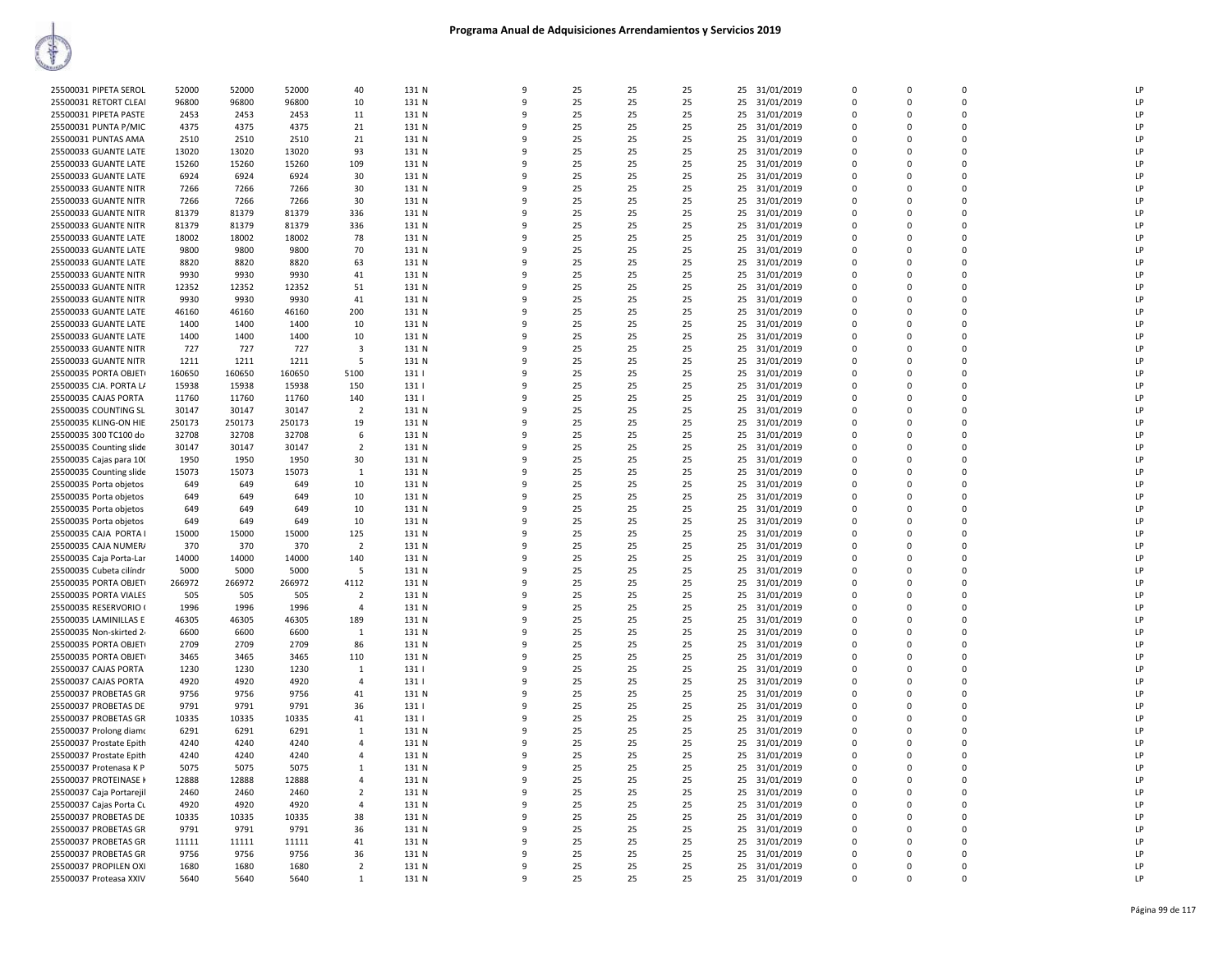| 25500031 PIPETA SEROL    | 52000  | 52000  | 52000  | 40                      | 131 N | $\mathbf{q}$ | 25 | 25 | 25 | 25 | 31/01/2019    | $\Omega$    | $\Omega$    | $\Omega$    | LP |  |
|--------------------------|--------|--------|--------|-------------------------|-------|--------------|----|----|----|----|---------------|-------------|-------------|-------------|----|--|
| 25500031 RETORT CLEAI    | 96800  | 96800  | 96800  | 10                      | 131 N | 9            | 25 | 25 | 25 | 25 | 31/01/2019    | $\Omega$    | $\Omega$    | $\Omega$    | LP |  |
| 25500031 PIPETA PASTE    | 2453   | 2453   | 2453   | 11                      | 131 N | q            | 25 | 25 | 25 | 25 | 31/01/2019    | $\Omega$    | $\Omega$    | $\Omega$    | LP |  |
|                          |        |        |        |                         |       | 9            |    |    |    |    |               |             | $\Omega$    | $\Omega$    | LP |  |
| 25500031 PUNTA P/MIC     | 4375   | 4375   | 4375   | 21                      | 131 N |              | 25 | 25 | 25 |    | 25 31/01/2019 | $\mathbf 0$ |             |             |    |  |
| 25500031 PUNTAS AMA      | 2510   | 2510   | 2510   | 21                      | 131 N | q            | 25 | 25 | 25 | 25 | 31/01/2019    | $\mathbf 0$ | $\Omega$    | $\mathbf 0$ | LP |  |
| 25500033 GUANTE LATE     | 13020  | 13020  | 13020  | 93                      | 131 N | 9            | 25 | 25 | 25 |    | 25 31/01/2019 | $\mathbf 0$ | $\Omega$    | $\mathbf 0$ | LP |  |
| 25500033 GUANTE LATE     | 15260  | 15260  | 15260  | 109                     | 131 N | q            | 25 | 25 | 25 |    | 25 31/01/2019 | $\mathbf 0$ | $\Omega$    | $\mathbf 0$ | LP |  |
| 25500033 GUANTE LATE     | 6924   | 6924   | 6924   | 30                      | 131 N | $\mathbf{q}$ | 25 | 25 | 25 | 25 | 31/01/2019    | $\Omega$    | $\Omega$    | $\Omega$    | LP |  |
| 25500033 GUANTE NITR     | 7266   | 7266   | 7266   | 30                      | 131 N | 9            | 25 | 25 | 25 | 25 | 31/01/2019    | $\Omega$    | $\Omega$    | $\Omega$    | LP |  |
| 25500033 GUANTE NITR     | 7266   | 7266   | 7266   | 30                      | 131 N | q            | 25 | 25 | 25 | 25 | 31/01/2019    | $\Omega$    | $\Omega$    | $\Omega$    | LP |  |
| 25500033 GUANTE NITR     | 81379  | 81379  | 81379  | 336                     | 131 N | 9            | 25 | 25 | 25 | 25 | 31/01/2019    | $\Omega$    | $\Omega$    | $\Omega$    | LP |  |
| 25500033 GUANTE NITR     | 81379  | 81379  | 81379  | 336                     | 131 N | ٩            | 25 | 25 | 25 | 25 | 31/01/2019    | 0           | $\Omega$    | $\mathbf 0$ | LP |  |
| 25500033 GUANTE LATE     | 18002  | 18002  | 18002  | 78                      | 131 N | 9            | 25 | 25 | 25 | 25 | 31/01/2019    | $\mathbf 0$ | $\Omega$    | $\mathbf 0$ | LP |  |
|                          |        |        |        |                         |       | q            |    |    |    |    |               | $\Omega$    | $\Omega$    | $\mathbf 0$ | LP |  |
| 25500033 GUANTE LATE     | 9800   | 9800   | 9800   | 70                      | 131 N |              | 25 | 25 | 25 | 25 | 31/01/2019    |             |             |             |    |  |
| 25500033 GUANTE LATE     | 8820   | 8820   | 8820   | 63                      | 131 N | q            | 25 | 25 | 25 |    | 25 31/01/2019 | $\Omega$    | $\Omega$    | $\Omega$    | LP |  |
| 25500033 GUANTE NITR     | 9930   | 9930   | 9930   | 41                      | 131 N | 9            | 25 | 25 | 25 | 25 | 31/01/2019    | $\mathbf 0$ | $\Omega$    | $\mathbf 0$ | LP |  |
| 25500033 GUANTE NITR     | 12352  | 12352  | 12352  | 51                      | 131 N | $\mathbf{q}$ | 25 | 25 | 25 | 25 | 31/01/2019    | $\Omega$    | $\Omega$    | $\Omega$    | LP |  |
| 25500033 GUANTE NITR     | 9930   | 9930   | 9930   | 41                      | 131 N | q            | 25 | 25 | 25 | 25 | 31/01/2019    | $\Omega$    | $\Omega$    | $\Omega$    | LP |  |
| 25500033 GUANTE LATE     | 46160  | 46160  | 46160  | 200                     | 131 N | ٩            | 25 | 25 | 25 | 25 | 31/01/2019    | 0           | n           | $\mathbf 0$ | LP |  |
| 25500033 GUANTE LATE     | 1400   | 1400   | 1400   | 10                      | 131 N | 9            | 25 | 25 | 25 | 25 | 31/01/2019    | $\mathbf 0$ | $\Omega$    | $\mathbf 0$ | LP |  |
| 25500033 GUANTE LATE     | 1400   | 1400   | 1400   | 10                      | 131 N | q            | 25 | 25 | 25 | 25 | 31/01/2019    | $\Omega$    | $\Omega$    | $\mathbf 0$ | LP |  |
| 25500033 GUANTE NITR     | 727    | 727    | 727    | $\overline{\mathbf{3}}$ | 131 N | 9            | 25 | 25 | 25 |    | 25 31/01/2019 | $\mathbf 0$ | $\Omega$    | $\mathbf 0$ | LP |  |
| 25500033 GUANTE NITR     | 1211   | 1211   | 1211   | -5                      | 131 N | 9            | 25 | 25 | 25 | 25 | 31/01/2019    | $\Omega$    | $\Omega$    | $\mathsf 0$ | LP |  |
| 25500035 PORTA OBJET     | 160650 | 160650 | 160650 | 5100                    | 131   | q            | 25 | 25 | 25 | 25 | 31/01/2019    | $\Omega$    | $\Omega$    | $\Omega$    | LP |  |
|                          |        |        |        |                         |       |              |    |    |    |    |               |             |             |             |    |  |
| 25500035 CJA. PORTA L/   | 15938  | 15938  | 15938  | 150                     | 1311  | q            | 25 | 25 | 25 | 25 | 31/01/2019    | $\Omega$    | $\Omega$    | $\Omega$    | LP |  |
| 25500035 CAJAS PORTA     | 11760  | 11760  | 11760  | 140                     | 131   | q            | 25 | 25 | 25 | 25 | 31/01/2019    | $\Omega$    | $\Omega$    | $\mathbf 0$ | IP |  |
| 25500035 COUNTING SL     | 30147  | 30147  | 30147  | $\overline{2}$          | 131 N | 9            | 25 | 25 | 25 | 25 | 31/01/2019    | $\Omega$    | $\Omega$    | $\Omega$    | LP |  |
| 25500035 KLING-ON HIE    | 250173 | 250173 | 250173 | 19                      | 131 N | $\mathbf{q}$ | 25 | 25 | 25 | 25 | 31/01/2019    | $\Omega$    | $\Omega$    | $\Omega$    | LP |  |
| 25500035 300 TC100 do    | 32708  | 32708  | 32708  | 6                       | 131 N | 9            | 25 | 25 | 25 |    | 25 31/01/2019 | $\mathbf 0$ | $\Omega$    | $\mathbf 0$ | LP |  |
| 25500035 Counting slide  | 30147  | 30147  | 30147  | $\overline{2}$          | 131 N | q            | 25 | 25 | 25 | 25 | 31/01/2019    | $\mathbf 0$ | $\mathbf 0$ | $\mathbf 0$ | LP |  |
| 25500035 Cajas para 100  | 1950   | 1950   | 1950   | 30                      | 131 N | $\mathbf{q}$ | 25 | 25 | 25 | 25 | 31/01/2019    | $\Omega$    | $\Omega$    | $\Omega$    | LP |  |
| 25500035 Counting slide  | 15073  | 15073  | 15073  | 1                       | 131 N | q            | 25 | 25 | 25 |    | 25 31/01/2019 | $\Omega$    | $\Omega$    | $\Omega$    | LP |  |
| 25500035 Porta objetos   | 649    | 649    | 649    | 10                      | 131 N | q            | 25 | 25 | 25 | 25 | 31/01/2019    | $\Omega$    | $\Omega$    | $\Omega$    | LP |  |
| 25500035 Porta objetos   | 649    | 649    | 649    | 10                      | 131 N | 9            | 25 | 25 | 25 | 25 | 31/01/2019    | $\Omega$    | $\Omega$    | $\Omega$    | LP |  |
|                          |        |        |        |                         |       | q            | 25 | 25 |    |    |               | $\Omega$    | $\Omega$    | $\Omega$    | LP |  |
| 25500035 Porta objetos   | 649    | 649    | 649    | 10                      | 131 N |              |    |    | 25 | 25 | 31/01/2019    |             |             |             |    |  |
| 25500035 Porta objetos   | 649    | 649    | 649    | 10                      | 131 N | 9            | 25 | 25 | 25 | 25 | 31/01/2019    | $\mathbf 0$ | $\Omega$    | $\mathbf 0$ | LP |  |
| 25500035 CAJA PORTA I    | 15000  | 15000  | 15000  | 125                     | 131 N | 9            | 25 | 25 | 25 | 25 | 31/01/2019    | $\mathbf 0$ | $\Omega$    | $\mathbf 0$ | LP |  |
| 25500035 CAJA NUMER/     | 370    | 370    | 370    | $\overline{2}$          | 131 N | q            | 25 | 25 | 25 | 25 | 31/01/2019    | $\mathbf 0$ | $\Omega$    | $\mathbf 0$ | LP |  |
| 25500035 Caja Porta-Lar  | 14000  | 14000  | 14000  | 140                     | 131 N | q            | 25 | 25 | 25 | 25 | 31/01/2019    | $\Omega$    | $\Omega$    | $\Omega$    | LP |  |
| 25500035 Cubeta cilíndr  | 5000   | 5000   | 5000   | -5                      | 131 N | q            | 25 | 25 | 25 |    | 25 31/01/2019 | $\Omega$    | $\Omega$    | $\Omega$    | LP |  |
| 25500035 PORTA OBJET     | 266972 | 266972 | 266972 | 4112                    | 131 N | ٩            | 25 | 25 | 25 | 25 | 31/01/2019    | $\Omega$    | n           | 0           | LP |  |
| 25500035 PORTA VIALES    | 505    | 505    | 505    | $\overline{2}$          | 131 N | q            | 25 | 25 | 25 |    | 25 31/01/2019 | $\Omega$    | $\Omega$    | $\Omega$    | LP |  |
| 25500035 RESERVORIO (    | 1996   | 1996   | 1996   | $\overline{a}$          | 131 N | q            | 25 | 25 | 25 | 25 | 31/01/2019    | $\Omega$    | $\Omega$    | $\Omega$    | LP |  |
| 25500035 LAMINILLAS E    | 46305  | 46305  | 46305  | 189                     | 131 N | 9            | 25 | 25 | 25 | 25 | 31/01/2019    | 0           | $\Omega$    | $\mathbf 0$ | LP |  |
| 25500035 Non-skirted 2   | 6600   | 6600   | 6600   | 1                       | 131 N | 9            | 25 | 25 | 25 | 25 | 31/01/2019    | $\mathbf 0$ | $\Omega$    | $\mathbf 0$ | LP |  |
| 25500035 PORTA OBJET     | 2709   | 2709   | 2709   | 86                      | 131 N | q            | 25 | 25 | 25 | 25 | 31/01/2019    | $\Omega$    | $\Omega$    | $\mathbf 0$ | LP |  |
| 25500035 PORTA OBJET     | 3465   | 3465   | 3465   | 110                     | 131 N | q            | 25 | 25 | 25 | 25 |               | $\Omega$    | $\Omega$    | $\Omega$    | IP |  |
|                          |        |        |        |                         |       |              |    |    |    |    | 31/01/2019    |             |             |             |    |  |
| 25500037 CAJAS PORTA     | 1230   | 1230   | 1230   | 1                       | 131   | ٩            | 25 | 25 | 25 | 25 | 31/01/2019    | $\Omega$    | n           | 0           | LP |  |
| 25500037 CAJAS PORTA     | 4920   | 4920   | 4920   | $\overline{4}$          | 131   | q            | 25 | 25 | 25 |    | 25 31/01/2019 | $\mathbf 0$ | $\Omega$    | $\Omega$    | LP |  |
| 25500037 PROBETAS GR     | 9756   | 9756   | 9756   | 41                      | 131 N | q            | 25 | 25 | 25 |    | 25 31/01/2019 | $\Omega$    | $\Omega$    | $\Omega$    | LP |  |
| 25500037 PROBETAS DE     | 9791   | 9791   | 9791   | 36                      | 131   | 9            | 25 | 25 | 25 | 25 | 31/01/2019    | $\mathbf 0$ | $\Omega$    | $\mathbf 0$ | LP |  |
| 25500037 PROBETAS GR     | 10335  | 10335  | 10335  | 41                      | 131   | 9            | 25 | 25 | 25 | 25 | 31/01/2019    | $\mathbf 0$ | $\Omega$    | $\Omega$    | LP |  |
| 25500037 Prolong diamo   | 6291   | 6291   | 6291   | 1                       | 131 N | q            | 25 | 25 | 25 | 25 | 31/01/2019    | $\Omega$    | $\Omega$    | $\mathbf 0$ | LP |  |
| 25500037 Prostate Epith  | 4240   | 4240   | 4240   | $\Delta$                | 131 N | q            | 25 | 25 | 25 | 25 | 31/01/2019    | $\mathbf 0$ | $\Omega$    | $\mathbf 0$ | IP |  |
| 25500037 Prostate Epith  | 4240   | 4240   | 4240   | 4                       | 131 N | q            | 25 | 25 | 25 | 25 | 31/01/2019    | $\Omega$    | n           | 0           | LP |  |
| 25500037 Protenasa K P   | 5075   | 5075   | 5075   | -1                      | 131 N | q            | 25 | 25 | 25 |    | 25 31/01/2019 | $\Omega$    | $\Omega$    | $\Omega$    | LP |  |
| 25500037 PROTEINASE K    | 12888  | 12888  | 12888  | $\overline{4}$          | 131 N | q            | 25 | 25 | 25 |    |               | $\Omega$    | $\Omega$    | $\Omega$    | LP |  |
|                          |        |        |        |                         |       |              |    |    |    |    | 25 31/01/2019 |             |             |             |    |  |
| 25500037 Caja Portarejil | 2460   | 2460   | 2460   | $\overline{2}$          | 131 N | 9            | 25 | 25 | 25 | 25 | 31/01/2019    | $\mathbf 0$ | $\Omega$    | $\mathbf 0$ | LP |  |
| 25500037 Cajas Porta Cu  | 4920   | 4920   | 4920   | $\overline{a}$          | 131 N | 9            | 25 | 25 | 25 | 25 | 31/01/2019    | $\mathbf 0$ | $\Omega$    | $\Omega$    | LP |  |
| 25500037 PROBETAS DE     | 10335  | 10335  | 10335  | 38                      | 131 N | $\mathbf{q}$ | 25 | 25 | 25 | 25 | 31/01/2019    | $\Omega$    | $\Omega$    | $\mathbf 0$ | LP |  |
| 25500037 PROBETAS GR     | 9791   | 9791   | 9791   | 36                      | 131 N | 9            | 25 | 25 | 25 | 25 | 31/01/2019    | $\mathbf 0$ | $\Omega$    | $\mathbf 0$ | LP |  |
| 25500037 PROBETAS GR     | 11111  | 11111  | 11111  | 41                      | 131 N | q            | 25 | 25 | 25 | 25 | 31/01/2019    | $\mathbf 0$ | n           | $\mathbf 0$ | IP |  |
| 25500037 PROBETAS GR     | 9756   | 9756   | 9756   | 36                      | 131 N | q            | 25 | 25 | 25 |    | 25 31/01/2019 | $\Omega$    | $\Omega$    | $\Omega$    | LP |  |
| 25500037 PROPILEN OXI    | 1680   | 1680   | 1680   | $\overline{2}$          | 131 N | q            | 25 | 25 | 25 |    | 25 31/01/2019 | $\Omega$    | n           | $\Omega$    | LP |  |
| 25500037 Proteasa XXIV   | 5640   | 5640   | 5640   | $\mathbf{1}$            | 131 N | 9            | 25 | 25 | 25 |    | 25 31/01/2019 | $\Omega$    | $\Omega$    | $\Omega$    | LP |  |
|                          |        |        |        |                         |       |              |    |    |    |    |               |             |             |             |    |  |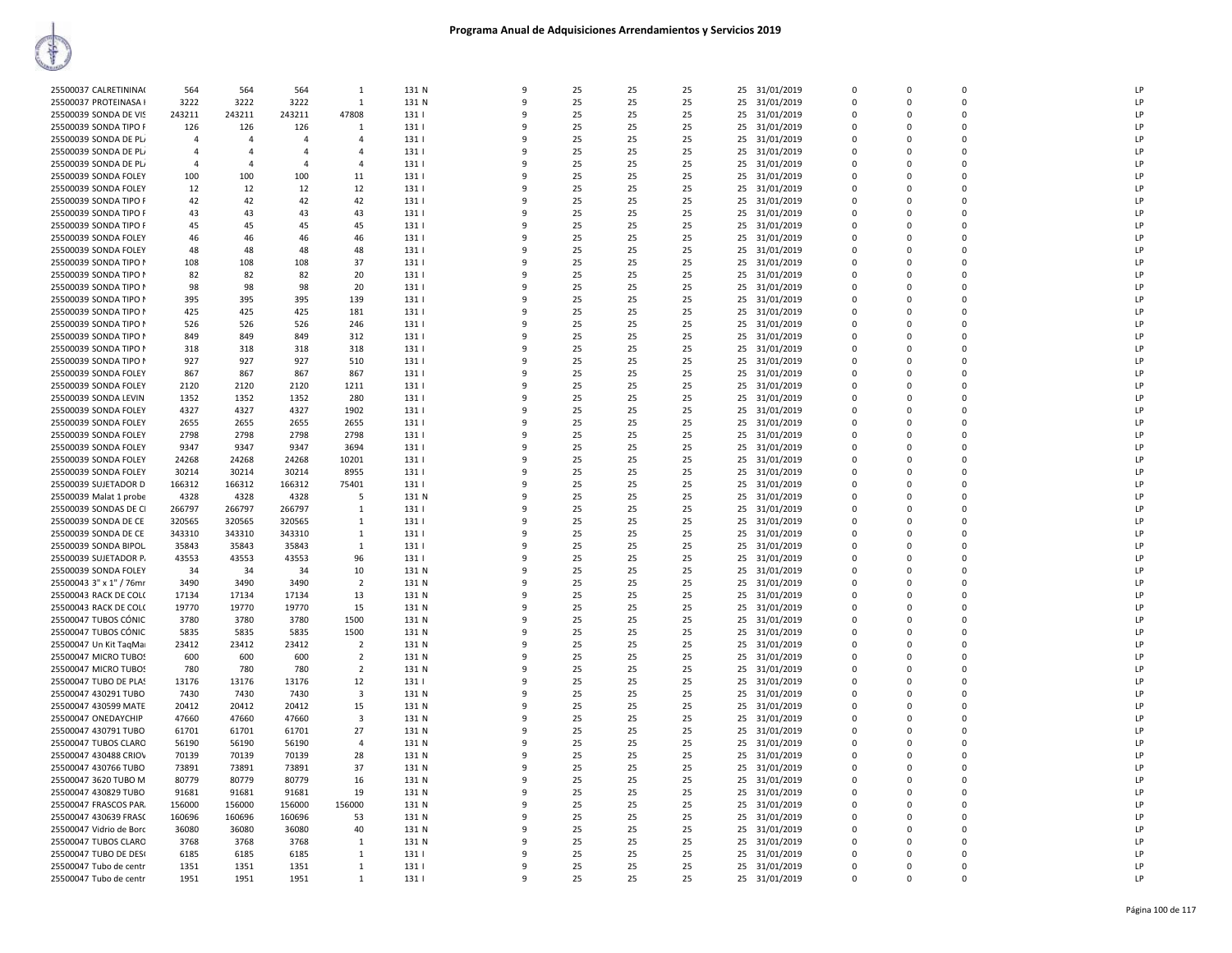| 25500037 CALRETININA    | 564            | 564            | 564            | $\mathbf{1}$            | 131 N        | 9            | 25       | 25 | 25       |    | 25 31/01/2019 | $\Omega$      | $\Omega$      | $\Omega$             | LP       |
|-------------------------|----------------|----------------|----------------|-------------------------|--------------|--------------|----------|----|----------|----|---------------|---------------|---------------|----------------------|----------|
| 25500037 PROTEINASA I   | 3222           | 3222           | 3222           | 1                       | 131 N        | 9            | 25       | 25 | 25       | 25 | 31/01/2019    | 0             | $\mathbf 0$   | $\mathbf 0$          | LP       |
| 25500039 SONDA DE VIS   | 243211         | 243211         | 243211         | 47808                   | 131          | 9            | 25       | 25 | 25       | 25 | 31/01/2019    | $\mathbf 0$   | $\mathbf 0$   | $\mathbf 0$          | LP       |
| 25500039 SONDA TIPO F   | 126            | 126            | 126            | 1                       | 131          | $\Omega$     | 25       | 25 | 25       | 25 | 31/01/2019    | 0             | 0             | $\Omega$             | LP       |
| 25500039 SONDA DE PL    | $\overline{4}$ | $\Delta$       | $\Delta$       | $\mathbf{A}$            | 131          |              | 25       | 25 | 25       | 25 | 31/01/2019    | $\Omega$      | $\Omega$      | $\Omega$             | LP       |
| 25500039 SONDA DE PL/   | $\overline{4}$ | $\overline{4}$ | $\overline{4}$ | 4                       | 131          | ٩            | 25       | 25 | 25       | 25 | 31/01/2019    | 0             | $\Omega$      | $\mathbf 0$          | LP       |
| 25500039 SONDA DE PL/   | $\overline{4}$ | $\overline{4}$ | $\overline{4}$ | 4                       | 131          | q            | 25       | 25 | 25       |    | 25 31/01/2019 | $\Omega$      | $\Omega$      | $\Omega$             | LP       |
| 25500039 SONDA FOLEY    | 100            | 100            | 100            | 11                      | 131          |              | 25       | 25 | 25       | 25 | 31/01/2019    | $\Omega$      | $\Omega$      | 0                    | LP       |
| 25500039 SONDA FOLEY    | 12             | 12             | 12             | 12                      | 131          | q            | 25       | 25 | 25       | 25 | 31/01/2019    | 0             | $\mathbf 0$   | $\mathbf{0}$         | LP       |
| 25500039 SONDA TIPO F   | 42             | 42             | 42             | 42                      | 131          | 9            | 25       | 25 | 25       | 25 | 31/01/2019    | $\mathbf 0$   | 0             | $\mathbf 0$          | LP       |
| 25500039 SONDA TIPO F   | 43             | 43             | 43             | 43                      | 131          | ۹            | 25       | 25 | 25       | 25 | 31/01/2019    | 0             | 0             | $\Omega$             | LP       |
| 25500039 SONDA TIPO F   | 45             | 45             | 45             | 45                      | 1311         |              | 25       | 25 | 25       | 25 | 31/01/2019    | $\Omega$      | $\Omega$      | $\Omega$             | LP       |
| 25500039 SONDA FOLEY    | 46             | 46             | 46             | 46                      | 131          |              | 25       | 25 | 25       | 25 | 31/01/2019    | 0             | $\Omega$      | $\Omega$             | LP       |
| 25500039 SONDA FOLEY    | 48             | 48             | 48             | 48                      | 1311         | q            | 25       | 25 | 25       | 25 | 31/01/2019    | $\Omega$      | $\Omega$      | $\Omega$             | LP       |
| 25500039 SONDA TIPO N   | 108            | 108            | 108            | 37                      | 131          | 9            | 25       | 25 | 25       | 25 | 31/01/2019    | 0             | 0             | $\mathbf 0$          | LP       |
| 25500039 SONDA TIPO N   | 82             | 82             | 82             | 20                      | 131          | 9            | 25       | 25 | 25       | 25 | 31/01/2019    | $\mathbf 0$   | $\mathbf 0$   | $\mathbf{0}$         | LP       |
| 25500039 SONDA TIPO N   | 98             | 98             | 98             | 20                      | 131          | $\mathsf{q}$ | 25       | 25 | 25       | 25 | 31/01/2019    | $\mathbf 0$   | 0             | $\mathbf 0$          | LP       |
| 25500039 SONDA TIPO N   | 395            | 395            | 395            | 139                     | 131          |              | 25       | 25 | 25       | 25 | 31/01/2019    | $\Omega$      | $\Omega$      | $\Omega$             | LP       |
| 25500039 SONDA TIPO N   | 425            | 425            | 425            | 181                     | 131          |              | 25       | 25 | 25       | 25 | 31/01/2019    | $\Omega$      | $\Omega$      | $\Omega$             | LP       |
| 25500039 SONDA TIPO N   | 526            | 526            | 526            | 246                     | 131          |              | 25       | 25 | 25       | 25 | 31/01/2019    | 0             | 0             | $\Omega$             | LP       |
| 25500039 SONDA TIPO N   | 849            | 849            | 849            | 312                     | 131          | $\mathbf{q}$ | 25       | 25 | 25       | 25 | 31/01/2019    | $\Omega$      | $\Omega$      | $\Omega$             | LP       |
| 25500039 SONDA TIPO N   | 318            | 318            | 318            | 318                     | 131          |              | 25       | 25 | 25       | 25 | 31/01/2019    | 0             | 0             | $\mathbf 0$          | LP       |
| 25500039 SONDA TIPO N   | 927            | 927            | 927            | 510                     | 131          | q            | 25       | 25 | 25       | 25 | 31/01/2019    | 0             | $\mathbf 0$   | $\mathbf{0}$         | LP       |
| 25500039 SONDA FOLEY    | 867            | 867            | 867            | 867                     | 131          | 9            | 25       | 25 | 25       | 25 | 31/01/2019    | $\Omega$      | $\Omega$      | $\Omega$             | LP       |
|                         |                |                |                |                         |              | q            |          |    |          |    |               | $\Omega$      | $\Omega$      | $\Omega$             | LP       |
| 25500039 SONDA FOLEY    | 2120           | 2120           | 2120<br>1352   | 1211<br>280             | 131  <br>131 |              | 25<br>25 | 25 | 25<br>25 | 25 | 31/01/2019    | $\Omega$      | $\Omega$      | $\Omega$             | LP       |
| 25500039 SONDA LEVIN    | 1352           | 1352           |                |                         |              |              |          | 25 |          | 25 | 31/01/2019    |               |               | $\Omega$             | LP       |
| 25500039 SONDA FOLEY    | 4327           | 4327           | 4327           | 1902                    | 131          | $\mathsf{q}$ | 25<br>25 | 25 | 25       | 25 | 31/01/2019    | 0<br>$\Omega$ | 0<br>$\Omega$ | $\Omega$             | LP       |
| 25500039 SONDA FOLEY    | 2655           | 2655           | 2655           | 2655                    | 131          |              |          | 25 | 25       | 25 | 31/01/2019    |               |               |                      |          |
| 25500039 SONDA FOLEY    | 2798           | 2798           | 2798           | 2798                    | 131          | 9<br>q       | 25       | 25 | 25       | 25 | 31/01/2019    | 0             | 0             | $\mathbf 0$          | LP       |
| 25500039 SONDA FOLEY    | 9347           | 9347           | 9347           | 3694                    | 131          |              | 25       | 25 | 25       | 25 | 31/01/2019    | $\mathbf 0$   | $\mathbf 0$   | $\mathbf{0}$         | LP       |
| 25500039 SONDA FOLEY    | 24268          | 24268          | 24268          | 10201                   | 131          | 9            | 25       | 25 | 25       | 25 | 31/01/2019    | $\Omega$      | $\Omega$      | $\Omega$<br>$\Omega$ | LP<br>LP |
| 25500039 SONDA FOLEY    | 30214          | 30214          | 30214          | 8955                    | 131          | ۰Q           | 25       | 25 | 25       | 25 | 31/01/2019    | $\Omega$      | $\Omega$      |                      |          |
| 25500039 SUJETADOR D    | 166312         | 166312         | 166312         | 75401                   | 131          |              | 25       | 25 | 25       | 25 | 31/01/2019    | $\Omega$      | $\Omega$      | $\Omega$             | LP       |
| 25500039 Malat 1 probe  | 4328           | 4328           | 4328           | -5                      | 131 N        |              | 25       | 25 | 25       | 25 | 31/01/2019    | 0             | 0             | $\mathbf 0$          | LP       |
| 25500039 SONDAS DE CI   | 266797         | 266797         | 266797         | 1                       | 131          | $\mathbf{q}$ | 25       | 25 | 25       | 25 | 31/01/2019    | $\Omega$      | $\Omega$      | $\Omega$             | LP       |
| 25500039 SONDA DE CE    | 320565         | 320565         | 320565         | 1                       | 131          |              | 25       | 25 | 25       | 25 | 31/01/2019    | 0             | 0             | $\mathbf 0$          | LP       |
| 25500039 SONDA DE CE    | 343310         | 343310         | 343310         | 1                       | 131          | q            | 25       | 25 | 25       | 25 | 31/01/2019    | $\mathbf 0$   | $\mathbf 0$   | $\mathbf 0$          | LP       |
| 25500039 SONDA BIPOL    | 35843          | 35843          | 35843          | $\mathbf{1}$            | 131          | 9            | 25       | 25 | 25       | 25 | 31/01/2019    | $\Omega$      | $\Omega$      | $\Omega$             | LP       |
| 25500039 SUJETADOR P.   | 43553          | 43553          | 43553          | 96                      | 131          | ٩            | 25       | 25 | 25       | 25 | 31/01/2019    | $\Omega$      | $\Omega$      | $\Omega$             | LP       |
| 25500039 SONDA FOLEY    | 34             | 34             | 34             | 10                      | 131 N        | q            | 25       | 25 | 25       | 25 | 31/01/2019    | $\Omega$      | $\Omega$      | $\Omega$             | LP       |
| 25500043 3" x 1" / 76mr | 3490           | 3490           | 3490           | $\overline{2}$          | 131 N        | ٩            | 25       | 25 | 25       | 25 | 31/01/2019    | 0             | 0             | 0                    | LP       |
| 25500043 RACK DE COL(   | 17134          | 17134          | 17134          | 13                      | 131 N        | $\mathsf{q}$ | 25       | 25 | 25       |    | 25 31/01/2019 | $\Omega$      | $\Omega$      | $\Omega$             | LP       |
| 25500043 RACK DE COL(   | 19770          | 19770          | 19770          | 15                      | 131 N        | 9            | 25       | 25 | 25       | 25 | 31/01/2019    | 0             | 0             | $\mathbf 0$          | LP       |
| 25500047 TUBOS CÓNIC    | 3780           | 3780           | 3780           | 1500                    | 131 N        | q            | 25       | 25 | 25       | 25 | 31/01/2019    | 0             | $\Omega$      | $\mathbf 0$          | LP       |
| 25500047 TUBOS CÓNIC    | 5835           | 5835           | 5835           | 1500                    | 131 N        | 9            | 25       | 25 | 25       | 25 | 31/01/2019    | $\Omega$      | $\Omega$      | $\Omega$             | LP       |
| 25500047 Un Kit TaqMar  | 23412          | 23412          | 23412          | $\overline{2}$          | 131 N        | ۰Q           | 25       | 25 | 25       | 25 | 31/01/2019    | $\Omega$      | $\Omega$      | $\Omega$             | LP       |
| 25500047 MICRO TUBOS    | 600            | 600            | 600            | $\overline{2}$          | 131 N        |              | 25       | 25 | 25       | 25 | 31/01/2019    | $\Omega$      | $\Omega$      | $\Omega$             | LP       |
| 25500047 MICRO TUBOS    | 780            | 780            | 780            | $\overline{2}$          | 131 N        | q            | 25       | 25 | 25       | 25 | 31/01/2019    | 0             | 0             | 0                    | LP       |
| 25500047 TUBO DE PLAS   | 13176          | 13176          | 13176          | 12                      | 131          | 9            | 25       | 25 | 25       |    | 25 31/01/2019 | $\mathbf 0$   | 0             | $\mathbf 0$          | LP       |
| 25500047 430291 TUBO    | 7430           | 7430           | 7430           | $\overline{\mathbf{3}}$ | 131 N        |              | 25       | 25 | 25       | 25 | 31/01/2019    | 0             | 0             | $\mathbf 0$          | LP       |
| 25500047 430599 MATE    | 20412          | 20412          | 20412          | 15                      | 131 N        | q            | 25       | 25 | 25       | 25 | 31/01/2019    | 0             | $\Omega$      | $\Omega$             | LP       |
| 25500047 ONEDAYCHIP     | 47660          | 47660          | 47660          | 3                       | 131 N        | 9            | 25       | 25 | 25       | 25 | 31/01/2019    | $\Omega$      | $\Omega$      | $\Omega$             | LP       |
| 25500047 430791 TUBO    | 61701          | 61701          | 61701          | 27                      | 131 N        | ٩            | 25       | 25 | 25       | 25 | 31/01/2019    | $\Omega$      | $\mathbf 0$   | $\Omega$             | LP       |
| 25500047 TUBOS CLARO    | 56190          | 56190          | 56190          | $\overline{a}$          | 131 N        | q            | 25       | 25 | 25       | 25 | 31/01/2019    | $\Omega$      | $\Omega$      | $\Omega$             | LP       |
| 25500047 430488 CRIOV   | 70139          | 70139          | 70139          | 28                      | 131 N        | q            | 25       | 25 | 25       | 25 | 31/01/2019    | 0             | 0             | 0                    | LP       |
| 25500047 430766 TUBO    | 73891          | 73891          | 73891          | 37                      | 131 N        | $\mathsf{q}$ | 25       | 25 | 25       | 25 | 31/01/2019    | $\mathbf 0$   | 0             | $\mathbf 0$          | LP       |
| 25500047 3620 TUBO M    | 80779          | 80779          | 80779          | 16                      | 131 N        | $\Omega$     | 25       | 25 | 25       | 25 | 31/01/2019    | $\Omega$      | $\Omega$      | $\Omega$             | LP       |
| 25500047 430829 TUBO    | 91681          | 91681          | 91681          | 19                      | 131 N        | q            | 25       | 25 | 25       | 25 | 31/01/2019    | 0             | $\Omega$      | $\mathbf 0$          | LP       |
| 25500047 FRASCOS PAR.   | 156000         | 156000         | 156000         | 156000                  | 131 N        | 9            | 25       | 25 | 25       | 25 | 31/01/2019    | $\Omega$      | $\Omega$      | $\Omega$             | LP       |
| 25500047 430639 FRASC   | 160696         | 160696         | 160696         | 53                      | 131 N        | ٩            | 25       | 25 | 25       | 25 | 31/01/2019    | $\Omega$      | $\Omega$      | $\Omega$             | LP       |
| 25500047 Vidrio de Borc | 36080          | 36080          | 36080          | 40                      | 131 N        | q            | 25       | 25 | 25       | 25 | 31/01/2019    | $\Omega$      | $\Omega$      | $\Omega$             | LP       |
| 25500047 TUBOS CLARO    | 3768           | 3768           | 3768           | 1                       | 131 N        | ٩            | 25       | 25 | 25       | 25 | 31/01/2019    | 0             | 0             | 0                    | LP       |
| 25500047 TUBO DE DES(   | 6185           | 6185           | 6185           | 1                       | 131          | $\mathbf{q}$ | 25       | 25 | 25       | 25 | 31/01/2019    | $\mathbf 0$   | 0             | $\Omega$             | LP       |
| 25500047 Tubo de centr  | 1351           | 1351           | 1351           | 1                       | 131          | ۹            | 25       | 25 | 25       | 25 | 31/01/2019    | $\Omega$      | $\Omega$      | O                    | LP       |
| 25500047 Tubo de centr  | 1951           | 1951           | 1951           | $\mathbf{1}$            | 131          | 9            | 25       | 25 | 25       |    | 25 31/01/2019 | $\Omega$      | $\Omega$      | O                    | LP       |
|                         |                |                |                |                         |              |              |          |    |          |    |               |               |               |                      |          |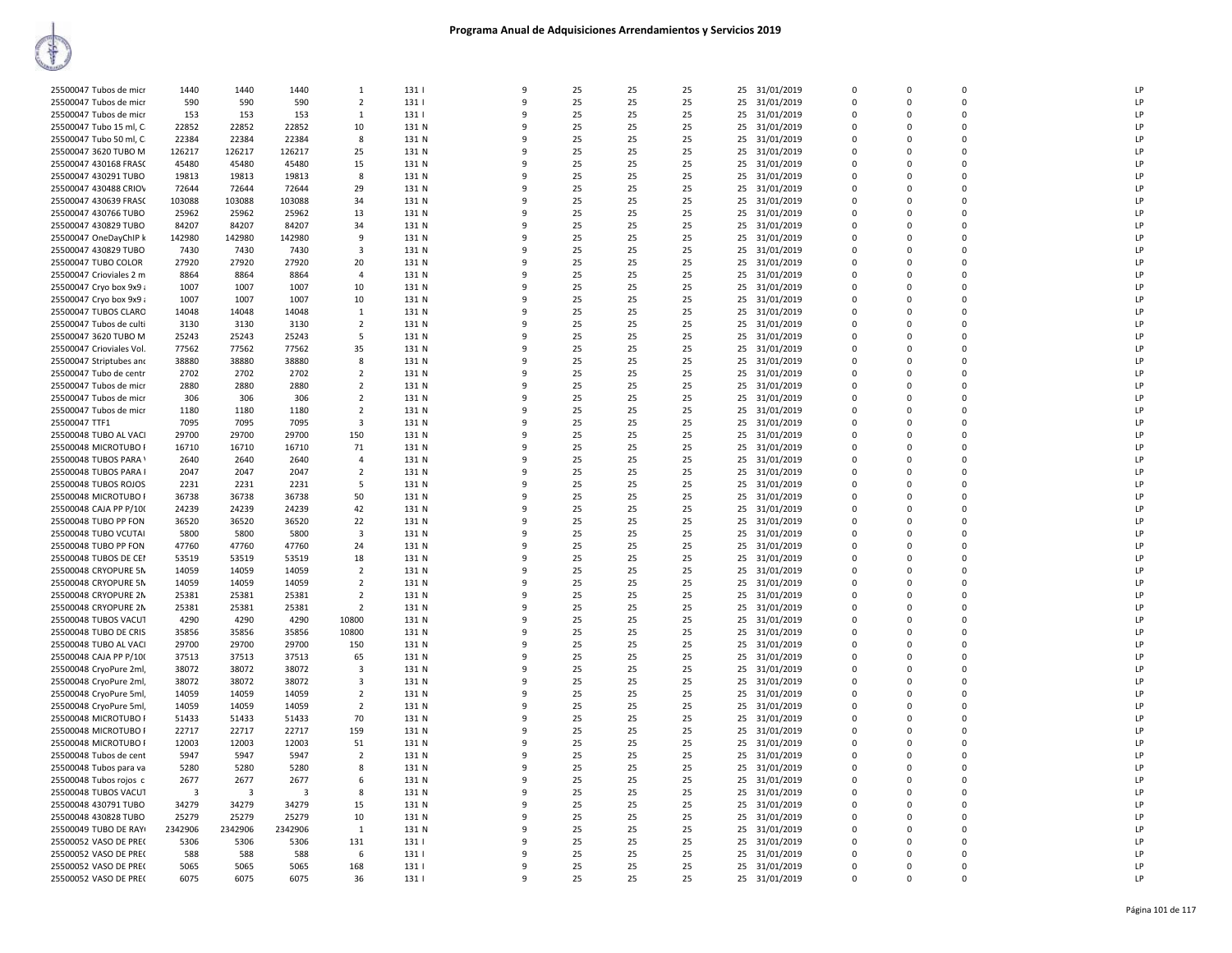| 25500047 Tubos de micr   | 1440    | 1440    | 1440    | 1                       | 131   | q            | 25 | 25 | 25 |    | 25 31/01/2019 | $\Omega$    | $\Omega$    | $\Omega$    | LP |
|--------------------------|---------|---------|---------|-------------------------|-------|--------------|----|----|----|----|---------------|-------------|-------------|-------------|----|
| 25500047 Tubos de micr   | 590     | 590     | 590     | $\overline{2}$          | 131   | 9            | 25 | 25 | 25 | 25 | 31/01/2019    | 0           | $\Omega$    | 0           | LP |
| 25500047 Tubos de micr   | 153     | 153     | 153     | 1                       | 131   | q            | 25 | 25 | 25 | 25 | 31/01/2019    | $\mathbf 0$ | $\Omega$    | $\Omega$    | LP |
| 25500047 Tubo 15 ml, C   | 22852   | 22852   | 22852   | 10                      | 131 N |              | 25 | 25 | 25 |    | 25 31/01/2019 | $\mathbf 0$ | $\Omega$    | 0           | LP |
| 25500047 Tubo 50 ml, C   | 22384   | 22384   | 22384   | 8                       | 131 N | q            | 25 | 25 | 25 | 25 | 31/01/2019    | 0           | $\Omega$    | $\mathbf 0$ | LP |
| 25500047 3620 TUBO M     | 126217  | 126217  | 126217  | 25                      | 131 N | 9            | 25 | 25 | 25 |    | 25 31/01/2019 | $\mathbf 0$ | $\Omega$    | 0           | LP |
| 25500047 430168 FRASC    | 45480   | 45480   | 45480   | 15                      | 131 N | q            | 25 | 25 | 25 | 25 | 31/01/2019    | 0           | $\mathbf 0$ | 0           | LP |
| 25500047 430291 TUBO     | 19813   | 19813   | 19813   | 8                       | 131 N | q            | 25 | 25 | 25 | 25 | 31/01/2019    | $\Omega$    | $\Omega$    | 0           | LP |
|                          |         |         |         |                         |       | 9            | 25 |    |    |    |               | 0           | $\Omega$    | 0           | LP |
| 25500047 430488 CRIOV    | 72644   | 72644   | 72644   | 29                      | 131 N |              |    | 25 | 25 | 25 | 31/01/2019    | $\Omega$    |             | $\Omega$    | LP |
| 25500047 430639 FRASC    | 103088  | 103088  | 103088  | 34                      | 131 N | q            | 25 | 25 | 25 |    | 25 31/01/2019 |             | n           |             |    |
| 25500047 430766 TUBO     | 25962   | 25962   | 25962   | 13                      | 131 N |              | 25 | 25 | 25 | 25 | 31/01/2019    | $\Omega$    | $\Omega$    | 0           | LP |
| 25500047 430829 TUBO     | 84207   | 84207   | 84207   | 34                      | 131 N | q            | 25 | 25 | 25 | 25 | 31/01/2019    | 0           | $\Omega$    | $\mathbf 0$ | LP |
| 25500047 OneDayChIP k    | 142980  | 142980  | 142980  | 9                       | 131 N | q            | 25 | 25 | 25 |    | 25 31/01/2019 | $\mathbf 0$ | $\Omega$    | 0           | LP |
| 25500047 430829 TUBO     | 7430    | 7430    | 7430    | 3                       | 131 N | $\Omega$     | 25 | 25 | 25 | 25 | 31/01/2019    | 0           | $\Omega$    | 0           | LP |
| 25500047 TUBO COLOR      | 27920   | 27920   | 27920   | 20                      | 131 N | q            | 25 | 25 | 25 |    | 25 31/01/2019 | $\Omega$    | $\Omega$    | 0           | LP |
| 25500047 Crioviales 2 m  | 8864    | 8864    | 8864    | $\overline{4}$          | 131 N | 9            | 25 | 25 | 25 | 25 | 31/01/2019    | 0           | $\Omega$    | 0           | LP |
| 25500047 Cryo box 9x9 ;  | 1007    | 1007    | 1007    | 10                      | 131 N | q            | 25 | 25 | 25 |    | 25 31/01/2019 | $\Omega$    | $\Omega$    | $\Omega$    | LP |
| 25500047 Cryo box 9x9;   | 1007    | 1007    | 1007    | 10                      | 131 N |              | 25 | 25 | 25 | 25 | 31/01/2019    | $\Omega$    | $\Omega$    | 0           | LP |
| 25500047 TUBOS CLARO     | 14048   | 14048   | 14048   | -1                      | 131 N | q            | 25 | 25 | 25 | 25 | 31/01/2019    | 0           | $\Omega$    | 0           | LP |
| 25500047 Tubos de culti  | 3130    | 3130    | 3130    | $\overline{2}$          | 131 N | 9            | 25 | 25 | 25 |    | 25 31/01/2019 | $\mathbf 0$ | $\Omega$    | 0           | LP |
| 25500047 3620 TUBO M     | 25243   | 25243   | 25243   | 5                       | 131 N | q            | 25 | 25 | 25 | 25 | 31/01/2019    | $\mathbf 0$ | $\Omega$    | 0           | LP |
| 25500047 Crioviales Vol. | 77562   | 77562   | 77562   | 35                      | 131 N | 9            | 25 | 25 | 25 |    | 25 31/01/2019 | $\mathbf 0$ | $\mathbf 0$ | 0           | LP |
| 25500047 Striptubes and  | 38880   | 38880   | 38880   | 8                       | 131 N | 9            | 25 | 25 | 25 | 25 | 31/01/2019    | 0           | $\Omega$    | 0           | LP |
| 25500047 Tubo de centr   | 2702    | 2702    | 2702    | $\overline{2}$          | 131 N | q            | 25 | 25 | 25 |    | 25 31/01/2019 | $\Omega$    | $\Omega$    | $\Omega$    | LP |
| 25500047 Tubos de micr   | 2880    | 2880    | 2880    | $\overline{2}$          | 131 N |              | 25 | 25 | 25 |    | 25 31/01/2019 | $\Omega$    | $\Omega$    | 0           | LP |
| 25500047 Tubos de micr   | 306     | 306     | 306     | $\overline{2}$          | 131 N | q            | 25 | 25 | 25 | 25 | 31/01/2019    | $\Omega$    | $\Omega$    | 0           | LP |
| 25500047 Tubos de micr   | 1180    | 1180    | 1180    | $\overline{2}$          | 131 N |              | 25 | 25 | 25 | 25 | 31/01/2019    | $\Omega$    | $\Omega$    | 0           | LP |
| 25500047 TTF1            | 7095    | 7095    | 7095    | 3                       | 131 N | q            | 25 | 25 | 25 | 25 | 31/01/2019    | $\Omega$    | $\Omega$    | 0           | LP |
| 25500048 TUBO AL VACI    | 29700   | 29700   | 29700   | 150                     | 131 N | q            | 25 | 25 | 25 | 25 | 31/01/2019    | $\mathbf 0$ | $\Omega$    | 0           | LP |
|                          |         | 16710   |         |                         |       | q            | 25 | 25 |    |    |               | 0           | 0           | 0           | LP |
| 25500048 MICROTUBO F     | 16710   |         | 16710   | 71                      | 131 N | $\mathbf{q}$ |    |    | 25 | 25 | 31/01/2019    | $\Omega$    | $\Omega$    | $\Omega$    | LP |
| 25500048 TUBOS PARA \    | 2640    | 2640    | 2640    | $\overline{4}$          | 131 N |              | 25 | 25 | 25 |    | 25 31/01/2019 |             | $\Omega$    | 0           | LP |
| 25500048 TUBOS PARA I    | 2047    | 2047    | 2047    | $\overline{2}$          | 131 N |              | 25 | 25 | 25 |    | 25 31/01/2019 | 0           |             |             |    |
| 25500048 TUBOS ROJOS     | 2231    | 2231    | 2231    | 5                       | 131 N |              | 25 | 25 | 25 |    | 25 31/01/2019 | $\Omega$    | $\Omega$    | $\Omega$    | LP |
| 25500048 MICROTUBO F     | 36738   | 36738   | 36738   | 50                      | 131 N |              | 25 | 25 | 25 | 25 | 31/01/2019    | $\Omega$    | $\Omega$    | 0           | LP |
| 25500048 CAJA PP P/100   | 24239   | 24239   | 24239   | 42                      | 131 N | q            | 25 | 25 | 25 | 25 | 31/01/2019    | $\Omega$    | $\Omega$    | 0           | LP |
| 25500048 TUBO PP FON     | 36520   | 36520   | 36520   | 22                      | 131 N |              | 25 | 25 | 25 | 25 | 31/01/2019    | $\mathbf 0$ | $\Omega$    | 0           | LP |
| 25500048 TUBO VCUTAI     | 5800    | 5800    | 5800    | $\overline{\mathbf{3}}$ | 131 N | 9            | 25 | 25 | 25 | 25 | 31/01/2019    | 0           | 0           | 0           | LP |
| 25500048 TUBO PP FON     | 47760   | 47760   | 47760   | 24                      | 131 N | $\mathbf{q}$ | 25 | 25 | 25 | 25 | 31/01/2019    | $\mathbf 0$ | $\Omega$    | $\Omega$    | LP |
| 25500048 TUBOS DE CEI    | 53519   | 53519   | 53519   | 18                      | 131 N | ٩            | 25 | 25 | 25 | 25 | 31/01/2019    | $\Omega$    | $\Omega$    | 0           | LP |
| 25500048 CRYOPURE 5N     | 14059   | 14059   | 14059   | $\overline{2}$          | 131 N |              | 25 | 25 | 25 |    | 25 31/01/2019 | $\Omega$    | $\Omega$    | 0           | LP |
| 25500048 CRYOPURE 5N     | 14059   | 14059   | 14059   | $\overline{2}$          | 131 N |              | 25 | 25 | 25 | 25 | 31/01/2019    | 0           | $\Omega$    | 0           | LP |
| 25500048 CRYOPURE 2N     | 25381   | 25381   | 25381   | $\overline{2}$          | 131 N | q            | 25 | 25 | 25 |    | 25 31/01/2019 | $\Omega$    | $\Omega$    | $\Omega$    | LP |
| 25500048 CRYOPURE 2N     | 25381   | 25381   | 25381   | $\overline{2}$          | 131 N |              | 25 | 25 | 25 | 25 | 31/01/2019    | $\Omega$    | $\Omega$    | 0           | LP |
| 25500048 TUBOS VACUT     | 4290    | 4290    | 4290    | 10800                   | 131 N | 9            | 25 | 25 | 25 | 25 | 31/01/2019    | 0           | $\Omega$    | 0           | LP |
| 25500048 TUBO DE CRIS    | 35856   | 35856   | 35856   | 10800                   | 131 N | 9            | 25 | 25 | 25 | 25 | 31/01/2019    | $\mathbf 0$ | $\Omega$    | $\Omega$    | LP |
| 25500048 TUBO AL VACI    | 29700   | 29700   | 29700   | 150                     | 131 N | q            | 25 | 25 | 25 | 25 | 31/01/2019    | $\mathbf 0$ | $\Omega$    | 0           | LP |
| 25500048 CAJA PP P/100   | 37513   | 37513   | 37513   | 65                      | 131 N |              | 25 | 25 | 25 |    | 25 31/01/2019 | $\Omega$    | $\Omega$    | 0           | LP |
| 25500048 CryoPure 2ml,   | 38072   | 38072   | 38072   | 3                       | 131 N |              | 25 | 25 | 25 | 25 | 31/01/2019    | 0           | $\Omega$    | 0           | LP |
| 25500048 CryoPure 2ml,   | 38072   | 38072   | 38072   | $\mathbf{3}$            | 131 N | q            | 25 | 25 | 25 |    | 25 31/01/2019 | $\Omega$    | $\Omega$    | 0           | LP |
| 25500048 CryoPure 5ml,   | 14059   | 14059   | 14059   | $\overline{2}$          | 131 N |              | 25 | 25 | 25 | 25 | 31/01/2019    | $\Omega$    | $\Omega$    | 0           | LP |
| 25500048 CryoPure 5ml,   | 14059   | 14059   | 14059   | $\overline{2}$          | 131 N | 9            | 25 | 25 | 25 | 25 | 31/01/2019    | 0           | $\Omega$    | 0           | LP |
| 25500048 MICROTUBO F     | 51433   | 51433   | 51433   | 70                      | 131 N | 9            | 25 | 25 | 25 | 25 | 31/01/2019    | $\mathbf 0$ | $\Omega$    | 0           | LP |
| 25500048 MICROTUBO F     | 22717   | 22717   | 22717   | 159                     | 131 N | q            | 25 | 25 | 25 | 25 | 31/01/2019    | $\mathbf 0$ | $\Omega$    | 0           | LP |
| 25500048 MICROTUBO F     | 12003   | 12003   | 12003   | 51                      | 131 N |              | 25 | 25 | 25 |    | 25 31/01/2019 | $\mathbf 0$ | $\Omega$    | 0           | P  |
| 25500048 Tubos de cent   | 5947    | 5947    | 5947    | $\overline{2}$          | 131 N | q            | 25 | 25 | 25 | 25 | 31/01/2019    | 0           | $\Omega$    | 0           | LP |
| 25500048 Tubos para va   | 5280    | 5280    | 5280    | 8                       | 131 N | q            | 25 | 25 | 25 |    | 25 31/01/2019 | $\Omega$    | $\Omega$    | 0           | LP |
| 25500048 Tubos rojos c   | 2677    | 2677    | 2677    | 6                       | 131 N | 9            | 25 | 25 | 25 |    | 25 31/01/2019 | 0           | $\Omega$    | 0           | LP |
| 25500048 TUBOS VACUT     | 3       | -3      | 3       | 8                       | 131 N | 9            | 25 | 25 | 25 |    | 25 31/01/2019 | 0           | $\Omega$    | 0           | LP |
| 25500048 430791 TUBO     | 34279   | 34279   | 34279   | 15                      | 131 N | 9            | 25 | 25 | 25 | 25 | 31/01/2019    | 0           | $\Omega$    | 0           | LP |
| 25500048 430828 TUBO     | 25279   | 25279   | 25279   | 10                      | 131 N | q            | 25 | 25 | 25 | 25 | 31/01/2019    | $\mathbf 0$ | $\Omega$    | $\Omega$    | LP |
| 25500049 TUBO DE RAY(    | 2342906 | 2342906 | 2342906 | 1                       | 131 N |              | 25 | 25 | 25 |    | 25 31/01/2019 | $\mathbf 0$ | $\Omega$    | 0           | LP |
| 25500052 VASO DE PRE(    | 5306    | 5306    | 5306    | 131                     | 131   | ٩            | 25 | 25 | 25 | 25 | 31/01/2019    | 0           | $\mathbf 0$ | 0           | LP |
| 25500052 VASO DE PRE(    | 588     | 588     | 588     | 6                       | 131   | q            | 25 | 25 | 25 |    | 25 31/01/2019 | $\Omega$    | $\Omega$    | $\Omega$    | LP |
| 25500052 VASO DE PRE(    | 5065    | 5065    | 5065    | 168                     | 131   | q            | 25 | 25 | 25 |    | 25 31/01/2019 | $\Omega$    | $\Omega$    | O           | LP |
| 25500052 VASO DE PRE(    | 6075    | 6075    | 6075    | 36                      | 131   | 9            | 25 | 25 | 25 |    | 25 31/01/2019 | $\Omega$    | $\Omega$    | 0           | LP |
|                          |         |         |         |                         |       |              |    |    |    |    |               |             |             |             |    |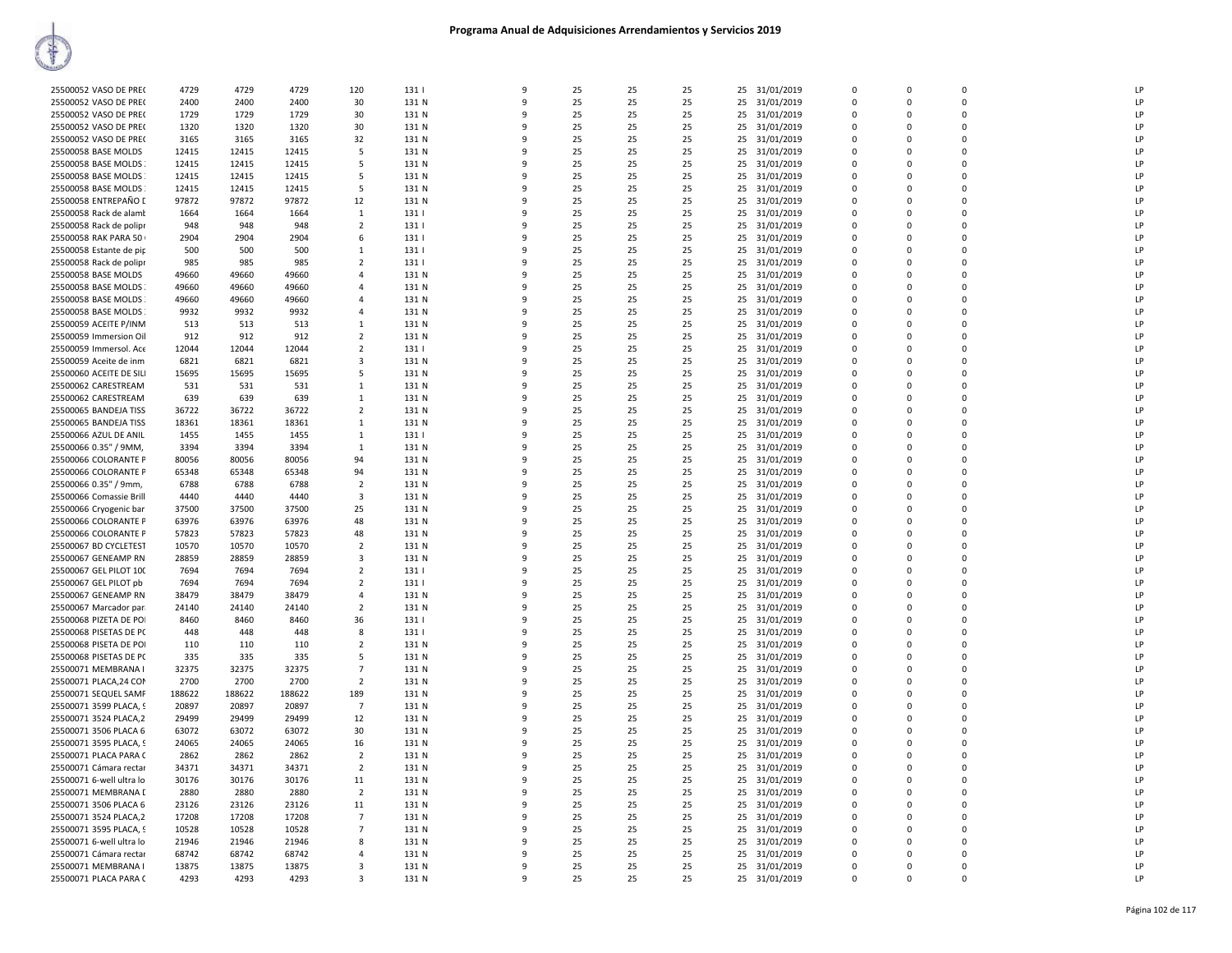| Ť                        |        |        |        |                         |       |              |    |    |    |                  |             |             |             |    |
|--------------------------|--------|--------|--------|-------------------------|-------|--------------|----|----|----|------------------|-------------|-------------|-------------|----|
| 25500052 VASO DE PRE(    | 4729   | 4729   | 4729   | 120                     | 131   | 9            | 25 | 25 | 25 | 25 31/01/2019    | $\mathbf 0$ | $\Omega$    | $\mathsf 0$ |    |
| 25500052 VASO DE PRE(    | 2400   | 2400   | 2400   | 30                      | 131 N | 9            | 25 | 25 | 25 | 25 31/01/2019    | $\Omega$    | $\Omega$    | $\mathbf 0$ |    |
| 25500052 VASO DE PRE(    | 1729   | 1729   | 1729   | 30                      | 131 N | 9            | 25 | 25 | 25 | 25 31/01/2019    | $\Omega$    | $\Omega$    | $\Omega$    | LF |
| 25500052 VASO DE PREC    | 1320   | 1320   | 1320   | 30                      | 131 N | 9            | 25 | 25 | 25 | 25 31/01/2019    | $\Omega$    | $\Omega$    | $\Omega$    | LP |
| 25500052 VASO DE PRE(    | 3165   | 3165   | 3165   | 32                      | 131 N | 9            | 25 | 25 | 25 | 31/01/2019<br>25 | $\mathbf 0$ | $\Omega$    | $\Omega$    | LF |
| 25500058 BASE MOLDS      | 12415  | 12415  | 12415  | 5                       | 131 N | 9            | 25 | 25 | 25 | 25 31/01/2019    | 0           | $\Omega$    | $\Omega$    | LF |
| 25500058 BASE MOLDS      | 12415  | 12415  | 12415  | 5                       | 131 N | 9            | 25 | 25 | 25 | 25 31/01/2019    | $\Omega$    | $\Omega$    | $\Omega$    |    |
| 25500058 BASE MOLDS      | 12415  | 12415  | 12415  | 5                       | 131 N | 9            | 25 | 25 | 25 | 25 31/01/2019    | $\Omega$    | $\Omega$    | $\Omega$    | LF |
| 25500058 BASE MOLDS      | 12415  | 12415  | 12415  | 5                       | 131 N | 9            | 25 | 25 | 25 | 25 31/01/2019    | $\Omega$    | $\Omega$    | $\Omega$    | LF |
| 25500058 ENTREPAÑO [     | 97872  | 97872  | 97872  | 12                      | 131 N | 9            | 25 | 25 | 25 | 25 31/01/2019    | $\Omega$    | $\Omega$    | $\Omega$    | LP |
| 25500058 Rack de alamt   | 1664   | 1664   | 1664   | 1                       | 131   | 9            | 25 | 25 | 25 | 31/01/2019<br>25 | $\Omega$    | $\Omega$    | $\Omega$    | LF |
| 25500058 Rack de polipr  | 948    | 948    | 948    | $\overline{2}$          | 131   | 9            | 25 | 25 | 25 | 25 31/01/2019    | 0           | $\Omega$    | $\Omega$    | LF |
| 25500058 RAK PARA 50     | 2904   | 2904   | 2904   | 6                       | 131   | 9            | 25 | 25 | 25 | 25 31/01/2019    | $\Omega$    | $\Omega$    | $\Omega$    | ΙF |
| 25500058 Estante de pip  | 500    | 500    | 500    | 1                       | 131   | 9            | 25 | 25 | 25 | 25 31/01/2019    | 0           | $\Omega$    | $\mathbf 0$ | LF |
| 25500058 Rack de polipr  | 985    | 985    | 985    | $\overline{2}$          | 131   | 9            | 25 | 25 | 25 | 25 31/01/2019    | $\Omega$    | $\Omega$    | $\Omega$    | LF |
| 25500058 BASE MOLDS      | 49660  | 49660  | 49660  | $\overline{4}$          | 131 N | 9            | 25 | 25 | 25 | 25 31/01/2019    | $\mathbf 0$ | $\Omega$    | $\mathbf 0$ | ΙF |
| 25500058 BASE MOLDS      | 49660  | 49660  | 49660  | $\overline{a}$          | 131 N | 9            | 25 | 25 | 25 | 25 31/01/2019    | $\mathbf 0$ | $\Omega$    | $\Omega$    | LF |
| 25500058 BASE MOLDS      | 49660  | 49660  | 49660  | $\overline{a}$          | 131 N | 9            | 25 | 25 | 25 | 25 31/01/2019    | $\mathbf 0$ | $\Omega$    | $\Omega$    | LF |
| 25500058 BASE MOLDS      | 9932   | 9932   | 9932   | 4                       | 131 N | 9            | 25 | 25 | 25 | 25 31/01/2019    | $\Omega$    | $\Omega$    | $\Omega$    | ΙF |
| 25500059 ACEITE P/INM    | 513    | 513    | 513    | 1                       | 131 N | 9            | 25 | 25 | 25 | 25 31/01/2019    | 0           | $\Omega$    | $\mathbf 0$ | LF |
| 25500059 Immersion Oil   | 912    | 912    | 912    | $\overline{2}$          | 131 N | 9            | 25 | 25 | 25 | 25 31/01/2019    | $\Omega$    | $\Omega$    | $\Omega$    | LF |
| 25500059 Immersol. Ace   | 12044  | 12044  | 12044  | $\overline{2}$          | 131   | 9            | 25 | 25 | 25 | 25 31/01/2019    | 0           | $\mathbf 0$ | $\mathbf 0$ | ΙF |
| 25500059 Aceite de inm   | 6821   | 6821   | 6821   | 3                       | 131 N | 9            | 25 | 25 | 25 | 25<br>31/01/2019 | 0           | $\Omega$    | 0           | LF |
| 25500060 ACEITE DE SILI  | 15695  | 15695  | 15695  | 5                       | 131 N | 9            | 25 | 25 | 25 | 25 31/01/2019    | $\Omega$    | $\Omega$    | $\Omega$    | ΙF |
| 25500062 CARESTREAM      | 531    | 531    | 531    | $\mathbf{1}$            | 131 N | 9            | 25 | 25 | 25 | 25 31/01/2019    | $\Omega$    | $\Omega$    | $\Omega$    | ΙF |
| 25500062 CARESTREAM      | 639    | 639    | 639    | 1                       | 131 N | 9            | 25 | 25 | 25 | 25 31/01/2019    | 0           | $\mathbf 0$ | $\mathbf 0$ | ΙF |
| 25500065 BANDEJA TISS    | 36722  | 36722  | 36722  | $\overline{2}$          | 131 N | 9            | 25 | 25 | 25 | 25 31/01/2019    | $\Omega$    | $\Omega$    | $\Omega$    | LF |
| 25500065 BANDEJA TISS    | 18361  | 18361  | 18361  | $\mathbf{1}$            | 131 N | 9            | 25 | 25 | 25 | 25 31/01/2019    | $\Omega$    | $\Omega$    | $\Omega$    | ΙF |
| 25500066 AZUL DE ANIL    | 1455   | 1455   | 1455   | 1                       | 131   | 9            | 25 | 25 | 25 | 25<br>31/01/2019 | 0           | $\Omega$    | 0           | LF |
| 25500066 0.35" / 9MM,    | 3394   | 3394   | 3394   | 1                       | 131 N | 9            | 25 | 25 | 25 | 25 31/01/2019    | $\Omega$    | $\Omega$    | $\Omega$    | LF |
| 25500066 COLORANTE P     | 80056  | 80056  | 80056  | 94                      | 131 N | 9            | 25 | 25 | 25 | 25 31/01/2019    | $\Omega$    | $\Omega$    | $\Omega$    |    |
| 25500066 COLORANTE P     | 65348  | 65348  | 65348  | 94                      | 131 N | 9            | 25 | 25 | 25 | 25 31/01/2019    | $\Omega$    | $\Omega$    | $\Omega$    | ΙF |
| 25500066 0.35" / 9mm,    | 6788   | 6788   | 6788   | $\overline{2}$          | 131 N | 9            | 25 | 25 | 25 | 25 31/01/2019    | $\Omega$    | $\Omega$    | $\Omega$    | LF |
| 25500066 Comassie Brill  | 4440   | 4440   | 4440   | $\overline{\mathbf{3}}$ | 131 N | 9            | 25 | 25 | 25 | 25 31/01/2019    | $\Omega$    | $\Omega$    | $\Omega$    | ΙF |
| 25500066 Cryogenic bar   | 37500  | 37500  | 37500  | 25                      | 131 N | 9            | 25 | 25 | 25 | 25<br>31/01/2019 | 0           | $\Omega$    | 0           | LF |
| 25500066 COLORANTE P     | 63976  | 63976  | 63976  | 48                      | 131 N | 9            | 25 | 25 | 25 | 25 31/01/2019    | $\Omega$    | $\Omega$    | $\Omega$    | ΙF |
| 25500066 COLORANTE P     | 57823  | 57823  | 57823  | 48                      | 131 N | 9            | 25 | 25 | 25 | 25 31/01/2019    | $\Omega$    | $\Omega$    | $\Omega$    | LF |
| 25500067 BD CYCLETEST    | 10570  | 10570  | 10570  | $\overline{2}$          | 131 N | 9            | 25 | 25 | 25 | 25 31/01/2019    | $\Omega$    | $\Omega$    | $\Omega$    | ΙF |
| 25500067 GENEAMP RN      | 28859  | 28859  | 28859  | 3                       | 131 N | 9            | 25 | 25 | 25 | 25 31/01/2019    | $\Omega$    | $\Omega$    | $\Omega$    | LF |
| 25500067 GEL PILOT 100   | 7694   | 7694   | 7694   | $\overline{2}$          | 131   | 9            | 25 | 25 | 25 | 25 31/01/2019    | $\Omega$    | $\Omega$    | $\Omega$    | LF |
| 25500067 GEL PILOT pb    | 7694   | 7694   | 7694   | $\overline{2}$          | 131   | 9            | 25 | 25 | 25 | 31/01/2019<br>25 | 0           | $\Omega$    | $\mathbf 0$ | LP |
| 25500067 GENEAMP RN      | 38479  | 38479  | 38479  | $\Delta$                | 131 N | 9            | 25 | 25 | 25 | 25 31/01/2019    | $\Omega$    | $\Omega$    | $\Omega$    | LF |
| 25500067 Marcador par.   | 24140  | 24140  | 24140  | $\overline{2}$          | 131 N | 9            | 25 | 25 | 25 | 25 31/01/2019    | $\Omega$    | $\Omega$    | $\Omega$    |    |
| 25500068 PIZETA DE POI   | 8460   | 8460   | 8460   | 36                      | 131   | 9            | 25 | 25 | 25 | 25 31/01/2019    | $\Omega$    | $\Omega$    | $\Omega$    | LF |
| 25500068 PISETAS DE PC   | 448    | 448    | 448    | 8                       | 131   | 9            | 25 | 25 | 25 | 25 31/01/2019    | $\Omega$    | $\Omega$    | $\Omega$    | LF |
| 25500068 PISETA DE POI   | 110    | 110    | 110    | $\overline{2}$          | 131 N | 9            | 25 | 25 | 25 | 31/01/2019<br>25 | $\Omega$    | $\Omega$    | $\Omega$    | LF |
| 25500068 PISETAS DE PC   | 335    | 335    | 335    | 5                       | 131 N | 9            | 25 | 25 | 25 | 31/01/2019<br>25 | $\mathbf 0$ | $\mathbf 0$ | 0           | LF |
| 25500071 MEMBRANA I      | 32375  | 32375  | 32375  | $\overline{7}$          | 131 N | 9            | 25 | 25 | 25 | 25 31/01/2019    | $\Omega$    | $\Omega$    | $\Omega$    | LF |
| 25500071 PLACA, 24 COM   | 2700   | 2700   | 2700   | $\overline{2}$          | 131 N | 9            | 25 | 25 | 25 | 25 31/01/2019    | 0           | $\Omega$    | $\mathbf 0$ | LP |
| 25500071 SEQUEL SAMF     | 188622 | 188622 | 188622 | 189                     | 131 N | 9            | 25 | 25 | 25 | 25 31/01/2019    | $\Omega$    | $\Omega$    | 0           | LF |
| 25500071 3599 PLACA, 9   | 20897  | 20897  | 20897  | $\overline{7}$          | 131 N | 9            | 25 | 25 | 25 | 25 31/01/2019    | $\Omega$    | $\Omega$    | $\Omega$    | LF |
| 25500071 3524 PLACA,2    | 29499  | 29499  | 29499  | 12                      | 131 N | 9            | 25 | 25 | 25 | 25 31/01/2019    | $\Omega$    | $\Omega$    | $\Omega$    | LF |
| 25500071 3506 PLACA 6    | 63072  | 63072  | 63072  | 30                      | 131 N | 9            | 25 | 25 | 25 | 31/01/2019<br>25 | $\mathbf 0$ | $\mathbf 0$ | 0           | LP |
| 25500071 3595 PLACA, 9   | 24065  | 24065  | 24065  | 16                      | 131 N | 9            | 25 | 25 | 25 | 31/01/2019<br>25 | $\Omega$    | $\Omega$    | $\Omega$    | LF |
| 25500071 PLACA PARA (    | 2862   | 2862   | 2862   | $\overline{2}$          | 131 N | 9            | 25 | 25 | 25 | 25 31/01/2019    | 0           | $\mathbf 0$ | $\mathbf 0$ | LF |
| 25500071 Cámara rectar   | 34371  | 34371  | 34371  | $\overline{2}$          | 131 N | -9           | 25 | 25 | 25 | 25 31/01/2019    | 0           | $\Omega$    | $\Omega$    | LF |
| 25500071 6-well ultra lo | 30176  | 30176  | 30176  | 11                      | 131 N | $\mathbf{q}$ | 25 | 25 | 25 | 25 31/01/2019    | $\Omega$    | $\Omega$    | $\Omega$    | ΙF |
| 25500071 MEMBRANA [      | 2880   | 2880   | 2880   | $\overline{2}$          | 131 N | 9            | 25 | 25 | 25 | 25 31/01/2019    | $\Omega$    | $\Omega$    | $\Omega$    | LF |
| 25500071 3506 PLACA 6    | 23126  | 23126  | 23126  | 11                      | 131 N | 9            | 25 | 25 | 25 | 31/01/2019<br>25 | 0           | $\Omega$    | 0           | ΙF |
| 25500071 3524 PLACA,2    | 17208  | 17208  | 17208  | $\overline{7}$          | 131 N | 9            | 25 | 25 | 25 | 25 31/01/2019    | $\Omega$    | $\Omega$    | $\Omega$    | LF |
| 25500071 3595 PLACA, 9   | 10528  | 10528  | 10528  | $\overline{7}$          | 131 N | 9            | 25 | 25 | 25 | 25 31/01/2019    | $\Omega$    | $\Omega$    | $\Omega$    | LF |

**ANTI VIEW** 

 6‐well ultra lo 21946 21946 21946 8 131 N 9 25 25 25 25 31/01/2019 0 0 0 LP 25500071 Cámara rectar 68742 68742 68742 4 131 N 9 25 25 25 25 31/01/2019 0 0 0 0 1 LP 25500071 MEMBRANA I 13875 13875 13875 3 131 N 9 25 25 25 25 31/01/2019 0 0 0 0 1 12 LP PLACA PARA C 4293 4293 4293 3 131 N 9 25 25 25 25 31/01/2019 0 0 0 LP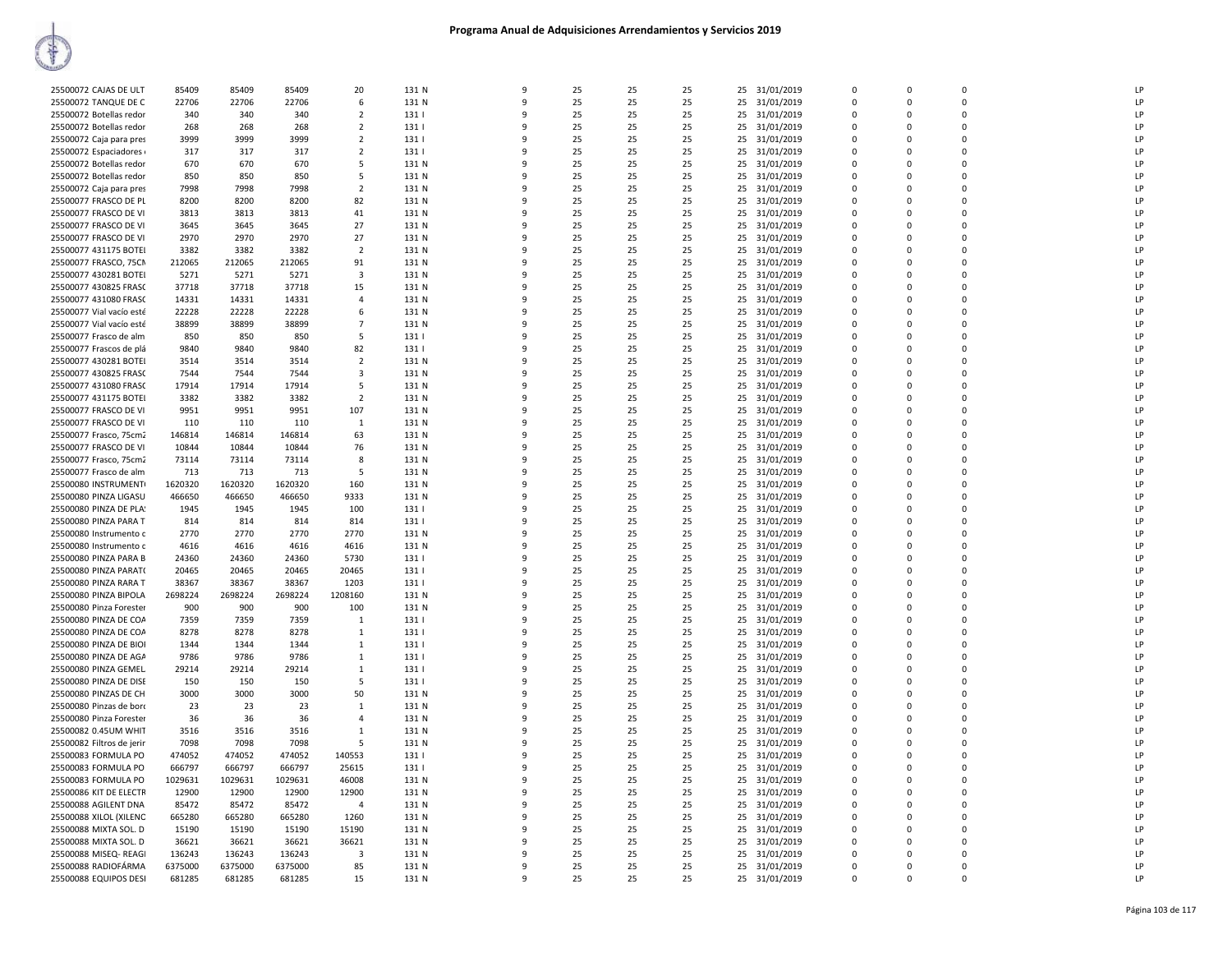| 25500072 CAJAS DE ULT                            | 85409             | 85409   | 85409   | 20             | 131 N | q            | 25 | 25 | 25 |    | 25 31/01/2019                  | $\Omega$ | $\Omega$    | $\Omega$    | LP |
|--------------------------------------------------|-------------------|---------|---------|----------------|-------|--------------|----|----|----|----|--------------------------------|----------|-------------|-------------|----|
| 25500072 TANQUE DE C                             | 22706             | 22706   | 22706   | 6              | 131 N | 9            | 25 | 25 | 25 |    | 25 31/01/2019                  | 0        | 0           | 0           | LP |
| 25500072 Botellas redor                          | 340               | 340     | 340     | $\overline{2}$ | 131   | 9            | 25 | 25 | 25 |    | 25 31/01/2019                  | 0        | $\Omega$    | $\Omega$    | LP |
| 25500072 Botellas redor                          | 268               | 268     | 268     | $\overline{2}$ | 131   | q            | 25 | 25 | 25 |    | 25 31/01/2019                  | 0        | $\Omega$    | $\Omega$    | LP |
| 25500072 Caja para pres                          | 3999              | 3999    | 3999    | $\overline{2}$ | 131   | $\mathbf{q}$ | 25 | 25 | 25 |    | 25 31/01/2019                  | $\Omega$ | $\Omega$    | 0           | P  |
| 25500072 Espaciadores                            | 317               | 317     | 317     | $\overline{2}$ | 131   | 9            | 25 | 25 | 25 |    | 25 31/01/2019                  | 0        | $\Omega$    | 0           | LP |
| 25500072 Botellas redor                          | 670               | 670     | 670     | 5              | 131 N | q            | 25 | 25 | 25 |    | 25 31/01/2019                  | $\Omega$ | $\Omega$    | 0           | LP |
| 25500072 Botellas redor                          | 850               | 850     | 850     | -5             | 131 N | q            | 25 | 25 | 25 |    | 25 31/01/2019                  | $\Omega$ | $\Omega$    | 0           | LP |
| 25500072 Caja para pres                          | 7998              | 7998    | 7998    | $\overline{2}$ | 131 N | 9            | 25 | 25 | 25 | 25 | 31/01/2019                     | 0        | $\Omega$    | 0           | LP |
| 25500077 FRASCO DE PL                            | 8200              | 8200    | 8200    | 82             | 131 N | 9            | 25 | 25 | 25 |    | 25 31/01/2019                  | 0        | $\Omega$    | 0           | LP |
| 25500077 FRASCO DE VI                            | 3813              | 3813    | 3813    | 41             | 131 N | q            | 25 | 25 | 25 |    | 25 31/01/2019                  | 0        | $\Omega$    | 0           | LP |
| 25500077 FRASCO DE VI                            | 3645              | 3645    | 3645    | 27             | 131 N | $\mathbf{q}$ | 25 | 25 | 25 |    | 25 31/01/2019                  | $\Omega$ | $\Omega$    | 0           | P  |
| 25500077 FRASCO DE VI                            | 2970              | 2970    | 2970    | 27             | 131 N | q            | 25 | 25 | 25 |    | 25 31/01/2019                  | 0        | $\Omega$    | 0           | LP |
| 25500077 431175 BOTEI                            | 3382              | 3382    | 3382    | $\overline{2}$ | 131 N | q            | 25 | 25 | 25 |    | 25 31/01/2019                  | $\Omega$ | $\Omega$    | $\Omega$    | LP |
| 25500077 FRASCO, 75CM                            | 212065            | 212065  | 212065  | 91             | 131 N | 9            | 25 | 25 | 25 |    | 25 31/01/2019                  | 0        | O           | 0           | LP |
| 25500077 430281 BOTEI                            | 5271              | 5271    | 5271    | 3              | 131 N | 9            | 25 | 25 | 25 |    | 25 31/01/2019                  | $\Omega$ | $\Omega$    | 0           | LP |
| 25500077 430825 FRASC                            | 37718             | 37718   | 37718   | 15             | 131 N | 9            | 25 | 25 | 25 |    | 25 31/01/2019                  | 0        | $\Omega$    | 0           | LP |
| 25500077 431080 FRASC                            | 14331             | 14331   | 14331   | $\overline{4}$ | 131 N | q            | 25 | 25 | 25 |    | 25 31/01/2019                  | 0        | $\Omega$    | $\Omega$    | LP |
| 25500077 Vial vacío esté                         | 22228             | 22228   | 22228   | 6              | 131 N | $\mathbf{q}$ | 25 | 25 | 25 |    | 25 31/01/2019                  | 0        | $\Omega$    | 0           | P  |
| 25500077 Vial vacío esté                         | 38899             | 38899   | 38899   | $\overline{7}$ | 131 N | q            | 25 | 25 | 25 |    | 25 31/01/2019                  | 0        | $\Omega$    | 0           | LP |
| 25500077 Frasco de alm                           | 850               | 850     | 850     | 5              | 131   | q            | 25 | 25 | 25 |    | 25 31/01/2019                  | $\Omega$ | $\Omega$    | 0           | LP |
|                                                  | 9840              | 9840    | 9840    | 82             | 131   | 9            | 25 | 25 | 25 |    |                                | 0        | $\Omega$    | 0           | LP |
| 25500077 Frascos de plá<br>25500077 430281 BOTEI | 3514              | 3514    |         | $\overline{2}$ | 131 N | 9            | 25 | 25 | 25 |    | 25 31/01/2019                  | $\Omega$ | $\Omega$    | 0           | LP |
|                                                  |                   |         | 3514    |                |       |              |    |    |    |    | 25 31/01/2019                  |          |             |             |    |
| 25500077 430825 FRASC                            | 7544              | 7544    | 7544    | 3              | 131 N | 9            | 25 | 25 | 25 | 25 | 31/01/2019                     | 0        | $\mathbf 0$ | 0           | LP |
| 25500077 431080 FRASC                            | 17914             | 17914   | 17914   | 5              | 131 N | 9            | 25 | 25 | 25 |    | 25 31/01/2019                  | 0        | $\Omega$    | $\Omega$    | LP |
| 25500077 431175 BOTEI                            | 3382              | 3382    | 3382    | $\overline{2}$ | 131 N | q            | 25 | 25 | 25 |    | 25 31/01/2019                  | 0        | $\Omega$    | 0           | P  |
| 25500077 FRASCO DE VI                            | 9951              | 9951    | 9951    | 107            | 131 N | q            | 25 | 25 | 25 |    | 25 31/01/2019                  | $\Omega$ | $\Omega$    | 0           | LP |
| 25500077 FRASCO DE VI                            | 110               | 110     | 110     | $\mathbf{1}$   | 131 N | q            | 25 | 25 | 25 |    | 25 31/01/2019                  | $\Omega$ | $\Omega$    | $\Omega$    | LP |
| 25500077 Frasco, 75cm2                           | 146814            | 146814  | 146814  | 63             | 131 N | 9            | 25 | 25 | 25 |    | 25 31/01/2019                  | 0        | O           | 0           | LP |
| 25500077 FRASCO DE VI                            | 10844             | 10844   | 10844   | 76             | 131 N | 9            | 25 | 25 | 25 |    | 25 31/01/2019                  | $\Omega$ | $\Omega$    | 0           | LP |
| 25500077 Frasco, 75cm2                           | 73114             | 73114   | 73114   | 8              | 131 N | 9            | 25 | 25 | 25 | 25 | 31/01/2019                     | 0        | $\mathbf 0$ | 0           | LP |
| 25500077 Frasco de alm                           | 713               | 713     | 713     | 5              | 131 N | 9            | 25 | 25 | 25 |    | 25 31/01/2019                  | $\Omega$ | $\Omega$    | $\Omega$    | LP |
| 25500080 INSTRUMENT(                             | 1620320           | 1620320 | 1620320 | 160            | 131 N | q            | 25 | 25 | 25 |    | 25 31/01/2019                  | 0        | $\Omega$    | $\Omega$    | LP |
| 25500080 PINZA LIGASU                            | 466650            | 466650  | 466650  | 9333           | 131 N | q            | 25 | 25 | 25 |    | 25 31/01/2019                  | $\Omega$ | $\Omega$    | 0           | LP |
| 25500080 PINZA DE PLA!                           | 1945              | 1945    | 1945    | 100            | 1311  | $\mathbf{q}$ | 25 | 25 | 25 |    | 25 31/01/2019                  | $\Omega$ | $\Omega$    | $\Omega$    | LP |
| 25500080 PINZA PARA T                            | 814               | 814     | 814     | 814            | 131   | 9            | 25 | 25 | 25 |    | 25 31/01/2019                  | 0        | $\Omega$    | 0           | LP |
| 25500080 Instrumento c                           | 2770              | 2770    | 2770    | 2770           | 131 N | 9            | 25 | 25 | 25 |    | 25 31/01/2019                  | $\Omega$ | $\Omega$    | 0           | LP |
| 25500080 Instrumento c                           | 4616              | 4616    | 4616    | 4616           | 131 N | 9            | 25 | 25 | 25 | 25 | 31/01/2019                     | 0        | 0           | 0           | LP |
| 25500080 PINZA PARA B                            | 24360             | 24360   | 24360   | 5730           | 131   | 9            | 25 | 25 | 25 |    | 25 31/01/2019                  | $\Omega$ | $\Omega$    | $\Omega$    | LP |
| 25500080 PINZA PARAT(                            | 20465             | 20465   | 20465   | 20465          | 131   | q            | 25 | 25 | 25 |    | 25 31/01/2019                  | 0        | 0           | 0           | P  |
| 25500080 PINZA RARA T                            | 38367             | 38367   | 38367   | 1203           | 131   | q            | 25 | 25 | 25 |    | 25 31/01/2019                  | $\Omega$ | $\Omega$    | 0           | LP |
| 25500080 PINZA BIPOLA                            | 2698224           | 2698224 | 2698224 | 1208160        | 131 N | $\mathbf{q}$ | 25 | 25 | 25 |    | 25 31/01/2019                  | $\Omega$ | $\Omega$    | $\Omega$    | LP |
| 25500080 Pinza Forester                          | 900               | 900     | 900     | 100            | 131 N | 9            | 25 | 25 | 25 |    | 25 31/01/2019                  | 0        | $\Omega$    | 0           | LP |
| 25500080 PINZA DE COA                            | 7359              | 7359    | 7359    | $\mathbf{1}$   | 131   | 9            | 25 | 25 | 25 |    | 25 31/01/2019                  | $\Omega$ | $\Omega$    | 0           | LP |
| 25500080 PINZA DE COA                            | 8278              | 8278    | 8278    | $\mathbf{1}$   | 131   | 9            | 25 | 25 | 25 | 25 | 31/01/2019                     | 0        | $\mathbf 0$ | 0           | LP |
| 25500080 PINZA DE BIOI                           | 1344              | 1344    | 1344    | 1              | 131   | 9            | 25 | 25 | 25 |    | 25 31/01/2019                  | $\Omega$ | $\Omega$    | $\Omega$    | LP |
| 25500080 PINZA DE AGA                            | 9786              | 9786    | 9786    | 1              | 131   | q            | 25 | 25 | 25 |    | 25 31/01/2019                  | 0        | 0           | 0           | LP |
| 25500080 PINZA GEMEL                             | 29214             | 29214   | 29214   | $\mathbf{1}$   | 131   | q            | 25 | 25 | 25 |    | 25 31/01/2019                  | $\Omega$ | $\Omega$    | 0           | LP |
| 25500080 PINZA DE DISE                           | 150               | 150     | 150     | 5              | 131   |              | 25 | 25 | 25 |    | 25 31/01/2019                  | $\Omega$ | $\Omega$    | 0           | LP |
| 25500080 PINZAS DE CH                            | 3000              | 3000    | 3000    | 50             | 131 N | q            | 25 | 25 | 25 |    | 25 31/01/2019                  | $\Omega$ | $\Omega$    | 0           | LP |
| 25500080 Pinzas de boro                          | 23                | 23      | 23      | 1              | 131 N | 9            | 25 | 25 | 25 |    | 25 31/01/2019                  | $\Omega$ | $\Omega$    | 0           | LP |
| 25500080 Pinza Forester                          | 36                | 36      | 36      | $\overline{4}$ | 131 N | 9            | 25 | 25 | 25 | 25 | 31/01/2019                     | 0        | 0           | 0           | LP |
| 25500082 0.45UM WHIT                             | 3516              | 3516    | 3516    | $\mathbf{1}$   | 131 N | 9            | 25 | 25 | 25 |    | 25 31/01/2019                  | $\Omega$ | $\Omega$    | $\Omega$    | LP |
| 25500082 Filtros de jerir                        | 7098              | 7098    | 7098    | 5              | 131 N | q            | 25 | 25 | 25 |    | 25 31/01/2019                  | 0        | 0           | 0           | LP |
| 25500083 FORMULA PO                              | 474052            | 474052  | 474052  | 140553         | 131   | q            | 25 | 25 | 25 |    | 25 31/01/2019                  | $\Omega$ | $\Omega$    | $\Omega$    | LP |
| 25500083 FORMULA PO                              | 666797            | 666797  | 666797  | 25615          | 131   | q            | 25 | 25 | 25 |    | 25 31/01/2019                  | $\Omega$ | $\Omega$    | 0           | LP |
| 25500083 FORMULA PO                              | 1029631           | 1029631 | 1029631 | 46008          | 131 N | q            | 25 | 25 | 25 |    | 25 31/01/2019                  | $\Omega$ | $\Omega$    | 0           | LP |
| 25500086 KIT DE ELECTR                           | 12900             | 12900   | 12900   | 12900          | 131 N | 9            | 25 | 25 | 25 |    | 25 31/01/2019                  | $\Omega$ | $\Omega$    | 0           | LP |
| 25500088 AGILENT DNA                             | 85472             | 85472   | 85472   | $\overline{4}$ | 131 N | 9            | 25 | 25 | 25 | 25 | 31/01/2019                     | 0        | 0           | 0           | LP |
| 25500088 XILOL (XILENC                           | 665280            | 665280  | 665280  | 1260           | 131 N | 9            | 25 | 25 | 25 |    | 25 31/01/2019                  | $\Omega$ | $\Omega$    | $\Omega$    | LP |
| 25500088 MIXTA SOL. D                            | 15190             | 15190   | 15190   | 15190          | 131 N | q            | 25 | 25 | 25 |    | 25 31/01/2019                  | 0        | 0           | 0           | LP |
| 25500088 MIXTA SOL. D                            | 36621             | 36621   | 36621   | 36621          | 131 N | q            | 25 | 25 | 25 |    | 25 31/01/2019                  | $\Omega$ | $\Omega$    | $\mathbf 0$ | P  |
| 25500088 MISEQ-REAGI                             | 136243            | 136243  | 136243  | $\mathbf{3}$   | 131 N | q            | 25 | 25 | 25 |    | 25 31/01/2019                  | $\Omega$ | $\Omega$    | 0           | LP |
| 25500088 RADIOFÁRMA                              |                   | 6375000 | 6375000 | 85             | 131 N | q            | 25 | 25 | 25 |    |                                | $\Omega$ | n           | O           | LP |
| 25500088 EQUIPOS DESI                            | 6375000<br>681285 | 681285  | 681285  | 15             | 131 N | 9            | 25 | 25 | 25 |    | 25 31/01/2019<br>25 31/01/2019 | $\Omega$ | $\Omega$    | 0           | LP |
|                                                  |                   |         |         |                |       |              |    |    |    |    |                                |          |             |             |    |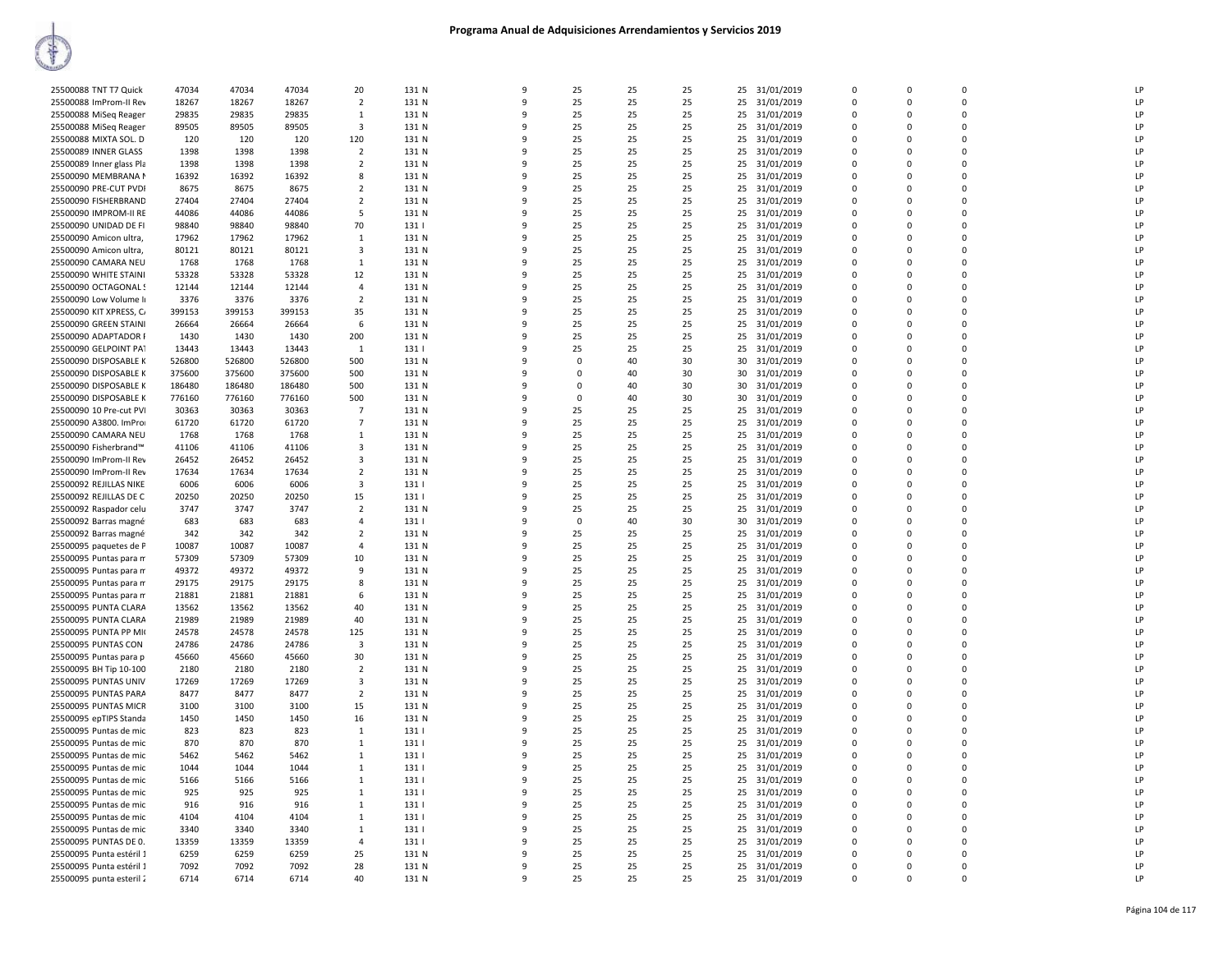| 25500088 TNT T7 Quick    | 47034  | 47034  | 47034  | 20                      | 131 N | 9        | 25          | 25 | 25 | 25 31/01/2019    | $\Omega$    | $\Omega$    | $\Omega$      | LP |
|--------------------------|--------|--------|--------|-------------------------|-------|----------|-------------|----|----|------------------|-------------|-------------|---------------|----|
| 25500088 ImProm-II Rev   | 18267  | 18267  | 18267  | 2                       | 131 N | 9        | 25          | 25 | 25 | 31/01/2019<br>25 | 0           | $\Omega$    | $\mathbf 0$   | LP |
| 25500088 MiSeq Reager    | 29835  | 29835  | 29835  | $\mathbf{1}$            | 131 N | 9        | 25          | 25 | 25 | 25<br>31/01/2019 | $\mathbf 0$ | $\Omega$    | $\mathbf 0$   | LP |
| 25500088 MiSeq Reager    | 89505  | 89505  | 89505  | 3                       | 131 N | $\Omega$ | 25          | 25 | 25 | 31/01/2019<br>25 | $\Omega$    | $\Omega$    | $\mathbf 0$   | LP |
| 25500088 MIXTA SOL. D    | 120    | 120    | 120    | 120                     | 131 N |          | 25          | 25 | 25 | 25 31/01/2019    | $\Omega$    | $\Omega$    | $\Omega$      | LP |
| 25500089 INNER GLASS     | 1398   | 1398   | 1398   | $\overline{2}$          | 131 N | ٩        | 25          | 25 | 25 | 25<br>31/01/2019 | $\Omega$    | $\Omega$    | $\mathbf 0$   | LP |
| 25500089 Inner glass Pla | 1398   | 1398   | 1398   | $\overline{2}$          | 131 N | q        | 25          | 25 | 25 | 25<br>31/01/2019 | $\Omega$    | $\Omega$    | $\Omega$      | LP |
| 25500090 MEMBRANA N      | 16392  | 16392  | 16392  | 8                       | 131 N |          | 25          | 25 | 25 | 31/01/2019<br>25 | $\Omega$    | $\Omega$    | $\Omega$      | LP |
| 25500090 PRE-CUT PVDI    | 8675   | 8675   | 8675   | 2                       | 131 N | 9        | 25          | 25 | 25 | 31/01/2019<br>25 | 0           | $\Omega$    | $\mathbf 0$   | LP |
| 25500090 FISHERBRAND     | 27404  | 27404  | 27404  | $\overline{2}$          | 131 N | 9        | 25          | 25 | 25 | 25<br>31/01/2019 | $\Omega$    | $\Omega$    | $\mathbf 0$   | LP |
| 25500090 IMPROM-II RE    | 44086  | 44086  | 44086  | 5                       | 131 N | q        | 25          | 25 | 25 | 31/01/2019<br>25 | $\Omega$    | $\Omega$    | $\mathbf 0$   | LP |
| 25500090 UNIDAD DE FI    | 98840  | 98840  | 98840  | 70                      | 131   |          | 25          | 25 | 25 | 25<br>31/01/2019 | $\Omega$    | $\Omega$    | $\Omega$      | LP |
|                          |        |        |        |                         |       | ٩        |             |    |    |                  | $\Omega$    | $\Omega$    |               | LP |
| 25500090 Amicon ultra,   | 17962  | 17962  | 17962  | $\mathbf{1}$            | 131 N | q        | 25          | 25 | 25 | 25<br>31/01/2019 |             | $\Omega$    | 0<br>$\Omega$ |    |
| 25500090 Amicon ultra,   | 80121  | 80121  | 80121  | 3                       | 131 N |          | 25          | 25 | 25 | 25<br>31/01/2019 | $\Omega$    |             |               | LP |
| 25500090 CAMARA NEU      | 1768   | 1768   | 1768   | 1                       | 131 N | 9        | 25          | 25 | 25 | 25<br>31/01/2019 | $\Omega$    | $\Omega$    | $\mathbf 0$   | LP |
| 25500090 WHITE STAINI    | 53328  | 53328  | 53328  | 12                      | 131 N | 9        | 25          | 25 | 25 | 31/01/2019<br>25 | $\Omega$    | $\Omega$    | $\mathbf 0$   | LP |
| 25500090 OCTAGONAL!      | 12144  | 12144  | 12144  | 4                       | 131 N | 9        | 25          | 25 | 25 | 25<br>31/01/2019 | $\Omega$    | $\Omega$    | $\mathbf 0$   | LP |
| 25500090 Low Volume II   | 3376   | 3376   | 3376   | $\overline{2}$          | 131 N | $\Omega$ | 25          | 25 | 25 | 31/01/2019<br>25 | $\Omega$    | $\Omega$    | $\mathbf 0$   | LP |
| 25500090 KIT XPRESS, C/  | 399153 | 399153 | 399153 | 35                      | 131 N |          | 25          | 25 | 25 | 25<br>31/01/2019 | $\mathbf 0$ | $\Omega$    | $\mathbf 0$   | LP |
| 25500090 GREEN STAINI    | 26664  | 26664  | 26664  | 6                       | 131 N | ٩        | 25          | 25 | 25 | 25<br>31/01/2019 | $\Omega$    | $\Omega$    | $\pmb{0}$     | LP |
| 25500090 ADAPTADOR F     | 1430   | 1430   | 1430   | 200                     | 131 N | q        | 25          | 25 | 25 | 25<br>31/01/2019 | $\Omega$    | $\Omega$    | $\Omega$      | LP |
| 25500090 GELPOINT PAT    | 13443  | 13443  | 13443  | 1                       | 131   | ٩        | 25          | 25 | 25 | 25<br>31/01/2019 | $\Omega$    | $\Omega$    | $\mathbf 0$   | LP |
| 25500090 DISPOSABLE K    | 526800 | 526800 | 526800 | 500                     | 131 N | 9        | $\Omega$    | 40 | 30 | 31/01/2019<br>30 | $\Omega$    | $\Omega$    | $\mathbf 0$   | LP |
| 25500090 DISPOSABLE K    | 375600 | 375600 | 375600 | 500                     | 131 N | 9        | $\mathbf 0$ | 40 | 30 | 30<br>31/01/2019 | 0           | 0           | $\mathbf 0$   | LP |
| 25500090 DISPOSABLE K    | 186480 | 186480 | 186480 | 500                     | 131 N | $\Omega$ | $\mathbf 0$ | 40 | 30 | 31/01/2019<br>30 | $\Omega$    | $\Omega$    | $\mathbf 0$   | LP |
| 25500090 DISPOSABLE K    | 776160 | 776160 | 776160 | 500                     | 131 N |          | $\mathbf 0$ | 40 | 30 | 30<br>31/01/2019 | $\Omega$    | $\Omega$    | $\mathbf 0$   | LP |
| 25500090 10 Pre-cut PVI  | 30363  | 30363  | 30363  | 7                       | 131 N | ٩        | 25          | 25 | 25 | 25<br>31/01/2019 | $\Omega$    | $\Omega$    | $\pmb{0}$     | LP |
| 25500090 A3800. ImPro    | 61720  | 61720  | 61720  | $\overline{7}$          | 131 N | q        | 25          | 25 | 25 | 25<br>31/01/2019 | $\Omega$    | $\Omega$    | $\Omega$      | LP |
| 25500090 CAMARA NEU      | 1768   | 1768   | 1768   | 1                       | 131 N | ٩        | 25          | 25 | 25 | 25<br>31/01/2019 | $\Omega$    | $\Omega$    | $\mathbf 0$   | LP |
| 25500090 Fisherbrand™    | 41106  | 41106  | 41106  | 3                       | 131 N | 9        | 25          | 25 | 25 | 31/01/2019<br>25 | $\Omega$    | $\Omega$    | $\Omega$      | LP |
| 25500090 ImProm-II Rev   | 26452  | 26452  | 26452  | 3                       | 131 N | 9        | 25          |    | 25 | 25               | $\mathbf 0$ | $\mathbf 0$ | $\mathbf 0$   | LP |
|                          |        |        |        |                         |       | q        |             | 25 |    | 31/01/2019       | $\Omega$    |             | $\Omega$      | LP |
| 25500090 ImProm-II Rev   | 17634  | 17634  | 17634  | $\overline{2}$          | 131 N |          | 25          | 25 | 25 | 25<br>31/01/2019 |             | $\Omega$    |               |    |
| 25500092 REJILLAS NIKE   | 6006   | 6006   | 6006   | 3                       | 131   |          | 25          | 25 | 25 | 25<br>31/01/2019 | $\Omega$    | $\Omega$    | $\mathbf 0$   | LP |
| 25500092 REJILLAS DE C   | 20250  | 20250  | 20250  | 15                      | 131   | ٩        | 25          | 25 | 25 | 25<br>31/01/2019 | $\Omega$    | $\Omega$    | 0             | LP |
| 25500092 Raspador celu   | 3747   | 3747   | 3747   | $\overline{2}$          | 131 N | q        | 25          | 25 | 25 | 25<br>31/01/2019 | $\Omega$    | $\Omega$    | $\Omega$      | LP |
| 25500092 Barras magné    | 683    | 683    | 683    | 4                       | 131   | q        | $\mathbf 0$ | 40 | 30 | 30<br>31/01/2019 | $\Omega$    | $\Omega$    | $\Omega$      | LP |
| 25500092 Barras magné    | 342    | 342    | 342    | 2                       | 131 N | 9        | 25          | 25 | 25 | 31/01/2019<br>25 | $\Omega$    | $\Omega$    | $\Omega$      | LP |
| 25500095 paquetes de P   | 10087  | 10087  | 10087  | 4                       | 131 N | 9        | 25          | 25 | 25 | 25<br>31/01/2019 | $\mathbf 0$ | 0           | $\mathbf 0$   | LP |
| 25500095 Puntas para m   | 57309  | 57309  | 57309  | 10                      | 131 N | q        | 25          | 25 | 25 | 25<br>31/01/2019 | $\Omega$    | $\Omega$    | $\Omega$      | LP |
| 25500095 Puntas para m   | 49372  | 49372  | 49372  | 9                       | 131 N |          | 25          | 25 | 25 | 25<br>31/01/2019 | 0           | $\mathbf 0$ | $\mathbf 0$   | LP |
| 25500095 Puntas para m   | 29175  | 29175  | 29175  | 8                       | 131 N |          | 25          | 25 | 25 | 31/01/2019<br>25 | $\Omega$    | $\Omega$    | $\Omega$      | LP |
| 25500095 Puntas para m   | 21881  | 21881  | 21881  | 6                       | 131 N | q        | 25          | 25 | 25 | 25 31/01/2019    | $\Omega$    | $\Omega$    | $\Omega$      | LP |
| 25500095 PUNTA CLARA     | 13562  | 13562  | 13562  | 40                      | 131 N | ٩        | 25          | 25 | 25 | 25<br>31/01/2019 | $\Omega$    | $\Omega$    | $\Omega$      | LP |
| 25500095 PUNTA CLARA     | 21989  | 21989  | 21989  | 40                      | 131 N | 9        | 25          | 25 | 25 | 31/01/2019<br>25 | $\Omega$    | $\Omega$    | $\Omega$      | LP |
| 25500095 PUNTA PP MI     | 24578  | 24578  | 24578  | 125                     | 131 N | 9        | 25          | 25 | 25 | 25<br>31/01/2019 | $\mathbf 0$ | $\mathbf 0$ | $\mathbf 0$   | LP |
| 25500095 PUNTAS CON      | 24786  | 24786  | 24786  | $\overline{\mathbf{3}}$ | 131 N | q        | 25          | 25 | 25 | 25<br>31/01/2019 | $\Omega$    | $\Omega$    | $\Omega$      | LP |
| 25500095 Puntas para p   | 45660  | 45660  | 45660  | 30                      | 131 N | q        | 25          | 25 | 25 | 25<br>31/01/2019 | $\mathbf 0$ | $\mathbf 0$ | 0             | LP |
| 25500095 BH Tip 10-100   | 2180   | 2180   | 2180   | $\overline{2}$          | 131 N |          | 25          | 25 | 25 | 31/01/2019<br>25 | $\Omega$    | $\Omega$    | $\pmb{0}$     | LP |
| 25500095 PUNTAS UNIV     | 17269  | 17269  | 17269  | 3                       | 131 N | q        | 25          | 25 | 25 | 25<br>31/01/2019 | $\Omega$    | $\Omega$    | $\Omega$      | LP |
| 25500095 PUNTAS PARA     | 8477   | 8477   | 8477   | $\overline{2}$          | 131 N | q        | 25          | 25 | 25 | 25<br>31/01/2019 | $\Omega$    | $\Omega$    | $\Omega$      | LP |
| 25500095 PUNTAS MICR     | 3100   | 3100   | 3100   | 15                      | 131 N | 9        | 25          | 25 | 25 | 31/01/2019<br>25 | $\Omega$    | $\Omega$    | $\Omega$      | LP |
| 25500095 epTIPS Standa   | 1450   | 1450   | 1450   | 16                      | 131 N | 9        | 25          | 25 | 25 | 25<br>31/01/2019 | $\mathbf 0$ | $\mathbf 0$ | $\mathbf 0$   | LP |
| 25500095 Puntas de mic   | 823    | 823    | 823    | $\mathbf{1}$            | 131   | q        | 25          | 25 | 25 | 25<br>31/01/2019 | $\Omega$    | $\Omega$    | $\Omega$      | LP |
| 25500095 Puntas de mic   | 870    | 870    | 870    | 1                       | 131   | q        | 25          | 25 | 25 | 25<br>31/01/2019 | 0           | $\mathbf 0$ | $\mathbf 0$   | LP |
| 25500095 Puntas de mic   | 5462   | 5462   | 5462   | 1                       | 131   | q        | 25          | 25 | 25 | 31/01/2019<br>25 | $\Omega$    | $\Omega$    | $\Omega$      | LP |
|                          | 1044   | 1044   | 1044   | 1                       | 131   |          | 25          | 25 | 25 | 25               | $\Omega$    | $\Omega$    | $\Omega$      | LP |
| 25500095 Puntas de mic   |        |        |        |                         |       |          |             |    |    | 31/01/2019       |             |             | $\Omega$      | LP |
| 25500095 Puntas de mic   | 5166   | 5166   | 5166   | 1                       | 131   | ٩        | 25          | 25 | 25 | 25<br>31/01/2019 | $\Omega$    | $\Omega$    |               |    |
| 25500095 Puntas de mic   | 925    | 925    | 925    | $\mathbf{1}$            | 131   | 9        | 25          | 25 | 25 | 25 31/01/2019    | $\Omega$    | $\Omega$    | $\Omega$      | LP |
| 25500095 Puntas de mic   | 916    | 916    | 916    | $\mathbf{1}$            | 131   | 9        | 25          | 25 | 25 | 25<br>31/01/2019 | 0           | 0           | 0             | LP |
| 25500095 Puntas de mic   | 4104   | 4104   | 4104   | 1                       | 131   | q        | 25          | 25 | 25 | 25<br>31/01/2019 | $\Omega$    | $\Omega$    | $\Omega$      | LP |
| 25500095 Puntas de mic   | 3340   | 3340   | 3340   | 1                       | 131   | q        | 25          | 25 | 25 | 25<br>31/01/2019 | $\mathbf 0$ | $\Omega$    | $\mathbf 0$   | LP |
| 25500095 PUNTAS DE 0.    | 13359  | 13359  | 13359  | $\Delta$                | 131   |          | 25          | 25 | 25 | 25<br>31/01/2019 | $\Omega$    | $\Omega$    | $\mathbf 0$   | LP |
| 25500095 Punta estéril 1 | 6259   | 6259   | 6259   | 25                      | 131 N |          | 25          | 25 | 25 | 25<br>31/01/2019 | $\Omega$    | $\Omega$    | $\Omega$      | LP |
| 25500095 Punta estéril 1 | 7092   | 7092   | 7092   | 28                      | 131 N | ٩        | 25          | 25 | 25 | 25<br>31/01/2019 | $\Omega$    | $\Omega$    | $\Omega$      | LP |
| 25500095 punta esteril 2 | 6714   | 6714   | 6714   | 40                      | 131 N | 9        | 25          | 25 | 25 | 25 31/01/2019    | $\Omega$    | $\Omega$    | $\Omega$      | LP |
|                          |        |        |        |                         |       |          |             |    |    |                  |             |             |               |    |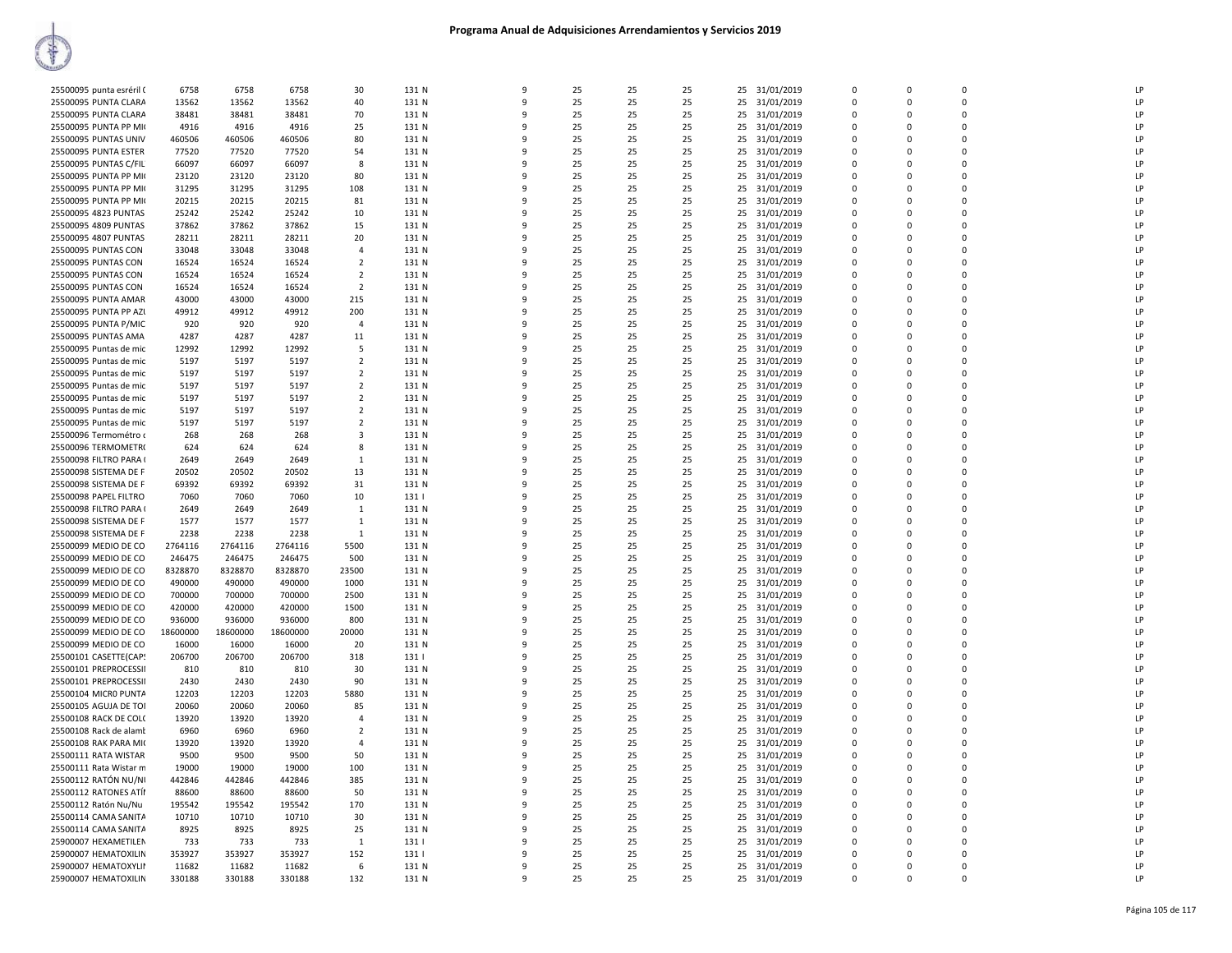| 25500095 punta esréril ( | 6758           | 6758     | 6758     | 30             | 131 N | q            | 25 | 25 | 25 | 25 31/01/2019    | $\Omega$    | $\Omega$ | $\Omega$    | LP           |
|--------------------------|----------------|----------|----------|----------------|-------|--------------|----|----|----|------------------|-------------|----------|-------------|--------------|
| 25500095 PUNTA CLARA     | 13562          | 13562    | 13562    | 40             | 131 N | 9            | 25 | 25 | 25 | 25<br>31/01/2019 | $\mathbf 0$ | $\Omega$ | 0           | LP           |
| 25500095 PUNTA CLARA     | 38481          | 38481    | 38481    | 70             | 131 N | $\mathbf{q}$ | 25 | 25 | 25 | 25 31/01/2019    | $\Omega$    | $\Omega$ | $\Omega$    | <b>LP</b>    |
| 25500095 PUNTA PP MK     | 4916           | 4916     | 4916     | 25             | 131 N | 9            | 25 | 25 | 25 | 25 31/01/2019    | $\mathbf 0$ | $\Omega$ | 0           | LP           |
| 25500095 PUNTAS UNIV     | 460506         | 460506   | 460506   | 80             | 131 N | c            | 25 | 25 | 25 | 31/01/2019<br>25 | $\Omega$    | n        | $\mathbf 0$ | LP           |
| 25500095 PUNTA ESTER     | 77520          | 77520    | 77520    | 54             | 131 N |              | 25 | 25 | 25 | 25<br>31/01/2019 | $\Omega$    | $\Omega$ | $\Omega$    | LP           |
| 25500095 PUNTAS C/FIL    | 66097          | 66097    | 66097    | 8              | 131 N | q            | 25 | 25 | 25 | 31/01/2019<br>25 | $\Omega$    | n        | $\Omega$    | LP           |
| 25500095 PUNTA PP MK     | 23120          | 23120    | 23120    | 80             | 131 N | q            | 25 | 25 | 25 | 25 31/01/2019    | $\Omega$    | $\Omega$ | $\Omega$    | LP           |
| 25500095 PUNTA PP MK     | 31295          | 31295    | 31295    | 108            | 131 N | 9            | 25 | 25 | 25 | 25<br>31/01/2019 | $\mathbf 0$ | $\Omega$ | 0           | LP           |
| 25500095 PUNTA PP MI     | 20215          | 20215    | 20215    | 81             | 131 N | c            | 25 | 25 | 25 | 31/01/2019<br>25 | $\Omega$    | n        | $\Omega$    | LP           |
| 25500095 4823 PUNTAS     |                | 25242    | 25242    | 10             | 131 N |              | 25 | 25 | 25 | 25               | $\mathbf 0$ | $\Omega$ | 0           | LP           |
|                          | 25242<br>37862 | 37862    |          |                |       |              |    | 25 |    | 31/01/2019       | $\Omega$    | n        | $\mathbf 0$ | LP           |
| 25500095 4809 PUNTAS     |                |          | 37862    | 15             | 131 N |              | 25 |    | 25 | 31/01/2019<br>25 |             |          |             |              |
| 25500095 4807 PUNTAS     | 28211          | 28211    | 28211    | 20             | 131 N |              | 25 | 25 | 25 | 25<br>31/01/2019 | $\Omega$    | $\Omega$ | $\Omega$    | LP           |
| 25500095 PUNTAS CON      | 33048          | 33048    | 33048    | $\Delta$       | 131 N | ۰            | 25 | 25 | 25 | 31/01/2019<br>25 | $\Omega$    | n        | $\Omega$    | <b>LP</b>    |
| 25500095 PUNTAS CON      | 16524          | 16524    | 16524    | $\overline{2}$ | 131 N |              | 25 | 25 | 25 | 25<br>31/01/2019 | $\Omega$    | $\Omega$ | $\Omega$    | LP           |
| 25500095 PUNTAS CON      | 16524          | 16524    | 16524    | $\overline{2}$ | 131 N | 9            | 25 | 25 | 25 | 31/01/2019<br>25 | $\mathbf 0$ | $\Omega$ | 0           | LP           |
| 25500095 PUNTAS CON      | 16524          | 16524    | 16524    | $\overline{2}$ | 131 N | q            | 25 | 25 | 25 | 25 31/01/2019    | $\Omega$    | $\Omega$ | $\Omega$    | LP           |
| 25500095 PUNTA AMAR      | 43000          | 43000    | 43000    | 215            | 131 N |              | 25 | 25 | 25 | 25 31/01/2019    | $\mathbf 0$ | $\Omega$ | 0           | LP           |
| 25500095 PUNTA PP AZI    | 49912          | 49912    | 49912    | 200            | 131 N |              | 25 | 25 | 25 | 25 31/01/2019    | $\Omega$    | $\Omega$ | 0           | LP           |
| 25500095 PUNTA P/MIC     | 920            | 920      | 920      | $\overline{4}$ | 131 N |              | 25 | 25 | 25 | 25<br>31/01/2019 | $\mathbf 0$ | 0        | 0           | LP           |
| 25500095 PUNTAS AMA      | 4287           | 4287     | 4287     | 11             | 131 N | ۰            | 25 | 25 | 25 | 31/01/2019<br>25 | $\Omega$    | n        | $\Omega$    | LP           |
| 25500095 Puntas de mic   | 12992          | 12992    | 12992    | 5              | 131 N |              | 25 | 25 | 25 | 31/01/2019<br>25 | $\Omega$    | $\Omega$ | $\Omega$    | LP           |
| 25500095 Puntas de mic   | 5197           | 5197     | 5197     | $\overline{2}$ | 131 N | 9            | 25 | 25 | 25 | 31/01/2019<br>25 | $\mathbf 0$ | $\Omega$ | 0           | LP           |
| 25500095 Puntas de mic   | 5197           | 5197     | 5197     | $\overline{2}$ | 131 N | 9            | 25 | 25 | 25 | 25<br>31/01/2019 | $\mathbf 0$ | $\Omega$ | 0           | LP           |
| 25500095 Puntas de mic   | 5197           | 5197     | 5197     | $\overline{2}$ | 131 N |              | 25 | 25 | 25 | 25<br>31/01/2019 | $\mathbf 0$ | $\Omega$ | 0           | LP           |
| 25500095 Puntas de mic   | 5197           | 5197     | 5197     | $\overline{2}$ | 131 N |              | 25 | 25 | 25 | 31/01/2019<br>25 | $\Omega$    | 0        | $\mathbf 0$ | LP           |
| 25500095 Puntas de mic   | 5197           | 5197     | 5197     | $\overline{2}$ | 131 N |              | 25 | 25 | 25 | 25<br>31/01/2019 | $\mathbf 0$ | $\Omega$ | 0           | LP           |
| 25500095 Puntas de mic   | 5197           | 5197     | 5197     | $\overline{2}$ | 131 N | q            | 25 | 25 | 25 | 31/01/2019<br>25 | $\Omega$    | n        | $\Omega$    | LP           |
| 25500096 Termométro o    | 268            | 268      | 268      | 3              | 131 N |              | 25 | 25 | 25 | 31/01/2019<br>25 | $\Omega$    | $\Omega$ | $\Omega$    | LP           |
| 25500096 TERMOMETR(      | 624            | 624      | 624      | 8              | 131 N | 9            | 25 | 25 | 25 | 31/01/2019<br>25 | $\mathbf 0$ | $\Omega$ | 0           | LP           |
| 25500098 FILTRO PARA (   | 2649           | 2649     | 2649     | $\mathbf{1}$   | 131 N | 9            | 25 | 25 | 25 | 25<br>31/01/2019 | $\mathbf 0$ | $\Omega$ | $\Omega$    | LP           |
| 25500098 SISTEMA DE F    | 20502          | 20502    | 20502    | 13             | 131 N | q            | 25 | 25 | 25 | 25 31/01/2019    | $\mathbf 0$ | $\Omega$ | 0           | LP           |
| 25500098 SISTEMA DE F    | 69392          | 69392    | 69392    | 31             | 131 N |              | 25 | 25 | 25 | 25 31/01/2019    | $\Omega$    | $\Omega$ | $\mathbf 0$ | LP           |
| 25500098 PAPEL FILTRO    | 7060           | 7060     | 7060     | 10             | 131   |              | 25 | 25 | 25 | 25<br>31/01/2019 | $\mathbf 0$ | $\Omega$ | 0           | LP           |
| 25500098 FILTRO PARA (   | 2649           | 2649     | 2649     | $\mathbf{1}$   | 131 N | q            | 25 | 25 | 25 | 31/01/2019<br>25 | $\Omega$    | n        | $\Omega$    | LP           |
| 25500098 SISTEMA DE F    | 1577           | 1577     | 1577     | 1              | 131 N |              | 25 | 25 | 25 | 31/01/2019<br>25 | $\Omega$    | $\Omega$ | $\Omega$    | LP           |
| 25500098 SISTEMA DE F    | 2238           | 2238     | 2238     | 1              | 131 N | q            | 25 | 25 | 25 | 31/01/2019<br>25 | $\mathbf 0$ | $\Omega$ | 0           | LP           |
| 25500099 MEDIO DE CO     | 2764116        | 2764116  | 2764116  | 5500           | 131 N | 9            | 25 | 25 | 25 | 25<br>31/01/2019 | $\mathbf 0$ | $\Omega$ | $\Omega$    | LP           |
| 25500099 MEDIO DE CO     | 246475         | 246475   | 246475   | 500            | 131 N | q            | 25 | 25 | 25 | 31/01/2019<br>25 | $\mathbf 0$ | $\Omega$ | $\Omega$    | LP           |
| 25500099 MEDIO DE CO     | 8328870        | 8328870  | 8328870  | 23500          | 131 N |              | 25 | 25 | 25 | 25<br>31/01/2019 | $\mathbf 0$ | $\Omega$ | 0           | LP           |
| 25500099 MEDIO DE CO     | 490000         | 490000   | 490000   | 1000           | 131 N | q            | 25 | 25 | 25 | 25<br>31/01/2019 | 0           | n        | 0           | LP           |
|                          |                |          |          |                |       | q            |    |    |    |                  | $\mathbf 0$ | $\Omega$ | $\Omega$    | LP           |
| 25500099 MEDIO DE CO     | 700000         | 700000   | 700000   | 2500           | 131 N |              | 25 | 25 | 25 | 25 31/01/2019    |             |          | $\Omega$    |              |
| 25500099 MEDIO DE CO     | 420000         | 420000   | 420000   | 1500           | 131 N |              | 25 | 25 | 25 | 31/01/2019<br>25 | $\Omega$    | $\Omega$ |             | LP           |
| 25500099 MEDIO DE CO     | 936000         | 936000   | 936000   | 800            | 131 N | q            | 25 | 25 | 25 | 31/01/2019<br>25 | $\Omega$    | $\Omega$ | $\Omega$    | LP           |
| 25500099 MEDIO DE CO     | 18600000       | 18600000 | 18600000 | 20000          | 131 N | 9            | 25 | 25 | 25 | 25<br>31/01/2019 | $\mathbf 0$ | $\Omega$ | $\Omega$    | LP           |
| 25500099 MEDIO DE CO     | 16000          | 16000    | 16000    | 20             | 131 N | q            | 25 | 25 | 25 | 31/01/2019<br>25 | $\mathbf 0$ | n        | $\Omega$    | LP           |
| 25500101 CASETTE(CAP)    | 206700         | 206700   | 206700   | 318            | 131   |              | 25 | 25 | 25 | 25 31/01/2019    | $\mathbf 0$ | $\Omega$ | 0           | LP           |
| 25500101 PREPROCESSII    | 810            | 810      | 810      | 30             | 131 N |              | 25 | 25 | 25 | 31/01/2019<br>25 | 0           | n        | 0           | $\mathsf{I}$ |
| 25500101 PREPROCESSII    | 2430           | 2430     | 2430     | 90             | 131 N | q            | 25 | 25 | 25 | 25 31/01/2019    | $\Omega$    | $\Omega$ | $\Omega$    | LP           |
| 25500104 MICRO PUNTA     | 12203          | 12203    | 12203    | 5880           | 131 N |              | 25 | 25 | 25 | 25<br>31/01/2019 | $\Omega$    | $\Omega$ | $\Omega$    | LP           |
| 25500105 AGUJA DE TOI    | 20060          | 20060    | 20060    | 85             | 131 N | q            | 25 | 25 | 25 | 31/01/2019<br>25 | $\mathbf 0$ | $\Omega$ | 0           | LP           |
| 25500108 RACK DE COL(    | 13920          | 13920    | 13920    | $\overline{a}$ | 131 N | 9            | 25 | 25 | 25 | 25<br>31/01/2019 | $\mathbf 0$ | $\Omega$ | $\Omega$    | LP           |
| 25500108 Rack de alamt   | 6960           | 6960     | 6960     | $\overline{2}$ | 131 N | q            | 25 | 25 | 25 | 25 31/01/2019    | $\mathbf 0$ | n        | $\Omega$    | LP           |
| 25500108 RAK PARA MI(    | 13920          | 13920    | 13920    | $\overline{a}$ | 131 N |              | 25 | 25 | 25 | 25 31/01/2019    | $\mathbf 0$ | $\Omega$ | 0           | LP           |
| 25500111 RATA WISTAR     | 9500           | 9500     | 9500     | 50             | 131 N |              | 25 | 25 | 25 | 31/01/2019<br>25 | 0           | n        | 0           | LP           |
| 25500111 Rata Wistar m   | 19000          | 19000    | 19000    | 100            | 131 N | q            | 25 | 25 | 25 | 25 31/01/2019    | $\Omega$    | $\Omega$ | $\Omega$    | LP           |
| 25500112 RATÓN NU/NI     | 442846         | 442846   | 442846   | 385            | 131 N | q            | 25 | 25 | 25 | 25 31/01/2019    | $\mathbf 0$ | $\Omega$ | $\Omega$    | LP           |
| 25500112 RATONES ATÍI    | 88600          | 88600    | 88600    | 50             | 131 N | q            | 25 | 25 | 25 | 31/01/2019<br>25 | $\Omega$    | $\Omega$ | 0           | LP           |
| 25500112 Ratón Nu/Nu     | 195542         | 195542   | 195542   | 170            | 131 N | 9            | 25 | 25 | 25 | 25<br>31/01/2019 | $\mathbf 0$ | $\Omega$ | $\Omega$    | LP           |
| 25500114 CAMA SANITA     | 10710          | 10710    | 10710    | 30             | 131 N | q            | 25 | 25 | 25 | 31/01/2019<br>25 | $\mathbf 0$ | n        | $\Omega$    | LP           |
| 25500114 CAMA SANITA     | 8925           | 8925     | 8925     | 25             | 131 N |              | 25 | 25 | 25 | 25 31/01/2019    | $\mathbf 0$ | $\Omega$ | $\mathbf 0$ | LP           |
| 25900007 HEXAMETILEN     | 733            | 733      | 733      | 1              | 131   | ۹            | 25 | 25 | 25 | 31/01/2019<br>25 | $\mathbf 0$ | $\Omega$ | 0           | LP           |
| 25900007 HEMATOXILIN     | 353927         | 353927   | 353927   | 152            | 131   | q            | 25 | 25 | 25 | 25 31/01/2019    | $\mathbf 0$ | $\Omega$ | 0           | LP           |
| 25900007 HEMATOXYLII     | 11682          | 11682    | 11682    | 6              | 131 N | q            | 25 | 25 | 25 | 25 31/01/2019    | $\Omega$    | n        | $\Omega$    | LP           |
| 25900007 HEMATOXILIN     | 330188         | 330188   | 330188   | 132            | 131 N | 9            | 25 | 25 | 25 | 25 31/01/2019    | $\Omega$    | $\Omega$ | $\Omega$    | LP           |
|                          |                |          |          |                |       |              |    |    |    |                  |             |          |             |              |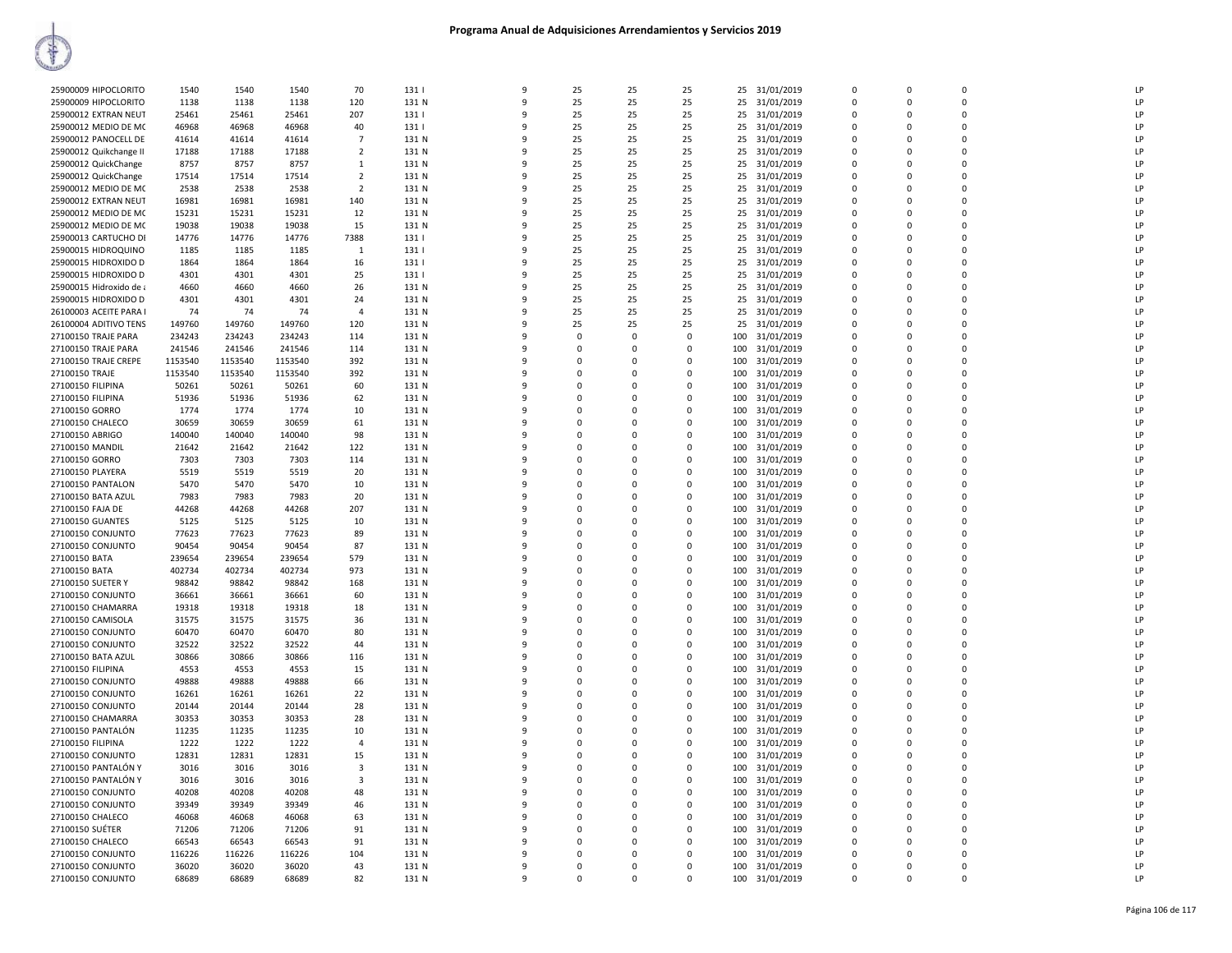| 25900009 HIPOCLORITO    | 1540    | 1540    | 1540    | 70             | 131   | 9  | 25          | 25          | 25          | 25  | 31/01/2019    | 0           | $\mathbf 0$ | 0           | LP             |
|-------------------------|---------|---------|---------|----------------|-------|----|-------------|-------------|-------------|-----|---------------|-------------|-------------|-------------|----------------|
| 25900009 HIPOCLORITO    | 1138    | 1138    | 1138    | 120            | 131 N | q  | 25          | 25          | 25          | 25  | 31/01/2019    | $\Omega$    | $\Omega$    | $\Omega$    | LP             |
|                         |         |         |         |                |       |    |             |             |             |     |               |             |             |             |                |
| 25900012 EXTRAN NEUT    | 25461   | 25461   | 25461   | 207            | 1311  |    | 25          | 25          | 25          | 25  | 31/01/2019    | $\Omega$    | $\Omega$    | $\Omega$    | LP             |
| 25900012 MEDIO DE MC    | 46968   | 46968   | 46968   | 40             | 131   | q  | 25          | 25          | 25          | 25  | 31/01/2019    | $\Omega$    | $\Omega$    | $\mathbf 0$ | LP             |
|                         |         |         |         |                |       |    |             |             |             |     |               |             |             |             |                |
| 25900012 PANOCELL DE    | 41614   | 41614   | 41614   | $\overline{7}$ | 131 N | q  | 25          | 25          | 25          | 25  | 31/01/2019    | $\Omega$    | $\Omega$    | 0           | LP             |
| 25900012 Quikchange II  | 17188   | 17188   | 17188   | $\overline{2}$ | 131 N | q  | 25          | 25          | 25          | 25  | 31/01/2019    | $\Omega$    | $\Omega$    | $\Omega$    | LP             |
|                         |         |         |         |                |       |    |             |             |             |     |               |             |             |             |                |
| 25900012 QuickChange    | 8757    | 8757    | 8757    | $\mathbf{1}$   | 131 N | q  | 25          | 25          | 25          |     | 25 31/01/2019 | $\Omega$    | $\Omega$    | $\mathbf 0$ | LP             |
| 25900012 QuickChange    | 17514   | 17514   | 17514   | $\overline{2}$ | 131 N | 9  | 25          | 25          | 25          | 25  | 31/01/2019    | 0           | $\mathbf 0$ | $\mathbf 0$ | LP             |
|                         |         |         |         |                |       |    |             |             |             |     |               |             |             | $\Omega$    |                |
| 25900012 MEDIO DE MC    | 2538    | 2538    | 2538    | $\overline{2}$ | 131 N | q  | 25          | 25          | 25          | 25  | 31/01/2019    | $\Omega$    | $\Omega$    |             | LP             |
| 25900012 EXTRAN NEUT    | 16981   | 16981   | 16981   | 140            | 131 N |    | 25          | 25          | 25          | 25  | 31/01/2019    | $\Omega$    | $\Omega$    | $\Omega$    | LP             |
|                         |         |         |         |                |       |    |             |             |             |     |               |             |             |             | I <sub>P</sub> |
| 25900012 MEDIO DE MC    | 15231   | 15231   | 15231   | 12             | 131 N |    | 25          | 25          | 25          | 25  | 31/01/2019    | $\Omega$    | $\Omega$    | 0           |                |
| 25900012 MEDIO DE MC    | 19038   | 19038   | 19038   | 15             | 131 N |    | 25          | 25          | 25          | 25  | 31/01/2019    | $\Omega$    | $\Omega$    | $\Omega$    | LP             |
| 25900013 CARTUCHO DI    | 14776   | 14776   | 14776   | 7388           | 131   | ٩  | 25          | 25          | 25          | 25  | 31/01/2019    | $\Omega$    | $\Omega$    | $\Omega$    | LP             |
|                         |         |         |         |                |       |    |             |             |             |     |               |             |             |             |                |
| 25900015 HIDROQUINO     | 1185    | 1185    | 1185    | $\mathbf{1}$   | 131   | q  | 25          | 25          | 25          | 25  | 31/01/2019    | $\Omega$    | $\Omega$    | $\mathbf 0$ | LP             |
| 25900015 HIDROXIDO D    | 1864    | 1864    | 1864    | 16             | 131   | 9  | 25          | 25          | 25          | 25  | 31/01/2019    | 0           | 0           | 0           | LP             |
|                         |         |         |         |                |       |    |             |             |             |     |               |             |             |             |                |
| 25900015 HIDROXIDO D    | 4301    | 4301    | 4301    | 25             | 131   | q  | 25          | 25          | 25          | 25  | 31/01/2019    | $\Omega$    | $\Omega$    | $\Omega$    | LP             |
| 25900015 Hidroxido de a | 4660    | 4660    | 4660    | 26             | 131 N |    | 25          | 25          | 25          | 25  | 31/01/2019    | $\Omega$    | $\Omega$    | $\Omega$    | LP             |
|                         |         |         |         |                |       |    |             |             |             |     |               |             |             |             |                |
| 25900015 HIDROXIDO D    | 4301    | 4301    | 4301    | 24             | 131 N | q  | 25          | 25          | 25          | 25  | 31/01/2019    | $\Omega$    | $\Omega$    | $\Omega$    | LP             |
| 26100003 ACEITE PARA I  | 74      | 74      | 74      | $\overline{a}$ | 131 N |    | 25          | 25          | 25          | 25  | 31/01/2019    | $\Omega$    | $\Omega$    | $\Omega$    | LP             |
|                         |         |         |         |                |       |    |             |             |             |     |               |             |             |             |                |
| 26100004 ADITIVO TENS   | 149760  | 149760  | 149760  | 120            | 131 N | ٩  | 25          | 25          | 25          | 25  | 31/01/2019    | $\Omega$    | $\Omega$    | $\Omega$    | LP             |
| 27100150 TRAJE PARA     | 234243  | 234243  | 234243  | 114            | 131 N | q  | $\mathbf 0$ | $\mathbf 0$ | $\mathbf 0$ | 100 | 31/01/2019    | $\Omega$    | $\Omega$    | $\mathbf 0$ | LP             |
|                         |         |         |         |                |       |    |             |             |             |     |               |             |             |             |                |
| 27100150 TRAJE PARA     | 241546  | 241546  | 241546  | 114            | 131 N | q  | 0           | $\mathbf 0$ | 0           | 100 | 31/01/2019    | 0           | $\Omega$    | $\mathbf 0$ | LP             |
| 27100150 TRAJE CREPE    | 1153540 | 1153540 | 1153540 | 392            | 131 N | q  | $\Omega$    | $\Omega$    | $\Omega$    | 100 | 31/01/2019    | $\Omega$    | $\Omega$    | $\Omega$    | LP             |
|                         |         |         |         |                |       |    |             |             |             |     |               |             |             |             |                |
| 27100150 TRAJE          | 1153540 | 1153540 | 1153540 | 392            | 131 N | q  | $\Omega$    | $\Omega$    | 0           | 100 | 31/01/2019    | $\Omega$    | $\Omega$    | $\Omega$    | LP             |
| 27100150 FILIPINA       | 50261   | 50261   | 50261   | 60             | 131 N |    | $\Omega$    | $\Omega$    | $\Omega$    | 100 | 31/01/2019    | $\Omega$    | $\Omega$    | $\Omega$    | LP             |
|                         |         |         |         |                |       |    |             |             |             |     |               |             |             |             |                |
| 27100150 FILIPINA       | 51936   | 51936   | 51936   | 62             | 131 N |    | $\Omega$    | $\Omega$    | 0           | 100 | 31/01/2019    | $\Omega$    | $\Omega$    | $\Omega$    | LP             |
| 27100150 GORRO          | 1774    | 1774    | 1774    | 10             | 131 N | ٩  | $\Omega$    | $\Omega$    | 0           | 100 | 31/01/2019    | $\Omega$    | $\Omega$    | $\Omega$    | LP             |
| 27100150 CHALECC        | 30659   | 30659   | 30659   | 61             | 131 N | q  | $\Omega$    | $\Omega$    | 0           | 100 | 31/01/2019    | $\Omega$    | $\Omega$    | $\mathbf 0$ | LP             |
|                         |         |         |         |                |       |    |             |             |             |     |               |             |             |             |                |
| 27100150 ABRIGO         | 140040  | 140040  | 140040  | 98             | 131 N | 9  | 0           | $\mathbf 0$ | 0           | 100 | 31/01/2019    | 0           | $\Omega$    | $\mathbf 0$ | LP             |
| 27100150 MANDIL         | 21642   | 21642   | 21642   | 122            | 131 N | q  | $\mathbf 0$ | $\mathbf 0$ | $\mathbf 0$ | 100 | 31/01/2019    | $\mathbf 0$ | $\Omega$    | $\mathbf 0$ | LP             |
|                         |         |         |         |                |       |    |             |             |             |     |               |             |             |             |                |
| 27100150 GORRO          | 7303    | 7303    | 7303    | 114            | 131 N | q  | $\Omega$    | $\Omega$    | 0           | 100 | 31/01/2019    | $\Omega$    | $\Omega$    | $\Omega$    | LP             |
| 27100150 PLAYERA        | 5519    | 5519    | 5519    | 20             | 131 N |    | $\Omega$    | $\Omega$    | $\Omega$    | 100 | 31/01/2019    | $\Omega$    | $\Omega$    | $\Omega$    | LP             |
|                         |         |         |         |                |       |    |             |             |             |     |               |             |             |             |                |
| 27100150 PANTALON       | 5470    | 5470    | 5470    | 10             | 131 N |    | $\Omega$    | $\Omega$    | $\Omega$    | 100 | 31/01/2019    | $\Omega$    | $\Omega$    | $\Omega$    | LP             |
| 27100150 BATA AZUL      | 7983    | 7983    | 7983    | 20             | 131 N | ٩  | $\Omega$    | $\Omega$    | 0           | 100 | 31/01/2019    | $\Omega$    | $\Omega$    | $\Omega$    | LP             |
|                         |         |         |         |                |       |    |             |             |             |     |               |             |             |             |                |
| 27100150 FAJA DE        | 44268   | 44268   | 44268   | 207            | 131 N | -9 | $\Omega$    | $\Omega$    | 0           | 100 | 31/01/2019    | $\Omega$    | $\Omega$    | $\mathbf 0$ | LP             |
| 27100150 GUANTES        | 5125    | 5125    | 5125    | 10             | 131 N | 9  | 0           | $\mathbf 0$ | 0           | 100 | 31/01/2019    | 0           | $\Omega$    | $\mathbf 0$ | LP             |
|                         |         |         |         |                |       | q  |             |             |             |     |               |             | $\Omega$    |             | LP             |
| 27100150 CONJUNTO       | 77623   | 77623   | 77623   | 89             | 131 N |    | $\mathbf 0$ | $\mathbf 0$ | $\mathbf 0$ | 100 | 31/01/2019    | $\mathbf 0$ |             | $\mathbf 0$ |                |
| 27100150 CONJUNTO       | 90454   | 90454   | 90454   | 87             | 131 N | q  | $\Omega$    | $\Omega$    | 0           | 100 | 31/01/2019    | $\Omega$    | $\Omega$    | $\Omega$    | LP             |
| 27100150 BATA           | 239654  | 239654  | 239654  | 579            | 131 N |    | $\Omega$    | $\Omega$    | $\Omega$    | 100 | 31/01/2019    | $\Omega$    | $\Omega$    | $\Omega$    | LP             |
|                         |         |         |         |                |       |    |             |             |             |     |               |             |             |             |                |
| 27100150 BATA           | 402734  | 402734  | 402734  | 973            | 131 N |    | 0           | 0           | 0           | 100 | 31/01/2019    | $\Omega$    | $\Omega$    | 0           | LP             |
| 27100150 SUETER Y       | 98842   | 98842   | 98842   | 168            | 131 N | q  | $\Omega$    | $\Omega$    | $\Omega$    | 100 | 31/01/2019    | $\Omega$    | $\Omega$    | $\Omega$    | LP             |
|                         |         |         |         |                |       |    |             |             |             |     |               |             |             |             |                |
| 27100150 CONJUNTO       | 36661   | 36661   | 36661   | 60             | 131 N | -9 | $\Omega$    | $\Omega$    | $\mathbf 0$ | 100 | 31/01/2019    | $\Omega$    | $\Omega$    | $\mathbf 0$ | LP             |
| 27100150 CHAMARRA       | 19318   | 19318   | 19318   | 18             | 131 N | 9  | 0           | $\mathbf 0$ | 0           | 100 | 31/01/2019    | 0           | $\Omega$    | $\mathbf 0$ | LP             |
|                         |         |         |         |                |       |    |             |             |             |     |               |             |             |             |                |
| 27100150 CAMISOLA       | 31575   | 31575   | 31575   | 36             | 131 N | q  | $\Omega$    | $\mathbf 0$ | $\mathbf 0$ | 100 | 31/01/2019    | $\Omega$    | $\Omega$    | $\Omega$    | LP             |
| 27100150 CONJUNTO       | 60470   | 60470   | 60470   | 80             | 131 N | q  | $\Omega$    | $\Omega$    | 0           | 100 | 31/01/2019    | $\Omega$    | $\Omega$    | $\Omega$    | LP             |
|                         |         |         |         |                |       |    |             |             |             |     |               |             |             |             |                |
| 27100150 CONJUNTO       | 32522   | 32522   | 32522   | 44             | 131 N |    | $\Omega$    | $\Omega$    | $\Omega$    | 100 | 31/01/2019    | $\Omega$    | $\Omega$    | $\Omega$    | LP             |
| 27100150 BATA AZUL      | 30866   | 30866   | 30866   | 116            | 131 N |    | 0           | 0           | 0           | 100 | 31/01/2019    | $\Omega$    | $\Omega$    | 0           | LP             |
| 27100150 FILIPINA       | 4553    | 4553    | 4553    | 15             | 131 N | q  | $\Omega$    | $\Omega$    | $\Omega$    | 100 | 31/01/2019    | $\Omega$    | $\Omega$    | $\Omega$    | LP             |
|                         |         |         |         |                |       |    |             |             |             |     |               |             |             |             |                |
| 27100150 CONJUNTO       | 49888   | 49888   | 49888   | 66             | 131 N | q  | $\mathbf 0$ | $\mathbf 0$ | 0           | 100 | 31/01/2019    | $\Omega$    | $\Omega$    | $\mathbf 0$ | LP             |
| 27100150 CONJUNTO       | 16261   | 16261   | 16261   | 22             | 131 N | 9  | $\mathbf 0$ | $\mathbf 0$ | 0           | 100 | 31/01/2019    | 0           | $\Omega$    | $\mathbf 0$ | LP             |
|                         |         |         |         |                |       |    |             |             |             |     |               |             |             |             |                |
| 27100150 CONJUNTO       | 20144   | 20144   | 20144   | 28             | 131 N | 9  | $\Omega$    | $\mathbf 0$ | $\mathbf 0$ | 100 | 31/01/2019    | $\mathbf 0$ | $\Omega$    | $\Omega$    | LP             |
| 27100150 CHAMARRA       | 30353   | 30353   | 30353   | 28             | 131 N | q  | $\Omega$    | $\Omega$    | 0           | 100 | 31/01/2019    | $\Omega$    | $\Omega$    | $\Omega$    | LP             |
|                         |         |         |         |                |       |    |             |             |             |     |               |             |             |             |                |
| 27100150 PANTALÓN       | 11235   | 11235   | 11235   | 10             | 131 N |    | $\Omega$    | $\Omega$    | $\Omega$    | 100 | 31/01/2019    | $\Omega$    | $\Omega$    | $\Omega$    | LP             |
| 27100150 FILIPINA       | 1222    | 1222    | 1222    | $\overline{4}$ | 131 N |    | 0           | $\mathbf 0$ | 0           | 100 | 31/01/2019    | $\Omega$    | $\Omega$    | 0           | LP             |
|                         |         |         |         |                |       |    |             |             |             |     |               |             |             | $\Omega$    |                |
| 27100150 CONJUNTO       | 12831   | 12831   | 12831   | 15             | 131 N | q  | $\Omega$    | $\Omega$    | $\Omega$    | 100 | 31/01/2019    | $\Omega$    | $\Omega$    |             | LP             |
| 27100150 PANTALÓN Y     | 3016    | 3016    | 3016    | 3              | 131 N | 9  | $\mathbf 0$ | 0           | $\mathbf 0$ | 100 | 31/01/2019    | $\Omega$    | $\Omega$    | $\mathbf 0$ | LP             |
| 27100150 PANTALÓN Y     | 3016    | 3016    | 3016    | 3              | 131 N | 9  | $\Omega$    | $\mathbf 0$ | 0           | 100 | 31/01/2019    | $\Omega$    | $\Omega$    | $\mathbf 0$ | LP             |
|                         |         |         |         |                |       |    |             |             |             |     |               |             |             |             |                |
| 27100150 CONJUNTO       | 40208   | 40208   | 40208   | 48             | 131 N | 9  | $\Omega$    | $\mathbf 0$ | $\mathbf 0$ | 100 | 31/01/2019    | $\mathbf 0$ | $\Omega$    | $\Omega$    | LP             |
| 27100150 CONJUNTO       | 39349   | 39349   | 39349   |                | 131 N | q  | 0           | $\Omega$    | 0           |     | 31/01/2019    | $\Omega$    | $\Omega$    | $\mathbf 0$ | LP             |
|                         |         |         |         | 46             |       |    |             |             |             | 100 |               |             |             |             |                |
| 27100150 CHALECO        | 46068   | 46068   | 46068   | 63             | 131 N |    | $\Omega$    | $\Omega$    | $\Omega$    | 100 | 31/01/2019    | $\Omega$    | $\Omega$    | $\Omega$    | LP             |
| 27100150 SUETER         | 71206   | 71206   | 71206   | 91             | 131 N |    | $\Omega$    | $\mathbf 0$ | 0           | 100 | 31/01/2019    | $\Omega$    | $\Omega$    | 0           | LP             |
|                         |         |         |         |                |       |    |             |             |             |     |               |             |             |             |                |
| 27100150 CHALECO        | 66543   | 66543   | 66543   | 91             | 131 N | q  | $\Omega$    | $\Omega$    | $\Omega$    | 100 | 31/01/2019    | $\Omega$    | $\Omega$    | $\Omega$    | LP             |
| 27100150 CONJUNTO       | 116226  | 116226  | 116226  | 104            | 131 N | -9 | $\Omega$    | 0           | $\mathbf 0$ | 100 | 31/01/2019    | $\Omega$    | $\Omega$    | $\Omega$    | LP             |
|                         |         |         |         |                |       |    |             |             |             |     |               |             |             |             |                |
| 27100150 CONJUNTO       | 36020   | 36020   | 36020   | 43             | 131 N | 9  | $\Omega$    | $\Omega$    | $\Omega$    | 100 | 31/01/2019    | $\Omega$    | $\Omega$    | $\Omega$    | LP             |
| 27100150 CONJUNTO       | 68689   | 68689   | 68689   | 82             | 131 N | 9  | $\mathbf 0$ | 0           | 0           | 100 | 31/01/2019    | 0           | 0           | $\mathbf 0$ | LP             |
|                         |         |         |         |                |       |    |             |             |             |     |               |             |             |             |                |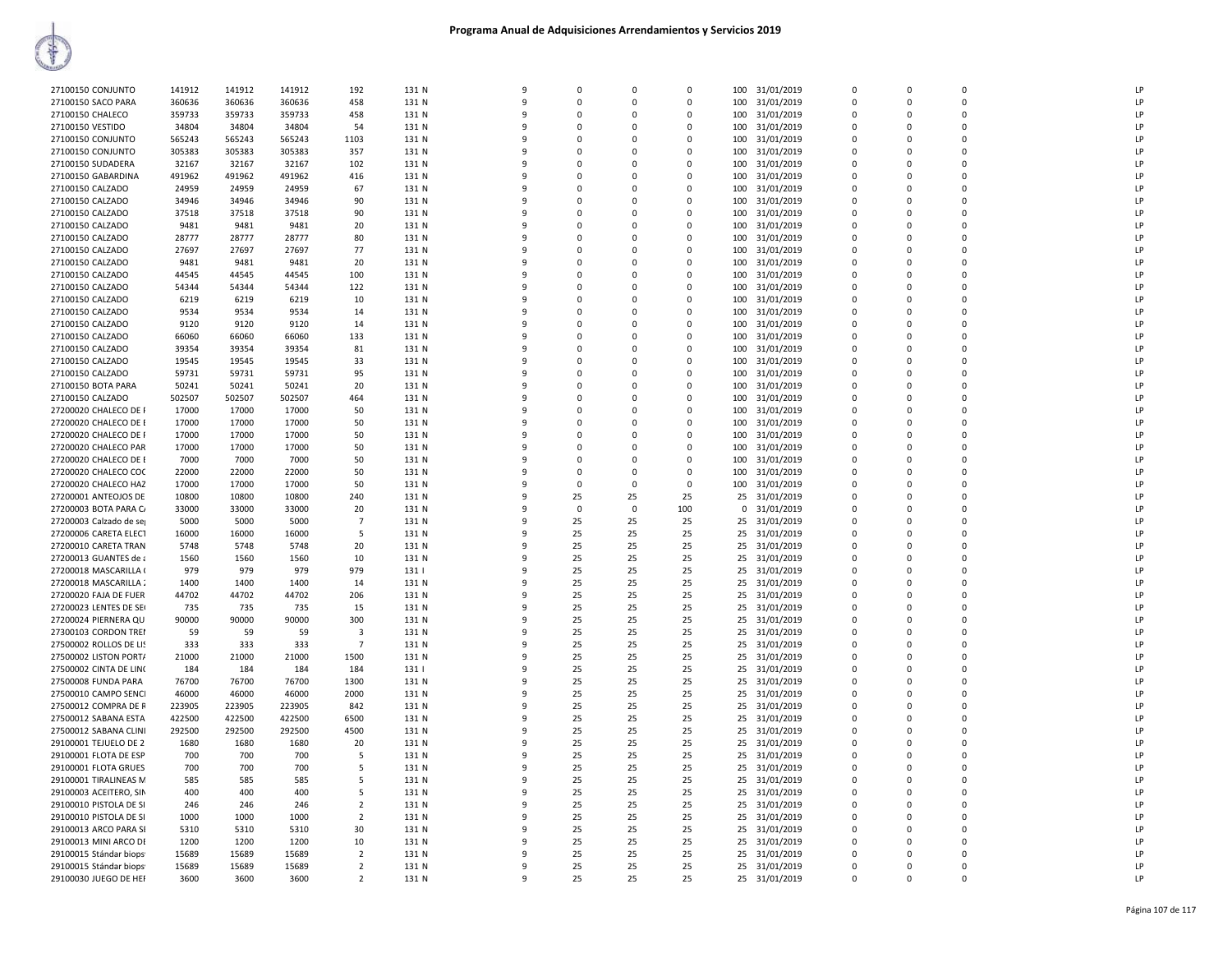| 27100150 CONJUNTO                             | 141912           | 141912           | 141912           | 192                              | 131 N          | $\mathbf{q}$      | $\Omega$ | $\Omega$    | $\Omega$    | 100        | 31/01/2019                     | $\Omega$                | $\Omega$                | $\Omega$                | LP       |
|-----------------------------------------------|------------------|------------------|------------------|----------------------------------|----------------|-------------------|----------|-------------|-------------|------------|--------------------------------|-------------------------|-------------------------|-------------------------|----------|
| 27100150 SACO PARA                            | 360636           | 360636           | 360636           | 458                              | 131 N          | 9                 | $\Omega$ | 0           | 0           | 100        | 31/01/2019                     | $\mathbf 0$             | $\Omega$                | 0                       | LP       |
| 27100150 CHALECO                              | 359733           | 359733           | 359733           | 458                              | 131 N          | 9                 | $\Omega$ | $\Omega$    | $\Omega$    | 100        | 31/01/2019                     | $\mathbf 0$             | $\Omega$                | $\Omega$                | LP       |
| 27100150 VESTIDO                              | 34804            | 34804            | 34804            | 54                               | 131 N          | 9                 | $\Omega$ | $\mathbf 0$ | 0           | 100        | 31/01/2019                     | $\mathbf 0$             | $\Omega$                | $\mathbf 0$             | LP       |
| 27100150 CONJUNTO                             | 565243           | 565243           | 565243           | 1103                             | 131 N          | q                 | $\Omega$ | $\Omega$    | 0           | 100        | 31/01/2019                     | $\mathbf 0$             | $\Omega$                | $\mathbf 0$             | LP       |
| 27100150 CONJUNTO                             | 305383           | 305383           | 305383           | 357                              | 131 N          | 9                 | $\Omega$ | $\Omega$    | $\Omega$    | 100        | 31/01/2019                     | $\Omega$                | $\Omega$                | $\Omega$                | LP       |
| 27100150 SUDADERA                             | 32167            | 32167            | 32167            | 102                              | 131 N          | q                 | $\Omega$ | $\Omega$    | $\Omega$    | 100        | 31/01/2019                     | $\Omega$                | $\Omega$                | $\Omega$                | LP       |
| 27100150 GABARDINA                            | 491962           | 491962           | 491962           | 416                              | 131 N          | q                 | $\Omega$ | $\Omega$    | $\Omega$    | 100        | 31/01/2019                     | $\Omega$                | $\Omega$                | $\Omega$                | LP       |
| 27100150 CALZADO                              | 24959            | 24959            | 24959            | 67                               | 131 N          | 9                 | $\Omega$ | $\mathbf 0$ | 0           | 100        | 31/01/2019                     | $\mathbf 0$             | $\Omega$                | $\mathbf 0$             | LP       |
| 27100150 CALZADO                              | 34946            | 34946            | 34946            | 90                               | 131 N          | 9                 | $\Omega$ | $\Omega$    | $\Omega$    | 100        | 31/01/2019                     | $\Omega$                | $\Omega$                | $\Omega$                | LP       |
| 27100150 CALZADO                              | 37518            | 37518            | 37518            | 90                               | 131 N          | 9                 | $\Omega$ | 0           | 0           | 100        | 31/01/2019                     | $\mathbf 0$             | $\Omega$                | $\mathbf 0$             | LP       |
| 27100150 CALZADO                              | 9481             | 9481             | 9481             | 20                               | 131 N          | q                 | $\Omega$ | $\Omega$    | $\Omega$    | 100        | 31/01/2019                     | $\Omega$                | $\Omega$                | $\Omega$                | LP       |
| 27100150 CALZADO                              | 28777            | 28777            | 28777            | 80                               | 131 N          | 9                 | $\Omega$ | $\Omega$    | $\Omega$    | 100        | 31/01/2019                     | $\Omega$                | $\Omega$                | $\Omega$                | LP       |
| 27100150 CALZADO                              | 27697            | 27697            | 27697            | 77                               | 131 N          | q                 | $\Omega$ | $\Omega$    | $\Omega$    | 100        | 31/01/2019                     | $\Omega$                | $\Omega$                | $\Omega$                | LP       |
| 27100150 CALZADO                              | 9481             | 9481             | 9481             | 20                               | 131 N          | 9                 |          | $\Omega$    | $\mathbf 0$ | 100        | 31/01/2019                     | $\mathbf 0$             | $\Omega$                | $\Omega$                | LP       |
| 27100150 CALZADO                              | 44545            | 44545            | 44545            | 100                              | 131 N          | 9                 | $\Omega$ | 0           | 0           | 100        | 31/01/2019                     | $\mathbf 0$             | $\Omega$                | $\mathbf 0$             | LP       |
| 27100150 CALZADO                              | 54344            | 54344            | 54344            | 122                              | 131 N          | 9                 | $\Omega$ | $\Omega$    | $\Omega$    | 100        | 31/01/2019                     | $\Omega$                | $\Omega$                | $\Omega$                | LP       |
| 27100150 CALZADO                              | 6219             | 6219             | 6219             | 10                               | 131 N          | q                 | $\Omega$ | 0           | 0           | 100        | 31/01/2019                     | $\mathbf 0$             | $\Omega$                | $\mathbf 0$             | LP       |
| 27100150 CALZADO                              | 9534             | 9534             | 9534             | 14                               | 131 N          | q                 | $\Omega$ | $\Omega$    | $\Omega$    | 100        | 31/01/2019                     | $\Omega$                | n                       | $\Omega$                | LP       |
| 27100150 CALZADO                              | 9120             | 9120             | 9120             | 14                               | 131 N          | q                 | $\Omega$ | $\Omega$    | $\Omega$    | 100        | 31/01/2019                     | $\Omega$                |                         | $\Omega$                | LP       |
| 27100150 CALZADO                              | 66060            | 66060            | 66060            | 133                              | 131 N          | ٩                 | $\Omega$ | $\Omega$    | $\Omega$    | 100        | 31/01/2019                     | $\Omega$                | $\Omega$                | $\Omega$                | LP       |
| 27100150 CALZADO                              | 39354            | 39354            | 39354            | 81                               | 131 N          | 9                 |          | $\Omega$    | $\mathbf 0$ | 100        | 31/01/2019                     | $\mathbf 0$             | $\Omega$                | $\Omega$                | LP       |
| 27100150 CALZADO                              | 19545            | 19545            | 19545            | 33                               | 131 N          | 9                 | $\Omega$ | 0           | 0           | 100        | 31/01/2019                     | $\mathbf 0$             | $\Omega$                | $\mathbf 0$             | LP       |
| 27100150 CALZADO                              | 59731            | 59731            | 59731            | 95                               | 131 N          | q                 | $\Omega$ | $\Omega$    | $\mathbf 0$ | 100        | 31/01/2019                     | $\mathbf 0$             | $\Omega$                | $\mathbf 0$             | LP       |
| 27100150 BOTA PARA                            | 50241            | 50241            | 50241            | 20                               | 131 N          | q                 | $\Omega$ | 0           | 0           | 100        | 31/01/2019                     | $\mathbf 0$             | $\Omega$                | $\mathbf 0$             | LP       |
| 27100150 CALZADO                              | 502507           | 502507           | 502507           | 464                              | 131 N          | q                 | $\Omega$ | $\Omega$    | $\Omega$    | 100        | 31/01/2019                     | $\Omega$                | n                       | $\Omega$                | LP       |
| 27200020 CHALECO DE F                         | 17000            | 17000            | 17000            | 50                               | 131 N          | q                 | $\Omega$ | $\Omega$    | $\Omega$    | 100        | 31/01/2019                     | $\Omega$                |                         | $\Omega$                | LP       |
| 27200020 CHALECO DE E                         | 17000            | 17000            | 17000            | 50                               | 131 N          | ٩                 | $\Omega$ | $\Omega$    | $\Omega$    | 100        | 31/01/2019                     | $\Omega$                | $\Omega$                | $\Omega$                | LP       |
| 27200020 CHALECO DE F                         | 17000            | 17000            | 17000            | 50                               | 131 N          | 9                 | $\Omega$ | $\Omega$    | $\mathbf 0$ | 100        | 31/01/2019                     | $\mathbf 0$             | $\Omega$                | $\mathbf 0$             | LP       |
| 27200020 CHALECO PAR                          | 17000            | 17000            | 17000            | 50                               | 131 N          | 9                 | $\Omega$ | 0           | 0           | 100        | 31/01/2019                     | $\mathbf 0$             | $\Omega$                | $\mathbf 0$             | LP       |
| 27200020 CHALECO DE I                         | 7000             | 7000             | 7000             | 50                               | 131 N          | q                 | $\Omega$ | $\Omega$    | $\mathbf 0$ | 100        | 31/01/2019                     | $\mathbf 0$             | $\Omega$                | $\mathbf 0$             | LP       |
| 27200020 CHALECO COC                          | 22000            | 22000            | 22000            | 50                               | 131 N          | q                 | $\Omega$ | $\Omega$    | 0           | 100        | 31/01/2019                     | $\Omega$                | n                       | $\Omega$                | LP       |
| 27200020 CHALECO HAZ                          | 17000            | 17000            | 17000            | 50                               | 131 N          | q                 | $\Omega$ | $\Omega$    | $\Omega$    | 100        | 31/01/2019                     | $\Omega$                | $\Omega$                | $\Omega$                | LP       |
| 27200001 ANTEOJOS DE                          | 10800            | 10800            | 10800            | 240                              | 131 N          | ٩                 | 25       | 25          | 25          | 25         | 31/01/2019                     | $\Omega$                |                         | $\Omega$                | LP       |
| 27200003 BOTA PARA C/                         | 33000            | 33000            | 33000            | 20                               | 131 N          | ٩                 | $\Omega$ | $\Omega$    | 100         | $^{\circ}$ | 31/01/2019                     | $\Omega$                | $\Omega$                | $\Omega$                | LP       |
| 27200003 Calzado de se                        | 5000             | 5000             | 5000             | $\overline{7}$                   | 131 N          | 9                 | 25       | 25          | 25          |            | 25 31/01/2019                  | $\mathbf 0$             | $\Omega$                | $\Omega$                | LP       |
| 27200006 CARETA ELECT                         | 16000            | 16000            | 16000            | 5                                | 131 N          | 9                 | 25       | 25          | 25          | 25         | 31/01/2019                     | $\mathbf 0$             | $\Omega$                | $\mathbf 0$             | LP       |
| 27200010 CARETA TRAN                          | 5748             | 5748             | 5748             | 20                               | 131 N          | q                 | 25       | 25          | 25          | 25         | 31/01/2019                     | $\Omega$                | $\Omega$                | $\Omega$                | LP       |
| 27200013 GUANTES de a                         | 1560             | 1560             | 1560             | 10                               | 131 N          | ٩                 | 25       | 25          | 25          | 25         | 31/01/2019                     | $\Omega$                | $\Omega$                | $\Omega$                | LP       |
| 27200018 MASCARILLA (                         | 979              | 979              | 979              | 979                              | 131            | q                 | 25       | 25          | 25          | 25         | 31/01/2019                     | $\Omega$                | $\Omega$                | $\Omega$                | LP       |
| 27200018 MASCARILLA:                          | 1400             | 1400             | 1400             | 14                               | 131 N          | ٩                 | 25       | 25          | 25          | 25         | 31/01/2019                     | $\mathbf 0$             | $\Omega$                | 0                       | LP       |
| 27200020 FAJA DE FUER                         | 44702            | 44702            | 44702            | 206                              | 131 N          | q                 | 25       | 25          | 25          |            | 25 31/01/2019                  | $\Omega$                | $\Omega$                | $\Omega$                | LP       |
| 27200023 LENTES DE SE                         | 735              | 735              | 735              | 15                               | 131 N          | 9                 | 25       | 25          | 25          |            | 25 31/01/2019                  | $\mathbf 0$             | $\Omega$                | $\Omega$                | LP       |
| 27200024 PIERNERA QU                          | 90000            | 90000            | 90000            | 300                              | 131 N          | q                 | 25       | 25          | 25          | 25         | 31/01/2019                     | $\mathbf 0$             | $\Omega$                | 0                       | LP       |
| 27300103 CORDON TREI                          | 59               | 59               | 59               | $\overline{\mathbf{3}}$          | 131 N          | q                 | 25       | 25          | 25          | 25         | 31/01/2019                     | $\Omega$                | $\Omega$                | $\Omega$                | LP       |
| 27500002 ROLLOS DE LIS                        | 333              | 333              | 333              | $\overline{7}$                   | 131 N          | ٩                 | 25       | 25          | 25          | 25         | 31/01/2019                     | $\Omega$                | $\Omega$                | $\Omega$                | LP       |
| 27500002 LISTON PORT/                         | 21000            | 21000            | 21000            | 1500                             | 131 N          | q                 | 25       | 25          | 25          |            | 25 31/01/2019                  | $\Omega$                | $\Omega$                | $\Omega$                | LP       |
| 27500002 CINTA DE LINO                        | 184              | 184              | 184              | 184                              | 131            | ٩                 | 25       | 25          | 25          | 25         | 31/01/2019                     | $\mathbf 0$             | $\Omega$                | $\mathbf 0$             | LP       |
| 27500008 FUNDA PARA                           | 76700            | 76700            | 76700            | 1300                             | 131 N          | q                 | 25       | 25          | 25          |            | 25 31/01/2019                  | $\Omega$                | $\Omega$                | $\Omega$                | LP       |
| 27500010 CAMPO SENCI                          | 46000            | 46000            | 46000            | 2000                             | 131 N          | 9                 | 25       | 25          | 25          |            |                                | $\mathbf 0$             | $\Omega$                | $\Omega$                | LP       |
|                                               |                  |                  |                  |                                  |                | q                 |          |             |             |            | 25 31/01/2019                  | $\mathbf 0$             | $\Omega$                | 0                       | LP       |
| 27500012 COMPRA DE R<br>27500012 SABANA ESTA  | 223905<br>422500 | 223905<br>422500 | 223905<br>422500 | 842<br>6500                      | 131 N<br>131 N | $\mathbf{q}$      | 25<br>25 | 25<br>25    | 25<br>25    | 25<br>25   | 31/01/2019<br>31/01/2019       | $\Omega$                | $\Omega$                | $\Omega$                | LP       |
| 27500012 SABANA CLINI                         | 292500           | 292500           | 292500           | 4500                             | 131 N          | q                 | 25       | 25          | 25          |            | 25 31/01/2019                  | $\Omega$                | $\Omega$                | $\Omega$                | LP       |
| 29100001 TEJUELO DE 2                         | 1680             | 1680             | 1680             | 20                               | 131 N          | q                 | 25       | 25          | 25          |            | 25 31/01/2019                  | $\Omega$                | $\Omega$                | $\Omega$                | LP       |
| 29100001 FLOTA DE ESP                         | 700              | 700              | 700              | -5                               | 131 N          | ٩                 | 25       | 25          | 25          | 25         | 31/01/2019                     | 0                       | $\Omega$                | $\mathbf 0$             | LP       |
|                                               | 700              | 700              | 700              | 5                                | 131 N          | 9                 | 25       | 25          |             |            |                                | $\Omega$                | $\Omega$                | $\Omega$                | LP       |
| 29100001 FLOTA GRUES<br>29100001 TIRALINEAS M | 585              | 585              | 585              | 5                                | 131 N          | q                 | 25       | 25          | 25<br>25    |            | 25 31/01/2019<br>25 31/01/2019 | $\mathbf 0$             | $\mathbf 0$             | $\mathbf 0$             | LP       |
|                                               |                  |                  |                  |                                  |                |                   |          |             |             |            |                                |                         |                         |                         | LP       |
| 29100003 ACEITERO, SIN                        | 400              | 400              | 400              | 5                                | 131 N          | 9<br>$\mathbf{q}$ | 25       | 25          | 25          | 25         | 31/01/2019                     | $\mathbf 0$<br>$\Omega$ | $\mathbf 0$<br>$\Omega$ | 0<br>$\Omega$           |          |
| 29100010 PISTOLA DE SI                        | 246              | 246              | 246              | $\overline{2}$                   | 131 N          |                   | 25       | 25          | 25          |            | 25 31/01/2019                  |                         |                         |                         | LP       |
| 29100010 PISTOLA DE SI                        | 1000             | 1000             | 1000             | $\overline{2}$                   | 131 N          | q                 | 25       | 25          | 25          |            | 25 31/01/2019                  | $\Omega$                | $\Omega$                | $\Omega$                | LP       |
| 29100013 ARCO PARA SI                         | 5310             | 5310             | 5310             | 30                               | 131 N          | q                 | 25       | 25          | 25          |            | 25 31/01/2019                  | $\Omega$                | $\Omega$                | $\Omega$                | LP<br>LP |
| 29100013 MINI ARCO DI                         | 1200             | 1200             | 1200             | 10                               | 131 N          | ٩<br>q            | 25       | 25          | 25          | 25         | 31/01/2019                     | 0<br>$\Omega$           | O                       | $\mathbf 0$<br>$\Omega$ | LP       |
| 29100015 Stándar biops                        | 15689            | 15689            | 15689            | $\overline{2}$                   | 131 N          | q                 | 25       | 25          | 25          | 25         | 31/01/2019                     |                         | $\Omega$<br>$\Omega$    |                         |          |
| 29100015 Stándar biops                        | 15689<br>3600    | 15689            | 15689<br>3600    | $\overline{2}$<br>$\overline{2}$ | 131 N          | $\mathbf{q}$      | 25<br>25 | 25<br>25    | 25<br>25    |            | 25 31/01/2019                  | $\mathbf 0$<br>$\Omega$ | $\Omega$                | $\mathbf 0$<br>$\Omega$ | LP<br>LP |
| 29100030 JUEGO DE HEI                         |                  | 3600             |                  |                                  | 131 N          |                   |          |             |             |            | 25 31/01/2019                  |                         |                         |                         |          |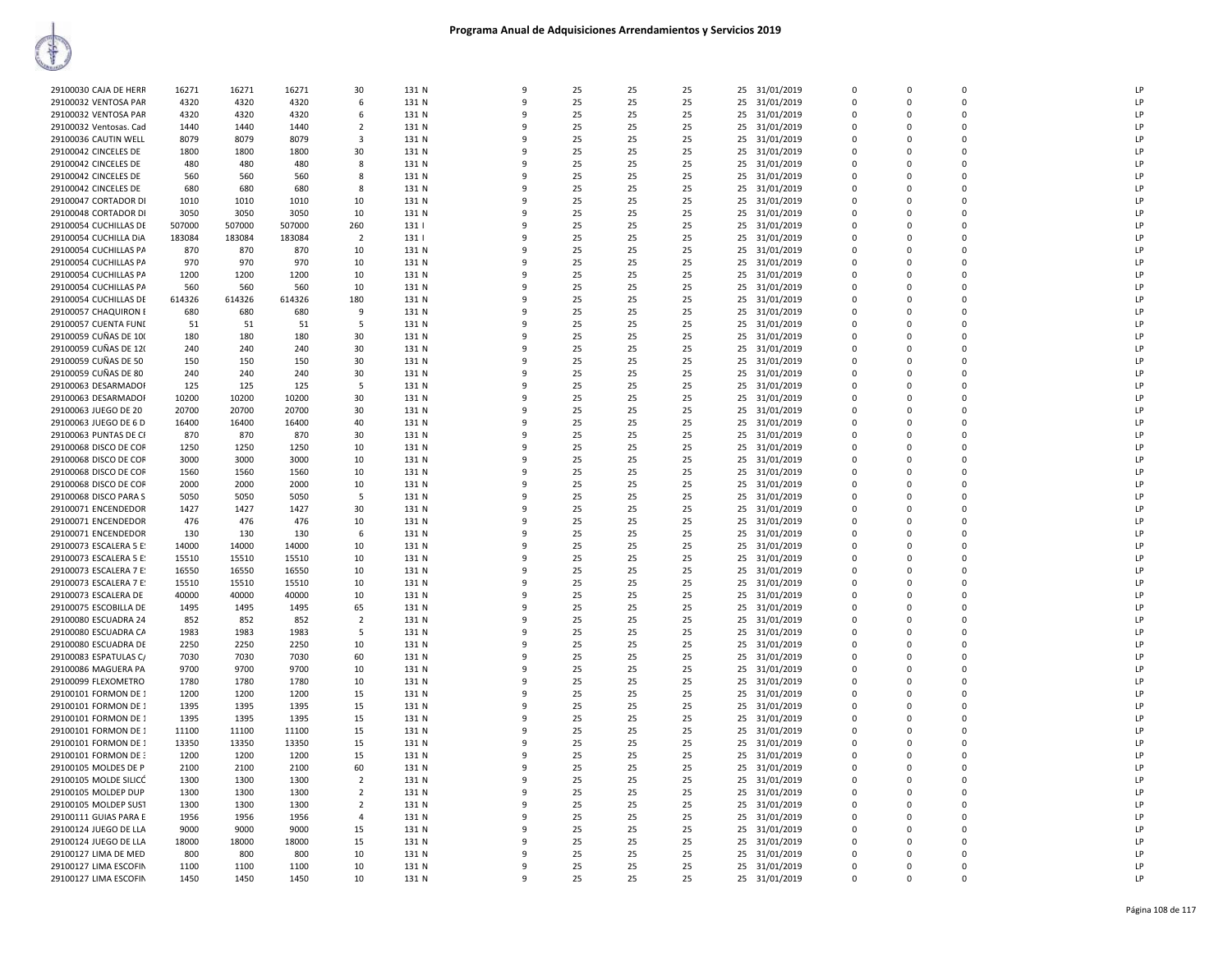| 29100030 CAJA DE HERR  | 16271  | 16271  | 16271  | 30             | 131 N | 9            | 25 | 25 | 25 | 25 | 31/01/2019    | $\overline{0}$          | $\Omega$    | $\Omega$       | LP |
|------------------------|--------|--------|--------|----------------|-------|--------------|----|----|----|----|---------------|-------------------------|-------------|----------------|----|
|                        |        |        |        |                |       |              |    |    |    |    |               |                         |             |                |    |
| 29100032 VENTOSA PAR   | 4320   | 4320   | 4320   | 6              | 131 N | 9            | 25 | 25 | 25 | 25 | 31/01/2019    | $\mathbf 0$             | $\Omega$    | $\Omega$       | LP |
| 29100032 VENTOSA PAR   | 4320   | 4320   | 4320   | 6              | 131 N | $\mathbf{q}$ | 25 | 25 | 25 | 25 | 31/01/2019    | $\Omega$                | $\Omega$    | $\Omega$       | LP |
| 29100032 Ventosas. Cad | 1440   | 1440   | 1440   | $\overline{2}$ | 131 N | 9            | 25 | 25 | 25 | 25 | 31/01/2019    | $\Omega$                | $\Omega$    | $\Omega$       | LP |
| 29100036 CAUTIN WELL   | 8079   | 8079   | 8079   | -3             | 131 N | 9            | 25 | 25 | 25 | 25 | 31/01/2019    | 0                       | 0           | $\mathbf 0$    | LP |
| 29100042 CINCELES DE   | 1800   | 1800   | 1800   | 30             | 131 N | 9            | 25 | 25 | 25 |    | 25 31/01/2019 | $\mathbf 0$             | $\Omega$    | $\mathbf 0$    | LP |
|                        |        |        |        |                |       |              |    |    |    |    |               |                         |             |                |    |
| 29100042 CINCELES DE   | 480    | 480    | 480    | 8              | 131 N | 9            | 25 | 25 | 25 | 25 | 31/01/2019    | $\mathbf 0$             | $\Omega$    | $\Omega$       | LP |
| 29100042 CINCELES DE   | 560    | 560    | 560    | 8              | 131 N | 9            | 25 | 25 | 25 | 25 | 31/01/2019    | $\mathbf 0$             | $\mathbf 0$ | $\overline{0}$ | LP |
| 29100042 CINCELES DE   | 680    | 680    | 680    | 8              | 131 N | 9            | 25 | 25 | 25 | 25 | 31/01/2019    | $\mathbf 0$             | 0           | $\mathbf 0$    | LP |
| 29100047 CORTADOR DI   | 1010   | 1010   | 1010   | 10             | 131 N | q            | 25 | 25 | 25 | 25 | 31/01/2019    | $\Omega$                | $\Omega$    | $\Omega$       | LP |
| 29100048 CORTADOR DI   | 3050   | 3050   | 3050   |                | 131 N | 9            | 25 | 25 | 25 |    | 31/01/2019    | $\Omega$                | $\Omega$    | $\Omega$       | LP |
|                        |        |        |        | 10             |       |              |    |    |    | 25 |               |                         |             |                |    |
| 29100054 CUCHILLAS DE  | 507000 | 507000 | 507000 | 260            | 131   | q            | 25 | 25 | 25 | 25 | 31/01/2019    | $\mathbf 0$             | $\Omega$    | $\Omega$       | LP |
| 29100054 CUCHILLA DIA  | 183084 | 183084 | 183084 | $\overline{2}$ | 131   | 9            | 25 | 25 | 25 | 25 | 31/01/2019    | $\Omega$                | $\Omega$    | $\Omega$       | LP |
| 29100054 CUCHILLAS PA  | 870    | 870    | 870    | 10             | 131 N | q            | 25 | 25 | 25 | 25 | 31/01/2019    | $\Omega$                | $\Omega$    | $\Omega$       | LP |
| 29100054 CUCHILLAS PA  | 970    | 970    | 970    | 10             | 131 N | 9            | 25 | 25 | 25 |    | 25 31/01/2019 | $\mathbf 0$             | $\Omega$    | $\Omega$       | LP |
| 29100054 CUCHILLAS PA  | 1200   | 1200   | 1200   | 10             | 131 N | 9            | 25 | 25 | 25 | 25 | 31/01/2019    | 0                       | 0           | $\mathbf 0$    | LP |
|                        |        |        |        |                |       |              |    |    |    |    |               |                         |             |                |    |
| 29100054 CUCHILLAS PA  | 560    | 560    | 560    | 10             | 131 N | 9            | 25 | 25 | 25 | 25 | 31/01/2019    | $\Omega$                | $\Omega$    | $\Omega$       | LP |
| 29100054 CUCHILLAS DE  | 614326 | 614326 | 614326 | 180            | 131 N | 9            | 25 | 25 | 25 | 25 | 31/01/2019    | $\mathbf 0$             | 0           | $\Omega$       | LP |
| 29100057 CHAQUIRON E   | 680    | 680    | 680    | 9              | 131 N | q            | 25 | 25 | 25 | 25 | 31/01/2019    | $\mathbf 0$             | $\Omega$    | $\mathbf 0$    | LP |
| 29100057 CUENTA FUNI   | 51     | 51     | 51     | -5             | 131 N | 9            | 25 | 25 | 25 | 25 | 31/01/2019    | $\Omega$                | $\Omega$    | $\Omega$       | LP |
| 29100059 CUÑAS DE 100  | 180    | 180    | 180    | 30             | 131 N | q            | 25 | 25 | 25 | 25 | 31/01/2019    | $\Omega$                | $\Omega$    | $\Omega$       | LP |
|                        |        |        |        |                |       |              |    |    |    |    |               |                         |             |                |    |
| 29100059 CUÑAS DE 120  | 240    | 240    | 240    | 30             | 131 N | 9            | 25 | 25 | 25 |    | 25 31/01/2019 | $\Omega$                | $\Omega$    | $\Omega$       | LP |
| 29100059 CUÑAS DE 50   | 150    | 150    | 150    | 30             | 131 N | 9            | 25 | 25 | 25 | 25 | 31/01/2019    | $\mathbf 0$             | 0           | $\Omega$       | LP |
| 29100059 CUÑAS DE 80   | 240    | 240    | 240    | 30             | 131 N | 9            | 25 | 25 | 25 | 25 | 31/01/2019    | $\mathbf 0$             | $\Omega$    | $\Omega$       | LP |
| 29100063 DESARMADOR    | 125    | 125    | 125    | 5              | 131 N | 9            | 25 | 25 | 25 | 25 | 31/01/2019    | $\Omega$                | $\Omega$    | $\Omega$       | LP |
| 29100063 DESARMADOF    | 10200  | 10200  | 10200  | 30             | 131 N | 9            | 25 | 25 | 25 | 25 | 31/01/2019    | $\Omega$                | $\Omega$    | $\Omega$       | LP |
|                        |        |        |        |                |       | 9            |    |    |    |    |               |                         |             | $\mathbf 0$    |    |
| 29100063 JUEGO DE 20   | 20700  | 20700  | 20700  | 30             | 131 N |              | 25 | 25 | 25 | 25 | 31/01/2019    | $\mathbf 0$             | 0           |                | LP |
| 29100063 JUEGO DE 6 D  | 16400  | 16400  | 16400  | 40             | 131 N | 9            | 25 | 25 | 25 | 25 | 31/01/2019    | $\Omega$                | $\Omega$    | $\Omega$       | LP |
| 29100063 PUNTAS DE CI  | 870    | 870    | 870    | 30             | 131 N | q            | 25 | 25 | 25 | 25 | 31/01/2019    | $\mathbf 0$             | 0           | $\mathbf 0$    | LP |
| 29100068 DISCO DE COF  | 1250   | 1250   | 1250   | 10             | 131 N | q            | 25 | 25 | 25 | 25 | 31/01/2019    | $\overline{0}$          | $\Omega$    | $\Omega$       | LP |
| 29100068 DISCO DE COF  | 3000   | 3000   | 3000   | 10             | 131 N | 9            | 25 | 25 | 25 | 25 | 31/01/2019    | $\mathbf 0$             | $\Omega$    | $\Omega$       | LP |
| 29100068 DISCO DE COF  | 1560   | 1560   | 1560   | 10             | 131 N | q            | 25 | 25 | 25 | 25 | 31/01/2019    | $\Omega$                | $\Omega$    | $\Omega$       | LP |
| 29100068 DISCO DE COF  | 2000   | 2000   | 2000   | 10             | 131 N | q            | 25 | 25 | 25 | 25 |               | $\Omega$                | $\Omega$    | $\Omega$       | LP |
|                        |        |        |        |                |       |              |    |    |    |    | 31/01/2019    |                         |             |                |    |
| 29100068 DISCO PARA S  | 5050   | 5050   | 5050   | -5             | 131 N | 9            | 25 | 25 | 25 | 25 | 31/01/2019    | $\mathbf 0$             | 0           | $\mathbf 0$    | LP |
| 29100071 ENCENDEDOR    | 1427   | 1427   | 1427   | 30             | 131 N | 9            | 25 | 25 | 25 |    | 25 31/01/2019 | $\Omega$                | $\Omega$    | $\Omega$       | LP |
| 29100071 ENCENDEDOR    | 476    | 476    | 476    | 10             | 131 N | 9            | 25 | 25 | 25 | 25 | 31/01/2019    | $\mathbf 0$             | 0           | $\Omega$       | LP |
| 29100071 ENCENDEDOR    | 130    | 130    | 130    | 6              | 131 N | 9            | 25 | 25 | 25 | 25 | 31/01/2019    | $\mathbf 0$             | $\mathbf 0$ | $\mathbf 0$    | LP |
| 29100073 ESCALERA 5 E: | 14000  | 14000  | 14000  | 10             | 131 N | 9            | 25 | 25 | 25 | 25 | 31/01/2019    | $\mathbf 0$             | 0           | $\mathbf 0$    | LP |
| 29100073 ESCALERA 5 E: | 15510  | 15510  | 15510  | 10             | 131 N | q            | 25 | 25 | 25 | 25 | 31/01/2019    | $\mathbf 0$             | $\Omega$    | $\Omega$       | LP |
|                        |        |        |        |                |       |              |    |    |    |    |               |                         |             | $\Omega$       |    |
| 29100073 ESCALERA 7 E  | 16550  | 16550  | 16550  | 10             | 131 N | 9            | 25 | 25 | 25 | 25 | 31/01/2019    | $\Omega$                | $\Omega$    |                | LP |
| 29100073 ESCALERA 7 E: | 15510  | 15510  | 15510  | 10             | 131 N | q            | 25 | 25 | 25 | 25 | 31/01/2019    | $\mathbf 0$             | $\Omega$    | $\Omega$       | LP |
| 29100073 ESCALERA DE   | 40000  | 40000  | 40000  | 10             | 131 N | q            | 25 | 25 | 25 |    | 25 31/01/2019 | $\Omega$                | $\Omega$    | $\Omega$       | LP |
| 29100075 ESCOBILLA DE  | 1495   | 1495   | 1495   | 65             | 131 N | 9            | 25 | 25 | 25 | 25 | 31/01/2019    | $\Omega$                | $\Omega$    | $\Omega$       | LP |
| 29100080 ESCUADRA 24   | 852    | 852    | 852    | $\overline{2}$ | 131 N | 9            | 25 | 25 | 25 |    | 25 31/01/2019 | $\Omega$                | $\Omega$    | $\Omega$       | LP |
| 29100080 ESCUADRA CA   | 1983   | 1983   | 1983   | 5              | 131 N | 9            | 25 | 25 | 25 | 25 | 31/01/2019    | $\mathbf 0$             | $\mathbf 0$ | $\mathbf 0$    | LP |
|                        |        |        |        |                |       |              |    |    |    |    |               |                         |             |                |    |
| 29100080 ESCUADRA DE   | 2250   | 2250   | 2250   | 10             | 131 N | 9            | 25 | 25 | 25 | 25 | 31/01/2019    | $\Omega$                | $\Omega$    | $\Omega$       | LP |
| 29100083 ESPATULAS C/  | 7030   | 7030   | 7030   | 60             | 131 N | 9            | 25 | 25 | 25 | 25 | 31/01/2019    | $\mathbf 0$             | 0           | $\mathbf 0$    | LP |
| 29100086 MAGUERA PA    | 9700   | 9700   | 9700   | 10             | 131 N | q            | 25 | 25 | 25 | 25 | 31/01/2019    | $\mathbf 0$             | $\Omega$    | $\mathbf 0$    | LP |
| 29100099 FLEXOMETRO    | 1780   | 1780   | 1780   | 10             | 131 N | 9            | 25 | 25 | 25 | 25 | 31/01/2019    | $\Omega$                | $\Omega$    | $\Omega$       | LP |
| 29100101 FORMON DE 1   | 1200   | 1200   | 1200   | 15             | 131 N | q            | 25 | 25 | 25 | 25 | 31/01/2019    | $\mathbf 0$             | 0           | $\Omega$       | LP |
| 29100101 FORMON DE 1   | 1395   | 1395   | 1395   | 15             | 131 N | q            | 25 | 25 | 25 |    |               | $\Omega$                | $\Omega$    | $\Omega$       | LP |
|                        |        |        |        |                |       |              |    |    |    |    | 25 31/01/2019 |                         |             |                |    |
| 29100101 FORMON DE 1   | 1395   | 1395   | 1395   | 15             | 131 N | 9            | 25 | 25 | 25 | 25 | 31/01/2019    | $\mathbf 0$             | 0           | $\Omega$       | LP |
| 29100101 FORMON DE 1   | 11100  | 11100  | 11100  | 15             | 131 N | 9            | 25 | 25 | 25 | 25 | 31/01/2019    | $\Omega$                | $\Omega$    | $\Omega$       | LP |
| 29100101 FORMON DE 1   | 13350  | 13350  | 13350  | 15             | 131 N | 9            | 25 | 25 | 25 | 25 | 31/01/2019    | $\Omega$                | $\Omega$    | $\Omega$       | LP |
| 29100101 FORMON DE 3   | 1200   | 1200   | 1200   | 15             | 131 N | 9            | 25 | 25 | 25 |    | 25 31/01/2019 | $\Omega$                | $\Omega$    | $\Omega$       | LP |
| 29100105 MOLDES DE P   | 2100   | 2100   | 2100   | 60             | 131 N | 9            | 25 | 25 | 25 | 25 | 31/01/2019    | $\mathbf 0$             | 0           | $\mathbf 0$    | LP |
| 29100105 MOLDE SILICÓ  | 1300   | 1300   | 1300   | $\overline{2}$ | 131 N | 9            | 25 | 25 | 25 | 25 | 31/01/2019    | $\mathbf 0$             | $\Omega$    | $\Omega$       | LP |
|                        |        |        |        |                |       | 9            |    |    |    |    |               |                         |             |                |    |
| 29100105 MOLDEP DUP    | 1300   | 1300   | 1300   | $\overline{2}$ | 131 N |              | 25 | 25 | 25 |    | 25 31/01/2019 | $\mathbf 0$             | 0           | $\mathbf 0$    | LP |
| 29100105 MOLDEP SUST   | 1300   | 1300   | 1300   | $\overline{2}$ | 131 N | 9            | 25 | 25 | 25 | 25 | 31/01/2019    | $\overline{\mathbf{0}}$ | 0           | $\mathbf 0$    | LP |
| 29100111 GUIAS PARA E  | 1956   | 1956   | 1956   | $\overline{4}$ | 131 N | $\mathbf{q}$ | 25 | 25 | 25 | 25 | 31/01/2019    | $\Omega$                | $\Omega$    | $\Omega$       | LP |
| 29100124 JUEGO DE LLA  | 9000   | 9000   | 9000   | 15             | 131 N | q            | 25 | 25 | 25 | 25 | 31/01/2019    | $\Omega$                | $\Omega$    | $\Omega$       | LP |
| 29100124 JUEGO DE LLA  | 18000  | 18000  | 18000  | 15             | 131 N | q            | 25 | 25 | 25 | 25 | 31/01/2019    | $\Omega$                | $\Omega$    | $\Omega$       | LP |
| 29100127 LIMA DE MED   | 800    | 800    | 800    | 10             | 131 N | 9            | 25 | 25 | 25 | 25 | 31/01/2019    | $\mathbf 0$             | 0           | $\Omega$       | LP |
| 29100127 LIMA ESCOFIN  | 1100   | 1100   | 1100   | 10             | 131 N | 9            | 25 | 25 | 25 |    | 25 31/01/2019 | $\Omega$                | $\Omega$    | $\Omega$       | LP |
| 29100127 LIMA ESCOFIN  | 1450   | 1450   | 1450   | 10             | 131 N | 9            | 25 | 25 | 25 |    | 25 31/01/2019 | $\Omega$                | $\Omega$    | $\Omega$       | LP |
|                        |        |        |        |                |       |              |    |    |    |    |               |                         |             |                |    |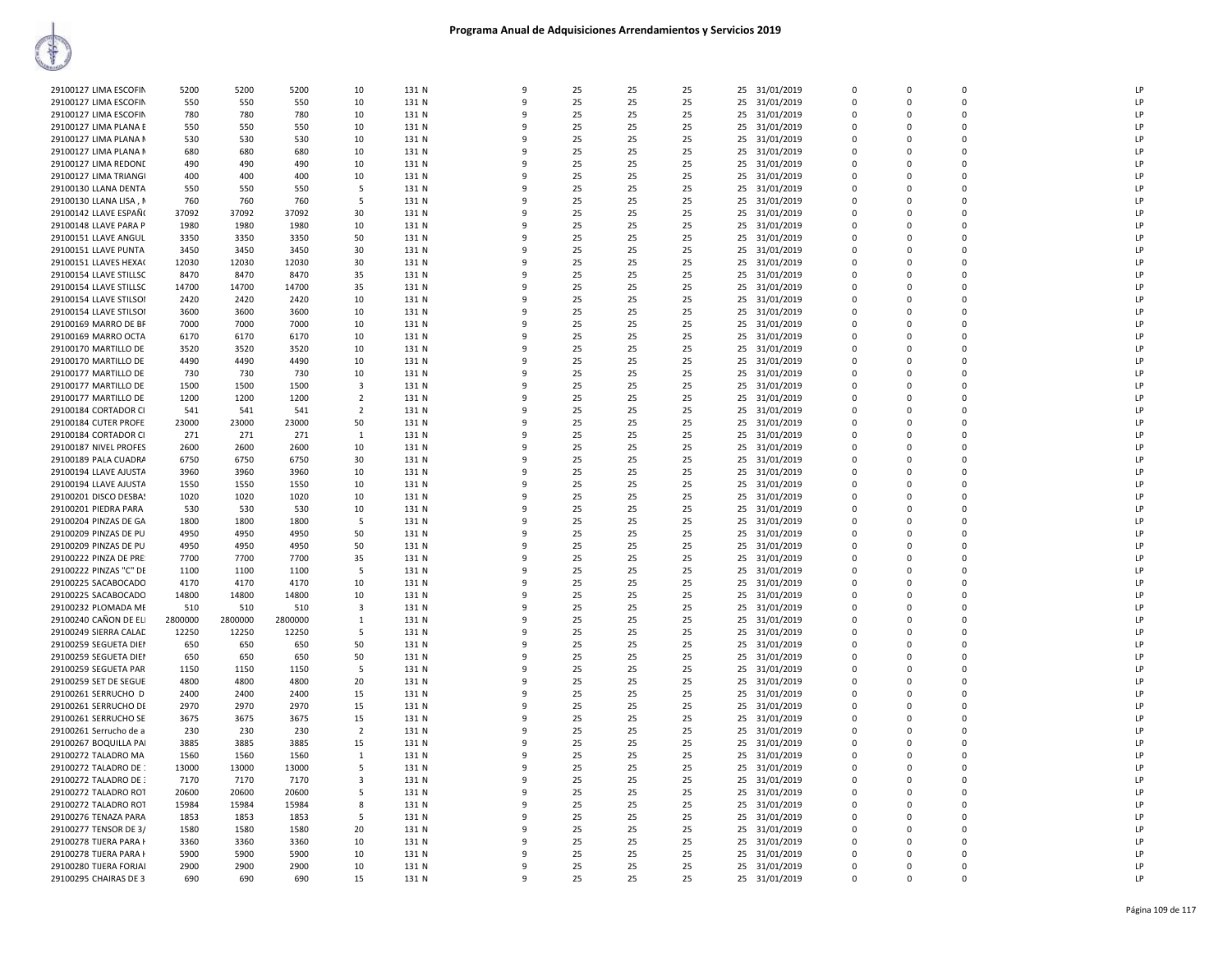| 29100127 LIMA ESCOFIN  | 5200    | 5200    | 5200    | 10             | 131 N | 9            | 25 | 25 | 25 |    | 25 31/01/2019 | $\Omega$    | $\Omega$ | $\Omega$ | LP             |
|------------------------|---------|---------|---------|----------------|-------|--------------|----|----|----|----|---------------|-------------|----------|----------|----------------|
|                        |         |         |         |                |       |              |    |    |    |    |               |             |          |          |                |
| 29100127 LIMA ESCOFIN  | 550     | 550     | 550     | 10             | 131 N | $\mathbf{Q}$ | 25 | 25 | 25 | 25 | 31/01/2019    | 0           | $\Omega$ | $\Omega$ | LP             |
| 29100127 LIMA ESCOFIN  | 780     | 780     | 780     | 10             | 131 N | $\mathbf{q}$ | 25 | 25 | 25 |    | 25 31/01/2019 | $\mathbf 0$ | $\Omega$ | 0        | $\overline{P}$ |
| 29100127 LIMA PLANA E  | 550     | 550     | 550     | 10             | 131 N | ۹            | 25 | 25 | 25 | 25 | 31/01/2019    | $\Omega$    | $\Omega$ | 0        | LP             |
| 29100127 LIMA PLANA N  | 530     | 530     | 530     | 10             | 131 N | $\mathbf{q}$ | 25 | 25 | 25 | 25 | 31/01/2019    | $\Omega$    | $\Omega$ | $\Omega$ | LP             |
| 29100127 LIMA PLANA N  | 680     | 680     | 680     | 10             | 131 N | q            | 25 | 25 | 25 | 25 | 31/01/2019    | $\Omega$    | $\Omega$ | 0        | LP             |
| 29100127 LIMA REDONE   | 490     | 490     | 490     | 10             | 131 N | -9           | 25 | 25 | 25 | 25 | 31/01/2019    | $\Omega$    | $\Omega$ | $\Omega$ | LP             |
| 29100127 LIMA TRIANGI  | 400     | 400     | 400     | 10             | 131 N | 9            | 25 | 25 | 25 | 25 | 31/01/2019    | $\Omega$    | $\Omega$ | $\Omega$ | LP             |
|                        |         |         |         |                |       |              |    |    |    |    |               |             |          |          |                |
| 29100130 LLANA DENTA   | 550     | 550     | 550     | -5             | 131 N |              | 25 | 25 | 25 | 25 | 31/01/2019    | $\Omega$    | $\Omega$ | $\Omega$ | LP             |
| 29100130 LLANA LISA, M | 760     | 760     | 760     | 5              | 131 N |              | 25 | 25 | 25 |    | 25 31/01/2019 | $\Omega$    | $\Omega$ | 0        | LP             |
| 29100142 LLAVE ESPAÑ(  | 37092   | 37092   | 37092   | 30             | 131 N |              | 25 | 25 | 25 | 25 | 31/01/2019    | 0           | $\Omega$ | 0        | $\overline{P}$ |
| 29100148 LLAVE PARA P  | 1980    | 1980    | 1980    | 10             | 131 N | $\mathbf{q}$ | 25 | 25 | 25 | 25 | 31/01/2019    | $\Omega$    | $\Omega$ | $\Omega$ | $\overline{P}$ |
| 29100151 LLAVE ANGUL   | 3350    | 3350    | 3350    | 50             | 131 N |              | 25 | 25 | 25 | 25 | 31/01/2019    | $\Omega$    | $\Omega$ | $\Omega$ | LP             |
| 29100151 LLAVE PUNTA   | 3450    | 3450    | 3450    | 30             | 131 N | $\mathbf{q}$ | 25 | 25 | 25 | 25 | 31/01/2019    | $\Omega$    | $\Omega$ | $\Omega$ | <b>LP</b>      |
|                        |         |         |         |                |       |              |    |    |    |    |               |             | $\Omega$ |          | LP             |
| 29100151 LLAVES HEXA(  | 12030   | 12030   | 12030   | 30             | 131 N | -9           | 25 | 25 | 25 | 25 | 31/01/2019    | 0           |          | 0        |                |
| 29100154 LLAVE STILLSC | 8470    | 8470    | 8470    | 35             | 131 N | q            | 25 | 25 | 25 | 25 | 31/01/2019    | $\Omega$    | $\Omega$ | $\Omega$ | LP             |
| 29100154 LLAVE STILLSC | 14700   | 14700   | 14700   | 35             | 131 N |              | 25 | 25 | 25 |    | 25 31/01/2019 | $\Omega$    | $\Omega$ | $\Omega$ | LP             |
| 29100154 LLAVE STILSOI | 2420    | 2420    | 2420    | 10             | 131 N |              | 25 | 25 | 25 | 25 | 31/01/2019    | 0           | $\Omega$ | 0        | LP             |
| 29100154 LLAVE STILSOI | 3600    | 3600    | 3600    | 10             | 131 N |              | 25 | 25 | 25 | 25 | 31/01/2019    | $\Omega$    | $\Omega$ | 0        | LP             |
| 29100169 MARRO DE BF   | 7000    | 7000    | 7000    | 10             | 131 N |              | 25 | 25 | 25 | 25 | 31/01/2019    | 0           | $\Omega$ | 0        | $\overline{P}$ |
| 29100169 MARRO OCTA    | 6170    | 6170    | 6170    | 10             | 131 N | $\mathbf{q}$ | 25 | 25 | 25 | 25 | 31/01/2019    | $\Omega$    | $\Omega$ | $\Omega$ | LP             |
|                        |         |         |         |                |       |              |    |    |    |    |               |             |          |          |                |
| 29100170 MARTILLO DE   | 3520    | 3520    | 3520    | 10             | 131 N | q            | 25 | 25 | 25 | 25 | 31/01/2019    | $\Omega$    | $\Omega$ | 0        | LP             |
| 29100170 MARTILLO DE   | 4490    | 4490    | 4490    | 10             | 131 N | $\mathbf{q}$ | 25 | 25 | 25 | 25 | 31/01/2019    | $\Omega$    | $\Omega$ | $\Omega$ | LP             |
| 29100177 MARTILLO DE   | 730     | 730     | 730     | 10             | 131 N |              | 25 | 25 | 25 | 25 | 31/01/2019    | $\Omega$    | $\Omega$ | 0        | LP             |
| 29100177 MARTILLO DE   | 1500    | 1500    | 1500    | 3              | 131 N |              | 25 | 25 | 25 | 25 | 31/01/2019    | $\Omega$    | $\Omega$ | 0        | LP             |
| 29100177 MARTILLO DE   | 1200    | 1200    | 1200    | $\overline{2}$ | 131 N |              | 25 | 25 | 25 | 25 | 31/01/2019    | $\Omega$    | $\Omega$ | 0        | LP             |
|                        | 541     |         | 541     | $\overline{2}$ | 131 N | q            | 25 | 25 | 25 | 25 |               | $\Omega$    | $\Omega$ | $\Omega$ | LP             |
| 29100184 CORTADOR CI   |         | 541     |         |                |       |              |    |    |    |    | 31/01/2019    |             |          |          |                |
| 29100184 CUTER PROFE   | 23000   | 23000   | 23000   | 50             | 131 N |              | 25 | 25 | 25 |    | 25 31/01/2019 | $\mathbf 0$ | $\Omega$ | 0        | LP             |
| 29100184 CORTADOR CI   | 271     | 271     | 271     | $\mathbf{1}$   | 131 N | q            | 25 | 25 | 25 | 25 | 31/01/2019    | 0           | $\Omega$ | 0        | LP             |
| 29100187 NIVEL PROFES  | 2600    | 2600    | 2600    | 10             | 131 N | $\mathbf{q}$ | 25 | 25 | 25 | 25 | 31/01/2019    | $\Omega$    | $\Omega$ | $\Omega$ | LP             |
| 29100189 PALA CUADRA   | 6750    | 6750    | 6750    | 30             | 131 N |              | 25 | 25 | 25 | 25 | 31/01/2019    | $\Omega$    | $\Omega$ | $\Omega$ | $\mathsf{I}$   |
| 29100194 LLAVE AJUSTA  | 3960    | 3960    | 3960    | 10             | 131 N | q            | 25 | 25 | 25 | 25 | 31/01/2019    | $\Omega$    | $\Omega$ | $\Omega$ | LP             |
| 29100194 LLAVE AJUSTA  | 1550    | 1550    | 1550    | 10             | 131 N |              | 25 | 25 | 25 | 25 | 31/01/2019    | $\Omega$    | $\Omega$ | $\Omega$ | LP             |
|                        |         |         |         |                |       |              |    |    |    |    |               |             |          |          |                |
| 29100201 DISCO DESBAS  | 1020    | 1020    | 1020    | 10             | 131 N | q            | 25 | 25 | 25 | 25 | 31/01/2019    | $\Omega$    | $\Omega$ | $\Omega$ | LP             |
| 29100201 PIEDRA PARA   | 530     | 530     | 530     | 10             | 131 N |              | 25 | 25 | 25 | 25 | 31/01/2019    | $\Omega$    | $\Omega$ | $\Omega$ | LP             |
| 29100204 PINZAS DE GA  | 1800    | 1800    | 1800    | 5              | 131 N | 9            | 25 | 25 | 25 | 25 | 31/01/2019    | 0           | $\Omega$ | 0        | LP             |
| 29100209 PINZAS DE PU  | 4950    | 4950    | 4950    | 50             | 131 N | 9            | 25 | 25 | 25 | 25 | 31/01/2019    | $\mathbf 0$ | $\Omega$ | 0        | LP             |
| 29100209 PINZAS DE PU  | 4950    | 4950    | 4950    | 50             | 131 N |              | 25 | 25 | 25 | 25 | 31/01/2019    | 0           | $\Omega$ | 0        | LP             |
| 29100222 PINZA DE PRE  | 7700    | 7700    | 7700    | 35             | 131 N |              | 25 | 25 | 25 |    | 25 31/01/2019 | $\Omega$    | $\Omega$ | $\Omega$ | $\mathsf{I}$   |
| 29100222 PINZAS "C" DE | 1100    | 1100    | 1100    | 5              | 131 N |              | 25 | 25 | 25 | 25 | 31/01/2019    | $\Omega$    | $\Omega$ | 0        | LP             |
|                        |         |         |         |                |       |              |    |    |    |    |               |             |          | $\Omega$ |                |
| 29100225 SACABOCADO    | 4170    | 4170    | 4170    | 10             | 131 N | q            | 25 | 25 | 25 | 25 | 31/01/2019    | $\Omega$    | $\Omega$ |          | LP             |
| 29100225 SACABOCADO    | 14800   | 14800   | 14800   | 10             | 131 N |              | 25 | 25 | 25 | 25 | 31/01/2019    | $\Omega$    | $\Omega$ | $\Omega$ | LP             |
| 29100232 PLOMADA ME    | 510     | 510     | 510     | 3              | 131 N | q            | 25 | 25 | 25 | 25 | 31/01/2019    | 0           | $\Omega$ | 0        | LP             |
| 29100240 CAÑON DE ELI  | 2800000 | 2800000 | 2800000 | $\mathbf{1}$   | 131 N | 9            | 25 | 25 | 25 | 25 | 31/01/2019    | $\Omega$    | $\Omega$ | $\Omega$ | LP             |
| 29100249 SIERRA CALAD  | 12250   | 12250   | 12250   | 5              | 131 N | q            | 25 | 25 | 25 | 25 | 31/01/2019    | $\Omega$    | $\Omega$ | $\Omega$ | LP             |
| 29100259 SEGUETA DIEI  | 650     | 650     | 650     | 50             | 131 N |              | 25 | 25 | 25 | 25 | 31/01/2019    | $\mathbf 0$ | $\Omega$ | 0        | LP             |
| 29100259 SEGUETA DIEI  | 650     | 650     | 650     | 50             | 131 N |              | 25 | 25 | 25 | 25 | 31/01/2019    | 0           | $\Omega$ | 0        | LP             |
|                        |         |         |         |                |       |              |    |    |    |    |               |             |          |          |                |
| 29100259 SEGUETA PAR   | 1150    | 1150    | 1150    | 5              | 131 N | $\mathbf{q}$ | 25 | 25 | 25 | 25 | 31/01/2019    | $\Omega$    | $\Omega$ | $\Omega$ | LP             |
| 29100259 SET DE SEGUE  | 4800    | 4800    | 4800    | 20             | 131 N | q            | 25 | 25 | 25 | 25 | 31/01/2019    | $\Omega$    | $\Omega$ | $\Omega$ | LP             |
| 29100261 SERRUCHO D    | 2400    | 2400    | 2400    | 15             | 131 N | q            | 25 | 25 | 25 | 25 | 31/01/2019    | $\Omega$    | $\Omega$ | $\Omega$ | LP             |
| 29100261 SERRUCHO DE   | 2970    | 2970    | 2970    | 15             | 131 N | 9            | 25 | 25 | 25 | 25 | 31/01/2019    | $\Omega$    | $\Omega$ | $\Omega$ | LP             |
| 29100261 SERRUCHO SE   | 3675    | 3675    | 3675    | 15             | 131 N |              | 25 | 25 | 25 | 25 | 31/01/2019    | $\Omega$    | $\Omega$ | $\Omega$ | LP             |
| 29100261 Serrucho de a | 230     | 230     | 230     | $\overline{2}$ | 131 N |              | 25 | 25 | 25 | 25 | 31/01/2019    | $\Omega$    | $\Omega$ | 0        | LP             |
|                        |         |         |         |                |       |              |    |    |    |    |               | 0           | $\Omega$ | 0        | LP             |
| 29100267 BOQUILLA PAI  | 3885    | 3885    | 3885    | 15             | 131 N |              | 25 | 25 | 25 | 25 | 31/01/2019    |             |          |          |                |
| 29100272 TALADRO MA    | 1560    | 1560    | 1560    | 1              | 131 N | $\mathbf{q}$ | 25 | 25 | 25 | 25 | 31/01/2019    | 0           | $\Omega$ | 0        | $\overline{P}$ |
| 29100272 TALADRO DE :  | 13000   | 13000   | 13000   | 5              | 131 N | ۹            | 25 | 25 | 25 | 25 | 31/01/2019    | $\Omega$    | $\Omega$ | $\Omega$ | $\overline{P}$ |
| 29100272 TALADRO DE 3  | 7170    | 7170    | 7170    | $\mathbf{3}$   | 131 N | $\mathbf{q}$ | 25 | 25 | 25 |    | 25 31/01/2019 | $\Omega$    | $\Omega$ | $\Omega$ | LP             |
| 29100272 TALADRO ROT   | 20600   | 20600   | 20600   | .5             | 131 N |              | 25 | 25 | 25 | 25 | 31/01/2019    | $\Omega$    | $\Omega$ | $\Omega$ | LP             |
| 29100272 TALADRO ROT   | 15984   | 15984   | 15984   | 8              | 131 N |              | 25 | 25 | 25 | 25 | 31/01/2019    | $\Omega$    | $\Omega$ | $\Omega$ | $\overline{P}$ |
| 29100276 TENAZA PARA   | 1853    | 1853    | 1853    | .5             | 131 N |              | 25 | 25 | 25 | 25 | 31/01/2019    | $\Omega$    | $\Omega$ | $\Omega$ | LP             |
|                        |         |         |         |                |       |              |    |    |    |    |               |             |          |          |                |
| 29100277 TENSOR DE 3/  | 1580    | 1580    | 1580    | 20             | 131 N |              | 25 | 25 | 25 | 25 | 31/01/2019    | $\Omega$    | $\Omega$ | 0        | LP             |
| 29100278 TIJERA PARA I | 3360    | 3360    | 3360    | 10             | 131 N | 9            | 25 | 25 | 25 | 25 | 31/01/2019    | $\Omega$    | $\Omega$ | $\Omega$ | LP             |
| 29100278 TIJERA PARA I | 5900    | 5900    | 5900    | 10             | 131 N |              | 25 | 25 | 25 | 25 | 31/01/2019    | $\Omega$    | $\Omega$ | $\Omega$ | LP             |
| 29100280 TIJERA FORJAI | 2900    | 2900    | 2900    | 10             | 131 N | $\mathbf{q}$ | 25 | 25 | 25 |    | 25 31/01/2019 | $\mathbf 0$ | $\Omega$ | $\Omega$ | $\overline{P}$ |
| 29100295 CHAIRAS DE 3  | 690     | 690     | 690     | 15             | 131 N | 9            | 25 | 25 | 25 | 25 | 31/01/2019    | $\Omega$    | $\Omega$ | $\Omega$ | LP             |
|                        |         |         |         |                |       |              |    |    |    |    |               |             |          |          |                |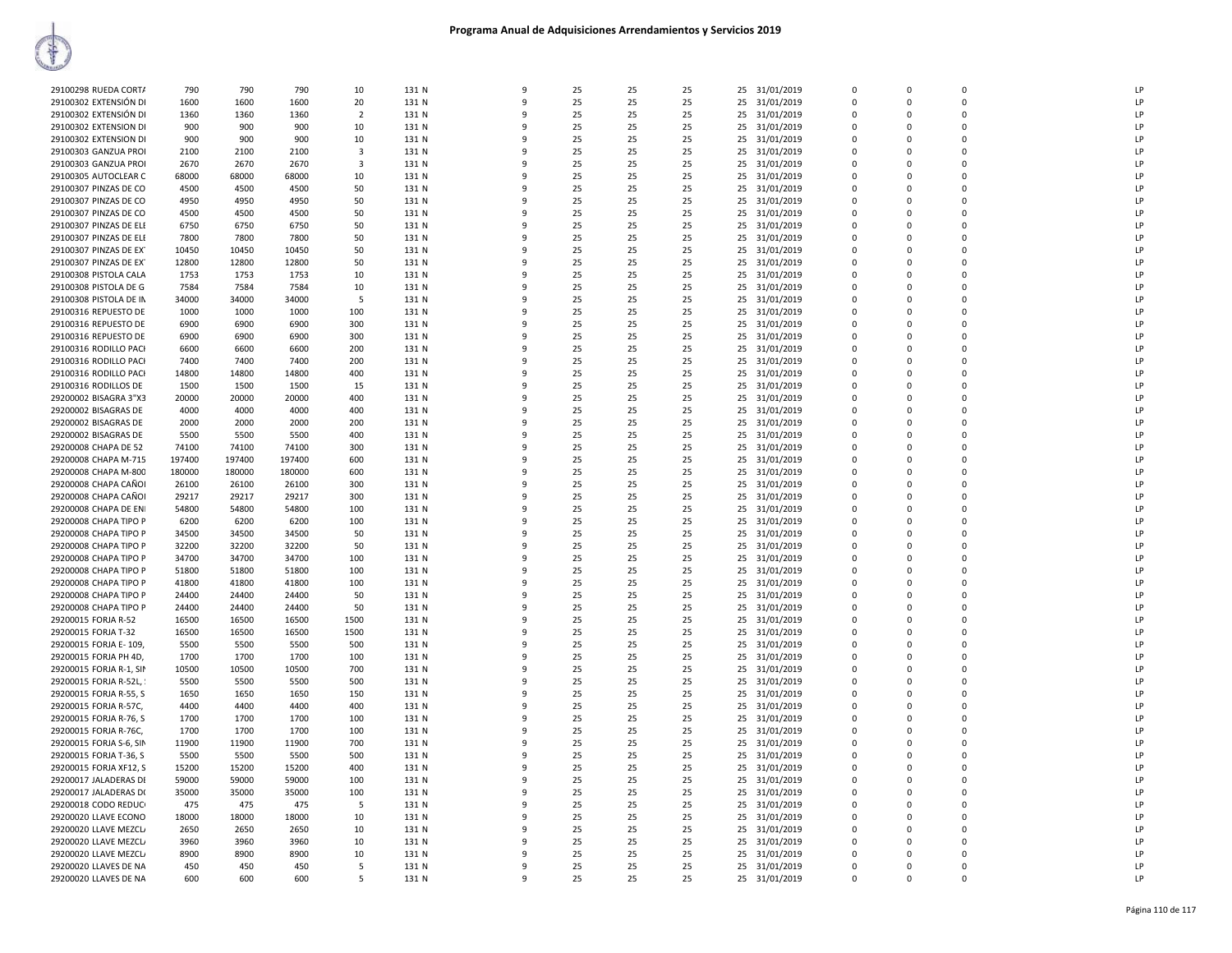| 29100298 RUEDA CORT/    | 790    | 790    | 790    | 10                      | 131 N | q            | 25 | 25 | 25 |    | 25 31/01/2019 | $\Omega$    | $\Omega$    | $\Omega$    | LP |
|-------------------------|--------|--------|--------|-------------------------|-------|--------------|----|----|----|----|---------------|-------------|-------------|-------------|----|
| 29100302 EXTENSIÓN DI   | 1600   | 1600   | 1600   | 20                      | 131 N | 9            | 25 | 25 | 25 | 25 | 31/01/2019    | 0           | $\Omega$    | 0           | LP |
| 29100302 EXTENSIÓN DI   | 1360   | 1360   | 1360   | $\overline{2}$          | 131 N | q            | 25 | 25 | 25 |    | 25 31/01/2019 | $\Omega$    | $\Omega$    | O           | LP |
|                         |        |        |        |                         |       |              | 25 |    |    |    |               |             | $\Omega$    | 0           | LP |
| 29100302 EXTENSION DI   | 900    | 900    | 900    | 10                      | 131 N |              |    | 25 | 25 |    | 25 31/01/2019 | $\mathbf 0$ |             |             |    |
| 29100302 EXTENSION DI   | 900    | 900    | 900    | 10                      | 131 N | q            | 25 | 25 | 25 | 25 | 31/01/2019    | 0           | $\Omega$    | $\mathsf 0$ | LP |
| 29100303 GANZUA PROI    | 2100   | 2100   | 2100   | $\overline{\mathbf{3}}$ | 131 N | q            | 25 | 25 | 25 |    | 25 31/01/2019 | $\mathbf 0$ | $\Omega$    | 0           | LP |
| 29100303 GANZUA PROI    | 2670   | 2670   | 2670   | 3                       | 131 N | ٩            | 25 | 25 | 25 |    | 25 31/01/2019 | 0           | $\mathbf 0$ | 0           | LP |
| 29100305 AUTOCLEAR C    | 68000  | 68000  | 68000  | 10                      | 131 N | q            | 25 | 25 | 25 | 25 | 31/01/2019    | $\Omega$    | $\Omega$    | 0           | LP |
| 29100307 PINZAS DE CO   | 4500   | 4500   | 4500   | 50                      | 131 N | 9            | 25 | 25 | 25 | 25 | 31/01/2019    | 0           | $\Omega$    | 0           | LP |
| 29100307 PINZAS DE CO   | 4950   | 4950   | 4950   | 50                      | 131 N | q            | 25 | 25 | 25 |    | 25 31/01/2019 | $\Omega$    | $\Omega$    | $\Omega$    | LP |
| 29100307 PINZAS DE CO   | 4500   | 4500   | 4500   | 50                      | 131 N |              | 25 | 25 | 25 | 25 | 31/01/2019    | $\Omega$    | $\Omega$    | 0           | LP |
| 29100307 PINZAS DE ELI  | 6750   | 6750   | 6750   | 50                      | 131 N | q            | 25 | 25 | 25 | 25 | 31/01/2019    | 0           | $\Omega$    | $\mathsf 0$ | LP |
| 29100307 PINZAS DE ELI  | 7800   | 7800   | 7800   | 50                      | 131 N |              | 25 | 25 | 25 |    | 25 31/01/2019 | $\mathbf 0$ | $\Omega$    | 0           | LP |
| 29100307 PINZAS DE EX   | 10450  | 10450  | 10450  | 50                      | 131 N | ٩            | 25 | 25 | 25 | 25 | 31/01/2019    | 0           | $\Omega$    | 0           | LP |
|                         |        |        |        |                         |       | q            |    |    |    |    |               | $\Omega$    |             | 0           |    |
| 29100307 PINZAS DE EX   | 12800  | 12800  | 12800  | 50                      | 131 N |              | 25 | 25 | 25 |    | 25 31/01/2019 |             | $\Omega$    |             | LP |
| 29100308 PISTOLA CALA   | 1753   | 1753   | 1753   | 10                      | 131 N | 9            | 25 | 25 | 25 | 25 | 31/01/2019    | 0           | $\Omega$    | 0           | LP |
| 29100308 PISTOLA DE G   | 7584   | 7584   | 7584   | 10                      | 131 N | q            | 25 | 25 | 25 |    | 25 31/01/2019 | $\Omega$    | $\Omega$    | $\Omega$    | LP |
| 29100308 PISTOLA DE IN  | 34000  | 34000  | 34000  | -5                      | 131 N |              | 25 | 25 | 25 |    | 25 31/01/2019 | $\Omega$    | $\Omega$    | 0           | LP |
| 29100316 REPUESTO DE    | 1000   | 1000   | 1000   | 100                     | 131 N | q            | 25 | 25 | 25 | 25 | 31/01/2019    | 0           | $\Omega$    | 0           | LP |
| 29100316 REPUESTO DE    | 6900   | 6900   | 6900   | 300                     | 131 N |              | 25 | 25 | 25 |    | 25 31/01/2019 | $\mathbf 0$ | $\Omega$    | 0           | LP |
| 29100316 REPUESTO DE    | 6900   | 6900   | 6900   | 300                     | 131 N | q            | 25 | 25 | 25 | 25 | 31/01/2019    | $\mathbf 0$ | $\Omega$    | 0           | LP |
| 29100316 RODILLO PACI   | 6600   | 6600   | 6600   | 200                     | 131 N | q            | 25 | 25 | 25 |    | 25 31/01/2019 | $\mathbf 0$ | $\Omega$    | 0           | LP |
| 29100316 RODILLO PACI   | 7400   | 7400   | 7400   | 200                     | 131 N | 9            | 25 | 25 | 25 | 25 | 31/01/2019    | 0           | $\Omega$    | 0           | LP |
| 29100316 RODILLO PACI   | 14800  | 14800  | 14800  | 400                     | 131 N | q            | 25 | 25 | 25 |    | 25 31/01/2019 | $\Omega$    | $\Omega$    | $\Omega$    | LP |
|                         |        |        |        |                         |       |              |    |    |    |    |               |             |             |             |    |
| 29100316 RODILLOS DE    | 1500   | 1500   | 1500   | 15                      | 131 N |              | 25 | 25 | 25 |    | 25 31/01/2019 | $\Omega$    | $\Omega$    | 0           | LP |
| 29200002 BISAGRA 3"X3   | 20000  | 20000  | 20000  | 400                     | 131 N | q            | 25 | 25 | 25 | 25 | 31/01/2019    | $\Omega$    | $\Omega$    | $\Omega$    | LP |
| 29200002 BISAGRAS DE    | 4000   | 4000   | 4000   | 400                     | 131 N |              | 25 | 25 | 25 | 25 | 31/01/2019    | $\Omega$    | $\Omega$    | 0           | LP |
| 29200002 BISAGRAS DE    | 2000   | 2000   | 2000   | 200                     | 131 N | q            | 25 | 25 | 25 | 25 | 31/01/2019    | $\Omega$    | $\Omega$    | 0           | LP |
| 29200002 BISAGRAS DE    | 5500   | 5500   | 5500   | 400                     | 131 N |              | 25 | 25 | 25 | 25 | 31/01/2019    | $\mathbf 0$ | $\Omega$    | 0           | LP |
| 29200008 CHAPA DE 52    | 74100  | 74100  | 74100  | 300                     | 131 N | q            | 25 | 25 | 25 | 25 | 31/01/2019    | 0           | 0           | 0           | LP |
| 29200008 CHAPA M-715    | 197400 | 197400 | 197400 | 600                     | 131 N | q            | 25 | 25 | 25 |    | 25 31/01/2019 | $\Omega$    | $\Omega$    | $\Omega$    | LP |
| 29200008 CHAPA M-800    | 180000 | 180000 | 180000 | 600                     | 131 N |              | 25 | 25 | 25 |    | 25 31/01/2019 | 0           | $\Omega$    | 0           | LP |
| 29200008 CHAPA CAÑOI    | 26100  | 26100  | 26100  | 300                     | 131 N |              | 25 | 25 | 25 |    | 25 31/01/2019 | $\Omega$    | $\Omega$    | $\Omega$    | LP |
| 29200008 CHAPA CAÑOI    | 29217  | 29217  | 29217  | 300                     | 131 N |              | 25 | 25 | 25 | 25 | 31/01/2019    | $\Omega$    | $\Omega$    | 0           | LP |
|                         |        | 54800  | 54800  |                         |       | q            |    |    |    |    |               | $\Omega$    | $\Omega$    | 0           | LP |
| 29200008 CHAPA DE ENI   | 54800  |        |        | 100                     | 131 N |              | 25 | 25 | 25 | 25 | 31/01/2019    |             |             |             |    |
| 29200008 CHAPA TIPO P   | 6200   | 6200   | 6200   | 100                     | 131 N |              | 25 | 25 | 25 |    | 25 31/01/2019 | $\mathbf 0$ | $\Omega$    | 0           | LP |
| 29200008 CHAPA TIPO P   | 34500  | 34500  | 34500  | 50                      | 131 N | 9            | 25 | 25 | 25 | 25 | 31/01/2019    | 0           | 0           | 0           | LP |
| 29200008 CHAPA TIPO P   | 32200  | 32200  | 32200  | 50                      | 131 N | $\mathbf{q}$ | 25 | 25 | 25 | 25 | 31/01/2019    | $\mathbf 0$ | $\Omega$    | $\Omega$    | LP |
| 29200008 CHAPA TIPO P   | 34700  | 34700  | 34700  | 100                     | 131 N | q            | 25 | 25 | 25 |    | 25 31/01/2019 | $\Omega$    | $\Omega$    | 0           | LP |
| 29200008 CHAPA TIPO P   | 51800  | 51800  | 51800  | 100                     | 131 N |              | 25 | 25 | 25 |    | 25 31/01/2019 | $\Omega$    | $\Omega$    | 0           | LP |
| 29200008 CHAPA TIPO P   | 41800  | 41800  | 41800  | 100                     | 131 N |              | 25 | 25 | 25 | 25 | 31/01/2019    | 0           | $\Omega$    | 0           | LP |
| 29200008 CHAPA TIPO P   | 24400  | 24400  | 24400  | 50                      | 131 N | q            | 25 | 25 | 25 |    | 25 31/01/2019 | $\Omega$    | $\Omega$    | $\Omega$    | LP |
| 29200008 CHAPA TIPO P   | 24400  | 24400  | 24400  | 50                      | 131 N |              | 25 | 25 | 25 | 25 | 31/01/2019    | $\Omega$    | $\Omega$    | 0           | LP |
| 29200015 FORJA R-52     | 16500  | 16500  | 16500  | 1500                    | 131 N | 9            | 25 | 25 | 25 | 25 | 31/01/2019    | 0           | $\Omega$    | 0           | LP |
| 29200015 FORJA T-32     | 16500  | 16500  | 16500  | 1500                    | 131 N | 9            | 25 | 25 | 25 | 25 | 31/01/2019    | $\mathbf 0$ | $\Omega$    | $\Omega$    | LP |
| 29200015 FORJA E-109    | 5500   | 5500   | 5500   | 500                     | 131 N | q            | 25 | 25 | 25 | 25 | 31/01/2019    | $\mathbf 0$ | $\Omega$    | O           | LP |
| 29200015 FORJA PH 4D,   | 1700   | 1700   | 1700   | 100                     | 131 N |              | 25 | 25 | 25 |    |               | $\Omega$    | $\Omega$    | 0           | P  |
|                         |        |        |        |                         |       |              |    |    |    |    | 25 31/01/2019 |             |             |             |    |
| 29200015 FORJA R-1, SIN | 10500  | 10500  | 10500  | 700                     | 131 N |              | 25 | 25 | 25 | 25 | 31/01/2019    | 0           | $\Omega$    | 0           | LP |
| 29200015 FORJA R-52L, : | 5500   | 5500   | 5500   | 500                     | 131 N | q            | 25 | 25 | 25 |    | 25 31/01/2019 | $\Omega$    | $\Omega$    | 0           | LP |
| 29200015 FORJA R-55, S  | 1650   | 1650   | 1650   | 150                     | 131 N |              | 25 | 25 | 25 | 25 | 31/01/2019    | $\Omega$    | $\Omega$    | 0           | LP |
| 29200015 FORJA R-57C,   | 4400   | 4400   | 4400   | 400                     | 131 N | 9            | 25 | 25 | 25 | 25 | 31/01/2019    | 0           | $\Omega$    | 0           | LP |
| 29200015 FORJA R-76, S  | 1700   | 1700   | 1700   | 100                     | 131 N | 9            | 25 | 25 | 25 | 25 | 31/01/2019    | $\mathbf 0$ | $\Omega$    | 0           | LP |
| 29200015 FORJA R-76C,   | 1700   | 1700   | 1700   | 100                     | 131 N | q            | 25 | 25 | 25 |    | 25 31/01/2019 | $\mathbf 0$ | $\Omega$    | 0           | LP |
| 29200015 FORJA S-6, SIN | 11900  | 11900  | 11900  | 700                     | 131 N |              | 25 | 25 | 25 |    | 25 31/01/2019 | $\mathbf 0$ | $\Omega$    | 0           | P  |
| 29200015 FORJA T-36, S  | 5500   | 5500   | 5500   | 500                     | 131 N | q            | 25 | 25 | 25 | 25 | 31/01/2019    | 0           | $\Omega$    | 0           | LP |
| 29200015 FORJA XF12, S  | 15200  | 15200  | 15200  | 400                     | 131 N | q            | 25 | 25 | 25 |    | 25 31/01/2019 | $\Omega$    | $\Omega$    | 0           | LP |
| 29200017 JALADERAS DI   | 59000  | 59000  | 59000  | 100                     | 131 N | q            | 25 | 25 | 25 |    | 25 31/01/2019 | 0           | $\Omega$    | 0           | LP |
|                         |        |        |        |                         |       |              |    |    |    |    |               |             | $\Omega$    | 0           |    |
| 29200017 JALADERAS D(   | 35000  | 35000  | 35000  | 100                     | 131 N | 9            | 25 | 25 | 25 |    | 25 31/01/2019 | 0           |             |             | LP |
| 29200018 CODO REDUCI    | 475    | 475    | 475    | -5                      | 131 N | 9            | 25 | 25 | 25 | 25 | 31/01/2019    | 0           | $\Omega$    | 0           | LP |
| 29200020 LLAVE ECONO    | 18000  | 18000  | 18000  | 10                      | 131 N | q            | 25 | 25 | 25 | 25 | 31/01/2019    | $\mathbf 0$ | $\Omega$    | $\Omega$    | LP |
| 29200020 LLAVE MEZCL    | 2650   | 2650   | 2650   | 10                      | 131 N |              | 25 | 25 | 25 |    | 25 31/01/2019 | $\mathbf 0$ | $\Omega$    | $\Omega$    | LP |
| 29200020 LLAVE MEZCL    | 3960   | 3960   | 3960   | 10                      | 131 N | ٩            | 25 | 25 | 25 | 25 | 31/01/2019    | 0           | $\Omega$    | 0           | LP |
| 29200020 LLAVE MEZCL    | 8900   | 8900   | 8900   | 10                      | 131 N | q            | 25 | 25 | 25 |    | 25 31/01/2019 | $\Omega$    | $\Omega$    | $\Omega$    | P  |
| 29200020 LLAVES DE NA   | 450    | 450    | 450    | .5                      | 131 N | q            | 25 | 25 | 25 |    | 25 31/01/2019 | $\Omega$    | $\Omega$    | O           | LP |
| 29200020 LLAVES DE NA   | 600    | 600    | 600    | .5                      | 131 N | 9            | 25 | 25 | 25 |    | 25 31/01/2019 | $\Omega$    | $\Omega$    | 0           | LP |
|                         |        |        |        |                         |       |              |    |    |    |    |               |             |             |             |    |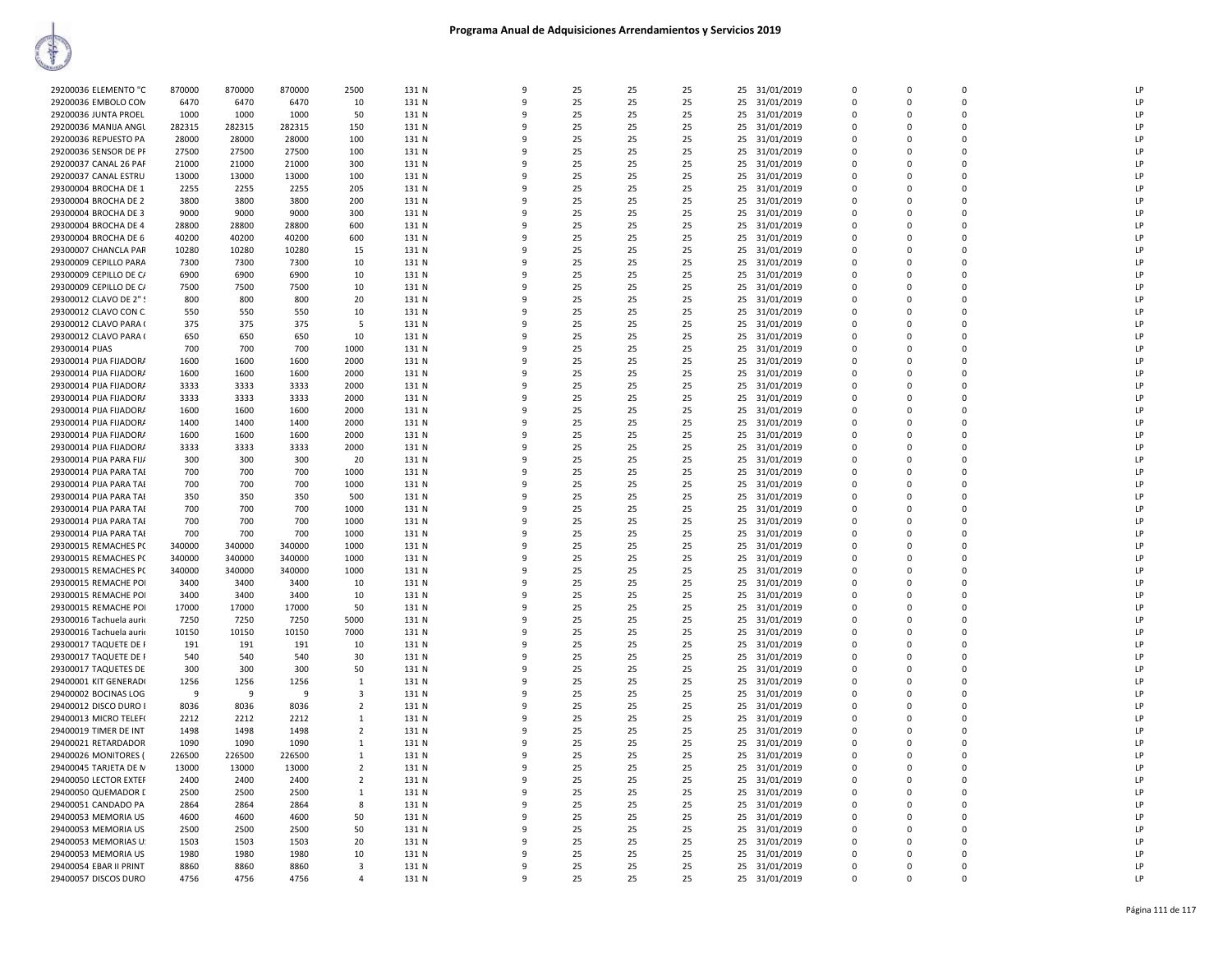| 29200036 ELEMENTO "C                           | 870000        | 870000        | 870000        | 2500                    | 131 N          | 9            | 25       | 25       | 25       | 25       | 31/01/2019               | $\Omega$                | $\Omega$             | $\Omega$                | LP       |
|------------------------------------------------|---------------|---------------|---------------|-------------------------|----------------|--------------|----------|----------|----------|----------|--------------------------|-------------------------|----------------------|-------------------------|----------|
| 29200036 EMBOLO COM                            | 6470          | 6470          | 6470          | 10                      | 131 N          | 9            | 25       | 25       | 25       | 25       | 31/01/2019               | 0                       | $\Omega$             | $\Omega$                | LP       |
| 29200036 JUNTA PROEL                           | 1000          | 1000          | 1000          | 50                      | 131 N          | 9            | 25       | 25       | 25       | 25       | 31/01/2019               | $\mathbf 0$             | $\Omega$             | $\Omega$                | LP       |
| 29200036 MANIJA ANGU                           | 282315        | 282315        | 282315        | 150                     | 131 N          | q            | 25       | 25       | 25       | 25       | 31/01/2019               | $\Omega$                | $\Omega$             | $\Omega$                | LP       |
| 29200036 REPUESTO PA                           | 28000         | 28000         | 28000         | 100                     | 131 N          |              | 25       | 25       | 25       | 25       | 31/01/2019               | $\Omega$                | $\Omega$             | $\Omega$                | LP       |
| 29200036 SENSOR DE PF                          | 27500         | 27500         | 27500         | 100                     | 131 N          | -9           | 25       | 25       | 25       | 25       | 31/01/2019               | $\mathbf 0$             | $\Omega$             | $\mathbf 0$             | LP       |
| 29200037 CANAL 26 PAF                          | 21000         | 21000         | 21000         | 300                     | 131 N          | q            | 25       | 25       | 25       | 25       | 31/01/2019               | $\Omega$                | $\Omega$             | $\Omega$                | LP       |
| 29200037 CANAL ESTRU                           | 13000         | 13000         | 13000         | 100                     | 131 N          |              | 25       | 25       | 25       | 25       | 31/01/2019               | $\mathbf 0$             | $\Omega$             | $\Omega$                | LP       |
| 29300004 BROCHA DE 1                           | 2255          | 2255          | 2255          | 205                     | 131 N          | q            | 25       | 25       | 25       | 25       | 31/01/2019               | $\mathbf 0$             | $\Omega$             | $\mathbf 0$             | LP       |
| 29300004 BROCHA DE 2                           | 3800          | 3800          | 3800          | 200                     | 131 N          | c            | 25       | 25       | 25       | 25       | 31/01/2019               | $\Omega$                | $\Omega$             | $\Omega$                | LP       |
| 29300004 BROCHA DE 3                           | 9000          | 9000          | 9000          | 300                     | 131 N          | q            | 25       | 25       | 25       | 25       | 31/01/2019               | $\Omega$                | $\Omega$             | $\Omega$                | LP       |
| 29300004 BROCHA DE 4                           | 28800         | 28800         | 28800         | 600                     | 131 N          |              | 25       | 25       | 25       | 25       | 31/01/2019               | $\Omega$                | $\Omega$             | $\Omega$                | LP       |
| 29300004 BROCHA DE 6                           | 40200         | 40200         | 40200         | 600                     | 131 N          |              | 25       | 25       | 25       | 25       | 31/01/2019               | $\mathbf 0$             | $\Omega$             | $\mathbf 0$             | LP       |
| 29300007 CHANCLA PAR                           | 10280         | 10280         | 10280         | 15                      | 131 N          | q            | 25       | 25       | 25       | 25       | 31/01/2019               | $\Omega$                | $\Omega$             | $\Omega$                | LP       |
| 29300009 CEPILLO PARA                          | 7300          | 7300          | 7300          | 10                      | 131 N          | 9            | 25       | 25       | 25       | 25       | 31/01/2019               | $\Omega$                | $\Omega$             | $\Omega$                | LP       |
| 29300009 CEPILLO DE C/                         | 6900          | 6900          | 6900          | 10                      | 131 N          | ٩            | 25       | 25       | 25       | 25       | 31/01/2019               | $\mathbf 0$             | $\Omega$             | $\Omega$                | LP       |
| 29300009 CEPILLO DE C/                         | 7500          | 7500          | 7500          | 10                      | 131 N          | q            | 25       | 25       | 25       | 25       | 31/01/2019               | $\Omega$                | $\Omega$             | $\Omega$                | LP       |
| 29300012 CLAVO DE 2" !                         | 800           | 800           | 800           | 20                      | 131 N          | c            | 25       | 25       | 25       | 25       | 31/01/2019               | $\mathbf 0$             | $\Omega$             | $\Omega$                | LP       |
| 29300012 CLAVO CON C.                          | 550           | 550           | 550           | 10                      | 131 N          |              | 25       | 25       | 25       | 25       | 31/01/2019               | $\Omega$                | $\Omega$             | $\Omega$                | LP       |
| 29300012 CLAVO PARA (                          | 375           | 375           | 375           | 5                       | 131 N          |              | 25       | 25       | 25       | 25       | 31/01/2019               | $\mathbf 0$             | $\Omega$             | $\mathbf 0$             | LP       |
| 29300012 CLAVO PARA (                          | 650           | 650           | 650           | 10                      | 131 N          | q            | 25       | 25       | 25       | 25       | 31/01/2019               | $\Omega$                | $\Omega$             | $\Omega$                | LP       |
| 29300014 PIJAS                                 | 700           | 700           | 700           | 1000                    | 131 N          |              | 25       | 25       | 25       | 25       | 31/01/2019               | $\Omega$                | $\Omega$             | $\Omega$                | LP       |
| 29300014 PIJA FIJADOR/                         | 1600          | 1600          | 1600          | 2000                    | 131 N          | 9            | 25       | 25       | 25       | 25       | 31/01/2019               | 0                       | $\Omega$             | $\Omega$                | LP       |
| 29300014 PIJA FIJADOR/                         | 1600          | 1600          | 1600          | 2000                    | 131 N          | 9            | 25       | 25       | 25       | 25       | 31/01/2019               | $\mathbf 0$             | $\Omega$             | $\Omega$                | LP       |
| 29300014 PIJA FIJADORA                         | 3333          | 3333          | 3333          | 2000                    | 131 N          |              | 25       | 25       | 25       | 25       | 31/01/2019               | $\mathbf 0$             | $\Omega$             | $\mathbf 0$             | LP       |
| 29300014 PIJA FIJADORA                         | 3333          | 3333          | 3333          | 2000                    | 131 N          |              | 25       | 25       | 25       | 25       | 31/01/2019               | $\mathbf 0$             | $\Omega$             | $\Omega$                | LP       |
| 29300014 PIJA FIJADOR/                         | 1600          | 1600          | 1600          | 2000                    | 131 N          |              | 25       | 25       | 25       | 25       | 31/01/2019               | $\Omega$                | $\Omega$             | $\Omega$                | LP       |
| 29300014 PIJA FIJADOR/                         | 1400          | 1400          | 1400          | 2000                    | 131 N          | ٠Q           | 25       | 25       | 25       | 25       | 31/01/2019               | $\Omega$                | $\Omega$             | $\Omega$                | LP       |
| 29300014 PIJA FIJADOR/                         | 1600          | 1600          | 1600          | 2000                    | 131 N          |              | 25       | 25       | 25       | 25       | 31/01/2019               | $\Omega$                | $\Omega$             | $\Omega$                | LP       |
| 29300014 PIJA FIJADOR/                         | 3333          | 3333          | 3333          | 2000                    | 131 N          | 9            | 25       | 25       | 25       | 25       | 31/01/2019               | $\mathbf 0$             | $\Omega$             | $\mathbf 0$             | LP       |
| 29300014 PIJA PARA FIJ/                        | 300           | 300           | 300           | 20                      | 131 N          | c            | 25       | 25       | 25       | 25       | 31/01/2019               | $\mathbf 0$             | $\Omega$             | $\Omega$                | LP       |
| 29300014 PIJA PARA TAI                         | 700           | 700           | 700           | 1000                    | 131 N          | ٠Q           | 25       | 25       | 25       | 25       | 31/01/2019               | $\Omega$                | $\Omega$             | $\Omega$                | LP       |
| 29300014 PIJA PARA TAI                         | 700           | 700           | 700           | 1000                    | 131 N          |              | 25       | 25       | 25       | 25       | 31/01/2019               | $\Omega$                | $\Omega$             | $\Omega$                | LP       |
| 29300014 PIJA PARA TAI                         | 350           | 350           | 350           | 500                     | 131 N          |              | 25       | 25       | 25       | 25       | 31/01/2019               | $\Omega$                |                      | $\Omega$                | LP       |
| 29300014 PIJA PARA TAI                         | 700           | 700           | 700           | 1000                    | 131 N          | ٩            | 25       | 25       | 25       | 25       | 31/01/2019               | $\Omega$                | $\Omega$             | $\Omega$                | LP       |
| 29300014 PIJA PARA TAI                         | 700           | 700           | 700           | 1000                    | 131 N          | 9<br>q       | 25       | 25       | 25       | 25       | 31/01/2019               | $\mathbf 0$             | $\Omega$<br>$\Omega$ | $\Omega$                | LP       |
| 29300014 PIJA PARA TAI<br>29300015 REMACHES PC | 700<br>340000 | 700<br>340000 | 700<br>340000 | 1000<br>1000            | 131 N<br>131 N | $\mathbf{q}$ | 25<br>25 | 25<br>25 | 25<br>25 | 25<br>25 | 31/01/2019               | $\mathbf 0$<br>$\Omega$ | $\Omega$             | $\mathbf 0$<br>$\Omega$ | LP<br>LP |
| 29300015 REMACHES PC                           | 340000        | 340000        | 340000        | 1000                    | 131 N          | ٩            | 25       | 25       | 25       | 25       | 31/01/2019<br>31/01/2019 | $\Omega$                | $\Omega$             | $\Omega$                | LP       |
| 29300015 REMACHES PC                           | 340000        | 340000        | 340000        | 1000                    | 131 N          |              | 25       | 25       | 25       | 25       | 31/01/2019               | $\Omega$                | $\Omega$             | $\Omega$                | LP       |
| 29300015 REMACHE POI                           | 3400          | 3400          | 3400          | 10                      | 131 N          |              | 25       | 25       | 25       | 25       | 31/01/2019               | $\mathbf 0$             | $\Omega$             | $\mathbf 0$             | LP       |
| 29300015 REMACHE POI                           | 3400          | 3400          | 3400          | 10                      | 131 N          | $\Omega$     | 25       | 25       | 25       | 25       | 31/01/2019               | $\Omega$                | $\Omega$             | $\Omega$                | LP       |
| 29300015 REMACHE POI                           | 17000         | 17000         | 17000         | 50                      | 131 N          | q            | 25       | 25       | 25       | 25       | 31/01/2019               | $\mathbf 0$             | $\Omega$             | $\mathbf 0$             | LP       |
| 29300016 Tachuela aurio                        | 7250          | 7250          | 7250          | 5000                    | 131 N          | 9            | 25       | 25       | 25       | 25       | 31/01/2019               | $\mathbf 0$             | $\Omega$             | $\Omega$                | LP       |
| 29300016 Tachuela aurio                        | 10150         | 10150         | 10150         | 7000                    | 131 N          | c            | 25       | 25       | 25       | 25       | 31/01/2019               | $\mathbf 0$             | $\Omega$             | $\Omega$                | LP       |
| 29300017 TAQUETE DE F                          | 191           | 191           | 191           | 10                      | 131 N          | c            | 25       | 25       | 25       | 25       | 31/01/2019               | $\mathbf 0$             | $\Omega$             | $\Omega$                | LP       |
| 29300017 TAQUETE DE F                          | 540           | 540           | 540           | 30                      | 131 N          |              | 25       | 25       | 25       | 25       | 31/01/2019               | $\mathbf 0$             | $\Omega$             | $\Omega$                | LP       |
| 29300017 TAQUETES DE                           | 300           | 300           | 300           | 50                      | 131 N          |              | 25       | 25       | 25       | 25       | 31/01/2019               | $\mathbf 0$             | $\Omega$             | $\mathbf 0$             | LP       |
| 29400001 KIT GENERADI                          | 1256          | 1256          | 1256          | 1                       | 131 N          | ٠Q           | 25       | 25       | 25       | 25       | 31/01/2019               | $\Omega$                | $\Omega$             | $\Omega$                | LP       |
| 29400002 BOCINAS LOG                           | 9             | -9            | 9             | $\overline{3}$          | 131 N          | q            | 25       | 25       | 25       | 25       | 31/01/2019               | $\Omega$                | $\Omega$             | $\Omega$                | LP       |
| 29400012 DISCO DURO I                          | 8036          | 8036          | 8036          | $\overline{2}$          | 131 N          | 9            | 25       | 25       | 25       | 25       | 31/01/2019               | $\mathbf 0$             | $\Omega$             | $\Omega$                | LP       |
| 29400013 MICRO TELEF(                          | 2212          | 2212          | 2212          | 1                       | 131 N          | $\mathbf{q}$ | 25       | 25       | 25       | 25       | 31/01/2019               | $\Omega$                | $\Omega$             | $\Omega$                | LP       |
| 29400019 TIMER DE INT                          | 1498          | 1498          | 1498          | $\overline{2}$          | 131 N          |              | 25       | 25       | 25       | 25       | 31/01/2019               | $\mathbf 0$             | $\Omega$             | $\mathbf 0$             | LP       |
| 29400021 RETARDADOR                            | 1090          | 1090          | 1090          | 1                       | 131 N          |              | 25       | 25       | 25       | 25       | 31/01/2019               | $\mathbf 0$             | $\Omega$             | $\Omega$                | LP       |
| 29400026 MONITORES (                           | 226500        | 226500        | 226500        | 1                       | 131 N          |              | 25       | 25       | 25       | 25       | 31/01/2019               | $\Omega$                | $\Omega$             | $\Omega$                | LP       |
| 29400045 TARJETA DE M                          | 13000         | 13000         | 13000         | $\overline{2}$          | 131 N          | ٩            | 25       | 25       | 25       | 25       | 31/01/2019               | $\Omega$                | $\Omega$             | $\Omega$                | LP       |
| 29400050 LECTOR EXTEF                          | 2400          | 2400          | 2400          | $\overline{2}$          | 131 N          | 9            | 25       | 25       | 25       | 25       | 31/01/2019               | $\mathbf 0$             | $\Omega$             | $\Omega$                | LP       |
| 29400050 QUEMADOR L                            | 2500          | 2500          | 2500          | $\mathbf{1}$            | 131 N          | 9            | 25       | 25       | 25       | 25       | 31/01/2019               | $\mathbf 0$             | $\mathbf 0$          | $\mathbf 0$             | LP       |
| 29400051 CANDADO PA                            | 2864          | 2864          | 2864          | 8                       | 131 N          | $\alpha$     | 25       | 25       | 25       | 25       | 31/01/2019               | $\Omega$                | $\Omega$             | $\Omega$                | LP       |
| 29400053 MEMORIA US                            | 4600          | 4600          | 4600          | 50                      | 131 N          |              | 25       | 25       | 25       | 25       | 31/01/2019               | $\Omega$                | $\Omega$             | $\Omega$                | LP       |
| 29400053 MEMORIA US                            | 2500          | 2500          | 2500          | 50                      | 131 N          | ٩            | 25       | 25       | 25       | 25       | 31/01/2019               | $\Omega$                | $\Omega$             | $\Omega$                | LP       |
| 29400053 MEMORIAS U                            | 1503          | 1503          | 1503          | 20                      | 131 N          | 9            | 25       | 25       | 25       | 25       | 31/01/2019               | $\Omega$                |                      | $\Omega$                | LP       |
| 29400053 MEMORIA US                            | 1980          | 1980          | 1980          | 10                      | 131 N          | ٩            | 25       | 25       | 25       | 25       | 31/01/2019               | $\Omega$                | $\Omega$             | $\Omega$                | LP       |
| 29400054 EBAR II PRINT                         | 8860          | 8860          | 8860          | $\overline{\mathbf{3}}$ | 131 N          | 9            | 25       | 25       | 25       | 25       | 31/01/2019               | $\mathbf 0$             | $\Omega$             | $\Omega$                | LP       |
| 29400057 DISCOS DURO                           | 4756          | 4756          | 4756          | 4                       | 131 N          | 9            | 25       | 25       | 25       | 25       | 31/01/2019               | $\Omega$                | $\Omega$             | $\Omega$                | LP       |
|                                                |               |               |               |                         |                |              |          |          |          |          |                          |                         |                      |                         |          |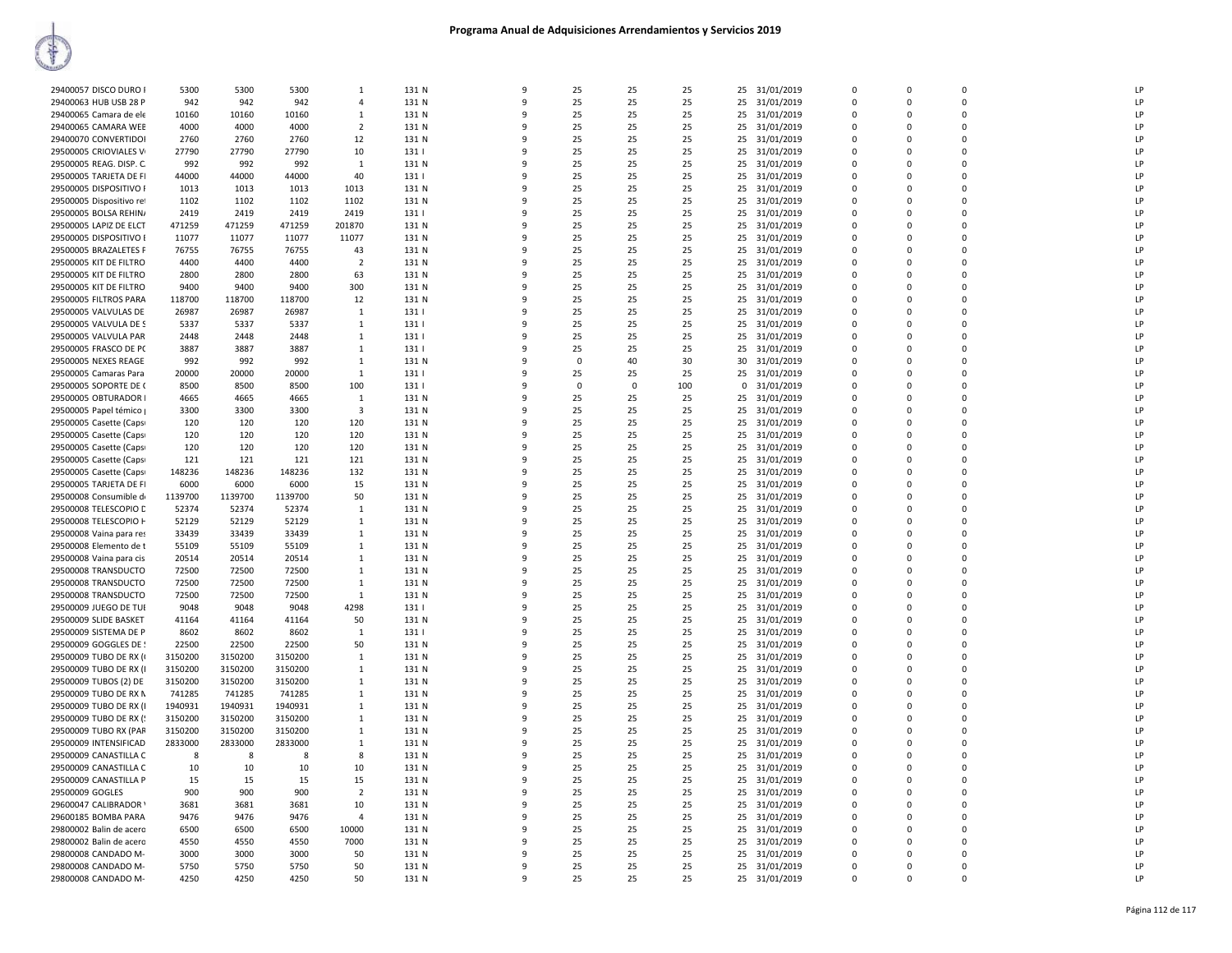| 29400057 DISCO DURO I    | 5300    | 5300    | 5300    | $\mathbf{1}$   | 131 N | 9            | 25             | 25       | 25  |          | 25 31/01/2019 | $\Omega$       | $\Omega$    | $\Omega$       | LP |
|--------------------------|---------|---------|---------|----------------|-------|--------------|----------------|----------|-----|----------|---------------|----------------|-------------|----------------|----|
| 29400063 HUB USB 28 P    | 942     | 942     | 942     | $\overline{4}$ | 131 N | 9            | 25             | 25       | 25  | 25       | 31/01/2019    | $\mathbf 0$    | 0           | $\Omega$       | LP |
|                          |         |         |         |                |       |              |                |          |     |          |               |                |             |                |    |
| 29400065 Camara de ele   | 10160   | 10160   | 10160   | $\mathbf{1}$   | 131 N | 9            | 25             | 25       | 25  | 25       | 31/01/2019    | $\overline{0}$ | $\Omega$    | $\mathbf 0$    | LP |
| 29400065 CAMARA WEB      | 4000    | 4000    | 4000    | $\overline{2}$ | 131 N | 9            | 25             | 25       | 25  | 25       | 31/01/2019    | 0              | 0           | $\mathbf 0$    | LP |
| 29400070 CONVERTIDOI     | 2760    | 2760    | 2760    | 12             | 131 N | 9            | 25             | 25       | 25  | 25       | 31/01/2019    | $\Omega$       | $\Omega$    | $\Omega$       | LP |
|                          |         |         |         |                |       |              |                |          |     |          |               |                |             |                |    |
| 29500005 CRIOVIALES V    | 27790   | 27790   | 27790   | 10             | 131   | 9            | 25             | 25       | 25  | 25       | 31/01/2019    | 0              | 0           | $\mathbf 0$    | LP |
| 29500005 REAG. DISP. C.  | 992     | 992     | 992     | 1              | 131 N | 9            | 25             | 25       | 25  | 25       | 31/01/2019    | $\mathbf 0$    | 0           | $\mathbf 0$    | LP |
| 29500005 TARJETA DE FI   | 44000   | 44000   | 44000   | 40             | 131   | $\mathbf{q}$ | 25             | 25       | 25  | 25       | 31/01/2019    | $\mathbf 0$    | 0           | $\mathbf 0$    | LP |
|                          |         |         |         |                |       |              |                |          |     |          |               |                |             |                |    |
| 29500005 DISPOSITIVO R   | 1013    | 1013    | 1013    | 1013           | 131 N | 9            | 25             | 25       | 25  | 25       | 31/01/2019    | $\Omega$       | $\Omega$    | $\Omega$       | LP |
| 29500005 Dispositivo ret | 1102    | 1102    | 1102    | 1102           | 131 N | $\mathbf{q}$ | 25             | 25       | 25  | 25       | 31/01/2019    | $\Omega$       | $\Omega$    | $\Omega$       | LP |
| 29500005 BOLSA REHINA    | 2419    | 2419    | 2419    | 2419           | 131   | 9            | 25             | 25       | 25  | 25       | 31/01/2019    | $\mathbf 0$    | $\Omega$    | $\Omega$       | LP |
|                          |         |         |         |                |       |              |                |          |     |          |               |                |             |                |    |
| 29500005 LAPIZ DE ELCT   | 471259  | 471259  | 471259  | 201870         | 131 N | $\mathbf{q}$ | 25             | 25       | 25  | 25       | 31/01/2019    | $\Omega$       | $\Omega$    | $\Omega$       | LP |
| 29500005 DISPOSITIVO B   | 11077   | 11077   | 11077   | 11077          | 131 N | 9            | 25             | 25       | 25  | 25       | 31/01/2019    | $\Omega$       | $\Omega$    | $\Omega$       | LP |
| 29500005 BRAZALETES P    | 76755   | 76755   | 76755   | 43             | 131 N | 9            | 25             | 25       | 25  | 25       | 31/01/2019    | $\Omega$       | $\Omega$    | $\Omega$       | LP |
|                          |         |         |         |                |       |              |                |          |     |          |               |                |             |                |    |
| 29500005 KIT DE FILTRO   | 4400    | 4400    | 4400    | $\overline{2}$ | 131 N | 9            | 25             | 25       | 25  | 25       | 31/01/2019    | $\mathbf 0$    | 0           | $\mathbf 0$    | LP |
| 29500005 KIT DE FILTRO   | 2800    | 2800    | 2800    | 63             | 131 N | 9            | 25             | 25       | 25  | 25       | 31/01/2019    | $\Omega$       | $\Omega$    | $\Omega$       | LP |
| 29500005 KIT DE FILTRO   | 9400    | 9400    | 9400    | 300            | 131 N | 9            | 25             | 25       | 25  | 25       | 31/01/2019    | $\Omega$       | $\Omega$    | $\Omega$       | LP |
|                          |         |         |         |                |       |              |                |          |     |          |               |                |             |                |    |
| 29500005 FILTROS PARA    | 118700  | 118700  | 118700  | 12             | 131 N | 9            | 25             | 25       | 25  | 25       | 31/01/2019    | 0              | 0           | $\mathbf 0$    | LP |
| 29500005 VALVULAS DE     | 26987   | 26987   | 26987   | 1              | 131   | 9            | 25             | 25       | 25  | 25       | 31/01/2019    | $\Omega$       | $\Omega$    | $\Omega$       | LP |
| 29500005 VALVULA DE S    | 5337    | 5337    | 5337    | 1              | 131   | 9            | 25             | 25       | 25  | 25       | 31/01/2019    | $\mathbf 0$    | $\Omega$    | $\Omega$       | LP |
|                          |         |         |         |                |       |              |                |          |     |          |               |                |             |                |    |
| 29500005 VALVULA PAR     | 2448    | 2448    | 2448    | $\mathbf{1}$   | 131   | 9            | 25             | 25       | 25  | 25       | 31/01/2019    | $\overline{0}$ | 0           | $\mathbf 0$    | LP |
| 29500005 FRASCO DE PC    | 3887    | 3887    | 3887    | 1              | 131   | 9            | 25             | 25       | 25  | 25       | 31/01/2019    | 0              | $\mathbf 0$ | $\mathbf 0$    | LP |
| 29500005 NEXES REAGE     | 992     | 992     | 992     | $\mathbf{1}$   | 131 N | $\mathbf{q}$ | $\overline{0}$ | 40       | 30  | 30       | 31/01/2019    | $\mathbf 0$    | 0           | $\mathbf 0$    | LP |
|                          |         |         |         |                |       |              |                |          |     |          |               |                |             |                |    |
| 29500005 Camaras Para    | 20000   | 20000   | 20000   | 1              | 131   | 9            | 25             | 25       | 25  | 25       | 31/01/2019    | $\Omega$       | $\Omega$    | $\Omega$       | LP |
| 29500005 SOPORTE DE 0    | 8500    | 8500    | 8500    | 100            | 131   | q            | $\Omega$       | $\Omega$ | 100 | $\Omega$ | 31/01/2019    | $\mathbf 0$    | $\Omega$    | $\mathbf 0$    | LP |
| 29500005 OBTURADOR I     | 4665    |         | 4665    |                | 131 N | 9            | 25             | 25       | 25  |          | 25 31/01/2019 | $\Omega$       | $\Omega$    | $\Omega$       | LP |
|                          |         | 4665    |         | 1              |       |              |                |          |     |          |               |                |             |                |    |
| 29500005 Papel témico    | 3300    | 3300    | 3300    | 3              | 131 N | $\mathbf{q}$ | 25             | 25       | 25  | 25       | 31/01/2019    | $\Omega$       | $\Omega$    | $\Omega$       | LP |
| 29500005 Casette (Caps   | 120     | 120     | 120     | 120            | 131 N | 9            | 25             | 25       | 25  | 25       | 31/01/2019    | $\Omega$       | $\Omega$    | $\Omega$       | LP |
|                          | 120     |         | 120     | 120            | 131 N | 9            | 25             | 25       | 25  | 25       | 31/01/2019    | $\mathbf 0$    | $\mathbf 0$ | $\Omega$       | LP |
| 29500005 Casette (Caps   |         | 120     |         |                |       |              |                |          |     |          |               |                |             |                |    |
| 29500005 Casette (Caps)  | 120     | 120     | 120     | 120            | 131 N | 9            | 25             | 25       | 25  | 25       | 31/01/2019    | $\Omega$       | 0           | $\Omega$       | LP |
| 29500005 Casette (Caps   | 121     | 121     | 121     | 121            | 131 N | 9            | 25             | 25       | 25  | 25       | 31/01/2019    | $\Omega$       | $\Omega$    | $\Omega$       | LP |
| 29500005 Casette (Caps   | 148236  | 148236  | 148236  | 132            | 131 N | 9            | 25             | 25       | 25  | 25       | 31/01/2019    | $\Omega$       | $\Omega$    | $\Omega$       | LP |
|                          |         |         |         |                |       |              |                |          |     |          |               |                |             |                |    |
| 29500005 TARJETA DE FI   | 6000    | 6000    | 6000    | 15             | 131 N | 9            | 25             | 25       | 25  | 25       | 31/01/2019    | 0              | 0           | $\mathbf 0$    | LP |
| 29500008 Consumible di   | 1139700 | 1139700 | 1139700 | 50             | 131 N | 9            | 25             | 25       | 25  | 25       | 31/01/2019    | $\Omega$       | $\Omega$    | $\Omega$       | LP |
| 29500008 TELESCOPIO D    | 52374   | 52374   | 52374   | 1              | 131 N | 9            | 25             | 25       | 25  | 25       | 31/01/2019    | $\mathbf 0$    | O           | $\Omega$       | LP |
|                          |         |         |         |                |       |              |                |          |     |          |               |                |             |                |    |
| 29500008 TELESCOPIO H    | 52129   | 52129   | 52129   | 1              | 131 N | 9            | 25             | 25       | 25  | 25       | 31/01/2019    | $\mathbf 0$    | $\Omega$    | $\overline{0}$ | LP |
| 29500008 Vaina para res  | 33439   | 33439   | 33439   | 1              | 131 N | 9            | 25             | 25       | 25  | 25       | 31/01/2019    | $\mathbf 0$    | 0           | $\mathbf 0$    | LP |
| 29500008 Elemento de t   | 55109   | 55109   | 55109   | 1              | 131 N | 9            | 25             | 25       | 25  | 25       | 31/01/2019    | $\Omega$       | $\Omega$    | $\Omega$       | LP |
|                          |         |         |         |                |       |              |                |          |     |          |               |                |             |                |    |
| 29500008 Vaina para cis  | 20514   | 20514   | 20514   | 1              | 131 N | 9            | 25             | 25       | 25  | 25       | 31/01/2019    | 0              | 0           | $\Omega$       | LP |
| 29500008 TRANSDUCTO      | 72500   | 72500   | 72500   | 1              | 131 N | q            | 25             | 25       | 25  | 25       | 31/01/2019    | $\mathbf 0$    | $\Omega$    | $\mathbf 0$    | LP |
| 29500008 TRANSDUCTO      | 72500   | 72500   | 72500   | 1              | 131 N | 9            | 25             | 25       | 25  | 25       | 31/01/2019    | $\Omega$       | $\Omega$    | $\Omega$       | LP |
|                          |         |         |         |                |       |              |                |          |     |          |               |                |             |                |    |
| 29500008 TRANSDUCTO      | 72500   | 72500   | 72500   | 1              | 131 N | q            | 25             | 25       | 25  | 25       | 31/01/2019    | $\Omega$       | $\Omega$    | $\Omega$       | LP |
| 29500009 JUEGO DE TUI    | 9048    | 9048    | 9048    | 4298           | 131   | 9            | 25             | 25       | 25  | 25       | 31/01/2019    | $\Omega$       | $\Omega$    | $\Omega$       | LP |
| 29500009 SLIDE BASKET    | 41164   | 41164   | 41164   | 50             | 131 N | 9            | 25             | 25       | 25  | 25       | 31/01/2019    | $\mathbf 0$    | $\mathbf 0$ | $\Omega$       | LP |
|                          |         |         |         |                |       |              |                |          |     |          |               |                |             |                |    |
| 29500009 SISTEMA DE P    | 8602    | 8602    | 8602    | $\overline{1}$ | 131   | 9            | 25             | 25       | 25  | 25       | 31/01/2019    | $\Omega$       | $\Omega$    | $\Omega$       | LP |
| 29500009 GOGGLES DE !    | 22500   | 22500   | 22500   | 50             | 131 N | 9            | 25             | 25       | 25  | 25       | 31/01/2019    | $\Omega$       | $\Omega$    | $\Omega$       | LP |
| 29500009 TUBO DE RX (    | 3150200 | 3150200 | 3150200 | $\overline{1}$ | 131 N | 9            | 25             | 25       | 25  | 25       | 31/01/2019    | $\Omega$       | $\Omega$    | $\Omega$       | LP |
|                          |         |         |         |                |       |              |                |          |     |          |               |                |             |                |    |
| 29500009 TUBO DE RX (I   | 3150200 | 3150200 | 3150200 | 1              | 131 N | 9            | 25             | 25       | 25  | 25       | 31/01/2019    | 0              | 0           | $\mathbf 0$    | LP |
| 29500009 TUBOS (2) DE    | 3150200 | 3150200 | 3150200 | -1             | 131 N | 9            | 25             | 25       | 25  |          | 25 31/01/2019 | $\Omega$       | $\Omega$    | $\Omega$       | LP |
| 29500009 TUBO DE RX N    | 741285  | 741285  | 741285  | $\mathbf{1}$   | 131 N | 9            | 25             | 25       | 25  |          | 25 31/01/2019 | $\Omega$       | $\Omega$    | $\Omega$       | LP |
|                          |         |         |         |                |       |              |                |          |     |          |               |                |             |                |    |
| 29500009 TUBO DE RX (I   | 1940931 | 1940931 | 1940931 | 1              | 131 N | 9            | 25             | 25       | 25  | 25       | 31/01/2019    | 0              | 0           | $\mathbf 0$    | LP |
| 29500009 TUBO DE RX (!   | 3150200 | 3150200 | 3150200 | $\mathbf{1}$   | 131 N | 9            | 25             | 25       | 25  | 25       | 31/01/2019    | $\mathbf 0$    | $\mathbf 0$ | $\Omega$       | LP |
| 29500009 TUBO RX (PAR    | 3150200 | 3150200 | 3150200 | 1              | 131 N | 9            | 25             | 25       | 25  | 25       | 31/01/2019    | 0              | 0           | $\Omega$       | LP |
|                          |         |         |         |                |       |              |                |          |     |          |               |                |             |                |    |
| 29500009 INTENSIFICAD    | 2833000 | 2833000 | 2833000 | 1              | 131 N | 9            | 25             | 25       | 25  | 25       | 31/01/2019    | $\mathbf 0$    | $\Omega$    | $\mathbf 0$    | LP |
| 29500009 CANASTILLA C    | 8       | 8       | 8       | 8              | 131 N | 9            | 25             | 25       | 25  | 25       | 31/01/2019    | $\mathbf 0$    | 0           | $\mathbf 0$    | LP |
| 29500009 CANASTILLA C    | 10      | 10      | 10      | 10             | 131 N | $\mathbf{q}$ | 25             | 25       | 25  | 25       | 31/01/2019    | $\mathbf 0$    | $\Omega$    | $\mathbf 0$    | LP |
|                          |         |         |         |                |       |              |                |          |     |          |               |                |             |                |    |
| 29500009 CANASTILLA P    | 15      | 15      | 15      | 15             | 131 N | 9            | 25             | 25       | 25  | 25       | 31/01/2019    | $\Omega$       | $\Omega$    | $\Omega$       | LP |
| 29500009 GOGLES          | 900     | 900     | 900     | $\overline{2}$ | 131 N | 9            | 25             | 25       | 25  | 25       | 31/01/2019    | $\mathbf 0$    | 0           | $\mathbf 0$    | LP |
| 29600047 CALIBRADOR      | 3681    | 3681    | 3681    | 10             | 131 N | 9            | 25             | 25       | 25  | 25       | 31/01/2019    | $\Omega$       | $\Omega$    | $\Omega$       | LP |
|                          |         |         |         |                |       |              |                |          |     |          |               |                |             |                |    |
| 29600185 BOMBA PARA      | 9476    | 9476    | 9476    | $\Delta$       | 131 N | 9            | 25             | 25       | 25  | 25       | 31/01/2019    | $\Omega$       | $\Omega$    | $\Omega$       | LP |
| 29800002 Balin de acero  | 6500    | 6500    | 6500    | 10000          | 131 N | 9            | 25             | 25       | 25  | 25       | 31/01/2019    | $\Omega$       | $\Omega$    | $\Omega$       | LP |
| 29800002 Balin de acero  | 4550    | 4550    | 4550    | 7000           | 131 N | 9            | 25             | 25       | 25  | 25       | 31/01/2019    | $\Omega$       | $\Omega$    | $\Omega$       | LP |
|                          | 3000    |         |         |                |       |              |                |          |     |          |               |                |             |                |    |
|                          |         | 3000    | 3000    | 50             | 131 N | 9            | 25             | 25       | 25  | 25       | 31/01/2019    | $\Omega$       | $\Omega$    | $\Omega$       | LP |
| 29800008 CANDADO M-      |         |         |         |                |       |              |                |          |     |          |               |                |             |                |    |
| 29800008 CANDADO M-      | 5750    | 5750    | 5750    | 50             | 131 N | 9            | 25             | 25       | 25  | 25       | 31/01/2019    | $\Omega$       | O           | $\Omega$       | LP |
| 29800008 CANDADO M-      | 4250    | 4250    | 4250    | 50             | 131 N | 9            | 25             | 25       | 25  |          | 25 31/01/2019 | $\Omega$       | $\Omega$    | $\Omega$       | LP |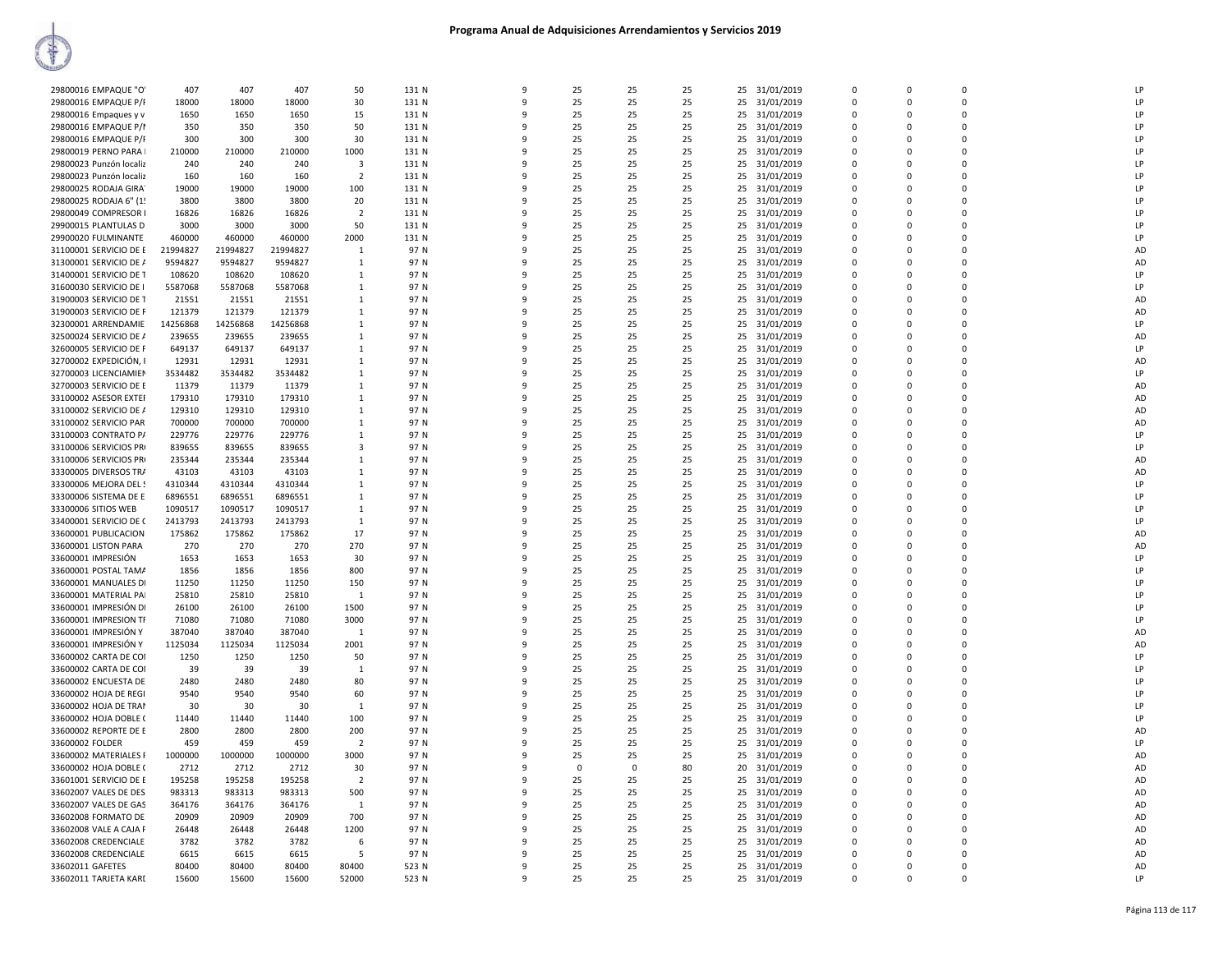| 29800016 EMPAQUE "O'    | 407      | 407      | 407      | 50             | 131 N | 9            | 25             | 25          | 25 | 25 | 31/01/2019    | $\mathbf 0$ | $\mathbf 0$ | $\mathbf 0$ | LP        |
|-------------------------|----------|----------|----------|----------------|-------|--------------|----------------|-------------|----|----|---------------|-------------|-------------|-------------|-----------|
| 29800016 EMPAQUE P/F    | 18000    | 18000    | 18000    | 30             | 131 N | $\mathbf{q}$ | 25             | 25          | 25 | 25 | 31/01/2019    | $\Omega$    | $\Omega$    | $\Omega$    | LP        |
| 29800016 Empaques y v   | 1650     | 1650     | 1650     | 15             | 131 N | 9            | 25             | 25          | 25 | 25 | 31/01/2019    | 0           | 0           | $\mathbf 0$ | LP        |
|                         |          |          |          |                |       |              |                |             |    |    |               |             |             |             |           |
| 29800016 EMPAQUE P/I    | 350      | 350      | 350      | 50             | 131 N | q            | 25             | 25          | 25 | 25 | 31/01/2019    | $\Omega$    | $\Omega$    | $\Omega$    | LP        |
| 29800016 EMPAQUE P/F    | 300      | 300      | 300      | 30             | 131 N | 9            | 25             | 25          | 25 | 25 | 31/01/2019    | $\Omega$    | $\Omega$    | $\Omega$    | LP        |
| 29800019 PERNO PARA     | 210000   | 210000   | 210000   | 1000           | 131 N | q            | 25             | 25          | 25 | 25 | 31/01/2019    | $\Omega$    | $\Omega$    | $\Omega$    | LP        |
|                         |          |          |          |                |       |              |                |             |    |    |               |             |             |             |           |
| 29800023 Punzón localiz | 240      | 240      | 240      | 3              | 131 N | 9            | 25             | 25          | 25 | 25 | 31/01/2019    | $\Omega$    | $\Omega$    | $\Omega$    | LP        |
| 29800023 Punzón localiz | 160      | 160      | 160      | $\overline{2}$ | 131 N | 9            | 25             | 25          | 25 | 25 | 31/01/2019    | 0           | 0           | $\mathbf 0$ | LP        |
| 29800025 RODAJA GIRA    | 19000    | 19000    | 19000    | 100            | 131 N | 9            | 25             | 25          | 25 | 25 | 31/01/2019    | $\Omega$    | $\Omega$    | $\Omega$    | LP        |
|                         |          |          |          |                |       |              |                |             |    |    |               |             |             |             |           |
| 29800025 RODAJA 6" (1!  | 3800     | 3800     | 3800     | 20             | 131 N | ٩            | 25             | 25          | 25 | 25 | 31/01/2019    | 0           | 0           | $\Omega$    | LP        |
| 29800049 COMPRESOR I    | 16826    | 16826    | 16826    | $\overline{2}$ | 131 N | q            | 25             | 25          | 25 | 25 | 31/01/2019    | $\Omega$    | $\Omega$    | $\Omega$    | LP        |
| 29900015 PLANTULAS D    | 3000     | 3000     | 3000     | 50             | 131 N | 9            | 25             | 25          | 25 | 25 |               | $\mathbf 0$ | 0           | $\mathbf 0$ | LP        |
|                         |          |          |          |                |       |              |                |             |    |    | 31/01/2019    |             |             |             |           |
| 29900020 FULMINANTE     | 460000   | 460000   | 460000   | 2000           | 131 N | 9            | 25             | 25          | 25 | 25 | 31/01/2019    | $\Omega$    | $\Omega$    | $\Omega$    | LP        |
| 31100001 SERVICIO DE E  | 21994827 | 21994827 | 21994827 | 1              | 97 N  | 9            | 25             | 25          | 25 | 25 | 31/01/2019    | 0           | 0           | $\mathbf 0$ | AD        |
|                         | 9594827  | 9594827  |          | 1              | 97 N  | 9            |                | 25          | 25 |    |               | 0           | 0           | $\mathbf 0$ | AD        |
| 31300001 SERVICIO DE /  |          |          | 9594827  |                |       |              | 25             |             |    | 25 | 31/01/2019    |             |             |             |           |
| 31400001 SERVICIO DE T  | 108620   | 108620   | 108620   | $\mathbf{1}$   | 97 N  | 9            | 25             | 25          | 25 | 25 | 31/01/2019    | $\Omega$    | $\Omega$    | $\Omega$    | LP        |
| 31600030 SERVICIO DE I  | 5587068  | 5587068  | 5587068  | $\mathbf{1}$   | 97 N  | q            | 25             | 25          | 25 | 25 | 31/01/2019    | 0           | 0           | $\Omega$    | LP        |
|                         |          |          |          |                |       | q            |                |             |    |    |               |             | $\Omega$    | $\Omega$    |           |
| 31900003 SERVICIO DE T  | 21551    | 21551    | 21551    | $\mathbf{1}$   | 97 N  |              | 25             | 25          | 25 | 25 | 31/01/2019    | $\Omega$    |             |             | AD        |
| 31900003 SERVICIO DE F  | 121379   | 121379   | 121379   | 1              | 97 N  | 9            | 25             | 25          | 25 | 25 | 31/01/2019    | $\Omega$    | $\Omega$    | $\Omega$    | AD        |
| 32300001 ARRENDAMIE     | 14256868 | 14256868 | 14256868 | -1             | 97 N  | $\mathbf{q}$ | 25             | 25          | 25 |    | 25 31/01/2019 | $\Omega$    | $\Omega$    | $\Omega$    | LP        |
|                         |          |          |          |                |       |              |                |             |    |    |               |             |             |             |           |
| 32500024 SERVICIO DE /  | 239655   | 239655   | 239655   | 1              | 97 N  | 9            | 25             | 25          | 25 | 25 | 31/01/2019    | $\Omega$    | $\Omega$    | $\Omega$    | AD        |
| 32600005 SERVICIO DE F  | 649137   | 649137   | 649137   | 1              | 97 N  | 9            | 25             | 25          | 25 | 25 | 31/01/2019    | $\Omega$    | $\Omega$    | $\Omega$    | LP        |
| 32700002 EXPEDICIÓN, I  | 12931    | 12931    | 12931    | 1              | 97 N  | 9            | 25             | 25          | 25 | 25 | 31/01/2019    | 0           | 0           | $\mathbf 0$ | AD        |
|                         |          |          |          |                |       |              |                |             |    |    |               |             |             |             |           |
| 32700003 LICENCIAMIEN   | 3534482  | 3534482  | 3534482  | 1              | 97 N  | 9            | 25             | 25          | 25 | 25 | 31/01/2019    | $\Omega$    | $\Omega$    | $\Omega$    | LP        |
| 32700003 SERVICIO DE E  | 11379    | 11379    | 11379    | $\mathbf{1}$   | 97 N  | q            | 25             | 25          | 25 | 25 | 31/01/2019    | $\Omega$    | $\Omega$    | $\Omega$    | AD        |
| 33100002 ASESOR EXTER   | 179310   | 179310   | 179310   | 1              | 97 N  | 9            | 25             | 25          | 25 | 25 | 31/01/2019    | $\Omega$    | 0           | $\mathbf 0$ | AD        |
|                         |          |          |          |                |       |              |                |             |    |    |               |             |             |             |           |
| 33100002 SERVICIO DE /  | 129310   | 129310   | 129310   | $\mathbf{1}$   | 97 N  | 9            | 25             | 25          | 25 | 25 | 31/01/2019    | $\Omega$    | $\Omega$    | $\Omega$    | AD        |
| 33100002 SERVICIO PAR   | 700000   | 700000   | 700000   | 1              | 97 N  | 9            | 25             | 25          | 25 | 25 | 31/01/2019    | $\Omega$    | 0           | $\Omega$    | AD        |
| 33100003 CONTRATO P/    | 229776   | 229776   | 229776   | 1              | 97 N  | $\mathbf{q}$ | 25             | 25          | 25 | 25 | 31/01/2019    | 0           | $\mathbf 0$ | $\mathbf 0$ | LP        |
|                         |          |          |          |                |       |              |                |             |    |    |               |             |             |             |           |
| 33100006 SERVICIOS PRI  | 839655   | 839655   | 839655   | 3              | 97 N  | 9            | 25             | 25          | 25 | 25 | 31/01/2019    | 0           | 0           | $\Omega$    | LP        |
| 33100006 SERVICIOS PRI  | 235344   | 235344   | 235344   | $\mathbf{1}$   | 97 N  | $\mathbf{q}$ | 25             | 25          | 25 | 25 | 31/01/2019    | $\Omega$    | $\Omega$    | $\Omega$    | AD        |
| 33300005 DIVERSOS TRA   | 43103    | 43103    | 43103    | $\mathbf{1}$   | 97 N  | q            | 25             | 25          | 25 | 25 | 31/01/2019    | $\Omega$    | $\Omega$    | $\Omega$    | AD        |
|                         |          |          |          |                |       |              |                |             |    |    |               |             |             |             |           |
| 33300006 MEJORA DEL !   | 4310344  | 4310344  | 4310344  | $\mathbf{1}$   | 97 N  | q            | 25             | 25          | 25 | 25 | 31/01/2019    | $\Omega$    | $\Omega$    | $\Omega$    | LP        |
| 33300006 SISTEMA DE E   | 6896551  | 6896551  | 6896551  | 1              | 97 N  | 9            | 25             | 25          | 25 | 25 | 31/01/2019    | $\Omega$    | $\Omega$    | $\Omega$    | LP        |
|                         |          |          |          |                |       | q            |                |             |    |    |               | $\Omega$    |             | $\Omega$    | LP        |
| 33300006 SITIOS WEB     | 1090517  | 1090517  | 1090517  | 1              | 97 N  |              | 25             | 25          | 25 | 25 | 31/01/2019    |             | 0           |             |           |
| 33400001 SERVICIO DE C  | 2413793  | 2413793  | 2413793  | $\mathbf{1}$   | 97 N  | 9            | 25             | 25          | 25 | 25 | 31/01/2019    | $\Omega$    | $\Omega$    | $\Omega$    | LP        |
| 33600001 PUBLICACION    | 175862   | 175862   | 175862   | 17             | 97 N  | 9            | 25             | 25          | 25 | 25 | 31/01/2019    | 0           | 0           | $\mathbf 0$ | AD        |
|                         |          | 270      |          | 270            | 97 N  | 9            | 25             | 25          |    |    |               | $\Omega$    | $\mathbf 0$ | $\Omega$    | AD        |
| 33600001 LISTON PARA    | 270      |          | 270      |                |       |              |                |             | 25 | 25 | 31/01/2019    |             |             |             |           |
| 33600001 IMPRESIÓN      | 1653     | 1653     | 1653     | 30             | 97 N  | 9            | 25             | 25          | 25 | 25 | 31/01/2019    | $\Omega$    | 0           | $\Omega$    | LP        |
| 33600001 POSTAL TAMA    | 1856     | 1856     | 1856     | 800            | 97 N  | q            | 25             | 25          | 25 | 25 | 31/01/2019    | $\Omega$    | $\Omega$    | $\Omega$    | LP        |
|                         |          |          |          |                |       |              |                |             |    |    |               |             |             |             |           |
| 33600001 MANUALES DI    | 11250    | 11250    | 11250    | 150            | 97 N  | 9            | 25             | 25          | 25 | 25 | 31/01/2019    | $\mathbf 0$ | 0           | $\mathbf 0$ | LP        |
| 33600001 MATERIAL PAI   | 25810    | 25810    | 25810    | $\overline{1}$ | 97 N  | 9            | 25             | 25          | 25 |    | 25 31/01/2019 | $\Omega$    | $\Omega$    | $\Omega$    | LP        |
| 33600001 IMPRESIÓN DI   | 26100    | 26100    | 26100    | 1500           | 97 N  | 9            | 25             | 25          | 25 | 25 | 31/01/2019    | 0           | 0           | $\mathbf 0$ | LP        |
|                         |          |          |          |                |       |              |                |             |    |    |               |             |             |             |           |
| 33600001 IMPRESION TF   | 71080    | 71080    | 71080    | 3000           | 97 N  | 9            | 25             | 25          | 25 | 25 | 31/01/2019    | $\Omega$    | $\Omega$    | $\Omega$    | LP        |
| 33600001 IMPRESIÓN Y    | 387040   | 387040   | 387040   | $\mathbf{1}$   | 97 N  | 9            | 25             | 25          | 25 | 25 | 31/01/2019    | $\Omega$    | $\Omega$    | $\Omega$    | AD        |
| 33600001 IMPRESIÓN Y    | 1125034  | 1125034  | 1125034  | 2001           | 97 N  | q            | 25             | 25          | 25 | 25 | 31/01/2019    | $\Omega$    | $\Omega$    | $\Omega$    | AD        |
|                         |          |          |          |                |       | q            |                |             |    |    |               | $\Omega$    | $\Omega$    | $\Omega$    | LP        |
| 33600002 CARTA DE COI   | 1250     | 1250     | 1250     | 50             | 97 N  |              | 25             | 25          | 25 | 25 | 31/01/2019    |             |             |             |           |
| 33600002 CARTA DE COI   | 39       | 39       | -39      | $\overline{1}$ | 97 N  | ٩            | 25             | 25          | 25 | 25 | 31/01/2019    | $\Omega$    | 0           | $\Omega$    | LP        |
| 33600002 ENCUESTA DE    | 2480     | 2480     | 2480     | 80             | 97 N  | 9            | 25             | 25          | 25 | 25 | 31/01/2019    | $\Omega$    | $\Omega$    | $\Omega$    | LP        |
|                         |          |          |          |                |       |              |                |             |    |    |               |             |             |             | LP        |
| 33600002 HOJA DE REGI   | 9540     | 9540     | 9540     | 60             | 97 N  | 9            | 25             | 25          | 25 | 25 | 31/01/2019    | $\Omega$    | $\Omega$    | $\Omega$    |           |
| 33600002 HOJA DE TRAM   | 30       | 30       | 30       | $\overline{1}$ | 97 N  | 9            | 25             | 25          | 25 | 25 | 31/01/2019    | $\Omega$    | $\Omega$    | $\Omega$    | LP        |
| 33600002 HOJA DOBLE (   | 11440    | 11440    | 11440    | 100            | 97 N  | 9            | 25             | 25          | 25 | 25 | 31/01/2019    | 0           | 0           | $\mathbf 0$ | LP        |
|                         |          |          |          |                |       | 9            |                | 25          |    |    |               |             | $\Omega$    | $\Omega$    |           |
| 33600002 REPORTE DE E   | 2800     | 2800     | 2800     | 200            | 97 N  |              | 25             |             | 25 | 25 | 31/01/2019    | $\Omega$    |             |             | AD        |
| 33600002 FOLDER         | 459      | 459      | 459      | $\overline{2}$ | 97 N  | 9            | 25             | 25          | 25 | 25 | 31/01/2019    | 0           | 0           | $\mathbf 0$ | LP        |
| 33600002 MATERIALES F   | 1000000  | 1000000  | 1000000  | 3000           | 97 N  | q            | 25             | 25          | 25 | 25 | 31/01/2019    | $\Omega$    | $\Omega$    | $\Omega$    | AD        |
|                         |          |          |          |                |       |              |                |             |    |    |               |             |             |             |           |
| 33600002 HOJA DOBLE (   | 2712     | 2712     | 2712     | 30             | 97 N  | 9            | $\overline{0}$ | $\mathbf 0$ | 80 | 20 | 31/01/2019    | 0           | 0           | $\mathbf 0$ | AD        |
| 33601001 SERVICIO DE E  | 195258   | 195258   | 195258   | $\overline{2}$ | 97 N  | $\mathbf{q}$ | 25             | 25          | 25 |    | 25 31/01/2019 | $\Omega$    | $\Omega$    | $\Omega$    | AD        |
| 33602007 VALES DE DES   | 983313   | 983313   | 983313   | 500            | 97 N  | $\mathbf{q}$ | 25             | 25          | 25 | 25 | 31/01/2019    | $\mathbf 0$ | 0           | $\mathbf 0$ | AD        |
|                         |          |          |          |                |       |              |                |             |    |    |               |             |             |             |           |
| 33602007 VALES DE GAS   | 364176   | 364176   | 364176   | $\mathbf{1}$   | 97 N  | 9            | 25             | 25          | 25 | 25 | 31/01/2019    | 0           | 0           | $\Omega$    | AD        |
| 33602008 FORMATO DE     | 20909    | 20909    | 20909    | 700            | 97 N  | $\mathbf{q}$ | 25             | 25          | 25 | 25 | 31/01/2019    | $\Omega$    | $\Omega$    | $\Omega$    | <b>AD</b> |
| 33602008 VALE A CAJA F  | 26448    | 26448    | 26448    | 1200           | 97 N  | q            | 25             | 25          | 25 | 25 | 31/01/2019    | $\Omega$    | $\Omega$    | $\Omega$    | AD        |
| 33602008 CREDENCIALE    | 3782     | 3782     | 3782     | 6              | 97 N  | q            | 25             | 25          | 25 | 25 |               |             | $\Omega$    | $\Omega$    | AD        |
|                         |          |          |          |                |       |              |                |             |    |    | 31/01/2019    | $\Omega$    |             |             |           |
| 33602008 CREDENCIALE    | 6615     | 6615     | 6615     | -5             | 97 N  | ٩            | 25             | 25          | 25 | 25 | 31/01/2019    | 0           | 0           | $\mathbf 0$ | AD        |
| 33602011 GAFETES        | 80400    | 80400    | 80400    | 80400          | 523 N | 9            | 25             | 25          | 25 |    | 25 31/01/2019 | $\Omega$    | $\Omega$    | $\Omega$    | AD        |
| 33602011 TARJETA KARI   | 15600    | 15600    | 15600    | 52000          | 523 N | 9            | 25             | 25          | 25 |    | 25 31/01/2019 | $\Omega$    | $\Omega$    |             | LP        |
|                         |          |          |          |                |       |              |                |             |    |    |               |             |             |             |           |
|                         |          |          |          |                |       |              |                |             |    |    |               |             |             |             |           |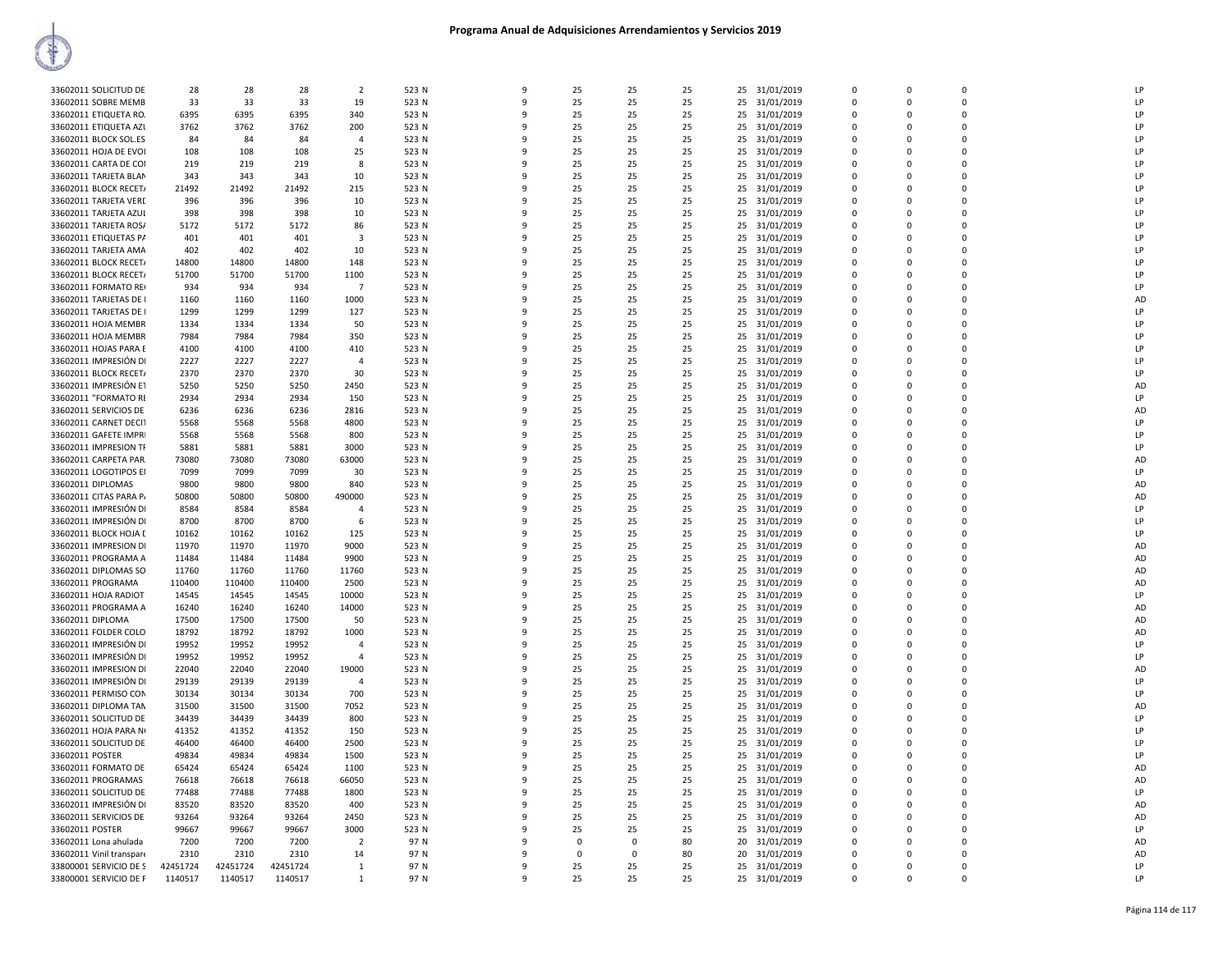|                          |          |          |          | $\overline{\phantom{a}}$ |       | 9            |                |             |    |    |               |             | $\Omega$    | $\Omega$       | LP        |
|--------------------------|----------|----------|----------|--------------------------|-------|--------------|----------------|-------------|----|----|---------------|-------------|-------------|----------------|-----------|
| 33602011 SOLICITUD DE    | 28       | 28       | 28       |                          | 523 N |              | 25             | 25          | 25 | 25 | 31/01/2019    | $\Omega$    |             |                |           |
| 33602011 SOBRE MEMB      | 33       | 33       | 33       | 19                       | 523 N | 9            | 25             | 25          | 25 | 25 | 31/01/2019    | $\Omega$    | $\Omega$    | $\Omega$       | LP        |
| 33602011 ETIQUETA RO.    | 6395     | 6395     | 6395     | 340                      | 523 N | 9            | 25             | 25          | 25 | 25 | 31/01/2019    | $\Omega$    | 0           | $\Omega$       | LP        |
|                          |          |          |          |                          |       | 9            |                |             |    |    |               | $\Omega$    | $\Omega$    | $\Omega$       | LP        |
| 33602011 ETIQUETA AZL    | 3762     | 3762     | 3762     | 200                      | 523 N |              | 25             | 25          | 25 | 25 | 31/01/2019    |             |             |                |           |
| 33602011 BLOCK SOL.ES    | 84       | 84       | 84       | $\overline{a}$           | 523 N | 9            | 25             | 25          | 25 | 25 | 31/01/2019    | $\mathbf 0$ | 0           | $\mathbf 0$    | LP        |
| 33602011 HOJA DE EVOI    | 108      | 108      | 108      | 25                       | 523 N | $\mathbf{q}$ | 25             | 25          | 25 |    | 25 31/01/2019 | $\mathbf 0$ | $\mathbf 0$ | $\mathbf 0$    | LP        |
|                          |          |          |          |                          |       | q            |                |             |    |    |               |             |             | $\Omega$       |           |
| 33602011 CARTA DE COI    | 219      | 219      | 219      | 8                        | 523 N |              | 25             | 25          | 25 | 25 | 31/01/2019    | $\Omega$    | $\Omega$    |                | LP        |
| 33602011 TARJETA BLAN    | 343      | 343      | 343      | 10                       | 523 N | 9            | 25             | 25          | 25 | 25 | 31/01/2019    | $\Omega$    | $\Omega$    | $\mathbf 0$    | LP        |
| 33602011 BLOCK RECET/    | 21492    | 21492    | 21492    | 215                      | 523 N | 9            | 25             | 25          | 25 | 25 | 31/01/2019    | $\Omega$    | $\Omega$    | $\Omega$       | LP        |
|                          |          |          |          |                          |       |              |                |             |    |    |               |             |             |                |           |
| 33602011 TARJETA VERE    | 396      | 396      | 396      | 10                       | 523 N | 9            | 25             | 25          | 25 | 25 | 31/01/2019    | $\Omega$    | $\Omega$    | $\Omega$       | LP        |
| 33602011 TARJETA AZUL    | 398      | 398      | 398      | 10                       | 523 N | 9            | 25             | 25          | 25 | 25 | 31/01/2019    | $\Omega$    | $\Omega$    | $\Omega$       | LP        |
| 33602011 TARJETA ROS/    | 5172     | 5172     | 5172     | 86                       | 523 N | 9            | 25             | 25          | 25 | 25 | 31/01/2019    | $\mathbf 0$ | 0           | $\mathbf 0$    | LP        |
|                          |          |          |          |                          |       |              |                |             |    |    |               |             |             |                |           |
| 33602011 ETIQUETAS PA    | 401      | 401      | 401      | 3                        | 523 N | $\mathbf{q}$ | 25             | 25          | 25 | 25 | 31/01/2019    | $\Omega$    | $\Omega$    | $\Omega$       | LP        |
| 33602011 TARJETA AMA     | 402      | 402      | 402      | 10                       | 523 N | q            | 25             | 25          | 25 | 25 | 31/01/2019    | $\Omega$    | $\Omega$    | $\Omega$       | LP        |
| 33602011 BLOCK RECET/    | 14800    | 14800    | 14800    | 148                      | 523 N | 9            | 25             | 25          | 25 | 25 | 31/01/2019    | $\Omega$    | $\Omega$    | $\Omega$       | LP        |
|                          |          |          |          |                          |       |              |                |             |    |    |               |             |             |                |           |
| 33602011 BLOCK RECET/    | 51700    | 51700    | 51700    | 1100                     | 523 N | 9            | 25             | 25          | 25 | 25 | 31/01/2019    | 0           | 0           | $\Omega$       | LP        |
| 33602011 FORMATO RE      | 934      | 934      | 934      | -7                       | 523 N | 9            | 25             | 25          | 25 | 25 | 31/01/2019    | $\Omega$    | $\Omega$    | $\Omega$       | LP        |
| 33602011 TARJETAS DE I   | 1160     | 1160     | 1160     | 1000                     | 523 N | 9            | 25             | 25          | 25 | 25 | 31/01/2019    | $\Omega$    | $\Omega$    | $\Omega$       | AD        |
|                          |          |          |          |                          |       |              |                |             |    |    |               |             |             |                |           |
| 33602011 TARJETAS DE I   | 1299     | 1299     | 1299     | 127                      | 523 N | 9            | 25             | 25          | 25 | 25 | 31/01/2019    | 0           | 0           | $\mathbf 0$    | LP        |
| 33602011 HOJA MEMBR      | 1334     | 1334     | 1334     | 50                       | 523 N | 9            | 25             | 25          | 25 | 25 | 31/01/2019    | $\mathbf 0$ | $\Omega$    | $\mathbf 0$    | LP        |
| 33602011 HOJA MEMBR      | 7984     | 7984     | 7984     | 350                      | 523 N | q            | 25             | 25          | 25 | 25 | 31/01/2019    | 0           | 0           | $\mathbf 0$    | LP        |
|                          |          |          |          |                          |       |              |                |             |    |    |               |             |             |                |           |
| 33602011 HOJAS PARA E    | 4100     | 4100     | 4100     | 410                      | 523 N | $\mathsf{q}$ | 25             | 25          | 25 |    | 25 31/01/2019 | $\Omega$    | $\Omega$    | $\Omega$       | LP        |
| 33602011 IMPRESIÓN DI    | 2227     | 2227     | 2227     | $\overline{a}$           | 523 N | 9            | 25             | 25          | 25 | 25 | 31/01/2019    | 0           | 0           | $\mathbf 0$    | LP        |
| 33602011 BLOCK RECET/    | 2370     | 2370     | 2370     | 30                       | 523 N | 9            | 25             | 25          | 25 | 25 | 31/01/2019    | $\Omega$    | $\Omega$    | $\Omega$       | LP        |
|                          |          |          |          |                          |       |              |                |             |    |    |               |             |             |                |           |
| 33602011 IMPRESIÓN ET    | 5250     | 5250     | 5250     | 2450                     | 523 N | 9            | 25             | 25          | 25 | 25 | 31/01/2019    | $\Omega$    | $\Omega$    | $\Omega$       | AD        |
| 33602011 "FORMATO RI     | 2934     | 2934     | 2934     | 150                      | 523 N | 9            | 25             | 25          | 25 | 25 | 31/01/2019    | 0           | 0           | 0              | LP        |
|                          |          |          |          |                          |       | 9            | 25             | 25          |    |    |               | $\Omega$    | $\Omega$    | $\mathbf 0$    | AD        |
| 33602011 SERVICIOS DE    | 6236     | 6236     | 6236     | 2816                     | 523 N |              |                |             | 25 | 25 | 31/01/2019    |             |             |                |           |
| 33602011 CARNET DECIT    | 5568     | 5568     | 5568     | 4800                     | 523 N | q            | 25             | 25          | 25 | 25 | 31/01/2019    | $\Omega$    | 0           | $\mathbf 0$    | LP        |
| 33602011 GAFETE IMPRI    | 5568     | 5568     | 5568     | 800                      | 523 N | $\mathsf{q}$ | 25             | 25          | 25 | 25 | 31/01/2019    | $\Omega$    | $\mathsf 0$ | $\Omega$       | LP        |
|                          |          |          |          |                          |       | 9            |                |             |    |    |               | 0           | 0           | $\Omega$       | LP        |
| 33602011 IMPRESION TF    | 5881     | 5881     | 5881     | 3000                     | 523 N |              | 25             | 25          | 25 | 25 | 31/01/2019    |             |             |                |           |
| 33602011 CARPETA PAR     | 73080    | 73080    | 73080    | 63000                    | 523 N | 9            | 25             | 25          | 25 | 25 | 31/01/2019    | $\Omega$    | $\Omega$    | $\Omega$       | AD        |
| 33602011 LOGOTIPOS EI    | 7099     | 7099     | 7099     | 30                       | 523 N | 9            | 25             | 25          | 25 | 25 | 31/01/2019    | 0           | 0           | $\Omega$       | LP        |
| 33602011 DIPLOMAS        | 9800     | 9800     | 9800     | 840                      | 523 N | 9            | 25             | 25          | 25 | 25 |               | $\Omega$    | 0           | $\overline{0}$ | AD        |
|                          |          |          |          |                          |       |              |                |             |    |    | 31/01/2019    |             |             |                |           |
| 33602011 CITAS PARA P/   | 50800    | 50800    | 50800    | 490000                   | 523 N | 9            | 25             | 25          | 25 | 25 | 31/01/2019    | $\Omega$    | $\Omega$    | $\mathbf 0$    | AD        |
| 33602011 IMPRESIÓN DI    | 8584     | 8584     | 8584     | $\overline{4}$           | 523 N | q            | 25             | 25          | 25 | 25 | 31/01/2019    | $\Omega$    | 0           | $\Omega$       | LP        |
| 33602011 IMPRESIÓN DI    | 8700     | 8700     | 8700     | -6                       | 523 N | $\mathsf{q}$ | 25             | 25          | 25 | 25 | 31/01/2019    | $\Omega$    | $\mathsf 0$ | $\Omega$       | LP        |
|                          |          |          |          |                          |       |              |                |             |    |    |               |             |             |                |           |
| 33602011 BLOCK HOJA I    | 10162    | 10162    | 10162    | 125                      | 523 N | 9            | 25             | 25          | 25 | 25 | 31/01/2019    | 0           | 0           | $\Omega$       | LP        |
| 33602011 IMPRESION DI    | 11970    | 11970    | 11970    | 9000                     | 523 N | 9            | 25             | 25          | 25 | 25 | 31/01/2019    | $\Omega$    | $\Omega$    | $\Omega$       | AD        |
| 33602011 PROGRAMA A      | 11484    | 11484    | 11484    | 9900                     | 523 N | ٩            | 25             | 25          | 25 | 25 | 31/01/2019    | 0           | 0           | $\Omega$       | AD        |
|                          |          |          |          |                          |       |              |                |             |    |    |               |             |             |                |           |
| 33602011 DIPLOMAS SO     | 11760    | 11760    | 11760    | 11760                    | 523 N | 9            | 25             | 25          | 25 | 25 | 31/01/2019    | $\Omega$    | $\Omega$    | $\Omega$       | AD        |
| 33602011 PROGRAMA        | 110400   | 110400   | 110400   | 2500                     | 523 N | 9            | 25             | 25          | 25 | 25 | 31/01/2019    | $\mathbf 0$ | 0           | $\mathbf 0$    | AD        |
|                          |          |          |          |                          |       | 9            | 25             | 25          | 25 |    |               | $\Omega$    | 0           | $\Omega$       | LP        |
| 33602011 HOJA RADIOT     | 14545    | 14545    | 14545    | 10000                    | 523 N |              |                |             |    |    | 25 31/01/2019 |             |             |                |           |
| 33602011 PROGRAMA A      | 16240    | 16240    | 16240    | 14000                    | 523 N | $\mathsf{q}$ | 25             | 25          | 25 | 25 | 31/01/2019    | $\Omega$    | $\Omega$    | $\Omega$       | AD        |
| 33602011 DIPLOMA         | 17500    | 17500    | 17500    | 50                       | 523 N | 9            | 25             | 25          | 25 | 25 | 31/01/2019    | 0           | 0           | $\Omega$       | AD        |
| 33602011 FOLDER COLO     | 18792    | 18792    | 18792    | 1000                     | 523 N | 9            | 25             | 25          | 25 | 25 | 31/01/2019    | $\Omega$    | $\Omega$    | $\Omega$       | <b>AD</b> |
|                          |          |          |          |                          |       |              |                |             |    |    |               |             |             |                |           |
| 33602011 IMPRESIÓN DI    | 19952    | 19952    | 19952    | $\overline{4}$           | 523 N | 9            | 25             | 25          | 25 | 25 | 31/01/2019    | $\Omega$    | 0           | $\Omega$       | LP        |
| 33602011 IMPRESIÓN DI    | 19952    | 19952    | 19952    | $\overline{4}$           | 523 N | 9            | 25             | 25          | 25 | 25 | 31/01/2019    | $\Omega$    | $\Omega$    | $\Omega$       | LP        |
| 33602011 IMPRESION DI    | 22040    | 22040    | 22040    | 19000                    | 523 N | 9            | 25             | 25          | 25 | 25 | 31/01/2019    | 0           | 0           | $\mathbf 0$    | AD        |
|                          |          |          |          |                          |       |              |                |             |    |    |               |             |             |                |           |
| 33602011 IMPRESIÓN DI    | 29139    | 29139    | 29139    | $\overline{a}$           | 523 N | $\mathsf{q}$ | 25             | 25          | 25 | 25 | 31/01/2019    | $\Omega$    | $\Omega$    | $\mathbf 0$    | LP        |
| 33602011 PERMISO CON     | 30134    | 30134    | 30134    | 700                      | 523 N | $\mathsf{q}$ | 25             | 25          | 25 | 25 | 31/01/2019    | 0           | 0           | $\mathbf 0$    | LP        |
| 33602011 DIPLOMA TAN     | 31500    | 31500    | 31500    | 7052                     | 523 N | 9            | 25             | 25          | 25 | 25 | 31/01/2019    | 0           | 0           | $\Omega$       | AD        |
|                          |          |          |          |                          |       |              |                |             |    |    |               |             |             |                |           |
| 33602011 SOLICITUD DE    | 34439    | 34439    | 34439    | 800                      | 523 N | 9            | 25             | 25          | 25 | 25 | 31/01/2019    | $\Omega$    | $\Omega$    | $\Omega$       | LP        |
| 33602011 HOJA PARA NI    | 41352    | 41352    | 41352    | 150                      | 523 N | 9            | 25             | 25          | 25 | 25 | 31/01/2019    | $\Omega$    | 0           | $\Omega$       | LP        |
| 33602011 SOLICITUD DE    | 46400    | 46400    | 46400    | 2500                     | 523 N | 9            | 25             | 25          | 25 | 25 | 31/01/2019    | $\Omega$    | $\Omega$    | $\Omega$       | LP        |
|                          |          |          |          |                          |       |              |                |             |    |    |               |             |             |                |           |
| 33602011 POSTER          | 49834    | 49834    | 49834    | 1500                     | 523 N | 9            | 25             | 25          | 25 | 25 | 31/01/2019    | 0           | 0           | $\overline{0}$ | LP        |
| 33602011 FORMATO DE      | 65424    | 65424    | 65424    | 1100                     | 523 N | $\mathbf{q}$ | 25             | 25          | 25 |    | 25 31/01/2019 | $\Omega$    | $\Omega$    | $\Omega$       | AD        |
| 33602011 PROGRAMAS       | 76618    | 76618    | 76618    | 66050                    | 523 N | 9            | 25             | 25          | 25 | 25 | 31/01/2019    | $\Omega$    | $\Omega$    | $\Omega$       | AD        |
|                          |          |          |          |                          |       |              |                |             |    |    |               |             |             |                |           |
| 33602011 SOLICITUD DE    | 77488    | 77488    | 77488    | 1800                     | 523 N | 9            | 25             | 25          | 25 | 25 | 31/01/2019    | 0           | 0           | $\mathbf 0$    | LP        |
| 33602011 IMPRESIÓN DI    | 83520    | 83520    | 83520    | 400                      | 523 N | 9            | 25             | 25          | 25 | 25 | 31/01/2019    | $\Omega$    | $\Omega$    | $\Omega$       | AD        |
| 33602011 SERVICIOS DE    | 93264    | 93264    | 93264    | 2450                     | 523 N | 9            | 25             | 25          | 25 | 25 | 31/01/2019    | $\Omega$    | 0           | $\Omega$       | AD        |
|                          | 99667    |          |          | 3000                     |       | 9            | 25             | 25          | 25 |    |               |             | $\Omega$    | $\Omega$       | LP        |
| 33602011 POSTER          |          | 99667    | 99667    |                          | 523 N |              |                |             |    | 25 | 31/01/2019    | $\Omega$    |             |                |           |
| 33602011 Lona ahulada    | 7200     | 7200     | 7200     | $\overline{2}$           | 97 N  | 9            | $\overline{0}$ | $\mathbf 0$ | 80 | 20 | 31/01/2019    | 0           | 0           | $\mathbf 0$    | AD        |
| 33602011 Vinil transpare | 2310     | 2310     | 2310     | 14                       | 97 N  | 9            | $\Omega$       | $\Omega$    | 80 | 20 | 31/01/2019    | $\Omega$    | $\Omega$    | $\Omega$       | AD        |
| 33800001 SERVICIO DE S   | 42451724 | 42451724 | 42451724 | $\mathbf{1}$             | 97 N  | 9            | 25             | 25          | 25 |    | 31/01/2019    | $\Omega$    | $\Omega$    | $\Omega$       | LP        |
|                          |          |          |          |                          |       |              |                |             |    | 25 |               |             |             |                |           |
| 33800001 SERVICIO DE F   | 1140517  | 1140517  | 1140517  | 1                        | 97 N  | 9            | 25             | 25          | 25 |    | 25 31/01/2019 | $\Omega$    | $\Omega$    | $\Omega$       | LP        |
|                          |          |          |          |                          |       |              |                |             |    |    |               |             |             |                |           |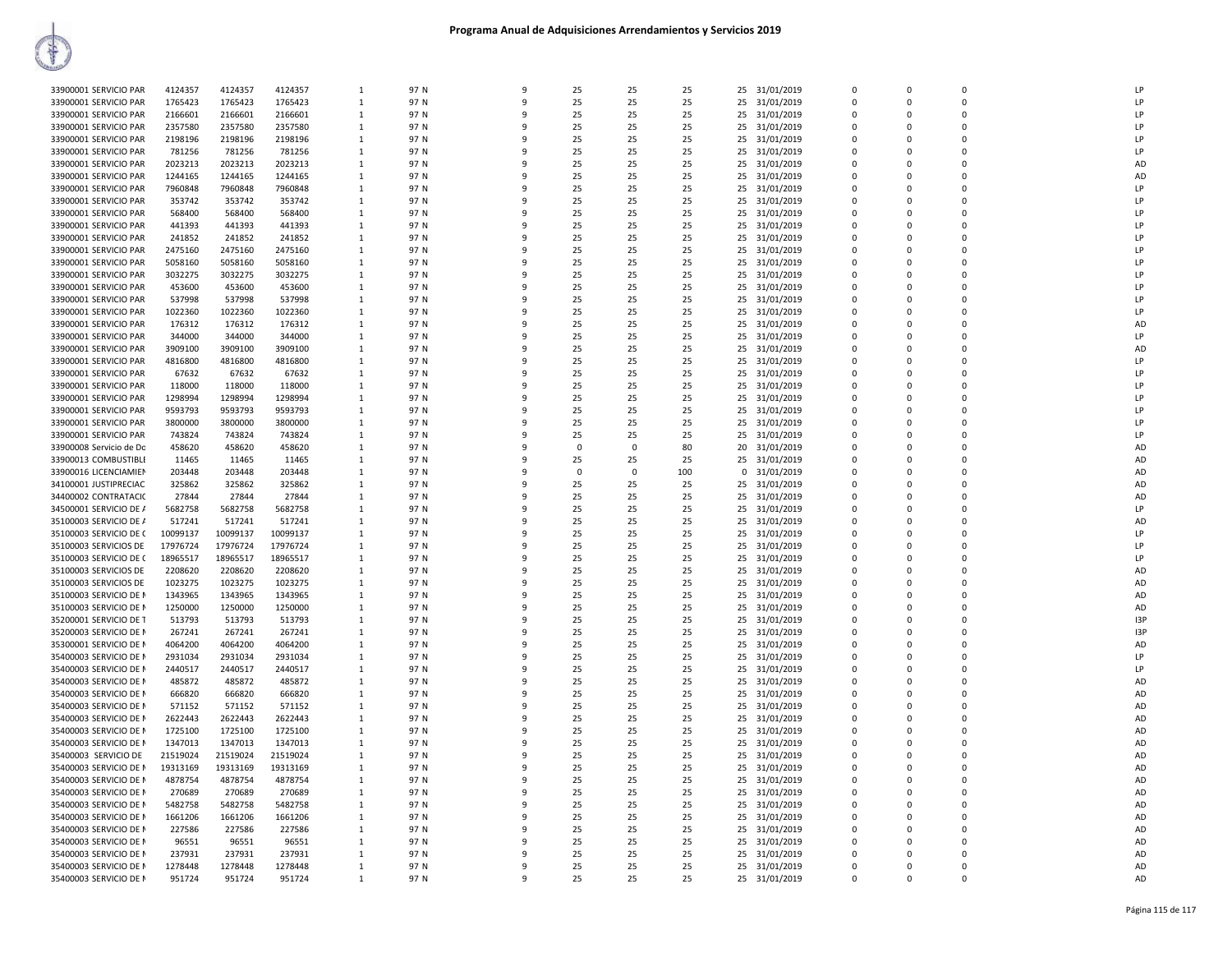| 33900001 SERVICIO PAR   | 4124357  | 4124357  | 4124357  | 1            | 97 N | $\Omega$     | 25       | 25       | 25  | 25 | 31/01/2019    | $\Omega$     | $\Omega$    | $\mathbf 0$ | 1P             |
|-------------------------|----------|----------|----------|--------------|------|--------------|----------|----------|-----|----|---------------|--------------|-------------|-------------|----------------|
| 33900001 SERVICIO PAR   | 1765423  | 1765423  | 1765423  | $\mathbf{1}$ | 97 N | $\mathsf{q}$ | 25       | 25       | 25  | 25 | 31/01/2019    | $\Omega$     | $\Omega$    | $\Omega$    | LP             |
|                         |          |          |          |              |      |              |          |          |     |    |               |              |             |             |                |
| 33900001 SERVICIO PAR   | 2166601  | 2166601  | 2166601  | 1            | 97 N | ۹            | 25       | 25       | 25  | 25 | 31/01/2019    | $\Omega$     | $\Omega$    | $\Omega$    | $\overline{P}$ |
| 33900001 SERVICIO PAR   | 2357580  | 2357580  | 2357580  | $\mathbf{1}$ | 97 N | q            | 25       | 25       | 25  | 25 | 31/01/2019    | $\Omega$     | $\Omega$    | $\Omega$    | 1P             |
|                         |          |          |          |              |      |              |          |          |     |    |               |              |             |             |                |
| 33900001 SERVICIO PAR   | 2198196  | 2198196  | 2198196  |              | 97 N | ٩            | 25       | 25       | 25  | 25 | 31/01/2019    | $\Omega$     | $\Omega$    | 0           | LP             |
| 33900001 SERVICIO PAR   | 781256   | 781256   | 781256   | -1           | 97 N | $\mathbf{q}$ | 25       | 25       | 25  | 25 | 31/01/2019    | $\Omega$     | $\Omega$    | $\Omega$    | LP             |
| 33900001 SERVICIO PAR   | 2023213  | 2023213  | 2023213  | 1            | 97 N |              | 25       | 25       | 25  | 25 | 31/01/2019    | $\Omega$     | $\Omega$    | $\mathbf 0$ | AD             |
|                         |          |          |          |              |      |              |          |          |     |    |               |              |             |             |                |
| 33900001 SERVICIO PAR   | 1244165  | 1244165  | 1244165  | 1            | 97 N | q            | 25       | 25       | 25  | 25 | 31/01/2019    | $\Omega$     | $\Omega$    | 0           | AD             |
| 33900001 SERVICIO PAR   | 7960848  | 7960848  | 7960848  | 1            | 97 N | 9            | 25       | 25       | 25  | 25 | 31/01/2019    | $\Omega$     | $\Omega$    | $\Omega$    | LP             |
|                         |          |          |          |              |      |              |          |          |     |    |               |              |             |             |                |
| 33900001 SERVICIO PAR   | 353742   | 353742   | 353742   | 1            | 97 N |              | 25       | 25       | 25  | 25 | 31/01/2019    | $\Omega$     | $\Omega$    | $\mathbf 0$ | $\overline{P}$ |
| 33900001 SERVICIO PAR   | 568400   | 568400   | 568400   | $\mathbf{1}$ | 97 N |              | 25       | 25       | 25  | 25 | 31/01/2019    | $\Omega$     | $\Omega$    | $\Omega$    | 1P             |
|                         |          |          |          |              |      |              |          |          |     |    |               |              |             |             |                |
| 33900001 SERVICIO PAR   | 441393   | 441393   | 441393   | 1            | 97 N |              | 25       | 25       | 25  | 25 | 31/01/2019    | $\Omega$     | $\Omega$    | $\Omega$    | $\overline{P}$ |
| 33900001 SERVICIO PAR   | 241852   | 241852   | 241852   | $\mathbf{1}$ | 97 N | q            | 25       | 25       | 25  | 25 | 31/01/2019    | $\Omega$     | $\Omega$    | $\Omega$    | $\overline{P}$ |
|                         |          |          |          |              |      |              |          |          |     |    |               |              |             |             |                |
| 33900001 SERVICIO PAR   | 2475160  | 2475160  | 2475160  | 1            | 97 N |              | 25       | 25       | 25  | 25 | 31/01/2019    | $\Omega$     | $\Omega$    | $\Omega$    | LP.            |
| 33900001 SERVICIO PAR   | 5058160  | 5058160  | 5058160  | -1           | 97 N | q            | 25       | 25       | 25  | 25 | 31/01/2019    | $\Omega$     | $\Omega$    | $\Omega$    | LP             |
|                         |          |          |          |              |      |              |          |          |     |    |               |              |             |             |                |
| 33900001 SERVICIO PAR   | 3032275  | 3032275  | 3032275  | 1            | 97 N | 9            | 25       | 25       | 25  | 25 | 31/01/2019    | $\Omega$     | $\Omega$    | $\mathbf 0$ | LP             |
| 33900001 SERVICIO PAR   | 453600   | 453600   | 453600   | 1            | 97 N | ۹            | 25       | 25       | 25  | 25 | 31/01/2019    | $\Omega$     | $\Omega$    | $\Omega$    | $\overline{P}$ |
|                         |          |          |          |              |      |              |          |          |     |    |               |              |             |             |                |
| 33900001 SERVICIO PAR   | 537998   | 537998   | 537998   | $\mathbf{1}$ | 97 N |              | 25       | 25       | 25  | 25 | 31/01/2019    | $\Omega$     | $\Omega$    | $\Omega$    | LP             |
| 33900001 SERVICIO PAR   | 1022360  | 1022360  | 1022360  | 1            | 97 N | ۹            | 25       | 25       | 25  | 25 | 31/01/2019    | $\Omega$     | $\Omega$    | 0           | LP             |
|                         |          |          |          |              |      |              |          |          |     |    |               | $\Omega$     |             |             |                |
| 33900001 SERVICIO PAR   | 176312   | 176312   | 176312   | 1            | 97 N |              | 25       | 25       | 25  | 25 | 31/01/2019    |              | $\Omega$    | $\mathbf 0$ | AD             |
| 33900001 SERVICIO PAR   | 344000   | 344000   | 344000   | $\mathbf{1}$ | 97 N |              | 25       | 25       | 25  | 25 | 31/01/2019    | $\Omega$     | $\Omega$    | $\Omega$    | $\mathsf{I}$   |
|                         |          |          |          |              |      |              |          |          |     |    |               |              | $\Omega$    | $\Omega$    |                |
| 33900001 SERVICIO PAR   | 3909100  | 3909100  | 3909100  | $\mathbf{1}$ | 97 N |              | 25       | 25       | 25  | 25 | 31/01/2019    | $\Omega$     |             |             | AD             |
| 33900001 SERVICIO PAR   | 4816800  | 4816800  | 4816800  | 1            | 97 N | q            | 25       | 25       | 25  | 25 | 31/01/2019    | $\Omega$     | $\Omega$    | 0           | LP             |
| 33900001 SERVICIO PAR   | 67632    | 67632    | 67632    |              | 97 N | q            | 25       | 25       | 25  | 25 |               | $\Omega$     | $\Omega$    | $\Omega$    | LP             |
|                         |          |          |          | $\mathbf{1}$ |      |              |          |          |     |    | 31/01/2019    |              |             |             |                |
| 33900001 SERVICIO PAR   | 118000   | 118000   | 118000   | $\mathbf{1}$ | 97 N |              | 25       | 25       | 25  | 25 | 31/01/2019    | $\Omega$     | $\Omega$    | $\Omega$    | LP             |
|                         | 1298994  | 1298994  |          |              |      | q            | 25       | 25       | 25  |    |               |              | $\Omega$    |             | $\overline{P}$ |
| 33900001 SERVICIO PAR   |          |          | 1298994  | $\mathbf{1}$ | 97 N |              |          |          |     | 25 | 31/01/2019    | $\Omega$     |             | 0           |                |
| 33900001 SERVICIO PAR   | 9593793  | 9593793  | 9593793  | 1            | 97 N |              | 25       | 25       | 25  | 25 | 31/01/2019    | $\Omega$     | $\Omega$    | $\Omega$    | LP             |
| 33900001 SERVICIO PAR   | 3800000  | 3800000  | 3800000  | -1           | 97 N | $\Omega$     | 25       | 25       | 25  | 25 | 31/01/2019    | $\Omega$     | n           | $\Omega$    | LP             |
|                         |          |          |          |              |      |              |          |          |     |    |               |              |             |             |                |
| 33900001 SERVICIO PAR   | 743824   | 743824   | 743824   | 1            | 97 N |              | 25       | 25       | 25  | 25 | 31/01/2019    | $\Omega$     | $\Omega$    | $\mathbf 0$ | LP             |
| 33900008 Servicio de Do | 458620   | 458620   | 458620   | 1            | 97 N | q            | $\Omega$ | 0        | 80  | 20 | 31/01/2019    | $\mathbf{0}$ | $\Omega$    | 0           | AD             |
|                         |          |          |          |              |      |              |          |          |     |    |               |              |             |             |                |
| 33900013 COMBUSTIBLE    | 11465    | 11465    | 11465    | $\mathbf{1}$ | 97 N | $\mathbf{q}$ | 25       | 25       | 25  | 25 | 31/01/2019    | $\Omega$     | $\Omega$    | $\Omega$    | AD             |
| 33900016 LICENCIAMIEN   | 203448   | 203448   | 203448   | $\mathbf{1}$ | 97 N |              | $\Omega$ | $\Omega$ | 100 |    | 0 31/01/2019  | $\Omega$     | $\Omega$    | $\Omega$    | AD             |
|                         |          |          |          |              |      |              |          |          |     |    |               |              |             |             |                |
| 34100001 JUSTIPRECIAC   | 325862   | 325862   | 325862   | $\mathbf{1}$ | 97 N |              | 25       | 25       | 25  | 25 | 31/01/2019    | $\Omega$     | $\Omega$    | $\Omega$    | <b>AD</b>      |
| 34400002 CONTRATACIO    | 27844    | 27844    | 27844    | 1            | 97 N |              | 25       | 25       | 25  | 25 | 31/01/2019    | $\Omega$     |             | $\Omega$    | AD             |
|                         |          |          |          |              |      |              |          |          |     |    |               |              |             |             |                |
| 34500001 SERVICIO DE /  | 5682758  | 5682758  | 5682758  | $\mathbf{1}$ | 97 N | ۹            | 25       | 25       | 25  | 25 | 31/01/2019    | $\Omega$     | $\Omega$    | $\Omega$    | P              |
| 35100003 SERVICIO DE /  | 517241   | 517241   | 517241   | $\mathbf{1}$ | 97 N |              | 25       | 25       | 25  | 25 | 31/01/2019    | $\Omega$     | $\Omega$    | $\Omega$    | AD             |
|                         |          |          |          |              |      |              |          |          |     |    |               |              |             |             |                |
| 35100003 SERVICIO DE C  | 10099137 | 10099137 | 10099137 | 1            | 97 N | ٩            | 25       | 25       | 25  | 25 | 31/01/2019    | $\Omega$     | $\Omega$    | $\mathbf 0$ | LP             |
| 35100003 SERVICIOS DE   | 17976724 | 17976724 | 17976724 | 1            | 97 N | 9            | 25       | 25       | 25  | 25 | 31/01/2019    | $\Omega$     | $\Omega$    | $\Omega$    | LP             |
|                         |          |          |          |              |      |              |          |          |     |    |               |              |             | $\Omega$    | LP             |
| 35100003 SERVICIO DE C  | 18965517 | 18965517 | 18965517 | 1            | 97 N |              | 25       | 25       | 25  | 25 | 31/01/2019    | $\Omega$     | $\Omega$    |             |                |
| 35100003 SERVICIOS DE   | 2208620  | 2208620  | 2208620  | $\mathbf{1}$ | 97 N |              | 25       | 25       | 25  | 25 | 31/01/2019    | $\Omega$     | $\Omega$    | $\mathbf 0$ | AD             |
|                         |          |          |          | 1            |      |              |          |          |     |    |               | $\Omega$     | $\Omega$    | $\Omega$    |                |
| 35100003 SERVICIOS DE   | 1023275  | 1023275  | 1023275  |              | 97 N |              | 25       | 25       | 25  | 25 | 31/01/2019    |              |             |             | AD             |
| 35100003 SERVICIO DE N  | 1343965  | 1343965  | 1343965  | $\mathbf{1}$ | 97 N | q            | 25       | 25       | 25  | 25 | 31/01/2019    | $\Omega$     | $\Omega$    | $\Omega$    | AD             |
| 35100003 SERVICIO DE N  | 1250000  | 1250000  | 1250000  | $\mathbf{1}$ | 97 N |              | 25       | 25       | 25  | 25 | 31/01/2019    | $\Omega$     | $\Omega$    | $\Omega$    | AD             |
|                         |          |          |          |              |      |              |          |          |     |    |               |              |             |             |                |
| 35200001 SERVICIO DE T  | 513793   | 513793   | 513793   | $\mathbf{1}$ | 97 N | ٩            | 25       | 25       | 25  | 25 | 31/01/2019    | $\Omega$     | $\Omega$    | $\Omega$    | 13P            |
| 35200003 SERVICIO DE N  | 267241   | 267241   | 267241   | $\mathbf{1}$ | 97 N | q            | 25       | 25       | 25  | 25 | 31/01/2019    | $\Omega$     | $\Omega$    | $\Omega$    | 13P            |
|                         |          |          |          |              |      |              |          |          |     |    |               |              |             |             |                |
| 35300001 SERVICIO DE N  | 4064200  | 4064200  | 4064200  | 1            | 97 N |              | 25       | 25       | 25  | 25 | 31/01/2019    | $\Omega$     | $\Omega$    | $\Omega$    | AD             |
| 35400003 SERVICIO DE N  | 2931034  | 2931034  | 2931034  | $\mathbf{1}$ | 97 N |              | 25       | 25       | 25  | 25 | 31/01/2019    | $\Omega$     | $\Omega$    | $\Omega$    | LP             |
|                         |          |          |          |              |      |              |          |          |     |    |               |              |             |             |                |
| 35400003 SERVICIO DE N  | 2440517  | 2440517  | 2440517  | $\mathbf{1}$ | 97 N |              | 25       | 25       | 25  | 25 | 31/01/2019    | $\Omega$     | $\Omega$    | $\mathbf 0$ | LP             |
| 35400003 SERVICIO DE N  | 485872   | 485872   | 485872   | 1            | 97 N |              | 25       | 25       | 25  | 25 | 31/01/2019    | $\Omega$     | $\Omega$    | $\Omega$    | AD             |
|                         |          |          |          |              |      |              |          |          |     |    |               |              |             |             |                |
| 35400003 SERVICIO DE M  | 666820   | 666820   | 666820   | 1            | 97 N |              | 25       | 25       | 25  | 25 | 31/01/2019    | $\Omega$     | $\Omega$    | $\mathbf 0$ | AD             |
| 35400003 SERVICIO DE N  | 571152   | 571152   | 571152   | 1            | 97 N | q            | 25       | 25       | 25  | 25 | 31/01/2019    | $\Omega$     | $\Omega$    | $\mathbf 0$ | AD             |
| 35400003 SERVICIO DE N  | 2622443  | 2622443  | 2622443  | $\mathbf{1}$ | 97 N | q            | 25       | 25       | 25  |    | 31/01/2019    | $\Omega$     | $\Omega$    | $\Omega$    | AD             |
|                         |          |          |          |              |      |              |          |          |     | 25 |               |              |             |             |                |
| 35400003 SERVICIO DE N  | 1725100  | 1725100  | 1725100  | $\mathbf{1}$ | 97 N | ۹            | 25       | 25       | 25  | 25 | 31/01/2019    | $\Omega$     | $\Omega$    | $\Omega$    | <b>AD</b>      |
|                         | 1347013  | 1347013  |          | $\mathbf{1}$ | 97 N |              | 25       | 25       | 25  |    |               | $\Omega$     | $\Omega$    | $\Omega$    | AD             |
| 35400003 SERVICIO DE N  |          |          | 1347013  |              |      |              |          |          |     | 25 | 31/01/2019    |              |             |             |                |
| 35400003 SERVICIO DE    | 21519024 | 21519024 | 21519024 | $\mathbf{1}$ | 97 N |              | 25       | 25       | 25  | 25 | 31/01/2019    | $\Omega$     | $\Omega$    | $\Omega$    | AD             |
| 35400003 SERVICIO DE N  | 19313169 | 19313169 | 19313169 | 1            | 97 N |              | 25       | 25       | 25  | 25 | 31/01/2019    | $\Omega$     | $\Omega$    | $\Omega$    | AD             |
|                         |          |          |          |              |      |              |          |          |     |    |               |              |             |             |                |
| 35400003 SERVICIO DE N  | 4878754  | 4878754  | 4878754  | 1            | 97 N | q            | 25       | 25       | 25  | 25 | 31/01/2019    | $\Omega$     | n           | $\Omega$    | AD             |
| 35400003 SERVICIO DE N  | 270689   | 270689   | 270689   | $\mathbf{1}$ | 97 N | 9            | 25       | 25       | 25  | 25 | 31/01/2019    | $\Omega$     | $\Omega$    | $\Omega$    | AD             |
|                         |          |          |          |              |      |              |          |          |     |    |               |              |             |             |                |
| 35400003 SERVICIO DE N  | 5482758  | 5482758  | 5482758  | 1            | 97 N | 9            | 25       | 25       | 25  | 25 | 31/01/2019    | $\mathbf{0}$ | $\mathbf 0$ | $\mathbf 0$ | AD             |
| 35400003 SERVICIO DE N  | 1661206  | 1661206  | 1661206  | 1            | 97 N | q            | 25       | 25       | 25  | 25 | 31/01/2019    | $\Omega$     | $\Omega$    | $\Omega$    | AD             |
|                         |          |          |          |              |      |              |          |          |     |    |               |              |             |             |                |
| 35400003 SERVICIO DE M  | 227586   | 227586   | 227586   | $\mathbf{1}$ | 97 N |              | 25       | 25       | 25  | 25 | 31/01/2019    | $\Omega$     | $\Omega$    | $\Omega$    | AD             |
| 35400003 SERVICIO DE M  | 96551    | 96551    | 96551    | $\mathbf{1}$ | 97 N |              | 25       | 25       | 25  | 25 | 31/01/2019    | $\Omega$     | $\Omega$    | $\Omega$    | AD             |
|                         |          |          |          |              |      |              |          |          |     |    |               |              |             |             |                |
| 35400003 SERVICIO DE N  | 237931   | 237931   | 237931   | 1            | 97 N |              | 25       | 25       | 25  | 25 | 31/01/2019    | $\Omega$     |             | $\Omega$    | AD             |
|                         |          |          |          |              | 97 N |              |          |          |     |    |               |              |             |             |                |
|                         | 1278448  | 1278448  | 1278448  | $\mathbf{1}$ |      | ۹            | 25       | 25       | 25  | 25 |               | $\Omega$     | $\Omega$    | $\Omega$    | AD             |
| 35400003 SERVICIO DE N  |          |          |          |              |      |              |          |          |     |    | 31/01/2019    |              |             |             |                |
| 35400003 SERVICIO DE N  | 951724   | 951724   | 951724   | 1            | 97 N | q            | 25       | 25       | 25  |    | 25 31/01/2019 | $\Omega$     |             | $\Omega$    | AD             |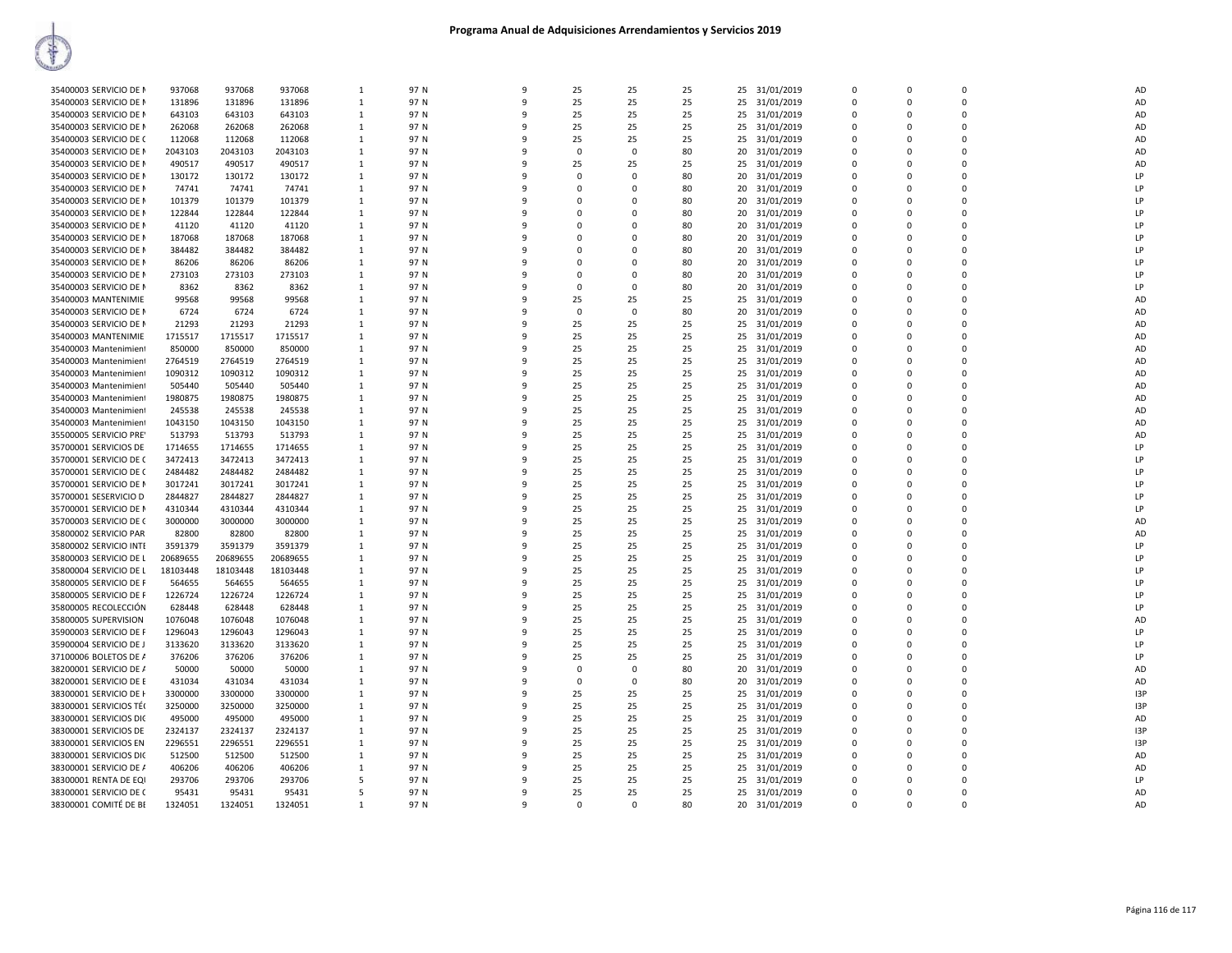| 35400003 SERVICIO DE N | 937068   | 937068   | 937068   | 1            | 97 N | 9            | 25       | 25          | 25 | 25 | 31/01/2019 | $\Omega$ | $\Omega$ | $\Omega$ | <b>AD</b>      |
|------------------------|----------|----------|----------|--------------|------|--------------|----------|-------------|----|----|------------|----------|----------|----------|----------------|
| 35400003 SERVICIO DE N | 131896   | 131896   | 131896   | 1            | 97 N | 9            | 25       | 25          | 25 | 25 | 31/01/2019 | $\Omega$ | $\Omega$ | $\Omega$ | <b>AD</b>      |
| 35400003 SERVICIO DE N | 643103   | 643103   | 643103   | $\mathbf{1}$ | 97 N | 9            | 25       | 25          | 25 | 25 | 31/01/2019 | $\Omega$ | $\Omega$ | $\Omega$ | AD             |
|                        |          |          |          |              | 97 N | $\mathbf{q}$ | 25       | 25          |    | 25 |            | $\Omega$ | $\Omega$ | $\Omega$ | <b>AD</b>      |
| 35400003 SERVICIO DE N | 262068   | 262068   | 262068   | 1            |      |              |          |             | 25 |    | 31/01/2019 |          |          |          |                |
| 35400003 SERVICIO DE C | 112068   | 112068   | 112068   | 1            | 97 N | 9            | 25       | 25          | 25 | 25 | 31/01/2019 | O        | $\Omega$ | $\Omega$ | AD             |
| 35400003 SERVICIO DE N | 2043103  | 2043103  | 2043103  | $\mathbf{1}$ | 97 N | $\mathbf{q}$ | $\Omega$ | $\Omega$    | 80 | 20 | 31/01/2019 | O        | $\Omega$ | $\Omega$ | <b>AD</b>      |
| 35400003 SERVICIO DE N | 490517   | 490517   | 490517   | 1            | 97 N | $\mathbf{q}$ | 25       | 25          | 25 | 25 | 31/01/2019 | O        | $\Omega$ | $\Omega$ | <b>AD</b>      |
| 35400003 SERVICIO DE N | 130172   | 130172   | 130172   | $\mathbf{1}$ | 97 N | $\mathbf{q}$ | $\Omega$ | O           | 80 | 20 | 31/01/2019 | $\Omega$ | $\Omega$ | $\Omega$ | LP             |
| 35400003 SERVICIO DE N | 74741    | 74741    | 74741    | $\mathbf{1}$ | 97 N | 9            | $\Omega$ | $\Omega$    | 80 | 20 | 31/01/2019 | n        | $\Omega$ | $\Omega$ | LP             |
| 35400003 SERVICIO DE N | 101379   | 101379   | 101379   | 1            | 97 N | $\mathbf{q}$ | n        | ŋ           | 80 | 20 | 31/01/2019 | ŋ        | $\Omega$ | n        | LP             |
| 35400003 SERVICIO DE N | 122844   | 122844   | 122844   | 1            | 97 N | 9            | n        | $\Omega$    | 80 | 20 | 31/01/2019 | $\Omega$ | $\Omega$ | $\Omega$ | LP             |
| 35400003 SERVICIO DE N | 41120    | 41120    | 41120    | 1            | 97 N | $\mathbf{q}$ | n        | O           | 80 | 20 | 31/01/2019 | $\Omega$ | $\Omega$ | $\Omega$ | LF             |
| 35400003 SERVICIO DE N | 187068   | 187068   | 187068   | 1            | 97 N | 9            | $\Omega$ | O           | 80 | 20 | 31/01/2019 | $\Omega$ | $\Omega$ | $\Omega$ | $\blacksquare$ |
| 35400003 SERVICIO DE N | 384482   | 384482   | 384482   | 1            | 97 N | q            | n        | ŋ           | 80 | 20 | 31/01/2019 | ŋ        | $\Omega$ | n        | $\blacksquare$ |
|                        |          |          |          |              |      | 9            | C        | $\Omega$    |    |    |            | n        | $\Omega$ | $\Omega$ | ΤP             |
| 35400003 SERVICIO DE N | 86206    | 86206    | 86206    | 1            | 97 N |              |          |             | 80 | 20 | 31/01/2019 |          |          |          |                |
| 35400003 SERVICIO DE N | 273103   | 273103   | 273103   | $\mathbf{1}$ | 97 N | q            | $\Omega$ | O           | 80 | 20 | 31/01/2019 | $\Omega$ | $\Omega$ | $\Omega$ | LP             |
| 35400003 SERVICIO DE N | 8362     | 8362     | 8362     | 1            | 97 N | 9            | 0        | 0           | 80 | 20 | 31/01/2019 | 0        | $\Omega$ | $\Omega$ | LP             |
| 35400003 MANTENIMIE    | 99568    | 99568    | 99568    | 1            | 97 N | 9            | 25       | 25          | 25 | 25 | 31/01/2019 |          | $\Omega$ |          | AD             |
| 35400003 SERVICIO DE N | 6724     | 6724     | 6724     | $\mathbf{1}$ | 97 N | 9            | 0        | $\mathbf 0$ | 80 | 20 | 31/01/2019 | 0        | $\Omega$ |          | AD             |
| 35400003 SERVICIO DE N | 21293    | 21293    | 21293    | 1            | 97 N | 9            | 25       | 25          | 25 | 25 | 31/01/2019 | ŋ        | $\Omega$ | $\Omega$ | AD             |
| 35400003 MANTENIMIE    | 1715517  | 1715517  | 1715517  | $\mathbf{1}$ | 97 N | 9            | 25       | 25          | 25 | 25 | 31/01/2019 | 0        | $\Omega$ | n        | AD             |
| 35400003 Mantenimient  | 850000   | 850000   | 850000   | $\mathbf{1}$ | 97 N | 9            | 25       | 25          | 25 | 25 | 31/01/2019 |          | $\Omega$ |          | AD             |
| 35400003 Mantenimient  | 2764519  | 2764519  | 2764519  | $\mathbf{1}$ | 97 N | 9            | 25       | 25          | 25 | 25 | 31/01/2019 | 0        | $\Omega$ | n        | AD             |
| 35400003 Mantenimient  | 1090312  | 1090312  | 1090312  | 1            | 97 N | 9            | 25       | 25          | 25 | 25 | 31/01/2019 | ŋ        | $\Omega$ |          | AD             |
|                        |          |          |          |              |      | 9            |          |             |    |    |            |          |          |          |                |
| 35400003 Mantenimient  | 505440   | 505440   | 505440   | 1            | 97 N |              | 25       | 25          | 25 | 25 | 31/01/2019 | $\Omega$ | $\Omega$ |          | AD             |
| 35400003 Mantenimient  | 1980875  | 1980875  | 1980875  | 1            | 97 N | 9            | 25       | 25          | 25 | 25 | 31/01/2019 | O        | $\Omega$ |          | AD             |
| 35400003 Mantenimient  | 245538   | 245538   | 245538   | $\mathbf{1}$ | 97 N | 9            | 25       | 25          | 25 | 25 | 31/01/2019 | $\Omega$ | $\Omega$ |          | AD             |
| 35400003 Mantenimient  | 1043150  | 1043150  | 1043150  | 1            | 97 N | 9            | 25       | 25          | 25 | 25 | 31/01/2019 | $\Omega$ | $\Omega$ |          | AD             |
| 35500005 SERVICIO PRE' | 513793   | 513793   | 513793   | $\mathbf{1}$ | 97 N | 9            | 25       | 25          | 25 | 25 | 31/01/2019 | $\Omega$ | $\Omega$ |          | AD             |
| 35700001 SERVICIOS DE  | 1714655  | 1714655  | 1714655  | 1            | 97 N | 9            | 25       | 25          | 25 | 25 | 31/01/2019 | O        | $\Omega$ |          | LP             |
| 35700001 SERVICIO DE C | 3472413  | 3472413  | 3472413  | 1            | 97 N | 9            | 25       | 25          | 25 | 25 | 31/01/2019 | $\Omega$ | $\Omega$ |          | LP             |
| 35700001 SERVICIO DE C | 2484482  | 2484482  | 2484482  | 1            | 97 N | 9            | 25       | 25          | 25 | 25 | 31/01/2019 | $\Omega$ | $\Omega$ |          | LP             |
| 35700001 SERVICIO DE N | 3017241  | 3017241  | 3017241  | 1            | 97 N | 9            | 25       | 25          | 25 | 25 | 31/01/2019 | $\Omega$ | $\Omega$ | $\Omega$ | LP             |
| 35700001 SESERVICIO D  | 2844827  | 2844827  | 2844827  | 1            | 97 N | 9            | 25       | 25          | 25 | 25 | 31/01/2019 | $\Omega$ | $\Omega$ | $\Omega$ | LP             |
| 35700001 SERVICIO DE N | 4310344  | 4310344  | 4310344  | 1            | 97 N | 9            | 25       | 25          | 25 | 25 | 31/01/2019 | $\Omega$ | $\Omega$ | $\Omega$ | LP             |
|                        | 3000000  |          |          |              | 97 N | 9            | 25       | 25          | 25 |    |            | $\Omega$ | $\Omega$ | $\Omega$ | AD             |
| 35700003 SERVICIO DE C |          | 3000000  | 3000000  | 1            |      |              |          |             |    | 25 | 31/01/2019 |          |          |          |                |
| 35800002 SERVICIO PAR  | 82800    | 82800    | 82800    | $\mathbf{1}$ | 97 N | 9            | 25       | 25          | 25 | 25 | 31/01/2019 | $\Omega$ | $\Omega$ | $\Omega$ | AD             |
| 35800002 SERVICIO INTE | 3591379  | 3591379  | 3591379  | 1            | 97 N | 9            | 25       | 25          | 25 | 25 | 31/01/2019 | $\Omega$ | $\Omega$ | $\Omega$ | LP             |
| 35800003 SERVICIO DE L | 20689655 | 20689655 | 20689655 | 1            | 97 N | 9            | 25       | 25          | 25 | 25 | 31/01/2019 | $\Omega$ | $\Omega$ | $\Omega$ | <b>LP</b>      |
| 35800004 SERVICIO DE L | 18103448 | 18103448 | 18103448 | 1            | 97 N | 9            | 25       | 25          | 25 | 25 | 31/01/2019 | $\Omega$ | $\Omega$ | $\Omega$ | <b>LP</b>      |
| 35800005 SERVICIO DE F | 564655   | 564655   | 564655   | $\mathbf{1}$ | 97 N | 9            | 25       | 25          | 25 | 25 | 31/01/2019 | $\Omega$ | $\Omega$ | $\Omega$ | LP             |
| 35800005 SERVICIO DE F | 1226724  | 1226724  | 1226724  | 1            | 97 N | 9            | 25       | 25          | 25 | 25 | 31/01/2019 | $\Omega$ | $\Omega$ | $\Omega$ | LP             |
| 35800005 RECOLECCIÓN   | 628448   | 628448   | 628448   | 1            | 97 N | 9            | 25       | 25          | 25 | 25 | 31/01/2019 | $\Omega$ | $\Omega$ | $\Omega$ | LP             |
| 35800005 SUPERVISION   | 1076048  | 1076048  | 1076048  | 1            | 97 N | 9            | 25       | 25          | 25 | 25 | 31/01/2019 | $\Omega$ | $\Omega$ | $\Omega$ | AD             |
| 35900003 SERVICIO DE F | 1296043  | 1296043  | 1296043  | 1            | 97 N | 9            | 25       | 25          | 25 | 25 | 31/01/2019 | $\Omega$ | $\Omega$ | n        | LP             |
| 35900004 SERVICIO DE J | 3133620  | 3133620  | 3133620  | $\mathbf{1}$ | 97 N | 9            | 25       | 25          | 25 | 25 | 31/01/2019 | $\Omega$ | $\Omega$ | $\Omega$ | LP             |
| 37100006 BOLETOS DE A  | 376206   | 376206   | 376206   | 1            | 97 N | 9            | 25       | 25          | 25 | 25 | 31/01/2019 | $\Omega$ | $\Omega$ | $\Omega$ | LP             |
|                        | 50000    | 50000    |          |              | 97 N | 9            | $\Omega$ | 0           | 80 |    |            | $\Omega$ | $\Omega$ | $\Omega$ |                |
| 38200001 SERVICIO DE / |          |          | 50000    | 1            |      |              |          |             |    | 20 | 31/01/2019 |          |          |          | AD             |
| 38200001 SERVICIO DE E | 431034   | 431034   | 431034   | 1            | 97 N | 9            | $\Omega$ | $\Omega$    | 80 | 20 | 31/01/2019 | $\Omega$ | $\Omega$ | n        | AD             |
| 38300001 SERVICIO DE I | 3300000  | 3300000  | 3300000  | $\mathbf{1}$ | 97 N | 9            | 25       | 25          | 25 | 25 | 31/01/2019 | $\Omega$ | $\Omega$ | 0        | 13P            |
| 38300001 SERVICIOS TÉO | 3250000  | 3250000  | 3250000  | 1            | 97 N | 9            | 25       | 25          | 25 | 25 | 31/01/2019 | $\Omega$ | $\Omega$ | $\Omega$ | I3P            |
| 38300001 SERVICIOS DIC | 495000   | 495000   | 495000   | 1            | 97 N | 9            | 25       | 25          | 25 | 25 | 31/01/2019 | $\Omega$ | $\Omega$ | $\Omega$ | AD             |
| 38300001 SERVICIOS DE  | 2324137  | 2324137  | 2324137  | 1            | 97 N | 9            | 25       | 25          | 25 | 25 | 31/01/2019 | O        | $\Omega$ |          | 13P            |
| 38300001 SERVICIOS EN  | 2296551  | 2296551  | 2296551  | $\mathbf{1}$ | 97 N | 9            | 25       | 25          | 25 | 25 | 31/01/2019 | $\Omega$ | $\Omega$ | $\Omega$ | 13P            |
| 38300001 SERVICIOS DIC | 512500   | 512500   | 512500   | 1            | 97 N | 9            | 25       | 25          | 25 | 25 | 31/01/2019 | $\Omega$ | $\Omega$ |          | AD             |
| 38300001 SERVICIO DE / | 406206   | 406206   | 406206   | $\mathbf{1}$ | 97 N | 9            | 25       | 25          | 25 | 25 | 31/01/2019 | $\Omega$ | $\Omega$ | n        | AD             |
| 38300001 RENTA DE EQI  | 293706   | 293706   | 293706   | 5            | 97 N | 9            | 25       | 25          | 25 | 25 | 31/01/2019 | O        | $\Omega$ |          | LP             |
| 38300001 SERVICIO DE C | 95431    | 95431    | 95431    | 5            | 97 N | 9            | 25       | 25          | 25 | 25 | 31/01/2019 | $\Omega$ | 0        |          | AD             |
| 38300001 COMITÉ DE BE  | 1324051  | 1324051  | 1324051  | $\mathbf{1}$ | 97 N | 9            | $\Omega$ | $\Omega$    | 80 | 20 | 31/01/2019 |          | $\Omega$ |          | AD             |
|                        |          |          |          |              |      |              |          |             |    |    |            |          |          |          |                |